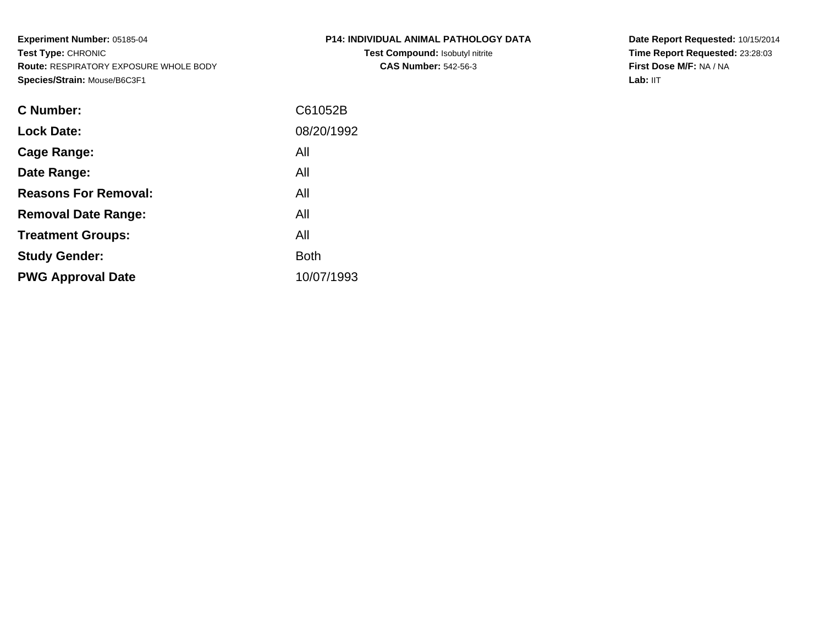**Experiment Number:** 05185-04**Test Type:** CHRONIC **Route:** RESPIRATORY EXPOSURE WHOLE BODY**Species/Strain:** Mouse/B6C3F1

| P14: INDIVIDUAL ANIMAL PATHOLOGY DATA  |  |
|----------------------------------------|--|
| <b>Test Compound: Isobutyl nitrite</b> |  |

**CAS Number:** 542-56-3

**Date Report Requested:** 10/15/2014 **Time Report Requested:** 23:28:03**First Dose M/F:** NA / NA**Lab:** IIT

| C61052B     |
|-------------|
| 08/20/1992  |
| All         |
| All         |
| All         |
| All         |
| All         |
| <b>Both</b> |
| 10/07/1993  |
|             |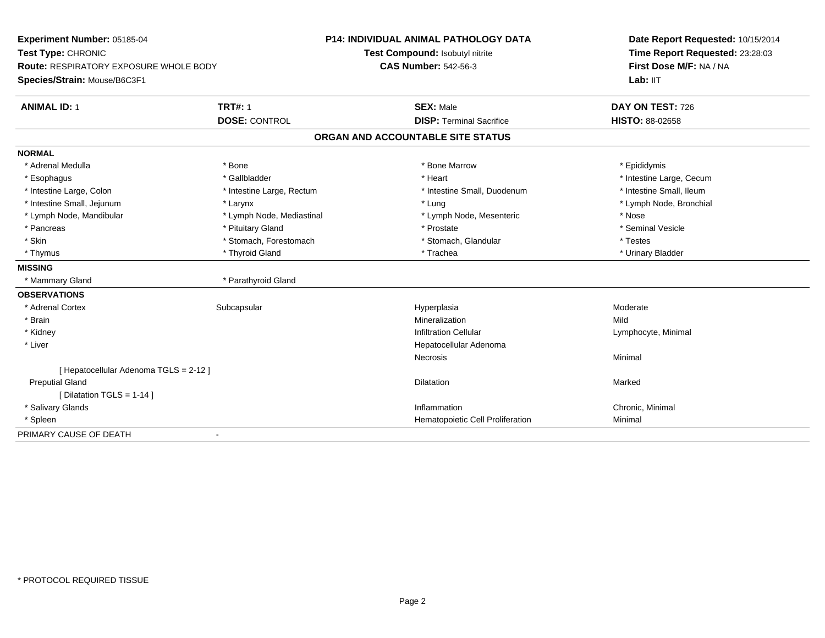| Experiment Number: 05185-04            |                           | <b>P14: INDIVIDUAL ANIMAL PATHOLOGY DATA</b> | Date Report Requested: 10/15/2014 |  |
|----------------------------------------|---------------------------|----------------------------------------------|-----------------------------------|--|
| Test Type: CHRONIC                     |                           | Test Compound: Isobutyl nitrite              | Time Report Requested: 23:28:03   |  |
| Route: RESPIRATORY EXPOSURE WHOLE BODY |                           | <b>CAS Number: 542-56-3</b>                  | First Dose M/F: NA / NA           |  |
| Species/Strain: Mouse/B6C3F1           |                           |                                              | Lab: IIT                          |  |
| <b>ANIMAL ID: 1</b>                    | <b>TRT#: 1</b>            | <b>SEX: Male</b>                             | DAY ON TEST: 726                  |  |
|                                        | <b>DOSE: CONTROL</b>      | <b>DISP: Terminal Sacrifice</b>              | <b>HISTO: 88-02658</b>            |  |
|                                        |                           | ORGAN AND ACCOUNTABLE SITE STATUS            |                                   |  |
| <b>NORMAL</b>                          |                           |                                              |                                   |  |
| * Adrenal Medulla                      | * Bone                    | * Bone Marrow                                | * Epididymis                      |  |
| * Esophagus                            | * Gallbladder             | * Heart                                      | * Intestine Large, Cecum          |  |
| * Intestine Large, Colon               | * Intestine Large, Rectum | * Intestine Small, Duodenum                  | * Intestine Small, Ileum          |  |
| * Intestine Small, Jejunum             | * Larynx                  | * Lung                                       | * Lymph Node, Bronchial           |  |
| * Lymph Node, Mandibular               | * Lymph Node, Mediastinal | * Lymph Node, Mesenteric                     | * Nose                            |  |
| * Pancreas                             | * Pituitary Gland         | * Prostate                                   | * Seminal Vesicle                 |  |
| * Skin                                 | * Stomach, Forestomach    | * Stomach, Glandular                         | * Testes                          |  |
| * Thymus                               | * Thyroid Gland           | * Trachea                                    | * Urinary Bladder                 |  |
| <b>MISSING</b>                         |                           |                                              |                                   |  |
| * Mammary Gland                        | * Parathyroid Gland       |                                              |                                   |  |
| <b>OBSERVATIONS</b>                    |                           |                                              |                                   |  |
| * Adrenal Cortex                       | Subcapsular               | Hyperplasia                                  | Moderate                          |  |
| * Brain                                |                           | Mineralization                               | Mild                              |  |
| * Kidney                               |                           | <b>Infiltration Cellular</b>                 | Lymphocyte, Minimal               |  |
| * Liver                                |                           | Hepatocellular Adenoma                       |                                   |  |
|                                        |                           | Necrosis                                     | Minimal                           |  |
| [ Hepatocellular Adenoma TGLS = 2-12 ] |                           |                                              |                                   |  |
| <b>Preputial Gland</b>                 |                           | <b>Dilatation</b>                            | Marked                            |  |
| [ Dilatation TGLS = 1-14 ]             |                           |                                              |                                   |  |
| * Salivary Glands                      |                           | Inflammation                                 | Chronic, Minimal                  |  |
| * Spleen                               |                           | Hematopoietic Cell Proliferation             | Minimal                           |  |
| PRIMARY CAUSE OF DEATH                 | $\overline{\phantom{0}}$  |                                              |                                   |  |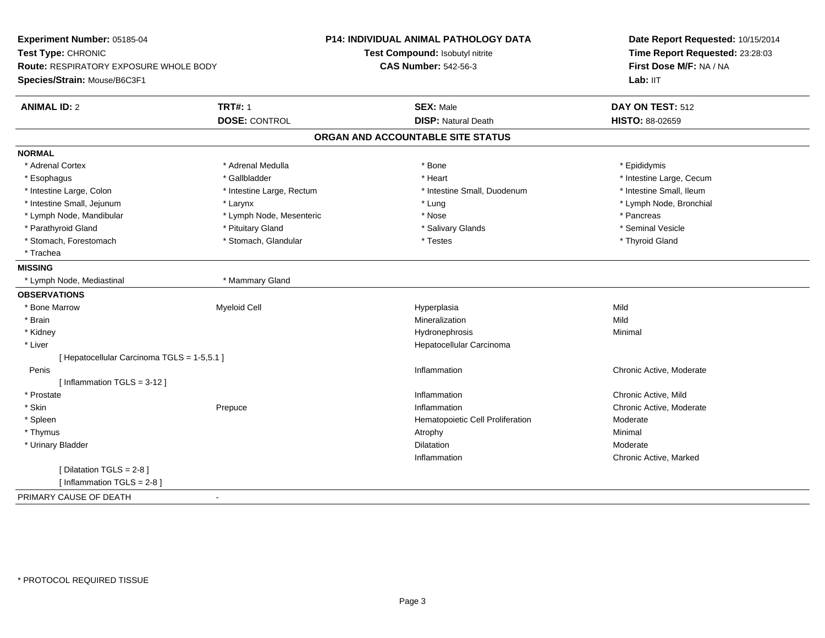| Experiment Number: 05185-04                   |                           | <b>P14: INDIVIDUAL ANIMAL PATHOLOGY DATA</b> | Date Report Requested: 10/15/2014 |  |
|-----------------------------------------------|---------------------------|----------------------------------------------|-----------------------------------|--|
| Test Type: CHRONIC                            |                           | Test Compound: Isobutyl nitrite              | Time Report Requested: 23:28:03   |  |
| <b>Route: RESPIRATORY EXPOSURE WHOLE BODY</b> |                           | <b>CAS Number: 542-56-3</b>                  | First Dose M/F: NA / NA           |  |
| Species/Strain: Mouse/B6C3F1                  |                           |                                              | Lab: IIT                          |  |
| <b>ANIMAL ID: 2</b>                           | <b>TRT#: 1</b>            | <b>SEX: Male</b>                             | DAY ON TEST: 512                  |  |
|                                               | <b>DOSE: CONTROL</b>      | <b>DISP: Natural Death</b>                   | <b>HISTO: 88-02659</b>            |  |
|                                               |                           | ORGAN AND ACCOUNTABLE SITE STATUS            |                                   |  |
| <b>NORMAL</b>                                 |                           |                                              |                                   |  |
| * Adrenal Cortex                              | * Adrenal Medulla         | * Bone                                       | * Epididymis                      |  |
| * Esophagus                                   | * Gallbladder             | * Heart                                      | * Intestine Large, Cecum          |  |
| * Intestine Large, Colon                      | * Intestine Large, Rectum | * Intestine Small, Duodenum                  | * Intestine Small, Ileum          |  |
| * Intestine Small, Jejunum                    | * Larynx                  | * Lung                                       | * Lymph Node, Bronchial           |  |
| * Lymph Node, Mandibular                      | * Lymph Node, Mesenteric  | * Nose                                       | * Pancreas                        |  |
| * Parathyroid Gland                           | * Pituitary Gland         | * Salivary Glands                            | * Seminal Vesicle                 |  |
| * Stomach, Forestomach                        | * Stomach, Glandular      | * Testes                                     | * Thyroid Gland                   |  |
| * Trachea                                     |                           |                                              |                                   |  |
| <b>MISSING</b>                                |                           |                                              |                                   |  |
| * Lymph Node, Mediastinal                     | * Mammary Gland           |                                              |                                   |  |
| <b>OBSERVATIONS</b>                           |                           |                                              |                                   |  |
| * Bone Marrow                                 | <b>Myeloid Cell</b>       | Hyperplasia                                  | Mild                              |  |
| * Brain                                       |                           | Mineralization                               | Mild                              |  |
| * Kidney                                      |                           | Hydronephrosis                               | Minimal                           |  |
| * Liver                                       |                           | Hepatocellular Carcinoma                     |                                   |  |
| [ Hepatocellular Carcinoma TGLS = 1-5,5.1 ]   |                           |                                              |                                   |  |
| Penis                                         |                           | Inflammation                                 | Chronic Active, Moderate          |  |
| [Inflammation $TGLS = 3-12$ ]                 |                           |                                              |                                   |  |
| * Prostate                                    |                           | Inflammation                                 | Chronic Active, Mild              |  |
| * Skin                                        | Prepuce                   | Inflammation                                 | Chronic Active, Moderate          |  |
| * Spleen                                      |                           | Hematopoietic Cell Proliferation             | Moderate                          |  |
| * Thymus                                      |                           | Atrophy                                      | Minimal                           |  |
| * Urinary Bladder                             |                           | <b>Dilatation</b>                            | Moderate                          |  |
|                                               |                           | Inflammation                                 | Chronic Active, Marked            |  |
| [ Dilatation TGLS = 2-8 ]                     |                           |                                              |                                   |  |
| [Inflammation TGLS = $2-8$ ]                  |                           |                                              |                                   |  |
| PRIMARY CAUSE OF DEATH                        | $\blacksquare$            |                                              |                                   |  |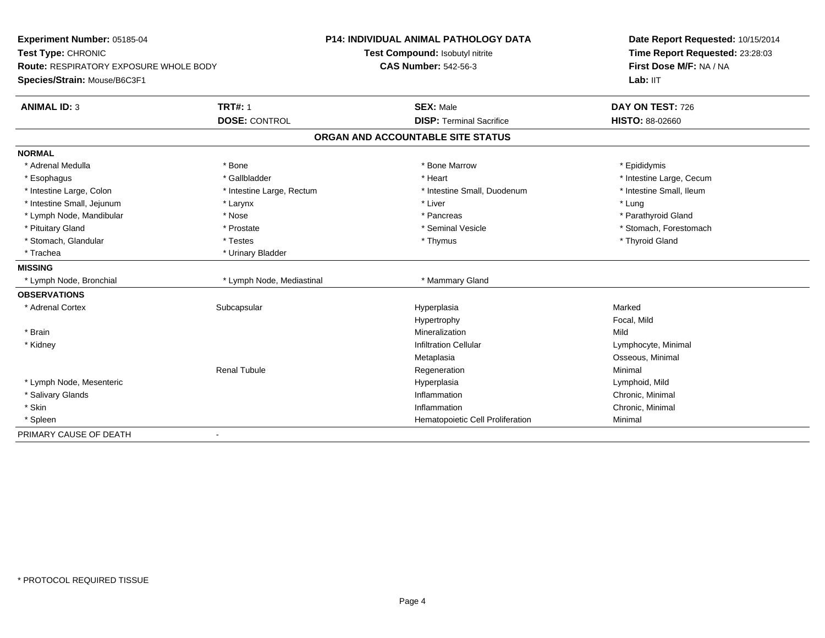| Experiment Number: 05185-04<br>Test Type: CHRONIC<br><b>Route: RESPIRATORY EXPOSURE WHOLE BODY</b> |                           | <b>P14: INDIVIDUAL ANIMAL PATHOLOGY DATA</b> | Date Report Requested: 10/15/2014<br>Time Report Requested: 23:28:03 |  |
|----------------------------------------------------------------------------------------------------|---------------------------|----------------------------------------------|----------------------------------------------------------------------|--|
|                                                                                                    |                           | Test Compound: Isobutyl nitrite              |                                                                      |  |
|                                                                                                    |                           | <b>CAS Number: 542-56-3</b>                  | First Dose M/F: NA / NA                                              |  |
| Species/Strain: Mouse/B6C3F1                                                                       |                           |                                              | Lab: IIT                                                             |  |
| <b>ANIMAL ID: 3</b>                                                                                | <b>TRT#: 1</b>            | <b>SEX: Male</b>                             | DAY ON TEST: 726                                                     |  |
|                                                                                                    | <b>DOSE: CONTROL</b>      | <b>DISP: Terminal Sacrifice</b>              | <b>HISTO: 88-02660</b>                                               |  |
|                                                                                                    |                           | ORGAN AND ACCOUNTABLE SITE STATUS            |                                                                      |  |
| <b>NORMAL</b>                                                                                      |                           |                                              |                                                                      |  |
| * Adrenal Medulla                                                                                  | * Bone                    | * Bone Marrow                                | * Epididymis                                                         |  |
| * Esophagus                                                                                        | * Gallbladder             | * Heart                                      | * Intestine Large, Cecum                                             |  |
| * Intestine Large, Colon                                                                           | * Intestine Large, Rectum | * Intestine Small, Duodenum                  | * Intestine Small, Ileum                                             |  |
| * Intestine Small, Jejunum                                                                         | * Larynx                  | * Liver                                      | * Lung                                                               |  |
| * Lymph Node, Mandibular                                                                           | * Nose                    | * Pancreas                                   | * Parathyroid Gland                                                  |  |
| * Pituitary Gland                                                                                  | * Prostate                | * Seminal Vesicle                            | * Stomach, Forestomach                                               |  |
| * Stomach, Glandular                                                                               | * Testes                  | * Thymus                                     | * Thyroid Gland                                                      |  |
| * Trachea                                                                                          | * Urinary Bladder         |                                              |                                                                      |  |
| <b>MISSING</b>                                                                                     |                           |                                              |                                                                      |  |
| * Lymph Node, Bronchial                                                                            | * Lymph Node, Mediastinal | * Mammary Gland                              |                                                                      |  |
| <b>OBSERVATIONS</b>                                                                                |                           |                                              |                                                                      |  |
| * Adrenal Cortex                                                                                   | Subcapsular               | Hyperplasia                                  | Marked                                                               |  |
|                                                                                                    |                           | Hypertrophy                                  | Focal, Mild                                                          |  |
| * Brain                                                                                            |                           | Mineralization                               | Mild                                                                 |  |
| * Kidney                                                                                           |                           | <b>Infiltration Cellular</b>                 | Lymphocyte, Minimal                                                  |  |
|                                                                                                    |                           | Metaplasia                                   | Osseous, Minimal                                                     |  |
|                                                                                                    | <b>Renal Tubule</b>       | Regeneration                                 | Minimal                                                              |  |
| * Lymph Node, Mesenteric                                                                           |                           | Hyperplasia                                  | Lymphoid, Mild                                                       |  |
| * Salivary Glands                                                                                  |                           | Inflammation                                 | Chronic, Minimal                                                     |  |
| * Skin                                                                                             |                           | Inflammation                                 | Chronic, Minimal                                                     |  |
| * Spleen                                                                                           |                           | Hematopoietic Cell Proliferation             | Minimal                                                              |  |
| PRIMARY CAUSE OF DEATH                                                                             | $\overline{\phantom{0}}$  |                                              |                                                                      |  |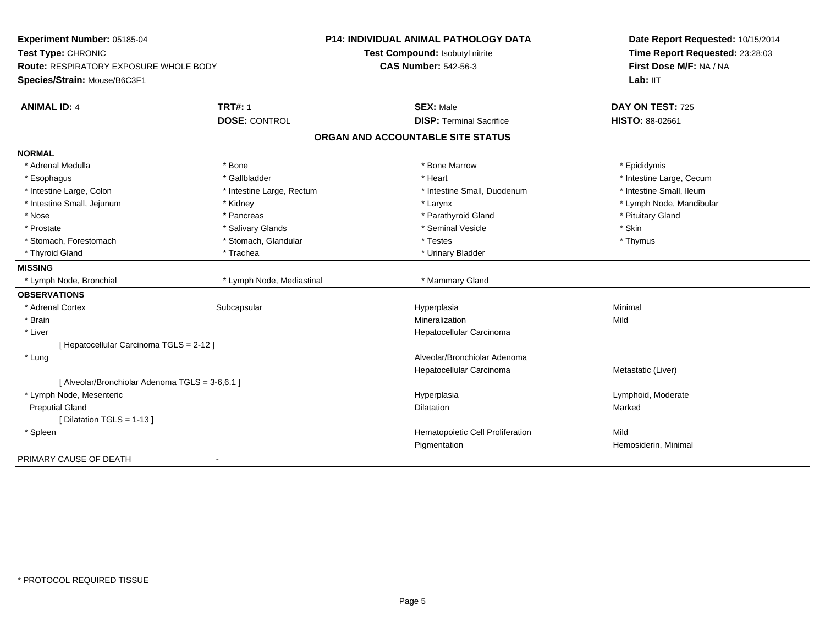| Experiment Number: 05185-04<br>Test Type: CHRONIC |                           | <b>P14: INDIVIDUAL ANIMAL PATHOLOGY DATA</b> | Date Report Requested: 10/15/2014 |  |
|---------------------------------------------------|---------------------------|----------------------------------------------|-----------------------------------|--|
|                                                   |                           | Test Compound: Isobutyl nitrite              | Time Report Requested: 23:28:03   |  |
| <b>Route: RESPIRATORY EXPOSURE WHOLE BODY</b>     |                           | <b>CAS Number: 542-56-3</b>                  | First Dose M/F: NA / NA           |  |
| Species/Strain: Mouse/B6C3F1                      |                           |                                              | Lab: IIT                          |  |
| <b>ANIMAL ID: 4</b>                               | <b>TRT#: 1</b>            | <b>SEX: Male</b>                             | DAY ON TEST: 725                  |  |
|                                                   | <b>DOSE: CONTROL</b>      | <b>DISP: Terminal Sacrifice</b>              | HISTO: 88-02661                   |  |
|                                                   |                           | ORGAN AND ACCOUNTABLE SITE STATUS            |                                   |  |
| <b>NORMAL</b>                                     |                           |                                              |                                   |  |
| * Adrenal Medulla                                 | * Bone                    | * Bone Marrow                                | * Epididymis                      |  |
| * Esophagus                                       | * Gallbladder             | * Heart                                      | * Intestine Large, Cecum          |  |
| * Intestine Large, Colon                          | * Intestine Large, Rectum | * Intestine Small, Duodenum                  | * Intestine Small, Ileum          |  |
| * Intestine Small, Jejunum                        | * Kidney                  | * Larynx                                     | * Lymph Node, Mandibular          |  |
| * Nose                                            | * Pancreas                | * Parathyroid Gland                          | * Pituitary Gland                 |  |
| * Prostate                                        | * Salivary Glands         | * Seminal Vesicle                            | * Skin                            |  |
| * Stomach, Forestomach                            | * Stomach, Glandular      | * Testes                                     | * Thymus                          |  |
| * Thyroid Gland                                   | * Trachea                 | * Urinary Bladder                            |                                   |  |
| <b>MISSING</b>                                    |                           |                                              |                                   |  |
| * Lymph Node, Bronchial                           | * Lymph Node, Mediastinal | * Mammary Gland                              |                                   |  |
| <b>OBSERVATIONS</b>                               |                           |                                              |                                   |  |
| * Adrenal Cortex                                  | Subcapsular               | Hyperplasia                                  | Minimal                           |  |
| * Brain                                           |                           | Mineralization                               | Mild                              |  |
| * Liver                                           |                           | Hepatocellular Carcinoma                     |                                   |  |
| [ Hepatocellular Carcinoma TGLS = 2-12 ]          |                           |                                              |                                   |  |
| * Lung                                            |                           | Alveolar/Bronchiolar Adenoma                 |                                   |  |
|                                                   |                           | Hepatocellular Carcinoma                     | Metastatic (Liver)                |  |
| [ Alveolar/Bronchiolar Adenoma TGLS = 3-6,6.1 ]   |                           |                                              |                                   |  |
| * Lymph Node, Mesenteric                          |                           | Hyperplasia                                  | Lymphoid, Moderate                |  |
| <b>Preputial Gland</b>                            |                           | <b>Dilatation</b>                            | Marked                            |  |
| [ Dilatation TGLS = 1-13 ]                        |                           |                                              |                                   |  |
| * Spleen                                          |                           | Hematopoietic Cell Proliferation             | Mild                              |  |
|                                                   |                           | Pigmentation                                 | Hemosiderin, Minimal              |  |
| PRIMARY CAUSE OF DEATH                            | $\blacksquare$            |                                              |                                   |  |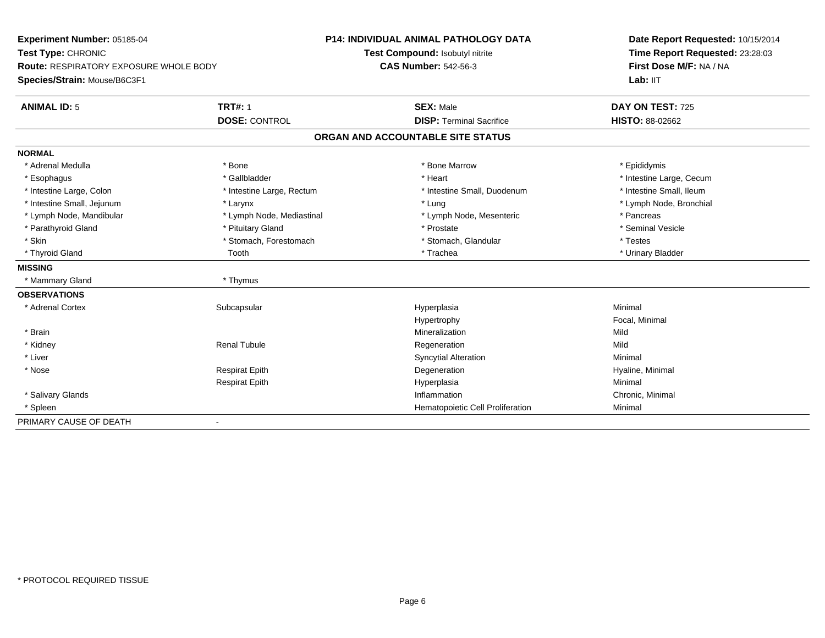| Experiment Number: 05185-04                   |                           | <b>P14: INDIVIDUAL ANIMAL PATHOLOGY DATA</b> | Date Report Requested: 10/15/2014 |
|-----------------------------------------------|---------------------------|----------------------------------------------|-----------------------------------|
| Test Type: CHRONIC                            |                           | Test Compound: Isobutyl nitrite              | Time Report Requested: 23:28:03   |
| <b>Route: RESPIRATORY EXPOSURE WHOLE BODY</b> |                           | <b>CAS Number: 542-56-3</b>                  | First Dose M/F: NA / NA           |
| Species/Strain: Mouse/B6C3F1                  |                           |                                              | Lab: IIT                          |
| <b>ANIMAL ID: 5</b>                           | <b>TRT#: 1</b>            | <b>SEX: Male</b>                             | DAY ON TEST: 725                  |
|                                               | <b>DOSE: CONTROL</b>      | <b>DISP: Terminal Sacrifice</b>              | <b>HISTO: 88-02662</b>            |
|                                               |                           | ORGAN AND ACCOUNTABLE SITE STATUS            |                                   |
| <b>NORMAL</b>                                 |                           |                                              |                                   |
| * Adrenal Medulla                             | * Bone                    | * Bone Marrow                                | * Epididymis                      |
| * Esophagus                                   | * Gallbladder             | * Heart                                      | * Intestine Large, Cecum          |
| * Intestine Large, Colon                      | * Intestine Large, Rectum | * Intestine Small, Duodenum                  | * Intestine Small, Ileum          |
| * Intestine Small, Jejunum                    | * Larynx                  | * Lung                                       | * Lymph Node, Bronchial           |
| * Lymph Node, Mandibular                      | * Lymph Node, Mediastinal | * Lymph Node, Mesenteric                     | * Pancreas                        |
| * Parathyroid Gland                           | * Pituitary Gland         | * Prostate                                   | * Seminal Vesicle                 |
| * Skin                                        | * Stomach, Forestomach    | * Stomach, Glandular                         | * Testes                          |
| * Thyroid Gland                               | Tooth                     | * Trachea                                    | * Urinary Bladder                 |
| <b>MISSING</b>                                |                           |                                              |                                   |
| * Mammary Gland                               | * Thymus                  |                                              |                                   |
| <b>OBSERVATIONS</b>                           |                           |                                              |                                   |
| * Adrenal Cortex                              | Subcapsular               | Hyperplasia                                  | Minimal                           |
|                                               |                           | Hypertrophy                                  | Focal, Minimal                    |
| * Brain                                       |                           | Mineralization                               | Mild                              |
| * Kidney                                      | <b>Renal Tubule</b>       | Regeneration                                 | Mild                              |
| * Liver                                       |                           | <b>Syncytial Alteration</b>                  | Minimal                           |
| * Nose                                        | <b>Respirat Epith</b>     | Degeneration                                 | Hyaline, Minimal                  |
|                                               | <b>Respirat Epith</b>     | Hyperplasia                                  | Minimal                           |
| * Salivary Glands                             |                           | Inflammation                                 | Chronic, Minimal                  |
| * Spleen                                      |                           | Hematopoietic Cell Proliferation             | Minimal                           |
| PRIMARY CAUSE OF DEATH                        |                           |                                              |                                   |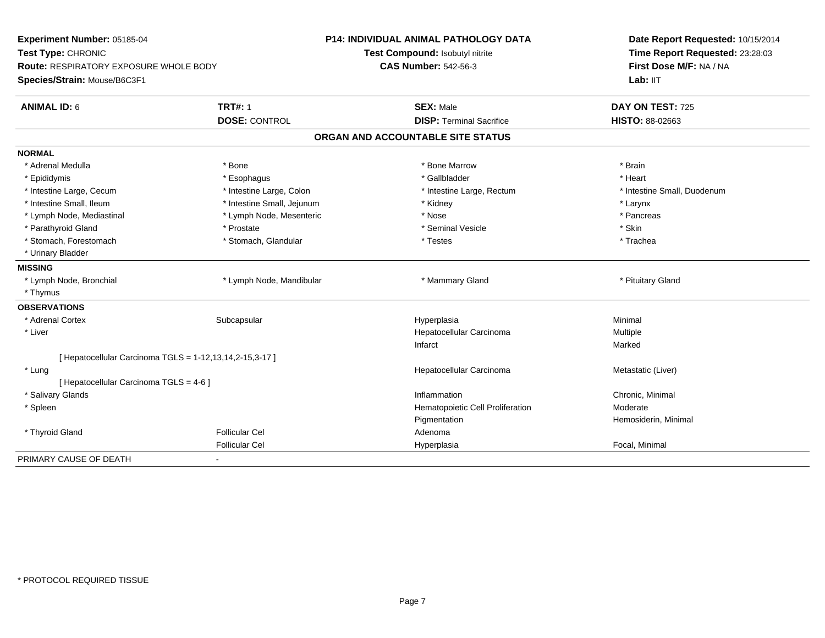| Experiment Number: 05185-04<br>Test Type: CHRONIC<br><b>Route: RESPIRATORY EXPOSURE WHOLE BODY</b> |                            | <b>P14: INDIVIDUAL ANIMAL PATHOLOGY DATA</b> | Date Report Requested: 10/15/2014<br>Time Report Requested: 23:28:03<br>First Dose M/F: NA / NA |  |
|----------------------------------------------------------------------------------------------------|----------------------------|----------------------------------------------|-------------------------------------------------------------------------------------------------|--|
|                                                                                                    |                            | Test Compound: Isobutyl nitrite              |                                                                                                 |  |
|                                                                                                    |                            | <b>CAS Number: 542-56-3</b>                  |                                                                                                 |  |
| Species/Strain: Mouse/B6C3F1                                                                       |                            |                                              | Lab: IIT                                                                                        |  |
| <b>ANIMAL ID: 6</b>                                                                                | <b>TRT#: 1</b>             | <b>SEX: Male</b>                             | DAY ON TEST: 725                                                                                |  |
|                                                                                                    | <b>DOSE: CONTROL</b>       | <b>DISP: Terminal Sacrifice</b>              | HISTO: 88-02663                                                                                 |  |
|                                                                                                    |                            | ORGAN AND ACCOUNTABLE SITE STATUS            |                                                                                                 |  |
| <b>NORMAL</b>                                                                                      |                            |                                              |                                                                                                 |  |
| * Adrenal Medulla                                                                                  | * Bone                     | * Bone Marrow                                | * Brain                                                                                         |  |
| * Epididymis                                                                                       | * Esophagus                | * Gallbladder                                | * Heart                                                                                         |  |
| * Intestine Large, Cecum                                                                           | * Intestine Large, Colon   | * Intestine Large, Rectum                    | * Intestine Small, Duodenum                                                                     |  |
| * Intestine Small. Ileum                                                                           | * Intestine Small, Jejunum | * Kidney                                     | * Larynx                                                                                        |  |
| * Lymph Node, Mediastinal                                                                          | * Lymph Node, Mesenteric   | * Nose                                       | * Pancreas                                                                                      |  |
| * Parathyroid Gland                                                                                | * Prostate                 | * Seminal Vesicle                            | * Skin                                                                                          |  |
| * Stomach, Forestomach                                                                             | * Stomach, Glandular       | * Testes                                     | * Trachea                                                                                       |  |
| * Urinary Bladder                                                                                  |                            |                                              |                                                                                                 |  |
| <b>MISSING</b>                                                                                     |                            |                                              |                                                                                                 |  |
| * Lymph Node, Bronchial                                                                            | * Lymph Node, Mandibular   | * Mammary Gland                              | * Pituitary Gland                                                                               |  |
| * Thymus                                                                                           |                            |                                              |                                                                                                 |  |
| <b>OBSERVATIONS</b>                                                                                |                            |                                              |                                                                                                 |  |
| * Adrenal Cortex                                                                                   | Subcapsular                | Hyperplasia                                  | Minimal                                                                                         |  |
| * Liver                                                                                            |                            | Hepatocellular Carcinoma                     | Multiple                                                                                        |  |
|                                                                                                    |                            | Infarct                                      | Marked                                                                                          |  |
| [ Hepatocellular Carcinoma TGLS = 1-12,13,14,2-15,3-17 ]                                           |                            |                                              |                                                                                                 |  |
| * Lung                                                                                             |                            | Hepatocellular Carcinoma                     | Metastatic (Liver)                                                                              |  |
| [ Hepatocellular Carcinoma TGLS = 4-6 ]                                                            |                            |                                              |                                                                                                 |  |
| * Salivary Glands                                                                                  |                            | Inflammation                                 | Chronic, Minimal                                                                                |  |
| * Spleen                                                                                           |                            | Hematopoietic Cell Proliferation             | Moderate                                                                                        |  |
|                                                                                                    |                            | Pigmentation                                 | Hemosiderin, Minimal                                                                            |  |
| * Thyroid Gland                                                                                    | <b>Follicular Cel</b>      | Adenoma                                      |                                                                                                 |  |
|                                                                                                    | <b>Follicular Cel</b>      | Hyperplasia                                  | Focal, Minimal                                                                                  |  |
| PRIMARY CAUSE OF DEATH                                                                             |                            |                                              |                                                                                                 |  |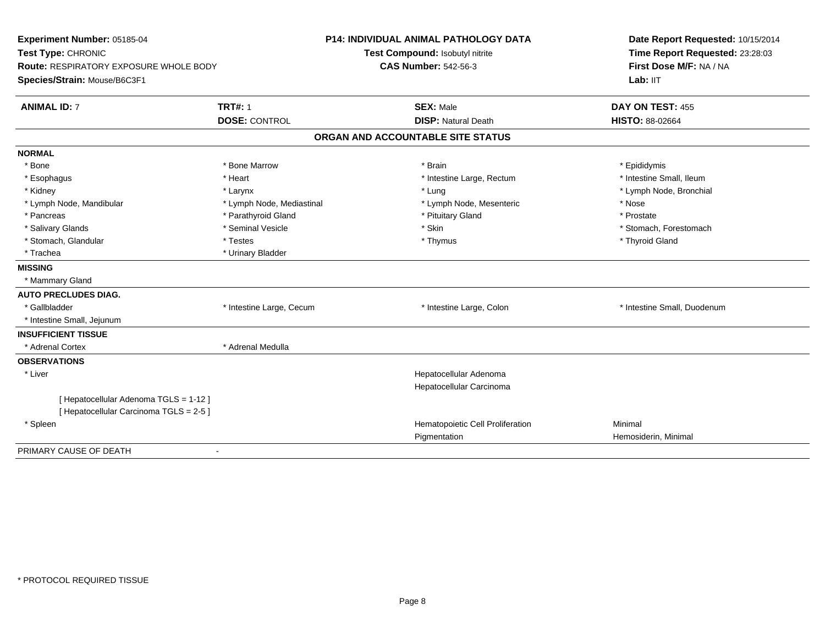| Experiment Number: 05185-04<br>Test Type: CHRONIC<br>Route: RESPIRATORY EXPOSURE WHOLE BODY<br>Species/Strain: Mouse/B6C3F1 | <b>P14: INDIVIDUAL ANIMAL PATHOLOGY DATA</b><br>Test Compound: Isobutyl nitrite<br><b>CAS Number: 542-56-3</b> |                                   | Date Report Requested: 10/15/2014<br>Time Report Requested: 23:28:03<br>First Dose M/F: NA / NA<br>Lab: IIT |  |
|-----------------------------------------------------------------------------------------------------------------------------|----------------------------------------------------------------------------------------------------------------|-----------------------------------|-------------------------------------------------------------------------------------------------------------|--|
| <b>ANIMAL ID: 7</b>                                                                                                         | <b>TRT#: 1</b>                                                                                                 | <b>SEX: Male</b>                  | DAY ON TEST: 455                                                                                            |  |
|                                                                                                                             | <b>DOSE: CONTROL</b>                                                                                           | <b>DISP: Natural Death</b>        | HISTO: 88-02664                                                                                             |  |
|                                                                                                                             |                                                                                                                | ORGAN AND ACCOUNTABLE SITE STATUS |                                                                                                             |  |
| <b>NORMAL</b>                                                                                                               |                                                                                                                |                                   |                                                                                                             |  |
| * Bone                                                                                                                      | * Bone Marrow                                                                                                  | * Brain                           | * Epididymis                                                                                                |  |
| * Esophagus                                                                                                                 | * Heart                                                                                                        | * Intestine Large, Rectum         | * Intestine Small, Ileum                                                                                    |  |
| * Kidney                                                                                                                    | * Larynx                                                                                                       | * Lung                            | * Lymph Node, Bronchial                                                                                     |  |
| * Lymph Node, Mandibular                                                                                                    | * Lymph Node, Mediastinal                                                                                      | * Lymph Node, Mesenteric          | * Nose                                                                                                      |  |
| * Pancreas                                                                                                                  | * Parathyroid Gland                                                                                            | * Pituitary Gland                 | * Prostate                                                                                                  |  |
| * Salivary Glands                                                                                                           | * Seminal Vesicle                                                                                              | * Skin                            | * Stomach, Forestomach                                                                                      |  |
| * Stomach, Glandular                                                                                                        | * Testes                                                                                                       | * Thymus                          | * Thyroid Gland                                                                                             |  |
| * Trachea                                                                                                                   | * Urinary Bladder                                                                                              |                                   |                                                                                                             |  |
| <b>MISSING</b>                                                                                                              |                                                                                                                |                                   |                                                                                                             |  |
| * Mammary Gland                                                                                                             |                                                                                                                |                                   |                                                                                                             |  |
| <b>AUTO PRECLUDES DIAG.</b>                                                                                                 |                                                                                                                |                                   |                                                                                                             |  |
| * Gallbladder                                                                                                               | * Intestine Large, Cecum                                                                                       | * Intestine Large, Colon          | * Intestine Small, Duodenum                                                                                 |  |
| * Intestine Small, Jejunum                                                                                                  |                                                                                                                |                                   |                                                                                                             |  |
| <b>INSUFFICIENT TISSUE</b>                                                                                                  |                                                                                                                |                                   |                                                                                                             |  |
| * Adrenal Cortex                                                                                                            | * Adrenal Medulla                                                                                              |                                   |                                                                                                             |  |
| <b>OBSERVATIONS</b>                                                                                                         |                                                                                                                |                                   |                                                                                                             |  |
| * Liver                                                                                                                     |                                                                                                                | Hepatocellular Adenoma            |                                                                                                             |  |
|                                                                                                                             |                                                                                                                | Hepatocellular Carcinoma          |                                                                                                             |  |
| [Hepatocellular Adenoma TGLS = 1-12]<br>[ Hepatocellular Carcinoma TGLS = 2-5 ]                                             |                                                                                                                |                                   |                                                                                                             |  |
| * Spleen                                                                                                                    |                                                                                                                | Hematopoietic Cell Proliferation  | Minimal                                                                                                     |  |
|                                                                                                                             |                                                                                                                | Pigmentation                      | Hemosiderin, Minimal                                                                                        |  |
| PRIMARY CAUSE OF DEATH                                                                                                      |                                                                                                                |                                   |                                                                                                             |  |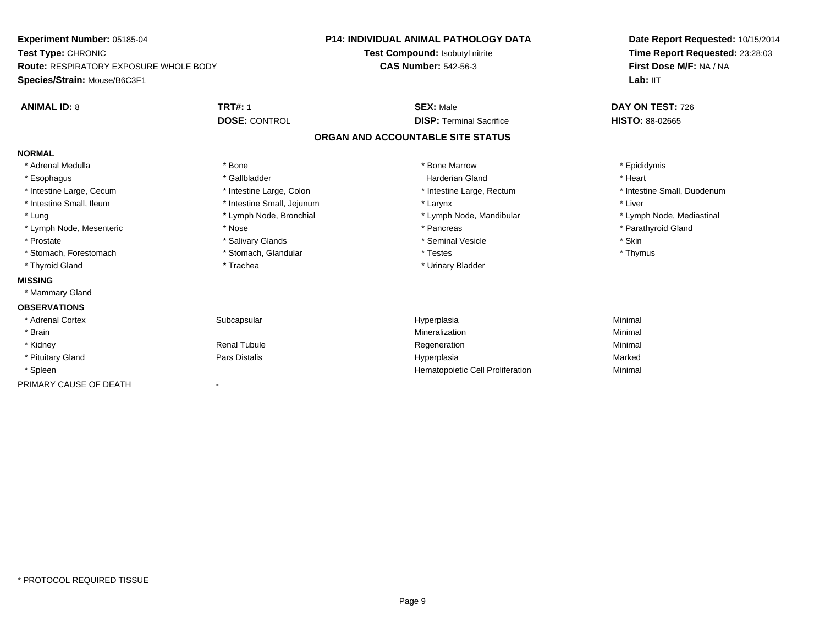| <b>Experiment Number: 05185-04</b>                                  |                            | <b>P14: INDIVIDUAL ANIMAL PATHOLOGY DATA</b> |                                   | Date Report Requested: 10/15/2014 |  |  |
|---------------------------------------------------------------------|----------------------------|----------------------------------------------|-----------------------------------|-----------------------------------|--|--|
| Test Type: CHRONIC<br><b>Route: RESPIRATORY EXPOSURE WHOLE BODY</b> |                            |                                              | Test Compound: Isobutyl nitrite   | Time Report Requested: 23:28:03   |  |  |
|                                                                     |                            | <b>CAS Number: 542-56-3</b>                  |                                   | First Dose M/F: NA / NA           |  |  |
| Species/Strain: Mouse/B6C3F1                                        |                            |                                              |                                   | Lab: IIT                          |  |  |
| <b>ANIMAL ID: 8</b>                                                 | <b>TRT#: 1</b>             |                                              | <b>SEX: Male</b>                  | DAY ON TEST: 726                  |  |  |
|                                                                     | <b>DOSE: CONTROL</b>       |                                              | <b>DISP: Terminal Sacrifice</b>   | <b>HISTO: 88-02665</b>            |  |  |
|                                                                     |                            |                                              | ORGAN AND ACCOUNTABLE SITE STATUS |                                   |  |  |
| <b>NORMAL</b>                                                       |                            |                                              |                                   |                                   |  |  |
| * Adrenal Medulla                                                   | * Bone                     |                                              | * Bone Marrow                     | * Epididymis                      |  |  |
| * Esophagus                                                         | * Gallbladder              |                                              | Harderian Gland                   | * Heart                           |  |  |
| * Intestine Large, Cecum                                            | * Intestine Large, Colon   |                                              | * Intestine Large, Rectum         | * Intestine Small, Duodenum       |  |  |
| * Intestine Small, Ileum                                            | * Intestine Small, Jejunum |                                              | * Larynx                          | * Liver                           |  |  |
| * Lung                                                              | * Lymph Node, Bronchial    |                                              | * Lymph Node, Mandibular          | * Lymph Node, Mediastinal         |  |  |
| * Lymph Node, Mesenteric                                            | * Nose                     |                                              | * Pancreas                        | * Parathyroid Gland               |  |  |
| * Prostate                                                          | * Salivary Glands          |                                              | * Seminal Vesicle                 | * Skin                            |  |  |
| * Stomach, Forestomach                                              | * Stomach, Glandular       |                                              | * Testes                          | * Thymus                          |  |  |
| * Thyroid Gland                                                     | * Trachea                  |                                              | * Urinary Bladder                 |                                   |  |  |
| <b>MISSING</b>                                                      |                            |                                              |                                   |                                   |  |  |
| * Mammary Gland                                                     |                            |                                              |                                   |                                   |  |  |
| <b>OBSERVATIONS</b>                                                 |                            |                                              |                                   |                                   |  |  |
| * Adrenal Cortex                                                    | Subcapsular                |                                              | Hyperplasia                       | Minimal                           |  |  |
| * Brain                                                             |                            |                                              | Mineralization                    | Minimal                           |  |  |
| * Kidney                                                            | <b>Renal Tubule</b>        |                                              | Regeneration                      | Minimal                           |  |  |
| * Pituitary Gland                                                   | Pars Distalis              |                                              | Hyperplasia                       | Marked                            |  |  |
| * Spleen                                                            |                            |                                              | Hematopoietic Cell Proliferation  | Minimal                           |  |  |
| PRIMARY CAUSE OF DEATH                                              |                            |                                              |                                   |                                   |  |  |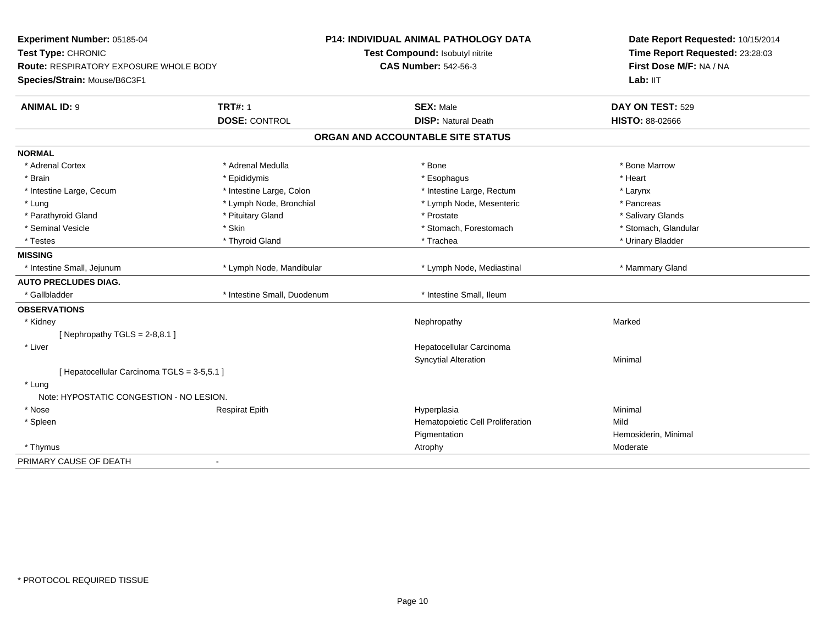| Experiment Number: 05185-04                   |                             | <b>P14: INDIVIDUAL ANIMAL PATHOLOGY DATA</b> | Date Report Requested: 10/15/2014 |  |
|-----------------------------------------------|-----------------------------|----------------------------------------------|-----------------------------------|--|
| Test Type: CHRONIC                            |                             | Test Compound: Isobutyl nitrite              | Time Report Requested: 23:28:03   |  |
| <b>Route: RESPIRATORY EXPOSURE WHOLE BODY</b> |                             | <b>CAS Number: 542-56-3</b>                  | First Dose M/F: NA / NA           |  |
| Species/Strain: Mouse/B6C3F1                  |                             |                                              | Lab: IIT                          |  |
| <b>ANIMAL ID: 9</b>                           | <b>TRT#: 1</b>              | <b>SEX: Male</b>                             | DAY ON TEST: 529                  |  |
|                                               | <b>DOSE: CONTROL</b>        | <b>DISP: Natural Death</b>                   | HISTO: 88-02666                   |  |
|                                               |                             | ORGAN AND ACCOUNTABLE SITE STATUS            |                                   |  |
| <b>NORMAL</b>                                 |                             |                                              |                                   |  |
| * Adrenal Cortex                              | * Adrenal Medulla           | * Bone                                       | * Bone Marrow                     |  |
| * Brain                                       | * Epididymis                | * Esophagus                                  | * Heart                           |  |
| * Intestine Large, Cecum                      | * Intestine Large, Colon    | * Intestine Large, Rectum                    | * Larynx                          |  |
| * Lung                                        | * Lymph Node, Bronchial     | * Lymph Node, Mesenteric                     | * Pancreas                        |  |
| * Parathyroid Gland                           | * Pituitary Gland           | * Prostate                                   | * Salivary Glands                 |  |
| * Seminal Vesicle                             | * Skin                      | * Stomach, Forestomach                       | * Stomach, Glandular              |  |
| * Testes                                      | * Thyroid Gland             | * Trachea                                    | * Urinary Bladder                 |  |
| <b>MISSING</b>                                |                             |                                              |                                   |  |
| * Intestine Small, Jejunum                    | * Lymph Node, Mandibular    | * Lymph Node, Mediastinal                    | * Mammary Gland                   |  |
| <b>AUTO PRECLUDES DIAG.</b>                   |                             |                                              |                                   |  |
| * Gallbladder                                 | * Intestine Small, Duodenum | * Intestine Small, Ileum                     |                                   |  |
| <b>OBSERVATIONS</b>                           |                             |                                              |                                   |  |
| * Kidney                                      |                             | Nephropathy                                  | Marked                            |  |
| [Nephropathy TGLS = $2-8,8.1$ ]               |                             |                                              |                                   |  |
| * Liver                                       |                             | Hepatocellular Carcinoma                     |                                   |  |
|                                               |                             | <b>Syncytial Alteration</b>                  | Minimal                           |  |
| [ Hepatocellular Carcinoma TGLS = 3-5,5.1 ]   |                             |                                              |                                   |  |
| * Lung                                        |                             |                                              |                                   |  |
| Note: HYPOSTATIC CONGESTION - NO LESION.      |                             |                                              |                                   |  |
| * Nose                                        | <b>Respirat Epith</b>       | Hyperplasia                                  | Minimal                           |  |
| * Spleen                                      |                             | Hematopoietic Cell Proliferation             | Mild                              |  |
|                                               |                             | Pigmentation                                 | Hemosiderin, Minimal              |  |
| * Thymus                                      |                             | Atrophy                                      | Moderate                          |  |
| PRIMARY CAUSE OF DEATH                        | $\blacksquare$              |                                              |                                   |  |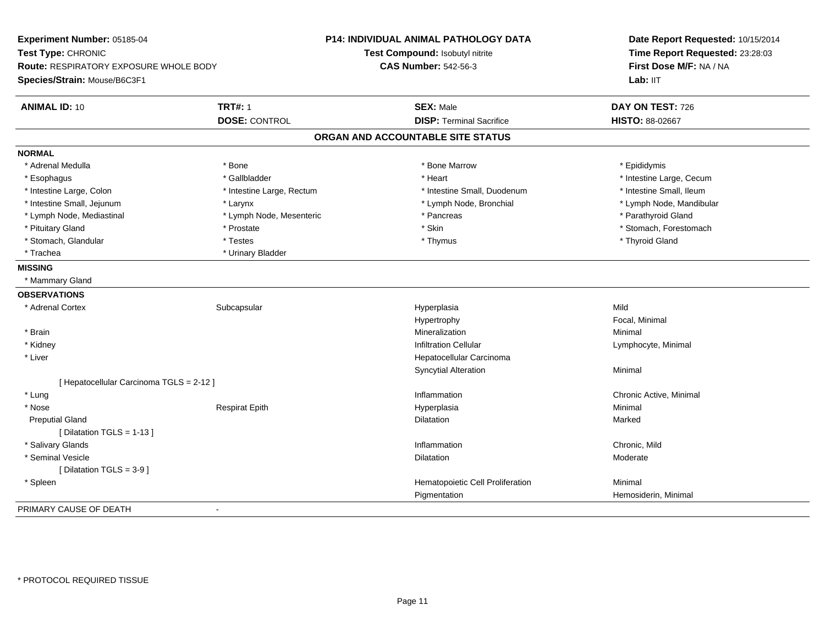**Experiment Number:** 05185-04**Test Type:** CHRONIC **Route:** RESPIRATORY EXPOSURE WHOLE BODY**Species/Strain:** Mouse/B6C3F1**P14: INDIVIDUAL ANIMAL PATHOLOGY DATATest Compound:** Isobutyl nitrite**CAS Number:** 542-56-3**Date Report Requested:** 10/15/2014**Time Report Requested:** 23:28:03**First Dose M/F:** NA / NALab: IIT **ANIMAL ID:** 10**TRT#:** 1 **SEX:** Male **DAY ON TEST:** 726 **DOSE:** CONTROL**DISP:** Terminal Sacrifice **HISTO:** 88-02667 **ORGAN AND ACCOUNTABLE SITE STATUSNORMAL**\* Adrenal Medulla \* Adrenal Medulla \* \* The matter of the state of the state of the Marrow \* Bone Marrow \* Adrenal Medulla \* Epididymis \* Epididymis \* Bone Marrow \* Adrenal Medulla \* Epididymis \* Epididymis \* Epididymis \* Epididymis \* Epidi \* Esophagus \* https://www.fragustage.com/web/2019/heart \* Heart \* Heart \* Heart \* Intestine Large, Cecum \* Intestine Large, Cecum \* Gallbladder \* Callbladder \* 11 and 12 and 12 and 12 and 12 and 12 and 12 and 12 and 12 and \* Intestine Small, Ileum \* Intestine Large, Colon \* Intestine Large, Rectum \* Intestine Small, Duodenum \* Intestine Small, Duodenum \* Intestine Small, Jejunum \* Larynx \* Lymph Node, Bronchial \* Lymph Node, Mandibular \* Lymph Node, Mediastinal \* Lymph Node, Mesenteric \* \* Pancreas \* Pancreas \* Pancreas \* Parathyroid Gland \* Pituitary Gland \* \* **Australian \* Stomach, Forestomach** \* Skin \* Skin \* Stomach, Forestomach \* Stomach, Forestomach \* Stomach, Glandular \* \* \* Thyroid Glandular \* Thestes \* \* Thymus \* Thymus \* Thyroid Glandular \* Thyroid Gland \* Trachea \* Urinary Bladder**MISSING** \* Mammary Gland**OBSERVATIONS** \* Adrenal Cortexx Subcapsular Subcapsular Subsets and Hyperplasia a Mild Hypertrophy Focal, Minimal \* Brainn and the controller of the controller of the controller of the Minimal Mineralization and the controller of the Minimal Minimal  $\alpha$  \* Kidneyy with the contract of the contract of the contract of the contract of the contract of the contract of the contract of  $\mathsf{Lymphocyte}$ , Minimal \* Liver Hepatocellular CarcinomaSyncytial Alterationn Minimal [ Hepatocellular Carcinoma TGLS = 2-12 ] \* Lungg is a controller to the controller of the controller of the chronic Active, Minimal of the chronic Active, Minimal of the chronic Active, Minimal of the chronic Active, Minimal of the chronic Active, Minimal of the chroni \* Nose Respirat Epith Hyperplasia Minimal Preputial Glandd and the control of the control of the control of the control of the control of the control of the control of the control of the control of the control of the control of the control of the control of the control of the co [ Dilatation TGLS = 1-13 ] \* Salivary Glandss and the contract of the contract of the contract of the contract of the contract of the contract of the contract of the contract of the contract of the contract of the contract of the contract of the contract of the cont Inflammation **Chronic, Mild**<br>
Dilatation Moderate Moderate \* Seminal Vesiclee de la contraction de la contraction de la contraction de la contraction de la contraction de la contraction de la contraction de la contraction de la contraction de la contraction de la contraction de la contraction de l [ Dilatation TGLS = 3-9 ] \* SpleenHematopoietic Cell Proliferation Minimal **Pigmentation**  Hemosiderin, Minimal PRIMARY CAUSE OF DEATH-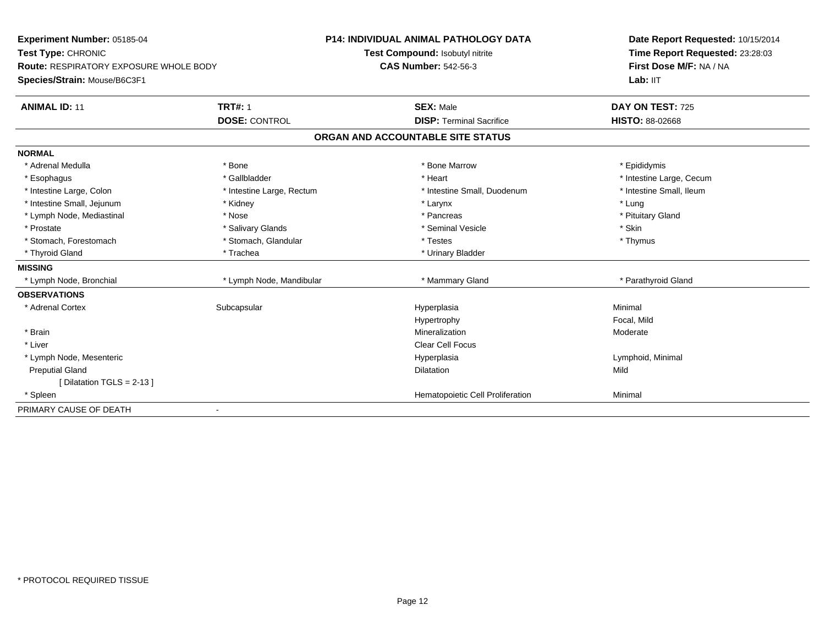| Experiment Number: 05185-04<br>Test Type: CHRONIC |                           | <b>P14: INDIVIDUAL ANIMAL PATHOLOGY DATA</b> | Date Report Requested: 10/15/2014 |  |
|---------------------------------------------------|---------------------------|----------------------------------------------|-----------------------------------|--|
|                                                   |                           | Test Compound: Isobutyl nitrite              | Time Report Requested: 23:28:03   |  |
| <b>Route: RESPIRATORY EXPOSURE WHOLE BODY</b>     |                           | <b>CAS Number: 542-56-3</b>                  | First Dose M/F: NA / NA           |  |
| Species/Strain: Mouse/B6C3F1                      |                           |                                              | Lab: IIT                          |  |
| <b>ANIMAL ID: 11</b>                              | <b>TRT#: 1</b>            | <b>SEX: Male</b>                             | DAY ON TEST: 725                  |  |
|                                                   | <b>DOSE: CONTROL</b>      | <b>DISP: Terminal Sacrifice</b>              | <b>HISTO: 88-02668</b>            |  |
|                                                   |                           | ORGAN AND ACCOUNTABLE SITE STATUS            |                                   |  |
| <b>NORMAL</b>                                     |                           |                                              |                                   |  |
| * Adrenal Medulla                                 | * Bone                    | * Bone Marrow                                | * Epididymis                      |  |
| * Esophagus                                       | * Gallbladder             | * Heart                                      | * Intestine Large, Cecum          |  |
| * Intestine Large, Colon                          | * Intestine Large, Rectum | * Intestine Small, Duodenum                  | * Intestine Small, Ileum          |  |
| * Intestine Small, Jejunum                        | * Kidney                  | * Larynx                                     | * Lung                            |  |
| * Lymph Node, Mediastinal                         | * Nose                    | * Pancreas                                   | * Pituitary Gland                 |  |
| * Prostate                                        | * Salivary Glands         | * Seminal Vesicle                            | * Skin                            |  |
| * Stomach, Forestomach                            | * Stomach, Glandular      | * Testes                                     | * Thymus                          |  |
| * Thyroid Gland                                   | * Trachea                 | * Urinary Bladder                            |                                   |  |
| <b>MISSING</b>                                    |                           |                                              |                                   |  |
| * Lymph Node, Bronchial                           | * Lymph Node, Mandibular  | * Mammary Gland                              | * Parathyroid Gland               |  |
| <b>OBSERVATIONS</b>                               |                           |                                              |                                   |  |
| * Adrenal Cortex                                  | Subcapsular               | Hyperplasia                                  | Minimal                           |  |
|                                                   |                           | Hypertrophy                                  | Focal, Mild                       |  |
| * Brain                                           |                           | Mineralization                               | Moderate                          |  |
| * Liver                                           |                           | <b>Clear Cell Focus</b>                      |                                   |  |
| * Lymph Node, Mesenteric                          |                           | Hyperplasia                                  | Lymphoid, Minimal                 |  |
| <b>Preputial Gland</b>                            |                           | Dilatation                                   | Mild                              |  |
| [Dilatation TGLS = 2-13]                          |                           |                                              |                                   |  |
| * Spleen                                          |                           | Hematopoietic Cell Proliferation             | Minimal                           |  |
| PRIMARY CAUSE OF DEATH                            |                           |                                              |                                   |  |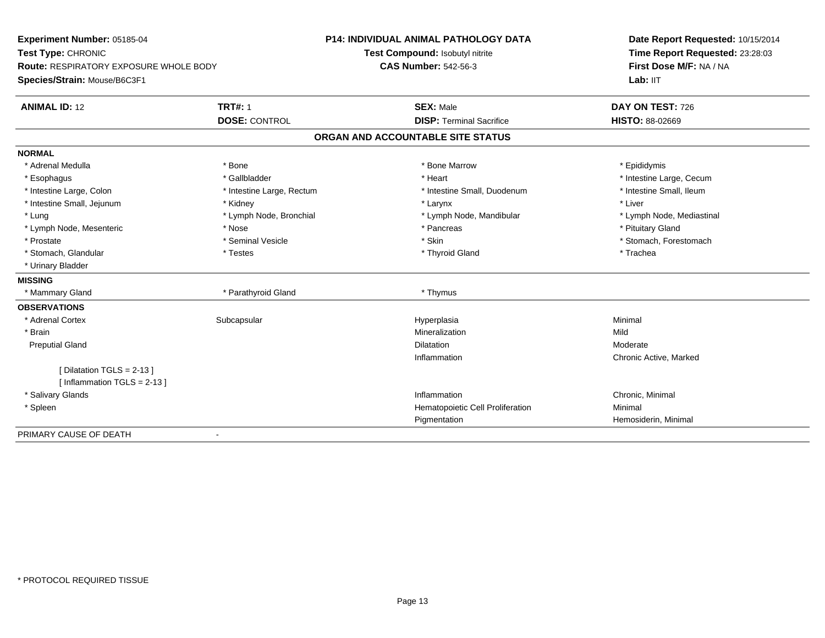| Experiment Number: 05185-04<br>Test Type: CHRONIC<br><b>Route: RESPIRATORY EXPOSURE WHOLE BODY</b> |                           | <b>P14: INDIVIDUAL ANIMAL PATHOLOGY DATA</b> | Date Report Requested: 10/15/2014<br>Time Report Requested: 23:28:03<br>First Dose M/F: NA / NA |  |
|----------------------------------------------------------------------------------------------------|---------------------------|----------------------------------------------|-------------------------------------------------------------------------------------------------|--|
|                                                                                                    |                           | Test Compound: Isobutyl nitrite              |                                                                                                 |  |
|                                                                                                    |                           | <b>CAS Number: 542-56-3</b>                  |                                                                                                 |  |
| Species/Strain: Mouse/B6C3F1                                                                       |                           |                                              | Lab: IIT                                                                                        |  |
| <b>ANIMAL ID: 12</b>                                                                               | <b>TRT#: 1</b>            | <b>SEX: Male</b>                             | DAY ON TEST: 726                                                                                |  |
|                                                                                                    | <b>DOSE: CONTROL</b>      | <b>DISP: Terminal Sacrifice</b>              | <b>HISTO: 88-02669</b>                                                                          |  |
|                                                                                                    |                           | ORGAN AND ACCOUNTABLE SITE STATUS            |                                                                                                 |  |
| <b>NORMAL</b>                                                                                      |                           |                                              |                                                                                                 |  |
| * Adrenal Medulla                                                                                  | * Bone                    | * Bone Marrow                                | * Epididymis                                                                                    |  |
| * Esophagus                                                                                        | * Gallbladder             | * Heart                                      | * Intestine Large, Cecum                                                                        |  |
| * Intestine Large, Colon                                                                           | * Intestine Large, Rectum | * Intestine Small, Duodenum                  | * Intestine Small, Ileum                                                                        |  |
| * Intestine Small, Jejunum                                                                         | * Kidney                  | * Larynx                                     | * Liver                                                                                         |  |
| * Lung                                                                                             | * Lymph Node, Bronchial   | * Lymph Node, Mandibular                     | * Lymph Node, Mediastinal                                                                       |  |
| * Lymph Node, Mesenteric                                                                           | * Nose                    | * Pancreas                                   | * Pituitary Gland                                                                               |  |
| * Prostate                                                                                         | * Seminal Vesicle         | * Skin                                       | * Stomach, Forestomach                                                                          |  |
| * Stomach, Glandular                                                                               | * Testes                  | * Thyroid Gland                              | * Trachea                                                                                       |  |
| * Urinary Bladder                                                                                  |                           |                                              |                                                                                                 |  |
| <b>MISSING</b>                                                                                     |                           |                                              |                                                                                                 |  |
| * Mammary Gland                                                                                    | * Parathyroid Gland       | * Thymus                                     |                                                                                                 |  |
| <b>OBSERVATIONS</b>                                                                                |                           |                                              |                                                                                                 |  |
| * Adrenal Cortex                                                                                   | Subcapsular               | Hyperplasia                                  | Minimal                                                                                         |  |
| * Brain                                                                                            |                           | Mineralization                               | Mild                                                                                            |  |
| <b>Preputial Gland</b>                                                                             |                           | Dilatation                                   | Moderate                                                                                        |  |
|                                                                                                    |                           | Inflammation                                 | Chronic Active, Marked                                                                          |  |
| [ Dilatation TGLS = 2-13 ]                                                                         |                           |                                              |                                                                                                 |  |
| [Inflammation TGLS = $2-13$ ]                                                                      |                           |                                              |                                                                                                 |  |
| * Salivary Glands                                                                                  |                           | Inflammation                                 | Chronic, Minimal                                                                                |  |
| * Spleen                                                                                           |                           | Hematopoietic Cell Proliferation             | Minimal                                                                                         |  |
|                                                                                                    |                           | Pigmentation                                 | Hemosiderin, Minimal                                                                            |  |
| PRIMARY CAUSE OF DEATH                                                                             |                           |                                              |                                                                                                 |  |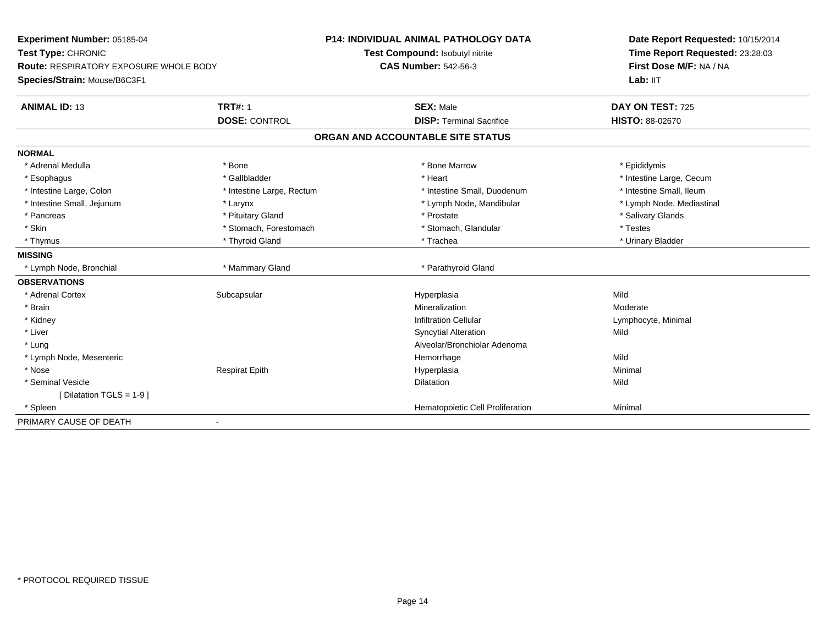| <b>Experiment Number: 05185-04</b>            |                           | <b>P14: INDIVIDUAL ANIMAL PATHOLOGY DATA</b> | Date Report Requested: 10/15/2014<br>Time Report Requested: 23:28:03<br>First Dose M/F: NA / NA |  |
|-----------------------------------------------|---------------------------|----------------------------------------------|-------------------------------------------------------------------------------------------------|--|
| Test Type: CHRONIC                            |                           | Test Compound: Isobutyl nitrite              |                                                                                                 |  |
| <b>Route: RESPIRATORY EXPOSURE WHOLE BODY</b> |                           | <b>CAS Number: 542-56-3</b>                  |                                                                                                 |  |
| Species/Strain: Mouse/B6C3F1                  |                           |                                              | Lab: IIT                                                                                        |  |
| <b>TRT#: 1</b><br><b>ANIMAL ID: 13</b>        |                           | <b>SEX: Male</b>                             | DAY ON TEST: 725                                                                                |  |
| <b>DOSE: CONTROL</b>                          |                           | <b>DISP: Terminal Sacrifice</b>              | <b>HISTO: 88-02670</b>                                                                          |  |
|                                               |                           | ORGAN AND ACCOUNTABLE SITE STATUS            |                                                                                                 |  |
| <b>NORMAL</b>                                 |                           |                                              |                                                                                                 |  |
| * Adrenal Medulla<br>* Bone                   |                           | * Bone Marrow                                | * Epididymis                                                                                    |  |
| * Gallbladder<br>* Esophagus                  |                           | * Heart                                      | * Intestine Large, Cecum                                                                        |  |
| * Intestine Large, Colon                      | * Intestine Large, Rectum | * Intestine Small, Duodenum                  | * Intestine Small, Ileum                                                                        |  |
| * Intestine Small, Jejunum<br>* Larynx        |                           | * Lymph Node, Mandibular                     | * Lymph Node, Mediastinal                                                                       |  |
| * Pituitary Gland<br>* Pancreas               |                           | * Prostate                                   | * Salivary Glands                                                                               |  |
| * Skin                                        | * Stomach, Forestomach    | * Stomach, Glandular                         | * Testes                                                                                        |  |
| * Thyroid Gland<br>* Thymus                   |                           | * Trachea                                    | * Urinary Bladder                                                                               |  |
| <b>MISSING</b>                                |                           |                                              |                                                                                                 |  |
| * Lymph Node, Bronchial                       | * Mammary Gland           | * Parathyroid Gland                          |                                                                                                 |  |
| <b>OBSERVATIONS</b>                           |                           |                                              |                                                                                                 |  |
| * Adrenal Cortex<br>Subcapsular               |                           | Hyperplasia                                  | Mild                                                                                            |  |
| * Brain                                       |                           | Mineralization                               | Moderate                                                                                        |  |
| * Kidney                                      |                           | <b>Infiltration Cellular</b>                 | Lymphocyte, Minimal                                                                             |  |
| * Liver                                       |                           | <b>Syncytial Alteration</b>                  | Mild                                                                                            |  |
| * Lung                                        |                           | Alveolar/Bronchiolar Adenoma                 |                                                                                                 |  |
| * Lymph Node, Mesenteric                      |                           | Hemorrhage                                   | Mild                                                                                            |  |
| * Nose<br><b>Respirat Epith</b>               |                           | Hyperplasia                                  | Minimal                                                                                         |  |
| * Seminal Vesicle                             |                           | <b>Dilatation</b>                            | Mild                                                                                            |  |
| [Dilatation TGLS = 1-9]                       |                           |                                              |                                                                                                 |  |
| * Spleen                                      |                           | Hematopoietic Cell Proliferation             | Minimal                                                                                         |  |
| PRIMARY CAUSE OF DEATH                        |                           |                                              |                                                                                                 |  |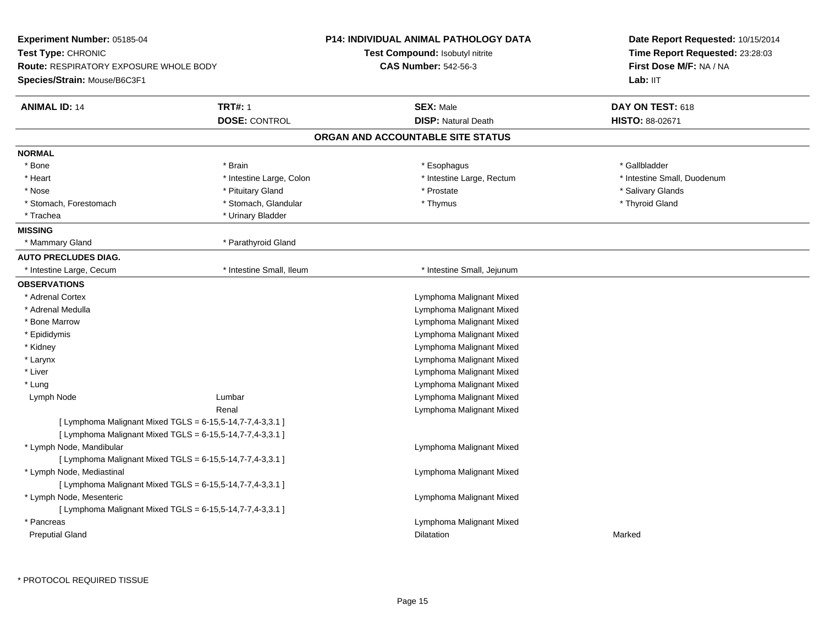| <b>Experiment Number: 05185-04</b>                                                                  |                                                           | <b>P14: INDIVIDUAL ANIMAL PATHOLOGY DATA</b> | Date Report Requested: 10/15/2014                          |
|-----------------------------------------------------------------------------------------------------|-----------------------------------------------------------|----------------------------------------------|------------------------------------------------------------|
| Test Type: CHRONIC<br><b>Route: RESPIRATORY EXPOSURE WHOLE BODY</b><br>Species/Strain: Mouse/B6C3F1 |                                                           | Test Compound: Isobutyl nitrite              | Time Report Requested: 23:28:03<br>First Dose M/F: NA / NA |
|                                                                                                     |                                                           | <b>CAS Number: 542-56-3</b>                  |                                                            |
|                                                                                                     |                                                           |                                              | Lab: IIT                                                   |
| <b>ANIMAL ID: 14</b>                                                                                | <b>TRT#: 1</b>                                            | <b>SEX: Male</b>                             | DAY ON TEST: 618                                           |
|                                                                                                     | <b>DOSE: CONTROL</b>                                      | <b>DISP: Natural Death</b>                   | <b>HISTO: 88-02671</b>                                     |
|                                                                                                     |                                                           | ORGAN AND ACCOUNTABLE SITE STATUS            |                                                            |
| <b>NORMAL</b>                                                                                       |                                                           |                                              |                                                            |
| * Bone                                                                                              | * Brain                                                   | * Esophagus                                  | * Gallbladder                                              |
| * Heart                                                                                             | * Intestine Large, Colon                                  | * Intestine Large, Rectum                    | * Intestine Small, Duodenum                                |
| * Nose                                                                                              | * Pituitary Gland                                         | * Prostate                                   | * Salivary Glands                                          |
| * Stomach, Forestomach                                                                              | * Stomach, Glandular                                      | * Thymus                                     | * Thyroid Gland                                            |
| * Trachea                                                                                           | * Urinary Bladder                                         |                                              |                                                            |
| <b>MISSING</b>                                                                                      |                                                           |                                              |                                                            |
| * Mammary Gland                                                                                     | * Parathyroid Gland                                       |                                              |                                                            |
| <b>AUTO PRECLUDES DIAG.</b>                                                                         |                                                           |                                              |                                                            |
| * Intestine Large, Cecum                                                                            | * Intestine Small, Ileum                                  | * Intestine Small, Jejunum                   |                                                            |
| <b>OBSERVATIONS</b>                                                                                 |                                                           |                                              |                                                            |
| * Adrenal Cortex                                                                                    |                                                           | Lymphoma Malignant Mixed                     |                                                            |
| * Adrenal Medulla                                                                                   |                                                           | Lymphoma Malignant Mixed                     |                                                            |
| * Bone Marrow                                                                                       |                                                           | Lymphoma Malignant Mixed                     |                                                            |
| * Epididymis                                                                                        |                                                           | Lymphoma Malignant Mixed                     |                                                            |
| * Kidney                                                                                            |                                                           | Lymphoma Malignant Mixed                     |                                                            |
| * Larynx                                                                                            |                                                           | Lymphoma Malignant Mixed                     |                                                            |
| $^\star$ Liver                                                                                      |                                                           | Lymphoma Malignant Mixed                     |                                                            |
| * Lung                                                                                              |                                                           | Lymphoma Malignant Mixed                     |                                                            |
| Lymph Node                                                                                          | Lumbar                                                    | Lymphoma Malignant Mixed                     |                                                            |
|                                                                                                     | Renal                                                     | Lymphoma Malignant Mixed                     |                                                            |
|                                                                                                     | [ Lymphoma Malignant Mixed TGLS = 6-15,5-14,7-7,4-3,3.1 ] |                                              |                                                            |
|                                                                                                     | [ Lymphoma Malignant Mixed TGLS = 6-15,5-14,7-7,4-3,3.1 ] |                                              |                                                            |
| * Lymph Node, Mandibular                                                                            |                                                           | Lymphoma Malignant Mixed                     |                                                            |
|                                                                                                     | [ Lymphoma Malignant Mixed TGLS = 6-15,5-14,7-7,4-3,3.1 ] |                                              |                                                            |
| * Lymph Node, Mediastinal                                                                           |                                                           | Lymphoma Malignant Mixed                     |                                                            |
|                                                                                                     | [ Lymphoma Malignant Mixed TGLS = 6-15,5-14,7-7,4-3,3.1 ] |                                              |                                                            |
| * Lymph Node, Mesenteric                                                                            |                                                           | Lymphoma Malignant Mixed                     |                                                            |
|                                                                                                     | [ Lymphoma Malignant Mixed TGLS = 6-15,5-14,7-7,4-3,3.1 ] |                                              |                                                            |
| * Pancreas                                                                                          |                                                           | Lymphoma Malignant Mixed                     |                                                            |
| <b>Preputial Gland</b>                                                                              |                                                           | Dilatation                                   | Marked                                                     |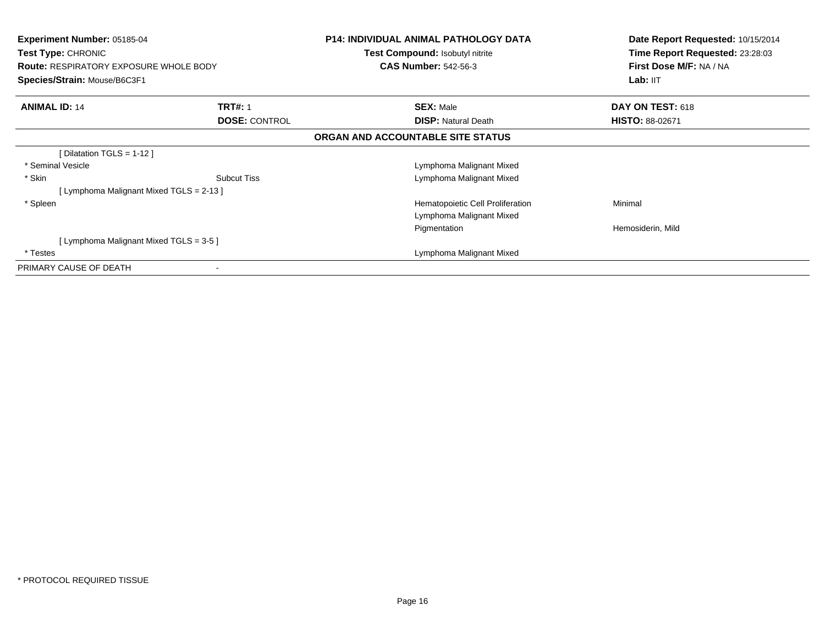| Experiment Number: 05185-04<br><b>Test Type: CHRONIC</b><br><b>Route: RESPIRATORY EXPOSURE WHOLE BODY</b><br>Species/Strain: Mouse/B6C3F1 |                      | <b>P14: INDIVIDUAL ANIMAL PATHOLOGY DATA</b><br><b>Test Compound: Isobutyl nitrite</b><br><b>CAS Number: 542-56-3</b> | Date Report Requested: 10/15/2014<br>Time Report Requested: 23:28:03<br>First Dose M/F: NA / NA<br>Lab: IIT |
|-------------------------------------------------------------------------------------------------------------------------------------------|----------------------|-----------------------------------------------------------------------------------------------------------------------|-------------------------------------------------------------------------------------------------------------|
| <b>ANIMAL ID: 14</b>                                                                                                                      | <b>TRT#: 1</b>       | <b>SEX: Male</b>                                                                                                      | DAY ON TEST: 618                                                                                            |
|                                                                                                                                           | <b>DOSE: CONTROL</b> | <b>DISP:</b> Natural Death                                                                                            | <b>HISTO: 88-02671</b>                                                                                      |
|                                                                                                                                           |                      | ORGAN AND ACCOUNTABLE SITE STATUS                                                                                     |                                                                                                             |
| [ Dilatation TGLS = $1-12$ ]                                                                                                              |                      |                                                                                                                       |                                                                                                             |
| * Seminal Vesicle                                                                                                                         |                      | Lymphoma Malignant Mixed                                                                                              |                                                                                                             |
| * Skin                                                                                                                                    | <b>Subcut Tiss</b>   | Lymphoma Malignant Mixed                                                                                              |                                                                                                             |
| [ Lymphoma Malignant Mixed TGLS = 2-13 ]                                                                                                  |                      |                                                                                                                       |                                                                                                             |
| * Spleen                                                                                                                                  |                      | Hematopoietic Cell Proliferation                                                                                      | Minimal                                                                                                     |
|                                                                                                                                           |                      | Lymphoma Malignant Mixed                                                                                              |                                                                                                             |
|                                                                                                                                           |                      | Pigmentation                                                                                                          | Hemosiderin, Mild                                                                                           |
| [ Lymphoma Malignant Mixed TGLS = 3-5 ]                                                                                                   |                      |                                                                                                                       |                                                                                                             |
| * Testes                                                                                                                                  |                      | Lymphoma Malignant Mixed                                                                                              |                                                                                                             |
| PRIMARY CAUSE OF DEATH                                                                                                                    |                      |                                                                                                                       |                                                                                                             |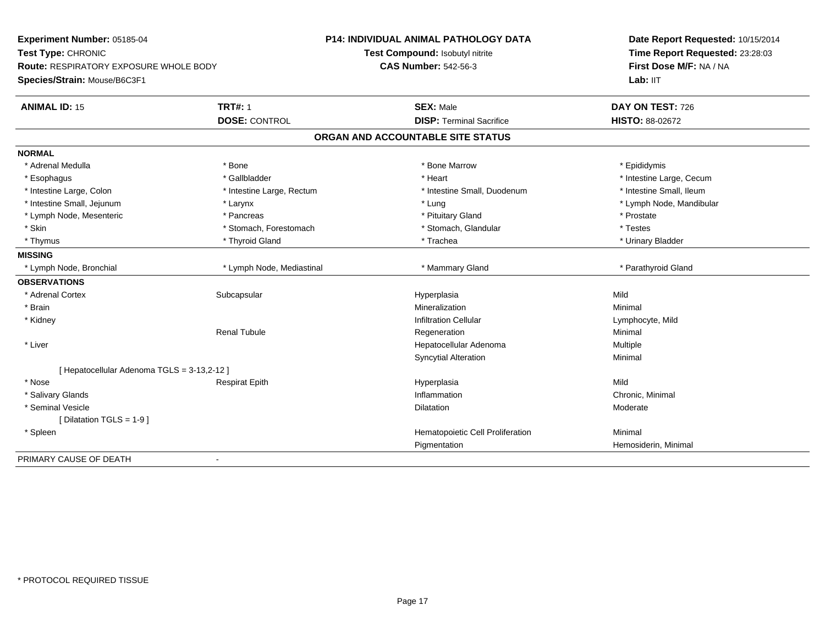| Experiment Number: 05185-04                   |                           | <b>P14: INDIVIDUAL ANIMAL PATHOLOGY DATA</b> | Date Report Requested: 10/15/2014<br>Time Report Requested: 23:28:03<br>First Dose M/F: NA / NA |
|-----------------------------------------------|---------------------------|----------------------------------------------|-------------------------------------------------------------------------------------------------|
| Test Type: CHRONIC                            |                           | Test Compound: Isobutyl nitrite              |                                                                                                 |
| <b>Route: RESPIRATORY EXPOSURE WHOLE BODY</b> |                           | <b>CAS Number: 542-56-3</b>                  |                                                                                                 |
| Species/Strain: Mouse/B6C3F1                  |                           |                                              | Lab: IIT                                                                                        |
| <b>ANIMAL ID: 15</b>                          | <b>TRT#: 1</b>            | <b>SEX: Male</b>                             | DAY ON TEST: 726                                                                                |
|                                               | <b>DOSE: CONTROL</b>      | <b>DISP: Terminal Sacrifice</b>              | HISTO: 88-02672                                                                                 |
|                                               |                           | ORGAN AND ACCOUNTABLE SITE STATUS            |                                                                                                 |
| <b>NORMAL</b>                                 |                           |                                              |                                                                                                 |
| * Adrenal Medulla                             | * Bone                    | * Bone Marrow                                | * Epididymis                                                                                    |
| * Esophagus                                   | * Gallbladder             | * Heart                                      | * Intestine Large, Cecum                                                                        |
| * Intestine Large, Colon                      | * Intestine Large, Rectum | * Intestine Small, Duodenum                  | * Intestine Small, Ileum                                                                        |
| * Intestine Small, Jejunum                    | * Larynx                  | * Lung                                       | * Lymph Node, Mandibular                                                                        |
| * Lymph Node, Mesenteric                      | * Pancreas                | * Pituitary Gland                            | * Prostate                                                                                      |
| * Skin                                        | * Stomach, Forestomach    | * Stomach, Glandular                         | * Testes                                                                                        |
| * Thymus                                      | * Thyroid Gland           | * Trachea                                    | * Urinary Bladder                                                                               |
| <b>MISSING</b>                                |                           |                                              |                                                                                                 |
| * Lymph Node, Bronchial                       | * Lymph Node, Mediastinal | * Mammary Gland                              | * Parathyroid Gland                                                                             |
| <b>OBSERVATIONS</b>                           |                           |                                              |                                                                                                 |
| * Adrenal Cortex                              | Subcapsular               | Hyperplasia                                  | Mild                                                                                            |
| * Brain                                       |                           | Mineralization                               | Minimal                                                                                         |
| * Kidney                                      |                           | <b>Infiltration Cellular</b>                 | Lymphocyte, Mild                                                                                |
|                                               | <b>Renal Tubule</b>       | Regeneration                                 | Minimal                                                                                         |
| * Liver                                       |                           | Hepatocellular Adenoma                       | Multiple                                                                                        |
|                                               |                           | <b>Syncytial Alteration</b>                  | Minimal                                                                                         |
| [ Hepatocellular Adenoma TGLS = 3-13,2-12 ]   |                           |                                              |                                                                                                 |
| * Nose                                        | <b>Respirat Epith</b>     | Hyperplasia                                  | Mild                                                                                            |
| * Salivary Glands                             |                           | Inflammation                                 | Chronic, Minimal                                                                                |
| * Seminal Vesicle                             |                           | <b>Dilatation</b>                            | Moderate                                                                                        |
| [Dilatation TGLS = 1-9]                       |                           |                                              |                                                                                                 |
| * Spleen                                      |                           | Hematopoietic Cell Proliferation             | Minimal                                                                                         |
|                                               |                           | Pigmentation                                 | Hemosiderin, Minimal                                                                            |
| PRIMARY CAUSE OF DEATH                        | $\blacksquare$            |                                              |                                                                                                 |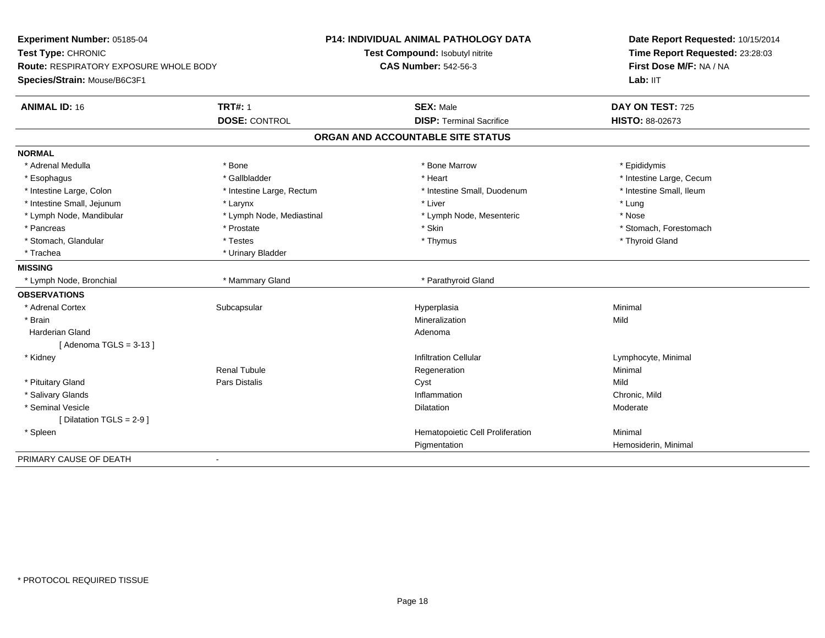| Experiment Number: 05185-04                   |                           | <b>P14: INDIVIDUAL ANIMAL PATHOLOGY DATA</b> | Date Report Requested: 10/15/2014<br>Time Report Requested: 23:28:03<br>First Dose M/F: NA / NA |
|-----------------------------------------------|---------------------------|----------------------------------------------|-------------------------------------------------------------------------------------------------|
| Test Type: CHRONIC                            |                           | Test Compound: Isobutyl nitrite              |                                                                                                 |
| <b>Route: RESPIRATORY EXPOSURE WHOLE BODY</b> |                           | <b>CAS Number: 542-56-3</b>                  |                                                                                                 |
| Species/Strain: Mouse/B6C3F1                  |                           |                                              | Lab: IIT                                                                                        |
| <b>ANIMAL ID: 16</b>                          | <b>TRT#: 1</b>            | <b>SEX: Male</b>                             | DAY ON TEST: 725                                                                                |
|                                               | <b>DOSE: CONTROL</b>      | <b>DISP: Terminal Sacrifice</b>              | HISTO: 88-02673                                                                                 |
|                                               |                           | ORGAN AND ACCOUNTABLE SITE STATUS            |                                                                                                 |
| <b>NORMAL</b>                                 |                           |                                              |                                                                                                 |
| * Adrenal Medulla                             | * Bone                    | * Bone Marrow                                | * Epididymis                                                                                    |
| * Esophagus                                   | * Gallbladder             | * Heart                                      | * Intestine Large, Cecum                                                                        |
| * Intestine Large, Colon                      | * Intestine Large, Rectum | * Intestine Small, Duodenum                  | * Intestine Small, Ileum                                                                        |
| * Intestine Small, Jejunum                    | * Larynx                  | * Liver                                      | * Lung                                                                                          |
| * Lymph Node, Mandibular                      | * Lymph Node, Mediastinal | * Lymph Node, Mesenteric                     | * Nose                                                                                          |
| * Pancreas                                    | * Prostate                | * Skin                                       | * Stomach, Forestomach                                                                          |
| * Stomach, Glandular                          | * Testes                  | * Thymus                                     | * Thyroid Gland                                                                                 |
| * Trachea                                     | * Urinary Bladder         |                                              |                                                                                                 |
| <b>MISSING</b>                                |                           |                                              |                                                                                                 |
| * Lymph Node, Bronchial                       | * Mammary Gland           | * Parathyroid Gland                          |                                                                                                 |
| <b>OBSERVATIONS</b>                           |                           |                                              |                                                                                                 |
| * Adrenal Cortex                              | Subcapsular               | Hyperplasia                                  | Minimal                                                                                         |
| * Brain                                       |                           | Mineralization                               | Mild                                                                                            |
| <b>Harderian Gland</b>                        |                           | Adenoma                                      |                                                                                                 |
| [Adenoma TGLS = $3-13$ ]                      |                           |                                              |                                                                                                 |
| * Kidney                                      |                           | <b>Infiltration Cellular</b>                 | Lymphocyte, Minimal                                                                             |
|                                               | <b>Renal Tubule</b>       | Regeneration                                 | Minimal                                                                                         |
| * Pituitary Gland                             | <b>Pars Distalis</b>      | Cyst                                         | Mild                                                                                            |
| * Salivary Glands                             |                           | Inflammation                                 | Chronic, Mild                                                                                   |
| * Seminal Vesicle                             |                           | <b>Dilatation</b>                            | Moderate                                                                                        |
| [Dilatation TGLS = 2-9]                       |                           |                                              |                                                                                                 |
| * Spleen                                      |                           | Hematopoietic Cell Proliferation             | Minimal                                                                                         |
|                                               |                           | Pigmentation                                 | Hemosiderin, Minimal                                                                            |
| PRIMARY CAUSE OF DEATH                        | $\blacksquare$            |                                              |                                                                                                 |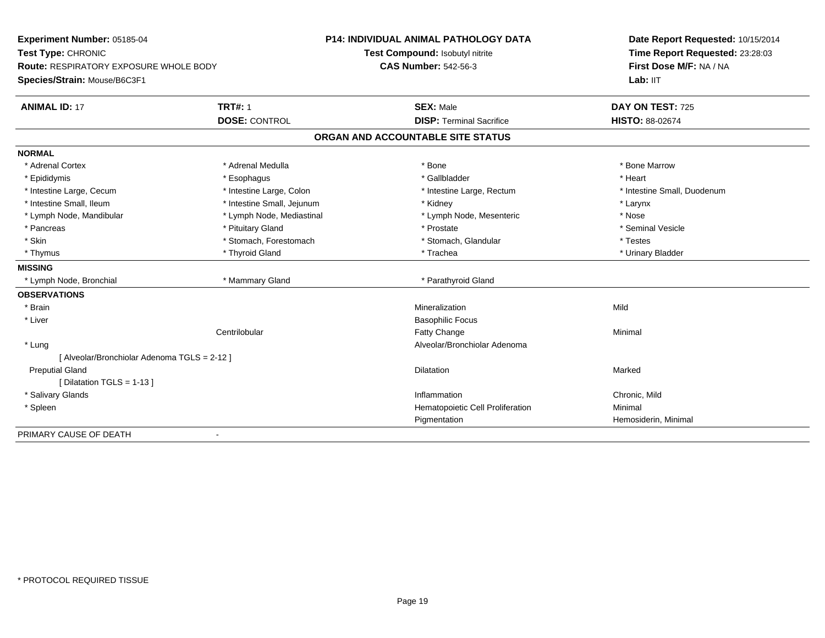| Experiment Number: 05185-04<br>Test Type: CHRONIC<br><b>Route: RESPIRATORY EXPOSURE WHOLE BODY</b> |                            | <b>P14: INDIVIDUAL ANIMAL PATHOLOGY DATA</b> | Date Report Requested: 10/15/2014<br>Time Report Requested: 23:28:03<br>First Dose M/F: NA / NA |
|----------------------------------------------------------------------------------------------------|----------------------------|----------------------------------------------|-------------------------------------------------------------------------------------------------|
|                                                                                                    |                            | Test Compound: Isobutyl nitrite              |                                                                                                 |
|                                                                                                    |                            | <b>CAS Number: 542-56-3</b>                  |                                                                                                 |
| Species/Strain: Mouse/B6C3F1                                                                       |                            |                                              | Lab: IIT                                                                                        |
| <b>ANIMAL ID: 17</b>                                                                               | <b>TRT#: 1</b>             | <b>SEX: Male</b>                             | DAY ON TEST: 725                                                                                |
|                                                                                                    | <b>DOSE: CONTROL</b>       | <b>DISP: Terminal Sacrifice</b>              | <b>HISTO: 88-02674</b>                                                                          |
|                                                                                                    |                            | ORGAN AND ACCOUNTABLE SITE STATUS            |                                                                                                 |
| <b>NORMAL</b>                                                                                      |                            |                                              |                                                                                                 |
| * Adrenal Cortex                                                                                   | * Adrenal Medulla          | * Bone                                       | * Bone Marrow                                                                                   |
| * Epididymis                                                                                       | * Esophagus                | * Gallbladder                                | * Heart                                                                                         |
| * Intestine Large, Cecum                                                                           | * Intestine Large, Colon   | * Intestine Large, Rectum                    | * Intestine Small, Duodenum                                                                     |
| * Intestine Small, Ileum                                                                           | * Intestine Small, Jejunum | * Kidney                                     | * Larynx                                                                                        |
| * Lymph Node, Mandibular                                                                           | * Lymph Node, Mediastinal  | * Lymph Node, Mesenteric                     | * Nose                                                                                          |
| * Pancreas                                                                                         | * Pituitary Gland          | * Prostate                                   | * Seminal Vesicle                                                                               |
| * Skin                                                                                             | * Stomach, Forestomach     | * Stomach, Glandular                         | * Testes                                                                                        |
| * Thymus                                                                                           | * Thyroid Gland            | * Trachea                                    | * Urinary Bladder                                                                               |
| <b>MISSING</b>                                                                                     |                            |                                              |                                                                                                 |
| * Lymph Node, Bronchial                                                                            | * Mammary Gland            | * Parathyroid Gland                          |                                                                                                 |
| <b>OBSERVATIONS</b>                                                                                |                            |                                              |                                                                                                 |
| * Brain                                                                                            |                            | Mineralization                               | Mild                                                                                            |
| * Liver                                                                                            |                            | <b>Basophilic Focus</b>                      |                                                                                                 |
|                                                                                                    | Centrilobular              | Fatty Change                                 | Minimal                                                                                         |
| * Lung                                                                                             |                            | Alveolar/Bronchiolar Adenoma                 |                                                                                                 |
| [ Alveolar/Bronchiolar Adenoma TGLS = 2-12 ]                                                       |                            |                                              |                                                                                                 |
| <b>Preputial Gland</b>                                                                             |                            | <b>Dilatation</b>                            | Marked                                                                                          |
| [Dilatation TGLS = 1-13]                                                                           |                            |                                              |                                                                                                 |
| * Salivary Glands                                                                                  |                            | Inflammation                                 | Chronic, Mild                                                                                   |
| * Spleen                                                                                           |                            | Hematopoietic Cell Proliferation             | Minimal                                                                                         |
|                                                                                                    |                            | Pigmentation                                 | Hemosiderin, Minimal                                                                            |
| PRIMARY CAUSE OF DEATH<br>$\blacksquare$                                                           |                            |                                              |                                                                                                 |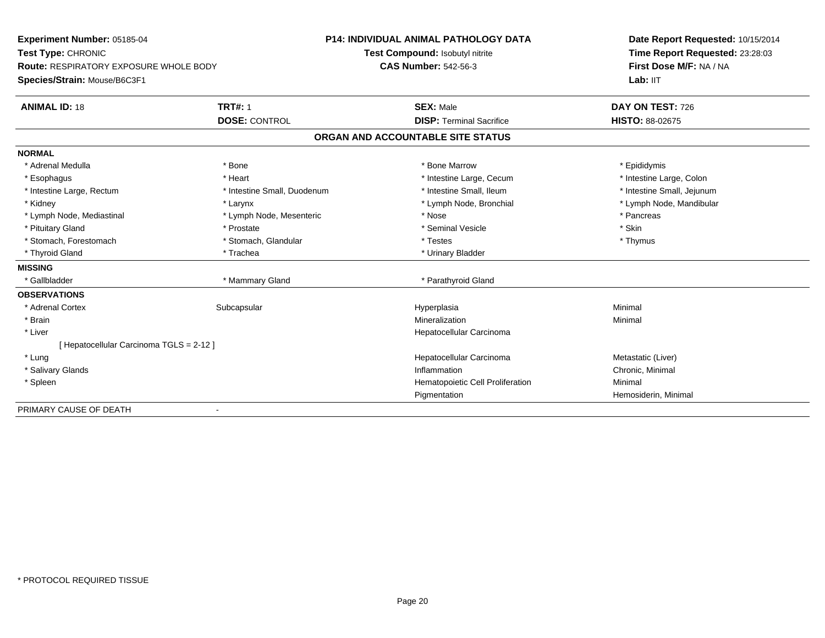| Experiment Number: 05185-04            |                             | <b>P14: INDIVIDUAL ANIMAL PATHOLOGY DATA</b> | Date Report Requested: 10/15/2014<br>Time Report Requested: 23:28:03<br>First Dose M/F: NA / NA |
|----------------------------------------|-----------------------------|----------------------------------------------|-------------------------------------------------------------------------------------------------|
| Test Type: CHRONIC                     |                             | Test Compound: Isobutyl nitrite              |                                                                                                 |
| Route: RESPIRATORY EXPOSURE WHOLE BODY |                             | <b>CAS Number: 542-56-3</b>                  |                                                                                                 |
| Species/Strain: Mouse/B6C3F1           |                             |                                              | Lab: IIT                                                                                        |
| <b>ANIMAL ID: 18</b>                   | <b>TRT#: 1</b>              | <b>SEX: Male</b>                             | DAY ON TEST: 726                                                                                |
|                                        | <b>DOSE: CONTROL</b>        | <b>DISP: Terminal Sacrifice</b>              | <b>HISTO: 88-02675</b>                                                                          |
|                                        |                             | ORGAN AND ACCOUNTABLE SITE STATUS            |                                                                                                 |
| <b>NORMAL</b>                          |                             |                                              |                                                                                                 |
| * Adrenal Medulla                      | * Bone                      | * Bone Marrow                                | * Epididymis                                                                                    |
| * Esophagus                            | * Heart                     | * Intestine Large, Cecum                     | * Intestine Large, Colon                                                                        |
| * Intestine Large, Rectum              | * Intestine Small, Duodenum | * Intestine Small, Ileum                     | * Intestine Small, Jejunum                                                                      |
| * Kidney                               | * Larynx                    | * Lymph Node, Bronchial                      | * Lymph Node, Mandibular                                                                        |
| * Lymph Node, Mediastinal              | * Lymph Node, Mesenteric    | * Nose                                       | * Pancreas                                                                                      |
| * Pituitary Gland                      | * Prostate                  | * Seminal Vesicle                            | * Skin                                                                                          |
| * Stomach, Forestomach                 | * Stomach, Glandular        | * Testes                                     | * Thymus                                                                                        |
| * Thyroid Gland                        | * Trachea                   | * Urinary Bladder                            |                                                                                                 |
| <b>MISSING</b>                         |                             |                                              |                                                                                                 |
| * Gallbladder                          | * Mammary Gland             | * Parathyroid Gland                          |                                                                                                 |
| <b>OBSERVATIONS</b>                    |                             |                                              |                                                                                                 |
| * Adrenal Cortex                       | Subcapsular                 | Hyperplasia                                  | Minimal                                                                                         |
| * Brain                                |                             | Mineralization                               | Minimal                                                                                         |
| * Liver                                |                             | Hepatocellular Carcinoma                     |                                                                                                 |
| [Hepatocellular Carcinoma TGLS = 2-12] |                             |                                              |                                                                                                 |
| * Lung                                 |                             | Hepatocellular Carcinoma                     | Metastatic (Liver)                                                                              |
| * Salivary Glands                      |                             | Inflammation                                 | Chronic, Minimal                                                                                |
| * Spleen                               |                             | Hematopoietic Cell Proliferation             | Minimal                                                                                         |
|                                        |                             | Pigmentation                                 | Hemosiderin, Minimal                                                                            |
| PRIMARY CAUSE OF DEATH                 |                             |                                              |                                                                                                 |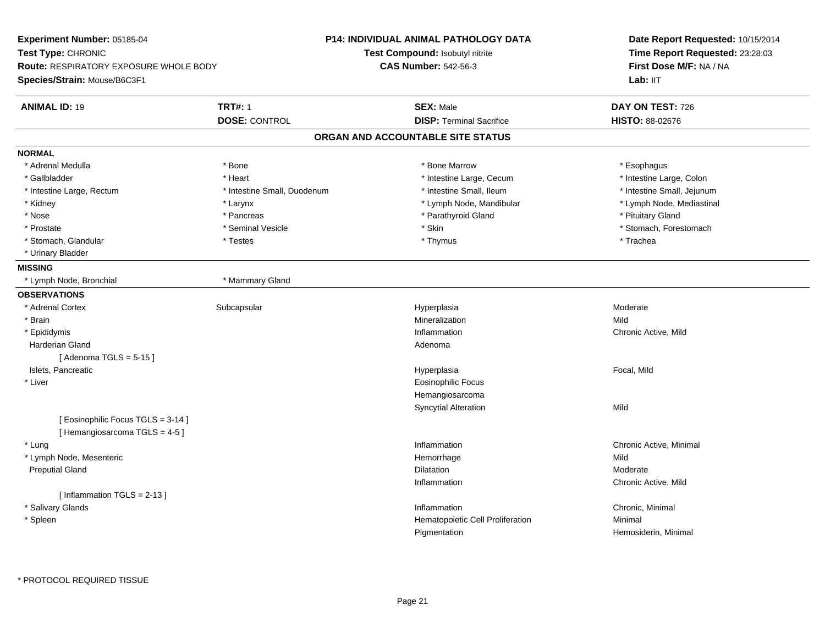| Experiment Number: 05185-04<br>Test Type: CHRONIC |                             | <b>P14: INDIVIDUAL ANIMAL PATHOLOGY DATA</b><br>Test Compound: Isobutyl nitrite | Date Report Requested: 10/15/2014<br>Time Report Requested: 23:28:03 |  |
|---------------------------------------------------|-----------------------------|---------------------------------------------------------------------------------|----------------------------------------------------------------------|--|
| <b>Route: RESPIRATORY EXPOSURE WHOLE BODY</b>     |                             | <b>CAS Number: 542-56-3</b>                                                     |                                                                      |  |
| Species/Strain: Mouse/B6C3F1                      |                             |                                                                                 | First Dose M/F: NA / NA<br>Lab: II <sub>T</sub>                      |  |
| <b>ANIMAL ID: 19</b>                              | <b>TRT#: 1</b>              | <b>SEX: Male</b>                                                                | DAY ON TEST: 726                                                     |  |
|                                                   | <b>DOSE: CONTROL</b>        | <b>DISP: Terminal Sacrifice</b>                                                 | HISTO: 88-02676                                                      |  |
|                                                   |                             | ORGAN AND ACCOUNTABLE SITE STATUS                                               |                                                                      |  |
| <b>NORMAL</b>                                     |                             |                                                                                 |                                                                      |  |
| * Adrenal Medulla                                 | * Bone                      | * Bone Marrow                                                                   | * Esophagus                                                          |  |
| * Gallbladder                                     | * Heart                     | * Intestine Large, Cecum                                                        | * Intestine Large, Colon                                             |  |
| * Intestine Large, Rectum                         | * Intestine Small, Duodenum | * Intestine Small, Ileum                                                        | * Intestine Small, Jejunum                                           |  |
| * Kidney                                          | * Larynx                    | * Lymph Node, Mandibular                                                        | * Lymph Node, Mediastinal                                            |  |
| * Nose                                            | * Pancreas                  | * Parathyroid Gland                                                             | * Pituitary Gland                                                    |  |
| * Prostate                                        | * Seminal Vesicle           | * Skin                                                                          | * Stomach, Forestomach                                               |  |
| * Stomach, Glandular                              | * Testes                    | * Thymus                                                                        | * Trachea                                                            |  |
| * Urinary Bladder                                 |                             |                                                                                 |                                                                      |  |
| <b>MISSING</b>                                    |                             |                                                                                 |                                                                      |  |
| * Lymph Node, Bronchial                           | * Mammary Gland             |                                                                                 |                                                                      |  |
| <b>OBSERVATIONS</b>                               |                             |                                                                                 |                                                                      |  |
| * Adrenal Cortex                                  | Subcapsular                 | Hyperplasia                                                                     | Moderate                                                             |  |
| * Brain                                           |                             | Mineralization                                                                  | Mild                                                                 |  |
| * Epididymis                                      |                             | Inflammation                                                                    | Chronic Active, Mild                                                 |  |
| Harderian Gland                                   |                             | Adenoma                                                                         |                                                                      |  |
| [Adenoma TGLS = $5-15$ ]                          |                             |                                                                                 |                                                                      |  |
| Islets, Pancreatic                                |                             | Hyperplasia                                                                     | Focal, Mild                                                          |  |
| * Liver                                           |                             | <b>Eosinophilic Focus</b>                                                       |                                                                      |  |
|                                                   |                             | Hemangiosarcoma                                                                 |                                                                      |  |
|                                                   |                             | <b>Syncytial Alteration</b>                                                     | Mild                                                                 |  |
| [Eosinophilic Focus TGLS = 3-14]                  |                             |                                                                                 |                                                                      |  |
| [Hemangiosarcoma TGLS = 4-5]                      |                             |                                                                                 |                                                                      |  |
| * Lung                                            |                             | Inflammation                                                                    | Chronic Active, Minimal                                              |  |
| * Lymph Node, Mesenteric                          |                             | Hemorrhage                                                                      | Mild                                                                 |  |
| <b>Preputial Gland</b>                            |                             | Dilatation                                                                      | Moderate                                                             |  |
|                                                   |                             | Inflammation                                                                    | Chronic Active, Mild                                                 |  |
| [Inflammation $TGLS = 2-13$ ]                     |                             |                                                                                 |                                                                      |  |
| * Salivary Glands                                 |                             | Inflammation                                                                    | Chronic, Minimal                                                     |  |
| * Spleen                                          |                             | Hematopoietic Cell Proliferation                                                | Minimal                                                              |  |
|                                                   |                             | Pigmentation                                                                    | Hemosiderin, Minimal                                                 |  |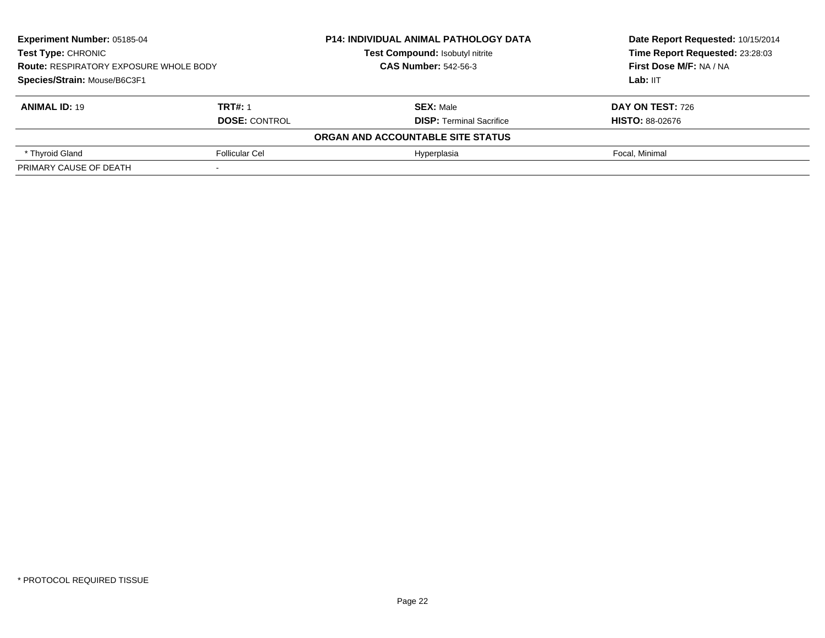| <b>Experiment Number: 05185-04</b><br>Test Type: CHRONIC<br><b>Route: RESPIRATORY EXPOSURE WHOLE BODY</b><br>Species/Strain: Mouse/B6C3F1 |                      | <b>P14: INDIVIDUAL ANIMAL PATHOLOGY DATA</b> | Date Report Requested: 10/15/2014<br>Time Report Requested: 23:28:03<br>First Dose M/F: NA / NA<br>Lab: IIT |
|-------------------------------------------------------------------------------------------------------------------------------------------|----------------------|----------------------------------------------|-------------------------------------------------------------------------------------------------------------|
|                                                                                                                                           |                      | Test Compound: Isobutyl nitrite              |                                                                                                             |
|                                                                                                                                           |                      | <b>CAS Number: 542-56-3</b>                  |                                                                                                             |
|                                                                                                                                           |                      |                                              |                                                                                                             |
| <b>ANIMAL ID: 19</b>                                                                                                                      | <b>TRT#: 1</b>       | <b>SEX: Male</b>                             | <b>DAY ON TEST: 726</b>                                                                                     |
|                                                                                                                                           | <b>DOSE: CONTROL</b> | <b>DISP:</b> Terminal Sacrifice              | <b>HISTO: 88-02676</b>                                                                                      |
|                                                                                                                                           |                      | ORGAN AND ACCOUNTABLE SITE STATUS            |                                                                                                             |
| * Thyroid Gland                                                                                                                           | Follicular Cel       | Hyperplasia                                  | Focal, Minimal                                                                                              |
| PRIMARY CAUSE OF DEATH                                                                                                                    |                      |                                              |                                                                                                             |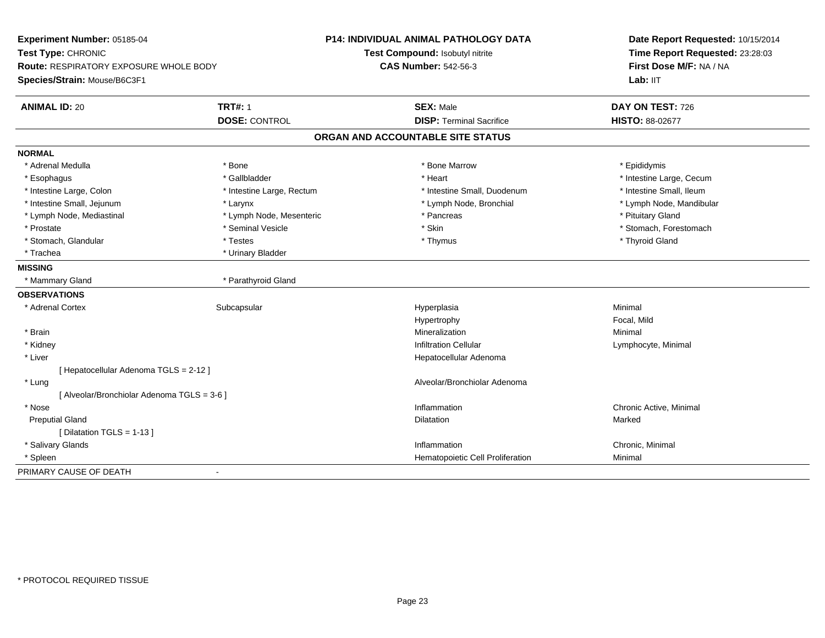| Experiment Number: 05185-04<br>Test Type: CHRONIC<br>Route: RESPIRATORY EXPOSURE WHOLE BODY |                           | <b>P14: INDIVIDUAL ANIMAL PATHOLOGY DATA</b><br>Test Compound: Isobutyl nitrite<br><b>CAS Number: 542-56-3</b> | Date Report Requested: 10/15/2014<br>Time Report Requested: 23:28:03<br>First Dose M/F: NA / NA<br>Lab: IIT |
|---------------------------------------------------------------------------------------------|---------------------------|----------------------------------------------------------------------------------------------------------------|-------------------------------------------------------------------------------------------------------------|
| Species/Strain: Mouse/B6C3F1                                                                |                           |                                                                                                                |                                                                                                             |
| <b>ANIMAL ID: 20</b>                                                                        | <b>TRT#: 1</b>            | <b>SEX: Male</b>                                                                                               | DAY ON TEST: 726                                                                                            |
|                                                                                             | <b>DOSE: CONTROL</b>      | <b>DISP: Terminal Sacrifice</b>                                                                                | <b>HISTO: 88-02677</b>                                                                                      |
|                                                                                             |                           | ORGAN AND ACCOUNTABLE SITE STATUS                                                                              |                                                                                                             |
| <b>NORMAL</b>                                                                               |                           |                                                                                                                |                                                                                                             |
| * Adrenal Medulla                                                                           | * Bone                    | * Bone Marrow                                                                                                  | * Epididymis                                                                                                |
| * Esophagus                                                                                 | * Gallbladder             | * Heart                                                                                                        | * Intestine Large, Cecum                                                                                    |
| * Intestine Large, Colon                                                                    | * Intestine Large, Rectum | * Intestine Small, Duodenum                                                                                    | * Intestine Small, Ileum                                                                                    |
| * Intestine Small, Jejunum                                                                  | * Larynx                  | * Lymph Node, Bronchial                                                                                        | * Lymph Node, Mandibular                                                                                    |
| * Lymph Node, Mediastinal                                                                   | * Lymph Node, Mesenteric  | * Pancreas                                                                                                     | * Pituitary Gland                                                                                           |
| * Prostate                                                                                  | * Seminal Vesicle         | * Skin                                                                                                         | * Stomach, Forestomach                                                                                      |
| * Stomach, Glandular                                                                        | * Testes                  | * Thymus                                                                                                       | * Thyroid Gland                                                                                             |
| * Trachea                                                                                   | * Urinary Bladder         |                                                                                                                |                                                                                                             |
| <b>MISSING</b>                                                                              |                           |                                                                                                                |                                                                                                             |
| * Mammary Gland                                                                             | * Parathyroid Gland       |                                                                                                                |                                                                                                             |
| <b>OBSERVATIONS</b>                                                                         |                           |                                                                                                                |                                                                                                             |
| * Adrenal Cortex                                                                            | Subcapsular               | Hyperplasia                                                                                                    | Minimal                                                                                                     |
|                                                                                             |                           | Hypertrophy                                                                                                    | Focal, Mild                                                                                                 |
| * Brain                                                                                     |                           | Mineralization                                                                                                 | Minimal                                                                                                     |
| * Kidney                                                                                    |                           | <b>Infiltration Cellular</b>                                                                                   | Lymphocyte, Minimal                                                                                         |
| * Liver                                                                                     |                           | Hepatocellular Adenoma                                                                                         |                                                                                                             |
| [ Hepatocellular Adenoma TGLS = 2-12 ]                                                      |                           |                                                                                                                |                                                                                                             |
| * Lung                                                                                      |                           | Alveolar/Bronchiolar Adenoma                                                                                   |                                                                                                             |
| [ Alveolar/Bronchiolar Adenoma TGLS = 3-6 ]                                                 |                           |                                                                                                                |                                                                                                             |
| * Nose                                                                                      |                           | Inflammation                                                                                                   | Chronic Active, Minimal                                                                                     |
| <b>Preputial Gland</b>                                                                      |                           | Dilatation                                                                                                     | Marked                                                                                                      |
| [ Dilatation TGLS = 1-13 ]                                                                  |                           |                                                                                                                |                                                                                                             |
| * Salivary Glands                                                                           |                           | Inflammation                                                                                                   | Chronic, Minimal                                                                                            |
| * Spleen                                                                                    |                           | Hematopoietic Cell Proliferation                                                                               | Minimal                                                                                                     |
| PRIMARY CAUSE OF DEATH                                                                      |                           |                                                                                                                |                                                                                                             |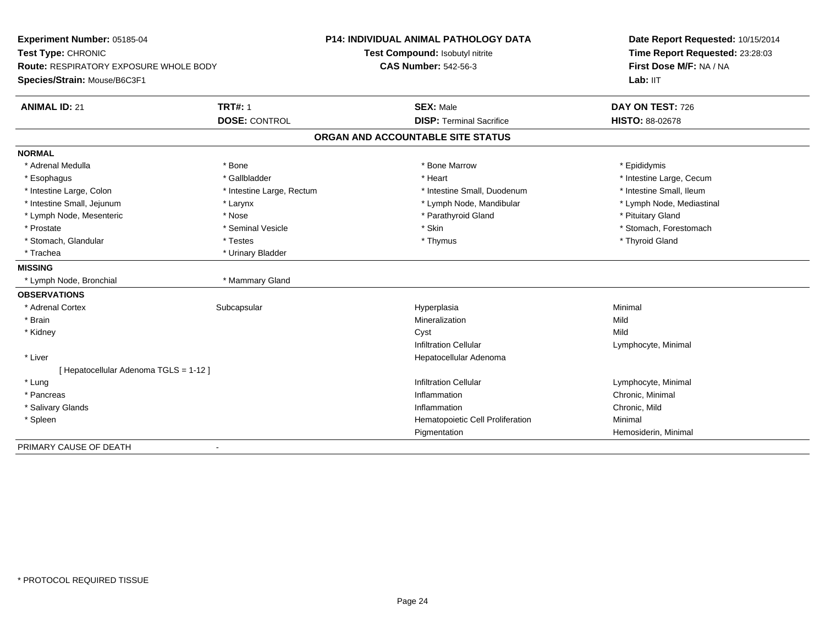| Experiment Number: 05185-04<br>Test Type: CHRONIC<br>Route: RESPIRATORY EXPOSURE WHOLE BODY |                           | <b>P14: INDIVIDUAL ANIMAL PATHOLOGY DATA</b> | Date Report Requested: 10/15/2014<br>Time Report Requested: 23:28:03 |
|---------------------------------------------------------------------------------------------|---------------------------|----------------------------------------------|----------------------------------------------------------------------|
|                                                                                             |                           | Test Compound: Isobutyl nitrite              |                                                                      |
|                                                                                             |                           | <b>CAS Number: 542-56-3</b>                  | First Dose M/F: NA / NA                                              |
| Species/Strain: Mouse/B6C3F1                                                                |                           |                                              | Lab: IIT                                                             |
| <b>ANIMAL ID: 21</b>                                                                        | <b>TRT#: 1</b>            | <b>SEX: Male</b>                             | DAY ON TEST: 726                                                     |
|                                                                                             | <b>DOSE: CONTROL</b>      | <b>DISP: Terminal Sacrifice</b>              | <b>HISTO: 88-02678</b>                                               |
|                                                                                             |                           | ORGAN AND ACCOUNTABLE SITE STATUS            |                                                                      |
| <b>NORMAL</b>                                                                               |                           |                                              |                                                                      |
| * Adrenal Medulla                                                                           | * Bone                    | * Bone Marrow                                | * Epididymis                                                         |
| * Esophagus                                                                                 | * Gallbladder             | * Heart                                      | * Intestine Large, Cecum                                             |
| * Intestine Large, Colon                                                                    | * Intestine Large, Rectum | * Intestine Small, Duodenum                  | * Intestine Small, Ileum                                             |
| * Intestine Small, Jejunum                                                                  | * Larynx                  | * Lymph Node, Mandibular                     | * Lymph Node, Mediastinal                                            |
| * Lymph Node, Mesenteric                                                                    | * Nose                    | * Parathyroid Gland                          | * Pituitary Gland                                                    |
| * Prostate                                                                                  | * Seminal Vesicle         | * Skin                                       | * Stomach, Forestomach                                               |
| * Stomach, Glandular                                                                        | * Testes                  | * Thymus                                     | * Thyroid Gland                                                      |
| * Trachea                                                                                   | * Urinary Bladder         |                                              |                                                                      |
| <b>MISSING</b>                                                                              |                           |                                              |                                                                      |
| * Lymph Node, Bronchial                                                                     | * Mammary Gland           |                                              |                                                                      |
| <b>OBSERVATIONS</b>                                                                         |                           |                                              |                                                                      |
| * Adrenal Cortex                                                                            | Subcapsular               | Hyperplasia                                  | Minimal                                                              |
| * Brain                                                                                     |                           | Mineralization                               | Mild                                                                 |
| * Kidney                                                                                    |                           | Cyst                                         | Mild                                                                 |
|                                                                                             |                           | <b>Infiltration Cellular</b>                 | Lymphocyte, Minimal                                                  |
| * Liver                                                                                     |                           | Hepatocellular Adenoma                       |                                                                      |
| [ Hepatocellular Adenoma TGLS = 1-12 ]                                                      |                           |                                              |                                                                      |
| * Lung                                                                                      |                           | <b>Infiltration Cellular</b>                 | Lymphocyte, Minimal                                                  |
| * Pancreas                                                                                  |                           | Inflammation                                 | Chronic, Minimal                                                     |
| * Salivary Glands                                                                           |                           | Inflammation                                 | Chronic, Mild                                                        |
| * Spleen                                                                                    |                           | Hematopoietic Cell Proliferation             | Minimal                                                              |
|                                                                                             |                           | Pigmentation                                 | Hemosiderin, Minimal                                                 |
| PRIMARY CAUSE OF DEATH                                                                      |                           |                                              |                                                                      |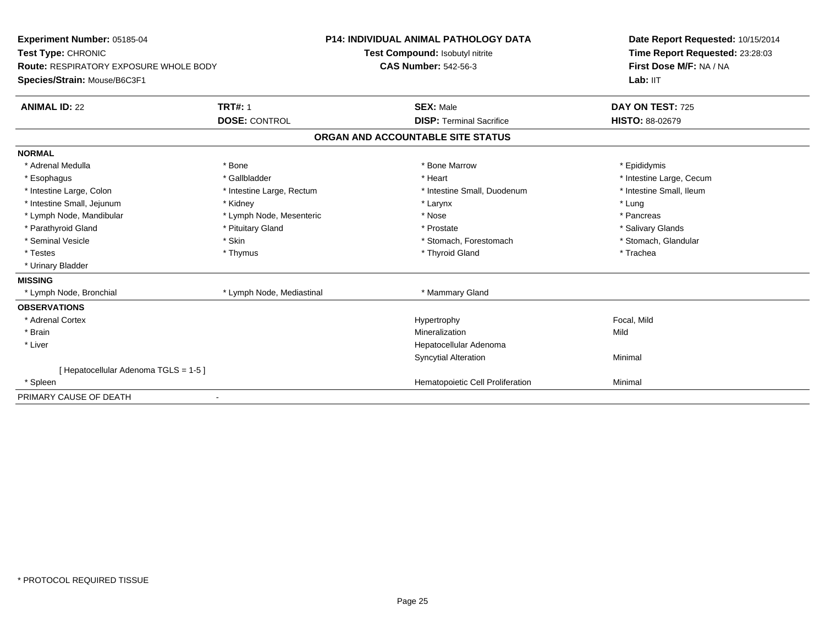| Experiment Number: 05185-04                   |                           | <b>P14: INDIVIDUAL ANIMAL PATHOLOGY DATA</b> | Date Report Requested: 10/15/2014<br>Time Report Requested: 23:28:03 |
|-----------------------------------------------|---------------------------|----------------------------------------------|----------------------------------------------------------------------|
| Test Type: CHRONIC                            |                           | Test Compound: Isobutyl nitrite              |                                                                      |
| <b>Route: RESPIRATORY EXPOSURE WHOLE BODY</b> |                           | <b>CAS Number: 542-56-3</b>                  | First Dose M/F: NA / NA                                              |
| Species/Strain: Mouse/B6C3F1                  |                           |                                              | Lab: IIT                                                             |
| <b>ANIMAL ID: 22</b>                          | <b>TRT#: 1</b>            | <b>SEX: Male</b>                             | DAY ON TEST: 725                                                     |
|                                               | <b>DOSE: CONTROL</b>      | <b>DISP: Terminal Sacrifice</b>              | <b>HISTO: 88-02679</b>                                               |
|                                               |                           | ORGAN AND ACCOUNTABLE SITE STATUS            |                                                                      |
| <b>NORMAL</b>                                 |                           |                                              |                                                                      |
| * Adrenal Medulla                             | * Bone                    | * Bone Marrow                                | * Epididymis                                                         |
| * Esophagus                                   | * Gallbladder             | * Heart                                      | * Intestine Large, Cecum                                             |
| * Intestine Large, Colon                      | * Intestine Large, Rectum | * Intestine Small, Duodenum                  | * Intestine Small, Ileum                                             |
| * Intestine Small, Jejunum                    | * Kidney                  | * Larynx                                     | * Lung                                                               |
| * Lymph Node, Mandibular                      | * Lymph Node, Mesenteric  | * Nose                                       | * Pancreas                                                           |
| * Parathyroid Gland                           | * Pituitary Gland         | * Prostate                                   | * Salivary Glands                                                    |
| * Seminal Vesicle                             | * Skin                    | * Stomach, Forestomach                       | * Stomach, Glandular                                                 |
| * Testes                                      | * Thymus                  | * Thyroid Gland                              | * Trachea                                                            |
| * Urinary Bladder                             |                           |                                              |                                                                      |
| <b>MISSING</b>                                |                           |                                              |                                                                      |
| * Lymph Node, Bronchial                       | * Lymph Node, Mediastinal | * Mammary Gland                              |                                                                      |
| <b>OBSERVATIONS</b>                           |                           |                                              |                                                                      |
| * Adrenal Cortex                              |                           | Hypertrophy                                  | Focal, Mild                                                          |
| * Brain                                       |                           | Mineralization                               | Mild                                                                 |
| * Liver                                       |                           | Hepatocellular Adenoma                       |                                                                      |
|                                               |                           | <b>Syncytial Alteration</b>                  | Minimal                                                              |
| [ Hepatocellular Adenoma TGLS = 1-5 ]         |                           |                                              |                                                                      |
| * Spleen                                      |                           | Hematopoietic Cell Proliferation             | Minimal                                                              |
| PRIMARY CAUSE OF DEATH                        |                           |                                              |                                                                      |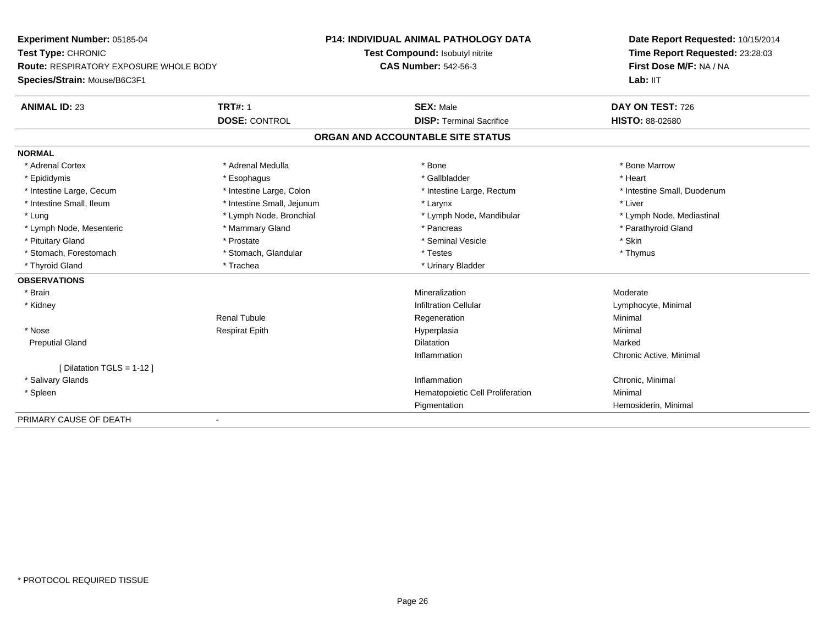| Experiment Number: 05185-04            |                            | <b>P14: INDIVIDUAL ANIMAL PATHOLOGY DATA</b> | Date Report Requested: 10/15/2014<br>Time Report Requested: 23:28:03<br>First Dose M/F: NA / NA |  |
|----------------------------------------|----------------------------|----------------------------------------------|-------------------------------------------------------------------------------------------------|--|
| Test Type: CHRONIC                     |                            | Test Compound: Isobutyl nitrite              |                                                                                                 |  |
| Route: RESPIRATORY EXPOSURE WHOLE BODY |                            | <b>CAS Number: 542-56-3</b>                  |                                                                                                 |  |
| Species/Strain: Mouse/B6C3F1           |                            |                                              | Lab: IIT                                                                                        |  |
| <b>ANIMAL ID: 23</b>                   | <b>TRT#: 1</b>             | <b>SEX: Male</b>                             | DAY ON TEST: 726                                                                                |  |
|                                        | <b>DOSE: CONTROL</b>       | <b>DISP: Terminal Sacrifice</b>              | <b>HISTO: 88-02680</b>                                                                          |  |
|                                        |                            | ORGAN AND ACCOUNTABLE SITE STATUS            |                                                                                                 |  |
| <b>NORMAL</b>                          |                            |                                              |                                                                                                 |  |
| * Adrenal Cortex                       | * Adrenal Medulla          | * Bone                                       | * Bone Marrow                                                                                   |  |
| * Epididymis                           | * Esophagus                | * Gallbladder                                | * Heart                                                                                         |  |
| * Intestine Large, Cecum               | * Intestine Large, Colon   | * Intestine Large, Rectum                    | * Intestine Small, Duodenum                                                                     |  |
| * Intestine Small, Ileum               | * Intestine Small, Jejunum | * Larynx                                     | * Liver                                                                                         |  |
| * Lung                                 | * Lymph Node, Bronchial    | * Lymph Node, Mandibular                     | * Lymph Node, Mediastinal                                                                       |  |
| * Lymph Node, Mesenteric               | * Mammary Gland            | * Pancreas                                   | * Parathyroid Gland                                                                             |  |
| * Pituitary Gland                      | * Prostate                 | * Seminal Vesicle                            | * Skin                                                                                          |  |
| * Stomach, Forestomach                 | * Stomach, Glandular       | * Testes                                     | * Thymus                                                                                        |  |
| * Thyroid Gland                        | * Trachea                  | * Urinary Bladder                            |                                                                                                 |  |
| <b>OBSERVATIONS</b>                    |                            |                                              |                                                                                                 |  |
| * Brain                                |                            | Mineralization                               | Moderate                                                                                        |  |
| * Kidney                               |                            | <b>Infiltration Cellular</b>                 | Lymphocyte, Minimal                                                                             |  |
|                                        | <b>Renal Tubule</b>        | Regeneration                                 | Minimal                                                                                         |  |
| * Nose                                 | <b>Respirat Epith</b>      | Hyperplasia                                  | Minimal                                                                                         |  |
| <b>Preputial Gland</b>                 |                            | Dilatation                                   | Marked                                                                                          |  |
|                                        |                            | Inflammation                                 | Chronic Active, Minimal                                                                         |  |
| [Dilatation TGLS = 1-12 ]              |                            |                                              |                                                                                                 |  |
| * Salivary Glands                      |                            | Inflammation                                 | Chronic, Minimal                                                                                |  |
| * Spleen                               |                            | Hematopoietic Cell Proliferation             | Minimal                                                                                         |  |
|                                        |                            | Pigmentation                                 | Hemosiderin, Minimal                                                                            |  |

-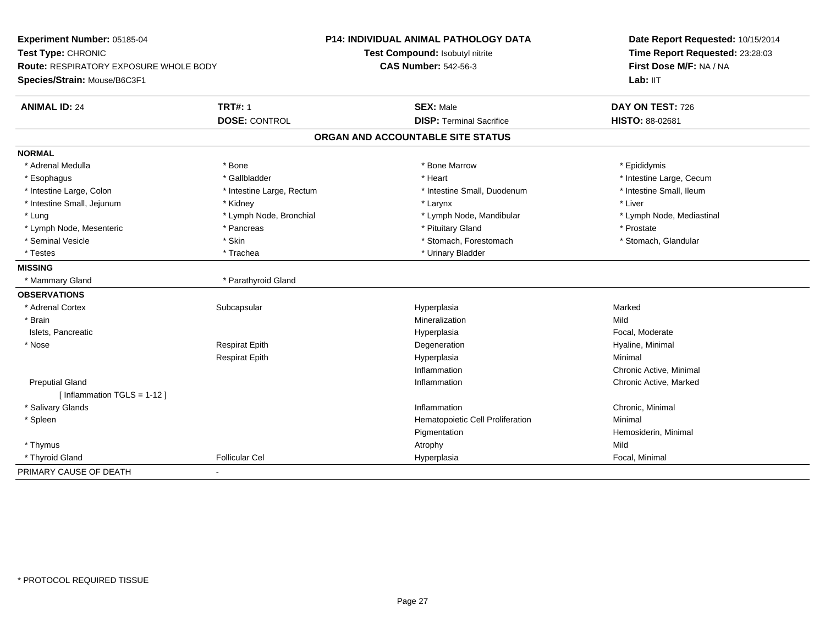| Experiment Number: 05185-04                   |                           | <b>P14: INDIVIDUAL ANIMAL PATHOLOGY DATA</b> | Date Report Requested: 10/15/2014<br>Time Report Requested: 23:28:03 |
|-----------------------------------------------|---------------------------|----------------------------------------------|----------------------------------------------------------------------|
| Test Type: CHRONIC                            |                           | Test Compound: Isobutyl nitrite              |                                                                      |
| <b>Route: RESPIRATORY EXPOSURE WHOLE BODY</b> |                           | <b>CAS Number: 542-56-3</b>                  | First Dose M/F: NA / NA                                              |
| Species/Strain: Mouse/B6C3F1                  |                           |                                              | Lab: IIT                                                             |
| <b>ANIMAL ID: 24</b>                          | <b>TRT#: 1</b>            | <b>SEX: Male</b>                             | DAY ON TEST: 726                                                     |
|                                               | <b>DOSE: CONTROL</b>      | <b>DISP: Terminal Sacrifice</b>              | HISTO: 88-02681                                                      |
|                                               |                           | ORGAN AND ACCOUNTABLE SITE STATUS            |                                                                      |
| <b>NORMAL</b>                                 |                           |                                              |                                                                      |
| * Adrenal Medulla                             | * Bone                    | * Bone Marrow                                | * Epididymis                                                         |
| * Esophagus                                   | * Gallbladder             | * Heart                                      | * Intestine Large, Cecum                                             |
| * Intestine Large, Colon                      | * Intestine Large, Rectum | * Intestine Small, Duodenum                  | * Intestine Small, Ileum                                             |
| * Intestine Small, Jejunum                    | * Kidney                  | * Larynx                                     | * Liver                                                              |
| * Lung                                        | * Lymph Node, Bronchial   | * Lymph Node, Mandibular                     | * Lymph Node, Mediastinal                                            |
| * Lymph Node, Mesenteric                      | * Pancreas                | * Pituitary Gland                            | * Prostate                                                           |
| * Seminal Vesicle                             | * Skin                    | * Stomach, Forestomach                       | * Stomach, Glandular                                                 |
| * Testes                                      | * Trachea                 | * Urinary Bladder                            |                                                                      |
| <b>MISSING</b>                                |                           |                                              |                                                                      |
| * Mammary Gland                               | * Parathyroid Gland       |                                              |                                                                      |
| <b>OBSERVATIONS</b>                           |                           |                                              |                                                                      |
| * Adrenal Cortex                              | Subcapsular               | Hyperplasia                                  | Marked                                                               |
| * Brain                                       |                           | Mineralization                               | Mild                                                                 |
| Islets, Pancreatic                            |                           | Hyperplasia                                  | Focal, Moderate                                                      |
| * Nose                                        | <b>Respirat Epith</b>     | Degeneration                                 | Hyaline, Minimal                                                     |
|                                               | <b>Respirat Epith</b>     | Hyperplasia                                  | Minimal                                                              |
|                                               |                           | Inflammation                                 | Chronic Active, Minimal                                              |
| <b>Preputial Gland</b>                        |                           | Inflammation                                 | Chronic Active, Marked                                               |
| [Inflammation TGLS = $1-12$ ]                 |                           |                                              |                                                                      |
| * Salivary Glands                             |                           | Inflammation                                 | Chronic, Minimal                                                     |
| * Spleen                                      |                           | Hematopoietic Cell Proliferation             | Minimal                                                              |
|                                               |                           | Pigmentation                                 | Hemosiderin, Minimal                                                 |
| * Thymus                                      |                           | Atrophy                                      | Mild                                                                 |
| * Thyroid Gland                               | <b>Follicular Cel</b>     | Hyperplasia                                  | Focal, Minimal                                                       |
| PRIMARY CAUSE OF DEATH                        |                           |                                              |                                                                      |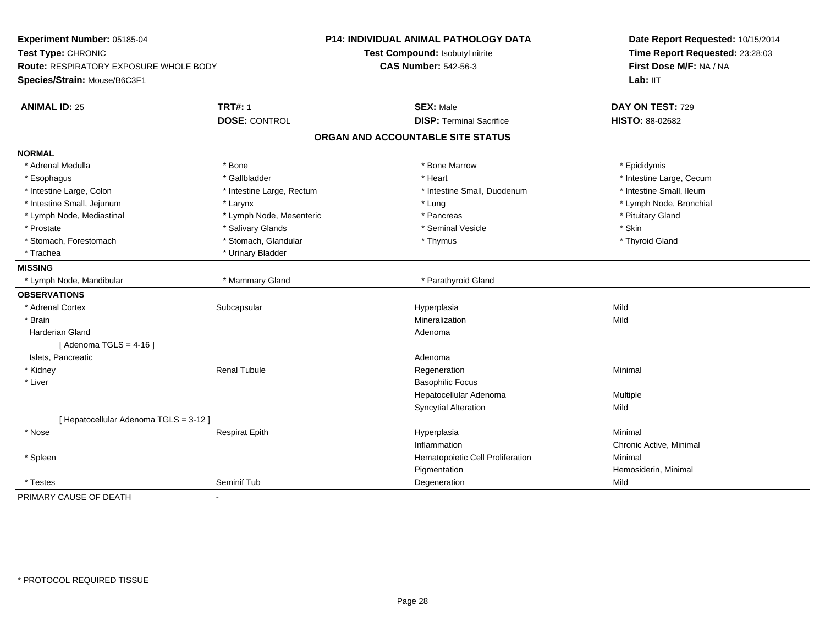| Experiment Number: 05185-04                   |                                                                | <b>P14: INDIVIDUAL ANIMAL PATHOLOGY DATA</b> | Date Report Requested: 10/15/2014 |
|-----------------------------------------------|----------------------------------------------------------------|----------------------------------------------|-----------------------------------|
| Test Type: CHRONIC                            | Test Compound: Isobutyl nitrite<br><b>CAS Number: 542-56-3</b> |                                              | Time Report Requested: 23:28:03   |
| <b>Route: RESPIRATORY EXPOSURE WHOLE BODY</b> |                                                                |                                              | First Dose M/F: NA / NA           |
| Species/Strain: Mouse/B6C3F1                  |                                                                |                                              | Lab: IIT                          |
| <b>ANIMAL ID: 25</b>                          | <b>TRT#: 1</b>                                                 | <b>SEX: Male</b>                             | DAY ON TEST: 729                  |
|                                               | <b>DOSE: CONTROL</b>                                           | <b>DISP: Terminal Sacrifice</b>              | HISTO: 88-02682                   |
|                                               |                                                                | ORGAN AND ACCOUNTABLE SITE STATUS            |                                   |
| <b>NORMAL</b>                                 |                                                                |                                              |                                   |
| * Adrenal Medulla                             | * Bone                                                         | * Bone Marrow                                | * Epididymis                      |
| * Esophagus                                   | * Gallbladder                                                  | * Heart                                      | * Intestine Large, Cecum          |
| * Intestine Large, Colon                      | * Intestine Large, Rectum                                      | * Intestine Small, Duodenum                  | * Intestine Small, Ileum          |
| * Intestine Small, Jejunum                    | * Larynx                                                       | * Lung                                       | * Lymph Node, Bronchial           |
| * Lymph Node, Mediastinal                     | * Lymph Node, Mesenteric                                       | * Pancreas                                   | * Pituitary Gland                 |
| * Prostate                                    | * Salivary Glands                                              | * Seminal Vesicle                            | * Skin                            |
| * Stomach, Forestomach                        | * Stomach, Glandular                                           | * Thymus                                     | * Thyroid Gland                   |
| * Trachea                                     | * Urinary Bladder                                              |                                              |                                   |
| <b>MISSING</b>                                |                                                                |                                              |                                   |
| * Lymph Node, Mandibular                      | * Mammary Gland                                                | * Parathyroid Gland                          |                                   |
| <b>OBSERVATIONS</b>                           |                                                                |                                              |                                   |
| * Adrenal Cortex                              | Subcapsular                                                    | Hyperplasia                                  | Mild                              |
| * Brain                                       |                                                                | Mineralization                               | Mild                              |
| <b>Harderian Gland</b>                        |                                                                | Adenoma                                      |                                   |
| [Adenoma TGLS = $4-16$ ]                      |                                                                |                                              |                                   |
| Islets, Pancreatic                            |                                                                | Adenoma                                      |                                   |
| * Kidney                                      | <b>Renal Tubule</b>                                            | Regeneration                                 | Minimal                           |
| * Liver                                       |                                                                | <b>Basophilic Focus</b>                      |                                   |
|                                               |                                                                | Hepatocellular Adenoma                       | Multiple                          |
|                                               |                                                                | <b>Syncytial Alteration</b>                  | Mild                              |
| [ Hepatocellular Adenoma TGLS = 3-12 ]        |                                                                |                                              |                                   |
| * Nose                                        | <b>Respirat Epith</b>                                          | Hyperplasia                                  | Minimal                           |
|                                               |                                                                | Inflammation                                 | Chronic Active, Minimal           |
| * Spleen                                      |                                                                | Hematopoietic Cell Proliferation             | Minimal                           |
|                                               |                                                                | Pigmentation                                 | Hemosiderin, Minimal              |
| * Testes                                      | Seminif Tub                                                    | Degeneration                                 | Mild                              |
| PRIMARY CAUSE OF DEATH                        | $\blacksquare$                                                 |                                              |                                   |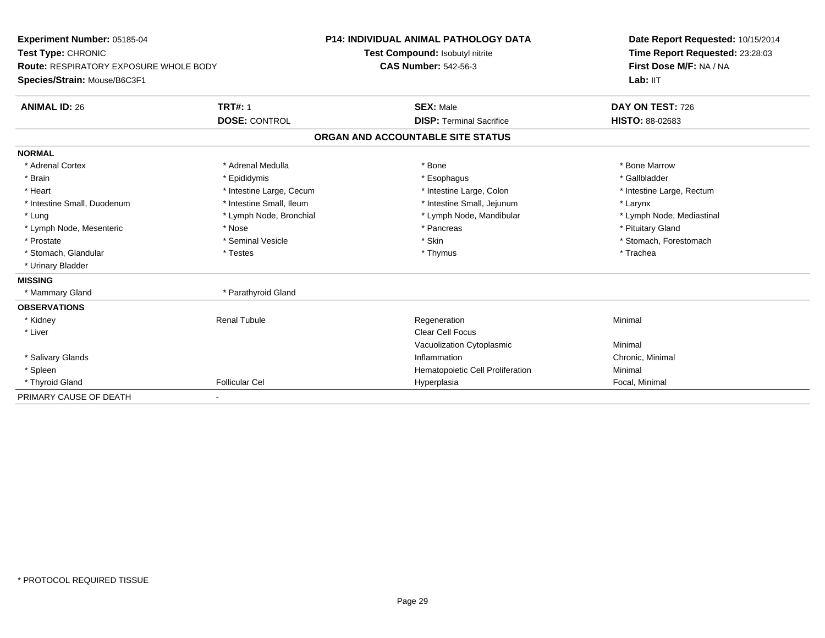| Experiment Number: 05185-04                   |                          | <b>P14: INDIVIDUAL ANIMAL PATHOLOGY DATA</b> | Date Report Requested: 10/15/2014 |
|-----------------------------------------------|--------------------------|----------------------------------------------|-----------------------------------|
| Test Type: CHRONIC                            |                          | Test Compound: Isobutyl nitrite              | Time Report Requested: 23:28:03   |
| <b>Route: RESPIRATORY EXPOSURE WHOLE BODY</b> |                          | <b>CAS Number: 542-56-3</b>                  | First Dose M/F: NA / NA           |
| Species/Strain: Mouse/B6C3F1                  |                          |                                              | Lab: IIT                          |
| <b>ANIMAL ID: 26</b>                          | <b>TRT#: 1</b>           | <b>SEX: Male</b>                             | DAY ON TEST: 726                  |
|                                               | <b>DOSE: CONTROL</b>     | <b>DISP: Terminal Sacrifice</b>              | HISTO: 88-02683                   |
|                                               |                          | ORGAN AND ACCOUNTABLE SITE STATUS            |                                   |
| <b>NORMAL</b>                                 |                          |                                              |                                   |
| * Adrenal Cortex                              | * Adrenal Medulla        | * Bone                                       | * Bone Marrow                     |
| * Brain                                       | * Epididymis             | * Esophagus                                  | * Gallbladder                     |
| * Heart                                       | * Intestine Large, Cecum | * Intestine Large, Colon                     | * Intestine Large, Rectum         |
| * Intestine Small, Duodenum                   | * Intestine Small. Ileum | * Intestine Small, Jejunum                   | * Larynx                          |
| * Lung                                        | * Lymph Node, Bronchial  | * Lymph Node, Mandibular                     | * Lymph Node, Mediastinal         |
| * Lymph Node, Mesenteric                      | * Nose                   | * Pancreas                                   | * Pituitary Gland                 |
| * Prostate                                    | * Seminal Vesicle        | * Skin                                       | * Stomach, Forestomach            |
| * Stomach, Glandular                          | * Testes                 | * Thymus                                     | * Trachea                         |
| * Urinary Bladder                             |                          |                                              |                                   |
| <b>MISSING</b>                                |                          |                                              |                                   |
| * Mammary Gland                               | * Parathyroid Gland      |                                              |                                   |
| <b>OBSERVATIONS</b>                           |                          |                                              |                                   |
| * Kidney                                      | <b>Renal Tubule</b>      | Regeneration                                 | Minimal                           |
| * Liver                                       |                          | <b>Clear Cell Focus</b>                      |                                   |
|                                               |                          | Vacuolization Cytoplasmic                    | Minimal                           |
| * Salivary Glands                             |                          | Inflammation                                 | Chronic, Minimal                  |
| * Spleen                                      |                          | Hematopoietic Cell Proliferation             | Minimal                           |
| * Thyroid Gland                               | <b>Follicular Cel</b>    | Hyperplasia                                  | Focal, Minimal                    |
| PRIMARY CAUSE OF DEATH                        |                          |                                              |                                   |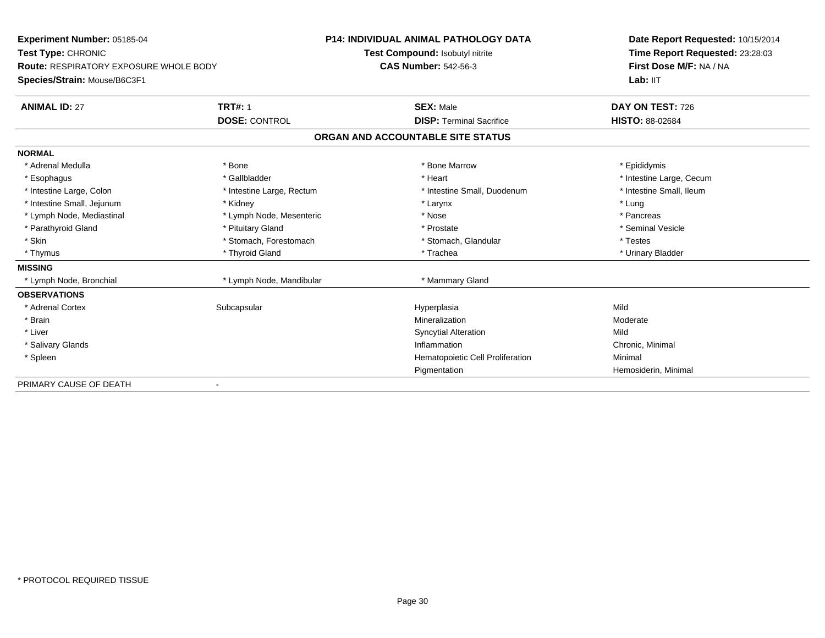| Experiment Number: 05185-04            |                           | <b>P14: INDIVIDUAL ANIMAL PATHOLOGY DATA</b> | Date Report Requested: 10/15/2014<br>Time Report Requested: 23:28:03 |
|----------------------------------------|---------------------------|----------------------------------------------|----------------------------------------------------------------------|
| Test Type: CHRONIC                     |                           | Test Compound: Isobutyl nitrite              |                                                                      |
| Route: RESPIRATORY EXPOSURE WHOLE BODY |                           | <b>CAS Number: 542-56-3</b>                  | First Dose M/F: NA / NA                                              |
| Species/Strain: Mouse/B6C3F1           |                           |                                              | Lab: IIT                                                             |
| <b>ANIMAL ID: 27</b>                   | <b>TRT#: 1</b>            | <b>SEX: Male</b>                             | DAY ON TEST: 726                                                     |
|                                        | <b>DOSE: CONTROL</b>      | <b>DISP: Terminal Sacrifice</b>              | <b>HISTO: 88-02684</b>                                               |
|                                        |                           | ORGAN AND ACCOUNTABLE SITE STATUS            |                                                                      |
| <b>NORMAL</b>                          |                           |                                              |                                                                      |
| * Adrenal Medulla                      | * Bone                    | * Bone Marrow                                | * Epididymis                                                         |
| * Esophagus                            | * Gallbladder             | * Heart                                      | * Intestine Large, Cecum                                             |
| * Intestine Large, Colon               | * Intestine Large, Rectum | * Intestine Small, Duodenum                  | * Intestine Small, Ileum                                             |
| * Intestine Small, Jejunum             | * Kidney                  | * Larynx                                     | * Lung                                                               |
| * Lymph Node, Mediastinal              | * Lymph Node, Mesenteric  | * Nose                                       | * Pancreas                                                           |
| * Parathyroid Gland                    | * Pituitary Gland         | * Prostate                                   | * Seminal Vesicle                                                    |
| * Skin                                 | * Stomach, Forestomach    | * Stomach, Glandular                         | * Testes                                                             |
| * Thymus                               | * Thyroid Gland           | * Trachea                                    | * Urinary Bladder                                                    |
| <b>MISSING</b>                         |                           |                                              |                                                                      |
| * Lymph Node, Bronchial                | * Lymph Node, Mandibular  | * Mammary Gland                              |                                                                      |
| <b>OBSERVATIONS</b>                    |                           |                                              |                                                                      |
| * Adrenal Cortex                       | Subcapsular               | Hyperplasia                                  | Mild                                                                 |
| * Brain                                |                           | Mineralization                               | Moderate                                                             |
| * Liver                                |                           | <b>Syncytial Alteration</b>                  | Mild                                                                 |
| * Salivary Glands                      |                           | Inflammation                                 | Chronic, Minimal                                                     |
| * Spleen                               |                           | Hematopoietic Cell Proliferation             | Minimal                                                              |
|                                        |                           | Pigmentation                                 | Hemosiderin, Minimal                                                 |
| PRIMARY CAUSE OF DEATH                 |                           |                                              |                                                                      |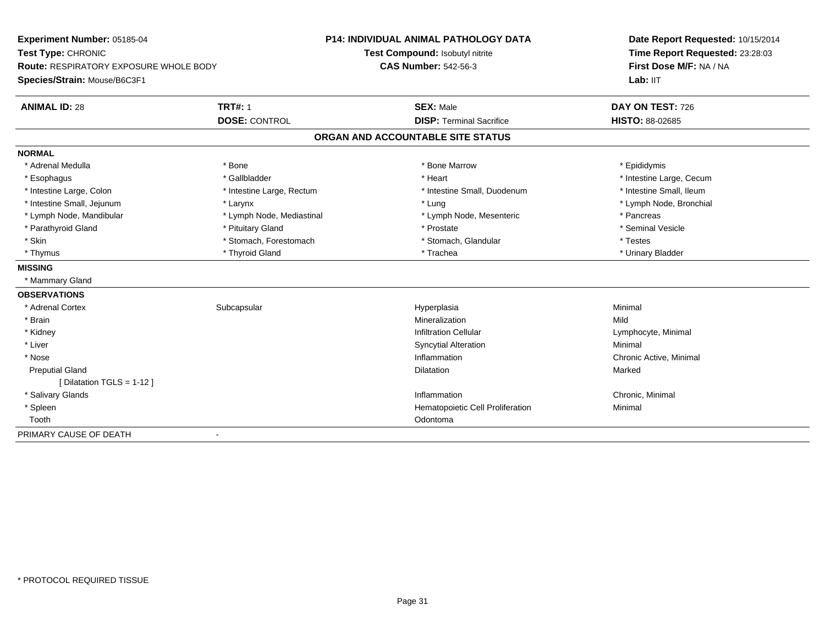| Experiment Number: 05185-04            |                           | <b>P14: INDIVIDUAL ANIMAL PATHOLOGY DATA</b> | Date Report Requested: 10/15/2014<br>Time Report Requested: 23:28:03 |
|----------------------------------------|---------------------------|----------------------------------------------|----------------------------------------------------------------------|
| Test Type: CHRONIC                     |                           | Test Compound: Isobutyl nitrite              |                                                                      |
| Route: RESPIRATORY EXPOSURE WHOLE BODY |                           | <b>CAS Number: 542-56-3</b>                  | First Dose M/F: NA / NA                                              |
| Species/Strain: Mouse/B6C3F1           |                           |                                              | Lab: IIT                                                             |
| <b>ANIMAL ID: 28</b>                   | <b>TRT#: 1</b>            | <b>SEX: Male</b>                             | DAY ON TEST: 726                                                     |
|                                        | <b>DOSE: CONTROL</b>      | <b>DISP: Terminal Sacrifice</b>              | <b>HISTO: 88-02685</b>                                               |
|                                        |                           | ORGAN AND ACCOUNTABLE SITE STATUS            |                                                                      |
| <b>NORMAL</b>                          |                           |                                              |                                                                      |
| * Adrenal Medulla                      | * Bone                    | * Bone Marrow                                | * Epididymis                                                         |
| * Esophagus                            | * Gallbladder             | * Heart                                      | * Intestine Large, Cecum                                             |
| * Intestine Large, Colon               | * Intestine Large, Rectum | * Intestine Small, Duodenum                  | * Intestine Small, Ileum                                             |
| * Intestine Small, Jejunum             | * Larynx                  | * Lung                                       | * Lymph Node, Bronchial                                              |
| * Lymph Node, Mandibular               | * Lymph Node, Mediastinal | * Lymph Node, Mesenteric                     | * Pancreas                                                           |
| * Parathyroid Gland                    | * Pituitary Gland         | * Prostate                                   | * Seminal Vesicle                                                    |
| * Skin                                 | * Stomach, Forestomach    | * Stomach, Glandular                         | * Testes                                                             |
| * Thymus                               | * Thyroid Gland           | * Trachea                                    | * Urinary Bladder                                                    |
| <b>MISSING</b>                         |                           |                                              |                                                                      |
| * Mammary Gland                        |                           |                                              |                                                                      |
| <b>OBSERVATIONS</b>                    |                           |                                              |                                                                      |
| * Adrenal Cortex                       | Subcapsular               | Hyperplasia                                  | Minimal                                                              |
| * Brain                                |                           | Mineralization                               | Mild                                                                 |
| * Kidney                               |                           | <b>Infiltration Cellular</b>                 | Lymphocyte, Minimal                                                  |
| * Liver                                |                           | <b>Syncytial Alteration</b>                  | Minimal                                                              |
| * Nose                                 |                           | Inflammation                                 | Chronic Active, Minimal                                              |
| <b>Preputial Gland</b>                 |                           | <b>Dilatation</b>                            | Marked                                                               |
| [ Dilatation TGLS = 1-12 ]             |                           |                                              |                                                                      |
| * Salivary Glands                      |                           | Inflammation                                 | Chronic, Minimal                                                     |
| * Spleen                               |                           | Hematopoietic Cell Proliferation             | Minimal                                                              |
| Tooth                                  |                           | Odontoma                                     |                                                                      |
| PRIMARY CAUSE OF DEATH                 |                           |                                              |                                                                      |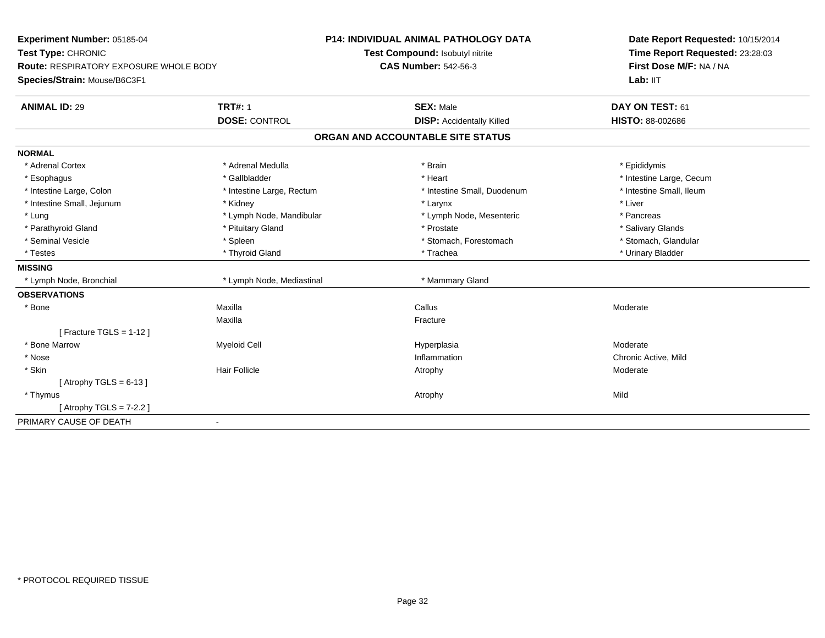| Experiment Number: 05185-04                           | P14: INDIVIDUAL ANIMAL PATHOLOGY DATA | Date Report Requested: 10/15/2014<br>Time Report Requested: 23:28:03<br>First Dose M/F: NA / NA |
|-------------------------------------------------------|---------------------------------------|-------------------------------------------------------------------------------------------------|
| Test Type: CHRONIC                                    | Test Compound: Isobutyl nitrite       |                                                                                                 |
| Route: RESPIRATORY EXPOSURE WHOLE BODY                | <b>CAS Number: 542-56-3</b>           |                                                                                                 |
| Species/Strain: Mouse/B6C3F1                          |                                       | Lab: IIT                                                                                        |
| <b>TRT#: 1</b><br><b>ANIMAL ID: 29</b>                | <b>SEX: Male</b>                      | DAY ON TEST: 61                                                                                 |
| <b>DOSE: CONTROL</b>                                  | <b>DISP: Accidentally Killed</b>      | HISTO: 88-002686                                                                                |
|                                                       | ORGAN AND ACCOUNTABLE SITE STATUS     |                                                                                                 |
| <b>NORMAL</b>                                         |                                       |                                                                                                 |
| * Adrenal Cortex<br>* Adrenal Medulla                 | * Brain                               | * Epididymis                                                                                    |
| * Gallbladder<br>* Esophagus                          | * Heart                               | * Intestine Large, Cecum                                                                        |
| * Intestine Large, Colon<br>* Intestine Large, Rectum | * Intestine Small, Duodenum           | * Intestine Small, Ileum                                                                        |
| * Intestine Small, Jejunum<br>* Kidney                | * Larynx                              | * Liver                                                                                         |
| * Lung<br>* Lymph Node, Mandibular                    | * Lymph Node, Mesenteric              | * Pancreas                                                                                      |
| * Parathyroid Gland<br>* Pituitary Gland              | * Prostate                            | * Salivary Glands                                                                               |
| * Seminal Vesicle<br>* Spleen                         | * Stomach, Forestomach                | * Stomach, Glandular                                                                            |
| * Thyroid Gland<br>* Testes                           | * Trachea                             | * Urinary Bladder                                                                               |
| <b>MISSING</b>                                        |                                       |                                                                                                 |
| * Lymph Node, Mediastinal<br>* Lymph Node, Bronchial  | * Mammary Gland                       |                                                                                                 |
| <b>OBSERVATIONS</b>                                   |                                       |                                                                                                 |
| Maxilla<br>* Bone                                     | Callus                                | Moderate                                                                                        |
| Maxilla                                               | Fracture                              |                                                                                                 |
| [Fracture TGLS = 1-12]                                |                                       |                                                                                                 |
| * Bone Marrow<br><b>Myeloid Cell</b>                  | Hyperplasia                           | Moderate                                                                                        |
| * Nose                                                | Inflammation                          | Chronic Active, Mild                                                                            |
| * Skin<br><b>Hair Follicle</b>                        | Atrophy                               | Moderate                                                                                        |
| [Atrophy TGLS = $6-13$ ]                              |                                       |                                                                                                 |
| * Thymus                                              | Atrophy                               | Mild                                                                                            |
| [Atrophy TGLS = $7-2.2$ ]                             |                                       |                                                                                                 |
| PRIMARY CAUSE OF DEATH<br>$\mathbf{r}$                |                                       |                                                                                                 |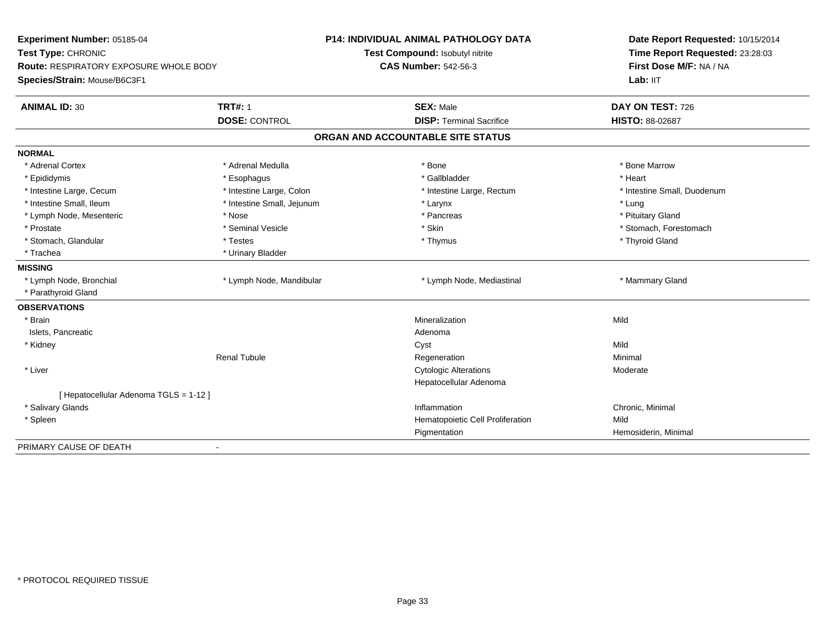| Experiment Number: 05185-04            |                            | <b>P14: INDIVIDUAL ANIMAL PATHOLOGY DATA</b> | Date Report Requested: 10/15/2014<br>Time Report Requested: 23:28:03 |
|----------------------------------------|----------------------------|----------------------------------------------|----------------------------------------------------------------------|
| Test Type: CHRONIC                     |                            | Test Compound: Isobutyl nitrite              |                                                                      |
| Route: RESPIRATORY EXPOSURE WHOLE BODY |                            | <b>CAS Number: 542-56-3</b>                  | First Dose M/F: NA / NA                                              |
| Species/Strain: Mouse/B6C3F1           |                            |                                              | Lab: IIT                                                             |
| <b>ANIMAL ID: 30</b>                   | <b>TRT#: 1</b>             | <b>SEX: Male</b>                             | DAY ON TEST: 726                                                     |
|                                        | <b>DOSE: CONTROL</b>       | <b>DISP: Terminal Sacrifice</b>              | HISTO: 88-02687                                                      |
|                                        |                            | ORGAN AND ACCOUNTABLE SITE STATUS            |                                                                      |
| <b>NORMAL</b>                          |                            |                                              |                                                                      |
| * Adrenal Cortex                       | * Adrenal Medulla          | * Bone                                       | * Bone Marrow                                                        |
| * Epididymis                           | * Esophagus                | * Gallbladder                                | * Heart                                                              |
| * Intestine Large, Cecum               | * Intestine Large, Colon   | * Intestine Large, Rectum                    | * Intestine Small, Duodenum                                          |
| * Intestine Small, Ileum               | * Intestine Small, Jejunum | * Larynx                                     | * Lung                                                               |
| * Lymph Node, Mesenteric               | * Nose                     | * Pancreas                                   | * Pituitary Gland                                                    |
| * Prostate                             | * Seminal Vesicle          | * Skin                                       | * Stomach, Forestomach                                               |
| * Stomach, Glandular                   | * Testes                   | * Thymus                                     | * Thyroid Gland                                                      |
| * Trachea                              | * Urinary Bladder          |                                              |                                                                      |
| <b>MISSING</b>                         |                            |                                              |                                                                      |
| * Lymph Node, Bronchial                | * Lymph Node, Mandibular   | * Lymph Node, Mediastinal                    | * Mammary Gland                                                      |
| * Parathyroid Gland                    |                            |                                              |                                                                      |
| <b>OBSERVATIONS</b>                    |                            |                                              |                                                                      |
| * Brain                                |                            | Mineralization                               | Mild                                                                 |
| Islets, Pancreatic                     |                            | Adenoma                                      |                                                                      |
| * Kidney                               |                            | Cyst                                         | Mild                                                                 |
|                                        | <b>Renal Tubule</b>        | Regeneration                                 | Minimal                                                              |
| * Liver                                |                            | <b>Cytologic Alterations</b>                 | Moderate                                                             |
|                                        |                            | Hepatocellular Adenoma                       |                                                                      |
| [ Hepatocellular Adenoma TGLS = 1-12 ] |                            |                                              |                                                                      |
| * Salivary Glands                      |                            | Inflammation                                 | Chronic, Minimal                                                     |
| * Spleen                               |                            | Hematopoietic Cell Proliferation             | Mild                                                                 |
|                                        |                            | Pigmentation                                 | Hemosiderin, Minimal                                                 |
| PRIMARY CAUSE OF DEATH                 |                            |                                              |                                                                      |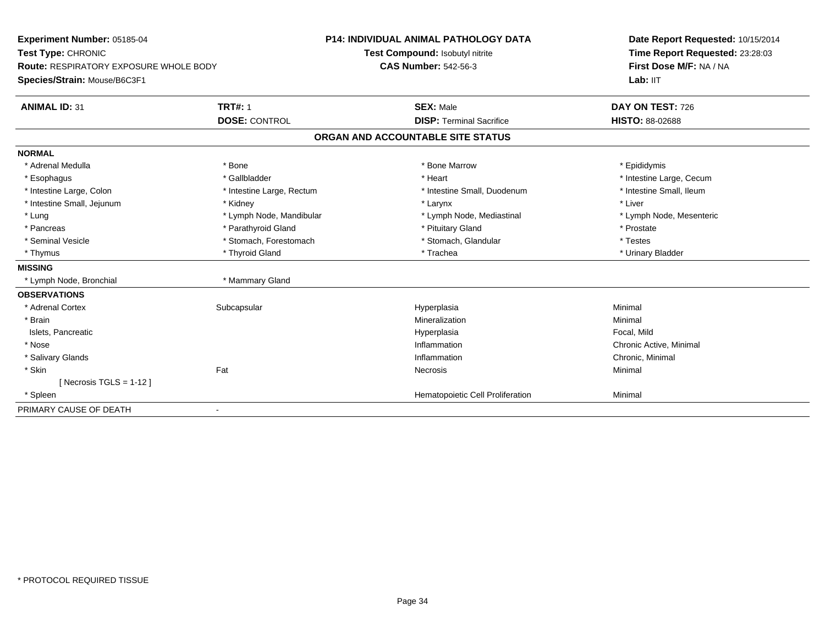| Experiment Number: 05185-04            |                           | <b>P14: INDIVIDUAL ANIMAL PATHOLOGY DATA</b> | Date Report Requested: 10/15/2014 |
|----------------------------------------|---------------------------|----------------------------------------------|-----------------------------------|
| Test Type: CHRONIC                     |                           | Test Compound: Isobutyl nitrite              | Time Report Requested: 23:28:03   |
| Route: RESPIRATORY EXPOSURE WHOLE BODY |                           | <b>CAS Number: 542-56-3</b>                  | First Dose M/F: NA / NA           |
| Species/Strain: Mouse/B6C3F1           |                           |                                              | Lab: IIT                          |
| <b>ANIMAL ID: 31</b>                   | <b>TRT#: 1</b>            | <b>SEX: Male</b>                             | DAY ON TEST: 726                  |
|                                        | <b>DOSE: CONTROL</b>      | <b>DISP: Terminal Sacrifice</b>              | <b>HISTO: 88-02688</b>            |
|                                        |                           | ORGAN AND ACCOUNTABLE SITE STATUS            |                                   |
| <b>NORMAL</b>                          |                           |                                              |                                   |
| * Adrenal Medulla                      | * Bone                    | * Bone Marrow                                | * Epididymis                      |
| * Esophagus                            | * Gallbladder             | * Heart                                      | * Intestine Large, Cecum          |
| * Intestine Large, Colon               | * Intestine Large, Rectum | * Intestine Small, Duodenum                  | * Intestine Small, Ileum          |
| * Intestine Small, Jejunum             | * Kidney                  | * Larynx                                     | * Liver                           |
| * Lung                                 | * Lymph Node, Mandibular  | * Lymph Node, Mediastinal                    | * Lymph Node, Mesenteric          |
| * Pancreas                             | * Parathyroid Gland       | * Pituitary Gland                            | * Prostate                        |
| * Seminal Vesicle                      | * Stomach, Forestomach    | * Stomach, Glandular                         | * Testes                          |
| * Thymus                               | * Thyroid Gland           | * Trachea                                    | * Urinary Bladder                 |
| <b>MISSING</b>                         |                           |                                              |                                   |
| * Lymph Node, Bronchial                | * Mammary Gland           |                                              |                                   |
| <b>OBSERVATIONS</b>                    |                           |                                              |                                   |
| * Adrenal Cortex                       | Subcapsular               | Hyperplasia                                  | Minimal                           |
| * Brain                                |                           | Mineralization                               | Minimal                           |
| Islets, Pancreatic                     |                           | Hyperplasia                                  | Focal, Mild                       |
| * Nose                                 |                           | Inflammation                                 | Chronic Active, Minimal           |
| * Salivary Glands                      |                           | Inflammation                                 | Chronic, Minimal                  |
| * Skin                                 | Fat                       | Necrosis                                     | Minimal                           |
| [Necrosis TGLS = $1-12$ ]              |                           |                                              |                                   |
| * Spleen                               |                           | Hematopoietic Cell Proliferation             | Minimal                           |
| PRIMARY CAUSE OF DEATH                 | $\overline{\phantom{a}}$  |                                              |                                   |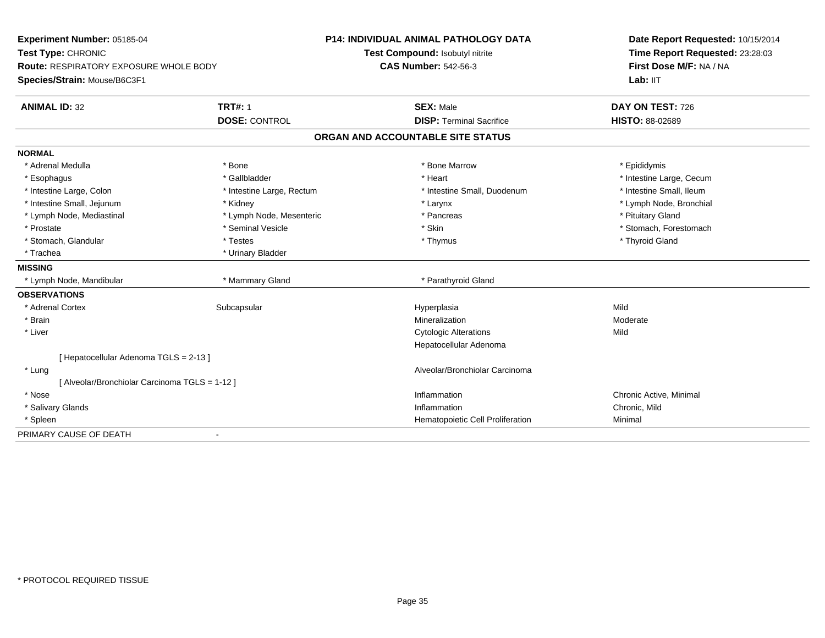| Experiment Number: 05185-04                  |                           | <b>P14: INDIVIDUAL ANIMAL PATHOLOGY DATA</b> | Date Report Requested: 10/15/2014 |
|----------------------------------------------|---------------------------|----------------------------------------------|-----------------------------------|
| Test Type: CHRONIC                           |                           | Test Compound: Isobutyl nitrite              | Time Report Requested: 23:28:03   |
| Route: RESPIRATORY EXPOSURE WHOLE BODY       |                           | <b>CAS Number: 542-56-3</b>                  | First Dose M/F: NA / NA           |
| Species/Strain: Mouse/B6C3F1                 |                           |                                              | Lab: IIT                          |
| <b>ANIMAL ID: 32</b>                         | <b>TRT#: 1</b>            | <b>SEX: Male</b>                             | DAY ON TEST: 726                  |
|                                              | <b>DOSE: CONTROL</b>      | <b>DISP: Terminal Sacrifice</b>              | <b>HISTO: 88-02689</b>            |
|                                              |                           | ORGAN AND ACCOUNTABLE SITE STATUS            |                                   |
| <b>NORMAL</b>                                |                           |                                              |                                   |
| * Adrenal Medulla                            | * Bone                    | * Bone Marrow                                | * Epididymis                      |
| * Esophagus                                  | * Gallbladder             | * Heart                                      | * Intestine Large, Cecum          |
| * Intestine Large, Colon                     | * Intestine Large, Rectum | * Intestine Small, Duodenum                  | * Intestine Small, Ileum          |
| * Intestine Small, Jejunum                   | * Kidney                  | * Larynx                                     | * Lymph Node, Bronchial           |
| * Lymph Node, Mediastinal                    | * Lymph Node, Mesenteric  | * Pancreas                                   | * Pituitary Gland                 |
| * Prostate                                   | * Seminal Vesicle         | * Skin                                       | * Stomach, Forestomach            |
| * Stomach, Glandular                         | * Testes                  | * Thymus                                     | * Thyroid Gland                   |
| * Trachea                                    | * Urinary Bladder         |                                              |                                   |
| <b>MISSING</b>                               |                           |                                              |                                   |
| * Lymph Node, Mandibular                     | * Mammary Gland           | * Parathyroid Gland                          |                                   |
| <b>OBSERVATIONS</b>                          |                           |                                              |                                   |
| * Adrenal Cortex                             | Subcapsular               | Hyperplasia                                  | Mild                              |
| * Brain                                      |                           | Mineralization                               | Moderate                          |
| * Liver                                      |                           | <b>Cytologic Alterations</b>                 | Mild                              |
|                                              |                           | Hepatocellular Adenoma                       |                                   |
| [Hepatocellular Adenoma TGLS = 2-13]         |                           |                                              |                                   |
| * Lung                                       |                           | Alveolar/Bronchiolar Carcinoma               |                                   |
| [Alveolar/Bronchiolar Carcinoma TGLS = 1-12] |                           |                                              |                                   |
| * Nose                                       |                           | Inflammation                                 | Chronic Active, Minimal           |
| * Salivary Glands                            |                           | Inflammation                                 | Chronic, Mild                     |
| * Spleen                                     |                           | Hematopoietic Cell Proliferation             | Minimal                           |
| PRIMARY CAUSE OF DEATH                       |                           |                                              |                                   |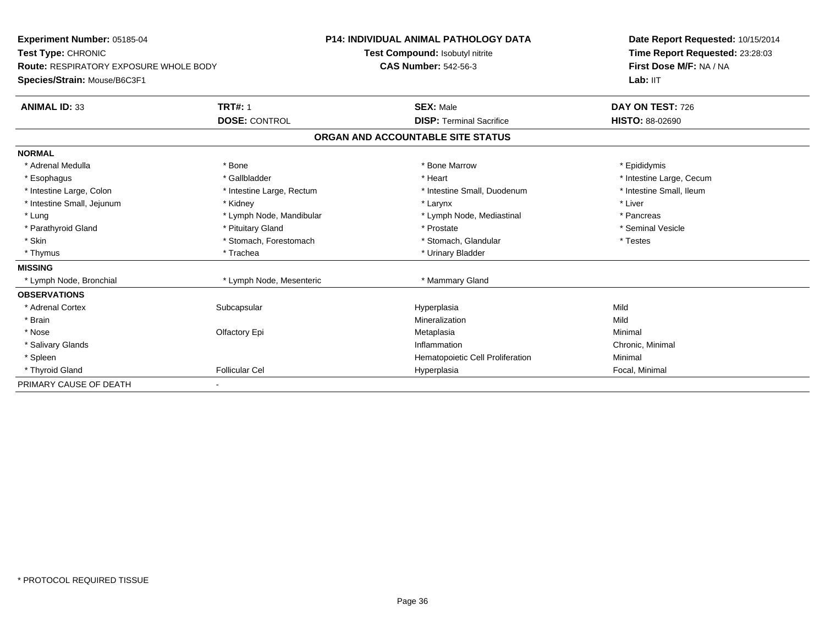| <b>Experiment Number: 05185-04</b>            |                           | <b>P14: INDIVIDUAL ANIMAL PATHOLOGY DATA</b> | Date Report Requested: 10/15/2014<br>Time Report Requested: 23:28:03<br>First Dose M/F: NA / NA |
|-----------------------------------------------|---------------------------|----------------------------------------------|-------------------------------------------------------------------------------------------------|
| Test Type: CHRONIC                            |                           | Test Compound: Isobutyl nitrite              |                                                                                                 |
| <b>Route: RESPIRATORY EXPOSURE WHOLE BODY</b> |                           | <b>CAS Number: 542-56-3</b>                  |                                                                                                 |
| Species/Strain: Mouse/B6C3F1                  |                           |                                              | Lab: IIT                                                                                        |
| <b>ANIMAL ID: 33</b>                          | <b>TRT#: 1</b>            | <b>SEX: Male</b>                             | DAY ON TEST: 726                                                                                |
|                                               | <b>DOSE: CONTROL</b>      | <b>DISP: Terminal Sacrifice</b>              | <b>HISTO: 88-02690</b>                                                                          |
|                                               |                           | ORGAN AND ACCOUNTABLE SITE STATUS            |                                                                                                 |
| <b>NORMAL</b>                                 |                           |                                              |                                                                                                 |
| * Adrenal Medulla                             | * Bone                    | * Bone Marrow                                | * Epididymis                                                                                    |
| * Esophagus                                   | * Gallbladder             | * Heart                                      | * Intestine Large, Cecum                                                                        |
| * Intestine Large, Colon                      | * Intestine Large, Rectum | * Intestine Small, Duodenum                  | * Intestine Small, Ileum                                                                        |
| * Intestine Small, Jejunum                    | * Kidney                  | * Larynx                                     | * Liver                                                                                         |
| * Lung                                        | * Lymph Node, Mandibular  | * Lymph Node, Mediastinal                    | * Pancreas                                                                                      |
| * Parathyroid Gland                           | * Pituitary Gland         | * Prostate                                   | * Seminal Vesicle                                                                               |
| * Skin                                        | * Stomach, Forestomach    | * Stomach, Glandular                         | * Testes                                                                                        |
| * Thymus                                      | * Trachea                 | * Urinary Bladder                            |                                                                                                 |
| <b>MISSING</b>                                |                           |                                              |                                                                                                 |
| * Lymph Node, Bronchial                       | * Lymph Node, Mesenteric  | * Mammary Gland                              |                                                                                                 |
| <b>OBSERVATIONS</b>                           |                           |                                              |                                                                                                 |
| * Adrenal Cortex                              | Subcapsular               | Hyperplasia                                  | Mild                                                                                            |
| * Brain                                       |                           | Mineralization                               | Mild                                                                                            |
| * Nose                                        | Olfactory Epi             | Metaplasia                                   | Minimal                                                                                         |
| * Salivary Glands                             |                           | Inflammation                                 | Chronic, Minimal                                                                                |
| * Spleen                                      |                           | Hematopoietic Cell Proliferation             | Minimal                                                                                         |
| * Thyroid Gland                               | <b>Follicular Cel</b>     | Hyperplasia                                  | Focal, Minimal                                                                                  |
| PRIMARY CAUSE OF DEATH                        |                           |                                              |                                                                                                 |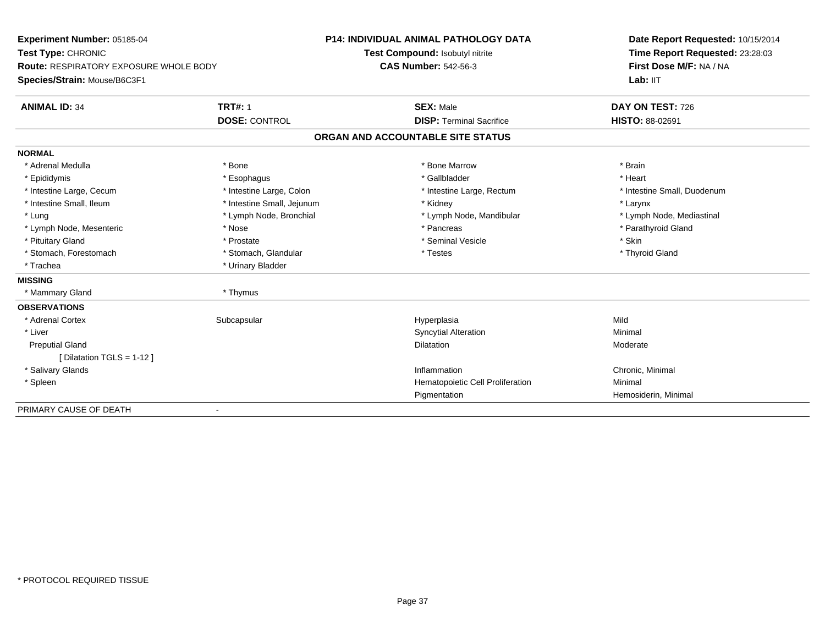| Experiment Number: 05185-04            |                            | <b>P14: INDIVIDUAL ANIMAL PATHOLOGY DATA</b> | Date Report Requested: 10/15/2014 |  |
|----------------------------------------|----------------------------|----------------------------------------------|-----------------------------------|--|
| Test Type: CHRONIC                     |                            | Test Compound: Isobutyl nitrite              | Time Report Requested: 23:28:03   |  |
| Route: RESPIRATORY EXPOSURE WHOLE BODY |                            | <b>CAS Number: 542-56-3</b>                  | First Dose M/F: NA / NA           |  |
| Species/Strain: Mouse/B6C3F1           |                            |                                              | Lab: IIT                          |  |
| <b>ANIMAL ID: 34</b>                   | <b>TRT#: 1</b>             | <b>SEX: Male</b>                             | DAY ON TEST: 726                  |  |
|                                        | <b>DOSE: CONTROL</b>       | <b>DISP: Terminal Sacrifice</b>              | HISTO: 88-02691                   |  |
|                                        |                            | ORGAN AND ACCOUNTABLE SITE STATUS            |                                   |  |
| <b>NORMAL</b>                          |                            |                                              |                                   |  |
| * Adrenal Medulla                      | * Bone                     | * Bone Marrow                                | * Brain                           |  |
| * Epididymis                           | * Esophagus                | * Gallbladder                                | * Heart                           |  |
| * Intestine Large, Cecum               | * Intestine Large, Colon   | * Intestine Large, Rectum                    | * Intestine Small, Duodenum       |  |
| * Intestine Small, Ileum               | * Intestine Small, Jejunum | * Kidney                                     | * Larynx                          |  |
| * Lung                                 | * Lymph Node, Bronchial    | * Lymph Node, Mandibular                     | * Lymph Node, Mediastinal         |  |
| * Lymph Node, Mesenteric               | * Nose                     | * Pancreas                                   | * Parathyroid Gland               |  |
| * Pituitary Gland                      | * Prostate                 | * Seminal Vesicle                            | * Skin                            |  |
| * Stomach, Forestomach                 | * Stomach, Glandular       | * Testes                                     | * Thyroid Gland                   |  |
| * Trachea                              | * Urinary Bladder          |                                              |                                   |  |
| <b>MISSING</b>                         |                            |                                              |                                   |  |
| * Mammary Gland                        | * Thymus                   |                                              |                                   |  |
| <b>OBSERVATIONS</b>                    |                            |                                              |                                   |  |
| * Adrenal Cortex                       | Subcapsular                | Hyperplasia                                  | Mild                              |  |
| * Liver                                |                            | <b>Syncytial Alteration</b>                  | Minimal                           |  |
| <b>Preputial Gland</b>                 |                            | <b>Dilatation</b>                            | Moderate                          |  |
| [Dilatation TGLS = 1-12 ]              |                            |                                              |                                   |  |
| * Salivary Glands                      |                            | Inflammation                                 | Chronic, Minimal                  |  |
| * Spleen                               |                            | Hematopoietic Cell Proliferation             | Minimal                           |  |
|                                        |                            | Pigmentation                                 | Hemosiderin, Minimal              |  |
| PRIMARY CAUSE OF DEATH                 |                            |                                              |                                   |  |

-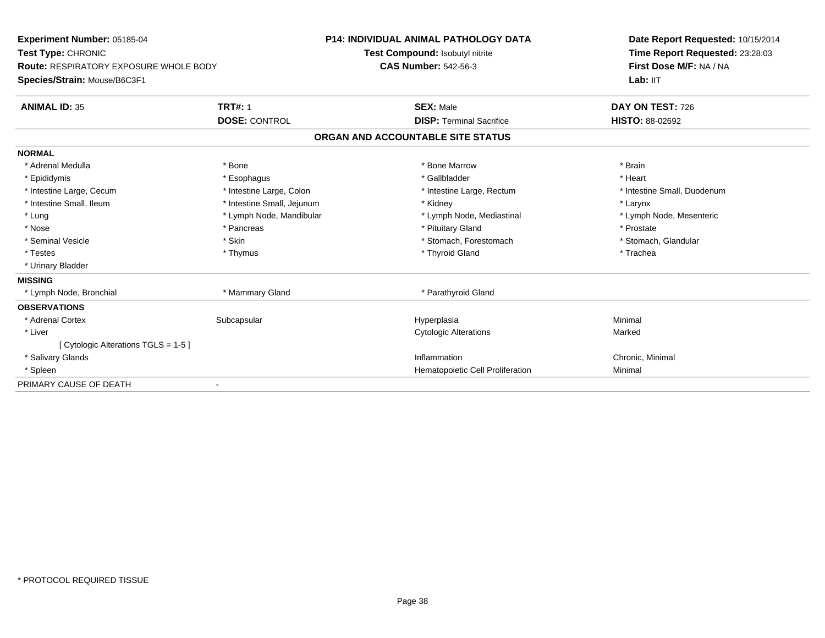| Experiment Number: 05185-04            |                            | <b>P14: INDIVIDUAL ANIMAL PATHOLOGY DATA</b> | Date Report Requested: 10/15/2014 |
|----------------------------------------|----------------------------|----------------------------------------------|-----------------------------------|
| Test Type: CHRONIC                     |                            | Test Compound: Isobutyl nitrite              | Time Report Requested: 23:28:03   |
| Route: RESPIRATORY EXPOSURE WHOLE BODY |                            | <b>CAS Number: 542-56-3</b>                  | First Dose M/F: NA / NA           |
| Species/Strain: Mouse/B6C3F1           |                            |                                              | Lab: IIT                          |
| <b>ANIMAL ID: 35</b>                   | <b>TRT#: 1</b>             | <b>SEX: Male</b>                             | DAY ON TEST: 726                  |
|                                        | <b>DOSE: CONTROL</b>       | <b>DISP: Terminal Sacrifice</b>              | <b>HISTO: 88-02692</b>            |
|                                        |                            | ORGAN AND ACCOUNTABLE SITE STATUS            |                                   |
| <b>NORMAL</b>                          |                            |                                              |                                   |
| * Adrenal Medulla                      | * Bone                     | * Bone Marrow                                | * Brain                           |
| * Epididymis                           | * Esophagus                | * Gallbladder                                | * Heart                           |
| * Intestine Large, Cecum               | * Intestine Large, Colon   | * Intestine Large, Rectum                    | * Intestine Small, Duodenum       |
| * Intestine Small, Ileum               | * Intestine Small, Jejunum | * Kidney                                     | * Larynx                          |
| * Lung                                 | * Lymph Node, Mandibular   | * Lymph Node, Mediastinal                    | * Lymph Node, Mesenteric          |
| * Nose                                 | * Pancreas                 | * Pituitary Gland                            | * Prostate                        |
| * Seminal Vesicle                      | * Skin                     | * Stomach, Forestomach                       | * Stomach, Glandular              |
| * Testes                               | * Thymus                   | * Thyroid Gland                              | * Trachea                         |
| * Urinary Bladder                      |                            |                                              |                                   |
| <b>MISSING</b>                         |                            |                                              |                                   |
| * Lymph Node, Bronchial                | * Mammary Gland            | * Parathyroid Gland                          |                                   |
| <b>OBSERVATIONS</b>                    |                            |                                              |                                   |
| * Adrenal Cortex                       | Subcapsular                | Hyperplasia                                  | Minimal                           |
| * Liver                                |                            | <b>Cytologic Alterations</b>                 | Marked                            |
| [ Cytologic Alterations TGLS = 1-5 ]   |                            |                                              |                                   |
| * Salivary Glands                      |                            | Inflammation                                 | Chronic, Minimal                  |
| * Spleen                               |                            | Hematopoietic Cell Proliferation             | Minimal                           |
| PRIMARY CAUSE OF DEATH                 |                            |                                              |                                   |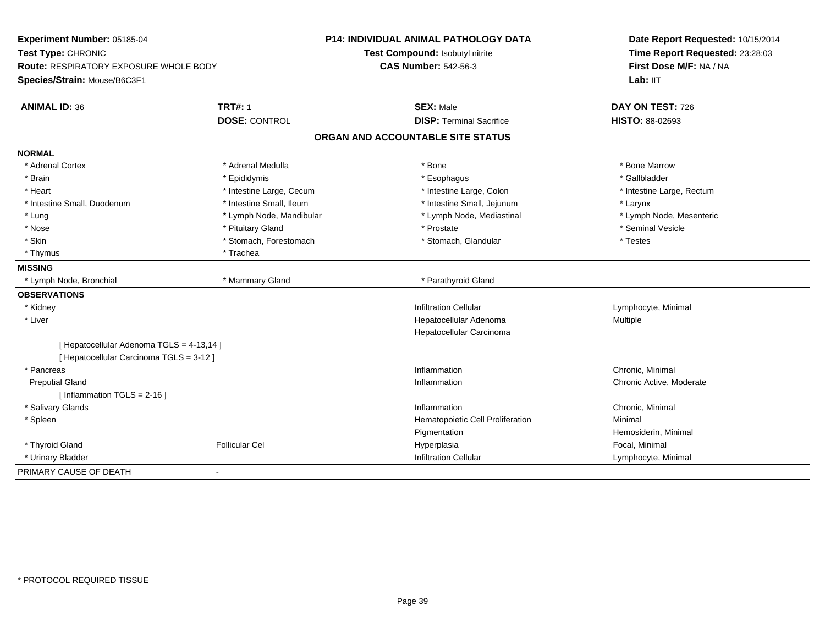| Experiment Number: 05185-04                   |                          | <b>P14: INDIVIDUAL ANIMAL PATHOLOGY DATA</b> | Date Report Requested: 10/15/2014 |
|-----------------------------------------------|--------------------------|----------------------------------------------|-----------------------------------|
| Test Type: CHRONIC                            |                          | Test Compound: Isobutyl nitrite              | Time Report Requested: 23:28:03   |
| <b>Route: RESPIRATORY EXPOSURE WHOLE BODY</b> |                          | <b>CAS Number: 542-56-3</b>                  | First Dose M/F: NA / NA           |
| Species/Strain: Mouse/B6C3F1                  |                          |                                              | Lab: IIT                          |
| <b>ANIMAL ID: 36</b>                          | <b>TRT#: 1</b>           | <b>SEX: Male</b>                             | DAY ON TEST: 726                  |
|                                               | <b>DOSE: CONTROL</b>     | <b>DISP: Terminal Sacrifice</b>              | <b>HISTO: 88-02693</b>            |
|                                               |                          | ORGAN AND ACCOUNTABLE SITE STATUS            |                                   |
| <b>NORMAL</b>                                 |                          |                                              |                                   |
| * Adrenal Cortex                              | * Adrenal Medulla        | * Bone                                       | * Bone Marrow                     |
| * Brain                                       | * Epididymis             | * Esophagus                                  | * Gallbladder                     |
| * Heart                                       | * Intestine Large, Cecum | * Intestine Large, Colon                     | * Intestine Large, Rectum         |
| * Intestine Small, Duodenum                   | * Intestine Small, Ileum | * Intestine Small, Jejunum                   | * Larynx                          |
| * Lung                                        | * Lymph Node, Mandibular | * Lymph Node, Mediastinal                    | * Lymph Node, Mesenteric          |
| * Nose                                        | * Pituitary Gland        | * Prostate                                   | * Seminal Vesicle                 |
| * Skin                                        | * Stomach, Forestomach   | * Stomach, Glandular                         | * Testes                          |
| * Thymus                                      | * Trachea                |                                              |                                   |
| <b>MISSING</b>                                |                          |                                              |                                   |
| * Lymph Node, Bronchial                       | * Mammary Gland          | * Parathyroid Gland                          |                                   |
| <b>OBSERVATIONS</b>                           |                          |                                              |                                   |
| * Kidney                                      |                          | <b>Infiltration Cellular</b>                 | Lymphocyte, Minimal               |
| * Liver                                       |                          | Hepatocellular Adenoma                       | Multiple                          |
|                                               |                          | Hepatocellular Carcinoma                     |                                   |
| [ Hepatocellular Adenoma TGLS = 4-13,14 ]     |                          |                                              |                                   |
| [ Hepatocellular Carcinoma TGLS = 3-12 ]      |                          |                                              |                                   |
| * Pancreas                                    |                          | Inflammation                                 | Chronic, Minimal                  |
| <b>Preputial Gland</b>                        |                          | Inflammation                                 | Chronic Active, Moderate          |
| [ Inflammation $TGLS = 2-16$ ]                |                          |                                              |                                   |
| * Salivary Glands                             |                          | Inflammation                                 | Chronic, Minimal                  |
| * Spleen                                      |                          | Hematopoietic Cell Proliferation             | Minimal                           |
|                                               |                          | Pigmentation                                 | Hemosiderin, Minimal              |
| * Thyroid Gland                               | <b>Follicular Cel</b>    | Hyperplasia                                  | Focal, Minimal                    |
| * Urinary Bladder                             |                          | <b>Infiltration Cellular</b>                 | Lymphocyte, Minimal               |
| PRIMARY CAUSE OF DEATH                        |                          |                                              |                                   |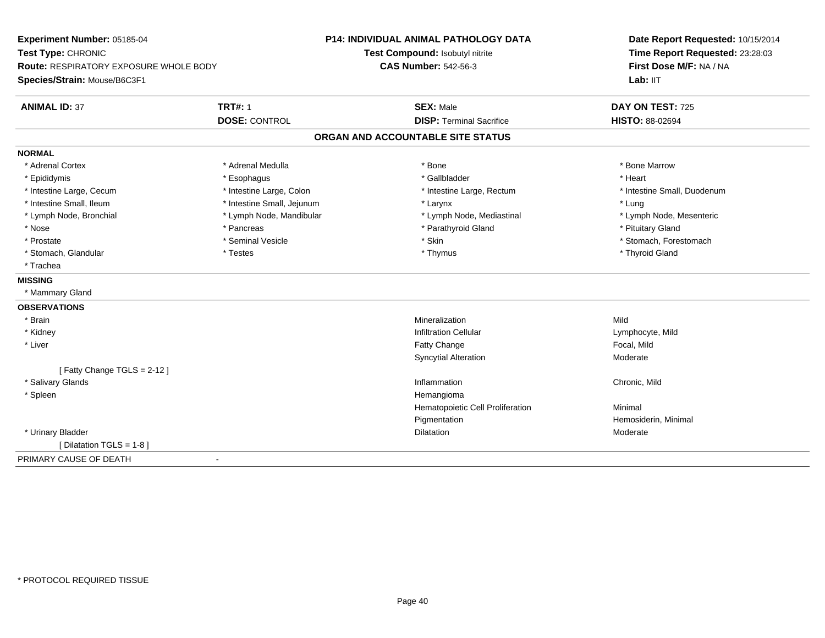| Experiment Number: 05185-04                                                   |                            | <b>P14: INDIVIDUAL ANIMAL PATHOLOGY DATA</b> | Date Report Requested: 10/15/2014 |
|-------------------------------------------------------------------------------|----------------------------|----------------------------------------------|-----------------------------------|
| Test Type: CHRONIC                                                            |                            | Test Compound: Isobutyl nitrite              | Time Report Requested: 23:28:03   |
| <b>Route: RESPIRATORY EXPOSURE WHOLE BODY</b><br>Species/Strain: Mouse/B6C3F1 |                            | <b>CAS Number: 542-56-3</b>                  | First Dose M/F: NA / NA           |
|                                                                               |                            |                                              | Lab: IIT                          |
| <b>ANIMAL ID: 37</b>                                                          | <b>TRT#: 1</b>             | <b>SEX: Male</b>                             | DAY ON TEST: 725                  |
|                                                                               | <b>DOSE: CONTROL</b>       | <b>DISP: Terminal Sacrifice</b>              | HISTO: 88-02694                   |
|                                                                               |                            | ORGAN AND ACCOUNTABLE SITE STATUS            |                                   |
| <b>NORMAL</b>                                                                 |                            |                                              |                                   |
| * Adrenal Cortex                                                              | * Adrenal Medulla          | * Bone                                       | * Bone Marrow                     |
| * Epididymis                                                                  | * Esophagus                | * Gallbladder                                | * Heart                           |
| * Intestine Large, Cecum                                                      | * Intestine Large, Colon   | * Intestine Large, Rectum                    | * Intestine Small, Duodenum       |
| * Intestine Small, Ileum                                                      | * Intestine Small, Jejunum | * Larynx                                     | * Lung                            |
| * Lymph Node, Bronchial                                                       | * Lymph Node, Mandibular   | * Lymph Node, Mediastinal                    | * Lymph Node, Mesenteric          |
| * Nose                                                                        | * Pancreas                 | * Parathyroid Gland                          | * Pituitary Gland                 |
| * Prostate                                                                    | * Seminal Vesicle          | * Skin                                       | * Stomach, Forestomach            |
| * Stomach, Glandular                                                          | * Testes                   | * Thymus                                     | * Thyroid Gland                   |
| * Trachea                                                                     |                            |                                              |                                   |
| <b>MISSING</b>                                                                |                            |                                              |                                   |
| * Mammary Gland                                                               |                            |                                              |                                   |
| <b>OBSERVATIONS</b>                                                           |                            |                                              |                                   |
| * Brain                                                                       |                            | Mineralization                               | Mild                              |
| * Kidney                                                                      |                            | <b>Infiltration Cellular</b>                 | Lymphocyte, Mild                  |
| * Liver                                                                       |                            | Fatty Change                                 | Focal, Mild                       |
|                                                                               |                            | <b>Syncytial Alteration</b>                  | Moderate                          |
| [Fatty Change TGLS = 2-12]                                                    |                            |                                              |                                   |
| * Salivary Glands                                                             |                            | Inflammation                                 | Chronic, Mild                     |
| * Spleen                                                                      |                            | Hemangioma                                   |                                   |
|                                                                               |                            | Hematopoietic Cell Proliferation             | Minimal                           |
|                                                                               |                            | Pigmentation                                 | Hemosiderin, Minimal              |
| * Urinary Bladder                                                             |                            | <b>Dilatation</b>                            | Moderate                          |
| [ Dilatation TGLS = 1-8 ]                                                     |                            |                                              |                                   |
| PRIMARY CAUSE OF DEATH<br>$\blacksquare$                                      |                            |                                              |                                   |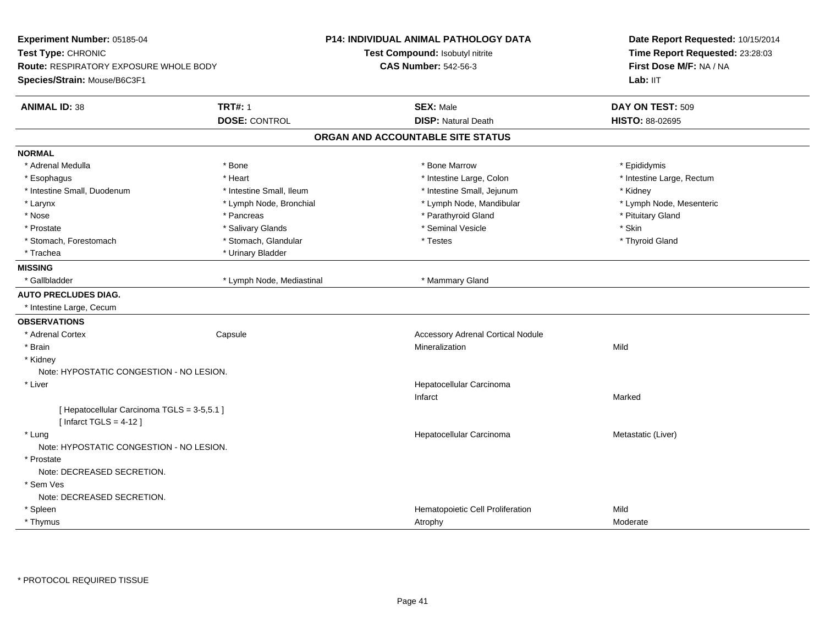| Experiment Number: 05185-04<br>Test Type: CHRONIC<br><b>Route: RESPIRATORY EXPOSURE WHOLE BODY</b><br>Species/Strain: Mouse/B6C3F1 | P14: INDIVIDUAL ANIMAL PATHOLOGY DATA<br>Test Compound: Isobutyl nitrite<br><b>CAS Number: 542-56-3</b> | Date Report Requested: 10/15/2014<br>Time Report Requested: 23:28:03<br>First Dose M/F: NA / NA<br>Lab: IIT |
|------------------------------------------------------------------------------------------------------------------------------------|---------------------------------------------------------------------------------------------------------|-------------------------------------------------------------------------------------------------------------|
| <b>TRT#: 1</b><br><b>ANIMAL ID: 38</b>                                                                                             | <b>SEX: Male</b>                                                                                        | DAY ON TEST: 509                                                                                            |
| <b>DOSE: CONTROL</b>                                                                                                               | <b>DISP: Natural Death</b>                                                                              | <b>HISTO: 88-02695</b>                                                                                      |
|                                                                                                                                    | ORGAN AND ACCOUNTABLE SITE STATUS                                                                       |                                                                                                             |
| <b>NORMAL</b>                                                                                                                      |                                                                                                         |                                                                                                             |
| * Adrenal Medulla<br>* Bone                                                                                                        | * Bone Marrow                                                                                           | * Epididymis                                                                                                |
| * Esophagus<br>* Heart                                                                                                             | * Intestine Large, Colon                                                                                | * Intestine Large, Rectum                                                                                   |
| * Intestine Small, Ileum<br>* Intestine Small, Duodenum                                                                            | * Intestine Small, Jejunum                                                                              | * Kidney                                                                                                    |
| * Larynx<br>* Lymph Node, Bronchial                                                                                                | * Lymph Node, Mandibular                                                                                | * Lymph Node, Mesenteric                                                                                    |
| * Nose<br>* Pancreas                                                                                                               | * Parathyroid Gland                                                                                     | * Pituitary Gland                                                                                           |
| * Salivary Glands<br>* Prostate                                                                                                    | * Seminal Vesicle                                                                                       | * Skin                                                                                                      |
| * Stomach, Glandular<br>* Stomach, Forestomach                                                                                     | * Testes                                                                                                | * Thyroid Gland                                                                                             |
| * Urinary Bladder<br>* Trachea                                                                                                     |                                                                                                         |                                                                                                             |
| <b>MISSING</b>                                                                                                                     |                                                                                                         |                                                                                                             |
| * Gallbladder<br>* Lymph Node, Mediastinal                                                                                         | * Mammary Gland                                                                                         |                                                                                                             |
| <b>AUTO PRECLUDES DIAG.</b>                                                                                                        |                                                                                                         |                                                                                                             |
| * Intestine Large, Cecum                                                                                                           |                                                                                                         |                                                                                                             |
| <b>OBSERVATIONS</b>                                                                                                                |                                                                                                         |                                                                                                             |
| * Adrenal Cortex<br>Capsule                                                                                                        | <b>Accessory Adrenal Cortical Nodule</b>                                                                |                                                                                                             |
| * Brain                                                                                                                            | Mineralization                                                                                          | Mild                                                                                                        |
| * Kidney                                                                                                                           |                                                                                                         |                                                                                                             |
| Note: HYPOSTATIC CONGESTION - NO LESION.                                                                                           |                                                                                                         |                                                                                                             |
| * Liver                                                                                                                            | Hepatocellular Carcinoma                                                                                |                                                                                                             |
|                                                                                                                                    | Infarct                                                                                                 | Marked                                                                                                      |
| [ Hepatocellular Carcinoma TGLS = 3-5,5.1 ]<br>[Infarct TGLS = $4-12$ ]                                                            |                                                                                                         |                                                                                                             |
| * Lung                                                                                                                             | Hepatocellular Carcinoma                                                                                | Metastatic (Liver)                                                                                          |
| Note: HYPOSTATIC CONGESTION - NO LESION.                                                                                           |                                                                                                         |                                                                                                             |
| * Prostate                                                                                                                         |                                                                                                         |                                                                                                             |
| Note: DECREASED SECRETION.                                                                                                         |                                                                                                         |                                                                                                             |
| * Sem Ves                                                                                                                          |                                                                                                         |                                                                                                             |
| Note: DECREASED SECRETION.                                                                                                         |                                                                                                         |                                                                                                             |
| * Spleen                                                                                                                           | Hematopoietic Cell Proliferation                                                                        | Mild                                                                                                        |
| * Thymus                                                                                                                           | Atrophy                                                                                                 | Moderate                                                                                                    |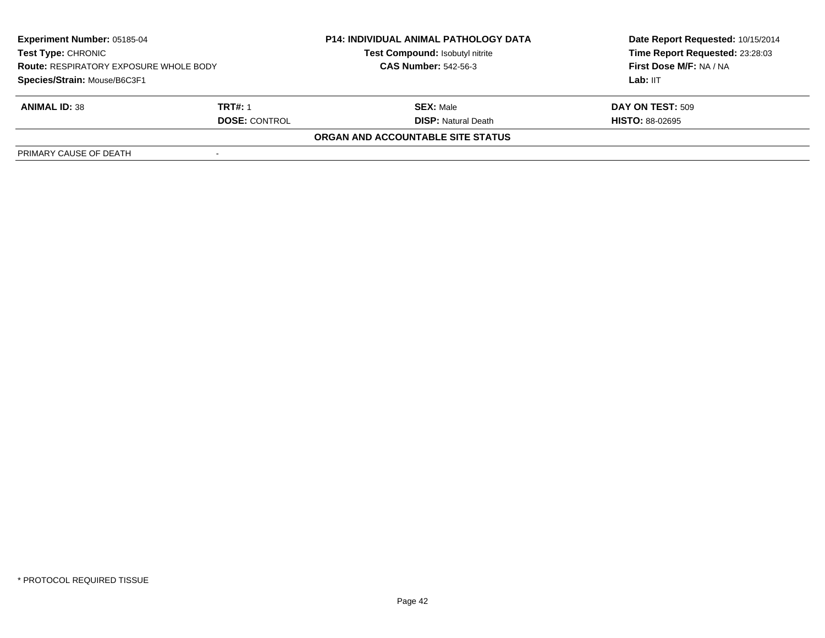| <b>Experiment Number: 05185-04</b><br>Test Type: CHRONIC<br><b>Route: RESPIRATORY EXPOSURE WHOLE BODY</b><br>Species/Strain: Mouse/B6C3F1 |                      | <b>P14: INDIVIDUAL ANIMAL PATHOLOGY DATA</b> | Date Report Requested: 10/15/2014 |  |
|-------------------------------------------------------------------------------------------------------------------------------------------|----------------------|----------------------------------------------|-----------------------------------|--|
|                                                                                                                                           |                      | Test Compound: Isobutyl nitrite              | Time Report Requested: 23:28:03   |  |
|                                                                                                                                           |                      | <b>CAS Number: 542-56-3</b>                  | First Dose M/F: NA / NA           |  |
|                                                                                                                                           |                      |                                              | Lab: IIT                          |  |
| <b>ANIMAL ID: 38</b>                                                                                                                      | TRT#: 1              | <b>SEX: Male</b>                             | DAY ON TEST: 509                  |  |
|                                                                                                                                           | <b>DOSE: CONTROL</b> | <b>DISP:</b> Natural Death                   | <b>HISTO: 88-02695</b>            |  |
|                                                                                                                                           |                      | ORGAN AND ACCOUNTABLE SITE STATUS            |                                   |  |
| PRIMARY CAUSE OF DEATH                                                                                                                    |                      |                                              |                                   |  |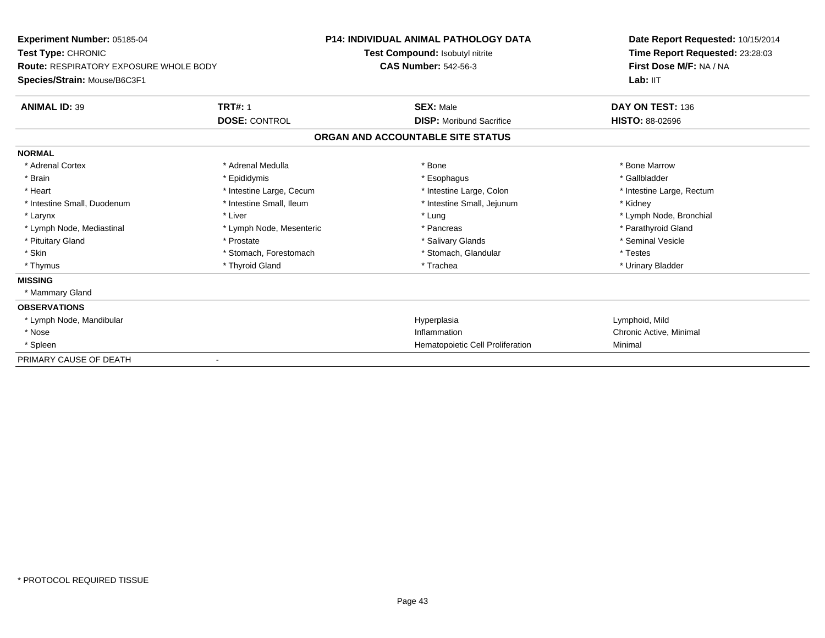| Experiment Number: 05185-04<br>Test Type: CHRONIC<br><b>Route: RESPIRATORY EXPOSURE WHOLE BODY</b><br>Species/Strain: Mouse/B6C3F1 |                          | <b>P14: INDIVIDUAL ANIMAL PATHOLOGY DATA</b> | Date Report Requested: 10/15/2014<br>Time Report Requested: 23:28:03<br>First Dose M/F: NA / NA<br>Lab: IIT |
|------------------------------------------------------------------------------------------------------------------------------------|--------------------------|----------------------------------------------|-------------------------------------------------------------------------------------------------------------|
|                                                                                                                                    |                          | Test Compound: Isobutyl nitrite              |                                                                                                             |
|                                                                                                                                    |                          | <b>CAS Number: 542-56-3</b>                  |                                                                                                             |
|                                                                                                                                    |                          |                                              |                                                                                                             |
| <b>ANIMAL ID: 39</b>                                                                                                               | <b>TRT#: 1</b>           | <b>SEX: Male</b>                             | DAY ON TEST: 136                                                                                            |
|                                                                                                                                    | <b>DOSE: CONTROL</b>     | <b>DISP:</b> Moribund Sacrifice              | <b>HISTO: 88-02696</b>                                                                                      |
|                                                                                                                                    |                          | ORGAN AND ACCOUNTABLE SITE STATUS            |                                                                                                             |
| <b>NORMAL</b>                                                                                                                      |                          |                                              |                                                                                                             |
| * Adrenal Cortex                                                                                                                   | * Adrenal Medulla        | * Bone                                       | * Bone Marrow                                                                                               |
| * Brain                                                                                                                            | * Epididymis             | * Esophagus                                  | * Gallbladder                                                                                               |
| * Heart                                                                                                                            | * Intestine Large, Cecum | * Intestine Large, Colon                     | * Intestine Large, Rectum                                                                                   |
| * Intestine Small, Duodenum                                                                                                        | * Intestine Small, Ileum | * Intestine Small, Jejunum                   | * Kidney                                                                                                    |
| * Larynx                                                                                                                           | * Liver                  | * Lung                                       | * Lymph Node, Bronchial                                                                                     |
| * Lymph Node, Mediastinal                                                                                                          | * Lymph Node, Mesenteric | * Pancreas                                   | * Parathyroid Gland                                                                                         |
| * Pituitary Gland                                                                                                                  | * Prostate               | * Salivary Glands                            | * Seminal Vesicle                                                                                           |
| * Skin                                                                                                                             | * Stomach, Forestomach   | * Stomach, Glandular                         | * Testes                                                                                                    |
| * Thymus                                                                                                                           | * Thyroid Gland          | * Trachea                                    | * Urinary Bladder                                                                                           |
| <b>MISSING</b>                                                                                                                     |                          |                                              |                                                                                                             |
| * Mammary Gland                                                                                                                    |                          |                                              |                                                                                                             |
| <b>OBSERVATIONS</b>                                                                                                                |                          |                                              |                                                                                                             |
| * Lymph Node, Mandibular                                                                                                           |                          | Hyperplasia                                  | Lymphoid, Mild                                                                                              |
| * Nose                                                                                                                             |                          | Inflammation                                 | Chronic Active, Minimal                                                                                     |
| * Spleen                                                                                                                           |                          | Hematopoietic Cell Proliferation             | Minimal                                                                                                     |
| PRIMARY CAUSE OF DEATH                                                                                                             |                          |                                              |                                                                                                             |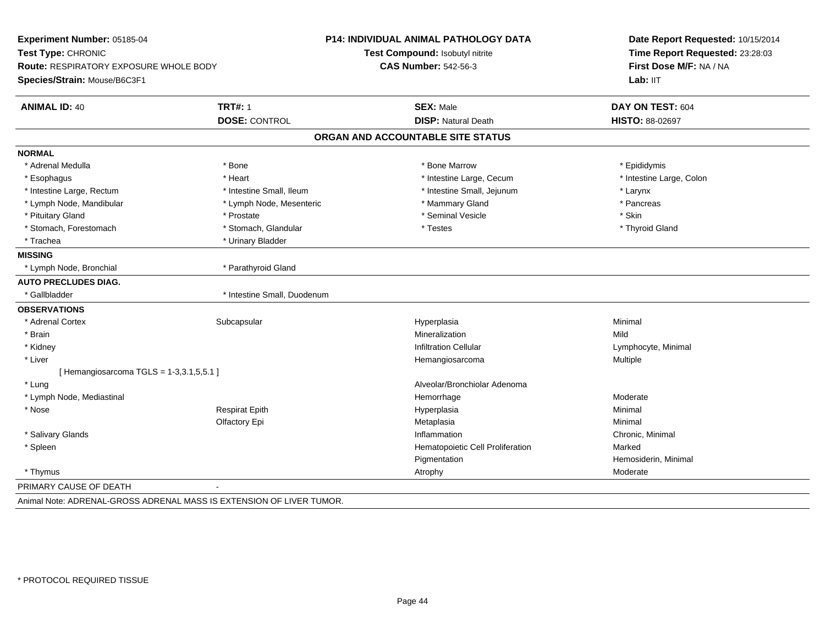| <b>Route: RESPIRATORY EXPOSURE WHOLE BODY</b><br><b>TRT#: 1</b><br><b>DOSE: CONTROL</b> | <b>CAS Number: 542-56-3</b><br><b>SEX: Male</b><br><b>DISP: Natural Death</b> | First Dose M/F: NA / NA<br>Lab: IIT<br>DAY ON TEST: 604                                                   |
|-----------------------------------------------------------------------------------------|-------------------------------------------------------------------------------|-----------------------------------------------------------------------------------------------------------|
|                                                                                         |                                                                               |                                                                                                           |
|                                                                                         |                                                                               |                                                                                                           |
|                                                                                         |                                                                               |                                                                                                           |
|                                                                                         |                                                                               | <b>HISTO: 88-02697</b>                                                                                    |
|                                                                                         |                                                                               |                                                                                                           |
|                                                                                         |                                                                               |                                                                                                           |
| * Bone                                                                                  | * Bone Marrow                                                                 | * Epididymis                                                                                              |
| * Heart                                                                                 | * Intestine Large, Cecum                                                      | * Intestine Large, Colon                                                                                  |
| * Intestine Small, Ileum                                                                | * Intestine Small, Jejunum                                                    | * Larynx                                                                                                  |
| * Lymph Node, Mesenteric                                                                | * Mammary Gland                                                               | * Pancreas                                                                                                |
| * Prostate                                                                              | * Seminal Vesicle                                                             | * Skin                                                                                                    |
| * Stomach, Glandular                                                                    | * Testes                                                                      | * Thyroid Gland                                                                                           |
| * Urinary Bladder                                                                       |                                                                               |                                                                                                           |
|                                                                                         |                                                                               |                                                                                                           |
| * Parathyroid Gland                                                                     |                                                                               |                                                                                                           |
|                                                                                         |                                                                               |                                                                                                           |
| * Intestine Small, Duodenum                                                             |                                                                               |                                                                                                           |
|                                                                                         |                                                                               |                                                                                                           |
| Subcapsular                                                                             | Hyperplasia                                                                   | Minimal                                                                                                   |
|                                                                                         | Mineralization                                                                | Mild                                                                                                      |
|                                                                                         | <b>Infiltration Cellular</b>                                                  | Lymphocyte, Minimal                                                                                       |
|                                                                                         | Hemangiosarcoma                                                               | Multiple                                                                                                  |
| [Hemangiosarcoma TGLS = $1-3,3.1,5,5.1$ ]                                               |                                                                               |                                                                                                           |
|                                                                                         | Alveolar/Bronchiolar Adenoma                                                  |                                                                                                           |
|                                                                                         | Hemorrhage                                                                    | Moderate                                                                                                  |
| <b>Respirat Epith</b>                                                                   | Hyperplasia                                                                   | Minimal                                                                                                   |
| Olfactory Epi                                                                           | Metaplasia                                                                    | Minimal                                                                                                   |
|                                                                                         | Inflammation                                                                  | Chronic, Minimal                                                                                          |
|                                                                                         | Hematopoietic Cell Proliferation                                              | Marked                                                                                                    |
|                                                                                         | Pigmentation                                                                  | Hemosiderin, Minimal                                                                                      |
|                                                                                         | Atrophy                                                                       | Moderate                                                                                                  |
|                                                                                         |                                                                               |                                                                                                           |
|                                                                                         |                                                                               | ORGAN AND ACCOUNTABLE SITE STATUS<br>Animal Note: ADRENAL-GROSS ADRENAL MASS IS EXTENSION OF LIVER TUMOR. |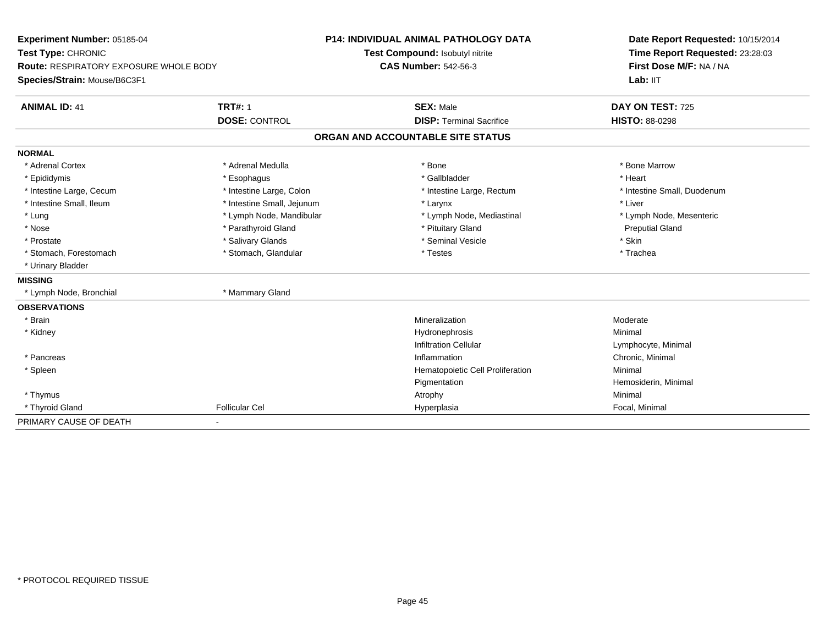| Experiment Number: 05185-04                   |                            | <b>P14: INDIVIDUAL ANIMAL PATHOLOGY DATA</b> | Date Report Requested: 10/15/2014 |  |
|-----------------------------------------------|----------------------------|----------------------------------------------|-----------------------------------|--|
| Test Type: CHRONIC                            |                            | Test Compound: Isobutyl nitrite              | Time Report Requested: 23:28:03   |  |
| <b>Route: RESPIRATORY EXPOSURE WHOLE BODY</b> |                            | <b>CAS Number: 542-56-3</b>                  | First Dose M/F: NA / NA           |  |
| Species/Strain: Mouse/B6C3F1                  |                            |                                              | Lab: IIT                          |  |
| <b>ANIMAL ID: 41</b>                          | <b>TRT#: 1</b>             | <b>SEX: Male</b>                             | DAY ON TEST: 725                  |  |
|                                               | <b>DOSE: CONTROL</b>       | <b>DISP: Terminal Sacrifice</b>              | <b>HISTO: 88-0298</b>             |  |
|                                               |                            | ORGAN AND ACCOUNTABLE SITE STATUS            |                                   |  |
| <b>NORMAL</b>                                 |                            |                                              |                                   |  |
| * Adrenal Cortex                              | * Adrenal Medulla          | * Bone                                       | * Bone Marrow                     |  |
| * Epididymis                                  | * Esophagus                | * Gallbladder                                | * Heart                           |  |
| * Intestine Large, Cecum                      | * Intestine Large, Colon   | * Intestine Large, Rectum                    | * Intestine Small, Duodenum       |  |
| * Intestine Small, Ileum                      | * Intestine Small, Jejunum | * Larynx                                     | * Liver                           |  |
| * Lung                                        | * Lymph Node, Mandibular   | * Lymph Node, Mediastinal                    | * Lymph Node, Mesenteric          |  |
| * Nose                                        | * Parathyroid Gland        | * Pituitary Gland                            | <b>Preputial Gland</b>            |  |
| * Prostate                                    | * Salivary Glands          | * Seminal Vesicle                            | * Skin                            |  |
| * Stomach, Forestomach                        | * Stomach, Glandular       | * Testes                                     | * Trachea                         |  |
| * Urinary Bladder                             |                            |                                              |                                   |  |
| <b>MISSING</b>                                |                            |                                              |                                   |  |
| * Lymph Node, Bronchial                       | * Mammary Gland            |                                              |                                   |  |
| <b>OBSERVATIONS</b>                           |                            |                                              |                                   |  |
| * Brain                                       |                            | Mineralization                               | Moderate                          |  |
| * Kidney                                      |                            | Hydronephrosis                               | Minimal                           |  |
|                                               |                            | <b>Infiltration Cellular</b>                 | Lymphocyte, Minimal               |  |
| * Pancreas                                    |                            | Inflammation                                 | Chronic, Minimal                  |  |
| * Spleen                                      |                            | Hematopoietic Cell Proliferation             | Minimal                           |  |
|                                               |                            | Pigmentation                                 | Hemosiderin, Minimal              |  |
| * Thymus                                      |                            | Atrophy                                      | Minimal                           |  |
| * Thyroid Gland                               | <b>Follicular Cel</b>      | Hyperplasia                                  | Focal, Minimal                    |  |
| PRIMARY CAUSE OF DEATH                        |                            |                                              |                                   |  |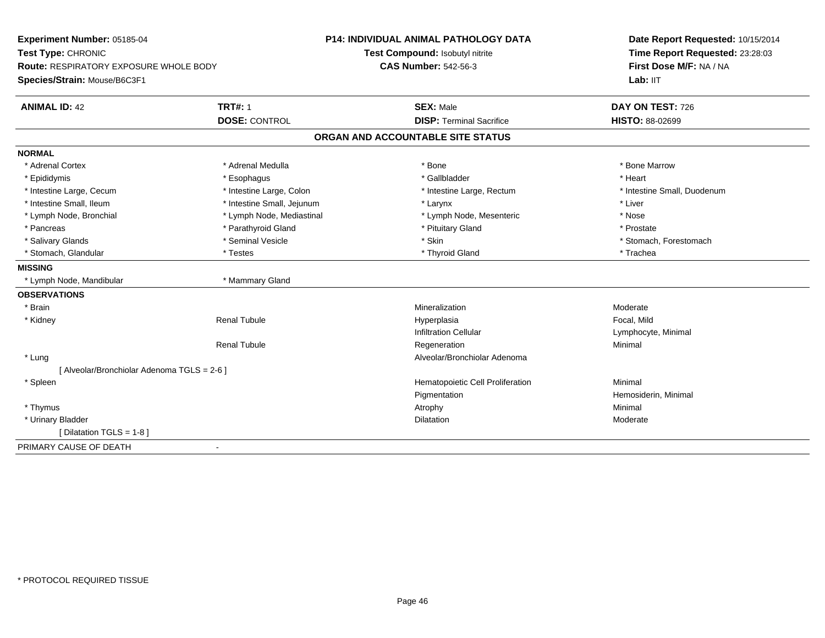| Experiment Number: 05185-04                   |                            | <b>P14: INDIVIDUAL ANIMAL PATHOLOGY DATA</b> | Date Report Requested: 10/15/2014<br>Time Report Requested: 23:28:03<br>First Dose M/F: NA / NA |
|-----------------------------------------------|----------------------------|----------------------------------------------|-------------------------------------------------------------------------------------------------|
| Test Type: CHRONIC                            |                            | Test Compound: Isobutyl nitrite              |                                                                                                 |
| <b>Route: RESPIRATORY EXPOSURE WHOLE BODY</b> |                            | <b>CAS Number: 542-56-3</b>                  |                                                                                                 |
| Species/Strain: Mouse/B6C3F1                  |                            |                                              | Lab: IIT                                                                                        |
| <b>ANIMAL ID: 42</b>                          | <b>TRT#: 1</b>             | <b>SEX: Male</b>                             | DAY ON TEST: 726                                                                                |
|                                               | <b>DOSE: CONTROL</b>       | <b>DISP: Terminal Sacrifice</b>              | <b>HISTO: 88-02699</b>                                                                          |
|                                               |                            | ORGAN AND ACCOUNTABLE SITE STATUS            |                                                                                                 |
| <b>NORMAL</b>                                 |                            |                                              |                                                                                                 |
| * Adrenal Cortex                              | * Adrenal Medulla          | * Bone                                       | * Bone Marrow                                                                                   |
| * Epididymis                                  | * Esophagus                | * Gallbladder                                | * Heart                                                                                         |
| * Intestine Large, Cecum                      | * Intestine Large, Colon   | * Intestine Large, Rectum                    | * Intestine Small, Duodenum                                                                     |
| * Intestine Small, Ileum                      | * Intestine Small, Jejunum | * Larynx                                     | * Liver                                                                                         |
| * Lymph Node, Bronchial                       | * Lymph Node, Mediastinal  | * Lymph Node, Mesenteric                     | * Nose                                                                                          |
| * Pancreas                                    | * Parathyroid Gland        | * Pituitary Gland                            | * Prostate                                                                                      |
| * Salivary Glands                             | * Seminal Vesicle          | * Skin                                       | * Stomach, Forestomach                                                                          |
| * Stomach, Glandular                          | * Testes                   | * Thyroid Gland                              | * Trachea                                                                                       |
| <b>MISSING</b>                                |                            |                                              |                                                                                                 |
| * Lymph Node, Mandibular                      | * Mammary Gland            |                                              |                                                                                                 |
| <b>OBSERVATIONS</b>                           |                            |                                              |                                                                                                 |
| * Brain                                       |                            | Mineralization                               | Moderate                                                                                        |
| * Kidney                                      | <b>Renal Tubule</b>        | Hyperplasia                                  | Focal, Mild                                                                                     |
|                                               |                            | <b>Infiltration Cellular</b>                 | Lymphocyte, Minimal                                                                             |
|                                               | <b>Renal Tubule</b>        | Regeneration                                 | Minimal                                                                                         |
| * Lung                                        |                            | Alveolar/Bronchiolar Adenoma                 |                                                                                                 |
| [ Alveolar/Bronchiolar Adenoma TGLS = 2-6 ]   |                            |                                              |                                                                                                 |
| * Spleen                                      |                            | Hematopoietic Cell Proliferation             | Minimal                                                                                         |
|                                               |                            | Pigmentation                                 | Hemosiderin, Minimal                                                                            |
| * Thymus                                      |                            | Atrophy                                      | Minimal                                                                                         |
| * Urinary Bladder                             |                            | Dilatation                                   | Moderate                                                                                        |
| [ Dilatation TGLS = 1-8 ]                     |                            |                                              |                                                                                                 |
| PRIMARY CAUSE OF DEATH<br>$\blacksquare$      |                            |                                              |                                                                                                 |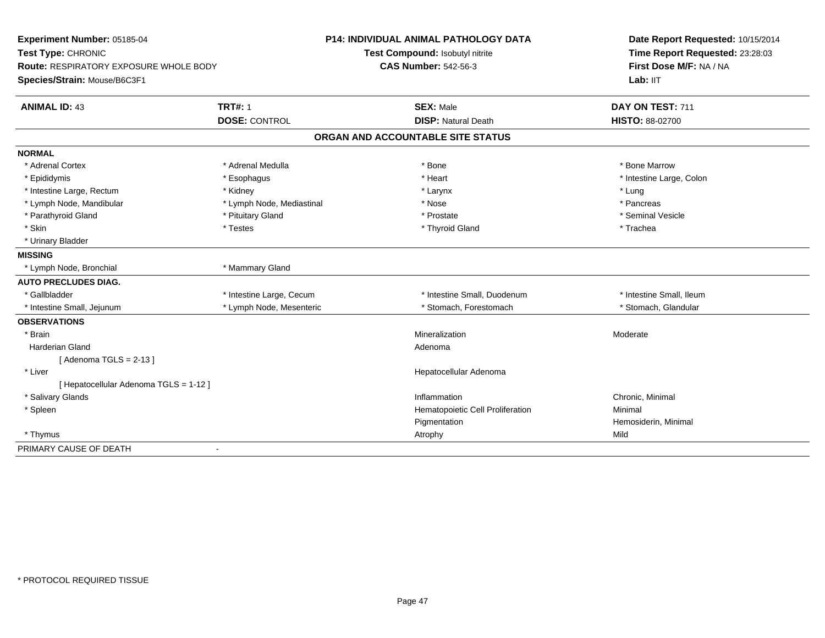| Experiment Number: 05185-04                   |                           | P14: INDIVIDUAL ANIMAL PATHOLOGY DATA | Date Report Requested: 10/15/2014 |
|-----------------------------------------------|---------------------------|---------------------------------------|-----------------------------------|
| Test Type: CHRONIC                            |                           | Test Compound: Isobutyl nitrite       | Time Report Requested: 23:28:03   |
| <b>Route: RESPIRATORY EXPOSURE WHOLE BODY</b> |                           | <b>CAS Number: 542-56-3</b>           | First Dose M/F: NA / NA           |
| Species/Strain: Mouse/B6C3F1                  |                           |                                       | Lab: IIT                          |
| <b>ANIMAL ID: 43</b>                          | <b>TRT#: 1</b>            | <b>SEX: Male</b>                      | DAY ON TEST: 711                  |
|                                               | <b>DOSE: CONTROL</b>      | <b>DISP: Natural Death</b>            | HISTO: 88-02700                   |
|                                               |                           | ORGAN AND ACCOUNTABLE SITE STATUS     |                                   |
| <b>NORMAL</b>                                 |                           |                                       |                                   |
| * Adrenal Cortex                              | * Adrenal Medulla         | * Bone                                | * Bone Marrow                     |
| * Epididymis                                  | * Esophagus               | * Heart                               | * Intestine Large, Colon          |
| * Intestine Large, Rectum                     | * Kidney                  | * Larynx                              | * Lung                            |
| * Lymph Node, Mandibular                      | * Lymph Node, Mediastinal | * Nose                                | * Pancreas                        |
| * Parathyroid Gland                           | * Pituitary Gland         | * Prostate                            | * Seminal Vesicle                 |
| * Skin                                        | * Testes                  | * Thyroid Gland                       | * Trachea                         |
| * Urinary Bladder                             |                           |                                       |                                   |
| <b>MISSING</b>                                |                           |                                       |                                   |
| * Lymph Node, Bronchial                       | * Mammary Gland           |                                       |                                   |
| <b>AUTO PRECLUDES DIAG.</b>                   |                           |                                       |                                   |
| * Gallbladder                                 | * Intestine Large, Cecum  | * Intestine Small, Duodenum           | * Intestine Small, Ileum          |
| * Intestine Small, Jejunum                    | * Lymph Node, Mesenteric  | * Stomach, Forestomach                | * Stomach, Glandular              |
| <b>OBSERVATIONS</b>                           |                           |                                       |                                   |
| * Brain                                       |                           | Mineralization                        | Moderate                          |
| <b>Harderian Gland</b>                        |                           | Adenoma                               |                                   |
| [Adenoma TGLS = $2-13$ ]                      |                           |                                       |                                   |
| * Liver                                       |                           | Hepatocellular Adenoma                |                                   |
| [ Hepatocellular Adenoma TGLS = 1-12 ]        |                           |                                       |                                   |
| * Salivary Glands                             |                           | Inflammation                          | Chronic, Minimal                  |
| * Spleen                                      |                           | Hematopoietic Cell Proliferation      | Minimal                           |
|                                               |                           | Pigmentation                          | Hemosiderin, Minimal              |
| * Thymus                                      |                           | Atrophy                               | Mild                              |
| PRIMARY CAUSE OF DEATH                        | $\sim$                    |                                       |                                   |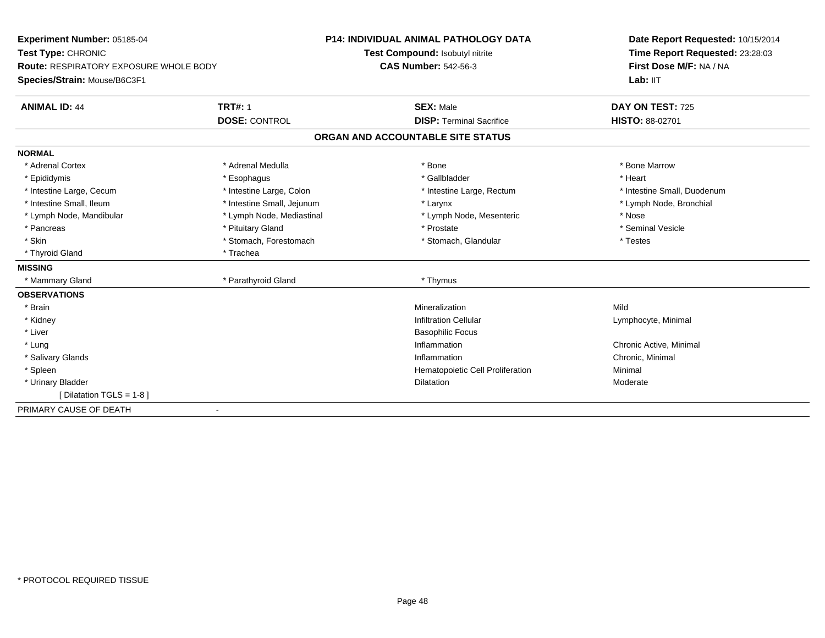| Experiment Number: 05185-04                   |                            | <b>P14: INDIVIDUAL ANIMAL PATHOLOGY DATA</b> | Date Report Requested: 10/15/2014 |
|-----------------------------------------------|----------------------------|----------------------------------------------|-----------------------------------|
| Test Type: CHRONIC                            |                            | Test Compound: Isobutyl nitrite              | Time Report Requested: 23:28:03   |
| <b>Route: RESPIRATORY EXPOSURE WHOLE BODY</b> |                            | <b>CAS Number: 542-56-3</b>                  | First Dose M/F: NA / NA           |
| Species/Strain: Mouse/B6C3F1                  |                            |                                              | Lab: IIT                          |
| <b>ANIMAL ID: 44</b>                          | <b>TRT#: 1</b>             | <b>SEX: Male</b>                             | DAY ON TEST: 725                  |
|                                               | <b>DOSE: CONTROL</b>       | <b>DISP: Terminal Sacrifice</b>              | <b>HISTO: 88-02701</b>            |
|                                               |                            | ORGAN AND ACCOUNTABLE SITE STATUS            |                                   |
| <b>NORMAL</b>                                 |                            |                                              |                                   |
| * Adrenal Cortex                              | * Adrenal Medulla          | * Bone                                       | * Bone Marrow                     |
| * Epididymis                                  | * Esophagus                | * Gallbladder                                | * Heart                           |
| * Intestine Large, Cecum                      | * Intestine Large, Colon   | * Intestine Large, Rectum                    | * Intestine Small, Duodenum       |
| * Intestine Small, Ileum                      | * Intestine Small, Jejunum | * Larynx                                     | * Lymph Node, Bronchial           |
| * Lymph Node, Mandibular                      | * Lymph Node, Mediastinal  | * Lymph Node, Mesenteric                     | * Nose                            |
| * Pancreas                                    | * Pituitary Gland          | * Prostate                                   | * Seminal Vesicle                 |
| * Skin                                        | * Stomach, Forestomach     | * Stomach, Glandular                         | * Testes                          |
| * Thyroid Gland                               | * Trachea                  |                                              |                                   |
| <b>MISSING</b>                                |                            |                                              |                                   |
| * Mammary Gland                               | * Parathyroid Gland        | * Thymus                                     |                                   |
| <b>OBSERVATIONS</b>                           |                            |                                              |                                   |
| * Brain                                       |                            | Mineralization                               | Mild                              |
| * Kidney                                      |                            | <b>Infiltration Cellular</b>                 | Lymphocyte, Minimal               |
| * Liver                                       |                            | <b>Basophilic Focus</b>                      |                                   |
| * Lung                                        |                            | Inflammation                                 | Chronic Active, Minimal           |
| * Salivary Glands                             |                            | Inflammation                                 | Chronic, Minimal                  |
| * Spleen                                      |                            | Hematopoietic Cell Proliferation             | Minimal                           |
| * Urinary Bladder                             |                            | <b>Dilatation</b>                            | Moderate                          |
| [ Dilatation TGLS = $1-8$ ]                   |                            |                                              |                                   |
| PRIMARY CAUSE OF DEATH                        | $\blacksquare$             |                                              |                                   |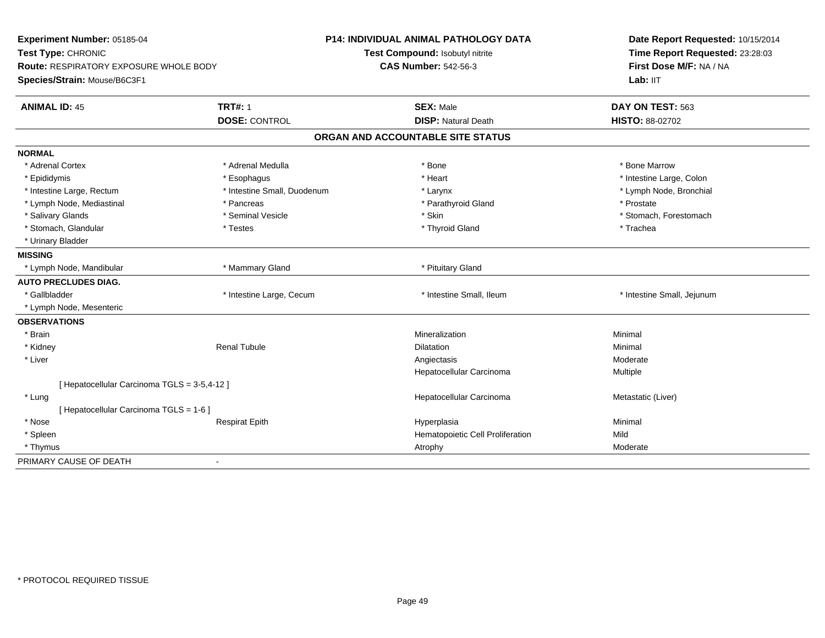| Test Compound: Isobutyl nitrite<br>Time Report Requested: 23:28:03<br>Test Type: CHRONIC<br>First Dose M/F: NA / NA<br><b>CAS Number: 542-56-3</b><br><b>Route: RESPIRATORY EXPOSURE WHOLE BODY</b><br>Lab: IIT<br>Species/Strain: Mouse/B6C3F1<br><b>TRT#: 1</b><br><b>ANIMAL ID: 45</b><br><b>SEX: Male</b><br>DAY ON TEST: 563<br><b>DOSE: CONTROL</b><br><b>DISP: Natural Death</b><br>HISTO: 88-02702<br>ORGAN AND ACCOUNTABLE SITE STATUS<br><b>NORMAL</b><br>* Bone Marrow<br>* Adrenal Cortex<br>* Adrenal Medulla<br>* Bone<br>* Epididymis<br>* Esophagus<br>* Heart<br>* Intestine Large, Colon<br>* Intestine Small, Duodenum<br>* Lymph Node, Bronchial<br>* Intestine Large, Rectum<br>* Larynx<br>* Lymph Node, Mediastinal<br>* Parathyroid Gland<br>* Prostate<br>* Pancreas<br>* Salivary Glands<br>* Seminal Vesicle<br>* Skin<br>* Stomach, Forestomach<br>* Stomach, Glandular<br>* Testes<br>* Thyroid Gland<br>* Trachea<br>* Urinary Bladder<br><b>MISSING</b><br>* Mammary Gland<br>* Lymph Node, Mandibular<br>* Pituitary Gland<br><b>AUTO PRECLUDES DIAG.</b><br>* Gallbladder<br>* Intestine Large, Cecum<br>* Intestine Small, Ileum<br>* Intestine Small, Jejunum<br>* Lymph Node, Mesenteric<br><b>OBSERVATIONS</b><br>* Brain<br>Mineralization<br>Minimal<br>Minimal<br>* Kidney<br><b>Renal Tubule</b><br><b>Dilatation</b><br>* Liver<br>Angiectasis<br>Moderate<br>Hepatocellular Carcinoma<br>Multiple<br>[ Hepatocellular Carcinoma TGLS = 3-5,4-12 ]<br>Hepatocellular Carcinoma<br>Metastatic (Liver)<br>* Lung<br>[ Hepatocellular Carcinoma TGLS = 1-6 ]<br>* Nose<br><b>Respirat Epith</b><br>Minimal<br>Hyperplasia<br>* Spleen<br>Hematopoietic Cell Proliferation<br>Mild<br>* Thymus<br>Atrophy<br>Moderate | Experiment Number: 05185-04 | P14: INDIVIDUAL ANIMAL PATHOLOGY DATA | Date Report Requested: 10/15/2014 |  |
|-------------------------------------------------------------------------------------------------------------------------------------------------------------------------------------------------------------------------------------------------------------------------------------------------------------------------------------------------------------------------------------------------------------------------------------------------------------------------------------------------------------------------------------------------------------------------------------------------------------------------------------------------------------------------------------------------------------------------------------------------------------------------------------------------------------------------------------------------------------------------------------------------------------------------------------------------------------------------------------------------------------------------------------------------------------------------------------------------------------------------------------------------------------------------------------------------------------------------------------------------------------------------------------------------------------------------------------------------------------------------------------------------------------------------------------------------------------------------------------------------------------------------------------------------------------------------------------------------------------------------------------------------------------------------------------------------------------------------------------------------------------|-----------------------------|---------------------------------------|-----------------------------------|--|
|                                                                                                                                                                                                                                                                                                                                                                                                                                                                                                                                                                                                                                                                                                                                                                                                                                                                                                                                                                                                                                                                                                                                                                                                                                                                                                                                                                                                                                                                                                                                                                                                                                                                                                                                                             |                             |                                       |                                   |  |
|                                                                                                                                                                                                                                                                                                                                                                                                                                                                                                                                                                                                                                                                                                                                                                                                                                                                                                                                                                                                                                                                                                                                                                                                                                                                                                                                                                                                                                                                                                                                                                                                                                                                                                                                                             |                             |                                       |                                   |  |
|                                                                                                                                                                                                                                                                                                                                                                                                                                                                                                                                                                                                                                                                                                                                                                                                                                                                                                                                                                                                                                                                                                                                                                                                                                                                                                                                                                                                                                                                                                                                                                                                                                                                                                                                                             |                             |                                       |                                   |  |
|                                                                                                                                                                                                                                                                                                                                                                                                                                                                                                                                                                                                                                                                                                                                                                                                                                                                                                                                                                                                                                                                                                                                                                                                                                                                                                                                                                                                                                                                                                                                                                                                                                                                                                                                                             |                             |                                       |                                   |  |
|                                                                                                                                                                                                                                                                                                                                                                                                                                                                                                                                                                                                                                                                                                                                                                                                                                                                                                                                                                                                                                                                                                                                                                                                                                                                                                                                                                                                                                                                                                                                                                                                                                                                                                                                                             |                             |                                       |                                   |  |
|                                                                                                                                                                                                                                                                                                                                                                                                                                                                                                                                                                                                                                                                                                                                                                                                                                                                                                                                                                                                                                                                                                                                                                                                                                                                                                                                                                                                                                                                                                                                                                                                                                                                                                                                                             |                             |                                       |                                   |  |
|                                                                                                                                                                                                                                                                                                                                                                                                                                                                                                                                                                                                                                                                                                                                                                                                                                                                                                                                                                                                                                                                                                                                                                                                                                                                                                                                                                                                                                                                                                                                                                                                                                                                                                                                                             |                             |                                       |                                   |  |
|                                                                                                                                                                                                                                                                                                                                                                                                                                                                                                                                                                                                                                                                                                                                                                                                                                                                                                                                                                                                                                                                                                                                                                                                                                                                                                                                                                                                                                                                                                                                                                                                                                                                                                                                                             |                             |                                       |                                   |  |
|                                                                                                                                                                                                                                                                                                                                                                                                                                                                                                                                                                                                                                                                                                                                                                                                                                                                                                                                                                                                                                                                                                                                                                                                                                                                                                                                                                                                                                                                                                                                                                                                                                                                                                                                                             |                             |                                       |                                   |  |
|                                                                                                                                                                                                                                                                                                                                                                                                                                                                                                                                                                                                                                                                                                                                                                                                                                                                                                                                                                                                                                                                                                                                                                                                                                                                                                                                                                                                                                                                                                                                                                                                                                                                                                                                                             |                             |                                       |                                   |  |
|                                                                                                                                                                                                                                                                                                                                                                                                                                                                                                                                                                                                                                                                                                                                                                                                                                                                                                                                                                                                                                                                                                                                                                                                                                                                                                                                                                                                                                                                                                                                                                                                                                                                                                                                                             |                             |                                       |                                   |  |
|                                                                                                                                                                                                                                                                                                                                                                                                                                                                                                                                                                                                                                                                                                                                                                                                                                                                                                                                                                                                                                                                                                                                                                                                                                                                                                                                                                                                                                                                                                                                                                                                                                                                                                                                                             |                             |                                       |                                   |  |
|                                                                                                                                                                                                                                                                                                                                                                                                                                                                                                                                                                                                                                                                                                                                                                                                                                                                                                                                                                                                                                                                                                                                                                                                                                                                                                                                                                                                                                                                                                                                                                                                                                                                                                                                                             |                             |                                       |                                   |  |
|                                                                                                                                                                                                                                                                                                                                                                                                                                                                                                                                                                                                                                                                                                                                                                                                                                                                                                                                                                                                                                                                                                                                                                                                                                                                                                                                                                                                                                                                                                                                                                                                                                                                                                                                                             |                             |                                       |                                   |  |
|                                                                                                                                                                                                                                                                                                                                                                                                                                                                                                                                                                                                                                                                                                                                                                                                                                                                                                                                                                                                                                                                                                                                                                                                                                                                                                                                                                                                                                                                                                                                                                                                                                                                                                                                                             |                             |                                       |                                   |  |
|                                                                                                                                                                                                                                                                                                                                                                                                                                                                                                                                                                                                                                                                                                                                                                                                                                                                                                                                                                                                                                                                                                                                                                                                                                                                                                                                                                                                                                                                                                                                                                                                                                                                                                                                                             |                             |                                       |                                   |  |
|                                                                                                                                                                                                                                                                                                                                                                                                                                                                                                                                                                                                                                                                                                                                                                                                                                                                                                                                                                                                                                                                                                                                                                                                                                                                                                                                                                                                                                                                                                                                                                                                                                                                                                                                                             |                             |                                       |                                   |  |
|                                                                                                                                                                                                                                                                                                                                                                                                                                                                                                                                                                                                                                                                                                                                                                                                                                                                                                                                                                                                                                                                                                                                                                                                                                                                                                                                                                                                                                                                                                                                                                                                                                                                                                                                                             |                             |                                       |                                   |  |
|                                                                                                                                                                                                                                                                                                                                                                                                                                                                                                                                                                                                                                                                                                                                                                                                                                                                                                                                                                                                                                                                                                                                                                                                                                                                                                                                                                                                                                                                                                                                                                                                                                                                                                                                                             |                             |                                       |                                   |  |
|                                                                                                                                                                                                                                                                                                                                                                                                                                                                                                                                                                                                                                                                                                                                                                                                                                                                                                                                                                                                                                                                                                                                                                                                                                                                                                                                                                                                                                                                                                                                                                                                                                                                                                                                                             |                             |                                       |                                   |  |
|                                                                                                                                                                                                                                                                                                                                                                                                                                                                                                                                                                                                                                                                                                                                                                                                                                                                                                                                                                                                                                                                                                                                                                                                                                                                                                                                                                                                                                                                                                                                                                                                                                                                                                                                                             |                             |                                       |                                   |  |
|                                                                                                                                                                                                                                                                                                                                                                                                                                                                                                                                                                                                                                                                                                                                                                                                                                                                                                                                                                                                                                                                                                                                                                                                                                                                                                                                                                                                                                                                                                                                                                                                                                                                                                                                                             |                             |                                       |                                   |  |
|                                                                                                                                                                                                                                                                                                                                                                                                                                                                                                                                                                                                                                                                                                                                                                                                                                                                                                                                                                                                                                                                                                                                                                                                                                                                                                                                                                                                                                                                                                                                                                                                                                                                                                                                                             |                             |                                       |                                   |  |
|                                                                                                                                                                                                                                                                                                                                                                                                                                                                                                                                                                                                                                                                                                                                                                                                                                                                                                                                                                                                                                                                                                                                                                                                                                                                                                                                                                                                                                                                                                                                                                                                                                                                                                                                                             |                             |                                       |                                   |  |
|                                                                                                                                                                                                                                                                                                                                                                                                                                                                                                                                                                                                                                                                                                                                                                                                                                                                                                                                                                                                                                                                                                                                                                                                                                                                                                                                                                                                                                                                                                                                                                                                                                                                                                                                                             |                             |                                       |                                   |  |
|                                                                                                                                                                                                                                                                                                                                                                                                                                                                                                                                                                                                                                                                                                                                                                                                                                                                                                                                                                                                                                                                                                                                                                                                                                                                                                                                                                                                                                                                                                                                                                                                                                                                                                                                                             |                             |                                       |                                   |  |
|                                                                                                                                                                                                                                                                                                                                                                                                                                                                                                                                                                                                                                                                                                                                                                                                                                                                                                                                                                                                                                                                                                                                                                                                                                                                                                                                                                                                                                                                                                                                                                                                                                                                                                                                                             |                             |                                       |                                   |  |
|                                                                                                                                                                                                                                                                                                                                                                                                                                                                                                                                                                                                                                                                                                                                                                                                                                                                                                                                                                                                                                                                                                                                                                                                                                                                                                                                                                                                                                                                                                                                                                                                                                                                                                                                                             |                             |                                       |                                   |  |
|                                                                                                                                                                                                                                                                                                                                                                                                                                                                                                                                                                                                                                                                                                                                                                                                                                                                                                                                                                                                                                                                                                                                                                                                                                                                                                                                                                                                                                                                                                                                                                                                                                                                                                                                                             |                             |                                       |                                   |  |
|                                                                                                                                                                                                                                                                                                                                                                                                                                                                                                                                                                                                                                                                                                                                                                                                                                                                                                                                                                                                                                                                                                                                                                                                                                                                                                                                                                                                                                                                                                                                                                                                                                                                                                                                                             |                             |                                       |                                   |  |
|                                                                                                                                                                                                                                                                                                                                                                                                                                                                                                                                                                                                                                                                                                                                                                                                                                                                                                                                                                                                                                                                                                                                                                                                                                                                                                                                                                                                                                                                                                                                                                                                                                                                                                                                                             | PRIMARY CAUSE OF DEATH      |                                       |                                   |  |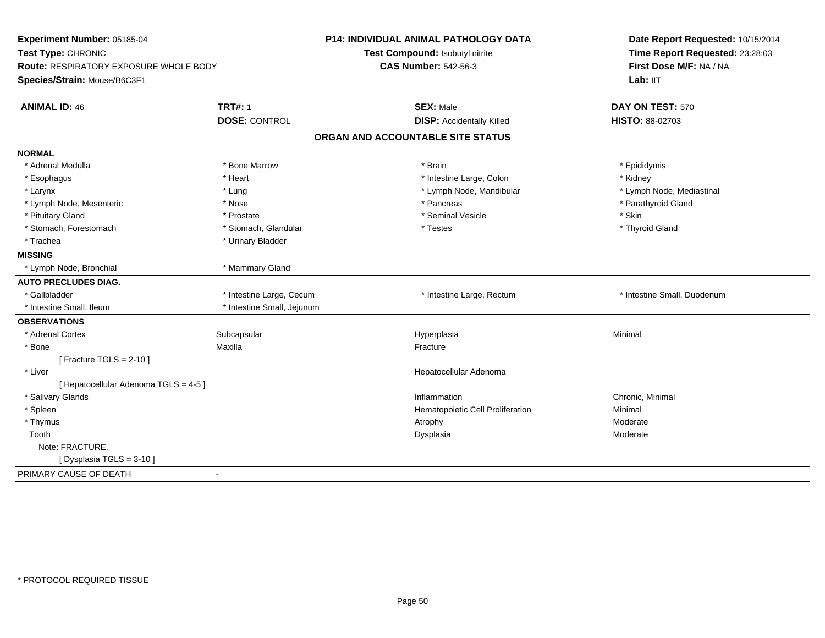| Experiment Number: 05185-04<br>Test Type: CHRONIC |                            | P14: INDIVIDUAL ANIMAL PATHOLOGY DATA | Date Report Requested: 10/15/2014 |  |
|---------------------------------------------------|----------------------------|---------------------------------------|-----------------------------------|--|
|                                                   |                            | Test Compound: Isobutyl nitrite       | Time Report Requested: 23:28:03   |  |
| <b>Route: RESPIRATORY EXPOSURE WHOLE BODY</b>     |                            | <b>CAS Number: 542-56-3</b>           | First Dose M/F: NA / NA           |  |
| Species/Strain: Mouse/B6C3F1                      |                            |                                       | Lab: IIT                          |  |
| <b>ANIMAL ID: 46</b>                              | <b>TRT#: 1</b>             | <b>SEX: Male</b>                      | DAY ON TEST: 570                  |  |
|                                                   | <b>DOSE: CONTROL</b>       | <b>DISP:</b> Accidentally Killed      | HISTO: 88-02703                   |  |
|                                                   |                            | ORGAN AND ACCOUNTABLE SITE STATUS     |                                   |  |
| <b>NORMAL</b>                                     |                            |                                       |                                   |  |
| * Adrenal Medulla                                 | * Bone Marrow              | * Brain                               | * Epididymis                      |  |
| * Esophagus                                       | * Heart                    | * Intestine Large, Colon              | * Kidney                          |  |
| * Larynx                                          | * Lung                     | * Lymph Node, Mandibular              | * Lymph Node, Mediastinal         |  |
| * Lymph Node, Mesenteric                          | * Nose                     | * Pancreas                            | * Parathyroid Gland               |  |
| * Pituitary Gland                                 | * Prostate                 | * Seminal Vesicle                     | * Skin                            |  |
| * Stomach, Forestomach                            | * Stomach, Glandular       | * Testes                              | * Thyroid Gland                   |  |
| * Trachea                                         | * Urinary Bladder          |                                       |                                   |  |
| <b>MISSING</b>                                    |                            |                                       |                                   |  |
| * Lymph Node, Bronchial                           | * Mammary Gland            |                                       |                                   |  |
| <b>AUTO PRECLUDES DIAG.</b>                       |                            |                                       |                                   |  |
| * Gallbladder                                     | * Intestine Large, Cecum   | * Intestine Large, Rectum             | * Intestine Small, Duodenum       |  |
| * Intestine Small, Ileum                          | * Intestine Small, Jejunum |                                       |                                   |  |
| <b>OBSERVATIONS</b>                               |                            |                                       |                                   |  |
| * Adrenal Cortex                                  | Subcapsular                | Hyperplasia                           | Minimal                           |  |
| * Bone                                            | Maxilla                    | Fracture                              |                                   |  |
| [Fracture TGLS = $2-10$ ]                         |                            |                                       |                                   |  |
| * Liver                                           |                            | Hepatocellular Adenoma                |                                   |  |
| [ Hepatocellular Adenoma TGLS = 4-5 ]             |                            |                                       |                                   |  |
| * Salivary Glands                                 |                            | Inflammation                          | Chronic, Minimal                  |  |
| * Spleen                                          |                            | Hematopoietic Cell Proliferation      | Minimal                           |  |
| * Thymus                                          |                            | Atrophy                               | Moderate                          |  |
| Tooth                                             |                            | Dysplasia                             | Moderate                          |  |
| Note: FRACTURE.                                   |                            |                                       |                                   |  |
| [Dysplasia TGLS = 3-10]                           |                            |                                       |                                   |  |
| PRIMARY CAUSE OF DEATH                            | $\blacksquare$             |                                       |                                   |  |
|                                                   |                            |                                       |                                   |  |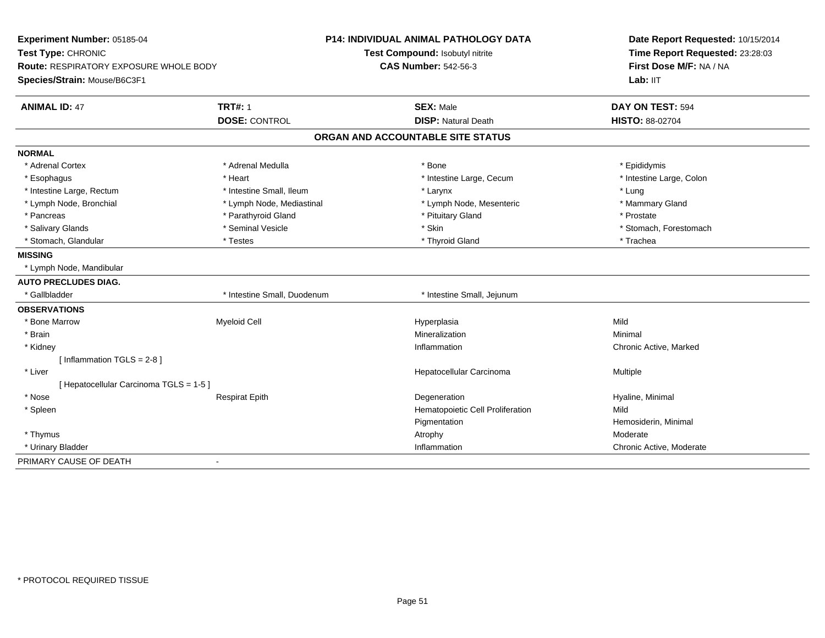| Experiment Number: 05185-04              |                             | <b>P14: INDIVIDUAL ANIMAL PATHOLOGY DATA</b> | Date Report Requested: 10/15/2014 |
|------------------------------------------|-----------------------------|----------------------------------------------|-----------------------------------|
| Test Type: CHRONIC                       |                             | Test Compound: Isobutyl nitrite              | Time Report Requested: 23:28:03   |
| Route: RESPIRATORY EXPOSURE WHOLE BODY   |                             | <b>CAS Number: 542-56-3</b>                  | First Dose M/F: NA / NA           |
| Species/Strain: Mouse/B6C3F1             |                             |                                              | Lab: IIT                          |
| <b>ANIMAL ID: 47</b>                     | <b>TRT#: 1</b>              | <b>SEX: Male</b>                             | DAY ON TEST: 594                  |
|                                          | <b>DOSE: CONTROL</b>        | <b>DISP: Natural Death</b>                   | HISTO: 88-02704                   |
|                                          |                             | ORGAN AND ACCOUNTABLE SITE STATUS            |                                   |
| <b>NORMAL</b>                            |                             |                                              |                                   |
| * Adrenal Cortex                         | * Adrenal Medulla           | * Bone                                       | * Epididymis                      |
| * Esophagus                              | * Heart                     | * Intestine Large, Cecum                     | * Intestine Large, Colon          |
| * Intestine Large, Rectum                | * Intestine Small, Ileum    | * Larynx                                     | * Lung                            |
| * Lymph Node, Bronchial                  | * Lymph Node, Mediastinal   | * Lymph Node, Mesenteric                     | * Mammary Gland                   |
| * Pancreas                               | * Parathyroid Gland         | * Pituitary Gland                            | * Prostate                        |
| * Salivary Glands                        | * Seminal Vesicle           | * Skin                                       | * Stomach, Forestomach            |
| * Stomach, Glandular                     | * Testes                    | * Thyroid Gland                              | * Trachea                         |
| <b>MISSING</b>                           |                             |                                              |                                   |
| * Lymph Node, Mandibular                 |                             |                                              |                                   |
| <b>AUTO PRECLUDES DIAG.</b>              |                             |                                              |                                   |
| * Gallbladder                            | * Intestine Small, Duodenum | * Intestine Small, Jejunum                   |                                   |
| <b>OBSERVATIONS</b>                      |                             |                                              |                                   |
| * Bone Marrow                            | <b>Myeloid Cell</b>         | Hyperplasia                                  | Mild                              |
| * Brain                                  |                             | Mineralization                               | Minimal                           |
| * Kidney                                 |                             | Inflammation                                 | Chronic Active, Marked            |
| [Inflammation TGLS = $2-8$ ]             |                             |                                              |                                   |
| * Liver                                  |                             | Hepatocellular Carcinoma                     | Multiple                          |
| [ Hepatocellular Carcinoma TGLS = 1-5 ]  |                             |                                              |                                   |
| * Nose                                   | <b>Respirat Epith</b>       | Degeneration                                 | Hyaline, Minimal                  |
| * Spleen                                 |                             | Hematopoietic Cell Proliferation             | Mild                              |
|                                          |                             | Pigmentation                                 | Hemosiderin, Minimal              |
| * Thymus                                 |                             | Atrophy                                      | Moderate                          |
| * Urinary Bladder                        |                             | Inflammation                                 | Chronic Active, Moderate          |
| PRIMARY CAUSE OF DEATH<br>$\blacksquare$ |                             |                                              |                                   |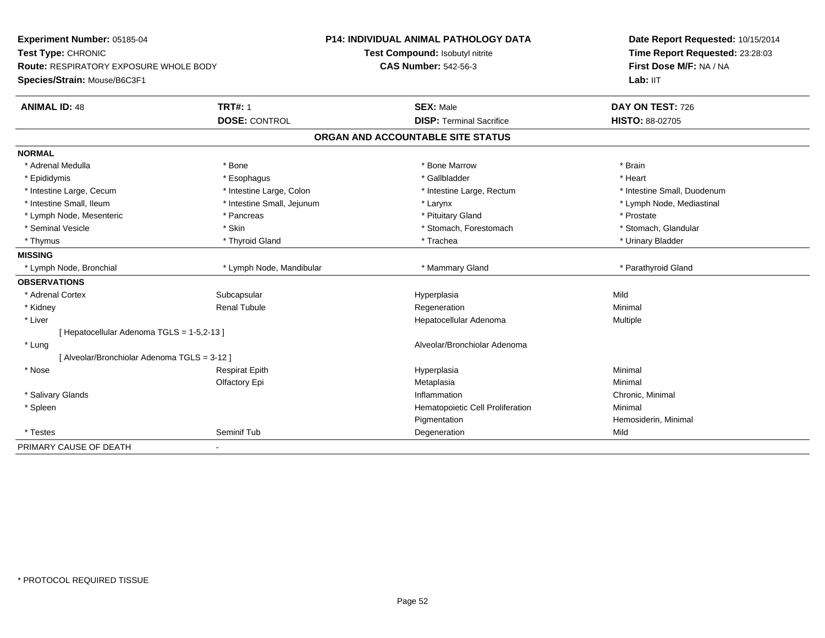| Experiment Number: 05185-04                  |                            | <b>P14: INDIVIDUAL ANIMAL PATHOLOGY DATA</b> | Date Report Requested: 10/15/2014 |  |
|----------------------------------------------|----------------------------|----------------------------------------------|-----------------------------------|--|
| Test Type: CHRONIC                           |                            | Test Compound: Isobutyl nitrite              | Time Report Requested: 23:28:03   |  |
| Route: RESPIRATORY EXPOSURE WHOLE BODY       |                            | <b>CAS Number: 542-56-3</b>                  | First Dose M/F: NA / NA           |  |
| Species/Strain: Mouse/B6C3F1                 |                            |                                              | Lab: IIT                          |  |
| <b>ANIMAL ID: 48</b>                         | <b>TRT#: 1</b>             | <b>SEX: Male</b>                             | DAY ON TEST: 726                  |  |
|                                              | <b>DOSE: CONTROL</b>       | <b>DISP: Terminal Sacrifice</b>              | HISTO: 88-02705                   |  |
|                                              |                            | ORGAN AND ACCOUNTABLE SITE STATUS            |                                   |  |
| <b>NORMAL</b>                                |                            |                                              |                                   |  |
| * Adrenal Medulla                            | * Bone                     | * Bone Marrow                                | * Brain                           |  |
| * Epididymis                                 | * Esophagus                | * Gallbladder                                | * Heart                           |  |
| * Intestine Large, Cecum                     | * Intestine Large, Colon   | * Intestine Large, Rectum                    | * Intestine Small, Duodenum       |  |
| * Intestine Small, Ileum                     | * Intestine Small, Jejunum | * Larynx                                     | * Lymph Node, Mediastinal         |  |
| * Lymph Node, Mesenteric                     | * Pancreas                 | * Pituitary Gland                            | * Prostate                        |  |
| * Seminal Vesicle                            | * Skin                     | * Stomach, Forestomach                       | * Stomach, Glandular              |  |
| * Thymus                                     | * Thyroid Gland            | * Trachea                                    | * Urinary Bladder                 |  |
| <b>MISSING</b>                               |                            |                                              |                                   |  |
| * Lymph Node, Bronchial                      | * Lymph Node, Mandibular   | * Mammary Gland                              | * Parathyroid Gland               |  |
| <b>OBSERVATIONS</b>                          |                            |                                              |                                   |  |
| * Adrenal Cortex                             | Subcapsular                | Hyperplasia                                  | Mild                              |  |
| * Kidney                                     | <b>Renal Tubule</b>        | Regeneration                                 | Minimal                           |  |
| * Liver                                      |                            | Hepatocellular Adenoma                       | <b>Multiple</b>                   |  |
| [ Hepatocellular Adenoma TGLS = 1-5,2-13 ]   |                            |                                              |                                   |  |
| * Lung                                       |                            | Alveolar/Bronchiolar Adenoma                 |                                   |  |
| [ Alveolar/Bronchiolar Adenoma TGLS = 3-12 ] |                            |                                              |                                   |  |
| * Nose                                       | <b>Respirat Epith</b>      | Hyperplasia                                  | Minimal                           |  |
|                                              | Olfactory Epi              | Metaplasia                                   | Minimal                           |  |
| * Salivary Glands                            |                            | Inflammation                                 | Chronic, Minimal                  |  |
| * Spleen                                     |                            | Hematopoietic Cell Proliferation             | Minimal                           |  |
|                                              |                            | Pigmentation                                 | Hemosiderin, Minimal              |  |
| * Testes                                     | Seminif Tub                | Degeneration                                 | Mild                              |  |
| PRIMARY CAUSE OF DEATH                       |                            |                                              |                                   |  |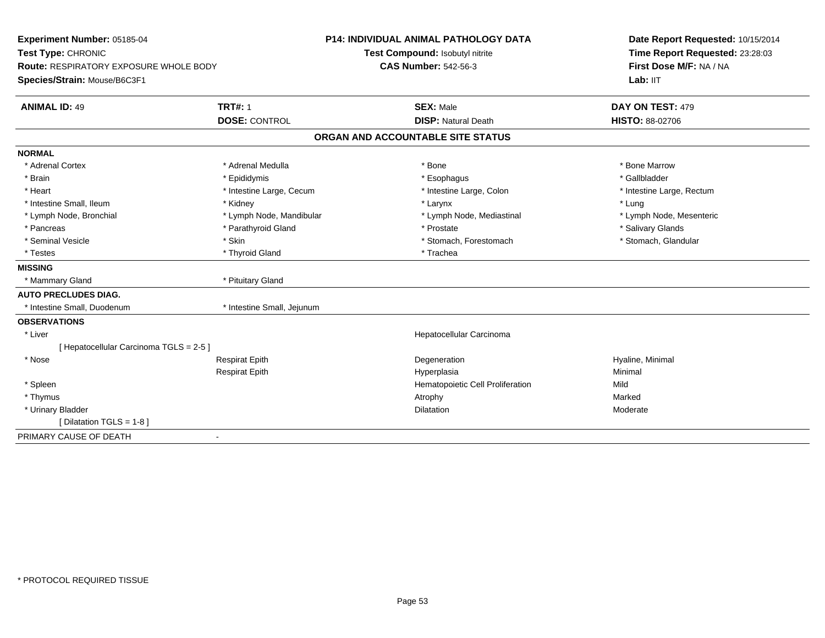| Experiment Number: 05185-04             |                            | <b>P14: INDIVIDUAL ANIMAL PATHOLOGY DATA</b> |          | Date Report Requested: 10/15/2014 |
|-----------------------------------------|----------------------------|----------------------------------------------|----------|-----------------------------------|
| Test Type: CHRONIC                      |                            | Test Compound: Isobutyl nitrite              |          | Time Report Requested: 23:28:03   |
| Route: RESPIRATORY EXPOSURE WHOLE BODY  |                            | <b>CAS Number: 542-56-3</b>                  |          | First Dose M/F: NA / NA           |
| Species/Strain: Mouse/B6C3F1            |                            |                                              |          | Lab: IIT                          |
| <b>ANIMAL ID: 49</b>                    | <b>TRT#: 1</b>             | <b>SEX: Male</b>                             |          | DAY ON TEST: 479                  |
|                                         | <b>DOSE: CONTROL</b>       | <b>DISP: Natural Death</b>                   |          | <b>HISTO: 88-02706</b>            |
|                                         |                            | ORGAN AND ACCOUNTABLE SITE STATUS            |          |                                   |
| <b>NORMAL</b>                           |                            |                                              |          |                                   |
| * Adrenal Cortex                        | * Adrenal Medulla          | * Bone                                       |          | * Bone Marrow                     |
| * Brain                                 | * Epididymis               | * Esophagus                                  |          | * Gallbladder                     |
| * Heart                                 | * Intestine Large, Cecum   | * Intestine Large, Colon                     |          | * Intestine Large, Rectum         |
| * Intestine Small, Ileum                | * Kidney                   | * Larynx                                     | * Lung   |                                   |
| * Lymph Node, Bronchial                 | * Lymph Node, Mandibular   | * Lymph Node, Mediastinal                    |          | * Lymph Node, Mesenteric          |
| * Pancreas                              | * Parathyroid Gland        | * Prostate                                   |          | * Salivary Glands                 |
| * Seminal Vesicle                       | * Skin                     | * Stomach, Forestomach                       |          | * Stomach, Glandular              |
| * Testes                                | * Thyroid Gland            | * Trachea                                    |          |                                   |
| <b>MISSING</b>                          |                            |                                              |          |                                   |
| * Mammary Gland                         | * Pituitary Gland          |                                              |          |                                   |
| <b>AUTO PRECLUDES DIAG.</b>             |                            |                                              |          |                                   |
| * Intestine Small, Duodenum             | * Intestine Small, Jejunum |                                              |          |                                   |
| <b>OBSERVATIONS</b>                     |                            |                                              |          |                                   |
| * Liver                                 |                            | Hepatocellular Carcinoma                     |          |                                   |
| [ Hepatocellular Carcinoma TGLS = 2-5 ] |                            |                                              |          |                                   |
| * Nose                                  | <b>Respirat Epith</b>      | Degeneration                                 |          | Hyaline, Minimal                  |
|                                         | <b>Respirat Epith</b>      | Hyperplasia                                  | Minimal  |                                   |
| * Spleen                                |                            | Hematopoietic Cell Proliferation             | Mild     |                                   |
| * Thymus                                |                            | Atrophy                                      | Marked   |                                   |
| * Urinary Bladder                       |                            | Dilatation                                   | Moderate |                                   |
| [ Dilatation TGLS = $1-8$ ]             |                            |                                              |          |                                   |
| PRIMARY CAUSE OF DEATH                  | $\sim$                     |                                              |          |                                   |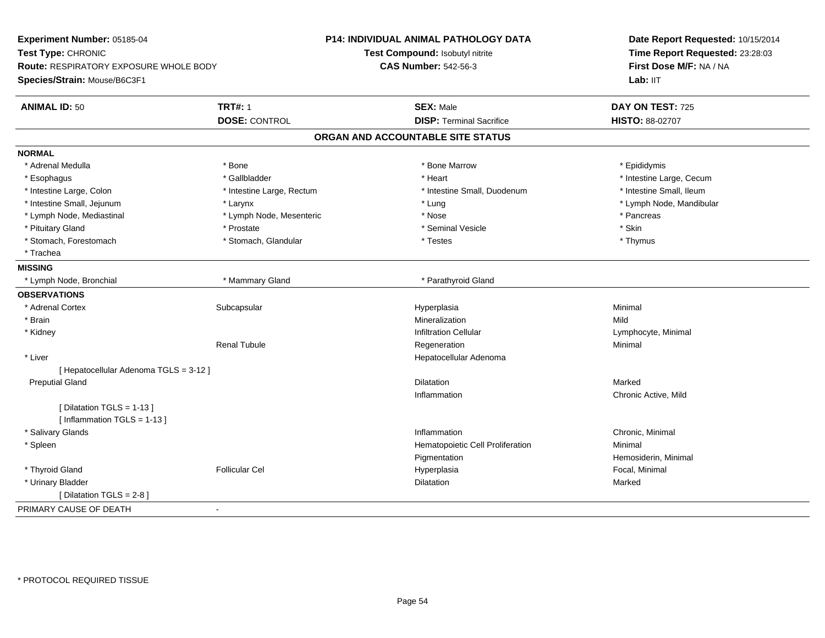| Experiment Number: 05185-04            |                           | P14: INDIVIDUAL ANIMAL PATHOLOGY DATA | Date Report Requested: 10/15/2014 |
|----------------------------------------|---------------------------|---------------------------------------|-----------------------------------|
| Test Type: CHRONIC                     |                           | Test Compound: Isobutyl nitrite       | Time Report Requested: 23:28:03   |
| Route: RESPIRATORY EXPOSURE WHOLE BODY |                           | <b>CAS Number: 542-56-3</b>           | First Dose M/F: NA / NA           |
| Species/Strain: Mouse/B6C3F1           |                           |                                       | Lab: IIT                          |
| <b>ANIMAL ID: 50</b>                   | <b>TRT#: 1</b>            | <b>SEX: Male</b>                      | DAY ON TEST: 725                  |
|                                        | <b>DOSE: CONTROL</b>      | <b>DISP: Terminal Sacrifice</b>       | HISTO: 88-02707                   |
|                                        |                           | ORGAN AND ACCOUNTABLE SITE STATUS     |                                   |
| <b>NORMAL</b>                          |                           |                                       |                                   |
| * Adrenal Medulla                      | * Bone                    | * Bone Marrow                         | * Epididymis                      |
| * Esophagus                            | * Gallbladder             | * Heart                               | * Intestine Large, Cecum          |
| * Intestine Large, Colon               | * Intestine Large, Rectum | * Intestine Small, Duodenum           | * Intestine Small, Ileum          |
| * Intestine Small, Jejunum             | * Larynx                  | * Lung                                | * Lymph Node, Mandibular          |
| * Lymph Node, Mediastinal              | * Lymph Node, Mesenteric  | * Nose                                | * Pancreas                        |
| * Pituitary Gland                      | * Prostate                | * Seminal Vesicle                     | * Skin                            |
| * Stomach, Forestomach                 | * Stomach, Glandular      | * Testes                              | * Thymus                          |
| * Trachea                              |                           |                                       |                                   |
| <b>MISSING</b>                         |                           |                                       |                                   |
| * Lymph Node, Bronchial                | * Mammary Gland           | * Parathyroid Gland                   |                                   |
| <b>OBSERVATIONS</b>                    |                           |                                       |                                   |
| * Adrenal Cortex                       | Subcapsular               | Hyperplasia                           | Minimal                           |
| * Brain                                |                           | Mineralization                        | Mild                              |
| * Kidney                               |                           | <b>Infiltration Cellular</b>          | Lymphocyte, Minimal               |
|                                        | Renal Tubule              | Regeneration                          | Minimal                           |
| * Liver                                |                           | Hepatocellular Adenoma                |                                   |
| [ Hepatocellular Adenoma TGLS = 3-12 ] |                           |                                       |                                   |
| <b>Preputial Gland</b>                 |                           | <b>Dilatation</b>                     | Marked                            |
|                                        |                           | Inflammation                          | Chronic Active, Mild              |
| [ Dilatation TGLS = 1-13 ]             |                           |                                       |                                   |
| [Inflammation TGLS = 1-13]             |                           |                                       |                                   |
| * Salivary Glands                      |                           | Inflammation                          | Chronic, Minimal                  |
| * Spleen                               |                           | Hematopoietic Cell Proliferation      | Minimal                           |
|                                        |                           | Pigmentation                          | Hemosiderin, Minimal              |
| * Thyroid Gland                        | <b>Follicular Cel</b>     | Hyperplasia                           | Focal, Minimal                    |
| * Urinary Bladder                      |                           | Dilatation                            | Marked                            |
| [ Dilatation TGLS = 2-8 ]              |                           |                                       |                                   |
| PRIMARY CAUSE OF DEATH                 | $\blacksquare$            |                                       |                                   |
|                                        |                           |                                       |                                   |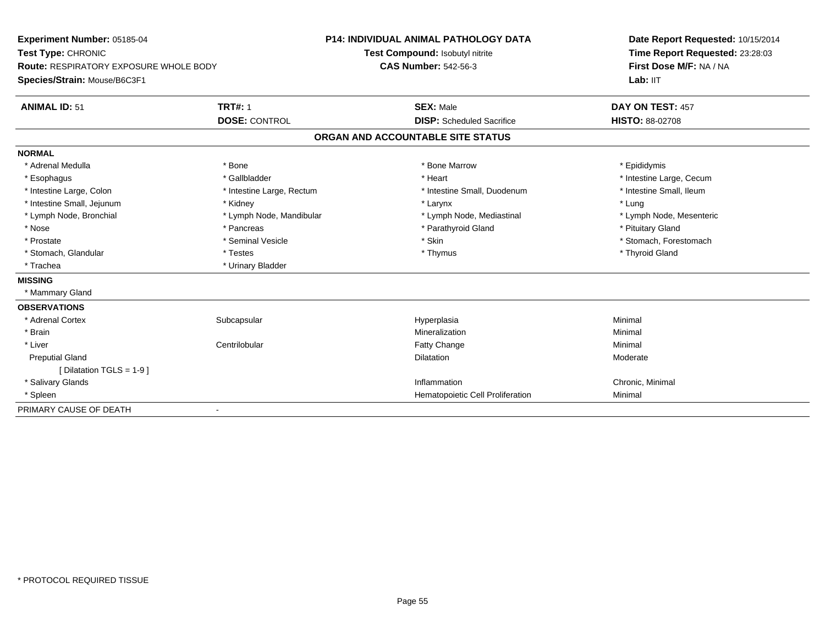| Experiment Number: 05185-04            |                           | <b>P14: INDIVIDUAL ANIMAL PATHOLOGY DATA</b> | Date Report Requested: 10/15/2014 |
|----------------------------------------|---------------------------|----------------------------------------------|-----------------------------------|
| Test Type: CHRONIC                     |                           | Test Compound: Isobutyl nitrite              | Time Report Requested: 23:28:03   |
| Route: RESPIRATORY EXPOSURE WHOLE BODY |                           | <b>CAS Number: 542-56-3</b>                  | First Dose M/F: NA / NA           |
| Species/Strain: Mouse/B6C3F1           |                           |                                              | Lab: IIT                          |
| <b>ANIMAL ID: 51</b>                   | <b>TRT#: 1</b>            | <b>SEX: Male</b>                             | DAY ON TEST: 457                  |
|                                        | <b>DOSE: CONTROL</b>      | <b>DISP:</b> Scheduled Sacrifice             | <b>HISTO: 88-02708</b>            |
|                                        |                           | ORGAN AND ACCOUNTABLE SITE STATUS            |                                   |
| <b>NORMAL</b>                          |                           |                                              |                                   |
| * Adrenal Medulla                      | * Bone                    | * Bone Marrow                                | * Epididymis                      |
| * Esophagus                            | * Gallbladder             | * Heart                                      | * Intestine Large, Cecum          |
| * Intestine Large, Colon               | * Intestine Large, Rectum | * Intestine Small, Duodenum                  | * Intestine Small, Ileum          |
| * Intestine Small, Jejunum             | * Kidney                  | * Larynx                                     | * Lung                            |
| * Lymph Node, Bronchial                | * Lymph Node, Mandibular  | * Lymph Node, Mediastinal                    | * Lymph Node, Mesenteric          |
| * Nose                                 | * Pancreas                | * Parathyroid Gland                          | * Pituitary Gland                 |
| * Prostate                             | * Seminal Vesicle         | * Skin                                       | * Stomach, Forestomach            |
| * Stomach, Glandular                   | * Testes                  | * Thymus                                     | * Thyroid Gland                   |
| * Trachea                              | * Urinary Bladder         |                                              |                                   |
| <b>MISSING</b>                         |                           |                                              |                                   |
| * Mammary Gland                        |                           |                                              |                                   |
| <b>OBSERVATIONS</b>                    |                           |                                              |                                   |
| * Adrenal Cortex                       | Subcapsular               | Hyperplasia                                  | Minimal                           |
| * Brain                                |                           | Mineralization                               | Minimal                           |
| * Liver                                | Centrilobular             | <b>Fatty Change</b>                          | Minimal                           |
| <b>Preputial Gland</b>                 |                           | Dilatation                                   | Moderate                          |
| [ Dilatation TGLS = $1-9$ ]            |                           |                                              |                                   |
| * Salivary Glands                      |                           | Inflammation                                 | Chronic, Minimal                  |
| * Spleen                               |                           | Hematopoietic Cell Proliferation             | Minimal                           |
| PRIMARY CAUSE OF DEATH                 |                           |                                              |                                   |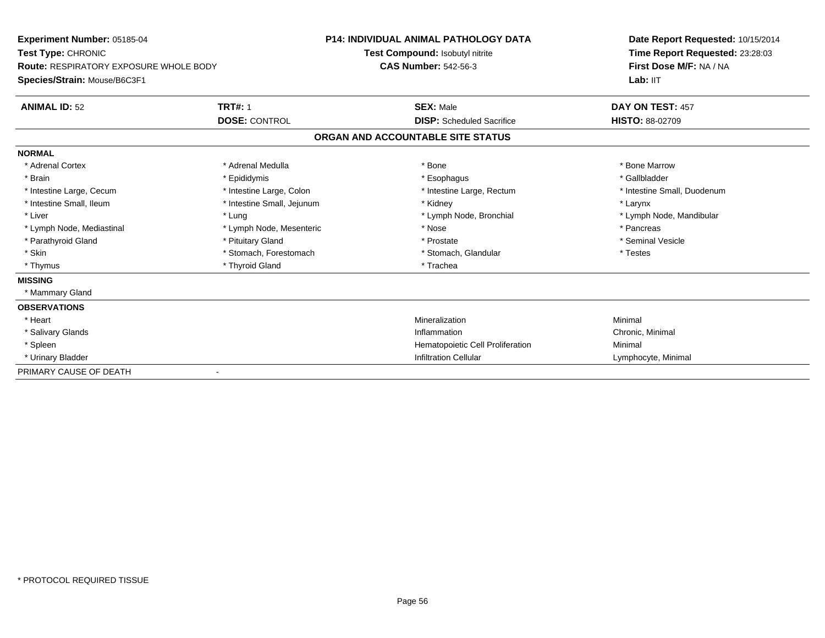| Experiment Number: 05185-04            |                            | <b>P14: INDIVIDUAL ANIMAL PATHOLOGY DATA</b> | Date Report Requested: 10/15/2014 |
|----------------------------------------|----------------------------|----------------------------------------------|-----------------------------------|
| Test Type: CHRONIC                     |                            | Test Compound: Isobutyl nitrite              | Time Report Requested: 23:28:03   |
| Route: RESPIRATORY EXPOSURE WHOLE BODY |                            | <b>CAS Number: 542-56-3</b>                  | First Dose M/F: NA / NA           |
| Species/Strain: Mouse/B6C3F1           |                            |                                              | Lab: IIT                          |
| <b>ANIMAL ID: 52</b>                   | <b>TRT#: 1</b>             | <b>SEX: Male</b>                             | DAY ON TEST: 457                  |
|                                        | <b>DOSE: CONTROL</b>       | <b>DISP:</b> Scheduled Sacrifice             | <b>HISTO: 88-02709</b>            |
|                                        |                            | ORGAN AND ACCOUNTABLE SITE STATUS            |                                   |
| <b>NORMAL</b>                          |                            |                                              |                                   |
| * Adrenal Cortex                       | * Adrenal Medulla          | * Bone                                       | * Bone Marrow                     |
| * Brain                                | * Epididymis               | * Esophagus                                  | * Gallbladder                     |
| * Intestine Large, Cecum               | * Intestine Large, Colon   | * Intestine Large, Rectum                    | * Intestine Small, Duodenum       |
| * Intestine Small, Ileum               | * Intestine Small, Jejunum | * Kidney                                     | * Larynx                          |
| * Liver                                | * Lung                     | * Lymph Node, Bronchial                      | * Lymph Node, Mandibular          |
| * Lymph Node, Mediastinal              | * Lymph Node, Mesenteric   | * Nose                                       | * Pancreas                        |
| * Parathyroid Gland                    | * Pituitary Gland          | * Prostate                                   | * Seminal Vesicle                 |
| * Skin                                 | * Stomach, Forestomach     | * Stomach, Glandular                         | * Testes                          |
| * Thymus                               | * Thyroid Gland            | * Trachea                                    |                                   |
| <b>MISSING</b>                         |                            |                                              |                                   |
| * Mammary Gland                        |                            |                                              |                                   |
| <b>OBSERVATIONS</b>                    |                            |                                              |                                   |
| * Heart                                |                            | Mineralization                               | Minimal                           |
| * Salivary Glands                      |                            | Inflammation                                 | Chronic, Minimal                  |
| * Spleen                               |                            | Hematopoietic Cell Proliferation             | Minimal                           |
| * Urinary Bladder                      |                            | <b>Infiltration Cellular</b>                 | Lymphocyte, Minimal               |
| PRIMARY CAUSE OF DEATH                 |                            |                                              |                                   |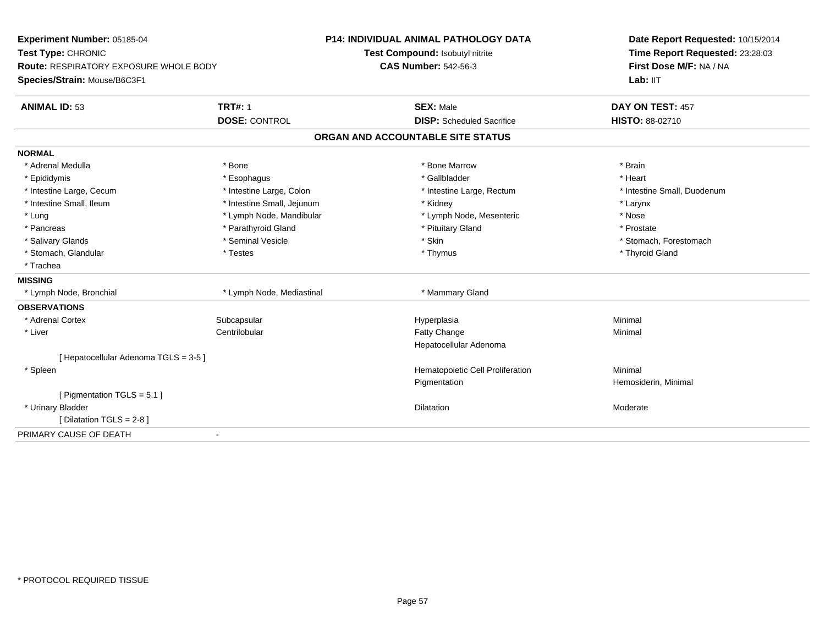| Experiment Number: 05185-04            |                            | <b>P14: INDIVIDUAL ANIMAL PATHOLOGY DATA</b> | Date Report Requested: 10/15/2014 |
|----------------------------------------|----------------------------|----------------------------------------------|-----------------------------------|
| Test Type: CHRONIC                     |                            | Test Compound: Isobutyl nitrite              | Time Report Requested: 23:28:03   |
| Route: RESPIRATORY EXPOSURE WHOLE BODY |                            | <b>CAS Number: 542-56-3</b>                  | First Dose M/F: NA / NA           |
| Species/Strain: Mouse/B6C3F1           |                            |                                              | Lab: IIT                          |
| <b>ANIMAL ID: 53</b>                   | <b>TRT#: 1</b>             | <b>SEX: Male</b>                             | DAY ON TEST: 457                  |
|                                        | <b>DOSE: CONTROL</b>       | <b>DISP:</b> Scheduled Sacrifice             | <b>HISTO: 88-02710</b>            |
|                                        |                            | ORGAN AND ACCOUNTABLE SITE STATUS            |                                   |
| <b>NORMAL</b>                          |                            |                                              |                                   |
| * Adrenal Medulla                      | * Bone                     | * Bone Marrow                                | * Brain                           |
| * Epididymis                           | * Esophagus                | * Gallbladder                                | * Heart                           |
| * Intestine Large, Cecum               | * Intestine Large, Colon   | * Intestine Large, Rectum                    | * Intestine Small, Duodenum       |
| * Intestine Small, Ileum               | * Intestine Small, Jejunum | * Kidney                                     | * Larynx                          |
| * Lung                                 | * Lymph Node, Mandibular   | * Lymph Node, Mesenteric                     | * Nose                            |
| * Pancreas                             | * Parathyroid Gland        | * Pituitary Gland                            | * Prostate                        |
| * Salivary Glands                      | * Seminal Vesicle          | * Skin                                       | * Stomach. Forestomach            |
| * Stomach, Glandular                   | * Testes                   | * Thymus                                     | * Thyroid Gland                   |
| * Trachea                              |                            |                                              |                                   |
| <b>MISSING</b>                         |                            |                                              |                                   |
| * Lymph Node, Bronchial                | * Lymph Node, Mediastinal  | * Mammary Gland                              |                                   |
| <b>OBSERVATIONS</b>                    |                            |                                              |                                   |
| * Adrenal Cortex                       | Subcapsular                | Hyperplasia                                  | Minimal                           |
| * Liver                                | Centrilobular              | Fatty Change                                 | Minimal                           |
|                                        |                            | Hepatocellular Adenoma                       |                                   |
| [ Hepatocellular Adenoma TGLS = 3-5 ]  |                            |                                              |                                   |
| * Spleen                               |                            | Hematopoietic Cell Proliferation             | Minimal                           |
|                                        |                            | Pigmentation                                 | Hemosiderin, Minimal              |
| [ Pigmentation TGLS = 5.1 ]            |                            |                                              |                                   |
| * Urinary Bladder                      |                            | Dilatation                                   | Moderate                          |
| [Dilatation TGLS = 2-8]                |                            |                                              |                                   |
| PRIMARY CAUSE OF DEATH                 | $\blacksquare$             |                                              |                                   |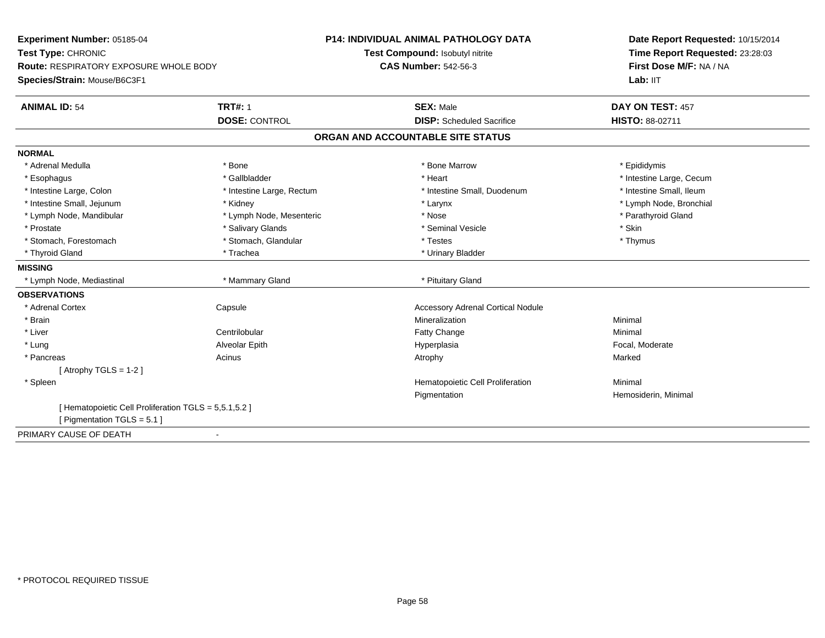| Experiment Number: 05185-04                           |                           | <b>P14: INDIVIDUAL ANIMAL PATHOLOGY DATA</b> | Date Report Requested: 10/15/2014 |
|-------------------------------------------------------|---------------------------|----------------------------------------------|-----------------------------------|
| Test Type: CHRONIC                                    |                           | Test Compound: Isobutyl nitrite              | Time Report Requested: 23:28:03   |
| <b>Route: RESPIRATORY EXPOSURE WHOLE BODY</b>         |                           | <b>CAS Number: 542-56-3</b>                  | First Dose M/F: NA / NA           |
| Species/Strain: Mouse/B6C3F1                          |                           |                                              | Lab: IIT                          |
| <b>ANIMAL ID: 54</b>                                  | <b>TRT#: 1</b>            | <b>SEX: Male</b>                             | DAY ON TEST: 457                  |
|                                                       | <b>DOSE: CONTROL</b>      | <b>DISP:</b> Scheduled Sacrifice             | <b>HISTO: 88-02711</b>            |
|                                                       |                           | ORGAN AND ACCOUNTABLE SITE STATUS            |                                   |
| <b>NORMAL</b>                                         |                           |                                              |                                   |
| * Adrenal Medulla                                     | * Bone                    | * Bone Marrow                                | * Epididymis                      |
| * Esophagus                                           | * Gallbladder             | * Heart                                      | * Intestine Large, Cecum          |
| * Intestine Large, Colon                              | * Intestine Large, Rectum | * Intestine Small, Duodenum                  | * Intestine Small, Ileum          |
| * Intestine Small, Jejunum                            | * Kidney                  | * Larynx                                     | * Lymph Node, Bronchial           |
| * Lymph Node, Mandibular                              | * Lymph Node, Mesenteric  | * Nose                                       | * Parathyroid Gland               |
| * Prostate                                            | * Salivary Glands         | * Seminal Vesicle                            | * Skin                            |
| * Stomach, Forestomach                                | * Stomach, Glandular      | * Testes                                     | * Thymus                          |
| * Thyroid Gland                                       | * Trachea                 | * Urinary Bladder                            |                                   |
| <b>MISSING</b>                                        |                           |                                              |                                   |
| * Lymph Node, Mediastinal                             | * Mammary Gland           | * Pituitary Gland                            |                                   |
| <b>OBSERVATIONS</b>                                   |                           |                                              |                                   |
| * Adrenal Cortex                                      | Capsule                   | <b>Accessory Adrenal Cortical Nodule</b>     |                                   |
| * Brain                                               |                           | Mineralization                               | Minimal                           |
| * Liver                                               | Centrilobular             | Fatty Change                                 | Minimal                           |
| * Lung                                                | Alveolar Epith            | Hyperplasia                                  | Focal, Moderate                   |
| * Pancreas                                            | Acinus                    | Atrophy                                      | Marked                            |
| [Atrophy TGLS = $1-2$ ]                               |                           |                                              |                                   |
| * Spleen                                              |                           | Hematopoietic Cell Proliferation             | Minimal                           |
|                                                       |                           | Pigmentation                                 | Hemosiderin, Minimal              |
| [ Hematopoietic Cell Proliferation TGLS = 5,5.1,5.2 ] |                           |                                              |                                   |
| [ Pigmentation TGLS = $5.1$ ]                         |                           |                                              |                                   |
| PRIMARY CAUSE OF DEATH                                |                           |                                              |                                   |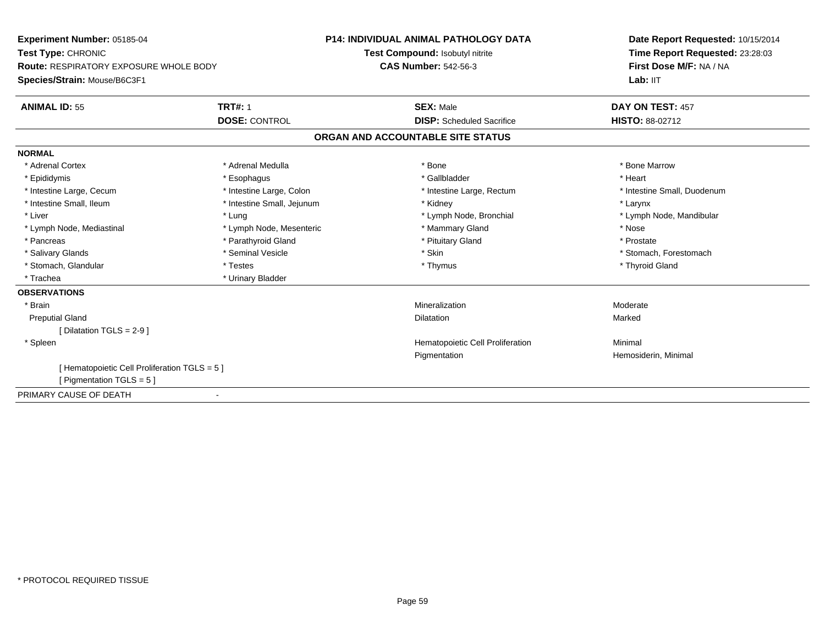| <b>Experiment Number: 05185-04</b>            |                            | <b>P14: INDIVIDUAL ANIMAL PATHOLOGY DATA</b> | Date Report Requested: 10/15/2014 |
|-----------------------------------------------|----------------------------|----------------------------------------------|-----------------------------------|
| Test Type: CHRONIC                            |                            | Test Compound: Isobutyl nitrite              | Time Report Requested: 23:28:03   |
| Route: RESPIRATORY EXPOSURE WHOLE BODY        |                            | <b>CAS Number: 542-56-3</b>                  | First Dose M/F: NA / NA           |
| Species/Strain: Mouse/B6C3F1                  |                            |                                              | Lab: IIT                          |
| <b>ANIMAL ID: 55</b>                          | <b>TRT#: 1</b>             | <b>SEX: Male</b>                             | DAY ON TEST: 457                  |
|                                               | <b>DOSE: CONTROL</b>       | <b>DISP:</b> Scheduled Sacrifice             | <b>HISTO: 88-02712</b>            |
|                                               |                            | ORGAN AND ACCOUNTABLE SITE STATUS            |                                   |
| <b>NORMAL</b>                                 |                            |                                              |                                   |
| * Adrenal Cortex                              | * Adrenal Medulla          | * Bone                                       | * Bone Marrow                     |
| * Epididymis                                  | * Esophagus                | * Gallbladder                                | * Heart                           |
| * Intestine Large, Cecum                      | * Intestine Large, Colon   | * Intestine Large, Rectum                    | * Intestine Small, Duodenum       |
| * Intestine Small, Ileum                      | * Intestine Small, Jejunum | * Kidney                                     | * Larynx                          |
| * Liver                                       | * Lung                     | * Lymph Node, Bronchial                      | * Lymph Node, Mandibular          |
| * Lymph Node, Mediastinal                     | * Lymph Node, Mesenteric   | * Mammary Gland                              | * Nose                            |
| * Pancreas                                    | * Parathyroid Gland        | * Pituitary Gland                            | * Prostate                        |
| * Salivary Glands                             | * Seminal Vesicle          | * Skin                                       | * Stomach, Forestomach            |
| * Stomach, Glandular                          | * Testes                   | * Thymus                                     | * Thyroid Gland                   |
| * Trachea                                     | * Urinary Bladder          |                                              |                                   |
| <b>OBSERVATIONS</b>                           |                            |                                              |                                   |
| * Brain                                       |                            | Mineralization                               | Moderate                          |
| <b>Preputial Gland</b>                        |                            | <b>Dilatation</b>                            | Marked                            |
| [ Dilatation TGLS = $2-9$ ]                   |                            |                                              |                                   |
| * Spleen                                      |                            | Hematopoietic Cell Proliferation             | Minimal                           |
|                                               |                            | Pigmentation                                 | Hemosiderin, Minimal              |
| [ Hematopoietic Cell Proliferation TGLS = 5 ] |                            |                                              |                                   |
| [ Pigmentation $TGLS = 5$ ]                   |                            |                                              |                                   |
| PRIMARY CAUSE OF DEATH                        |                            |                                              |                                   |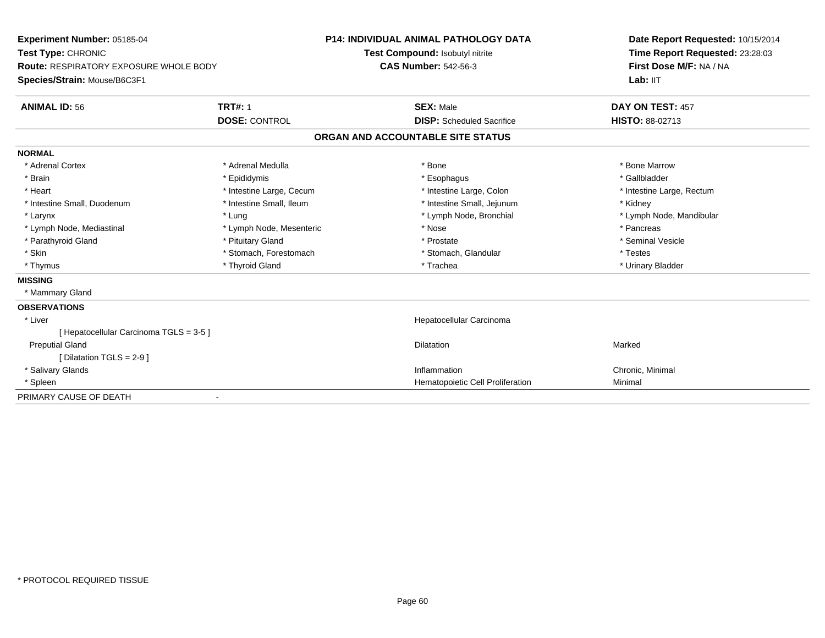| Experiment Number: 05185-04             |                          | <b>P14: INDIVIDUAL ANIMAL PATHOLOGY DATA</b> |                                   | Date Report Requested: 10/15/2014 |  |  |
|-----------------------------------------|--------------------------|----------------------------------------------|-----------------------------------|-----------------------------------|--|--|
| Test Type: CHRONIC                      |                          |                                              | Test Compound: Isobutyl nitrite   | Time Report Requested: 23:28:03   |  |  |
| Route: RESPIRATORY EXPOSURE WHOLE BODY  |                          | <b>CAS Number: 542-56-3</b>                  |                                   | First Dose M/F: NA / NA           |  |  |
| Species/Strain: Mouse/B6C3F1            |                          |                                              |                                   | Lab: IIT                          |  |  |
| <b>ANIMAL ID: 56</b>                    | <b>TRT#: 1</b>           |                                              | <b>SEX: Male</b>                  | DAY ON TEST: 457                  |  |  |
|                                         | <b>DOSE: CONTROL</b>     |                                              | <b>DISP:</b> Scheduled Sacrifice  | <b>HISTO: 88-02713</b>            |  |  |
|                                         |                          |                                              | ORGAN AND ACCOUNTABLE SITE STATUS |                                   |  |  |
| <b>NORMAL</b>                           |                          |                                              |                                   |                                   |  |  |
| * Adrenal Cortex                        | * Adrenal Medulla        |                                              | * Bone                            | * Bone Marrow                     |  |  |
| * Brain                                 | * Epididymis             |                                              | * Esophagus                       | * Gallbladder                     |  |  |
| * Heart                                 | * Intestine Large, Cecum |                                              | * Intestine Large, Colon          | * Intestine Large, Rectum         |  |  |
| * Intestine Small, Duodenum             | * Intestine Small, Ileum |                                              | * Intestine Small, Jejunum        | * Kidney                          |  |  |
| * Larynx                                | * Lung                   |                                              | * Lymph Node, Bronchial           | * Lymph Node, Mandibular          |  |  |
| * Lymph Node, Mediastinal               | * Lymph Node, Mesenteric |                                              | * Nose                            | * Pancreas                        |  |  |
| * Parathyroid Gland                     | * Pituitary Gland        |                                              | * Prostate                        | * Seminal Vesicle                 |  |  |
| * Skin                                  | * Stomach, Forestomach   |                                              | * Stomach, Glandular              | * Testes                          |  |  |
| * Thymus                                | * Thyroid Gland          |                                              | * Trachea                         | * Urinary Bladder                 |  |  |
| <b>MISSING</b>                          |                          |                                              |                                   |                                   |  |  |
| * Mammary Gland                         |                          |                                              |                                   |                                   |  |  |
| <b>OBSERVATIONS</b>                     |                          |                                              |                                   |                                   |  |  |
| * Liver                                 |                          |                                              | Hepatocellular Carcinoma          |                                   |  |  |
| [ Hepatocellular Carcinoma TGLS = 3-5 ] |                          |                                              |                                   |                                   |  |  |
| <b>Preputial Gland</b>                  |                          |                                              | Dilatation                        | Marked                            |  |  |
| [ Dilatation TGLS = 2-9 ]               |                          |                                              |                                   |                                   |  |  |
| * Salivary Glands                       |                          |                                              | Inflammation                      | Chronic, Minimal                  |  |  |
| * Spleen                                |                          |                                              | Hematopoietic Cell Proliferation  | Minimal                           |  |  |
| PRIMARY CAUSE OF DEATH                  |                          |                                              |                                   |                                   |  |  |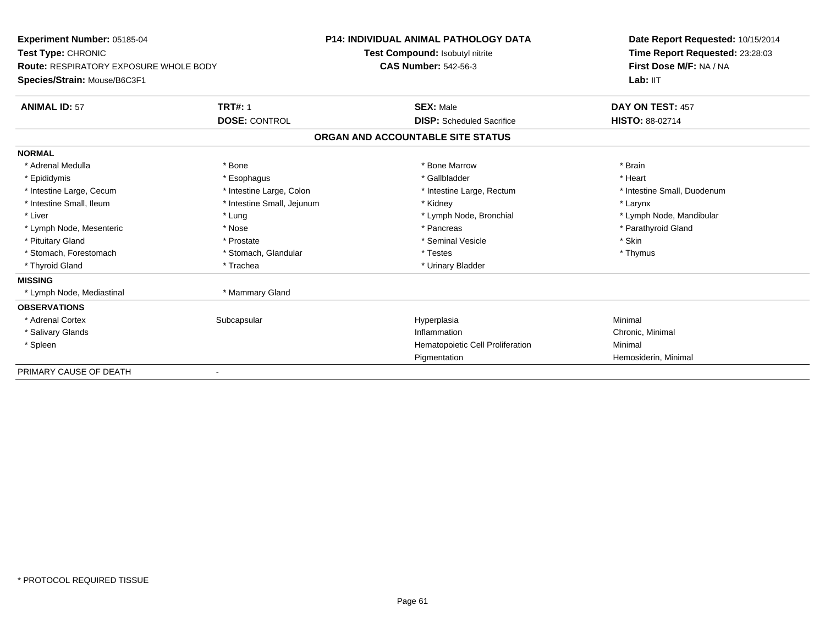| Experiment Number: 05185-04            |                            | P14: INDIVIDUAL ANIMAL PATHOLOGY DATA |                                  | Date Report Requested: 10/15/2014 |  |
|----------------------------------------|----------------------------|---------------------------------------|----------------------------------|-----------------------------------|--|
| Test Type: CHRONIC                     |                            |                                       | Test Compound: Isobutyl nitrite  | Time Report Requested: 23:28:03   |  |
| Route: RESPIRATORY EXPOSURE WHOLE BODY |                            | <b>CAS Number: 542-56-3</b>           |                                  | First Dose M/F: NA / NA           |  |
| Species/Strain: Mouse/B6C3F1           |                            |                                       |                                  | Lab: IIT                          |  |
| <b>ANIMAL ID: 57</b>                   | <b>TRT#: 1</b>             |                                       | <b>SEX: Male</b>                 | DAY ON TEST: 457                  |  |
|                                        | <b>DOSE: CONTROL</b>       |                                       | <b>DISP:</b> Scheduled Sacrifice | <b>HISTO: 88-02714</b>            |  |
|                                        |                            | ORGAN AND ACCOUNTABLE SITE STATUS     |                                  |                                   |  |
| <b>NORMAL</b>                          |                            |                                       |                                  |                                   |  |
| * Adrenal Medulla                      | * Bone                     |                                       | * Bone Marrow                    | * Brain                           |  |
| * Epididymis                           | * Esophagus                |                                       | * Gallbladder                    | * Heart                           |  |
| * Intestine Large, Cecum               | * Intestine Large, Colon   |                                       | * Intestine Large, Rectum        | * Intestine Small, Duodenum       |  |
| * Intestine Small, Ileum               | * Intestine Small, Jejunum |                                       | * Kidney                         | * Larynx                          |  |
| * Liver                                | * Lung                     |                                       | * Lymph Node, Bronchial          | * Lymph Node, Mandibular          |  |
| * Lymph Node, Mesenteric               | * Nose                     |                                       | * Pancreas                       | * Parathyroid Gland               |  |
| * Pituitary Gland                      | * Prostate                 |                                       | * Seminal Vesicle                | * Skin                            |  |
| * Stomach, Forestomach                 | * Stomach, Glandular       |                                       | * Testes                         | * Thymus                          |  |
| * Thyroid Gland                        | * Trachea                  |                                       | * Urinary Bladder                |                                   |  |
| <b>MISSING</b>                         |                            |                                       |                                  |                                   |  |
| * Lymph Node, Mediastinal              | * Mammary Gland            |                                       |                                  |                                   |  |
| <b>OBSERVATIONS</b>                    |                            |                                       |                                  |                                   |  |
| * Adrenal Cortex                       | Subcapsular                |                                       | Hyperplasia                      | Minimal                           |  |
| * Salivary Glands                      |                            |                                       | Inflammation                     | Chronic, Minimal                  |  |
| * Spleen                               |                            |                                       | Hematopoietic Cell Proliferation | Minimal                           |  |
|                                        |                            |                                       | Pigmentation                     | Hemosiderin, Minimal              |  |
| PRIMARY CAUSE OF DEATH                 |                            |                                       |                                  |                                   |  |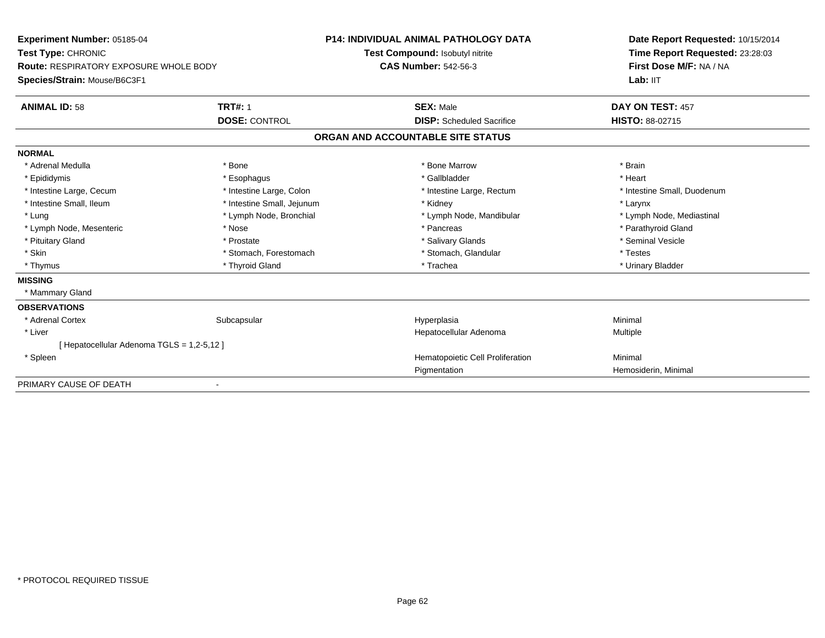| Experiment Number: 05185-04                |                            | <b>P14: INDIVIDUAL ANIMAL PATHOLOGY DATA</b> | Date Report Requested: 10/15/2014 |  |
|--------------------------------------------|----------------------------|----------------------------------------------|-----------------------------------|--|
| Test Type: CHRONIC                         |                            | Test Compound: Isobutyl nitrite              | Time Report Requested: 23:28:03   |  |
| Route: RESPIRATORY EXPOSURE WHOLE BODY     |                            | <b>CAS Number: 542-56-3</b>                  | First Dose M/F: NA / NA           |  |
| Species/Strain: Mouse/B6C3F1               |                            |                                              | Lab: IIT                          |  |
| <b>ANIMAL ID: 58</b>                       | <b>TRT#: 1</b>             | <b>SEX: Male</b>                             | DAY ON TEST: 457                  |  |
|                                            | <b>DOSE: CONTROL</b>       | <b>DISP:</b> Scheduled Sacrifice             | <b>HISTO: 88-02715</b>            |  |
|                                            |                            | ORGAN AND ACCOUNTABLE SITE STATUS            |                                   |  |
| <b>NORMAL</b>                              |                            |                                              |                                   |  |
| * Adrenal Medulla                          | * Bone                     | * Bone Marrow                                | * Brain                           |  |
| * Epididymis                               | * Esophagus                | * Gallbladder                                | * Heart                           |  |
| * Intestine Large, Cecum                   | * Intestine Large, Colon   | * Intestine Large, Rectum                    | * Intestine Small, Duodenum       |  |
| * Intestine Small, Ileum                   | * Intestine Small, Jejunum | * Kidney                                     | * Larynx                          |  |
| * Lung                                     | * Lymph Node, Bronchial    | * Lymph Node, Mandibular                     | * Lymph Node, Mediastinal         |  |
| * Lymph Node, Mesenteric                   | * Nose                     | * Pancreas                                   | * Parathyroid Gland               |  |
| * Pituitary Gland                          | * Prostate                 | * Salivary Glands                            | * Seminal Vesicle                 |  |
| * Skin                                     | * Stomach, Forestomach     | * Stomach, Glandular                         | * Testes                          |  |
| * Thymus                                   | * Thyroid Gland            | * Trachea                                    | * Urinary Bladder                 |  |
| <b>MISSING</b>                             |                            |                                              |                                   |  |
| * Mammary Gland                            |                            |                                              |                                   |  |
| <b>OBSERVATIONS</b>                        |                            |                                              |                                   |  |
| * Adrenal Cortex                           | Subcapsular                | Hyperplasia                                  | Minimal                           |  |
| * Liver                                    |                            | Hepatocellular Adenoma                       | Multiple                          |  |
| [ Hepatocellular Adenoma TGLS = 1,2-5,12 ] |                            |                                              |                                   |  |
| * Spleen                                   |                            | Hematopoietic Cell Proliferation             | Minimal                           |  |
|                                            |                            | Pigmentation                                 | Hemosiderin, Minimal              |  |
| PRIMARY CAUSE OF DEATH                     |                            |                                              |                                   |  |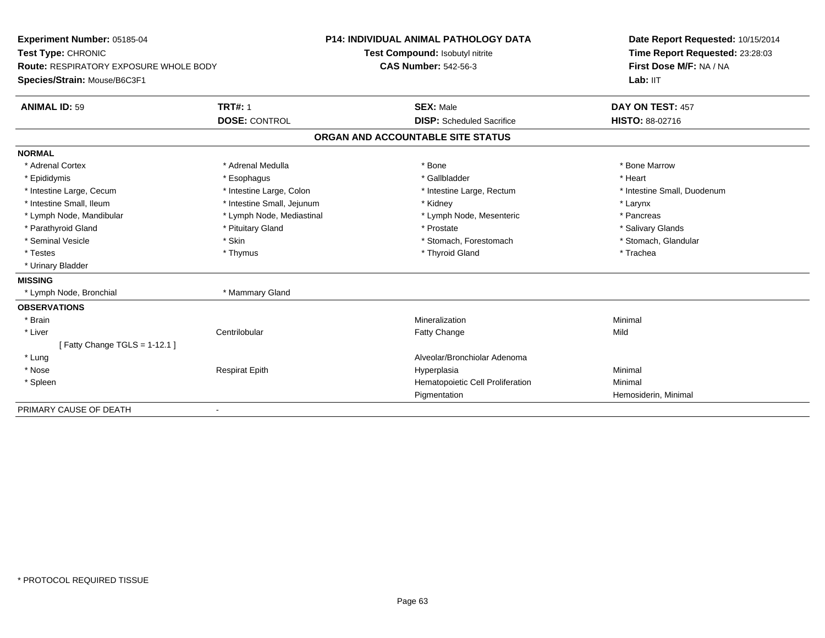| Experiment Number: 05185-04                   |                            | <b>P14: INDIVIDUAL ANIMAL PATHOLOGY DATA</b> | Date Report Requested: 10/15/2014 |  |
|-----------------------------------------------|----------------------------|----------------------------------------------|-----------------------------------|--|
| Test Type: CHRONIC                            |                            | Test Compound: Isobutyl nitrite              | Time Report Requested: 23:28:03   |  |
| <b>Route: RESPIRATORY EXPOSURE WHOLE BODY</b> |                            | <b>CAS Number: 542-56-3</b>                  | First Dose M/F: NA / NA           |  |
| Species/Strain: Mouse/B6C3F1                  |                            |                                              | Lab: IIT                          |  |
| <b>ANIMAL ID: 59</b>                          | <b>TRT#: 1</b>             | <b>SEX: Male</b>                             | DAY ON TEST: 457                  |  |
|                                               | <b>DOSE: CONTROL</b>       | <b>DISP:</b> Scheduled Sacrifice             | <b>HISTO: 88-02716</b>            |  |
|                                               |                            | ORGAN AND ACCOUNTABLE SITE STATUS            |                                   |  |
| <b>NORMAL</b>                                 |                            |                                              |                                   |  |
| * Adrenal Cortex                              | * Adrenal Medulla          | * Bone                                       | * Bone Marrow                     |  |
| * Epididymis                                  | * Esophagus                | * Gallbladder                                | * Heart                           |  |
| * Intestine Large, Cecum                      | * Intestine Large, Colon   | * Intestine Large, Rectum                    | * Intestine Small, Duodenum       |  |
| * Intestine Small, Ileum                      | * Intestine Small, Jejunum | * Kidney                                     | * Larynx                          |  |
| * Lymph Node, Mandibular                      | * Lymph Node, Mediastinal  | * Lymph Node, Mesenteric                     | * Pancreas                        |  |
| * Parathyroid Gland                           | * Pituitary Gland          | * Prostate                                   | * Salivary Glands                 |  |
| * Seminal Vesicle                             | * Skin                     | * Stomach, Forestomach                       | * Stomach, Glandular              |  |
| * Testes                                      | * Thymus                   | * Thyroid Gland                              | * Trachea                         |  |
| * Urinary Bladder                             |                            |                                              |                                   |  |
| <b>MISSING</b>                                |                            |                                              |                                   |  |
| * Lymph Node, Bronchial                       | * Mammary Gland            |                                              |                                   |  |
| <b>OBSERVATIONS</b>                           |                            |                                              |                                   |  |
| * Brain                                       |                            | Mineralization                               | Minimal                           |  |
| * Liver                                       | Centrilobular              | Fatty Change                                 | Mild                              |  |
| [Fatty Change TGLS = $1-12.1$ ]               |                            |                                              |                                   |  |
| * Lung                                        |                            | Alveolar/Bronchiolar Adenoma                 |                                   |  |
| * Nose                                        | <b>Respirat Epith</b>      | Hyperplasia                                  | Minimal                           |  |
| * Spleen                                      |                            | Hematopoietic Cell Proliferation             | Minimal                           |  |
|                                               |                            | Pigmentation                                 | Hemosiderin, Minimal              |  |
| PRIMARY CAUSE OF DEATH                        | $\overline{\phantom{0}}$   |                                              |                                   |  |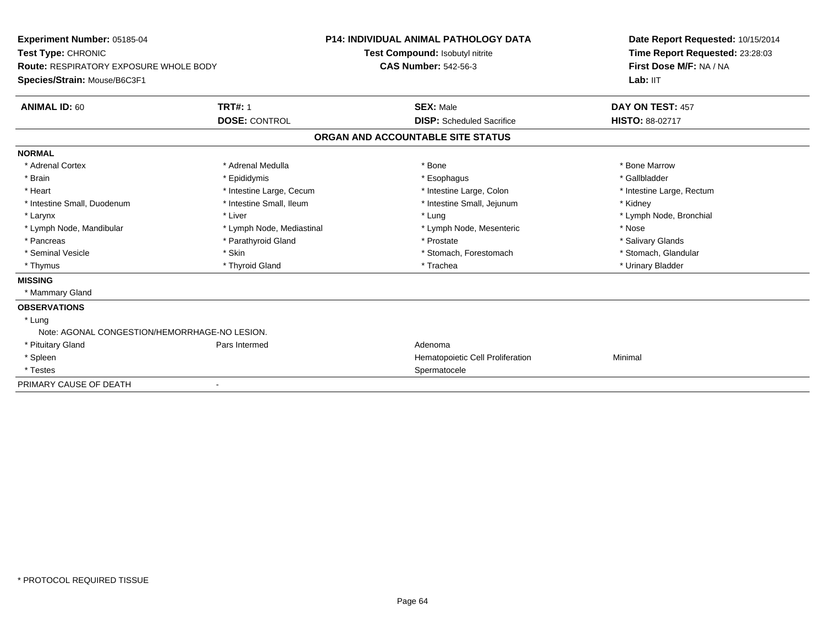| Experiment Number: 05185-04                   |                           | <b>P14: INDIVIDUAL ANIMAL PATHOLOGY DATA</b> |  | Date Report Requested: 10/15/2014 |  |
|-----------------------------------------------|---------------------------|----------------------------------------------|--|-----------------------------------|--|
| Test Type: CHRONIC                            |                           | Test Compound: Isobutyl nitrite              |  | Time Report Requested: 23:28:03   |  |
| <b>Route: RESPIRATORY EXPOSURE WHOLE BODY</b> |                           | <b>CAS Number: 542-56-3</b>                  |  | First Dose M/F: NA / NA           |  |
| Species/Strain: Mouse/B6C3F1                  |                           |                                              |  | Lab: IIT                          |  |
| <b>ANIMAL ID: 60</b>                          | <b>TRT#: 1</b>            | <b>SEX: Male</b>                             |  | DAY ON TEST: 457                  |  |
|                                               | <b>DOSE: CONTROL</b>      | <b>DISP:</b> Scheduled Sacrifice             |  | <b>HISTO: 88-02717</b>            |  |
|                                               |                           | ORGAN AND ACCOUNTABLE SITE STATUS            |  |                                   |  |
| <b>NORMAL</b>                                 |                           |                                              |  |                                   |  |
| * Adrenal Cortex                              | * Adrenal Medulla         | * Bone                                       |  | * Bone Marrow                     |  |
| * Brain                                       | * Epididymis              | * Esophagus                                  |  | * Gallbladder                     |  |
| * Heart                                       | * Intestine Large, Cecum  | * Intestine Large, Colon                     |  | * Intestine Large, Rectum         |  |
| * Intestine Small, Duodenum                   | * Intestine Small, Ileum  | * Intestine Small, Jejunum                   |  | * Kidney                          |  |
| * Larynx                                      | * Liver                   | * Lung                                       |  | * Lymph Node, Bronchial           |  |
| * Lymph Node, Mandibular                      | * Lymph Node, Mediastinal | * Lymph Node, Mesenteric                     |  | * Nose                            |  |
| * Pancreas                                    | * Parathyroid Gland       | * Prostate                                   |  | * Salivary Glands                 |  |
| * Seminal Vesicle                             | * Skin                    | * Stomach, Forestomach                       |  | * Stomach, Glandular              |  |
| * Thymus                                      | * Thyroid Gland           | * Trachea                                    |  | * Urinary Bladder                 |  |
| <b>MISSING</b>                                |                           |                                              |  |                                   |  |
| * Mammary Gland                               |                           |                                              |  |                                   |  |
| <b>OBSERVATIONS</b>                           |                           |                                              |  |                                   |  |
| * Lung                                        |                           |                                              |  |                                   |  |
| Note: AGONAL CONGESTION/HEMORRHAGE-NO LESION. |                           |                                              |  |                                   |  |
| * Pituitary Gland                             | Pars Intermed             | Adenoma                                      |  |                                   |  |
| * Spleen                                      |                           | Hematopoietic Cell Proliferation             |  | Minimal                           |  |
| * Testes                                      |                           | Spermatocele                                 |  |                                   |  |
| PRIMARY CAUSE OF DEATH                        |                           |                                              |  |                                   |  |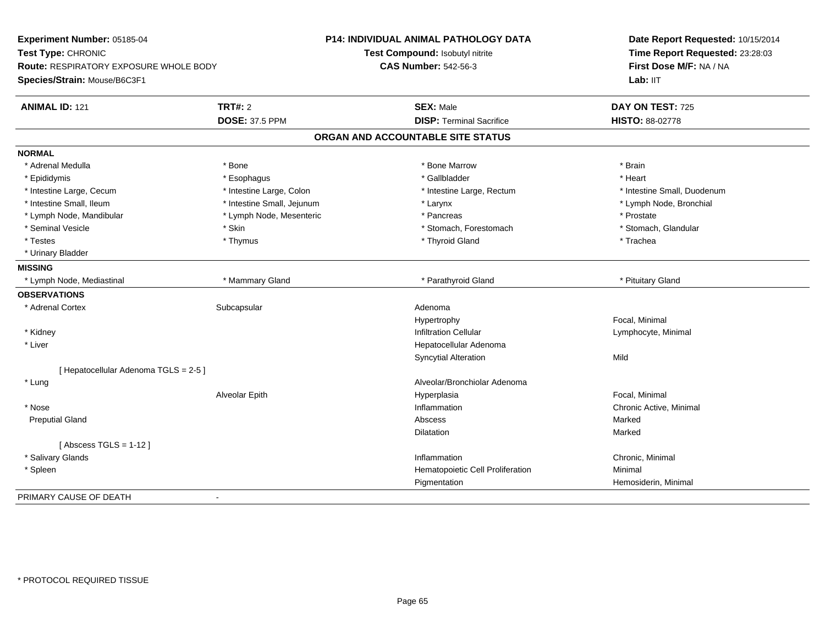| Experiment Number: 05185-04<br>Test Type: CHRONIC<br><b>Route: RESPIRATORY EXPOSURE WHOLE BODY</b> |                            | <b>P14: INDIVIDUAL ANIMAL PATHOLOGY DATA</b><br>Test Compound: Isobutyl nitrite<br><b>CAS Number: 542-56-3</b> | Date Report Requested: 10/15/2014<br>Time Report Requested: 23:28:03<br>First Dose M/F: NA / NA |
|----------------------------------------------------------------------------------------------------|----------------------------|----------------------------------------------------------------------------------------------------------------|-------------------------------------------------------------------------------------------------|
| Species/Strain: Mouse/B6C3F1                                                                       |                            |                                                                                                                | Lab: IIT                                                                                        |
| <b>ANIMAL ID: 121</b>                                                                              | <b>TRT#: 2</b>             | <b>SEX: Male</b>                                                                                               | DAY ON TEST: 725                                                                                |
|                                                                                                    | <b>DOSE: 37.5 PPM</b>      | <b>DISP: Terminal Sacrifice</b>                                                                                | HISTO: 88-02778                                                                                 |
|                                                                                                    |                            | ORGAN AND ACCOUNTABLE SITE STATUS                                                                              |                                                                                                 |
| <b>NORMAL</b>                                                                                      |                            |                                                                                                                |                                                                                                 |
| * Adrenal Medulla                                                                                  | * Bone                     | * Bone Marrow                                                                                                  | * Brain                                                                                         |
| * Epididymis                                                                                       | * Esophagus                | * Gallbladder                                                                                                  | * Heart                                                                                         |
| * Intestine Large, Cecum                                                                           | * Intestine Large, Colon   | * Intestine Large, Rectum                                                                                      | * Intestine Small, Duodenum                                                                     |
| * Intestine Small, Ileum                                                                           | * Intestine Small, Jejunum | * Larynx                                                                                                       | * Lymph Node, Bronchial                                                                         |
| * Lymph Node, Mandibular                                                                           | * Lymph Node, Mesenteric   | * Pancreas                                                                                                     | * Prostate                                                                                      |
| * Seminal Vesicle                                                                                  | * Skin                     | * Stomach, Forestomach                                                                                         | * Stomach, Glandular                                                                            |
| * Testes                                                                                           | * Thymus                   | * Thyroid Gland                                                                                                | * Trachea                                                                                       |
| * Urinary Bladder                                                                                  |                            |                                                                                                                |                                                                                                 |
| <b>MISSING</b>                                                                                     |                            |                                                                                                                |                                                                                                 |
| * Lymph Node, Mediastinal                                                                          | * Mammary Gland            | * Parathyroid Gland                                                                                            | * Pituitary Gland                                                                               |
| <b>OBSERVATIONS</b>                                                                                |                            |                                                                                                                |                                                                                                 |
| * Adrenal Cortex                                                                                   | Subcapsular                | Adenoma                                                                                                        |                                                                                                 |
|                                                                                                    |                            | Hypertrophy                                                                                                    | Focal, Minimal                                                                                  |
| * Kidney                                                                                           |                            | <b>Infiltration Cellular</b>                                                                                   | Lymphocyte, Minimal                                                                             |
| * Liver                                                                                            |                            | Hepatocellular Adenoma                                                                                         |                                                                                                 |
|                                                                                                    |                            | <b>Syncytial Alteration</b>                                                                                    | Mild                                                                                            |
| [ Hepatocellular Adenoma TGLS = 2-5]                                                               |                            |                                                                                                                |                                                                                                 |
| * Lung                                                                                             |                            | Alveolar/Bronchiolar Adenoma                                                                                   |                                                                                                 |
|                                                                                                    | Alveolar Epith             | Hyperplasia                                                                                                    | Focal, Minimal                                                                                  |
| * Nose                                                                                             |                            | Inflammation                                                                                                   | Chronic Active, Minimal                                                                         |
| <b>Preputial Gland</b>                                                                             |                            | Abscess                                                                                                        | Marked                                                                                          |
|                                                                                                    |                            | <b>Dilatation</b>                                                                                              | Marked                                                                                          |
| [Abscess TGLS = $1-12$ ]                                                                           |                            |                                                                                                                |                                                                                                 |
| * Salivary Glands                                                                                  |                            | Inflammation                                                                                                   | Chronic, Minimal                                                                                |
| * Spleen                                                                                           |                            | Hematopoietic Cell Proliferation                                                                               | Minimal                                                                                         |
|                                                                                                    |                            | Pigmentation                                                                                                   | Hemosiderin, Minimal                                                                            |
| PRIMARY CAUSE OF DEATH                                                                             | $\sim$                     |                                                                                                                |                                                                                                 |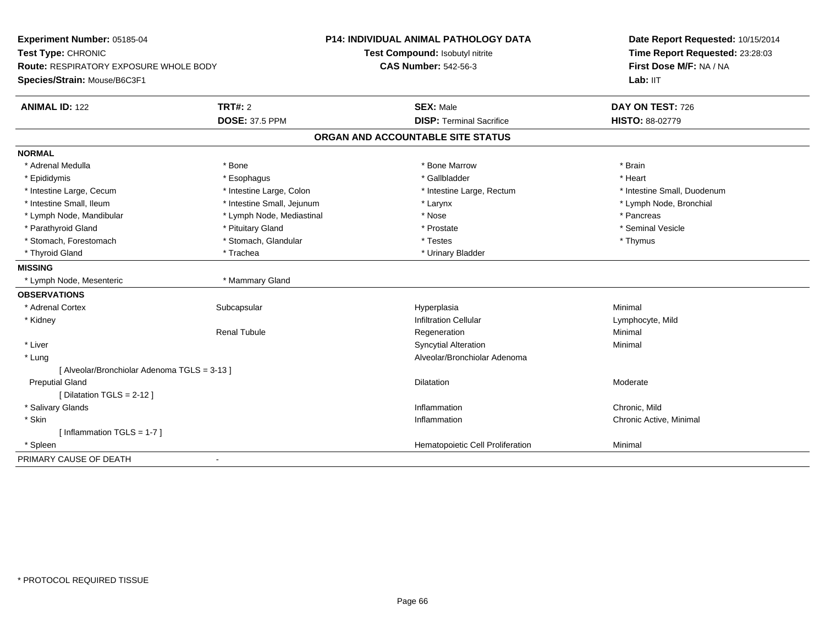| Experiment Number: 05185-04<br>Test Type: CHRONIC |                            | P14: INDIVIDUAL ANIMAL PATHOLOGY DATA<br>Test Compound: Isobutyl nitrite | Date Report Requested: 10/15/2014<br>Time Report Requested: 23:28:03 |  |
|---------------------------------------------------|----------------------------|--------------------------------------------------------------------------|----------------------------------------------------------------------|--|
| <b>Route: RESPIRATORY EXPOSURE WHOLE BODY</b>     |                            | <b>CAS Number: 542-56-3</b>                                              | First Dose M/F: NA / NA                                              |  |
| Species/Strain: Mouse/B6C3F1                      |                            |                                                                          | Lab: IIT                                                             |  |
| <b>ANIMAL ID: 122</b>                             | TRT#: 2                    | <b>SEX: Male</b>                                                         | DAY ON TEST: 726                                                     |  |
|                                                   | <b>DOSE: 37.5 PPM</b>      | <b>DISP: Terminal Sacrifice</b>                                          | HISTO: 88-02779                                                      |  |
|                                                   |                            | ORGAN AND ACCOUNTABLE SITE STATUS                                        |                                                                      |  |
| <b>NORMAL</b>                                     |                            |                                                                          |                                                                      |  |
| * Adrenal Medulla                                 | * Bone                     | * Bone Marrow                                                            | * Brain                                                              |  |
| * Epididymis                                      | * Esophagus                | * Gallbladder                                                            | * Heart                                                              |  |
| * Intestine Large, Cecum                          | * Intestine Large, Colon   | * Intestine Large, Rectum                                                | * Intestine Small, Duodenum                                          |  |
| * Intestine Small, Ileum                          | * Intestine Small, Jejunum | * Larynx                                                                 | * Lymph Node, Bronchial                                              |  |
| * Lymph Node, Mandibular                          | * Lymph Node, Mediastinal  | * Nose                                                                   | * Pancreas                                                           |  |
| * Parathyroid Gland                               | * Pituitary Gland          | * Prostate                                                               | * Seminal Vesicle                                                    |  |
| * Stomach, Forestomach                            | * Stomach, Glandular       | * Testes                                                                 | * Thymus                                                             |  |
| * Thyroid Gland                                   | * Trachea                  | * Urinary Bladder                                                        |                                                                      |  |
| <b>MISSING</b>                                    |                            |                                                                          |                                                                      |  |
| * Lymph Node, Mesenteric                          | * Mammary Gland            |                                                                          |                                                                      |  |
| <b>OBSERVATIONS</b>                               |                            |                                                                          |                                                                      |  |
| * Adrenal Cortex                                  | Subcapsular                | Hyperplasia                                                              | Minimal                                                              |  |
| * Kidney                                          |                            | <b>Infiltration Cellular</b>                                             | Lymphocyte, Mild                                                     |  |
|                                                   | <b>Renal Tubule</b>        | Regeneration                                                             | Minimal                                                              |  |
| * Liver                                           |                            | <b>Syncytial Alteration</b>                                              | Minimal                                                              |  |
| * Lung                                            |                            | Alveolar/Bronchiolar Adenoma                                             |                                                                      |  |
| [ Alveolar/Bronchiolar Adenoma TGLS = 3-13 ]      |                            |                                                                          |                                                                      |  |
| <b>Preputial Gland</b>                            |                            | Dilatation                                                               | Moderate                                                             |  |
| [Dilatation TGLS = 2-12]                          |                            |                                                                          |                                                                      |  |
| * Salivary Glands                                 |                            | Inflammation                                                             | Chronic. Mild                                                        |  |
| * Skin                                            |                            | Inflammation                                                             | Chronic Active, Minimal                                              |  |
| [Inflammation TGLS = $1-7$ ]                      |                            |                                                                          |                                                                      |  |
| * Spleen                                          |                            | Hematopoietic Cell Proliferation                                         | Minimal                                                              |  |
| PRIMARY CAUSE OF DEATH                            | $\blacksquare$             |                                                                          |                                                                      |  |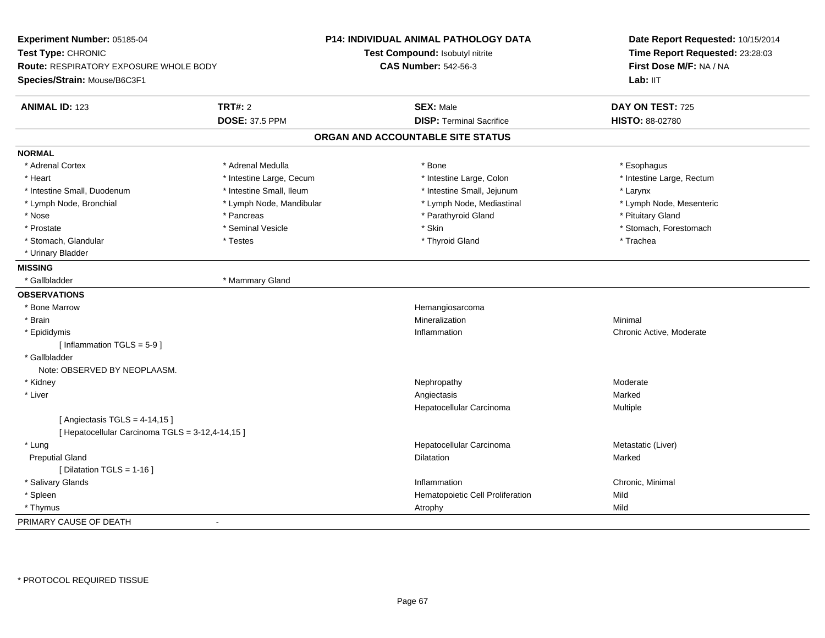| Experiment Number: 05185-04<br>Test Type: CHRONIC<br><b>Route: RESPIRATORY EXPOSURE WHOLE BODY</b><br>Species/Strain: Mouse/B6C3F1 |                          | P14: INDIVIDUAL ANIMAL PATHOLOGY DATA<br>Test Compound: Isobutyl nitrite<br><b>CAS Number: 542-56-3</b> | Date Report Requested: 10/15/2014<br>Time Report Requested: 23:28:03<br>First Dose M/F: NA / NA<br>Lab: IIT |
|------------------------------------------------------------------------------------------------------------------------------------|--------------------------|---------------------------------------------------------------------------------------------------------|-------------------------------------------------------------------------------------------------------------|
| <b>ANIMAL ID: 123</b>                                                                                                              | <b>TRT#: 2</b>           | <b>SEX: Male</b>                                                                                        | DAY ON TEST: 725                                                                                            |
|                                                                                                                                    | <b>DOSE: 37.5 PPM</b>    | <b>DISP: Terminal Sacrifice</b>                                                                         | HISTO: 88-02780                                                                                             |
|                                                                                                                                    |                          | ORGAN AND ACCOUNTABLE SITE STATUS                                                                       |                                                                                                             |
| <b>NORMAL</b>                                                                                                                      |                          |                                                                                                         |                                                                                                             |
| * Adrenal Cortex                                                                                                                   | * Adrenal Medulla        | * Bone                                                                                                  | * Esophagus                                                                                                 |
| * Heart                                                                                                                            | * Intestine Large, Cecum | * Intestine Large, Colon                                                                                | * Intestine Large, Rectum                                                                                   |
| * Intestine Small, Duodenum                                                                                                        | * Intestine Small, Ileum | * Intestine Small, Jejunum                                                                              | * Larynx                                                                                                    |
| * Lymph Node, Bronchial                                                                                                            | * Lymph Node, Mandibular | * Lymph Node, Mediastinal                                                                               | * Lymph Node, Mesenteric                                                                                    |
| * Nose                                                                                                                             | * Pancreas               | * Parathyroid Gland                                                                                     | * Pituitary Gland                                                                                           |
| * Prostate                                                                                                                         | * Seminal Vesicle        | * Skin                                                                                                  | * Stomach, Forestomach                                                                                      |
| * Stomach, Glandular                                                                                                               | * Testes                 | * Thyroid Gland                                                                                         | * Trachea                                                                                                   |
| * Urinary Bladder                                                                                                                  |                          |                                                                                                         |                                                                                                             |
| <b>MISSING</b>                                                                                                                     |                          |                                                                                                         |                                                                                                             |
| * Gallbladder                                                                                                                      | * Mammary Gland          |                                                                                                         |                                                                                                             |
| <b>OBSERVATIONS</b>                                                                                                                |                          |                                                                                                         |                                                                                                             |
| * Bone Marrow                                                                                                                      |                          | Hemangiosarcoma                                                                                         |                                                                                                             |
| * Brain                                                                                                                            |                          | Mineralization                                                                                          | Minimal                                                                                                     |
| * Epididymis                                                                                                                       |                          | Inflammation                                                                                            | Chronic Active, Moderate                                                                                    |
| [Inflammation $TGLS = 5-9$ ]                                                                                                       |                          |                                                                                                         |                                                                                                             |
| * Gallbladder                                                                                                                      |                          |                                                                                                         |                                                                                                             |
| Note: OBSERVED BY NEOPLAASM.                                                                                                       |                          |                                                                                                         |                                                                                                             |
| * Kidney                                                                                                                           |                          | Nephropathy                                                                                             | Moderate                                                                                                    |
| * Liver                                                                                                                            |                          | Angiectasis                                                                                             | Marked                                                                                                      |
|                                                                                                                                    |                          | Hepatocellular Carcinoma                                                                                | Multiple                                                                                                    |
| [ Angiectasis TGLS = $4-14,15$ ]                                                                                                   |                          |                                                                                                         |                                                                                                             |
| [ Hepatocellular Carcinoma TGLS = 3-12,4-14,15 ]                                                                                   |                          |                                                                                                         |                                                                                                             |
| * Lung                                                                                                                             |                          | Hepatocellular Carcinoma                                                                                | Metastatic (Liver)                                                                                          |
| <b>Preputial Gland</b>                                                                                                             |                          | Dilatation                                                                                              | Marked                                                                                                      |
| [Dilatation TGLS = 1-16]                                                                                                           |                          |                                                                                                         |                                                                                                             |
| * Salivary Glands                                                                                                                  |                          | Inflammation                                                                                            | Chronic, Minimal                                                                                            |
| * Spleen                                                                                                                           |                          | Hematopoietic Cell Proliferation                                                                        | Mild                                                                                                        |
| * Thymus                                                                                                                           |                          | Atrophy                                                                                                 | Mild                                                                                                        |
| PRIMARY CAUSE OF DEATH                                                                                                             | $\blacksquare$           |                                                                                                         |                                                                                                             |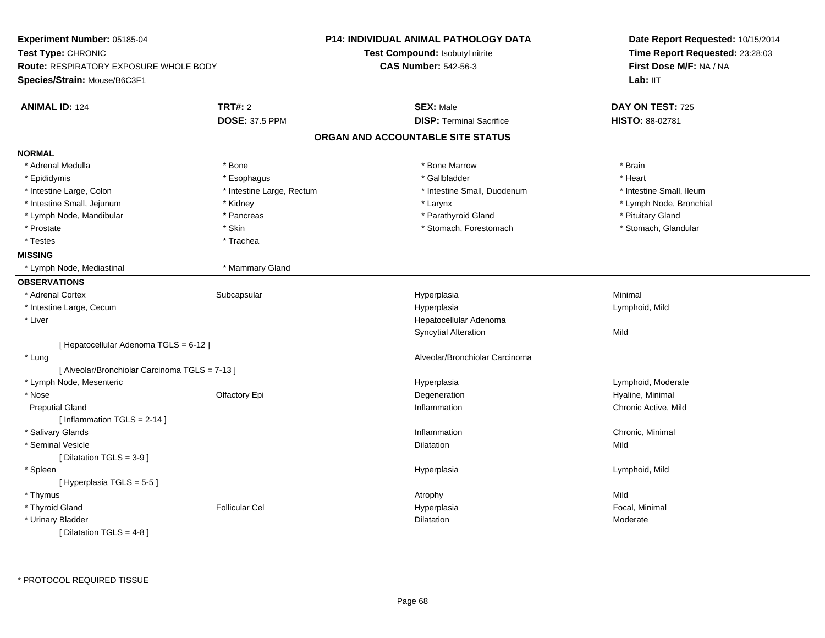| Experiment Number: 05185-04<br>Test Type: CHRONIC |                           | <b>P14: INDIVIDUAL ANIMAL PATHOLOGY DATA</b><br>Test Compound: Isobutyl nitrite | Date Report Requested: 10/15/2014<br>Time Report Requested: 23:28:03 |
|---------------------------------------------------|---------------------------|---------------------------------------------------------------------------------|----------------------------------------------------------------------|
| <b>Route: RESPIRATORY EXPOSURE WHOLE BODY</b>     |                           | <b>CAS Number: 542-56-3</b>                                                     | First Dose M/F: NA / NA                                              |
| Species/Strain: Mouse/B6C3F1                      |                           |                                                                                 | Lab: IIT                                                             |
| <b>ANIMAL ID: 124</b>                             | <b>TRT#: 2</b>            | <b>SEX: Male</b>                                                                | DAY ON TEST: 725                                                     |
|                                                   | <b>DOSE: 37.5 PPM</b>     | <b>DISP: Terminal Sacrifice</b>                                                 | HISTO: 88-02781                                                      |
|                                                   |                           | ORGAN AND ACCOUNTABLE SITE STATUS                                               |                                                                      |
| <b>NORMAL</b>                                     |                           |                                                                                 |                                                                      |
| * Adrenal Medulla                                 | * Bone                    | * Bone Marrow                                                                   | * Brain                                                              |
| * Epididymis                                      | * Esophagus               | * Gallbladder                                                                   | * Heart                                                              |
| * Intestine Large, Colon                          | * Intestine Large, Rectum | * Intestine Small, Duodenum                                                     | * Intestine Small, Ileum                                             |
| * Intestine Small, Jejunum                        | * Kidney                  | * Larynx                                                                        | * Lymph Node, Bronchial                                              |
| * Lymph Node, Mandibular                          | * Pancreas                | * Parathyroid Gland                                                             | * Pituitary Gland                                                    |
| * Prostate                                        | * Skin                    | * Stomach, Forestomach                                                          | * Stomach, Glandular                                                 |
| * Testes                                          | * Trachea                 |                                                                                 |                                                                      |
| <b>MISSING</b>                                    |                           |                                                                                 |                                                                      |
| * Lymph Node, Mediastinal                         | * Mammary Gland           |                                                                                 |                                                                      |
| <b>OBSERVATIONS</b>                               |                           |                                                                                 |                                                                      |
| * Adrenal Cortex                                  | Subcapsular               | Hyperplasia                                                                     | Minimal                                                              |
| * Intestine Large, Cecum                          |                           | Hyperplasia                                                                     | Lymphoid, Mild                                                       |
| * Liver                                           |                           | Hepatocellular Adenoma                                                          |                                                                      |
|                                                   |                           | <b>Syncytial Alteration</b>                                                     | Mild                                                                 |
| [ Hepatocellular Adenoma TGLS = 6-12 ]            |                           |                                                                                 |                                                                      |
| * Lung                                            |                           | Alveolar/Bronchiolar Carcinoma                                                  |                                                                      |
| [ Alveolar/Bronchiolar Carcinoma TGLS = 7-13 ]    |                           |                                                                                 |                                                                      |
| * Lymph Node, Mesenteric                          |                           | Hyperplasia                                                                     | Lymphoid, Moderate                                                   |
| * Nose                                            | Olfactory Epi             | Degeneration                                                                    | Hyaline, Minimal                                                     |
| <b>Preputial Gland</b>                            |                           | Inflammation                                                                    | Chronic Active, Mild                                                 |
| [Inflammation TGLS = 2-14]                        |                           |                                                                                 |                                                                      |
| * Salivary Glands                                 |                           | Inflammation                                                                    | Chronic, Minimal                                                     |
| * Seminal Vesicle                                 |                           | Dilatation                                                                      | Mild                                                                 |
| [ Dilatation TGLS = $3-9$ ]                       |                           |                                                                                 |                                                                      |
| * Spleen                                          |                           | Hyperplasia                                                                     | Lymphoid, Mild                                                       |
| [Hyperplasia TGLS = $5-5$ ]                       |                           |                                                                                 |                                                                      |
| * Thymus                                          |                           | Atrophy                                                                         | Mild                                                                 |
| * Thyroid Gland                                   | <b>Follicular Cel</b>     | Hyperplasia                                                                     | Focal, Minimal                                                       |
| * Urinary Bladder                                 |                           | Dilatation                                                                      | Moderate                                                             |
| [ Dilatation TGLS = 4-8 ]                         |                           |                                                                                 |                                                                      |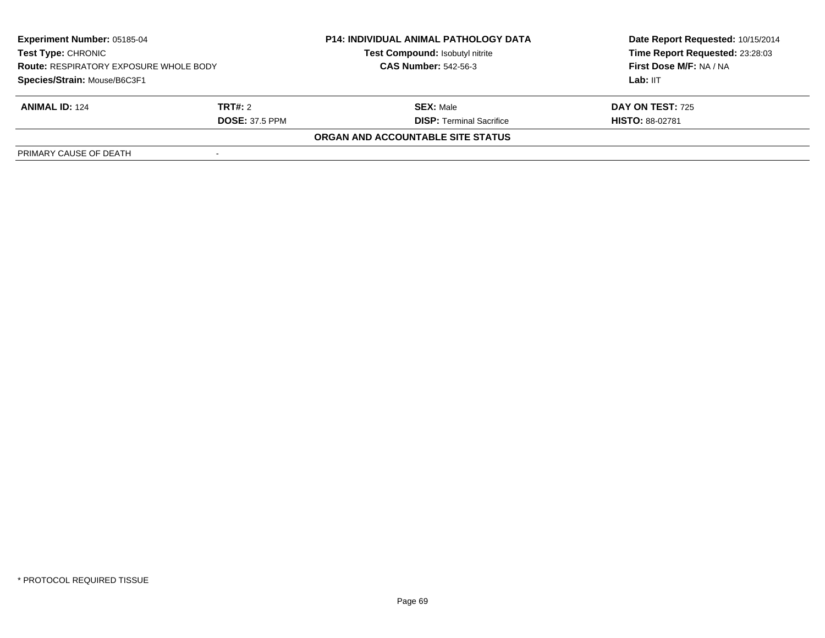| <b>Experiment Number: 05185-04</b><br><b>Test Type: CHRONIC</b><br><b>Route: RESPIRATORY EXPOSURE WHOLE BODY</b> |                       | <b>P14: INDIVIDUAL ANIMAL PATHOLOGY DATA</b><br>Test Compound: Isobutyl nitrite | Date Report Requested: 10/15/2014<br>Time Report Requested: 23:28:03 |
|------------------------------------------------------------------------------------------------------------------|-----------------------|---------------------------------------------------------------------------------|----------------------------------------------------------------------|
|                                                                                                                  |                       | <b>CAS Number: 542-56-3</b>                                                     | First Dose M/F: NA / NA                                              |
| Species/Strain: Mouse/B6C3F1                                                                                     |                       |                                                                                 | Lab: IIT                                                             |
| <b>ANIMAL ID: 124</b>                                                                                            | TRT#: 2               | <b>SEX: Male</b>                                                                | <b>DAY ON TEST: 725</b>                                              |
|                                                                                                                  | <b>DOSE: 37.5 PPM</b> | <b>DISP: Terminal Sacrifice</b>                                                 | <b>HISTO: 88-02781</b>                                               |
|                                                                                                                  |                       | <b>ORGAN AND ACCOUNTABLE SITE STATUS</b>                                        |                                                                      |
| PRIMARY CAUSE OF DEATH                                                                                           |                       |                                                                                 |                                                                      |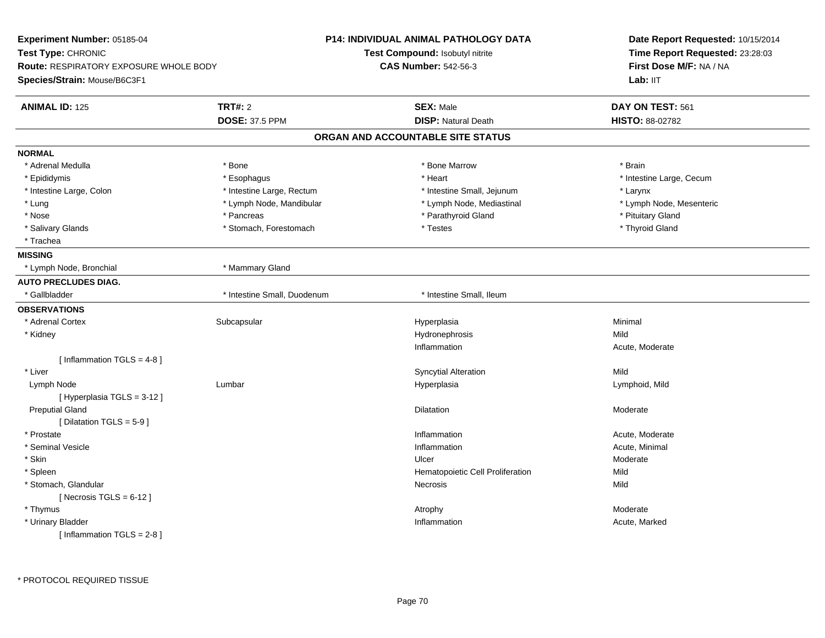| Experiment Number: 05185-04            |                             | <b>P14: INDIVIDUAL ANIMAL PATHOLOGY DATA</b> | Date Report Requested: 10/15/2014                          |
|----------------------------------------|-----------------------------|----------------------------------------------|------------------------------------------------------------|
| Test Type: CHRONIC                     |                             | Test Compound: Isobutyl nitrite              | Time Report Requested: 23:28:03<br>First Dose M/F: NA / NA |
| Route: RESPIRATORY EXPOSURE WHOLE BODY |                             | <b>CAS Number: 542-56-3</b>                  |                                                            |
| Species/Strain: Mouse/B6C3F1           |                             |                                              | Lab: IIT                                                   |
| <b>ANIMAL ID: 125</b>                  | <b>TRT#: 2</b>              | <b>SEX: Male</b>                             | DAY ON TEST: 561                                           |
|                                        | <b>DOSE: 37.5 PPM</b>       | <b>DISP: Natural Death</b>                   | <b>HISTO: 88-02782</b>                                     |
|                                        |                             | ORGAN AND ACCOUNTABLE SITE STATUS            |                                                            |
| <b>NORMAL</b>                          |                             |                                              |                                                            |
| * Adrenal Medulla                      | * Bone                      | * Bone Marrow                                | * Brain                                                    |
| * Epididymis                           | * Esophagus                 | * Heart                                      | * Intestine Large, Cecum                                   |
| * Intestine Large, Colon               | * Intestine Large, Rectum   | * Intestine Small, Jejunum                   | * Larynx                                                   |
| * Lung                                 | * Lymph Node, Mandibular    | * Lymph Node, Mediastinal                    | * Lymph Node, Mesenteric                                   |
| * Nose                                 | * Pancreas                  | * Parathyroid Gland                          | * Pituitary Gland                                          |
| * Salivary Glands                      | * Stomach, Forestomach      | * Testes                                     | * Thyroid Gland                                            |
| * Trachea                              |                             |                                              |                                                            |
| <b>MISSING</b>                         |                             |                                              |                                                            |
| * Lymph Node, Bronchial                | * Mammary Gland             |                                              |                                                            |
| <b>AUTO PRECLUDES DIAG.</b>            |                             |                                              |                                                            |
| * Gallbladder                          | * Intestine Small, Duodenum | * Intestine Small, Ileum                     |                                                            |
| <b>OBSERVATIONS</b>                    |                             |                                              |                                                            |
| * Adrenal Cortex                       | Subcapsular                 | Hyperplasia                                  | Minimal                                                    |
| * Kidney                               |                             | Hydronephrosis                               | Mild                                                       |
|                                        |                             | Inflammation                                 | Acute, Moderate                                            |
| [Inflammation TGLS = $4-8$ ]           |                             |                                              |                                                            |
| * Liver                                |                             | <b>Syncytial Alteration</b>                  | Mild                                                       |
| Lymph Node                             | Lumbar                      | Hyperplasia                                  | Lymphoid, Mild                                             |
| [ Hyperplasia TGLS = 3-12 ]            |                             |                                              |                                                            |
| <b>Preputial Gland</b>                 |                             | Dilatation                                   | Moderate                                                   |
| [ Dilatation TGLS = 5-9 ]              |                             |                                              |                                                            |
| * Prostate                             |                             | Inflammation                                 | Acute, Moderate                                            |
| * Seminal Vesicle                      |                             | Inflammation                                 | Acute, Minimal                                             |
| * Skin                                 |                             | Ulcer                                        | Moderate                                                   |
| * Spleen                               |                             | Hematopoietic Cell Proliferation             | Mild                                                       |
| * Stomach, Glandular                   |                             | Necrosis                                     | Mild                                                       |
| [Necrosis TGLS = $6-12$ ]              |                             |                                              |                                                            |
| * Thymus                               |                             | Atrophy                                      | Moderate                                                   |
| * Urinary Bladder                      |                             | Inflammation                                 | Acute, Marked                                              |
| [Inflammation TGLS = $2-8$ ]           |                             |                                              |                                                            |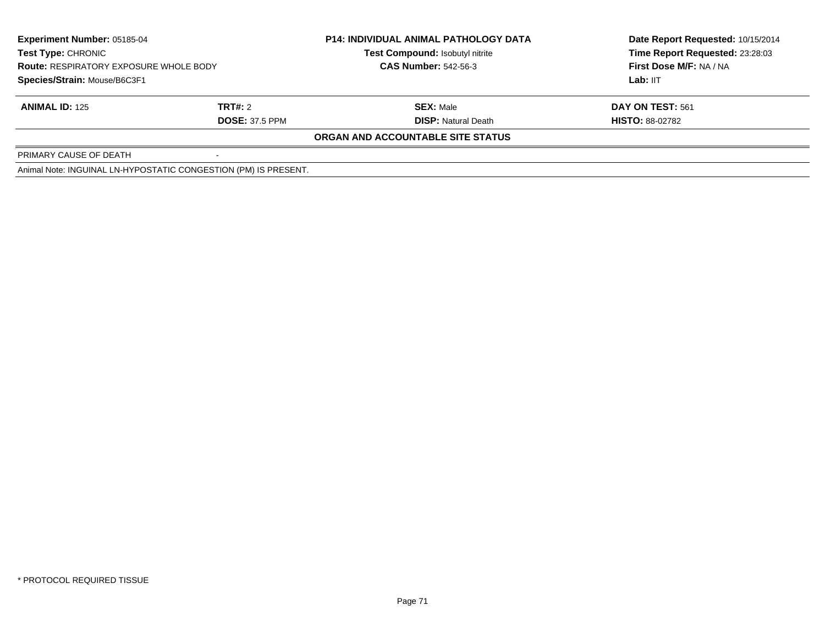| <b>Experiment Number: 05185-04</b><br>Test Type: CHRONIC<br><b>Route: RESPIRATORY EXPOSURE WHOLE BODY</b> |                                                                 | <b>P14: INDIVIDUAL ANIMAL PATHOLOGY DATA</b> | Date Report Requested: 10/15/2014 |  |
|-----------------------------------------------------------------------------------------------------------|-----------------------------------------------------------------|----------------------------------------------|-----------------------------------|--|
|                                                                                                           |                                                                 | Test Compound: Isobutyl nitrite              | Time Report Requested: 23:28:03   |  |
|                                                                                                           |                                                                 | <b>CAS Number: 542-56-3</b>                  | First Dose M/F: NA / NA           |  |
| Species/Strain: Mouse/B6C3F1                                                                              |                                                                 |                                              | Lab: IIT                          |  |
| <b>ANIMAL ID: 125</b>                                                                                     | TRT#: 2                                                         | <b>SEX: Male</b>                             | <b>DAY ON TEST: 561</b>           |  |
|                                                                                                           | <b>DOSE: 37.5 PPM</b>                                           | <b>DISP:</b> Natural Death                   | <b>HISTO: 88-02782</b>            |  |
|                                                                                                           |                                                                 | <b>ORGAN AND ACCOUNTABLE SITE STATUS</b>     |                                   |  |
| PRIMARY CAUSE OF DEATH                                                                                    |                                                                 |                                              |                                   |  |
|                                                                                                           | Animal Note: INGUINAL LN-HYPOSTATIC CONGESTION (PM) IS PRESENT. |                                              |                                   |  |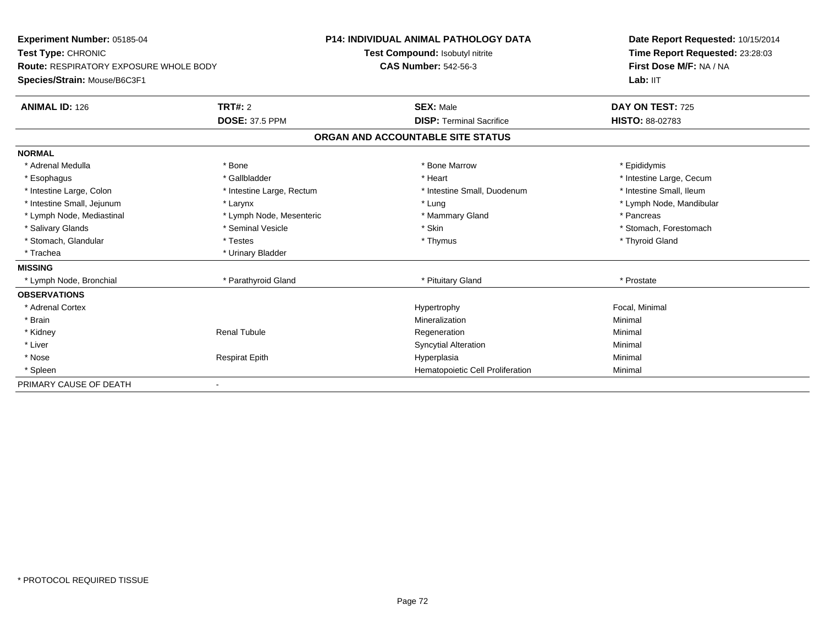| Experiment Number: 05185-04                   |                           | <b>P14: INDIVIDUAL ANIMAL PATHOLOGY DATA</b> | Date Report Requested: 10/15/2014 |
|-----------------------------------------------|---------------------------|----------------------------------------------|-----------------------------------|
| Test Type: CHRONIC                            |                           | Test Compound: Isobutyl nitrite              | Time Report Requested: 23:28:03   |
| <b>Route: RESPIRATORY EXPOSURE WHOLE BODY</b> |                           | <b>CAS Number: 542-56-3</b>                  | First Dose M/F: NA / NA           |
| Species/Strain: Mouse/B6C3F1                  |                           |                                              | Lab: IIT                          |
| <b>ANIMAL ID: 126</b>                         | <b>TRT#: 2</b>            | <b>SEX: Male</b>                             | DAY ON TEST: 725                  |
|                                               | <b>DOSE: 37.5 PPM</b>     | <b>DISP: Terminal Sacrifice</b>              | <b>HISTO: 88-02783</b>            |
|                                               |                           | ORGAN AND ACCOUNTABLE SITE STATUS            |                                   |
| <b>NORMAL</b>                                 |                           |                                              |                                   |
| * Adrenal Medulla                             | * Bone                    | * Bone Marrow                                | * Epididymis                      |
| * Esophagus                                   | * Gallbladder             | * Heart                                      | * Intestine Large, Cecum          |
| * Intestine Large, Colon                      | * Intestine Large, Rectum | * Intestine Small, Duodenum                  | * Intestine Small, Ileum          |
| * Intestine Small, Jejunum                    | * Larynx                  | * Lung                                       | * Lymph Node, Mandibular          |
| * Lymph Node, Mediastinal                     | * Lymph Node, Mesenteric  | * Mammary Gland                              | * Pancreas                        |
| * Salivary Glands                             | * Seminal Vesicle         | * Skin                                       | * Stomach. Forestomach            |
| * Stomach, Glandular                          | * Testes                  | * Thymus                                     | * Thyroid Gland                   |
| * Trachea                                     | * Urinary Bladder         |                                              |                                   |
| <b>MISSING</b>                                |                           |                                              |                                   |
| * Lymph Node, Bronchial                       | * Parathyroid Gland       | * Pituitary Gland                            | * Prostate                        |
| <b>OBSERVATIONS</b>                           |                           |                                              |                                   |
| * Adrenal Cortex                              |                           | Hypertrophy                                  | Focal, Minimal                    |
| * Brain                                       |                           | Mineralization                               | Minimal                           |
| * Kidney                                      | <b>Renal Tubule</b>       | Regeneration                                 | Minimal                           |
| * Liver                                       |                           | <b>Syncytial Alteration</b>                  | Minimal                           |
| * Nose                                        | <b>Respirat Epith</b>     | Hyperplasia                                  | Minimal                           |
| * Spleen                                      |                           | Hematopoietic Cell Proliferation             | Minimal                           |
| PRIMARY CAUSE OF DEATH                        |                           |                                              |                                   |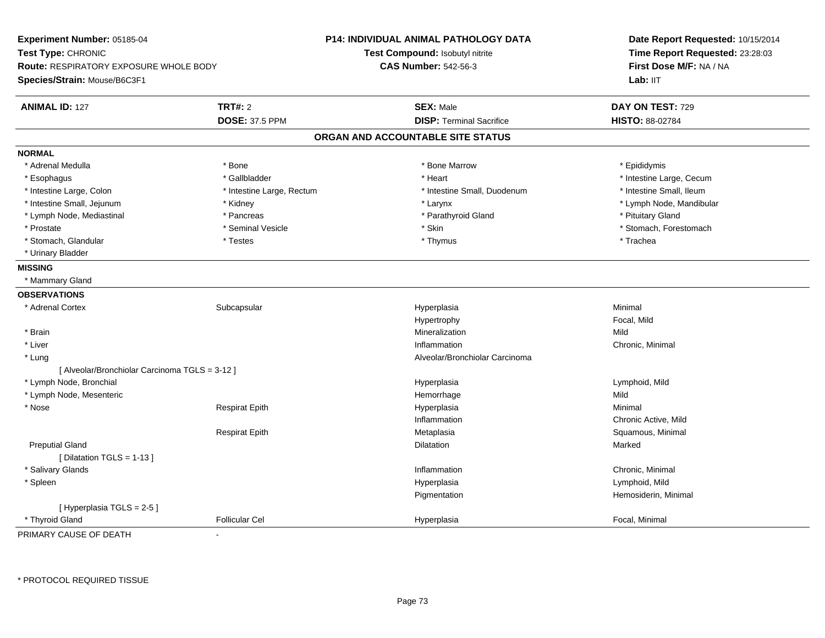| <b>TRT#: 2</b><br><b>ANIMAL ID: 127</b><br><b>SEX: Male</b><br>DAY ON TEST: 729<br><b>DOSE: 37.5 PPM</b><br><b>DISP: Terminal Sacrifice</b><br><b>HISTO: 88-02784</b><br>ORGAN AND ACCOUNTABLE SITE STATUS<br><b>NORMAL</b><br>* Adrenal Medulla<br>* Bone Marrow<br>* Epididymis<br>* Bone<br>* Gallbladder<br>* Intestine Large, Cecum<br>* Esophagus<br>* Heart<br>* Intestine Small, Ileum<br>* Intestine Large, Colon<br>* Intestine Small, Duodenum<br>* Intestine Large, Rectum<br>* Intestine Small, Jejunum<br>* Larynx<br>* Lymph Node, Mandibular<br>* Kidney<br>* Parathyroid Gland<br>* Pituitary Gland<br>* Lymph Node, Mediastinal<br>* Pancreas<br>* Prostate<br>* Seminal Vesicle<br>* Skin<br>* Stomach, Forestomach<br>* Stomach, Glandular<br>* Thymus<br>* Trachea<br>* Testes<br>* Urinary Bladder<br><b>MISSING</b><br>* Mammary Gland<br><b>OBSERVATIONS</b><br>* Adrenal Cortex<br>Subcapsular<br>Minimal<br>Hyperplasia<br>Focal, Mild<br>Hypertrophy<br>Mineralization<br>Mild<br>* Brain<br>* Liver<br>Inflammation<br>Chronic, Minimal<br>* Lung<br>Alveolar/Bronchiolar Carcinoma<br>[ Alveolar/Bronchiolar Carcinoma TGLS = 3-12 ]<br>* Lymph Node, Bronchial<br>Lymphoid, Mild<br>Hyperplasia<br>* Lymph Node, Mesenteric<br>Hemorrhage<br>Mild<br>* Nose<br><b>Respirat Epith</b><br>Hyperplasia<br>Minimal<br>Inflammation<br>Chronic Active, Mild<br><b>Respirat Epith</b><br>Metaplasia<br>Squamous, Minimal<br><b>Preputial Gland</b><br>Dilatation<br>Marked<br>[ Dilatation TGLS = 1-13 ]<br>* Salivary Glands<br>Chronic, Minimal<br>Inflammation<br>* Spleen<br>Hyperplasia<br>Lymphoid, Mild<br>Hemosiderin, Minimal<br>Pigmentation | Experiment Number: 05185-04<br>Test Type: CHRONIC<br><b>Route: RESPIRATORY EXPOSURE WHOLE BODY</b><br>Species/Strain: Mouse/B6C3F1 |  | <b>P14: INDIVIDUAL ANIMAL PATHOLOGY DATA</b><br>Test Compound: Isobutyl nitrite<br><b>CAS Number: 542-56-3</b> | Date Report Requested: 10/15/2014<br>Time Report Requested: 23:28:03<br>First Dose M/F: NA / NA<br>Lab: IIT |
|--------------------------------------------------------------------------------------------------------------------------------------------------------------------------------------------------------------------------------------------------------------------------------------------------------------------------------------------------------------------------------------------------------------------------------------------------------------------------------------------------------------------------------------------------------------------------------------------------------------------------------------------------------------------------------------------------------------------------------------------------------------------------------------------------------------------------------------------------------------------------------------------------------------------------------------------------------------------------------------------------------------------------------------------------------------------------------------------------------------------------------------------------------------------------------------------------------------------------------------------------------------------------------------------------------------------------------------------------------------------------------------------------------------------------------------------------------------------------------------------------------------------------------------------------------------------------------------------------------------------------------------------------------------------------------|------------------------------------------------------------------------------------------------------------------------------------|--|----------------------------------------------------------------------------------------------------------------|-------------------------------------------------------------------------------------------------------------|
|                                                                                                                                                                                                                                                                                                                                                                                                                                                                                                                                                                                                                                                                                                                                                                                                                                                                                                                                                                                                                                                                                                                                                                                                                                                                                                                                                                                                                                                                                                                                                                                                                                                                                |                                                                                                                                    |  |                                                                                                                |                                                                                                             |
|                                                                                                                                                                                                                                                                                                                                                                                                                                                                                                                                                                                                                                                                                                                                                                                                                                                                                                                                                                                                                                                                                                                                                                                                                                                                                                                                                                                                                                                                                                                                                                                                                                                                                |                                                                                                                                    |  |                                                                                                                |                                                                                                             |
|                                                                                                                                                                                                                                                                                                                                                                                                                                                                                                                                                                                                                                                                                                                                                                                                                                                                                                                                                                                                                                                                                                                                                                                                                                                                                                                                                                                                                                                                                                                                                                                                                                                                                |                                                                                                                                    |  |                                                                                                                |                                                                                                             |
|                                                                                                                                                                                                                                                                                                                                                                                                                                                                                                                                                                                                                                                                                                                                                                                                                                                                                                                                                                                                                                                                                                                                                                                                                                                                                                                                                                                                                                                                                                                                                                                                                                                                                |                                                                                                                                    |  |                                                                                                                |                                                                                                             |
|                                                                                                                                                                                                                                                                                                                                                                                                                                                                                                                                                                                                                                                                                                                                                                                                                                                                                                                                                                                                                                                                                                                                                                                                                                                                                                                                                                                                                                                                                                                                                                                                                                                                                |                                                                                                                                    |  |                                                                                                                |                                                                                                             |
|                                                                                                                                                                                                                                                                                                                                                                                                                                                                                                                                                                                                                                                                                                                                                                                                                                                                                                                                                                                                                                                                                                                                                                                                                                                                                                                                                                                                                                                                                                                                                                                                                                                                                |                                                                                                                                    |  |                                                                                                                |                                                                                                             |
|                                                                                                                                                                                                                                                                                                                                                                                                                                                                                                                                                                                                                                                                                                                                                                                                                                                                                                                                                                                                                                                                                                                                                                                                                                                                                                                                                                                                                                                                                                                                                                                                                                                                                |                                                                                                                                    |  |                                                                                                                |                                                                                                             |
|                                                                                                                                                                                                                                                                                                                                                                                                                                                                                                                                                                                                                                                                                                                                                                                                                                                                                                                                                                                                                                                                                                                                                                                                                                                                                                                                                                                                                                                                                                                                                                                                                                                                                |                                                                                                                                    |  |                                                                                                                |                                                                                                             |
|                                                                                                                                                                                                                                                                                                                                                                                                                                                                                                                                                                                                                                                                                                                                                                                                                                                                                                                                                                                                                                                                                                                                                                                                                                                                                                                                                                                                                                                                                                                                                                                                                                                                                |                                                                                                                                    |  |                                                                                                                |                                                                                                             |
|                                                                                                                                                                                                                                                                                                                                                                                                                                                                                                                                                                                                                                                                                                                                                                                                                                                                                                                                                                                                                                                                                                                                                                                                                                                                                                                                                                                                                                                                                                                                                                                                                                                                                |                                                                                                                                    |  |                                                                                                                |                                                                                                             |
|                                                                                                                                                                                                                                                                                                                                                                                                                                                                                                                                                                                                                                                                                                                                                                                                                                                                                                                                                                                                                                                                                                                                                                                                                                                                                                                                                                                                                                                                                                                                                                                                                                                                                |                                                                                                                                    |  |                                                                                                                |                                                                                                             |
|                                                                                                                                                                                                                                                                                                                                                                                                                                                                                                                                                                                                                                                                                                                                                                                                                                                                                                                                                                                                                                                                                                                                                                                                                                                                                                                                                                                                                                                                                                                                                                                                                                                                                |                                                                                                                                    |  |                                                                                                                |                                                                                                             |
|                                                                                                                                                                                                                                                                                                                                                                                                                                                                                                                                                                                                                                                                                                                                                                                                                                                                                                                                                                                                                                                                                                                                                                                                                                                                                                                                                                                                                                                                                                                                                                                                                                                                                |                                                                                                                                    |  |                                                                                                                |                                                                                                             |
|                                                                                                                                                                                                                                                                                                                                                                                                                                                                                                                                                                                                                                                                                                                                                                                                                                                                                                                                                                                                                                                                                                                                                                                                                                                                                                                                                                                                                                                                                                                                                                                                                                                                                |                                                                                                                                    |  |                                                                                                                |                                                                                                             |
|                                                                                                                                                                                                                                                                                                                                                                                                                                                                                                                                                                                                                                                                                                                                                                                                                                                                                                                                                                                                                                                                                                                                                                                                                                                                                                                                                                                                                                                                                                                                                                                                                                                                                |                                                                                                                                    |  |                                                                                                                |                                                                                                             |
|                                                                                                                                                                                                                                                                                                                                                                                                                                                                                                                                                                                                                                                                                                                                                                                                                                                                                                                                                                                                                                                                                                                                                                                                                                                                                                                                                                                                                                                                                                                                                                                                                                                                                |                                                                                                                                    |  |                                                                                                                |                                                                                                             |
|                                                                                                                                                                                                                                                                                                                                                                                                                                                                                                                                                                                                                                                                                                                                                                                                                                                                                                                                                                                                                                                                                                                                                                                                                                                                                                                                                                                                                                                                                                                                                                                                                                                                                |                                                                                                                                    |  |                                                                                                                |                                                                                                             |
|                                                                                                                                                                                                                                                                                                                                                                                                                                                                                                                                                                                                                                                                                                                                                                                                                                                                                                                                                                                                                                                                                                                                                                                                                                                                                                                                                                                                                                                                                                                                                                                                                                                                                |                                                                                                                                    |  |                                                                                                                |                                                                                                             |
|                                                                                                                                                                                                                                                                                                                                                                                                                                                                                                                                                                                                                                                                                                                                                                                                                                                                                                                                                                                                                                                                                                                                                                                                                                                                                                                                                                                                                                                                                                                                                                                                                                                                                |                                                                                                                                    |  |                                                                                                                |                                                                                                             |
|                                                                                                                                                                                                                                                                                                                                                                                                                                                                                                                                                                                                                                                                                                                                                                                                                                                                                                                                                                                                                                                                                                                                                                                                                                                                                                                                                                                                                                                                                                                                                                                                                                                                                |                                                                                                                                    |  |                                                                                                                |                                                                                                             |
|                                                                                                                                                                                                                                                                                                                                                                                                                                                                                                                                                                                                                                                                                                                                                                                                                                                                                                                                                                                                                                                                                                                                                                                                                                                                                                                                                                                                                                                                                                                                                                                                                                                                                |                                                                                                                                    |  |                                                                                                                |                                                                                                             |
|                                                                                                                                                                                                                                                                                                                                                                                                                                                                                                                                                                                                                                                                                                                                                                                                                                                                                                                                                                                                                                                                                                                                                                                                                                                                                                                                                                                                                                                                                                                                                                                                                                                                                |                                                                                                                                    |  |                                                                                                                |                                                                                                             |
|                                                                                                                                                                                                                                                                                                                                                                                                                                                                                                                                                                                                                                                                                                                                                                                                                                                                                                                                                                                                                                                                                                                                                                                                                                                                                                                                                                                                                                                                                                                                                                                                                                                                                |                                                                                                                                    |  |                                                                                                                |                                                                                                             |
|                                                                                                                                                                                                                                                                                                                                                                                                                                                                                                                                                                                                                                                                                                                                                                                                                                                                                                                                                                                                                                                                                                                                                                                                                                                                                                                                                                                                                                                                                                                                                                                                                                                                                |                                                                                                                                    |  |                                                                                                                |                                                                                                             |
|                                                                                                                                                                                                                                                                                                                                                                                                                                                                                                                                                                                                                                                                                                                                                                                                                                                                                                                                                                                                                                                                                                                                                                                                                                                                                                                                                                                                                                                                                                                                                                                                                                                                                |                                                                                                                                    |  |                                                                                                                |                                                                                                             |
|                                                                                                                                                                                                                                                                                                                                                                                                                                                                                                                                                                                                                                                                                                                                                                                                                                                                                                                                                                                                                                                                                                                                                                                                                                                                                                                                                                                                                                                                                                                                                                                                                                                                                |                                                                                                                                    |  |                                                                                                                |                                                                                                             |
|                                                                                                                                                                                                                                                                                                                                                                                                                                                                                                                                                                                                                                                                                                                                                                                                                                                                                                                                                                                                                                                                                                                                                                                                                                                                                                                                                                                                                                                                                                                                                                                                                                                                                |                                                                                                                                    |  |                                                                                                                |                                                                                                             |
|                                                                                                                                                                                                                                                                                                                                                                                                                                                                                                                                                                                                                                                                                                                                                                                                                                                                                                                                                                                                                                                                                                                                                                                                                                                                                                                                                                                                                                                                                                                                                                                                                                                                                |                                                                                                                                    |  |                                                                                                                |                                                                                                             |
|                                                                                                                                                                                                                                                                                                                                                                                                                                                                                                                                                                                                                                                                                                                                                                                                                                                                                                                                                                                                                                                                                                                                                                                                                                                                                                                                                                                                                                                                                                                                                                                                                                                                                |                                                                                                                                    |  |                                                                                                                |                                                                                                             |
|                                                                                                                                                                                                                                                                                                                                                                                                                                                                                                                                                                                                                                                                                                                                                                                                                                                                                                                                                                                                                                                                                                                                                                                                                                                                                                                                                                                                                                                                                                                                                                                                                                                                                |                                                                                                                                    |  |                                                                                                                |                                                                                                             |
|                                                                                                                                                                                                                                                                                                                                                                                                                                                                                                                                                                                                                                                                                                                                                                                                                                                                                                                                                                                                                                                                                                                                                                                                                                                                                                                                                                                                                                                                                                                                                                                                                                                                                |                                                                                                                                    |  |                                                                                                                |                                                                                                             |
|                                                                                                                                                                                                                                                                                                                                                                                                                                                                                                                                                                                                                                                                                                                                                                                                                                                                                                                                                                                                                                                                                                                                                                                                                                                                                                                                                                                                                                                                                                                                                                                                                                                                                | [ Hyperplasia TGLS = 2-5 ]                                                                                                         |  |                                                                                                                |                                                                                                             |
| <b>Follicular Cel</b><br>Focal, Minimal<br>* Thyroid Gland<br>Hyperplasia                                                                                                                                                                                                                                                                                                                                                                                                                                                                                                                                                                                                                                                                                                                                                                                                                                                                                                                                                                                                                                                                                                                                                                                                                                                                                                                                                                                                                                                                                                                                                                                                      |                                                                                                                                    |  |                                                                                                                |                                                                                                             |

PRIMARY CAUSE OF DEATH-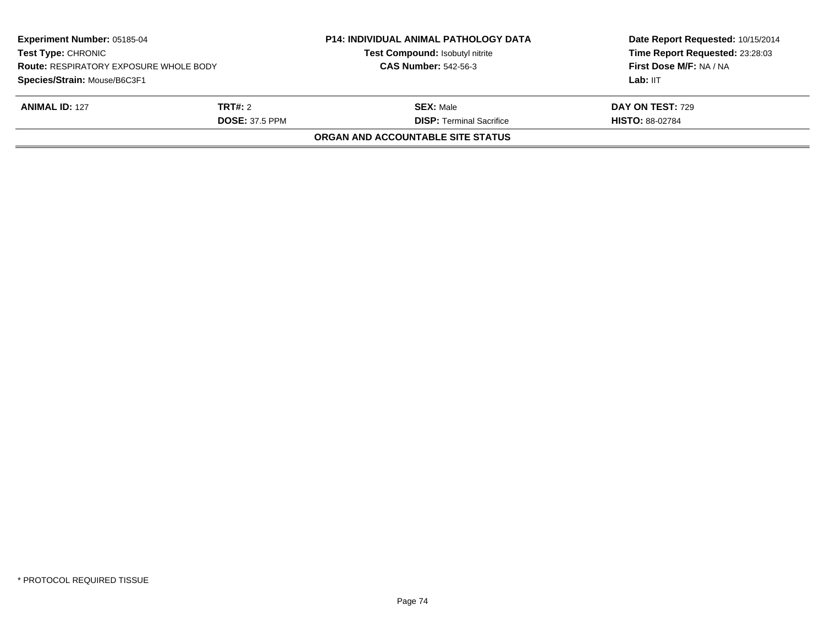| <b>Experiment Number: 05185-04</b><br><b>Test Type: CHRONIC</b><br><b>Route: RESPIRATORY EXPOSURE WHOLE BODY</b><br>Species/Strain: Mouse/B6C3F1 |                                         | <b>P14: INDIVIDUAL ANIMAL PATHOLOGY DATA</b><br>Test Compound: Isobutyl nitrite<br><b>CAS Number: 542-56-3</b> | Date Report Requested: 10/15/2014<br>Time Report Requested: 23:28:03<br>First Dose M/F: NA / NA<br>Lab: IIT |
|--------------------------------------------------------------------------------------------------------------------------------------------------|-----------------------------------------|----------------------------------------------------------------------------------------------------------------|-------------------------------------------------------------------------------------------------------------|
|                                                                                                                                                  |                                         |                                                                                                                |                                                                                                             |
| <b>ANIMAL ID: 127</b>                                                                                                                            | <b>TRT#:</b> 2<br><b>DOSE: 37.5 PPM</b> | <b>SEX: Male</b><br><b>DISP: Terminal Sacrifice</b>                                                            | <b>DAY ON TEST: 729</b><br><b>HISTO: 88-02784</b>                                                           |
|                                                                                                                                                  |                                         | <b>ORGAN AND ACCOUNTABLE SITE STATUS</b>                                                                       |                                                                                                             |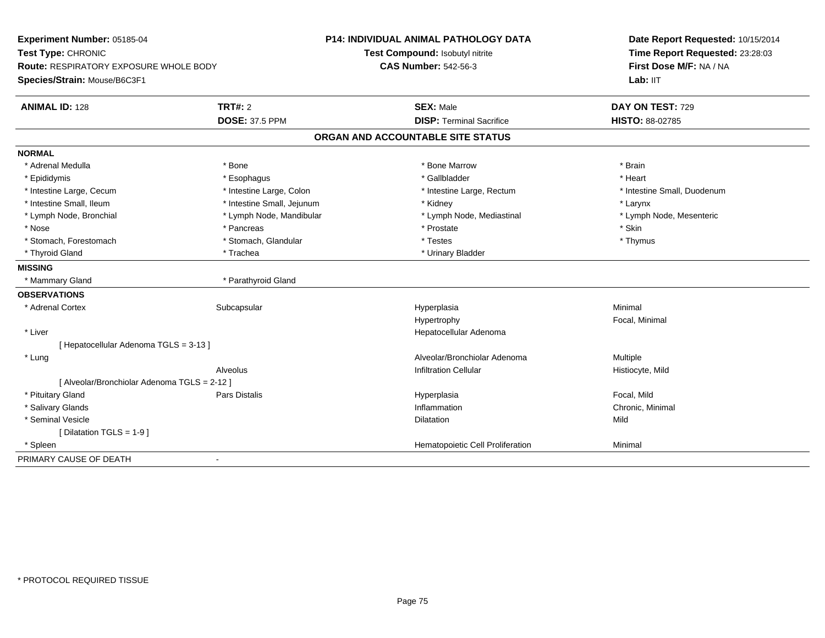| Experiment Number: 05185-04                   |                            | <b>P14: INDIVIDUAL ANIMAL PATHOLOGY DATA</b> | Date Report Requested: 10/15/2014 |
|-----------------------------------------------|----------------------------|----------------------------------------------|-----------------------------------|
| Test Type: CHRONIC                            |                            | Test Compound: Isobutyl nitrite              | Time Report Requested: 23:28:03   |
| <b>Route: RESPIRATORY EXPOSURE WHOLE BODY</b> |                            | <b>CAS Number: 542-56-3</b>                  | First Dose M/F: NA / NA           |
| Species/Strain: Mouse/B6C3F1                  |                            |                                              | Lab: IIT                          |
| <b>ANIMAL ID: 128</b>                         | TRT#: 2                    | <b>SEX: Male</b>                             | DAY ON TEST: 729                  |
|                                               | <b>DOSE: 37.5 PPM</b>      | <b>DISP: Terminal Sacrifice</b>              | <b>HISTO: 88-02785</b>            |
|                                               |                            | ORGAN AND ACCOUNTABLE SITE STATUS            |                                   |
| <b>NORMAL</b>                                 |                            |                                              |                                   |
| * Adrenal Medulla                             | * Bone                     | * Bone Marrow                                | * Brain                           |
| * Epididymis                                  | * Esophagus                | * Gallbladder                                | * Heart                           |
| * Intestine Large, Cecum                      | * Intestine Large, Colon   | * Intestine Large, Rectum                    | * Intestine Small, Duodenum       |
| * Intestine Small, Ileum                      | * Intestine Small, Jejunum | * Kidney                                     | * Larynx                          |
| * Lymph Node, Bronchial                       | * Lymph Node, Mandibular   | * Lymph Node, Mediastinal                    | * Lymph Node, Mesenteric          |
| * Nose                                        | * Pancreas                 | * Prostate                                   | * Skin                            |
| * Stomach, Forestomach                        | * Stomach, Glandular       | * Testes                                     | * Thymus                          |
| * Thyroid Gland                               | * Trachea                  | * Urinary Bladder                            |                                   |
| <b>MISSING</b>                                |                            |                                              |                                   |
| * Mammary Gland                               | * Parathyroid Gland        |                                              |                                   |
| <b>OBSERVATIONS</b>                           |                            |                                              |                                   |
| * Adrenal Cortex                              | Subcapsular                | Hyperplasia                                  | Minimal                           |
|                                               |                            | Hypertrophy                                  | Focal, Minimal                    |
| * Liver                                       |                            | Hepatocellular Adenoma                       |                                   |
| [ Hepatocellular Adenoma TGLS = 3-13 ]        |                            |                                              |                                   |
| * Lung                                        |                            | Alveolar/Bronchiolar Adenoma                 | Multiple                          |
|                                               | <b>Alveolus</b>            | <b>Infiltration Cellular</b>                 | Histiocyte, Mild                  |
| [ Alveolar/Bronchiolar Adenoma TGLS = 2-12 ]  |                            |                                              |                                   |
| * Pituitary Gland                             | <b>Pars Distalis</b>       | Hyperplasia                                  | Focal, Mild                       |
| * Salivary Glands                             |                            | Inflammation                                 | Chronic, Minimal                  |
| * Seminal Vesicle                             |                            | <b>Dilatation</b>                            | Mild                              |
| [Dilatation TGLS = 1-9]                       |                            |                                              |                                   |
| * Spleen                                      |                            | Hematopoietic Cell Proliferation             | Minimal                           |
| PRIMARY CAUSE OF DEATH                        |                            |                                              |                                   |
|                                               |                            |                                              |                                   |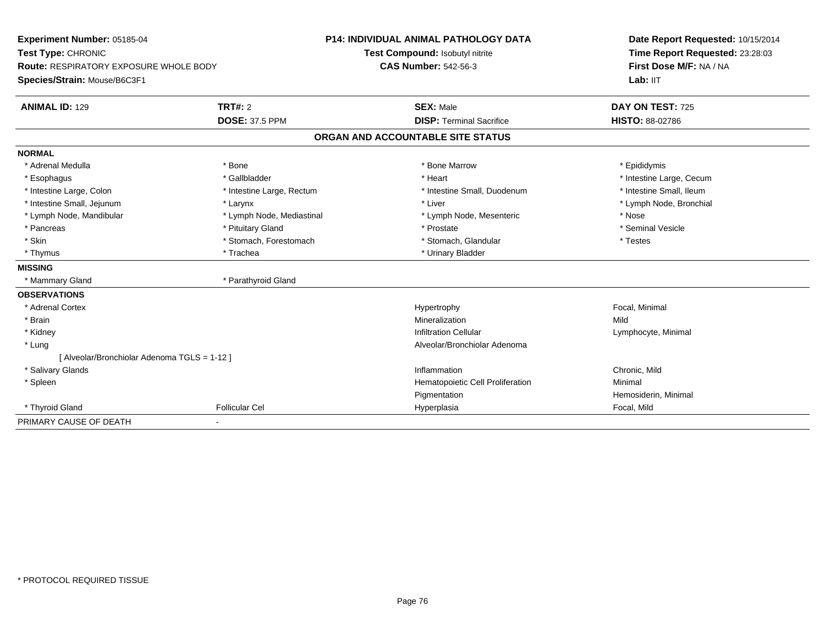| Experiment Number: 05185-04                   |                           | <b>P14: INDIVIDUAL ANIMAL PATHOLOGY DATA</b> | Date Report Requested: 10/15/2014<br>Time Report Requested: 23:28:03<br>First Dose M/F: NA / NA |
|-----------------------------------------------|---------------------------|----------------------------------------------|-------------------------------------------------------------------------------------------------|
| Test Type: CHRONIC                            |                           | Test Compound: Isobutyl nitrite              |                                                                                                 |
| <b>Route: RESPIRATORY EXPOSURE WHOLE BODY</b> |                           | <b>CAS Number: 542-56-3</b>                  |                                                                                                 |
| Species/Strain: Mouse/B6C3F1                  |                           |                                              | Lab: IIT                                                                                        |
| <b>ANIMAL ID: 129</b>                         | <b>TRT#: 2</b>            | <b>SEX: Male</b>                             | DAY ON TEST: 725                                                                                |
|                                               | <b>DOSE: 37.5 PPM</b>     | <b>DISP: Terminal Sacrifice</b>              | <b>HISTO: 88-02786</b>                                                                          |
|                                               |                           | ORGAN AND ACCOUNTABLE SITE STATUS            |                                                                                                 |
| <b>NORMAL</b>                                 |                           |                                              |                                                                                                 |
| * Adrenal Medulla                             | * Bone                    | * Bone Marrow                                | * Epididymis                                                                                    |
| * Esophagus                                   | * Gallbladder             | * Heart                                      | * Intestine Large, Cecum                                                                        |
| * Intestine Large, Colon                      | * Intestine Large, Rectum | * Intestine Small, Duodenum                  | * Intestine Small, Ileum                                                                        |
| * Intestine Small, Jejunum                    | * Larynx                  | * Liver                                      | * Lymph Node, Bronchial                                                                         |
| * Lymph Node, Mandibular                      | * Lymph Node, Mediastinal | * Lymph Node, Mesenteric                     | * Nose                                                                                          |
| * Pancreas                                    | * Pituitary Gland         | * Prostate                                   | * Seminal Vesicle                                                                               |
| * Skin                                        | * Stomach, Forestomach    | * Stomach, Glandular                         | * Testes                                                                                        |
| * Thymus                                      | * Trachea                 | * Urinary Bladder                            |                                                                                                 |
| <b>MISSING</b>                                |                           |                                              |                                                                                                 |
| * Mammary Gland                               | * Parathyroid Gland       |                                              |                                                                                                 |
| <b>OBSERVATIONS</b>                           |                           |                                              |                                                                                                 |
| * Adrenal Cortex                              |                           | Hypertrophy                                  | Focal, Minimal                                                                                  |
| * Brain                                       |                           | Mineralization                               | Mild                                                                                            |
| * Kidney                                      |                           | <b>Infiltration Cellular</b>                 | Lymphocyte, Minimal                                                                             |
| * Lung                                        |                           | Alveolar/Bronchiolar Adenoma                 |                                                                                                 |
| [ Alveolar/Bronchiolar Adenoma TGLS = 1-12 ]  |                           |                                              |                                                                                                 |
| * Salivary Glands                             |                           | Inflammation                                 | Chronic, Mild                                                                                   |
| * Spleen                                      |                           | Hematopoietic Cell Proliferation             | Minimal                                                                                         |
|                                               |                           | Pigmentation                                 | Hemosiderin, Minimal                                                                            |
| * Thyroid Gland                               | <b>Follicular Cel</b>     | Hyperplasia                                  | Focal, Mild                                                                                     |
| PRIMARY CAUSE OF DEATH                        |                           |                                              |                                                                                                 |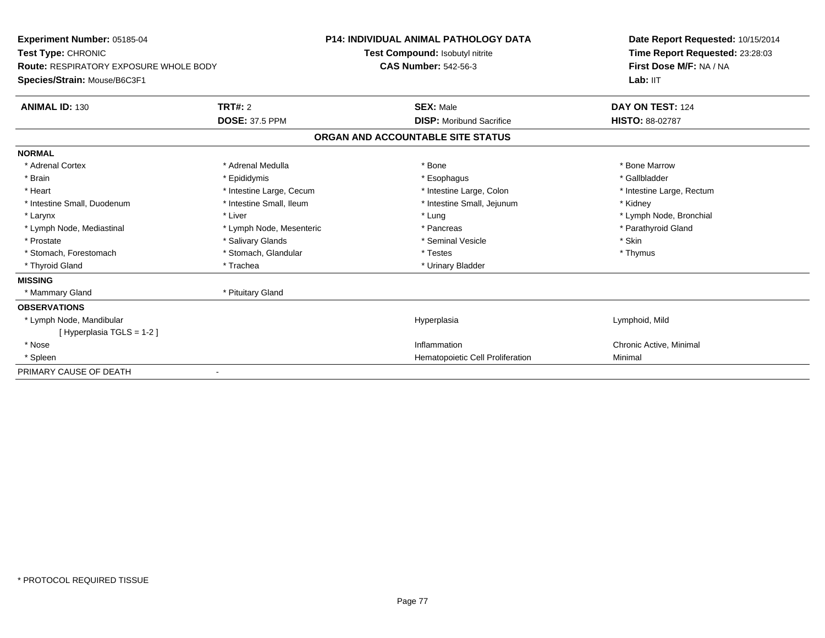| Experiment Number: 05185-04                   |                          | <b>P14: INDIVIDUAL ANIMAL PATHOLOGY DATA</b> | Date Report Requested: 10/15/2014 |
|-----------------------------------------------|--------------------------|----------------------------------------------|-----------------------------------|
| Test Type: CHRONIC                            |                          | Test Compound: Isobutyl nitrite              | Time Report Requested: 23:28:03   |
| <b>Route: RESPIRATORY EXPOSURE WHOLE BODY</b> |                          | <b>CAS Number: 542-56-3</b>                  | First Dose M/F: NA / NA           |
| Species/Strain: Mouse/B6C3F1                  |                          |                                              | Lab: IIT                          |
| <b>ANIMAL ID: 130</b>                         | TRT#: 2                  | <b>SEX: Male</b>                             | DAY ON TEST: 124                  |
|                                               | <b>DOSE: 37.5 PPM</b>    | <b>DISP:</b> Moribund Sacrifice              | <b>HISTO: 88-02787</b>            |
|                                               |                          | ORGAN AND ACCOUNTABLE SITE STATUS            |                                   |
| <b>NORMAL</b>                                 |                          |                                              |                                   |
| * Adrenal Cortex                              | * Adrenal Medulla        | * Bone                                       | * Bone Marrow                     |
| * Brain                                       | * Epididymis             | * Esophagus                                  | * Gallbladder                     |
| * Heart                                       | * Intestine Large, Cecum | * Intestine Large, Colon                     | * Intestine Large, Rectum         |
| * Intestine Small, Duodenum                   | * Intestine Small, Ileum | * Intestine Small, Jejunum                   | * Kidney                          |
| * Larynx                                      | * Liver                  | * Lung                                       | * Lymph Node, Bronchial           |
| * Lymph Node, Mediastinal                     | * Lymph Node, Mesenteric | * Pancreas                                   | * Parathyroid Gland               |
| * Prostate                                    | * Salivary Glands        | * Seminal Vesicle                            | * Skin                            |
| * Stomach, Forestomach                        | * Stomach, Glandular     | * Testes                                     | * Thymus                          |
| * Thyroid Gland                               | * Trachea                | * Urinary Bladder                            |                                   |
| <b>MISSING</b>                                |                          |                                              |                                   |
| * Mammary Gland                               | * Pituitary Gland        |                                              |                                   |
| <b>OBSERVATIONS</b>                           |                          |                                              |                                   |
| * Lymph Node, Mandibular                      |                          | Hyperplasia                                  | Lymphoid, Mild                    |
| [Hyperplasia TGLS = 1-2]                      |                          |                                              |                                   |
| * Nose                                        |                          | Inflammation                                 | Chronic Active, Minimal           |
| * Spleen                                      |                          | Hematopoietic Cell Proliferation             | Minimal                           |
| PRIMARY CAUSE OF DEATH                        |                          |                                              |                                   |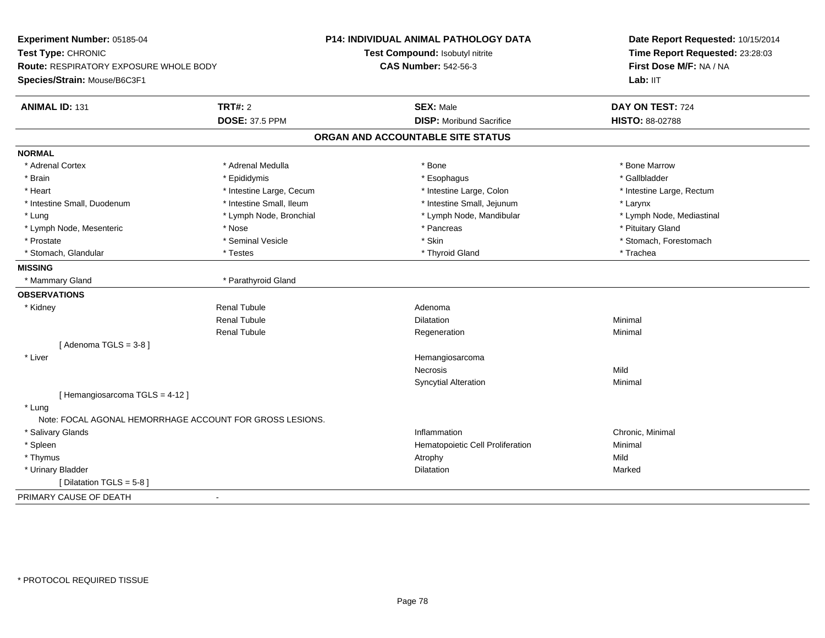| Experiment Number: 05185-04                   |                                                          | <b>P14: INDIVIDUAL ANIMAL PATHOLOGY DATA</b> | Date Report Requested: 10/15/2014<br>Time Report Requested: 23:28:03 |  |
|-----------------------------------------------|----------------------------------------------------------|----------------------------------------------|----------------------------------------------------------------------|--|
| Test Type: CHRONIC                            |                                                          | Test Compound: Isobutyl nitrite              |                                                                      |  |
| <b>Route: RESPIRATORY EXPOSURE WHOLE BODY</b> |                                                          | <b>CAS Number: 542-56-3</b>                  | First Dose M/F: NA / NA                                              |  |
| Species/Strain: Mouse/B6C3F1                  |                                                          |                                              | Lab: IIT                                                             |  |
| <b>ANIMAL ID: 131</b>                         | <b>TRT#: 2</b>                                           | <b>SEX: Male</b>                             | DAY ON TEST: 724                                                     |  |
|                                               | <b>DOSE: 37.5 PPM</b>                                    | <b>DISP:</b> Moribund Sacrifice              | HISTO: 88-02788                                                      |  |
|                                               |                                                          | ORGAN AND ACCOUNTABLE SITE STATUS            |                                                                      |  |
| <b>NORMAL</b>                                 |                                                          |                                              |                                                                      |  |
| * Adrenal Cortex                              | * Adrenal Medulla                                        | * Bone                                       | * Bone Marrow                                                        |  |
| * Brain                                       | * Epididymis                                             | * Esophagus                                  | * Gallbladder                                                        |  |
| * Heart                                       | * Intestine Large, Cecum                                 | * Intestine Large, Colon                     | * Intestine Large, Rectum                                            |  |
| * Intestine Small, Duodenum                   | * Intestine Small, Ileum                                 | * Intestine Small, Jejunum                   | * Larynx                                                             |  |
| * Lung                                        | * Lymph Node, Bronchial                                  | * Lymph Node, Mandibular                     | * Lymph Node, Mediastinal                                            |  |
| * Lymph Node, Mesenteric                      | * Nose                                                   | * Pancreas                                   | * Pituitary Gland                                                    |  |
| * Prostate                                    | * Seminal Vesicle                                        | * Skin                                       | * Stomach, Forestomach                                               |  |
| * Stomach, Glandular                          | * Testes                                                 | * Thyroid Gland                              | * Trachea                                                            |  |
| <b>MISSING</b>                                |                                                          |                                              |                                                                      |  |
| * Mammary Gland                               | * Parathyroid Gland                                      |                                              |                                                                      |  |
| <b>OBSERVATIONS</b>                           |                                                          |                                              |                                                                      |  |
| * Kidney                                      | <b>Renal Tubule</b>                                      | Adenoma                                      |                                                                      |  |
|                                               | <b>Renal Tubule</b>                                      | <b>Dilatation</b>                            | Minimal                                                              |  |
|                                               | <b>Renal Tubule</b>                                      | Regeneration                                 | Minimal                                                              |  |
| [Adenoma TGLS = $3-8$ ]                       |                                                          |                                              |                                                                      |  |
| * Liver                                       |                                                          | Hemangiosarcoma                              |                                                                      |  |
|                                               |                                                          | <b>Necrosis</b>                              | Mild                                                                 |  |
|                                               |                                                          | <b>Syncytial Alteration</b>                  | Minimal                                                              |  |
| [Hemangiosarcoma TGLS = 4-12]                 |                                                          |                                              |                                                                      |  |
| * Lung                                        |                                                          |                                              |                                                                      |  |
|                                               | Note: FOCAL AGONAL HEMORRHAGE ACCOUNT FOR GROSS LESIONS. |                                              |                                                                      |  |
| * Salivary Glands                             |                                                          | Inflammation                                 | Chronic, Minimal                                                     |  |
| * Spleen                                      |                                                          | Hematopoietic Cell Proliferation             | Minimal                                                              |  |
| * Thymus                                      |                                                          | Atrophy                                      | Mild                                                                 |  |
| * Urinary Bladder                             |                                                          | Dilatation                                   | Marked                                                               |  |
| [Dilatation TGLS = 5-8]                       |                                                          |                                              |                                                                      |  |
| PRIMARY CAUSE OF DEATH                        | $\sim$                                                   |                                              |                                                                      |  |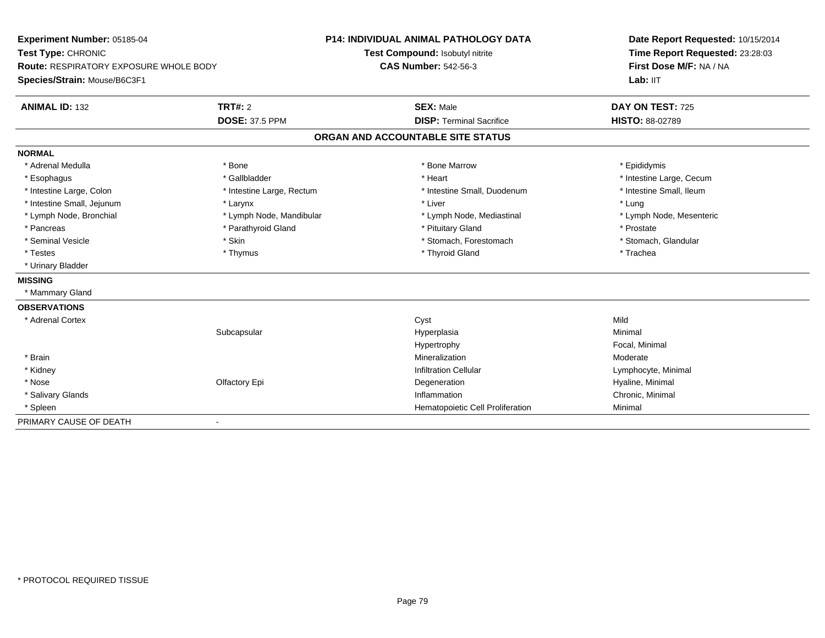| Experiment Number: 05185-04<br>Test Type: CHRONIC<br>Route: RESPIRATORY EXPOSURE WHOLE BODY |                              | <b>P14: INDIVIDUAL ANIMAL PATHOLOGY DATA</b> | Date Report Requested: 10/15/2014<br>Time Report Requested: 23:28:03<br>First Dose M/F: NA / NA |
|---------------------------------------------------------------------------------------------|------------------------------|----------------------------------------------|-------------------------------------------------------------------------------------------------|
|                                                                                             |                              | Test Compound: Isobutyl nitrite              |                                                                                                 |
|                                                                                             |                              | <b>CAS Number: 542-56-3</b>                  |                                                                                                 |
| Species/Strain: Mouse/B6C3F1                                                                |                              |                                              | Lab: IIT                                                                                        |
| <b>ANIMAL ID: 132</b>                                                                       | TRT#: 2                      | <b>SEX: Male</b>                             | DAY ON TEST: 725                                                                                |
|                                                                                             | <b>DOSE: 37.5 PPM</b>        | <b>DISP: Terminal Sacrifice</b>              | HISTO: 88-02789                                                                                 |
|                                                                                             |                              | ORGAN AND ACCOUNTABLE SITE STATUS            |                                                                                                 |
| <b>NORMAL</b>                                                                               |                              |                                              |                                                                                                 |
| * Adrenal Medulla                                                                           | * Bone                       | * Bone Marrow                                | * Epididymis                                                                                    |
| * Esophagus                                                                                 | * Gallbladder                | * Heart                                      | * Intestine Large, Cecum                                                                        |
| * Intestine Large, Colon                                                                    | * Intestine Large, Rectum    | * Intestine Small, Duodenum                  | * Intestine Small, Ileum                                                                        |
| * Intestine Small, Jejunum                                                                  | * Larynx                     | * Liver                                      | * Lung                                                                                          |
| * Lymph Node, Bronchial                                                                     | * Lymph Node, Mandibular     | * Lymph Node, Mediastinal                    | * Lymph Node, Mesenteric                                                                        |
| * Pancreas                                                                                  | * Parathyroid Gland          | * Pituitary Gland                            | * Prostate                                                                                      |
| * Seminal Vesicle                                                                           | * Skin                       | * Stomach, Forestomach                       | * Stomach, Glandular                                                                            |
| * Testes                                                                                    | * Thymus                     | * Thyroid Gland                              | * Trachea                                                                                       |
| * Urinary Bladder                                                                           |                              |                                              |                                                                                                 |
| <b>MISSING</b>                                                                              |                              |                                              |                                                                                                 |
| * Mammary Gland                                                                             |                              |                                              |                                                                                                 |
| <b>OBSERVATIONS</b>                                                                         |                              |                                              |                                                                                                 |
| * Adrenal Cortex                                                                            |                              | Cyst                                         | Mild                                                                                            |
|                                                                                             | Subcapsular                  | Hyperplasia                                  | Minimal                                                                                         |
|                                                                                             |                              | Hypertrophy                                  | Focal, Minimal                                                                                  |
| * Brain                                                                                     |                              | Mineralization                               | Moderate                                                                                        |
| * Kidney                                                                                    |                              | <b>Infiltration Cellular</b>                 | Lymphocyte, Minimal                                                                             |
| * Nose                                                                                      | Olfactory Epi                | Degeneration                                 | Hyaline, Minimal                                                                                |
| * Salivary Glands                                                                           |                              | Inflammation                                 | Chronic, Minimal                                                                                |
| * Spleen                                                                                    |                              | Hematopoietic Cell Proliferation             | Minimal                                                                                         |
| PRIMARY CAUSE OF DEATH                                                                      | $\qquad \qquad \blacksquare$ |                                              |                                                                                                 |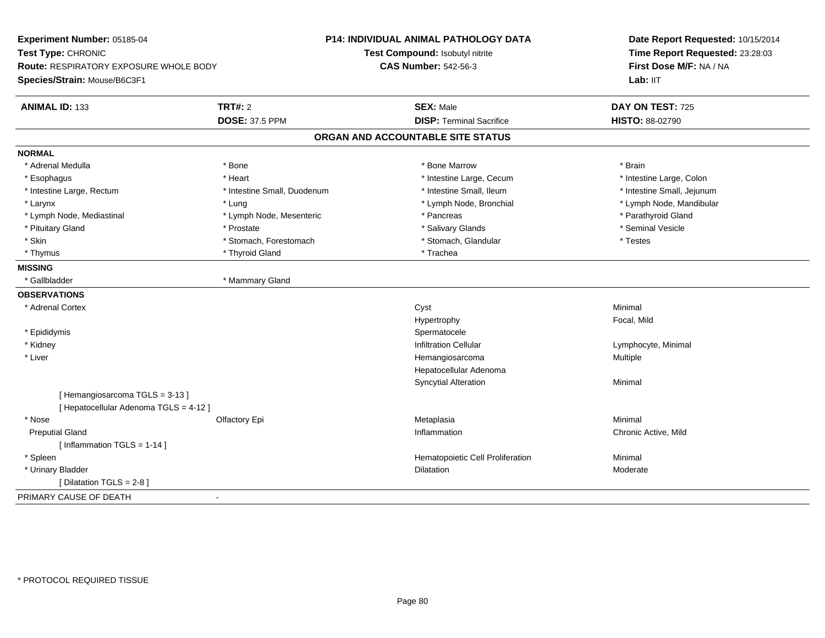| Experiment Number: 05185-04                   |                             | <b>P14: INDIVIDUAL ANIMAL PATHOLOGY DATA</b> | Date Report Requested: 10/15/2014<br>Time Report Requested: 23:28:03<br>First Dose M/F: NA / NA |
|-----------------------------------------------|-----------------------------|----------------------------------------------|-------------------------------------------------------------------------------------------------|
| Test Type: CHRONIC                            |                             | Test Compound: Isobutyl nitrite              |                                                                                                 |
| <b>Route: RESPIRATORY EXPOSURE WHOLE BODY</b> |                             | <b>CAS Number: 542-56-3</b>                  |                                                                                                 |
| Species/Strain: Mouse/B6C3F1                  |                             |                                              | Lab: IIT                                                                                        |
| <b>ANIMAL ID: 133</b>                         | <b>TRT#: 2</b>              | <b>SEX: Male</b>                             | DAY ON TEST: 725                                                                                |
|                                               | <b>DOSE: 37.5 PPM</b>       | <b>DISP: Terminal Sacrifice</b>              | HISTO: 88-02790                                                                                 |
|                                               |                             | ORGAN AND ACCOUNTABLE SITE STATUS            |                                                                                                 |
| <b>NORMAL</b>                                 |                             |                                              |                                                                                                 |
| * Adrenal Medulla                             | * Bone                      | * Bone Marrow                                | * Brain                                                                                         |
| * Esophagus                                   | * Heart                     | * Intestine Large, Cecum                     | * Intestine Large, Colon                                                                        |
| * Intestine Large, Rectum                     | * Intestine Small, Duodenum | * Intestine Small, Ileum                     | * Intestine Small, Jejunum                                                                      |
| * Larynx                                      | * Lung                      | * Lymph Node, Bronchial                      | * Lymph Node, Mandibular                                                                        |
| * Lymph Node, Mediastinal                     | * Lymph Node, Mesenteric    | * Pancreas                                   | * Parathyroid Gland                                                                             |
| * Pituitary Gland                             | * Prostate                  | * Salivary Glands                            | * Seminal Vesicle                                                                               |
| * Skin                                        | * Stomach, Forestomach      | * Stomach, Glandular                         | * Testes                                                                                        |
| * Thymus                                      | * Thyroid Gland             | * Trachea                                    |                                                                                                 |
| <b>MISSING</b>                                |                             |                                              |                                                                                                 |
| * Gallbladder                                 | * Mammary Gland             |                                              |                                                                                                 |
| <b>OBSERVATIONS</b>                           |                             |                                              |                                                                                                 |
| * Adrenal Cortex                              |                             | Cyst                                         | Minimal                                                                                         |
|                                               |                             | Hypertrophy                                  | Focal, Mild                                                                                     |
| * Epididymis                                  |                             | Spermatocele                                 |                                                                                                 |
| * Kidney                                      |                             | <b>Infiltration Cellular</b>                 | Lymphocyte, Minimal                                                                             |
| * Liver                                       |                             | Hemangiosarcoma                              | Multiple                                                                                        |
|                                               |                             | Hepatocellular Adenoma                       |                                                                                                 |
|                                               |                             | <b>Syncytial Alteration</b>                  | Minimal                                                                                         |
| [Hemangiosarcoma TGLS = 3-13]                 |                             |                                              |                                                                                                 |
| [ Hepatocellular Adenoma TGLS = 4-12 ]        |                             |                                              |                                                                                                 |
| * Nose                                        | Olfactory Epi               | Metaplasia                                   | Minimal                                                                                         |
| <b>Preputial Gland</b>                        |                             | Inflammation                                 | Chronic Active, Mild                                                                            |
| [Inflammation TGLS = $1-14$ ]                 |                             |                                              |                                                                                                 |
| * Spleen                                      |                             | Hematopoietic Cell Proliferation             | Minimal                                                                                         |
| * Urinary Bladder                             |                             | Dilatation                                   | Moderate                                                                                        |
| [Dilatation TGLS = 2-8]                       |                             |                                              |                                                                                                 |
| PRIMARY CAUSE OF DEATH                        | $\sim$                      |                                              |                                                                                                 |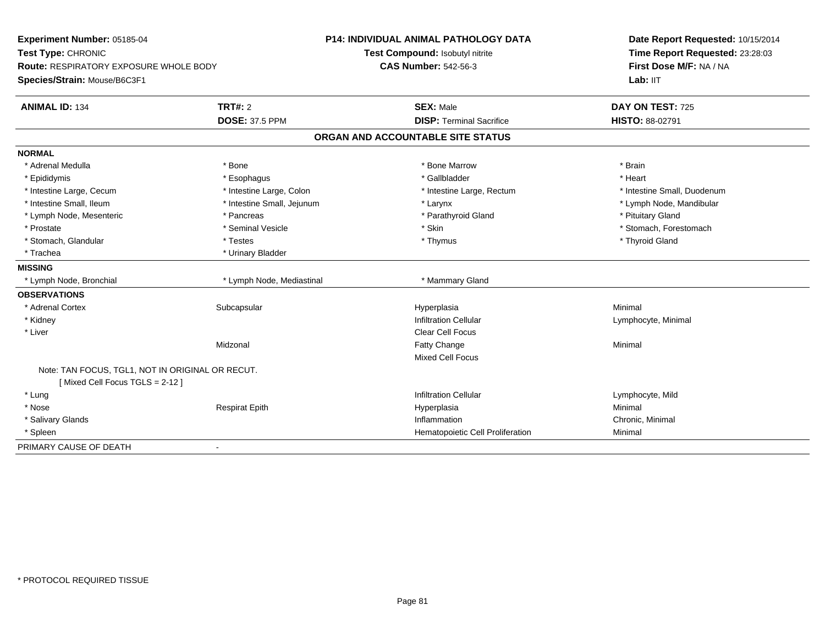| Experiment Number: 05185-04<br>Test Type: CHRONIC<br>Route: RESPIRATORY EXPOSURE WHOLE BODY<br>Species/Strain: Mouse/B6C3F1 |                            | <b>P14: INDIVIDUAL ANIMAL PATHOLOGY DATA</b><br>Test Compound: Isobutyl nitrite | Date Report Requested: 10/15/2014<br>Time Report Requested: 23:28:03 |
|-----------------------------------------------------------------------------------------------------------------------------|----------------------------|---------------------------------------------------------------------------------|----------------------------------------------------------------------|
|                                                                                                                             |                            | <b>CAS Number: 542-56-3</b>                                                     | First Dose M/F: NA / NA<br>Lab: IIT                                  |
| <b>ANIMAL ID: 134</b>                                                                                                       | TRT#: 2                    | <b>SEX: Male</b>                                                                | DAY ON TEST: 725                                                     |
|                                                                                                                             | <b>DOSE: 37.5 PPM</b>      | <b>DISP: Terminal Sacrifice</b>                                                 | HISTO: 88-02791                                                      |
|                                                                                                                             |                            | ORGAN AND ACCOUNTABLE SITE STATUS                                               |                                                                      |
| <b>NORMAL</b>                                                                                                               |                            |                                                                                 |                                                                      |
| * Adrenal Medulla                                                                                                           | * Bone                     | * Bone Marrow                                                                   | * Brain                                                              |
| * Epididymis                                                                                                                | * Esophagus                | * Gallbladder                                                                   | * Heart                                                              |
| * Intestine Large, Cecum                                                                                                    | * Intestine Large, Colon   | * Intestine Large, Rectum                                                       | * Intestine Small, Duodenum                                          |
| * Intestine Small, Ileum                                                                                                    | * Intestine Small, Jejunum | * Larynx                                                                        | * Lymph Node, Mandibular                                             |
| * Lymph Node, Mesenteric                                                                                                    | * Pancreas                 | * Parathyroid Gland                                                             | * Pituitary Gland                                                    |
| * Prostate                                                                                                                  | * Seminal Vesicle          | * Skin                                                                          | * Stomach, Forestomach                                               |
| * Stomach, Glandular                                                                                                        | * Testes                   | * Thymus                                                                        | * Thyroid Gland                                                      |
| * Trachea                                                                                                                   | * Urinary Bladder          |                                                                                 |                                                                      |
| <b>MISSING</b>                                                                                                              |                            |                                                                                 |                                                                      |
| * Lymph Node, Bronchial                                                                                                     | * Lymph Node, Mediastinal  | * Mammary Gland                                                                 |                                                                      |
| <b>OBSERVATIONS</b>                                                                                                         |                            |                                                                                 |                                                                      |
| * Adrenal Cortex                                                                                                            | Subcapsular                | Hyperplasia                                                                     | Minimal                                                              |
| * Kidney                                                                                                                    |                            | <b>Infiltration Cellular</b>                                                    | Lymphocyte, Minimal                                                  |
| * Liver                                                                                                                     |                            | <b>Clear Cell Focus</b>                                                         |                                                                      |
|                                                                                                                             | Midzonal                   | Fatty Change                                                                    | Minimal                                                              |
|                                                                                                                             |                            | <b>Mixed Cell Focus</b>                                                         |                                                                      |
| Note: TAN FOCUS, TGL1, NOT IN ORIGINAL OR RECUT.                                                                            |                            |                                                                                 |                                                                      |
| [Mixed Cell Focus TGLS = 2-12]                                                                                              |                            |                                                                                 |                                                                      |
| * Lung                                                                                                                      |                            | <b>Infiltration Cellular</b>                                                    | Lymphocyte, Mild                                                     |
| * Nose                                                                                                                      | <b>Respirat Epith</b>      | Hyperplasia                                                                     | Minimal                                                              |
| * Salivary Glands                                                                                                           |                            | Inflammation                                                                    | Chronic, Minimal                                                     |
| * Spleen                                                                                                                    |                            | Hematopoietic Cell Proliferation                                                | Minimal                                                              |
| PRIMARY CAUSE OF DEATH                                                                                                      |                            |                                                                                 |                                                                      |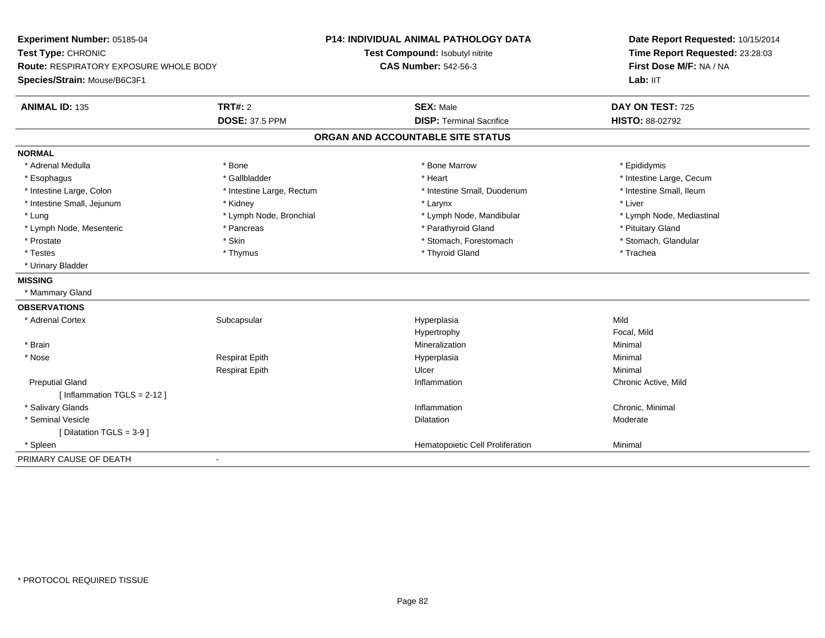| Experiment Number: 05185-04<br>Test Type: CHRONIC<br><b>Route: RESPIRATORY EXPOSURE WHOLE BODY</b> |                           | <b>P14: INDIVIDUAL ANIMAL PATHOLOGY DATA</b> | Date Report Requested: 10/15/2014                          |
|----------------------------------------------------------------------------------------------------|---------------------------|----------------------------------------------|------------------------------------------------------------|
|                                                                                                    |                           | Test Compound: Isobutyl nitrite              | Time Report Requested: 23:28:03<br>First Dose M/F: NA / NA |
|                                                                                                    |                           | <b>CAS Number: 542-56-3</b>                  |                                                            |
| Species/Strain: Mouse/B6C3F1                                                                       |                           |                                              | Lab: IIT                                                   |
| <b>ANIMAL ID: 135</b>                                                                              | <b>TRT#: 2</b>            | <b>SEX: Male</b>                             | DAY ON TEST: 725                                           |
|                                                                                                    | <b>DOSE: 37.5 PPM</b>     | <b>DISP: Terminal Sacrifice</b>              | <b>HISTO: 88-02792</b>                                     |
|                                                                                                    |                           | ORGAN AND ACCOUNTABLE SITE STATUS            |                                                            |
| <b>NORMAL</b>                                                                                      |                           |                                              |                                                            |
| * Adrenal Medulla                                                                                  | * Bone                    | * Bone Marrow                                | * Epididymis                                               |
| * Esophagus                                                                                        | * Gallbladder             | * Heart                                      | * Intestine Large, Cecum                                   |
| * Intestine Large, Colon                                                                           | * Intestine Large, Rectum | * Intestine Small, Duodenum                  | * Intestine Small, Ileum                                   |
| * Intestine Small, Jejunum                                                                         | * Kidney                  | * Larynx                                     | * Liver                                                    |
| * Lung                                                                                             | * Lymph Node, Bronchial   | * Lymph Node, Mandibular                     | * Lymph Node, Mediastinal                                  |
| * Lymph Node, Mesenteric                                                                           | * Pancreas                | * Parathyroid Gland                          | * Pituitary Gland                                          |
| * Prostate                                                                                         | * Skin                    | * Stomach, Forestomach                       | * Stomach, Glandular                                       |
| * Testes                                                                                           | * Thymus                  | * Thyroid Gland                              | * Trachea                                                  |
| * Urinary Bladder                                                                                  |                           |                                              |                                                            |
| <b>MISSING</b>                                                                                     |                           |                                              |                                                            |
| * Mammary Gland                                                                                    |                           |                                              |                                                            |
| <b>OBSERVATIONS</b>                                                                                |                           |                                              |                                                            |
| * Adrenal Cortex                                                                                   | Subcapsular               | Hyperplasia                                  | Mild                                                       |
|                                                                                                    |                           | Hypertrophy                                  | Focal, Mild                                                |
| * Brain                                                                                            |                           | Mineralization                               | Minimal                                                    |
| * Nose                                                                                             | <b>Respirat Epith</b>     | Hyperplasia                                  | Minimal                                                    |
|                                                                                                    | <b>Respirat Epith</b>     | Ulcer                                        | Minimal                                                    |
| <b>Preputial Gland</b>                                                                             |                           | Inflammation                                 | Chronic Active, Mild                                       |
| [Inflammation $TGLS = 2-12$ ]                                                                      |                           |                                              |                                                            |
| * Salivary Glands                                                                                  |                           | Inflammation                                 | Chronic, Minimal                                           |
| * Seminal Vesicle                                                                                  |                           | <b>Dilatation</b>                            | Moderate                                                   |
| [ Dilatation TGLS = 3-9 ]                                                                          |                           |                                              |                                                            |
| * Spleen                                                                                           |                           | Hematopoietic Cell Proliferation             | Minimal                                                    |
| PRIMARY CAUSE OF DEATH                                                                             | $\blacksquare$            |                                              |                                                            |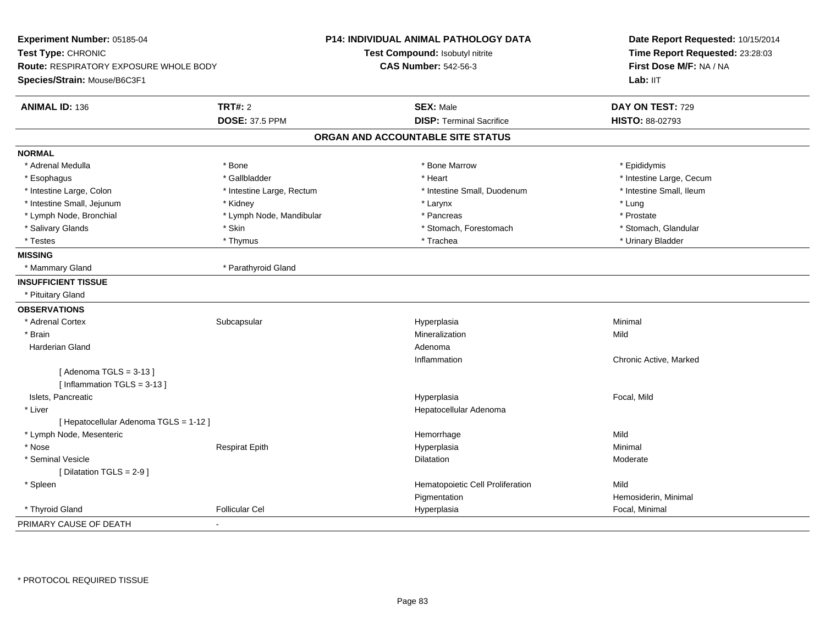| Experiment Number: 05185-04<br>Test Type: CHRONIC<br><b>Route: RESPIRATORY EXPOSURE WHOLE BODY</b><br>Species/Strain: Mouse/B6C3F1 |                           | <b>P14: INDIVIDUAL ANIMAL PATHOLOGY DATA</b><br>Test Compound: Isobutyl nitrite<br><b>CAS Number: 542-56-3</b> | Date Report Requested: 10/15/2014<br>Time Report Requested: 23:28:03<br>First Dose M/F: NA / NA<br>Lab: IIT |
|------------------------------------------------------------------------------------------------------------------------------------|---------------------------|----------------------------------------------------------------------------------------------------------------|-------------------------------------------------------------------------------------------------------------|
| <b>ANIMAL ID: 136</b>                                                                                                              | <b>TRT#: 2</b>            | <b>SEX: Male</b>                                                                                               | DAY ON TEST: 729                                                                                            |
|                                                                                                                                    | <b>DOSE: 37.5 PPM</b>     | <b>DISP: Terminal Sacrifice</b>                                                                                | <b>HISTO: 88-02793</b>                                                                                      |
|                                                                                                                                    |                           | ORGAN AND ACCOUNTABLE SITE STATUS                                                                              |                                                                                                             |
| <b>NORMAL</b>                                                                                                                      |                           |                                                                                                                |                                                                                                             |
| * Adrenal Medulla                                                                                                                  | * Bone                    | * Bone Marrow                                                                                                  | * Epididymis                                                                                                |
| * Esophagus                                                                                                                        | * Gallbladder             | * Heart                                                                                                        | * Intestine Large, Cecum                                                                                    |
| * Intestine Large, Colon                                                                                                           | * Intestine Large, Rectum | * Intestine Small, Duodenum                                                                                    | * Intestine Small, Ileum                                                                                    |
| * Intestine Small, Jejunum                                                                                                         | * Kidney                  | * Larynx                                                                                                       | * Lung                                                                                                      |
| * Lymph Node, Bronchial                                                                                                            | * Lymph Node, Mandibular  | * Pancreas                                                                                                     | * Prostate                                                                                                  |
| * Salivary Glands                                                                                                                  | * Skin                    | * Stomach, Forestomach                                                                                         | * Stomach, Glandular                                                                                        |
| * Testes                                                                                                                           | * Thymus                  | * Trachea                                                                                                      | * Urinary Bladder                                                                                           |
| <b>MISSING</b>                                                                                                                     |                           |                                                                                                                |                                                                                                             |
| * Mammary Gland                                                                                                                    | * Parathyroid Gland       |                                                                                                                |                                                                                                             |
| <b>INSUFFICIENT TISSUE</b>                                                                                                         |                           |                                                                                                                |                                                                                                             |
| * Pituitary Gland                                                                                                                  |                           |                                                                                                                |                                                                                                             |
| <b>OBSERVATIONS</b>                                                                                                                |                           |                                                                                                                |                                                                                                             |
| * Adrenal Cortex                                                                                                                   | Subcapsular               | Hyperplasia                                                                                                    | Minimal                                                                                                     |
| * Brain                                                                                                                            |                           | Mineralization                                                                                                 | Mild                                                                                                        |
| Harderian Gland                                                                                                                    |                           | Adenoma                                                                                                        |                                                                                                             |
|                                                                                                                                    |                           | Inflammation                                                                                                   | Chronic Active, Marked                                                                                      |
| [Adenoma TGLS = $3-13$ ]<br>[Inflammation TGLS = $3-13$ ]                                                                          |                           |                                                                                                                |                                                                                                             |
| Islets, Pancreatic                                                                                                                 |                           | Hyperplasia                                                                                                    | Focal, Mild                                                                                                 |
| * Liver                                                                                                                            |                           | Hepatocellular Adenoma                                                                                         |                                                                                                             |
| [ Hepatocellular Adenoma TGLS = 1-12 ]                                                                                             |                           |                                                                                                                |                                                                                                             |
| * Lymph Node, Mesenteric                                                                                                           |                           | Hemorrhage                                                                                                     | Mild                                                                                                        |
| * Nose                                                                                                                             | <b>Respirat Epith</b>     | Hyperplasia                                                                                                    | Minimal                                                                                                     |
| * Seminal Vesicle                                                                                                                  |                           | <b>Dilatation</b>                                                                                              | Moderate                                                                                                    |
| [ Dilatation TGLS = 2-9 ]                                                                                                          |                           |                                                                                                                |                                                                                                             |
| * Spleen                                                                                                                           |                           | Hematopoietic Cell Proliferation                                                                               | Mild                                                                                                        |
|                                                                                                                                    |                           | Pigmentation                                                                                                   | Hemosiderin, Minimal                                                                                        |
| * Thyroid Gland                                                                                                                    | <b>Follicular Cel</b>     | Hyperplasia                                                                                                    | Focal, Minimal                                                                                              |
| PRIMARY CAUSE OF DEATH                                                                                                             | $\blacksquare$            |                                                                                                                |                                                                                                             |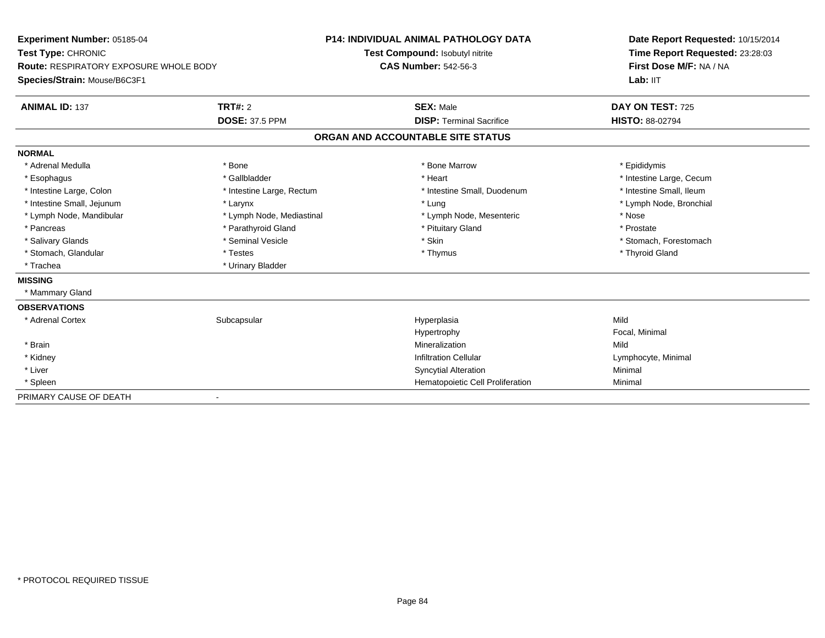| Experiment Number: 05185-04<br>Test Type: CHRONIC<br>Route: RESPIRATORY EXPOSURE WHOLE BODY |                           | <b>P14: INDIVIDUAL ANIMAL PATHOLOGY DATA</b> | Date Report Requested: 10/15/2014 |  |
|---------------------------------------------------------------------------------------------|---------------------------|----------------------------------------------|-----------------------------------|--|
|                                                                                             |                           | Test Compound: Isobutyl nitrite              | Time Report Requested: 23:28:03   |  |
|                                                                                             |                           | <b>CAS Number: 542-56-3</b>                  | First Dose M/F: NA / NA           |  |
| Species/Strain: Mouse/B6C3F1                                                                |                           |                                              | Lab: IIT                          |  |
| <b>ANIMAL ID: 137</b>                                                                       | TRT#: 2                   | <b>SEX: Male</b>                             | DAY ON TEST: 725                  |  |
|                                                                                             | <b>DOSE: 37.5 PPM</b>     | <b>DISP: Terminal Sacrifice</b>              | <b>HISTO: 88-02794</b>            |  |
|                                                                                             |                           | ORGAN AND ACCOUNTABLE SITE STATUS            |                                   |  |
| <b>NORMAL</b>                                                                               |                           |                                              |                                   |  |
| * Adrenal Medulla                                                                           | * Bone                    | * Bone Marrow                                | * Epididymis                      |  |
| * Esophagus                                                                                 | * Gallbladder             | * Heart                                      | * Intestine Large, Cecum          |  |
| * Intestine Large, Colon                                                                    | * Intestine Large, Rectum | * Intestine Small, Duodenum                  | * Intestine Small, Ileum          |  |
| * Intestine Small, Jejunum                                                                  | * Larynx                  | * Lung                                       | * Lymph Node, Bronchial           |  |
| * Lymph Node, Mandibular                                                                    | * Lymph Node, Mediastinal | * Lymph Node, Mesenteric                     | * Nose                            |  |
| * Pancreas                                                                                  | * Parathyroid Gland       | * Pituitary Gland                            | * Prostate                        |  |
| * Salivary Glands                                                                           | * Seminal Vesicle         | * Skin                                       | * Stomach, Forestomach            |  |
| * Stomach, Glandular                                                                        | * Testes                  | * Thymus                                     | * Thyroid Gland                   |  |
| * Trachea                                                                                   | * Urinary Bladder         |                                              |                                   |  |
| <b>MISSING</b>                                                                              |                           |                                              |                                   |  |
| * Mammary Gland                                                                             |                           |                                              |                                   |  |
| <b>OBSERVATIONS</b>                                                                         |                           |                                              |                                   |  |
| * Adrenal Cortex                                                                            | Subcapsular               | Hyperplasia                                  | Mild                              |  |
|                                                                                             |                           | Hypertrophy                                  | Focal, Minimal                    |  |
| * Brain                                                                                     |                           | Mineralization                               | Mild                              |  |
| * Kidney                                                                                    |                           | <b>Infiltration Cellular</b>                 | Lymphocyte, Minimal               |  |
| * Liver                                                                                     |                           | <b>Syncytial Alteration</b>                  | Minimal                           |  |
| * Spleen                                                                                    |                           | Hematopoietic Cell Proliferation             | Minimal                           |  |
| PRIMARY CAUSE OF DEATH                                                                      |                           |                                              |                                   |  |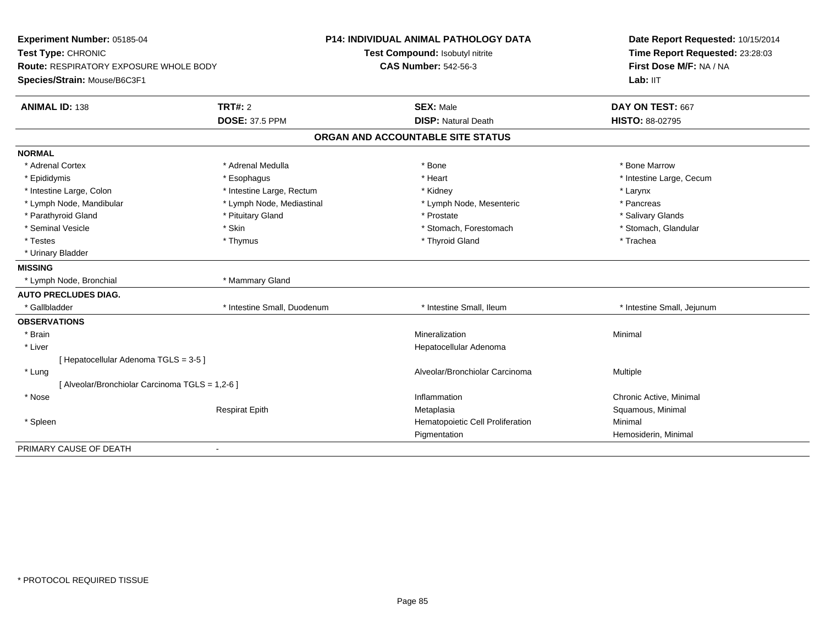| Experiment Number: 05185-04<br>Test Type: CHRONIC<br><b>Route: RESPIRATORY EXPOSURE WHOLE BODY</b><br>Species/Strain: Mouse/B6C3F1 |                             | <b>P14: INDIVIDUAL ANIMAL PATHOLOGY DATA</b><br>Test Compound: Isobutyl nitrite | Date Report Requested: 10/15/2014<br>Time Report Requested: 23:28:03 |
|------------------------------------------------------------------------------------------------------------------------------------|-----------------------------|---------------------------------------------------------------------------------|----------------------------------------------------------------------|
|                                                                                                                                    |                             | <b>CAS Number: 542-56-3</b>                                                     | First Dose M/F: NA / NA<br>Lab: IIT                                  |
| <b>ANIMAL ID: 138</b>                                                                                                              | <b>TRT#: 2</b>              | <b>SEX: Male</b>                                                                | DAY ON TEST: 667                                                     |
|                                                                                                                                    | <b>DOSE: 37.5 PPM</b>       | <b>DISP: Natural Death</b>                                                      | <b>HISTO: 88-02795</b>                                               |
|                                                                                                                                    |                             | ORGAN AND ACCOUNTABLE SITE STATUS                                               |                                                                      |
| <b>NORMAL</b>                                                                                                                      |                             |                                                                                 |                                                                      |
| * Adrenal Cortex                                                                                                                   | * Adrenal Medulla           | * Bone                                                                          | * Bone Marrow                                                        |
| * Epididymis                                                                                                                       | * Esophagus                 | * Heart                                                                         | * Intestine Large, Cecum                                             |
| * Intestine Large, Colon                                                                                                           | * Intestine Large, Rectum   | * Kidney                                                                        | * Larynx                                                             |
| * Lymph Node, Mandibular                                                                                                           | * Lymph Node, Mediastinal   | * Lymph Node, Mesenteric                                                        | * Pancreas                                                           |
| * Parathyroid Gland                                                                                                                | * Pituitary Gland           | * Prostate                                                                      | * Salivary Glands                                                    |
| * Seminal Vesicle                                                                                                                  | * Skin                      | * Stomach, Forestomach                                                          | * Stomach, Glandular                                                 |
| * Testes                                                                                                                           | * Thymus                    | * Thyroid Gland                                                                 | * Trachea                                                            |
| * Urinary Bladder                                                                                                                  |                             |                                                                                 |                                                                      |
| <b>MISSING</b>                                                                                                                     |                             |                                                                                 |                                                                      |
| * Lymph Node, Bronchial                                                                                                            | * Mammary Gland             |                                                                                 |                                                                      |
| <b>AUTO PRECLUDES DIAG.</b>                                                                                                        |                             |                                                                                 |                                                                      |
| * Gallbladder                                                                                                                      | * Intestine Small, Duodenum | * Intestine Small. Ileum                                                        | * Intestine Small, Jejunum                                           |
| <b>OBSERVATIONS</b>                                                                                                                |                             |                                                                                 |                                                                      |
| * Brain                                                                                                                            |                             | Mineralization                                                                  | Minimal                                                              |
| * Liver                                                                                                                            |                             | Hepatocellular Adenoma                                                          |                                                                      |
| [ Hepatocellular Adenoma TGLS = 3-5 ]                                                                                              |                             |                                                                                 |                                                                      |
| * Lung                                                                                                                             |                             | Alveolar/Bronchiolar Carcinoma                                                  | Multiple                                                             |
| [ Alveolar/Bronchiolar Carcinoma TGLS = 1,2-6 ]                                                                                    |                             |                                                                                 |                                                                      |
| * Nose                                                                                                                             |                             | Inflammation                                                                    | Chronic Active, Minimal                                              |
|                                                                                                                                    | <b>Respirat Epith</b>       | Metaplasia                                                                      | Squamous, Minimal                                                    |
| * Spleen                                                                                                                           |                             | Hematopoietic Cell Proliferation                                                | Minimal                                                              |
|                                                                                                                                    |                             | Pigmentation                                                                    | Hemosiderin, Minimal                                                 |
| PRIMARY CAUSE OF DEATH                                                                                                             | $\sim$                      |                                                                                 |                                                                      |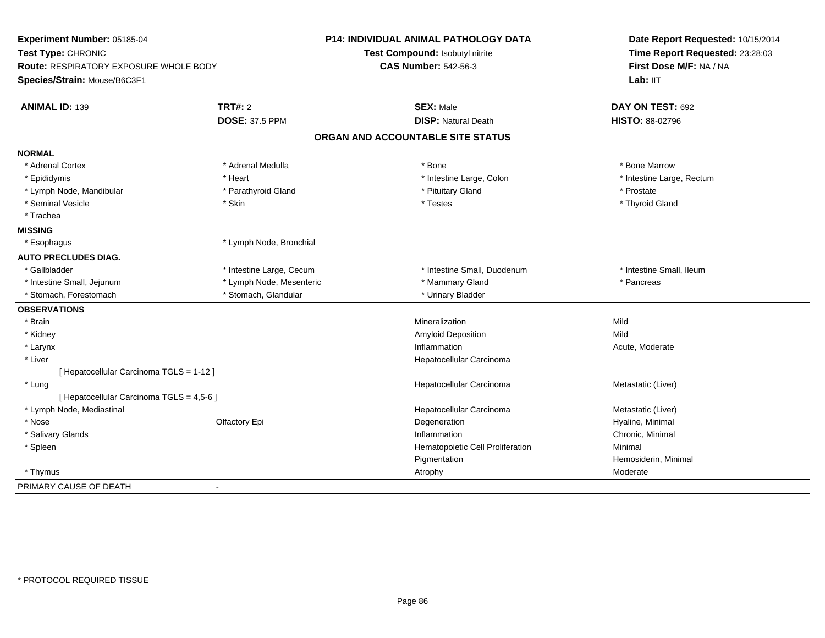| Experiment Number: 05185-04<br>Test Type: CHRONIC<br>Route: RESPIRATORY EXPOSURE WHOLE BODY<br>Species/Strain: Mouse/B6C3F1 |                          | <b>P14: INDIVIDUAL ANIMAL PATHOLOGY DATA</b><br>Test Compound: Isobutyl nitrite<br><b>CAS Number: 542-56-3</b> | Date Report Requested: 10/15/2014<br>Time Report Requested: 23:28:03<br>First Dose M/F: NA / NA<br>Lab: IIT |
|-----------------------------------------------------------------------------------------------------------------------------|--------------------------|----------------------------------------------------------------------------------------------------------------|-------------------------------------------------------------------------------------------------------------|
| <b>ANIMAL ID: 139</b>                                                                                                       | TRT#: 2                  | <b>SEX: Male</b>                                                                                               | DAY ON TEST: 692                                                                                            |
|                                                                                                                             | <b>DOSE: 37.5 PPM</b>    | <b>DISP: Natural Death</b>                                                                                     | HISTO: 88-02796                                                                                             |
|                                                                                                                             |                          | ORGAN AND ACCOUNTABLE SITE STATUS                                                                              |                                                                                                             |
| <b>NORMAL</b>                                                                                                               |                          |                                                                                                                |                                                                                                             |
| * Adrenal Cortex                                                                                                            | * Adrenal Medulla        | * Bone                                                                                                         | * Bone Marrow                                                                                               |
| * Epididymis                                                                                                                | * Heart                  | * Intestine Large, Colon                                                                                       | * Intestine Large, Rectum                                                                                   |
| * Lymph Node, Mandibular                                                                                                    | * Parathyroid Gland      | * Pituitary Gland                                                                                              | * Prostate                                                                                                  |
| * Seminal Vesicle                                                                                                           | * Skin                   | * Testes                                                                                                       | * Thyroid Gland                                                                                             |
| * Trachea                                                                                                                   |                          |                                                                                                                |                                                                                                             |
| <b>MISSING</b>                                                                                                              |                          |                                                                                                                |                                                                                                             |
| * Esophagus                                                                                                                 | * Lymph Node, Bronchial  |                                                                                                                |                                                                                                             |
| <b>AUTO PRECLUDES DIAG.</b>                                                                                                 |                          |                                                                                                                |                                                                                                             |
| * Gallbladder                                                                                                               | * Intestine Large, Cecum | * Intestine Small, Duodenum                                                                                    | * Intestine Small, Ileum                                                                                    |
| * Intestine Small, Jejunum                                                                                                  | * Lymph Node, Mesenteric | * Mammary Gland                                                                                                | * Pancreas                                                                                                  |
| * Stomach, Forestomach                                                                                                      | * Stomach, Glandular     | * Urinary Bladder                                                                                              |                                                                                                             |
| <b>OBSERVATIONS</b>                                                                                                         |                          |                                                                                                                |                                                                                                             |
| * Brain                                                                                                                     |                          | Mineralization                                                                                                 | Mild                                                                                                        |
| * Kidney                                                                                                                    |                          | Amyloid Deposition                                                                                             | Mild                                                                                                        |
| * Larynx                                                                                                                    |                          | Inflammation                                                                                                   | Acute, Moderate                                                                                             |
| $*$ Liver                                                                                                                   |                          | Hepatocellular Carcinoma                                                                                       |                                                                                                             |
| [ Hepatocellular Carcinoma TGLS = 1-12 ]                                                                                    |                          |                                                                                                                |                                                                                                             |
| * Lung                                                                                                                      |                          | Hepatocellular Carcinoma                                                                                       | Metastatic (Liver)                                                                                          |
| [ Hepatocellular Carcinoma TGLS = 4,5-6 ]                                                                                   |                          |                                                                                                                |                                                                                                             |
| * Lymph Node, Mediastinal                                                                                                   |                          | Hepatocellular Carcinoma                                                                                       | Metastatic (Liver)                                                                                          |
| * Nose                                                                                                                      | Olfactory Epi            | Degeneration                                                                                                   | Hyaline, Minimal                                                                                            |
| * Salivary Glands                                                                                                           |                          | Inflammation                                                                                                   | Chronic, Minimal                                                                                            |
| * Spleen                                                                                                                    |                          | Hematopoietic Cell Proliferation                                                                               | Minimal                                                                                                     |
|                                                                                                                             |                          | Pigmentation                                                                                                   | Hemosiderin, Minimal                                                                                        |
| * Thymus                                                                                                                    |                          | Atrophy                                                                                                        | Moderate                                                                                                    |
| PRIMARY CAUSE OF DEATH                                                                                                      | $\blacksquare$           |                                                                                                                |                                                                                                             |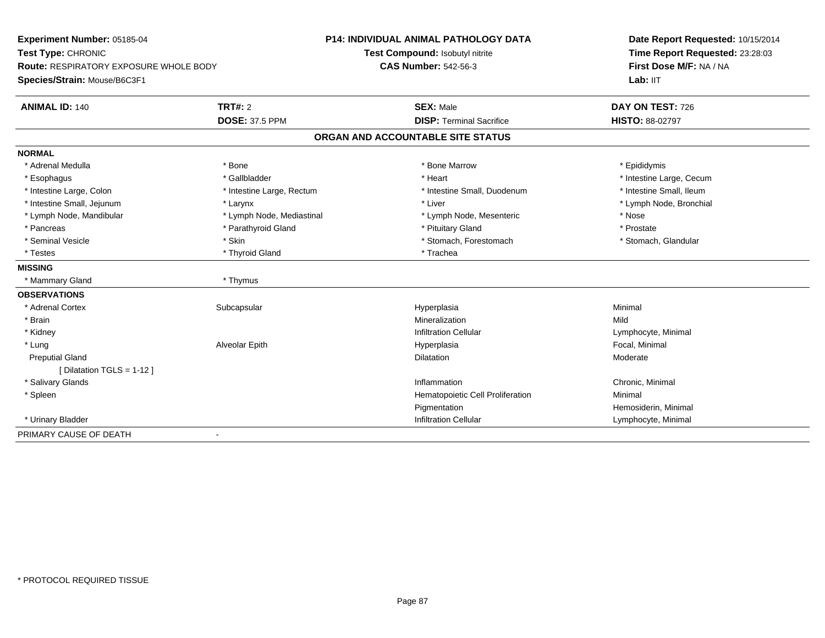| Experiment Number: 05185-04            |                           | <b>P14: INDIVIDUAL ANIMAL PATHOLOGY DATA</b> | Date Report Requested: 10/15/2014 |
|----------------------------------------|---------------------------|----------------------------------------------|-----------------------------------|
| Test Type: CHRONIC                     |                           | Test Compound: Isobutyl nitrite              | Time Report Requested: 23:28:03   |
| Route: RESPIRATORY EXPOSURE WHOLE BODY |                           | <b>CAS Number: 542-56-3</b>                  | First Dose M/F: NA / NA           |
| Species/Strain: Mouse/B6C3F1           |                           |                                              | Lab: IIT                          |
| <b>ANIMAL ID: 140</b>                  | <b>TRT#: 2</b>            | <b>SEX: Male</b>                             | DAY ON TEST: 726                  |
|                                        | <b>DOSE: 37.5 PPM</b>     | <b>DISP: Terminal Sacrifice</b>              | <b>HISTO: 88-02797</b>            |
|                                        |                           | ORGAN AND ACCOUNTABLE SITE STATUS            |                                   |
| <b>NORMAL</b>                          |                           |                                              |                                   |
| * Adrenal Medulla                      | * Bone                    | * Bone Marrow                                | * Epididymis                      |
| * Esophagus                            | * Gallbladder             | * Heart                                      | * Intestine Large, Cecum          |
| * Intestine Large, Colon               | * Intestine Large, Rectum | * Intestine Small, Duodenum                  | * Intestine Small, Ileum          |
| * Intestine Small, Jejunum             | * Larynx                  | * Liver                                      | * Lymph Node, Bronchial           |
| * Lymph Node, Mandibular               | * Lymph Node, Mediastinal | * Lymph Node, Mesenteric                     | * Nose                            |
| * Pancreas                             | * Parathyroid Gland       | * Pituitary Gland                            | * Prostate                        |
| * Seminal Vesicle                      | * Skin                    | * Stomach, Forestomach                       | * Stomach, Glandular              |
| * Testes                               | * Thyroid Gland           | * Trachea                                    |                                   |
| <b>MISSING</b>                         |                           |                                              |                                   |
| * Mammary Gland                        | * Thymus                  |                                              |                                   |
| <b>OBSERVATIONS</b>                    |                           |                                              |                                   |
| * Adrenal Cortex                       | Subcapsular               | Hyperplasia                                  | Minimal                           |
| * Brain                                |                           | Mineralization                               | Mild                              |
| * Kidney                               |                           | <b>Infiltration Cellular</b>                 | Lymphocyte, Minimal               |
| * Lung                                 | Alveolar Epith            | Hyperplasia                                  | Focal, Minimal                    |
| <b>Preputial Gland</b>                 |                           | <b>Dilatation</b>                            | Moderate                          |
| [ Dilatation TGLS = 1-12 ]             |                           |                                              |                                   |
| * Salivary Glands                      |                           | Inflammation                                 | Chronic, Minimal                  |
| * Spleen                               |                           | Hematopoietic Cell Proliferation             | Minimal                           |
|                                        |                           | Pigmentation                                 | Hemosiderin, Minimal              |
| * Urinary Bladder                      |                           | <b>Infiltration Cellular</b>                 | Lymphocyte, Minimal               |
| PRIMARY CAUSE OF DEATH                 | $\overline{\phantom{a}}$  |                                              |                                   |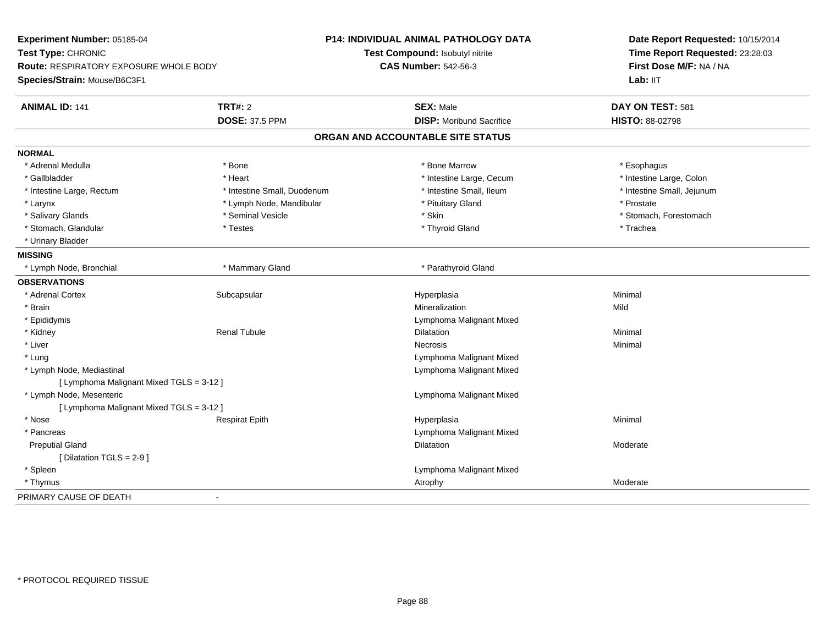| Experiment Number: 05185-04<br>Test Type: CHRONIC                             |                             | <b>P14: INDIVIDUAL ANIMAL PATHOLOGY DATA</b><br>Test Compound: Isobutyl nitrite | Date Report Requested: 10/15/2014<br>Time Report Requested: 23:28:03 |
|-------------------------------------------------------------------------------|-----------------------------|---------------------------------------------------------------------------------|----------------------------------------------------------------------|
| <b>Route: RESPIRATORY EXPOSURE WHOLE BODY</b><br>Species/Strain: Mouse/B6C3F1 |                             | <b>CAS Number: 542-56-3</b>                                                     | First Dose M/F: NA / NA<br>Lab: IIT                                  |
|                                                                               |                             |                                                                                 |                                                                      |
| <b>ANIMAL ID: 141</b>                                                         | <b>TRT#: 2</b>              | <b>SEX: Male</b>                                                                | DAY ON TEST: 581                                                     |
|                                                                               | <b>DOSE: 37.5 PPM</b>       | <b>DISP:</b> Moribund Sacrifice                                                 | <b>HISTO: 88-02798</b>                                               |
|                                                                               |                             | ORGAN AND ACCOUNTABLE SITE STATUS                                               |                                                                      |
| <b>NORMAL</b>                                                                 |                             |                                                                                 |                                                                      |
| * Adrenal Medulla                                                             | * Bone                      | * Bone Marrow                                                                   | * Esophagus                                                          |
| * Gallbladder                                                                 | * Heart                     | * Intestine Large, Cecum                                                        | * Intestine Large, Colon                                             |
| * Intestine Large, Rectum                                                     | * Intestine Small, Duodenum | * Intestine Small, Ileum                                                        | * Intestine Small, Jejunum                                           |
| * Larynx                                                                      | * Lymph Node, Mandibular    | * Pituitary Gland                                                               | * Prostate                                                           |
| * Salivary Glands                                                             | * Seminal Vesicle           | * Skin                                                                          | * Stomach, Forestomach                                               |
| * Stomach, Glandular                                                          | * Testes                    | * Thyroid Gland                                                                 | * Trachea                                                            |
| * Urinary Bladder                                                             |                             |                                                                                 |                                                                      |
| <b>MISSING</b>                                                                |                             |                                                                                 |                                                                      |
| * Lymph Node, Bronchial                                                       | * Mammary Gland             | * Parathyroid Gland                                                             |                                                                      |
| <b>OBSERVATIONS</b>                                                           |                             |                                                                                 |                                                                      |
| * Adrenal Cortex                                                              | Subcapsular                 | Hyperplasia                                                                     | Minimal                                                              |
| * Brain                                                                       |                             | Mineralization                                                                  | Mild                                                                 |
| * Epididymis                                                                  |                             | Lymphoma Malignant Mixed                                                        |                                                                      |
| * Kidney                                                                      | <b>Renal Tubule</b>         | <b>Dilatation</b>                                                               | Minimal                                                              |
| * Liver                                                                       |                             | <b>Necrosis</b>                                                                 | Minimal                                                              |
| * Lung                                                                        |                             | Lymphoma Malignant Mixed                                                        |                                                                      |
| * Lymph Node, Mediastinal                                                     |                             | Lymphoma Malignant Mixed                                                        |                                                                      |
| [ Lymphoma Malignant Mixed TGLS = 3-12 ]                                      |                             |                                                                                 |                                                                      |
| * Lymph Node, Mesenteric                                                      |                             | Lymphoma Malignant Mixed                                                        |                                                                      |
| [ Lymphoma Malignant Mixed TGLS = 3-12 ]                                      |                             |                                                                                 |                                                                      |
| * Nose                                                                        | <b>Respirat Epith</b>       | Hyperplasia                                                                     | Minimal                                                              |
| * Pancreas                                                                    |                             | Lymphoma Malignant Mixed                                                        |                                                                      |
| <b>Preputial Gland</b>                                                        |                             | <b>Dilatation</b>                                                               | Moderate                                                             |
| [ Dilatation TGLS = 2-9 ]                                                     |                             |                                                                                 |                                                                      |
| * Spleen                                                                      |                             | Lymphoma Malignant Mixed                                                        |                                                                      |
| * Thymus                                                                      |                             | Atrophy                                                                         | Moderate                                                             |
| PRIMARY CAUSE OF DEATH                                                        | $\blacksquare$              |                                                                                 |                                                                      |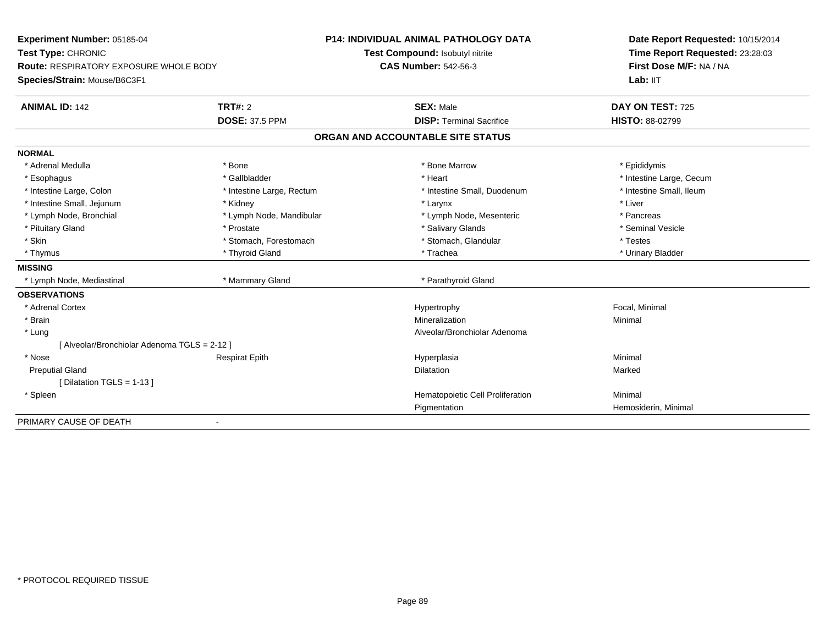| Experiment Number: 05185-04                  |                           | <b>P14: INDIVIDUAL ANIMAL PATHOLOGY DATA</b> | Date Report Requested: 10/15/2014<br>Time Report Requested: 23:28:03<br>First Dose M/F: NA / NA |
|----------------------------------------------|---------------------------|----------------------------------------------|-------------------------------------------------------------------------------------------------|
| Test Type: CHRONIC                           |                           | Test Compound: Isobutyl nitrite              |                                                                                                 |
| Route: RESPIRATORY EXPOSURE WHOLE BODY       |                           | <b>CAS Number: 542-56-3</b>                  |                                                                                                 |
| Species/Strain: Mouse/B6C3F1                 |                           |                                              | Lab: IIT                                                                                        |
| <b>ANIMAL ID: 142</b>                        | TRT#: 2                   | <b>SEX: Male</b>                             | DAY ON TEST: 725                                                                                |
|                                              | <b>DOSE: 37.5 PPM</b>     | <b>DISP: Terminal Sacrifice</b>              | <b>HISTO: 88-02799</b>                                                                          |
|                                              |                           | ORGAN AND ACCOUNTABLE SITE STATUS            |                                                                                                 |
| <b>NORMAL</b>                                |                           |                                              |                                                                                                 |
| * Adrenal Medulla                            | * Bone                    | * Bone Marrow                                | * Epididymis                                                                                    |
| * Esophagus                                  | * Gallbladder             | * Heart                                      | * Intestine Large, Cecum                                                                        |
| * Intestine Large, Colon                     | * Intestine Large, Rectum | * Intestine Small, Duodenum                  | * Intestine Small, Ileum                                                                        |
| * Intestine Small, Jejunum                   | * Kidney                  | * Larynx                                     | * Liver                                                                                         |
| * Lymph Node, Bronchial                      | * Lymph Node, Mandibular  | * Lymph Node, Mesenteric                     | * Pancreas                                                                                      |
| * Pituitary Gland                            | * Prostate                | * Salivary Glands                            | * Seminal Vesicle                                                                               |
| * Skin                                       | * Stomach, Forestomach    | * Stomach, Glandular                         | * Testes                                                                                        |
| * Thymus                                     | * Thyroid Gland           | * Trachea                                    | * Urinary Bladder                                                                               |
| <b>MISSING</b>                               |                           |                                              |                                                                                                 |
| * Lymph Node, Mediastinal                    | * Mammary Gland           | * Parathyroid Gland                          |                                                                                                 |
| <b>OBSERVATIONS</b>                          |                           |                                              |                                                                                                 |
| * Adrenal Cortex                             |                           | Hypertrophy                                  | Focal, Minimal                                                                                  |
| * Brain                                      |                           | Mineralization                               | Minimal                                                                                         |
| * Lung                                       |                           | Alveolar/Bronchiolar Adenoma                 |                                                                                                 |
| [ Alveolar/Bronchiolar Adenoma TGLS = 2-12 ] |                           |                                              |                                                                                                 |
| * Nose                                       | <b>Respirat Epith</b>     | Hyperplasia                                  | Minimal                                                                                         |
| <b>Preputial Gland</b>                       |                           | <b>Dilatation</b>                            | Marked                                                                                          |
| [Dilatation TGLS = 1-13]                     |                           |                                              |                                                                                                 |
| * Spleen                                     |                           | Hematopoietic Cell Proliferation             | Minimal                                                                                         |
|                                              |                           | Pigmentation                                 | Hemosiderin, Minimal                                                                            |
| PRIMARY CAUSE OF DEATH                       |                           |                                              |                                                                                                 |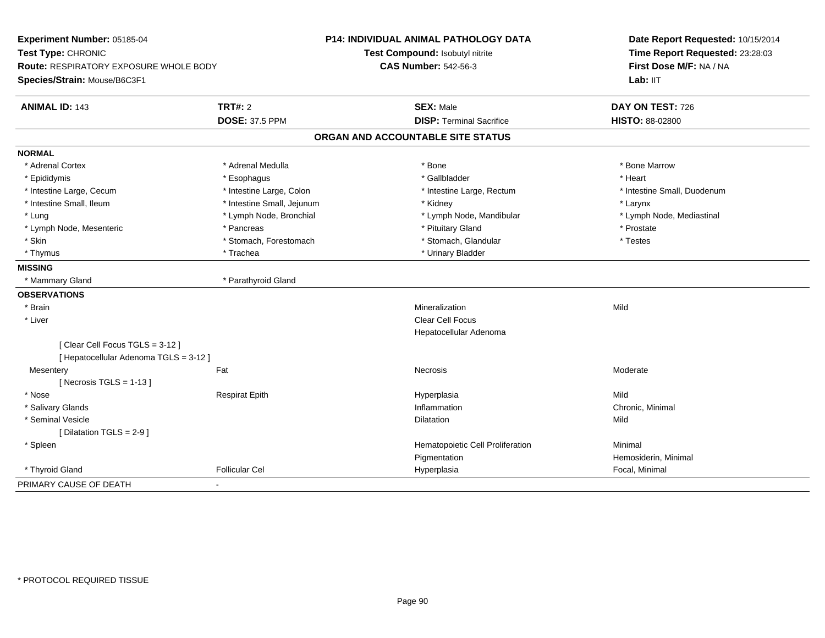| Experiment Number: 05185-04                                              |                            | P14: INDIVIDUAL ANIMAL PATHOLOGY DATA | Date Report Requested: 10/15/2014<br>Time Report Requested: 23:28:03<br>First Dose M/F: NA / NA |  |
|--------------------------------------------------------------------------|----------------------------|---------------------------------------|-------------------------------------------------------------------------------------------------|--|
| Test Type: CHRONIC                                                       |                            | Test Compound: Isobutyl nitrite       |                                                                                                 |  |
| Route: RESPIRATORY EXPOSURE WHOLE BODY                                   |                            | <b>CAS Number: 542-56-3</b>           |                                                                                                 |  |
| Species/Strain: Mouse/B6C3F1                                             |                            |                                       | Lab: IIT                                                                                        |  |
| <b>ANIMAL ID: 143</b>                                                    | TRT#: 2                    | <b>SEX: Male</b>                      | DAY ON TEST: 726                                                                                |  |
|                                                                          | <b>DOSE: 37.5 PPM</b>      | <b>DISP: Terminal Sacrifice</b>       | <b>HISTO: 88-02800</b>                                                                          |  |
|                                                                          |                            | ORGAN AND ACCOUNTABLE SITE STATUS     |                                                                                                 |  |
| <b>NORMAL</b>                                                            |                            |                                       |                                                                                                 |  |
| * Adrenal Cortex                                                         | * Adrenal Medulla          | * Bone                                | * Bone Marrow                                                                                   |  |
| * Epididymis                                                             | * Esophagus                | * Gallbladder                         | * Heart                                                                                         |  |
| * Intestine Large, Cecum                                                 | * Intestine Large, Colon   | * Intestine Large, Rectum             | * Intestine Small, Duodenum                                                                     |  |
| * Intestine Small, Ileum                                                 | * Intestine Small, Jejunum | * Kidney                              | * Larynx                                                                                        |  |
| * Lung                                                                   | * Lymph Node, Bronchial    | * Lymph Node, Mandibular              | * Lymph Node, Mediastinal                                                                       |  |
| * Lymph Node, Mesenteric                                                 | * Pancreas                 | * Pituitary Gland                     | * Prostate                                                                                      |  |
| * Skin                                                                   | * Stomach, Forestomach     | * Stomach, Glandular                  | * Testes                                                                                        |  |
| * Thymus                                                                 | * Trachea                  | * Urinary Bladder                     |                                                                                                 |  |
| <b>MISSING</b>                                                           |                            |                                       |                                                                                                 |  |
| * Mammary Gland                                                          | * Parathyroid Gland        |                                       |                                                                                                 |  |
| <b>OBSERVATIONS</b>                                                      |                            |                                       |                                                                                                 |  |
| * Brain                                                                  |                            | Mineralization                        | Mild                                                                                            |  |
| * Liver                                                                  |                            | <b>Clear Cell Focus</b>               |                                                                                                 |  |
|                                                                          |                            | Hepatocellular Adenoma                |                                                                                                 |  |
| [Clear Cell Focus TGLS = 3-12]<br>[ Hepatocellular Adenoma TGLS = 3-12 ] |                            |                                       |                                                                                                 |  |
| Fat<br>Mesentery                                                         |                            | <b>Necrosis</b>                       | Moderate                                                                                        |  |
| [Necrosis TGLS = $1-13$ ]                                                |                            |                                       |                                                                                                 |  |
| * Nose                                                                   | <b>Respirat Epith</b>      | Hyperplasia                           | Mild                                                                                            |  |
| * Salivary Glands                                                        |                            | Inflammation                          | Chronic, Minimal                                                                                |  |
| * Seminal Vesicle                                                        |                            | <b>Dilatation</b>                     | Mild                                                                                            |  |
| [ Dilatation TGLS = $2-9$ ]                                              |                            |                                       |                                                                                                 |  |
| * Spleen                                                                 |                            | Hematopoietic Cell Proliferation      | Minimal                                                                                         |  |
|                                                                          |                            | Pigmentation                          | Hemosiderin, Minimal                                                                            |  |
| * Thyroid Gland                                                          | <b>Follicular Cel</b>      | Hyperplasia                           | Focal, Minimal                                                                                  |  |
| PRIMARY CAUSE OF DEATH<br>$\blacksquare$                                 |                            |                                       |                                                                                                 |  |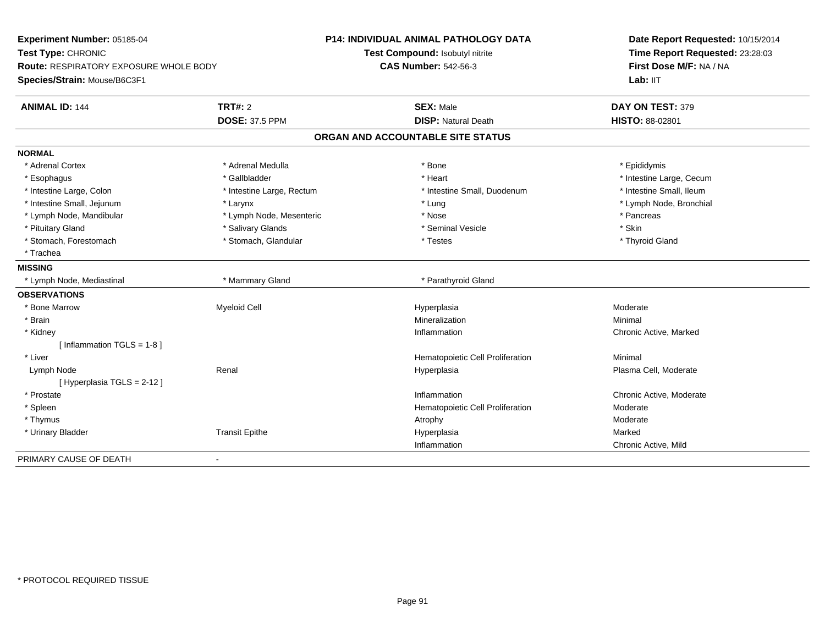| Experiment Number: 05185-04                   |                           | <b>P14: INDIVIDUAL ANIMAL PATHOLOGY DATA</b> | Date Report Requested: 10/15/2014<br>Time Report Requested: 23:28:03<br>First Dose M/F: NA / NA |
|-----------------------------------------------|---------------------------|----------------------------------------------|-------------------------------------------------------------------------------------------------|
| Test Type: CHRONIC                            |                           | Test Compound: Isobutyl nitrite              |                                                                                                 |
| <b>Route: RESPIRATORY EXPOSURE WHOLE BODY</b> |                           | <b>CAS Number: 542-56-3</b>                  |                                                                                                 |
| Species/Strain: Mouse/B6C3F1                  |                           |                                              | Lab: IIT                                                                                        |
| <b>ANIMAL ID: 144</b>                         | <b>TRT#: 2</b>            | <b>SEX: Male</b>                             | DAY ON TEST: 379                                                                                |
|                                               | <b>DOSE: 37.5 PPM</b>     | <b>DISP: Natural Death</b>                   | HISTO: 88-02801                                                                                 |
|                                               |                           | ORGAN AND ACCOUNTABLE SITE STATUS            |                                                                                                 |
| <b>NORMAL</b>                                 |                           |                                              |                                                                                                 |
| * Adrenal Cortex                              | * Adrenal Medulla         | * Bone                                       | * Epididymis                                                                                    |
| * Esophagus                                   | * Gallbladder             | * Heart                                      | * Intestine Large, Cecum                                                                        |
| * Intestine Large, Colon                      | * Intestine Large, Rectum | * Intestine Small, Duodenum                  | * Intestine Small, Ileum                                                                        |
| * Intestine Small, Jejunum                    | * Larynx                  | * Lung                                       | * Lymph Node, Bronchial                                                                         |
| * Lymph Node, Mandibular                      | * Lymph Node, Mesenteric  | * Nose                                       | * Pancreas                                                                                      |
| * Pituitary Gland                             | * Salivary Glands         | * Seminal Vesicle                            | * Skin                                                                                          |
| * Stomach, Forestomach                        | * Stomach, Glandular      | * Testes                                     | * Thyroid Gland                                                                                 |
| * Trachea                                     |                           |                                              |                                                                                                 |
| <b>MISSING</b>                                |                           |                                              |                                                                                                 |
| * Lymph Node, Mediastinal                     | * Mammary Gland           | * Parathyroid Gland                          |                                                                                                 |
| <b>OBSERVATIONS</b>                           |                           |                                              |                                                                                                 |
| * Bone Marrow                                 | <b>Myeloid Cell</b>       | Hyperplasia                                  | Moderate                                                                                        |
| * Brain                                       |                           | Mineralization                               | Minimal                                                                                         |
| * Kidney                                      |                           | Inflammation                                 | Chronic Active, Marked                                                                          |
| [ Inflammation TGLS = 1-8 ]                   |                           |                                              |                                                                                                 |
| * Liver                                       |                           | Hematopoietic Cell Proliferation             | Minimal                                                                                         |
| Lymph Node                                    | Renal                     | Hyperplasia                                  | Plasma Cell, Moderate                                                                           |
| [Hyperplasia TGLS = 2-12]                     |                           |                                              |                                                                                                 |
| * Prostate                                    |                           | Inflammation                                 | Chronic Active, Moderate                                                                        |
| * Spleen                                      |                           | Hematopoietic Cell Proliferation             | Moderate                                                                                        |
| * Thymus                                      |                           | Atrophy                                      | Moderate                                                                                        |
| * Urinary Bladder                             | <b>Transit Epithe</b>     | Hyperplasia                                  | Marked                                                                                          |
|                                               |                           | Inflammation                                 | Chronic Active, Mild                                                                            |
| PRIMARY CAUSE OF DEATH                        |                           |                                              |                                                                                                 |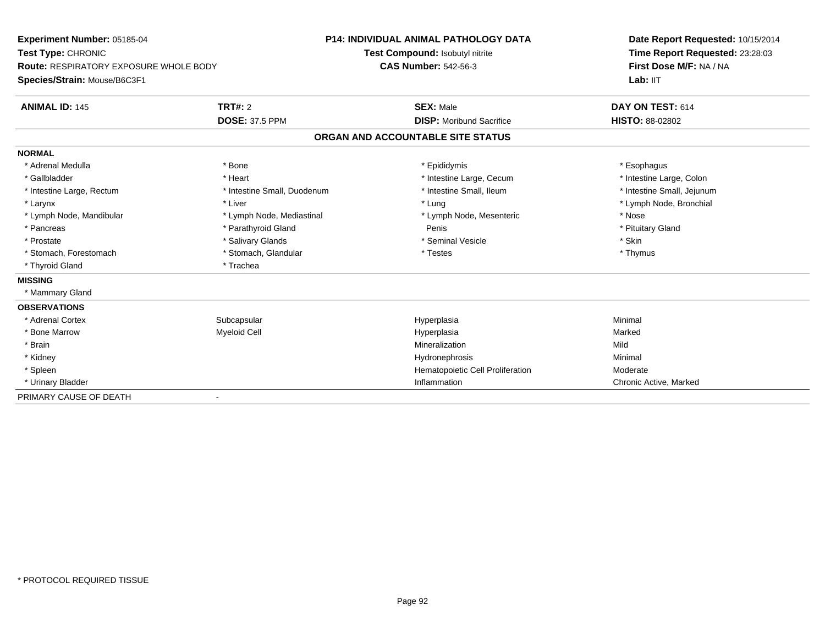**Experiment Number:** 05185-04**Test Type:** CHRONIC **Route:** RESPIRATORY EXPOSURE WHOLE BODY**Species/Strain:** Mouse/B6C3F1**P14: INDIVIDUAL ANIMAL PATHOLOGY DATATest Compound:** Isobutyl nitrite**CAS Number:** 542-56-3**Date Report Requested:** 10/15/2014**Time Report Requested:** 23:28:03**First Dose M/F:** NA / NA**Lab:** IIT**ANIMAL ID:** 145**TRT#:** 2 **SEX:** Male **DAY ON TEST:** 614 **DOSE:** 37.5 PPM **DISP:** Moribund Sacrifice **HISTO:** 88-02802 **ORGAN AND ACCOUNTABLE SITE STATUSNORMAL**\* Adrenal Medulla \* Adrenal Medulla \* \* \* example \* \* Bone \* \* \* Bone \* \* Epididymis \* \* Epididymis \* \* \* Esophagus \* Esophagus \* \* Esophagus \* \* Esophagus \* \* Esophagus \* \* Esophagus \* \* Esophagus \* \* Esophagus \* \* \* \* \* \* \* \* \* \* \* \* \* \* \* Intestine Large, Colon \* Gallbladder \* The mode of the state of the state of the state of the state of the state of the state of the state of the state of the state of the state of the state of the state of the state of the state of the state of \* Intestine Small, Jejunum \* Intestine Large, Rectum \* Intestine Small, Duodenum \* Intestine Small, Ileum \* Intestine Small, Ileum \* Larynx \* Liver \* Lung \* Lymph Node, Bronchial \* Lymph Node, Mandibular \* The state of the state of the Mediastinal \* Lymph Node, Mesenteric \* Nose \* Pituitary Gland \* Pancreas \* Parathyroid Gland \* Parathyroid Gland Penis \* Parathyroid Gland Penis \* Penis \* Penis \* Penis \* P \* Prostate \* \* Salivary Glands \* \* Salivary Glands \* \* Seminal Vesicle \* \* \* Seminal Yestrich \* \* Skin \* \* Skin \* Thymus \* Stomach, Forestomach \* Testes \* Stomach, Glandular \* Testes \* Testes \* Testes \* Testes \* \* Testes \* \* Testes \* \* Testes \* \* Testes \* \* Testes \* \* Testes \* \* Testes \* \* Testes \* \* Testes \* \* Testes \* \* Testes \* \* Testes \* \* Thyroid Gland \* Trachea**MISSING** \* Mammary Gland**OBSERVATIONS** \* Adrenal Cortexx Subcapsular Subcapsular Subsets and Hyperplasia a **Minimal**  \* Bone Marroww the matted of the Myeloid Cell the Marked of the Hyperplasia Marked Marked Marked Street and Marked Marked Street and Marked Street and Marked Street and Marked Street and Marked Street and Marked Street and Marked Stree \* Brainn and the control of the control of the control of the control of the control of the control of the control of the control of the control of the control of the control of the control of the control of the control of the co \* Kidneyy the control of the control of the control of the control of the control of the control of the control of the control of the control of the control of the control of the control of the control of the control of the contro \* SpleenHematopoietic Cell Proliferation<br>
Inflammation Chronic A \* Urinary Bladderr and the control of the control of the control of the control of the control of the control of the control of Chronic Active, Marked PRIMARY CAUSE OF DEATH-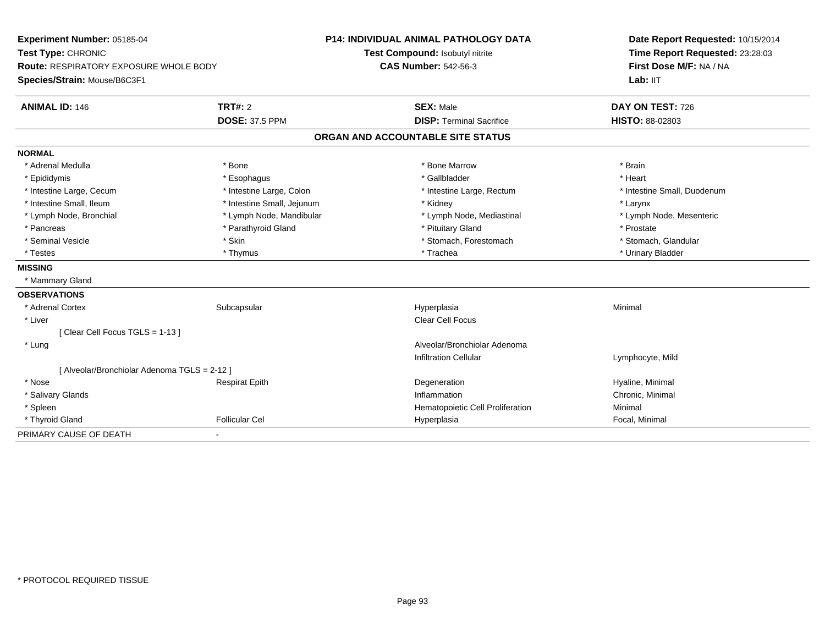| Experiment Number: 05185-04                |                            | <b>P14: INDIVIDUAL ANIMAL PATHOLOGY DATA</b> | Date Report Requested: 10/15/2014 |
|--------------------------------------------|----------------------------|----------------------------------------------|-----------------------------------|
| Test Type: CHRONIC                         |                            | Test Compound: Isobutyl nitrite              | Time Report Requested: 23:28:03   |
| Route: RESPIRATORY EXPOSURE WHOLE BODY     |                            | <b>CAS Number: 542-56-3</b>                  | First Dose M/F: NA / NA           |
| Species/Strain: Mouse/B6C3F1               |                            |                                              | Lab: IIT                          |
| <b>ANIMAL ID: 146</b>                      | <b>TRT#: 2</b>             | <b>SEX: Male</b>                             | DAY ON TEST: 726                  |
|                                            | <b>DOSE: 37.5 PPM</b>      | <b>DISP: Terminal Sacrifice</b>              | HISTO: 88-02803                   |
|                                            |                            | ORGAN AND ACCOUNTABLE SITE STATUS            |                                   |
| <b>NORMAL</b>                              |                            |                                              |                                   |
| * Adrenal Medulla                          | * Bone                     | * Bone Marrow                                | * Brain                           |
| * Epididymis                               | * Esophagus                | * Gallbladder                                | * Heart                           |
| * Intestine Large, Cecum                   | * Intestine Large, Colon   | * Intestine Large, Rectum                    | * Intestine Small, Duodenum       |
| * Intestine Small. Ileum                   | * Intestine Small, Jejunum | * Kidney                                     | * Larynx                          |
| * Lymph Node, Bronchial                    | * Lymph Node, Mandibular   | * Lymph Node, Mediastinal                    | * Lymph Node, Mesenteric          |
| * Pancreas                                 | * Parathyroid Gland        | * Pituitary Gland                            | * Prostate                        |
| * Seminal Vesicle                          | * Skin                     | * Stomach, Forestomach                       | * Stomach, Glandular              |
| * Testes                                   | * Thymus                   | * Trachea                                    | * Urinary Bladder                 |
| <b>MISSING</b>                             |                            |                                              |                                   |
| * Mammary Gland                            |                            |                                              |                                   |
| <b>OBSERVATIONS</b>                        |                            |                                              |                                   |
| * Adrenal Cortex                           | Subcapsular                | Hyperplasia                                  | Minimal                           |
| * Liver                                    |                            | <b>Clear Cell Focus</b>                      |                                   |
| [Clear Cell Focus TGLS = 1-13]             |                            |                                              |                                   |
| * Lung                                     |                            | Alveolar/Bronchiolar Adenoma                 |                                   |
|                                            |                            | <b>Infiltration Cellular</b>                 | Lymphocyte, Mild                  |
| [Alveolar/Bronchiolar Adenoma TGLS = 2-12] |                            |                                              |                                   |
| * Nose                                     | <b>Respirat Epith</b>      | Degeneration                                 | Hyaline, Minimal                  |
| * Salivary Glands                          |                            | Inflammation                                 | Chronic, Minimal                  |
| * Spleen                                   |                            | Hematopoietic Cell Proliferation             | Minimal                           |
| * Thyroid Gland                            | <b>Follicular Cel</b>      | Hyperplasia                                  | Focal, Minimal                    |
| PRIMARY CAUSE OF DEATH                     |                            |                                              |                                   |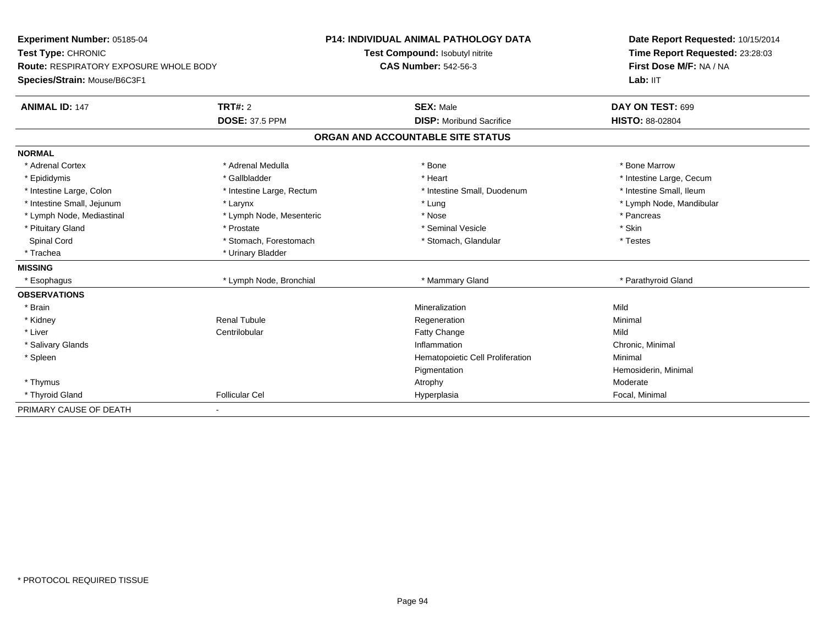| Experiment Number: 05185-04                   |                           | <b>P14: INDIVIDUAL ANIMAL PATHOLOGY DATA</b> | Date Report Requested: 10/15/2014<br>Time Report Requested: 23:28:03 |  |
|-----------------------------------------------|---------------------------|----------------------------------------------|----------------------------------------------------------------------|--|
| Test Type: CHRONIC                            |                           | Test Compound: Isobutyl nitrite              |                                                                      |  |
| <b>Route: RESPIRATORY EXPOSURE WHOLE BODY</b> |                           | <b>CAS Number: 542-56-3</b>                  | First Dose M/F: NA / NA                                              |  |
| Species/Strain: Mouse/B6C3F1                  |                           |                                              | Lab: IIT                                                             |  |
| <b>ANIMAL ID: 147</b>                         | <b>TRT#: 2</b>            | <b>SEX: Male</b>                             | DAY ON TEST: 699                                                     |  |
|                                               | <b>DOSE: 37.5 PPM</b>     | <b>DISP:</b> Moribund Sacrifice              | <b>HISTO: 88-02804</b>                                               |  |
|                                               |                           | ORGAN AND ACCOUNTABLE SITE STATUS            |                                                                      |  |
| <b>NORMAL</b>                                 |                           |                                              |                                                                      |  |
| * Adrenal Cortex                              | * Adrenal Medulla         | * Bone                                       | * Bone Marrow                                                        |  |
| * Epididymis                                  | * Gallbladder             | * Heart                                      | * Intestine Large, Cecum                                             |  |
| * Intestine Large, Colon                      | * Intestine Large, Rectum | * Intestine Small, Duodenum                  | * Intestine Small, Ileum                                             |  |
| * Intestine Small, Jejunum                    | * Larynx                  | * Lung                                       | * Lymph Node, Mandibular                                             |  |
| * Lymph Node, Mediastinal                     | * Lymph Node, Mesenteric  | * Nose                                       | * Pancreas                                                           |  |
| * Pituitary Gland                             | * Prostate                | * Seminal Vesicle                            | * Skin                                                               |  |
| Spinal Cord                                   | * Stomach, Forestomach    | * Stomach, Glandular                         | * Testes                                                             |  |
| * Trachea                                     | * Urinary Bladder         |                                              |                                                                      |  |
| <b>MISSING</b>                                |                           |                                              |                                                                      |  |
| * Esophagus                                   | * Lymph Node, Bronchial   | * Mammary Gland                              | * Parathyroid Gland                                                  |  |
| <b>OBSERVATIONS</b>                           |                           |                                              |                                                                      |  |
| * Brain                                       |                           | Mineralization                               | Mild                                                                 |  |
| * Kidney                                      | <b>Renal Tubule</b>       | Regeneration                                 | Minimal                                                              |  |
| * Liver                                       | Centrilobular             | <b>Fatty Change</b>                          | Mild                                                                 |  |
| * Salivary Glands                             |                           | Inflammation                                 | Chronic, Minimal                                                     |  |
| * Spleen                                      |                           | Hematopoietic Cell Proliferation             | Minimal                                                              |  |
|                                               |                           | Pigmentation                                 | Hemosiderin, Minimal                                                 |  |
| * Thymus                                      |                           | Atrophy                                      | Moderate                                                             |  |
| * Thyroid Gland                               | <b>Follicular Cel</b>     | Hyperplasia                                  | Focal, Minimal                                                       |  |
| PRIMARY CAUSE OF DEATH                        |                           |                                              |                                                                      |  |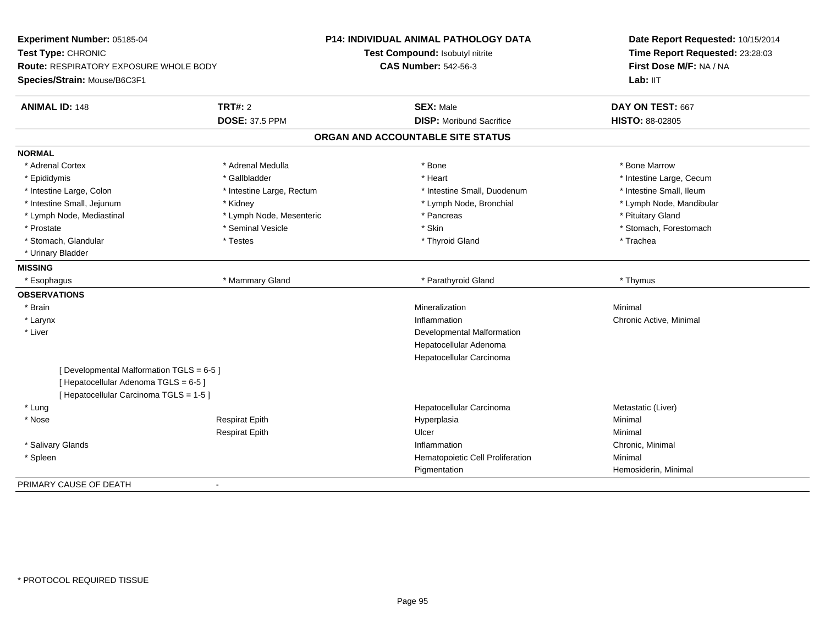| Experiment Number: 05185-04                   |                           | P14: INDIVIDUAL ANIMAL PATHOLOGY DATA | Date Report Requested: 10/15/2014<br>Time Report Requested: 23:28:03 |  |
|-----------------------------------------------|---------------------------|---------------------------------------|----------------------------------------------------------------------|--|
| Test Type: CHRONIC                            |                           | Test Compound: Isobutyl nitrite       |                                                                      |  |
| <b>Route: RESPIRATORY EXPOSURE WHOLE BODY</b> |                           | <b>CAS Number: 542-56-3</b>           | First Dose M/F: NA / NA                                              |  |
| Species/Strain: Mouse/B6C3F1                  |                           |                                       | Lab: IIT                                                             |  |
| <b>ANIMAL ID: 148</b>                         | <b>TRT#: 2</b>            | <b>SEX: Male</b>                      | DAY ON TEST: 667                                                     |  |
|                                               | <b>DOSE: 37.5 PPM</b>     | <b>DISP:</b> Moribund Sacrifice       | <b>HISTO: 88-02805</b>                                               |  |
|                                               |                           | ORGAN AND ACCOUNTABLE SITE STATUS     |                                                                      |  |
| <b>NORMAL</b>                                 |                           |                                       |                                                                      |  |
| * Adrenal Cortex                              | * Adrenal Medulla         | * Bone                                | * Bone Marrow                                                        |  |
| * Epididymis                                  | * Gallbladder             | * Heart                               | * Intestine Large, Cecum                                             |  |
| * Intestine Large, Colon                      | * Intestine Large, Rectum | * Intestine Small, Duodenum           | * Intestine Small, Ileum                                             |  |
| * Intestine Small, Jejunum                    | * Kidney                  | * Lymph Node, Bronchial               | * Lymph Node, Mandibular                                             |  |
| * Lymph Node, Mediastinal                     | * Lymph Node, Mesenteric  | * Pancreas                            | * Pituitary Gland                                                    |  |
| * Prostate                                    | * Seminal Vesicle         | * Skin                                | * Stomach, Forestomach                                               |  |
| * Stomach, Glandular                          | * Testes                  | * Thyroid Gland                       | * Trachea                                                            |  |
| * Urinary Bladder                             |                           |                                       |                                                                      |  |
| <b>MISSING</b>                                |                           |                                       |                                                                      |  |
| * Esophagus                                   | * Mammary Gland           | * Parathyroid Gland                   | * Thymus                                                             |  |
| <b>OBSERVATIONS</b>                           |                           |                                       |                                                                      |  |
| * Brain                                       |                           | Mineralization                        | Minimal                                                              |  |
| * Larynx                                      |                           | Inflammation                          | Chronic Active, Minimal                                              |  |
| * Liver                                       |                           | Developmental Malformation            |                                                                      |  |
|                                               |                           | Hepatocellular Adenoma                |                                                                      |  |
|                                               |                           | Hepatocellular Carcinoma              |                                                                      |  |
| [Developmental Malformation TGLS = 6-5]       |                           |                                       |                                                                      |  |
| [Hepatocellular Adenoma TGLS = 6-5]           |                           |                                       |                                                                      |  |
| [ Hepatocellular Carcinoma TGLS = 1-5 ]       |                           |                                       |                                                                      |  |
| * Lung                                        |                           | Hepatocellular Carcinoma              | Metastatic (Liver)                                                   |  |
| * Nose                                        | <b>Respirat Epith</b>     | Hyperplasia                           | Minimal                                                              |  |
|                                               | <b>Respirat Epith</b>     | Ulcer                                 | Minimal                                                              |  |
| * Salivary Glands                             |                           | Inflammation                          | Chronic, Minimal                                                     |  |
| * Spleen                                      |                           | Hematopoietic Cell Proliferation      | Minimal                                                              |  |
|                                               |                           | Pigmentation                          | Hemosiderin, Minimal                                                 |  |
| PRIMARY CAUSE OF DEATH                        | $\overline{\phantom{a}}$  |                                       |                                                                      |  |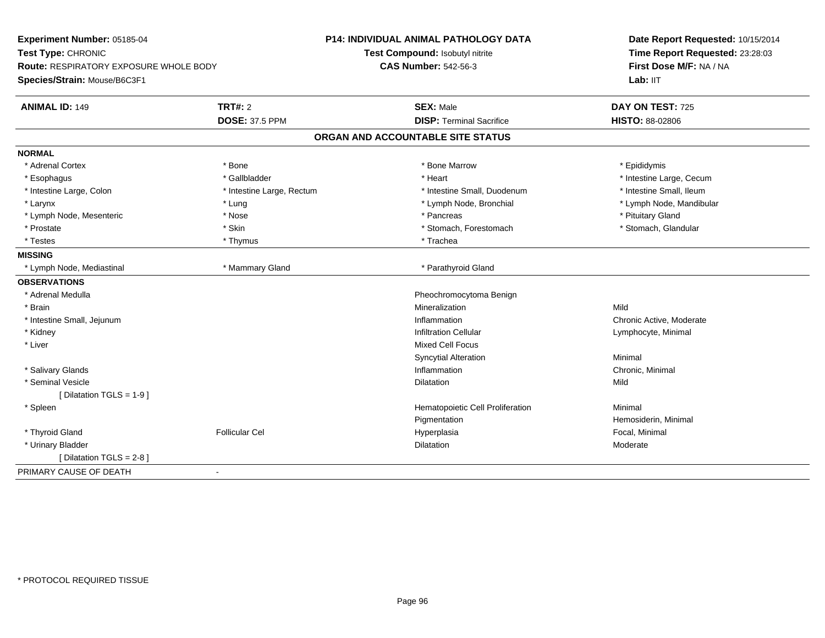| Experiment Number: 05185-04<br>Test Type: CHRONIC<br>Route: RESPIRATORY EXPOSURE WHOLE BODY<br>Species/Strain: Mouse/B6C3F1 |                           | <b>P14: INDIVIDUAL ANIMAL PATHOLOGY DATA</b><br>Test Compound: Isobutyl nitrite<br><b>CAS Number: 542-56-3</b> | Date Report Requested: 10/15/2014<br>Time Report Requested: 23:28:03<br>First Dose M/F: NA / NA<br>Lab: IIT |
|-----------------------------------------------------------------------------------------------------------------------------|---------------------------|----------------------------------------------------------------------------------------------------------------|-------------------------------------------------------------------------------------------------------------|
| <b>ANIMAL ID: 149</b>                                                                                                       | <b>TRT#: 2</b>            | <b>SEX: Male</b>                                                                                               | DAY ON TEST: 725                                                                                            |
|                                                                                                                             | <b>DOSE: 37.5 PPM</b>     | <b>DISP: Terminal Sacrifice</b>                                                                                | <b>HISTO: 88-02806</b>                                                                                      |
|                                                                                                                             |                           | ORGAN AND ACCOUNTABLE SITE STATUS                                                                              |                                                                                                             |
| <b>NORMAL</b>                                                                                                               |                           |                                                                                                                |                                                                                                             |
| * Adrenal Cortex                                                                                                            | * Bone                    | * Bone Marrow                                                                                                  | * Epididymis                                                                                                |
| * Esophagus                                                                                                                 | * Gallbladder             | * Heart                                                                                                        | * Intestine Large, Cecum                                                                                    |
| * Intestine Large, Colon                                                                                                    | * Intestine Large, Rectum | * Intestine Small, Duodenum                                                                                    | * Intestine Small, Ileum                                                                                    |
| * Larynx                                                                                                                    | * Lung                    | * Lymph Node, Bronchial                                                                                        | * Lymph Node, Mandibular                                                                                    |
| * Lymph Node, Mesenteric                                                                                                    | * Nose                    | * Pancreas                                                                                                     | * Pituitary Gland                                                                                           |
| * Prostate                                                                                                                  | * Skin                    | * Stomach, Forestomach                                                                                         | * Stomach, Glandular                                                                                        |
| * Testes                                                                                                                    | * Thymus                  | * Trachea                                                                                                      |                                                                                                             |
| <b>MISSING</b>                                                                                                              |                           |                                                                                                                |                                                                                                             |
| * Lymph Node, Mediastinal                                                                                                   | * Mammary Gland           | * Parathyroid Gland                                                                                            |                                                                                                             |
| <b>OBSERVATIONS</b>                                                                                                         |                           |                                                                                                                |                                                                                                             |
| * Adrenal Medulla                                                                                                           |                           | Pheochromocytoma Benign                                                                                        |                                                                                                             |
| * Brain                                                                                                                     |                           | Mineralization                                                                                                 | Mild                                                                                                        |
| * Intestine Small, Jejunum                                                                                                  |                           | Inflammation                                                                                                   | Chronic Active, Moderate                                                                                    |
| * Kidney                                                                                                                    |                           | <b>Infiltration Cellular</b>                                                                                   | Lymphocyte, Minimal                                                                                         |
| * Liver                                                                                                                     |                           | <b>Mixed Cell Focus</b>                                                                                        |                                                                                                             |
|                                                                                                                             |                           | <b>Syncytial Alteration</b>                                                                                    | Minimal                                                                                                     |
| * Salivary Glands                                                                                                           |                           | Inflammation                                                                                                   | Chronic, Minimal                                                                                            |
| * Seminal Vesicle                                                                                                           |                           | <b>Dilatation</b>                                                                                              | Mild                                                                                                        |
| [Dilatation TGLS = 1-9]                                                                                                     |                           |                                                                                                                |                                                                                                             |
| * Spleen                                                                                                                    |                           | Hematopoietic Cell Proliferation                                                                               | Minimal                                                                                                     |
|                                                                                                                             |                           | Pigmentation                                                                                                   | Hemosiderin, Minimal                                                                                        |
| * Thyroid Gland                                                                                                             | <b>Follicular Cel</b>     | Hyperplasia                                                                                                    | Focal, Minimal                                                                                              |
| * Urinary Bladder                                                                                                           |                           | <b>Dilatation</b>                                                                                              | Moderate                                                                                                    |
| [Dilatation TGLS = 2-8]                                                                                                     |                           |                                                                                                                |                                                                                                             |
| PRIMARY CAUSE OF DEATH                                                                                                      | ۰                         |                                                                                                                |                                                                                                             |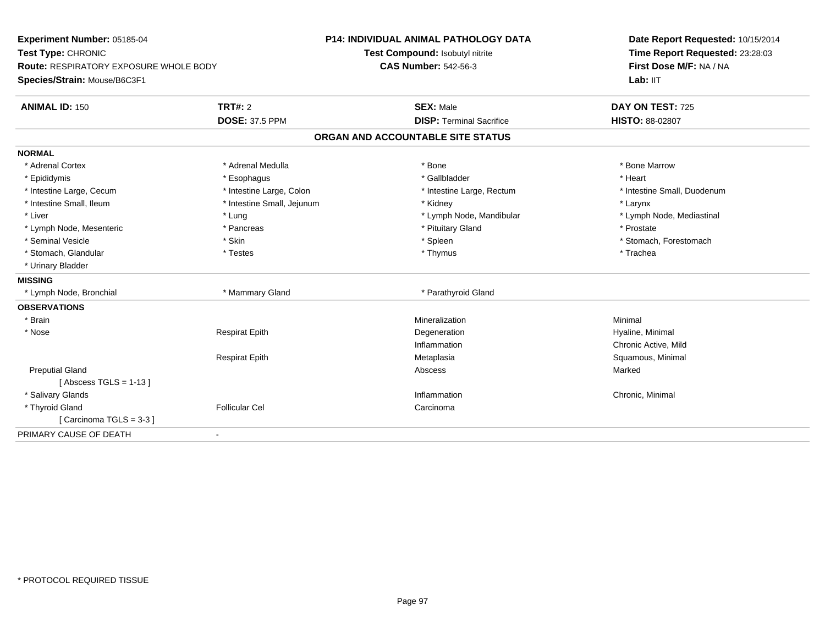| Experiment Number: 05185-04                   |                            | <b>P14: INDIVIDUAL ANIMAL PATHOLOGY DATA</b> | Date Report Requested: 10/15/2014                          |
|-----------------------------------------------|----------------------------|----------------------------------------------|------------------------------------------------------------|
| Test Type: CHRONIC                            |                            | Test Compound: Isobutyl nitrite              | Time Report Requested: 23:28:03<br>First Dose M/F: NA / NA |
| <b>Route: RESPIRATORY EXPOSURE WHOLE BODY</b> |                            | <b>CAS Number: 542-56-3</b>                  |                                                            |
| Species/Strain: Mouse/B6C3F1                  |                            |                                              | Lab: IIT                                                   |
| <b>ANIMAL ID: 150</b>                         | <b>TRT#: 2</b>             | <b>SEX: Male</b>                             | DAY ON TEST: 725                                           |
|                                               | <b>DOSE: 37.5 PPM</b>      | <b>DISP: Terminal Sacrifice</b>              | <b>HISTO: 88-02807</b>                                     |
|                                               |                            | ORGAN AND ACCOUNTABLE SITE STATUS            |                                                            |
| <b>NORMAL</b>                                 |                            |                                              |                                                            |
| * Adrenal Cortex                              | * Adrenal Medulla          | * Bone                                       | * Bone Marrow                                              |
| * Epididymis                                  | * Esophagus                | * Gallbladder                                | * Heart                                                    |
| * Intestine Large, Cecum                      | * Intestine Large, Colon   | * Intestine Large, Rectum                    | * Intestine Small, Duodenum                                |
| * Intestine Small, Ileum                      | * Intestine Small, Jejunum | * Kidney                                     | * Larynx                                                   |
| * Liver                                       | * Lung                     | * Lymph Node, Mandibular                     | * Lymph Node, Mediastinal                                  |
| * Lymph Node, Mesenteric                      | * Pancreas                 | * Pituitary Gland                            | * Prostate                                                 |
| * Seminal Vesicle                             | * Skin                     | * Spleen                                     | * Stomach, Forestomach                                     |
| * Stomach, Glandular                          | * Testes                   | * Thymus                                     | * Trachea                                                  |
| * Urinary Bladder                             |                            |                                              |                                                            |
| <b>MISSING</b>                                |                            |                                              |                                                            |
| * Lymph Node, Bronchial                       | * Mammary Gland            | * Parathyroid Gland                          |                                                            |
| <b>OBSERVATIONS</b>                           |                            |                                              |                                                            |
| * Brain                                       |                            | Mineralization                               | Minimal                                                    |
| * Nose                                        | <b>Respirat Epith</b>      | Degeneration                                 | Hyaline, Minimal                                           |
|                                               |                            | Inflammation                                 | Chronic Active, Mild                                       |
|                                               | <b>Respirat Epith</b>      | Metaplasia                                   | Squamous, Minimal                                          |
| <b>Preputial Gland</b>                        |                            | Abscess                                      | Marked                                                     |
| [Abscess TGLS = $1-13$ ]                      |                            |                                              |                                                            |
| * Salivary Glands                             |                            | Inflammation                                 | Chronic, Minimal                                           |
| * Thyroid Gland                               | <b>Follicular Cel</b>      | Carcinoma                                    |                                                            |
| Carcinoma TGLS = 3-3 1                        |                            |                                              |                                                            |
| PRIMARY CAUSE OF DEATH<br>$\blacksquare$      |                            |                                              |                                                            |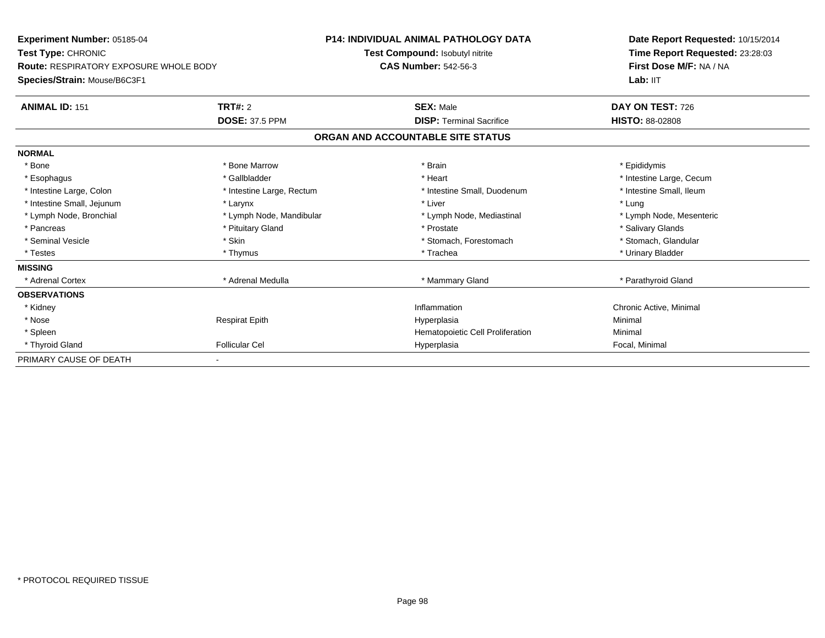| <b>Experiment Number: 05185-04</b><br>Test Type: CHRONIC<br><b>Route: RESPIRATORY EXPOSURE WHOLE BODY</b> |                           | <b>P14: INDIVIDUAL ANIMAL PATHOLOGY DATA</b> | Date Report Requested: 10/15/2014<br>Time Report Requested: 23:28:03<br>First Dose M/F: NA / NA |
|-----------------------------------------------------------------------------------------------------------|---------------------------|----------------------------------------------|-------------------------------------------------------------------------------------------------|
|                                                                                                           |                           | Test Compound: Isobutyl nitrite              |                                                                                                 |
|                                                                                                           |                           | <b>CAS Number: 542-56-3</b>                  |                                                                                                 |
| Species/Strain: Mouse/B6C3F1                                                                              |                           |                                              | Lab: IIT                                                                                        |
| <b>ANIMAL ID: 151</b>                                                                                     | TRT#: 2                   | <b>SEX: Male</b>                             | DAY ON TEST: 726                                                                                |
|                                                                                                           | <b>DOSE: 37.5 PPM</b>     | <b>DISP: Terminal Sacrifice</b>              | <b>HISTO: 88-02808</b>                                                                          |
|                                                                                                           |                           | ORGAN AND ACCOUNTABLE SITE STATUS            |                                                                                                 |
| <b>NORMAL</b>                                                                                             |                           |                                              |                                                                                                 |
| * Bone                                                                                                    | * Bone Marrow             | * Brain                                      | * Epididymis                                                                                    |
| * Esophagus                                                                                               | * Gallbladder             | * Heart                                      | * Intestine Large, Cecum                                                                        |
| * Intestine Large, Colon                                                                                  | * Intestine Large, Rectum | * Intestine Small, Duodenum                  | * Intestine Small, Ileum                                                                        |
| * Intestine Small, Jejunum                                                                                | * Larynx                  | * Liver                                      | * Lung                                                                                          |
| * Lymph Node, Bronchial                                                                                   | * Lymph Node, Mandibular  | * Lymph Node, Mediastinal                    | * Lymph Node, Mesenteric                                                                        |
| * Pancreas                                                                                                | * Pituitary Gland         | * Prostate                                   | * Salivary Glands                                                                               |
| * Seminal Vesicle                                                                                         | * Skin                    | * Stomach, Forestomach                       | * Stomach, Glandular                                                                            |
| * Testes                                                                                                  | * Thymus                  | * Trachea                                    | * Urinary Bladder                                                                               |
| <b>MISSING</b>                                                                                            |                           |                                              |                                                                                                 |
| * Adrenal Cortex                                                                                          | * Adrenal Medulla         | * Mammary Gland                              | * Parathyroid Gland                                                                             |
| <b>OBSERVATIONS</b>                                                                                       |                           |                                              |                                                                                                 |
| * Kidney                                                                                                  |                           | Inflammation                                 | Chronic Active, Minimal                                                                         |
| * Nose                                                                                                    | <b>Respirat Epith</b>     | Hyperplasia                                  | Minimal                                                                                         |
| * Spleen                                                                                                  |                           | Hematopoietic Cell Proliferation             | Minimal                                                                                         |
| * Thyroid Gland                                                                                           | <b>Follicular Cel</b>     | Hyperplasia                                  | Focal, Minimal                                                                                  |
| PRIMARY CAUSE OF DEATH                                                                                    |                           |                                              |                                                                                                 |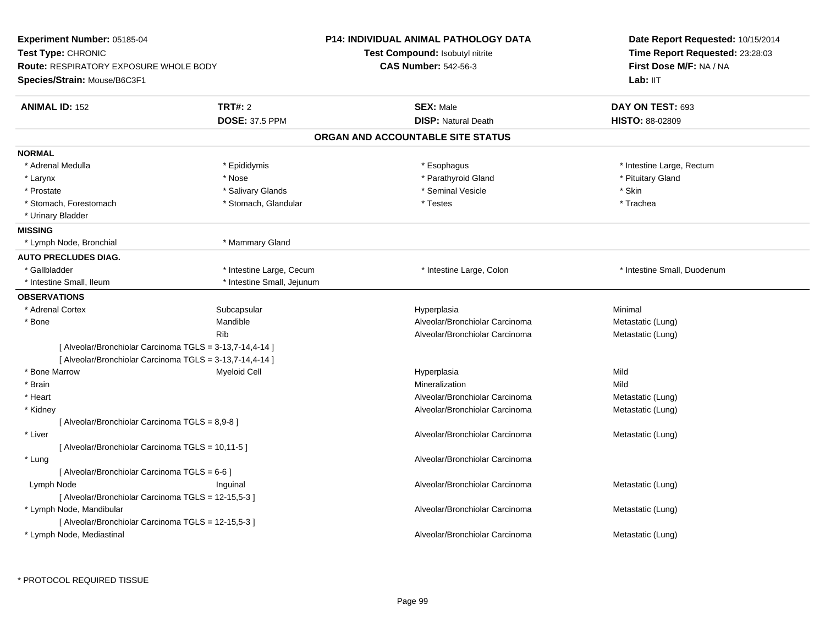| Experiment Number: 05185-04                                                                         |                            | <b>P14: INDIVIDUAL ANIMAL PATHOLOGY DATA</b> | Date Report Requested: 10/15/2014                          |
|-----------------------------------------------------------------------------------------------------|----------------------------|----------------------------------------------|------------------------------------------------------------|
| Test Type: CHRONIC<br><b>Route: RESPIRATORY EXPOSURE WHOLE BODY</b><br>Species/Strain: Mouse/B6C3F1 |                            | <b>Test Compound: Isobutyl nitrite</b>       | Time Report Requested: 23:28:03<br>First Dose M/F: NA / NA |
|                                                                                                     |                            | <b>CAS Number: 542-56-3</b>                  |                                                            |
|                                                                                                     |                            |                                              | Lab: II <sub>T</sub>                                       |
| <b>ANIMAL ID: 152</b>                                                                               | <b>TRT#: 2</b>             | <b>SEX: Male</b>                             | DAY ON TEST: 693                                           |
|                                                                                                     | <b>DOSE: 37.5 PPM</b>      | <b>DISP: Natural Death</b>                   | <b>HISTO: 88-02809</b>                                     |
|                                                                                                     |                            | ORGAN AND ACCOUNTABLE SITE STATUS            |                                                            |
| <b>NORMAL</b>                                                                                       |                            |                                              |                                                            |
| * Adrenal Medulla                                                                                   | * Epididymis               | * Esophagus                                  | * Intestine Large, Rectum                                  |
| * Larynx                                                                                            | * Nose                     | * Parathyroid Gland                          | * Pituitary Gland                                          |
| * Prostate                                                                                          | * Salivary Glands          | * Seminal Vesicle                            | * Skin                                                     |
| * Stomach, Forestomach                                                                              | * Stomach, Glandular       | * Testes                                     | * Trachea                                                  |
| * Urinary Bladder                                                                                   |                            |                                              |                                                            |
| <b>MISSING</b>                                                                                      |                            |                                              |                                                            |
| * Lymph Node, Bronchial                                                                             | * Mammary Gland            |                                              |                                                            |
| <b>AUTO PRECLUDES DIAG.</b>                                                                         |                            |                                              |                                                            |
| * Gallbladder                                                                                       | * Intestine Large, Cecum   | * Intestine Large, Colon                     | * Intestine Small, Duodenum                                |
| * Intestine Small, Ileum                                                                            | * Intestine Small, Jejunum |                                              |                                                            |
| <b>OBSERVATIONS</b>                                                                                 |                            |                                              |                                                            |
| * Adrenal Cortex                                                                                    | Subcapsular                | Hyperplasia                                  | Minimal                                                    |
| * Bone                                                                                              | Mandible                   | Alveolar/Bronchiolar Carcinoma               | Metastatic (Lung)                                          |
|                                                                                                     | <b>Rib</b>                 | Alveolar/Bronchiolar Carcinoma               | Metastatic (Lung)                                          |
| [ Alveolar/Bronchiolar Carcinoma TGLS = 3-13,7-14,4-14 ]                                            |                            |                                              |                                                            |
| [ Alveolar/Bronchiolar Carcinoma TGLS = 3-13,7-14,4-14 ]                                            |                            |                                              |                                                            |
| * Bone Marrow                                                                                       | <b>Myeloid Cell</b>        | Hyperplasia                                  | Mild                                                       |
| * Brain                                                                                             |                            | Mineralization                               | Mild                                                       |
| * Heart                                                                                             |                            | Alveolar/Bronchiolar Carcinoma               | Metastatic (Lung)                                          |
| * Kidney                                                                                            |                            | Alveolar/Bronchiolar Carcinoma               | Metastatic (Lung)                                          |
| [ Alveolar/Bronchiolar Carcinoma TGLS = 8,9-8 ]                                                     |                            |                                              |                                                            |
| * Liver                                                                                             |                            | Alveolar/Bronchiolar Carcinoma               | Metastatic (Lung)                                          |
| [ Alveolar/Bronchiolar Carcinoma TGLS = 10,11-5 ]                                                   |                            |                                              |                                                            |
| * Lung                                                                                              |                            | Alveolar/Bronchiolar Carcinoma               |                                                            |
| [ Alveolar/Bronchiolar Carcinoma TGLS = 6-6 ]                                                       |                            |                                              |                                                            |
| Lymph Node                                                                                          | Inguinal                   | Alveolar/Bronchiolar Carcinoma               | Metastatic (Lung)                                          |
| [ Alveolar/Bronchiolar Carcinoma TGLS = 12-15,5-3 ]                                                 |                            |                                              |                                                            |
| * Lymph Node, Mandibular                                                                            |                            | Alveolar/Bronchiolar Carcinoma               | Metastatic (Lung)                                          |
| [ Alveolar/Bronchiolar Carcinoma TGLS = 12-15,5-3 ]                                                 |                            |                                              |                                                            |
| * Lymph Node, Mediastinal                                                                           |                            | Alveolar/Bronchiolar Carcinoma               | Metastatic (Lung)                                          |
|                                                                                                     |                            |                                              |                                                            |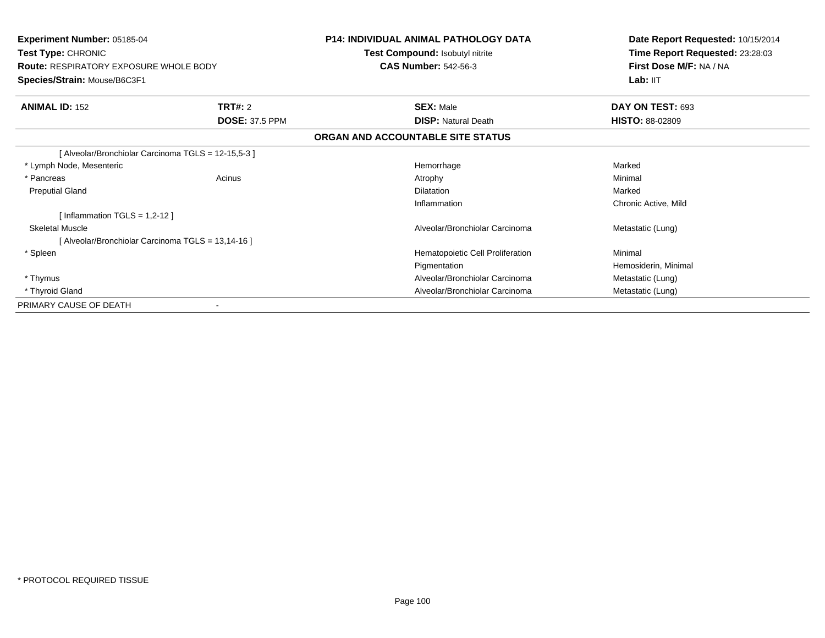| Experiment Number: 05185-04<br><b>Test Type: CHRONIC</b> |                       | <b>P14: INDIVIDUAL ANIMAL PATHOLOGY DATA</b><br>Test Compound: Isobutyl nitrite | Date Report Requested: 10/15/2014<br>Time Report Requested: 23:28:03 |
|----------------------------------------------------------|-----------------------|---------------------------------------------------------------------------------|----------------------------------------------------------------------|
| <b>Route: RESPIRATORY EXPOSURE WHOLE BODY</b>            |                       | <b>CAS Number: 542-56-3</b>                                                     | First Dose M/F: NA / NA                                              |
| Species/Strain: Mouse/B6C3F1                             |                       |                                                                                 | Lab: IIT                                                             |
| <b>ANIMAL ID: 152</b>                                    | <b>TRT#: 2</b>        | <b>SEX: Male</b>                                                                | DAY ON TEST: 693                                                     |
|                                                          | <b>DOSE: 37.5 PPM</b> | <b>DISP: Natural Death</b>                                                      | <b>HISTO: 88-02809</b>                                               |
|                                                          |                       | ORGAN AND ACCOUNTABLE SITE STATUS                                               |                                                                      |
| [Alveolar/Bronchiolar Carcinoma TGLS = 12-15,5-3]        |                       |                                                                                 |                                                                      |
| * Lymph Node, Mesenteric                                 |                       | Hemorrhage                                                                      | Marked                                                               |
| * Pancreas                                               | Acinus                | Atrophy                                                                         | Minimal                                                              |
| <b>Preputial Gland</b>                                   |                       | <b>Dilatation</b>                                                               | Marked                                                               |
|                                                          |                       | Inflammation                                                                    | Chronic Active, Mild                                                 |
| [Inflammation TGLS = $1,2-12$ ]                          |                       |                                                                                 |                                                                      |
| <b>Skeletal Muscle</b>                                   |                       | Alveolar/Bronchiolar Carcinoma                                                  | Metastatic (Lung)                                                    |
| [Alveolar/Bronchiolar Carcinoma TGLS = 13,14-16]         |                       |                                                                                 |                                                                      |
| * Spleen                                                 |                       | Hematopoietic Cell Proliferation                                                | Minimal                                                              |
|                                                          |                       | Pigmentation                                                                    | Hemosiderin, Minimal                                                 |
| * Thymus                                                 |                       | Alveolar/Bronchiolar Carcinoma                                                  | Metastatic (Lung)                                                    |
| * Thyroid Gland                                          |                       | Alveolar/Bronchiolar Carcinoma                                                  | Metastatic (Lung)                                                    |
| PRIMARY CAUSE OF DEATH                                   |                       |                                                                                 |                                                                      |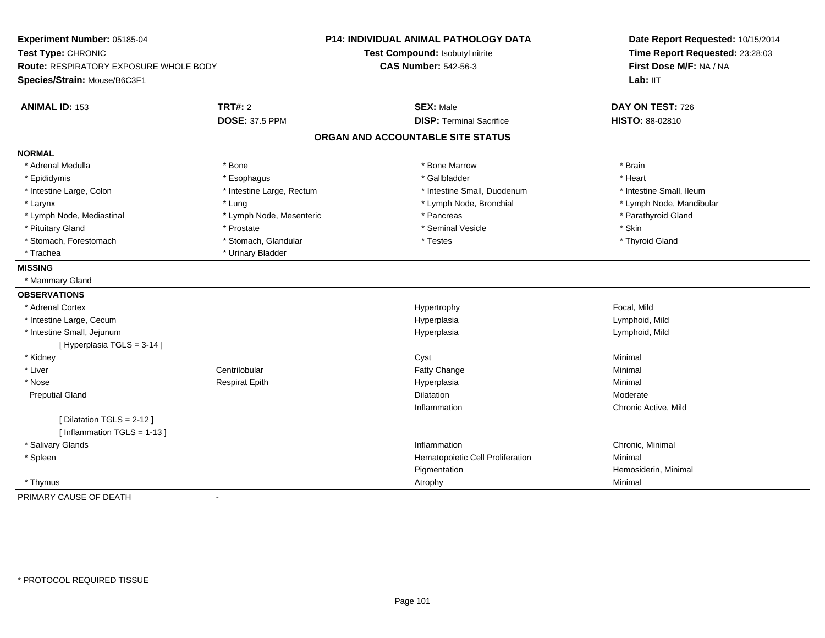| Experiment Number: 05185-04<br>Test Type: CHRONIC |                           | <b>P14: INDIVIDUAL ANIMAL PATHOLOGY DATA</b><br>Test Compound: Isobutyl nitrite | Date Report Requested: 10/15/2014<br>Time Report Requested: 23:28:03<br>First Dose M/F: NA / NA |
|---------------------------------------------------|---------------------------|---------------------------------------------------------------------------------|-------------------------------------------------------------------------------------------------|
| Route: RESPIRATORY EXPOSURE WHOLE BODY            |                           | <b>CAS Number: 542-56-3</b>                                                     |                                                                                                 |
| Species/Strain: Mouse/B6C3F1                      |                           |                                                                                 | Lab: IIT                                                                                        |
| <b>ANIMAL ID: 153</b>                             | <b>TRT#: 2</b>            | <b>SEX: Male</b>                                                                | DAY ON TEST: 726                                                                                |
|                                                   | <b>DOSE: 37.5 PPM</b>     | <b>DISP: Terminal Sacrifice</b>                                                 | HISTO: 88-02810                                                                                 |
|                                                   |                           | ORGAN AND ACCOUNTABLE SITE STATUS                                               |                                                                                                 |
| <b>NORMAL</b>                                     |                           |                                                                                 |                                                                                                 |
| * Adrenal Medulla                                 | * Bone                    | * Bone Marrow                                                                   | * Brain                                                                                         |
| * Epididymis                                      | * Esophagus               | * Gallbladder                                                                   | * Heart                                                                                         |
| * Intestine Large, Colon                          | * Intestine Large, Rectum | * Intestine Small, Duodenum                                                     | * Intestine Small, Ileum                                                                        |
| * Larynx                                          | * Lung                    | * Lymph Node, Bronchial                                                         | * Lymph Node, Mandibular                                                                        |
| * Lymph Node, Mediastinal                         | * Lymph Node, Mesenteric  | * Pancreas                                                                      | * Parathyroid Gland                                                                             |
| * Pituitary Gland                                 | * Prostate                | * Seminal Vesicle                                                               | * Skin                                                                                          |
| * Stomach, Forestomach                            | * Stomach, Glandular      | * Testes                                                                        | * Thyroid Gland                                                                                 |
| * Trachea                                         | * Urinary Bladder         |                                                                                 |                                                                                                 |
| <b>MISSING</b>                                    |                           |                                                                                 |                                                                                                 |
| * Mammary Gland                                   |                           |                                                                                 |                                                                                                 |
| <b>OBSERVATIONS</b>                               |                           |                                                                                 |                                                                                                 |
| * Adrenal Cortex                                  |                           | Hypertrophy                                                                     | Focal, Mild                                                                                     |
| * Intestine Large, Cecum                          |                           | Hyperplasia                                                                     | Lymphoid, Mild                                                                                  |
| * Intestine Small, Jejunum                        |                           | Hyperplasia                                                                     | Lymphoid, Mild                                                                                  |
| [Hyperplasia TGLS = 3-14]                         |                           |                                                                                 |                                                                                                 |
| * Kidney                                          |                           | Cyst                                                                            | Minimal                                                                                         |
| * Liver                                           | Centrilobular             | <b>Fatty Change</b>                                                             | Minimal                                                                                         |
| * Nose                                            | <b>Respirat Epith</b>     | Hyperplasia                                                                     | Minimal                                                                                         |
| <b>Preputial Gland</b>                            |                           | <b>Dilatation</b>                                                               | Moderate                                                                                        |
|                                                   |                           | Inflammation                                                                    | Chronic Active, Mild                                                                            |
| [ Dilatation TGLS = 2-12 ]                        |                           |                                                                                 |                                                                                                 |
| [Inflammation TGLS = 1-13]                        |                           |                                                                                 |                                                                                                 |
| * Salivary Glands                                 |                           | Inflammation                                                                    | Chronic, Minimal                                                                                |
| * Spleen                                          |                           | Hematopoietic Cell Proliferation                                                | Minimal                                                                                         |
|                                                   |                           | Pigmentation                                                                    | Hemosiderin, Minimal                                                                            |
| * Thymus                                          |                           | Atrophy                                                                         | Minimal                                                                                         |
| PRIMARY CAUSE OF DEATH                            |                           |                                                                                 |                                                                                                 |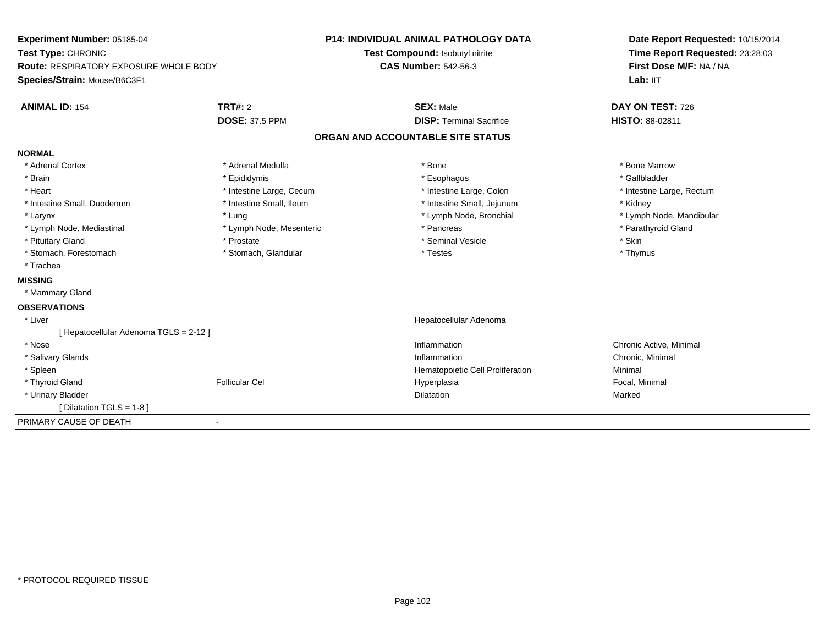| Experiment Number: 05185-04<br>Test Type: CHRONIC<br>Route: RESPIRATORY EXPOSURE WHOLE BODY |                          | <b>P14: INDIVIDUAL ANIMAL PATHOLOGY DATA</b> | Date Report Requested: 10/15/2014<br>Time Report Requested: 23:28:03<br>First Dose M/F: NA / NA |
|---------------------------------------------------------------------------------------------|--------------------------|----------------------------------------------|-------------------------------------------------------------------------------------------------|
|                                                                                             |                          | Test Compound: Isobutyl nitrite              |                                                                                                 |
|                                                                                             |                          | <b>CAS Number: 542-56-3</b>                  |                                                                                                 |
| Species/Strain: Mouse/B6C3F1                                                                |                          |                                              | Lab: IIT                                                                                        |
| <b>ANIMAL ID: 154</b>                                                                       | TRT#: 2                  | <b>SEX: Male</b>                             | DAY ON TEST: 726                                                                                |
|                                                                                             | <b>DOSE: 37.5 PPM</b>    | <b>DISP: Terminal Sacrifice</b>              | <b>HISTO: 88-02811</b>                                                                          |
|                                                                                             |                          | ORGAN AND ACCOUNTABLE SITE STATUS            |                                                                                                 |
| <b>NORMAL</b>                                                                               |                          |                                              |                                                                                                 |
| * Adrenal Cortex                                                                            | * Adrenal Medulla        | * Bone                                       | * Bone Marrow                                                                                   |
| * Brain                                                                                     | * Epididymis             | * Esophagus                                  | * Gallbladder                                                                                   |
| * Heart                                                                                     | * Intestine Large, Cecum | * Intestine Large, Colon                     | * Intestine Large, Rectum                                                                       |
| * Intestine Small, Duodenum                                                                 | * Intestine Small, Ileum | * Intestine Small, Jejunum                   | * Kidney                                                                                        |
| * Larynx                                                                                    | * Lung                   | * Lymph Node, Bronchial                      | * Lymph Node, Mandibular                                                                        |
| * Lymph Node, Mediastinal                                                                   | * Lymph Node, Mesenteric | * Pancreas                                   | * Parathyroid Gland                                                                             |
| * Pituitary Gland                                                                           | * Prostate               | * Seminal Vesicle                            | * Skin                                                                                          |
| * Stomach, Forestomach                                                                      | * Stomach, Glandular     | * Testes                                     | * Thymus                                                                                        |
| * Trachea                                                                                   |                          |                                              |                                                                                                 |
| <b>MISSING</b>                                                                              |                          |                                              |                                                                                                 |
| * Mammary Gland                                                                             |                          |                                              |                                                                                                 |
| <b>OBSERVATIONS</b>                                                                         |                          |                                              |                                                                                                 |
| * Liver                                                                                     |                          | Hepatocellular Adenoma                       |                                                                                                 |
| [ Hepatocellular Adenoma TGLS = 2-12 ]                                                      |                          |                                              |                                                                                                 |
| * Nose                                                                                      |                          | Inflammation                                 | Chronic Active, Minimal                                                                         |
| * Salivary Glands                                                                           |                          | Inflammation                                 | Chronic, Minimal                                                                                |
| * Spleen                                                                                    |                          | Hematopoietic Cell Proliferation             | Minimal                                                                                         |
| * Thyroid Gland                                                                             | <b>Follicular Cel</b>    | Hyperplasia                                  | Focal, Minimal                                                                                  |
| * Urinary Bladder                                                                           |                          | <b>Dilatation</b>                            | Marked                                                                                          |
| [Dilatation TGLS = 1-8]                                                                     |                          |                                              |                                                                                                 |
| PRIMARY CAUSE OF DEATH                                                                      | $\blacksquare$           |                                              |                                                                                                 |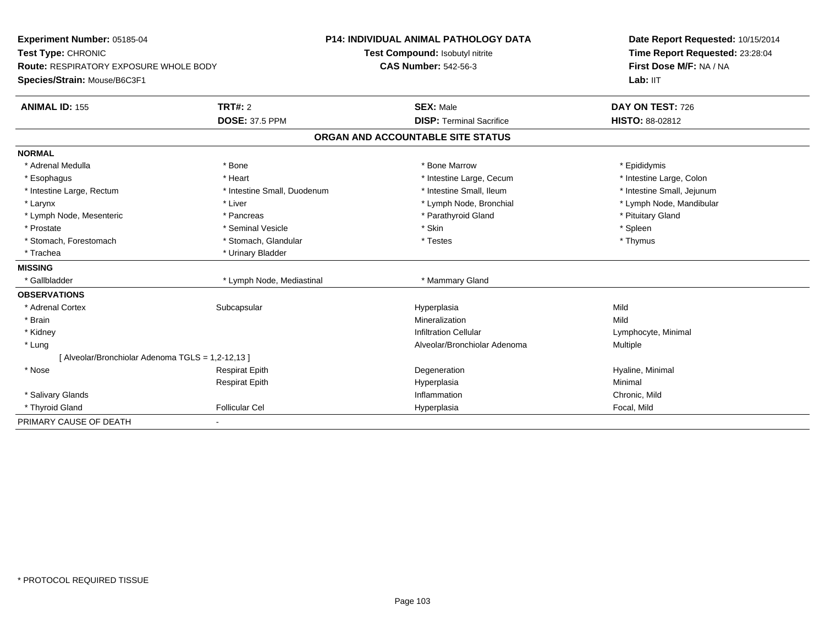| Experiment Number: 05185-04                       |                             | <b>P14: INDIVIDUAL ANIMAL PATHOLOGY DATA</b> | Date Report Requested: 10/15/2014<br>Time Report Requested: 23:28:04<br>First Dose M/F: NA / NA |
|---------------------------------------------------|-----------------------------|----------------------------------------------|-------------------------------------------------------------------------------------------------|
| Test Type: CHRONIC                                |                             | Test Compound: Isobutyl nitrite              |                                                                                                 |
| Route: RESPIRATORY EXPOSURE WHOLE BODY            |                             | <b>CAS Number: 542-56-3</b>                  |                                                                                                 |
| Species/Strain: Mouse/B6C3F1                      |                             |                                              | Lab: IIT                                                                                        |
| <b>ANIMAL ID: 155</b>                             | TRT#: 2                     | <b>SEX: Male</b>                             | DAY ON TEST: 726                                                                                |
|                                                   | <b>DOSE: 37.5 PPM</b>       | <b>DISP: Terminal Sacrifice</b>              | <b>HISTO: 88-02812</b>                                                                          |
|                                                   |                             | ORGAN AND ACCOUNTABLE SITE STATUS            |                                                                                                 |
| <b>NORMAL</b>                                     |                             |                                              |                                                                                                 |
| * Adrenal Medulla                                 | * Bone                      | * Bone Marrow                                | * Epididymis                                                                                    |
| * Esophagus                                       | * Heart                     | * Intestine Large, Cecum                     | * Intestine Large, Colon                                                                        |
| * Intestine Large, Rectum                         | * Intestine Small, Duodenum | * Intestine Small, Ileum                     | * Intestine Small, Jejunum                                                                      |
| * Larynx                                          | * Liver                     | * Lymph Node, Bronchial                      | * Lymph Node, Mandibular                                                                        |
| * Lymph Node, Mesenteric                          | * Pancreas                  | * Parathyroid Gland                          | * Pituitary Gland                                                                               |
| * Prostate                                        | * Seminal Vesicle           | * Skin                                       | * Spleen                                                                                        |
| * Stomach, Forestomach                            | * Stomach, Glandular        | * Testes                                     | * Thymus                                                                                        |
| * Trachea                                         | * Urinary Bladder           |                                              |                                                                                                 |
| <b>MISSING</b>                                    |                             |                                              |                                                                                                 |
| * Gallbladder                                     | * Lymph Node, Mediastinal   | * Mammary Gland                              |                                                                                                 |
| <b>OBSERVATIONS</b>                               |                             |                                              |                                                                                                 |
| * Adrenal Cortex                                  | Subcapsular                 | Hyperplasia                                  | Mild                                                                                            |
| * Brain                                           |                             | Mineralization                               | Mild                                                                                            |
| * Kidney                                          |                             | <b>Infiltration Cellular</b>                 | Lymphocyte, Minimal                                                                             |
| * Lung                                            |                             | Alveolar/Bronchiolar Adenoma                 | <b>Multiple</b>                                                                                 |
| [ Alveolar/Bronchiolar Adenoma TGLS = 1,2-12,13 ] |                             |                                              |                                                                                                 |
| $*$ Nose                                          | <b>Respirat Epith</b>       | Degeneration                                 | Hyaline, Minimal                                                                                |
|                                                   | <b>Respirat Epith</b>       | Hyperplasia                                  | Minimal                                                                                         |
| * Salivary Glands                                 |                             | Inflammation                                 | Chronic, Mild                                                                                   |
| * Thyroid Gland                                   | <b>Follicular Cel</b>       | Hyperplasia                                  | Focal, Mild                                                                                     |
| PRIMARY CAUSE OF DEATH                            | ٠                           |                                              |                                                                                                 |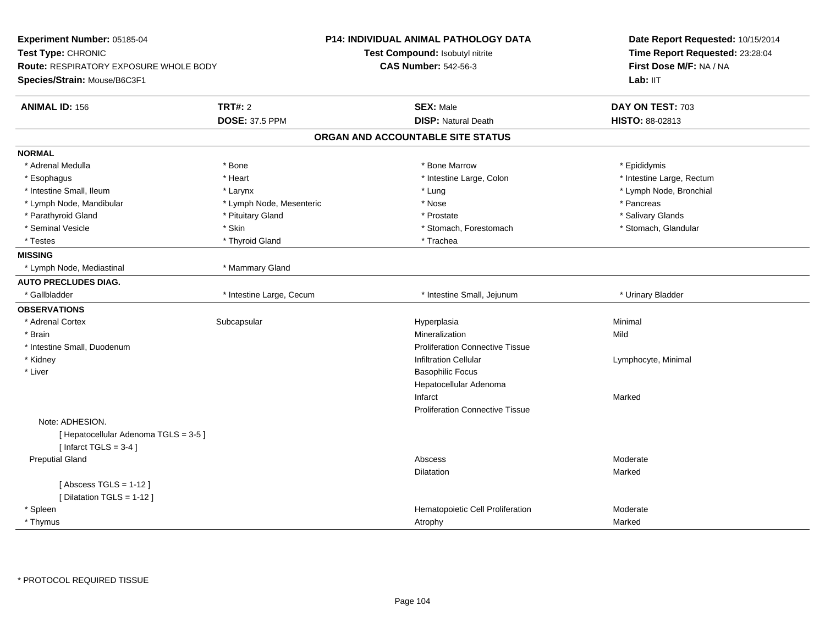| Experiment Number: 05185-04<br>Test Type: CHRONIC<br>Route: RESPIRATORY EXPOSURE WHOLE BODY<br>Species/Strain: Mouse/B6C3F1 |                          | <b>P14: INDIVIDUAL ANIMAL PATHOLOGY DATA</b><br>Test Compound: Isobutyl nitrite<br><b>CAS Number: 542-56-3</b> | Date Report Requested: 10/15/2014<br>Time Report Requested: 23:28:04<br>First Dose M/F: NA / NA<br>Lab: IIT |
|-----------------------------------------------------------------------------------------------------------------------------|--------------------------|----------------------------------------------------------------------------------------------------------------|-------------------------------------------------------------------------------------------------------------|
| <b>ANIMAL ID: 156</b>                                                                                                       | <b>TRT#: 2</b>           | <b>SEX: Male</b>                                                                                               | DAY ON TEST: 703                                                                                            |
|                                                                                                                             | <b>DOSE: 37.5 PPM</b>    | <b>DISP: Natural Death</b>                                                                                     | HISTO: 88-02813                                                                                             |
|                                                                                                                             |                          | ORGAN AND ACCOUNTABLE SITE STATUS                                                                              |                                                                                                             |
| <b>NORMAL</b>                                                                                                               |                          |                                                                                                                |                                                                                                             |
| * Adrenal Medulla                                                                                                           | * Bone                   | * Bone Marrow                                                                                                  | * Epididymis                                                                                                |
| * Esophagus                                                                                                                 | * Heart                  | * Intestine Large, Colon                                                                                       | * Intestine Large, Rectum                                                                                   |
| * Intestine Small, Ileum                                                                                                    | * Larynx                 | * Lung                                                                                                         | * Lymph Node, Bronchial                                                                                     |
| * Lymph Node, Mandibular                                                                                                    | * Lymph Node, Mesenteric | * Nose                                                                                                         | * Pancreas                                                                                                  |
| * Parathyroid Gland                                                                                                         | * Pituitary Gland        | * Prostate                                                                                                     | * Salivary Glands                                                                                           |
| * Seminal Vesicle                                                                                                           | * Skin                   | * Stomach, Forestomach                                                                                         | * Stomach, Glandular                                                                                        |
| * Testes                                                                                                                    | * Thyroid Gland          | * Trachea                                                                                                      |                                                                                                             |
| <b>MISSING</b>                                                                                                              |                          |                                                                                                                |                                                                                                             |
| * Lymph Node, Mediastinal                                                                                                   | * Mammary Gland          |                                                                                                                |                                                                                                             |
| <b>AUTO PRECLUDES DIAG.</b>                                                                                                 |                          |                                                                                                                |                                                                                                             |
| * Gallbladder                                                                                                               | * Intestine Large, Cecum | * Intestine Small, Jejunum                                                                                     | * Urinary Bladder                                                                                           |
| <b>OBSERVATIONS</b>                                                                                                         |                          |                                                                                                                |                                                                                                             |
| * Adrenal Cortex                                                                                                            | Subcapsular              | Hyperplasia                                                                                                    | Minimal                                                                                                     |
| * Brain                                                                                                                     |                          | Mineralization                                                                                                 | Mild                                                                                                        |
| * Intestine Small, Duodenum                                                                                                 |                          | <b>Proliferation Connective Tissue</b>                                                                         |                                                                                                             |
| * Kidney                                                                                                                    |                          | <b>Infiltration Cellular</b>                                                                                   | Lymphocyte, Minimal                                                                                         |
| * Liver                                                                                                                     |                          | <b>Basophilic Focus</b>                                                                                        |                                                                                                             |
|                                                                                                                             |                          | Hepatocellular Adenoma                                                                                         |                                                                                                             |
|                                                                                                                             |                          | Infarct                                                                                                        | Marked                                                                                                      |
|                                                                                                                             |                          | <b>Proliferation Connective Tissue</b>                                                                         |                                                                                                             |
| Note: ADHESION.                                                                                                             |                          |                                                                                                                |                                                                                                             |
| [ Hepatocellular Adenoma TGLS = 3-5 ]                                                                                       |                          |                                                                                                                |                                                                                                             |
| [Infarct TGLS = $3-4$ ]                                                                                                     |                          |                                                                                                                |                                                                                                             |
| <b>Preputial Gland</b>                                                                                                      |                          | Abscess                                                                                                        | Moderate                                                                                                    |
|                                                                                                                             |                          | <b>Dilatation</b>                                                                                              | Marked                                                                                                      |
| [Abscess TGLS = $1-12$ ]                                                                                                    |                          |                                                                                                                |                                                                                                             |
| [ Dilatation TGLS = 1-12 ]                                                                                                  |                          |                                                                                                                |                                                                                                             |
| * Spleen                                                                                                                    |                          | Hematopoietic Cell Proliferation                                                                               | Moderate                                                                                                    |
| * Thymus                                                                                                                    |                          | Atrophy                                                                                                        | Marked                                                                                                      |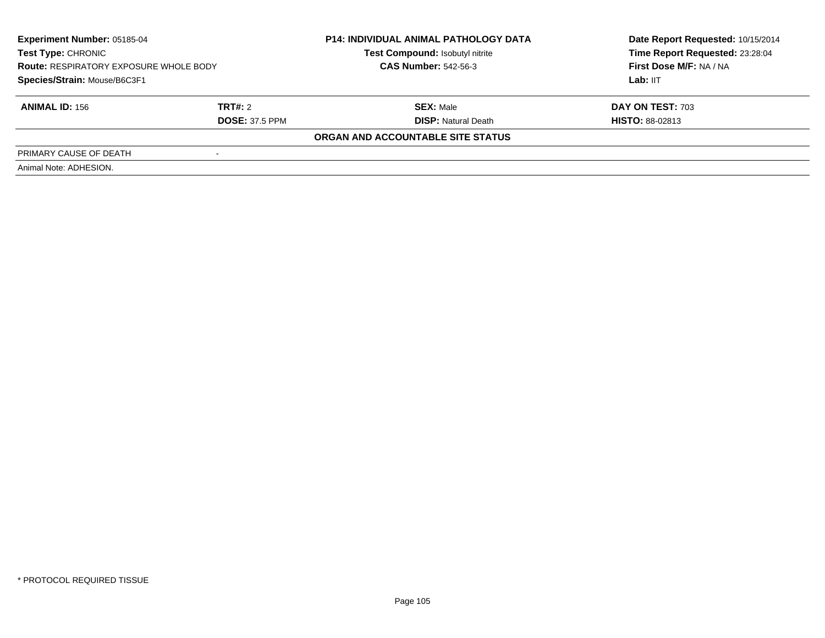| Experiment Number: 05185-04<br><b>Test Type: CHRONIC</b><br><b>Route: RESPIRATORY EXPOSURE WHOLE BODY</b><br>Species/Strain: Mouse/B6C3F1 |                       | <b>P14: INDIVIDUAL ANIMAL PATHOLOGY DATA</b><br>Test Compound: Isobutyl nitrite<br><b>CAS Number: 542-56-3</b> | Date Report Requested: 10/15/2014<br>Time Report Requested: 23:28:04<br>First Dose M/F: NA / NA |
|-------------------------------------------------------------------------------------------------------------------------------------------|-----------------------|----------------------------------------------------------------------------------------------------------------|-------------------------------------------------------------------------------------------------|
|                                                                                                                                           |                       |                                                                                                                | Lab: IIT                                                                                        |
| <b>ANIMAL ID: 156</b>                                                                                                                     | TRT#: 2               | <b>SEX: Male</b>                                                                                               | <b>DAY ON TEST: 703</b>                                                                         |
|                                                                                                                                           | <b>DOSE: 37.5 PPM</b> | <b>DISP:</b> Natural Death                                                                                     | <b>HISTO: 88-02813</b>                                                                          |
|                                                                                                                                           |                       | ORGAN AND ACCOUNTABLE SITE STATUS                                                                              |                                                                                                 |
| PRIMARY CAUSE OF DEATH                                                                                                                    |                       |                                                                                                                |                                                                                                 |
| Animal Note: ADHESION.                                                                                                                    |                       |                                                                                                                |                                                                                                 |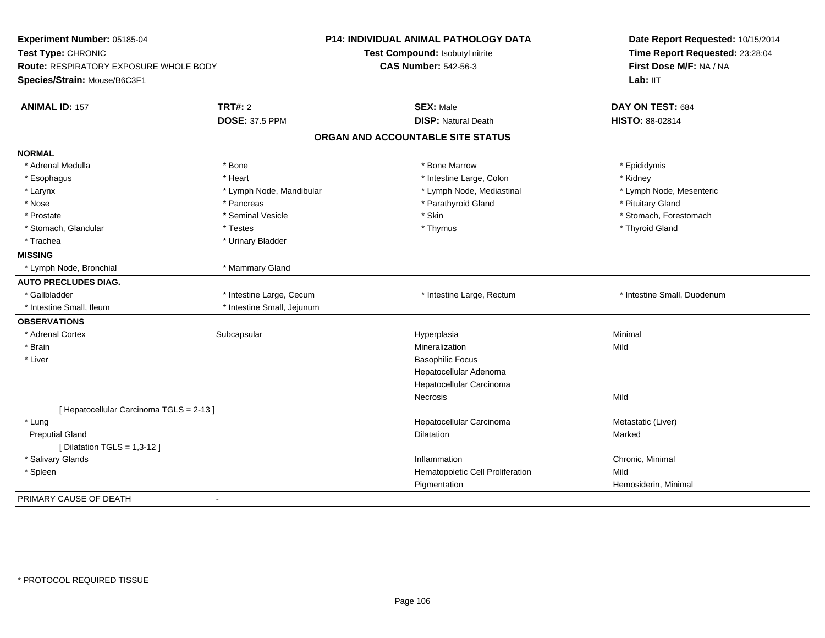| Experiment Number: 05185-04<br>Test Type: CHRONIC<br>Route: RESPIRATORY EXPOSURE WHOLE BODY<br>Species/Strain: Mouse/B6C3F1 |                                         | P14: INDIVIDUAL ANIMAL PATHOLOGY DATA<br>Test Compound: Isobutyl nitrite<br><b>CAS Number: 542-56-3</b> | Date Report Requested: 10/15/2014<br>Time Report Requested: 23:28:04<br>First Dose M/F: NA / NA<br>Lab: IIT |
|-----------------------------------------------------------------------------------------------------------------------------|-----------------------------------------|---------------------------------------------------------------------------------------------------------|-------------------------------------------------------------------------------------------------------------|
| <b>ANIMAL ID: 157</b>                                                                                                       | <b>TRT#: 2</b><br><b>DOSE: 37.5 PPM</b> | <b>SEX: Male</b><br><b>DISP: Natural Death</b>                                                          | DAY ON TEST: 684<br>HISTO: 88-02814                                                                         |
|                                                                                                                             |                                         | ORGAN AND ACCOUNTABLE SITE STATUS                                                                       |                                                                                                             |
| <b>NORMAL</b>                                                                                                               |                                         |                                                                                                         |                                                                                                             |
| * Adrenal Medulla                                                                                                           | * Bone                                  | * Bone Marrow                                                                                           | * Epididymis                                                                                                |
| * Esophagus                                                                                                                 | * Heart                                 | * Intestine Large, Colon                                                                                | * Kidney                                                                                                    |
| * Larynx                                                                                                                    | * Lymph Node, Mandibular                | * Lymph Node, Mediastinal                                                                               | * Lymph Node, Mesenteric                                                                                    |
| * Nose                                                                                                                      | * Pancreas                              | * Parathyroid Gland                                                                                     | * Pituitary Gland                                                                                           |
| * Prostate                                                                                                                  | * Seminal Vesicle                       | * Skin                                                                                                  | * Stomach, Forestomach                                                                                      |
| * Stomach, Glandular                                                                                                        | * Testes                                | * Thymus                                                                                                | * Thyroid Gland                                                                                             |
| * Trachea                                                                                                                   | * Urinary Bladder                       |                                                                                                         |                                                                                                             |
| <b>MISSING</b>                                                                                                              |                                         |                                                                                                         |                                                                                                             |
| * Lymph Node, Bronchial                                                                                                     | * Mammary Gland                         |                                                                                                         |                                                                                                             |
| <b>AUTO PRECLUDES DIAG.</b>                                                                                                 |                                         |                                                                                                         |                                                                                                             |
| * Gallbladder                                                                                                               | * Intestine Large, Cecum                | * Intestine Large, Rectum                                                                               | * Intestine Small, Duodenum                                                                                 |
| * Intestine Small, Ileum                                                                                                    | * Intestine Small, Jejunum              |                                                                                                         |                                                                                                             |
| <b>OBSERVATIONS</b>                                                                                                         |                                         |                                                                                                         |                                                                                                             |
| * Adrenal Cortex                                                                                                            | Subcapsular                             | Hyperplasia                                                                                             | Minimal                                                                                                     |
| * Brain                                                                                                                     |                                         | Mineralization                                                                                          | Mild                                                                                                        |
| * Liver                                                                                                                     |                                         | <b>Basophilic Focus</b>                                                                                 |                                                                                                             |
|                                                                                                                             |                                         | Hepatocellular Adenoma                                                                                  |                                                                                                             |
|                                                                                                                             |                                         | Hepatocellular Carcinoma                                                                                |                                                                                                             |
|                                                                                                                             |                                         | Necrosis                                                                                                | Mild                                                                                                        |
| [ Hepatocellular Carcinoma TGLS = 2-13 ]                                                                                    |                                         |                                                                                                         |                                                                                                             |
| * Lung                                                                                                                      |                                         | Hepatocellular Carcinoma                                                                                | Metastatic (Liver)                                                                                          |
| <b>Preputial Gland</b>                                                                                                      |                                         | Dilatation                                                                                              | Marked                                                                                                      |
| [ Dilatation TGLS = $1,3-12$ ]                                                                                              |                                         |                                                                                                         |                                                                                                             |
| * Salivary Glands                                                                                                           |                                         | Inflammation                                                                                            | Chronic, Minimal                                                                                            |
| * Spleen                                                                                                                    |                                         | Hematopoietic Cell Proliferation                                                                        | Mild                                                                                                        |
|                                                                                                                             |                                         | Pigmentation                                                                                            | Hemosiderin, Minimal                                                                                        |
| PRIMARY CAUSE OF DEATH                                                                                                      | $\sim$                                  |                                                                                                         |                                                                                                             |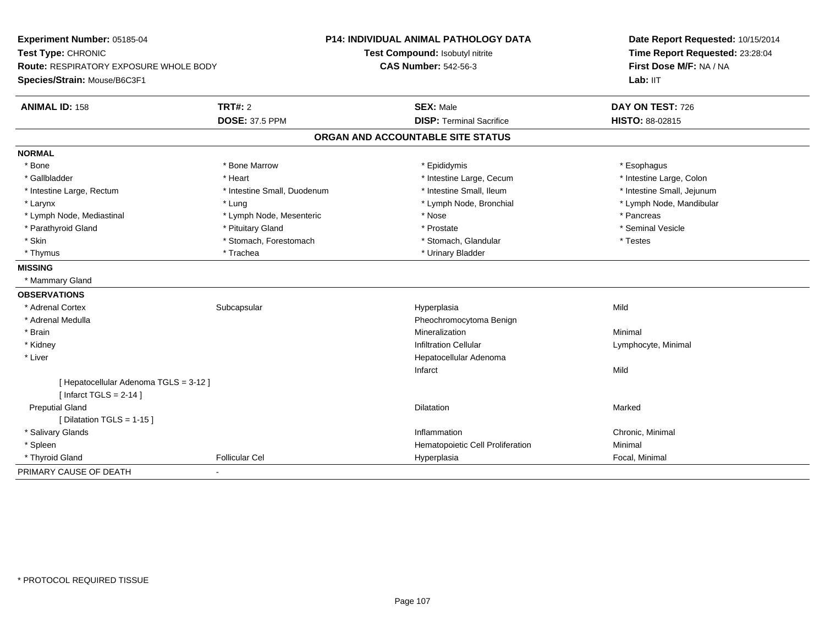| Experiment Number: 05185-04                   |                             | P14: INDIVIDUAL ANIMAL PATHOLOGY DATA | Date Report Requested: 10/15/2014<br>Time Report Requested: 23:28:04 |  |
|-----------------------------------------------|-----------------------------|---------------------------------------|----------------------------------------------------------------------|--|
| Test Type: CHRONIC                            |                             | Test Compound: Isobutyl nitrite       |                                                                      |  |
| <b>Route: RESPIRATORY EXPOSURE WHOLE BODY</b> |                             | <b>CAS Number: 542-56-3</b>           | First Dose M/F: NA / NA                                              |  |
| Species/Strain: Mouse/B6C3F1                  |                             |                                       | Lab: IIT                                                             |  |
| <b>ANIMAL ID: 158</b>                         | <b>TRT#: 2</b>              | <b>SEX: Male</b>                      | DAY ON TEST: 726                                                     |  |
|                                               | <b>DOSE: 37.5 PPM</b>       | <b>DISP: Terminal Sacrifice</b>       | <b>HISTO: 88-02815</b>                                               |  |
|                                               |                             | ORGAN AND ACCOUNTABLE SITE STATUS     |                                                                      |  |
| <b>NORMAL</b>                                 |                             |                                       |                                                                      |  |
| * Bone                                        | * Bone Marrow               | * Epididymis                          | * Esophagus                                                          |  |
| * Gallbladder                                 | * Heart                     | * Intestine Large, Cecum              | * Intestine Large, Colon                                             |  |
| * Intestine Large, Rectum                     | * Intestine Small, Duodenum | * Intestine Small, Ileum              | * Intestine Small, Jejunum                                           |  |
| * Larynx                                      | * Lung                      | * Lymph Node, Bronchial               | * Lymph Node, Mandibular                                             |  |
| * Lymph Node, Mediastinal                     | * Lymph Node, Mesenteric    | * Nose                                | * Pancreas                                                           |  |
| * Parathyroid Gland                           | * Pituitary Gland           | * Prostate                            | * Seminal Vesicle                                                    |  |
| * Skin                                        | * Stomach, Forestomach      | * Stomach, Glandular                  | * Testes                                                             |  |
| * Thymus                                      | * Trachea                   | * Urinary Bladder                     |                                                                      |  |
| <b>MISSING</b>                                |                             |                                       |                                                                      |  |
| * Mammary Gland                               |                             |                                       |                                                                      |  |
| <b>OBSERVATIONS</b>                           |                             |                                       |                                                                      |  |
| * Adrenal Cortex                              | Subcapsular                 | Hyperplasia                           | Mild                                                                 |  |
| * Adrenal Medulla                             |                             | Pheochromocytoma Benign               |                                                                      |  |
| * Brain                                       |                             | Mineralization                        | Minimal                                                              |  |
| * Kidney                                      |                             | <b>Infiltration Cellular</b>          | Lymphocyte, Minimal                                                  |  |
| * Liver                                       |                             | Hepatocellular Adenoma                |                                                                      |  |
|                                               |                             | Infarct                               | Mild                                                                 |  |
| [ Hepatocellular Adenoma TGLS = 3-12 ]        |                             |                                       |                                                                      |  |
| [Infarct TGLS = $2-14$ ]                      |                             |                                       |                                                                      |  |
| <b>Preputial Gland</b>                        |                             | Dilatation                            | Marked                                                               |  |
| [ Dilatation TGLS = 1-15 ]                    |                             |                                       |                                                                      |  |
| * Salivary Glands                             |                             | Inflammation                          | Chronic, Minimal                                                     |  |
| * Spleen                                      |                             | Hematopoietic Cell Proliferation      | Minimal                                                              |  |
| * Thyroid Gland                               | <b>Follicular Cel</b>       | Hyperplasia                           | Focal, Minimal                                                       |  |
| PRIMARY CAUSE OF DEATH                        |                             |                                       |                                                                      |  |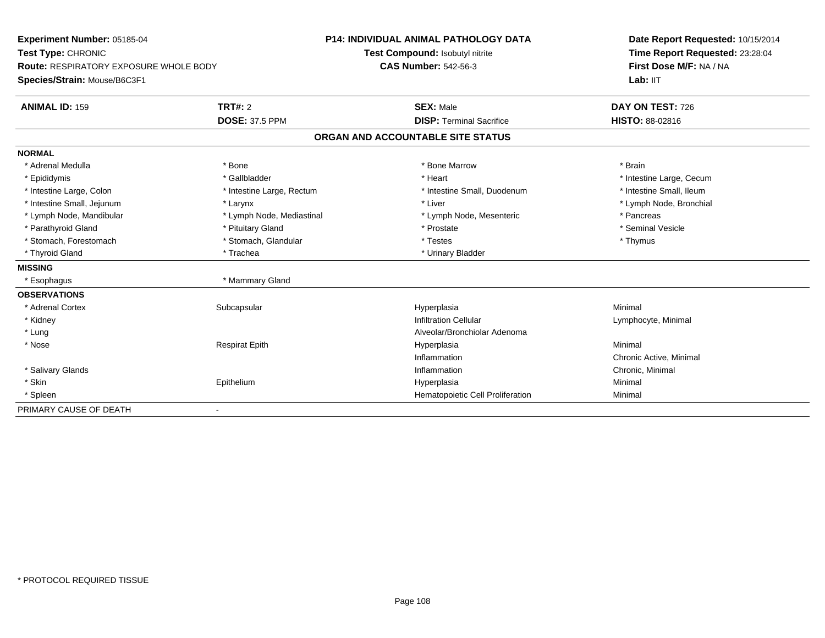| Experiment Number: 05185-04<br>Test Type: CHRONIC<br><b>Route: RESPIRATORY EXPOSURE WHOLE BODY</b> |                           | <b>P14: INDIVIDUAL ANIMAL PATHOLOGY DATA</b> | Date Report Requested: 10/15/2014<br>Time Report Requested: 23:28:04<br>First Dose M/F: NA / NA |  |
|----------------------------------------------------------------------------------------------------|---------------------------|----------------------------------------------|-------------------------------------------------------------------------------------------------|--|
|                                                                                                    |                           | Test Compound: Isobutyl nitrite              |                                                                                                 |  |
|                                                                                                    |                           | <b>CAS Number: 542-56-3</b>                  |                                                                                                 |  |
| Species/Strain: Mouse/B6C3F1                                                                       |                           |                                              | Lab: IIT                                                                                        |  |
| <b>ANIMAL ID: 159</b>                                                                              | TRT#: 2                   | <b>SEX: Male</b>                             | DAY ON TEST: 726                                                                                |  |
|                                                                                                    | <b>DOSE: 37.5 PPM</b>     | <b>DISP: Terminal Sacrifice</b>              | <b>HISTO: 88-02816</b>                                                                          |  |
|                                                                                                    |                           | ORGAN AND ACCOUNTABLE SITE STATUS            |                                                                                                 |  |
| <b>NORMAL</b>                                                                                      |                           |                                              |                                                                                                 |  |
| * Adrenal Medulla                                                                                  | * Bone                    | * Bone Marrow                                | * Brain                                                                                         |  |
| * Epididymis                                                                                       | * Gallbladder             | * Heart                                      | * Intestine Large, Cecum                                                                        |  |
| * Intestine Large, Colon                                                                           | * Intestine Large, Rectum | * Intestine Small, Duodenum                  | * Intestine Small, Ileum                                                                        |  |
| * Intestine Small, Jejunum                                                                         | * Larynx                  | * Liver                                      | * Lymph Node, Bronchial                                                                         |  |
| * Lymph Node, Mandibular                                                                           | * Lymph Node, Mediastinal | * Lymph Node, Mesenteric                     | * Pancreas                                                                                      |  |
| * Parathyroid Gland                                                                                | * Pituitary Gland         | * Prostate                                   | * Seminal Vesicle                                                                               |  |
| * Stomach, Forestomach                                                                             | * Stomach, Glandular      | * Testes                                     | * Thymus                                                                                        |  |
| * Thyroid Gland                                                                                    | * Trachea                 | * Urinary Bladder                            |                                                                                                 |  |
| <b>MISSING</b>                                                                                     |                           |                                              |                                                                                                 |  |
| * Esophagus                                                                                        | * Mammary Gland           |                                              |                                                                                                 |  |
| <b>OBSERVATIONS</b>                                                                                |                           |                                              |                                                                                                 |  |
| * Adrenal Cortex                                                                                   | Subcapsular               | Hyperplasia                                  | Minimal                                                                                         |  |
| * Kidney                                                                                           |                           | <b>Infiltration Cellular</b>                 | Lymphocyte, Minimal                                                                             |  |
| * Lung                                                                                             |                           | Alveolar/Bronchiolar Adenoma                 |                                                                                                 |  |
| * Nose                                                                                             | <b>Respirat Epith</b>     | Hyperplasia                                  | Minimal                                                                                         |  |
|                                                                                                    |                           | Inflammation                                 | Chronic Active, Minimal                                                                         |  |
| * Salivary Glands                                                                                  |                           | Inflammation                                 | Chronic, Minimal                                                                                |  |
| * Skin                                                                                             | Epithelium                | Hyperplasia                                  | Minimal                                                                                         |  |
| * Spleen                                                                                           |                           | Hematopoietic Cell Proliferation             | Minimal                                                                                         |  |
| PRIMARY CAUSE OF DEATH                                                                             |                           |                                              |                                                                                                 |  |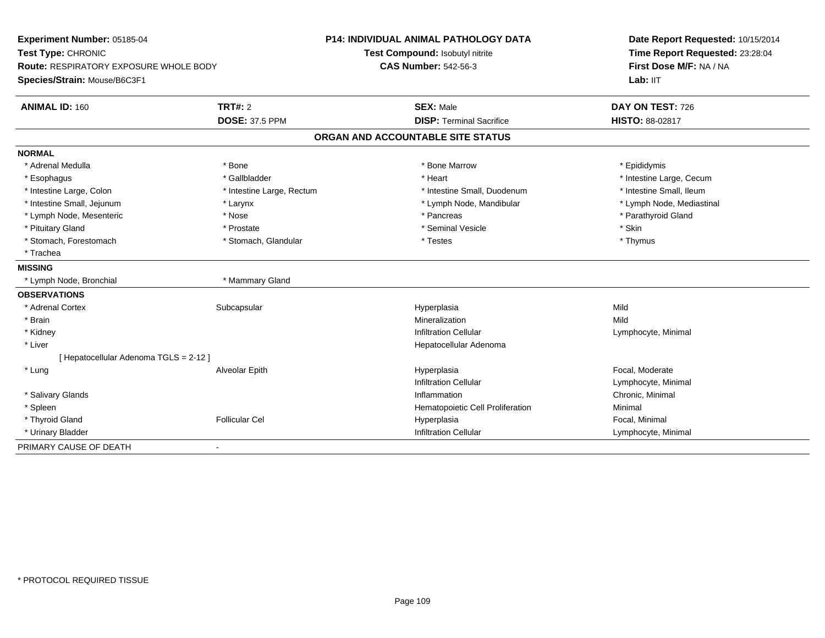| Experiment Number: 05185-04                                  |                           | <b>P14: INDIVIDUAL ANIMAL PATHOLOGY DATA</b> | Date Report Requested: 10/15/2014                          |
|--------------------------------------------------------------|---------------------------|----------------------------------------------|------------------------------------------------------------|
| Test Type: CHRONIC<br>Route: RESPIRATORY EXPOSURE WHOLE BODY |                           | Test Compound: Isobutyl nitrite              | Time Report Requested: 23:28:04<br>First Dose M/F: NA / NA |
|                                                              |                           | <b>CAS Number: 542-56-3</b>                  |                                                            |
| Species/Strain: Mouse/B6C3F1                                 |                           |                                              | Lab: IIT                                                   |
| <b>ANIMAL ID: 160</b>                                        | TRT#: 2                   | <b>SEX: Male</b>                             | DAY ON TEST: 726                                           |
|                                                              | <b>DOSE: 37.5 PPM</b>     | <b>DISP: Terminal Sacrifice</b>              | HISTO: 88-02817                                            |
|                                                              |                           | ORGAN AND ACCOUNTABLE SITE STATUS            |                                                            |
| <b>NORMAL</b>                                                |                           |                                              |                                                            |
| * Adrenal Medulla                                            | * Bone                    | * Bone Marrow                                | * Epididymis                                               |
| * Esophagus                                                  | * Gallbladder             | * Heart                                      | * Intestine Large, Cecum                                   |
| * Intestine Large, Colon                                     | * Intestine Large, Rectum | * Intestine Small, Duodenum                  | * Intestine Small, Ileum                                   |
| * Intestine Small, Jejunum                                   | * Larynx                  | * Lymph Node, Mandibular                     | * Lymph Node, Mediastinal                                  |
| * Lymph Node, Mesenteric                                     | * Nose                    | * Pancreas                                   | * Parathyroid Gland                                        |
| * Pituitary Gland                                            | * Prostate                | * Seminal Vesicle                            | * Skin                                                     |
| * Stomach, Forestomach                                       | * Stomach, Glandular      | * Testes                                     | * Thymus                                                   |
| * Trachea                                                    |                           |                                              |                                                            |
| <b>MISSING</b>                                               |                           |                                              |                                                            |
| * Lymph Node, Bronchial                                      | * Mammary Gland           |                                              |                                                            |
| <b>OBSERVATIONS</b>                                          |                           |                                              |                                                            |
| * Adrenal Cortex                                             | Subcapsular               | Hyperplasia                                  | Mild                                                       |
| * Brain                                                      |                           | Mineralization                               | Mild                                                       |
| * Kidney                                                     |                           | <b>Infiltration Cellular</b>                 | Lymphocyte, Minimal                                        |
| * Liver                                                      |                           | Hepatocellular Adenoma                       |                                                            |
| [ Hepatocellular Adenoma TGLS = 2-12 ]                       |                           |                                              |                                                            |
| * Lung                                                       | Alveolar Epith            | Hyperplasia                                  | Focal, Moderate                                            |
|                                                              |                           | <b>Infiltration Cellular</b>                 | Lymphocyte, Minimal                                        |
| * Salivary Glands                                            |                           | Inflammation                                 | Chronic, Minimal                                           |
| * Spleen                                                     |                           | Hematopoietic Cell Proliferation             | Minimal                                                    |
| * Thyroid Gland                                              | <b>Follicular Cel</b>     | Hyperplasia                                  | Focal, Minimal                                             |
| * Urinary Bladder                                            |                           | Infiltration Cellular                        | Lymphocyte, Minimal                                        |
| PRIMARY CAUSE OF DEATH                                       |                           |                                              |                                                            |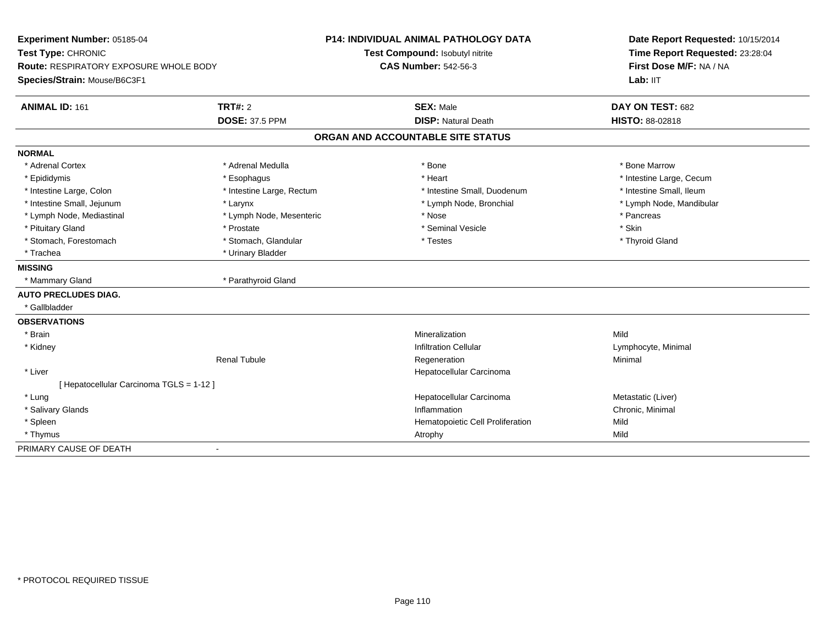| Experiment Number: 05185-04<br>Test Type: CHRONIC<br><b>Route: RESPIRATORY EXPOSURE WHOLE BODY</b> |                           | <b>P14: INDIVIDUAL ANIMAL PATHOLOGY DATA</b> | Date Report Requested: 10/15/2014<br>Time Report Requested: 23:28:04<br>First Dose M/F: NA / NA |
|----------------------------------------------------------------------------------------------------|---------------------------|----------------------------------------------|-------------------------------------------------------------------------------------------------|
|                                                                                                    |                           | Test Compound: Isobutyl nitrite              |                                                                                                 |
|                                                                                                    |                           | <b>CAS Number: 542-56-3</b>                  |                                                                                                 |
| Species/Strain: Mouse/B6C3F1                                                                       |                           |                                              | Lab: IIT                                                                                        |
| <b>ANIMAL ID: 161</b>                                                                              | TRT#: 2                   | <b>SEX: Male</b>                             | DAY ON TEST: 682                                                                                |
|                                                                                                    | <b>DOSE: 37.5 PPM</b>     | <b>DISP: Natural Death</b>                   | HISTO: 88-02818                                                                                 |
|                                                                                                    |                           | ORGAN AND ACCOUNTABLE SITE STATUS            |                                                                                                 |
| <b>NORMAL</b>                                                                                      |                           |                                              |                                                                                                 |
| * Adrenal Cortex                                                                                   | * Adrenal Medulla         | * Bone                                       | * Bone Marrow                                                                                   |
| * Epididymis                                                                                       | * Esophagus               | * Heart                                      | * Intestine Large, Cecum                                                                        |
| * Intestine Large, Colon                                                                           | * Intestine Large, Rectum | * Intestine Small, Duodenum                  | * Intestine Small, Ileum                                                                        |
| * Intestine Small, Jejunum                                                                         | * Larynx                  | * Lymph Node, Bronchial                      | * Lymph Node, Mandibular                                                                        |
| * Lymph Node, Mediastinal                                                                          | * Lymph Node, Mesenteric  | * Nose                                       | * Pancreas                                                                                      |
| * Pituitary Gland                                                                                  | * Prostate                | * Seminal Vesicle                            | * Skin                                                                                          |
| * Stomach, Forestomach                                                                             | * Stomach, Glandular      | * Testes                                     | * Thyroid Gland                                                                                 |
| * Trachea                                                                                          | * Urinary Bladder         |                                              |                                                                                                 |
| <b>MISSING</b>                                                                                     |                           |                                              |                                                                                                 |
| * Mammary Gland                                                                                    | * Parathyroid Gland       |                                              |                                                                                                 |
| <b>AUTO PRECLUDES DIAG.</b>                                                                        |                           |                                              |                                                                                                 |
| * Gallbladder                                                                                      |                           |                                              |                                                                                                 |
| <b>OBSERVATIONS</b>                                                                                |                           |                                              |                                                                                                 |
| * Brain                                                                                            |                           | Mineralization                               | Mild                                                                                            |
| * Kidney                                                                                           |                           | <b>Infiltration Cellular</b>                 | Lymphocyte, Minimal                                                                             |
|                                                                                                    | <b>Renal Tubule</b>       | Regeneration                                 | Minimal                                                                                         |
| * Liver                                                                                            |                           | Hepatocellular Carcinoma                     |                                                                                                 |
| [ Hepatocellular Carcinoma TGLS = 1-12 ]                                                           |                           |                                              |                                                                                                 |
| * Lung                                                                                             |                           | Hepatocellular Carcinoma                     | Metastatic (Liver)                                                                              |
| * Salivary Glands                                                                                  |                           | Inflammation                                 | Chronic, Minimal                                                                                |
| * Spleen                                                                                           |                           | Hematopoietic Cell Proliferation             | Mild                                                                                            |
| * Thymus                                                                                           |                           | Atrophy                                      | Mild                                                                                            |
| PRIMARY CAUSE OF DEATH                                                                             | $\blacksquare$            |                                              |                                                                                                 |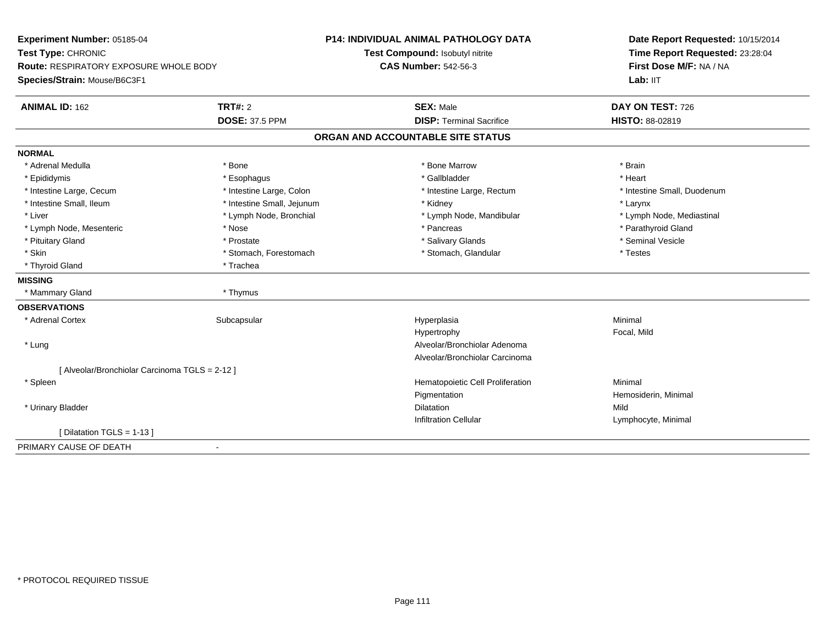| Experiment Number: 05185-04                    |                            | <b>P14: INDIVIDUAL ANIMAL PATHOLOGY DATA</b> | Date Report Requested: 10/15/2014<br>Time Report Requested: 23:28:04<br>First Dose M/F: NA / NA |
|------------------------------------------------|----------------------------|----------------------------------------------|-------------------------------------------------------------------------------------------------|
| Test Type: CHRONIC                             |                            | Test Compound: Isobutyl nitrite              |                                                                                                 |
| Route: RESPIRATORY EXPOSURE WHOLE BODY         |                            | <b>CAS Number: 542-56-3</b>                  |                                                                                                 |
| Species/Strain: Mouse/B6C3F1                   |                            |                                              | Lab: $III$                                                                                      |
| <b>ANIMAL ID: 162</b>                          | <b>TRT#: 2</b>             | <b>SEX: Male</b>                             | DAY ON TEST: 726                                                                                |
|                                                | <b>DOSE: 37.5 PPM</b>      | <b>DISP: Terminal Sacrifice</b>              | HISTO: 88-02819                                                                                 |
|                                                |                            | ORGAN AND ACCOUNTABLE SITE STATUS            |                                                                                                 |
| <b>NORMAL</b>                                  |                            |                                              |                                                                                                 |
| * Adrenal Medulla                              | * Bone                     | * Bone Marrow                                | * Brain                                                                                         |
| * Epididymis                                   | * Esophagus                | * Gallbladder                                | * Heart                                                                                         |
| * Intestine Large, Cecum                       | * Intestine Large, Colon   | * Intestine Large, Rectum                    | * Intestine Small, Duodenum                                                                     |
| * Intestine Small, Ileum                       | * Intestine Small, Jejunum | * Kidney                                     | * Larynx                                                                                        |
| * Liver                                        | * Lymph Node, Bronchial    | * Lymph Node, Mandibular                     | * Lymph Node, Mediastinal                                                                       |
| * Lymph Node, Mesenteric                       | * Nose                     | * Pancreas                                   | * Parathyroid Gland                                                                             |
| * Pituitary Gland                              | * Prostate                 | * Salivary Glands                            | * Seminal Vesicle                                                                               |
| * Skin                                         | * Stomach, Forestomach     | * Stomach, Glandular                         | * Testes                                                                                        |
| * Thyroid Gland                                | * Trachea                  |                                              |                                                                                                 |
| <b>MISSING</b>                                 |                            |                                              |                                                                                                 |
| * Mammary Gland                                | * Thymus                   |                                              |                                                                                                 |
| <b>OBSERVATIONS</b>                            |                            |                                              |                                                                                                 |
| * Adrenal Cortex                               | Subcapsular                | Hyperplasia                                  | Minimal                                                                                         |
|                                                |                            | Hypertrophy                                  | Focal, Mild                                                                                     |
| * Lung                                         |                            | Alveolar/Bronchiolar Adenoma                 |                                                                                                 |
|                                                |                            | Alveolar/Bronchiolar Carcinoma               |                                                                                                 |
| [ Alveolar/Bronchiolar Carcinoma TGLS = 2-12 ] |                            |                                              |                                                                                                 |
| * Spleen                                       |                            | Hematopoietic Cell Proliferation             | Minimal                                                                                         |
|                                                |                            | Pigmentation                                 | Hemosiderin, Minimal                                                                            |
| * Urinary Bladder                              |                            | <b>Dilatation</b>                            | Mild                                                                                            |
|                                                |                            | <b>Infiltration Cellular</b>                 | Lymphocyte, Minimal                                                                             |
| [ Dilatation TGLS = 1-13 ]                     |                            |                                              |                                                                                                 |
| PRIMARY CAUSE OF DEATH                         | $\blacksquare$             |                                              |                                                                                                 |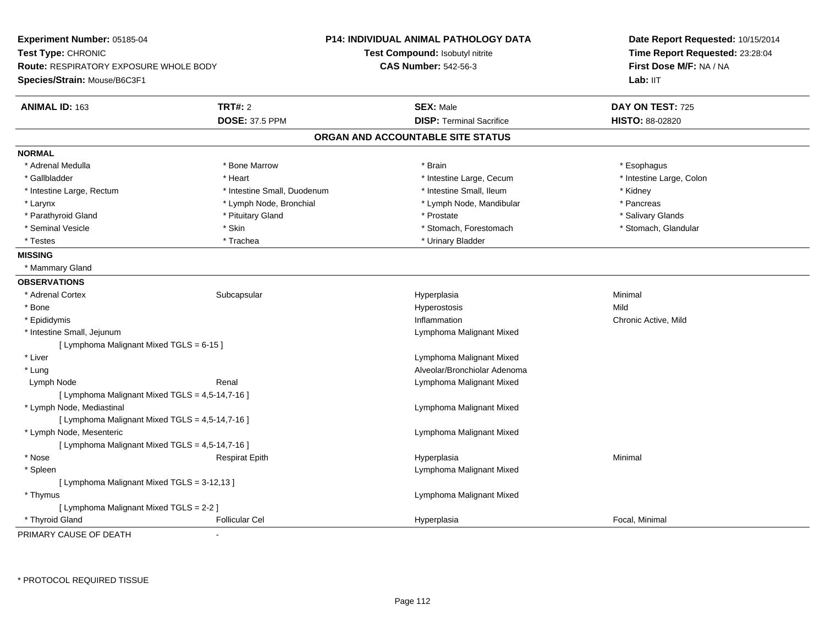| <b>Experiment Number: 05185-04</b><br>Test Type: CHRONIC<br><b>Route: RESPIRATORY EXPOSURE WHOLE BODY</b><br>Species/Strain: Mouse/B6C3F1 |                             | P14: INDIVIDUAL ANIMAL PATHOLOGY DATA<br>Test Compound: Isobutyl nitrite<br><b>CAS Number: 542-56-3</b> | Date Report Requested: 10/15/2014<br>Time Report Requested: 23:28:04<br>First Dose M/F: NA / NA<br>Lab: IIT |
|-------------------------------------------------------------------------------------------------------------------------------------------|-----------------------------|---------------------------------------------------------------------------------------------------------|-------------------------------------------------------------------------------------------------------------|
| <b>ANIMAL ID: 163</b>                                                                                                                     | TRT#: 2                     | <b>SEX: Male</b>                                                                                        | DAY ON TEST: 725                                                                                            |
|                                                                                                                                           | <b>DOSE: 37.5 PPM</b>       | <b>DISP: Terminal Sacrifice</b>                                                                         | HISTO: 88-02820                                                                                             |
|                                                                                                                                           |                             | ORGAN AND ACCOUNTABLE SITE STATUS                                                                       |                                                                                                             |
| <b>NORMAL</b>                                                                                                                             |                             |                                                                                                         |                                                                                                             |
| * Adrenal Medulla                                                                                                                         | * Bone Marrow               | * Brain                                                                                                 | * Esophagus                                                                                                 |
| * Gallbladder                                                                                                                             | * Heart                     | * Intestine Large, Cecum                                                                                | * Intestine Large, Colon                                                                                    |
| * Intestine Large, Rectum                                                                                                                 | * Intestine Small, Duodenum | * Intestine Small, Ileum                                                                                | * Kidney                                                                                                    |
| * Larynx                                                                                                                                  | * Lymph Node, Bronchial     | * Lymph Node, Mandibular                                                                                | * Pancreas                                                                                                  |
| * Parathyroid Gland                                                                                                                       | * Pituitary Gland           | * Prostate                                                                                              | * Salivary Glands                                                                                           |
| * Seminal Vesicle                                                                                                                         | * Skin                      | * Stomach, Forestomach                                                                                  | * Stomach, Glandular                                                                                        |
| * Testes                                                                                                                                  | * Trachea                   | * Urinary Bladder                                                                                       |                                                                                                             |
| <b>MISSING</b>                                                                                                                            |                             |                                                                                                         |                                                                                                             |
| * Mammary Gland                                                                                                                           |                             |                                                                                                         |                                                                                                             |
| <b>OBSERVATIONS</b>                                                                                                                       |                             |                                                                                                         |                                                                                                             |
| * Adrenal Cortex                                                                                                                          | Subcapsular                 | Hyperplasia                                                                                             | Minimal                                                                                                     |
| * Bone                                                                                                                                    |                             | Hyperostosis                                                                                            | Mild                                                                                                        |
| * Epididymis                                                                                                                              |                             | Inflammation                                                                                            | Chronic Active, Mild                                                                                        |
| * Intestine Small, Jejunum                                                                                                                |                             | Lymphoma Malignant Mixed                                                                                |                                                                                                             |
| [ Lymphoma Malignant Mixed TGLS = 6-15 ]                                                                                                  |                             |                                                                                                         |                                                                                                             |
| * Liver                                                                                                                                   |                             | Lymphoma Malignant Mixed                                                                                |                                                                                                             |
| $*$ Lung                                                                                                                                  |                             | Alveolar/Bronchiolar Adenoma                                                                            |                                                                                                             |
| Lymph Node                                                                                                                                | Renal                       | Lymphoma Malignant Mixed                                                                                |                                                                                                             |
| [ Lymphoma Malignant Mixed TGLS = 4,5-14,7-16 ]                                                                                           |                             |                                                                                                         |                                                                                                             |
| * Lymph Node, Mediastinal                                                                                                                 |                             | Lymphoma Malignant Mixed                                                                                |                                                                                                             |
| [ Lymphoma Malignant Mixed TGLS = 4,5-14,7-16 ]                                                                                           |                             |                                                                                                         |                                                                                                             |
| * Lymph Node, Mesenteric                                                                                                                  |                             | Lymphoma Malignant Mixed                                                                                |                                                                                                             |
| [ Lymphoma Malignant Mixed TGLS = 4,5-14,7-16 ]                                                                                           |                             |                                                                                                         |                                                                                                             |
| * Nose                                                                                                                                    | <b>Respirat Epith</b>       | Hyperplasia                                                                                             | Minimal                                                                                                     |
| * Spleen                                                                                                                                  |                             | Lymphoma Malignant Mixed                                                                                |                                                                                                             |
| [ Lymphoma Malignant Mixed TGLS = 3-12,13 ]                                                                                               |                             |                                                                                                         |                                                                                                             |
| * Thymus                                                                                                                                  |                             | Lymphoma Malignant Mixed                                                                                |                                                                                                             |
| [ Lymphoma Malignant Mixed TGLS = 2-2 ]                                                                                                   |                             |                                                                                                         |                                                                                                             |
| * Thyroid Gland                                                                                                                           | <b>Follicular Cel</b>       | Hyperplasia                                                                                             | Focal, Minimal                                                                                              |

PRIMARY CAUSE OF DEATH-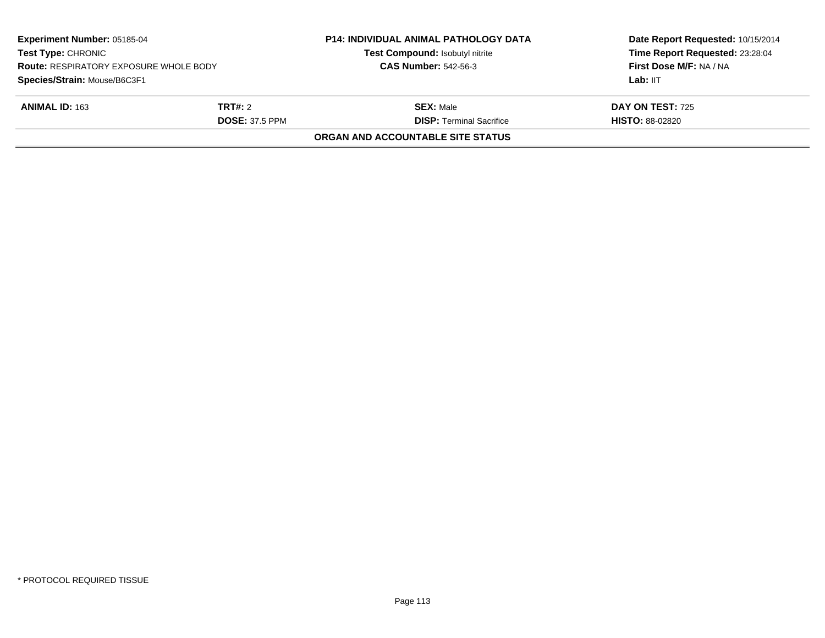| <b>Experiment Number: 05185-04</b><br><b>Test Type: CHRONIC</b><br><b>Route: RESPIRATORY EXPOSURE WHOLE BODY</b> |                | <b>P14: INDIVIDUAL ANIMAL PATHOLOGY DATA</b><br>Test Compound: Isobutyl nitrite | Date Report Requested: 10/15/2014<br>Time Report Requested: 23:28:04<br>First Dose M/F: NA / NA |
|------------------------------------------------------------------------------------------------------------------|----------------|---------------------------------------------------------------------------------|-------------------------------------------------------------------------------------------------|
|                                                                                                                  |                | <b>CAS Number: 542-56-3</b>                                                     |                                                                                                 |
| Species/Strain: Mouse/B6C3F1                                                                                     |                |                                                                                 | Lab: IIT                                                                                        |
| <b>ANIMAL ID: 163</b>                                                                                            | <b>TRT#:</b> 2 | <b>SEX:</b> Male                                                                | <b>DAY ON TEST: 725</b>                                                                         |
| <b>DOSE: 37.5 PPM</b>                                                                                            |                | <b>DISP: Terminal Sacrifice</b>                                                 | <b>HISTO: 88-02820</b>                                                                          |
|                                                                                                                  |                | ORGAN AND ACCOUNTABLE SITE STATUS                                               |                                                                                                 |
|                                                                                                                  |                |                                                                                 |                                                                                                 |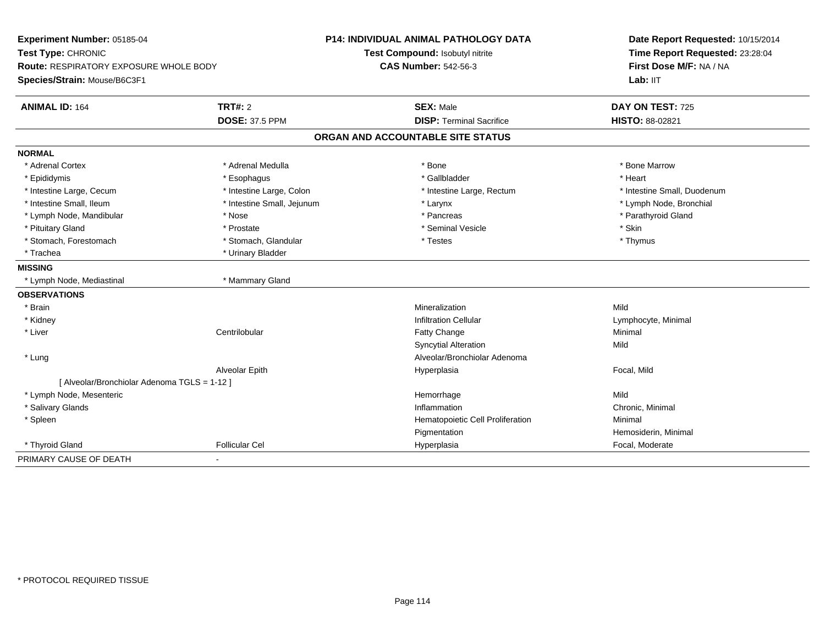| Experiment Number: 05185-04<br>Test Type: CHRONIC<br><b>Route: RESPIRATORY EXPOSURE WHOLE BODY</b> |                            | P14: INDIVIDUAL ANIMAL PATHOLOGY DATA | Date Report Requested: 10/15/2014<br>Time Report Requested: 23:28:04<br>First Dose M/F: NA / NA |
|----------------------------------------------------------------------------------------------------|----------------------------|---------------------------------------|-------------------------------------------------------------------------------------------------|
|                                                                                                    |                            | Test Compound: Isobutyl nitrite       |                                                                                                 |
|                                                                                                    |                            | <b>CAS Number: 542-56-3</b>           |                                                                                                 |
| Species/Strain: Mouse/B6C3F1                                                                       |                            |                                       | Lab: IIT                                                                                        |
| <b>ANIMAL ID: 164</b>                                                                              | TRT#: 2                    | <b>SEX: Male</b>                      | DAY ON TEST: 725                                                                                |
|                                                                                                    | <b>DOSE: 37.5 PPM</b>      | <b>DISP: Terminal Sacrifice</b>       | HISTO: 88-02821                                                                                 |
|                                                                                                    |                            | ORGAN AND ACCOUNTABLE SITE STATUS     |                                                                                                 |
| <b>NORMAL</b>                                                                                      |                            |                                       |                                                                                                 |
| * Adrenal Cortex                                                                                   | * Adrenal Medulla          | * Bone                                | * Bone Marrow                                                                                   |
| * Epididymis                                                                                       | * Esophagus                | * Gallbladder                         | * Heart                                                                                         |
| * Intestine Large, Cecum                                                                           | * Intestine Large, Colon   | * Intestine Large, Rectum             | * Intestine Small, Duodenum                                                                     |
| * Intestine Small. Ileum                                                                           | * Intestine Small, Jejunum | * Larynx                              | * Lymph Node, Bronchial                                                                         |
| * Lymph Node, Mandibular                                                                           | * Nose                     | * Pancreas                            | * Parathyroid Gland                                                                             |
| * Pituitary Gland                                                                                  | * Prostate                 | * Seminal Vesicle                     | * Skin                                                                                          |
| * Stomach, Forestomach                                                                             | * Stomach, Glandular       | * Testes                              | * Thymus                                                                                        |
| * Trachea                                                                                          | * Urinary Bladder          |                                       |                                                                                                 |
| <b>MISSING</b>                                                                                     |                            |                                       |                                                                                                 |
| * Lymph Node, Mediastinal                                                                          | * Mammary Gland            |                                       |                                                                                                 |
| <b>OBSERVATIONS</b>                                                                                |                            |                                       |                                                                                                 |
| * Brain                                                                                            |                            | Mineralization                        | Mild                                                                                            |
| * Kidney                                                                                           |                            | <b>Infiltration Cellular</b>          | Lymphocyte, Minimal                                                                             |
| * Liver                                                                                            | Centrilobular              | Fatty Change                          | Minimal                                                                                         |
|                                                                                                    |                            | <b>Syncytial Alteration</b>           | Mild                                                                                            |
| * Lung                                                                                             |                            | Alveolar/Bronchiolar Adenoma          |                                                                                                 |
|                                                                                                    | Alveolar Epith             | Hyperplasia                           | Focal, Mild                                                                                     |
| [ Alveolar/Bronchiolar Adenoma TGLS = 1-12 ]                                                       |                            |                                       |                                                                                                 |
| * Lymph Node, Mesenteric                                                                           |                            | Hemorrhage                            | Mild                                                                                            |
| * Salivary Glands                                                                                  |                            | Inflammation                          | Chronic, Minimal                                                                                |
| * Spleen                                                                                           |                            | Hematopoietic Cell Proliferation      | Minimal                                                                                         |
|                                                                                                    |                            | Pigmentation                          | Hemosiderin, Minimal                                                                            |
| * Thyroid Gland                                                                                    | <b>Follicular Cel</b>      | Hyperplasia                           | Focal, Moderate                                                                                 |
| PRIMARY CAUSE OF DEATH                                                                             | $\blacksquare$             |                                       |                                                                                                 |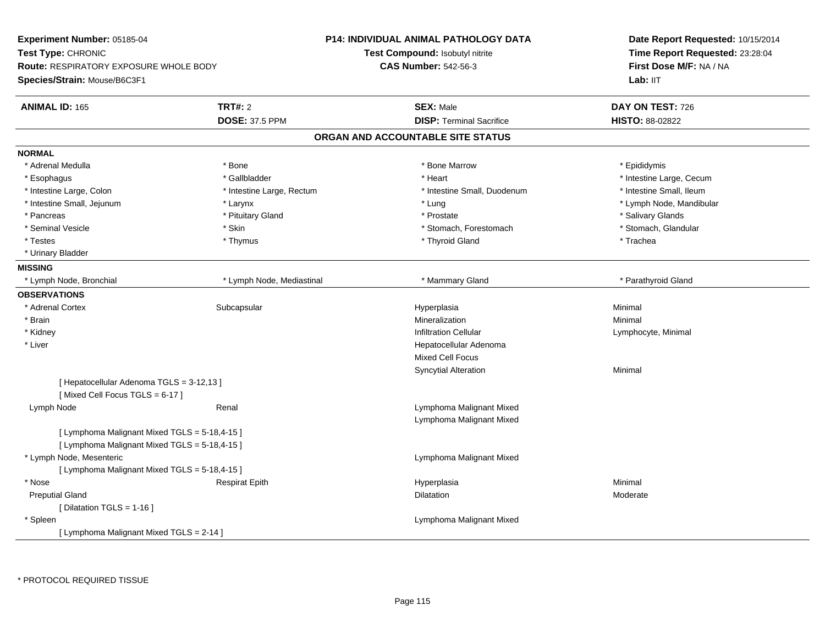| Experiment Number: 05185-04<br>Test Type: CHRONIC<br><b>Route: RESPIRATORY EXPOSURE WHOLE BODY</b><br>Species/Strain: Mouse/B6C3F1 |                           | <b>P14: INDIVIDUAL ANIMAL PATHOLOGY DATA</b><br>Test Compound: Isobutyl nitrite<br><b>CAS Number: 542-56-3</b> | Date Report Requested: 10/15/2014<br>Time Report Requested: 23:28:04<br>First Dose M/F: NA / NA<br>Lab: IIT |
|------------------------------------------------------------------------------------------------------------------------------------|---------------------------|----------------------------------------------------------------------------------------------------------------|-------------------------------------------------------------------------------------------------------------|
|                                                                                                                                    |                           |                                                                                                                |                                                                                                             |
| <b>ANIMAL ID: 165</b>                                                                                                              | <b>TRT#: 2</b>            | <b>SEX: Male</b>                                                                                               | DAY ON TEST: 726                                                                                            |
|                                                                                                                                    | <b>DOSE: 37.5 PPM</b>     | <b>DISP: Terminal Sacrifice</b>                                                                                | HISTO: 88-02822                                                                                             |
|                                                                                                                                    |                           | ORGAN AND ACCOUNTABLE SITE STATUS                                                                              |                                                                                                             |
| <b>NORMAL</b>                                                                                                                      |                           |                                                                                                                |                                                                                                             |
| * Adrenal Medulla                                                                                                                  | * Bone                    | * Bone Marrow                                                                                                  | * Epididymis                                                                                                |
| * Esophagus                                                                                                                        | * Gallbladder             | * Heart                                                                                                        | * Intestine Large, Cecum                                                                                    |
| * Intestine Large, Colon                                                                                                           | * Intestine Large, Rectum | * Intestine Small, Duodenum                                                                                    | * Intestine Small, Ileum                                                                                    |
| * Intestine Small, Jejunum                                                                                                         | * Larynx                  | * Lung                                                                                                         | * Lymph Node, Mandibular                                                                                    |
| * Pancreas                                                                                                                         | * Pituitary Gland         | * Prostate                                                                                                     | * Salivary Glands                                                                                           |
| * Seminal Vesicle                                                                                                                  | * Skin                    | * Stomach, Forestomach                                                                                         | * Stomach, Glandular                                                                                        |
| * Testes                                                                                                                           | * Thymus                  | * Thyroid Gland                                                                                                | * Trachea                                                                                                   |
| * Urinary Bladder                                                                                                                  |                           |                                                                                                                |                                                                                                             |
| <b>MISSING</b>                                                                                                                     |                           |                                                                                                                |                                                                                                             |
| * Lymph Node, Bronchial                                                                                                            | * Lymph Node, Mediastinal | * Mammary Gland                                                                                                | * Parathyroid Gland                                                                                         |
| <b>OBSERVATIONS</b>                                                                                                                |                           |                                                                                                                |                                                                                                             |
| * Adrenal Cortex                                                                                                                   | Subcapsular               | Hyperplasia                                                                                                    | Minimal                                                                                                     |
| * Brain                                                                                                                            |                           | Mineralization                                                                                                 | Minimal                                                                                                     |
| * Kidney                                                                                                                           |                           | <b>Infiltration Cellular</b>                                                                                   | Lymphocyte, Minimal                                                                                         |
| * Liver                                                                                                                            |                           | Hepatocellular Adenoma                                                                                         |                                                                                                             |
|                                                                                                                                    |                           | <b>Mixed Cell Focus</b>                                                                                        |                                                                                                             |
|                                                                                                                                    |                           | Syncytial Alteration                                                                                           | Minimal                                                                                                     |
| [ Hepatocellular Adenoma TGLS = 3-12,13 ]<br>[Mixed Cell Focus TGLS = 6-17]                                                        |                           |                                                                                                                |                                                                                                             |
| Lymph Node                                                                                                                         | Renal                     | Lymphoma Malignant Mixed<br>Lymphoma Malignant Mixed                                                           |                                                                                                             |
| [ Lymphoma Malignant Mixed TGLS = 5-18,4-15 ]<br>[ Lymphoma Malignant Mixed TGLS = 5-18,4-15 ]                                     |                           |                                                                                                                |                                                                                                             |
| * Lymph Node, Mesenteric                                                                                                           |                           | Lymphoma Malignant Mixed                                                                                       |                                                                                                             |
| [ Lymphoma Malignant Mixed TGLS = 5-18,4-15 ]                                                                                      |                           |                                                                                                                |                                                                                                             |
| * Nose                                                                                                                             | <b>Respirat Epith</b>     | Hyperplasia                                                                                                    | Minimal                                                                                                     |
| <b>Preputial Gland</b>                                                                                                             |                           | Dilatation                                                                                                     | Moderate                                                                                                    |
| [Dilatation TGLS = 1-16]                                                                                                           |                           |                                                                                                                |                                                                                                             |
| * Spleen                                                                                                                           |                           | Lymphoma Malignant Mixed                                                                                       |                                                                                                             |
| [ Lymphoma Malignant Mixed TGLS = 2-14 ]                                                                                           |                           |                                                                                                                |                                                                                                             |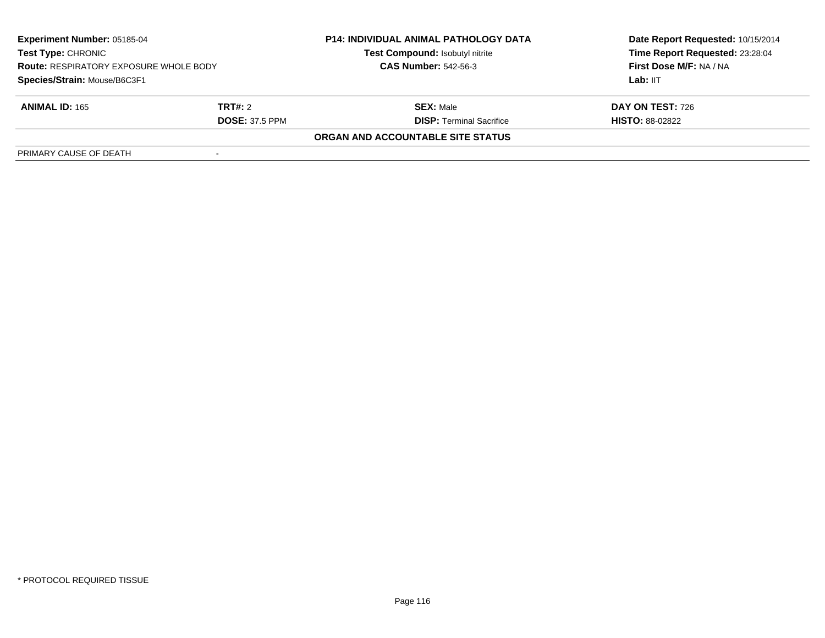| <b>Experiment Number: 05185-04</b><br><b>Test Type: CHRONIC</b><br><b>Route: RESPIRATORY EXPOSURE WHOLE BODY</b><br>Species/Strain: Mouse/B6C3F1 |         | <b>P14: INDIVIDUAL ANIMAL PATHOLOGY DATA</b><br>Test Compound: Isobutyl nitrite | Date Report Requested: 10/15/2014<br>Time Report Requested: 23:28:04 |
|--------------------------------------------------------------------------------------------------------------------------------------------------|---------|---------------------------------------------------------------------------------|----------------------------------------------------------------------|
|                                                                                                                                                  |         | <b>CAS Number: 542-56-3</b>                                                     | First Dose M/F: NA / NA                                              |
|                                                                                                                                                  |         |                                                                                 | Lab: IIT                                                             |
| <b>ANIMAL ID: 165</b>                                                                                                                            | TRT#: 2 | <b>SEX: Male</b>                                                                | <b>DAY ON TEST: 726</b>                                              |
| <b>DOSE: 37.5 PPM</b>                                                                                                                            |         | <b>DISP: Terminal Sacrifice</b>                                                 | <b>HISTO: 88-02822</b>                                               |
|                                                                                                                                                  |         | ORGAN AND ACCOUNTABLE SITE STATUS                                               |                                                                      |
| PRIMARY CAUSE OF DEATH                                                                                                                           |         |                                                                                 |                                                                      |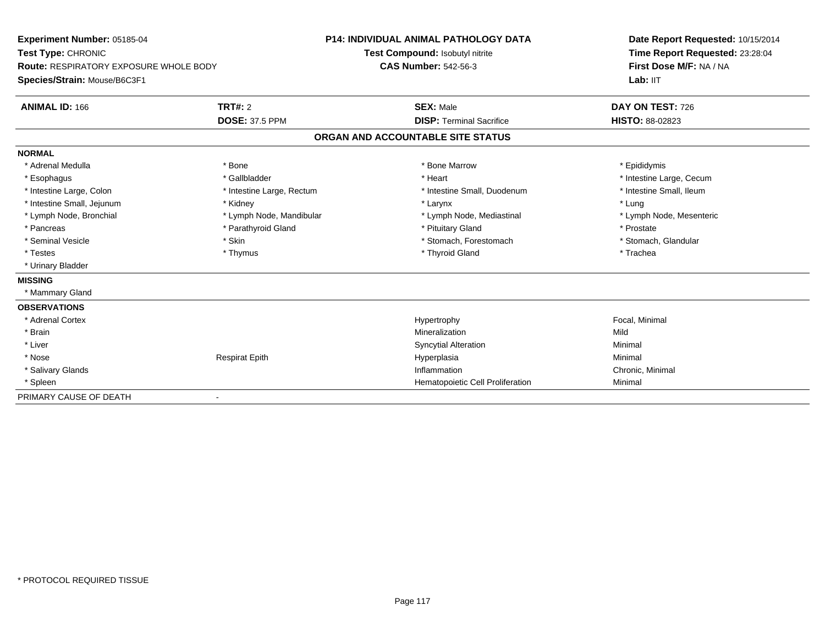| Experiment Number: 05185-04<br>Test Type: CHRONIC<br><b>Route: RESPIRATORY EXPOSURE WHOLE BODY</b><br>Species/Strain: Mouse/B6C3F1 |                           | <b>P14: INDIVIDUAL ANIMAL PATHOLOGY DATA</b> | Date Report Requested: 10/15/2014<br>Time Report Requested: 23:28:04 |
|------------------------------------------------------------------------------------------------------------------------------------|---------------------------|----------------------------------------------|----------------------------------------------------------------------|
|                                                                                                                                    |                           | Test Compound: Isobutyl nitrite              |                                                                      |
|                                                                                                                                    |                           | <b>CAS Number: 542-56-3</b>                  | First Dose M/F: NA / NA                                              |
|                                                                                                                                    |                           |                                              | Lab: IIT                                                             |
| <b>ANIMAL ID: 166</b>                                                                                                              | TRT#: 2                   | <b>SEX: Male</b>                             | DAY ON TEST: 726                                                     |
|                                                                                                                                    | <b>DOSE: 37.5 PPM</b>     | <b>DISP: Terminal Sacrifice</b>              | <b>HISTO: 88-02823</b>                                               |
|                                                                                                                                    |                           | ORGAN AND ACCOUNTABLE SITE STATUS            |                                                                      |
| <b>NORMAL</b>                                                                                                                      |                           |                                              |                                                                      |
| * Adrenal Medulla                                                                                                                  | * Bone                    | * Bone Marrow                                | * Epididymis                                                         |
| * Esophagus                                                                                                                        | * Gallbladder             | * Heart                                      | * Intestine Large, Cecum                                             |
| * Intestine Large, Colon                                                                                                           | * Intestine Large, Rectum | * Intestine Small, Duodenum                  | * Intestine Small, Ileum                                             |
| * Intestine Small, Jejunum                                                                                                         | * Kidney                  | * Larynx                                     | * Lung                                                               |
| * Lymph Node, Bronchial                                                                                                            | * Lymph Node, Mandibular  | * Lymph Node, Mediastinal                    | * Lymph Node, Mesenteric                                             |
| * Pancreas                                                                                                                         | * Parathyroid Gland       | * Pituitary Gland                            | * Prostate                                                           |
| * Seminal Vesicle                                                                                                                  | * Skin                    | * Stomach, Forestomach                       | * Stomach, Glandular                                                 |
| * Testes                                                                                                                           | * Thymus                  | * Thyroid Gland                              | * Trachea                                                            |
| * Urinary Bladder                                                                                                                  |                           |                                              |                                                                      |
| <b>MISSING</b>                                                                                                                     |                           |                                              |                                                                      |
| * Mammary Gland                                                                                                                    |                           |                                              |                                                                      |
| <b>OBSERVATIONS</b>                                                                                                                |                           |                                              |                                                                      |
| * Adrenal Cortex                                                                                                                   |                           | Hypertrophy                                  | Focal, Minimal                                                       |
| * Brain                                                                                                                            |                           | Mineralization                               | Mild                                                                 |
| * Liver                                                                                                                            |                           | <b>Syncytial Alteration</b>                  | Minimal                                                              |
| * Nose                                                                                                                             | <b>Respirat Epith</b>     | Hyperplasia                                  | Minimal                                                              |
| * Salivary Glands                                                                                                                  |                           | Inflammation                                 | Chronic, Minimal                                                     |
| * Spleen                                                                                                                           |                           | Hematopoietic Cell Proliferation             | Minimal                                                              |
| PRIMARY CAUSE OF DEATH                                                                                                             |                           |                                              |                                                                      |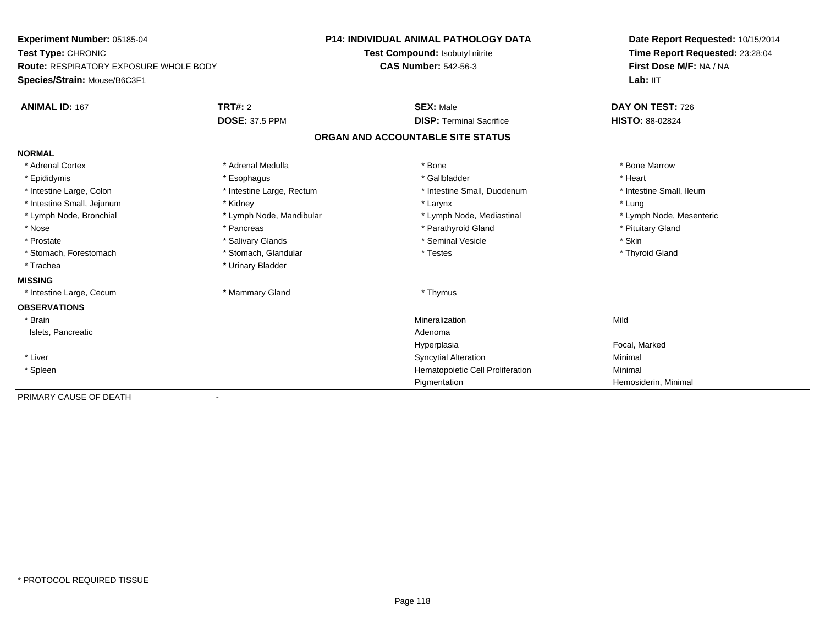| Experiment Number: 05185-04<br>Test Type: CHRONIC<br>Route: RESPIRATORY EXPOSURE WHOLE BODY |                           | <b>P14: INDIVIDUAL ANIMAL PATHOLOGY DATA</b> | Date Report Requested: 10/15/2014<br>Time Report Requested: 23:28:04<br>First Dose M/F: NA / NA |  |
|---------------------------------------------------------------------------------------------|---------------------------|----------------------------------------------|-------------------------------------------------------------------------------------------------|--|
|                                                                                             |                           | Test Compound: Isobutyl nitrite              |                                                                                                 |  |
|                                                                                             |                           | <b>CAS Number: 542-56-3</b>                  |                                                                                                 |  |
| Species/Strain: Mouse/B6C3F1                                                                |                           |                                              | Lab: IIT                                                                                        |  |
| <b>ANIMAL ID: 167</b>                                                                       | <b>TRT#: 2</b>            | <b>SEX: Male</b>                             | DAY ON TEST: 726                                                                                |  |
|                                                                                             | <b>DOSE: 37.5 PPM</b>     | <b>DISP: Terminal Sacrifice</b>              | <b>HISTO: 88-02824</b>                                                                          |  |
|                                                                                             |                           | ORGAN AND ACCOUNTABLE SITE STATUS            |                                                                                                 |  |
| <b>NORMAL</b>                                                                               |                           |                                              |                                                                                                 |  |
| * Adrenal Cortex                                                                            | * Adrenal Medulla         | * Bone                                       | * Bone Marrow                                                                                   |  |
| * Epididymis                                                                                | * Esophagus               | * Gallbladder                                | * Heart                                                                                         |  |
| * Intestine Large, Colon                                                                    | * Intestine Large, Rectum | * Intestine Small, Duodenum                  | * Intestine Small, Ileum                                                                        |  |
| * Intestine Small, Jejunum                                                                  | * Kidney                  | * Larynx                                     | * Lung                                                                                          |  |
| * Lymph Node, Bronchial                                                                     | * Lymph Node, Mandibular  | * Lymph Node, Mediastinal                    | * Lymph Node, Mesenteric                                                                        |  |
| * Nose                                                                                      | * Pancreas                | * Parathyroid Gland                          | * Pituitary Gland                                                                               |  |
| * Prostate                                                                                  | * Salivary Glands         | * Seminal Vesicle                            | * Skin                                                                                          |  |
| * Stomach, Forestomach                                                                      | * Stomach, Glandular      | * Testes                                     | * Thyroid Gland                                                                                 |  |
| * Trachea                                                                                   | * Urinary Bladder         |                                              |                                                                                                 |  |
| <b>MISSING</b>                                                                              |                           |                                              |                                                                                                 |  |
| * Intestine Large, Cecum                                                                    | * Mammary Gland           | * Thymus                                     |                                                                                                 |  |
| <b>OBSERVATIONS</b>                                                                         |                           |                                              |                                                                                                 |  |
| * Brain                                                                                     |                           | Mineralization                               | Mild                                                                                            |  |
| Islets, Pancreatic                                                                          |                           | Adenoma                                      |                                                                                                 |  |
|                                                                                             |                           | Hyperplasia                                  | Focal, Marked                                                                                   |  |
| * Liver                                                                                     |                           | <b>Syncytial Alteration</b>                  | Minimal                                                                                         |  |
| * Spleen                                                                                    |                           | Hematopoietic Cell Proliferation             | Minimal                                                                                         |  |
|                                                                                             |                           | Pigmentation                                 | Hemosiderin, Minimal                                                                            |  |
| PRIMARY CAUSE OF DEATH                                                                      |                           |                                              |                                                                                                 |  |

-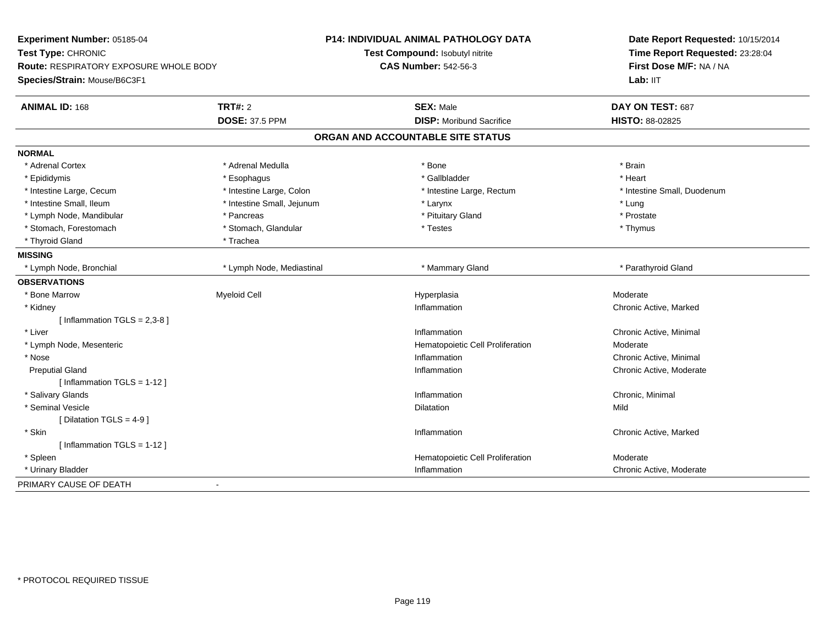| Experiment Number: 05185-04                   |                            | P14: INDIVIDUAL ANIMAL PATHOLOGY DATA | Date Report Requested: 10/15/2014<br>Time Report Requested: 23:28:04 |
|-----------------------------------------------|----------------------------|---------------------------------------|----------------------------------------------------------------------|
| Test Type: CHRONIC                            |                            | Test Compound: Isobutyl nitrite       |                                                                      |
| <b>Route: RESPIRATORY EXPOSURE WHOLE BODY</b> |                            | <b>CAS Number: 542-56-3</b>           | First Dose M/F: NA / NA                                              |
| Species/Strain: Mouse/B6C3F1                  |                            |                                       | Lab: IIT                                                             |
| <b>ANIMAL ID: 168</b>                         | <b>TRT#: 2</b>             | <b>SEX: Male</b>                      | DAY ON TEST: 687                                                     |
|                                               | <b>DOSE: 37.5 PPM</b>      | <b>DISP:</b> Moribund Sacrifice       | HISTO: 88-02825                                                      |
|                                               |                            | ORGAN AND ACCOUNTABLE SITE STATUS     |                                                                      |
| <b>NORMAL</b>                                 |                            |                                       |                                                                      |
| * Adrenal Cortex                              | * Adrenal Medulla          | * Bone                                | * Brain                                                              |
| * Epididymis                                  | * Esophagus                | * Gallbladder                         | * Heart                                                              |
| * Intestine Large, Cecum                      | * Intestine Large, Colon   | * Intestine Large, Rectum             | * Intestine Small, Duodenum                                          |
| * Intestine Small, Ileum                      | * Intestine Small, Jejunum | * Larynx                              | $*$ Lung                                                             |
| * Lymph Node, Mandibular                      | * Pancreas                 | * Pituitary Gland                     | * Prostate                                                           |
| * Stomach, Forestomach                        | * Stomach, Glandular       | * Testes                              | * Thymus                                                             |
| * Thyroid Gland                               | * Trachea                  |                                       |                                                                      |
| <b>MISSING</b>                                |                            |                                       |                                                                      |
| * Lymph Node, Bronchial                       | * Lymph Node, Mediastinal  | * Mammary Gland                       | * Parathyroid Gland                                                  |
| <b>OBSERVATIONS</b>                           |                            |                                       |                                                                      |
| * Bone Marrow                                 | <b>Myeloid Cell</b>        | Hyperplasia                           | Moderate                                                             |
| * Kidney                                      |                            | Inflammation                          | Chronic Active, Marked                                               |
| [Inflammation $TGLS = 2,3-8$ ]                |                            |                                       |                                                                      |
| * Liver                                       |                            | Inflammation                          | Chronic Active, Minimal                                              |
| * Lymph Node, Mesenteric                      |                            | Hematopoietic Cell Proliferation      | Moderate                                                             |
| * Nose                                        |                            | Inflammation                          | Chronic Active, Minimal                                              |
| <b>Preputial Gland</b>                        |                            | Inflammation                          | Chronic Active, Moderate                                             |
| [Inflammation TGLS = $1-12$ ]                 |                            |                                       |                                                                      |
| * Salivary Glands                             |                            | Inflammation                          | Chronic, Minimal                                                     |
| * Seminal Vesicle                             |                            | Dilatation                            | Mild                                                                 |
| [ Dilatation TGLS = $4-9$ ]                   |                            |                                       |                                                                      |
| * Skin                                        |                            | Inflammation                          | Chronic Active, Marked                                               |
| [Inflammation TGLS = 1-12]                    |                            |                                       |                                                                      |
| * Spleen                                      |                            | Hematopoietic Cell Proliferation      | Moderate                                                             |
| * Urinary Bladder                             |                            | Inflammation                          | Chronic Active, Moderate                                             |
| PRIMARY CAUSE OF DEATH                        | $\blacksquare$             |                                       |                                                                      |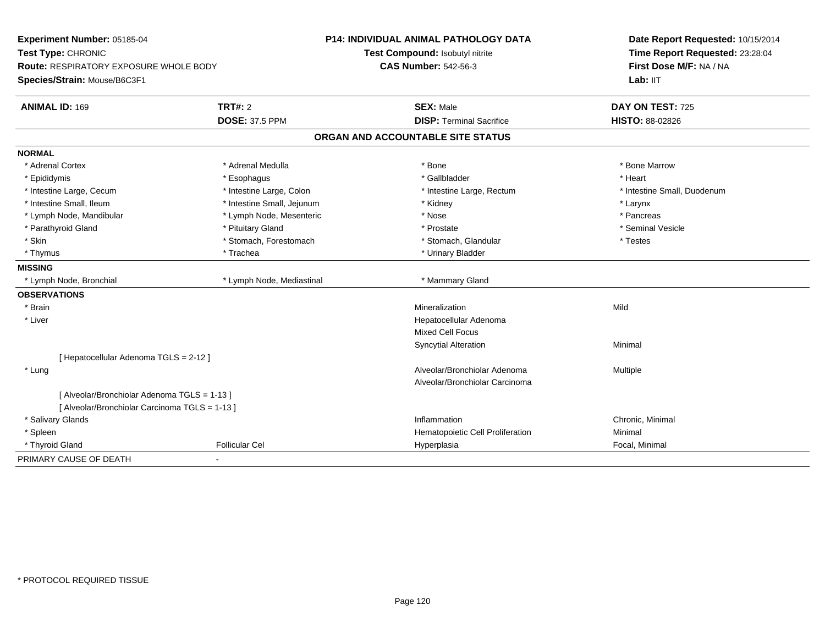| Experiment Number: 05185-04<br>Test Type: CHRONIC<br><b>Route: RESPIRATORY EXPOSURE WHOLE BODY</b><br>Species/Strain: Mouse/B6C3F1 |                            | P14: INDIVIDUAL ANIMAL PATHOLOGY DATA<br>Test Compound: Isobutyl nitrite<br><b>CAS Number: 542-56-3</b> | Date Report Requested: 10/15/2014<br>Time Report Requested: 23:28:04<br>First Dose M/F: NA / NA<br>Lab: IIT |
|------------------------------------------------------------------------------------------------------------------------------------|----------------------------|---------------------------------------------------------------------------------------------------------|-------------------------------------------------------------------------------------------------------------|
| TRT#: 2<br><b>ANIMAL ID: 169</b>                                                                                                   |                            | <b>SEX: Male</b>                                                                                        | DAY ON TEST: 725                                                                                            |
|                                                                                                                                    | <b>DOSE: 37.5 PPM</b>      | <b>DISP: Terminal Sacrifice</b>                                                                         | HISTO: 88-02826                                                                                             |
|                                                                                                                                    |                            | ORGAN AND ACCOUNTABLE SITE STATUS                                                                       |                                                                                                             |
|                                                                                                                                    |                            |                                                                                                         |                                                                                                             |
| <b>NORMAL</b>                                                                                                                      |                            |                                                                                                         |                                                                                                             |
| * Adrenal Cortex                                                                                                                   | * Adrenal Medulla          | * Bone                                                                                                  | * Bone Marrow                                                                                               |
| * Epididymis                                                                                                                       | * Esophagus                | * Gallbladder                                                                                           | * Heart                                                                                                     |
| * Intestine Large, Cecum                                                                                                           | * Intestine Large, Colon   | * Intestine Large, Rectum                                                                               | * Intestine Small, Duodenum                                                                                 |
| * Intestine Small, Ileum                                                                                                           | * Intestine Small, Jejunum | * Kidney                                                                                                | * Larynx                                                                                                    |
| * Lymph Node, Mandibular                                                                                                           | * Lymph Node, Mesenteric   | * Nose                                                                                                  | * Pancreas                                                                                                  |
| * Parathyroid Gland                                                                                                                | * Pituitary Gland          | * Prostate                                                                                              | * Seminal Vesicle                                                                                           |
| * Skin                                                                                                                             | * Stomach, Forestomach     | * Stomach, Glandular                                                                                    | * Testes                                                                                                    |
| * Thymus                                                                                                                           | * Trachea                  | * Urinary Bladder                                                                                       |                                                                                                             |
| <b>MISSING</b>                                                                                                                     |                            |                                                                                                         |                                                                                                             |
| * Lymph Node, Bronchial                                                                                                            | * Lymph Node, Mediastinal  | * Mammary Gland                                                                                         |                                                                                                             |
| <b>OBSERVATIONS</b>                                                                                                                |                            |                                                                                                         |                                                                                                             |
| * Brain                                                                                                                            |                            | Mineralization                                                                                          | Mild                                                                                                        |
| * Liver                                                                                                                            |                            | Hepatocellular Adenoma                                                                                  |                                                                                                             |
|                                                                                                                                    |                            | Mixed Cell Focus                                                                                        |                                                                                                             |
|                                                                                                                                    |                            | <b>Syncytial Alteration</b>                                                                             | Minimal                                                                                                     |
| [ Hepatocellular Adenoma TGLS = 2-12 ]                                                                                             |                            |                                                                                                         |                                                                                                             |
| * Lung                                                                                                                             |                            | Alveolar/Bronchiolar Adenoma                                                                            | Multiple                                                                                                    |
|                                                                                                                                    |                            | Alveolar/Bronchiolar Carcinoma                                                                          |                                                                                                             |
| [ Alveolar/Bronchiolar Adenoma TGLS = 1-13 ]                                                                                       |                            |                                                                                                         |                                                                                                             |
| [ Alveolar/Bronchiolar Carcinoma TGLS = 1-13 ]                                                                                     |                            |                                                                                                         |                                                                                                             |
| * Salivary Glands                                                                                                                  |                            | Inflammation                                                                                            | Chronic, Minimal                                                                                            |
| * Spleen                                                                                                                           |                            | Hematopoietic Cell Proliferation                                                                        | Minimal                                                                                                     |
| * Thyroid Gland                                                                                                                    | <b>Follicular Cel</b>      | Hyperplasia                                                                                             | Focal, Minimal                                                                                              |
| PRIMARY CAUSE OF DEATH                                                                                                             |                            |                                                                                                         |                                                                                                             |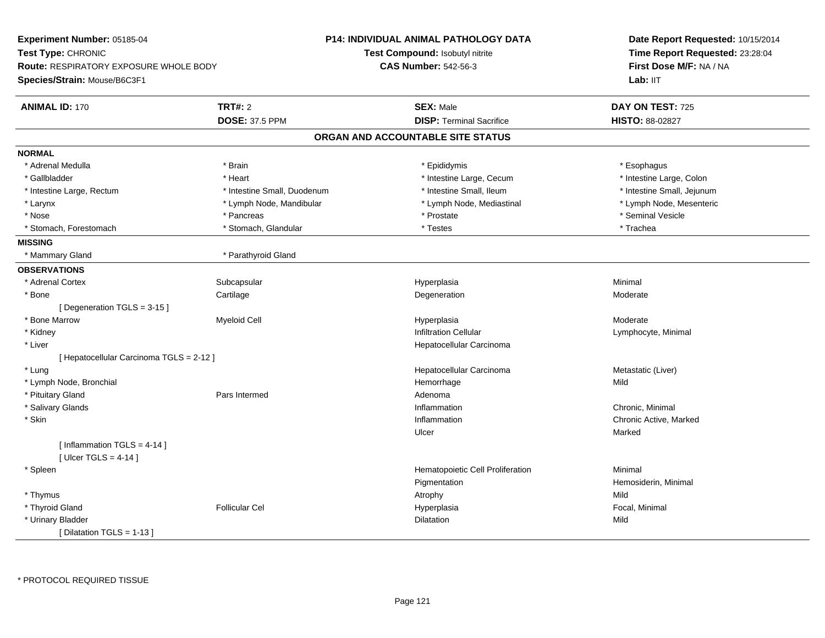| Experiment Number: 05185-04                   |                             | <b>P14: INDIVIDUAL ANIMAL PATHOLOGY DATA</b> | Date Report Requested: 10/15/2014                          |  |
|-----------------------------------------------|-----------------------------|----------------------------------------------|------------------------------------------------------------|--|
| Test Type: CHRONIC                            |                             | Test Compound: Isobutyl nitrite              | Time Report Requested: 23:28:04<br>First Dose M/F: NA / NA |  |
| <b>Route: RESPIRATORY EXPOSURE WHOLE BODY</b> |                             | <b>CAS Number: 542-56-3</b>                  |                                                            |  |
| Species/Strain: Mouse/B6C3F1                  |                             |                                              | Lab: IIT                                                   |  |
| <b>ANIMAL ID: 170</b>                         | <b>TRT#: 2</b>              | <b>SEX: Male</b>                             | DAY ON TEST: 725                                           |  |
|                                               | <b>DOSE: 37.5 PPM</b>       | <b>DISP: Terminal Sacrifice</b>              | HISTO: 88-02827                                            |  |
|                                               |                             | ORGAN AND ACCOUNTABLE SITE STATUS            |                                                            |  |
| <b>NORMAL</b>                                 |                             |                                              |                                                            |  |
| * Adrenal Medulla                             | * Brain                     | * Epididymis                                 | * Esophagus                                                |  |
| * Gallbladder                                 | * Heart                     | * Intestine Large, Cecum                     | * Intestine Large, Colon                                   |  |
| * Intestine Large, Rectum                     | * Intestine Small, Duodenum | * Intestine Small, Ileum                     | * Intestine Small, Jejunum                                 |  |
| * Larynx                                      | * Lymph Node, Mandibular    | * Lymph Node, Mediastinal                    | * Lymph Node, Mesenteric                                   |  |
| * Nose                                        | * Pancreas                  | * Prostate                                   | * Seminal Vesicle                                          |  |
| * Stomach, Forestomach                        | * Stomach, Glandular        | * Testes                                     | * Trachea                                                  |  |
| <b>MISSING</b>                                |                             |                                              |                                                            |  |
| * Mammary Gland                               | * Parathyroid Gland         |                                              |                                                            |  |
| <b>OBSERVATIONS</b>                           |                             |                                              |                                                            |  |
| * Adrenal Cortex                              | Subcapsular                 | Hyperplasia                                  | Minimal                                                    |  |
| * Bone                                        | Cartilage                   | Degeneration                                 | Moderate                                                   |  |
| [ Degeneration TGLS = 3-15 ]                  |                             |                                              |                                                            |  |
| * Bone Marrow                                 | Myeloid Cell                | Hyperplasia                                  | Moderate                                                   |  |
| * Kidney                                      |                             | Infiltration Cellular                        | Lymphocyte, Minimal                                        |  |
| * Liver                                       |                             | Hepatocellular Carcinoma                     |                                                            |  |
| [ Hepatocellular Carcinoma TGLS = 2-12 ]      |                             |                                              |                                                            |  |
| * Lung                                        |                             | Hepatocellular Carcinoma                     | Metastatic (Liver)                                         |  |
| * Lymph Node, Bronchial                       |                             | Hemorrhage                                   | Mild                                                       |  |
| * Pituitary Gland                             | Pars Intermed               | Adenoma                                      |                                                            |  |
| * Salivary Glands                             |                             | Inflammation                                 | Chronic, Minimal                                           |  |
| * Skin                                        |                             | Inflammation                                 | Chronic Active, Marked                                     |  |
|                                               |                             | Ulcer                                        | Marked                                                     |  |
| [Inflammation TGLS = $4-14$ ]                 |                             |                                              |                                                            |  |
| [ Ulcer TGLS = $4-14$ ]                       |                             |                                              |                                                            |  |
| * Spleen                                      |                             | Hematopoietic Cell Proliferation             | Minimal                                                    |  |
|                                               |                             | Pigmentation                                 | Hemosiderin, Minimal                                       |  |
| * Thymus                                      |                             | Atrophy                                      | Mild                                                       |  |
| * Thyroid Gland                               | <b>Follicular Cel</b>       | Hyperplasia                                  | Focal, Minimal                                             |  |
| * Urinary Bladder                             |                             | Dilatation                                   | Mild                                                       |  |
| [ Dilatation TGLS = $1-13$ ]                  |                             |                                              |                                                            |  |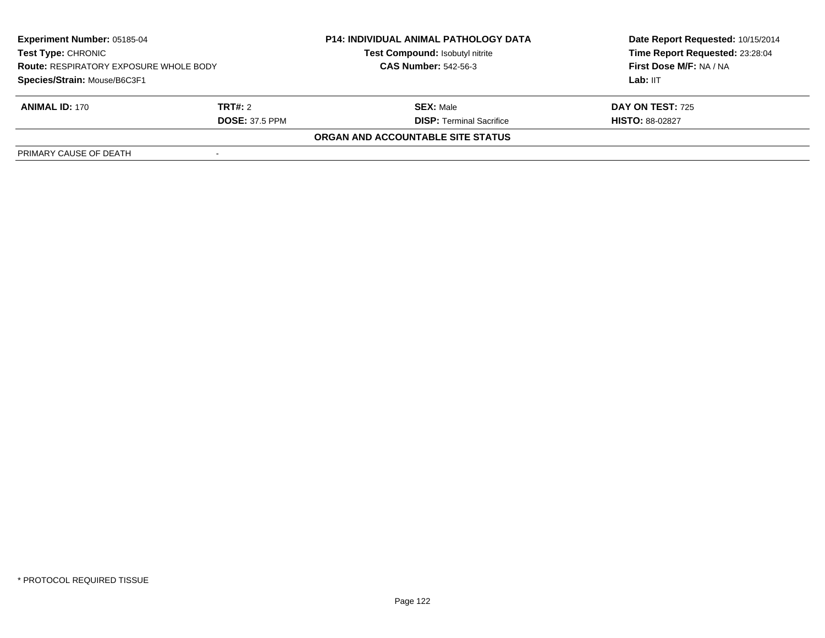| <b>Experiment Number: 05185-04</b><br><b>Test Type: CHRONIC</b><br><b>Route: RESPIRATORY EXPOSURE WHOLE BODY</b><br>Species/Strain: Mouse/B6C3F1 |                       | <b>P14: INDIVIDUAL ANIMAL PATHOLOGY DATA</b><br>Test Compound: Isobutyl nitrite | Date Report Requested: 10/15/2014<br>Time Report Requested: 23:28:04 |
|--------------------------------------------------------------------------------------------------------------------------------------------------|-----------------------|---------------------------------------------------------------------------------|----------------------------------------------------------------------|
|                                                                                                                                                  |                       | <b>CAS Number: 542-56-3</b>                                                     | First Dose M/F: NA / NA                                              |
|                                                                                                                                                  |                       |                                                                                 | Lab: IIT                                                             |
| <b>ANIMAL ID: 170</b>                                                                                                                            | TRT#: 2               | <b>SEX: Male</b>                                                                | <b>DAY ON TEST: 725</b>                                              |
|                                                                                                                                                  | <b>DOSE: 37.5 PPM</b> | <b>DISP: Terminal Sacrifice</b>                                                 | <b>HISTO: 88-02827</b>                                               |
|                                                                                                                                                  |                       | <b>ORGAN AND ACCOUNTABLE SITE STATUS</b>                                        |                                                                      |
| PRIMARY CAUSE OF DEATH                                                                                                                           |                       |                                                                                 |                                                                      |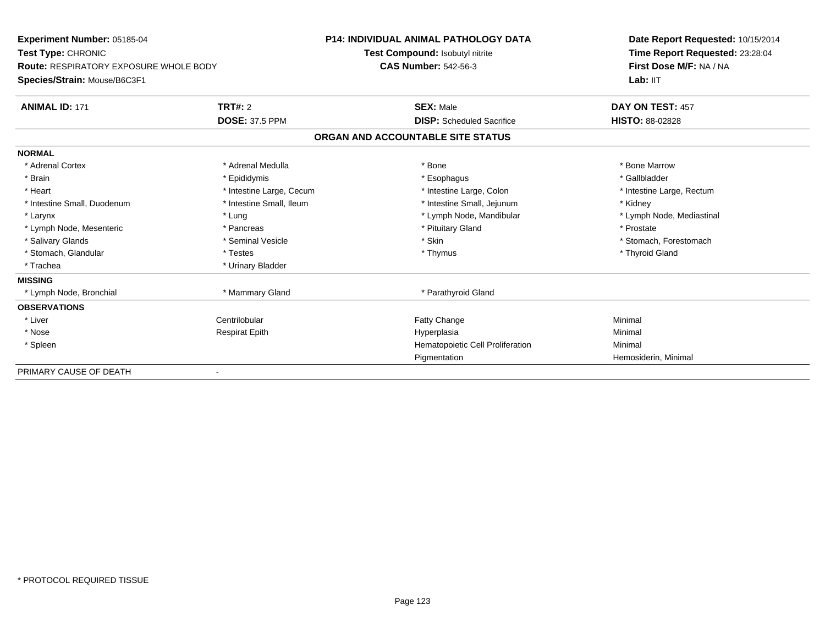| Experiment Number: 05185-04<br>Test Type: CHRONIC<br><b>Route: RESPIRATORY EXPOSURE WHOLE BODY</b> |                          | <b>P14: INDIVIDUAL ANIMAL PATHOLOGY DATA</b> | Date Report Requested: 10/15/2014 |  |
|----------------------------------------------------------------------------------------------------|--------------------------|----------------------------------------------|-----------------------------------|--|
|                                                                                                    |                          | Test Compound: Isobutyl nitrite              | Time Report Requested: 23:28:04   |  |
|                                                                                                    |                          | <b>CAS Number: 542-56-3</b>                  | First Dose M/F: NA / NA           |  |
| Species/Strain: Mouse/B6C3F1                                                                       |                          |                                              | Lab: IIT                          |  |
| <b>ANIMAL ID: 171</b>                                                                              | <b>TRT#: 2</b>           | <b>SEX: Male</b>                             | DAY ON TEST: 457                  |  |
|                                                                                                    | <b>DOSE: 37.5 PPM</b>    | <b>DISP:</b> Scheduled Sacrifice             | <b>HISTO: 88-02828</b>            |  |
|                                                                                                    |                          | ORGAN AND ACCOUNTABLE SITE STATUS            |                                   |  |
| <b>NORMAL</b>                                                                                      |                          |                                              |                                   |  |
| * Adrenal Cortex                                                                                   | * Adrenal Medulla        | * Bone                                       | * Bone Marrow                     |  |
| * Brain                                                                                            | * Epididymis             | * Esophagus                                  | * Gallbladder                     |  |
| * Heart                                                                                            | * Intestine Large, Cecum | * Intestine Large, Colon                     | * Intestine Large, Rectum         |  |
| * Intestine Small, Duodenum                                                                        | * Intestine Small, Ileum | * Intestine Small, Jejunum                   | * Kidney                          |  |
| * Larynx                                                                                           | * Lung                   | * Lymph Node, Mandibular                     | * Lymph Node, Mediastinal         |  |
| * Lymph Node, Mesenteric                                                                           | * Pancreas               | * Pituitary Gland                            | * Prostate                        |  |
| * Salivary Glands                                                                                  | * Seminal Vesicle        | * Skin                                       | * Stomach, Forestomach            |  |
| * Stomach, Glandular                                                                               | * Testes                 | * Thymus                                     | * Thyroid Gland                   |  |
| * Trachea                                                                                          | * Urinary Bladder        |                                              |                                   |  |
| <b>MISSING</b>                                                                                     |                          |                                              |                                   |  |
| * Lymph Node, Bronchial                                                                            | * Mammary Gland          | * Parathyroid Gland                          |                                   |  |
| <b>OBSERVATIONS</b>                                                                                |                          |                                              |                                   |  |
| * Liver                                                                                            | Centrilobular            | Fatty Change                                 | Minimal                           |  |
| * Nose                                                                                             | <b>Respirat Epith</b>    | Hyperplasia                                  | Minimal                           |  |
| * Spleen                                                                                           |                          | Hematopoietic Cell Proliferation             | Minimal                           |  |
|                                                                                                    |                          | Pigmentation                                 | Hemosiderin, Minimal              |  |
| PRIMARY CAUSE OF DEATH                                                                             |                          |                                              |                                   |  |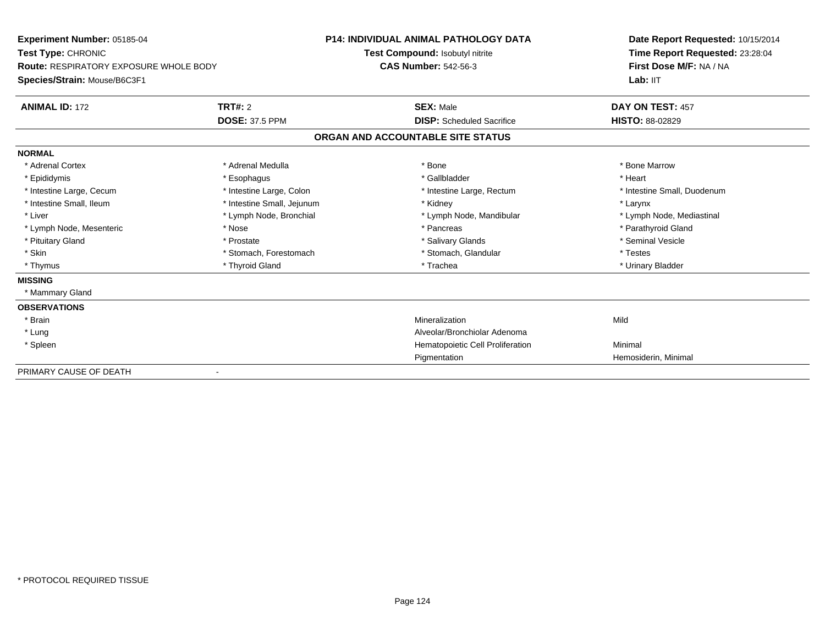| Experiment Number: 05185-04            |                            | <b>P14: INDIVIDUAL ANIMAL PATHOLOGY DATA</b> | Date Report Requested: 10/15/2014 |
|----------------------------------------|----------------------------|----------------------------------------------|-----------------------------------|
| Test Type: CHRONIC                     |                            | Test Compound: Isobutyl nitrite              | Time Report Requested: 23:28:04   |
| Route: RESPIRATORY EXPOSURE WHOLE BODY |                            | <b>CAS Number: 542-56-3</b>                  | First Dose M/F: NA / NA           |
| Species/Strain: Mouse/B6C3F1           |                            |                                              | Lab: IIT                          |
| <b>ANIMAL ID: 172</b>                  | TRT#: 2                    | <b>SEX: Male</b>                             | DAY ON TEST: 457                  |
|                                        | <b>DOSE: 37.5 PPM</b>      | <b>DISP:</b> Scheduled Sacrifice             | <b>HISTO: 88-02829</b>            |
|                                        |                            | ORGAN AND ACCOUNTABLE SITE STATUS            |                                   |
| <b>NORMAL</b>                          |                            |                                              |                                   |
| * Adrenal Cortex                       | * Adrenal Medulla          | * Bone                                       | * Bone Marrow                     |
| * Epididymis                           | * Esophagus                | * Gallbladder                                | * Heart                           |
| * Intestine Large, Cecum               | * Intestine Large, Colon   | * Intestine Large, Rectum                    | * Intestine Small, Duodenum       |
| * Intestine Small, Ileum               | * Intestine Small, Jejunum | * Kidney                                     | * Larynx                          |
| * Liver                                | * Lymph Node, Bronchial    | * Lymph Node, Mandibular                     | * Lymph Node, Mediastinal         |
| * Lymph Node, Mesenteric               | * Nose                     | * Pancreas                                   | * Parathyroid Gland               |
| * Pituitary Gland                      | * Prostate                 | * Salivary Glands                            | * Seminal Vesicle                 |
| * Skin                                 | * Stomach, Forestomach     | * Stomach, Glandular                         | * Testes                          |
| * Thymus                               | * Thyroid Gland            | * Trachea                                    | * Urinary Bladder                 |
| <b>MISSING</b>                         |                            |                                              |                                   |
| * Mammary Gland                        |                            |                                              |                                   |
| <b>OBSERVATIONS</b>                    |                            |                                              |                                   |
| * Brain                                |                            | Mineralization                               | Mild                              |
| * Lung                                 |                            | Alveolar/Bronchiolar Adenoma                 |                                   |
| * Spleen                               |                            | Hematopoietic Cell Proliferation             | Minimal                           |
|                                        |                            | Pigmentation                                 | Hemosiderin, Minimal              |
| PRIMARY CAUSE OF DEATH                 |                            |                                              |                                   |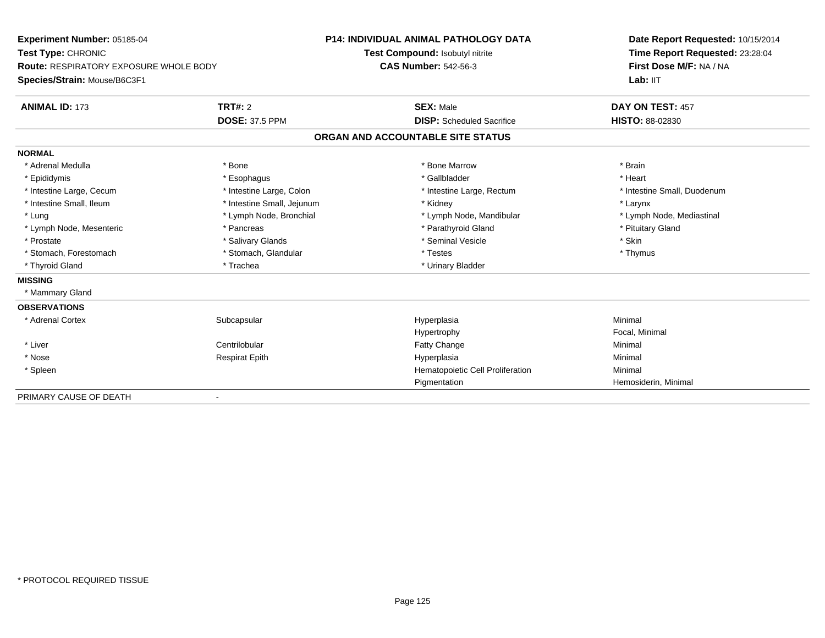| Experiment Number: 05185-04<br>Test Type: CHRONIC<br><b>Route: RESPIRATORY EXPOSURE WHOLE BODY</b> |                            | <b>P14: INDIVIDUAL ANIMAL PATHOLOGY DATA</b> | Date Report Requested: 10/15/2014                          |  |
|----------------------------------------------------------------------------------------------------|----------------------------|----------------------------------------------|------------------------------------------------------------|--|
|                                                                                                    |                            | Test Compound: Isobutyl nitrite              | Time Report Requested: 23:28:04<br>First Dose M/F: NA / NA |  |
|                                                                                                    |                            | <b>CAS Number: 542-56-3</b>                  |                                                            |  |
| Species/Strain: Mouse/B6C3F1                                                                       |                            |                                              | Lab: IIT                                                   |  |
| <b>ANIMAL ID: 173</b>                                                                              | TRT#: 2                    | <b>SEX: Male</b>                             | DAY ON TEST: 457                                           |  |
|                                                                                                    | <b>DOSE: 37.5 PPM</b>      | <b>DISP:</b> Scheduled Sacrifice             | <b>HISTO: 88-02830</b>                                     |  |
|                                                                                                    |                            | ORGAN AND ACCOUNTABLE SITE STATUS            |                                                            |  |
| <b>NORMAL</b>                                                                                      |                            |                                              |                                                            |  |
| * Adrenal Medulla                                                                                  | * Bone                     | * Bone Marrow                                | * Brain                                                    |  |
| * Epididymis                                                                                       | * Esophagus                | * Gallbladder                                | * Heart                                                    |  |
| * Intestine Large, Cecum                                                                           | * Intestine Large, Colon   | * Intestine Large, Rectum                    | * Intestine Small, Duodenum                                |  |
| * Intestine Small, Ileum                                                                           | * Intestine Small, Jejunum | * Kidney                                     | * Larynx                                                   |  |
| * Lung                                                                                             | * Lymph Node, Bronchial    | * Lymph Node, Mandibular                     | * Lymph Node, Mediastinal                                  |  |
| * Lymph Node, Mesenteric                                                                           | * Pancreas                 | * Parathyroid Gland                          | * Pituitary Gland                                          |  |
| * Prostate                                                                                         | * Salivary Glands          | * Seminal Vesicle                            | * Skin                                                     |  |
| * Stomach, Forestomach                                                                             | * Stomach, Glandular       | * Testes                                     | * Thymus                                                   |  |
| * Thyroid Gland                                                                                    | * Trachea                  | * Urinary Bladder                            |                                                            |  |
| <b>MISSING</b>                                                                                     |                            |                                              |                                                            |  |
| * Mammary Gland                                                                                    |                            |                                              |                                                            |  |
| <b>OBSERVATIONS</b>                                                                                |                            |                                              |                                                            |  |
| * Adrenal Cortex                                                                                   | Subcapsular                | Hyperplasia                                  | Minimal                                                    |  |
|                                                                                                    |                            | Hypertrophy                                  | Focal, Minimal                                             |  |
| * Liver                                                                                            | Centrilobular              | Fatty Change                                 | Minimal                                                    |  |
| * Nose                                                                                             | <b>Respirat Epith</b>      | Hyperplasia                                  | Minimal                                                    |  |
| * Spleen                                                                                           |                            | Hematopoietic Cell Proliferation             | Minimal                                                    |  |
|                                                                                                    |                            | Pigmentation                                 | Hemosiderin, Minimal                                       |  |
| PRIMARY CAUSE OF DEATH                                                                             |                            |                                              |                                                            |  |

-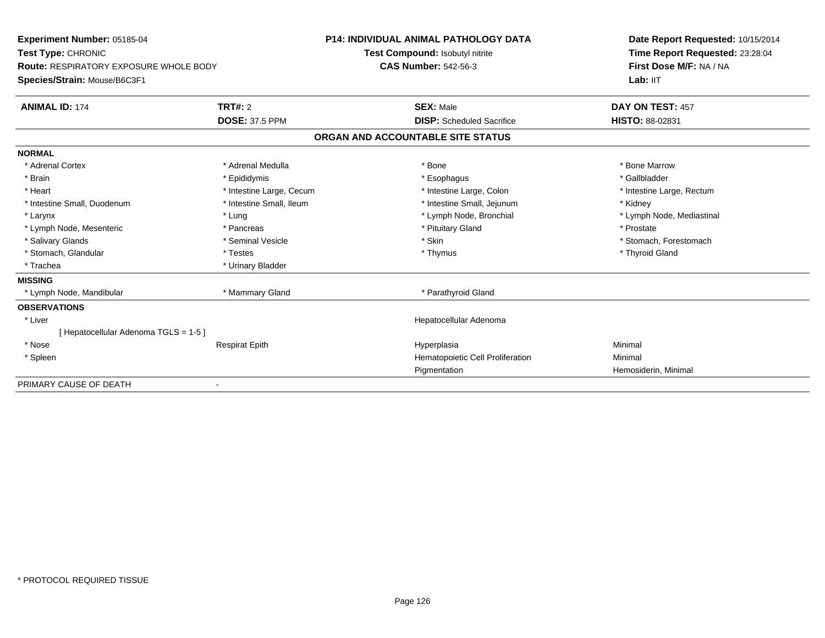| Experiment Number: 05185-04                   |                          | <b>P14: INDIVIDUAL ANIMAL PATHOLOGY DATA</b> | Date Report Requested: 10/15/2014 |  |
|-----------------------------------------------|--------------------------|----------------------------------------------|-----------------------------------|--|
| Test Type: CHRONIC                            |                          | Test Compound: Isobutyl nitrite              | Time Report Requested: 23:28:04   |  |
| <b>Route: RESPIRATORY EXPOSURE WHOLE BODY</b> |                          | <b>CAS Number: 542-56-3</b>                  | First Dose M/F: NA / NA           |  |
| Species/Strain: Mouse/B6C3F1                  |                          |                                              | Lab: IIT                          |  |
| <b>ANIMAL ID: 174</b>                         | <b>TRT#: 2</b>           | <b>SEX: Male</b>                             | DAY ON TEST: 457                  |  |
|                                               | <b>DOSE: 37.5 PPM</b>    | <b>DISP:</b> Scheduled Sacrifice             | <b>HISTO: 88-02831</b>            |  |
|                                               |                          | ORGAN AND ACCOUNTABLE SITE STATUS            |                                   |  |
| <b>NORMAL</b>                                 |                          |                                              |                                   |  |
| * Adrenal Cortex                              | * Adrenal Medulla        | * Bone                                       | * Bone Marrow                     |  |
| * Brain                                       | * Epididymis             | * Esophagus                                  | * Gallbladder                     |  |
| * Heart                                       | * Intestine Large, Cecum | * Intestine Large, Colon                     | * Intestine Large, Rectum         |  |
| * Intestine Small, Duodenum                   | * Intestine Small. Ileum | * Intestine Small, Jejunum                   | * Kidney                          |  |
| * Larynx                                      | * Lung                   | * Lymph Node, Bronchial                      | * Lymph Node, Mediastinal         |  |
| * Lymph Node, Mesenteric                      | * Pancreas               | * Pituitary Gland                            | * Prostate                        |  |
| * Salivary Glands                             | * Seminal Vesicle        | * Skin                                       | * Stomach, Forestomach            |  |
| * Stomach, Glandular                          | * Testes                 | * Thymus                                     | * Thyroid Gland                   |  |
| * Trachea                                     | * Urinary Bladder        |                                              |                                   |  |
| <b>MISSING</b>                                |                          |                                              |                                   |  |
| * Lymph Node, Mandibular                      | * Mammary Gland          | * Parathyroid Gland                          |                                   |  |
| <b>OBSERVATIONS</b>                           |                          |                                              |                                   |  |
| * Liver                                       |                          | Hepatocellular Adenoma                       |                                   |  |
| [Hepatocellular Adenoma TGLS = 1-5]           |                          |                                              |                                   |  |
| * Nose                                        | <b>Respirat Epith</b>    | Hyperplasia                                  | Minimal                           |  |
| * Spleen                                      |                          | Hematopoietic Cell Proliferation             | Minimal                           |  |
|                                               |                          | Pigmentation                                 | Hemosiderin, Minimal              |  |
| PRIMARY CAUSE OF DEATH                        |                          |                                              |                                   |  |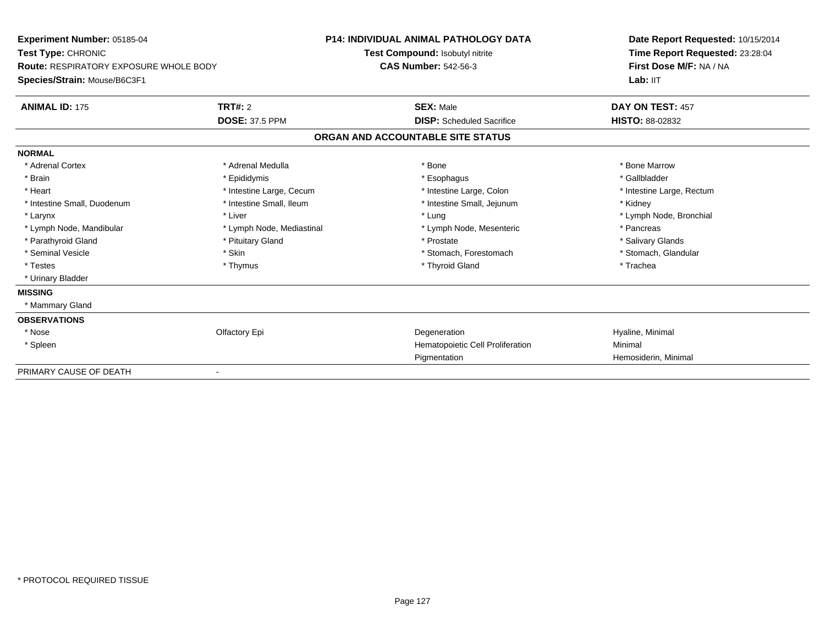| Experiment Number: 05185-04<br>Test Type: CHRONIC<br>Route: RESPIRATORY EXPOSURE WHOLE BODY |                           | <b>P14: INDIVIDUAL ANIMAL PATHOLOGY DATA</b> | Date Report Requested: 10/15/2014                          |  |
|---------------------------------------------------------------------------------------------|---------------------------|----------------------------------------------|------------------------------------------------------------|--|
|                                                                                             |                           | Test Compound: Isobutyl nitrite              | Time Report Requested: 23:28:04<br>First Dose M/F: NA / NA |  |
|                                                                                             |                           | <b>CAS Number: 542-56-3</b>                  |                                                            |  |
| Species/Strain: Mouse/B6C3F1                                                                |                           |                                              | Lab: IIT                                                   |  |
| <b>ANIMAL ID: 175</b>                                                                       | TRT#: 2                   | <b>SEX: Male</b>                             | DAY ON TEST: 457                                           |  |
|                                                                                             | <b>DOSE: 37.5 PPM</b>     | <b>DISP:</b> Scheduled Sacrifice             | <b>HISTO: 88-02832</b>                                     |  |
|                                                                                             |                           | ORGAN AND ACCOUNTABLE SITE STATUS            |                                                            |  |
| <b>NORMAL</b>                                                                               |                           |                                              |                                                            |  |
| * Adrenal Cortex                                                                            | * Adrenal Medulla         | * Bone                                       | * Bone Marrow                                              |  |
| * Brain                                                                                     | * Epididymis              | * Esophagus                                  | * Gallbladder                                              |  |
| * Heart                                                                                     | * Intestine Large, Cecum  | * Intestine Large, Colon                     | * Intestine Large, Rectum                                  |  |
| * Intestine Small, Duodenum                                                                 | * Intestine Small, Ileum  | * Intestine Small, Jejunum                   | * Kidney                                                   |  |
| * Larynx                                                                                    | * Liver                   | * Lung                                       | * Lymph Node, Bronchial                                    |  |
| * Lymph Node, Mandibular                                                                    | * Lymph Node, Mediastinal | * Lymph Node, Mesenteric                     | * Pancreas                                                 |  |
| * Parathyroid Gland                                                                         | * Pituitary Gland         | * Prostate                                   | * Salivary Glands                                          |  |
| * Seminal Vesicle                                                                           | * Skin                    | * Stomach, Forestomach                       | * Stomach, Glandular                                       |  |
| * Testes                                                                                    | * Thymus                  | * Thyroid Gland                              | * Trachea                                                  |  |
| * Urinary Bladder                                                                           |                           |                                              |                                                            |  |
| <b>MISSING</b>                                                                              |                           |                                              |                                                            |  |
| * Mammary Gland                                                                             |                           |                                              |                                                            |  |
| <b>OBSERVATIONS</b>                                                                         |                           |                                              |                                                            |  |
| * Nose                                                                                      | Olfactory Epi             | Degeneration                                 | Hyaline, Minimal                                           |  |
| * Spleen                                                                                    |                           | Hematopoietic Cell Proliferation             | Minimal                                                    |  |
|                                                                                             |                           | Pigmentation                                 | Hemosiderin, Minimal                                       |  |
| PRIMARY CAUSE OF DEATH                                                                      |                           |                                              |                                                            |  |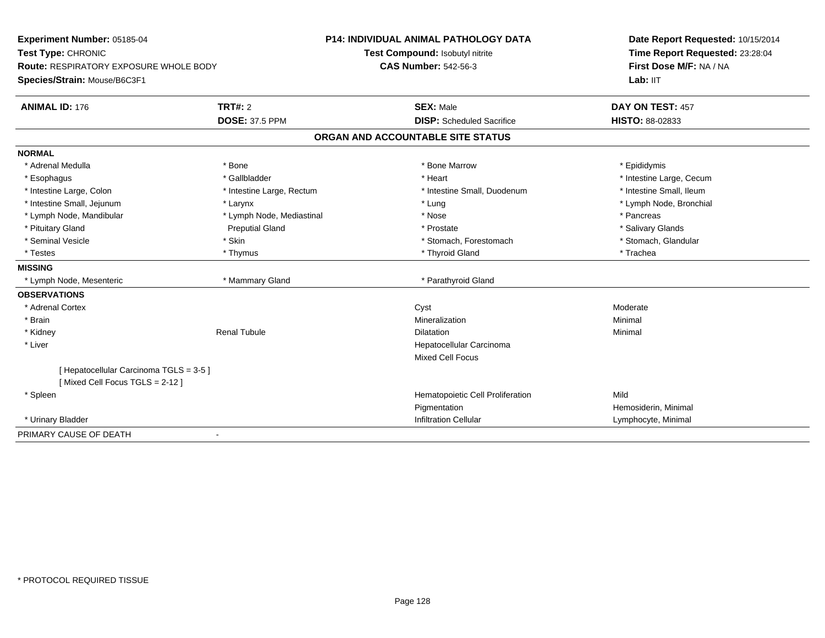| Experiment Number: 05185-04             |                           | <b>P14: INDIVIDUAL ANIMAL PATHOLOGY DATA</b> | Date Report Requested: 10/15/2014 |  |
|-----------------------------------------|---------------------------|----------------------------------------------|-----------------------------------|--|
| Test Type: CHRONIC                      |                           | Test Compound: Isobutyl nitrite              | Time Report Requested: 23:28:04   |  |
| Route: RESPIRATORY EXPOSURE WHOLE BODY  |                           | <b>CAS Number: 542-56-3</b>                  | First Dose M/F: NA / NA           |  |
| Species/Strain: Mouse/B6C3F1            |                           |                                              | Lab: IIT                          |  |
| <b>ANIMAL ID: 176</b>                   | <b>TRT#: 2</b>            | <b>SEX: Male</b>                             | DAY ON TEST: 457                  |  |
|                                         | <b>DOSE: 37.5 PPM</b>     | <b>DISP:</b> Scheduled Sacrifice             | <b>HISTO: 88-02833</b>            |  |
|                                         |                           | ORGAN AND ACCOUNTABLE SITE STATUS            |                                   |  |
| <b>NORMAL</b>                           |                           |                                              |                                   |  |
| * Adrenal Medulla                       | * Bone                    | * Bone Marrow                                | * Epididymis                      |  |
| * Esophagus                             | * Gallbladder             | * Heart                                      | * Intestine Large, Cecum          |  |
| * Intestine Large, Colon                | * Intestine Large, Rectum | * Intestine Small, Duodenum                  | * Intestine Small, Ileum          |  |
| * Intestine Small, Jejunum              | * Larynx                  | * Lung                                       | * Lymph Node, Bronchial           |  |
| * Lymph Node, Mandibular                | * Lymph Node, Mediastinal | * Nose                                       | * Pancreas                        |  |
| * Pituitary Gland                       | <b>Preputial Gland</b>    | * Prostate                                   | * Salivary Glands                 |  |
| * Seminal Vesicle                       | * Skin                    | * Stomach, Forestomach                       | * Stomach, Glandular              |  |
| * Testes                                | * Thymus                  | * Thyroid Gland                              | * Trachea                         |  |
| <b>MISSING</b>                          |                           |                                              |                                   |  |
| * Lymph Node, Mesenteric                | * Mammary Gland           | * Parathyroid Gland                          |                                   |  |
| <b>OBSERVATIONS</b>                     |                           |                                              |                                   |  |
| * Adrenal Cortex                        |                           | Cyst                                         | Moderate                          |  |
| * Brain                                 |                           | Mineralization                               | Minimal                           |  |
| * Kidney                                | <b>Renal Tubule</b>       | <b>Dilatation</b>                            | Minimal                           |  |
| * Liver                                 |                           | Hepatocellular Carcinoma                     |                                   |  |
|                                         |                           | <b>Mixed Cell Focus</b>                      |                                   |  |
| [ Hepatocellular Carcinoma TGLS = 3-5 ] |                           |                                              |                                   |  |
| [Mixed Cell Focus TGLS = 2-12]          |                           |                                              |                                   |  |
| * Spleen                                |                           | Hematopoietic Cell Proliferation             | Mild                              |  |
|                                         |                           | Pigmentation                                 | Hemosiderin, Minimal              |  |
| * Urinary Bladder                       |                           | <b>Infiltration Cellular</b>                 | Lymphocyte, Minimal               |  |
| PRIMARY CAUSE OF DEATH                  | $\blacksquare$            |                                              |                                   |  |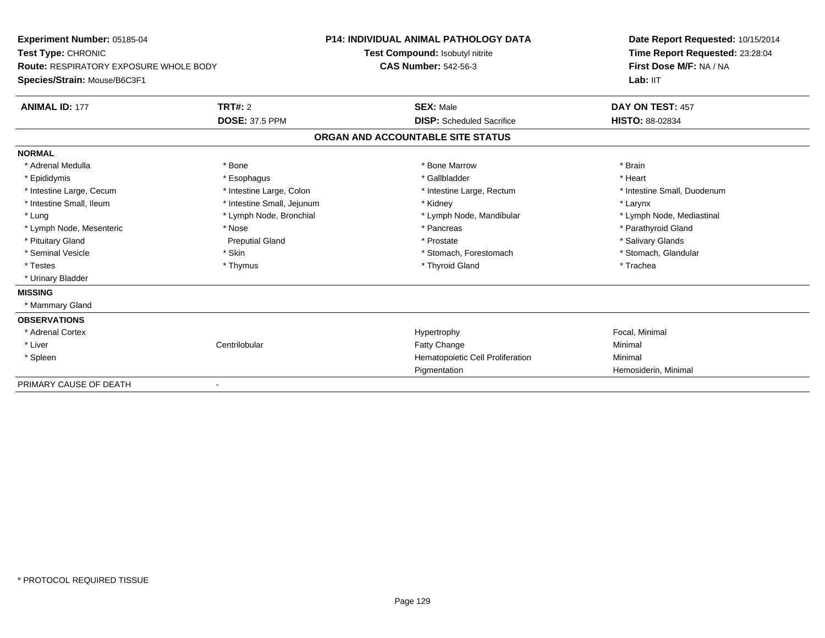| Experiment Number: 05185-04            |                            | <b>P14: INDIVIDUAL ANIMAL PATHOLOGY DATA</b> |                                  | Date Report Requested: 10/15/2014 |  |
|----------------------------------------|----------------------------|----------------------------------------------|----------------------------------|-----------------------------------|--|
| Test Type: CHRONIC                     |                            | Test Compound: Isobutyl nitrite              |                                  | Time Report Requested: 23:28:04   |  |
| Route: RESPIRATORY EXPOSURE WHOLE BODY |                            | <b>CAS Number: 542-56-3</b>                  |                                  | First Dose M/F: NA / NA           |  |
| Species/Strain: Mouse/B6C3F1           |                            |                                              |                                  | Lab: IIT                          |  |
| <b>ANIMAL ID: 177</b>                  | <b>TRT#: 2</b>             | <b>SEX: Male</b>                             |                                  | DAY ON TEST: 457                  |  |
|                                        | <b>DOSE: 37.5 PPM</b>      |                                              | <b>DISP:</b> Scheduled Sacrifice | <b>HISTO: 88-02834</b>            |  |
|                                        |                            | ORGAN AND ACCOUNTABLE SITE STATUS            |                                  |                                   |  |
| <b>NORMAL</b>                          |                            |                                              |                                  |                                   |  |
| * Adrenal Medulla                      | * Bone                     | * Bone Marrow                                |                                  | * Brain                           |  |
| * Epididymis                           | * Esophagus                | * Gallbladder                                |                                  | * Heart                           |  |
| * Intestine Large, Cecum               | * Intestine Large, Colon   |                                              | * Intestine Large, Rectum        | * Intestine Small, Duodenum       |  |
| * Intestine Small, Ileum               | * Intestine Small, Jejunum | * Kidney                                     |                                  | * Larynx                          |  |
| * Lung                                 | * Lymph Node, Bronchial    |                                              | * Lymph Node, Mandibular         | * Lymph Node, Mediastinal         |  |
| * Lymph Node, Mesenteric               | * Nose                     | * Pancreas                                   |                                  | * Parathyroid Gland               |  |
| * Pituitary Gland                      | <b>Preputial Gland</b>     | * Prostate                                   |                                  | * Salivary Glands                 |  |
| * Seminal Vesicle                      | * Skin                     |                                              | * Stomach, Forestomach           | * Stomach, Glandular              |  |
| * Testes                               | * Thymus                   | * Thyroid Gland                              |                                  | * Trachea                         |  |
| * Urinary Bladder                      |                            |                                              |                                  |                                   |  |
| <b>MISSING</b>                         |                            |                                              |                                  |                                   |  |
| * Mammary Gland                        |                            |                                              |                                  |                                   |  |
| <b>OBSERVATIONS</b>                    |                            |                                              |                                  |                                   |  |
| * Adrenal Cortex                       |                            | Hypertrophy                                  |                                  | Focal, Minimal                    |  |
| * Liver                                | Centrilobular              | Fatty Change                                 |                                  | Minimal                           |  |
| * Spleen                               |                            |                                              | Hematopoietic Cell Proliferation | Minimal                           |  |
|                                        |                            | Pigmentation                                 |                                  | Hemosiderin, Minimal              |  |
| PRIMARY CAUSE OF DEATH                 |                            |                                              |                                  |                                   |  |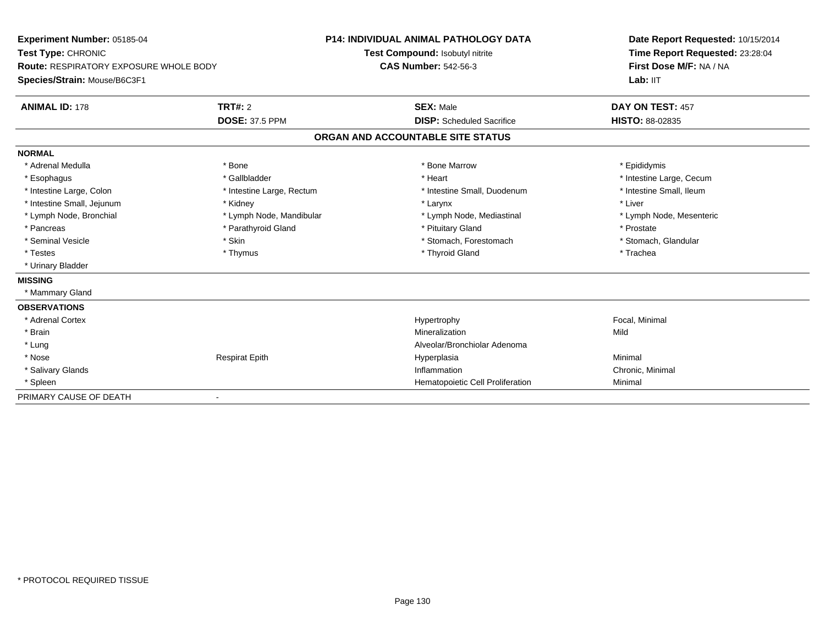| Experiment Number: 05185-04<br>Test Type: CHRONIC |                           | <b>P14: INDIVIDUAL ANIMAL PATHOLOGY DATA</b> | Date Report Requested: 10/15/2014 |  |
|---------------------------------------------------|---------------------------|----------------------------------------------|-----------------------------------|--|
|                                                   |                           | Test Compound: Isobutyl nitrite              | Time Report Requested: 23:28:04   |  |
| <b>Route: RESPIRATORY EXPOSURE WHOLE BODY</b>     |                           | <b>CAS Number: 542-56-3</b>                  | First Dose M/F: NA / NA           |  |
| Species/Strain: Mouse/B6C3F1                      |                           |                                              | Lab: IIT                          |  |
| <b>ANIMAL ID: 178</b>                             | TRT#: 2                   | <b>SEX: Male</b>                             | DAY ON TEST: 457                  |  |
|                                                   | <b>DOSE: 37.5 PPM</b>     | <b>DISP:</b> Scheduled Sacrifice             | <b>HISTO: 88-02835</b>            |  |
|                                                   |                           | ORGAN AND ACCOUNTABLE SITE STATUS            |                                   |  |
| <b>NORMAL</b>                                     |                           |                                              |                                   |  |
| * Adrenal Medulla                                 | * Bone                    | * Bone Marrow                                | * Epididymis                      |  |
| * Esophagus                                       | * Gallbladder             | * Heart                                      | * Intestine Large, Cecum          |  |
| * Intestine Large, Colon                          | * Intestine Large, Rectum | * Intestine Small, Duodenum                  | * Intestine Small, Ileum          |  |
| * Intestine Small, Jejunum                        | * Kidney                  | * Larynx                                     | * Liver                           |  |
| * Lymph Node, Bronchial                           | * Lymph Node, Mandibular  | * Lymph Node, Mediastinal                    | * Lymph Node, Mesenteric          |  |
| * Pancreas                                        | * Parathyroid Gland       | * Pituitary Gland                            | * Prostate                        |  |
| * Seminal Vesicle                                 | * Skin                    | * Stomach, Forestomach                       | * Stomach, Glandular              |  |
| * Testes                                          | * Thymus                  | * Thyroid Gland                              | * Trachea                         |  |
| * Urinary Bladder                                 |                           |                                              |                                   |  |
| <b>MISSING</b>                                    |                           |                                              |                                   |  |
| * Mammary Gland                                   |                           |                                              |                                   |  |
| <b>OBSERVATIONS</b>                               |                           |                                              |                                   |  |
| * Adrenal Cortex                                  |                           | Hypertrophy                                  | Focal, Minimal                    |  |
| * Brain                                           |                           | Mineralization                               | Mild                              |  |
| * Lung                                            |                           | Alveolar/Bronchiolar Adenoma                 |                                   |  |
| * Nose                                            | <b>Respirat Epith</b>     | Hyperplasia                                  | Minimal                           |  |
| * Salivary Glands                                 |                           | Inflammation                                 | Chronic, Minimal                  |  |
| * Spleen                                          |                           | Hematopoietic Cell Proliferation             | Minimal                           |  |
| PRIMARY CAUSE OF DEATH                            |                           |                                              |                                   |  |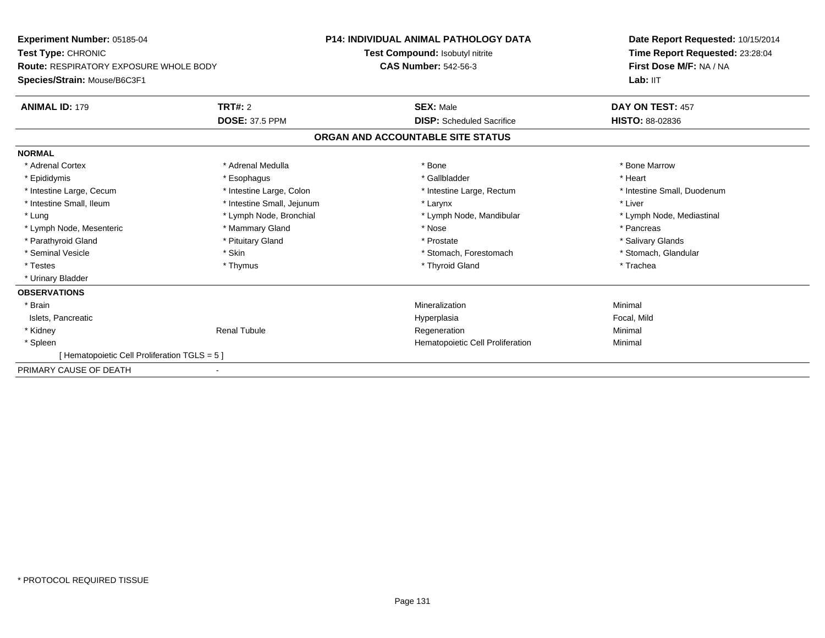| Experiment Number: 05185-04<br>Test Type: CHRONIC<br>Route: RESPIRATORY EXPOSURE WHOLE BODY |                            | <b>P14: INDIVIDUAL ANIMAL PATHOLOGY DATA</b> | Date Report Requested: 10/15/2014<br>Time Report Requested: 23:28:04<br>First Dose M/F: NA / NA |
|---------------------------------------------------------------------------------------------|----------------------------|----------------------------------------------|-------------------------------------------------------------------------------------------------|
|                                                                                             |                            | Test Compound: Isobutyl nitrite              |                                                                                                 |
|                                                                                             |                            | <b>CAS Number: 542-56-3</b>                  |                                                                                                 |
| Species/Strain: Mouse/B6C3F1                                                                |                            |                                              | Lab: IIT                                                                                        |
| <b>ANIMAL ID: 179</b>                                                                       | TRT#: 2                    | <b>SEX: Male</b>                             | DAY ON TEST: 457                                                                                |
|                                                                                             | <b>DOSE: 37.5 PPM</b>      | <b>DISP:</b> Scheduled Sacrifice             | HISTO: 88-02836                                                                                 |
|                                                                                             |                            | ORGAN AND ACCOUNTABLE SITE STATUS            |                                                                                                 |
| <b>NORMAL</b>                                                                               |                            |                                              |                                                                                                 |
| * Adrenal Cortex                                                                            | * Adrenal Medulla          | * Bone                                       | * Bone Marrow                                                                                   |
| * Epididymis                                                                                | * Esophagus                | * Gallbladder                                | * Heart                                                                                         |
| * Intestine Large, Cecum                                                                    | * Intestine Large, Colon   | * Intestine Large, Rectum                    | * Intestine Small, Duodenum                                                                     |
| * Intestine Small, Ileum                                                                    | * Intestine Small, Jejunum | * Larynx                                     | * Liver                                                                                         |
| * Lung                                                                                      | * Lymph Node, Bronchial    | * Lymph Node, Mandibular                     | * Lymph Node, Mediastinal                                                                       |
| * Lymph Node, Mesenteric                                                                    | * Mammary Gland            | * Nose                                       | * Pancreas                                                                                      |
| * Parathyroid Gland                                                                         | * Pituitary Gland          | * Prostate                                   | * Salivary Glands                                                                               |
| * Seminal Vesicle                                                                           | * Skin                     | * Stomach, Forestomach                       | * Stomach, Glandular                                                                            |
| * Testes                                                                                    | * Thymus                   | * Thyroid Gland                              | * Trachea                                                                                       |
| * Urinary Bladder                                                                           |                            |                                              |                                                                                                 |
| <b>OBSERVATIONS</b>                                                                         |                            |                                              |                                                                                                 |
| * Brain                                                                                     |                            | Mineralization                               | Minimal                                                                                         |
| Islets, Pancreatic                                                                          |                            | Hyperplasia                                  | Focal, Mild                                                                                     |
| * Kidney                                                                                    | <b>Renal Tubule</b>        | Regeneration                                 | Minimal                                                                                         |
| * Spleen                                                                                    |                            | Hematopoietic Cell Proliferation             | Minimal                                                                                         |
| Hematopoietic Cell Proliferation TGLS = 5 1                                                 |                            |                                              |                                                                                                 |
| PRIMARY CAUSE OF DEATH                                                                      |                            |                                              |                                                                                                 |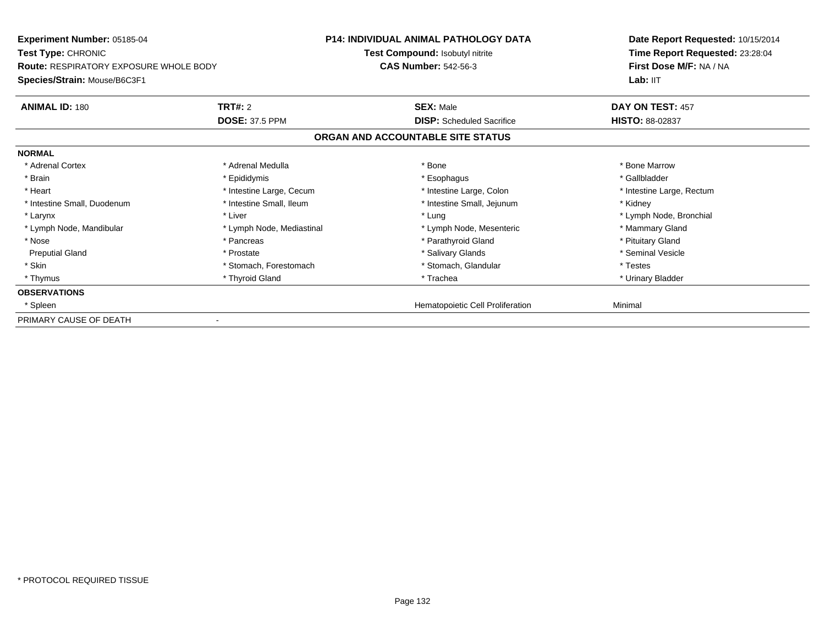| <b>Experiment Number: 05185-04</b><br>Test Type: CHRONIC |                           | <b>P14: INDIVIDUAL ANIMAL PATHOLOGY DATA</b> | Date Report Requested: 10/15/2014<br>Time Report Requested: 23:28:04 |
|----------------------------------------------------------|---------------------------|----------------------------------------------|----------------------------------------------------------------------|
|                                                          |                           | Test Compound: Isobutyl nitrite              |                                                                      |
| <b>Route: RESPIRATORY EXPOSURE WHOLE BODY</b>            |                           | <b>CAS Number: 542-56-3</b>                  | First Dose M/F: NA / NA                                              |
| Species/Strain: Mouse/B6C3F1                             |                           |                                              | Lab: IIT                                                             |
| <b>ANIMAL ID: 180</b>                                    | <b>TRT#: 2</b>            | <b>SEX: Male</b>                             | DAY ON TEST: 457                                                     |
|                                                          | <b>DOSE: 37.5 PPM</b>     | <b>DISP:</b> Scheduled Sacrifice             | <b>HISTO: 88-02837</b>                                               |
|                                                          |                           | ORGAN AND ACCOUNTABLE SITE STATUS            |                                                                      |
| <b>NORMAL</b>                                            |                           |                                              |                                                                      |
| * Adrenal Cortex                                         | * Adrenal Medulla         | * Bone                                       | * Bone Marrow                                                        |
| * Brain                                                  | * Epididymis              | * Esophagus                                  | * Gallbladder                                                        |
| * Heart                                                  | * Intestine Large, Cecum  | * Intestine Large, Colon                     | * Intestine Large, Rectum                                            |
| * Intestine Small, Duodenum                              | * Intestine Small, Ileum  | * Intestine Small, Jejunum                   | * Kidney                                                             |
| * Larynx                                                 | * Liver                   | * Lung                                       | * Lymph Node, Bronchial                                              |
| * Lymph Node, Mandibular                                 | * Lymph Node, Mediastinal | * Lymph Node, Mesenteric                     | * Mammary Gland                                                      |
| * Nose                                                   | * Pancreas                | * Parathyroid Gland                          | * Pituitary Gland                                                    |
| <b>Preputial Gland</b>                                   | * Prostate                | * Salivary Glands                            | * Seminal Vesicle                                                    |
| * Skin                                                   | * Stomach, Forestomach    | * Stomach, Glandular                         | * Testes                                                             |
| * Thymus                                                 | * Thyroid Gland           | * Trachea                                    | * Urinary Bladder                                                    |
| <b>OBSERVATIONS</b>                                      |                           |                                              |                                                                      |
| * Spleen                                                 |                           | Hematopoietic Cell Proliferation             | Minimal                                                              |
| PRIMARY CAUSE OF DEATH                                   |                           |                                              |                                                                      |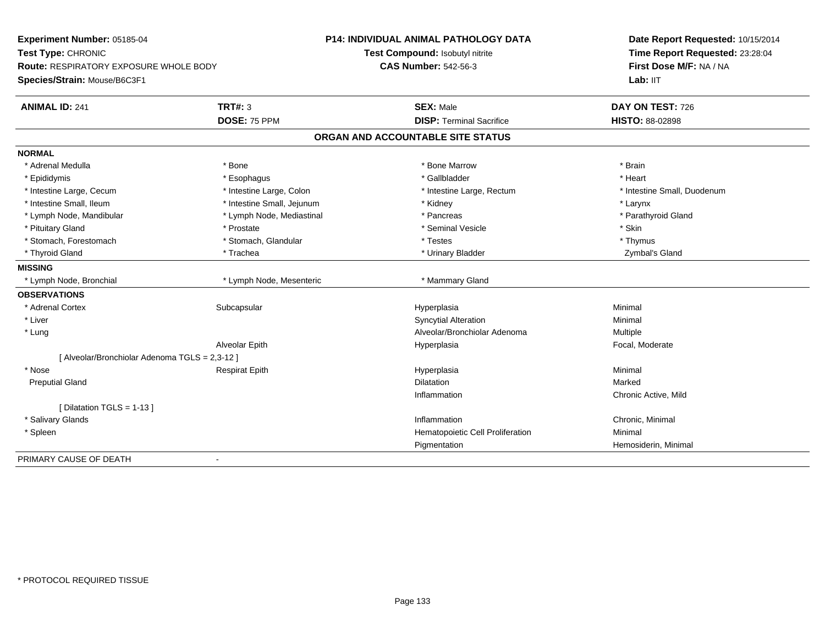| Experiment Number: 05185-04                    |                            | <b>P14: INDIVIDUAL ANIMAL PATHOLOGY DATA</b> | Date Report Requested: 10/15/2014 |
|------------------------------------------------|----------------------------|----------------------------------------------|-----------------------------------|
| Test Type: CHRONIC                             |                            | Test Compound: Isobutyl nitrite              | Time Report Requested: 23:28:04   |
| <b>Route: RESPIRATORY EXPOSURE WHOLE BODY</b>  |                            | <b>CAS Number: 542-56-3</b>                  | First Dose M/F: NA / NA           |
| Species/Strain: Mouse/B6C3F1                   |                            |                                              | Lab: IIT                          |
| <b>ANIMAL ID: 241</b>                          | <b>TRT#: 3</b>             | <b>SEX: Male</b>                             | DAY ON TEST: 726                  |
|                                                | DOSE: 75 PPM               | <b>DISP: Terminal Sacrifice</b>              | HISTO: 88-02898                   |
|                                                |                            | ORGAN AND ACCOUNTABLE SITE STATUS            |                                   |
| <b>NORMAL</b>                                  |                            |                                              |                                   |
| * Adrenal Medulla                              | * Bone                     | * Bone Marrow                                | * Brain                           |
| * Epididymis                                   | * Esophagus                | * Gallbladder                                | * Heart                           |
| * Intestine Large, Cecum                       | * Intestine Large, Colon   | * Intestine Large, Rectum                    | * Intestine Small, Duodenum       |
| * Intestine Small, Ileum                       | * Intestine Small, Jejunum | * Kidney                                     | * Larynx                          |
| * Lymph Node, Mandibular                       | * Lymph Node, Mediastinal  | * Pancreas                                   | * Parathyroid Gland               |
| * Pituitary Gland                              | * Prostate                 | * Seminal Vesicle                            | * Skin                            |
| * Stomach, Forestomach                         | * Stomach, Glandular       | * Testes                                     | * Thymus                          |
| * Thyroid Gland                                | * Trachea                  | * Urinary Bladder                            | Zymbal's Gland                    |
| <b>MISSING</b>                                 |                            |                                              |                                   |
| * Lymph Node, Bronchial                        | * Lymph Node, Mesenteric   | * Mammary Gland                              |                                   |
| <b>OBSERVATIONS</b>                            |                            |                                              |                                   |
| * Adrenal Cortex                               | Subcapsular                | Hyperplasia                                  | Minimal                           |
| * Liver                                        |                            | <b>Syncytial Alteration</b>                  | Minimal                           |
| * Lung                                         |                            | Alveolar/Bronchiolar Adenoma                 | <b>Multiple</b>                   |
|                                                | Alveolar Epith             | Hyperplasia                                  | Focal, Moderate                   |
| [ Alveolar/Bronchiolar Adenoma TGLS = 2,3-12 ] |                            |                                              |                                   |
| * Nose                                         | <b>Respirat Epith</b>      | Hyperplasia                                  | Minimal                           |
| <b>Preputial Gland</b>                         |                            | <b>Dilatation</b>                            | Marked                            |
|                                                |                            | Inflammation                                 | Chronic Active, Mild              |
| [ Dilatation TGLS = 1-13 ]                     |                            |                                              |                                   |
| * Salivary Glands                              |                            | Inflammation                                 | Chronic, Minimal                  |
| * Spleen                                       |                            | Hematopoietic Cell Proliferation             | Minimal                           |
|                                                |                            | Pigmentation                                 | Hemosiderin, Minimal              |
| PRIMARY CAUSE OF DEATH                         | $\blacksquare$             |                                              |                                   |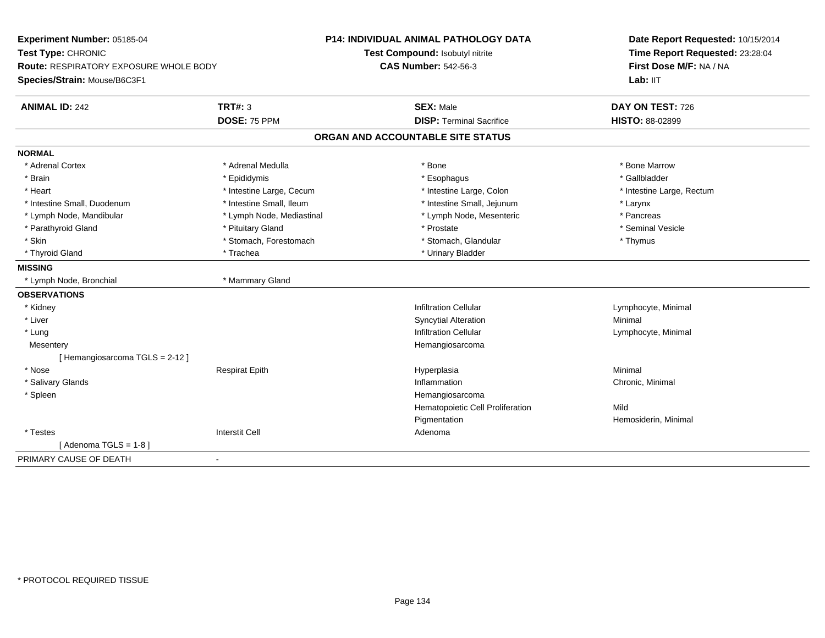| Experiment Number: 05185-04                   |                           | <b>P14: INDIVIDUAL ANIMAL PATHOLOGY DATA</b> | Date Report Requested: 10/15/2014                          |
|-----------------------------------------------|---------------------------|----------------------------------------------|------------------------------------------------------------|
| Test Type: CHRONIC                            |                           | Test Compound: Isobutyl nitrite              | Time Report Requested: 23:28:04<br>First Dose M/F: NA / NA |
| <b>Route: RESPIRATORY EXPOSURE WHOLE BODY</b> |                           | <b>CAS Number: 542-56-3</b>                  |                                                            |
| Species/Strain: Mouse/B6C3F1                  |                           |                                              | Lab: IIT                                                   |
| <b>ANIMAL ID: 242</b>                         | <b>TRT#: 3</b>            | <b>SEX: Male</b>                             | DAY ON TEST: 726                                           |
|                                               | DOSE: 75 PPM              | <b>DISP: Terminal Sacrifice</b>              | HISTO: 88-02899                                            |
|                                               |                           | ORGAN AND ACCOUNTABLE SITE STATUS            |                                                            |
| <b>NORMAL</b>                                 |                           |                                              |                                                            |
| * Adrenal Cortex                              | * Adrenal Medulla         | * Bone                                       | * Bone Marrow                                              |
| * Brain                                       | * Epididymis              | * Esophagus                                  | * Gallbladder                                              |
| * Heart                                       | * Intestine Large, Cecum  | * Intestine Large, Colon                     | * Intestine Large, Rectum                                  |
| * Intestine Small, Duodenum                   | * Intestine Small, Ileum  | * Intestine Small, Jejunum                   | * Larynx                                                   |
| * Lymph Node, Mandibular                      | * Lymph Node, Mediastinal | * Lymph Node, Mesenteric                     | * Pancreas                                                 |
| * Parathyroid Gland                           | * Pituitary Gland         | * Prostate                                   | * Seminal Vesicle                                          |
| * Skin                                        | * Stomach, Forestomach    | * Stomach, Glandular                         | * Thymus                                                   |
| * Thyroid Gland                               | * Trachea                 | * Urinary Bladder                            |                                                            |
| <b>MISSING</b>                                |                           |                                              |                                                            |
| * Lymph Node, Bronchial                       | * Mammary Gland           |                                              |                                                            |
| <b>OBSERVATIONS</b>                           |                           |                                              |                                                            |
| * Kidney                                      |                           | <b>Infiltration Cellular</b>                 | Lymphocyte, Minimal                                        |
| * Liver                                       |                           | <b>Syncytial Alteration</b>                  | Minimal                                                    |
| * Lung                                        |                           | <b>Infiltration Cellular</b>                 | Lymphocyte, Minimal                                        |
| Mesentery                                     |                           | Hemangiosarcoma                              |                                                            |
| [Hemangiosarcoma TGLS = 2-12]                 |                           |                                              |                                                            |
| * Nose                                        | <b>Respirat Epith</b>     | Hyperplasia                                  | Minimal                                                    |
| * Salivary Glands                             |                           | Inflammation                                 | Chronic, Minimal                                           |
| * Spleen                                      |                           | Hemangiosarcoma                              |                                                            |
|                                               |                           | Hematopoietic Cell Proliferation             | Mild                                                       |
|                                               |                           | Pigmentation                                 | Hemosiderin, Minimal                                       |
| * Testes                                      | <b>Interstit Cell</b>     | Adenoma                                      |                                                            |
| [Adenoma TGLS = $1-8$ ]                       |                           |                                              |                                                            |
| PRIMARY CAUSE OF DEATH<br>$\blacksquare$      |                           |                                              |                                                            |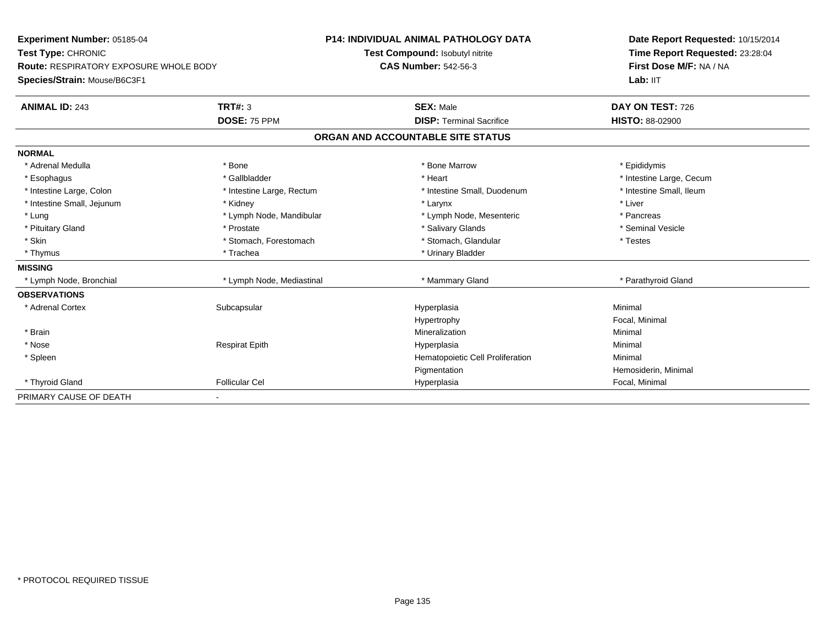| Experiment Number: 05185-04                   |                           | <b>P14: INDIVIDUAL ANIMAL PATHOLOGY DATA</b> | Date Report Requested: 10/15/2014 |
|-----------------------------------------------|---------------------------|----------------------------------------------|-----------------------------------|
| Test Type: CHRONIC                            |                           | Test Compound: Isobutyl nitrite              | Time Report Requested: 23:28:04   |
| <b>Route: RESPIRATORY EXPOSURE WHOLE BODY</b> |                           | <b>CAS Number: 542-56-3</b>                  | First Dose M/F: NA / NA           |
| Species/Strain: Mouse/B6C3F1                  |                           |                                              | Lab: IIT                          |
| <b>ANIMAL ID: 243</b>                         | <b>TRT#: 3</b>            | <b>SEX: Male</b>                             | DAY ON TEST: 726                  |
|                                               | DOSE: 75 PPM              | <b>DISP: Terminal Sacrifice</b>              | <b>HISTO: 88-02900</b>            |
|                                               |                           | ORGAN AND ACCOUNTABLE SITE STATUS            |                                   |
| <b>NORMAL</b>                                 |                           |                                              |                                   |
| * Adrenal Medulla                             | * Bone                    | * Bone Marrow                                | * Epididymis                      |
| * Esophagus                                   | * Gallbladder             | * Heart                                      | * Intestine Large, Cecum          |
| * Intestine Large, Colon                      | * Intestine Large, Rectum | * Intestine Small, Duodenum                  | * Intestine Small, Ileum          |
| * Intestine Small, Jejunum                    | * Kidney                  | * Larynx                                     | * Liver                           |
| * Lung                                        | * Lymph Node, Mandibular  | * Lymph Node, Mesenteric                     | * Pancreas                        |
| * Pituitary Gland                             | * Prostate                | * Salivary Glands                            | * Seminal Vesicle                 |
| * Skin                                        | * Stomach, Forestomach    | * Stomach, Glandular                         | * Testes                          |
| * Thymus                                      | * Trachea                 | * Urinary Bladder                            |                                   |
| <b>MISSING</b>                                |                           |                                              |                                   |
| * Lymph Node, Bronchial                       | * Lymph Node, Mediastinal | * Mammary Gland                              | * Parathyroid Gland               |
| <b>OBSERVATIONS</b>                           |                           |                                              |                                   |
| * Adrenal Cortex                              | Subcapsular               | Hyperplasia                                  | Minimal                           |
|                                               |                           | Hypertrophy                                  | Focal, Minimal                    |
| * Brain                                       |                           | Mineralization                               | Minimal                           |
| * Nose                                        | <b>Respirat Epith</b>     | Hyperplasia                                  | Minimal                           |
| * Spleen                                      |                           | Hematopoietic Cell Proliferation             | Minimal                           |
|                                               |                           | Pigmentation                                 | Hemosiderin, Minimal              |
| * Thyroid Gland                               | <b>Follicular Cel</b>     | Hyperplasia                                  | Focal, Minimal                    |
| PRIMARY CAUSE OF DEATH                        |                           |                                              |                                   |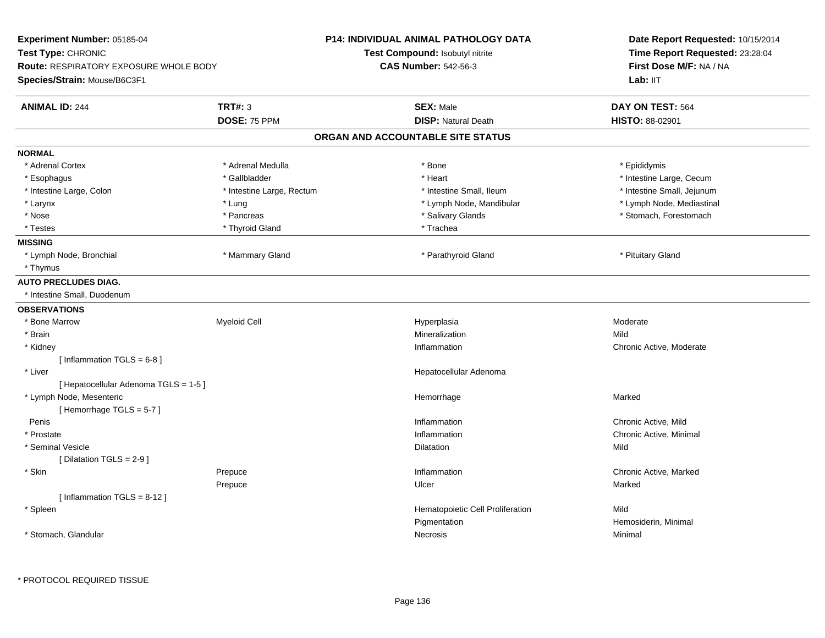| Experiment Number: 05185-04            |                           | P14: INDIVIDUAL ANIMAL PATHOLOGY DATA  | Date Report Requested: 10/15/2014 |  |
|----------------------------------------|---------------------------|----------------------------------------|-----------------------------------|--|
| Test Type: CHRONIC                     |                           | <b>Test Compound: Isobutyl nitrite</b> | Time Report Requested: 23:28:04   |  |
| Route: RESPIRATORY EXPOSURE WHOLE BODY |                           | <b>CAS Number: 542-56-3</b>            | First Dose M/F: NA / NA           |  |
| Species/Strain: Mouse/B6C3F1           |                           |                                        | Lab: IIT                          |  |
| <b>ANIMAL ID: 244</b>                  | <b>TRT#: 3</b>            | <b>SEX: Male</b>                       | DAY ON TEST: 564                  |  |
|                                        | DOSE: 75 PPM              | <b>DISP: Natural Death</b>             | HISTO: 88-02901                   |  |
|                                        |                           | ORGAN AND ACCOUNTABLE SITE STATUS      |                                   |  |
| <b>NORMAL</b>                          |                           |                                        |                                   |  |
| * Adrenal Cortex                       | * Adrenal Medulla         | * Bone                                 | * Epididymis                      |  |
| * Esophagus                            | * Gallbladder             | * Heart                                | * Intestine Large, Cecum          |  |
| * Intestine Large, Colon               | * Intestine Large, Rectum | * Intestine Small, Ileum               | * Intestine Small, Jejunum        |  |
| * Larynx                               | * Lung                    | * Lymph Node, Mandibular               | * Lymph Node, Mediastinal         |  |
| * Nose                                 | * Pancreas                | * Salivary Glands                      | * Stomach, Forestomach            |  |
| * Testes                               | * Thyroid Gland           | * Trachea                              |                                   |  |
| <b>MISSING</b>                         |                           |                                        |                                   |  |
| * Lymph Node, Bronchial                | * Mammary Gland           | * Parathyroid Gland                    | * Pituitary Gland                 |  |
| * Thymus                               |                           |                                        |                                   |  |
| <b>AUTO PRECLUDES DIAG.</b>            |                           |                                        |                                   |  |
| * Intestine Small, Duodenum            |                           |                                        |                                   |  |
| <b>OBSERVATIONS</b>                    |                           |                                        |                                   |  |
| * Bone Marrow                          | Myeloid Cell              | Hyperplasia                            | Moderate                          |  |
| * Brain                                |                           | Mineralization                         | Mild                              |  |
| * Kidney                               |                           | Inflammation                           | Chronic Active, Moderate          |  |
| [Inflammation TGLS = $6-8$ ]           |                           |                                        |                                   |  |
| * Liver                                |                           | Hepatocellular Adenoma                 |                                   |  |
| [ Hepatocellular Adenoma TGLS = 1-5 ]  |                           |                                        |                                   |  |
| * Lymph Node, Mesenteric               |                           | Hemorrhage                             | Marked                            |  |
| [Hemorrhage TGLS = 5-7]                |                           |                                        |                                   |  |
| Penis                                  |                           | Inflammation                           | Chronic Active, Mild              |  |
| * Prostate                             |                           | Inflammation                           | Chronic Active, Minimal           |  |
| * Seminal Vesicle                      |                           | <b>Dilatation</b>                      | Mild                              |  |
| [ Dilatation TGLS = 2-9 ]              |                           |                                        |                                   |  |
| * Skin                                 | Prepuce                   | Inflammation                           | Chronic Active, Marked            |  |
|                                        | Prepuce                   | Ulcer                                  | Marked                            |  |
| [Inflammation TGLS = $8-12$ ]          |                           |                                        |                                   |  |
| * Spleen                               |                           | Hematopoietic Cell Proliferation       | Mild                              |  |
|                                        |                           | Pigmentation                           | Hemosiderin, Minimal              |  |
| * Stomach, Glandular                   |                           | Necrosis                               | Minimal                           |  |
|                                        |                           |                                        |                                   |  |
|                                        |                           |                                        |                                   |  |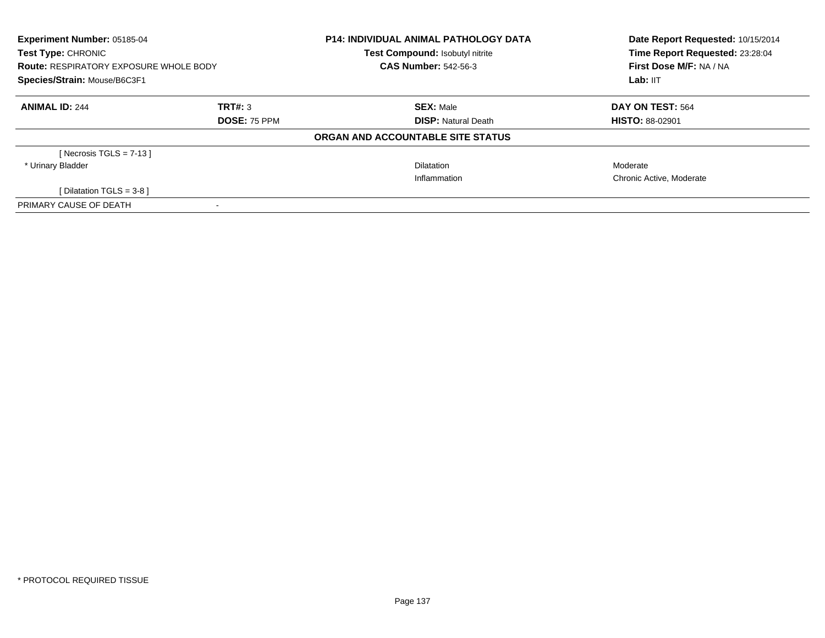| <b>Experiment Number: 05185-04</b><br>Test Type: CHRONIC<br><b>Route: RESPIRATORY EXPOSURE WHOLE BODY</b> |                     | <b>P14: INDIVIDUAL ANIMAL PATHOLOGY DATA</b><br>Test Compound: Isobutyl nitrite | Date Report Requested: 10/15/2014<br>Time Report Requested: 23:28:04 |  |
|-----------------------------------------------------------------------------------------------------------|---------------------|---------------------------------------------------------------------------------|----------------------------------------------------------------------|--|
|                                                                                                           |                     | <b>CAS Number: 542-56-3</b>                                                     | First Dose M/F: NA / NA                                              |  |
| Species/Strain: Mouse/B6C3F1                                                                              |                     |                                                                                 | Lab: IIT                                                             |  |
| <b>ANIMAL ID: 244</b>                                                                                     | TRT#: 3             | <b>SEX: Male</b>                                                                | DAY ON TEST: 564                                                     |  |
|                                                                                                           | <b>DOSE: 75 PPM</b> | <b>DISP: Natural Death</b>                                                      | <b>HISTO: 88-02901</b>                                               |  |
|                                                                                                           |                     | ORGAN AND ACCOUNTABLE SITE STATUS                                               |                                                                      |  |
| [ Necrosis TGLS = $7-13$ ]                                                                                |                     |                                                                                 |                                                                      |  |
| * Urinary Bladder                                                                                         |                     | <b>Dilatation</b>                                                               | Moderate                                                             |  |
|                                                                                                           |                     | Inflammation                                                                    | Chronic Active, Moderate                                             |  |
| [ Dilatation TGLS = $3-8$ ]                                                                               |                     |                                                                                 |                                                                      |  |
| PRIMARY CAUSE OF DEATH                                                                                    |                     |                                                                                 |                                                                      |  |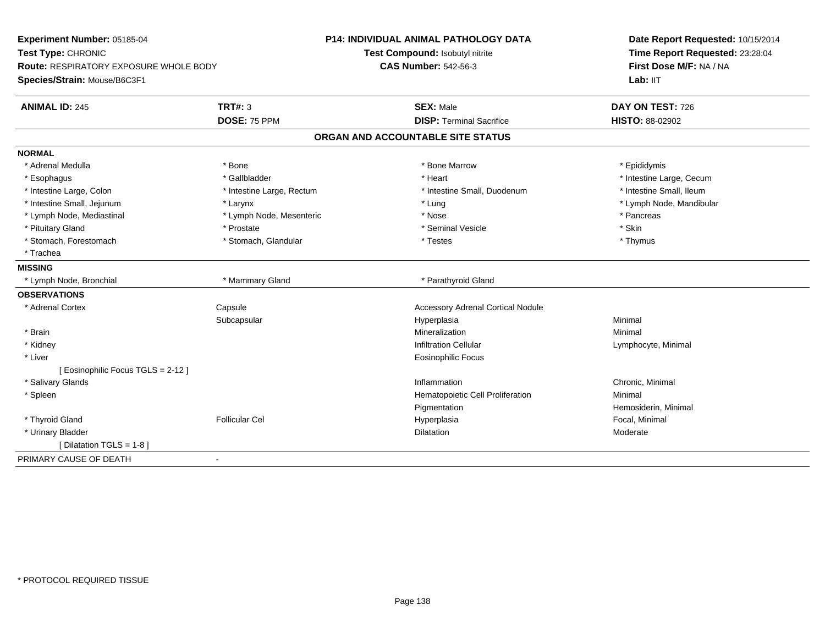| Experiment Number: 05185-04                                         |                           | <b>P14: INDIVIDUAL ANIMAL PATHOLOGY DATA</b> | Date Report Requested: 10/15/2014                          |
|---------------------------------------------------------------------|---------------------------|----------------------------------------------|------------------------------------------------------------|
| Test Type: CHRONIC<br><b>Route: RESPIRATORY EXPOSURE WHOLE BODY</b> |                           | Test Compound: Isobutyl nitrite              | Time Report Requested: 23:28:04<br>First Dose M/F: NA / NA |
|                                                                     |                           | <b>CAS Number: 542-56-3</b>                  |                                                            |
| Species/Strain: Mouse/B6C3F1                                        |                           |                                              | Lab: IIT                                                   |
| <b>ANIMAL ID: 245</b>                                               | <b>TRT#: 3</b>            | <b>SEX: Male</b>                             | DAY ON TEST: 726                                           |
|                                                                     | DOSE: 75 PPM              | <b>DISP: Terminal Sacrifice</b>              | HISTO: 88-02902                                            |
|                                                                     |                           | ORGAN AND ACCOUNTABLE SITE STATUS            |                                                            |
| <b>NORMAL</b>                                                       |                           |                                              |                                                            |
| * Adrenal Medulla                                                   | * Bone                    | * Bone Marrow                                | * Epididymis                                               |
| * Esophagus                                                         | * Gallbladder             | * Heart                                      | * Intestine Large, Cecum                                   |
| * Intestine Large, Colon                                            | * Intestine Large, Rectum | * Intestine Small, Duodenum                  | * Intestine Small, Ileum                                   |
| * Intestine Small, Jejunum                                          | * Larynx                  | * Lung                                       | * Lymph Node, Mandibular                                   |
| * Lymph Node, Mediastinal                                           | * Lymph Node, Mesenteric  | * Nose                                       | * Pancreas                                                 |
| * Pituitary Gland                                                   | * Prostate                | * Seminal Vesicle                            | * Skin                                                     |
| * Stomach, Forestomach                                              | * Stomach, Glandular      | * Testes                                     | * Thymus                                                   |
| * Trachea                                                           |                           |                                              |                                                            |
| <b>MISSING</b>                                                      |                           |                                              |                                                            |
| * Lymph Node, Bronchial                                             | * Mammary Gland           | * Parathyroid Gland                          |                                                            |
| <b>OBSERVATIONS</b>                                                 |                           |                                              |                                                            |
| * Adrenal Cortex                                                    | Capsule                   | <b>Accessory Adrenal Cortical Nodule</b>     |                                                            |
|                                                                     | Subcapsular               | Hyperplasia                                  | Minimal                                                    |
| * Brain                                                             |                           | Mineralization                               | Minimal                                                    |
| * Kidney                                                            |                           | <b>Infiltration Cellular</b>                 | Lymphocyte, Minimal                                        |
| * Liver                                                             |                           | <b>Eosinophilic Focus</b>                    |                                                            |
| [ Eosinophilic Focus TGLS = 2-12 ]                                  |                           |                                              |                                                            |
| * Salivary Glands                                                   |                           | Inflammation                                 | Chronic, Minimal                                           |
| * Spleen                                                            |                           | Hematopoietic Cell Proliferation             | Minimal                                                    |
|                                                                     |                           | Pigmentation                                 | Hemosiderin, Minimal                                       |
| * Thyroid Gland                                                     | <b>Follicular Cel</b>     | Hyperplasia                                  | Focal, Minimal                                             |
| * Urinary Bladder                                                   |                           | Dilatation                                   | Moderate                                                   |
| [ Dilatation TGLS = 1-8 ]                                           |                           |                                              |                                                            |
| PRIMARY CAUSE OF DEATH<br>$\blacksquare$                            |                           |                                              |                                                            |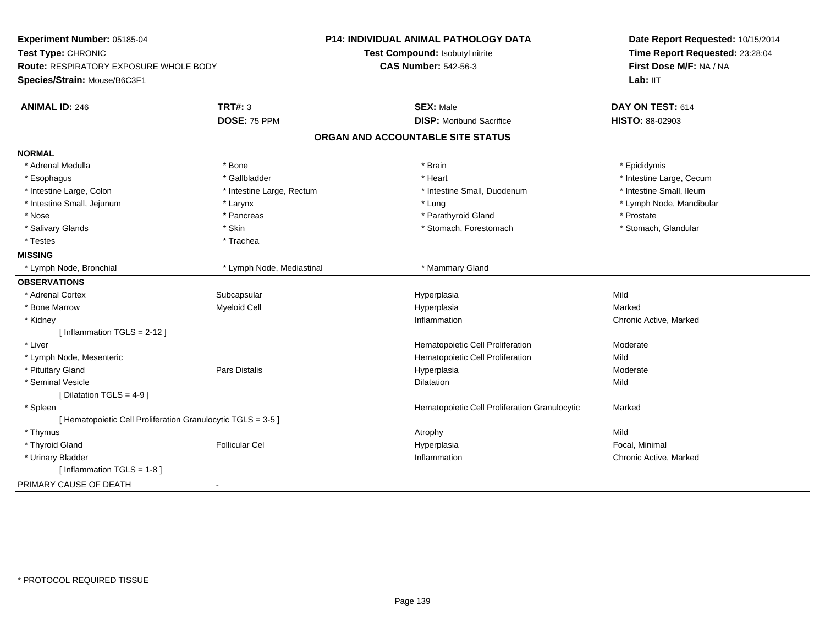| Experiment Number: 05185-04                                  |                           | P14: INDIVIDUAL ANIMAL PATHOLOGY DATA         | Date Report Requested: 10/15/2014 |
|--------------------------------------------------------------|---------------------------|-----------------------------------------------|-----------------------------------|
| Test Type: CHRONIC                                           |                           | Test Compound: Isobutyl nitrite               | Time Report Requested: 23:28:04   |
| Route: RESPIRATORY EXPOSURE WHOLE BODY                       |                           | <b>CAS Number: 542-56-3</b>                   | First Dose M/F: NA / NA           |
| Species/Strain: Mouse/B6C3F1                                 |                           |                                               | Lab: IIT                          |
| <b>TRT#: 3</b><br><b>ANIMAL ID: 246</b>                      |                           | <b>SEX: Male</b>                              | DAY ON TEST: 614                  |
|                                                              | DOSE: 75 PPM              | <b>DISP:</b> Moribund Sacrifice               | <b>HISTO: 88-02903</b>            |
|                                                              |                           | ORGAN AND ACCOUNTABLE SITE STATUS             |                                   |
| <b>NORMAL</b>                                                |                           |                                               |                                   |
| * Adrenal Medulla<br>* Bone                                  |                           | * Brain                                       | * Epididymis                      |
| * Esophagus                                                  | * Gallbladder             | * Heart                                       | * Intestine Large, Cecum          |
| * Intestine Large, Colon                                     | * Intestine Large, Rectum | * Intestine Small, Duodenum                   | * Intestine Small, Ileum          |
| * Intestine Small, Jejunum<br>* Larynx                       |                           | * Lung                                        | * Lymph Node, Mandibular          |
| * Nose                                                       | * Pancreas                | * Parathyroid Gland                           | * Prostate                        |
| * Salivary Glands<br>* Skin                                  |                           | * Stomach, Forestomach                        | * Stomach, Glandular              |
| * Testes                                                     | * Trachea                 |                                               |                                   |
| <b>MISSING</b>                                               |                           |                                               |                                   |
| * Lymph Node, Bronchial                                      | * Lymph Node, Mediastinal | * Mammary Gland                               |                                   |
| <b>OBSERVATIONS</b>                                          |                           |                                               |                                   |
| * Adrenal Cortex                                             | Subcapsular               | Hyperplasia                                   | Mild                              |
| <b>Myeloid Cell</b><br>* Bone Marrow                         |                           | Hyperplasia                                   | Marked                            |
| * Kidney                                                     |                           | Inflammation                                  | Chronic Active, Marked            |
| [Inflammation TGLS = $2-12$ ]                                |                           |                                               |                                   |
| * Liver                                                      |                           | Hematopoietic Cell Proliferation              | Moderate                          |
| * Lymph Node, Mesenteric                                     |                           | Hematopoietic Cell Proliferation              | Mild                              |
| * Pituitary Gland                                            | Pars Distalis             | Hyperplasia                                   | Moderate                          |
| * Seminal Vesicle                                            |                           | Dilatation                                    | Mild                              |
| [ Dilatation TGLS = $4-9$ ]                                  |                           |                                               |                                   |
| * Spleen                                                     |                           | Hematopoietic Cell Proliferation Granulocytic | Marked                            |
| [ Hematopoietic Cell Proliferation Granulocytic TGLS = 3-5 ] |                           |                                               |                                   |
| * Thymus                                                     |                           | Atrophy                                       | Mild                              |
| * Thyroid Gland                                              | <b>Follicular Cel</b>     | Hyperplasia                                   | Focal, Minimal                    |
| * Urinary Bladder                                            |                           | Inflammation                                  | Chronic Active, Marked            |
| [Inflammation TGLS = 1-8]                                    |                           |                                               |                                   |
| PRIMARY CAUSE OF DEATH<br>$\blacksquare$                     |                           |                                               |                                   |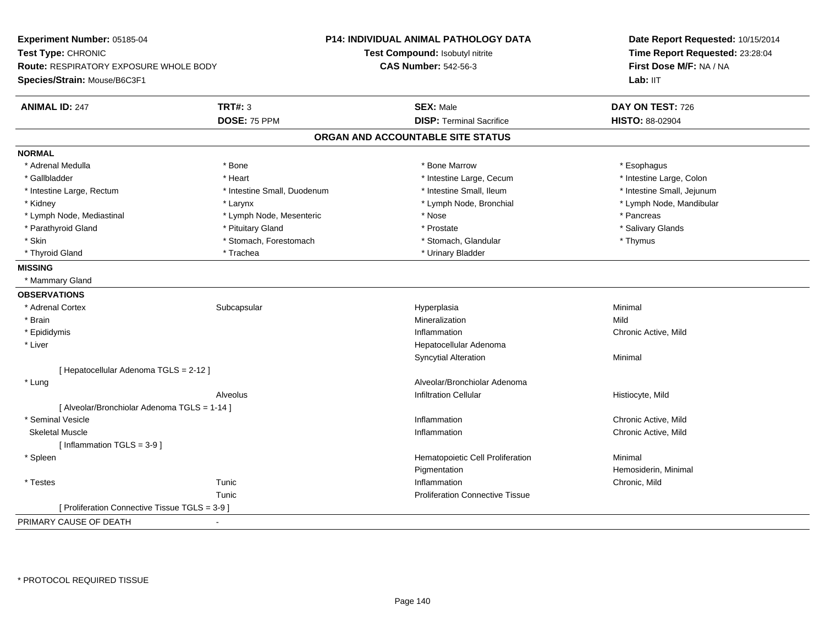**Experiment Number:** 05185-04**Test Type:** CHRONIC **Route:** RESPIRATORY EXPOSURE WHOLE BODY**Species/Strain:** Mouse/B6C3F1**P14: INDIVIDUAL ANIMAL PATHOLOGY DATATest Compound:** Isobutyl nitrite**CAS Number:** 542-56-3**Date Report Requested:** 10/15/2014**Time Report Requested:** 23:28:04**First Dose M/F:** NA / NALab: IIT **ANIMAL ID:** 247**TRT#:** 3 **SEX:** Male **DAY ON TEST:** 726 **DOSE:** 75 PPM**DISP:** Terminal Sacrifice **HISTO:** 88-02904 **ORGAN AND ACCOUNTABLE SITE STATUSNORMAL**\* Adrenal Medulla \* Adrenal Medulla \* \* The matter of the state of the state of the state of the state of the state of the state of the state of the state of the state of the state of the state of the state of the state of the state of the \* Intestine Large, Colon \* Gallbladder \* The mode of the state of the state of the state of the state of the state of the state of the state of the state of the state of the state of the state of the state of the state of the state of the state of \* Intestine Large, Rectum \* Thestine Small, Duodenum \* Number of the small, Ileum \* Intestine Small, Jejunum \* Intestine Small, Jejunum \* Kidney \* Larynx \* Lymph Node, Bronchial \* Lymph Node, Mandibular \* Lymph Node, Mediastinal \* The state of the second text of the second text of the second text of the second text of the second of the second text of the second text of the second text of the second text of the second text \* Salivary Glands \* Parathyroid Gland \* \* \* Pituitary Gland \* \* Prostate \* \* Prostate \* \* Salivary Glands \* Salivary Glands \* Salivary Glands \* Salivary Glands \* Salivary Glands \* Salivary Glands \* Salivary Glands \* Salivary Glands \* Saliva \* Skin \* Stomach, Forestomach \* Stomach \* Stomach, Glandular \* Thymus \* Thymus \* Thyroid Gland \* Trachea \* Trachea \* Trachea \* Thyroid Gland \* Urinary Bladder **MISSING** \* Mammary Gland**OBSERVATIONS** \* Adrenal Cortexx Subcapsular Subcapsular Subsets and Hyperplasia a **Minimal**  \* Brainn and the control of the control of the control of the control of the control of the control of the control of the control of the control of the control of the control of the control of the control of the control of the co \* Epididymiss and the contract of the contract of the contract of the contract of the contract of the contract of the contract of the contract of the contract of the contract of the contract of the contract of the contract of the cont Chronic Active, Mild \* Liver Hepatocellular AdenomaSyncytial Alterationn Minimal [ Hepatocellular Adenoma TGLS = 2-12 ] \* LungAlveolar/Bronchiolar Adenoma<br>Infiltration Cellular Alveolus Infiltration Cellular Histiocyte, Mild[ Alveolar/Bronchiolar Adenoma TGLS = 1-14 ] \* Seminal Vesicle Inflammation Chronic Active, Mild Skeletal Musclee the contraction of the contraction of the contraction of the contraction of the chronic Active, Mild and The contraction of the contraction of the contraction of the contraction of the contraction of the contraction of t  $[$  Inflammation TGLS = 3-9  $]$  \* SpleenHematopoietic Cell Proliferation Minimal Pigmentation Pigmentation **Example 2018** Hemosiderin, Minimal<br>
Inflammation **Chronic Mild**  \* Testess and the set of the set of the set of the set of the set of the set of the set of the set of the set of the s Chronic, Mild Tunic Proliferation Connective Tissue[ Proliferation Connective Tissue TGLS = 3-9 ]PRIMARY CAUSE OF DEATH-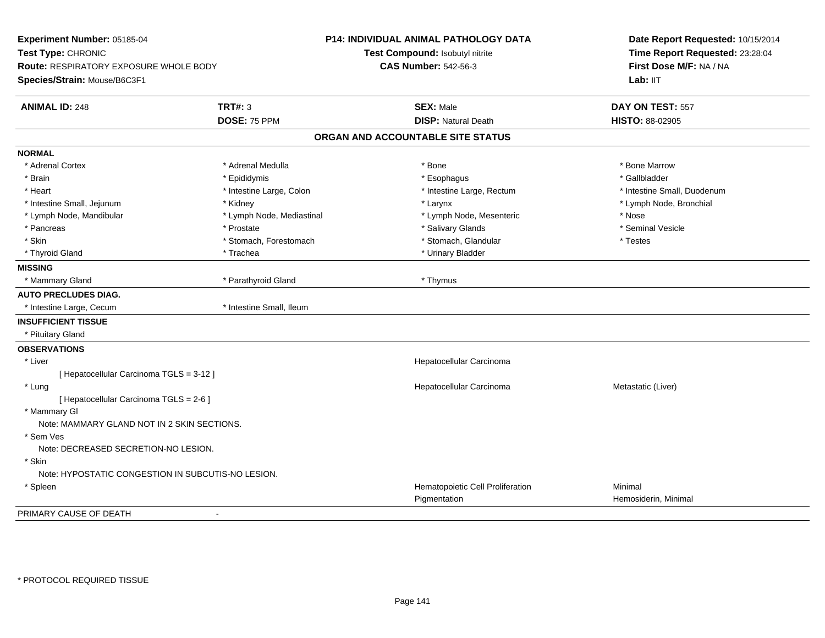| Experiment Number: 05185-04                        |                           | P14: INDIVIDUAL ANIMAL PATHOLOGY DATA            | Date Report Requested: 10/15/2014 |
|----------------------------------------------------|---------------------------|--------------------------------------------------|-----------------------------------|
| Test Type: CHRONIC                                 |                           | Test Compound: Isobutyl nitrite                  | Time Report Requested: 23:28:04   |
| Route: RESPIRATORY EXPOSURE WHOLE BODY             |                           | <b>CAS Number: 542-56-3</b>                      | First Dose M/F: NA / NA           |
| Species/Strain: Mouse/B6C3F1                       |                           |                                                  | Lab: IIT                          |
| <b>ANIMAL ID: 248</b>                              | <b>TRT#: 3</b>            | <b>SEX: Male</b>                                 | DAY ON TEST: 557                  |
|                                                    | DOSE: 75 PPM              | <b>DISP: Natural Death</b>                       | HISTO: 88-02905                   |
|                                                    |                           | ORGAN AND ACCOUNTABLE SITE STATUS                |                                   |
| <b>NORMAL</b>                                      |                           |                                                  |                                   |
| * Adrenal Cortex                                   | * Adrenal Medulla         | $^{\star}$ Bone                                  | * Bone Marrow                     |
| * Brain                                            | * Epididymis              | * Esophagus                                      | * Gallbladder                     |
| * Heart                                            | * Intestine Large, Colon  | * Intestine Large, Rectum                        | * Intestine Small, Duodenum       |
| * Intestine Small, Jejunum                         | * Kidney                  | * Larynx                                         | * Lymph Node, Bronchial           |
| * Lymph Node, Mandibular                           | * Lymph Node, Mediastinal | * Lymph Node, Mesenteric                         | * Nose                            |
| * Pancreas                                         | * Prostate                | * Salivary Glands                                | * Seminal Vesicle                 |
| * Skin                                             | * Stomach, Forestomach    | * Stomach, Glandular                             | * Testes                          |
| * Thyroid Gland                                    | * Trachea                 | * Urinary Bladder                                |                                   |
| <b>MISSING</b>                                     |                           |                                                  |                                   |
| * Mammary Gland                                    | * Parathyroid Gland       | * Thymus                                         |                                   |
| <b>AUTO PRECLUDES DIAG.</b>                        |                           |                                                  |                                   |
| * Intestine Large, Cecum                           | * Intestine Small, Ileum  |                                                  |                                   |
| <b>INSUFFICIENT TISSUE</b>                         |                           |                                                  |                                   |
| * Pituitary Gland                                  |                           |                                                  |                                   |
| <b>OBSERVATIONS</b>                                |                           |                                                  |                                   |
| * Liver                                            |                           | Hepatocellular Carcinoma                         |                                   |
| [ Hepatocellular Carcinoma TGLS = 3-12 ]           |                           |                                                  |                                   |
| * Lung                                             |                           | Hepatocellular Carcinoma                         | Metastatic (Liver)                |
| [ Hepatocellular Carcinoma TGLS = 2-6 ]            |                           |                                                  |                                   |
| * Mammary GI                                       |                           |                                                  |                                   |
| Note: MAMMARY GLAND NOT IN 2 SKIN SECTIONS.        |                           |                                                  |                                   |
| * Sem Ves                                          |                           |                                                  |                                   |
| Note: DECREASED SECRETION-NO LESION.               |                           |                                                  |                                   |
| * Skin                                             |                           |                                                  |                                   |
| Note: HYPOSTATIC CONGESTION IN SUBCUTIS-NO LESION. |                           |                                                  |                                   |
| * Spleen                                           |                           | Hematopoietic Cell Proliferation<br>Pigmentation | Minimal<br>Hemosiderin, Minimal   |
| PRIMARY CAUSE OF DEATH                             | $\blacksquare$            |                                                  |                                   |
|                                                    |                           |                                                  |                                   |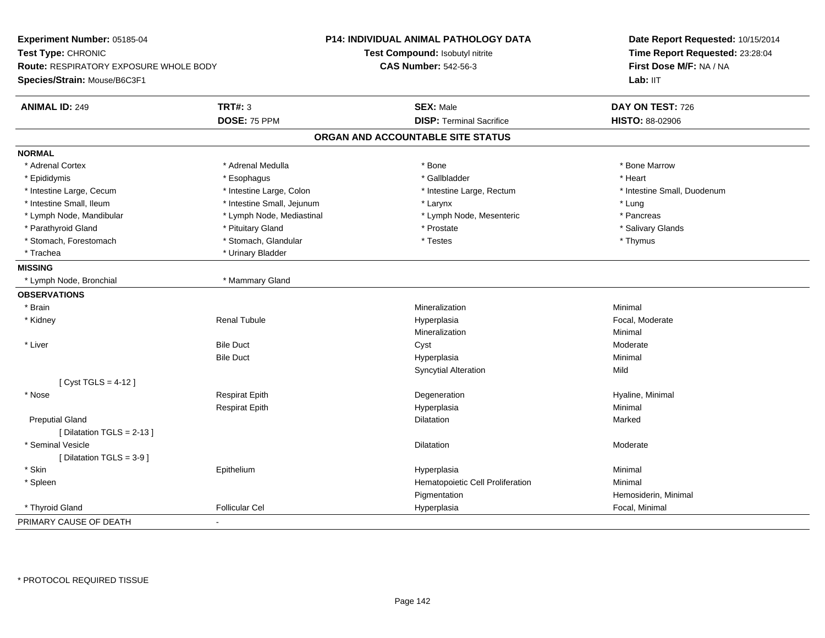| Time Report Requested: 23:28:04<br>Test Compound: Isobutyl nitrite<br><b>CAS Number: 542-56-3</b><br>First Dose M/F: NA / NA<br>Route: RESPIRATORY EXPOSURE WHOLE BODY<br>Lab: IIT<br><b>TRT#: 3</b><br><b>SEX: Male</b><br>DAY ON TEST: 726<br>DOSE: 75 PPM<br><b>DISP: Terminal Sacrifice</b><br>HISTO: 88-02906<br>ORGAN AND ACCOUNTABLE SITE STATUS<br>* Adrenal Medulla<br>* Bone Marrow<br>* Adrenal Cortex<br>* Bone<br>* Gallbladder<br>* Heart<br>* Epididymis<br>* Esophagus<br>* Intestine Large, Cecum<br>* Intestine Large, Colon<br>* Intestine Large, Rectum<br>* Intestine Small, Duodenum<br>* Intestine Small, Ileum<br>* Intestine Small, Jejunum<br>* Lung<br>* Larynx<br>* Pancreas<br>* Lymph Node, Mandibular<br>* Lymph Node, Mediastinal<br>* Lymph Node, Mesenteric<br>* Pituitary Gland<br>* Prostate<br>* Salivary Glands<br>* Parathyroid Gland<br>* Stomach, Glandular<br>* Testes<br>* Stomach, Forestomach<br>* Thymus<br>* Trachea<br>* Urinary Bladder<br>* Mammary Gland<br>* Lymph Node, Bronchial<br>* Brain<br>Mineralization<br>Minimal<br>* Kidney<br><b>Renal Tubule</b><br>Hyperplasia<br>Focal, Moderate<br>Mineralization<br>Minimal<br>* Liver<br><b>Bile Duct</b><br>Cyst<br>Moderate<br>Minimal<br><b>Bile Duct</b><br>Hyperplasia<br><b>Syncytial Alteration</b><br>Mild<br>[ $Cyst TGLS = 4-12$ ]<br><b>Respirat Epith</b><br>Degeneration<br>Hyaline, Minimal<br>* Nose<br>Minimal<br><b>Respirat Epith</b><br>Hyperplasia<br><b>Preputial Gland</b><br>Dilatation<br>Marked<br>[Dilatation TGLS = 2-13]<br>* Seminal Vesicle<br><b>Dilatation</b><br>Moderate<br>[ Dilatation TGLS = $3-9$ ]<br>* Skin<br>Minimal<br>Epithelium<br>Hyperplasia<br>* Spleen<br>Hematopoietic Cell Proliferation<br>Minimal<br>Pigmentation<br>Hemosiderin, Minimal<br>* Thyroid Gland<br><b>Follicular Cel</b><br>Focal, Minimal<br>Hyperplasia | Experiment Number: 05185-04  | <b>P14: INDIVIDUAL ANIMAL PATHOLOGY DATA</b> | Date Report Requested: 10/15/2014 |
|-----------------------------------------------------------------------------------------------------------------------------------------------------------------------------------------------------------------------------------------------------------------------------------------------------------------------------------------------------------------------------------------------------------------------------------------------------------------------------------------------------------------------------------------------------------------------------------------------------------------------------------------------------------------------------------------------------------------------------------------------------------------------------------------------------------------------------------------------------------------------------------------------------------------------------------------------------------------------------------------------------------------------------------------------------------------------------------------------------------------------------------------------------------------------------------------------------------------------------------------------------------------------------------------------------------------------------------------------------------------------------------------------------------------------------------------------------------------------------------------------------------------------------------------------------------------------------------------------------------------------------------------------------------------------------------------------------------------------------------------------------------------------------------------------------------------------------------------------------------------------------------|------------------------------|----------------------------------------------|-----------------------------------|
|                                                                                                                                                                                                                                                                                                                                                                                                                                                                                                                                                                                                                                                                                                                                                                                                                                                                                                                                                                                                                                                                                                                                                                                                                                                                                                                                                                                                                                                                                                                                                                                                                                                                                                                                                                                                                                                                                   | Test Type: CHRONIC           |                                              |                                   |
|                                                                                                                                                                                                                                                                                                                                                                                                                                                                                                                                                                                                                                                                                                                                                                                                                                                                                                                                                                                                                                                                                                                                                                                                                                                                                                                                                                                                                                                                                                                                                                                                                                                                                                                                                                                                                                                                                   |                              |                                              |                                   |
|                                                                                                                                                                                                                                                                                                                                                                                                                                                                                                                                                                                                                                                                                                                                                                                                                                                                                                                                                                                                                                                                                                                                                                                                                                                                                                                                                                                                                                                                                                                                                                                                                                                                                                                                                                                                                                                                                   | Species/Strain: Mouse/B6C3F1 |                                              |                                   |
|                                                                                                                                                                                                                                                                                                                                                                                                                                                                                                                                                                                                                                                                                                                                                                                                                                                                                                                                                                                                                                                                                                                                                                                                                                                                                                                                                                                                                                                                                                                                                                                                                                                                                                                                                                                                                                                                                   | <b>ANIMAL ID: 249</b>        |                                              |                                   |
|                                                                                                                                                                                                                                                                                                                                                                                                                                                                                                                                                                                                                                                                                                                                                                                                                                                                                                                                                                                                                                                                                                                                                                                                                                                                                                                                                                                                                                                                                                                                                                                                                                                                                                                                                                                                                                                                                   |                              |                                              |                                   |
|                                                                                                                                                                                                                                                                                                                                                                                                                                                                                                                                                                                                                                                                                                                                                                                                                                                                                                                                                                                                                                                                                                                                                                                                                                                                                                                                                                                                                                                                                                                                                                                                                                                                                                                                                                                                                                                                                   |                              |                                              |                                   |
|                                                                                                                                                                                                                                                                                                                                                                                                                                                                                                                                                                                                                                                                                                                                                                                                                                                                                                                                                                                                                                                                                                                                                                                                                                                                                                                                                                                                                                                                                                                                                                                                                                                                                                                                                                                                                                                                                   | <b>NORMAL</b>                |                                              |                                   |
|                                                                                                                                                                                                                                                                                                                                                                                                                                                                                                                                                                                                                                                                                                                                                                                                                                                                                                                                                                                                                                                                                                                                                                                                                                                                                                                                                                                                                                                                                                                                                                                                                                                                                                                                                                                                                                                                                   |                              |                                              |                                   |
|                                                                                                                                                                                                                                                                                                                                                                                                                                                                                                                                                                                                                                                                                                                                                                                                                                                                                                                                                                                                                                                                                                                                                                                                                                                                                                                                                                                                                                                                                                                                                                                                                                                                                                                                                                                                                                                                                   |                              |                                              |                                   |
|                                                                                                                                                                                                                                                                                                                                                                                                                                                                                                                                                                                                                                                                                                                                                                                                                                                                                                                                                                                                                                                                                                                                                                                                                                                                                                                                                                                                                                                                                                                                                                                                                                                                                                                                                                                                                                                                                   |                              |                                              |                                   |
|                                                                                                                                                                                                                                                                                                                                                                                                                                                                                                                                                                                                                                                                                                                                                                                                                                                                                                                                                                                                                                                                                                                                                                                                                                                                                                                                                                                                                                                                                                                                                                                                                                                                                                                                                                                                                                                                                   |                              |                                              |                                   |
|                                                                                                                                                                                                                                                                                                                                                                                                                                                                                                                                                                                                                                                                                                                                                                                                                                                                                                                                                                                                                                                                                                                                                                                                                                                                                                                                                                                                                                                                                                                                                                                                                                                                                                                                                                                                                                                                                   |                              |                                              |                                   |
|                                                                                                                                                                                                                                                                                                                                                                                                                                                                                                                                                                                                                                                                                                                                                                                                                                                                                                                                                                                                                                                                                                                                                                                                                                                                                                                                                                                                                                                                                                                                                                                                                                                                                                                                                                                                                                                                                   |                              |                                              |                                   |
|                                                                                                                                                                                                                                                                                                                                                                                                                                                                                                                                                                                                                                                                                                                                                                                                                                                                                                                                                                                                                                                                                                                                                                                                                                                                                                                                                                                                                                                                                                                                                                                                                                                                                                                                                                                                                                                                                   |                              |                                              |                                   |
|                                                                                                                                                                                                                                                                                                                                                                                                                                                                                                                                                                                                                                                                                                                                                                                                                                                                                                                                                                                                                                                                                                                                                                                                                                                                                                                                                                                                                                                                                                                                                                                                                                                                                                                                                                                                                                                                                   |                              |                                              |                                   |
|                                                                                                                                                                                                                                                                                                                                                                                                                                                                                                                                                                                                                                                                                                                                                                                                                                                                                                                                                                                                                                                                                                                                                                                                                                                                                                                                                                                                                                                                                                                                                                                                                                                                                                                                                                                                                                                                                   | <b>MISSING</b>               |                                              |                                   |
|                                                                                                                                                                                                                                                                                                                                                                                                                                                                                                                                                                                                                                                                                                                                                                                                                                                                                                                                                                                                                                                                                                                                                                                                                                                                                                                                                                                                                                                                                                                                                                                                                                                                                                                                                                                                                                                                                   |                              |                                              |                                   |
|                                                                                                                                                                                                                                                                                                                                                                                                                                                                                                                                                                                                                                                                                                                                                                                                                                                                                                                                                                                                                                                                                                                                                                                                                                                                                                                                                                                                                                                                                                                                                                                                                                                                                                                                                                                                                                                                                   | <b>OBSERVATIONS</b>          |                                              |                                   |
|                                                                                                                                                                                                                                                                                                                                                                                                                                                                                                                                                                                                                                                                                                                                                                                                                                                                                                                                                                                                                                                                                                                                                                                                                                                                                                                                                                                                                                                                                                                                                                                                                                                                                                                                                                                                                                                                                   |                              |                                              |                                   |
|                                                                                                                                                                                                                                                                                                                                                                                                                                                                                                                                                                                                                                                                                                                                                                                                                                                                                                                                                                                                                                                                                                                                                                                                                                                                                                                                                                                                                                                                                                                                                                                                                                                                                                                                                                                                                                                                                   |                              |                                              |                                   |
|                                                                                                                                                                                                                                                                                                                                                                                                                                                                                                                                                                                                                                                                                                                                                                                                                                                                                                                                                                                                                                                                                                                                                                                                                                                                                                                                                                                                                                                                                                                                                                                                                                                                                                                                                                                                                                                                                   |                              |                                              |                                   |
|                                                                                                                                                                                                                                                                                                                                                                                                                                                                                                                                                                                                                                                                                                                                                                                                                                                                                                                                                                                                                                                                                                                                                                                                                                                                                                                                                                                                                                                                                                                                                                                                                                                                                                                                                                                                                                                                                   |                              |                                              |                                   |
|                                                                                                                                                                                                                                                                                                                                                                                                                                                                                                                                                                                                                                                                                                                                                                                                                                                                                                                                                                                                                                                                                                                                                                                                                                                                                                                                                                                                                                                                                                                                                                                                                                                                                                                                                                                                                                                                                   |                              |                                              |                                   |
|                                                                                                                                                                                                                                                                                                                                                                                                                                                                                                                                                                                                                                                                                                                                                                                                                                                                                                                                                                                                                                                                                                                                                                                                                                                                                                                                                                                                                                                                                                                                                                                                                                                                                                                                                                                                                                                                                   |                              |                                              |                                   |
|                                                                                                                                                                                                                                                                                                                                                                                                                                                                                                                                                                                                                                                                                                                                                                                                                                                                                                                                                                                                                                                                                                                                                                                                                                                                                                                                                                                                                                                                                                                                                                                                                                                                                                                                                                                                                                                                                   |                              |                                              |                                   |
|                                                                                                                                                                                                                                                                                                                                                                                                                                                                                                                                                                                                                                                                                                                                                                                                                                                                                                                                                                                                                                                                                                                                                                                                                                                                                                                                                                                                                                                                                                                                                                                                                                                                                                                                                                                                                                                                                   |                              |                                              |                                   |
|                                                                                                                                                                                                                                                                                                                                                                                                                                                                                                                                                                                                                                                                                                                                                                                                                                                                                                                                                                                                                                                                                                                                                                                                                                                                                                                                                                                                                                                                                                                                                                                                                                                                                                                                                                                                                                                                                   |                              |                                              |                                   |
|                                                                                                                                                                                                                                                                                                                                                                                                                                                                                                                                                                                                                                                                                                                                                                                                                                                                                                                                                                                                                                                                                                                                                                                                                                                                                                                                                                                                                                                                                                                                                                                                                                                                                                                                                                                                                                                                                   |                              |                                              |                                   |
|                                                                                                                                                                                                                                                                                                                                                                                                                                                                                                                                                                                                                                                                                                                                                                                                                                                                                                                                                                                                                                                                                                                                                                                                                                                                                                                                                                                                                                                                                                                                                                                                                                                                                                                                                                                                                                                                                   |                              |                                              |                                   |
|                                                                                                                                                                                                                                                                                                                                                                                                                                                                                                                                                                                                                                                                                                                                                                                                                                                                                                                                                                                                                                                                                                                                                                                                                                                                                                                                                                                                                                                                                                                                                                                                                                                                                                                                                                                                                                                                                   |                              |                                              |                                   |
|                                                                                                                                                                                                                                                                                                                                                                                                                                                                                                                                                                                                                                                                                                                                                                                                                                                                                                                                                                                                                                                                                                                                                                                                                                                                                                                                                                                                                                                                                                                                                                                                                                                                                                                                                                                                                                                                                   |                              |                                              |                                   |
|                                                                                                                                                                                                                                                                                                                                                                                                                                                                                                                                                                                                                                                                                                                                                                                                                                                                                                                                                                                                                                                                                                                                                                                                                                                                                                                                                                                                                                                                                                                                                                                                                                                                                                                                                                                                                                                                                   |                              |                                              |                                   |
|                                                                                                                                                                                                                                                                                                                                                                                                                                                                                                                                                                                                                                                                                                                                                                                                                                                                                                                                                                                                                                                                                                                                                                                                                                                                                                                                                                                                                                                                                                                                                                                                                                                                                                                                                                                                                                                                                   |                              |                                              |                                   |
|                                                                                                                                                                                                                                                                                                                                                                                                                                                                                                                                                                                                                                                                                                                                                                                                                                                                                                                                                                                                                                                                                                                                                                                                                                                                                                                                                                                                                                                                                                                                                                                                                                                                                                                                                                                                                                                                                   |                              |                                              |                                   |
|                                                                                                                                                                                                                                                                                                                                                                                                                                                                                                                                                                                                                                                                                                                                                                                                                                                                                                                                                                                                                                                                                                                                                                                                                                                                                                                                                                                                                                                                                                                                                                                                                                                                                                                                                                                                                                                                                   |                              |                                              |                                   |
|                                                                                                                                                                                                                                                                                                                                                                                                                                                                                                                                                                                                                                                                                                                                                                                                                                                                                                                                                                                                                                                                                                                                                                                                                                                                                                                                                                                                                                                                                                                                                                                                                                                                                                                                                                                                                                                                                   | PRIMARY CAUSE OF DEATH       |                                              |                                   |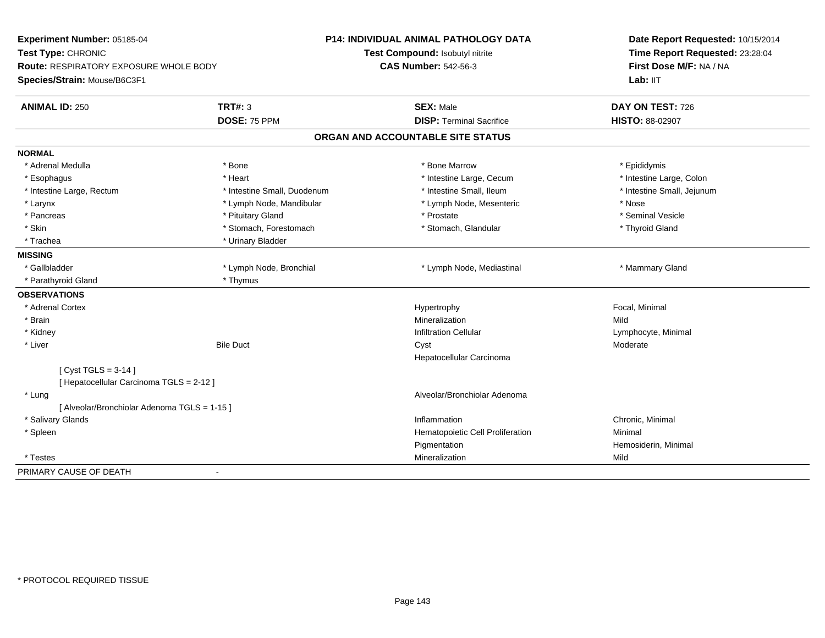| Experiment Number: 05185-04<br>Test Type: CHRONIC<br><b>Route: RESPIRATORY EXPOSURE WHOLE BODY</b><br>Species/Strain: Mouse/B6C3F1 |                                | <b>P14: INDIVIDUAL ANIMAL PATHOLOGY DATA</b><br>Test Compound: Isobutyl nitrite<br><b>CAS Number: 542-56-3</b> | Date Report Requested: 10/15/2014<br>Time Report Requested: 23:28:04<br>First Dose M/F: NA / NA<br>Lab: IIT |
|------------------------------------------------------------------------------------------------------------------------------------|--------------------------------|----------------------------------------------------------------------------------------------------------------|-------------------------------------------------------------------------------------------------------------|
| <b>ANIMAL ID: 250</b>                                                                                                              | <b>TRT#: 3</b><br>DOSE: 75 PPM | <b>SEX: Male</b><br><b>DISP: Terminal Sacrifice</b>                                                            | DAY ON TEST: 726                                                                                            |
|                                                                                                                                    |                                |                                                                                                                | HISTO: 88-02907                                                                                             |
|                                                                                                                                    |                                | ORGAN AND ACCOUNTABLE SITE STATUS                                                                              |                                                                                                             |
| <b>NORMAL</b>                                                                                                                      |                                |                                                                                                                |                                                                                                             |
| * Adrenal Medulla                                                                                                                  | * Bone                         | * Bone Marrow                                                                                                  | * Epididymis                                                                                                |
| * Esophagus                                                                                                                        | * Heart                        | * Intestine Large, Cecum                                                                                       | * Intestine Large, Colon                                                                                    |
| * Intestine Large, Rectum                                                                                                          | * Intestine Small, Duodenum    | * Intestine Small, Ileum                                                                                       | * Intestine Small, Jejunum                                                                                  |
| * Larynx                                                                                                                           | * Lymph Node, Mandibular       | * Lymph Node, Mesenteric                                                                                       | * Nose                                                                                                      |
| * Pancreas                                                                                                                         | * Pituitary Gland              | * Prostate                                                                                                     | * Seminal Vesicle                                                                                           |
| * Skin                                                                                                                             | * Stomach, Forestomach         | * Stomach, Glandular                                                                                           | * Thyroid Gland                                                                                             |
| * Trachea                                                                                                                          | * Urinary Bladder              |                                                                                                                |                                                                                                             |
| <b>MISSING</b>                                                                                                                     |                                |                                                                                                                |                                                                                                             |
| * Gallbladder                                                                                                                      | * Lymph Node, Bronchial        | * Lymph Node, Mediastinal                                                                                      | * Mammary Gland                                                                                             |
| * Parathyroid Gland                                                                                                                | * Thymus                       |                                                                                                                |                                                                                                             |
| <b>OBSERVATIONS</b>                                                                                                                |                                |                                                                                                                |                                                                                                             |
| * Adrenal Cortex                                                                                                                   |                                | Hypertrophy                                                                                                    | Focal, Minimal                                                                                              |
| * Brain                                                                                                                            |                                | Mineralization                                                                                                 | Mild                                                                                                        |
| * Kidney                                                                                                                           |                                | <b>Infiltration Cellular</b>                                                                                   | Lymphocyte, Minimal                                                                                         |
| * Liver                                                                                                                            | <b>Bile Duct</b>               | Cyst                                                                                                           | Moderate                                                                                                    |
|                                                                                                                                    |                                | Hepatocellular Carcinoma                                                                                       |                                                                                                             |
| [Cyst TGLS = $3-14$ ]                                                                                                              |                                |                                                                                                                |                                                                                                             |
| [ Hepatocellular Carcinoma TGLS = 2-12 ]                                                                                           |                                |                                                                                                                |                                                                                                             |
| * Lung                                                                                                                             |                                | Alveolar/Bronchiolar Adenoma                                                                                   |                                                                                                             |
| [ Alveolar/Bronchiolar Adenoma TGLS = 1-15 ]                                                                                       |                                |                                                                                                                |                                                                                                             |
| * Salivary Glands                                                                                                                  |                                | Inflammation                                                                                                   | Chronic, Minimal                                                                                            |
| * Spleen                                                                                                                           |                                | Hematopoietic Cell Proliferation                                                                               | Minimal                                                                                                     |
|                                                                                                                                    |                                | Pigmentation                                                                                                   | Hemosiderin, Minimal                                                                                        |
| * Testes                                                                                                                           |                                | Mineralization                                                                                                 | Mild                                                                                                        |
| PRIMARY CAUSE OF DEATH                                                                                                             | $\overline{a}$                 |                                                                                                                |                                                                                                             |
|                                                                                                                                    |                                |                                                                                                                |                                                                                                             |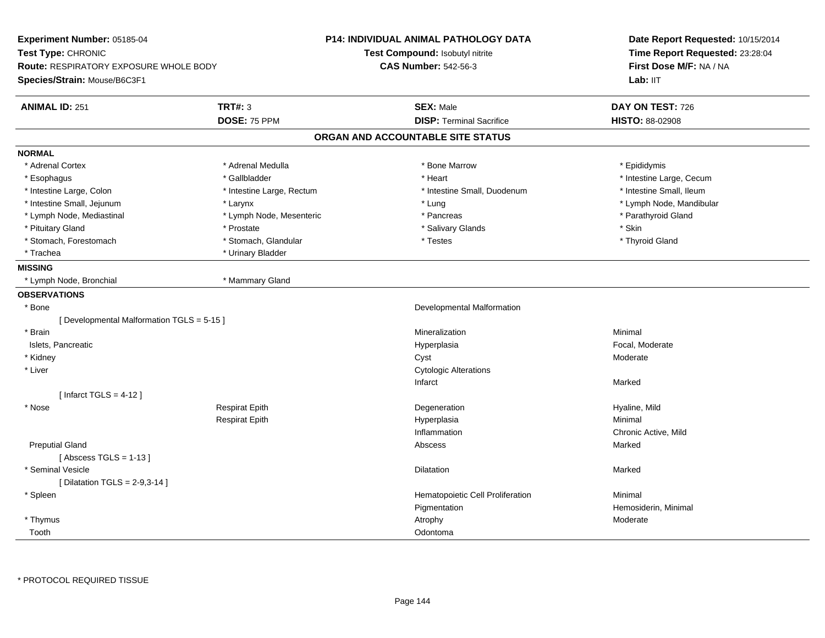| Experiment Number: 05185-04<br>Test Type: CHRONIC<br><b>Route: RESPIRATORY EXPOSURE WHOLE BODY</b><br>Species/Strain: Mouse/B6C3F1 |                           | <b>P14: INDIVIDUAL ANIMAL PATHOLOGY DATA</b><br>Test Compound: Isobutyl nitrite<br><b>CAS Number: 542-56-3</b> | Date Report Requested: 10/15/2014<br>Time Report Requested: 23:28:04<br>First Dose M/F: NA / NA<br>Lab: IIT |
|------------------------------------------------------------------------------------------------------------------------------------|---------------------------|----------------------------------------------------------------------------------------------------------------|-------------------------------------------------------------------------------------------------------------|
| <b>ANIMAL ID: 251</b>                                                                                                              | <b>TRT#: 3</b>            | <b>SEX: Male</b>                                                                                               | DAY ON TEST: 726                                                                                            |
|                                                                                                                                    | DOSE: 75 PPM              | <b>DISP: Terminal Sacrifice</b>                                                                                | HISTO: 88-02908                                                                                             |
|                                                                                                                                    |                           | ORGAN AND ACCOUNTABLE SITE STATUS                                                                              |                                                                                                             |
| <b>NORMAL</b>                                                                                                                      |                           |                                                                                                                |                                                                                                             |
| * Adrenal Cortex                                                                                                                   | * Adrenal Medulla         | * Bone Marrow                                                                                                  | * Epididymis                                                                                                |
| * Esophagus                                                                                                                        | * Gallbladder             | * Heart                                                                                                        | * Intestine Large, Cecum                                                                                    |
| * Intestine Large, Colon                                                                                                           | * Intestine Large, Rectum | * Intestine Small, Duodenum                                                                                    | * Intestine Small, Ileum                                                                                    |
| * Intestine Small, Jejunum                                                                                                         | * Larynx                  | * Lung                                                                                                         | * Lymph Node, Mandibular                                                                                    |
| * Lymph Node, Mediastinal                                                                                                          | * Lymph Node, Mesenteric  | * Pancreas                                                                                                     | * Parathyroid Gland                                                                                         |
| * Pituitary Gland                                                                                                                  | * Prostate                | * Salivary Glands                                                                                              | * Skin                                                                                                      |
| * Stomach, Forestomach                                                                                                             | * Stomach, Glandular      | * Testes                                                                                                       | * Thyroid Gland                                                                                             |
| * Trachea                                                                                                                          | * Urinary Bladder         |                                                                                                                |                                                                                                             |
| <b>MISSING</b>                                                                                                                     |                           |                                                                                                                |                                                                                                             |
| * Lymph Node, Bronchial                                                                                                            | * Mammary Gland           |                                                                                                                |                                                                                                             |
| <b>OBSERVATIONS</b>                                                                                                                |                           |                                                                                                                |                                                                                                             |
| * Bone                                                                                                                             |                           | Developmental Malformation                                                                                     |                                                                                                             |
| [Developmental Malformation TGLS = 5-15]                                                                                           |                           |                                                                                                                |                                                                                                             |
| * Brain                                                                                                                            |                           | Mineralization                                                                                                 | Minimal                                                                                                     |
| Islets, Pancreatic                                                                                                                 |                           | Hyperplasia                                                                                                    | Focal, Moderate                                                                                             |
| * Kidney                                                                                                                           |                           | Cyst                                                                                                           | Moderate                                                                                                    |
| * Liver                                                                                                                            |                           | <b>Cytologic Alterations</b>                                                                                   |                                                                                                             |
|                                                                                                                                    |                           | Infarct                                                                                                        | Marked                                                                                                      |
| [Infarct TGLS = $4-12$ ]                                                                                                           |                           |                                                                                                                |                                                                                                             |
| * Nose                                                                                                                             | <b>Respirat Epith</b>     | Degeneration                                                                                                   | Hyaline, Mild                                                                                               |
|                                                                                                                                    | <b>Respirat Epith</b>     | Hyperplasia                                                                                                    | Minimal                                                                                                     |
|                                                                                                                                    |                           | Inflammation                                                                                                   | Chronic Active, Mild                                                                                        |
| <b>Preputial Gland</b>                                                                                                             |                           | Abscess                                                                                                        | Marked                                                                                                      |
| [Abscess TGLS = $1-13$ ]                                                                                                           |                           |                                                                                                                |                                                                                                             |
| * Seminal Vesicle                                                                                                                  |                           | Dilatation                                                                                                     | Marked                                                                                                      |
| [Dilatation TGLS = $2-9,3-14$ ]                                                                                                    |                           |                                                                                                                |                                                                                                             |
| * Spleen                                                                                                                           |                           | Hematopoietic Cell Proliferation                                                                               | Minimal                                                                                                     |
|                                                                                                                                    |                           | Pigmentation                                                                                                   | Hemosiderin, Minimal                                                                                        |
| * Thymus                                                                                                                           |                           | Atrophy                                                                                                        | Moderate                                                                                                    |
| Tooth                                                                                                                              |                           | Odontoma                                                                                                       |                                                                                                             |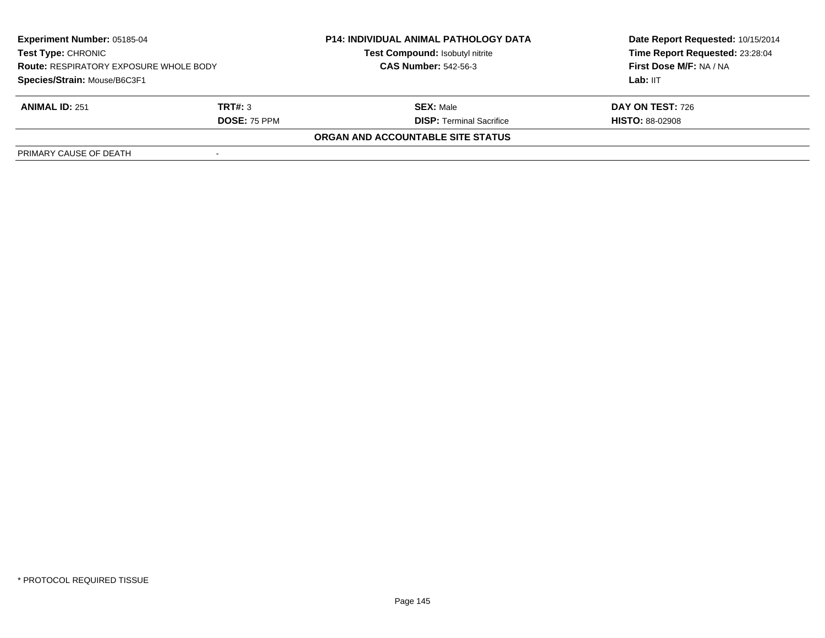| <b>Experiment Number: 05185-04</b><br><b>Test Type: CHRONIC</b><br><b>Route: RESPIRATORY EXPOSURE WHOLE BODY</b><br>Species/Strain: Mouse/B6C3F1 |                     | <b>P14: INDIVIDUAL ANIMAL PATHOLOGY DATA</b><br>Test Compound: Isobutyl nitrite | Date Report Requested: 10/15/2014<br>Time Report Requested: 23:28:04<br>First Dose M/F: NA / NA |
|--------------------------------------------------------------------------------------------------------------------------------------------------|---------------------|---------------------------------------------------------------------------------|-------------------------------------------------------------------------------------------------|
|                                                                                                                                                  |                     | <b>CAS Number: 542-56-3</b>                                                     |                                                                                                 |
|                                                                                                                                                  |                     |                                                                                 | Lab: IIT                                                                                        |
| <b>ANIMAL ID: 251</b>                                                                                                                            | TRT#: 3             | <b>SEX: Male</b>                                                                | <b>DAY ON TEST: 726</b>                                                                         |
|                                                                                                                                                  | <b>DOSE: 75 PPM</b> | <b>DISP: Terminal Sacrifice</b>                                                 | <b>HISTO: 88-02908</b>                                                                          |
|                                                                                                                                                  |                     | ORGAN AND ACCOUNTABLE SITE STATUS                                               |                                                                                                 |
| PRIMARY CAUSE OF DEATH                                                                                                                           |                     |                                                                                 |                                                                                                 |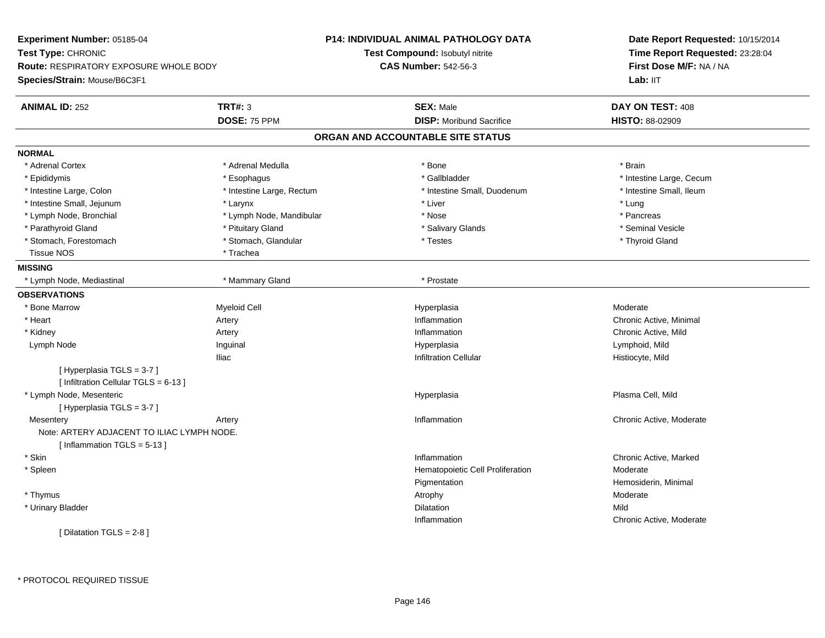**Experiment Number:** 05185-04**Test Type:** CHRONIC **Route:** RESPIRATORY EXPOSURE WHOLE BODY**Species/Strain:** Mouse/B6C3F1**P14: INDIVIDUAL ANIMAL PATHOLOGY DATATest Compound:** Isobutyl nitrite**CAS Number:** 542-56-3**Date Report Requested:** 10/15/2014**Time Report Requested:** 23:28:04**First Dose M/F:** NA / NALab: IIT **ANIMAL ID:** 252**TRT#:** 3 **SEX:** Male **DAY ON TEST:** 408 **DOSE:** 75 PPM**DISP:** Moribund Sacrifice **HISTO:** 88-02909 **ORGAN AND ACCOUNTABLE SITE STATUSNORMAL**\* Adrenal Cortex \* Adrenal Medulla \* Adrenal Medulla \* Bone \* Brain \* Brain \* Brain \* Brain \* Brain \* Brain \* Brain \* Brain \* Brain \* Brain \* Brain \* Brain \* Brain \* Brain \* Brain \* Brain \* Brain \* Brain \* Brain \* Brain \* Brain \* Brain \* B \* Epididymis **\* Exophagus \* Execument \* Execument \* Gallbladder** \* Gallbladder \* \* Thtestine Large, Cecum \* Intestine Small. Ileum \* Intestine Large, Colon \* Intestine Large, Rectum \* Intestine Small, Duodenum \* Intestine Small, Duodenum \* Intestine Small, Jejunum \* \* Larynx \* Larynx \* Larynx \* Liver \* Liver \* Liver \* Liver \* Lung \* Pancreas \* Lymph Node, Bronchial \* Lymph Node, Mandibular \* Nose \* Nose \* Seminal Vesicle \* Parathyroid Gland \* \* \* Animal Vesicle \* \* Pituitary Gland \* \* \* \* Salivary Glands \* \* Seminal Vesicle \* \* Seminal Vesicle \* Stomach, Forestomach \* Thyroid Gland \* Stomach, Glandular \* Testes \* The state \* Thyroid Gland \* Thyroid Gland Tissue NOS \* Trachea **MISSING** \* Lymph Node, Mediastinal \* Mammary Gland \* Prostate**OBSERVATIONS** \* Bone Marroww and the method of the Myeloid Cell and the Moderate Hyperplasia and the Moderate of Moderate Moderate Moderate  $\mathsf{M}$  \* Heartt **the contract of the contract of the contract of the contract of the contract of the contract of the contract of the contract of the contract of the contract of the contract of the contract of the contract of the contrac** Artery **Inflammation** Inflammation **Chronic Active, Minimal**<br>
Inflammation **Chronic Active**. Mild \* Kidneyy the contract of the contract of the contract of the contract of the contract of the contract of the contract of the contract of the contract of the contract of the contract of the contract of the contract of the contract Chronic Active, Mild Lymph Node Inguinal Hyperplasia Lymphoid, Mild Iliacnfiltration Cellular و Infiltration Cellular به المستخدم المستخدم المستخدم المستخدم المستخدم المستخدم المستخدم [ Hyperplasia TGLS = 3-7 ]  $[$  Infiltration Cellular TGLS = 6-13 ] \* Lymph Node, Mesentericc and the contract of the contract of the contract of the contract of the contract of the contract of the contract of the contract of the contract of the contract of the contract of the contract of the contract of the cont Plasma Cell, Mild [ Hyperplasia TGLS = 3-7 ]**Mesentery** y the contract of the contract of the contract of the contract of the contract of the contract of the contract of the contract of the contract of the contract of the contract of the contract of the contract of the contract Chronic Active, Moderate Note: ARTERY ADJACENT TO ILIAC LYMPH NODE.[ Inflammation TGLS = 5-13 ] \* Skinn and the chronic Active, Marked and the chronic Active, Marked and the chronic Active, Marked and the chronic Active, Marked and the chronic Active, Marked and the chronic Active, Marked and the chronic Active, Marked and \* SpleenHematopoietic Cell Proliferation Moderate Pigmentation Hemosiderin, Minimal \* Thymuss and the control of the control of the control of the control of the control of the control of the control of the control of the control of the control of the control of the control of the control of the control of the co \* Urinary Bladder**n** Dilatation **Contract Contract Contract Contract Contract Contract Contract Contract Contract Contract Contract Contract Contract Contract Contract Contract Contract Contract Contract Contract Contract Contract Contract** n Mild Inflammation Chronic Active, Moderate [ Dilatation TGLS = 2-8 ]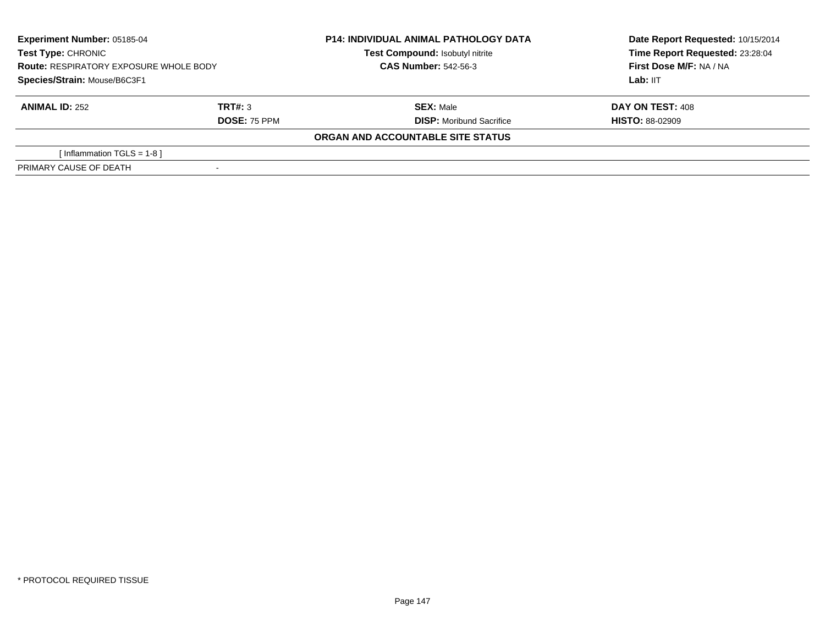| <b>Experiment Number: 05185-04</b><br>Test Type: CHRONIC<br><b>Route: RESPIRATORY EXPOSURE WHOLE BODY</b> |                     | <b>P14: INDIVIDUAL ANIMAL PATHOLOGY DATA</b><br>Test Compound: Isobutyl nitrite<br><b>CAS Number: 542-56-3</b> | Date Report Requested: 10/15/2014<br>Time Report Requested: 23:28:04<br>First Dose M/F: NA / NA |  |
|-----------------------------------------------------------------------------------------------------------|---------------------|----------------------------------------------------------------------------------------------------------------|-------------------------------------------------------------------------------------------------|--|
| Species/Strain: Mouse/B6C3F1                                                                              |                     |                                                                                                                | Lab: IIT                                                                                        |  |
| <b>ANIMAL ID: 252</b>                                                                                     | TRT#: 3             | <b>SEX: Male</b>                                                                                               | <b>DAY ON TEST: 408</b>                                                                         |  |
|                                                                                                           | <b>DOSE: 75 PPM</b> | <b>DISP:</b> Moribund Sacrifice                                                                                | <b>HISTO: 88-02909</b>                                                                          |  |
|                                                                                                           |                     | ORGAN AND ACCOUNTABLE SITE STATUS                                                                              |                                                                                                 |  |
| [Inflammation TGLS = 1-8 ]                                                                                |                     |                                                                                                                |                                                                                                 |  |
| PRIMARY CAUSE OF DEATH                                                                                    |                     |                                                                                                                |                                                                                                 |  |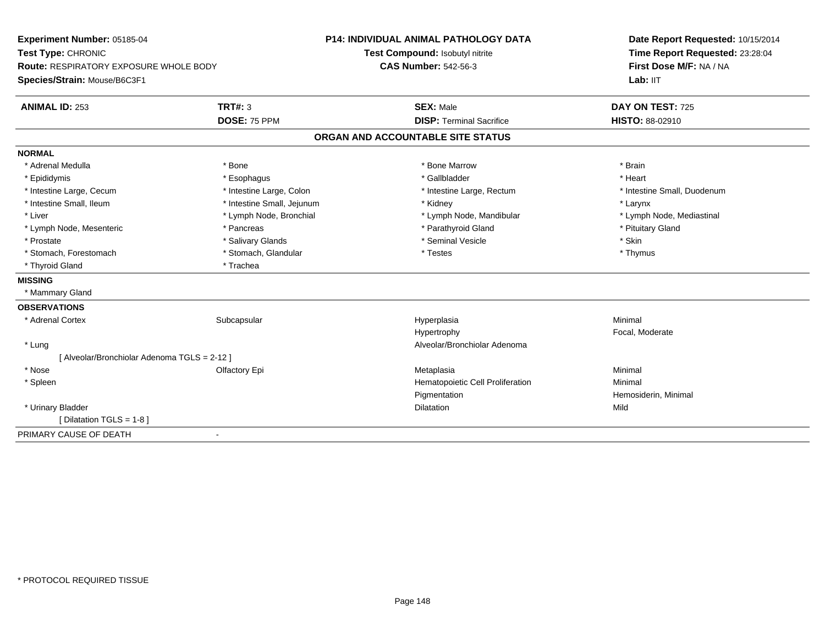| Experiment Number: 05185-04<br>Test Type: CHRONIC<br>Route: RESPIRATORY EXPOSURE WHOLE BODY |                            | <b>P14: INDIVIDUAL ANIMAL PATHOLOGY DATA</b> | Date Report Requested: 10/15/2014<br>Time Report Requested: 23:28:04 |
|---------------------------------------------------------------------------------------------|----------------------------|----------------------------------------------|----------------------------------------------------------------------|
|                                                                                             |                            | Test Compound: Isobutyl nitrite              |                                                                      |
|                                                                                             |                            | <b>CAS Number: 542-56-3</b>                  | First Dose M/F: NA / NA                                              |
| Species/Strain: Mouse/B6C3F1                                                                |                            |                                              | Lab: IIT                                                             |
| <b>ANIMAL ID: 253</b>                                                                       | <b>TRT#: 3</b>             | <b>SEX: Male</b>                             | DAY ON TEST: 725                                                     |
|                                                                                             | DOSE: 75 PPM               | <b>DISP: Terminal Sacrifice</b>              | HISTO: 88-02910                                                      |
|                                                                                             |                            | ORGAN AND ACCOUNTABLE SITE STATUS            |                                                                      |
| <b>NORMAL</b>                                                                               |                            |                                              |                                                                      |
| * Adrenal Medulla                                                                           | * Bone                     | * Bone Marrow                                | * Brain                                                              |
| * Epididymis                                                                                | * Esophagus                | * Gallbladder                                | * Heart                                                              |
| * Intestine Large, Cecum                                                                    | * Intestine Large, Colon   | * Intestine Large, Rectum                    | * Intestine Small, Duodenum                                          |
| * Intestine Small, Ileum                                                                    | * Intestine Small, Jejunum | * Kidney                                     | * Larynx                                                             |
| * Liver                                                                                     | * Lymph Node, Bronchial    | * Lymph Node, Mandibular                     | * Lymph Node, Mediastinal                                            |
| * Lymph Node, Mesenteric                                                                    | * Pancreas                 | * Parathyroid Gland                          | * Pituitary Gland                                                    |
| * Prostate                                                                                  | * Salivary Glands          | * Seminal Vesicle                            | * Skin                                                               |
| * Stomach, Forestomach                                                                      | * Stomach, Glandular       | * Testes                                     | * Thymus                                                             |
| * Thyroid Gland                                                                             | * Trachea                  |                                              |                                                                      |
| <b>MISSING</b>                                                                              |                            |                                              |                                                                      |
| * Mammary Gland                                                                             |                            |                                              |                                                                      |
| <b>OBSERVATIONS</b>                                                                         |                            |                                              |                                                                      |
| * Adrenal Cortex                                                                            | Subcapsular                | Hyperplasia                                  | Minimal                                                              |
|                                                                                             |                            | Hypertrophy                                  | Focal, Moderate                                                      |
| * Lung                                                                                      |                            | Alveolar/Bronchiolar Adenoma                 |                                                                      |
| [ Alveolar/Bronchiolar Adenoma TGLS = 2-12 ]                                                |                            |                                              |                                                                      |
| * Nose                                                                                      | Olfactory Epi              | Metaplasia                                   | Minimal                                                              |
| * Spleen                                                                                    |                            | Hematopoietic Cell Proliferation             | Minimal                                                              |
|                                                                                             |                            | Pigmentation                                 | Hemosiderin, Minimal                                                 |
| * Urinary Bladder                                                                           |                            | Dilatation                                   | Mild                                                                 |
| [ Dilatation TGLS = 1-8 ]                                                                   |                            |                                              |                                                                      |
| PRIMARY CAUSE OF DEATH                                                                      |                            |                                              |                                                                      |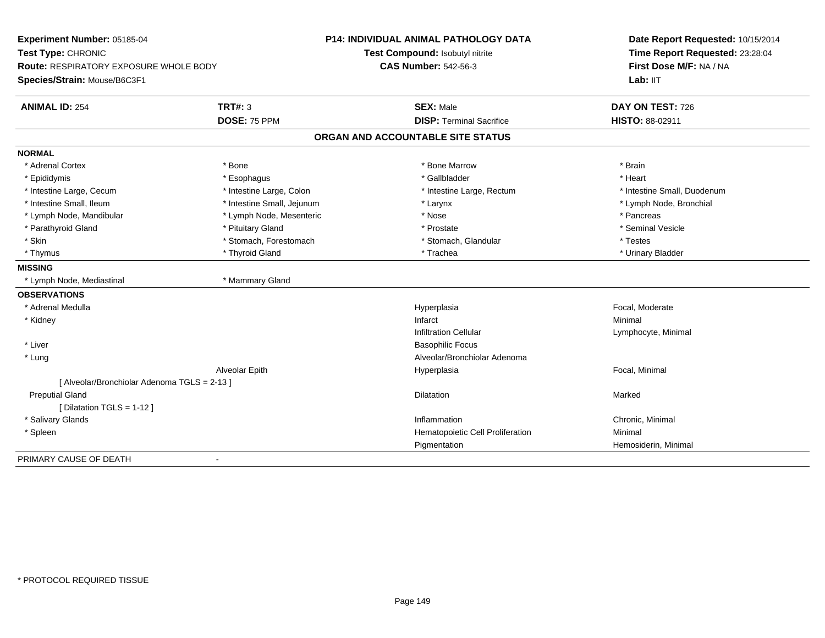| Experiment Number: 05185-04<br>Test Type: CHRONIC<br><b>Route: RESPIRATORY EXPOSURE WHOLE BODY</b> |                            | <b>P14: INDIVIDUAL ANIMAL PATHOLOGY DATA</b> | Date Report Requested: 10/15/2014<br>Time Report Requested: 23:28:04 |
|----------------------------------------------------------------------------------------------------|----------------------------|----------------------------------------------|----------------------------------------------------------------------|
|                                                                                                    |                            | Test Compound: Isobutyl nitrite              |                                                                      |
|                                                                                                    |                            | <b>CAS Number: 542-56-3</b>                  | First Dose M/F: NA / NA                                              |
| Species/Strain: Mouse/B6C3F1                                                                       |                            |                                              | Lab: IIT                                                             |
| <b>ANIMAL ID: 254</b>                                                                              | TRT#: 3                    | <b>SEX: Male</b>                             | DAY ON TEST: 726                                                     |
|                                                                                                    | DOSE: 75 PPM               | <b>DISP: Terminal Sacrifice</b>              | HISTO: 88-02911                                                      |
|                                                                                                    |                            | ORGAN AND ACCOUNTABLE SITE STATUS            |                                                                      |
| <b>NORMAL</b>                                                                                      |                            |                                              |                                                                      |
| * Adrenal Cortex                                                                                   | * Bone                     | * Bone Marrow                                | * Brain                                                              |
| * Epididymis                                                                                       | * Esophagus                | * Gallbladder                                | * Heart                                                              |
| * Intestine Large, Cecum                                                                           | * Intestine Large, Colon   | * Intestine Large, Rectum                    | * Intestine Small, Duodenum                                          |
| * Intestine Small, Ileum                                                                           | * Intestine Small, Jejunum | * Larynx                                     | * Lymph Node, Bronchial                                              |
| * Lymph Node, Mandibular                                                                           | * Lymph Node, Mesenteric   | * Nose                                       | * Pancreas                                                           |
| * Parathyroid Gland                                                                                | * Pituitary Gland          | * Prostate                                   | * Seminal Vesicle                                                    |
| * Skin                                                                                             | * Stomach, Forestomach     | * Stomach, Glandular                         | * Testes                                                             |
| * Thymus                                                                                           | * Thyroid Gland            | * Trachea                                    | * Urinary Bladder                                                    |
| <b>MISSING</b>                                                                                     |                            |                                              |                                                                      |
| * Lymph Node, Mediastinal                                                                          | * Mammary Gland            |                                              |                                                                      |
| <b>OBSERVATIONS</b>                                                                                |                            |                                              |                                                                      |
| * Adrenal Medulla                                                                                  |                            | Hyperplasia                                  | Focal, Moderate                                                      |
| * Kidney                                                                                           |                            | Infarct                                      | Minimal                                                              |
|                                                                                                    |                            | <b>Infiltration Cellular</b>                 | Lymphocyte, Minimal                                                  |
| * Liver                                                                                            |                            | <b>Basophilic Focus</b>                      |                                                                      |
| * Lung                                                                                             |                            | Alveolar/Bronchiolar Adenoma                 |                                                                      |
|                                                                                                    | Alveolar Epith             | Hyperplasia                                  | Focal, Minimal                                                       |
| [ Alveolar/Bronchiolar Adenoma TGLS = 2-13 ]                                                       |                            |                                              |                                                                      |
| <b>Preputial Gland</b>                                                                             |                            | Dilatation                                   | Marked                                                               |
| [ Dilatation TGLS = 1-12 ]                                                                         |                            |                                              |                                                                      |
| * Salivary Glands                                                                                  |                            | Inflammation                                 | Chronic, Minimal                                                     |
| * Spleen                                                                                           |                            | Hematopoietic Cell Proliferation             | Minimal                                                              |
|                                                                                                    |                            | Pigmentation                                 | Hemosiderin, Minimal                                                 |
| PRIMARY CAUSE OF DEATH                                                                             | $\blacksquare$             |                                              |                                                                      |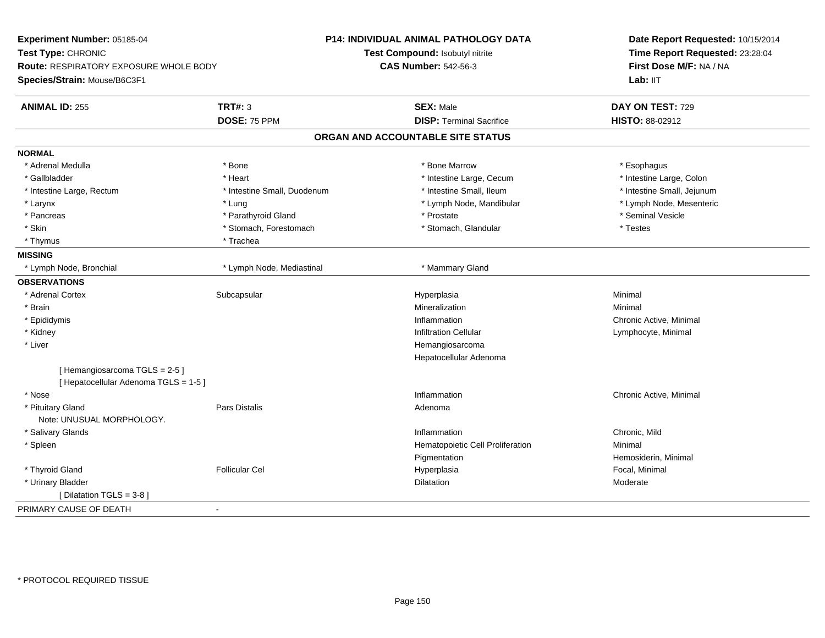| Experiment Number: 05185-04                                           |                             | P14: INDIVIDUAL ANIMAL PATHOLOGY DATA | Date Report Requested: 10/15/2014<br>Time Report Requested: 23:28:04 |  |
|-----------------------------------------------------------------------|-----------------------------|---------------------------------------|----------------------------------------------------------------------|--|
| Test Type: CHRONIC                                                    |                             | Test Compound: Isobutyl nitrite       |                                                                      |  |
| <b>Route: RESPIRATORY EXPOSURE WHOLE BODY</b>                         |                             | <b>CAS Number: 542-56-3</b>           | First Dose M/F: NA / NA                                              |  |
| Species/Strain: Mouse/B6C3F1                                          |                             |                                       | Lab: IIT                                                             |  |
| <b>ANIMAL ID: 255</b>                                                 | <b>TRT#: 3</b>              | <b>SEX: Male</b>                      | DAY ON TEST: 729                                                     |  |
|                                                                       | DOSE: 75 PPM                | <b>DISP: Terminal Sacrifice</b>       | HISTO: 88-02912                                                      |  |
|                                                                       |                             | ORGAN AND ACCOUNTABLE SITE STATUS     |                                                                      |  |
| <b>NORMAL</b>                                                         |                             |                                       |                                                                      |  |
| * Adrenal Medulla                                                     | * Bone                      | * Bone Marrow                         | * Esophagus                                                          |  |
| * Gallbladder                                                         | * Heart                     | * Intestine Large, Cecum              | * Intestine Large, Colon                                             |  |
| * Intestine Large, Rectum                                             | * Intestine Small, Duodenum | * Intestine Small, Ileum              | * Intestine Small, Jejunum                                           |  |
| * Larynx                                                              | * Lung                      | * Lymph Node, Mandibular              | * Lymph Node, Mesenteric                                             |  |
| * Pancreas                                                            | * Parathyroid Gland         | * Prostate                            | * Seminal Vesicle                                                    |  |
| * Skin                                                                | * Stomach, Forestomach      | * Stomach, Glandular                  | * Testes                                                             |  |
| * Thymus                                                              | * Trachea                   |                                       |                                                                      |  |
| <b>MISSING</b>                                                        |                             |                                       |                                                                      |  |
| * Lymph Node, Bronchial                                               | * Lymph Node, Mediastinal   | * Mammary Gland                       |                                                                      |  |
| <b>OBSERVATIONS</b>                                                   |                             |                                       |                                                                      |  |
| * Adrenal Cortex                                                      | Subcapsular                 | Hyperplasia                           | Minimal                                                              |  |
| * Brain                                                               |                             | Mineralization                        | Minimal                                                              |  |
| * Epididymis                                                          |                             | Inflammation                          | Chronic Active, Minimal                                              |  |
| * Kidney                                                              |                             | <b>Infiltration Cellular</b>          | Lymphocyte, Minimal                                                  |  |
| * Liver                                                               |                             | Hemangiosarcoma                       |                                                                      |  |
|                                                                       |                             | Hepatocellular Adenoma                |                                                                      |  |
| [Hemangiosarcoma TGLS = 2-5]<br>[ Hepatocellular Adenoma TGLS = 1-5 ] |                             |                                       |                                                                      |  |
| * Nose                                                                |                             | Inflammation                          | Chronic Active, Minimal                                              |  |
| * Pituitary Gland                                                     | Pars Distalis               | Adenoma                               |                                                                      |  |
| Note: UNUSUAL MORPHOLOGY.                                             |                             |                                       |                                                                      |  |
| * Salivary Glands                                                     |                             | Inflammation                          | Chronic, Mild                                                        |  |
| * Spleen                                                              |                             | Hematopoietic Cell Proliferation      | Minimal                                                              |  |
|                                                                       |                             | Pigmentation                          | Hemosiderin, Minimal                                                 |  |
| * Thyroid Gland                                                       | <b>Follicular Cel</b>       | Hyperplasia                           | Focal, Minimal                                                       |  |
| * Urinary Bladder                                                     |                             | <b>Dilatation</b>                     | Moderate                                                             |  |
| [ Dilatation TGLS = 3-8 ]                                             |                             |                                       |                                                                      |  |
| PRIMARY CAUSE OF DEATH                                                | $\blacksquare$              |                                       |                                                                      |  |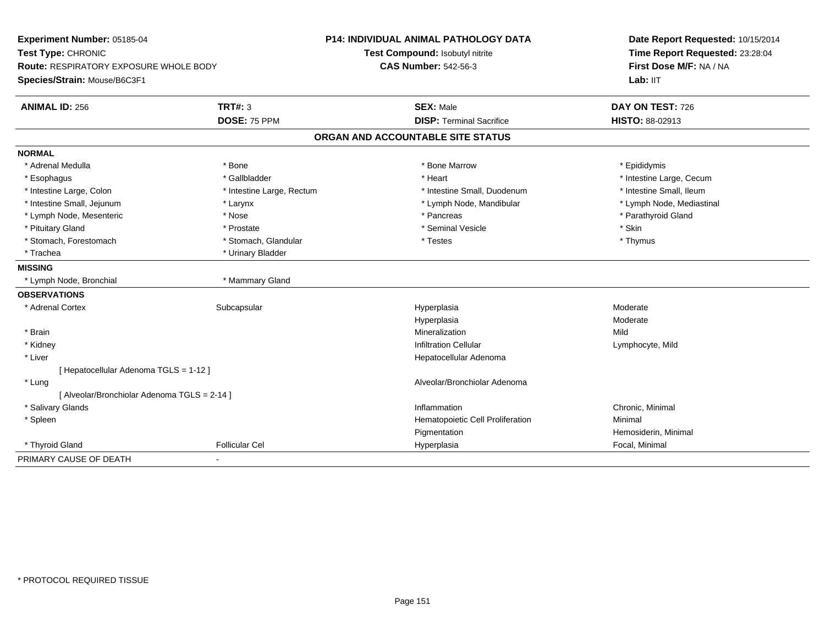| Experiment Number: 05185-04<br>Test Type: CHRONIC |                           | P14: INDIVIDUAL ANIMAL PATHOLOGY DATA | Date Report Requested: 10/15/2014<br>Time Report Requested: 23:28:04 |
|---------------------------------------------------|---------------------------|---------------------------------------|----------------------------------------------------------------------|
|                                                   |                           | Test Compound: Isobutyl nitrite       |                                                                      |
| Route: RESPIRATORY EXPOSURE WHOLE BODY            |                           | <b>CAS Number: 542-56-3</b>           | First Dose M/F: NA / NA                                              |
| Species/Strain: Mouse/B6C3F1                      |                           |                                       | Lab: IIT                                                             |
| <b>ANIMAL ID: 256</b>                             | TRT#: $3$                 | <b>SEX: Male</b>                      | DAY ON TEST: 726                                                     |
|                                                   | DOSE: 75 PPM              | <b>DISP: Terminal Sacrifice</b>       | HISTO: 88-02913                                                      |
|                                                   |                           | ORGAN AND ACCOUNTABLE SITE STATUS     |                                                                      |
| <b>NORMAL</b>                                     |                           |                                       |                                                                      |
| * Adrenal Medulla                                 | * Bone                    | * Bone Marrow                         | * Epididymis                                                         |
| * Esophagus                                       | * Gallbladder             | * Heart                               | * Intestine Large, Cecum                                             |
| * Intestine Large, Colon                          | * Intestine Large, Rectum | * Intestine Small, Duodenum           | * Intestine Small, Ileum                                             |
| * Intestine Small, Jejunum                        | * Larynx                  | * Lymph Node, Mandibular              | * Lymph Node, Mediastinal                                            |
| * Lymph Node, Mesenteric                          | * Nose                    | * Pancreas                            | * Parathyroid Gland                                                  |
| * Pituitary Gland                                 | * Prostate                | * Seminal Vesicle                     | * Skin                                                               |
| * Stomach, Forestomach                            | * Stomach, Glandular      | * Testes                              | * Thymus                                                             |
| * Trachea                                         | * Urinary Bladder         |                                       |                                                                      |
| <b>MISSING</b>                                    |                           |                                       |                                                                      |
| * Lymph Node, Bronchial                           | * Mammary Gland           |                                       |                                                                      |
| <b>OBSERVATIONS</b>                               |                           |                                       |                                                                      |
| * Adrenal Cortex                                  | Subcapsular               | Hyperplasia                           | Moderate                                                             |
|                                                   |                           | Hyperplasia                           | Moderate                                                             |
| * Brain                                           |                           | Mineralization                        | Mild                                                                 |
| * Kidney                                          |                           | <b>Infiltration Cellular</b>          | Lymphocyte, Mild                                                     |
| * Liver                                           |                           | Hepatocellular Adenoma                |                                                                      |
| [ Hepatocellular Adenoma TGLS = 1-12 ]            |                           |                                       |                                                                      |
| * Lung                                            |                           | Alveolar/Bronchiolar Adenoma          |                                                                      |
| [ Alveolar/Bronchiolar Adenoma TGLS = 2-14 ]      |                           |                                       |                                                                      |
| * Salivary Glands                                 |                           | Inflammation                          | Chronic, Minimal                                                     |
| * Spleen                                          |                           | Hematopoietic Cell Proliferation      | Minimal                                                              |
|                                                   |                           | Pigmentation                          | Hemosiderin, Minimal                                                 |
| * Thyroid Gland                                   | <b>Follicular Cel</b>     | Hyperplasia                           | Focal, Minimal                                                       |
| PRIMARY CAUSE OF DEATH                            |                           |                                       |                                                                      |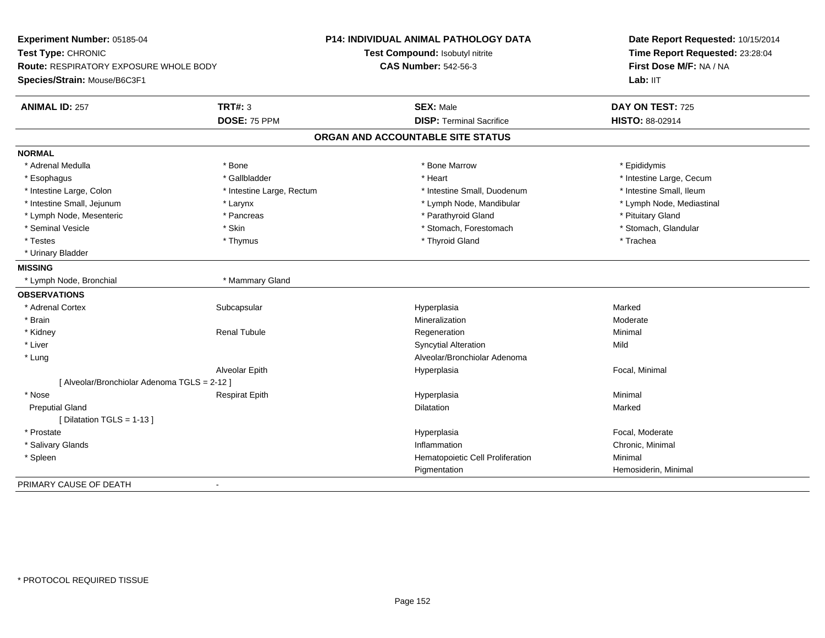| Experiment Number: 05185-04<br>Test Type: CHRONIC<br><b>Route: RESPIRATORY EXPOSURE WHOLE BODY</b><br>Species/Strain: Mouse/B6C3F1 |                           | <b>P14: INDIVIDUAL ANIMAL PATHOLOGY DATA</b><br>Test Compound: Isobutyl nitrite<br><b>CAS Number: 542-56-3</b> | Date Report Requested: 10/15/2014<br>Time Report Requested: 23:28:04<br>First Dose M/F: NA / NA<br>Lab: IIT |
|------------------------------------------------------------------------------------------------------------------------------------|---------------------------|----------------------------------------------------------------------------------------------------------------|-------------------------------------------------------------------------------------------------------------|
|                                                                                                                                    |                           |                                                                                                                |                                                                                                             |
| <b>ANIMAL ID: 257</b>                                                                                                              | <b>TRT#: 3</b>            | <b>SEX: Male</b>                                                                                               | DAY ON TEST: 725                                                                                            |
|                                                                                                                                    | DOSE: 75 PPM              | <b>DISP: Terminal Sacrifice</b>                                                                                | HISTO: 88-02914                                                                                             |
|                                                                                                                                    |                           | ORGAN AND ACCOUNTABLE SITE STATUS                                                                              |                                                                                                             |
| <b>NORMAL</b>                                                                                                                      |                           |                                                                                                                |                                                                                                             |
| * Adrenal Medulla                                                                                                                  | * Bone                    | * Bone Marrow                                                                                                  | * Epididymis                                                                                                |
| * Esophagus                                                                                                                        | * Gallbladder             | * Heart                                                                                                        | * Intestine Large, Cecum                                                                                    |
| * Intestine Large, Colon                                                                                                           | * Intestine Large, Rectum | * Intestine Small, Duodenum                                                                                    | * Intestine Small, Ileum                                                                                    |
| * Intestine Small, Jejunum                                                                                                         | * Larynx                  | * Lymph Node, Mandibular                                                                                       | * Lymph Node, Mediastinal                                                                                   |
| * Lymph Node, Mesenteric                                                                                                           | * Pancreas                | * Parathyroid Gland                                                                                            | * Pituitary Gland                                                                                           |
| * Seminal Vesicle                                                                                                                  | * Skin                    | * Stomach, Forestomach                                                                                         | * Stomach, Glandular                                                                                        |
| * Testes                                                                                                                           | * Thymus                  | * Thyroid Gland                                                                                                | * Trachea                                                                                                   |
| * Urinary Bladder                                                                                                                  |                           |                                                                                                                |                                                                                                             |
| <b>MISSING</b>                                                                                                                     |                           |                                                                                                                |                                                                                                             |
| * Lymph Node, Bronchial                                                                                                            | * Mammary Gland           |                                                                                                                |                                                                                                             |
| <b>OBSERVATIONS</b>                                                                                                                |                           |                                                                                                                |                                                                                                             |
| * Adrenal Cortex                                                                                                                   | Subcapsular               | Hyperplasia                                                                                                    | Marked                                                                                                      |
| $*$ Brain                                                                                                                          |                           | Mineralization                                                                                                 | Moderate                                                                                                    |
| * Kidney                                                                                                                           | <b>Renal Tubule</b>       | Regeneration                                                                                                   | Minimal                                                                                                     |
| * Liver                                                                                                                            |                           | <b>Syncytial Alteration</b>                                                                                    | Mild                                                                                                        |
| * Lung                                                                                                                             |                           | Alveolar/Bronchiolar Adenoma                                                                                   |                                                                                                             |
|                                                                                                                                    | Alveolar Epith            | Hyperplasia                                                                                                    | Focal, Minimal                                                                                              |
| [ Alveolar/Bronchiolar Adenoma TGLS = 2-12 ]                                                                                       |                           |                                                                                                                |                                                                                                             |
| * Nose                                                                                                                             | <b>Respirat Epith</b>     | Hyperplasia                                                                                                    | Minimal                                                                                                     |
| <b>Preputial Gland</b>                                                                                                             |                           | Dilatation                                                                                                     | Marked                                                                                                      |
| [ Dilatation TGLS = 1-13 ]                                                                                                         |                           |                                                                                                                |                                                                                                             |
| * Prostate                                                                                                                         |                           | Hyperplasia                                                                                                    | Focal, Moderate                                                                                             |
| * Salivary Glands                                                                                                                  |                           | Inflammation                                                                                                   | Chronic, Minimal                                                                                            |
| * Spleen                                                                                                                           |                           | Hematopoietic Cell Proliferation                                                                               | Minimal                                                                                                     |
|                                                                                                                                    |                           | Pigmentation                                                                                                   | Hemosiderin, Minimal                                                                                        |
| PRIMARY CAUSE OF DEATH                                                                                                             | $\blacksquare$            |                                                                                                                |                                                                                                             |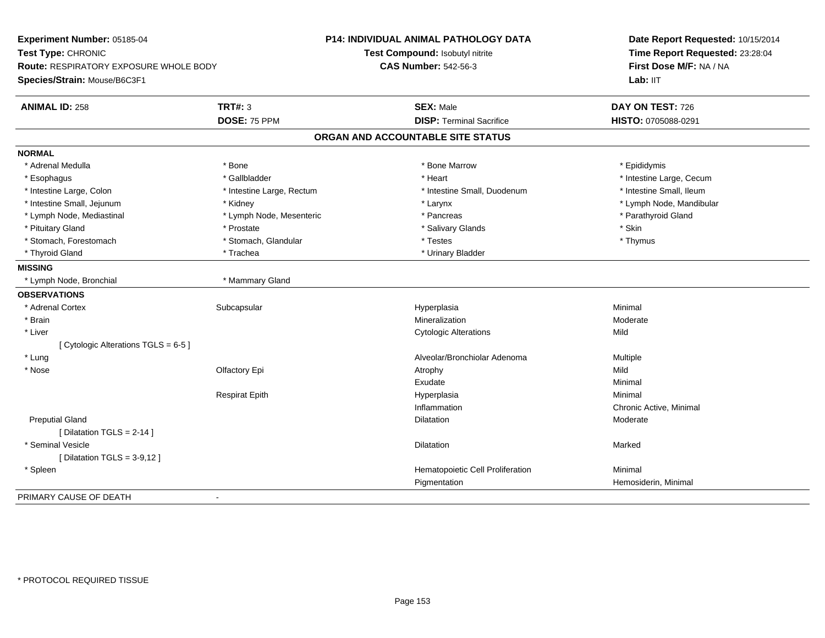**Experiment Number:** 05185-04**Test Type:** CHRONIC **Route:** RESPIRATORY EXPOSURE WHOLE BODY**Species/Strain:** Mouse/B6C3F1**P14: INDIVIDUAL ANIMAL PATHOLOGY DATATest Compound:** Isobutyl nitrite**CAS Number:** 542-56-3**Date Report Requested:** 10/15/2014**Time Report Requested:** 23:28:04**First Dose M/F:** NA / NALab: IIT **ANIMAL ID:** 258**TRT#:** 3 **SEX:** Male **DAY ON TEST:** 726 **DOSE:** 75 PPM **DISP:** Terminal Sacrifice **HISTO:** 0705088-0291 **ORGAN AND ACCOUNTABLE SITE STATUSNORMAL**\* Adrenal Medulla \* Adrenal Medulla \* \* The matter of the state of the state of the Marrow \* Bone Marrow \* Adrenal Medulla \* Epididymis \* Epididymis \* Bone Marrow \* Adrenal Medulla \* Epididymis \* Epididymis \* Epididymis \* Epididymis \* Epidi \* Esophagus \* https://www.fragustage.com/web/2019/heart \* Heart \* Heart \* Heart \* Intestine Large, Cecum \* Intestine Large, Cecum \* Gallbladder \* Callbladder \* 11 and 12 and 12 and 12 and 12 and 12 and 12 and 12 and 12 and \* Intestine Small, Ileum \* Intestine Large, Colon \* Intestine Large, Rectum \* Intestine Small, Duodenum \* Intestine Small, Duodenum \* Intestine Small, Jejunum \* Kidney \* Larynx \* Lymph Node, Mandibular\* Lymph Node, Mediastinal \* Lymph Node, Mesenteric \* \* Pancreas \* Pancreas \* Pancreas \* Parathyroid Gland \* Pituitary Gland \* \* \* Prostate \* \* Prostate \* \* Salivary Glands \* \* Stin \* \* Skin \* Thymus \* Stomach, Forestomach \* Testes \* Stomach, Glandular \* Testes \* Testes \* Testes \* Testes \* Testes \* Testes \* T \* Thyroid Gland \* Trachea \* Trachea \* Trachea \* Urinary Bladder **MISSING** \* Lymph Node, Bronchial \* Mammary Gland**OBSERVATIONS** \* Adrenal Cortexx Subcapsular Subcapsular Subsets and Hyperplasia a **Minimal**  \* Brainn and the controller of the controller of the Mineralization and the Moderate of the Moderate of the Moderate  $\sim$  Moderate of the controller of the controller of the controller of the controller of the controller of the c \* Liver Cytologic Alterationss Mild [ Cytologic Alterations TGLS = 6-5 ] \* LungAlveolar/Bronchiolar Adenoma<br>
Alveolar/Bronchiolar Adenoma<br>
Mild Mild \* Nosee and the Colfactory Epi Atrophy Atrophy Atrophy Atrophy Atrophy Atrophy Mild Exudatee Minimal Respirat Epithh anns an t-Imperplasia anns an t-Imperplasia anns an t-Imperplasia anns an t-Imperplasia anns an t-Imperplasi<br>Iomraidhean Inflammation Chronic Active, Minimal Preputial Glandd and the control of the control of the control of the control of the control of the control of the control of the control of the control of the control of the control of the control of the control of the control of the co [ Dilatation TGLS = 2-14 ] \* Seminal Vesiclee and the state of the state of the state of the Marked School and the Marked School and the Marked School and  $[$  Dilatation TGLS = 3-9,12  $]$  \* SpleenHematopoietic Cell Proliferation Minimal Pigmentation Hemosiderin, Minimal PRIMARY CAUSE OF DEATH-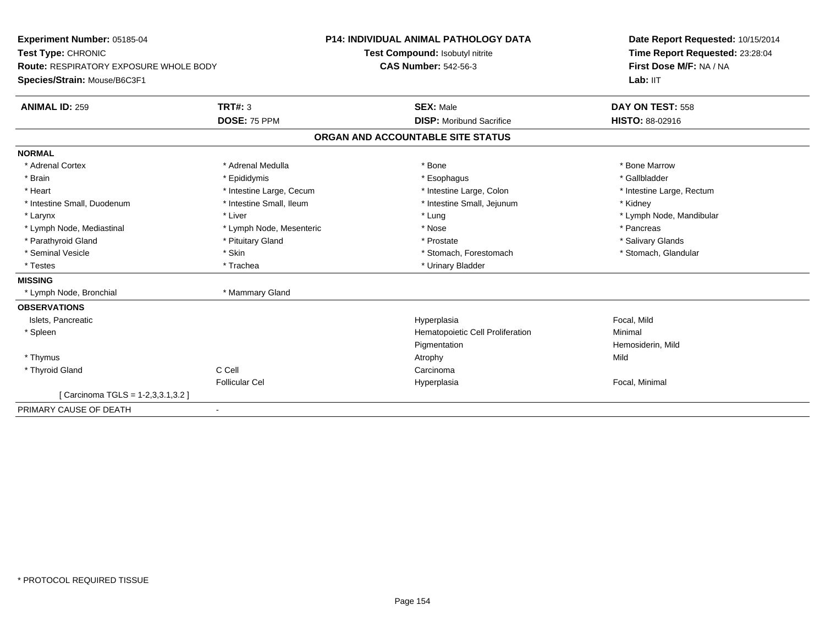| Experiment Number: 05185-04            |                          | <b>P14: INDIVIDUAL ANIMAL PATHOLOGY DATA</b> | Date Report Requested: 10/15/2014 |
|----------------------------------------|--------------------------|----------------------------------------------|-----------------------------------|
| Test Type: CHRONIC                     |                          | Test Compound: Isobutyl nitrite              | Time Report Requested: 23:28:04   |
| Route: RESPIRATORY EXPOSURE WHOLE BODY |                          | <b>CAS Number: 542-56-3</b>                  | First Dose M/F: NA / NA           |
| Species/Strain: Mouse/B6C3F1           |                          |                                              | Lab: IIT                          |
| <b>ANIMAL ID: 259</b>                  | <b>TRT#: 3</b>           | <b>SEX: Male</b>                             | DAY ON TEST: 558                  |
|                                        | DOSE: 75 PPM             | <b>DISP: Moribund Sacrifice</b>              | <b>HISTO: 88-02916</b>            |
|                                        |                          | ORGAN AND ACCOUNTABLE SITE STATUS            |                                   |
| <b>NORMAL</b>                          |                          |                                              |                                   |
| * Adrenal Cortex                       | * Adrenal Medulla        | * Bone                                       | * Bone Marrow                     |
| * Brain                                | * Epididymis             | * Esophagus                                  | * Gallbladder                     |
| * Heart                                | * Intestine Large, Cecum | * Intestine Large, Colon                     | * Intestine Large, Rectum         |
| * Intestine Small, Duodenum            | * Intestine Small, Ileum | * Intestine Small, Jejunum                   | * Kidney                          |
| * Larynx                               | * Liver                  | * Lung                                       | * Lymph Node, Mandibular          |
| * Lymph Node, Mediastinal              | * Lymph Node, Mesenteric | * Nose                                       | * Pancreas                        |
| * Parathyroid Gland                    | * Pituitary Gland        | * Prostate                                   | * Salivary Glands                 |
| * Seminal Vesicle                      | * Skin                   | * Stomach, Forestomach                       | * Stomach, Glandular              |
| * Testes                               | * Trachea                | * Urinary Bladder                            |                                   |
| <b>MISSING</b>                         |                          |                                              |                                   |
| * Lymph Node, Bronchial                | * Mammary Gland          |                                              |                                   |
| <b>OBSERVATIONS</b>                    |                          |                                              |                                   |
| Islets, Pancreatic                     |                          | Hyperplasia                                  | Focal, Mild                       |
| * Spleen                               |                          | Hematopoietic Cell Proliferation             | Minimal                           |
|                                        |                          | Pigmentation                                 | Hemosiderin, Mild                 |
| * Thymus                               |                          | Atrophy                                      | Mild                              |
| * Thyroid Gland                        | C Cell                   | Carcinoma                                    |                                   |
|                                        | <b>Follicular Cel</b>    | Hyperplasia                                  | Focal, Minimal                    |
| [Carcinoma TGLS = 1-2,3,3.1,3.2]       |                          |                                              |                                   |
| PRIMARY CAUSE OF DEATH                 | $\overline{\phantom{a}}$ |                                              |                                   |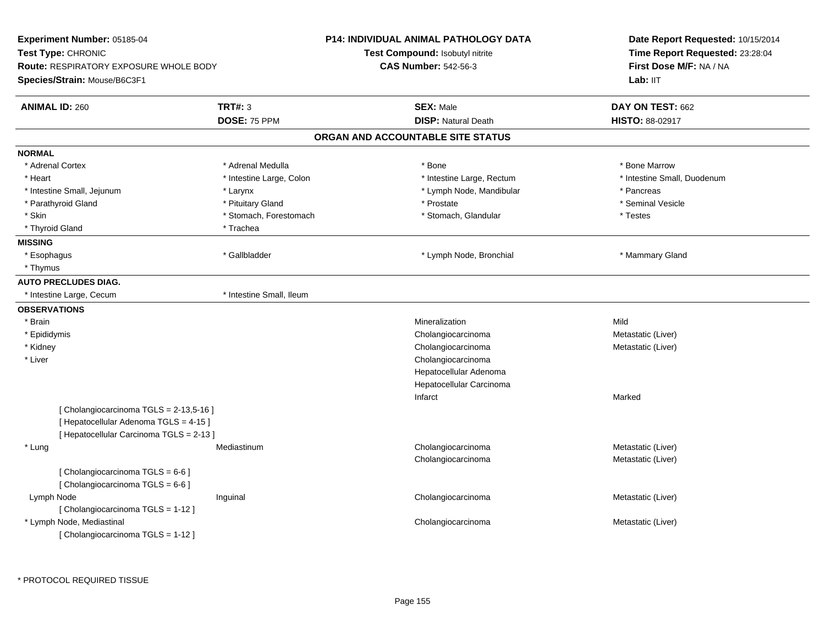| Time Report Requested: 23:28:04<br>Test Compound: Isobutyl nitrite<br><b>CAS Number: 542-56-3</b><br>First Dose M/F: NA / NA<br>Lab: IIT<br>Species/Strain: Mouse/B6C3F1<br><b>TRT#: 3</b><br><b>ANIMAL ID: 260</b><br><b>SEX: Male</b><br>DAY ON TEST: 662<br>DOSE: 75 PPM<br><b>DISP: Natural Death</b><br>HISTO: 88-02917<br>ORGAN AND ACCOUNTABLE SITE STATUS<br><b>NORMAL</b><br>* Adrenal Medulla<br>* Bone Marrow<br>* Adrenal Cortex<br>* Bone<br>* Heart<br>* Intestine Large, Colon<br>* Intestine Large, Rectum<br>* Intestine Small, Duodenum<br>* Lymph Node, Mandibular<br>* Intestine Small, Jejunum<br>* Larynx<br>* Pancreas<br>* Pituitary Gland<br>* Prostate<br>* Seminal Vesicle<br>* Parathyroid Gland<br>* Skin<br>* Stomach, Forestomach<br>* Stomach, Glandular<br>* Testes<br>* Thyroid Gland<br>* Trachea<br><b>MISSING</b><br>* Gallbladder<br>* Mammary Gland<br>* Esophagus<br>* Lymph Node, Bronchial<br>* Thymus<br><b>AUTO PRECLUDES DIAG.</b><br>* Intestine Small, Ileum<br>* Intestine Large, Cecum<br><b>OBSERVATIONS</b><br>* Brain<br>Mineralization<br>Mild<br>* Epididymis<br>Cholangiocarcinoma<br>Metastatic (Liver)<br>* Kidney<br>Cholangiocarcinoma<br>Metastatic (Liver)<br>* Liver<br>Cholangiocarcinoma<br>Hepatocellular Adenoma<br>Hepatocellular Carcinoma<br>Infarct<br>Marked<br>[Cholangiocarcinoma TGLS = 2-13,5-16]<br>[ Hepatocellular Adenoma TGLS = 4-15 ]<br>[ Hepatocellular Carcinoma TGLS = 2-13 ]<br>* Lung<br>Cholangiocarcinoma<br>Metastatic (Liver)<br>Mediastinum<br>Metastatic (Liver)<br>Cholangiocarcinoma<br>[ Cholangiocarcinoma TGLS = 6-6 ]<br>[ Cholangiocarcinoma TGLS = 6-6 ]<br>Lymph Node<br>Inguinal<br>Cholangiocarcinoma<br>Metastatic (Liver)<br>[ Cholangiocarcinoma TGLS = 1-12 ]<br>* Lymph Node, Mediastinal<br>Cholangiocarcinoma<br>Metastatic (Liver) | Experiment Number: 05185-04                                  |  | P14: INDIVIDUAL ANIMAL PATHOLOGY DATA | Date Report Requested: 10/15/2014 |  |
|----------------------------------------------------------------------------------------------------------------------------------------------------------------------------------------------------------------------------------------------------------------------------------------------------------------------------------------------------------------------------------------------------------------------------------------------------------------------------------------------------------------------------------------------------------------------------------------------------------------------------------------------------------------------------------------------------------------------------------------------------------------------------------------------------------------------------------------------------------------------------------------------------------------------------------------------------------------------------------------------------------------------------------------------------------------------------------------------------------------------------------------------------------------------------------------------------------------------------------------------------------------------------------------------------------------------------------------------------------------------------------------------------------------------------------------------------------------------------------------------------------------------------------------------------------------------------------------------------------------------------------------------------------------------------------------------------------------------------------------------------------------------------------------------------------------------------------------------------|--------------------------------------------------------------|--|---------------------------------------|-----------------------------------|--|
|                                                                                                                                                                                                                                                                                                                                                                                                                                                                                                                                                                                                                                                                                                                                                                                                                                                                                                                                                                                                                                                                                                                                                                                                                                                                                                                                                                                                                                                                                                                                                                                                                                                                                                                                                                                                                                                    | Test Type: CHRONIC<br>Route: RESPIRATORY EXPOSURE WHOLE BODY |  |                                       |                                   |  |
|                                                                                                                                                                                                                                                                                                                                                                                                                                                                                                                                                                                                                                                                                                                                                                                                                                                                                                                                                                                                                                                                                                                                                                                                                                                                                                                                                                                                                                                                                                                                                                                                                                                                                                                                                                                                                                                    |                                                              |  |                                       |                                   |  |
|                                                                                                                                                                                                                                                                                                                                                                                                                                                                                                                                                                                                                                                                                                                                                                                                                                                                                                                                                                                                                                                                                                                                                                                                                                                                                                                                                                                                                                                                                                                                                                                                                                                                                                                                                                                                                                                    |                                                              |  |                                       |                                   |  |
|                                                                                                                                                                                                                                                                                                                                                                                                                                                                                                                                                                                                                                                                                                                                                                                                                                                                                                                                                                                                                                                                                                                                                                                                                                                                                                                                                                                                                                                                                                                                                                                                                                                                                                                                                                                                                                                    |                                                              |  |                                       |                                   |  |
|                                                                                                                                                                                                                                                                                                                                                                                                                                                                                                                                                                                                                                                                                                                                                                                                                                                                                                                                                                                                                                                                                                                                                                                                                                                                                                                                                                                                                                                                                                                                                                                                                                                                                                                                                                                                                                                    |                                                              |  |                                       |                                   |  |
|                                                                                                                                                                                                                                                                                                                                                                                                                                                                                                                                                                                                                                                                                                                                                                                                                                                                                                                                                                                                                                                                                                                                                                                                                                                                                                                                                                                                                                                                                                                                                                                                                                                                                                                                                                                                                                                    |                                                              |  |                                       |                                   |  |
|                                                                                                                                                                                                                                                                                                                                                                                                                                                                                                                                                                                                                                                                                                                                                                                                                                                                                                                                                                                                                                                                                                                                                                                                                                                                                                                                                                                                                                                                                                                                                                                                                                                                                                                                                                                                                                                    |                                                              |  |                                       |                                   |  |
|                                                                                                                                                                                                                                                                                                                                                                                                                                                                                                                                                                                                                                                                                                                                                                                                                                                                                                                                                                                                                                                                                                                                                                                                                                                                                                                                                                                                                                                                                                                                                                                                                                                                                                                                                                                                                                                    |                                                              |  |                                       |                                   |  |
|                                                                                                                                                                                                                                                                                                                                                                                                                                                                                                                                                                                                                                                                                                                                                                                                                                                                                                                                                                                                                                                                                                                                                                                                                                                                                                                                                                                                                                                                                                                                                                                                                                                                                                                                                                                                                                                    |                                                              |  |                                       |                                   |  |
|                                                                                                                                                                                                                                                                                                                                                                                                                                                                                                                                                                                                                                                                                                                                                                                                                                                                                                                                                                                                                                                                                                                                                                                                                                                                                                                                                                                                                                                                                                                                                                                                                                                                                                                                                                                                                                                    |                                                              |  |                                       |                                   |  |
|                                                                                                                                                                                                                                                                                                                                                                                                                                                                                                                                                                                                                                                                                                                                                                                                                                                                                                                                                                                                                                                                                                                                                                                                                                                                                                                                                                                                                                                                                                                                                                                                                                                                                                                                                                                                                                                    |                                                              |  |                                       |                                   |  |
|                                                                                                                                                                                                                                                                                                                                                                                                                                                                                                                                                                                                                                                                                                                                                                                                                                                                                                                                                                                                                                                                                                                                                                                                                                                                                                                                                                                                                                                                                                                                                                                                                                                                                                                                                                                                                                                    |                                                              |  |                                       |                                   |  |
|                                                                                                                                                                                                                                                                                                                                                                                                                                                                                                                                                                                                                                                                                                                                                                                                                                                                                                                                                                                                                                                                                                                                                                                                                                                                                                                                                                                                                                                                                                                                                                                                                                                                                                                                                                                                                                                    |                                                              |  |                                       |                                   |  |
|                                                                                                                                                                                                                                                                                                                                                                                                                                                                                                                                                                                                                                                                                                                                                                                                                                                                                                                                                                                                                                                                                                                                                                                                                                                                                                                                                                                                                                                                                                                                                                                                                                                                                                                                                                                                                                                    |                                                              |  |                                       |                                   |  |
|                                                                                                                                                                                                                                                                                                                                                                                                                                                                                                                                                                                                                                                                                                                                                                                                                                                                                                                                                                                                                                                                                                                                                                                                                                                                                                                                                                                                                                                                                                                                                                                                                                                                                                                                                                                                                                                    |                                                              |  |                                       |                                   |  |
|                                                                                                                                                                                                                                                                                                                                                                                                                                                                                                                                                                                                                                                                                                                                                                                                                                                                                                                                                                                                                                                                                                                                                                                                                                                                                                                                                                                                                                                                                                                                                                                                                                                                                                                                                                                                                                                    |                                                              |  |                                       |                                   |  |
|                                                                                                                                                                                                                                                                                                                                                                                                                                                                                                                                                                                                                                                                                                                                                                                                                                                                                                                                                                                                                                                                                                                                                                                                                                                                                                                                                                                                                                                                                                                                                                                                                                                                                                                                                                                                                                                    |                                                              |  |                                       |                                   |  |
|                                                                                                                                                                                                                                                                                                                                                                                                                                                                                                                                                                                                                                                                                                                                                                                                                                                                                                                                                                                                                                                                                                                                                                                                                                                                                                                                                                                                                                                                                                                                                                                                                                                                                                                                                                                                                                                    |                                                              |  |                                       |                                   |  |
|                                                                                                                                                                                                                                                                                                                                                                                                                                                                                                                                                                                                                                                                                                                                                                                                                                                                                                                                                                                                                                                                                                                                                                                                                                                                                                                                                                                                                                                                                                                                                                                                                                                                                                                                                                                                                                                    |                                                              |  |                                       |                                   |  |
|                                                                                                                                                                                                                                                                                                                                                                                                                                                                                                                                                                                                                                                                                                                                                                                                                                                                                                                                                                                                                                                                                                                                                                                                                                                                                                                                                                                                                                                                                                                                                                                                                                                                                                                                                                                                                                                    |                                                              |  |                                       |                                   |  |
|                                                                                                                                                                                                                                                                                                                                                                                                                                                                                                                                                                                                                                                                                                                                                                                                                                                                                                                                                                                                                                                                                                                                                                                                                                                                                                                                                                                                                                                                                                                                                                                                                                                                                                                                                                                                                                                    |                                                              |  |                                       |                                   |  |
|                                                                                                                                                                                                                                                                                                                                                                                                                                                                                                                                                                                                                                                                                                                                                                                                                                                                                                                                                                                                                                                                                                                                                                                                                                                                                                                                                                                                                                                                                                                                                                                                                                                                                                                                                                                                                                                    |                                                              |  |                                       |                                   |  |
|                                                                                                                                                                                                                                                                                                                                                                                                                                                                                                                                                                                                                                                                                                                                                                                                                                                                                                                                                                                                                                                                                                                                                                                                                                                                                                                                                                                                                                                                                                                                                                                                                                                                                                                                                                                                                                                    |                                                              |  |                                       |                                   |  |
|                                                                                                                                                                                                                                                                                                                                                                                                                                                                                                                                                                                                                                                                                                                                                                                                                                                                                                                                                                                                                                                                                                                                                                                                                                                                                                                                                                                                                                                                                                                                                                                                                                                                                                                                                                                                                                                    |                                                              |  |                                       |                                   |  |
|                                                                                                                                                                                                                                                                                                                                                                                                                                                                                                                                                                                                                                                                                                                                                                                                                                                                                                                                                                                                                                                                                                                                                                                                                                                                                                                                                                                                                                                                                                                                                                                                                                                                                                                                                                                                                                                    |                                                              |  |                                       |                                   |  |
|                                                                                                                                                                                                                                                                                                                                                                                                                                                                                                                                                                                                                                                                                                                                                                                                                                                                                                                                                                                                                                                                                                                                                                                                                                                                                                                                                                                                                                                                                                                                                                                                                                                                                                                                                                                                                                                    |                                                              |  |                                       |                                   |  |
|                                                                                                                                                                                                                                                                                                                                                                                                                                                                                                                                                                                                                                                                                                                                                                                                                                                                                                                                                                                                                                                                                                                                                                                                                                                                                                                                                                                                                                                                                                                                                                                                                                                                                                                                                                                                                                                    |                                                              |  |                                       |                                   |  |
|                                                                                                                                                                                                                                                                                                                                                                                                                                                                                                                                                                                                                                                                                                                                                                                                                                                                                                                                                                                                                                                                                                                                                                                                                                                                                                                                                                                                                                                                                                                                                                                                                                                                                                                                                                                                                                                    |                                                              |  |                                       |                                   |  |
|                                                                                                                                                                                                                                                                                                                                                                                                                                                                                                                                                                                                                                                                                                                                                                                                                                                                                                                                                                                                                                                                                                                                                                                                                                                                                                                                                                                                                                                                                                                                                                                                                                                                                                                                                                                                                                                    |                                                              |  |                                       |                                   |  |
|                                                                                                                                                                                                                                                                                                                                                                                                                                                                                                                                                                                                                                                                                                                                                                                                                                                                                                                                                                                                                                                                                                                                                                                                                                                                                                                                                                                                                                                                                                                                                                                                                                                                                                                                                                                                                                                    |                                                              |  |                                       |                                   |  |
|                                                                                                                                                                                                                                                                                                                                                                                                                                                                                                                                                                                                                                                                                                                                                                                                                                                                                                                                                                                                                                                                                                                                                                                                                                                                                                                                                                                                                                                                                                                                                                                                                                                                                                                                                                                                                                                    |                                                              |  |                                       |                                   |  |
|                                                                                                                                                                                                                                                                                                                                                                                                                                                                                                                                                                                                                                                                                                                                                                                                                                                                                                                                                                                                                                                                                                                                                                                                                                                                                                                                                                                                                                                                                                                                                                                                                                                                                                                                                                                                                                                    |                                                              |  |                                       |                                   |  |
|                                                                                                                                                                                                                                                                                                                                                                                                                                                                                                                                                                                                                                                                                                                                                                                                                                                                                                                                                                                                                                                                                                                                                                                                                                                                                                                                                                                                                                                                                                                                                                                                                                                                                                                                                                                                                                                    |                                                              |  |                                       |                                   |  |
|                                                                                                                                                                                                                                                                                                                                                                                                                                                                                                                                                                                                                                                                                                                                                                                                                                                                                                                                                                                                                                                                                                                                                                                                                                                                                                                                                                                                                                                                                                                                                                                                                                                                                                                                                                                                                                                    |                                                              |  |                                       |                                   |  |
|                                                                                                                                                                                                                                                                                                                                                                                                                                                                                                                                                                                                                                                                                                                                                                                                                                                                                                                                                                                                                                                                                                                                                                                                                                                                                                                                                                                                                                                                                                                                                                                                                                                                                                                                                                                                                                                    |                                                              |  |                                       |                                   |  |
|                                                                                                                                                                                                                                                                                                                                                                                                                                                                                                                                                                                                                                                                                                                                                                                                                                                                                                                                                                                                                                                                                                                                                                                                                                                                                                                                                                                                                                                                                                                                                                                                                                                                                                                                                                                                                                                    | [ Cholangiocarcinoma TGLS = 1-12 ]                           |  |                                       |                                   |  |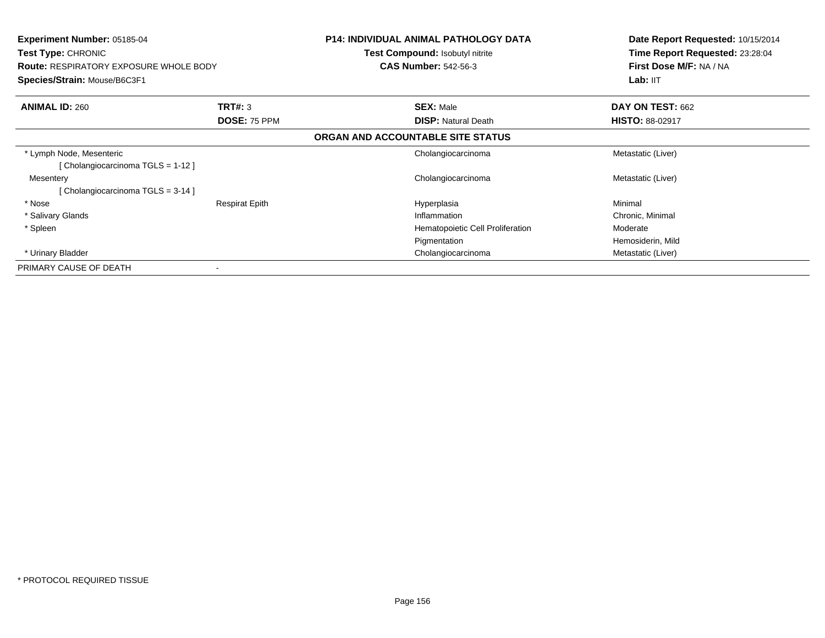| <b>Experiment Number: 05185-04</b><br><b>Test Type: CHRONIC</b><br><b>Route: RESPIRATORY EXPOSURE WHOLE BODY</b><br>Species/Strain: Mouse/B6C3F1 |                       | <b>P14: INDIVIDUAL ANIMAL PATHOLOGY DATA</b><br>Test Compound: Isobutyl nitrite<br><b>CAS Number: 542-56-3</b> | Date Report Requested: 10/15/2014<br>Time Report Requested: 23:28:04<br>First Dose M/F: NA / NA |
|--------------------------------------------------------------------------------------------------------------------------------------------------|-----------------------|----------------------------------------------------------------------------------------------------------------|-------------------------------------------------------------------------------------------------|
|                                                                                                                                                  |                       |                                                                                                                | Lab: IIT                                                                                        |
| <b>ANIMAL ID: 260</b>                                                                                                                            | <b>TRT#: 3</b>        | <b>SEX: Male</b>                                                                                               | DAY ON TEST: 662                                                                                |
|                                                                                                                                                  | DOSE: 75 PPM          | <b>DISP: Natural Death</b>                                                                                     | <b>HISTO: 88-02917</b>                                                                          |
|                                                                                                                                                  |                       | ORGAN AND ACCOUNTABLE SITE STATUS                                                                              |                                                                                                 |
| * Lymph Node, Mesenteric                                                                                                                         |                       | Cholangiocarcinoma                                                                                             | Metastatic (Liver)                                                                              |
| [Cholangiocarcinoma TGLS = 1-12]                                                                                                                 |                       |                                                                                                                |                                                                                                 |
| Mesentery                                                                                                                                        |                       | Cholangiocarcinoma                                                                                             | Metastatic (Liver)                                                                              |
| Cholangiocarcinoma TGLS = 3-14 ]                                                                                                                 |                       |                                                                                                                |                                                                                                 |
| * Nose                                                                                                                                           | <b>Respirat Epith</b> | Hyperplasia                                                                                                    | Minimal                                                                                         |
| * Salivary Glands                                                                                                                                |                       | Inflammation                                                                                                   | Chronic, Minimal                                                                                |
| * Spleen                                                                                                                                         |                       | Hematopoietic Cell Proliferation                                                                               | Moderate                                                                                        |
|                                                                                                                                                  |                       | Pigmentation                                                                                                   | Hemosiderin, Mild                                                                               |
| * Urinary Bladder                                                                                                                                |                       | Cholangiocarcinoma                                                                                             | Metastatic (Liver)                                                                              |
| PRIMARY CAUSE OF DEATH                                                                                                                           |                       |                                                                                                                |                                                                                                 |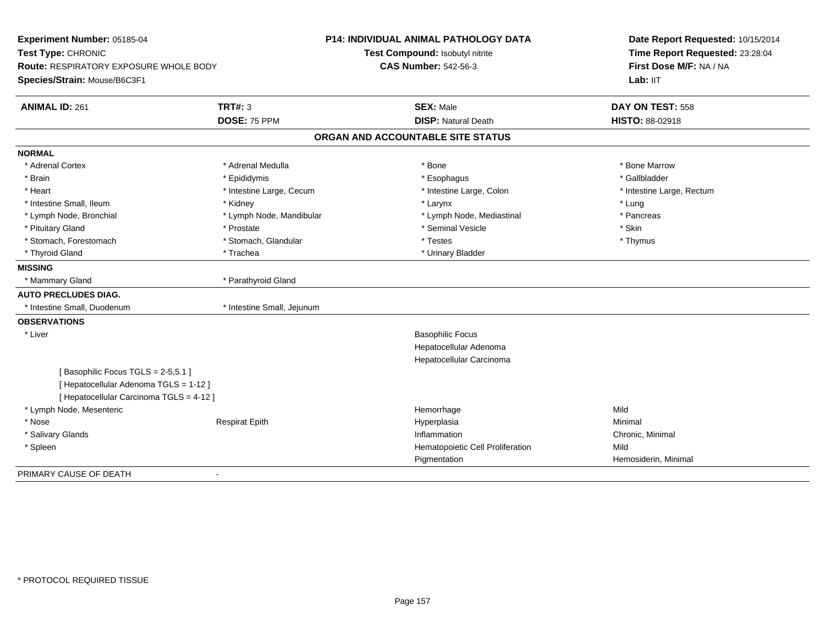| Experiment Number: 05185-04                   |                            | <b>P14: INDIVIDUAL ANIMAL PATHOLOGY DATA</b> | Date Report Requested: 10/15/2014 |
|-----------------------------------------------|----------------------------|----------------------------------------------|-----------------------------------|
| Test Type: CHRONIC                            |                            | Test Compound: Isobutyl nitrite              | Time Report Requested: 23:28:04   |
| <b>Route: RESPIRATORY EXPOSURE WHOLE BODY</b> |                            | <b>CAS Number: 542-56-3</b>                  | First Dose M/F: NA / NA           |
| Species/Strain: Mouse/B6C3F1                  |                            |                                              | Lab: IIT                          |
| <b>ANIMAL ID: 261</b>                         | TRT#: 3                    | <b>SEX: Male</b>                             | DAY ON TEST: 558                  |
|                                               | DOSE: 75 PPM               | <b>DISP: Natural Death</b>                   | <b>HISTO: 88-02918</b>            |
|                                               |                            | ORGAN AND ACCOUNTABLE SITE STATUS            |                                   |
| <b>NORMAL</b>                                 |                            |                                              |                                   |
| * Adrenal Cortex                              | * Adrenal Medulla          | * Bone                                       | * Bone Marrow                     |
| * Brain                                       | * Epididymis               | * Esophagus                                  | * Gallbladder                     |
| * Heart                                       | * Intestine Large, Cecum   | * Intestine Large, Colon                     | * Intestine Large, Rectum         |
| * Intestine Small, Ileum                      | * Kidney                   | * Larynx                                     | * Lung                            |
| * Lymph Node, Bronchial                       | * Lymph Node, Mandibular   | * Lymph Node, Mediastinal                    | * Pancreas                        |
| * Pituitary Gland                             | * Prostate                 | * Seminal Vesicle                            | * Skin                            |
| * Stomach, Forestomach                        | * Stomach, Glandular       | * Testes                                     | * Thymus                          |
| * Thyroid Gland                               | * Trachea                  | * Urinary Bladder                            |                                   |
| <b>MISSING</b>                                |                            |                                              |                                   |
| * Mammary Gland                               | * Parathyroid Gland        |                                              |                                   |
| <b>AUTO PRECLUDES DIAG.</b>                   |                            |                                              |                                   |
| * Intestine Small, Duodenum                   | * Intestine Small, Jejunum |                                              |                                   |
| <b>OBSERVATIONS</b>                           |                            |                                              |                                   |
| * Liver                                       |                            | <b>Basophilic Focus</b>                      |                                   |
|                                               |                            | Hepatocellular Adenoma                       |                                   |
|                                               |                            | Hepatocellular Carcinoma                     |                                   |
| [Basophilic Focus TGLS = 2-5,5.1]             |                            |                                              |                                   |
| [ Hepatocellular Adenoma TGLS = 1-12 ]        |                            |                                              |                                   |
| [ Hepatocellular Carcinoma TGLS = 4-12 ]      |                            |                                              |                                   |
| * Lymph Node, Mesenteric                      |                            | Hemorrhage                                   | Mild                              |
| * Nose                                        | <b>Respirat Epith</b>      | Hyperplasia                                  | Minimal                           |
| * Salivary Glands                             |                            | Inflammation                                 | Chronic, Minimal                  |
| * Spleen                                      |                            | Hematopoietic Cell Proliferation             | Mild                              |
|                                               |                            | Pigmentation                                 | Hemosiderin, Minimal              |
| PRIMARY CAUSE OF DEATH                        |                            |                                              |                                   |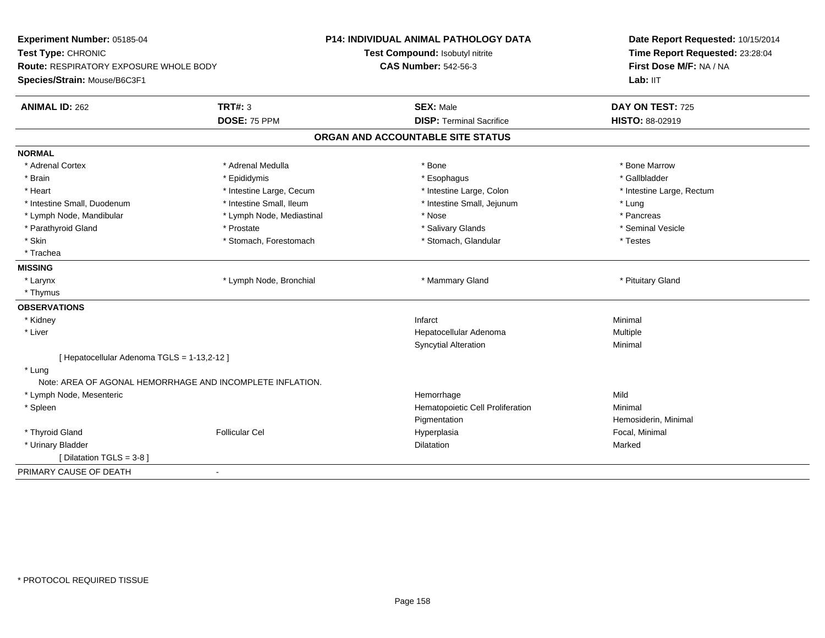| Experiment Number: 05185-04                               |                           | <b>P14: INDIVIDUAL ANIMAL PATHOLOGY DATA</b> | Date Report Requested: 10/15/2014 |
|-----------------------------------------------------------|---------------------------|----------------------------------------------|-----------------------------------|
| Test Type: CHRONIC                                        |                           | Test Compound: Isobutyl nitrite              | Time Report Requested: 23:28:04   |
| <b>Route: RESPIRATORY EXPOSURE WHOLE BODY</b>             |                           | <b>CAS Number: 542-56-3</b>                  | First Dose M/F: NA / NA           |
| Species/Strain: Mouse/B6C3F1                              |                           |                                              | Lab: IIT                          |
| <b>ANIMAL ID: 262</b>                                     | <b>TRT#: 3</b>            | <b>SEX: Male</b>                             | DAY ON TEST: 725                  |
|                                                           | DOSE: 75 PPM              | <b>DISP: Terminal Sacrifice</b>              | <b>HISTO: 88-02919</b>            |
|                                                           |                           | ORGAN AND ACCOUNTABLE SITE STATUS            |                                   |
| <b>NORMAL</b>                                             |                           |                                              |                                   |
| * Adrenal Cortex                                          | * Adrenal Medulla         | * Bone                                       | * Bone Marrow                     |
| * Brain                                                   | * Epididymis              | * Esophagus                                  | * Gallbladder                     |
| * Heart                                                   | * Intestine Large, Cecum  | * Intestine Large, Colon                     | * Intestine Large, Rectum         |
| * Intestine Small, Duodenum                               | * Intestine Small, Ileum  | * Intestine Small, Jejunum                   | * Lung                            |
| * Lymph Node, Mandibular                                  | * Lymph Node, Mediastinal | * Nose                                       | * Pancreas                        |
| * Parathyroid Gland                                       | * Prostate                | * Salivary Glands                            | * Seminal Vesicle                 |
| * Skin                                                    | * Stomach, Forestomach    | * Stomach, Glandular                         | * Testes                          |
| * Trachea                                                 |                           |                                              |                                   |
| <b>MISSING</b>                                            |                           |                                              |                                   |
| * Larynx                                                  | * Lymph Node, Bronchial   | * Mammary Gland                              | * Pituitary Gland                 |
| * Thymus                                                  |                           |                                              |                                   |
| <b>OBSERVATIONS</b>                                       |                           |                                              |                                   |
| * Kidney                                                  |                           | Infarct                                      | Minimal                           |
| * Liver                                                   |                           | Hepatocellular Adenoma                       | Multiple                          |
|                                                           |                           | <b>Syncytial Alteration</b>                  | Minimal                           |
| [ Hepatocellular Adenoma TGLS = 1-13,2-12 ]               |                           |                                              |                                   |
| * Lung                                                    |                           |                                              |                                   |
| Note: AREA OF AGONAL HEMORRHAGE AND INCOMPLETE INFLATION. |                           |                                              |                                   |
| * Lymph Node, Mesenteric                                  |                           | Hemorrhage                                   | Mild                              |
| * Spleen                                                  |                           | Hematopoietic Cell Proliferation             | Minimal                           |
|                                                           |                           | Pigmentation                                 | Hemosiderin, Minimal              |
| * Thyroid Gland                                           | <b>Follicular Cel</b>     | Hyperplasia                                  | Focal, Minimal                    |
| * Urinary Bladder                                         |                           | <b>Dilatation</b>                            | Marked                            |
| [ Dilatation TGLS = 3-8 ]                                 |                           |                                              |                                   |
| PRIMARY CAUSE OF DEATH                                    | $\overline{a}$            |                                              |                                   |
|                                                           |                           |                                              |                                   |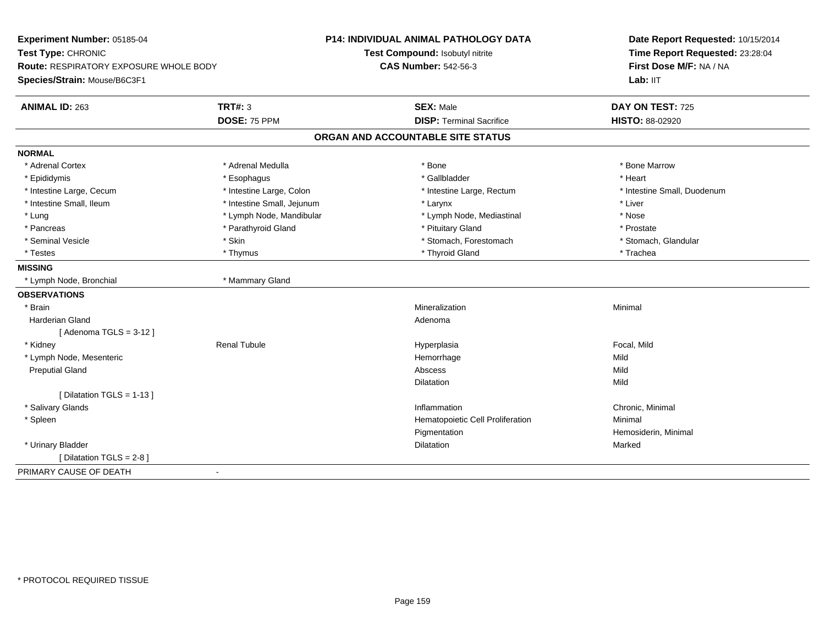| Experiment Number: 05185-04            |                            | <b>P14: INDIVIDUAL ANIMAL PATHOLOGY DATA</b><br>Test Compound: Isobutyl nitrite | Date Report Requested: 10/15/2014<br>Time Report Requested: 23:28:04 |
|----------------------------------------|----------------------------|---------------------------------------------------------------------------------|----------------------------------------------------------------------|
| Test Type: CHRONIC                     |                            | <b>CAS Number: 542-56-3</b>                                                     | First Dose M/F: NA / NA                                              |
| Route: RESPIRATORY EXPOSURE WHOLE BODY |                            |                                                                                 | Lab: IIT                                                             |
| Species/Strain: Mouse/B6C3F1           |                            |                                                                                 |                                                                      |
| <b>ANIMAL ID: 263</b>                  | <b>TRT#: 3</b>             | <b>SEX: Male</b>                                                                | DAY ON TEST: 725                                                     |
|                                        | DOSE: 75 PPM               | <b>DISP: Terminal Sacrifice</b>                                                 | HISTO: 88-02920                                                      |
|                                        |                            | ORGAN AND ACCOUNTABLE SITE STATUS                                               |                                                                      |
| <b>NORMAL</b>                          |                            |                                                                                 |                                                                      |
| * Adrenal Cortex                       | * Adrenal Medulla          | * Bone                                                                          | * Bone Marrow                                                        |
| * Epididymis                           | * Esophagus                | * Gallbladder                                                                   | * Heart                                                              |
| * Intestine Large, Cecum               | * Intestine Large, Colon   | * Intestine Large, Rectum                                                       | * Intestine Small, Duodenum                                          |
| * Intestine Small, Ileum               | * Intestine Small, Jejunum | * Larynx                                                                        | * Liver                                                              |
| * Lung                                 | * Lymph Node, Mandibular   | * Lymph Node, Mediastinal                                                       | * Nose                                                               |
| * Pancreas                             | * Parathyroid Gland        | * Pituitary Gland                                                               | * Prostate                                                           |
| * Seminal Vesicle                      | * Skin                     | * Stomach, Forestomach                                                          | * Stomach, Glandular                                                 |
| * Testes                               | * Thymus                   | * Thyroid Gland                                                                 | * Trachea                                                            |
| <b>MISSING</b>                         |                            |                                                                                 |                                                                      |
| * Lymph Node, Bronchial                | * Mammary Gland            |                                                                                 |                                                                      |
| <b>OBSERVATIONS</b>                    |                            |                                                                                 |                                                                      |
| * Brain                                |                            | Mineralization                                                                  | Minimal                                                              |
| <b>Harderian Gland</b>                 |                            | Adenoma                                                                         |                                                                      |
| [Adenoma TGLS = $3-12$ ]               |                            |                                                                                 |                                                                      |
| * Kidney                               | <b>Renal Tubule</b>        | Hyperplasia                                                                     | Focal, Mild                                                          |
| * Lymph Node, Mesenteric               |                            | Hemorrhage                                                                      | Mild                                                                 |
| <b>Preputial Gland</b>                 |                            | Abscess                                                                         | Mild                                                                 |
|                                        |                            | Dilatation                                                                      | Mild                                                                 |
| [ Dilatation TGLS = 1-13 ]             |                            |                                                                                 |                                                                      |
| * Salivary Glands                      |                            | Inflammation                                                                    | Chronic, Minimal                                                     |
| * Spleen                               |                            | Hematopoietic Cell Proliferation                                                | Minimal                                                              |
|                                        |                            | Pigmentation                                                                    | Hemosiderin, Minimal                                                 |
| * Urinary Bladder                      |                            | Dilatation                                                                      | Marked                                                               |
| [ Dilatation TGLS = 2-8 ]              |                            |                                                                                 |                                                                      |
| PRIMARY CAUSE OF DEATH<br>$\sim$       |                            |                                                                                 |                                                                      |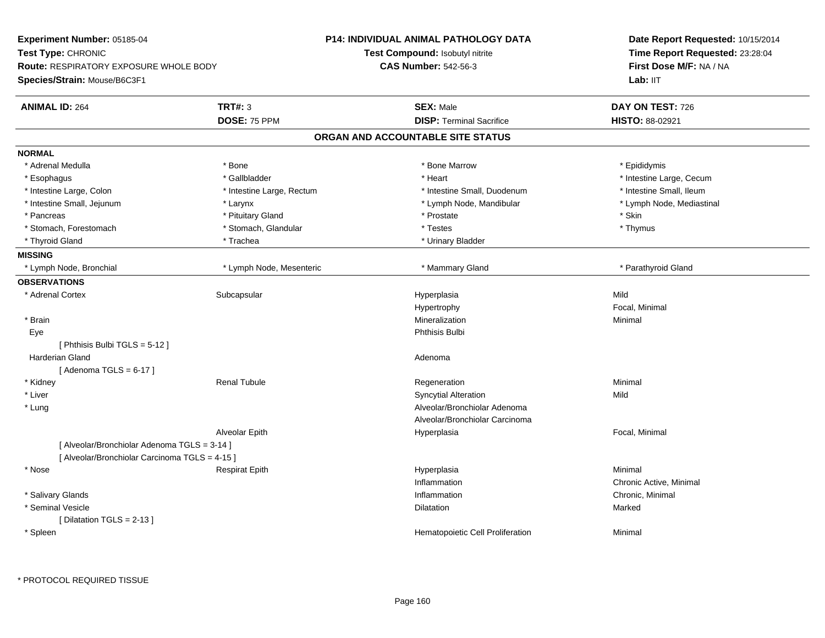| Experiment Number: 05185-04                                                   |                           | P14: INDIVIDUAL ANIMAL PATHOLOGY DATA | Date Report Requested: 10/15/2014   |  |
|-------------------------------------------------------------------------------|---------------------------|---------------------------------------|-------------------------------------|--|
| Test Type: CHRONIC                                                            |                           | Test Compound: Isobutyl nitrite       | Time Report Requested: 23:28:04     |  |
| <b>Route: RESPIRATORY EXPOSURE WHOLE BODY</b><br>Species/Strain: Mouse/B6C3F1 |                           | <b>CAS Number: 542-56-3</b>           | First Dose M/F: NA / NA<br>Lab: IIT |  |
| <b>ANIMAL ID: 264</b>                                                         | <b>TRT#: 3</b>            | <b>SEX: Male</b>                      | DAY ON TEST: 726                    |  |
|                                                                               | DOSE: 75 PPM              | <b>DISP: Terminal Sacrifice</b>       | HISTO: 88-02921                     |  |
|                                                                               |                           | ORGAN AND ACCOUNTABLE SITE STATUS     |                                     |  |
| <b>NORMAL</b>                                                                 |                           |                                       |                                     |  |
| * Adrenal Medulla                                                             | * Bone                    | * Bone Marrow                         | * Epididymis                        |  |
| * Esophagus                                                                   | * Gallbladder             | * Heart                               | * Intestine Large, Cecum            |  |
| * Intestine Large, Colon                                                      | * Intestine Large, Rectum | * Intestine Small, Duodenum           | * Intestine Small, Ileum            |  |
| * Intestine Small, Jejunum                                                    | * Larynx                  | * Lymph Node, Mandibular              | * Lymph Node, Mediastinal           |  |
| * Pancreas                                                                    | * Pituitary Gland         | * Prostate                            | * Skin                              |  |
| * Stomach, Forestomach                                                        | * Stomach, Glandular      | * Testes                              | * Thymus                            |  |
| * Thyroid Gland                                                               | * Trachea                 | * Urinary Bladder                     |                                     |  |
| <b>MISSING</b>                                                                |                           |                                       |                                     |  |
| * Lymph Node, Bronchial                                                       | * Lymph Node, Mesenteric  | * Mammary Gland                       | * Parathyroid Gland                 |  |
| <b>OBSERVATIONS</b>                                                           |                           |                                       |                                     |  |
| * Adrenal Cortex                                                              | Subcapsular               | Hyperplasia                           | Mild                                |  |
|                                                                               |                           | Hypertrophy                           | Focal, Minimal                      |  |
| * Brain                                                                       |                           | Mineralization                        | Minimal                             |  |
| Eye                                                                           |                           | Phthisis Bulbi                        |                                     |  |
| [ Phthisis Bulbi TGLS = 5-12 ]                                                |                           |                                       |                                     |  |
| <b>Harderian Gland</b>                                                        |                           | Adenoma                               |                                     |  |
| [Adenoma TGLS = $6-17$ ]                                                      |                           |                                       |                                     |  |
| * Kidney                                                                      | <b>Renal Tubule</b>       | Regeneration                          | Minimal                             |  |
| * Liver                                                                       |                           | <b>Syncytial Alteration</b>           | Mild                                |  |
| * Lung                                                                        |                           | Alveolar/Bronchiolar Adenoma          |                                     |  |
|                                                                               |                           | Alveolar/Bronchiolar Carcinoma        |                                     |  |
|                                                                               | Alveolar Epith            | Hyperplasia                           | Focal, Minimal                      |  |
| [ Alveolar/Bronchiolar Adenoma TGLS = 3-14 ]                                  |                           |                                       |                                     |  |
| [ Alveolar/Bronchiolar Carcinoma TGLS = 4-15 ]                                |                           |                                       |                                     |  |
| * Nose                                                                        | <b>Respirat Epith</b>     | Hyperplasia                           | Minimal                             |  |
|                                                                               |                           | Inflammation                          | Chronic Active, Minimal             |  |
| * Salivary Glands                                                             |                           | Inflammation                          | Chronic, Minimal                    |  |
| * Seminal Vesicle                                                             |                           | Dilatation                            | Marked                              |  |
| [ Dilatation TGLS = 2-13 ]                                                    |                           |                                       |                                     |  |
| * Spleen                                                                      |                           | Hematopoietic Cell Proliferation      | Minimal                             |  |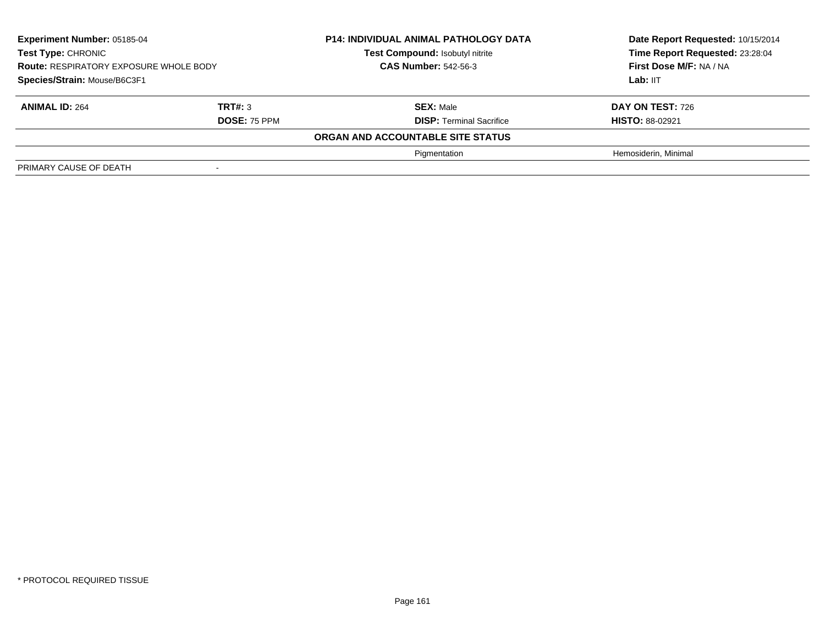| Experiment Number: 05185-04<br>Test Type: CHRONIC<br><b>Route: RESPIRATORY EXPOSURE WHOLE BODY</b><br>Species/Strain: Mouse/B6C3F1 |                                | <b>P14: INDIVIDUAL ANIMAL PATHOLOGY DATA</b><br>Test Compound: Isobutyl nitrite<br><b>CAS Number: 542-56-3</b> | Date Report Requested: 10/15/2014<br>Time Report Requested: 23:28:04<br>First Dose M/F: NA / NA<br>Lab: IIT |
|------------------------------------------------------------------------------------------------------------------------------------|--------------------------------|----------------------------------------------------------------------------------------------------------------|-------------------------------------------------------------------------------------------------------------|
| <b>ANIMAL ID: 264</b>                                                                                                              | TRT#: 3<br><b>DOSE: 75 PPM</b> | <b>SEX: Male</b><br><b>DISP: Terminal Sacrifice</b>                                                            | <b>DAY ON TEST: 726</b><br><b>HISTO: 88-02921</b>                                                           |
|                                                                                                                                    |                                | ORGAN AND ACCOUNTABLE SITE STATUS                                                                              |                                                                                                             |
|                                                                                                                                    |                                | Pigmentation                                                                                                   | Hemosiderin, Minimal                                                                                        |
| PRIMARY CAUSE OF DEATH                                                                                                             |                                |                                                                                                                |                                                                                                             |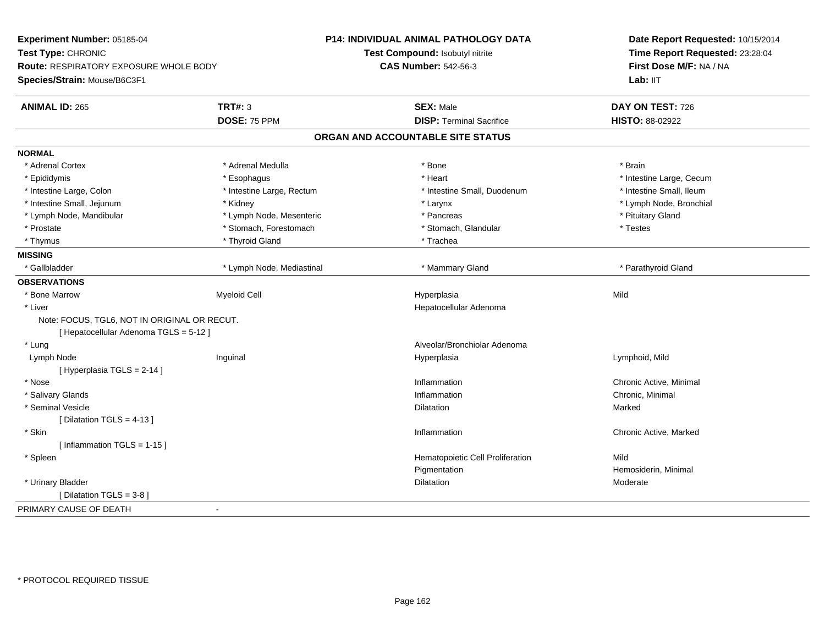| Time Report Requested: 23:28:04<br>Test Compound: Isobutyl nitrite<br><b>CAS Number: 542-56-3</b><br>First Dose M/F: NA / NA<br>Route: RESPIRATORY EXPOSURE WHOLE BODY<br>Lab: IIT<br><b>TRT#: 3</b><br><b>SEX: Male</b><br>DAY ON TEST: 726<br><b>ANIMAL ID: 265</b><br>DOSE: 75 PPM<br><b>DISP: Terminal Sacrifice</b><br>HISTO: 88-02922<br>ORGAN AND ACCOUNTABLE SITE STATUS<br>* Adrenal Cortex<br>* Adrenal Medulla<br>* Bone<br>* Brain<br>* Heart<br>* Intestine Large, Cecum<br>* Epididymis<br>* Esophagus<br>* Intestine Large, Rectum<br>* Intestine Small, Duodenum<br>* Intestine Small, Ileum<br>* Intestine Large, Colon<br>* Intestine Small, Jejunum<br>* Lymph Node, Bronchial<br>* Kidney<br>* Larynx<br>* Lymph Node, Mesenteric<br>* Pituitary Gland<br>* Lymph Node, Mandibular<br>* Pancreas<br>* Stomach, Forestomach<br>* Prostate<br>* Stomach, Glandular<br>* Testes<br>* Thyroid Gland<br>* Thymus<br>* Trachea<br>* Gallbladder<br>* Lymph Node, Mediastinal<br>* Mammary Gland<br>* Parathyroid Gland<br>Mild<br>* Bone Marrow<br><b>Myeloid Cell</b><br>Hyperplasia<br>* Liver<br>Hepatocellular Adenoma<br>Note: FOCUS, TGL6, NOT IN ORIGINAL OR RECUT.<br>[Hepatocellular Adenoma TGLS = 5-12]<br>Alveolar/Bronchiolar Adenoma<br>* Lung<br>Lymph Node<br>Inguinal<br>Lymphoid, Mild<br>Hyperplasia<br>[Hyperplasia TGLS = 2-14]<br>Chronic Active, Minimal<br>* Nose<br>Inflammation<br>* Salivary Glands<br>Inflammation<br>Chronic, Minimal<br>* Seminal Vesicle<br>Marked<br>Dilatation<br>[ Dilatation TGLS = $4-13$ ]<br>Chronic Active, Marked<br>* Skin<br>Inflammation<br>[Inflammation TGLS = 1-15]<br>Mild<br>* Spleen<br>Hematopoietic Cell Proliferation<br>Pigmentation<br>Hemosiderin, Minimal<br>* Urinary Bladder<br>Dilatation<br>Moderate<br>[ Dilatation TGLS = 3-8 ]<br>$\blacksquare$ | Experiment Number: 05185-04  | <b>P14: INDIVIDUAL ANIMAL PATHOLOGY DATA</b> | Date Report Requested: 10/15/2014 |
|-----------------------------------------------------------------------------------------------------------------------------------------------------------------------------------------------------------------------------------------------------------------------------------------------------------------------------------------------------------------------------------------------------------------------------------------------------------------------------------------------------------------------------------------------------------------------------------------------------------------------------------------------------------------------------------------------------------------------------------------------------------------------------------------------------------------------------------------------------------------------------------------------------------------------------------------------------------------------------------------------------------------------------------------------------------------------------------------------------------------------------------------------------------------------------------------------------------------------------------------------------------------------------------------------------------------------------------------------------------------------------------------------------------------------------------------------------------------------------------------------------------------------------------------------------------------------------------------------------------------------------------------------------------------------------------------------------------------------------------------------------------------------------------------------------------------------------------------------|------------------------------|----------------------------------------------|-----------------------------------|
|                                                                                                                                                                                                                                                                                                                                                                                                                                                                                                                                                                                                                                                                                                                                                                                                                                                                                                                                                                                                                                                                                                                                                                                                                                                                                                                                                                                                                                                                                                                                                                                                                                                                                                                                                                                                                                               | Test Type: CHRONIC           |                                              |                                   |
|                                                                                                                                                                                                                                                                                                                                                                                                                                                                                                                                                                                                                                                                                                                                                                                                                                                                                                                                                                                                                                                                                                                                                                                                                                                                                                                                                                                                                                                                                                                                                                                                                                                                                                                                                                                                                                               |                              |                                              |                                   |
|                                                                                                                                                                                                                                                                                                                                                                                                                                                                                                                                                                                                                                                                                                                                                                                                                                                                                                                                                                                                                                                                                                                                                                                                                                                                                                                                                                                                                                                                                                                                                                                                                                                                                                                                                                                                                                               | Species/Strain: Mouse/B6C3F1 |                                              |                                   |
|                                                                                                                                                                                                                                                                                                                                                                                                                                                                                                                                                                                                                                                                                                                                                                                                                                                                                                                                                                                                                                                                                                                                                                                                                                                                                                                                                                                                                                                                                                                                                                                                                                                                                                                                                                                                                                               |                              |                                              |                                   |
|                                                                                                                                                                                                                                                                                                                                                                                                                                                                                                                                                                                                                                                                                                                                                                                                                                                                                                                                                                                                                                                                                                                                                                                                                                                                                                                                                                                                                                                                                                                                                                                                                                                                                                                                                                                                                                               |                              |                                              |                                   |
|                                                                                                                                                                                                                                                                                                                                                                                                                                                                                                                                                                                                                                                                                                                                                                                                                                                                                                                                                                                                                                                                                                                                                                                                                                                                                                                                                                                                                                                                                                                                                                                                                                                                                                                                                                                                                                               |                              |                                              |                                   |
|                                                                                                                                                                                                                                                                                                                                                                                                                                                                                                                                                                                                                                                                                                                                                                                                                                                                                                                                                                                                                                                                                                                                                                                                                                                                                                                                                                                                                                                                                                                                                                                                                                                                                                                                                                                                                                               | <b>NORMAL</b>                |                                              |                                   |
|                                                                                                                                                                                                                                                                                                                                                                                                                                                                                                                                                                                                                                                                                                                                                                                                                                                                                                                                                                                                                                                                                                                                                                                                                                                                                                                                                                                                                                                                                                                                                                                                                                                                                                                                                                                                                                               |                              |                                              |                                   |
|                                                                                                                                                                                                                                                                                                                                                                                                                                                                                                                                                                                                                                                                                                                                                                                                                                                                                                                                                                                                                                                                                                                                                                                                                                                                                                                                                                                                                                                                                                                                                                                                                                                                                                                                                                                                                                               |                              |                                              |                                   |
|                                                                                                                                                                                                                                                                                                                                                                                                                                                                                                                                                                                                                                                                                                                                                                                                                                                                                                                                                                                                                                                                                                                                                                                                                                                                                                                                                                                                                                                                                                                                                                                                                                                                                                                                                                                                                                               |                              |                                              |                                   |
|                                                                                                                                                                                                                                                                                                                                                                                                                                                                                                                                                                                                                                                                                                                                                                                                                                                                                                                                                                                                                                                                                                                                                                                                                                                                                                                                                                                                                                                                                                                                                                                                                                                                                                                                                                                                                                               |                              |                                              |                                   |
|                                                                                                                                                                                                                                                                                                                                                                                                                                                                                                                                                                                                                                                                                                                                                                                                                                                                                                                                                                                                                                                                                                                                                                                                                                                                                                                                                                                                                                                                                                                                                                                                                                                                                                                                                                                                                                               |                              |                                              |                                   |
|                                                                                                                                                                                                                                                                                                                                                                                                                                                                                                                                                                                                                                                                                                                                                                                                                                                                                                                                                                                                                                                                                                                                                                                                                                                                                                                                                                                                                                                                                                                                                                                                                                                                                                                                                                                                                                               |                              |                                              |                                   |
|                                                                                                                                                                                                                                                                                                                                                                                                                                                                                                                                                                                                                                                                                                                                                                                                                                                                                                                                                                                                                                                                                                                                                                                                                                                                                                                                                                                                                                                                                                                                                                                                                                                                                                                                                                                                                                               |                              |                                              |                                   |
|                                                                                                                                                                                                                                                                                                                                                                                                                                                                                                                                                                                                                                                                                                                                                                                                                                                                                                                                                                                                                                                                                                                                                                                                                                                                                                                                                                                                                                                                                                                                                                                                                                                                                                                                                                                                                                               | <b>MISSING</b>               |                                              |                                   |
|                                                                                                                                                                                                                                                                                                                                                                                                                                                                                                                                                                                                                                                                                                                                                                                                                                                                                                                                                                                                                                                                                                                                                                                                                                                                                                                                                                                                                                                                                                                                                                                                                                                                                                                                                                                                                                               |                              |                                              |                                   |
|                                                                                                                                                                                                                                                                                                                                                                                                                                                                                                                                                                                                                                                                                                                                                                                                                                                                                                                                                                                                                                                                                                                                                                                                                                                                                                                                                                                                                                                                                                                                                                                                                                                                                                                                                                                                                                               | <b>OBSERVATIONS</b>          |                                              |                                   |
|                                                                                                                                                                                                                                                                                                                                                                                                                                                                                                                                                                                                                                                                                                                                                                                                                                                                                                                                                                                                                                                                                                                                                                                                                                                                                                                                                                                                                                                                                                                                                                                                                                                                                                                                                                                                                                               |                              |                                              |                                   |
|                                                                                                                                                                                                                                                                                                                                                                                                                                                                                                                                                                                                                                                                                                                                                                                                                                                                                                                                                                                                                                                                                                                                                                                                                                                                                                                                                                                                                                                                                                                                                                                                                                                                                                                                                                                                                                               |                              |                                              |                                   |
|                                                                                                                                                                                                                                                                                                                                                                                                                                                                                                                                                                                                                                                                                                                                                                                                                                                                                                                                                                                                                                                                                                                                                                                                                                                                                                                                                                                                                                                                                                                                                                                                                                                                                                                                                                                                                                               |                              |                                              |                                   |
|                                                                                                                                                                                                                                                                                                                                                                                                                                                                                                                                                                                                                                                                                                                                                                                                                                                                                                                                                                                                                                                                                                                                                                                                                                                                                                                                                                                                                                                                                                                                                                                                                                                                                                                                                                                                                                               |                              |                                              |                                   |
|                                                                                                                                                                                                                                                                                                                                                                                                                                                                                                                                                                                                                                                                                                                                                                                                                                                                                                                                                                                                                                                                                                                                                                                                                                                                                                                                                                                                                                                                                                                                                                                                                                                                                                                                                                                                                                               |                              |                                              |                                   |
|                                                                                                                                                                                                                                                                                                                                                                                                                                                                                                                                                                                                                                                                                                                                                                                                                                                                                                                                                                                                                                                                                                                                                                                                                                                                                                                                                                                                                                                                                                                                                                                                                                                                                                                                                                                                                                               |                              |                                              |                                   |
|                                                                                                                                                                                                                                                                                                                                                                                                                                                                                                                                                                                                                                                                                                                                                                                                                                                                                                                                                                                                                                                                                                                                                                                                                                                                                                                                                                                                                                                                                                                                                                                                                                                                                                                                                                                                                                               |                              |                                              |                                   |
|                                                                                                                                                                                                                                                                                                                                                                                                                                                                                                                                                                                                                                                                                                                                                                                                                                                                                                                                                                                                                                                                                                                                                                                                                                                                                                                                                                                                                                                                                                                                                                                                                                                                                                                                                                                                                                               |                              |                                              |                                   |
|                                                                                                                                                                                                                                                                                                                                                                                                                                                                                                                                                                                                                                                                                                                                                                                                                                                                                                                                                                                                                                                                                                                                                                                                                                                                                                                                                                                                                                                                                                                                                                                                                                                                                                                                                                                                                                               |                              |                                              |                                   |
|                                                                                                                                                                                                                                                                                                                                                                                                                                                                                                                                                                                                                                                                                                                                                                                                                                                                                                                                                                                                                                                                                                                                                                                                                                                                                                                                                                                                                                                                                                                                                                                                                                                                                                                                                                                                                                               |                              |                                              |                                   |
|                                                                                                                                                                                                                                                                                                                                                                                                                                                                                                                                                                                                                                                                                                                                                                                                                                                                                                                                                                                                                                                                                                                                                                                                                                                                                                                                                                                                                                                                                                                                                                                                                                                                                                                                                                                                                                               |                              |                                              |                                   |
|                                                                                                                                                                                                                                                                                                                                                                                                                                                                                                                                                                                                                                                                                                                                                                                                                                                                                                                                                                                                                                                                                                                                                                                                                                                                                                                                                                                                                                                                                                                                                                                                                                                                                                                                                                                                                                               |                              |                                              |                                   |
|                                                                                                                                                                                                                                                                                                                                                                                                                                                                                                                                                                                                                                                                                                                                                                                                                                                                                                                                                                                                                                                                                                                                                                                                                                                                                                                                                                                                                                                                                                                                                                                                                                                                                                                                                                                                                                               |                              |                                              |                                   |
|                                                                                                                                                                                                                                                                                                                                                                                                                                                                                                                                                                                                                                                                                                                                                                                                                                                                                                                                                                                                                                                                                                                                                                                                                                                                                                                                                                                                                                                                                                                                                                                                                                                                                                                                                                                                                                               |                              |                                              |                                   |
|                                                                                                                                                                                                                                                                                                                                                                                                                                                                                                                                                                                                                                                                                                                                                                                                                                                                                                                                                                                                                                                                                                                                                                                                                                                                                                                                                                                                                                                                                                                                                                                                                                                                                                                                                                                                                                               |                              |                                              |                                   |
|                                                                                                                                                                                                                                                                                                                                                                                                                                                                                                                                                                                                                                                                                                                                                                                                                                                                                                                                                                                                                                                                                                                                                                                                                                                                                                                                                                                                                                                                                                                                                                                                                                                                                                                                                                                                                                               |                              |                                              |                                   |
|                                                                                                                                                                                                                                                                                                                                                                                                                                                                                                                                                                                                                                                                                                                                                                                                                                                                                                                                                                                                                                                                                                                                                                                                                                                                                                                                                                                                                                                                                                                                                                                                                                                                                                                                                                                                                                               |                              |                                              |                                   |
|                                                                                                                                                                                                                                                                                                                                                                                                                                                                                                                                                                                                                                                                                                                                                                                                                                                                                                                                                                                                                                                                                                                                                                                                                                                                                                                                                                                                                                                                                                                                                                                                                                                                                                                                                                                                                                               | PRIMARY CAUSE OF DEATH       |                                              |                                   |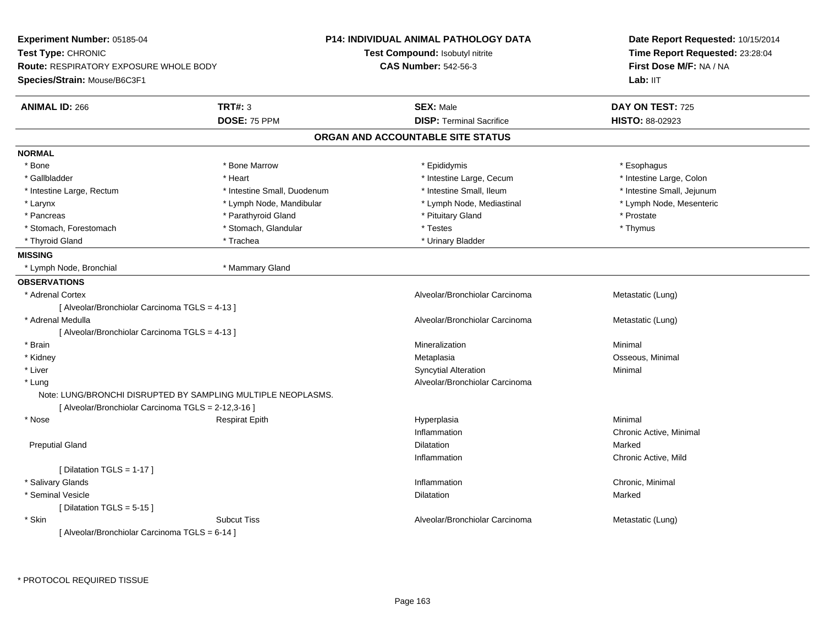| Experiment Number: 05185-04<br>Test Type: CHRONIC<br><b>Route: RESPIRATORY EXPOSURE WHOLE BODY</b> |                                                              | <b>P14: INDIVIDUAL ANIMAL PATHOLOGY DATA</b><br>Test Compound: Isobutyl nitrite<br><b>CAS Number: 542-56-3</b> | Date Report Requested: 10/15/2014<br>Time Report Requested: 23:28:04<br>First Dose M/F: NA / NA |  |
|----------------------------------------------------------------------------------------------------|--------------------------------------------------------------|----------------------------------------------------------------------------------------------------------------|-------------------------------------------------------------------------------------------------|--|
| Species/Strain: Mouse/B6C3F1                                                                       |                                                              |                                                                                                                | Lab: II <sub>T</sub>                                                                            |  |
| <b>ANIMAL ID: 266</b>                                                                              | <b>TRT#: 3</b>                                               | <b>SEX: Male</b>                                                                                               | DAY ON TEST: 725                                                                                |  |
|                                                                                                    | DOSE: 75 PPM                                                 | <b>DISP: Terminal Sacrifice</b>                                                                                | HISTO: 88-02923                                                                                 |  |
|                                                                                                    |                                                              | ORGAN AND ACCOUNTABLE SITE STATUS                                                                              |                                                                                                 |  |
| <b>NORMAL</b>                                                                                      |                                                              |                                                                                                                |                                                                                                 |  |
| * Bone                                                                                             | * Bone Marrow                                                | * Epididymis                                                                                                   | * Esophagus                                                                                     |  |
| * Gallbladder                                                                                      | * Heart                                                      | * Intestine Large, Cecum                                                                                       | * Intestine Large, Colon                                                                        |  |
| * Intestine Large, Rectum                                                                          | * Intestine Small, Duodenum                                  | * Intestine Small, Ileum                                                                                       | * Intestine Small, Jejunum                                                                      |  |
| * Larynx                                                                                           | * Lymph Node, Mandibular                                     | * Lymph Node, Mediastinal                                                                                      | * Lymph Node, Mesenteric                                                                        |  |
| * Pancreas                                                                                         | * Parathyroid Gland                                          | * Pituitary Gland                                                                                              | * Prostate                                                                                      |  |
| * Stomach, Forestomach                                                                             | * Stomach, Glandular                                         | * Testes                                                                                                       | * Thymus                                                                                        |  |
| * Thyroid Gland                                                                                    | * Trachea                                                    | * Urinary Bladder                                                                                              |                                                                                                 |  |
| <b>MISSING</b>                                                                                     |                                                              |                                                                                                                |                                                                                                 |  |
| * Lymph Node, Bronchial                                                                            | * Mammary Gland                                              |                                                                                                                |                                                                                                 |  |
| <b>OBSERVATIONS</b>                                                                                |                                                              |                                                                                                                |                                                                                                 |  |
| * Adrenal Cortex                                                                                   |                                                              | Alveolar/Bronchiolar Carcinoma                                                                                 | Metastatic (Lung)                                                                               |  |
| [ Alveolar/Bronchiolar Carcinoma TGLS = 4-13 ]                                                     |                                                              |                                                                                                                |                                                                                                 |  |
| * Adrenal Medulla                                                                                  |                                                              | Alveolar/Bronchiolar Carcinoma                                                                                 | Metastatic (Lung)                                                                               |  |
| [ Alveolar/Bronchiolar Carcinoma TGLS = 4-13 ]                                                     |                                                              |                                                                                                                |                                                                                                 |  |
| * Brain                                                                                            |                                                              | Mineralization                                                                                                 | Minimal                                                                                         |  |
| * Kidney                                                                                           |                                                              | Metaplasia                                                                                                     | Osseous, Minimal                                                                                |  |
| * Liver                                                                                            |                                                              | <b>Syncytial Alteration</b>                                                                                    | Minimal                                                                                         |  |
| * Lung                                                                                             |                                                              | Alveolar/Bronchiolar Carcinoma                                                                                 |                                                                                                 |  |
|                                                                                                    | Note: LUNG/BRONCHI DISRUPTED BY SAMPLING MULTIPLE NEOPLASMS. |                                                                                                                |                                                                                                 |  |
| [ Alveolar/Bronchiolar Carcinoma TGLS = 2-12,3-16 ]                                                |                                                              |                                                                                                                |                                                                                                 |  |
| * Nose                                                                                             | <b>Respirat Epith</b>                                        | Hyperplasia                                                                                                    | Minimal                                                                                         |  |
|                                                                                                    |                                                              | Inflammation                                                                                                   | Chronic Active, Minimal                                                                         |  |
| <b>Preputial Gland</b>                                                                             |                                                              | Dilatation                                                                                                     | Marked                                                                                          |  |
|                                                                                                    |                                                              | Inflammation                                                                                                   | Chronic Active, Mild                                                                            |  |
| [ Dilatation TGLS = $1-17$ ]                                                                       |                                                              |                                                                                                                |                                                                                                 |  |
| * Salivary Glands                                                                                  |                                                              | Inflammation                                                                                                   | Chronic, Minimal                                                                                |  |
| * Seminal Vesicle                                                                                  |                                                              | Dilatation                                                                                                     | Marked                                                                                          |  |
| [ Dilatation TGLS = 5-15 ]                                                                         |                                                              |                                                                                                                |                                                                                                 |  |
| * Skin                                                                                             | <b>Subcut Tiss</b>                                           | Alveolar/Bronchiolar Carcinoma                                                                                 | Metastatic (Lung)                                                                               |  |
| [ Alveolar/Bronchiolar Carcinoma TGLS = 6-14 ]                                                     |                                                              |                                                                                                                |                                                                                                 |  |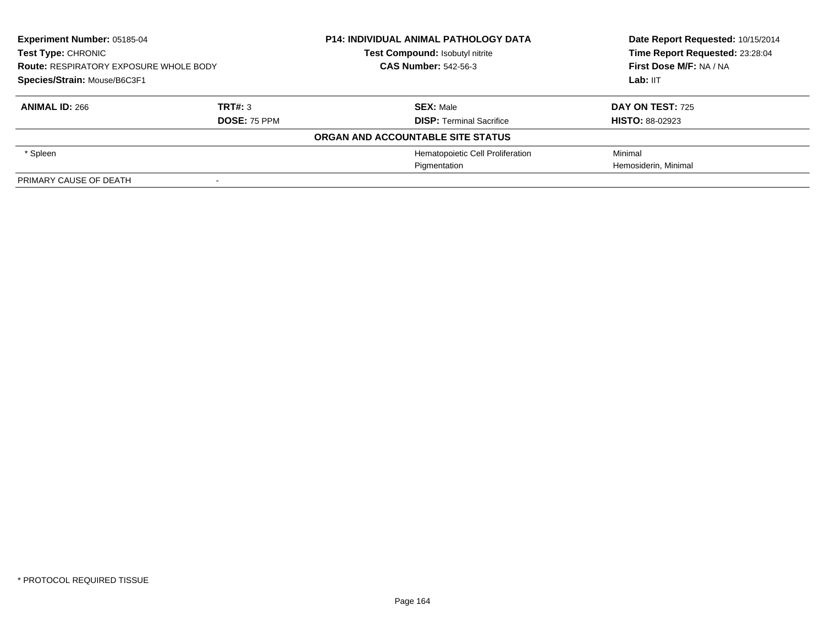| <b>Experiment Number: 05185-04</b><br><b>Test Type: CHRONIC</b><br><b>Route: RESPIRATORY EXPOSURE WHOLE BODY</b><br>Species/Strain: Mouse/B6C3F1 |                     | <b>P14: INDIVIDUAL ANIMAL PATHOLOGY DATA</b> | Date Report Requested: 10/15/2014<br>Time Report Requested: 23:28:04 |
|--------------------------------------------------------------------------------------------------------------------------------------------------|---------------------|----------------------------------------------|----------------------------------------------------------------------|
|                                                                                                                                                  |                     | <b>Test Compound: Isobutyl nitrite</b>       |                                                                      |
|                                                                                                                                                  |                     | <b>CAS Number: 542-56-3</b>                  | First Dose M/F: NA / NA                                              |
|                                                                                                                                                  |                     |                                              | Lab: IIT                                                             |
| <b>ANIMAL ID: 266</b>                                                                                                                            | TRT#: 3             | <b>SEX: Male</b>                             | <b>DAY ON TEST: 725</b>                                              |
|                                                                                                                                                  | <b>DOSE: 75 PPM</b> | <b>DISP:</b> Terminal Sacrifice              | <b>HISTO: 88-02923</b>                                               |
|                                                                                                                                                  |                     | ORGAN AND ACCOUNTABLE SITE STATUS            |                                                                      |
| * Spleen                                                                                                                                         |                     | Hematopoietic Cell Proliferation             | Minimal                                                              |
|                                                                                                                                                  |                     | Pigmentation                                 | Hemosiderin, Minimal                                                 |
| PRIMARY CAUSE OF DEATH                                                                                                                           |                     |                                              |                                                                      |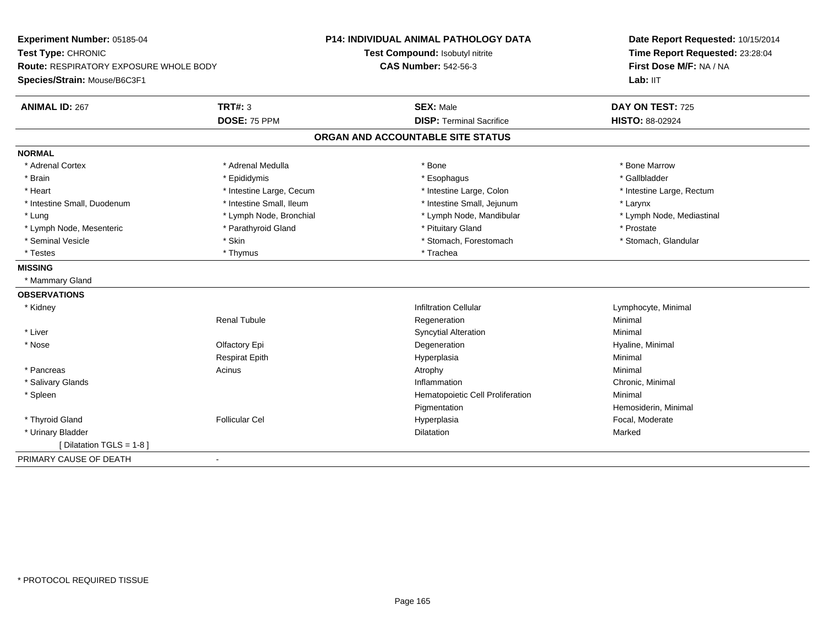| Experiment Number: 05185-04                                         |                          | <b>P14: INDIVIDUAL ANIMAL PATHOLOGY DATA</b> | Date Report Requested: 10/15/2014                          |  |
|---------------------------------------------------------------------|--------------------------|----------------------------------------------|------------------------------------------------------------|--|
| Test Type: CHRONIC<br><b>Route: RESPIRATORY EXPOSURE WHOLE BODY</b> |                          | Test Compound: Isobutyl nitrite              | Time Report Requested: 23:28:04<br>First Dose M/F: NA / NA |  |
|                                                                     |                          | <b>CAS Number: 542-56-3</b>                  |                                                            |  |
| Species/Strain: Mouse/B6C3F1                                        |                          |                                              | Lab: IIT                                                   |  |
| <b>ANIMAL ID: 267</b>                                               | <b>TRT#: 3</b>           | <b>SEX: Male</b>                             | DAY ON TEST: 725                                           |  |
|                                                                     | DOSE: 75 PPM             | <b>DISP: Terminal Sacrifice</b>              | HISTO: 88-02924                                            |  |
|                                                                     |                          | ORGAN AND ACCOUNTABLE SITE STATUS            |                                                            |  |
| <b>NORMAL</b>                                                       |                          |                                              |                                                            |  |
| * Adrenal Cortex                                                    | * Adrenal Medulla        | * Bone                                       | * Bone Marrow                                              |  |
| * Brain                                                             | * Epididymis             | * Esophagus                                  | * Gallbladder                                              |  |
| * Heart                                                             | * Intestine Large, Cecum | * Intestine Large, Colon                     | * Intestine Large, Rectum                                  |  |
| * Intestine Small, Duodenum                                         | * Intestine Small, Ileum | * Intestine Small, Jejunum                   | * Larynx                                                   |  |
| * Lung                                                              | * Lymph Node, Bronchial  | * Lymph Node, Mandibular                     | * Lymph Node, Mediastinal                                  |  |
| * Lymph Node, Mesenteric                                            | * Parathyroid Gland      | * Pituitary Gland                            | * Prostate                                                 |  |
| * Seminal Vesicle                                                   | * Skin                   | * Stomach, Forestomach                       | * Stomach, Glandular                                       |  |
| * Testes                                                            | * Thymus                 | * Trachea                                    |                                                            |  |
| <b>MISSING</b>                                                      |                          |                                              |                                                            |  |
| * Mammary Gland                                                     |                          |                                              |                                                            |  |
| <b>OBSERVATIONS</b>                                                 |                          |                                              |                                                            |  |
| * Kidney                                                            |                          | <b>Infiltration Cellular</b>                 | Lymphocyte, Minimal                                        |  |
|                                                                     | <b>Renal Tubule</b>      | Regeneration                                 | Minimal                                                    |  |
| * Liver                                                             |                          | <b>Syncytial Alteration</b>                  | Minimal                                                    |  |
| * Nose                                                              | Olfactory Epi            | Degeneration                                 | Hyaline, Minimal                                           |  |
|                                                                     | <b>Respirat Epith</b>    | Hyperplasia                                  | Minimal                                                    |  |
| * Pancreas                                                          | Acinus                   | Atrophy                                      | Minimal                                                    |  |
| * Salivary Glands                                                   |                          | Inflammation                                 | Chronic, Minimal                                           |  |
| * Spleen                                                            |                          | Hematopoietic Cell Proliferation             | Minimal                                                    |  |
|                                                                     |                          | Pigmentation                                 | Hemosiderin, Minimal                                       |  |
| * Thyroid Gland                                                     | <b>Follicular Cel</b>    | Hyperplasia                                  | Focal, Moderate                                            |  |
| * Urinary Bladder                                                   |                          | <b>Dilatation</b>                            | Marked                                                     |  |
| [ Dilatation TGLS = 1-8 ]                                           |                          |                                              |                                                            |  |
| PRIMARY CAUSE OF DEATH                                              | $\blacksquare$           |                                              |                                                            |  |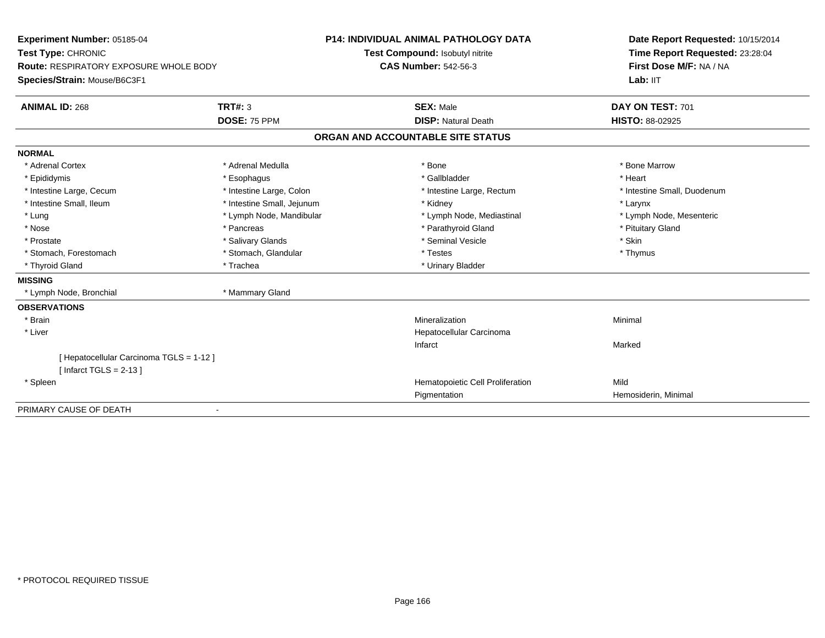| Experiment Number: 05185-04                   |                            | <b>P14: INDIVIDUAL ANIMAL PATHOLOGY DATA</b> | Date Report Requested: 10/15/2014<br>Time Report Requested: 23:28:04 |
|-----------------------------------------------|----------------------------|----------------------------------------------|----------------------------------------------------------------------|
| Test Type: CHRONIC                            |                            | Test Compound: Isobutyl nitrite              |                                                                      |
| <b>Route: RESPIRATORY EXPOSURE WHOLE BODY</b> |                            | <b>CAS Number: 542-56-3</b>                  | First Dose M/F: NA / NA                                              |
| Species/Strain: Mouse/B6C3F1                  |                            |                                              | Lab: IIT                                                             |
| <b>ANIMAL ID: 268</b>                         | TRT#: 3                    | <b>SEX: Male</b>                             | DAY ON TEST: 701                                                     |
|                                               | DOSE: 75 PPM               | <b>DISP: Natural Death</b>                   | <b>HISTO: 88-02925</b>                                               |
|                                               |                            | ORGAN AND ACCOUNTABLE SITE STATUS            |                                                                      |
| <b>NORMAL</b>                                 |                            |                                              |                                                                      |
| * Adrenal Cortex                              | * Adrenal Medulla          | * Bone                                       | * Bone Marrow                                                        |
| * Epididymis                                  | * Esophagus                | * Gallbladder                                | * Heart                                                              |
| * Intestine Large, Cecum                      | * Intestine Large, Colon   | * Intestine Large, Rectum                    | * Intestine Small, Duodenum                                          |
| * Intestine Small, Ileum                      | * Intestine Small, Jejunum | * Kidney                                     | * Larynx                                                             |
| * Lung                                        | * Lymph Node, Mandibular   | * Lymph Node, Mediastinal                    | * Lymph Node, Mesenteric                                             |
| * Nose                                        | * Pancreas                 | * Parathyroid Gland                          | * Pituitary Gland                                                    |
| * Prostate                                    | * Salivary Glands          | * Seminal Vesicle                            | * Skin                                                               |
| * Stomach, Forestomach                        | * Stomach, Glandular       | * Testes                                     | * Thymus                                                             |
| * Thyroid Gland                               | * Trachea                  | * Urinary Bladder                            |                                                                      |
| <b>MISSING</b>                                |                            |                                              |                                                                      |
| * Lymph Node, Bronchial                       | * Mammary Gland            |                                              |                                                                      |
| <b>OBSERVATIONS</b>                           |                            |                                              |                                                                      |
| * Brain                                       |                            | Mineralization                               | Minimal                                                              |
| * Liver                                       |                            | Hepatocellular Carcinoma                     |                                                                      |
|                                               |                            | Infarct                                      | Marked                                                               |
| [ Hepatocellular Carcinoma TGLS = 1-12 ]      |                            |                                              |                                                                      |
| [Infarct TGLS = $2-13$ ]                      |                            |                                              |                                                                      |
| * Spleen                                      |                            | Hematopoietic Cell Proliferation             | Mild                                                                 |
|                                               |                            | Pigmentation                                 | Hemosiderin, Minimal                                                 |
| PRIMARY CAUSE OF DEATH                        |                            |                                              |                                                                      |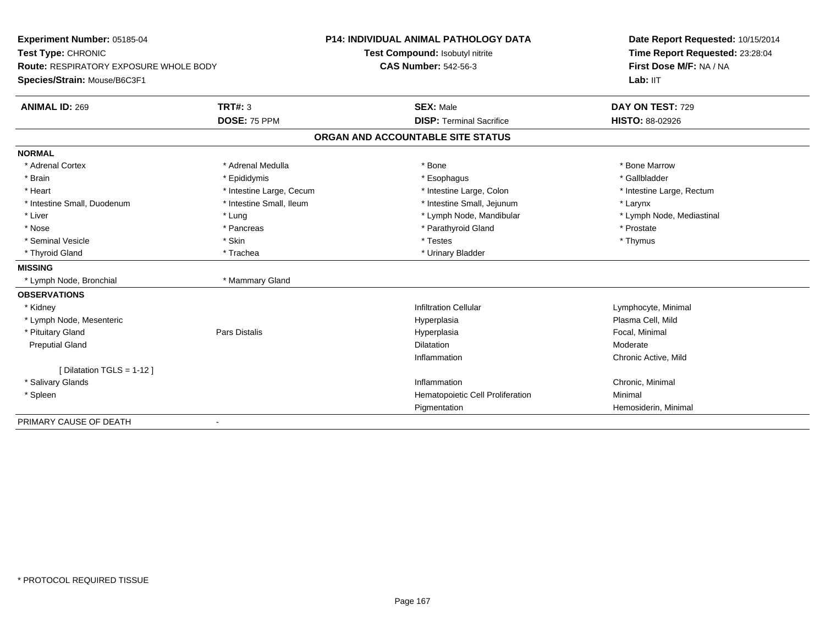| Experiment Number: 05185-04<br>Test Type: CHRONIC<br><b>Route: RESPIRATORY EXPOSURE WHOLE BODY</b> |                          | P14: INDIVIDUAL ANIMAL PATHOLOGY DATA | Date Report Requested: 10/15/2014 |
|----------------------------------------------------------------------------------------------------|--------------------------|---------------------------------------|-----------------------------------|
|                                                                                                    |                          | Test Compound: Isobutyl nitrite       | Time Report Requested: 23:28:04   |
|                                                                                                    |                          | <b>CAS Number: 542-56-3</b>           | First Dose M/F: NA / NA           |
| Species/Strain: Mouse/B6C3F1                                                                       |                          |                                       | Lab: IIT                          |
| <b>ANIMAL ID: 269</b>                                                                              | <b>TRT#: 3</b>           | <b>SEX: Male</b>                      | DAY ON TEST: 729                  |
|                                                                                                    | <b>DOSE: 75 PPM</b>      | <b>DISP: Terminal Sacrifice</b>       | HISTO: 88-02926                   |
|                                                                                                    |                          | ORGAN AND ACCOUNTABLE SITE STATUS     |                                   |
| <b>NORMAL</b>                                                                                      |                          |                                       |                                   |
| * Adrenal Cortex                                                                                   | * Adrenal Medulla        | * Bone                                | * Bone Marrow                     |
| * Brain                                                                                            | * Epididymis             | * Esophagus                           | * Gallbladder                     |
| * Heart                                                                                            | * Intestine Large, Cecum | * Intestine Large, Colon              | * Intestine Large, Rectum         |
| * Intestine Small, Duodenum                                                                        | * Intestine Small, Ileum | * Intestine Small, Jejunum            | * Larynx                          |
| * Liver                                                                                            | * Lung                   | * Lymph Node, Mandibular              | * Lymph Node, Mediastinal         |
| * Nose                                                                                             | * Pancreas               | * Parathyroid Gland                   | * Prostate                        |
| * Seminal Vesicle                                                                                  | * Skin                   | * Testes                              | * Thymus                          |
| * Thyroid Gland                                                                                    | * Trachea                | * Urinary Bladder                     |                                   |
| <b>MISSING</b>                                                                                     |                          |                                       |                                   |
| * Lymph Node, Bronchial                                                                            | * Mammary Gland          |                                       |                                   |
| <b>OBSERVATIONS</b>                                                                                |                          |                                       |                                   |
| * Kidney                                                                                           |                          | <b>Infiltration Cellular</b>          | Lymphocyte, Minimal               |
| * Lymph Node, Mesenteric                                                                           |                          | Hyperplasia                           | Plasma Cell, Mild                 |
| * Pituitary Gland                                                                                  | Pars Distalis            | Hyperplasia                           | Focal, Minimal                    |
| <b>Preputial Gland</b>                                                                             |                          | Dilatation                            | Moderate                          |
|                                                                                                    |                          | Inflammation                          | Chronic Active, Mild              |
| [ Dilatation TGLS = 1-12 ]                                                                         |                          |                                       |                                   |
| * Salivary Glands                                                                                  |                          | Inflammation                          | Chronic, Minimal                  |
| * Spleen                                                                                           |                          | Hematopoietic Cell Proliferation      | Minimal                           |
|                                                                                                    |                          | Pigmentation                          | Hemosiderin, Minimal              |
| PRIMARY CAUSE OF DEATH                                                                             | $\overline{\phantom{a}}$ |                                       |                                   |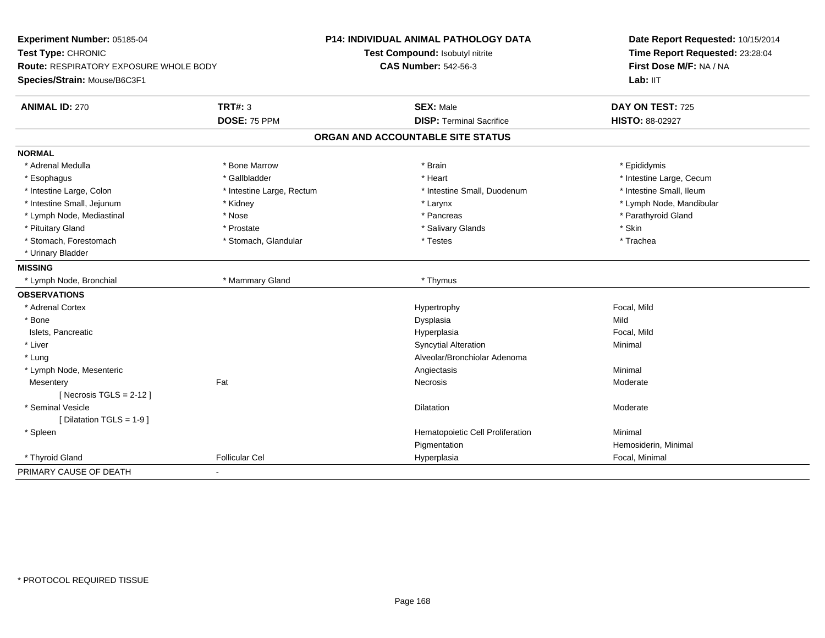| Experiment Number: 05185-04                                         |                           | <b>P14: INDIVIDUAL ANIMAL PATHOLOGY DATA</b> | Date Report Requested: 10/15/2014 |
|---------------------------------------------------------------------|---------------------------|----------------------------------------------|-----------------------------------|
| Test Type: CHRONIC<br><b>Route: RESPIRATORY EXPOSURE WHOLE BODY</b> |                           | Test Compound: Isobutyl nitrite              | Time Report Requested: 23:28:04   |
|                                                                     |                           | <b>CAS Number: 542-56-3</b>                  | First Dose M/F: NA / NA           |
| Species/Strain: Mouse/B6C3F1                                        |                           |                                              | Lab: IIT                          |
| <b>ANIMAL ID: 270</b>                                               | <b>TRT#: 3</b>            | <b>SEX: Male</b>                             | DAY ON TEST: 725                  |
|                                                                     | DOSE: 75 PPM              | <b>DISP: Terminal Sacrifice</b>              | <b>HISTO: 88-02927</b>            |
|                                                                     |                           | ORGAN AND ACCOUNTABLE SITE STATUS            |                                   |
| <b>NORMAL</b>                                                       |                           |                                              |                                   |
| * Adrenal Medulla                                                   | * Bone Marrow             | * Brain                                      | * Epididymis                      |
| * Esophagus                                                         | * Gallbladder             | * Heart                                      | * Intestine Large, Cecum          |
| * Intestine Large, Colon                                            | * Intestine Large, Rectum | * Intestine Small, Duodenum                  | * Intestine Small, Ileum          |
| * Intestine Small, Jejunum                                          | * Kidney                  | * Larynx                                     | * Lymph Node, Mandibular          |
| * Lymph Node, Mediastinal                                           | * Nose                    | * Pancreas                                   | * Parathyroid Gland               |
| * Pituitary Gland                                                   | * Prostate                | * Salivary Glands                            | * Skin                            |
| * Stomach, Forestomach                                              | * Stomach, Glandular      | * Testes                                     | * Trachea                         |
| * Urinary Bladder                                                   |                           |                                              |                                   |
| <b>MISSING</b>                                                      |                           |                                              |                                   |
| * Lymph Node, Bronchial                                             | * Mammary Gland           | * Thymus                                     |                                   |
| <b>OBSERVATIONS</b>                                                 |                           |                                              |                                   |
| * Adrenal Cortex                                                    |                           | Hypertrophy                                  | Focal, Mild                       |
| * Bone                                                              |                           | Dysplasia                                    | Mild                              |
| Islets, Pancreatic                                                  |                           | Hyperplasia                                  | Focal, Mild                       |
| * Liver                                                             |                           | <b>Syncytial Alteration</b>                  | Minimal                           |
| * Lung                                                              |                           | Alveolar/Bronchiolar Adenoma                 |                                   |
| * Lymph Node, Mesenteric                                            |                           | Angiectasis                                  | Minimal                           |
| Mesentery                                                           | Fat                       | Necrosis                                     | Moderate                          |
| [Necrosis $TGLS = 2-12$ ]                                           |                           |                                              |                                   |
| * Seminal Vesicle                                                   |                           | <b>Dilatation</b>                            | Moderate                          |
| [ Dilatation TGLS = 1-9 ]                                           |                           |                                              |                                   |
| * Spleen                                                            |                           | Hematopoietic Cell Proliferation             | Minimal                           |
|                                                                     |                           | Pigmentation                                 | Hemosiderin, Minimal              |
| * Thyroid Gland                                                     | <b>Follicular Cel</b>     | Hyperplasia                                  | Focal, Minimal                    |
| PRIMARY CAUSE OF DEATH                                              |                           |                                              |                                   |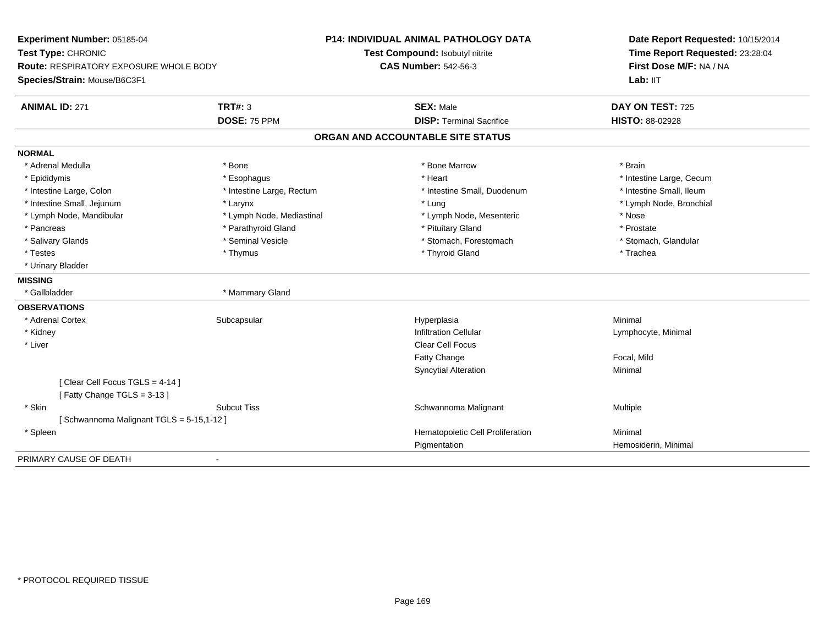| Experiment Number: 05185-04<br>Test Type: CHRONIC |                           | P14: INDIVIDUAL ANIMAL PATHOLOGY DATA | Date Report Requested: 10/15/2014<br>Time Report Requested: 23:28:04 |
|---------------------------------------------------|---------------------------|---------------------------------------|----------------------------------------------------------------------|
|                                                   |                           | Test Compound: Isobutyl nitrite       |                                                                      |
| Route: RESPIRATORY EXPOSURE WHOLE BODY            |                           | <b>CAS Number: 542-56-3</b>           | First Dose M/F: NA / NA                                              |
| Species/Strain: Mouse/B6C3F1                      |                           |                                       | Lab: IIT                                                             |
| <b>ANIMAL ID: 271</b>                             | <b>TRT#: 3</b>            | <b>SEX: Male</b>                      | DAY ON TEST: 725                                                     |
|                                                   | DOSE: 75 PPM              | <b>DISP: Terminal Sacrifice</b>       | <b>HISTO: 88-02928</b>                                               |
|                                                   |                           | ORGAN AND ACCOUNTABLE SITE STATUS     |                                                                      |
| <b>NORMAL</b>                                     |                           |                                       |                                                                      |
| * Adrenal Medulla                                 | * Bone                    | * Bone Marrow                         | * Brain                                                              |
| * Epididymis                                      | * Esophagus               | * Heart                               | * Intestine Large, Cecum                                             |
| * Intestine Large, Colon                          | * Intestine Large, Rectum | * Intestine Small, Duodenum           | * Intestine Small, Ileum                                             |
| * Intestine Small, Jejunum                        | * Larynx                  | * Lung                                | * Lymph Node, Bronchial                                              |
| * Lymph Node, Mandibular                          | * Lymph Node, Mediastinal | * Lymph Node, Mesenteric              | * Nose                                                               |
| * Pancreas                                        | * Parathyroid Gland       | * Pituitary Gland                     | * Prostate                                                           |
| * Salivary Glands                                 | * Seminal Vesicle         | * Stomach, Forestomach                | * Stomach, Glandular                                                 |
| * Testes                                          | * Thymus                  | * Thyroid Gland                       | * Trachea                                                            |
| * Urinary Bladder                                 |                           |                                       |                                                                      |
| <b>MISSING</b>                                    |                           |                                       |                                                                      |
| * Gallbladder                                     | * Mammary Gland           |                                       |                                                                      |
| <b>OBSERVATIONS</b>                               |                           |                                       |                                                                      |
| * Adrenal Cortex                                  | Subcapsular               | Hyperplasia                           | Minimal                                                              |
| * Kidney                                          |                           | <b>Infiltration Cellular</b>          | Lymphocyte, Minimal                                                  |
| * Liver                                           |                           | <b>Clear Cell Focus</b>               |                                                                      |
|                                                   |                           | <b>Fatty Change</b>                   | Focal, Mild                                                          |
|                                                   |                           | <b>Syncytial Alteration</b>           | Minimal                                                              |
| [Clear Cell Focus TGLS = 4-14]                    |                           |                                       |                                                                      |
| [Fatty Change TGLS = 3-13]                        |                           |                                       |                                                                      |
| * Skin                                            | <b>Subcut Tiss</b>        | Schwannoma Malignant                  | Multiple                                                             |
| [Schwannoma Malignant TGLS = 5-15,1-12]           |                           |                                       |                                                                      |
| * Spleen                                          |                           | Hematopoietic Cell Proliferation      | Minimal                                                              |
|                                                   |                           | Pigmentation                          | Hemosiderin, Minimal                                                 |
| PRIMARY CAUSE OF DEATH                            | $\blacksquare$            |                                       |                                                                      |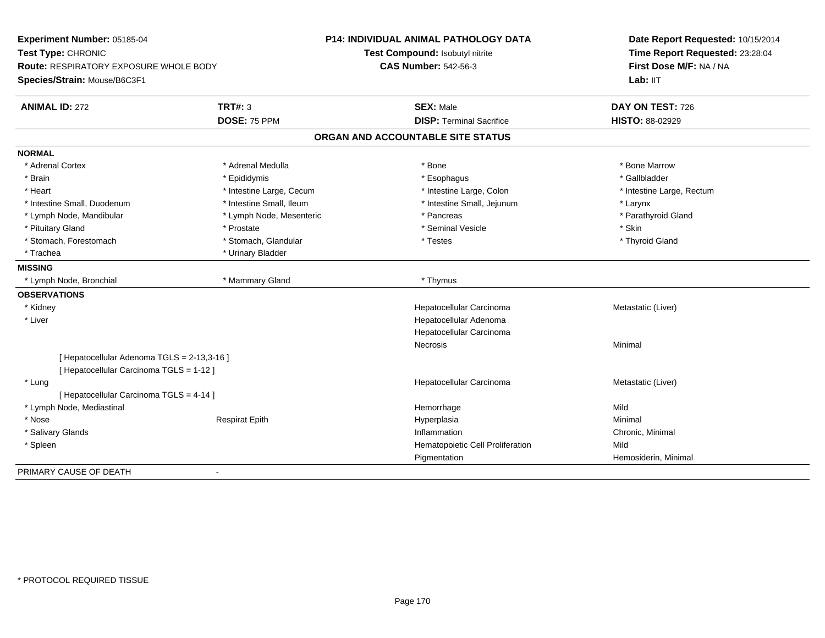| Experiment Number: 05185-04<br>Test Type: CHRONIC<br><b>Route: RESPIRATORY EXPOSURE WHOLE BODY</b><br>Species/Strain: Mouse/B6C3F1 |                          | <b>P14: INDIVIDUAL ANIMAL PATHOLOGY DATA</b><br>Test Compound: Isobutyl nitrite<br><b>CAS Number: 542-56-3</b> | Date Report Requested: 10/15/2014<br>Time Report Requested: 23:28:04<br>First Dose M/F: NA / NA<br>Lab: IIT |
|------------------------------------------------------------------------------------------------------------------------------------|--------------------------|----------------------------------------------------------------------------------------------------------------|-------------------------------------------------------------------------------------------------------------|
| <b>ANIMAL ID: 272</b>                                                                                                              | TRT#: 3                  | <b>SEX: Male</b>                                                                                               | DAY ON TEST: 726                                                                                            |
|                                                                                                                                    | DOSE: 75 PPM             | <b>DISP: Terminal Sacrifice</b>                                                                                | HISTO: 88-02929                                                                                             |
|                                                                                                                                    |                          | ORGAN AND ACCOUNTABLE SITE STATUS                                                                              |                                                                                                             |
| <b>NORMAL</b>                                                                                                                      |                          |                                                                                                                |                                                                                                             |
| * Adrenal Cortex                                                                                                                   | * Adrenal Medulla        | * Bone                                                                                                         | * Bone Marrow                                                                                               |
| * Brain                                                                                                                            | * Epididymis             | * Esophagus                                                                                                    | * Gallbladder                                                                                               |
| * Heart                                                                                                                            | * Intestine Large, Cecum | * Intestine Large, Colon                                                                                       | * Intestine Large, Rectum                                                                                   |
| * Intestine Small, Duodenum                                                                                                        | * Intestine Small, Ileum | * Intestine Small, Jejunum                                                                                     | * Larynx                                                                                                    |
| * Lymph Node, Mandibular                                                                                                           | * Lymph Node, Mesenteric | * Pancreas                                                                                                     | * Parathyroid Gland                                                                                         |
| * Pituitary Gland                                                                                                                  | * Prostate               | * Seminal Vesicle                                                                                              | * Skin                                                                                                      |
| * Stomach, Forestomach                                                                                                             | * Stomach, Glandular     | * Testes                                                                                                       | * Thyroid Gland                                                                                             |
| * Trachea                                                                                                                          | * Urinary Bladder        |                                                                                                                |                                                                                                             |
| <b>MISSING</b>                                                                                                                     |                          |                                                                                                                |                                                                                                             |
| * Lymph Node, Bronchial                                                                                                            | * Mammary Gland          | * Thymus                                                                                                       |                                                                                                             |
| <b>OBSERVATIONS</b>                                                                                                                |                          |                                                                                                                |                                                                                                             |
| * Kidney                                                                                                                           |                          | Hepatocellular Carcinoma                                                                                       | Metastatic (Liver)                                                                                          |
| * Liver                                                                                                                            |                          | Hepatocellular Adenoma                                                                                         |                                                                                                             |
|                                                                                                                                    |                          | Hepatocellular Carcinoma                                                                                       |                                                                                                             |
|                                                                                                                                    |                          | Necrosis                                                                                                       | Minimal                                                                                                     |
| [ Hepatocellular Adenoma TGLS = 2-13,3-16 ]                                                                                        |                          |                                                                                                                |                                                                                                             |
| [ Hepatocellular Carcinoma TGLS = 1-12 ]                                                                                           |                          |                                                                                                                |                                                                                                             |
| * Lung                                                                                                                             |                          | Hepatocellular Carcinoma                                                                                       | Metastatic (Liver)                                                                                          |
| [ Hepatocellular Carcinoma TGLS = 4-14 ]                                                                                           |                          |                                                                                                                |                                                                                                             |
| * Lymph Node, Mediastinal                                                                                                          |                          | Hemorrhage                                                                                                     | Mild                                                                                                        |
| * Nose                                                                                                                             | <b>Respirat Epith</b>    | Hyperplasia                                                                                                    | Minimal                                                                                                     |
| * Salivary Glands                                                                                                                  |                          | Inflammation                                                                                                   | Chronic, Minimal                                                                                            |
| * Spleen                                                                                                                           |                          | Hematopoietic Cell Proliferation                                                                               | Mild                                                                                                        |
|                                                                                                                                    |                          | Pigmentation                                                                                                   | Hemosiderin, Minimal                                                                                        |
| PRIMARY CAUSE OF DEATH                                                                                                             | $\overline{\phantom{a}}$ |                                                                                                                |                                                                                                             |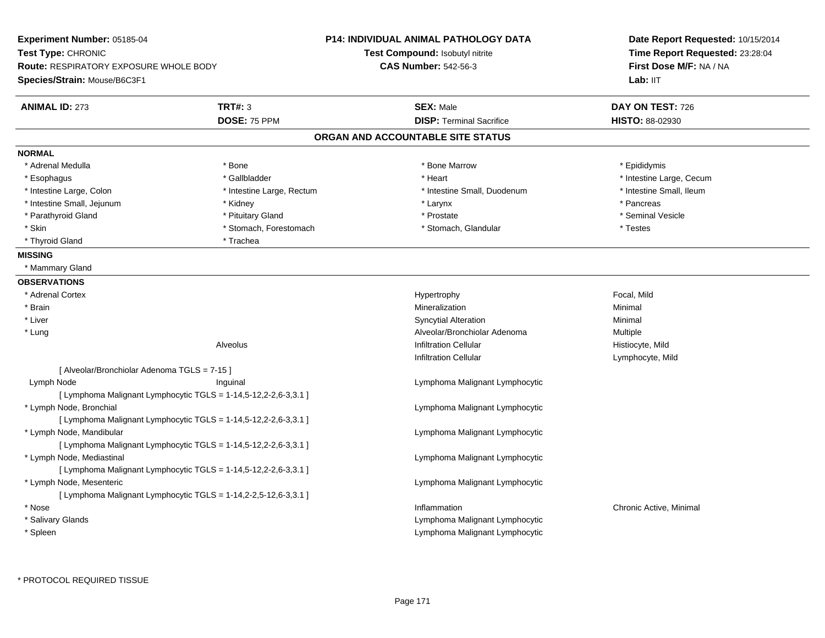| Experiment Number: 05185-04<br>Test Type: CHRONIC<br><b>Route: RESPIRATORY EXPOSURE WHOLE BODY</b><br>Species/Strain: Mouse/B6C3F1 |                                                                 | <b>P14: INDIVIDUAL ANIMAL PATHOLOGY DATA</b><br>Test Compound: Isobutyl nitrite<br><b>CAS Number: 542-56-3</b> | Date Report Requested: 10/15/2014<br>Time Report Requested: 23:28:04<br>First Dose M/F: NA / NA<br>Lab: II <sub>T</sub> |
|------------------------------------------------------------------------------------------------------------------------------------|-----------------------------------------------------------------|----------------------------------------------------------------------------------------------------------------|-------------------------------------------------------------------------------------------------------------------------|
| <b>ANIMAL ID: 273</b>                                                                                                              | <b>TRT#: 3</b>                                                  | <b>SEX: Male</b>                                                                                               | DAY ON TEST: 726                                                                                                        |
|                                                                                                                                    | DOSE: 75 PPM                                                    | <b>DISP: Terminal Sacrifice</b>                                                                                | <b>HISTO: 88-02930</b>                                                                                                  |
|                                                                                                                                    |                                                                 | ORGAN AND ACCOUNTABLE SITE STATUS                                                                              |                                                                                                                         |
| <b>NORMAL</b>                                                                                                                      |                                                                 |                                                                                                                |                                                                                                                         |
| * Adrenal Medulla                                                                                                                  | * Bone                                                          | * Bone Marrow                                                                                                  | * Epididymis                                                                                                            |
| * Esophagus                                                                                                                        | * Gallbladder                                                   | * Heart                                                                                                        | * Intestine Large, Cecum                                                                                                |
| * Intestine Large, Colon                                                                                                           | * Intestine Large, Rectum                                       | * Intestine Small, Duodenum                                                                                    | * Intestine Small, Ileum                                                                                                |
| * Intestine Small, Jejunum                                                                                                         | * Kidney                                                        | * Larynx                                                                                                       | * Pancreas                                                                                                              |
| * Parathyroid Gland                                                                                                                | * Pituitary Gland                                               | * Prostate                                                                                                     | * Seminal Vesicle                                                                                                       |
| * Skin                                                                                                                             | * Stomach, Forestomach                                          | * Stomach, Glandular                                                                                           | * Testes                                                                                                                |
| * Thyroid Gland                                                                                                                    | * Trachea                                                       |                                                                                                                |                                                                                                                         |
| <b>MISSING</b>                                                                                                                     |                                                                 |                                                                                                                |                                                                                                                         |
| * Mammary Gland                                                                                                                    |                                                                 |                                                                                                                |                                                                                                                         |
| <b>OBSERVATIONS</b>                                                                                                                |                                                                 |                                                                                                                |                                                                                                                         |
| * Adrenal Cortex                                                                                                                   |                                                                 | Hypertrophy                                                                                                    | Focal, Mild                                                                                                             |
| * Brain                                                                                                                            |                                                                 | Mineralization                                                                                                 | Minimal                                                                                                                 |
| * Liver                                                                                                                            |                                                                 | <b>Syncytial Alteration</b>                                                                                    | Minimal                                                                                                                 |
| * Lung                                                                                                                             |                                                                 | Alveolar/Bronchiolar Adenoma                                                                                   | Multiple                                                                                                                |
|                                                                                                                                    | Alveolus                                                        | <b>Infiltration Cellular</b>                                                                                   | Histiocyte, Mild                                                                                                        |
|                                                                                                                                    |                                                                 | <b>Infiltration Cellular</b>                                                                                   | Lymphocyte, Mild                                                                                                        |
| [ Alveolar/Bronchiolar Adenoma TGLS = 7-15 ]                                                                                       |                                                                 |                                                                                                                |                                                                                                                         |
| Lymph Node                                                                                                                         | Inguinal                                                        | Lymphoma Malignant Lymphocytic                                                                                 |                                                                                                                         |
|                                                                                                                                    | [ Lymphoma Malignant Lymphocytic TGLS = 1-14,5-12,2-2,6-3,3.1 ] |                                                                                                                |                                                                                                                         |
| * Lymph Node, Bronchial                                                                                                            |                                                                 | Lymphoma Malignant Lymphocytic                                                                                 |                                                                                                                         |
|                                                                                                                                    | [ Lymphoma Malignant Lymphocytic TGLS = 1-14,5-12,2-2,6-3,3.1 ] |                                                                                                                |                                                                                                                         |
| * Lymph Node, Mandibular                                                                                                           |                                                                 | Lymphoma Malignant Lymphocytic                                                                                 |                                                                                                                         |
|                                                                                                                                    | [ Lymphoma Malignant Lymphocytic TGLS = 1-14,5-12,2-2,6-3,3.1 ] |                                                                                                                |                                                                                                                         |
| * Lymph Node, Mediastinal                                                                                                          |                                                                 | Lymphoma Malignant Lymphocytic                                                                                 |                                                                                                                         |
|                                                                                                                                    | [ Lymphoma Malignant Lymphocytic TGLS = 1-14,5-12,2-2,6-3,3.1 ] |                                                                                                                |                                                                                                                         |
| * Lymph Node, Mesenteric                                                                                                           |                                                                 | Lymphoma Malignant Lymphocytic                                                                                 |                                                                                                                         |
|                                                                                                                                    | [ Lymphoma Malignant Lymphocytic TGLS = 1-14,2-2,5-12,6-3,3.1 ] |                                                                                                                |                                                                                                                         |
| * Nose                                                                                                                             |                                                                 | Inflammation                                                                                                   | Chronic Active, Minimal                                                                                                 |
| * Salivary Glands                                                                                                                  |                                                                 | Lymphoma Malignant Lymphocytic                                                                                 |                                                                                                                         |
| * Spleen                                                                                                                           |                                                                 | Lymphoma Malignant Lymphocytic                                                                                 |                                                                                                                         |
|                                                                                                                                    |                                                                 |                                                                                                                |                                                                                                                         |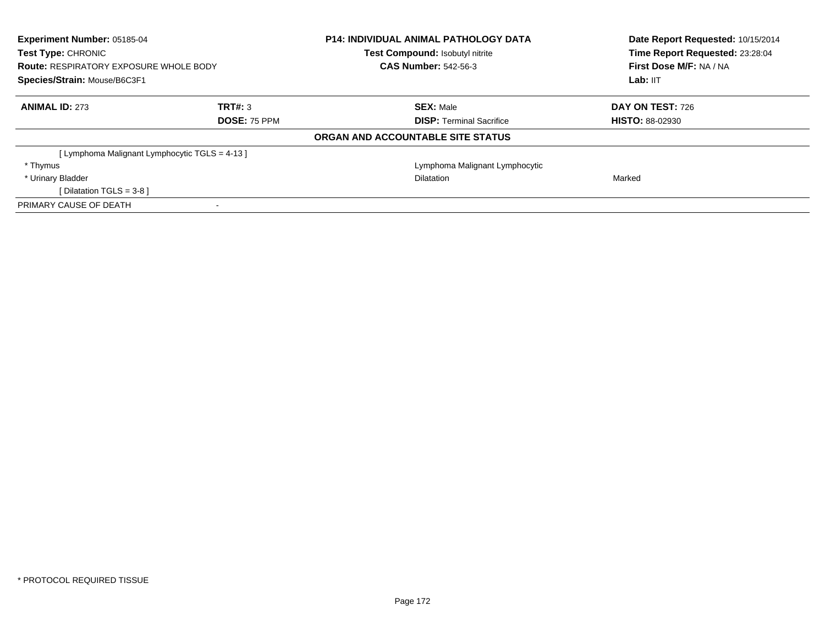| <b>Experiment Number: 05185-04</b><br>Test Type: CHRONIC<br><b>Route: RESPIRATORY EXPOSURE WHOLE BODY</b><br>Species/Strain: Mouse/B6C3F1 |                     | <b>P14: INDIVIDUAL ANIMAL PATHOLOGY DATA</b><br>Test Compound: Isobutyl nitrite | Date Report Requested: 10/15/2014<br>Time Report Requested: 23:28:04<br>First Dose M/F: NA / NA<br>Lab: IIT |
|-------------------------------------------------------------------------------------------------------------------------------------------|---------------------|---------------------------------------------------------------------------------|-------------------------------------------------------------------------------------------------------------|
|                                                                                                                                           |                     | <b>CAS Number: 542-56-3</b>                                                     |                                                                                                             |
|                                                                                                                                           |                     |                                                                                 |                                                                                                             |
| <b>ANIMAL ID: 273</b>                                                                                                                     | TRT#: 3             | <b>SEX: Male</b>                                                                | DAY ON TEST: 726                                                                                            |
|                                                                                                                                           | <b>DOSE: 75 PPM</b> | <b>DISP:</b> Terminal Sacrifice                                                 | <b>HISTO: 88-02930</b>                                                                                      |
|                                                                                                                                           |                     | ORGAN AND ACCOUNTABLE SITE STATUS                                               |                                                                                                             |
| [ Lymphoma Malignant Lymphocytic TGLS = 4-13 ]                                                                                            |                     |                                                                                 |                                                                                                             |
| * Thymus                                                                                                                                  |                     | Lymphoma Malignant Lymphocytic                                                  |                                                                                                             |
| * Urinary Bladder                                                                                                                         |                     | <b>Dilatation</b>                                                               | Marked                                                                                                      |
| [ Dilatation TGLS = $3-8$ ]                                                                                                               |                     |                                                                                 |                                                                                                             |
| PRIMARY CAUSE OF DEATH                                                                                                                    |                     |                                                                                 |                                                                                                             |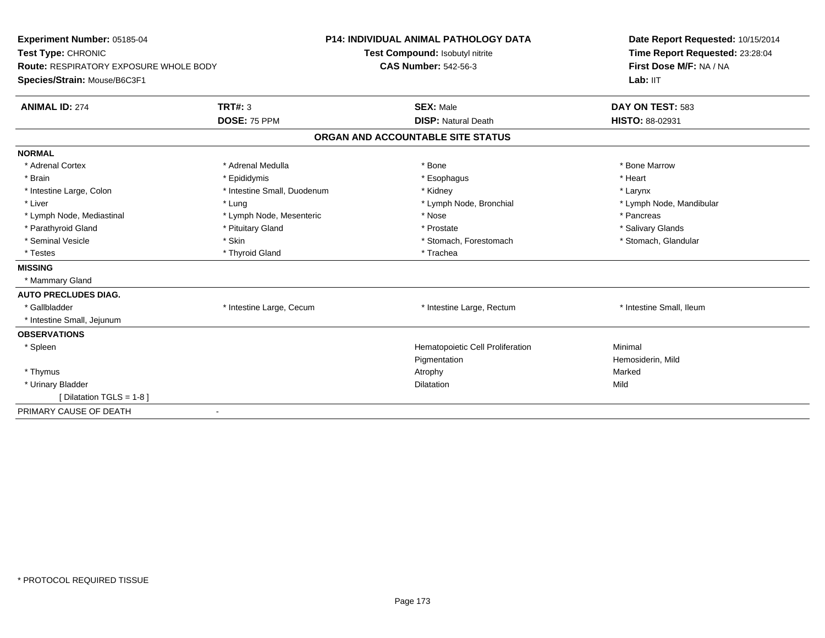| Experiment Number: 05185-04<br>Test Type: CHRONIC<br><b>Route: RESPIRATORY EXPOSURE WHOLE BODY</b> |                             | <b>P14: INDIVIDUAL ANIMAL PATHOLOGY DATA</b> | Date Report Requested: 10/15/2014<br>Time Report Requested: 23:28:04<br>First Dose M/F: NA / NA |  |
|----------------------------------------------------------------------------------------------------|-----------------------------|----------------------------------------------|-------------------------------------------------------------------------------------------------|--|
|                                                                                                    |                             | Test Compound: Isobutyl nitrite              |                                                                                                 |  |
|                                                                                                    |                             | <b>CAS Number: 542-56-3</b>                  |                                                                                                 |  |
| Species/Strain: Mouse/B6C3F1                                                                       |                             |                                              | Lab: IIT                                                                                        |  |
| <b>ANIMAL ID: 274</b>                                                                              | TRT#: 3                     | <b>SEX: Male</b>                             | DAY ON TEST: 583                                                                                |  |
|                                                                                                    | DOSE: 75 PPM                | <b>DISP: Natural Death</b>                   | HISTO: 88-02931                                                                                 |  |
|                                                                                                    |                             | ORGAN AND ACCOUNTABLE SITE STATUS            |                                                                                                 |  |
| <b>NORMAL</b>                                                                                      |                             |                                              |                                                                                                 |  |
| * Adrenal Cortex                                                                                   | * Adrenal Medulla           | * Bone                                       | * Bone Marrow                                                                                   |  |
| * Brain                                                                                            | * Epididymis                | * Esophagus                                  | * Heart                                                                                         |  |
| * Intestine Large, Colon                                                                           | * Intestine Small, Duodenum | * Kidney                                     | * Larynx                                                                                        |  |
| * Liver                                                                                            | * Lung                      | * Lymph Node, Bronchial                      | * Lymph Node, Mandibular                                                                        |  |
| * Lymph Node, Mediastinal                                                                          | * Lymph Node, Mesenteric    | * Nose                                       | * Pancreas                                                                                      |  |
| * Parathyroid Gland                                                                                | * Pituitary Gland           | * Prostate                                   | * Salivary Glands                                                                               |  |
| * Seminal Vesicle                                                                                  | * Skin                      | * Stomach, Forestomach                       | * Stomach, Glandular                                                                            |  |
| * Testes                                                                                           | * Thyroid Gland             | * Trachea                                    |                                                                                                 |  |
| <b>MISSING</b>                                                                                     |                             |                                              |                                                                                                 |  |
| * Mammary Gland                                                                                    |                             |                                              |                                                                                                 |  |
| <b>AUTO PRECLUDES DIAG.</b>                                                                        |                             |                                              |                                                                                                 |  |
| * Gallbladder                                                                                      | * Intestine Large, Cecum    | * Intestine Large, Rectum                    | * Intestine Small, Ileum                                                                        |  |
| * Intestine Small, Jejunum                                                                         |                             |                                              |                                                                                                 |  |
| <b>OBSERVATIONS</b>                                                                                |                             |                                              |                                                                                                 |  |
| * Spleen                                                                                           |                             | Hematopoietic Cell Proliferation             | Minimal                                                                                         |  |
|                                                                                                    |                             | Pigmentation                                 | Hemosiderin, Mild                                                                               |  |
| * Thymus                                                                                           |                             | Atrophy                                      | Marked                                                                                          |  |
| * Urinary Bladder                                                                                  |                             | Dilatation                                   | Mild                                                                                            |  |
| [ Dilatation TGLS = 1-8 ]                                                                          |                             |                                              |                                                                                                 |  |
| PRIMARY CAUSE OF DEATH                                                                             |                             |                                              |                                                                                                 |  |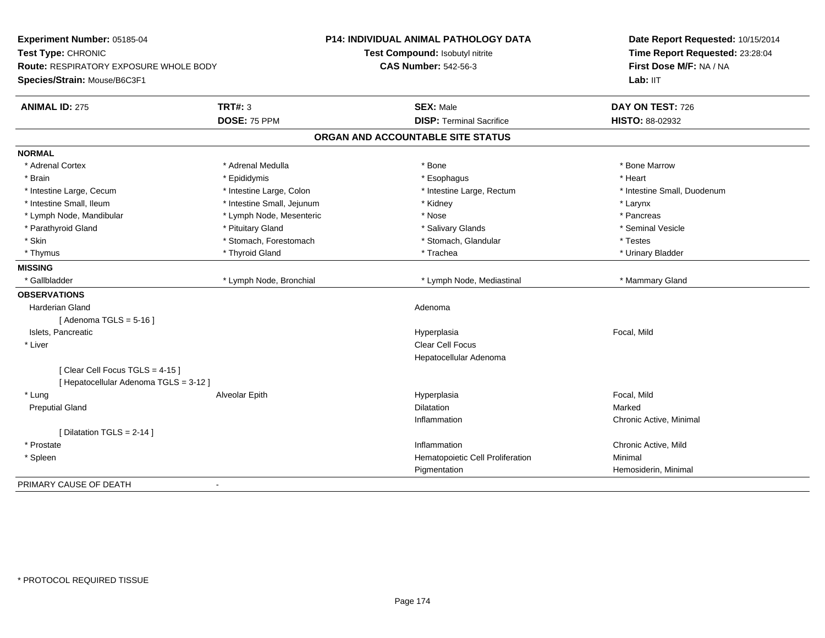| Experiment Number: 05185-04<br>Test Type: CHRONIC<br><b>Route: RESPIRATORY EXPOSURE WHOLE BODY</b> |                            | P14: INDIVIDUAL ANIMAL PATHOLOGY DATA | Date Report Requested: 10/15/2014<br>Time Report Requested: 23:28:04 |
|----------------------------------------------------------------------------------------------------|----------------------------|---------------------------------------|----------------------------------------------------------------------|
|                                                                                                    |                            | Test Compound: Isobutyl nitrite       |                                                                      |
|                                                                                                    |                            | <b>CAS Number: 542-56-3</b>           | First Dose M/F: NA / NA                                              |
| Species/Strain: Mouse/B6C3F1                                                                       |                            |                                       | Lab: IIT                                                             |
| <b>ANIMAL ID: 275</b>                                                                              | <b>TRT#: 3</b>             | <b>SEX: Male</b>                      | DAY ON TEST: 726                                                     |
|                                                                                                    | DOSE: 75 PPM               | <b>DISP: Terminal Sacrifice</b>       | HISTO: 88-02932                                                      |
|                                                                                                    |                            | ORGAN AND ACCOUNTABLE SITE STATUS     |                                                                      |
| <b>NORMAL</b>                                                                                      |                            |                                       |                                                                      |
| * Adrenal Cortex                                                                                   | * Adrenal Medulla          | * Bone                                | * Bone Marrow                                                        |
| * Brain                                                                                            | * Epididymis               | * Esophagus                           | * Heart                                                              |
| * Intestine Large, Cecum                                                                           | * Intestine Large, Colon   | * Intestine Large, Rectum             | * Intestine Small, Duodenum                                          |
| * Intestine Small, Ileum                                                                           | * Intestine Small, Jejunum | * Kidney                              | * Larynx                                                             |
| * Lymph Node, Mandibular                                                                           | * Lymph Node, Mesenteric   | * Nose                                | * Pancreas                                                           |
| * Parathyroid Gland                                                                                | * Pituitary Gland          | * Salivary Glands                     | * Seminal Vesicle                                                    |
| * Skin                                                                                             | * Stomach, Forestomach     | * Stomach, Glandular                  | * Testes                                                             |
| * Thymus                                                                                           | * Thyroid Gland            | * Trachea                             | * Urinary Bladder                                                    |
| <b>MISSING</b>                                                                                     |                            |                                       |                                                                      |
| * Gallbladder                                                                                      | * Lymph Node, Bronchial    | * Lymph Node, Mediastinal             | * Mammary Gland                                                      |
| <b>OBSERVATIONS</b>                                                                                |                            |                                       |                                                                      |
| Harderian Gland                                                                                    |                            | Adenoma                               |                                                                      |
| [Adenoma TGLS = $5-16$ ]                                                                           |                            |                                       |                                                                      |
| Islets, Pancreatic                                                                                 |                            | Hyperplasia                           | Focal, Mild                                                          |
| * Liver                                                                                            |                            | Clear Cell Focus                      |                                                                      |
|                                                                                                    |                            | Hepatocellular Adenoma                |                                                                      |
| [Clear Cell Focus TGLS = 4-15]                                                                     |                            |                                       |                                                                      |
| [ Hepatocellular Adenoma TGLS = 3-12 ]                                                             |                            |                                       |                                                                      |
| * Lung                                                                                             | Alveolar Epith             | Hyperplasia                           | Focal, Mild                                                          |
| <b>Preputial Gland</b>                                                                             |                            | <b>Dilatation</b>                     | Marked                                                               |
|                                                                                                    |                            | Inflammation                          | Chronic Active, Minimal                                              |
| [ Dilatation TGLS = $2-14$ ]                                                                       |                            |                                       |                                                                      |
| * Prostate                                                                                         |                            | Inflammation                          | Chronic Active, Mild                                                 |
| * Spleen                                                                                           |                            | Hematopoietic Cell Proliferation      | Minimal                                                              |
|                                                                                                    |                            | Pigmentation                          | Hemosiderin, Minimal                                                 |
| PRIMARY CAUSE OF DEATH                                                                             | $\blacksquare$             |                                       |                                                                      |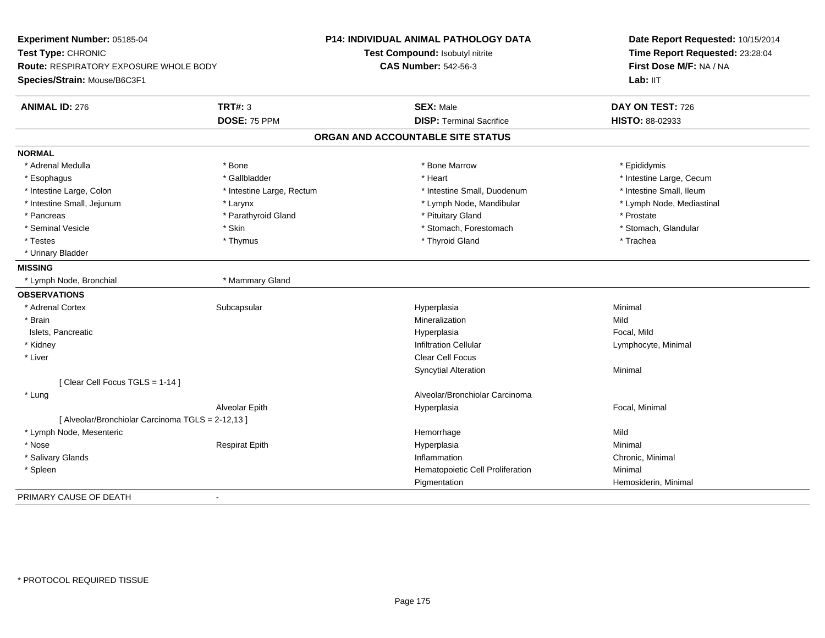| Experiment Number: 05185-04<br>Test Type: CHRONIC<br>Route: RESPIRATORY EXPOSURE WHOLE BODY<br>Species/Strain: Mouse/B6C3F1 |                           | <b>P14: INDIVIDUAL ANIMAL PATHOLOGY DATA</b><br>Test Compound: Isobutyl nitrite<br><b>CAS Number: 542-56-3</b> | Date Report Requested: 10/15/2014<br>Time Report Requested: 23:28:04<br>First Dose M/F: NA / NA<br>Lab: IIT |
|-----------------------------------------------------------------------------------------------------------------------------|---------------------------|----------------------------------------------------------------------------------------------------------------|-------------------------------------------------------------------------------------------------------------|
|                                                                                                                             |                           |                                                                                                                |                                                                                                             |
| <b>ANIMAL ID: 276</b>                                                                                                       | <b>TRT#: 3</b>            | <b>SEX: Male</b>                                                                                               | DAY ON TEST: 726                                                                                            |
|                                                                                                                             | DOSE: 75 PPM              | <b>DISP: Terminal Sacrifice</b>                                                                                | HISTO: 88-02933                                                                                             |
|                                                                                                                             |                           | ORGAN AND ACCOUNTABLE SITE STATUS                                                                              |                                                                                                             |
| <b>NORMAL</b>                                                                                                               |                           |                                                                                                                |                                                                                                             |
| * Adrenal Medulla                                                                                                           | * Bone                    | * Bone Marrow                                                                                                  | * Epididymis                                                                                                |
| * Esophagus                                                                                                                 | * Gallbladder             | * Heart                                                                                                        | * Intestine Large, Cecum                                                                                    |
| * Intestine Large, Colon                                                                                                    | * Intestine Large, Rectum | * Intestine Small, Duodenum                                                                                    | * Intestine Small, Ileum                                                                                    |
| * Intestine Small, Jejunum                                                                                                  | * Larynx                  | * Lymph Node, Mandibular                                                                                       | * Lymph Node, Mediastinal                                                                                   |
| * Pancreas                                                                                                                  | * Parathyroid Gland       | * Pituitary Gland                                                                                              | * Prostate                                                                                                  |
| * Seminal Vesicle                                                                                                           | * Skin                    | * Stomach, Forestomach                                                                                         | * Stomach, Glandular                                                                                        |
| * Testes                                                                                                                    | * Thymus                  | * Thyroid Gland                                                                                                | * Trachea                                                                                                   |
| * Urinary Bladder                                                                                                           |                           |                                                                                                                |                                                                                                             |
| <b>MISSING</b>                                                                                                              |                           |                                                                                                                |                                                                                                             |
| * Lymph Node, Bronchial                                                                                                     | * Mammary Gland           |                                                                                                                |                                                                                                             |
| <b>OBSERVATIONS</b>                                                                                                         |                           |                                                                                                                |                                                                                                             |
| * Adrenal Cortex                                                                                                            | Subcapsular               | Hyperplasia                                                                                                    | Minimal                                                                                                     |
| * Brain                                                                                                                     |                           | Mineralization                                                                                                 | Mild                                                                                                        |
| Islets, Pancreatic                                                                                                          |                           | Hyperplasia                                                                                                    | Focal, Mild                                                                                                 |
| * Kidney                                                                                                                    |                           | <b>Infiltration Cellular</b>                                                                                   | Lymphocyte, Minimal                                                                                         |
| * Liver                                                                                                                     |                           | <b>Clear Cell Focus</b>                                                                                        |                                                                                                             |
|                                                                                                                             |                           | <b>Syncytial Alteration</b>                                                                                    | Minimal                                                                                                     |
| [Clear Cell Focus TGLS = 1-14]                                                                                              |                           |                                                                                                                |                                                                                                             |
| * Lung                                                                                                                      |                           | Alveolar/Bronchiolar Carcinoma                                                                                 |                                                                                                             |
|                                                                                                                             | Alveolar Epith            | Hyperplasia                                                                                                    | Focal, Minimal                                                                                              |
| [ Alveolar/Bronchiolar Carcinoma TGLS = 2-12,13 ]                                                                           |                           |                                                                                                                |                                                                                                             |
| * Lymph Node, Mesenteric                                                                                                    |                           | Hemorrhage                                                                                                     | Mild                                                                                                        |
| * Nose                                                                                                                      | <b>Respirat Epith</b>     | Hyperplasia                                                                                                    | Minimal                                                                                                     |
| * Salivary Glands                                                                                                           |                           | Inflammation                                                                                                   | Chronic, Minimal                                                                                            |
| * Spleen                                                                                                                    |                           | Hematopoietic Cell Proliferation                                                                               | Minimal                                                                                                     |
|                                                                                                                             |                           | Pigmentation                                                                                                   | Hemosiderin, Minimal                                                                                        |
| PRIMARY CAUSE OF DEATH                                                                                                      | $\blacksquare$            |                                                                                                                |                                                                                                             |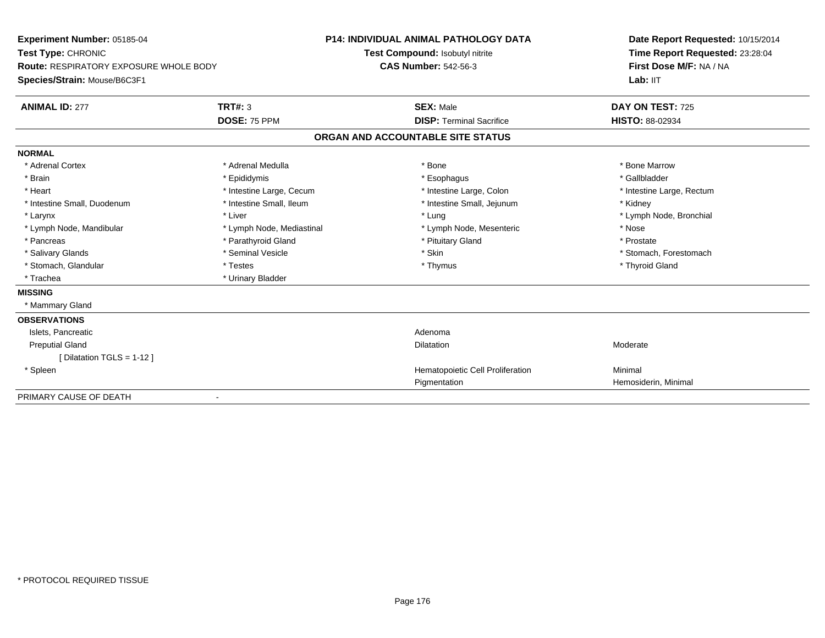| Experiment Number: 05185-04<br>Test Type: CHRONIC<br><b>Route: RESPIRATORY EXPOSURE WHOLE BODY</b> |                           | <b>P14: INDIVIDUAL ANIMAL PATHOLOGY DATA</b> | Date Report Requested: 10/15/2014<br>Time Report Requested: 23:28:04<br>First Dose M/F: NA / NA |  |
|----------------------------------------------------------------------------------------------------|---------------------------|----------------------------------------------|-------------------------------------------------------------------------------------------------|--|
|                                                                                                    |                           | Test Compound: Isobutyl nitrite              |                                                                                                 |  |
|                                                                                                    |                           | <b>CAS Number: 542-56-3</b>                  |                                                                                                 |  |
| Species/Strain: Mouse/B6C3F1                                                                       |                           |                                              | Lab: IIT                                                                                        |  |
| <b>ANIMAL ID: 277</b>                                                                              | TRT#: 3                   | <b>SEX: Male</b>                             | DAY ON TEST: 725                                                                                |  |
|                                                                                                    | DOSE: 75 PPM              | <b>DISP: Terminal Sacrifice</b>              | <b>HISTO: 88-02934</b>                                                                          |  |
|                                                                                                    |                           | ORGAN AND ACCOUNTABLE SITE STATUS            |                                                                                                 |  |
| <b>NORMAL</b>                                                                                      |                           |                                              |                                                                                                 |  |
| * Adrenal Cortex                                                                                   | * Adrenal Medulla         | * Bone                                       | * Bone Marrow                                                                                   |  |
| * Brain                                                                                            | * Epididymis              | * Esophagus                                  | * Gallbladder                                                                                   |  |
| * Heart                                                                                            | * Intestine Large, Cecum  | * Intestine Large, Colon                     | * Intestine Large, Rectum                                                                       |  |
| * Intestine Small, Duodenum                                                                        | * Intestine Small, Ileum  | * Intestine Small, Jejunum                   | * Kidney                                                                                        |  |
| * Larynx                                                                                           | * Liver                   | * Lung                                       | * Lymph Node, Bronchial                                                                         |  |
| * Lymph Node, Mandibular                                                                           | * Lymph Node, Mediastinal | * Lymph Node, Mesenteric                     | * Nose                                                                                          |  |
| * Pancreas                                                                                         | * Parathyroid Gland       | * Pituitary Gland                            | * Prostate                                                                                      |  |
| * Salivary Glands                                                                                  | * Seminal Vesicle         | * Skin                                       | * Stomach, Forestomach                                                                          |  |
| * Stomach, Glandular                                                                               | * Testes                  | * Thymus                                     | * Thyroid Gland                                                                                 |  |
| * Trachea                                                                                          | * Urinary Bladder         |                                              |                                                                                                 |  |
| <b>MISSING</b>                                                                                     |                           |                                              |                                                                                                 |  |
| * Mammary Gland                                                                                    |                           |                                              |                                                                                                 |  |
| <b>OBSERVATIONS</b>                                                                                |                           |                                              |                                                                                                 |  |
| Islets, Pancreatic                                                                                 |                           | Adenoma                                      |                                                                                                 |  |
| <b>Preputial Gland</b>                                                                             |                           | <b>Dilatation</b>                            | Moderate                                                                                        |  |
| [ Dilatation TGLS = 1-12 ]                                                                         |                           |                                              |                                                                                                 |  |
| * Spleen                                                                                           |                           | Hematopoietic Cell Proliferation             | Minimal                                                                                         |  |
|                                                                                                    |                           | Pigmentation                                 | Hemosiderin, Minimal                                                                            |  |
| PRIMARY CAUSE OF DEATH                                                                             |                           |                                              |                                                                                                 |  |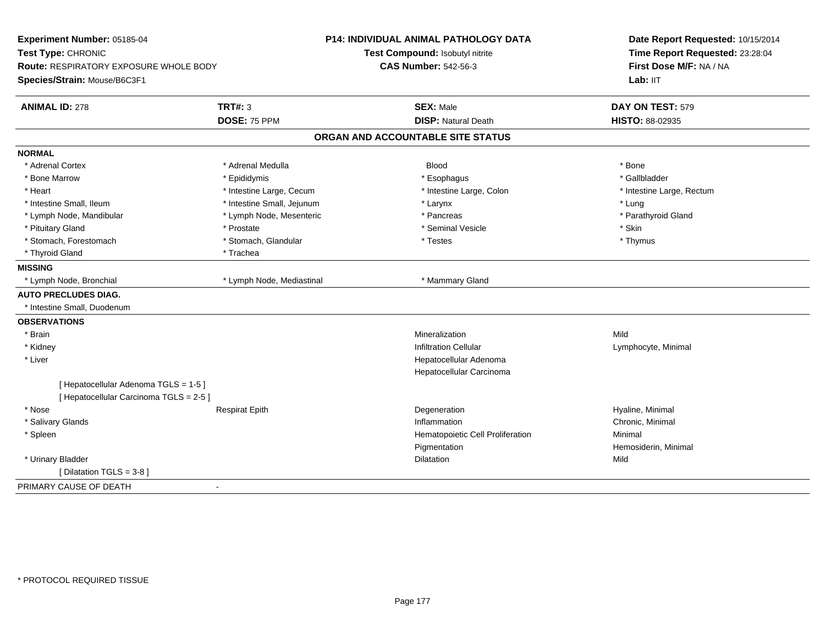| Experiment Number: 05185-04<br>Test Type: CHRONIC<br>Route: RESPIRATORY EXPOSURE WHOLE BODY |                            | <b>P14: INDIVIDUAL ANIMAL PATHOLOGY DATA</b> | Date Report Requested: 10/15/2014<br>Time Report Requested: 23:28:04 |
|---------------------------------------------------------------------------------------------|----------------------------|----------------------------------------------|----------------------------------------------------------------------|
|                                                                                             |                            | Test Compound: Isobutyl nitrite              |                                                                      |
|                                                                                             |                            | <b>CAS Number: 542-56-3</b>                  | First Dose M/F: NA / NA                                              |
| Species/Strain: Mouse/B6C3F1                                                                |                            |                                              | Lab: IIT                                                             |
| <b>ANIMAL ID: 278</b>                                                                       | <b>TRT#: 3</b>             | <b>SEX: Male</b>                             | DAY ON TEST: 579                                                     |
|                                                                                             | DOSE: 75 PPM               | <b>DISP: Natural Death</b>                   | HISTO: 88-02935                                                      |
|                                                                                             |                            | ORGAN AND ACCOUNTABLE SITE STATUS            |                                                                      |
| <b>NORMAL</b>                                                                               |                            |                                              |                                                                      |
| * Adrenal Cortex                                                                            | * Adrenal Medulla          | <b>Blood</b>                                 | * Bone                                                               |
| * Bone Marrow                                                                               | * Epididymis               | * Esophagus                                  | * Gallbladder                                                        |
| * Heart                                                                                     | * Intestine Large, Cecum   | * Intestine Large, Colon                     | * Intestine Large, Rectum                                            |
| * Intestine Small, Ileum                                                                    | * Intestine Small, Jejunum | * Larynx                                     | * Lung                                                               |
| * Lymph Node, Mandibular                                                                    | * Lymph Node, Mesenteric   | * Pancreas                                   | * Parathyroid Gland                                                  |
| * Pituitary Gland                                                                           | * Prostate                 | * Seminal Vesicle                            | * Skin                                                               |
| * Stomach, Forestomach                                                                      | * Stomach, Glandular       | * Testes                                     | * Thymus                                                             |
| * Thyroid Gland                                                                             | * Trachea                  |                                              |                                                                      |
| <b>MISSING</b>                                                                              |                            |                                              |                                                                      |
| * Lymph Node, Bronchial                                                                     | * Lymph Node, Mediastinal  | * Mammary Gland                              |                                                                      |
| <b>AUTO PRECLUDES DIAG.</b>                                                                 |                            |                                              |                                                                      |
| * Intestine Small, Duodenum                                                                 |                            |                                              |                                                                      |
| <b>OBSERVATIONS</b>                                                                         |                            |                                              |                                                                      |
| * Brain                                                                                     |                            | Mineralization                               | Mild                                                                 |
| * Kidney                                                                                    |                            | <b>Infiltration Cellular</b>                 | Lymphocyte, Minimal                                                  |
| * Liver                                                                                     |                            | Hepatocellular Adenoma                       |                                                                      |
|                                                                                             |                            | Hepatocellular Carcinoma                     |                                                                      |
| [ Hepatocellular Adenoma TGLS = 1-5 ]                                                       |                            |                                              |                                                                      |
| [ Hepatocellular Carcinoma TGLS = 2-5 ]                                                     |                            |                                              |                                                                      |
| * Nose                                                                                      | <b>Respirat Epith</b>      | Degeneration                                 | Hyaline, Minimal                                                     |
| * Salivary Glands                                                                           |                            | Inflammation                                 | Chronic, Minimal                                                     |
| * Spleen                                                                                    |                            | Hematopoietic Cell Proliferation             | Minimal                                                              |
|                                                                                             |                            | Pigmentation                                 | Hemosiderin, Minimal                                                 |
| * Urinary Bladder                                                                           |                            | <b>Dilatation</b>                            | Mild                                                                 |
| [Dilatation TGLS = 3-8]                                                                     |                            |                                              |                                                                      |
| PRIMARY CAUSE OF DEATH<br>$\blacksquare$                                                    |                            |                                              |                                                                      |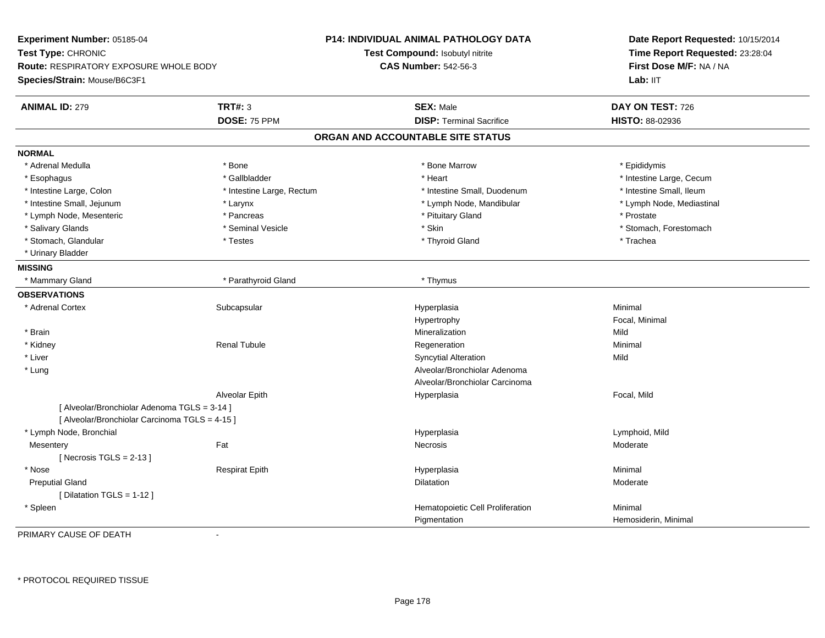**Experiment Number:** 05185-04**Test Type:** CHRONIC **Route:** RESPIRATORY EXPOSURE WHOLE BODY**Species/Strain:** Mouse/B6C3F1**P14: INDIVIDUAL ANIMAL PATHOLOGY DATATest Compound:** Isobutyl nitrite**CAS Number:** 542-56-3**Date Report Requested:** 10/15/2014**Time Report Requested:** 23:28:04**First Dose M/F:** NA / NALab: IIT **ANIMAL ID:** 279 **TRT#:** <sup>3</sup> **SEX:** Male **DAY ON TEST:** <sup>726</sup> **DOSE:** 75 PPM**DISP:** Terminal Sacrifice **HISTO:** 88-02936 **ORGAN AND ACCOUNTABLE SITE STATUSNORMAL**\* Adrenal Medulla \* Adrenal Medulla \* \* The matter of the state of the state of the Marrow \* Bone Marrow \* Adrenal Medulla \* Epididymis \* Epididymis \* Bone Marrow \* Adrenal Medulla \* Epididymis \* Epididymis \* Epididymis \* Epididymis \* Epidi \* Esophagus \* https://www.fragustage.com/web/2019/heart \* Heart \* Heart \* Heart \* Intestine Large, Cecum \* Intestine Large, Cecum \* Gallbladder \* Callbladder \* 11 and 12 and 12 and 12 and 12 and 12 and 12 and 12 and 12 and \* Intestine Small, Ileum \* Intestine Large, Colon \* Intestine Large, Rectum \* Intestine Small, Duodenum \* Intestine Small, Duodenum \* Lymph Node, Mediastinal \* Intestine Small, Jejunum \* The matter of the state of the state of the state of the state of the state of the state of the state of the state of the state of the state of the state of the state of the state of the state \* Lymph Node, Mesenteric \* Prostate \* Pancreas \* Pancreas \* Pituitary Gland \* Prostate \* Prostate \* Prostate \* Salivary Glands \* The state of the seminal Vesicle \* Skin \* Skin \* Skin \* Stomach, Forestomach, Forestomach, Forestomach, Forestomach, Forestomach, Forestomach, Forestomach, Forestomach, Forestomach, Forestomach, Foresto \* Stomach, Glandular \* \* Trachea \* Testes \* Thyroid Gland \* Thyroid Gland \* Trachea \* Trachea \* Trachea \* Trachea \* Urinary Bladder**MISSING**\* Mammary Gland \* Parathyroid Gland \* Thymus **OBSERVATIONS** \* Adrenal Cortexx Subcapsular Subcapsular Subsets and Hyperplasia a **Minimal** Hypertrophy Focal, Minimal \* Brainn and the control of the control of the control of the control of the control of the control of the control of the control of the control of the control of the control of the control of the control of the control of the co \* Kidney Renal Tubulee which is the experimentation of the experimental experimental experimental experimental experimental experimental  $\mathsf{M}$  inimal  $\mathsf{M}$  \* Liver Syncytial Alterationn Mild \* Lung Alveolar/Bronchiolar Adenoma Alveolar/Bronchiolar CarcinomaAlveolar Epith Hyperplasia Focal, Mild [ Alveolar/Bronchiolar Adenoma TGLS = 3-14 ][ Alveolar/Bronchiolar Carcinoma TGLS = 4-15 ] \* Lymph Node, Bronchial Hyperplasia Lymphoid, Mild **Mesentery** y the control of the set of the control of the Moderate of the Moderate of the Moderate of the Moderate of the Moderate of the Moderate of the Moderate of the Moderate of the Moderate of the Moderate of the Moderate of the  $[$  Necrosis TGLS = 2-13  $]$  \* Nose Respirat Epith Hyperplasia Minimal Preputial Glandd and the control of the control of the control of the control of the control of the control of the control of the control of the control of the control of the control of the control of the control of the control of the co [ Dilatation TGLS = 1-12 ] \* SpleenHematopoietic Cell Proliferation Minimal PigmentationHemosiderin, Minimal

PRIMARY CAUSE OF DEATH-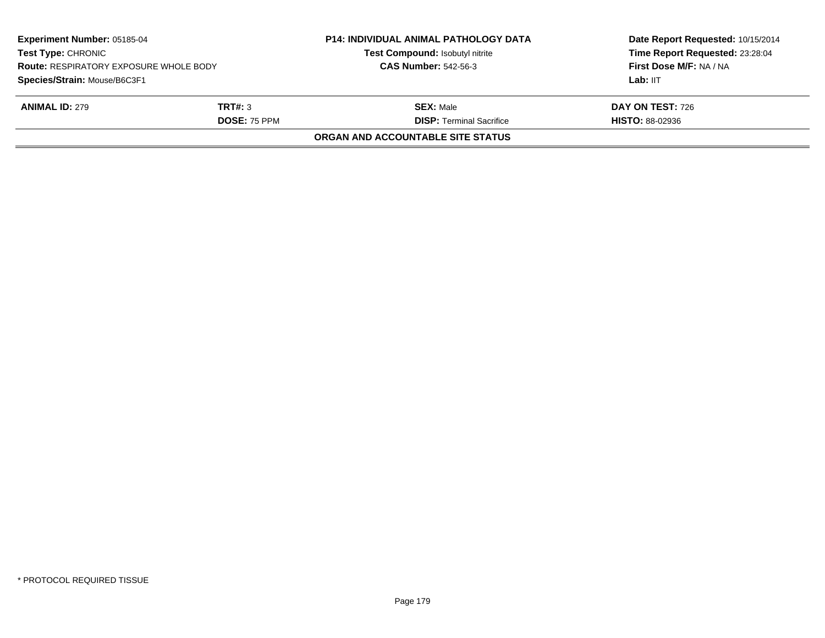| <b>Experiment Number: 05185-04</b><br><b>Test Type: CHRONIC</b><br><b>Route: RESPIRATORY EXPOSURE WHOLE BODY</b><br>Species/Strain: Mouse/B6C3F1 |                     | <b>P14: INDIVIDUAL ANIMAL PATHOLOGY DATA</b><br>Test Compound: Isobutyl nitrite | Date Report Requested: 10/15/2014<br>Time Report Requested: 23:28:04<br>First Dose M/F: NA / NA<br>Lab: IIT |
|--------------------------------------------------------------------------------------------------------------------------------------------------|---------------------|---------------------------------------------------------------------------------|-------------------------------------------------------------------------------------------------------------|
|                                                                                                                                                  |                     | <b>CAS Number: 542-56-3</b>                                                     |                                                                                                             |
|                                                                                                                                                  |                     |                                                                                 |                                                                                                             |
| <b>ANIMAL ID: 279</b>                                                                                                                            | TRT#: 3             | <b>SEX: Male</b>                                                                | DAY ON TEST: 726                                                                                            |
|                                                                                                                                                  | <b>DOSE: 75 PPM</b> | <b>DISP: Terminal Sacrifice</b>                                                 | <b>HISTO: 88-02936</b>                                                                                      |
|                                                                                                                                                  |                     | ORGAN AND ACCOUNTABLE SITE STATUS                                               |                                                                                                             |
|                                                                                                                                                  |                     |                                                                                 |                                                                                                             |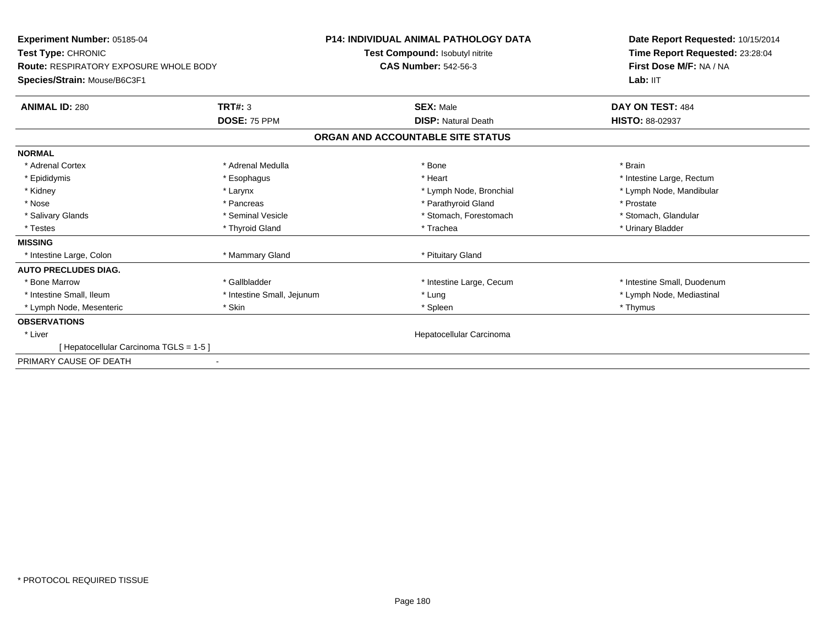| Experiment Number: 05185-04                                         |                            | <b>P14: INDIVIDUAL ANIMAL PATHOLOGY DATA</b> | Date Report Requested: 10/15/2014                          |
|---------------------------------------------------------------------|----------------------------|----------------------------------------------|------------------------------------------------------------|
| Test Type: CHRONIC<br><b>Route: RESPIRATORY EXPOSURE WHOLE BODY</b> |                            | Test Compound: Isobutyl nitrite              | Time Report Requested: 23:28:04<br>First Dose M/F: NA / NA |
|                                                                     |                            | <b>CAS Number: 542-56-3</b>                  |                                                            |
| Species/Strain: Mouse/B6C3F1                                        |                            |                                              | Lab: IIT                                                   |
| <b>ANIMAL ID: 280</b>                                               | <b>TRT#: 3</b>             | <b>SEX: Male</b>                             | DAY ON TEST: 484                                           |
|                                                                     | DOSE: 75 PPM               | <b>DISP: Natural Death</b>                   | <b>HISTO: 88-02937</b>                                     |
|                                                                     |                            | ORGAN AND ACCOUNTABLE SITE STATUS            |                                                            |
| <b>NORMAL</b>                                                       |                            |                                              |                                                            |
| * Adrenal Cortex                                                    | * Adrenal Medulla          | * Bone                                       | * Brain                                                    |
| * Epididymis                                                        | * Esophagus                | * Heart                                      | * Intestine Large, Rectum                                  |
| * Kidney                                                            | * Larynx                   | * Lymph Node, Bronchial                      | * Lymph Node, Mandibular                                   |
| * Nose                                                              | * Pancreas                 | * Parathyroid Gland                          | * Prostate                                                 |
| * Salivary Glands                                                   | * Seminal Vesicle          | * Stomach, Forestomach                       | * Stomach, Glandular                                       |
| * Testes                                                            | * Thyroid Gland            | * Trachea                                    | * Urinary Bladder                                          |
| <b>MISSING</b>                                                      |                            |                                              |                                                            |
| * Intestine Large, Colon                                            | * Mammary Gland            | * Pituitary Gland                            |                                                            |
| <b>AUTO PRECLUDES DIAG.</b>                                         |                            |                                              |                                                            |
| * Bone Marrow                                                       | * Gallbladder              | * Intestine Large, Cecum                     | * Intestine Small, Duodenum                                |
| * Intestine Small, Ileum                                            | * Intestine Small, Jejunum | * Lung                                       | * Lymph Node, Mediastinal                                  |
| * Lymph Node, Mesenteric                                            | * Skin                     | * Spleen                                     | * Thymus                                                   |
| <b>OBSERVATIONS</b>                                                 |                            |                                              |                                                            |
| * Liver                                                             |                            | Hepatocellular Carcinoma                     |                                                            |
| [ Hepatocellular Carcinoma TGLS = 1-5 ]                             |                            |                                              |                                                            |
| PRIMARY CAUSE OF DEATH                                              |                            |                                              |                                                            |
|                                                                     |                            |                                              |                                                            |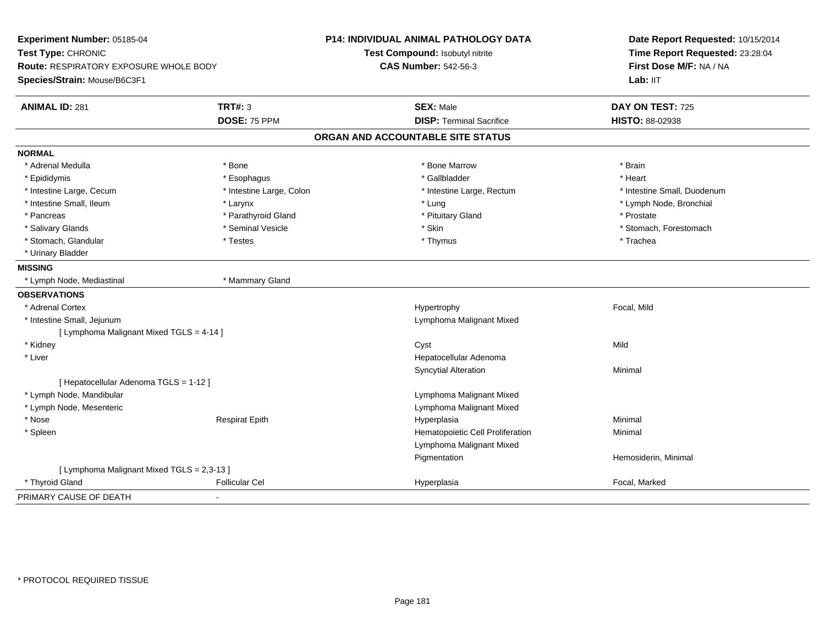| Experiment Number: 05185-04<br>Test Type: CHRONIC<br><b>Route: RESPIRATORY EXPOSURE WHOLE BODY</b> |                          | P14: INDIVIDUAL ANIMAL PATHOLOGY DATA<br>Test Compound: Isobutyl nitrite<br><b>CAS Number: 542-56-3</b> | Date Report Requested: 10/15/2014<br>Time Report Requested: 23:28:04<br>First Dose M/F: NA / NA |  |
|----------------------------------------------------------------------------------------------------|--------------------------|---------------------------------------------------------------------------------------------------------|-------------------------------------------------------------------------------------------------|--|
| Species/Strain: Mouse/B6C3F1                                                                       |                          |                                                                                                         | Lab: IIT                                                                                        |  |
| <b>ANIMAL ID: 281</b>                                                                              | <b>TRT#: 3</b>           | <b>SEX: Male</b>                                                                                        | DAY ON TEST: 725                                                                                |  |
|                                                                                                    | DOSE: 75 PPM             | <b>DISP: Terminal Sacrifice</b>                                                                         | <b>HISTO: 88-02938</b>                                                                          |  |
|                                                                                                    |                          | ORGAN AND ACCOUNTABLE SITE STATUS                                                                       |                                                                                                 |  |
| <b>NORMAL</b>                                                                                      |                          |                                                                                                         |                                                                                                 |  |
| * Adrenal Medulla                                                                                  | * Bone                   | * Bone Marrow                                                                                           | * Brain                                                                                         |  |
| * Epididymis                                                                                       | * Esophagus              | * Gallbladder                                                                                           | * Heart                                                                                         |  |
| * Intestine Large, Cecum                                                                           | * Intestine Large, Colon | * Intestine Large, Rectum                                                                               | * Intestine Small, Duodenum                                                                     |  |
| * Intestine Small, Ileum                                                                           | * Larynx                 | * Lung                                                                                                  | * Lymph Node, Bronchial                                                                         |  |
| * Pancreas                                                                                         | * Parathyroid Gland      | * Pituitary Gland                                                                                       | * Prostate                                                                                      |  |
| * Salivary Glands                                                                                  | * Seminal Vesicle        | * Skin                                                                                                  | * Stomach, Forestomach                                                                          |  |
| * Stomach, Glandular                                                                               | * Testes                 | * Thymus                                                                                                | * Trachea                                                                                       |  |
| * Urinary Bladder                                                                                  |                          |                                                                                                         |                                                                                                 |  |
| <b>MISSING</b>                                                                                     |                          |                                                                                                         |                                                                                                 |  |
| * Lymph Node, Mediastinal                                                                          | * Mammary Gland          |                                                                                                         |                                                                                                 |  |
| <b>OBSERVATIONS</b>                                                                                |                          |                                                                                                         |                                                                                                 |  |
| * Adrenal Cortex                                                                                   |                          | Hypertrophy                                                                                             | Focal, Mild                                                                                     |  |
| * Intestine Small, Jejunum                                                                         |                          | Lymphoma Malignant Mixed                                                                                |                                                                                                 |  |
| [ Lymphoma Malignant Mixed TGLS = 4-14 ]                                                           |                          |                                                                                                         |                                                                                                 |  |
| * Kidney                                                                                           |                          | Cyst                                                                                                    | Mild                                                                                            |  |
| * Liver                                                                                            |                          | Hepatocellular Adenoma                                                                                  |                                                                                                 |  |
|                                                                                                    |                          | <b>Syncytial Alteration</b>                                                                             | Minimal                                                                                         |  |
| [ Hepatocellular Adenoma TGLS = 1-12 ]                                                             |                          |                                                                                                         |                                                                                                 |  |
| * Lymph Node, Mandibular                                                                           |                          | Lymphoma Malignant Mixed                                                                                |                                                                                                 |  |
| * Lymph Node, Mesenteric                                                                           |                          | Lymphoma Malignant Mixed                                                                                |                                                                                                 |  |
| * Nose                                                                                             | <b>Respirat Epith</b>    | Hyperplasia                                                                                             | Minimal                                                                                         |  |
| * Spleen                                                                                           |                          | Hematopoietic Cell Proliferation                                                                        | Minimal                                                                                         |  |
|                                                                                                    |                          | Lymphoma Malignant Mixed                                                                                |                                                                                                 |  |
|                                                                                                    |                          | Pigmentation                                                                                            | Hemosiderin, Minimal                                                                            |  |
| [ Lymphoma Malignant Mixed TGLS = 2,3-13 ]                                                         |                          |                                                                                                         |                                                                                                 |  |
| * Thyroid Gland                                                                                    | <b>Follicular Cel</b>    | Hyperplasia                                                                                             | Focal, Marked                                                                                   |  |
| PRIMARY CAUSE OF DEATH                                                                             |                          |                                                                                                         |                                                                                                 |  |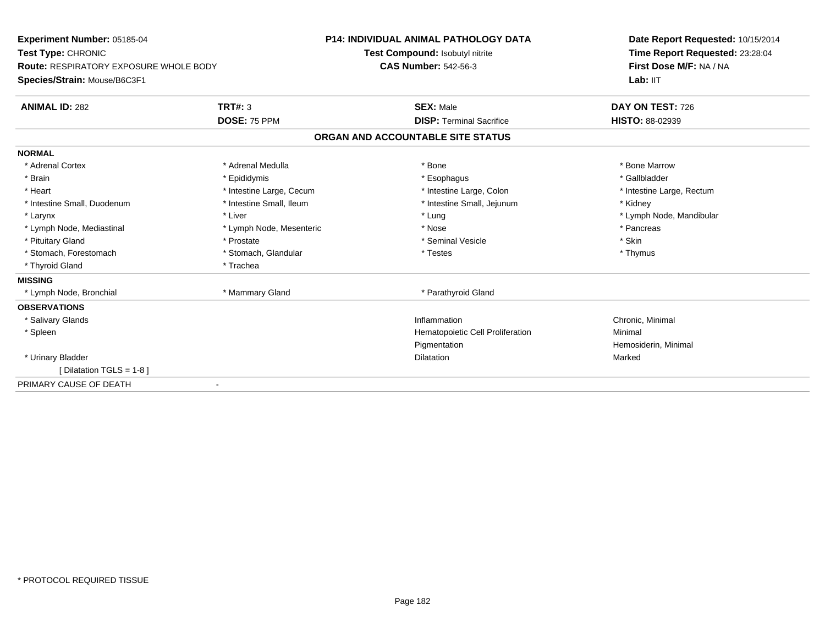| Experiment Number: 05185-04                   |                                 | <b>P14: INDIVIDUAL ANIMAL PATHOLOGY DATA</b><br>Date Report Requested: 10/15/2014 |                                 |
|-----------------------------------------------|---------------------------------|-----------------------------------------------------------------------------------|---------------------------------|
| Test Type: CHRONIC                            | Test Compound: Isobutyl nitrite |                                                                                   | Time Report Requested: 23:28:04 |
| <b>Route: RESPIRATORY EXPOSURE WHOLE BODY</b> |                                 | <b>CAS Number: 542-56-3</b>                                                       | First Dose M/F: NA / NA         |
| Species/Strain: Mouse/B6C3F1                  |                                 |                                                                                   | Lab: IIT                        |
| <b>ANIMAL ID: 282</b>                         | <b>TRT#: 3</b>                  | <b>SEX: Male</b>                                                                  | DAY ON TEST: 726                |
|                                               | DOSE: 75 PPM                    | <b>DISP: Terminal Sacrifice</b>                                                   | <b>HISTO: 88-02939</b>          |
|                                               |                                 | ORGAN AND ACCOUNTABLE SITE STATUS                                                 |                                 |
| <b>NORMAL</b>                                 |                                 |                                                                                   |                                 |
| * Adrenal Cortex                              | * Adrenal Medulla               | * Bone                                                                            | * Bone Marrow                   |
| * Brain                                       | * Epididymis                    | * Esophagus                                                                       | * Gallbladder                   |
| * Heart                                       | * Intestine Large, Cecum        | * Intestine Large, Colon                                                          | * Intestine Large, Rectum       |
| * Intestine Small, Duodenum                   | * Intestine Small, Ileum        | * Intestine Small, Jejunum                                                        | * Kidney                        |
| * Larynx                                      | * Liver                         | * Lung                                                                            | * Lymph Node, Mandibular        |
| * Lymph Node, Mediastinal                     | * Lymph Node, Mesenteric        | * Nose                                                                            | * Pancreas                      |
| * Pituitary Gland                             | * Prostate                      | * Seminal Vesicle                                                                 | * Skin                          |
| * Stomach, Forestomach                        | * Stomach, Glandular            | * Testes                                                                          | * Thymus                        |
| * Thyroid Gland                               | * Trachea                       |                                                                                   |                                 |
| <b>MISSING</b>                                |                                 |                                                                                   |                                 |
| * Lymph Node, Bronchial                       | * Mammary Gland                 | * Parathyroid Gland                                                               |                                 |
| <b>OBSERVATIONS</b>                           |                                 |                                                                                   |                                 |
| * Salivary Glands                             |                                 | Inflammation                                                                      | Chronic, Minimal                |
| * Spleen                                      |                                 | <b>Hematopoietic Cell Proliferation</b>                                           | Minimal                         |
|                                               |                                 | Pigmentation                                                                      | Hemosiderin, Minimal            |
| * Urinary Bladder                             |                                 | <b>Dilatation</b>                                                                 | Marked                          |
| [Dilatation TGLS = 1-8]                       |                                 |                                                                                   |                                 |
| PRIMARY CAUSE OF DEATH                        |                                 |                                                                                   |                                 |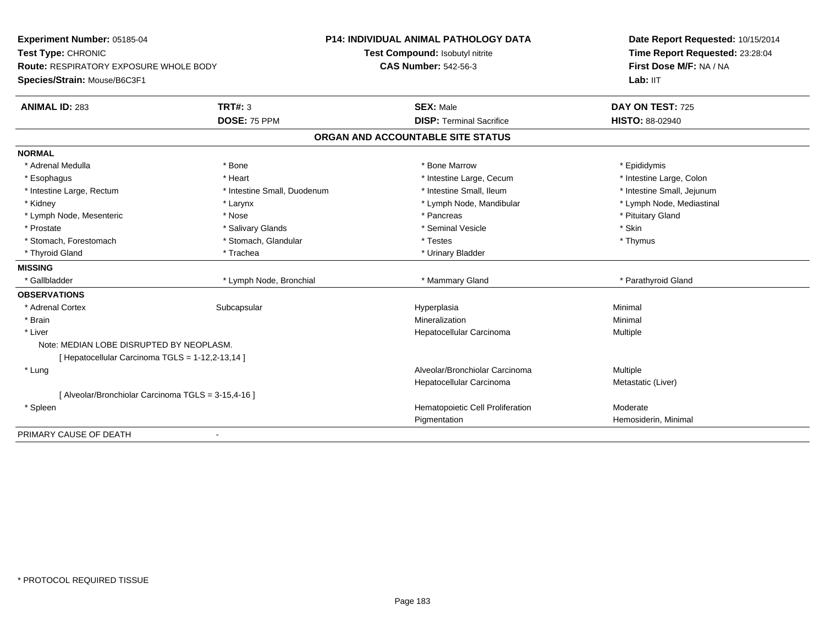| Experiment Number: 05185-04                         |                             | <b>P14: INDIVIDUAL ANIMAL PATHOLOGY DATA</b> | Date Report Requested: 10/15/2014<br>Time Report Requested: 23:28:04 |
|-----------------------------------------------------|-----------------------------|----------------------------------------------|----------------------------------------------------------------------|
| Test Type: CHRONIC                                  |                             | Test Compound: Isobutyl nitrite              |                                                                      |
| Route: RESPIRATORY EXPOSURE WHOLE BODY              |                             | <b>CAS Number: 542-56-3</b>                  | First Dose M/F: NA / NA                                              |
| Species/Strain: Mouse/B6C3F1                        |                             |                                              | Lab: IIT                                                             |
| <b>ANIMAL ID: 283</b>                               | <b>TRT#: 3</b>              | <b>SEX: Male</b>                             | DAY ON TEST: 725                                                     |
|                                                     | DOSE: 75 PPM                | <b>DISP: Terminal Sacrifice</b>              | <b>HISTO: 88-02940</b>                                               |
|                                                     |                             | ORGAN AND ACCOUNTABLE SITE STATUS            |                                                                      |
| <b>NORMAL</b>                                       |                             |                                              |                                                                      |
| * Adrenal Medulla                                   | * Bone                      | * Bone Marrow                                | * Epididymis                                                         |
| * Esophagus                                         | * Heart                     | * Intestine Large, Cecum                     | * Intestine Large, Colon                                             |
| * Intestine Large, Rectum                           | * Intestine Small, Duodenum | * Intestine Small, Ileum                     | * Intestine Small, Jejunum                                           |
| * Kidney                                            | * Larynx                    | * Lymph Node, Mandibular                     | * Lymph Node, Mediastinal                                            |
| * Lymph Node, Mesenteric                            | * Nose                      | * Pancreas                                   | * Pituitary Gland                                                    |
| * Prostate                                          | * Salivary Glands           | * Seminal Vesicle                            | * Skin                                                               |
| * Stomach, Forestomach                              | * Stomach, Glandular        | * Testes                                     | * Thymus                                                             |
| * Thyroid Gland                                     | * Trachea                   | * Urinary Bladder                            |                                                                      |
| <b>MISSING</b>                                      |                             |                                              |                                                                      |
| * Gallbladder                                       | * Lymph Node, Bronchial     | * Mammary Gland                              | * Parathyroid Gland                                                  |
| <b>OBSERVATIONS</b>                                 |                             |                                              |                                                                      |
| * Adrenal Cortex                                    | Subcapsular                 | Hyperplasia                                  | Minimal                                                              |
| * Brain                                             |                             | Mineralization                               | Minimal                                                              |
| * Liver                                             |                             | Hepatocellular Carcinoma                     | Multiple                                                             |
| Note: MEDIAN LOBE DISRUPTED BY NEOPLASM.            |                             |                                              |                                                                      |
| [ Hepatocellular Carcinoma TGLS = 1-12,2-13,14 ]    |                             |                                              |                                                                      |
| * Lung                                              |                             | Alveolar/Bronchiolar Carcinoma               | Multiple                                                             |
|                                                     |                             | Hepatocellular Carcinoma                     | Metastatic (Liver)                                                   |
| [ Alveolar/Bronchiolar Carcinoma TGLS = 3-15,4-16 ] |                             |                                              |                                                                      |
| * Spleen                                            |                             | Hematopoietic Cell Proliferation             | Moderate                                                             |
|                                                     |                             | Pigmentation                                 | Hemosiderin, Minimal                                                 |
| PRIMARY CAUSE OF DEATH                              | $\blacksquare$              |                                              |                                                                      |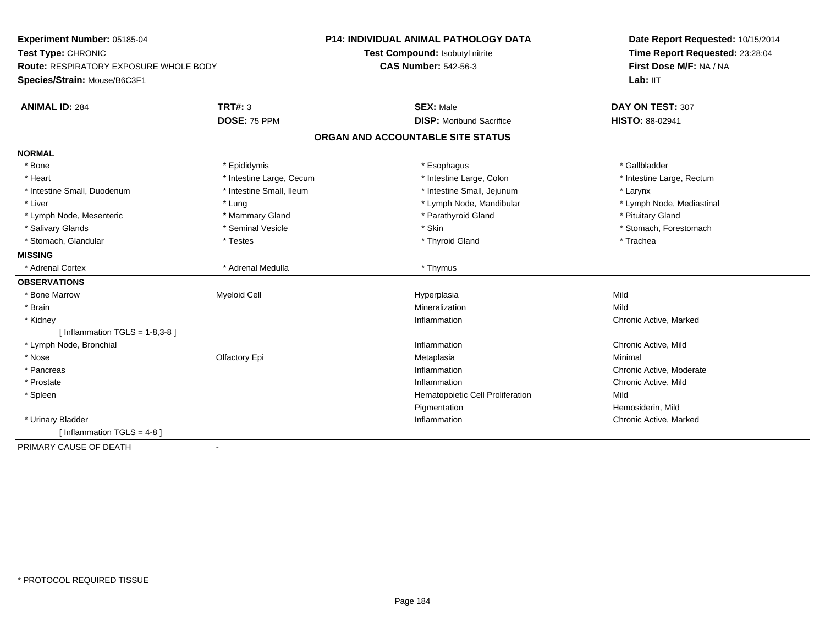| Experiment Number: 05185-04                             | <b>P14: INDIVIDUAL ANIMAL PATHOLOGY DATA</b> | Date Report Requested: 10/15/2014<br>Time Report Requested: 23:28:04<br>First Dose M/F: NA / NA<br>Lab: IIT |
|---------------------------------------------------------|----------------------------------------------|-------------------------------------------------------------------------------------------------------------|
| Test Type: CHRONIC                                      | Test Compound: Isobutyl nitrite              |                                                                                                             |
| <b>Route: RESPIRATORY EXPOSURE WHOLE BODY</b>           | <b>CAS Number: 542-56-3</b>                  |                                                                                                             |
| Species/Strain: Mouse/B6C3F1                            |                                              |                                                                                                             |
| TRT#: 3<br><b>ANIMAL ID: 284</b>                        | <b>SEX: Male</b>                             | DAY ON TEST: 307                                                                                            |
| DOSE: 75 PPM                                            | <b>DISP:</b> Moribund Sacrifice              | HISTO: 88-02941                                                                                             |
|                                                         | ORGAN AND ACCOUNTABLE SITE STATUS            |                                                                                                             |
| <b>NORMAL</b>                                           |                                              |                                                                                                             |
| * Bone<br>* Epididymis                                  | * Esophagus                                  | * Gallbladder                                                                                               |
| * Intestine Large, Cecum<br>* Heart                     | * Intestine Large, Colon                     | * Intestine Large, Rectum                                                                                   |
| * Intestine Small, Ileum<br>* Intestine Small, Duodenum | * Intestine Small, Jejunum                   | * Larynx                                                                                                    |
| * Liver<br>* Lung                                       | * Lymph Node, Mandibular                     | * Lymph Node, Mediastinal                                                                                   |
| * Lymph Node, Mesenteric<br>* Mammary Gland             | * Parathyroid Gland                          | * Pituitary Gland                                                                                           |
| * Salivary Glands<br>* Seminal Vesicle                  | * Skin                                       | * Stomach, Forestomach                                                                                      |
| * Stomach, Glandular<br>* Testes                        | * Thyroid Gland                              | * Trachea                                                                                                   |
| <b>MISSING</b>                                          |                                              |                                                                                                             |
| * Adrenal Cortex<br>* Adrenal Medulla                   | * Thymus                                     |                                                                                                             |
| <b>OBSERVATIONS</b>                                     |                                              |                                                                                                             |
| * Bone Marrow<br><b>Myeloid Cell</b>                    | Hyperplasia                                  | Mild                                                                                                        |
| * Brain                                                 | Mineralization                               | Mild                                                                                                        |
| * Kidney                                                | Inflammation                                 | Chronic Active, Marked                                                                                      |
| [Inflammation TGLS = $1-8,3-8$ ]                        |                                              |                                                                                                             |
| * Lymph Node, Bronchial                                 | Inflammation                                 | Chronic Active, Mild                                                                                        |
| * Nose<br>Olfactory Epi                                 | Metaplasia                                   | Minimal                                                                                                     |
| * Pancreas                                              | Inflammation                                 | Chronic Active, Moderate                                                                                    |
| * Prostate                                              | Inflammation                                 | Chronic Active, Mild                                                                                        |
| * Spleen                                                | Hematopoietic Cell Proliferation             | Mild                                                                                                        |
|                                                         | Pigmentation                                 | Hemosiderin, Mild                                                                                           |
| * Urinary Bladder                                       | Inflammation                                 | Chronic Active, Marked                                                                                      |
| [Inflammation TGLS = $4-8$ ]                            |                                              |                                                                                                             |
| PRIMARY CAUSE OF DEATH<br>ä,                            |                                              |                                                                                                             |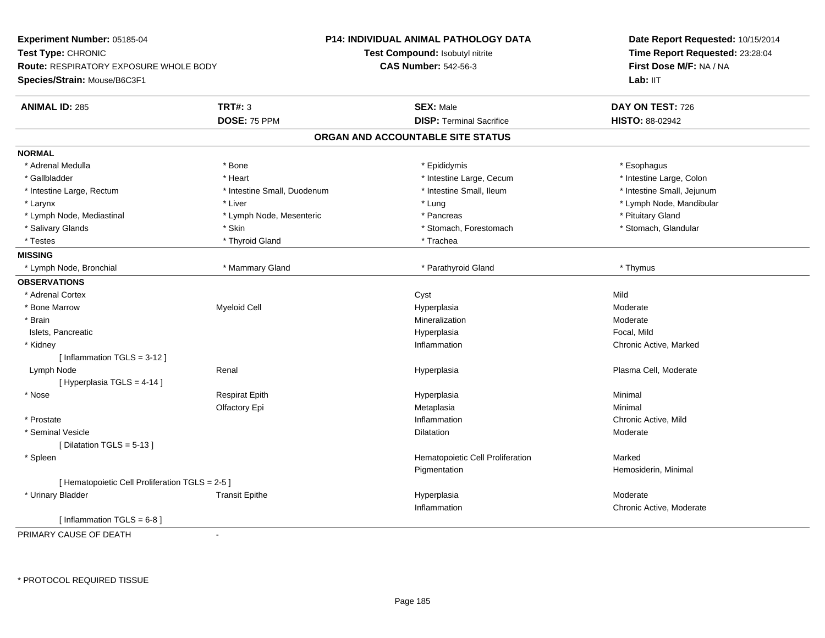**Experiment Number:** 05185-04**Test Type:** CHRONIC **Route:** RESPIRATORY EXPOSURE WHOLE BODY**Species/Strain:** Mouse/B6C3F1**P14: INDIVIDUAL ANIMAL PATHOLOGY DATATest Compound:** Isobutyl nitrite**CAS Number:** 542-56-3**Date Report Requested:** 10/15/2014**Time Report Requested:** 23:28:04**First Dose M/F:** NA / NALab: IIT **ANIMAL ID:** 285 **TRT#:** <sup>3</sup> **SEX:** Male **DAY ON TEST:** <sup>726</sup> **DOSE:** 75 PPM **DISP:** Terminal Sacrifice **HISTO:** 88-02942 **ORGAN AND ACCOUNTABLE SITE STATUSNORMAL**\* Adrenal Medulla \* Adrenal Medulla \* \* \* example \* \* Bone \* \* \* Bone \* \* Epididymis \* \* Epididymis \* \* \* Esophagus \* Esophagus \* \* Esophagus \* \* Esophagus \* \* Esophagus \* \* Esophagus \* \* Esophagus \* \* Esophagus \* \* \* \* \* \* \* \* \* \* \* \* \* \* \* Intestine Large, Colon \* Gallbladder \* The mode of the state of the state of the state of the state of the state of the state of the state of the state of the state of the state of the state of the state of the state of the state of the state of \* Intestine Large, Rectum \* Thestine Small, Duodenum \* Number of the small, Ileum \* Intestine Small, Jejunum \* Intestine Small, Jejunum \* Larynx \* Liver \* Lung \* Lymph Node, Mandibular \* Lymph Node, Mediastinal \* Lymph Node, Mesenteric \* \* Pancreas \* Pancreas \* Pituitary Gland \* Stomach, Glandular \* Salivary Glands \* Stomach, Forestomach \* Skin \* Skin \* Stomach, Forestomach \* Stomach, Forestomach \* Testes \* Thyroid Gland \* Thyroid Gland \* Trachea **MISSING** \* Lymph Node, Bronchial \* Mammary Gland \* Parathyroid Gland \* Thymus**OBSERVATIONS** \* Adrenal Cortex**Example 19** September 2014 11:30 Nild Nild September 2014 12:30 Nild Nild September 2014 12:30 Nild Nild September 2014 12:30 Nild September 2014 12:30 Nild September 2014 12:30 Nild September 2014 12:30 Nild September 20 Moderate \* Bone Marroww and the method of the Myeloid Cell and the Moderate Hyperplasia and the Moderate of Moderate Moderate Moderate  $\mathsf{M}$  \* Brainn and the controller of the controller of the Mineralization and the Moderate of the Moderate of the Moderate  $\sim$  Moderate of the controller of the controller of the controller of the controller of the controller of the c Islets, Pancreaticc and the contract of the contract of the contract of the contract of the contract of the contract of the contract of the contract of the contract of the contract of the contract of the contract of the contract of the cont Hyperplasia and the matrix of the Focal, Mild<br>
Inflammation and the Chronic Actor of the Chronic Actor of the Chronic Actor of the Chronic Actor of the United States \* Kidneyy the control of the control of the control of the control of the control of the control of the control of the control of the control of the control of the control of the control of the control of the control of the contro Chronic Active, Marked [ Inflammation TGLS = 3-12 ] Lymph Node Renal Hyperplasia Plasma Cell, Moderate [ Hyperplasia TGLS = 4-14 ] \* Nose Respirat Epith Hyperplasia Minimal Olfactory Epi Metaplasiaa **Minimal**  \* Prostatee the contractive of the contraction of the contraction of the contraction of the chronic Active, Mild \* Seminal Vesiclee de la contraction de la contraction de la contraction de la contraction de la contraction de la contraction de la contraction de la contraction de la contraction de la contraction de la contraction de la contraction de l [ Dilatation TGLS = 5-13 ] \* SpleenHematopoietic Cell Proliferation Marked Pigmentation Hemosiderin, Minimal [ Hematopoietic Cell Proliferation TGLS = 2-5 ] \* Urinary Bladder Transit Epithee and the Hyperplasia measurement of the Moderate of the Moderate of the Moderate  $\mathsf{M}$ Inflammation Chronic Active, Moderate  $[$  Inflammation TGLS = 6-8  $]$ 

PRIMARY CAUSE OF DEATH-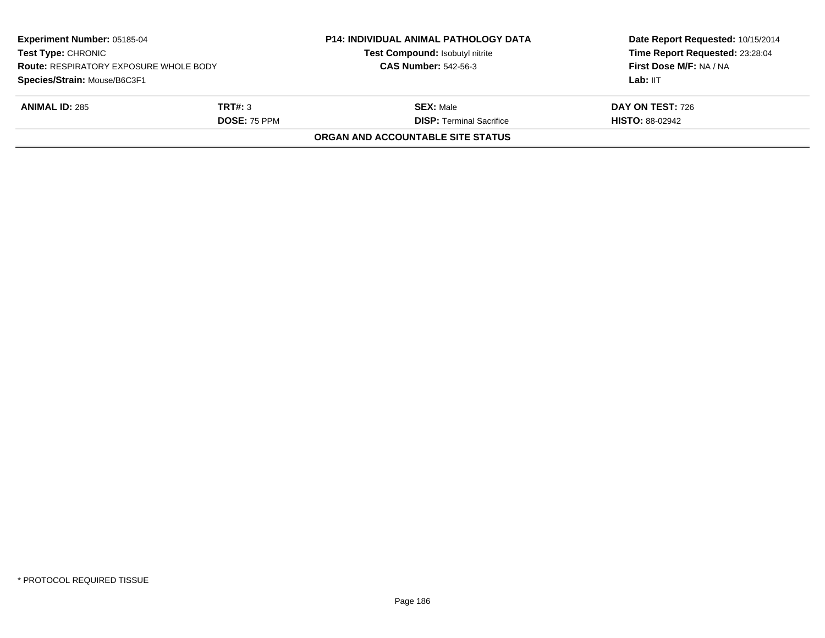| <b>Experiment Number: 05185-04</b><br><b>Test Type: CHRONIC</b><br><b>Route: RESPIRATORY EXPOSURE WHOLE BODY</b><br>Species/Strain: Mouse/B6C3F1 |                     | <b>P14: INDIVIDUAL ANIMAL PATHOLOGY DATA</b><br>Test Compound: Isobutyl nitrite | Date Report Requested: 10/15/2014<br>Time Report Requested: 23:28:04<br>First Dose M/F: NA / NA |
|--------------------------------------------------------------------------------------------------------------------------------------------------|---------------------|---------------------------------------------------------------------------------|-------------------------------------------------------------------------------------------------|
|                                                                                                                                                  |                     | <b>CAS Number: 542-56-3</b>                                                     |                                                                                                 |
|                                                                                                                                                  |                     |                                                                                 | Lab: IIT                                                                                        |
| <b>ANIMAL ID: 285</b>                                                                                                                            | TRT#: 3             | <b>SEX: Male</b>                                                                | DAY ON TEST: 726                                                                                |
|                                                                                                                                                  | <b>DOSE: 75 PPM</b> | <b>DISP: Terminal Sacrifice</b>                                                 | <b>HISTO: 88-02942</b>                                                                          |
|                                                                                                                                                  |                     | ORGAN AND ACCOUNTABLE SITE STATUS                                               |                                                                                                 |
|                                                                                                                                                  |                     |                                                                                 |                                                                                                 |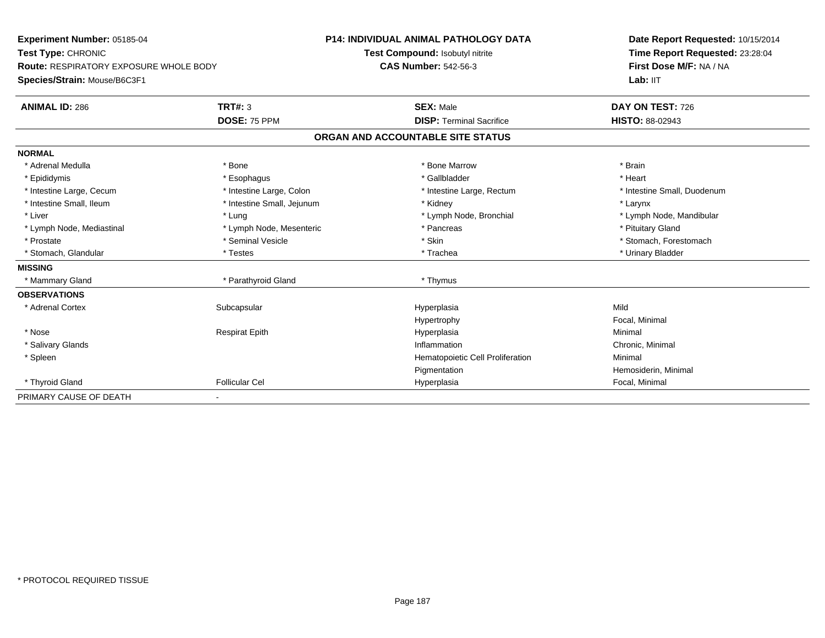| Experiment Number: 05185-04<br>Test Type: CHRONIC<br><b>Route: RESPIRATORY EXPOSURE WHOLE BODY</b> |                            | <b>P14: INDIVIDUAL ANIMAL PATHOLOGY DATA</b> | Date Report Requested: 10/15/2014                          |  |
|----------------------------------------------------------------------------------------------------|----------------------------|----------------------------------------------|------------------------------------------------------------|--|
|                                                                                                    |                            | Test Compound: Isobutyl nitrite              | Time Report Requested: 23:28:04<br>First Dose M/F: NA / NA |  |
|                                                                                                    |                            | <b>CAS Number: 542-56-3</b>                  |                                                            |  |
| Species/Strain: Mouse/B6C3F1                                                                       |                            |                                              | Lab: IIT                                                   |  |
| <b>ANIMAL ID: 286</b>                                                                              | TRT#: 3                    | <b>SEX: Male</b>                             | DAY ON TEST: 726                                           |  |
|                                                                                                    | DOSE: 75 PPM               | <b>DISP: Terminal Sacrifice</b>              | HISTO: 88-02943                                            |  |
|                                                                                                    |                            | ORGAN AND ACCOUNTABLE SITE STATUS            |                                                            |  |
| <b>NORMAL</b>                                                                                      |                            |                                              |                                                            |  |
| * Adrenal Medulla                                                                                  | * Bone                     | * Bone Marrow                                | * Brain                                                    |  |
| * Epididymis                                                                                       | * Esophagus                | * Gallbladder                                | * Heart                                                    |  |
| * Intestine Large, Cecum                                                                           | * Intestine Large, Colon   | * Intestine Large, Rectum                    | * Intestine Small, Duodenum                                |  |
| * Intestine Small, Ileum                                                                           | * Intestine Small, Jejunum | * Kidney                                     | * Larynx                                                   |  |
| * Liver                                                                                            | * Lung                     | * Lymph Node, Bronchial                      | * Lymph Node, Mandibular                                   |  |
| * Lymph Node, Mediastinal                                                                          | * Lymph Node, Mesenteric   | * Pancreas                                   | * Pituitary Gland                                          |  |
| * Prostate                                                                                         | * Seminal Vesicle          | * Skin                                       | * Stomach, Forestomach                                     |  |
| * Stomach, Glandular                                                                               | * Testes                   | * Trachea                                    | * Urinary Bladder                                          |  |
| <b>MISSING</b>                                                                                     |                            |                                              |                                                            |  |
| * Mammary Gland                                                                                    | * Parathyroid Gland        | * Thymus                                     |                                                            |  |
| <b>OBSERVATIONS</b>                                                                                |                            |                                              |                                                            |  |
| * Adrenal Cortex                                                                                   | Subcapsular                | Hyperplasia                                  | Mild                                                       |  |
|                                                                                                    |                            | Hypertrophy                                  | Focal, Minimal                                             |  |
| * Nose                                                                                             | <b>Respirat Epith</b>      | Hyperplasia                                  | Minimal                                                    |  |
| * Salivary Glands                                                                                  |                            | Inflammation                                 | Chronic, Minimal                                           |  |
| * Spleen                                                                                           |                            | Hematopoietic Cell Proliferation             | Minimal                                                    |  |
|                                                                                                    |                            | Pigmentation                                 | Hemosiderin, Minimal                                       |  |
| * Thyroid Gland                                                                                    | <b>Follicular Cel</b>      | Hyperplasia                                  | Focal, Minimal                                             |  |
| PRIMARY CAUSE OF DEATH                                                                             |                            |                                              |                                                            |  |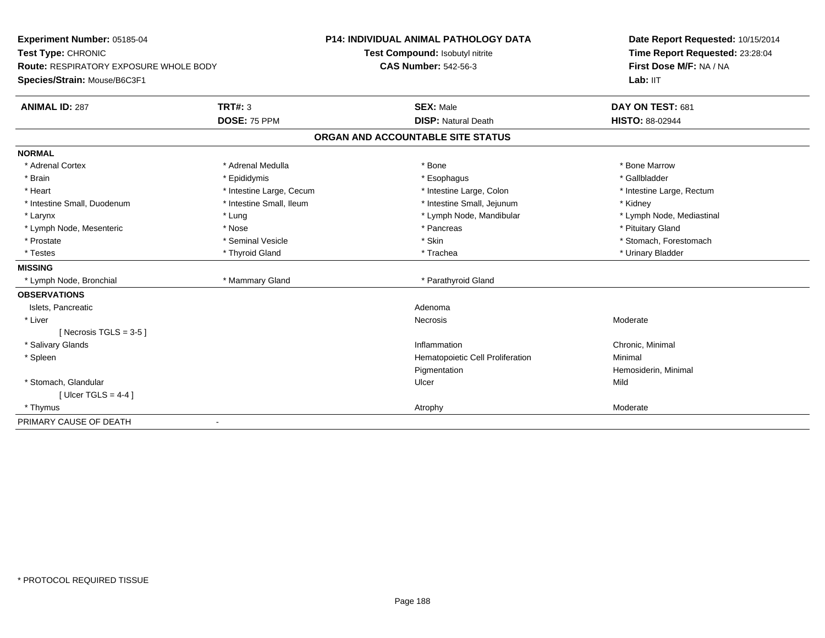| Experiment Number: 05185-04            |                          | <b>P14: INDIVIDUAL ANIMAL PATHOLOGY DATA</b> | Date Report Requested: 10/15/2014 |  |
|----------------------------------------|--------------------------|----------------------------------------------|-----------------------------------|--|
| Test Type: CHRONIC                     |                          | Test Compound: Isobutyl nitrite              | Time Report Requested: 23:28:04   |  |
| Route: RESPIRATORY EXPOSURE WHOLE BODY |                          | <b>CAS Number: 542-56-3</b>                  | First Dose M/F: NA / NA           |  |
| Species/Strain: Mouse/B6C3F1           |                          |                                              | Lab: IIT                          |  |
| <b>ANIMAL ID: 287</b>                  | TRT#: 3                  | <b>SEX: Male</b>                             | DAY ON TEST: 681                  |  |
|                                        | DOSE: 75 PPM             | <b>DISP: Natural Death</b>                   | <b>HISTO: 88-02944</b>            |  |
|                                        |                          | ORGAN AND ACCOUNTABLE SITE STATUS            |                                   |  |
| <b>NORMAL</b>                          |                          |                                              |                                   |  |
| * Adrenal Cortex                       | * Adrenal Medulla        | * Bone                                       | * Bone Marrow                     |  |
| * Brain                                | * Epididymis             | * Esophagus                                  | * Gallbladder                     |  |
| * Heart                                | * Intestine Large, Cecum | * Intestine Large, Colon                     | * Intestine Large, Rectum         |  |
| * Intestine Small, Duodenum            | * Intestine Small, Ileum | * Intestine Small, Jejunum                   | * Kidney                          |  |
| * Larynx                               | * Lung                   | * Lymph Node, Mandibular                     | * Lymph Node, Mediastinal         |  |
| * Lymph Node, Mesenteric               | * Nose                   | * Pancreas                                   | * Pituitary Gland                 |  |
| * Prostate                             | * Seminal Vesicle        | * Skin                                       | * Stomach, Forestomach            |  |
| * Testes                               | * Thyroid Gland          | * Trachea                                    | * Urinary Bladder                 |  |
| <b>MISSING</b>                         |                          |                                              |                                   |  |
| * Lymph Node, Bronchial                | * Mammary Gland          | * Parathyroid Gland                          |                                   |  |
| <b>OBSERVATIONS</b>                    |                          |                                              |                                   |  |
| Islets, Pancreatic                     |                          | Adenoma                                      |                                   |  |
| * Liver                                |                          | Necrosis                                     | Moderate                          |  |
| [Necrosis TGLS = $3-5$ ]               |                          |                                              |                                   |  |
| * Salivary Glands                      |                          | Inflammation                                 | Chronic, Minimal                  |  |
| * Spleen                               |                          | Hematopoietic Cell Proliferation             | Minimal                           |  |
|                                        |                          | Pigmentation                                 | Hemosiderin, Minimal              |  |
| * Stomach, Glandular                   |                          | Ulcer                                        | Mild                              |  |
| [Ulcer TGLS = $4-4$ ]                  |                          |                                              |                                   |  |
| * Thymus                               |                          | Atrophy                                      | Moderate                          |  |
| PRIMARY CAUSE OF DEATH                 |                          |                                              |                                   |  |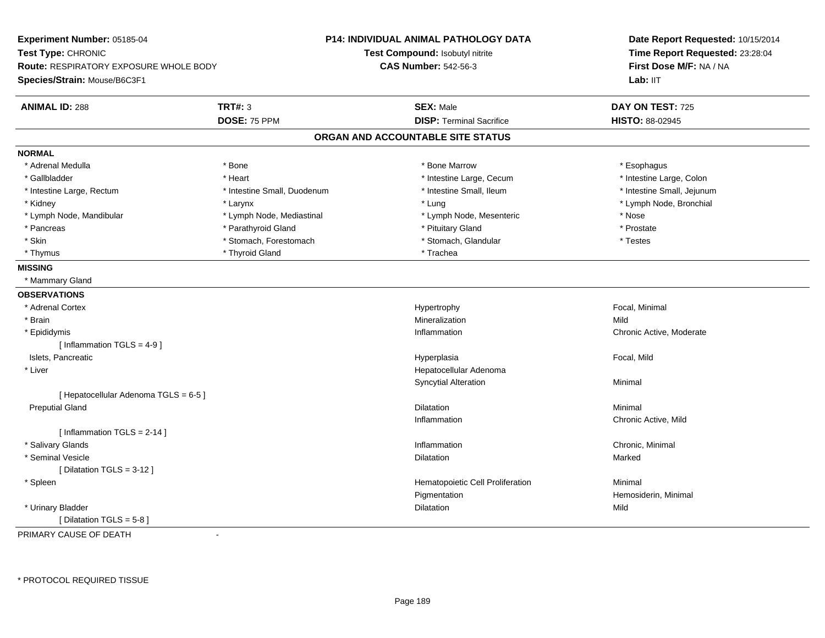**Experiment Number:** 05185-04**Test Type:** CHRONIC **Route:** RESPIRATORY EXPOSURE WHOLE BODY**Species/Strain:** Mouse/B6C3F1**P14: INDIVIDUAL ANIMAL PATHOLOGY DATATest Compound:** Isobutyl nitrite**CAS Number:** 542-56-3**Date Report Requested:** 10/15/2014**Time Report Requested:** 23:28:04**First Dose M/F:** NA / NALab: IIT **ANIMAL ID:** 288**TRT#:** 3 **SEX:** Male **DAY ON TEST:** 725 **DOSE:** 75 PPM **DISP:** Terminal Sacrifice **HISTO:** 88-02945 **ORGAN AND ACCOUNTABLE SITE STATUSNORMAL**\* Adrenal Medulla \* Adrenal Medulla \* \* The matter of the state of the state of the state of the state of the state of the state of the state of the state of the state of the state of the state of the state of the state of the state of the \* Intestine Large, Colon \* Gallbladder \* The mode of the state of the state of the state of the state of the state of the state of the state of the state of the state of the state of the state of the state of the state of the state of the state of \* Intestine Large, Rectum \* Thestine Small, Duodenum \* Number of the small, Ileum \* Intestine Small, Jejunum \* Intestine Small, Jejunum \* Kidney \* Larynx \* Lung \* Lymph Node, Bronchial \* Lymph Node, Mandibular \* The state of the state of the Mediastinal \* Lymph Node, Mesenteric \* Nose \* Prostate \* Pancreas \* Parathyroid Gland \* Parathyroid Gland \* \* Prituitary Gland \* Testes \* Skin \* Stomach, Forestomach \* Stomach \* Stomach \* Stomach \* Stomach \* Stomach, Glandular \* Thyrnus \* Thyroid Gland \* Thyroid Gland \* The \* Trachea **MISSING** \* Mammary Gland**OBSERVATIONS** \* Adrenal Cortex Hypertrophy Focal, Minimal \* Brainn and the control of the control of the control of the control of the control of the control of the control of the control of the control of the control of the control of the control of the control of the control of the co \* Epididymiss and the contract of the contract of the contract of the contract of the contract of the contract of the contract of the contract of the contract of the contract of the contract of the contract of the contract of the cont Chronic Active, Moderate  $[$  Inflammation TGLS = 4-9  $]$  Islets, Pancreaticc and the contract of the contract of the contract of the contract of the contract of the contract of the contract of the contract of the contract of the contract of the contract of the contract of the contract of the cont Hyperplasia **Exercía Expansion Exercía Exercía Exercía Exercía Exercía Exercía Exercía Exercía Exercía Exercí**  \* Liver Hepatocellular AdenomaSyncytial Alterationn Minimal [ Hepatocellular Adenoma TGLS = 6-5 ] Preputial Glandd and the control of the control of the control of the control of the control of the control of the control of the control of the control of the control of the control of the control of the control of the control of the co Inflammation Chronic Active, Mild [ Inflammation TGLS = 2-14 ] \* Salivary Glandss and the contract of the contract of the contract of the contract of the contract of the contract of the contract of the contract of the contract of the contract of the contract of the contract of the contract of the cont Inflammation **Chronic, Minimal**<br>
Dilatation **Marked** Marked \* Seminal Vesiclee and the state of the state of the state of the Marked School and the Marked School and the Marked School and [ Dilatation TGLS = 3-12 ] \* SpleenHematopoietic Cell Proliferation Minimal Pigmentation Hemosiderin, Minimal \* Urinary Bladder**n** Dilatation **Contract Contract Contract Contract Contract Contract Contract Contract Contract Contract Contract Contract Contract Contract Contract Contract Contract Contract Contract Contract Contract Contract Contract** n Mild [ Dilatation TGLS = 5-8 ]

PRIMARY CAUSE OF DEATH-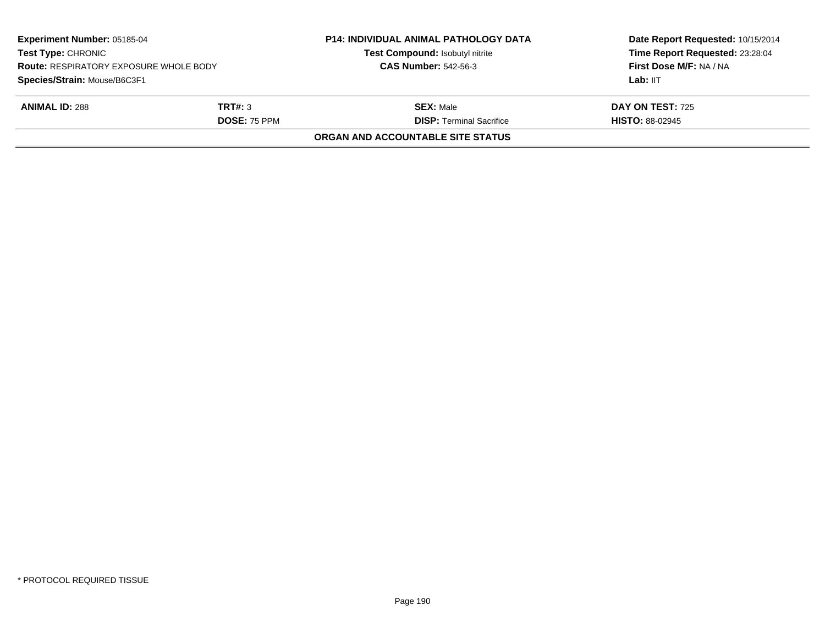|                     | Test Compound: Isobutyl nitrite               | Date Report Requested: 10/15/2014<br>Time Report Requested: 23:28:04<br>First Dose M/F: NA / NA |
|---------------------|-----------------------------------------------|-------------------------------------------------------------------------------------------------|
|                     |                                               | Lab: IIT                                                                                        |
| TRT#: 3             | <b>SEX: Male</b>                              | <b>DAY ON TEST: 725</b>                                                                         |
| <b>DOSE: 75 PPM</b> | <b>DISP: Terminal Sacrifice</b>               | <b>HISTO: 88-02945</b>                                                                          |
|                     | ORGAN AND ACCOUNTABLE SITE STATUS             |                                                                                                 |
|                     | <b>Route: RESPIRATORY EXPOSURE WHOLE BODY</b> | <b>CAS Number: 542-56-3</b>                                                                     |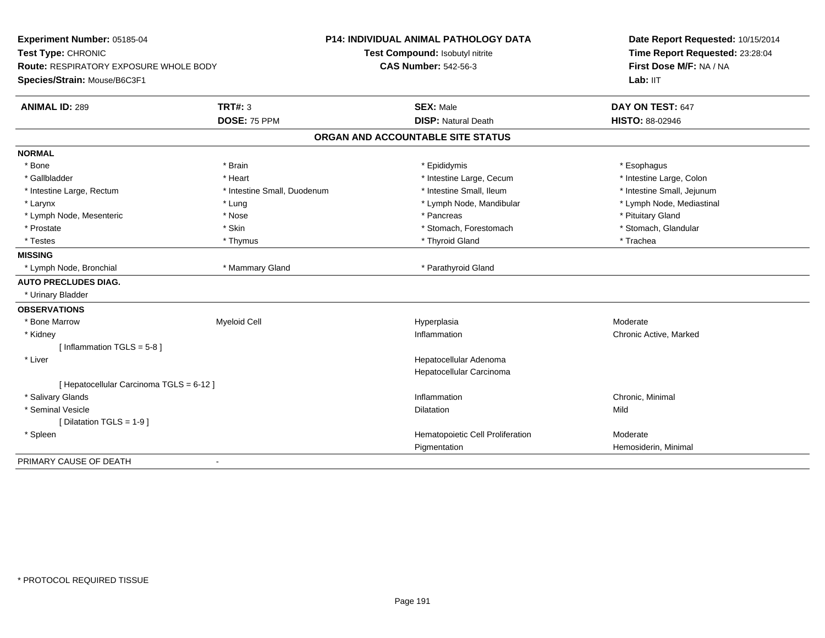| Experiment Number: 05185-04                   |                             | <b>P14: INDIVIDUAL ANIMAL PATHOLOGY DATA</b> | Date Report Requested: 10/15/2014 |  |
|-----------------------------------------------|-----------------------------|----------------------------------------------|-----------------------------------|--|
| Test Type: CHRONIC                            |                             | Test Compound: Isobutyl nitrite              | Time Report Requested: 23:28:04   |  |
| <b>Route: RESPIRATORY EXPOSURE WHOLE BODY</b> |                             | <b>CAS Number: 542-56-3</b>                  | First Dose M/F: NA / NA           |  |
| Species/Strain: Mouse/B6C3F1                  |                             |                                              | Lab: IIT                          |  |
| <b>ANIMAL ID: 289</b>                         | <b>TRT#: 3</b>              | <b>SEX: Male</b>                             | DAY ON TEST: 647                  |  |
|                                               | DOSE: 75 PPM                | <b>DISP: Natural Death</b>                   | <b>HISTO: 88-02946</b>            |  |
|                                               |                             | ORGAN AND ACCOUNTABLE SITE STATUS            |                                   |  |
| <b>NORMAL</b>                                 |                             |                                              |                                   |  |
| * Bone                                        | * Brain                     | * Epididymis                                 | * Esophagus                       |  |
| * Gallbladder                                 | * Heart                     | * Intestine Large, Cecum                     | * Intestine Large, Colon          |  |
| * Intestine Large, Rectum                     | * Intestine Small, Duodenum | * Intestine Small, Ileum                     | * Intestine Small, Jejunum        |  |
| * Larynx                                      | * Lung                      | * Lymph Node, Mandibular                     | * Lymph Node, Mediastinal         |  |
| * Lymph Node, Mesenteric                      | * Nose                      | * Pancreas                                   | * Pituitary Gland                 |  |
| * Prostate                                    | * Skin                      | * Stomach, Forestomach                       | * Stomach, Glandular              |  |
| * Testes                                      | * Thymus                    | * Thyroid Gland                              | * Trachea                         |  |
| <b>MISSING</b>                                |                             |                                              |                                   |  |
| * Lymph Node, Bronchial                       | * Mammary Gland             | * Parathyroid Gland                          |                                   |  |
| <b>AUTO PRECLUDES DIAG.</b>                   |                             |                                              |                                   |  |
| * Urinary Bladder                             |                             |                                              |                                   |  |
| <b>OBSERVATIONS</b>                           |                             |                                              |                                   |  |
| * Bone Marrow                                 | <b>Myeloid Cell</b>         | Hyperplasia                                  | Moderate                          |  |
| * Kidney                                      |                             | Inflammation                                 | Chronic Active, Marked            |  |
| [Inflammation TGLS = $5-8$ ]                  |                             |                                              |                                   |  |
| * Liver                                       |                             | Hepatocellular Adenoma                       |                                   |  |
|                                               |                             | Hepatocellular Carcinoma                     |                                   |  |
| [ Hepatocellular Carcinoma TGLS = 6-12 ]      |                             |                                              |                                   |  |
| * Salivary Glands                             |                             | Inflammation                                 | Chronic, Minimal                  |  |
| * Seminal Vesicle                             |                             | Dilatation                                   | Mild                              |  |
| [ Dilatation TGLS = 1-9 ]                     |                             |                                              |                                   |  |
| * Spleen                                      |                             | Hematopoietic Cell Proliferation             | Moderate                          |  |
|                                               |                             | Pigmentation                                 | Hemosiderin, Minimal              |  |
| PRIMARY CAUSE OF DEATH                        |                             |                                              |                                   |  |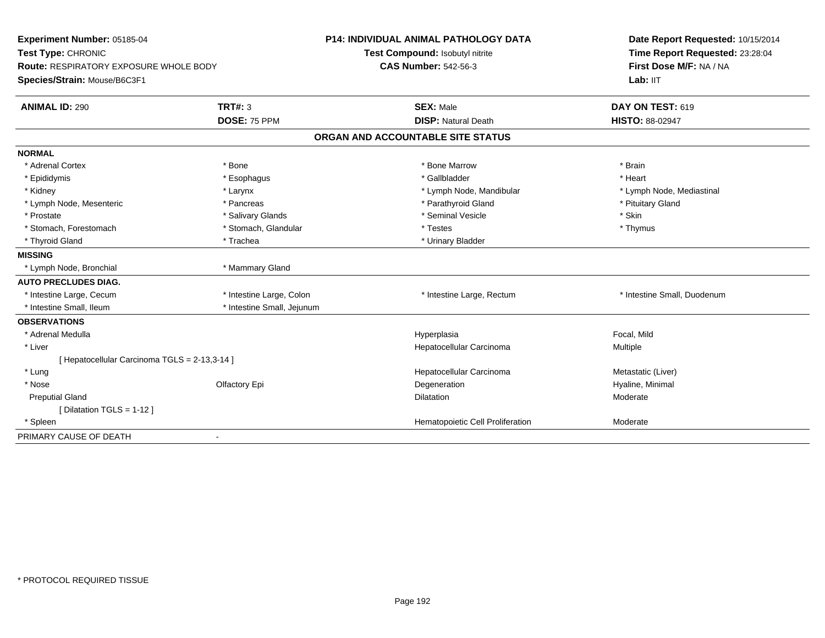| Experiment Number: 05185-04<br>Test Type: CHRONIC<br><b>Route: RESPIRATORY EXPOSURE WHOLE BODY</b><br>Species/Strain: Mouse/B6C3F1 |                            | <b>P14: INDIVIDUAL ANIMAL PATHOLOGY DATA</b><br>Test Compound: Isobutyl nitrite<br><b>CAS Number: 542-56-3</b> | Date Report Requested: 10/15/2014<br>Time Report Requested: 23:28:04<br>First Dose M/F: NA / NA<br>Lab: IIT |
|------------------------------------------------------------------------------------------------------------------------------------|----------------------------|----------------------------------------------------------------------------------------------------------------|-------------------------------------------------------------------------------------------------------------|
| <b>ANIMAL ID: 290</b>                                                                                                              | <b>TRT#: 3</b>             | <b>SEX: Male</b>                                                                                               | DAY ON TEST: 619                                                                                            |
|                                                                                                                                    | DOSE: 75 PPM               | <b>DISP: Natural Death</b>                                                                                     | HISTO: 88-02947                                                                                             |
|                                                                                                                                    |                            | ORGAN AND ACCOUNTABLE SITE STATUS                                                                              |                                                                                                             |
| <b>NORMAL</b>                                                                                                                      |                            |                                                                                                                |                                                                                                             |
| * Adrenal Cortex                                                                                                                   | * Bone                     | * Bone Marrow                                                                                                  | * Brain                                                                                                     |
| * Epididymis                                                                                                                       | * Esophagus                | * Gallbladder                                                                                                  | * Heart                                                                                                     |
| * Kidney                                                                                                                           | * Larynx                   | * Lymph Node, Mandibular                                                                                       | * Lymph Node, Mediastinal                                                                                   |
| * Lymph Node, Mesenteric                                                                                                           | * Pancreas                 | * Parathyroid Gland                                                                                            | * Pituitary Gland                                                                                           |
| * Prostate                                                                                                                         | * Salivary Glands          | * Seminal Vesicle                                                                                              | * Skin                                                                                                      |
| * Stomach, Forestomach                                                                                                             | * Stomach, Glandular       | * Testes                                                                                                       | * Thymus                                                                                                    |
| * Thyroid Gland                                                                                                                    | * Trachea                  | * Urinary Bladder                                                                                              |                                                                                                             |
| <b>MISSING</b>                                                                                                                     |                            |                                                                                                                |                                                                                                             |
| * Lymph Node, Bronchial                                                                                                            | * Mammary Gland            |                                                                                                                |                                                                                                             |
| <b>AUTO PRECLUDES DIAG.</b>                                                                                                        |                            |                                                                                                                |                                                                                                             |
| * Intestine Large, Cecum                                                                                                           | * Intestine Large, Colon   | * Intestine Large, Rectum                                                                                      | * Intestine Small, Duodenum                                                                                 |
| * Intestine Small, Ileum                                                                                                           | * Intestine Small, Jejunum |                                                                                                                |                                                                                                             |
| <b>OBSERVATIONS</b>                                                                                                                |                            |                                                                                                                |                                                                                                             |
| * Adrenal Medulla                                                                                                                  |                            | Hyperplasia                                                                                                    | Focal, Mild                                                                                                 |
| * Liver                                                                                                                            |                            | Hepatocellular Carcinoma                                                                                       | Multiple                                                                                                    |
| [Hepatocellular Carcinoma TGLS = 2-13,3-14]                                                                                        |                            |                                                                                                                |                                                                                                             |
| * Lung                                                                                                                             |                            | Hepatocellular Carcinoma                                                                                       | Metastatic (Liver)                                                                                          |
| * Nose                                                                                                                             | Olfactory Epi              | Degeneration                                                                                                   | Hyaline, Minimal                                                                                            |
| <b>Preputial Gland</b>                                                                                                             |                            | Dilatation                                                                                                     | Moderate                                                                                                    |
| [Dilatation TGLS = 1-12]                                                                                                           |                            |                                                                                                                |                                                                                                             |
| * Spleen                                                                                                                           |                            | Hematopoietic Cell Proliferation                                                                               | Moderate                                                                                                    |
| PRIMARY CAUSE OF DEATH                                                                                                             | $\blacksquare$             |                                                                                                                |                                                                                                             |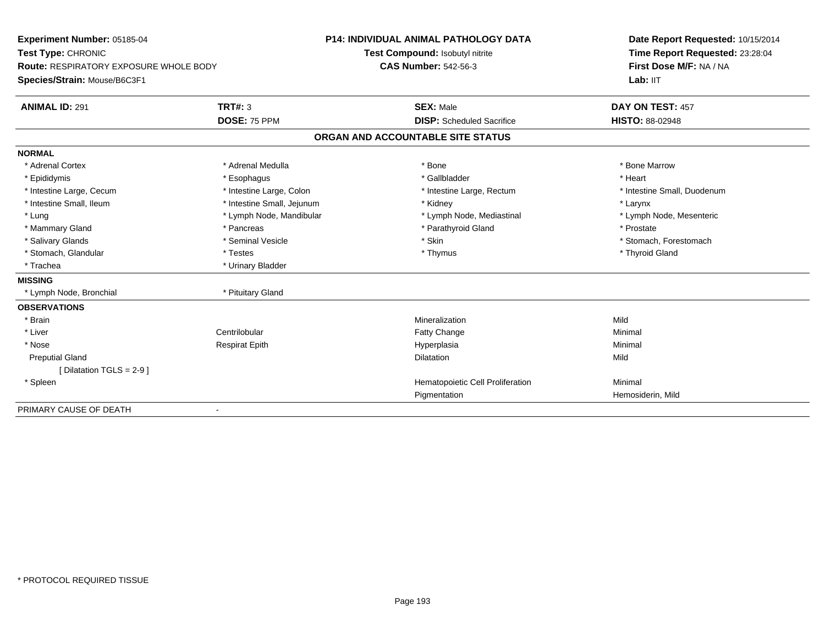| Experiment Number: 05185-04                   |                                 | <b>P14: INDIVIDUAL ANIMAL PATHOLOGY DATA</b> | Date Report Requested: 10/15/2014 |  |
|-----------------------------------------------|---------------------------------|----------------------------------------------|-----------------------------------|--|
| Test Type: CHRONIC                            | Test Compound: Isobutyl nitrite |                                              | Time Report Requested: 23:28:04   |  |
| <b>Route: RESPIRATORY EXPOSURE WHOLE BODY</b> |                                 | <b>CAS Number: 542-56-3</b>                  | First Dose M/F: NA / NA           |  |
| Species/Strain: Mouse/B6C3F1                  |                                 |                                              | Lab: IIT                          |  |
| <b>ANIMAL ID: 291</b>                         | <b>TRT#: 3</b>                  | <b>SEX: Male</b>                             | DAY ON TEST: 457                  |  |
|                                               | DOSE: 75 PPM                    | <b>DISP:</b> Scheduled Sacrifice             | <b>HISTO: 88-02948</b>            |  |
|                                               |                                 | ORGAN AND ACCOUNTABLE SITE STATUS            |                                   |  |
| <b>NORMAL</b>                                 |                                 |                                              |                                   |  |
| * Adrenal Cortex                              | * Adrenal Medulla               | * Bone                                       | * Bone Marrow                     |  |
| * Epididymis                                  | * Esophagus                     | * Gallbladder                                | * Heart                           |  |
| * Intestine Large, Cecum                      | * Intestine Large, Colon        | * Intestine Large, Rectum                    | * Intestine Small, Duodenum       |  |
| * Intestine Small, Ileum                      | * Intestine Small, Jejunum      | * Kidney                                     | * Larynx                          |  |
| * Lung                                        | * Lymph Node, Mandibular        | * Lymph Node, Mediastinal                    | * Lymph Node, Mesenteric          |  |
| * Mammary Gland                               | * Pancreas                      | * Parathyroid Gland                          | * Prostate                        |  |
| * Salivary Glands                             | * Seminal Vesicle               | * Skin                                       | * Stomach. Forestomach            |  |
| * Stomach, Glandular                          | * Testes                        | * Thymus                                     | * Thyroid Gland                   |  |
| * Trachea                                     | * Urinary Bladder               |                                              |                                   |  |
| <b>MISSING</b>                                |                                 |                                              |                                   |  |
| * Lymph Node, Bronchial                       | * Pituitary Gland               |                                              |                                   |  |
| <b>OBSERVATIONS</b>                           |                                 |                                              |                                   |  |
| * Brain                                       |                                 | Mineralization                               | Mild                              |  |
| * Liver                                       | Centrilobular                   | Fatty Change                                 | Minimal                           |  |
| * Nose                                        | <b>Respirat Epith</b>           | Hyperplasia                                  | Minimal                           |  |
| <b>Preputial Gland</b>                        |                                 | <b>Dilatation</b>                            | Mild                              |  |
| Dilatation TGLS = 2-9 1                       |                                 |                                              |                                   |  |
| * Spleen                                      |                                 | Hematopoietic Cell Proliferation             | Minimal                           |  |
|                                               |                                 | Pigmentation                                 | Hemosiderin, Mild                 |  |
| PRIMARY CAUSE OF DEATH                        | $\overline{\phantom{a}}$        |                                              |                                   |  |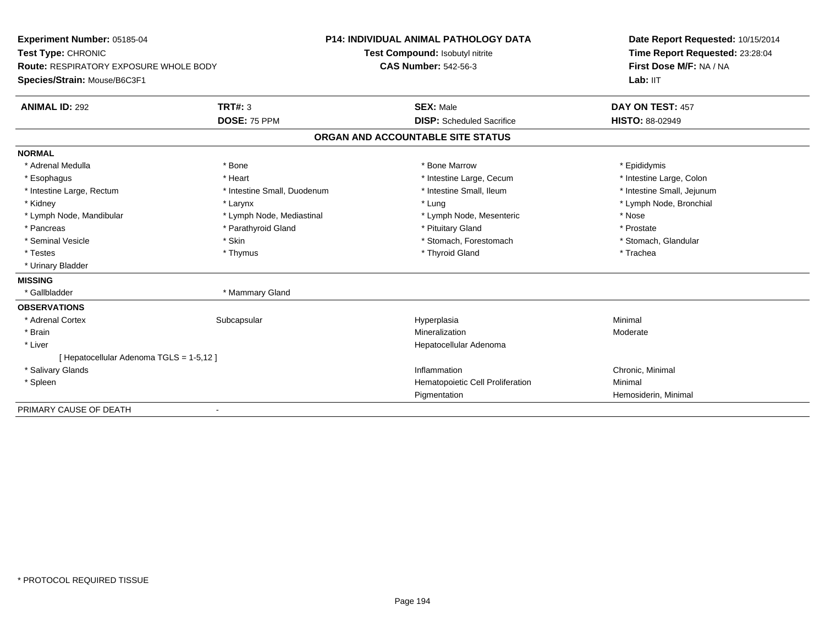**Experiment Number:** 05185-04**Test Type:** CHRONIC **Route:** RESPIRATORY EXPOSURE WHOLE BODY**Species/Strain:** Mouse/B6C3F1**P14: INDIVIDUAL ANIMAL PATHOLOGY DATATest Compound:** Isobutyl nitrite**CAS Number:** 542-56-3**Date Report Requested:** 10/15/2014**Time Report Requested:** 23:28:04**First Dose M/F:** NA / NA**Lab:** IIT**ANIMAL ID:** 292**TRT#:** 3 **SEX:** Male **DAY ON TEST:** 457 **DOSE:** 75 PPM **DISP:** Scheduled Sacrifice **HISTO:** 88-02949 **ORGAN AND ACCOUNTABLE SITE STATUSNORMAL**\* Adrenal Medulla \* Adrenal Medulla \* \* The matter of the state of the state of the Marrow \* Bone Marrow \* Adrenal Medulla \* Epididymis \* Epididymis \* Bone Marrow \* Adrenal Medulla \* Epididymis \* Epididymis \* Epididymis \* Epididymis \* Epidi \* Intestine Large, Colon \* Esophagus \* **Heart \* Intestine Large, Cecum \* Intestine Large, Cecum \*** Intestine Large, Cecum \* Intestine Small, Jejunum \* Intestine Large, Rectum \* Intestine Small, Duodenum \* Intestine Small, Ileum \* Intestine Small, Ileum \* Kidney \* Larynx \* Lung \* Lymph Node, Bronchial \* Lymph Node, Mandibular \* Mose \* Lymph Node, Mediastinal \* Nose \* Lymph Node, Mesenteric \* Nose \* Nose \* Prostate \* Pancreas \* Parathyroid Gland \* Parathyroid Gland \* \* Prituitary Gland \* Seminal Vesicle \* The store and the set of Stomach \* Stomach, Forestomach \* Stomach, The stomach, Slandular \* Stomach, Glandular \* Testes \* Thymus \* Thyroid Gland \* Trachea \* Urinary Bladder**MISSING**\* Gallbladder \* Mammary Gland **OBSERVATIONS** \* Adrenal Cortexx Subcapsular Subcapsular Subsets and Hyperplasia a **Minimal**  \* Brainn and the controller of the controller of the Mineralization and the Moderate of the Moderate of the Moderate  $\sim$  Moderate of the controller of the controller of the controller of the controller of the controller of the c \* Liver Hepatocellular Adenoma[ Hepatocellular Adenoma TGLS = 1-5,12 ] \* Salivary Glandss and the contract of the contract of the contract of the contract of the contract of the contract of the contract of the contract of the contract of the contract of the contract of the contract of the contract of the cont Inflammation Chronic, Minimal<br>
Hematopoietic Cell Proliferation Minimal Minimal \* SpleenHematopoietic Cell Proliferation Pigmentation Hemosiderin, Minimal PRIMARY CAUSE OF DEATH

-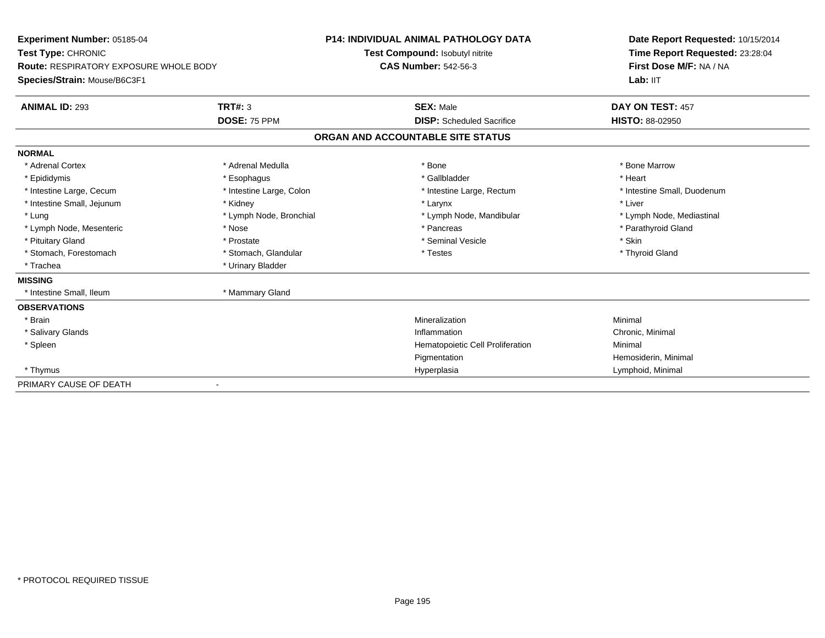| Experiment Number: 05185-04                   |                                 | <b>P14: INDIVIDUAL ANIMAL PATHOLOGY DATA</b> | Date Report Requested: 10/15/2014 |
|-----------------------------------------------|---------------------------------|----------------------------------------------|-----------------------------------|
| Test Type: CHRONIC                            | Test Compound: Isobutyl nitrite |                                              | Time Report Requested: 23:28:04   |
| <b>Route: RESPIRATORY EXPOSURE WHOLE BODY</b> |                                 | <b>CAS Number: 542-56-3</b>                  | First Dose M/F: NA / NA           |
| Species/Strain: Mouse/B6C3F1                  |                                 |                                              | Lab: IIT                          |
| <b>ANIMAL ID: 293</b>                         | <b>TRT#: 3</b>                  | <b>SEX: Male</b>                             | DAY ON TEST: 457                  |
|                                               | DOSE: 75 PPM                    | <b>DISP:</b> Scheduled Sacrifice             | <b>HISTO: 88-02950</b>            |
|                                               |                                 | ORGAN AND ACCOUNTABLE SITE STATUS            |                                   |
| <b>NORMAL</b>                                 |                                 |                                              |                                   |
| * Adrenal Cortex                              | * Adrenal Medulla               | * Bone                                       | * Bone Marrow                     |
| * Epididymis                                  | * Esophagus                     | * Gallbladder                                | * Heart                           |
| * Intestine Large, Cecum                      | * Intestine Large, Colon        | * Intestine Large, Rectum                    | * Intestine Small, Duodenum       |
| * Intestine Small, Jejunum                    | * Kidney                        | * Larynx                                     | * Liver                           |
| * Lung                                        | * Lymph Node, Bronchial         | * Lymph Node, Mandibular                     | * Lymph Node, Mediastinal         |
| * Lymph Node, Mesenteric                      | * Nose                          | * Pancreas                                   | * Parathyroid Gland               |
| * Pituitary Gland                             | * Prostate                      | * Seminal Vesicle                            | * Skin                            |
| * Stomach, Forestomach                        | * Stomach, Glandular            | * Testes                                     | * Thyroid Gland                   |
| * Trachea                                     | * Urinary Bladder               |                                              |                                   |
| <b>MISSING</b>                                |                                 |                                              |                                   |
| * Intestine Small, Ileum                      | * Mammary Gland                 |                                              |                                   |
| <b>OBSERVATIONS</b>                           |                                 |                                              |                                   |
| * Brain                                       |                                 | Mineralization                               | Minimal                           |
| * Salivary Glands                             |                                 | Inflammation                                 | Chronic, Minimal                  |
| * Spleen                                      |                                 | Hematopoietic Cell Proliferation             | Minimal                           |
|                                               |                                 | Pigmentation                                 | Hemosiderin, Minimal              |
| * Thymus                                      |                                 | Hyperplasia                                  | Lymphoid, Minimal                 |
| PRIMARY CAUSE OF DEATH                        |                                 |                                              |                                   |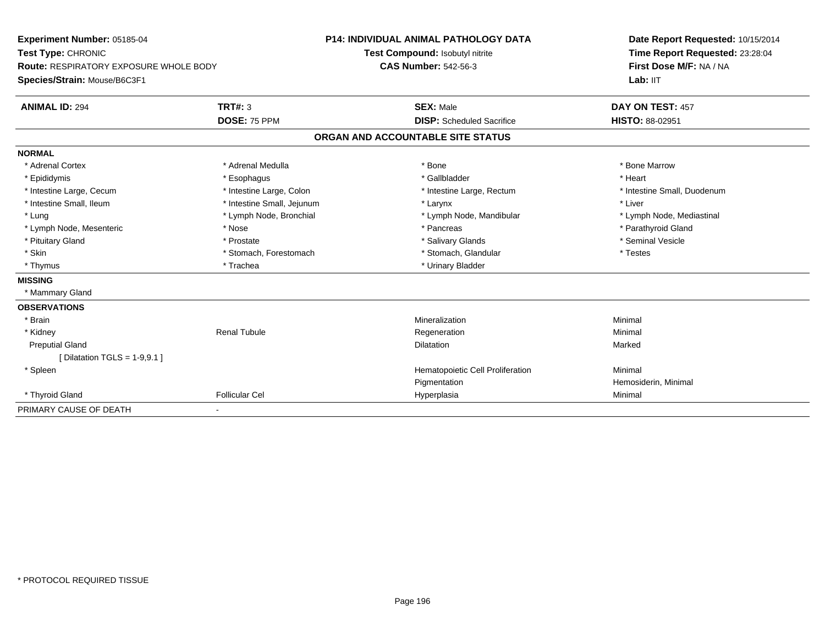| Experiment Number: 05185-04<br>Test Type: CHRONIC |                            | <b>P14: INDIVIDUAL ANIMAL PATHOLOGY DATA</b> | Date Report Requested: 10/15/2014<br>Time Report Requested: 23:28:04 |  |
|---------------------------------------------------|----------------------------|----------------------------------------------|----------------------------------------------------------------------|--|
|                                                   |                            | Test Compound: Isobutyl nitrite              |                                                                      |  |
| <b>Route: RESPIRATORY EXPOSURE WHOLE BODY</b>     |                            | <b>CAS Number: 542-56-3</b>                  | First Dose M/F: NA / NA                                              |  |
| Species/Strain: Mouse/B6C3F1                      |                            |                                              | Lab: IIT                                                             |  |
| <b>ANIMAL ID: 294</b>                             | <b>TRT#: 3</b>             | <b>SEX: Male</b>                             | DAY ON TEST: 457                                                     |  |
|                                                   | DOSE: 75 PPM               | <b>DISP:</b> Scheduled Sacrifice             | <b>HISTO: 88-02951</b>                                               |  |
|                                                   |                            | ORGAN AND ACCOUNTABLE SITE STATUS            |                                                                      |  |
| <b>NORMAL</b>                                     |                            |                                              |                                                                      |  |
| * Adrenal Cortex                                  | * Adrenal Medulla          | * Bone                                       | * Bone Marrow                                                        |  |
| * Epididymis                                      | * Esophagus                | * Gallbladder                                | * Heart                                                              |  |
| * Intestine Large, Cecum                          | * Intestine Large, Colon   | * Intestine Large, Rectum                    | * Intestine Small, Duodenum                                          |  |
| * Intestine Small, Ileum                          | * Intestine Small, Jejunum | * Larynx                                     | * Liver                                                              |  |
| * Lung                                            | * Lymph Node, Bronchial    | * Lymph Node, Mandibular                     | * Lymph Node, Mediastinal                                            |  |
| * Lymph Node, Mesenteric                          | * Nose                     | * Pancreas                                   | * Parathyroid Gland                                                  |  |
| * Pituitary Gland                                 | * Prostate                 | * Salivary Glands                            | * Seminal Vesicle                                                    |  |
| * Skin                                            | * Stomach, Forestomach     | * Stomach, Glandular                         | * Testes                                                             |  |
| * Thymus                                          | * Trachea                  | * Urinary Bladder                            |                                                                      |  |
| <b>MISSING</b>                                    |                            |                                              |                                                                      |  |
| * Mammary Gland                                   |                            |                                              |                                                                      |  |
| <b>OBSERVATIONS</b>                               |                            |                                              |                                                                      |  |
| * Brain                                           |                            | Mineralization                               | Minimal                                                              |  |
| * Kidney                                          | <b>Renal Tubule</b>        | Regeneration                                 | Minimal                                                              |  |
| <b>Preputial Gland</b>                            |                            | <b>Dilatation</b>                            | Marked                                                               |  |
| [ Dilatation TGLS = $1-9.9.1$ ]                   |                            |                                              |                                                                      |  |
| * Spleen                                          |                            | Hematopoietic Cell Proliferation             | Minimal                                                              |  |
|                                                   |                            | Pigmentation                                 | Hemosiderin, Minimal                                                 |  |
| * Thyroid Gland                                   | <b>Follicular Cel</b>      | Hyperplasia                                  | Minimal                                                              |  |
| PRIMARY CAUSE OF DEATH                            |                            |                                              |                                                                      |  |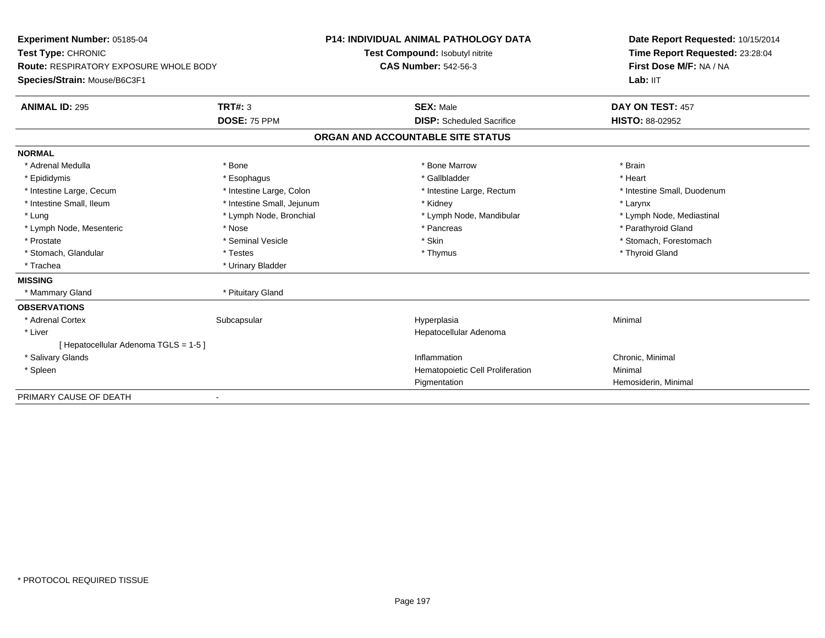| Experiment Number: 05185-04            |                            | <b>P14: INDIVIDUAL ANIMAL PATHOLOGY DATA</b> | Date Report Requested: 10/15/2014                          |  |
|----------------------------------------|----------------------------|----------------------------------------------|------------------------------------------------------------|--|
| Test Type: CHRONIC                     |                            | Test Compound: Isobutyl nitrite              | Time Report Requested: 23:28:04<br>First Dose M/F: NA / NA |  |
| Route: RESPIRATORY EXPOSURE WHOLE BODY |                            | <b>CAS Number: 542-56-3</b>                  |                                                            |  |
| Species/Strain: Mouse/B6C3F1           |                            |                                              | Lab: IIT                                                   |  |
| <b>ANIMAL ID: 295</b>                  | TRT#: 3                    | <b>SEX: Male</b>                             | DAY ON TEST: 457                                           |  |
|                                        | DOSE: 75 PPM               | <b>DISP:</b> Scheduled Sacrifice             | <b>HISTO: 88-02952</b>                                     |  |
|                                        |                            | ORGAN AND ACCOUNTABLE SITE STATUS            |                                                            |  |
| <b>NORMAL</b>                          |                            |                                              |                                                            |  |
| * Adrenal Medulla                      | * Bone                     | * Bone Marrow                                | * Brain                                                    |  |
| * Epididymis                           | * Esophagus                | * Gallbladder                                | * Heart                                                    |  |
| * Intestine Large, Cecum               | * Intestine Large, Colon   | * Intestine Large, Rectum                    | * Intestine Small, Duodenum                                |  |
| * Intestine Small, Ileum               | * Intestine Small, Jejunum | * Kidney                                     | * Larynx                                                   |  |
| * Lung                                 | * Lymph Node, Bronchial    | * Lymph Node, Mandibular                     | * Lymph Node, Mediastinal                                  |  |
| * Lymph Node, Mesenteric               | * Nose                     | * Pancreas                                   | * Parathyroid Gland                                        |  |
| * Prostate                             | * Seminal Vesicle          | * Skin                                       | * Stomach, Forestomach                                     |  |
| * Stomach, Glandular                   | * Testes                   | * Thymus                                     | * Thyroid Gland                                            |  |
| * Trachea                              | * Urinary Bladder          |                                              |                                                            |  |
| <b>MISSING</b>                         |                            |                                              |                                                            |  |
| * Mammary Gland                        | * Pituitary Gland          |                                              |                                                            |  |
| <b>OBSERVATIONS</b>                    |                            |                                              |                                                            |  |
| * Adrenal Cortex                       | Subcapsular                | Hyperplasia                                  | Minimal                                                    |  |
| * Liver                                |                            | Hepatocellular Adenoma                       |                                                            |  |
| [ Hepatocellular Adenoma TGLS = 1-5 ]  |                            |                                              |                                                            |  |
| * Salivary Glands                      |                            | Inflammation                                 | Chronic, Minimal                                           |  |
| * Spleen                               |                            | Hematopoietic Cell Proliferation             | Minimal                                                    |  |
|                                        |                            | Pigmentation                                 | Hemosiderin, Minimal                                       |  |
| PRIMARY CAUSE OF DEATH                 |                            |                                              |                                                            |  |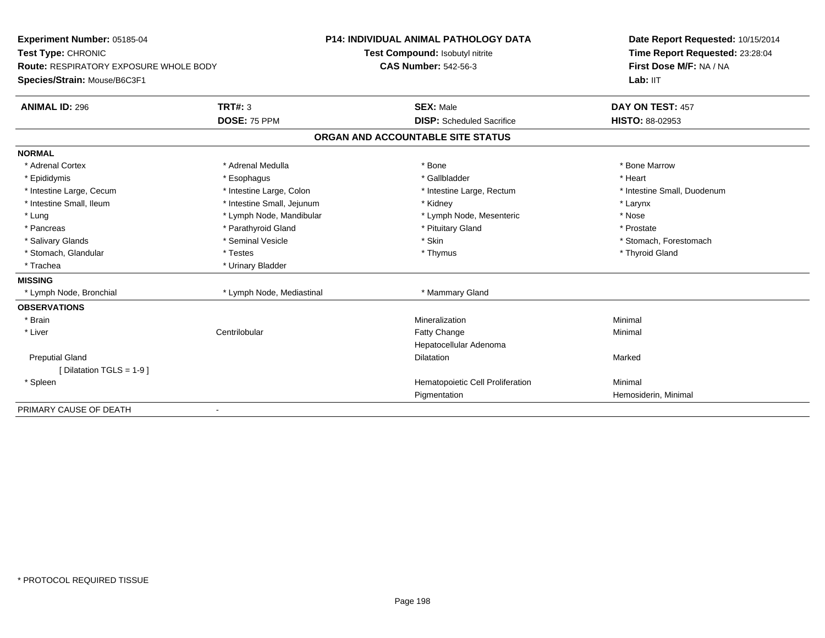| Experiment Number: 05185-04            |                            | <b>P14: INDIVIDUAL ANIMAL PATHOLOGY DATA</b> | Date Report Requested: 10/15/2014 |  |
|----------------------------------------|----------------------------|----------------------------------------------|-----------------------------------|--|
| Test Type: CHRONIC                     |                            | Test Compound: Isobutyl nitrite              | Time Report Requested: 23:28:04   |  |
| Route: RESPIRATORY EXPOSURE WHOLE BODY |                            | <b>CAS Number: 542-56-3</b>                  | First Dose M/F: NA / NA           |  |
| Species/Strain: Mouse/B6C3F1           |                            |                                              | Lab: IIT                          |  |
| <b>ANIMAL ID: 296</b>                  | TRT#: 3                    | <b>SEX: Male</b>                             | DAY ON TEST: 457                  |  |
|                                        | DOSE: 75 PPM               | <b>DISP:</b> Scheduled Sacrifice             | <b>HISTO: 88-02953</b>            |  |
|                                        |                            | ORGAN AND ACCOUNTABLE SITE STATUS            |                                   |  |
| <b>NORMAL</b>                          |                            |                                              |                                   |  |
| * Adrenal Cortex                       | * Adrenal Medulla          | * Bone                                       | * Bone Marrow                     |  |
| * Epididymis                           | * Esophagus                | * Gallbladder                                | * Heart                           |  |
| * Intestine Large, Cecum               | * Intestine Large, Colon   | * Intestine Large, Rectum                    | * Intestine Small, Duodenum       |  |
| * Intestine Small, Ileum               | * Intestine Small, Jejunum | * Kidney                                     | * Larynx                          |  |
| * Lung                                 | * Lymph Node, Mandibular   | * Lymph Node, Mesenteric                     | * Nose                            |  |
| * Pancreas                             | * Parathyroid Gland        | * Pituitary Gland                            | * Prostate                        |  |
| * Salivary Glands                      | * Seminal Vesicle          | * Skin                                       | * Stomach. Forestomach            |  |
| * Stomach, Glandular                   | * Testes                   | * Thymus                                     | * Thyroid Gland                   |  |
| * Trachea                              | * Urinary Bladder          |                                              |                                   |  |
| <b>MISSING</b>                         |                            |                                              |                                   |  |
| * Lymph Node, Bronchial                | * Lymph Node, Mediastinal  | * Mammary Gland                              |                                   |  |
| <b>OBSERVATIONS</b>                    |                            |                                              |                                   |  |
| * Brain                                |                            | Mineralization                               | Minimal                           |  |
| * Liver                                | Centrilobular              | Fatty Change                                 | Minimal                           |  |
|                                        |                            | Hepatocellular Adenoma                       |                                   |  |
| <b>Preputial Gland</b>                 |                            | <b>Dilatation</b>                            | Marked                            |  |
| [ Dilatation TGLS = 1-9 ]              |                            |                                              |                                   |  |
| * Spleen                               |                            | Hematopoietic Cell Proliferation             | Minimal                           |  |
|                                        |                            | Pigmentation                                 | Hemosiderin, Minimal              |  |
| PRIMARY CAUSE OF DEATH                 |                            |                                              |                                   |  |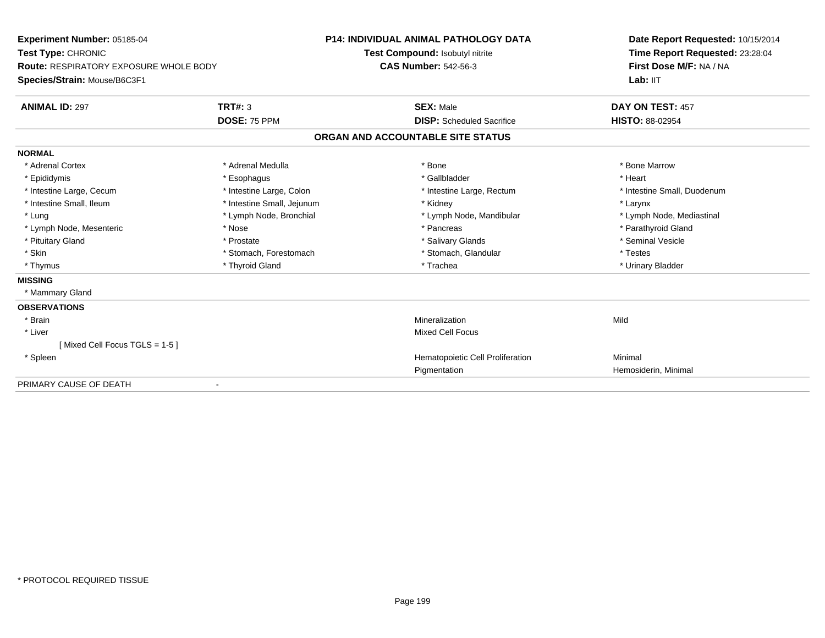| Experiment Number: 05185-04                   |                            | <b>P14: INDIVIDUAL ANIMAL PATHOLOGY DATA</b> | Date Report Requested: 10/15/2014                          |
|-----------------------------------------------|----------------------------|----------------------------------------------|------------------------------------------------------------|
| Test Type: CHRONIC                            |                            | Test Compound: Isobutyl nitrite              | Time Report Requested: 23:28:04<br>First Dose M/F: NA / NA |
| <b>Route: RESPIRATORY EXPOSURE WHOLE BODY</b> |                            | <b>CAS Number: 542-56-3</b>                  |                                                            |
| Species/Strain: Mouse/B6C3F1                  |                            |                                              | Lab: IIT                                                   |
| <b>ANIMAL ID: 297</b>                         | <b>TRT#: 3</b>             | <b>SEX: Male</b>                             | DAY ON TEST: 457                                           |
|                                               | DOSE: 75 PPM               | <b>DISP:</b> Scheduled Sacrifice             | <b>HISTO: 88-02954</b>                                     |
|                                               |                            | ORGAN AND ACCOUNTABLE SITE STATUS            |                                                            |
| <b>NORMAL</b>                                 |                            |                                              |                                                            |
| * Adrenal Cortex                              | * Adrenal Medulla          | * Bone                                       | * Bone Marrow                                              |
| * Epididymis                                  | * Esophagus                | * Gallbladder                                | * Heart                                                    |
| * Intestine Large, Cecum                      | * Intestine Large, Colon   | * Intestine Large, Rectum                    | * Intestine Small, Duodenum                                |
| * Intestine Small, Ileum                      | * Intestine Small, Jejunum | * Kidney                                     | * Larynx                                                   |
| * Lung                                        | * Lymph Node, Bronchial    | * Lymph Node, Mandibular                     | * Lymph Node, Mediastinal                                  |
| * Lymph Node, Mesenteric                      | * Nose                     | * Pancreas                                   | * Parathyroid Gland                                        |
| * Pituitary Gland                             | * Prostate                 | * Salivary Glands                            | * Seminal Vesicle                                          |
| * Skin                                        | * Stomach, Forestomach     | * Stomach, Glandular                         | * Testes                                                   |
| * Thymus                                      | * Thyroid Gland            | * Trachea                                    | * Urinary Bladder                                          |
| <b>MISSING</b>                                |                            |                                              |                                                            |
| * Mammary Gland                               |                            |                                              |                                                            |
| <b>OBSERVATIONS</b>                           |                            |                                              |                                                            |
| * Brain                                       |                            | Mineralization                               | Mild                                                       |
| * Liver                                       |                            | <b>Mixed Cell Focus</b>                      |                                                            |
| [Mixed Cell Focus TGLS = 1-5]                 |                            |                                              |                                                            |
| * Spleen                                      |                            | Hematopoietic Cell Proliferation             | Minimal                                                    |
|                                               |                            | Pigmentation                                 | Hemosiderin, Minimal                                       |
| PRIMARY CAUSE OF DEATH                        |                            |                                              |                                                            |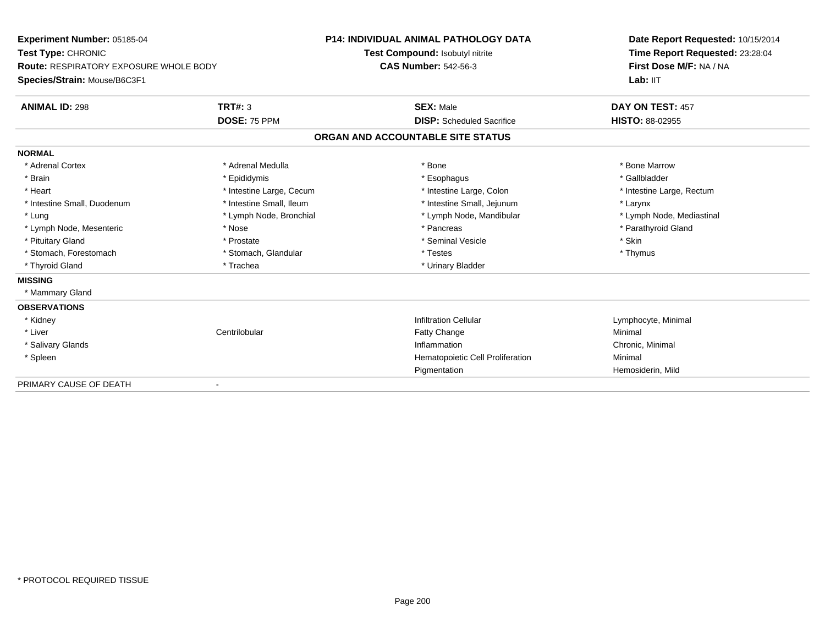| Experiment Number: 05185-04            |                          | P14: INDIVIDUAL ANIMAL PATHOLOGY DATA | Date Report Requested: 10/15/2014 |
|----------------------------------------|--------------------------|---------------------------------------|-----------------------------------|
| Test Type: CHRONIC                     |                          | Test Compound: Isobutyl nitrite       | Time Report Requested: 23:28:04   |
| Route: RESPIRATORY EXPOSURE WHOLE BODY |                          | <b>CAS Number: 542-56-3</b>           | First Dose M/F: NA / NA           |
| Species/Strain: Mouse/B6C3F1           |                          |                                       | Lab: IIT                          |
| <b>ANIMAL ID: 298</b>                  | <b>TRT#: 3</b>           | <b>SEX: Male</b>                      | DAY ON TEST: 457                  |
|                                        | DOSE: 75 PPM             | <b>DISP:</b> Scheduled Sacrifice      | <b>HISTO: 88-02955</b>            |
|                                        |                          | ORGAN AND ACCOUNTABLE SITE STATUS     |                                   |
| <b>NORMAL</b>                          |                          |                                       |                                   |
| * Adrenal Cortex                       | * Adrenal Medulla        | * Bone                                | * Bone Marrow                     |
| * Brain                                | * Epididymis             | * Esophagus                           | * Gallbladder                     |
| * Heart                                | * Intestine Large, Cecum | * Intestine Large, Colon              | * Intestine Large, Rectum         |
| * Intestine Small, Duodenum            | * Intestine Small, Ileum | * Intestine Small, Jejunum            | * Larynx                          |
| * Lung                                 | * Lymph Node, Bronchial  | * Lymph Node, Mandibular              | * Lymph Node, Mediastinal         |
| * Lymph Node, Mesenteric               | * Nose                   | * Pancreas                            | * Parathyroid Gland               |
| * Pituitary Gland                      | * Prostate               | * Seminal Vesicle                     | * Skin                            |
| * Stomach, Forestomach                 | * Stomach, Glandular     | * Testes                              | * Thymus                          |
| * Thyroid Gland                        | * Trachea                | * Urinary Bladder                     |                                   |
| <b>MISSING</b>                         |                          |                                       |                                   |
| * Mammary Gland                        |                          |                                       |                                   |
| <b>OBSERVATIONS</b>                    |                          |                                       |                                   |
| * Kidney                               |                          | <b>Infiltration Cellular</b>          | Lymphocyte, Minimal               |
| * Liver                                | Centrilobular            | <b>Fatty Change</b>                   | Minimal                           |
| * Salivary Glands                      |                          | Inflammation                          | Chronic, Minimal                  |
| * Spleen                               |                          | Hematopoietic Cell Proliferation      | Minimal                           |
|                                        |                          | Pigmentation                          | Hemosiderin, Mild                 |
| PRIMARY CAUSE OF DEATH                 |                          |                                       |                                   |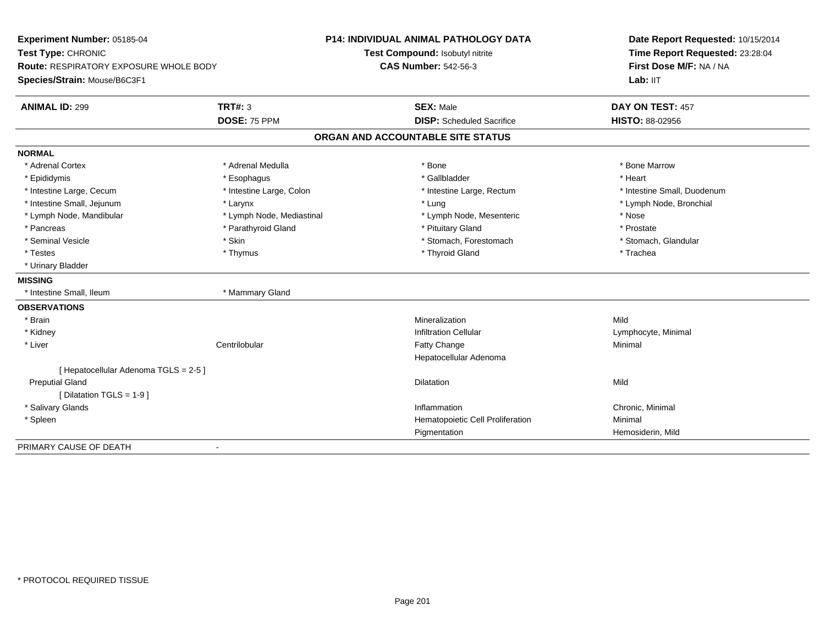| Experiment Number: 05185-04<br>Test Type: CHRONIC<br>Route: RESPIRATORY EXPOSURE WHOLE BODY |                           | <b>P14: INDIVIDUAL ANIMAL PATHOLOGY DATA</b> | Date Report Requested: 10/15/2014<br>Time Report Requested: 23:28:04<br>First Dose M/F: NA / NA |
|---------------------------------------------------------------------------------------------|---------------------------|----------------------------------------------|-------------------------------------------------------------------------------------------------|
|                                                                                             |                           | Test Compound: Isobutyl nitrite              |                                                                                                 |
|                                                                                             |                           | <b>CAS Number: 542-56-3</b>                  |                                                                                                 |
| Species/Strain: Mouse/B6C3F1                                                                |                           |                                              | Lab: IIT                                                                                        |
| <b>ANIMAL ID: 299</b>                                                                       | <b>TRT#: 3</b>            | <b>SEX: Male</b>                             | DAY ON TEST: 457                                                                                |
|                                                                                             | DOSE: 75 PPM              | <b>DISP:</b> Scheduled Sacrifice             | <b>HISTO: 88-02956</b>                                                                          |
|                                                                                             |                           | ORGAN AND ACCOUNTABLE SITE STATUS            |                                                                                                 |
| <b>NORMAL</b>                                                                               |                           |                                              |                                                                                                 |
| * Adrenal Cortex                                                                            | * Adrenal Medulla         | * Bone                                       | * Bone Marrow                                                                                   |
| * Epididymis                                                                                | * Esophagus               | * Gallbladder                                | * Heart                                                                                         |
| * Intestine Large, Cecum                                                                    | * Intestine Large, Colon  | * Intestine Large, Rectum                    | * Intestine Small, Duodenum                                                                     |
| * Intestine Small, Jejunum                                                                  | * Larynx                  | * Lung                                       | * Lymph Node, Bronchial                                                                         |
| * Lymph Node, Mandibular                                                                    | * Lymph Node, Mediastinal | * Lymph Node, Mesenteric                     | * Nose                                                                                          |
| * Pancreas                                                                                  | * Parathyroid Gland       | * Pituitary Gland                            | * Prostate                                                                                      |
| * Seminal Vesicle                                                                           | * Skin                    | * Stomach, Forestomach                       | * Stomach, Glandular                                                                            |
| * Testes                                                                                    | * Thymus                  | * Thyroid Gland                              | * Trachea                                                                                       |
| * Urinary Bladder                                                                           |                           |                                              |                                                                                                 |
| <b>MISSING</b>                                                                              |                           |                                              |                                                                                                 |
| * Intestine Small, Ileum                                                                    | * Mammary Gland           |                                              |                                                                                                 |
| <b>OBSERVATIONS</b>                                                                         |                           |                                              |                                                                                                 |
| * Brain                                                                                     |                           | Mineralization                               | Mild                                                                                            |
| * Kidney                                                                                    |                           | <b>Infiltration Cellular</b>                 | Lymphocyte, Minimal                                                                             |
| * Liver                                                                                     | Centrilobular             | Fatty Change                                 | Minimal                                                                                         |
|                                                                                             |                           | Hepatocellular Adenoma                       |                                                                                                 |
| [ Hepatocellular Adenoma TGLS = 2-5 ]                                                       |                           |                                              |                                                                                                 |
| <b>Preputial Gland</b>                                                                      |                           | <b>Dilatation</b>                            | Mild                                                                                            |
| [ Dilatation TGLS = 1-9 ]                                                                   |                           |                                              |                                                                                                 |
| * Salivary Glands                                                                           |                           | Inflammation                                 | Chronic, Minimal                                                                                |
| * Spleen                                                                                    |                           | Hematopoietic Cell Proliferation             | Minimal                                                                                         |
|                                                                                             |                           | Pigmentation                                 | Hemosiderin, Mild                                                                               |
| PRIMARY CAUSE OF DEATH                                                                      | $\blacksquare$            |                                              |                                                                                                 |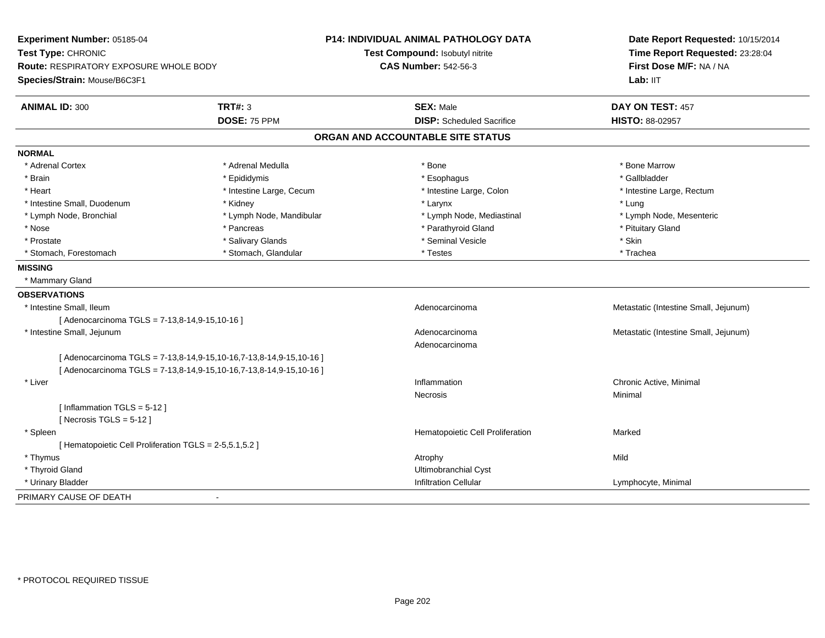| Experiment Number: 05185-04<br>Test Type: CHRONIC<br>Route: RESPIRATORY EXPOSURE WHOLE BODY<br>Species/Strain: Mouse/B6C3F1 |                                                                     | <b>P14: INDIVIDUAL ANIMAL PATHOLOGY DATA</b><br>Test Compound: Isobutyl nitrite<br><b>CAS Number: 542-56-3</b> | Date Report Requested: 10/15/2014<br>Time Report Requested: 23:28:04<br>First Dose M/F: NA / NA<br>Lab: IIT |
|-----------------------------------------------------------------------------------------------------------------------------|---------------------------------------------------------------------|----------------------------------------------------------------------------------------------------------------|-------------------------------------------------------------------------------------------------------------|
| <b>ANIMAL ID: 300</b>                                                                                                       | <b>TRT#: 3</b>                                                      | <b>SEX: Male</b>                                                                                               | DAY ON TEST: 457                                                                                            |
|                                                                                                                             | DOSE: 75 PPM                                                        | <b>DISP:</b> Scheduled Sacrifice                                                                               | HISTO: 88-02957                                                                                             |
|                                                                                                                             |                                                                     | ORGAN AND ACCOUNTABLE SITE STATUS                                                                              |                                                                                                             |
| <b>NORMAL</b>                                                                                                               |                                                                     |                                                                                                                |                                                                                                             |
| * Adrenal Cortex                                                                                                            | * Adrenal Medulla                                                   | * Bone                                                                                                         | * Bone Marrow                                                                                               |
| * Brain                                                                                                                     | * Epididymis                                                        | * Esophagus                                                                                                    | * Gallbladder                                                                                               |
| * Heart                                                                                                                     | * Intestine Large, Cecum                                            | * Intestine Large, Colon                                                                                       | * Intestine Large, Rectum                                                                                   |
| * Intestine Small, Duodenum                                                                                                 | * Kidney                                                            | * Larynx                                                                                                       | * Lung                                                                                                      |
| * Lymph Node, Bronchial                                                                                                     | * Lymph Node, Mandibular                                            | * Lymph Node, Mediastinal                                                                                      | * Lymph Node, Mesenteric                                                                                    |
| * Nose                                                                                                                      | * Pancreas                                                          | * Parathyroid Gland                                                                                            | * Pituitary Gland                                                                                           |
| * Prostate                                                                                                                  | * Salivary Glands                                                   | * Seminal Vesicle                                                                                              | * Skin                                                                                                      |
| * Stomach, Forestomach                                                                                                      | * Stomach, Glandular                                                | * Testes                                                                                                       | * Trachea                                                                                                   |
| <b>MISSING</b>                                                                                                              |                                                                     |                                                                                                                |                                                                                                             |
| * Mammary Gland                                                                                                             |                                                                     |                                                                                                                |                                                                                                             |
| <b>OBSERVATIONS</b>                                                                                                         |                                                                     |                                                                                                                |                                                                                                             |
| * Intestine Small, Ileum                                                                                                    |                                                                     | Adenocarcinoma                                                                                                 | Metastatic (Intestine Small, Jejunum)                                                                       |
| [ Adenocarcinoma TGLS = 7-13,8-14,9-15,10-16 ]                                                                              |                                                                     |                                                                                                                |                                                                                                             |
| * Intestine Small, Jejunum                                                                                                  |                                                                     | Adenocarcinoma                                                                                                 | Metastatic (Intestine Small, Jejunum)                                                                       |
|                                                                                                                             |                                                                     | Adenocarcinoma                                                                                                 |                                                                                                             |
|                                                                                                                             | [ Adenocarcinoma TGLS = 7-13,8-14,9-15,10-16,7-13,8-14,9-15,10-16 ] |                                                                                                                |                                                                                                             |
|                                                                                                                             | [ Adenocarcinoma TGLS = 7-13,8-14,9-15,10-16,7-13,8-14,9-15,10-16 ] |                                                                                                                |                                                                                                             |
| * Liver                                                                                                                     |                                                                     | Inflammation                                                                                                   | Chronic Active, Minimal                                                                                     |
|                                                                                                                             |                                                                     | <b>Necrosis</b>                                                                                                | Minimal                                                                                                     |
| [Inflammation $TGLS = 5-12$ ]                                                                                               |                                                                     |                                                                                                                |                                                                                                             |
| [Necrosis TGLS = $5-12$ ]                                                                                                   |                                                                     |                                                                                                                |                                                                                                             |
| * Spleen                                                                                                                    |                                                                     | Hematopoietic Cell Proliferation                                                                               | Marked                                                                                                      |
| [ Hematopoietic Cell Proliferation TGLS = 2-5,5.1,5.2 ]                                                                     |                                                                     |                                                                                                                |                                                                                                             |
| * Thymus                                                                                                                    |                                                                     | Atrophy                                                                                                        | Mild                                                                                                        |
| * Thyroid Gland                                                                                                             |                                                                     | <b>Ultimobranchial Cyst</b>                                                                                    |                                                                                                             |
| * Urinary Bladder                                                                                                           |                                                                     | <b>Infiltration Cellular</b>                                                                                   | Lymphocyte, Minimal                                                                                         |
| PRIMARY CAUSE OF DEATH                                                                                                      | $\blacksquare$                                                      |                                                                                                                |                                                                                                             |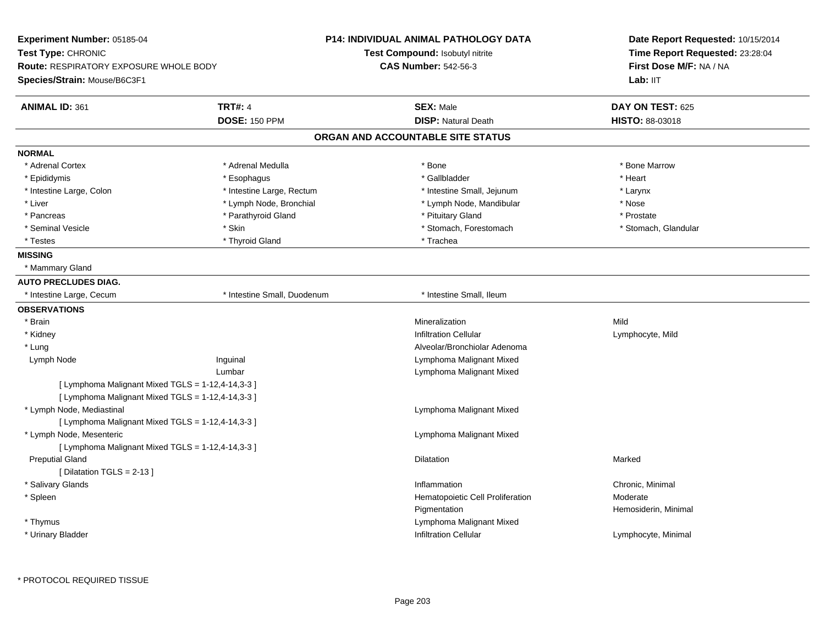| Experiment Number: 05185-04                       | <b>P14: INDIVIDUAL ANIMAL PATHOLOGY DATA</b> |                                   | Date Report Requested: 10/15/2014                          |
|---------------------------------------------------|----------------------------------------------|-----------------------------------|------------------------------------------------------------|
| Test Type: CHRONIC                                |                                              | Test Compound: Isobutyl nitrite   | Time Report Requested: 23:28:04<br>First Dose M/F: NA / NA |
| <b>Route: RESPIRATORY EXPOSURE WHOLE BODY</b>     |                                              | <b>CAS Number: 542-56-3</b>       |                                                            |
| Species/Strain: Mouse/B6C3F1                      |                                              |                                   | Lab: IIT                                                   |
| <b>ANIMAL ID: 361</b>                             | <b>TRT#: 4</b>                               | <b>SEX: Male</b>                  | DAY ON TEST: 625                                           |
|                                                   | <b>DOSE: 150 PPM</b>                         | <b>DISP: Natural Death</b>        | <b>HISTO: 88-03018</b>                                     |
|                                                   |                                              | ORGAN AND ACCOUNTABLE SITE STATUS |                                                            |
| <b>NORMAL</b>                                     |                                              |                                   |                                                            |
| * Adrenal Cortex                                  | * Adrenal Medulla                            | * Bone                            | * Bone Marrow                                              |
| * Epididymis                                      | * Esophagus                                  | * Gallbladder                     | * Heart                                                    |
| * Intestine Large, Colon                          | * Intestine Large, Rectum                    | * Intestine Small, Jejunum        | * Larynx                                                   |
| * Liver                                           | * Lymph Node, Bronchial                      | * Lymph Node, Mandibular          | * Nose                                                     |
| * Pancreas                                        | * Parathyroid Gland                          | * Pituitary Gland                 | * Prostate                                                 |
| * Seminal Vesicle                                 | * Skin                                       | * Stomach, Forestomach            | * Stomach, Glandular                                       |
| * Testes                                          | * Thyroid Gland                              | * Trachea                         |                                                            |
| <b>MISSING</b>                                    |                                              |                                   |                                                            |
| * Mammary Gland                                   |                                              |                                   |                                                            |
| <b>AUTO PRECLUDES DIAG.</b>                       |                                              |                                   |                                                            |
| * Intestine Large, Cecum                          | * Intestine Small, Duodenum                  | * Intestine Small, Ileum          |                                                            |
| <b>OBSERVATIONS</b>                               |                                              |                                   |                                                            |
| * Brain                                           |                                              | Mineralization                    | Mild                                                       |
| * Kidney                                          |                                              | <b>Infiltration Cellular</b>      | Lymphocyte, Mild                                           |
| * Lung                                            |                                              | Alveolar/Bronchiolar Adenoma      |                                                            |
| Lymph Node                                        | Inguinal                                     | Lymphoma Malignant Mixed          |                                                            |
|                                                   | Lumbar                                       | Lymphoma Malignant Mixed          |                                                            |
| [ Lymphoma Malignant Mixed TGLS = 1-12,4-14,3-3 ] |                                              |                                   |                                                            |
| [ Lymphoma Malignant Mixed TGLS = 1-12,4-14,3-3 ] |                                              |                                   |                                                            |
| * Lymph Node, Mediastinal                         |                                              | Lymphoma Malignant Mixed          |                                                            |
| [ Lymphoma Malignant Mixed TGLS = 1-12,4-14,3-3 ] |                                              |                                   |                                                            |
| * Lymph Node, Mesenteric                          |                                              | Lymphoma Malignant Mixed          |                                                            |
| [ Lymphoma Malignant Mixed TGLS = 1-12,4-14,3-3 ] |                                              |                                   |                                                            |
| <b>Preputial Gland</b>                            |                                              | Dilatation                        | Marked                                                     |
| [ Dilatation TGLS = 2-13 ]                        |                                              |                                   |                                                            |
| * Salivary Glands                                 |                                              | Inflammation                      | Chronic, Minimal                                           |
| * Spleen                                          |                                              | Hematopoietic Cell Proliferation  | Moderate                                                   |
|                                                   |                                              | Pigmentation                      | Hemosiderin, Minimal                                       |
| * Thymus                                          |                                              | Lymphoma Malignant Mixed          |                                                            |
| * Urinary Bladder                                 |                                              | <b>Infiltration Cellular</b>      | Lymphocyte, Minimal                                        |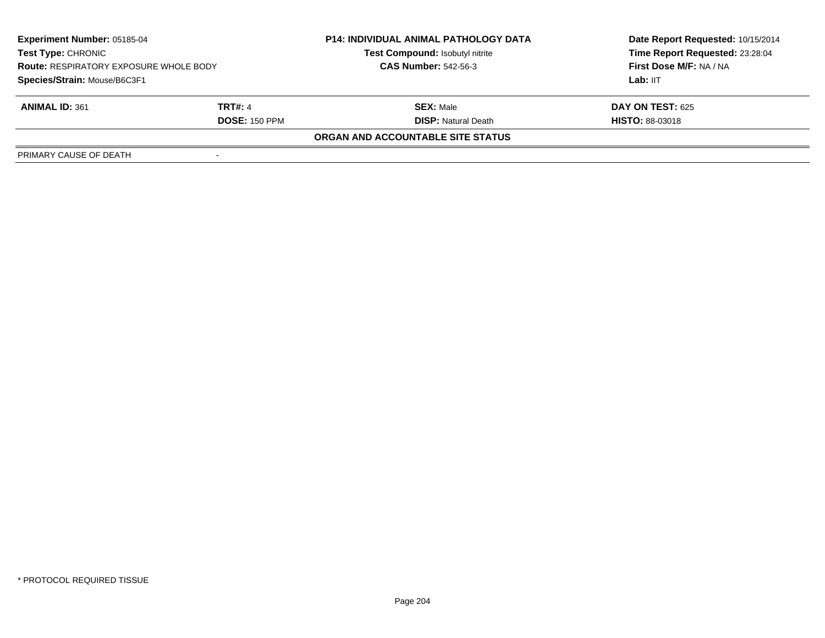| <b>Experiment Number: 05185-04</b><br><b>Test Type: CHRONIC</b><br><b>Route: RESPIRATORY EXPOSURE WHOLE BODY</b><br>Species/Strain: Mouse/B6C3F1 |                      | <b>P14: INDIVIDUAL ANIMAL PATHOLOGY DATA</b> | Date Report Requested: 10/15/2014   |
|--------------------------------------------------------------------------------------------------------------------------------------------------|----------------------|----------------------------------------------|-------------------------------------|
|                                                                                                                                                  |                      | <b>Test Compound: Isobutyl nitrite</b>       | Time Report Requested: 23:28:04     |
|                                                                                                                                                  |                      | <b>CAS Number: 542-56-3</b>                  | First Dose M/F: NA / NA<br>Lab: IIT |
|                                                                                                                                                  |                      |                                              |                                     |
| <b>ANIMAL ID: 361</b>                                                                                                                            | <b>TRT#: 4</b>       | <b>SEX: Male</b>                             | <b>DAY ON TEST: 625</b>             |
|                                                                                                                                                  | <b>DOSE: 150 PPM</b> | <b>DISP: Natural Death</b>                   | <b>HISTO: 88-03018</b>              |
|                                                                                                                                                  |                      | <b>ORGAN AND ACCOUNTABLE SITE STATUS</b>     |                                     |
| PRIMARY CAUSE OF DEATH                                                                                                                           |                      |                                              |                                     |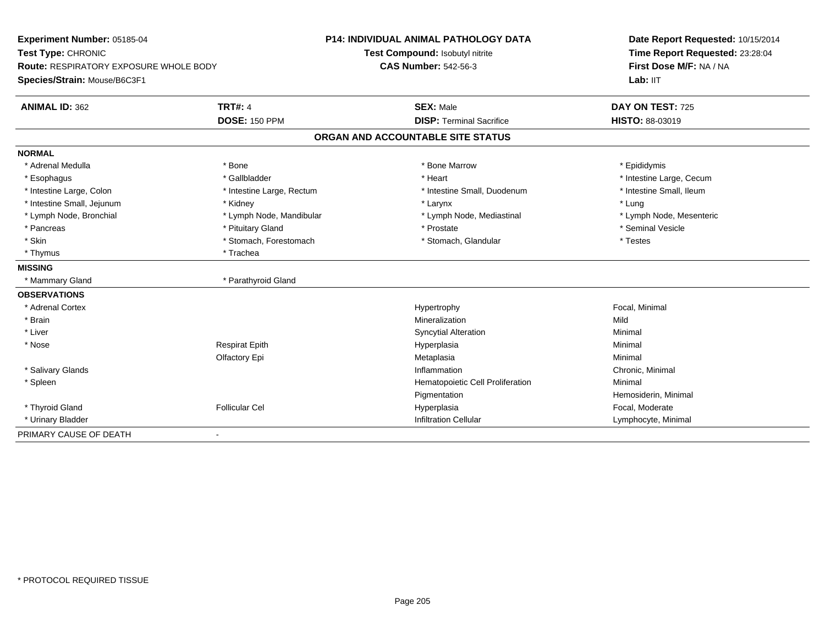| Experiment Number: 05185-04<br>Test Type: CHRONIC<br><b>Route: RESPIRATORY EXPOSURE WHOLE BODY</b> |                           | <b>P14: INDIVIDUAL ANIMAL PATHOLOGY DATA</b> | Date Report Requested: 10/15/2014<br>Time Report Requested: 23:28:04<br>First Dose M/F: NA / NA |
|----------------------------------------------------------------------------------------------------|---------------------------|----------------------------------------------|-------------------------------------------------------------------------------------------------|
|                                                                                                    |                           | Test Compound: Isobutyl nitrite              |                                                                                                 |
|                                                                                                    |                           | <b>CAS Number: 542-56-3</b>                  |                                                                                                 |
| Species/Strain: Mouse/B6C3F1                                                                       |                           |                                              | Lab: IIT                                                                                        |
| <b>ANIMAL ID: 362</b>                                                                              | <b>TRT#: 4</b>            | <b>SEX: Male</b>                             | DAY ON TEST: 725                                                                                |
|                                                                                                    | <b>DOSE: 150 PPM</b>      | <b>DISP: Terminal Sacrifice</b>              | <b>HISTO: 88-03019</b>                                                                          |
|                                                                                                    |                           | ORGAN AND ACCOUNTABLE SITE STATUS            |                                                                                                 |
| <b>NORMAL</b>                                                                                      |                           |                                              |                                                                                                 |
| * Adrenal Medulla                                                                                  | * Bone                    | * Bone Marrow                                | * Epididymis                                                                                    |
| * Esophagus                                                                                        | * Gallbladder             | * Heart                                      | * Intestine Large, Cecum                                                                        |
| * Intestine Large, Colon                                                                           | * Intestine Large, Rectum | * Intestine Small, Duodenum                  | * Intestine Small, Ileum                                                                        |
| * Intestine Small, Jejunum                                                                         | * Kidney                  | * Larynx                                     | * Lung                                                                                          |
| * Lymph Node, Bronchial                                                                            | * Lymph Node, Mandibular  | * Lymph Node, Mediastinal                    | * Lymph Node, Mesenteric                                                                        |
| * Pancreas                                                                                         | * Pituitary Gland         | * Prostate                                   | * Seminal Vesicle                                                                               |
| * Skin                                                                                             | * Stomach, Forestomach    | * Stomach, Glandular                         | * Testes                                                                                        |
| * Thymus                                                                                           | * Trachea                 |                                              |                                                                                                 |
| <b>MISSING</b>                                                                                     |                           |                                              |                                                                                                 |
| * Mammary Gland                                                                                    | * Parathyroid Gland       |                                              |                                                                                                 |
| <b>OBSERVATIONS</b>                                                                                |                           |                                              |                                                                                                 |
| * Adrenal Cortex                                                                                   |                           | Hypertrophy                                  | Focal, Minimal                                                                                  |
| * Brain                                                                                            |                           | Mineralization                               | Mild                                                                                            |
| * Liver                                                                                            |                           | <b>Syncytial Alteration</b>                  | Minimal                                                                                         |
| * Nose                                                                                             | <b>Respirat Epith</b>     | Hyperplasia                                  | Minimal                                                                                         |
|                                                                                                    | Olfactory Epi             | Metaplasia                                   | Minimal                                                                                         |
| * Salivary Glands                                                                                  |                           | Inflammation                                 | Chronic, Minimal                                                                                |
| * Spleen                                                                                           |                           | Hematopoietic Cell Proliferation             | Minimal                                                                                         |
|                                                                                                    |                           | Pigmentation                                 | Hemosiderin, Minimal                                                                            |
| * Thyroid Gland                                                                                    | <b>Follicular Cel</b>     | Hyperplasia                                  | Focal, Moderate                                                                                 |
| * Urinary Bladder                                                                                  |                           | <b>Infiltration Cellular</b>                 | Lymphocyte, Minimal                                                                             |
| PRIMARY CAUSE OF DEATH                                                                             | $\blacksquare$            |                                              |                                                                                                 |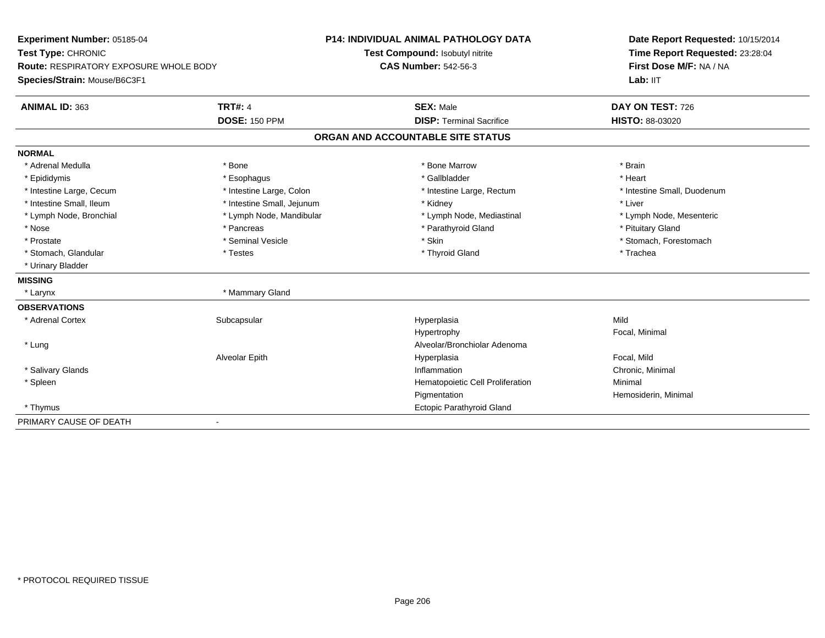| Experiment Number: 05185-04                   |                              | <b>P14: INDIVIDUAL ANIMAL PATHOLOGY DATA</b> | Date Report Requested: 10/15/2014<br>Time Report Requested: 23:28:04<br>First Dose M/F: NA / NA |
|-----------------------------------------------|------------------------------|----------------------------------------------|-------------------------------------------------------------------------------------------------|
| Test Type: CHRONIC                            |                              | Test Compound: Isobutyl nitrite              |                                                                                                 |
| <b>Route: RESPIRATORY EXPOSURE WHOLE BODY</b> |                              | <b>CAS Number: 542-56-3</b>                  |                                                                                                 |
| Species/Strain: Mouse/B6C3F1                  |                              |                                              | Lab: IIT                                                                                        |
| <b>ANIMAL ID: 363</b>                         | <b>TRT#: 4</b>               | <b>SEX: Male</b>                             | DAY ON TEST: 726                                                                                |
|                                               | <b>DOSE: 150 PPM</b>         | <b>DISP: Terminal Sacrifice</b>              | <b>HISTO: 88-03020</b>                                                                          |
|                                               |                              | ORGAN AND ACCOUNTABLE SITE STATUS            |                                                                                                 |
| <b>NORMAL</b>                                 |                              |                                              |                                                                                                 |
| * Adrenal Medulla                             | * Bone                       | * Bone Marrow                                | * Brain                                                                                         |
| * Epididymis                                  | * Esophagus                  | * Gallbladder                                | * Heart                                                                                         |
| * Intestine Large, Cecum                      | * Intestine Large, Colon     | * Intestine Large, Rectum                    | * Intestine Small, Duodenum                                                                     |
| * Intestine Small, Ileum                      | * Intestine Small, Jejunum   | * Kidney                                     | * Liver                                                                                         |
| * Lymph Node, Bronchial                       | * Lymph Node, Mandibular     | * Lymph Node, Mediastinal                    | * Lymph Node, Mesenteric                                                                        |
| * Nose                                        | * Pancreas                   | * Parathyroid Gland                          | * Pituitary Gland                                                                               |
| * Prostate                                    | * Seminal Vesicle            | * Skin                                       | * Stomach, Forestomach                                                                          |
| * Stomach, Glandular                          | * Testes                     | * Thyroid Gland                              | * Trachea                                                                                       |
| * Urinary Bladder                             |                              |                                              |                                                                                                 |
| <b>MISSING</b>                                |                              |                                              |                                                                                                 |
| * Larynx                                      | * Mammary Gland              |                                              |                                                                                                 |
| <b>OBSERVATIONS</b>                           |                              |                                              |                                                                                                 |
| * Adrenal Cortex                              | Subcapsular                  | Hyperplasia                                  | Mild                                                                                            |
|                                               |                              | Hypertrophy                                  | Focal, Minimal                                                                                  |
| * Lung                                        |                              | Alveolar/Bronchiolar Adenoma                 |                                                                                                 |
|                                               | Alveolar Epith               | Hyperplasia                                  | Focal, Mild                                                                                     |
| * Salivary Glands                             |                              | Inflammation                                 | Chronic, Minimal                                                                                |
| * Spleen                                      |                              | Hematopoietic Cell Proliferation             | Minimal                                                                                         |
|                                               |                              | Pigmentation                                 | Hemosiderin, Minimal                                                                            |
| * Thymus                                      |                              | Ectopic Parathyroid Gland                    |                                                                                                 |
| PRIMARY CAUSE OF DEATH                        | $\qquad \qquad \blacksquare$ |                                              |                                                                                                 |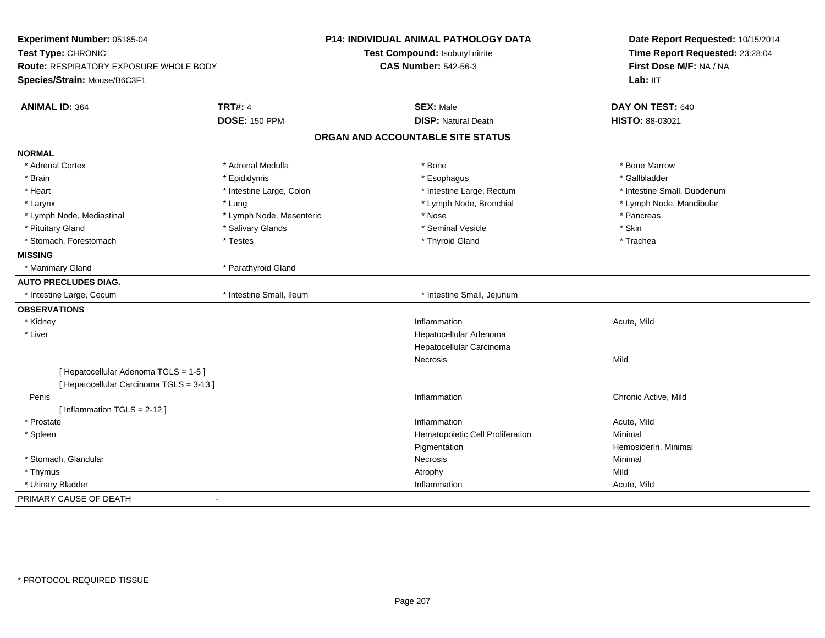| Experiment Number: 05185-04              |                          | <b>P14: INDIVIDUAL ANIMAL PATHOLOGY DATA</b> | Date Report Requested: 10/15/2014<br>Time Report Requested: 23:28:04<br>First Dose M/F: NA / NA |
|------------------------------------------|--------------------------|----------------------------------------------|-------------------------------------------------------------------------------------------------|
| Test Type: CHRONIC                       |                          | Test Compound: Isobutyl nitrite              |                                                                                                 |
| Route: RESPIRATORY EXPOSURE WHOLE BODY   |                          | <b>CAS Number: 542-56-3</b>                  |                                                                                                 |
| Species/Strain: Mouse/B6C3F1             |                          |                                              | Lab: IIT                                                                                        |
| <b>ANIMAL ID: 364</b>                    | <b>TRT#: 4</b>           | <b>SEX: Male</b>                             | DAY ON TEST: 640                                                                                |
|                                          | <b>DOSE: 150 PPM</b>     | <b>DISP: Natural Death</b>                   | HISTO: 88-03021                                                                                 |
|                                          |                          | ORGAN AND ACCOUNTABLE SITE STATUS            |                                                                                                 |
| <b>NORMAL</b>                            |                          |                                              |                                                                                                 |
| * Adrenal Cortex                         | * Adrenal Medulla        | * Bone                                       | * Bone Marrow                                                                                   |
| * Brain                                  | * Epididymis             | * Esophagus                                  | * Gallbladder                                                                                   |
| * Heart                                  | * Intestine Large, Colon | * Intestine Large, Rectum                    | * Intestine Small, Duodenum                                                                     |
| * Larynx                                 | * Lung                   | * Lymph Node, Bronchial                      | * Lymph Node, Mandibular                                                                        |
| * Lymph Node, Mediastinal                | * Lymph Node, Mesenteric | * Nose                                       | * Pancreas                                                                                      |
| * Pituitary Gland                        | * Salivary Glands        | * Seminal Vesicle                            | * Skin                                                                                          |
| * Stomach, Forestomach                   | * Testes                 | * Thyroid Gland                              | * Trachea                                                                                       |
| <b>MISSING</b>                           |                          |                                              |                                                                                                 |
| * Mammary Gland                          | * Parathyroid Gland      |                                              |                                                                                                 |
| <b>AUTO PRECLUDES DIAG.</b>              |                          |                                              |                                                                                                 |
| * Intestine Large, Cecum                 | * Intestine Small, Ileum | * Intestine Small, Jejunum                   |                                                                                                 |
| <b>OBSERVATIONS</b>                      |                          |                                              |                                                                                                 |
| * Kidney                                 |                          | Inflammation                                 | Acute, Mild                                                                                     |
| * Liver                                  |                          | Hepatocellular Adenoma                       |                                                                                                 |
|                                          |                          | Hepatocellular Carcinoma                     |                                                                                                 |
|                                          |                          | Necrosis                                     | Mild                                                                                            |
| [ Hepatocellular Adenoma TGLS = 1-5 ]    |                          |                                              |                                                                                                 |
| [ Hepatocellular Carcinoma TGLS = 3-13 ] |                          |                                              |                                                                                                 |
| Penis                                    |                          | Inflammation                                 | Chronic Active, Mild                                                                            |
| [Inflammation TGLS = 2-12]               |                          |                                              |                                                                                                 |
| * Prostate                               |                          | Inflammation                                 | Acute, Mild                                                                                     |
| * Spleen                                 |                          | Hematopoietic Cell Proliferation             | Minimal                                                                                         |
|                                          |                          | Pigmentation                                 | Hemosiderin, Minimal                                                                            |
| * Stomach, Glandular                     |                          | Necrosis                                     | Minimal                                                                                         |
| * Thymus                                 |                          | Atrophy                                      | Mild                                                                                            |
| * Urinary Bladder                        |                          | Inflammation                                 | Acute, Mild                                                                                     |
| PRIMARY CAUSE OF DEATH                   | $\blacksquare$           |                                              |                                                                                                 |
|                                          |                          |                                              |                                                                                                 |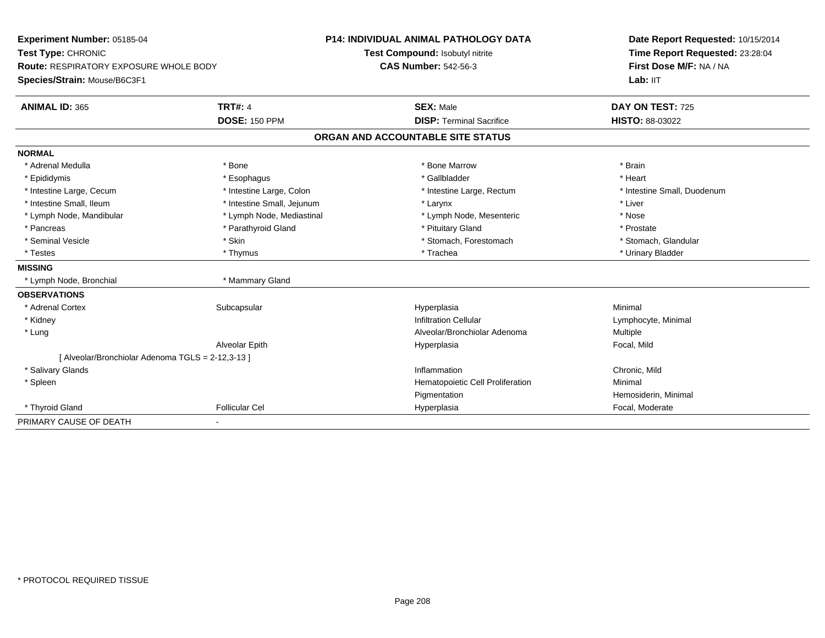| Experiment Number: 05185-04<br>Test Type: CHRONIC<br><b>Route: RESPIRATORY EXPOSURE WHOLE BODY</b> |                            | <b>P14: INDIVIDUAL ANIMAL PATHOLOGY DATA</b> | Date Report Requested: 10/15/2014<br>Time Report Requested: 23:28:04<br>First Dose M/F: NA / NA |  |
|----------------------------------------------------------------------------------------------------|----------------------------|----------------------------------------------|-------------------------------------------------------------------------------------------------|--|
|                                                                                                    |                            | Test Compound: Isobutyl nitrite              |                                                                                                 |  |
|                                                                                                    |                            | <b>CAS Number: 542-56-3</b>                  |                                                                                                 |  |
| Species/Strain: Mouse/B6C3F1                                                                       |                            |                                              | Lab: IIT                                                                                        |  |
| <b>ANIMAL ID: 365</b>                                                                              | <b>TRT#: 4</b>             | <b>SEX: Male</b>                             | DAY ON TEST: 725                                                                                |  |
|                                                                                                    | <b>DOSE: 150 PPM</b>       | <b>DISP: Terminal Sacrifice</b>              | <b>HISTO: 88-03022</b>                                                                          |  |
|                                                                                                    |                            | ORGAN AND ACCOUNTABLE SITE STATUS            |                                                                                                 |  |
| <b>NORMAL</b>                                                                                      |                            |                                              |                                                                                                 |  |
| * Adrenal Medulla                                                                                  | * Bone                     | * Bone Marrow                                | * Brain                                                                                         |  |
| * Epididymis                                                                                       | * Esophagus                | * Gallbladder                                | * Heart                                                                                         |  |
| * Intestine Large, Cecum                                                                           | * Intestine Large, Colon   | * Intestine Large, Rectum                    | * Intestine Small, Duodenum                                                                     |  |
| * Intestine Small, Ileum                                                                           | * Intestine Small, Jejunum | * Larynx                                     | * Liver                                                                                         |  |
| * Lymph Node, Mandibular                                                                           | * Lymph Node, Mediastinal  | * Lymph Node, Mesenteric                     | * Nose                                                                                          |  |
| * Pancreas                                                                                         | * Parathyroid Gland        | * Pituitary Gland                            | * Prostate                                                                                      |  |
| * Seminal Vesicle                                                                                  | * Skin                     | * Stomach, Forestomach                       | * Stomach, Glandular                                                                            |  |
| * Testes                                                                                           | * Thymus                   | * Trachea                                    | * Urinary Bladder                                                                               |  |
| <b>MISSING</b>                                                                                     |                            |                                              |                                                                                                 |  |
| * Lymph Node, Bronchial                                                                            | * Mammary Gland            |                                              |                                                                                                 |  |
| <b>OBSERVATIONS</b>                                                                                |                            |                                              |                                                                                                 |  |
| * Adrenal Cortex                                                                                   | Subcapsular                | Hyperplasia                                  | Minimal                                                                                         |  |
| * Kidney                                                                                           |                            | <b>Infiltration Cellular</b>                 | Lymphocyte, Minimal                                                                             |  |
| * Lung                                                                                             |                            | Alveolar/Bronchiolar Adenoma                 | <b>Multiple</b>                                                                                 |  |
|                                                                                                    | Alveolar Epith             | Hyperplasia                                  | Focal, Mild                                                                                     |  |
| [ Alveolar/Bronchiolar Adenoma TGLS = 2-12,3-13 ]                                                  |                            |                                              |                                                                                                 |  |
| * Salivary Glands                                                                                  |                            | Inflammation                                 | Chronic, Mild                                                                                   |  |
| * Spleen                                                                                           |                            | Hematopoietic Cell Proliferation             | Minimal                                                                                         |  |
|                                                                                                    |                            | Pigmentation                                 | Hemosiderin, Minimal                                                                            |  |
| * Thyroid Gland                                                                                    | <b>Follicular Cel</b>      | Hyperplasia                                  | Focal, Moderate                                                                                 |  |
| PRIMARY CAUSE OF DEATH                                                                             |                            |                                              |                                                                                                 |  |

\* PROTOCOL REQUIRED TISSUE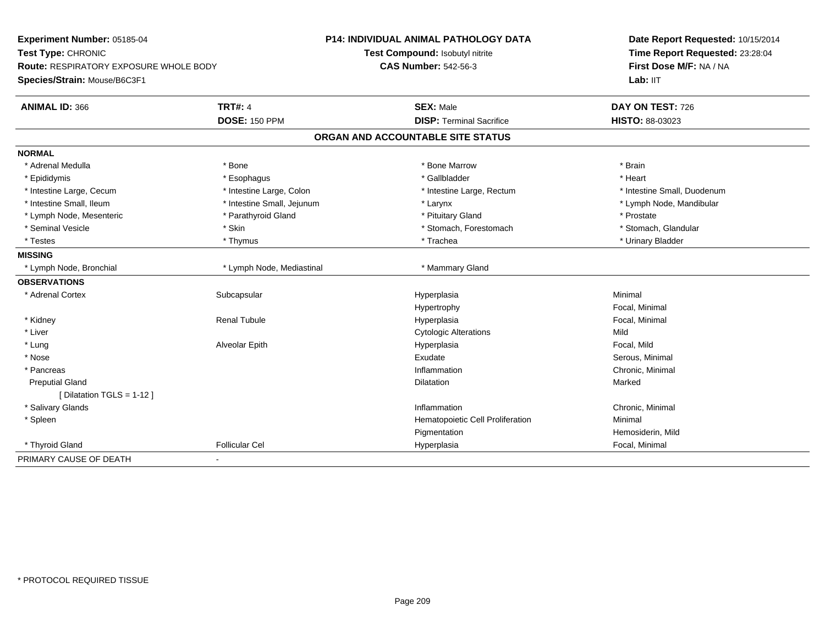| Experiment Number: 05185-04                   |                            | <b>P14: INDIVIDUAL ANIMAL PATHOLOGY DATA</b> | Date Report Requested: 10/15/2014<br>Time Report Requested: 23:28:04 |
|-----------------------------------------------|----------------------------|----------------------------------------------|----------------------------------------------------------------------|
| Test Type: CHRONIC                            |                            | Test Compound: Isobutyl nitrite              |                                                                      |
| <b>Route: RESPIRATORY EXPOSURE WHOLE BODY</b> |                            | <b>CAS Number: 542-56-3</b>                  | First Dose M/F: NA / NA                                              |
| Species/Strain: Mouse/B6C3F1                  |                            |                                              | Lab: IIT                                                             |
| <b>ANIMAL ID: 366</b>                         | <b>TRT#: 4</b>             | <b>SEX: Male</b>                             | DAY ON TEST: 726                                                     |
|                                               | <b>DOSE: 150 PPM</b>       | <b>DISP: Terminal Sacrifice</b>              | HISTO: 88-03023                                                      |
|                                               |                            | ORGAN AND ACCOUNTABLE SITE STATUS            |                                                                      |
| <b>NORMAL</b>                                 |                            |                                              |                                                                      |
| * Adrenal Medulla                             | * Bone                     | * Bone Marrow                                | * Brain                                                              |
| * Epididymis                                  | * Esophagus                | * Gallbladder                                | * Heart                                                              |
| * Intestine Large, Cecum                      | * Intestine Large, Colon   | * Intestine Large, Rectum                    | * Intestine Small, Duodenum                                          |
| * Intestine Small, Ileum                      | * Intestine Small, Jejunum | * Larynx                                     | * Lymph Node, Mandibular                                             |
| * Lymph Node, Mesenteric                      | * Parathyroid Gland        | * Pituitary Gland                            | * Prostate                                                           |
| * Seminal Vesicle                             | * Skin                     | * Stomach, Forestomach                       | * Stomach, Glandular                                                 |
| * Testes                                      | * Thymus                   | * Trachea                                    | * Urinary Bladder                                                    |
| <b>MISSING</b>                                |                            |                                              |                                                                      |
| * Lymph Node, Bronchial                       | * Lymph Node, Mediastinal  | * Mammary Gland                              |                                                                      |
| <b>OBSERVATIONS</b>                           |                            |                                              |                                                                      |
| * Adrenal Cortex                              | Subcapsular                | Hyperplasia                                  | Minimal                                                              |
|                                               |                            | Hypertrophy                                  | Focal, Minimal                                                       |
| * Kidney                                      | <b>Renal Tubule</b>        | Hyperplasia                                  | Focal, Minimal                                                       |
| * Liver                                       |                            | <b>Cytologic Alterations</b>                 | Mild                                                                 |
| * Lung                                        | Alveolar Epith             | Hyperplasia                                  | Focal, Mild                                                          |
| * Nose                                        |                            | Exudate                                      | Serous, Minimal                                                      |
| * Pancreas                                    |                            | Inflammation                                 | Chronic, Minimal                                                     |
| <b>Preputial Gland</b>                        |                            | <b>Dilatation</b>                            | Marked                                                               |
| [ Dilatation TGLS = 1-12 ]                    |                            |                                              |                                                                      |
| * Salivary Glands                             |                            | Inflammation                                 | Chronic, Minimal                                                     |
| * Spleen                                      |                            | Hematopoietic Cell Proliferation             | Minimal                                                              |
|                                               |                            | Pigmentation                                 | Hemosiderin, Mild                                                    |
| * Thyroid Gland                               | <b>Follicular Cel</b>      | Hyperplasia                                  | Focal, Minimal                                                       |
| PRIMARY CAUSE OF DEATH                        | ۰                          |                                              |                                                                      |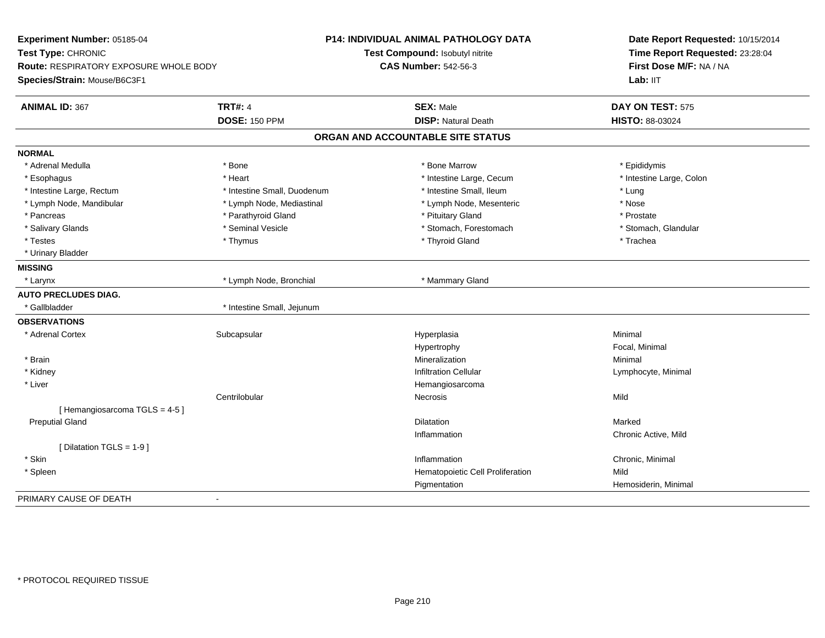| Experiment Number: 05185-04            |                             | <b>P14: INDIVIDUAL ANIMAL PATHOLOGY DATA</b> | Date Report Requested: 10/15/2014<br>Time Report Requested: 23:28:04<br>First Dose M/F: NA / NA |
|----------------------------------------|-----------------------------|----------------------------------------------|-------------------------------------------------------------------------------------------------|
| Test Type: CHRONIC                     |                             | Test Compound: Isobutyl nitrite              |                                                                                                 |
| Route: RESPIRATORY EXPOSURE WHOLE BODY |                             | <b>CAS Number: 542-56-3</b>                  |                                                                                                 |
| Species/Strain: Mouse/B6C3F1           |                             |                                              | Lab: IIT                                                                                        |
| <b>ANIMAL ID: 367</b>                  | <b>TRT#: 4</b>              | <b>SEX: Male</b>                             | DAY ON TEST: 575                                                                                |
|                                        | <b>DOSE: 150 PPM</b>        | <b>DISP: Natural Death</b>                   | HISTO: 88-03024                                                                                 |
|                                        |                             | ORGAN AND ACCOUNTABLE SITE STATUS            |                                                                                                 |
| <b>NORMAL</b>                          |                             |                                              |                                                                                                 |
| * Adrenal Medulla                      | * Bone                      | * Bone Marrow                                | * Epididymis                                                                                    |
| * Esophagus                            | * Heart                     | * Intestine Large, Cecum                     | * Intestine Large, Colon                                                                        |
| * Intestine Large, Rectum              | * Intestine Small, Duodenum | * Intestine Small, Ileum                     | * Lung                                                                                          |
| * Lymph Node, Mandibular               | * Lymph Node, Mediastinal   | * Lymph Node, Mesenteric                     | * Nose                                                                                          |
| * Pancreas                             | * Parathyroid Gland         | * Pituitary Gland                            | * Prostate                                                                                      |
| * Salivary Glands                      | * Seminal Vesicle           | * Stomach, Forestomach                       | * Stomach, Glandular                                                                            |
| * Testes                               | * Thymus                    | * Thyroid Gland                              | * Trachea                                                                                       |
| * Urinary Bladder                      |                             |                                              |                                                                                                 |
| <b>MISSING</b>                         |                             |                                              |                                                                                                 |
| * Larynx                               | * Lymph Node, Bronchial     | * Mammary Gland                              |                                                                                                 |
| <b>AUTO PRECLUDES DIAG.</b>            |                             |                                              |                                                                                                 |
| * Gallbladder                          | * Intestine Small, Jejunum  |                                              |                                                                                                 |
| <b>OBSERVATIONS</b>                    |                             |                                              |                                                                                                 |
| * Adrenal Cortex                       | Subcapsular                 | Hyperplasia                                  | Minimal                                                                                         |
|                                        |                             | Hypertrophy                                  | Focal, Minimal                                                                                  |
| * Brain                                |                             | Mineralization                               | Minimal                                                                                         |
| * Kidney                               |                             | <b>Infiltration Cellular</b>                 | Lymphocyte, Minimal                                                                             |
| * Liver                                |                             | Hemangiosarcoma                              |                                                                                                 |
|                                        | Centrilobular               | <b>Necrosis</b>                              | Mild                                                                                            |
| [Hemangiosarcoma TGLS = 4-5]           |                             |                                              |                                                                                                 |
| <b>Preputial Gland</b>                 |                             | <b>Dilatation</b>                            | Marked                                                                                          |
|                                        |                             | Inflammation                                 | Chronic Active, Mild                                                                            |
| [ Dilatation TGLS = 1-9 ]              |                             |                                              |                                                                                                 |
| * Skin                                 |                             | Inflammation                                 | Chronic, Minimal                                                                                |
| * Spleen                               |                             | Hematopoietic Cell Proliferation             | Mild                                                                                            |
|                                        |                             | Pigmentation                                 | Hemosiderin, Minimal                                                                            |
| PRIMARY CAUSE OF DEATH                 | $\mathbf{r}$                |                                              |                                                                                                 |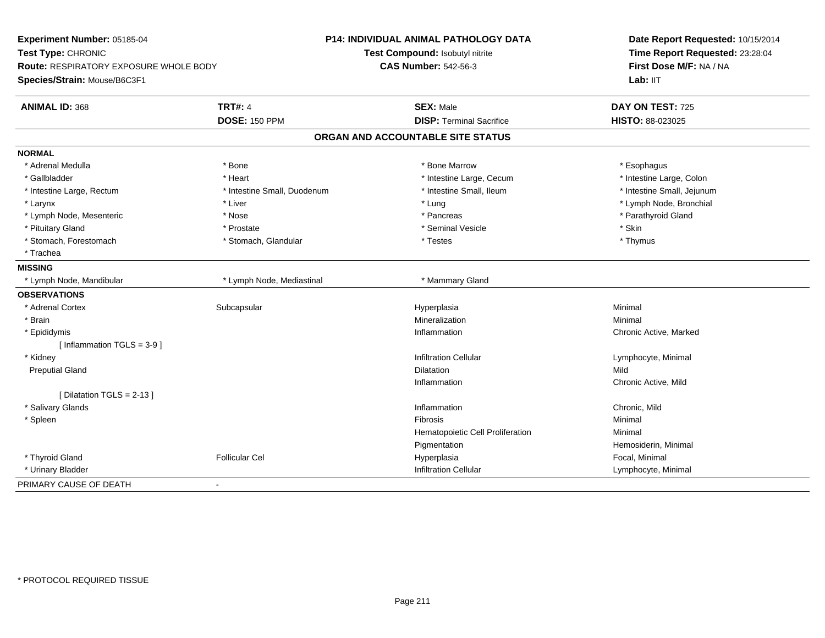| Experiment Number: 05185-04                   |                             | <b>P14: INDIVIDUAL ANIMAL PATHOLOGY DATA</b> | Date Report Requested: 10/15/2014<br>Time Report Requested: 23:28:04<br>First Dose M/F: NA / NA |
|-----------------------------------------------|-----------------------------|----------------------------------------------|-------------------------------------------------------------------------------------------------|
| Test Type: CHRONIC                            |                             | Test Compound: Isobutyl nitrite              |                                                                                                 |
| <b>Route: RESPIRATORY EXPOSURE WHOLE BODY</b> |                             | <b>CAS Number: 542-56-3</b>                  |                                                                                                 |
| Species/Strain: Mouse/B6C3F1                  |                             |                                              | Lab: IIT                                                                                        |
| <b>ANIMAL ID: 368</b>                         | <b>TRT#: 4</b>              | <b>SEX: Male</b>                             | DAY ON TEST: 725                                                                                |
|                                               | <b>DOSE: 150 PPM</b>        | <b>DISP: Terminal Sacrifice</b>              | HISTO: 88-023025                                                                                |
|                                               |                             | ORGAN AND ACCOUNTABLE SITE STATUS            |                                                                                                 |
| <b>NORMAL</b>                                 |                             |                                              |                                                                                                 |
| * Adrenal Medulla                             | * Bone                      | * Bone Marrow                                | * Esophagus                                                                                     |
| * Gallbladder                                 | * Heart                     | * Intestine Large, Cecum                     | * Intestine Large, Colon                                                                        |
| * Intestine Large, Rectum                     | * Intestine Small, Duodenum | * Intestine Small. Ileum                     | * Intestine Small, Jejunum                                                                      |
| * Larynx                                      | * Liver                     | * Lung                                       | * Lymph Node, Bronchial                                                                         |
| * Lymph Node, Mesenteric                      | * Nose                      | * Pancreas                                   | * Parathyroid Gland                                                                             |
| * Pituitary Gland                             | * Prostate                  | * Seminal Vesicle                            | $*$ Skin                                                                                        |
| * Stomach, Forestomach                        | * Stomach, Glandular        | * Testes                                     | $*$ Thymus                                                                                      |
| * Trachea                                     |                             |                                              |                                                                                                 |
| <b>MISSING</b>                                |                             |                                              |                                                                                                 |
| * Lymph Node, Mandibular                      | * Lymph Node, Mediastinal   | * Mammary Gland                              |                                                                                                 |
| <b>OBSERVATIONS</b>                           |                             |                                              |                                                                                                 |
| * Adrenal Cortex                              | Subcapsular                 | Hyperplasia                                  | Minimal                                                                                         |
| * Brain                                       |                             | Mineralization                               | Minimal                                                                                         |
| * Epididymis                                  |                             | Inflammation                                 | Chronic Active, Marked                                                                          |
| [Inflammation TGLS = $3-9$ ]                  |                             |                                              |                                                                                                 |
| * Kidney                                      |                             | <b>Infiltration Cellular</b>                 | Lymphocyte, Minimal                                                                             |
| <b>Preputial Gland</b>                        |                             | <b>Dilatation</b>                            | Mild                                                                                            |
|                                               |                             | Inflammation                                 | Chronic Active, Mild                                                                            |
| [ Dilatation TGLS = 2-13 ]                    |                             |                                              |                                                                                                 |
| * Salivary Glands                             |                             | Inflammation                                 | Chronic, Mild                                                                                   |
| * Spleen                                      |                             | <b>Fibrosis</b>                              | Minimal                                                                                         |
|                                               |                             | Hematopoietic Cell Proliferation             | Minimal                                                                                         |
|                                               |                             | Pigmentation                                 | Hemosiderin, Minimal                                                                            |
| * Thyroid Gland                               | <b>Follicular Cel</b>       | Hyperplasia                                  | Focal, Minimal                                                                                  |
| * Urinary Bladder                             |                             | Infiltration Cellular                        | Lymphocyte, Minimal                                                                             |
| PRIMARY CAUSE OF DEATH                        | $\blacksquare$              |                                              |                                                                                                 |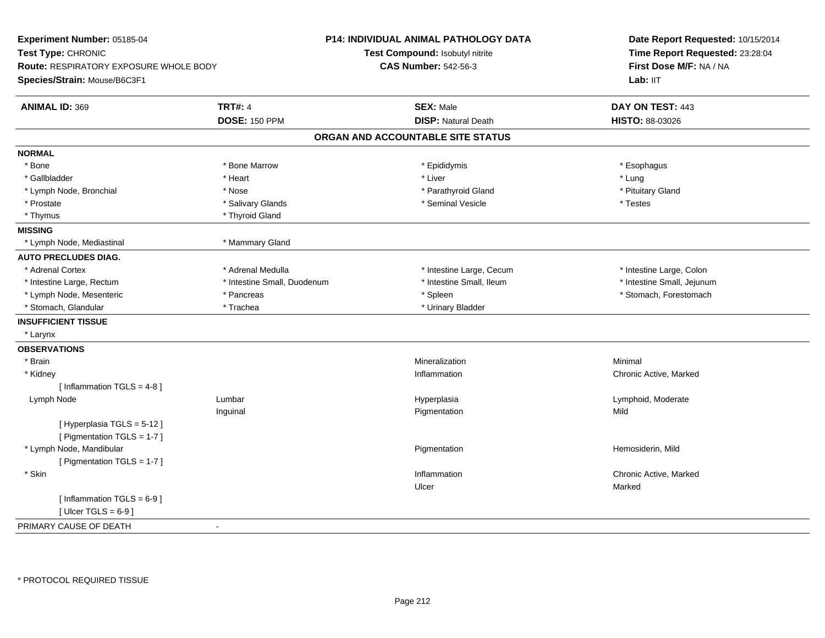| Experiment Number: 05185-04<br>Test Type: CHRONIC<br><b>Route: RESPIRATORY EXPOSURE WHOLE BODY</b><br>Species/Strain: Mouse/B6C3F1 |                             | <b>P14: INDIVIDUAL ANIMAL PATHOLOGY DATA</b><br>Test Compound: Isobutyl nitrite<br><b>CAS Number: 542-56-3</b> | Date Report Requested: 10/15/2014<br>Time Report Requested: 23:28:04<br>First Dose M/F: NA / NA<br>Lab: IIT |
|------------------------------------------------------------------------------------------------------------------------------------|-----------------------------|----------------------------------------------------------------------------------------------------------------|-------------------------------------------------------------------------------------------------------------|
| <b>ANIMAL ID: 369</b>                                                                                                              | <b>TRT#: 4</b>              | <b>SEX: Male</b>                                                                                               | DAY ON TEST: 443                                                                                            |
|                                                                                                                                    | <b>DOSE: 150 PPM</b>        | <b>DISP: Natural Death</b>                                                                                     | HISTO: 88-03026                                                                                             |
|                                                                                                                                    |                             | ORGAN AND ACCOUNTABLE SITE STATUS                                                                              |                                                                                                             |
| <b>NORMAL</b>                                                                                                                      |                             |                                                                                                                |                                                                                                             |
| * Bone                                                                                                                             | * Bone Marrow               | * Epididymis                                                                                                   | * Esophagus                                                                                                 |
| * Gallbladder                                                                                                                      | * Heart                     | * Liver                                                                                                        | * Lung                                                                                                      |
| * Lymph Node, Bronchial                                                                                                            | * Nose                      | * Parathyroid Gland                                                                                            | * Pituitary Gland                                                                                           |
| * Prostate                                                                                                                         | * Salivary Glands           | * Seminal Vesicle                                                                                              | * Testes                                                                                                    |
| * Thymus                                                                                                                           | * Thyroid Gland             |                                                                                                                |                                                                                                             |
| <b>MISSING</b>                                                                                                                     |                             |                                                                                                                |                                                                                                             |
| * Lymph Node, Mediastinal                                                                                                          | * Mammary Gland             |                                                                                                                |                                                                                                             |
| <b>AUTO PRECLUDES DIAG.</b>                                                                                                        |                             |                                                                                                                |                                                                                                             |
| * Adrenal Cortex                                                                                                                   | * Adrenal Medulla           | * Intestine Large, Cecum                                                                                       | * Intestine Large, Colon                                                                                    |
| * Intestine Large, Rectum                                                                                                          | * Intestine Small, Duodenum | * Intestine Small, Ileum                                                                                       | * Intestine Small, Jejunum                                                                                  |
| * Lymph Node, Mesenteric                                                                                                           | * Pancreas                  | * Spleen                                                                                                       | * Stomach, Forestomach                                                                                      |
| * Stomach, Glandular                                                                                                               | * Trachea                   | * Urinary Bladder                                                                                              |                                                                                                             |
| <b>INSUFFICIENT TISSUE</b>                                                                                                         |                             |                                                                                                                |                                                                                                             |
| * Larynx                                                                                                                           |                             |                                                                                                                |                                                                                                             |
| <b>OBSERVATIONS</b>                                                                                                                |                             |                                                                                                                |                                                                                                             |
| * Brain                                                                                                                            |                             | Mineralization                                                                                                 | Minimal                                                                                                     |
| * Kidney                                                                                                                           |                             | Inflammation                                                                                                   | Chronic Active, Marked                                                                                      |
| [Inflammation TGLS = $4-8$ ]                                                                                                       |                             |                                                                                                                |                                                                                                             |
| Lymph Node                                                                                                                         | Lumbar                      | Hyperplasia                                                                                                    | Lymphoid, Moderate                                                                                          |
|                                                                                                                                    | Inguinal                    | Pigmentation                                                                                                   | Mild                                                                                                        |
| [ Hyperplasia TGLS = 5-12 ]                                                                                                        |                             |                                                                                                                |                                                                                                             |
| [ Pigmentation TGLS = 1-7 ]                                                                                                        |                             |                                                                                                                |                                                                                                             |
| * Lymph Node, Mandibular                                                                                                           |                             | Pigmentation                                                                                                   | Hemosiderin, Mild                                                                                           |
| [ Pigmentation TGLS = 1-7 ]                                                                                                        |                             |                                                                                                                |                                                                                                             |
| * Skin                                                                                                                             |                             | Inflammation                                                                                                   | Chronic Active, Marked                                                                                      |
|                                                                                                                                    |                             | Ulcer                                                                                                          | Marked                                                                                                      |
| [Inflammation TGLS = $6-9$ ]                                                                                                       |                             |                                                                                                                |                                                                                                             |
| [ Ulcer TGLS = $6-9$ ]                                                                                                             |                             |                                                                                                                |                                                                                                             |
| PRIMARY CAUSE OF DEATH                                                                                                             | $\sim$                      |                                                                                                                |                                                                                                             |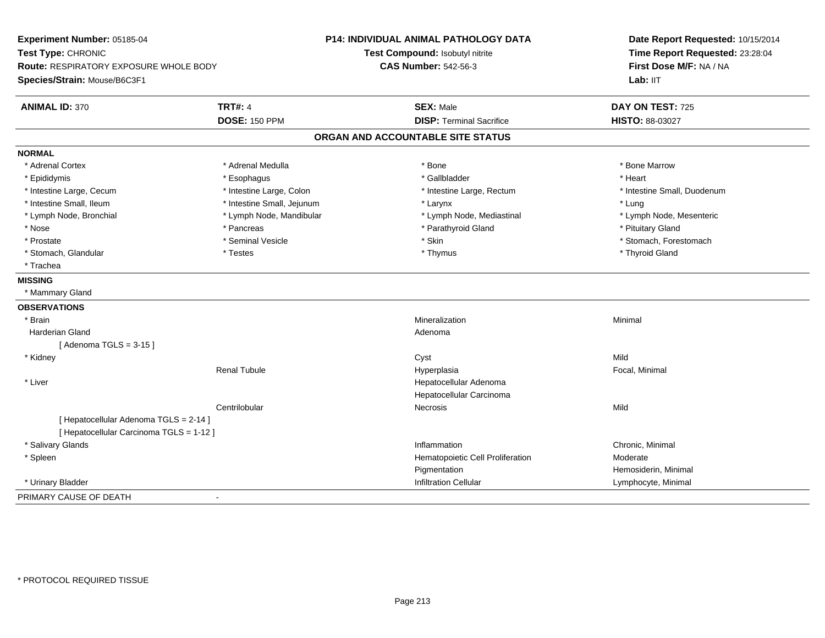| Experiment Number: 05185-04<br>Test Type: CHRONIC<br><b>Route: RESPIRATORY EXPOSURE WHOLE BODY</b> |                            | P14: INDIVIDUAL ANIMAL PATHOLOGY DATA<br>Test Compound: Isobutyl nitrite<br><b>CAS Number: 542-56-3</b> | Date Report Requested: 10/15/2014<br>Time Report Requested: 23:28:04<br>First Dose M/F: NA / NA |
|----------------------------------------------------------------------------------------------------|----------------------------|---------------------------------------------------------------------------------------------------------|-------------------------------------------------------------------------------------------------|
| Species/Strain: Mouse/B6C3F1                                                                       |                            |                                                                                                         | Lab: IIT                                                                                        |
| <b>ANIMAL ID: 370</b>                                                                              | <b>TRT#: 4</b>             | <b>SEX: Male</b>                                                                                        | DAY ON TEST: 725                                                                                |
|                                                                                                    | <b>DOSE: 150 PPM</b>       | <b>DISP: Terminal Sacrifice</b>                                                                         | HISTO: 88-03027                                                                                 |
|                                                                                                    |                            | ORGAN AND ACCOUNTABLE SITE STATUS                                                                       |                                                                                                 |
| <b>NORMAL</b>                                                                                      |                            |                                                                                                         |                                                                                                 |
| * Adrenal Cortex                                                                                   | * Adrenal Medulla          | * Bone                                                                                                  | * Bone Marrow                                                                                   |
| * Epididymis                                                                                       | * Esophagus                | * Gallbladder                                                                                           | * Heart                                                                                         |
| * Intestine Large, Cecum                                                                           | * Intestine Large, Colon   | * Intestine Large, Rectum                                                                               | * Intestine Small, Duodenum                                                                     |
| * Intestine Small, Ileum                                                                           | * Intestine Small, Jejunum | * Larynx                                                                                                | * Lung                                                                                          |
| * Lymph Node, Bronchial                                                                            | * Lymph Node, Mandibular   | * Lymph Node, Mediastinal                                                                               | * Lymph Node, Mesenteric                                                                        |
| * Nose                                                                                             | * Pancreas                 | * Parathyroid Gland                                                                                     | * Pituitary Gland                                                                               |
| * Prostate                                                                                         | * Seminal Vesicle          | * Skin                                                                                                  | * Stomach, Forestomach                                                                          |
| * Stomach, Glandular                                                                               | * Testes                   | * Thymus                                                                                                | * Thyroid Gland                                                                                 |
| * Trachea                                                                                          |                            |                                                                                                         |                                                                                                 |
| <b>MISSING</b>                                                                                     |                            |                                                                                                         |                                                                                                 |
| * Mammary Gland                                                                                    |                            |                                                                                                         |                                                                                                 |
| <b>OBSERVATIONS</b>                                                                                |                            |                                                                                                         |                                                                                                 |
| * Brain                                                                                            |                            | Mineralization                                                                                          | Minimal                                                                                         |
| Harderian Gland                                                                                    |                            | Adenoma                                                                                                 |                                                                                                 |
| [Adenoma TGLS = $3-15$ ]                                                                           |                            |                                                                                                         |                                                                                                 |
| * Kidney                                                                                           |                            | Cyst                                                                                                    | Mild                                                                                            |
|                                                                                                    | <b>Renal Tubule</b>        | Hyperplasia                                                                                             | Focal, Minimal                                                                                  |
| * Liver                                                                                            |                            | Hepatocellular Adenoma                                                                                  |                                                                                                 |
|                                                                                                    |                            | Hepatocellular Carcinoma                                                                                |                                                                                                 |
|                                                                                                    | Centrilobular              | Necrosis                                                                                                | Mild                                                                                            |
| [ Hepatocellular Adenoma TGLS = 2-14 ]                                                             |                            |                                                                                                         |                                                                                                 |
| [ Hepatocellular Carcinoma TGLS = 1-12 ]                                                           |                            |                                                                                                         |                                                                                                 |
| * Salivary Glands                                                                                  |                            | Inflammation                                                                                            | Chronic, Minimal                                                                                |
| * Spleen                                                                                           |                            | Hematopoietic Cell Proliferation                                                                        | Moderate                                                                                        |
|                                                                                                    |                            | Pigmentation                                                                                            | Hemosiderin, Minimal                                                                            |
| * Urinary Bladder                                                                                  |                            | <b>Infiltration Cellular</b>                                                                            | Lymphocyte, Minimal                                                                             |
| PRIMARY CAUSE OF DEATH                                                                             | $\overline{\phantom{a}}$   |                                                                                                         |                                                                                                 |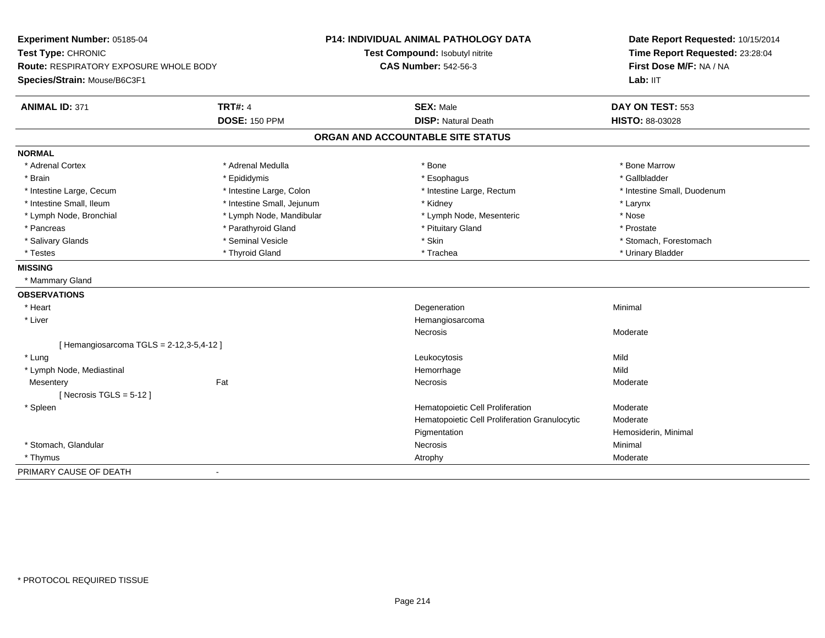| Experiment Number: 05185-04                   |                            | <b>P14: INDIVIDUAL ANIMAL PATHOLOGY DATA</b>  | Date Report Requested: 10/15/2014<br>Time Report Requested: 23:28:04<br>First Dose M/F: NA / NA<br>Lab: IIT |
|-----------------------------------------------|----------------------------|-----------------------------------------------|-------------------------------------------------------------------------------------------------------------|
| Test Type: CHRONIC                            |                            | Test Compound: Isobutyl nitrite               |                                                                                                             |
| <b>Route: RESPIRATORY EXPOSURE WHOLE BODY</b> |                            | <b>CAS Number: 542-56-3</b>                   |                                                                                                             |
| Species/Strain: Mouse/B6C3F1                  |                            |                                               |                                                                                                             |
| <b>ANIMAL ID: 371</b>                         | <b>TRT#: 4</b>             | <b>SEX: Male</b>                              | DAY ON TEST: 553                                                                                            |
|                                               | <b>DOSE: 150 PPM</b>       | <b>DISP: Natural Death</b>                    | HISTO: 88-03028                                                                                             |
|                                               |                            | ORGAN AND ACCOUNTABLE SITE STATUS             |                                                                                                             |
| <b>NORMAL</b>                                 |                            |                                               |                                                                                                             |
| * Adrenal Cortex                              | * Adrenal Medulla          | * Bone                                        | * Bone Marrow                                                                                               |
| * Brain                                       | * Epididymis               | * Esophagus                                   | * Gallbladder                                                                                               |
| * Intestine Large, Cecum                      | * Intestine Large, Colon   | * Intestine Large, Rectum                     | * Intestine Small, Duodenum                                                                                 |
| * Intestine Small, Ileum                      | * Intestine Small, Jejunum | * Kidney                                      | * Larynx                                                                                                    |
| * Lymph Node, Bronchial                       | * Lymph Node, Mandibular   | * Lymph Node, Mesenteric                      | * Nose                                                                                                      |
| * Pancreas                                    | * Parathyroid Gland        | * Pituitary Gland                             | * Prostate                                                                                                  |
| * Salivary Glands                             | * Seminal Vesicle          | * Skin                                        | * Stomach, Forestomach                                                                                      |
| * Testes                                      | * Thyroid Gland            | * Trachea                                     | * Urinary Bladder                                                                                           |
| <b>MISSING</b>                                |                            |                                               |                                                                                                             |
| * Mammary Gland                               |                            |                                               |                                                                                                             |
| <b>OBSERVATIONS</b>                           |                            |                                               |                                                                                                             |
| * Heart                                       |                            | Degeneration                                  | Minimal                                                                                                     |
| * Liver                                       |                            | Hemangiosarcoma                               |                                                                                                             |
|                                               |                            | Necrosis                                      | Moderate                                                                                                    |
| [ Hemangiosarcoma TGLS = 2-12,3-5,4-12 ]      |                            |                                               |                                                                                                             |
| * Lung                                        |                            | Leukocytosis                                  | Mild                                                                                                        |
| * Lymph Node, Mediastinal                     |                            | Hemorrhage                                    | Mild                                                                                                        |
| Mesentery                                     | Fat                        | Necrosis                                      | Moderate                                                                                                    |
| [Necrosis TGLS = $5-12$ ]                     |                            |                                               |                                                                                                             |
| * Spleen                                      |                            | Hematopoietic Cell Proliferation              | Moderate                                                                                                    |
|                                               |                            | Hematopoietic Cell Proliferation Granulocytic | Moderate                                                                                                    |
|                                               |                            | Pigmentation                                  | Hemosiderin, Minimal                                                                                        |
| * Stomach, Glandular                          |                            | Necrosis                                      | Minimal                                                                                                     |
| * Thymus                                      |                            | Atrophy                                       | Moderate                                                                                                    |
| PRIMARY CAUSE OF DEATH                        |                            |                                               |                                                                                                             |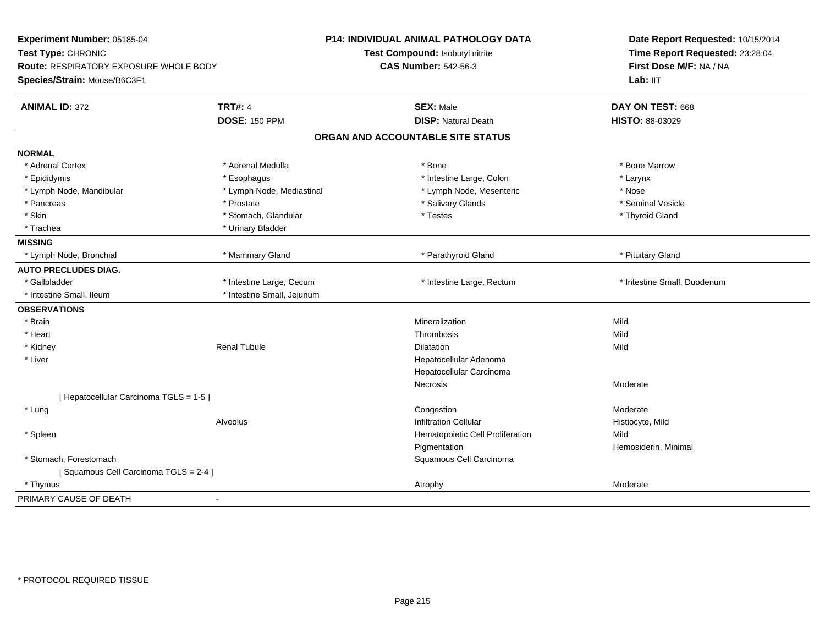| Experiment Number: 05185-04<br>Test Type: CHRONIC |                            | P14: INDIVIDUAL ANIMAL PATHOLOGY DATA<br>Test Compound: Isobutyl nitrite | Date Report Requested: 10/15/2014<br>Time Report Requested: 23:28:04 |
|---------------------------------------------------|----------------------------|--------------------------------------------------------------------------|----------------------------------------------------------------------|
| Route: RESPIRATORY EXPOSURE WHOLE BODY            |                            | <b>CAS Number: 542-56-3</b>                                              | First Dose M/F: NA / NA                                              |
| Species/Strain: Mouse/B6C3F1                      |                            |                                                                          | Lab: IIT                                                             |
| <b>ANIMAL ID: 372</b>                             | <b>TRT#: 4</b>             | <b>SEX: Male</b>                                                         | DAY ON TEST: 668                                                     |
|                                                   | <b>DOSE: 150 PPM</b>       | <b>DISP: Natural Death</b>                                               | HISTO: 88-03029                                                      |
|                                                   |                            | ORGAN AND ACCOUNTABLE SITE STATUS                                        |                                                                      |
| <b>NORMAL</b>                                     |                            |                                                                          |                                                                      |
| * Adrenal Cortex                                  | * Adrenal Medulla          | * Bone                                                                   | * Bone Marrow                                                        |
| * Epididymis                                      | * Esophagus                | * Intestine Large, Colon                                                 | * Larynx                                                             |
| * Lymph Node, Mandibular                          | * Lymph Node, Mediastinal  | * Lymph Node, Mesenteric                                                 | * Nose                                                               |
| * Pancreas                                        | * Prostate                 | * Salivary Glands                                                        | * Seminal Vesicle                                                    |
| * Skin                                            | * Stomach, Glandular       | * Testes                                                                 | * Thyroid Gland                                                      |
| * Trachea                                         | * Urinary Bladder          |                                                                          |                                                                      |
| <b>MISSING</b>                                    |                            |                                                                          |                                                                      |
| * Lymph Node, Bronchial                           | * Mammary Gland            | * Parathyroid Gland                                                      | * Pituitary Gland                                                    |
| <b>AUTO PRECLUDES DIAG.</b>                       |                            |                                                                          |                                                                      |
| * Gallbladder                                     | * Intestine Large, Cecum   | * Intestine Large, Rectum                                                | * Intestine Small, Duodenum                                          |
| * Intestine Small, Ileum                          | * Intestine Small, Jejunum |                                                                          |                                                                      |
| <b>OBSERVATIONS</b>                               |                            |                                                                          |                                                                      |
| * Brain                                           |                            | Mineralization                                                           | Mild                                                                 |
| * Heart                                           |                            | Thrombosis                                                               | Mild                                                                 |
| * Kidney                                          | <b>Renal Tubule</b>        | <b>Dilatation</b>                                                        | Mild                                                                 |
| * Liver                                           |                            | Hepatocellular Adenoma                                                   |                                                                      |
|                                                   |                            | Hepatocellular Carcinoma                                                 |                                                                      |
|                                                   |                            | <b>Necrosis</b>                                                          | Moderate                                                             |
| [ Hepatocellular Carcinoma TGLS = 1-5 ]           |                            |                                                                          |                                                                      |
| * Lung                                            |                            | Congestion                                                               | Moderate                                                             |
|                                                   | Alveolus                   | <b>Infiltration Cellular</b>                                             | Histiocyte, Mild                                                     |
| * Spleen                                          |                            | Hematopoietic Cell Proliferation                                         | Mild                                                                 |
|                                                   |                            | Pigmentation                                                             | Hemosiderin, Minimal                                                 |
| * Stomach, Forestomach                            |                            | Squamous Cell Carcinoma                                                  |                                                                      |
| [Squamous Cell Carcinoma TGLS = 2-4]              |                            |                                                                          |                                                                      |
| * Thymus                                          |                            | Atrophy                                                                  | Moderate                                                             |
| PRIMARY CAUSE OF DEATH<br>$\sim$                  |                            |                                                                          |                                                                      |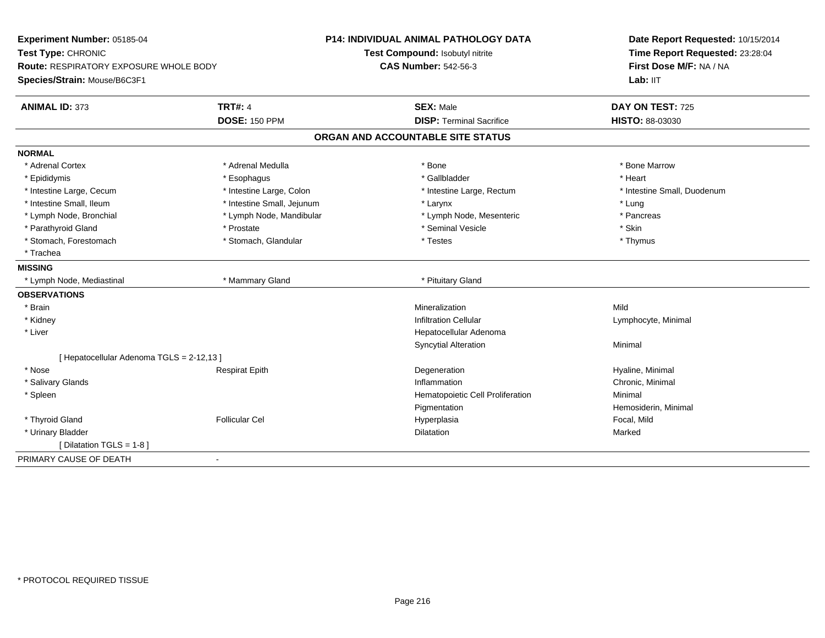| Experiment Number: 05185-04<br>Test Type: CHRONIC<br><b>Route: RESPIRATORY EXPOSURE WHOLE BODY</b><br>Species/Strain: Mouse/B6C3F1 |                            | <b>P14: INDIVIDUAL ANIMAL PATHOLOGY DATA</b> | Date Report Requested: 10/15/2014<br>Time Report Requested: 23:28:04<br>First Dose M/F: NA / NA<br>Lab: IIT |
|------------------------------------------------------------------------------------------------------------------------------------|----------------------------|----------------------------------------------|-------------------------------------------------------------------------------------------------------------|
|                                                                                                                                    |                            | Test Compound: Isobutyl nitrite              |                                                                                                             |
|                                                                                                                                    |                            | <b>CAS Number: 542-56-3</b>                  |                                                                                                             |
|                                                                                                                                    |                            |                                              |                                                                                                             |
| <b>ANIMAL ID: 373</b>                                                                                                              | <b>TRT#: 4</b>             | <b>SEX: Male</b>                             | DAY ON TEST: 725                                                                                            |
|                                                                                                                                    | <b>DOSE: 150 PPM</b>       | <b>DISP: Terminal Sacrifice</b>              | HISTO: 88-03030                                                                                             |
|                                                                                                                                    |                            | ORGAN AND ACCOUNTABLE SITE STATUS            |                                                                                                             |
| <b>NORMAL</b>                                                                                                                      |                            |                                              |                                                                                                             |
| * Adrenal Cortex                                                                                                                   | * Adrenal Medulla          | * Bone                                       | * Bone Marrow                                                                                               |
| * Epididymis                                                                                                                       | * Esophagus                | * Gallbladder                                | * Heart                                                                                                     |
| * Intestine Large, Cecum                                                                                                           | * Intestine Large, Colon   | * Intestine Large, Rectum                    | * Intestine Small, Duodenum                                                                                 |
| * Intestine Small, Ileum                                                                                                           | * Intestine Small, Jejunum | * Larynx                                     | * Lung                                                                                                      |
| * Lymph Node, Bronchial                                                                                                            | * Lymph Node, Mandibular   | * Lymph Node, Mesenteric                     | * Pancreas                                                                                                  |
| * Parathyroid Gland                                                                                                                | * Prostate                 | * Seminal Vesicle                            | * Skin                                                                                                      |
| * Stomach, Forestomach                                                                                                             | * Stomach, Glandular       | * Testes                                     | * Thymus                                                                                                    |
| * Trachea                                                                                                                          |                            |                                              |                                                                                                             |
| <b>MISSING</b>                                                                                                                     |                            |                                              |                                                                                                             |
| * Lymph Node, Mediastinal                                                                                                          | * Mammary Gland            | * Pituitary Gland                            |                                                                                                             |
| <b>OBSERVATIONS</b>                                                                                                                |                            |                                              |                                                                                                             |
| * Brain                                                                                                                            |                            | Mineralization                               | Mild                                                                                                        |
| * Kidney                                                                                                                           |                            | <b>Infiltration Cellular</b>                 | Lymphocyte, Minimal                                                                                         |
| * Liver                                                                                                                            |                            | Hepatocellular Adenoma                       |                                                                                                             |
|                                                                                                                                    |                            | <b>Syncytial Alteration</b>                  | Minimal                                                                                                     |
| [ Hepatocellular Adenoma TGLS = 2-12,13 ]                                                                                          |                            |                                              |                                                                                                             |
| * Nose                                                                                                                             | <b>Respirat Epith</b>      | Degeneration                                 | Hyaline, Minimal                                                                                            |
| * Salivary Glands                                                                                                                  |                            | Inflammation                                 | Chronic, Minimal                                                                                            |
| * Spleen                                                                                                                           |                            | Hematopoietic Cell Proliferation             | Minimal                                                                                                     |
|                                                                                                                                    |                            | Pigmentation                                 | Hemosiderin, Minimal                                                                                        |
| * Thyroid Gland                                                                                                                    | <b>Follicular Cel</b>      | Hyperplasia                                  | Focal, Mild                                                                                                 |
| * Urinary Bladder                                                                                                                  |                            | Dilatation                                   | Marked                                                                                                      |
| [ Dilatation TGLS = 1-8 ]                                                                                                          |                            |                                              |                                                                                                             |
| PRIMARY CAUSE OF DEATH<br>$\blacksquare$                                                                                           |                            |                                              |                                                                                                             |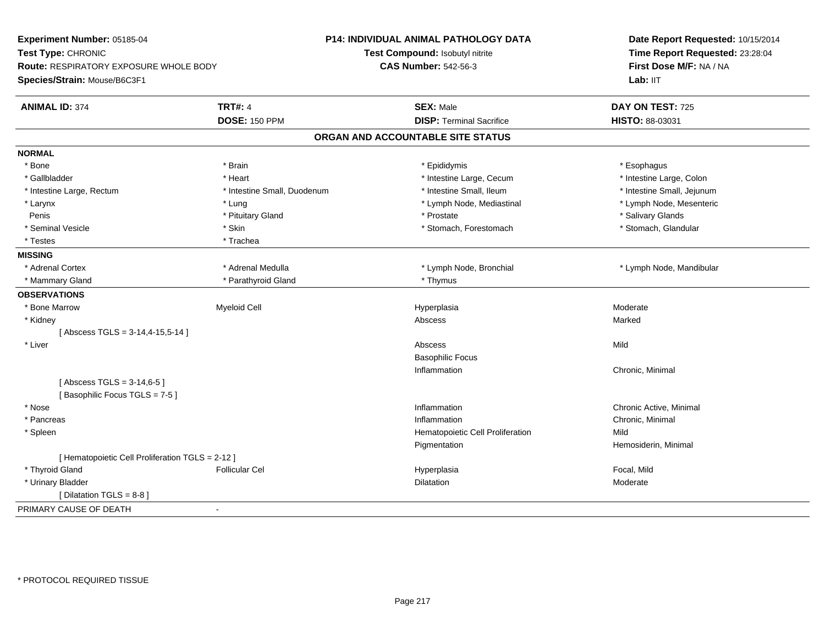| Experiment Number: 05185-04                      |                             | <b>P14: INDIVIDUAL ANIMAL PATHOLOGY DATA</b> | Date Report Requested: 10/15/2014<br>Time Report Requested: 23:28:04<br>First Dose M/F: NA / NA |  |
|--------------------------------------------------|-----------------------------|----------------------------------------------|-------------------------------------------------------------------------------------------------|--|
| Test Type: CHRONIC                               |                             | Test Compound: Isobutyl nitrite              |                                                                                                 |  |
| Route: RESPIRATORY EXPOSURE WHOLE BODY           |                             | <b>CAS Number: 542-56-3</b>                  |                                                                                                 |  |
| Species/Strain: Mouse/B6C3F1                     |                             |                                              | Lab: IIT                                                                                        |  |
| <b>ANIMAL ID: 374</b>                            | <b>TRT#: 4</b>              | <b>SEX: Male</b>                             | DAY ON TEST: 725                                                                                |  |
|                                                  | <b>DOSE: 150 PPM</b>        | <b>DISP: Terminal Sacrifice</b>              | HISTO: 88-03031                                                                                 |  |
|                                                  |                             | ORGAN AND ACCOUNTABLE SITE STATUS            |                                                                                                 |  |
| <b>NORMAL</b>                                    |                             |                                              |                                                                                                 |  |
| * Bone                                           | * Brain                     | * Epididymis                                 | * Esophagus                                                                                     |  |
| * Gallbladder                                    | * Heart                     | * Intestine Large, Cecum                     | * Intestine Large, Colon                                                                        |  |
| * Intestine Large, Rectum                        | * Intestine Small, Duodenum | * Intestine Small, Ileum                     | * Intestine Small, Jejunum                                                                      |  |
| * Larynx                                         | * Lung                      | * Lymph Node, Mediastinal                    | * Lymph Node, Mesenteric                                                                        |  |
| Penis                                            | * Pituitary Gland           | * Prostate                                   | * Salivary Glands                                                                               |  |
| * Seminal Vesicle                                | * Skin                      | * Stomach, Forestomach                       | * Stomach, Glandular                                                                            |  |
| * Testes                                         | * Trachea                   |                                              |                                                                                                 |  |
| <b>MISSING</b>                                   |                             |                                              |                                                                                                 |  |
| * Adrenal Cortex                                 | * Adrenal Medulla           | * Lymph Node, Bronchial                      | * Lymph Node, Mandibular                                                                        |  |
| * Mammary Gland                                  | * Parathyroid Gland         | * Thymus                                     |                                                                                                 |  |
| <b>OBSERVATIONS</b>                              |                             |                                              |                                                                                                 |  |
| * Bone Marrow                                    | <b>Myeloid Cell</b>         | Hyperplasia                                  | Moderate                                                                                        |  |
| * Kidney                                         |                             | Abscess                                      | Marked                                                                                          |  |
| [Abscess TGLS = $3-14,4-15,5-14$ ]               |                             |                                              |                                                                                                 |  |
| * Liver                                          |                             | Abscess                                      | Mild                                                                                            |  |
|                                                  |                             | <b>Basophilic Focus</b>                      |                                                                                                 |  |
|                                                  |                             | Inflammation                                 | Chronic, Minimal                                                                                |  |
| [Abscess TGLS = $3-14,6-5$ ]                     |                             |                                              |                                                                                                 |  |
| [Basophilic Focus TGLS = 7-5]                    |                             |                                              |                                                                                                 |  |
| * Nose                                           |                             | Inflammation                                 | Chronic Active, Minimal                                                                         |  |
| * Pancreas                                       |                             | Inflammation                                 | Chronic, Minimal                                                                                |  |
| * Spleen                                         |                             | Hematopoietic Cell Proliferation             | Mild                                                                                            |  |
|                                                  |                             | Pigmentation                                 | Hemosiderin, Minimal                                                                            |  |
| [ Hematopoietic Cell Proliferation TGLS = 2-12 ] |                             |                                              |                                                                                                 |  |
| * Thyroid Gland                                  | <b>Follicular Cel</b>       | Hyperplasia                                  | Focal, Mild                                                                                     |  |
| * Urinary Bladder                                |                             | <b>Dilatation</b>                            | Moderate                                                                                        |  |
| [ Dilatation TGLS = 8-8 ]                        |                             |                                              |                                                                                                 |  |
| PRIMARY CAUSE OF DEATH                           | $\blacksquare$              |                                              |                                                                                                 |  |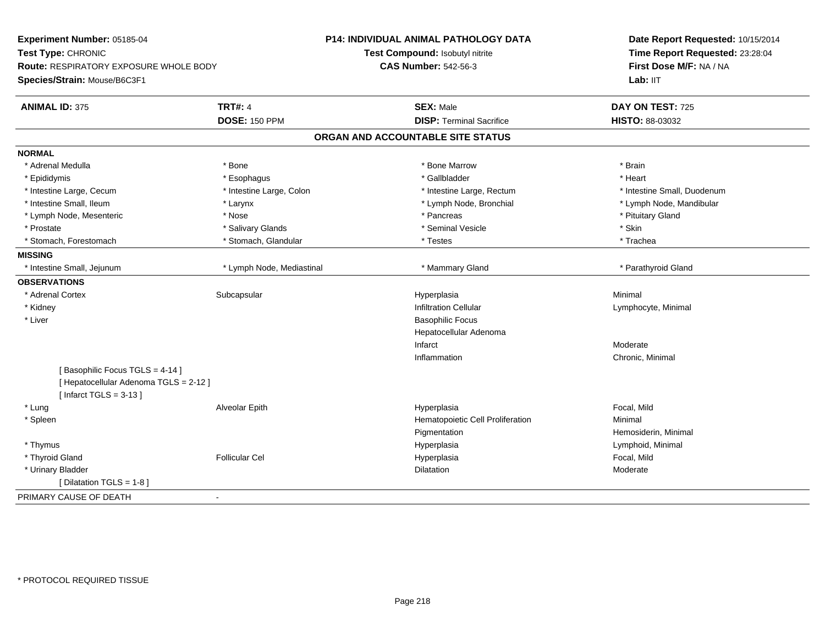| Experiment Number: 05185-04                   |                           | <b>P14: INDIVIDUAL ANIMAL PATHOLOGY DATA</b> | Date Report Requested: 10/15/2014<br>Time Report Requested: 23:28:04<br>First Dose M/F: NA / NA |
|-----------------------------------------------|---------------------------|----------------------------------------------|-------------------------------------------------------------------------------------------------|
| Test Type: CHRONIC                            |                           | Test Compound: Isobutyl nitrite              |                                                                                                 |
| <b>Route: RESPIRATORY EXPOSURE WHOLE BODY</b> |                           | <b>CAS Number: 542-56-3</b>                  |                                                                                                 |
| Species/Strain: Mouse/B6C3F1                  |                           |                                              | Lab: IIT                                                                                        |
| <b>ANIMAL ID: 375</b>                         | <b>TRT#: 4</b>            | <b>SEX: Male</b>                             | DAY ON TEST: 725                                                                                |
|                                               | <b>DOSE: 150 PPM</b>      | <b>DISP: Terminal Sacrifice</b>              | HISTO: 88-03032                                                                                 |
|                                               |                           | ORGAN AND ACCOUNTABLE SITE STATUS            |                                                                                                 |
| <b>NORMAL</b>                                 |                           |                                              |                                                                                                 |
| * Adrenal Medulla                             | * Bone                    | * Bone Marrow                                | * Brain                                                                                         |
| * Epididymis                                  | * Esophagus               | * Gallbladder                                | * Heart                                                                                         |
| * Intestine Large, Cecum                      | * Intestine Large, Colon  | * Intestine Large, Rectum                    | * Intestine Small, Duodenum                                                                     |
| * Intestine Small, Ileum                      | * Larynx                  | * Lymph Node, Bronchial                      | * Lymph Node, Mandibular                                                                        |
| * Lymph Node, Mesenteric                      | * Nose                    | * Pancreas                                   | * Pituitary Gland                                                                               |
| * Prostate                                    | * Salivary Glands         | * Seminal Vesicle                            | * Skin                                                                                          |
| * Stomach, Forestomach                        | * Stomach, Glandular      | * Testes                                     | * Trachea                                                                                       |
| <b>MISSING</b>                                |                           |                                              |                                                                                                 |
| * Intestine Small, Jejunum                    | * Lymph Node, Mediastinal | * Mammary Gland                              | * Parathyroid Gland                                                                             |
| <b>OBSERVATIONS</b>                           |                           |                                              |                                                                                                 |
| * Adrenal Cortex                              | Subcapsular               | Hyperplasia                                  | Minimal                                                                                         |
| * Kidney                                      |                           | <b>Infiltration Cellular</b>                 | Lymphocyte, Minimal                                                                             |
| * Liver                                       |                           | <b>Basophilic Focus</b>                      |                                                                                                 |
|                                               |                           | Hepatocellular Adenoma                       |                                                                                                 |
|                                               |                           | Infarct                                      | Moderate                                                                                        |
|                                               |                           | Inflammation                                 | Chronic, Minimal                                                                                |
| [Basophilic Focus TGLS = 4-14]                |                           |                                              |                                                                                                 |
| [ Hepatocellular Adenoma TGLS = 2-12 ]        |                           |                                              |                                                                                                 |
| [Infarct TGLS = $3-13$ ]                      |                           |                                              |                                                                                                 |
| * Lung                                        | Alveolar Epith            | Hyperplasia                                  | Focal, Mild                                                                                     |
| * Spleen                                      |                           | Hematopoietic Cell Proliferation             | Minimal                                                                                         |
|                                               |                           | Pigmentation                                 | Hemosiderin, Minimal                                                                            |
| * Thymus                                      |                           | Hyperplasia                                  | Lymphoid, Minimal                                                                               |
| * Thyroid Gland                               | <b>Follicular Cel</b>     | Hyperplasia                                  | Focal, Mild                                                                                     |
| * Urinary Bladder                             |                           | Dilatation                                   | Moderate                                                                                        |
| [ Dilatation TGLS = 1-8 ]                     |                           |                                              |                                                                                                 |
| PRIMARY CAUSE OF DEATH                        | $\blacksquare$            |                                              |                                                                                                 |
|                                               |                           |                                              |                                                                                                 |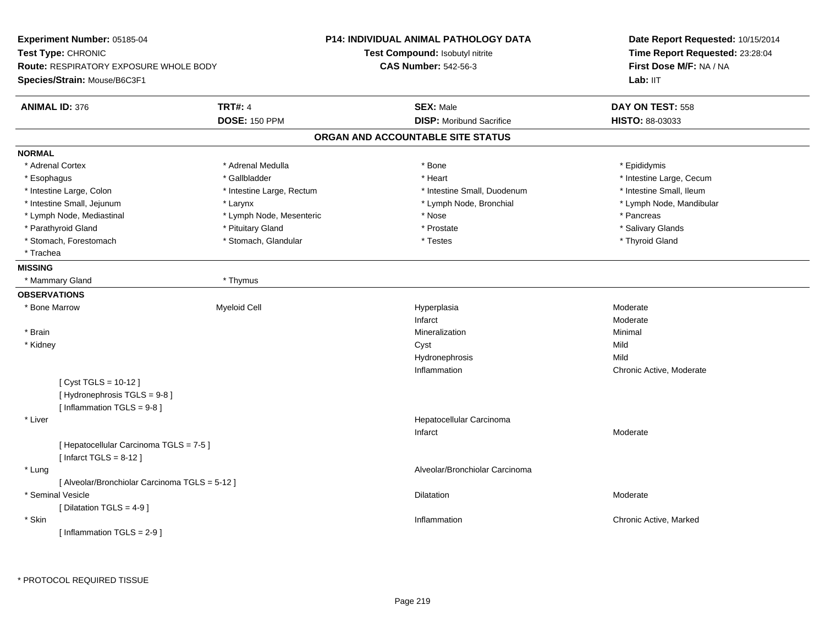| Experiment Number: 05185-04                    |                           | <b>P14: INDIVIDUAL ANIMAL PATHOLOGY DATA</b> | Date Report Requested: 10/15/2014 |  |
|------------------------------------------------|---------------------------|----------------------------------------------|-----------------------------------|--|
| Test Type: CHRONIC                             |                           | Test Compound: Isobutyl nitrite              | Time Report Requested: 23:28:04   |  |
| <b>Route: RESPIRATORY EXPOSURE WHOLE BODY</b>  |                           | <b>CAS Number: 542-56-3</b>                  | First Dose M/F: NA / NA           |  |
| Species/Strain: Mouse/B6C3F1                   |                           |                                              | Lab: IIT                          |  |
| <b>ANIMAL ID: 376</b>                          | <b>TRT#: 4</b>            | <b>SEX: Male</b>                             | DAY ON TEST: 558                  |  |
|                                                | <b>DOSE: 150 PPM</b>      | <b>DISP:</b> Moribund Sacrifice              | <b>HISTO: 88-03033</b>            |  |
|                                                |                           | ORGAN AND ACCOUNTABLE SITE STATUS            |                                   |  |
| <b>NORMAL</b>                                  |                           |                                              |                                   |  |
| * Adrenal Cortex                               | * Adrenal Medulla         | * Bone                                       | * Epididymis                      |  |
| * Esophagus                                    | * Gallbladder             | * Heart                                      | * Intestine Large, Cecum          |  |
| * Intestine Large, Colon                       | * Intestine Large, Rectum | * Intestine Small, Duodenum                  | * Intestine Small, Ileum          |  |
| * Intestine Small, Jejunum                     | * Larynx                  | * Lymph Node, Bronchial                      | * Lymph Node, Mandibular          |  |
| * Lymph Node, Mediastinal                      | * Lymph Node, Mesenteric  | * Nose                                       | * Pancreas                        |  |
| * Parathyroid Gland                            | * Pituitary Gland         | * Prostate                                   | * Salivary Glands                 |  |
| * Stomach, Forestomach                         | * Stomach, Glandular      | * Testes                                     | * Thyroid Gland                   |  |
| * Trachea                                      |                           |                                              |                                   |  |
| <b>MISSING</b>                                 |                           |                                              |                                   |  |
| * Mammary Gland                                | * Thymus                  |                                              |                                   |  |
| <b>OBSERVATIONS</b>                            |                           |                                              |                                   |  |
| * Bone Marrow                                  | Myeloid Cell              | Hyperplasia                                  | Moderate                          |  |
|                                                |                           | Infarct                                      | Moderate                          |  |
| * Brain                                        |                           | Mineralization                               | Minimal                           |  |
| * Kidney                                       |                           | Cyst                                         | Mild                              |  |
|                                                |                           | Hydronephrosis                               | Mild                              |  |
|                                                |                           | Inflammation                                 | Chronic Active, Moderate          |  |
| [Cyst TGLS = $10-12$ ]                         |                           |                                              |                                   |  |
| [Hydronephrosis TGLS = 9-8]                    |                           |                                              |                                   |  |
| [Inflammation $TGLS = 9-8$ ]                   |                           |                                              |                                   |  |
| * Liver                                        |                           | Hepatocellular Carcinoma                     |                                   |  |
|                                                |                           | Infarct                                      | Moderate                          |  |
| [ Hepatocellular Carcinoma TGLS = 7-5 ]        |                           |                                              |                                   |  |
| [Infarct TGLS = $8-12$ ]                       |                           |                                              |                                   |  |
| * Lung                                         |                           | Alveolar/Bronchiolar Carcinoma               |                                   |  |
| [ Alveolar/Bronchiolar Carcinoma TGLS = 5-12 ] |                           |                                              |                                   |  |
| * Seminal Vesicle                              |                           | Dilatation                                   | Moderate                          |  |
| [Dilatation TGLS = 4-9]                        |                           |                                              |                                   |  |
| * Skin                                         |                           | Inflammation                                 | Chronic Active, Marked            |  |
| [Inflammation TGLS = $2-9$ ]                   |                           |                                              |                                   |  |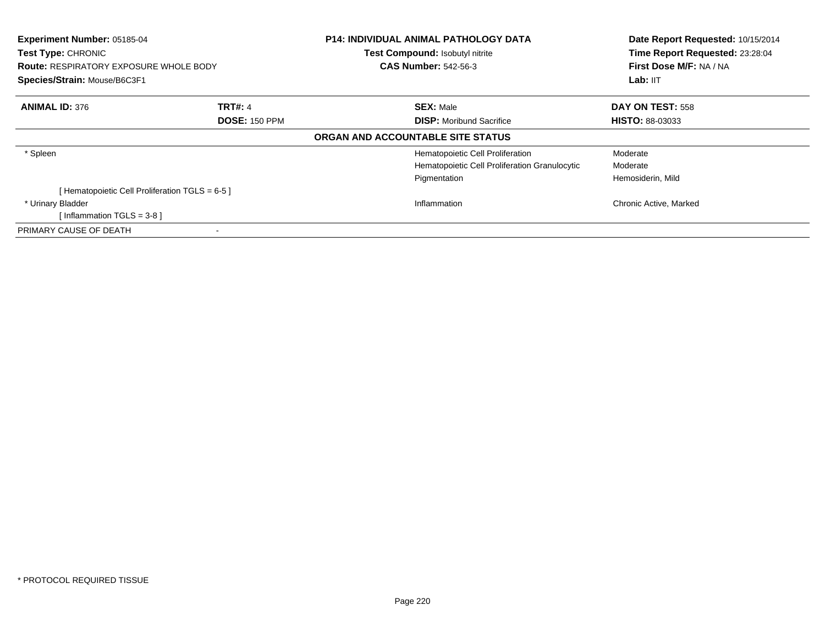| Experiment Number: 05185-04<br><b>Test Type: CHRONIC</b><br><b>Route: RESPIRATORY EXPOSURE WHOLE BODY</b><br>Species/Strain: Mouse/B6C3F1 |                                        | <b>P14: INDIVIDUAL ANIMAL PATHOLOGY DATA</b><br>Test Compound: Isobutyl nitrite<br><b>CAS Number: 542-56-3</b> | Date Report Requested: 10/15/2014<br>Time Report Requested: 23:28:04<br>First Dose M/F: NA / NA<br>Lab: IIT |
|-------------------------------------------------------------------------------------------------------------------------------------------|----------------------------------------|----------------------------------------------------------------------------------------------------------------|-------------------------------------------------------------------------------------------------------------|
| <b>ANIMAL ID: 376</b>                                                                                                                     | <b>TRT#: 4</b><br><b>DOSE: 150 PPM</b> | <b>SEX: Male</b><br><b>DISP:</b> Moribund Sacrifice                                                            | <b>DAY ON TEST: 558</b><br><b>HISTO: 88-03033</b>                                                           |
|                                                                                                                                           |                                        | ORGAN AND ACCOUNTABLE SITE STATUS                                                                              |                                                                                                             |
| * Spleen                                                                                                                                  |                                        | Hematopoietic Cell Proliferation<br>Hematopoietic Cell Proliferation Granulocytic<br>Pigmentation              | Moderate<br>Moderate<br>Hemosiderin, Mild                                                                   |
| [Hematopoietic Cell Proliferation TGLS = 6-5 ]                                                                                            |                                        |                                                                                                                |                                                                                                             |
| * Urinary Bladder<br>[Inflammation TGLS = $3-8$ ]                                                                                         |                                        | Inflammation                                                                                                   | Chronic Active, Marked                                                                                      |
| PRIMARY CAUSE OF DEATH                                                                                                                    |                                        |                                                                                                                |                                                                                                             |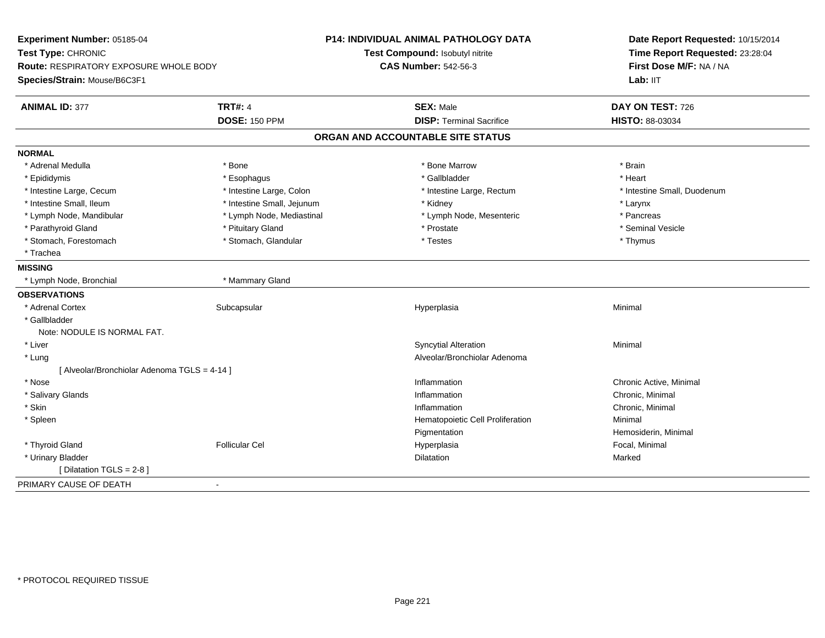| Experiment Number: 05185-04                  |                            | P14: INDIVIDUAL ANIMAL PATHOLOGY DATA | Date Report Requested: 10/15/2014                          |  |
|----------------------------------------------|----------------------------|---------------------------------------|------------------------------------------------------------|--|
| Test Type: CHRONIC                           |                            | Test Compound: Isobutyl nitrite       | Time Report Requested: 23:28:04<br>First Dose M/F: NA / NA |  |
| Route: RESPIRATORY EXPOSURE WHOLE BODY       |                            | <b>CAS Number: 542-56-3</b>           |                                                            |  |
| Species/Strain: Mouse/B6C3F1                 |                            |                                       | Lab: IIT                                                   |  |
| <b>ANIMAL ID: 377</b>                        | <b>TRT#: 4</b>             | <b>SEX: Male</b>                      | DAY ON TEST: 726                                           |  |
|                                              | <b>DOSE: 150 PPM</b>       | <b>DISP: Terminal Sacrifice</b>       | HISTO: 88-03034                                            |  |
|                                              |                            | ORGAN AND ACCOUNTABLE SITE STATUS     |                                                            |  |
| <b>NORMAL</b>                                |                            |                                       |                                                            |  |
| * Adrenal Medulla                            | * Bone                     | * Bone Marrow                         | * Brain                                                    |  |
| * Epididymis                                 | * Esophagus                | * Gallbladder                         | * Heart                                                    |  |
| * Intestine Large, Cecum                     | * Intestine Large, Colon   | * Intestine Large, Rectum             | * Intestine Small, Duodenum                                |  |
| * Intestine Small, Ileum                     | * Intestine Small, Jejunum | * Kidney                              | * Larynx                                                   |  |
| * Lymph Node, Mandibular                     | * Lymph Node, Mediastinal  | * Lymph Node, Mesenteric              | * Pancreas                                                 |  |
| * Parathyroid Gland                          | * Pituitary Gland          | * Prostate                            | * Seminal Vesicle                                          |  |
| * Stomach, Forestomach                       | * Stomach, Glandular       | * Testes                              | * Thymus                                                   |  |
| * Trachea                                    |                            |                                       |                                                            |  |
| <b>MISSING</b>                               |                            |                                       |                                                            |  |
| * Lymph Node, Bronchial                      | * Mammary Gland            |                                       |                                                            |  |
| <b>OBSERVATIONS</b>                          |                            |                                       |                                                            |  |
| * Adrenal Cortex                             | Subcapsular                | Hyperplasia                           | Minimal                                                    |  |
| * Gallbladder                                |                            |                                       |                                                            |  |
| Note: NODULE IS NORMAL FAT.                  |                            |                                       |                                                            |  |
| * Liver                                      |                            | <b>Syncytial Alteration</b>           | Minimal                                                    |  |
| * Lung                                       |                            | Alveolar/Bronchiolar Adenoma          |                                                            |  |
| [ Alveolar/Bronchiolar Adenoma TGLS = 4-14 ] |                            |                                       |                                                            |  |
| * Nose                                       |                            | Inflammation                          | Chronic Active, Minimal                                    |  |
| * Salivary Glands                            |                            | Inflammation                          | Chronic, Minimal                                           |  |
| * Skin                                       |                            | Inflammation                          | Chronic, Minimal                                           |  |
| * Spleen                                     |                            | Hematopoietic Cell Proliferation      | Minimal                                                    |  |
|                                              |                            | Pigmentation                          | Hemosiderin, Minimal                                       |  |
| * Thyroid Gland                              | <b>Follicular Cel</b>      | Hyperplasia                           | Focal, Minimal                                             |  |
| * Urinary Bladder                            |                            | Dilatation                            | Marked                                                     |  |
| [ Dilatation TGLS = 2-8 ]                    |                            |                                       |                                                            |  |
| PRIMARY CAUSE OF DEATH<br>$\blacksquare$     |                            |                                       |                                                            |  |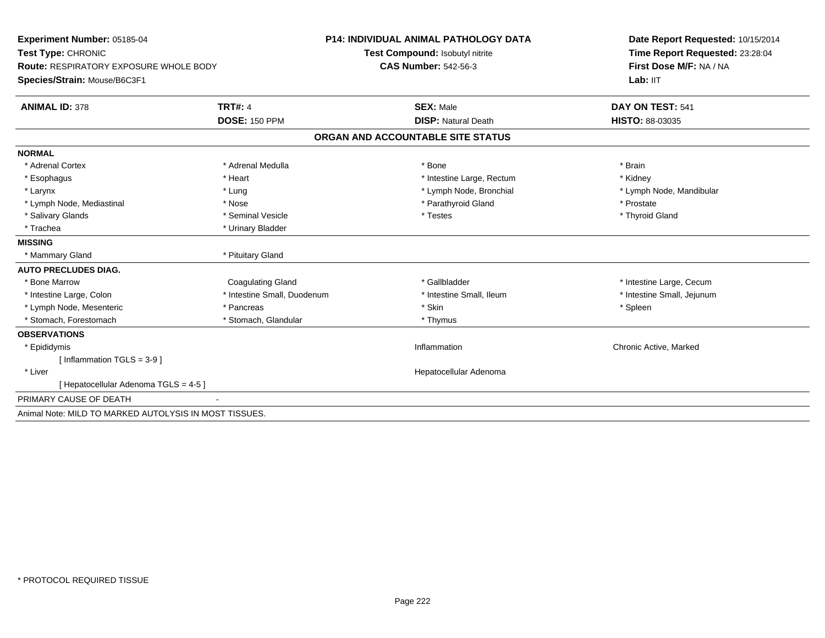| Experiment Number: 05185-04<br>Test Type: CHRONIC<br>Route: RESPIRATORY EXPOSURE WHOLE BODY |                             | <b>P14: INDIVIDUAL ANIMAL PATHOLOGY DATA</b> | Date Report Requested: 10/15/2014<br>Time Report Requested: 23:28:04<br>First Dose M/F: NA / NA |
|---------------------------------------------------------------------------------------------|-----------------------------|----------------------------------------------|-------------------------------------------------------------------------------------------------|
|                                                                                             |                             | Test Compound: Isobutyl nitrite              |                                                                                                 |
|                                                                                             |                             | <b>CAS Number: 542-56-3</b>                  |                                                                                                 |
| Species/Strain: Mouse/B6C3F1                                                                |                             |                                              | Lab: IIT                                                                                        |
| <b>ANIMAL ID: 378</b>                                                                       | <b>TRT#: 4</b>              | <b>SEX: Male</b>                             | DAY ON TEST: 541                                                                                |
|                                                                                             | <b>DOSE: 150 PPM</b>        | <b>DISP: Natural Death</b>                   | <b>HISTO: 88-03035</b>                                                                          |
|                                                                                             |                             | ORGAN AND ACCOUNTABLE SITE STATUS            |                                                                                                 |
| <b>NORMAL</b>                                                                               |                             |                                              |                                                                                                 |
| * Adrenal Cortex                                                                            | * Adrenal Medulla           | * Bone                                       | * Brain                                                                                         |
| * Esophagus                                                                                 | * Heart                     | * Intestine Large, Rectum                    | * Kidney                                                                                        |
| * Larynx                                                                                    | * Lung                      | * Lymph Node, Bronchial                      | * Lymph Node, Mandibular                                                                        |
| * Lymph Node, Mediastinal                                                                   | * Nose                      | * Parathyroid Gland                          | * Prostate                                                                                      |
| * Salivary Glands                                                                           | * Seminal Vesicle           | * Testes                                     | * Thyroid Gland                                                                                 |
| * Trachea                                                                                   | * Urinary Bladder           |                                              |                                                                                                 |
| <b>MISSING</b>                                                                              |                             |                                              |                                                                                                 |
| * Mammary Gland                                                                             | * Pituitary Gland           |                                              |                                                                                                 |
| <b>AUTO PRECLUDES DIAG.</b>                                                                 |                             |                                              |                                                                                                 |
| * Bone Marrow                                                                               | <b>Coagulating Gland</b>    | * Gallbladder                                | * Intestine Large, Cecum                                                                        |
| * Intestine Large, Colon                                                                    | * Intestine Small, Duodenum | * Intestine Small, Ileum                     | * Intestine Small, Jejunum                                                                      |
| * Lymph Node, Mesenteric                                                                    | * Pancreas                  | * Skin                                       | * Spleen                                                                                        |
| * Stomach, Forestomach                                                                      | * Stomach, Glandular        | * Thymus                                     |                                                                                                 |
| <b>OBSERVATIONS</b>                                                                         |                             |                                              |                                                                                                 |
| * Epididymis                                                                                |                             | Inflammation                                 | Chronic Active, Marked                                                                          |
| [Inflammation TGLS = $3-9$ ]                                                                |                             |                                              |                                                                                                 |
| * Liver                                                                                     |                             | Hepatocellular Adenoma                       |                                                                                                 |
| [Hepatocellular Adenoma TGLS = 4-5]                                                         |                             |                                              |                                                                                                 |
| PRIMARY CAUSE OF DEATH                                                                      |                             |                                              |                                                                                                 |
| Animal Note: MILD TO MARKED AUTOLYSIS IN MOST TISSUES.                                      |                             |                                              |                                                                                                 |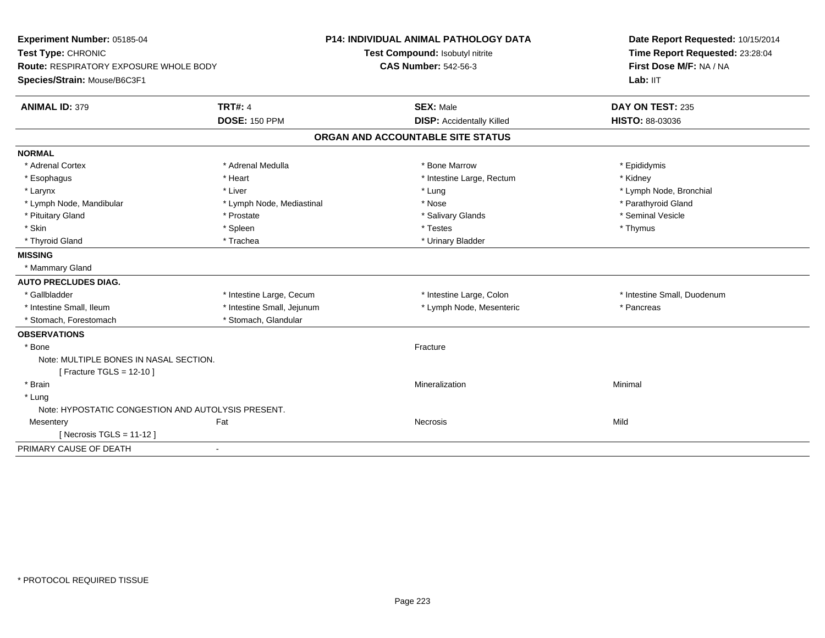| Experiment Number: 05185-04<br>Test Type: CHRONIC<br>Route: RESPIRATORY EXPOSURE WHOLE BODY<br>Species/Strain: Mouse/B6C3F1 |                            | P14: INDIVIDUAL ANIMAL PATHOLOGY DATA<br>Test Compound: Isobutyl nitrite<br><b>CAS Number: 542-56-3</b> | Date Report Requested: 10/15/2014<br>Time Report Requested: 23:28:04<br>First Dose M/F: NA / NA<br>Lab: IIT |
|-----------------------------------------------------------------------------------------------------------------------------|----------------------------|---------------------------------------------------------------------------------------------------------|-------------------------------------------------------------------------------------------------------------|
| <b>ANIMAL ID: 379</b>                                                                                                       | <b>TRT#: 4</b>             | <b>SEX: Male</b>                                                                                        | DAY ON TEST: 235                                                                                            |
|                                                                                                                             | <b>DOSE: 150 PPM</b>       | <b>DISP:</b> Accidentally Killed                                                                        | <b>HISTO: 88-03036</b>                                                                                      |
|                                                                                                                             |                            | ORGAN AND ACCOUNTABLE SITE STATUS                                                                       |                                                                                                             |
| <b>NORMAL</b>                                                                                                               |                            |                                                                                                         |                                                                                                             |
| * Adrenal Cortex                                                                                                            | * Adrenal Medulla          | * Bone Marrow                                                                                           | * Epididymis                                                                                                |
| * Esophagus                                                                                                                 | * Heart                    | * Intestine Large, Rectum                                                                               | * Kidney                                                                                                    |
| * Larynx                                                                                                                    | * Liver                    | * Lung                                                                                                  | * Lymph Node, Bronchial                                                                                     |
| * Lymph Node, Mandibular                                                                                                    | * Lymph Node, Mediastinal  | * Nose                                                                                                  | * Parathyroid Gland                                                                                         |
| * Pituitary Gland                                                                                                           | * Prostate                 | * Salivary Glands                                                                                       | * Seminal Vesicle                                                                                           |
| * Skin                                                                                                                      | * Spleen                   | * Testes                                                                                                | * Thymus                                                                                                    |
| * Thyroid Gland                                                                                                             | * Trachea                  | * Urinary Bladder                                                                                       |                                                                                                             |
| <b>MISSING</b>                                                                                                              |                            |                                                                                                         |                                                                                                             |
| * Mammary Gland                                                                                                             |                            |                                                                                                         |                                                                                                             |
| <b>AUTO PRECLUDES DIAG.</b>                                                                                                 |                            |                                                                                                         |                                                                                                             |
| * Gallbladder                                                                                                               | * Intestine Large, Cecum   | * Intestine Large, Colon                                                                                | * Intestine Small, Duodenum                                                                                 |
| * Intestine Small, Ileum                                                                                                    | * Intestine Small, Jejunum | * Lymph Node, Mesenteric                                                                                | * Pancreas                                                                                                  |
| * Stomach, Forestomach                                                                                                      | * Stomach, Glandular       |                                                                                                         |                                                                                                             |
| <b>OBSERVATIONS</b>                                                                                                         |                            |                                                                                                         |                                                                                                             |
| * Bone                                                                                                                      |                            | Fracture                                                                                                |                                                                                                             |
| Note: MULTIPLE BONES IN NASAL SECTION.                                                                                      |                            |                                                                                                         |                                                                                                             |
| [ Fracture TGLS = $12-10$ ]                                                                                                 |                            |                                                                                                         |                                                                                                             |
| * Brain                                                                                                                     |                            | Mineralization                                                                                          | Minimal                                                                                                     |
| * Lung                                                                                                                      |                            |                                                                                                         |                                                                                                             |
| Note: HYPOSTATIC CONGESTION AND AUTOLYSIS PRESENT.                                                                          |                            |                                                                                                         |                                                                                                             |
| Mesentery                                                                                                                   | Fat                        | Necrosis                                                                                                | Mild                                                                                                        |
| [ Necrosis TGLS = $11-12$ ]                                                                                                 |                            |                                                                                                         |                                                                                                             |
| PRIMARY CAUSE OF DEATH                                                                                                      | $\blacksquare$             |                                                                                                         |                                                                                                             |
|                                                                                                                             |                            |                                                                                                         |                                                                                                             |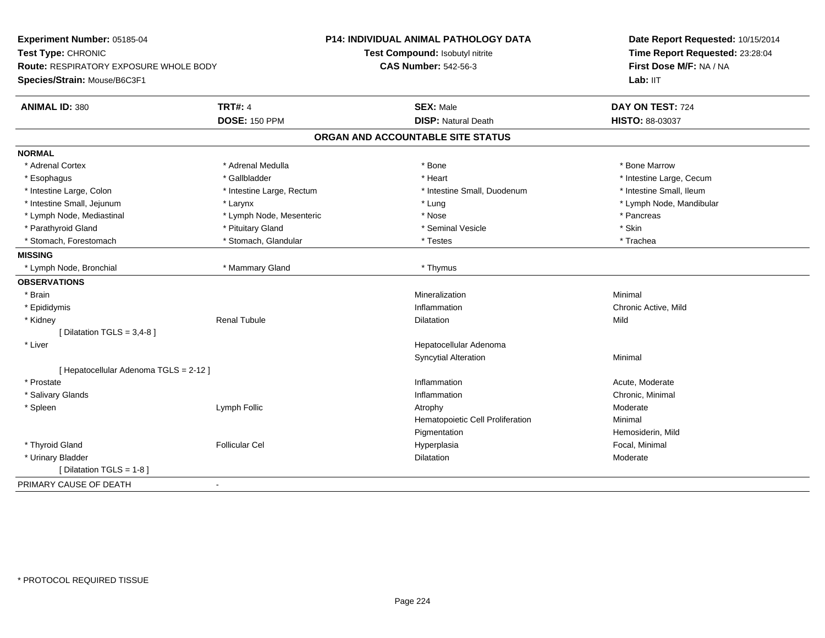| Experiment Number: 05185-04            |                           | P14: INDIVIDUAL ANIMAL PATHOLOGY DATA | Date Report Requested: 10/15/2014<br>Time Report Requested: 23:28:04<br>First Dose M/F: NA / NA |  |
|----------------------------------------|---------------------------|---------------------------------------|-------------------------------------------------------------------------------------------------|--|
| Test Type: CHRONIC                     |                           | Test Compound: Isobutyl nitrite       |                                                                                                 |  |
| Route: RESPIRATORY EXPOSURE WHOLE BODY |                           | <b>CAS Number: 542-56-3</b>           |                                                                                                 |  |
| Species/Strain: Mouse/B6C3F1           |                           |                                       | Lab: IIT                                                                                        |  |
| <b>ANIMAL ID: 380</b>                  | <b>TRT#: 4</b>            | <b>SEX: Male</b>                      | DAY ON TEST: 724                                                                                |  |
|                                        | <b>DOSE: 150 PPM</b>      | <b>DISP: Natural Death</b>            | HISTO: 88-03037                                                                                 |  |
|                                        |                           | ORGAN AND ACCOUNTABLE SITE STATUS     |                                                                                                 |  |
| <b>NORMAL</b>                          |                           |                                       |                                                                                                 |  |
| * Adrenal Cortex                       | * Adrenal Medulla         | * Bone                                | * Bone Marrow                                                                                   |  |
| * Esophagus                            | * Gallbladder             | * Heart                               | * Intestine Large, Cecum                                                                        |  |
| * Intestine Large, Colon               | * Intestine Large, Rectum | * Intestine Small, Duodenum           | * Intestine Small, Ileum                                                                        |  |
| * Intestine Small, Jejunum             | * Larynx                  | * Lung                                | * Lymph Node, Mandibular                                                                        |  |
| * Lymph Node, Mediastinal              | * Lymph Node, Mesenteric  | * Nose                                | * Pancreas                                                                                      |  |
| * Parathyroid Gland                    | * Pituitary Gland         | * Seminal Vesicle                     | * Skin                                                                                          |  |
| * Stomach, Forestomach                 | * Stomach, Glandular      | * Testes                              | * Trachea                                                                                       |  |
| <b>MISSING</b>                         |                           |                                       |                                                                                                 |  |
| * Lymph Node, Bronchial                | * Mammary Gland           | * Thymus                              |                                                                                                 |  |
| <b>OBSERVATIONS</b>                    |                           |                                       |                                                                                                 |  |
| * Brain                                |                           | Mineralization                        | Minimal                                                                                         |  |
| * Epididymis                           |                           | Inflammation                          | Chronic Active, Mild                                                                            |  |
| * Kidney                               | <b>Renal Tubule</b>       | Dilatation                            | Mild                                                                                            |  |
| [ Dilatation TGLS = $3,4-8$ ]          |                           |                                       |                                                                                                 |  |
| * Liver                                |                           | Hepatocellular Adenoma                |                                                                                                 |  |
|                                        |                           | <b>Syncytial Alteration</b>           | Minimal                                                                                         |  |
| [Hepatocellular Adenoma TGLS = 2-12]   |                           |                                       |                                                                                                 |  |
| * Prostate                             |                           | Inflammation                          | Acute, Moderate                                                                                 |  |
| * Salivary Glands                      |                           | Inflammation                          | Chronic, Minimal                                                                                |  |
| * Spleen                               | Lymph Follic              | Atrophy                               | Moderate                                                                                        |  |
|                                        |                           | Hematopoietic Cell Proliferation      | Minimal                                                                                         |  |
|                                        |                           | Pigmentation                          | Hemosiderin, Mild                                                                               |  |
| * Thyroid Gland                        | <b>Follicular Cel</b>     | Hyperplasia                           | Focal, Minimal                                                                                  |  |
| * Urinary Bladder                      |                           | <b>Dilatation</b>                     | Moderate                                                                                        |  |
| [ Dilatation TGLS = 1-8 ]              |                           |                                       |                                                                                                 |  |
| PRIMARY CAUSE OF DEATH                 | $\blacksquare$            |                                       |                                                                                                 |  |
|                                        |                           |                                       |                                                                                                 |  |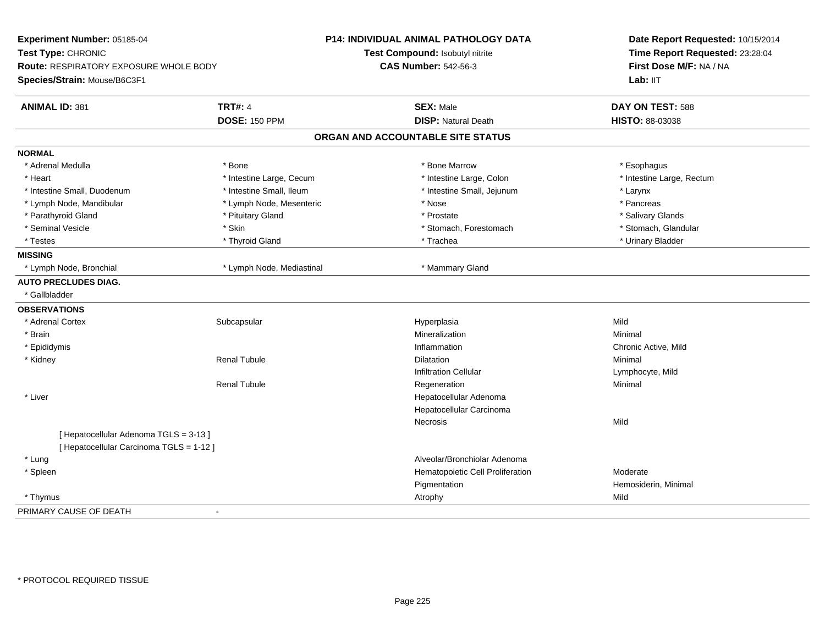| Experiment Number: 05185-04<br>Test Type: CHRONIC<br>Route: RESPIRATORY EXPOSURE WHOLE BODY<br>Species/Strain: Mouse/B6C3F1 |                           | P14: INDIVIDUAL ANIMAL PATHOLOGY DATA<br>Test Compound: Isobutyl nitrite<br><b>CAS Number: 542-56-3</b> | Date Report Requested: 10/15/2014<br>Time Report Requested: 23:28:04<br>First Dose M/F: NA / NA<br>Lab: IIT |
|-----------------------------------------------------------------------------------------------------------------------------|---------------------------|---------------------------------------------------------------------------------------------------------|-------------------------------------------------------------------------------------------------------------|
|                                                                                                                             |                           |                                                                                                         |                                                                                                             |
| <b>ANIMAL ID: 381</b>                                                                                                       | <b>TRT#: 4</b>            | <b>SEX: Male</b>                                                                                        | DAY ON TEST: 588                                                                                            |
|                                                                                                                             | <b>DOSE: 150 PPM</b>      | <b>DISP: Natural Death</b>                                                                              | HISTO: 88-03038                                                                                             |
|                                                                                                                             |                           | ORGAN AND ACCOUNTABLE SITE STATUS                                                                       |                                                                                                             |
| <b>NORMAL</b>                                                                                                               |                           |                                                                                                         |                                                                                                             |
| * Adrenal Medulla                                                                                                           | * Bone                    | * Bone Marrow                                                                                           | * Esophagus                                                                                                 |
| * Heart                                                                                                                     | * Intestine Large, Cecum  | * Intestine Large, Colon                                                                                | * Intestine Large, Rectum                                                                                   |
| * Intestine Small, Duodenum                                                                                                 | * Intestine Small, Ileum  | * Intestine Small, Jejunum                                                                              | * Larynx                                                                                                    |
| * Lymph Node, Mandibular                                                                                                    | * Lymph Node, Mesenteric  | * Nose                                                                                                  | * Pancreas                                                                                                  |
| * Parathyroid Gland                                                                                                         | * Pituitary Gland         | * Prostate                                                                                              | * Salivary Glands                                                                                           |
| * Seminal Vesicle                                                                                                           | * Skin                    | * Stomach, Forestomach                                                                                  | * Stomach, Glandular                                                                                        |
| * Testes                                                                                                                    | * Thyroid Gland           | * Trachea                                                                                               | * Urinary Bladder                                                                                           |
| <b>MISSING</b>                                                                                                              |                           |                                                                                                         |                                                                                                             |
| * Lymph Node, Bronchial                                                                                                     | * Lymph Node, Mediastinal | * Mammary Gland                                                                                         |                                                                                                             |
| <b>AUTO PRECLUDES DIAG.</b>                                                                                                 |                           |                                                                                                         |                                                                                                             |
| * Gallbladder                                                                                                               |                           |                                                                                                         |                                                                                                             |
| <b>OBSERVATIONS</b>                                                                                                         |                           |                                                                                                         |                                                                                                             |
| * Adrenal Cortex                                                                                                            | Subcapsular               | Hyperplasia                                                                                             | Mild                                                                                                        |
| * Brain                                                                                                                     |                           | Mineralization                                                                                          | Minimal                                                                                                     |
| * Epididymis                                                                                                                |                           | Inflammation                                                                                            | Chronic Active, Mild                                                                                        |
| * Kidney                                                                                                                    | <b>Renal Tubule</b>       | <b>Dilatation</b>                                                                                       | Minimal                                                                                                     |
|                                                                                                                             |                           | <b>Infiltration Cellular</b>                                                                            | Lymphocyte, Mild                                                                                            |
|                                                                                                                             | <b>Renal Tubule</b>       | Regeneration                                                                                            | Minimal                                                                                                     |
| * Liver                                                                                                                     |                           | Hepatocellular Adenoma                                                                                  |                                                                                                             |
|                                                                                                                             |                           | Hepatocellular Carcinoma                                                                                |                                                                                                             |
|                                                                                                                             |                           | <b>Necrosis</b>                                                                                         | Mild                                                                                                        |
| [ Hepatocellular Adenoma TGLS = 3-13 ]                                                                                      |                           |                                                                                                         |                                                                                                             |
| [ Hepatocellular Carcinoma TGLS = 1-12 ]                                                                                    |                           |                                                                                                         |                                                                                                             |
| * Lung                                                                                                                      |                           | Alveolar/Bronchiolar Adenoma                                                                            |                                                                                                             |
| * Spleen                                                                                                                    |                           | Hematopoietic Cell Proliferation                                                                        | Moderate                                                                                                    |
|                                                                                                                             |                           | Pigmentation                                                                                            | Hemosiderin, Minimal                                                                                        |
| * Thymus                                                                                                                    |                           | Atrophy                                                                                                 | Mild                                                                                                        |
| PRIMARY CAUSE OF DEATH                                                                                                      | $\sim$                    |                                                                                                         |                                                                                                             |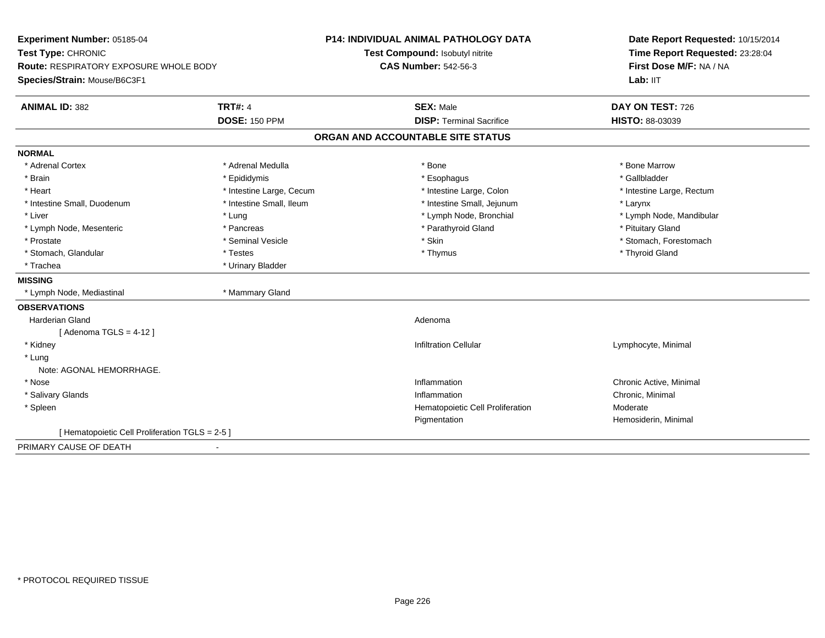| Experiment Number: 05185-04<br>Test Type: CHRONIC<br><b>Route: RESPIRATORY EXPOSURE WHOLE BODY</b> |                          | P14: INDIVIDUAL ANIMAL PATHOLOGY DATA | Date Report Requested: 10/15/2014<br>Time Report Requested: 23:28:04<br>First Dose M/F: NA / NA |
|----------------------------------------------------------------------------------------------------|--------------------------|---------------------------------------|-------------------------------------------------------------------------------------------------|
|                                                                                                    |                          | Test Compound: Isobutyl nitrite       |                                                                                                 |
|                                                                                                    |                          | <b>CAS Number: 542-56-3</b>           |                                                                                                 |
| Species/Strain: Mouse/B6C3F1                                                                       |                          |                                       | Lab: IIT                                                                                        |
| <b>ANIMAL ID: 382</b>                                                                              | <b>TRT#: 4</b>           | <b>SEX: Male</b>                      | DAY ON TEST: 726                                                                                |
|                                                                                                    | <b>DOSE: 150 PPM</b>     | <b>DISP: Terminal Sacrifice</b>       | HISTO: 88-03039                                                                                 |
|                                                                                                    |                          | ORGAN AND ACCOUNTABLE SITE STATUS     |                                                                                                 |
| <b>NORMAL</b>                                                                                      |                          |                                       |                                                                                                 |
| * Adrenal Cortex                                                                                   | * Adrenal Medulla        | * Bone                                | * Bone Marrow                                                                                   |
| * Brain                                                                                            | * Epididymis             | * Esophagus                           | * Gallbladder                                                                                   |
| * Heart                                                                                            | * Intestine Large, Cecum | * Intestine Large, Colon              | * Intestine Large, Rectum                                                                       |
| * Intestine Small, Duodenum                                                                        | * Intestine Small, Ileum | * Intestine Small, Jejunum            | * Larynx                                                                                        |
| * Liver                                                                                            | * Lung                   | * Lymph Node, Bronchial               | * Lymph Node, Mandibular                                                                        |
| * Lymph Node, Mesenteric                                                                           | * Pancreas               | * Parathyroid Gland                   | * Pituitary Gland                                                                               |
| * Prostate                                                                                         | * Seminal Vesicle        | * Skin                                | * Stomach, Forestomach                                                                          |
| * Stomach, Glandular                                                                               | * Testes                 | * Thymus                              | * Thyroid Gland                                                                                 |
| * Trachea                                                                                          | * Urinary Bladder        |                                       |                                                                                                 |
| <b>MISSING</b>                                                                                     |                          |                                       |                                                                                                 |
| * Lymph Node, Mediastinal                                                                          | * Mammary Gland          |                                       |                                                                                                 |
| <b>OBSERVATIONS</b>                                                                                |                          |                                       |                                                                                                 |
| Harderian Gland                                                                                    |                          | Adenoma                               |                                                                                                 |
| [Adenoma TGLS = $4-12$ ]                                                                           |                          |                                       |                                                                                                 |
| * Kidney                                                                                           |                          | <b>Infiltration Cellular</b>          | Lymphocyte, Minimal                                                                             |
| * Lung                                                                                             |                          |                                       |                                                                                                 |
| Note: AGONAL HEMORRHAGE.                                                                           |                          |                                       |                                                                                                 |
| * Nose                                                                                             |                          | Inflammation                          | Chronic Active, Minimal                                                                         |
| * Salivary Glands                                                                                  |                          | Inflammation                          | Chronic, Minimal                                                                                |
| * Spleen                                                                                           |                          | Hematopoietic Cell Proliferation      | Moderate                                                                                        |
|                                                                                                    |                          | Pigmentation                          | Hemosiderin, Minimal                                                                            |
| [ Hematopoietic Cell Proliferation TGLS = 2-5 ]                                                    |                          |                                       |                                                                                                 |
| PRIMARY CAUSE OF DEATH                                                                             | $\blacksquare$           |                                       |                                                                                                 |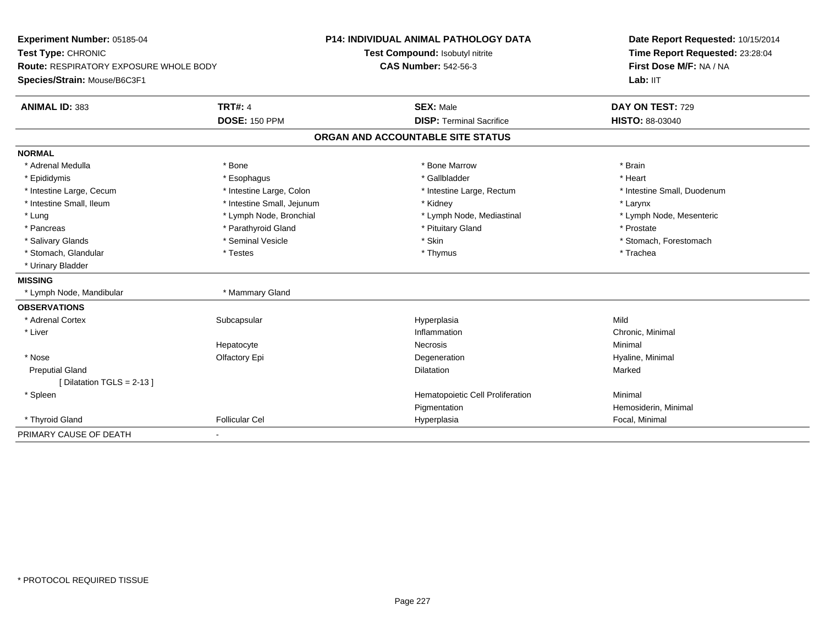| Experiment Number: 05185-04            |                            | <b>P14: INDIVIDUAL ANIMAL PATHOLOGY DATA</b> | Date Report Requested: 10/15/2014                          |
|----------------------------------------|----------------------------|----------------------------------------------|------------------------------------------------------------|
| Test Type: CHRONIC                     |                            | Test Compound: Isobutyl nitrite              | Time Report Requested: 23:28:04<br>First Dose M/F: NA / NA |
| Route: RESPIRATORY EXPOSURE WHOLE BODY |                            | <b>CAS Number: 542-56-3</b>                  |                                                            |
| Species/Strain: Mouse/B6C3F1           |                            |                                              | Lab: IIT                                                   |
| <b>ANIMAL ID: 383</b>                  | <b>TRT#: 4</b>             | <b>SEX: Male</b>                             | DAY ON TEST: 729                                           |
|                                        | <b>DOSE: 150 PPM</b>       | <b>DISP: Terminal Sacrifice</b>              | <b>HISTO: 88-03040</b>                                     |
|                                        |                            | ORGAN AND ACCOUNTABLE SITE STATUS            |                                                            |
| <b>NORMAL</b>                          |                            |                                              |                                                            |
| * Adrenal Medulla                      | * Bone                     | * Bone Marrow                                | * Brain                                                    |
| * Epididymis                           | * Esophagus                | * Gallbladder                                | * Heart                                                    |
| * Intestine Large, Cecum               | * Intestine Large, Colon   | * Intestine Large, Rectum                    | * Intestine Small, Duodenum                                |
| * Intestine Small, Ileum               | * Intestine Small, Jejunum | * Kidney                                     | * Larynx                                                   |
| * Lung                                 | * Lymph Node, Bronchial    | * Lymph Node, Mediastinal                    | * Lymph Node, Mesenteric                                   |
| * Pancreas                             | * Parathyroid Gland        | * Pituitary Gland                            | * Prostate                                                 |
| * Salivary Glands                      | * Seminal Vesicle          | * Skin                                       | * Stomach, Forestomach                                     |
| * Stomach, Glandular                   | * Testes                   | * Thymus                                     | * Trachea                                                  |
| * Urinary Bladder                      |                            |                                              |                                                            |
| <b>MISSING</b>                         |                            |                                              |                                                            |
| * Lymph Node, Mandibular               | * Mammary Gland            |                                              |                                                            |
| <b>OBSERVATIONS</b>                    |                            |                                              |                                                            |
| * Adrenal Cortex                       | Subcapsular                | Hyperplasia                                  | Mild                                                       |
| * Liver                                |                            | Inflammation                                 | Chronic, Minimal                                           |
|                                        | Hepatocyte                 | Necrosis                                     | Minimal                                                    |
| * Nose                                 | Olfactory Epi              | Degeneration                                 | Hyaline, Minimal                                           |
| <b>Preputial Gland</b>                 |                            | <b>Dilatation</b>                            | Marked                                                     |
| [Dilatation TGLS = 2-13]               |                            |                                              |                                                            |
| * Spleen                               |                            | Hematopoietic Cell Proliferation             | Minimal                                                    |
|                                        |                            | Pigmentation                                 | Hemosiderin, Minimal                                       |
| * Thyroid Gland                        | <b>Follicular Cel</b>      | Hyperplasia                                  | Focal, Minimal                                             |
| PRIMARY CAUSE OF DEATH                 | $\overline{\phantom{a}}$   |                                              |                                                            |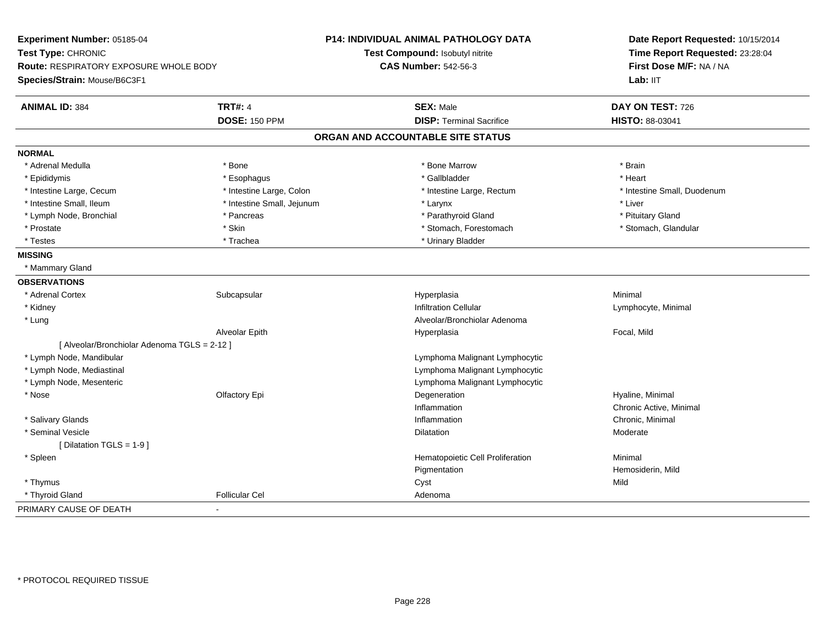| Experiment Number: 05185-04<br>Test Type: CHRONIC<br>Route: RESPIRATORY EXPOSURE WHOLE BODY |                            | P14: INDIVIDUAL ANIMAL PATHOLOGY DATA | Date Report Requested: 10/15/2014<br>Time Report Requested: 23:28:04<br>First Dose M/F: NA / NA |
|---------------------------------------------------------------------------------------------|----------------------------|---------------------------------------|-------------------------------------------------------------------------------------------------|
|                                                                                             |                            | Test Compound: Isobutyl nitrite       |                                                                                                 |
|                                                                                             |                            | <b>CAS Number: 542-56-3</b>           |                                                                                                 |
| Species/Strain: Mouse/B6C3F1                                                                |                            |                                       | Lab: IIT                                                                                        |
| <b>ANIMAL ID: 384</b>                                                                       | <b>TRT#: 4</b>             | <b>SEX: Male</b>                      | DAY ON TEST: 726                                                                                |
|                                                                                             | <b>DOSE: 150 PPM</b>       | <b>DISP: Terminal Sacrifice</b>       | HISTO: 88-03041                                                                                 |
|                                                                                             |                            | ORGAN AND ACCOUNTABLE SITE STATUS     |                                                                                                 |
| <b>NORMAL</b>                                                                               |                            |                                       |                                                                                                 |
| * Adrenal Medulla                                                                           | * Bone                     | * Bone Marrow                         | * Brain                                                                                         |
| * Epididymis                                                                                | * Esophagus                | * Gallbladder                         | * Heart                                                                                         |
| * Intestine Large, Cecum                                                                    | * Intestine Large, Colon   | * Intestine Large, Rectum             | * Intestine Small, Duodenum                                                                     |
| * Intestine Small, Ileum                                                                    | * Intestine Small, Jejunum | * Larynx                              | * Liver                                                                                         |
| * Lymph Node, Bronchial                                                                     | * Pancreas                 | * Parathyroid Gland                   | * Pituitary Gland                                                                               |
| * Prostate                                                                                  | * Skin                     | * Stomach, Forestomach                | * Stomach, Glandular                                                                            |
| * Testes                                                                                    | * Trachea                  | * Urinary Bladder                     |                                                                                                 |
| <b>MISSING</b>                                                                              |                            |                                       |                                                                                                 |
| * Mammary Gland                                                                             |                            |                                       |                                                                                                 |
| <b>OBSERVATIONS</b>                                                                         |                            |                                       |                                                                                                 |
| * Adrenal Cortex                                                                            | Subcapsular                | Hyperplasia                           | Minimal                                                                                         |
| * Kidney                                                                                    |                            | <b>Infiltration Cellular</b>          | Lymphocyte, Minimal                                                                             |
| * Lung                                                                                      |                            | Alveolar/Bronchiolar Adenoma          |                                                                                                 |
|                                                                                             | Alveolar Epith             | Hyperplasia                           | Focal, Mild                                                                                     |
| [ Alveolar/Bronchiolar Adenoma TGLS = 2-12 ]                                                |                            |                                       |                                                                                                 |
| * Lymph Node, Mandibular                                                                    |                            | Lymphoma Malignant Lymphocytic        |                                                                                                 |
| * Lymph Node, Mediastinal                                                                   |                            | Lymphoma Malignant Lymphocytic        |                                                                                                 |
| * Lymph Node, Mesenteric                                                                    |                            | Lymphoma Malignant Lymphocytic        |                                                                                                 |
| * Nose                                                                                      | Olfactory Epi              | Degeneration                          | Hyaline, Minimal                                                                                |
|                                                                                             |                            | Inflammation                          | Chronic Active, Minimal                                                                         |
| * Salivary Glands                                                                           |                            | Inflammation                          | Chronic, Minimal                                                                                |
| * Seminal Vesicle                                                                           |                            | Dilatation                            | Moderate                                                                                        |
| [ Dilatation TGLS = 1-9 ]                                                                   |                            |                                       |                                                                                                 |
| * Spleen                                                                                    |                            | Hematopoietic Cell Proliferation      | Minimal                                                                                         |
|                                                                                             |                            | Pigmentation                          | Hemosiderin, Mild                                                                               |
| * Thymus                                                                                    |                            | Cyst                                  | Mild                                                                                            |
| * Thyroid Gland                                                                             | <b>Follicular Cel</b>      | Adenoma                               |                                                                                                 |
| PRIMARY CAUSE OF DEATH                                                                      |                            |                                       |                                                                                                 |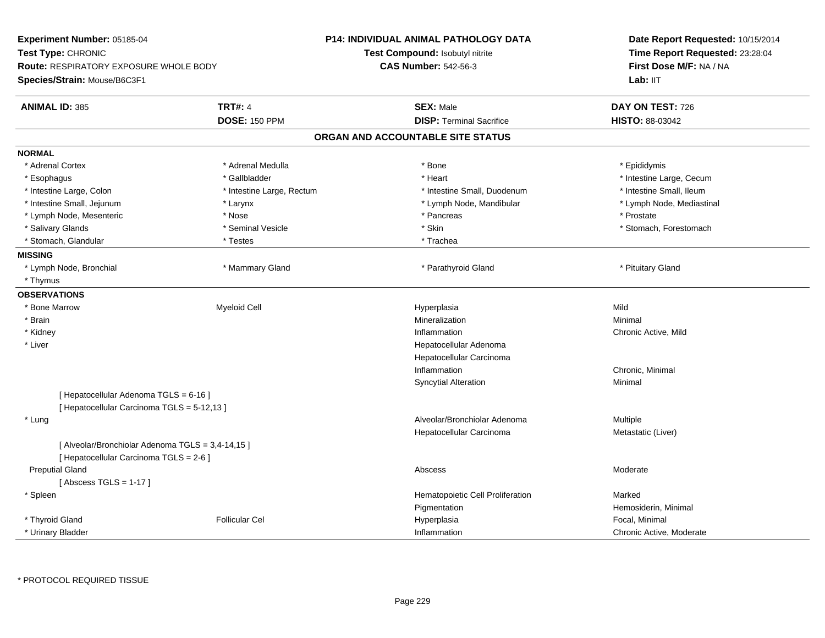| Experiment Number: 05185-04<br>Test Type: CHRONIC<br><b>Route: RESPIRATORY EXPOSURE WHOLE BODY</b> |                           | <b>P14: INDIVIDUAL ANIMAL PATHOLOGY DATA</b><br>Test Compound: Isobutyl nitrite | Date Report Requested: 10/15/2014<br>Time Report Requested: 23:28:04<br>First Dose M/F: NA / NA |
|----------------------------------------------------------------------------------------------------|---------------------------|---------------------------------------------------------------------------------|-------------------------------------------------------------------------------------------------|
|                                                                                                    |                           | <b>CAS Number: 542-56-3</b>                                                     |                                                                                                 |
| Species/Strain: Mouse/B6C3F1                                                                       |                           |                                                                                 | Lab: IIT                                                                                        |
| <b>ANIMAL ID: 385</b>                                                                              | <b>TRT#: 4</b>            | <b>SEX: Male</b>                                                                | DAY ON TEST: 726                                                                                |
|                                                                                                    | <b>DOSE: 150 PPM</b>      | <b>DISP: Terminal Sacrifice</b>                                                 | HISTO: 88-03042                                                                                 |
|                                                                                                    |                           | ORGAN AND ACCOUNTABLE SITE STATUS                                               |                                                                                                 |
| <b>NORMAL</b>                                                                                      |                           |                                                                                 |                                                                                                 |
| * Adrenal Cortex                                                                                   | * Adrenal Medulla         | * Bone                                                                          | * Epididymis                                                                                    |
| * Esophagus                                                                                        | * Gallbladder             | * Heart                                                                         | * Intestine Large, Cecum                                                                        |
| * Intestine Large, Colon                                                                           | * Intestine Large, Rectum | * Intestine Small, Duodenum                                                     | * Intestine Small, Ileum                                                                        |
| * Intestine Small, Jejunum                                                                         | * Larynx                  | * Lymph Node, Mandibular                                                        | * Lymph Node, Mediastinal                                                                       |
| * Lymph Node, Mesenteric                                                                           | * Nose                    | * Pancreas                                                                      | * Prostate                                                                                      |
| * Salivary Glands                                                                                  | * Seminal Vesicle         | * Skin                                                                          | * Stomach, Forestomach                                                                          |
| * Stomach, Glandular                                                                               | * Testes                  | * Trachea                                                                       |                                                                                                 |
| <b>MISSING</b>                                                                                     |                           |                                                                                 |                                                                                                 |
| * Lymph Node, Bronchial                                                                            | * Mammary Gland           | * Parathyroid Gland                                                             | * Pituitary Gland                                                                               |
| * Thymus                                                                                           |                           |                                                                                 |                                                                                                 |
| <b>OBSERVATIONS</b>                                                                                |                           |                                                                                 |                                                                                                 |
| * Bone Marrow                                                                                      | <b>Myeloid Cell</b>       | Hyperplasia                                                                     | Mild                                                                                            |
| * Brain                                                                                            |                           | Mineralization                                                                  | Minimal                                                                                         |
| * Kidney                                                                                           |                           | Inflammation                                                                    | Chronic Active, Mild                                                                            |
| * Liver                                                                                            |                           | Hepatocellular Adenoma                                                          |                                                                                                 |
|                                                                                                    |                           | Hepatocellular Carcinoma                                                        |                                                                                                 |
|                                                                                                    |                           | Inflammation                                                                    | Chronic, Minimal                                                                                |
|                                                                                                    |                           | <b>Syncytial Alteration</b>                                                     | Minimal                                                                                         |
| [ Hepatocellular Adenoma TGLS = 6-16 ]                                                             |                           |                                                                                 |                                                                                                 |
| [ Hepatocellular Carcinoma TGLS = 5-12,13 ]                                                        |                           |                                                                                 |                                                                                                 |
| * Lung                                                                                             |                           | Alveolar/Bronchiolar Adenoma                                                    | Multiple                                                                                        |
|                                                                                                    |                           | Hepatocellular Carcinoma                                                        | Metastatic (Liver)                                                                              |
| [ Alveolar/Bronchiolar Adenoma TGLS = 3,4-14,15 ]<br>[ Hepatocellular Carcinoma TGLS = 2-6 ]       |                           |                                                                                 |                                                                                                 |
| <b>Preputial Gland</b>                                                                             |                           | Abscess                                                                         | Moderate                                                                                        |
| [Abscess TGLS = $1-17$ ]                                                                           |                           |                                                                                 |                                                                                                 |
| * Spleen                                                                                           |                           | Hematopoietic Cell Proliferation                                                | Marked                                                                                          |
|                                                                                                    |                           | Pigmentation                                                                    | Hemosiderin, Minimal                                                                            |
| * Thyroid Gland                                                                                    | <b>Follicular Cel</b>     | Hyperplasia                                                                     | Focal, Minimal                                                                                  |
| * Urinary Bladder                                                                                  |                           | Inflammation                                                                    | Chronic Active, Moderate                                                                        |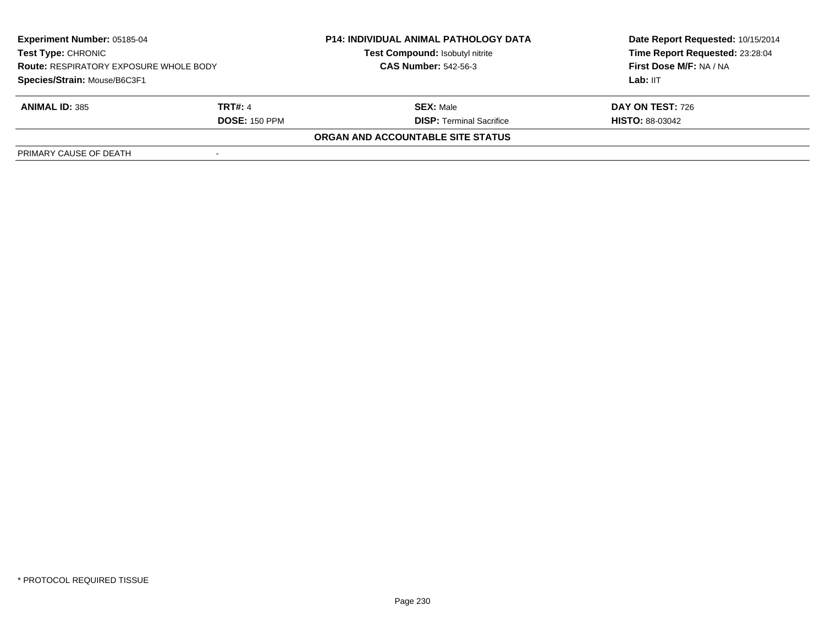| <b>Experiment Number: 05185-04</b><br>Test Type: CHRONIC<br><b>Route: RESPIRATORY EXPOSURE WHOLE BODY</b><br>Species/Strain: Mouse/B6C3F1 |                | <b>P14: INDIVIDUAL ANIMAL PATHOLOGY DATA</b> | Date Report Requested: 10/15/2014                          |  |
|-------------------------------------------------------------------------------------------------------------------------------------------|----------------|----------------------------------------------|------------------------------------------------------------|--|
|                                                                                                                                           |                | Test Compound: Isobutyl nitrite              | Time Report Requested: 23:28:04<br>First Dose M/F: NA / NA |  |
|                                                                                                                                           |                | <b>CAS Number: 542-56-3</b>                  |                                                            |  |
|                                                                                                                                           |                |                                              | Lab: IIT                                                   |  |
| <b>ANIMAL ID: 385</b>                                                                                                                     | <b>TRT#: 4</b> | <b>SEX: Male</b>                             | DAY ON TEST: 726                                           |  |
| <b>DOSE: 150 PPM</b>                                                                                                                      |                | <b>DISP: Terminal Sacrifice</b>              | <b>HISTO: 88-03042</b>                                     |  |
|                                                                                                                                           |                | ORGAN AND ACCOUNTABLE SITE STATUS            |                                                            |  |
| PRIMARY CAUSE OF DEATH                                                                                                                    |                |                                              |                                                            |  |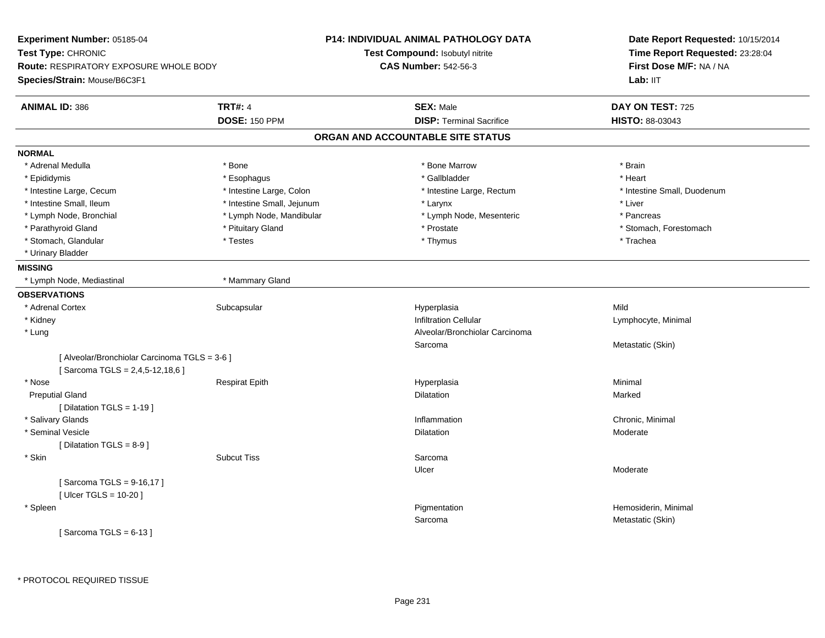| Experiment Number: 05185-04                   |                            | <b>P14: INDIVIDUAL ANIMAL PATHOLOGY DATA</b> | Date Report Requested: 10/15/2014<br>Time Report Requested: 23:28:04<br>First Dose M/F: NA / NA<br>Lab: IIT |
|-----------------------------------------------|----------------------------|----------------------------------------------|-------------------------------------------------------------------------------------------------------------|
| Test Type: CHRONIC                            |                            | Test Compound: Isobutyl nitrite              |                                                                                                             |
| <b>Route: RESPIRATORY EXPOSURE WHOLE BODY</b> |                            | <b>CAS Number: 542-56-3</b>                  |                                                                                                             |
| Species/Strain: Mouse/B6C3F1                  |                            |                                              |                                                                                                             |
| <b>ANIMAL ID: 386</b>                         | <b>TRT#: 4</b>             | <b>SEX: Male</b>                             | DAY ON TEST: 725                                                                                            |
|                                               | <b>DOSE: 150 PPM</b>       | <b>DISP: Terminal Sacrifice</b>              | <b>HISTO: 88-03043</b>                                                                                      |
|                                               |                            | ORGAN AND ACCOUNTABLE SITE STATUS            |                                                                                                             |
| <b>NORMAL</b>                                 |                            |                                              |                                                                                                             |
| * Adrenal Medulla                             | * Bone                     | * Bone Marrow                                | * Brain                                                                                                     |
| * Epididymis                                  | * Esophagus                | * Gallbladder                                | * Heart                                                                                                     |
| * Intestine Large, Cecum                      | * Intestine Large, Colon   | * Intestine Large, Rectum                    | * Intestine Small, Duodenum                                                                                 |
| * Intestine Small, Ileum                      | * Intestine Small, Jejunum | * Larynx                                     | * Liver                                                                                                     |
| * Lymph Node, Bronchial                       | * Lymph Node, Mandibular   | * Lymph Node, Mesenteric                     | * Pancreas                                                                                                  |
| * Parathyroid Gland                           | * Pituitary Gland          | * Prostate                                   | * Stomach, Forestomach                                                                                      |
| * Stomach, Glandular                          | * Testes                   | * Thymus                                     | * Trachea                                                                                                   |
| * Urinary Bladder                             |                            |                                              |                                                                                                             |
| <b>MISSING</b>                                |                            |                                              |                                                                                                             |
| * Lymph Node, Mediastinal                     | * Mammary Gland            |                                              |                                                                                                             |
| <b>OBSERVATIONS</b>                           |                            |                                              |                                                                                                             |
| * Adrenal Cortex                              | Subcapsular                | Hyperplasia                                  | Mild                                                                                                        |
| * Kidney                                      |                            | <b>Infiltration Cellular</b>                 | Lymphocyte, Minimal                                                                                         |
| * Lung                                        |                            | Alveolar/Bronchiolar Carcinoma               |                                                                                                             |
|                                               |                            | Sarcoma                                      | Metastatic (Skin)                                                                                           |
| [ Alveolar/Bronchiolar Carcinoma TGLS = 3-6 ] |                            |                                              |                                                                                                             |
| [Sarcoma TGLS = 2,4,5-12,18,6]                |                            |                                              |                                                                                                             |
| * Nose                                        | <b>Respirat Epith</b>      | Hyperplasia                                  | Minimal                                                                                                     |
| <b>Preputial Gland</b>                        |                            | <b>Dilatation</b>                            | Marked                                                                                                      |
| [ Dilatation TGLS = 1-19 ]                    |                            |                                              |                                                                                                             |
| * Salivary Glands                             |                            | Inflammation                                 | Chronic, Minimal                                                                                            |
| * Seminal Vesicle                             |                            | <b>Dilatation</b>                            | Moderate                                                                                                    |
| [ Dilatation TGLS = 8-9 ]                     |                            |                                              |                                                                                                             |
| * Skin                                        | <b>Subcut Tiss</b>         | Sarcoma                                      |                                                                                                             |
|                                               |                            | Ulcer                                        | Moderate                                                                                                    |
| [Sarcoma TGLS = 9-16,17]                      |                            |                                              |                                                                                                             |
| [ Ulcer TGLS = 10-20 ]                        |                            |                                              |                                                                                                             |
| * Spleen                                      |                            | Pigmentation                                 | Hemosiderin, Minimal                                                                                        |
|                                               |                            | Sarcoma                                      | Metastatic (Skin)                                                                                           |
| [Sarcoma TGLS = $6-13$ ]                      |                            |                                              |                                                                                                             |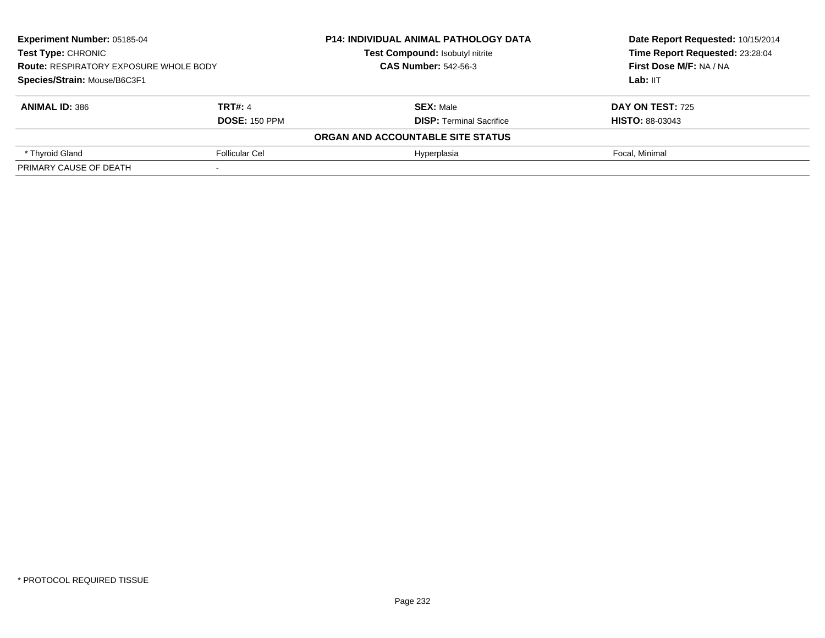| <b>Experiment Number: 05185-04</b><br><b>Test Type: CHRONIC</b><br><b>Route: RESPIRATORY EXPOSURE WHOLE BODY</b><br>Species/Strain: Mouse/B6C3F1 |                      | <b>P14: INDIVIDUAL ANIMAL PATHOLOGY DATA</b> | Date Report Requested: 10/15/2014<br>Time Report Requested: 23:28:04<br>First Dose M/F: NA / NA<br>Lab: $III$ |
|--------------------------------------------------------------------------------------------------------------------------------------------------|----------------------|----------------------------------------------|---------------------------------------------------------------------------------------------------------------|
|                                                                                                                                                  |                      | <b>Test Compound: Isobutyl nitrite</b>       |                                                                                                               |
|                                                                                                                                                  |                      | <b>CAS Number: 542-56-3</b>                  |                                                                                                               |
|                                                                                                                                                  |                      |                                              |                                                                                                               |
| <b>ANIMAL ID: 386</b>                                                                                                                            | <b>TRT#: 4</b>       | <b>SEX: Male</b>                             | DAY ON TEST: 725                                                                                              |
|                                                                                                                                                  | <b>DOSE: 150 PPM</b> | <b>DISP: Terminal Sacrifice</b>              | <b>HISTO: 88-03043</b>                                                                                        |
|                                                                                                                                                  |                      | ORGAN AND ACCOUNTABLE SITE STATUS            |                                                                                                               |
| * Thyroid Gland<br><b>Follicular Cel</b>                                                                                                         |                      | Hyperplasia                                  | Focal, Minimal                                                                                                |
| PRIMARY CAUSE OF DEATH                                                                                                                           |                      |                                              |                                                                                                               |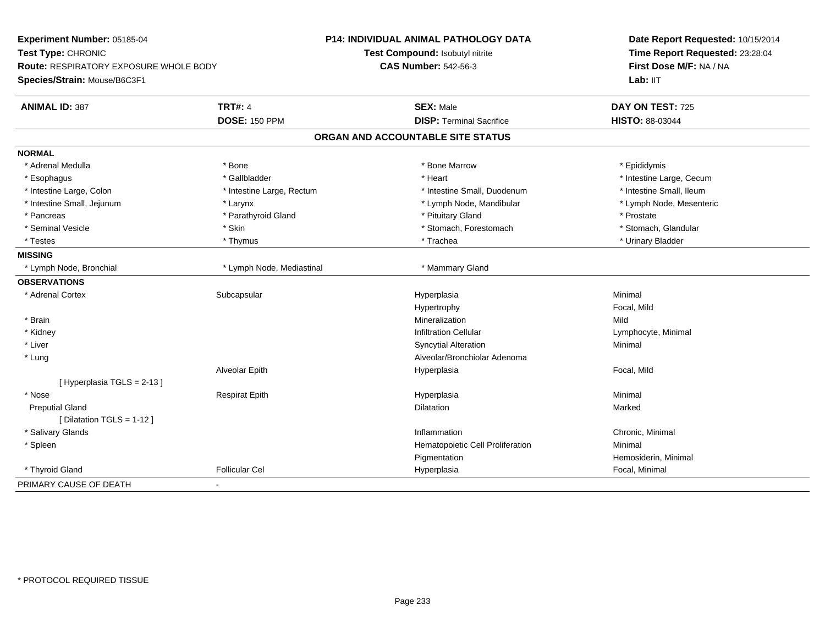| Experiment Number: 05185-04            |                           | P14: INDIVIDUAL ANIMAL PATHOLOGY DATA | Date Report Requested: 10/15/2014<br>Time Report Requested: 23:28:04<br>First Dose M/F: NA / NA |  |
|----------------------------------------|---------------------------|---------------------------------------|-------------------------------------------------------------------------------------------------|--|
| Test Type: CHRONIC                     |                           | Test Compound: Isobutyl nitrite       |                                                                                                 |  |
| Route: RESPIRATORY EXPOSURE WHOLE BODY |                           | <b>CAS Number: 542-56-3</b>           |                                                                                                 |  |
| Species/Strain: Mouse/B6C3F1           |                           |                                       | Lab: IIT                                                                                        |  |
| <b>ANIMAL ID: 387</b>                  | <b>TRT#: 4</b>            | <b>SEX: Male</b>                      | DAY ON TEST: 725                                                                                |  |
|                                        | <b>DOSE: 150 PPM</b>      | <b>DISP: Terminal Sacrifice</b>       | <b>HISTO: 88-03044</b>                                                                          |  |
|                                        |                           | ORGAN AND ACCOUNTABLE SITE STATUS     |                                                                                                 |  |
| <b>NORMAL</b>                          |                           |                                       |                                                                                                 |  |
| * Adrenal Medulla                      | * Bone                    | * Bone Marrow                         | * Epididymis                                                                                    |  |
| * Esophagus                            | * Gallbladder             | * Heart                               | * Intestine Large, Cecum                                                                        |  |
| * Intestine Large, Colon               | * Intestine Large, Rectum | * Intestine Small, Duodenum           | * Intestine Small, Ileum                                                                        |  |
| * Intestine Small, Jejunum             | * Larynx                  | * Lymph Node, Mandibular              | * Lymph Node, Mesenteric                                                                        |  |
| * Pancreas                             | * Parathyroid Gland       | * Pituitary Gland                     | * Prostate                                                                                      |  |
| * Seminal Vesicle                      | * Skin                    | * Stomach, Forestomach                | * Stomach, Glandular                                                                            |  |
| * Testes                               | * Thymus                  | * Trachea                             | * Urinary Bladder                                                                               |  |
| <b>MISSING</b>                         |                           |                                       |                                                                                                 |  |
| * Lymph Node, Bronchial                | * Lymph Node, Mediastinal | * Mammary Gland                       |                                                                                                 |  |
| <b>OBSERVATIONS</b>                    |                           |                                       |                                                                                                 |  |
| * Adrenal Cortex                       | Subcapsular               | Hyperplasia                           | Minimal                                                                                         |  |
|                                        |                           | Hypertrophy                           | Focal, Mild                                                                                     |  |
| * Brain                                |                           | Mineralization                        | Mild                                                                                            |  |
| * Kidney                               |                           | <b>Infiltration Cellular</b>          | Lymphocyte, Minimal                                                                             |  |
| * Liver                                |                           | <b>Syncytial Alteration</b>           | Minimal                                                                                         |  |
| * Lung                                 |                           | Alveolar/Bronchiolar Adenoma          |                                                                                                 |  |
|                                        | Alveolar Epith            | Hyperplasia                           | Focal, Mild                                                                                     |  |
| [Hyperplasia TGLS = $2-13$ ]           |                           |                                       |                                                                                                 |  |
| * Nose                                 | <b>Respirat Epith</b>     | Hyperplasia                           | Minimal                                                                                         |  |
| <b>Preputial Gland</b>                 |                           | Dilatation                            | Marked                                                                                          |  |
| [ Dilatation TGLS = 1-12 ]             |                           |                                       |                                                                                                 |  |
| * Salivary Glands                      |                           | Inflammation                          | Chronic, Minimal                                                                                |  |
| * Spleen                               |                           | Hematopoietic Cell Proliferation      | Minimal                                                                                         |  |
|                                        |                           | Pigmentation                          | Hemosiderin, Minimal                                                                            |  |
| * Thyroid Gland                        | <b>Follicular Cel</b>     | Hyperplasia                           | Focal, Minimal                                                                                  |  |
| PRIMARY CAUSE OF DEATH                 |                           |                                       |                                                                                                 |  |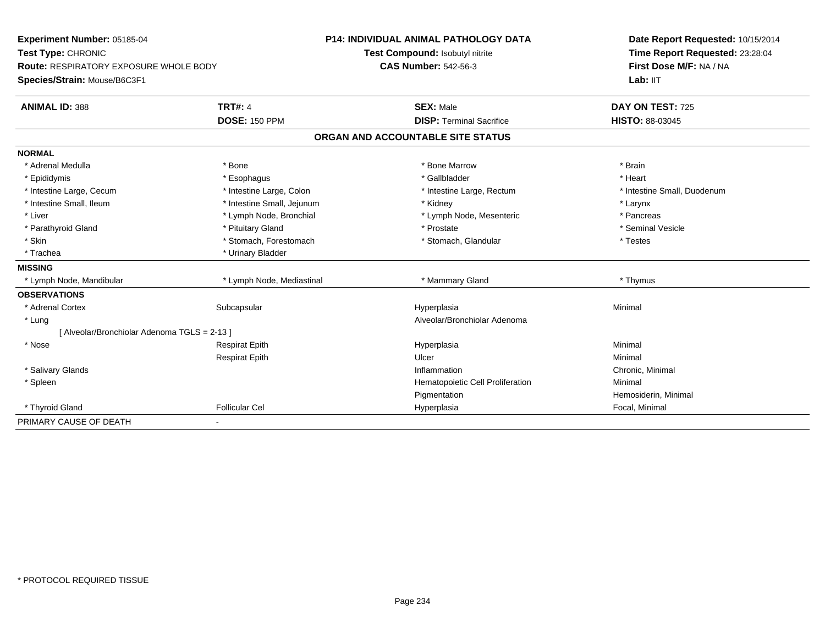| Experiment Number: 05185-04<br>Test Type: CHRONIC<br>Route: RESPIRATORY EXPOSURE WHOLE BODY |                            | <b>P14: INDIVIDUAL ANIMAL PATHOLOGY DATA</b> | Date Report Requested: 10/15/2014<br>Time Report Requested: 23:28:04<br>First Dose M/F: NA / NA |
|---------------------------------------------------------------------------------------------|----------------------------|----------------------------------------------|-------------------------------------------------------------------------------------------------|
|                                                                                             |                            | Test Compound: Isobutyl nitrite              |                                                                                                 |
|                                                                                             |                            | <b>CAS Number: 542-56-3</b>                  |                                                                                                 |
| Species/Strain: Mouse/B6C3F1                                                                |                            |                                              | Lab: IIT                                                                                        |
| <b>ANIMAL ID: 388</b>                                                                       | <b>TRT#: 4</b>             | <b>SEX: Male</b>                             | DAY ON TEST: 725                                                                                |
|                                                                                             | <b>DOSE: 150 PPM</b>       | <b>DISP: Terminal Sacrifice</b>              | <b>HISTO: 88-03045</b>                                                                          |
|                                                                                             |                            | ORGAN AND ACCOUNTABLE SITE STATUS            |                                                                                                 |
| <b>NORMAL</b>                                                                               |                            |                                              |                                                                                                 |
| * Adrenal Medulla                                                                           | * Bone                     | * Bone Marrow                                | * Brain                                                                                         |
| * Epididymis                                                                                | * Esophagus                | * Gallbladder                                | * Heart                                                                                         |
| * Intestine Large, Cecum                                                                    | * Intestine Large, Colon   | * Intestine Large, Rectum                    | * Intestine Small, Duodenum                                                                     |
| * Intestine Small, Ileum                                                                    | * Intestine Small, Jejunum | * Kidney                                     | * Larynx                                                                                        |
| * Liver                                                                                     | * Lymph Node, Bronchial    | * Lymph Node, Mesenteric                     | * Pancreas                                                                                      |
| * Parathyroid Gland                                                                         | * Pituitary Gland          | * Prostate                                   | * Seminal Vesicle                                                                               |
| * Skin                                                                                      | * Stomach, Forestomach     | * Stomach, Glandular                         | * Testes                                                                                        |
| * Trachea                                                                                   | * Urinary Bladder          |                                              |                                                                                                 |
| <b>MISSING</b>                                                                              |                            |                                              |                                                                                                 |
| * Lymph Node, Mandibular                                                                    | * Lymph Node, Mediastinal  | * Mammary Gland                              | * Thymus                                                                                        |
| <b>OBSERVATIONS</b>                                                                         |                            |                                              |                                                                                                 |
| * Adrenal Cortex                                                                            | Subcapsular                | Hyperplasia                                  | Minimal                                                                                         |
| * Lung                                                                                      |                            | Alveolar/Bronchiolar Adenoma                 |                                                                                                 |
| [ Alveolar/Bronchiolar Adenoma TGLS = 2-13 ]                                                |                            |                                              |                                                                                                 |
| * Nose                                                                                      | <b>Respirat Epith</b>      | Hyperplasia                                  | Minimal                                                                                         |
|                                                                                             | <b>Respirat Epith</b>      | Ulcer                                        | Minimal                                                                                         |
| * Salivary Glands                                                                           |                            | Inflammation                                 | Chronic, Minimal                                                                                |
| * Spleen                                                                                    |                            | Hematopoietic Cell Proliferation             | Minimal                                                                                         |
|                                                                                             |                            | Pigmentation                                 | Hemosiderin, Minimal                                                                            |
| * Thyroid Gland                                                                             | <b>Follicular Cel</b>      | Hyperplasia                                  | Focal, Minimal                                                                                  |
| PRIMARY CAUSE OF DEATH                                                                      |                            |                                              |                                                                                                 |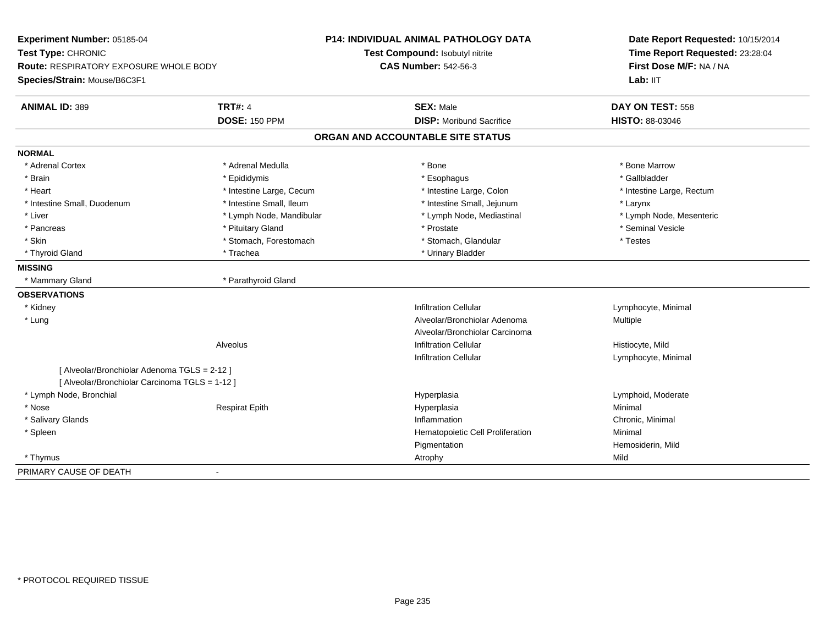| Experiment Number: 05185-04<br>Test Type: CHRONIC                             |                          | <b>P14: INDIVIDUAL ANIMAL PATHOLOGY DATA</b><br>Test Compound: Isobutyl nitrite | Date Report Requested: 10/15/2014<br>Time Report Requested: 23:28:04 |  |
|-------------------------------------------------------------------------------|--------------------------|---------------------------------------------------------------------------------|----------------------------------------------------------------------|--|
| <b>Route: RESPIRATORY EXPOSURE WHOLE BODY</b><br>Species/Strain: Mouse/B6C3F1 |                          | <b>CAS Number: 542-56-3</b>                                                     | First Dose M/F: NA / NA<br>Lab: IIT                                  |  |
| <b>ANIMAL ID: 389</b>                                                         | <b>TRT#: 4</b>           | <b>SEX: Male</b>                                                                | DAY ON TEST: 558                                                     |  |
|                                                                               | <b>DOSE: 150 PPM</b>     | <b>DISP:</b> Moribund Sacrifice                                                 | <b>HISTO: 88-03046</b>                                               |  |
|                                                                               |                          | ORGAN AND ACCOUNTABLE SITE STATUS                                               |                                                                      |  |
| <b>NORMAL</b>                                                                 |                          |                                                                                 |                                                                      |  |
| * Adrenal Cortex                                                              | * Adrenal Medulla        | * Bone                                                                          | * Bone Marrow                                                        |  |
| * Brain                                                                       | * Epididymis             | * Esophagus                                                                     | * Gallbladder                                                        |  |
| * Heart                                                                       | * Intestine Large, Cecum | * Intestine Large, Colon                                                        | * Intestine Large, Rectum                                            |  |
| * Intestine Small, Duodenum                                                   | * Intestine Small, Ileum | * Intestine Small, Jejunum                                                      | * Larynx                                                             |  |
| * Liver                                                                       | * Lymph Node, Mandibular | * Lymph Node, Mediastinal                                                       | * Lymph Node, Mesenteric                                             |  |
| * Pancreas                                                                    | * Pituitary Gland        | * Prostate                                                                      | * Seminal Vesicle                                                    |  |
| * Skin                                                                        | * Stomach, Forestomach   | * Stomach, Glandular                                                            | * Testes                                                             |  |
| * Thyroid Gland                                                               | * Trachea                | * Urinary Bladder                                                               |                                                                      |  |
| <b>MISSING</b>                                                                |                          |                                                                                 |                                                                      |  |
| * Mammary Gland                                                               | * Parathyroid Gland      |                                                                                 |                                                                      |  |
| <b>OBSERVATIONS</b>                                                           |                          |                                                                                 |                                                                      |  |
| * Kidney                                                                      |                          | <b>Infiltration Cellular</b>                                                    | Lymphocyte, Minimal                                                  |  |
| * Lung                                                                        |                          | Alveolar/Bronchiolar Adenoma                                                    | Multiple                                                             |  |
|                                                                               |                          | Alveolar/Bronchiolar Carcinoma                                                  |                                                                      |  |
|                                                                               | <b>Alveolus</b>          | <b>Infiltration Cellular</b>                                                    | Histiocyte, Mild                                                     |  |
|                                                                               |                          | <b>Infiltration Cellular</b>                                                    | Lymphocyte, Minimal                                                  |  |
| [ Alveolar/Bronchiolar Adenoma TGLS = 2-12 ]                                  |                          |                                                                                 |                                                                      |  |
| [ Alveolar/Bronchiolar Carcinoma TGLS = 1-12 ]                                |                          |                                                                                 |                                                                      |  |
| * Lymph Node, Bronchial                                                       |                          | Hyperplasia                                                                     | Lymphoid, Moderate                                                   |  |
| * Nose                                                                        | <b>Respirat Epith</b>    | Hyperplasia                                                                     | Minimal                                                              |  |
| * Salivary Glands                                                             |                          | Inflammation                                                                    | Chronic, Minimal                                                     |  |
| * Spleen                                                                      |                          | Hematopoietic Cell Proliferation                                                | Minimal                                                              |  |
|                                                                               |                          | Pigmentation                                                                    | Hemosiderin, Mild                                                    |  |
| * Thymus                                                                      |                          | Atrophy                                                                         | Mild                                                                 |  |
| PRIMARY CAUSE OF DEATH                                                        | $\blacksquare$           |                                                                                 |                                                                      |  |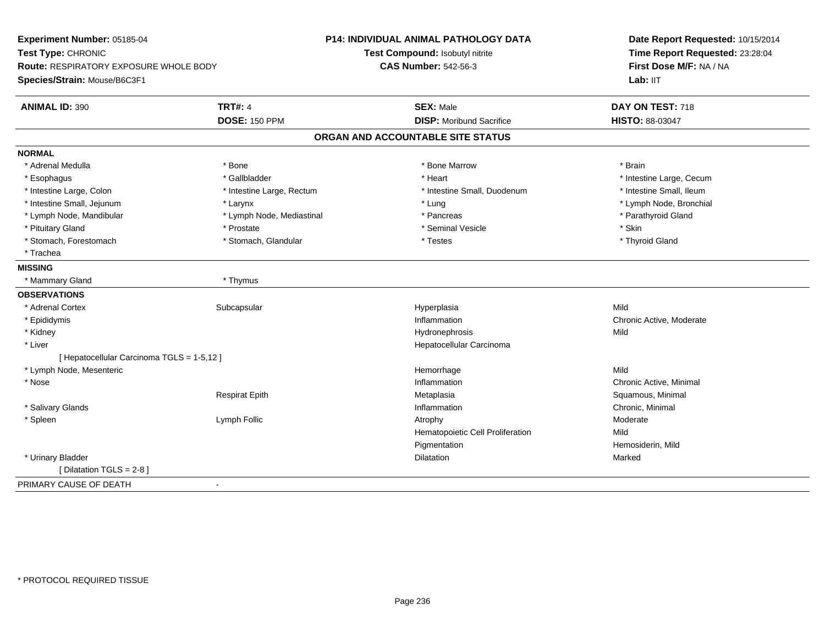| Experiment Number: 05185-04                   |                           | P14: INDIVIDUAL ANIMAL PATHOLOGY DATA | Date Report Requested: 10/15/2014<br>Time Report Requested: 23:28:04 |
|-----------------------------------------------|---------------------------|---------------------------------------|----------------------------------------------------------------------|
| Test Type: CHRONIC                            |                           | Test Compound: Isobutyl nitrite       |                                                                      |
| <b>Route: RESPIRATORY EXPOSURE WHOLE BODY</b> |                           | <b>CAS Number: 542-56-3</b>           | First Dose M/F: NA / NA                                              |
| Species/Strain: Mouse/B6C3F1                  |                           |                                       | Lab: IIT                                                             |
| <b>ANIMAL ID: 390</b>                         | <b>TRT#: 4</b>            | <b>SEX: Male</b>                      | DAY ON TEST: 718                                                     |
|                                               | <b>DOSE: 150 PPM</b>      | <b>DISP:</b> Moribund Sacrifice       | HISTO: 88-03047                                                      |
|                                               |                           | ORGAN AND ACCOUNTABLE SITE STATUS     |                                                                      |
| <b>NORMAL</b>                                 |                           |                                       |                                                                      |
| * Adrenal Medulla                             | * Bone                    | * Bone Marrow                         | * Brain                                                              |
| * Esophagus                                   | * Gallbladder             | * Heart                               | * Intestine Large, Cecum                                             |
| * Intestine Large, Colon                      | * Intestine Large, Rectum | * Intestine Small, Duodenum           | * Intestine Small, Ileum                                             |
| * Intestine Small, Jejunum                    | * Larynx                  | * Lung                                | * Lymph Node, Bronchial                                              |
| * Lymph Node, Mandibular                      | * Lymph Node, Mediastinal | * Pancreas                            | * Parathyroid Gland                                                  |
| * Pituitary Gland                             | * Prostate                | * Seminal Vesicle                     | * Skin                                                               |
| * Stomach, Forestomach                        | * Stomach, Glandular      | * Testes                              | * Thyroid Gland                                                      |
| * Trachea                                     |                           |                                       |                                                                      |
| <b>MISSING</b>                                |                           |                                       |                                                                      |
| * Mammary Gland                               | * Thymus                  |                                       |                                                                      |
| <b>OBSERVATIONS</b>                           |                           |                                       |                                                                      |
| * Adrenal Cortex                              | Subcapsular               | Hyperplasia                           | Mild                                                                 |
| * Epididymis                                  |                           | Inflammation                          | Chronic Active, Moderate                                             |
| * Kidney                                      |                           | Hydronephrosis                        | Mild                                                                 |
| * Liver                                       |                           | Hepatocellular Carcinoma              |                                                                      |
| [ Hepatocellular Carcinoma TGLS = 1-5,12 ]    |                           |                                       |                                                                      |
| * Lymph Node, Mesenteric                      |                           | Hemorrhage                            | Mild                                                                 |
| * Nose                                        |                           | Inflammation                          | Chronic Active, Minimal                                              |
|                                               | <b>Respirat Epith</b>     | Metaplasia                            | Squamous, Minimal                                                    |
| * Salivary Glands                             |                           | Inflammation                          | Chronic, Minimal                                                     |
| * Spleen                                      | Lymph Follic              | Atrophy                               | Moderate                                                             |
|                                               |                           | Hematopoietic Cell Proliferation      | Mild                                                                 |
|                                               |                           | Pigmentation                          | Hemosiderin, Mild                                                    |
| * Urinary Bladder                             |                           | <b>Dilatation</b>                     | Marked                                                               |
| [ Dilatation TGLS = 2-8 ]                     |                           |                                       |                                                                      |
| PRIMARY CAUSE OF DEATH                        | $\sim$                    |                                       |                                                                      |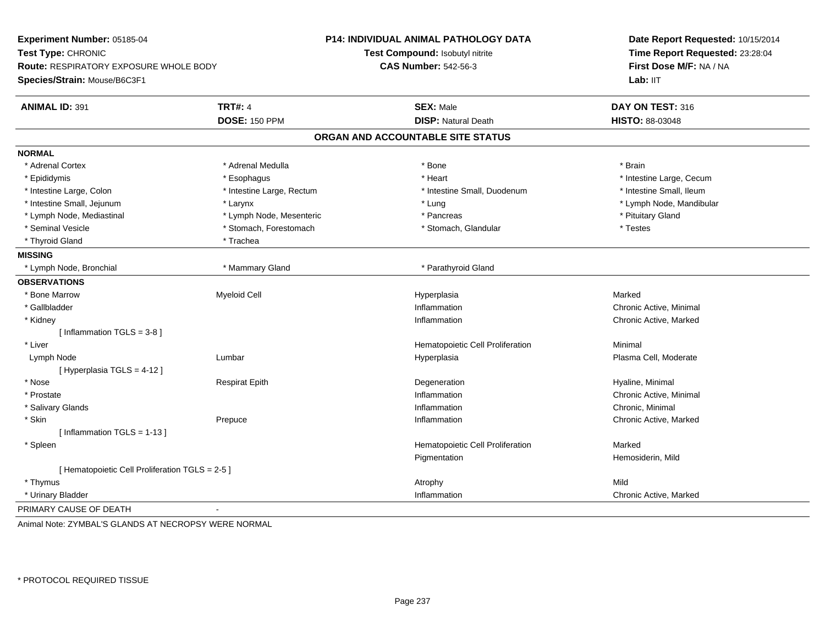| Experiment Number: 05185-04                     |                           | P14: INDIVIDUAL ANIMAL PATHOLOGY DATA | Date Report Requested: 10/15/2014<br>Time Report Requested: 23:28:04<br>First Dose M/F: NA / NA<br>Lab: IIT |
|-------------------------------------------------|---------------------------|---------------------------------------|-------------------------------------------------------------------------------------------------------------|
| Test Type: CHRONIC                              |                           | Test Compound: Isobutyl nitrite       |                                                                                                             |
| Route: RESPIRATORY EXPOSURE WHOLE BODY          |                           | <b>CAS Number: 542-56-3</b>           |                                                                                                             |
| Species/Strain: Mouse/B6C3F1                    |                           |                                       |                                                                                                             |
| <b>ANIMAL ID: 391</b>                           | <b>TRT#: 4</b>            | <b>SEX: Male</b>                      | DAY ON TEST: 316                                                                                            |
|                                                 | <b>DOSE: 150 PPM</b>      | <b>DISP: Natural Death</b>            | HISTO: 88-03048                                                                                             |
|                                                 |                           | ORGAN AND ACCOUNTABLE SITE STATUS     |                                                                                                             |
| <b>NORMAL</b>                                   |                           |                                       |                                                                                                             |
| * Adrenal Cortex                                | * Adrenal Medulla         | * Bone                                | * Brain                                                                                                     |
| * Epididymis                                    | * Esophagus               | * Heart                               | * Intestine Large, Cecum                                                                                    |
| * Intestine Large, Colon                        | * Intestine Large, Rectum | * Intestine Small, Duodenum           | * Intestine Small, Ileum                                                                                    |
| * Intestine Small, Jejunum                      | * Larynx                  | * Lung                                | * Lymph Node, Mandibular                                                                                    |
| * Lymph Node, Mediastinal                       | * Lymph Node, Mesenteric  | * Pancreas                            | * Pituitary Gland                                                                                           |
| * Seminal Vesicle                               | * Stomach, Forestomach    | * Stomach, Glandular                  | * Testes                                                                                                    |
| * Thyroid Gland                                 | * Trachea                 |                                       |                                                                                                             |
| <b>MISSING</b>                                  |                           |                                       |                                                                                                             |
| * Lymph Node, Bronchial                         | * Mammary Gland           | * Parathyroid Gland                   |                                                                                                             |
| <b>OBSERVATIONS</b>                             |                           |                                       |                                                                                                             |
| * Bone Marrow                                   | <b>Myeloid Cell</b>       | Hyperplasia                           | Marked                                                                                                      |
| * Gallbladder                                   |                           | Inflammation                          | Chronic Active, Minimal                                                                                     |
| * Kidney                                        |                           | Inflammation                          | Chronic Active, Marked                                                                                      |
| [Inflammation TGLS = $3-8$ ]                    |                           |                                       |                                                                                                             |
| * Liver                                         |                           | Hematopoietic Cell Proliferation      | Minimal                                                                                                     |
| Lymph Node                                      | Lumbar                    | Hyperplasia                           | Plasma Cell, Moderate                                                                                       |
| [ Hyperplasia TGLS = 4-12 ]                     |                           |                                       |                                                                                                             |
| * Nose                                          | <b>Respirat Epith</b>     | Degeneration                          | Hyaline, Minimal                                                                                            |
| * Prostate                                      |                           | Inflammation                          | Chronic Active, Minimal                                                                                     |
| * Salivary Glands                               |                           | Inflammation                          | Chronic, Minimal                                                                                            |
| * Skin                                          | Prepuce                   | Inflammation                          | Chronic Active, Marked                                                                                      |
| [Inflammation $TGLS = 1-13$ ]                   |                           |                                       |                                                                                                             |
| * Spleen                                        |                           | Hematopoietic Cell Proliferation      | Marked                                                                                                      |
|                                                 |                           | Pigmentation                          | Hemosiderin, Mild                                                                                           |
| [ Hematopoietic Cell Proliferation TGLS = 2-5 ] |                           |                                       |                                                                                                             |
| * Thymus                                        |                           | Atrophy                               | Mild                                                                                                        |
| * Urinary Bladder                               |                           | Inflammation                          | Chronic Active, Marked                                                                                      |
| PRIMARY CAUSE OF DEATH                          |                           |                                       |                                                                                                             |
|                                                 |                           |                                       |                                                                                                             |

Animal Note: ZYMBAL'S GLANDS AT NECROPSY WERE NORMAL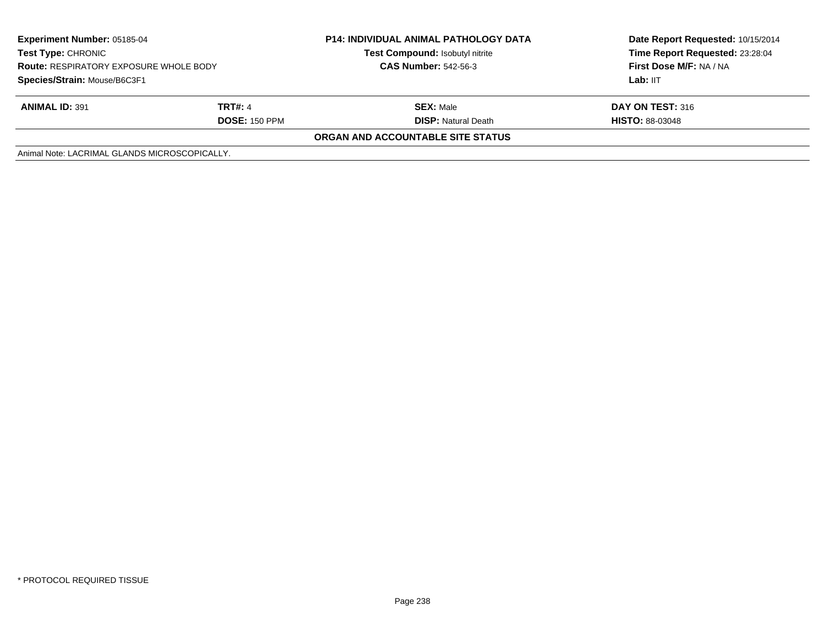| <b>Experiment Number: 05185-04</b><br>Test Type: CHRONIC<br><b>Route: RESPIRATORY EXPOSURE WHOLE BODY</b><br>Species/Strain: Mouse/B6C3F1 |                | <b>P14: INDIVIDUAL ANIMAL PATHOLOGY DATA</b> | Date Report Requested: 10/15/2014<br>Time Report Requested: 23:28:04 |
|-------------------------------------------------------------------------------------------------------------------------------------------|----------------|----------------------------------------------|----------------------------------------------------------------------|
|                                                                                                                                           |                | Test Compound: Isobutyl nitrite              |                                                                      |
|                                                                                                                                           |                | <b>CAS Number: 542-56-3</b>                  | First Dose M/F: NA / NA                                              |
|                                                                                                                                           |                |                                              | Lab: IIT                                                             |
| <b>ANIMAL ID: 391</b>                                                                                                                     | <b>TRT#: 4</b> | <b>SEX: Male</b>                             | DAY ON TEST: 316                                                     |
| <b>DOSE: 150 PPM</b>                                                                                                                      |                | <b>DISP:</b> Natural Death                   | <b>HISTO: 88-03048</b>                                               |
|                                                                                                                                           |                | <b>ORGAN AND ACCOUNTABLE SITE STATUS</b>     |                                                                      |
| Animal Note: LACRIMAL GLANDS MICROSCOPICALLY.                                                                                             |                |                                              |                                                                      |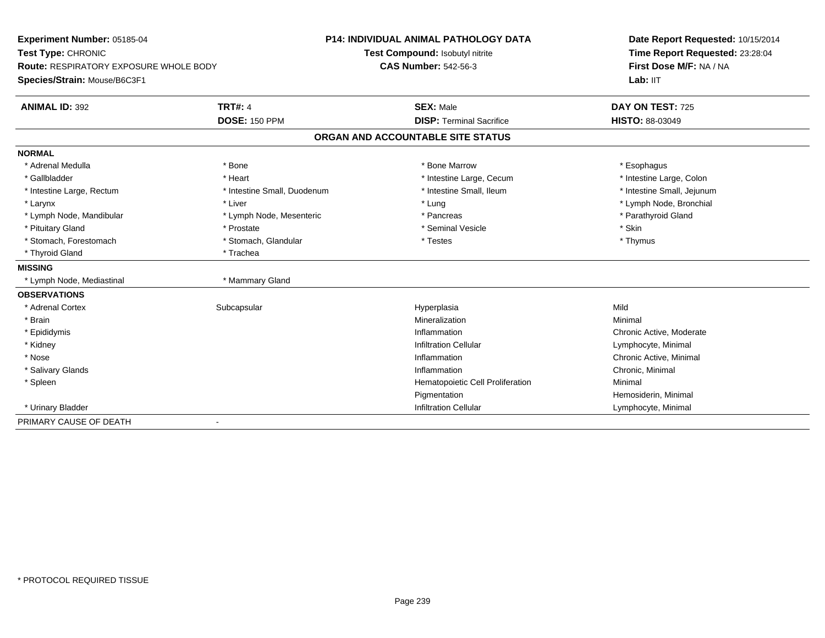| Experiment Number: 05185-04                   |                              | <b>P14: INDIVIDUAL ANIMAL PATHOLOGY DATA</b> | Date Report Requested: 10/15/2014<br>Time Report Requested: 23:28:04<br>First Dose M/F: NA / NA |
|-----------------------------------------------|------------------------------|----------------------------------------------|-------------------------------------------------------------------------------------------------|
| Test Type: CHRONIC                            |                              | Test Compound: Isobutyl nitrite              |                                                                                                 |
| <b>Route: RESPIRATORY EXPOSURE WHOLE BODY</b> |                              | <b>CAS Number: 542-56-3</b>                  |                                                                                                 |
| Species/Strain: Mouse/B6C3F1                  |                              |                                              | Lab: IIT                                                                                        |
| <b>ANIMAL ID: 392</b>                         | <b>TRT#: 4</b>               | <b>SEX: Male</b>                             | DAY ON TEST: 725                                                                                |
|                                               | <b>DOSE: 150 PPM</b>         | <b>DISP: Terminal Sacrifice</b>              | <b>HISTO: 88-03049</b>                                                                          |
|                                               |                              | ORGAN AND ACCOUNTABLE SITE STATUS            |                                                                                                 |
| <b>NORMAL</b>                                 |                              |                                              |                                                                                                 |
| * Adrenal Medulla                             | * Bone                       | * Bone Marrow                                | * Esophagus                                                                                     |
| * Gallbladder                                 | * Heart                      | * Intestine Large, Cecum                     | * Intestine Large, Colon                                                                        |
| * Intestine Large, Rectum                     | * Intestine Small, Duodenum  | * Intestine Small. Ileum                     | * Intestine Small, Jejunum                                                                      |
| * Larynx                                      | * Liver                      | * Lung                                       | * Lymph Node, Bronchial                                                                         |
| * Lymph Node, Mandibular                      | * Lymph Node, Mesenteric     | * Pancreas                                   | * Parathyroid Gland                                                                             |
| * Pituitary Gland                             | * Prostate                   | * Seminal Vesicle                            | * Skin                                                                                          |
| * Stomach, Forestomach                        | * Stomach, Glandular         | * Testes                                     | * Thymus                                                                                        |
| * Thyroid Gland                               | * Trachea                    |                                              |                                                                                                 |
| <b>MISSING</b>                                |                              |                                              |                                                                                                 |
| * Lymph Node, Mediastinal                     | * Mammary Gland              |                                              |                                                                                                 |
| <b>OBSERVATIONS</b>                           |                              |                                              |                                                                                                 |
| * Adrenal Cortex                              | Subcapsular                  | Hyperplasia                                  | Mild                                                                                            |
| * Brain                                       |                              | Mineralization                               | Minimal                                                                                         |
| * Epididymis                                  |                              | Inflammation                                 | Chronic Active, Moderate                                                                        |
| * Kidney                                      |                              | <b>Infiltration Cellular</b>                 | Lymphocyte, Minimal                                                                             |
| * Nose                                        |                              | Inflammation                                 | Chronic Active, Minimal                                                                         |
| * Salivary Glands                             |                              | Inflammation                                 | Chronic, Minimal                                                                                |
| * Spleen                                      |                              | Hematopoietic Cell Proliferation             | Minimal                                                                                         |
|                                               |                              | Pigmentation                                 | Hemosiderin, Minimal                                                                            |
| * Urinary Bladder                             |                              | <b>Infiltration Cellular</b>                 | Lymphocyte, Minimal                                                                             |
| PRIMARY CAUSE OF DEATH                        | $\qquad \qquad \blacksquare$ |                                              |                                                                                                 |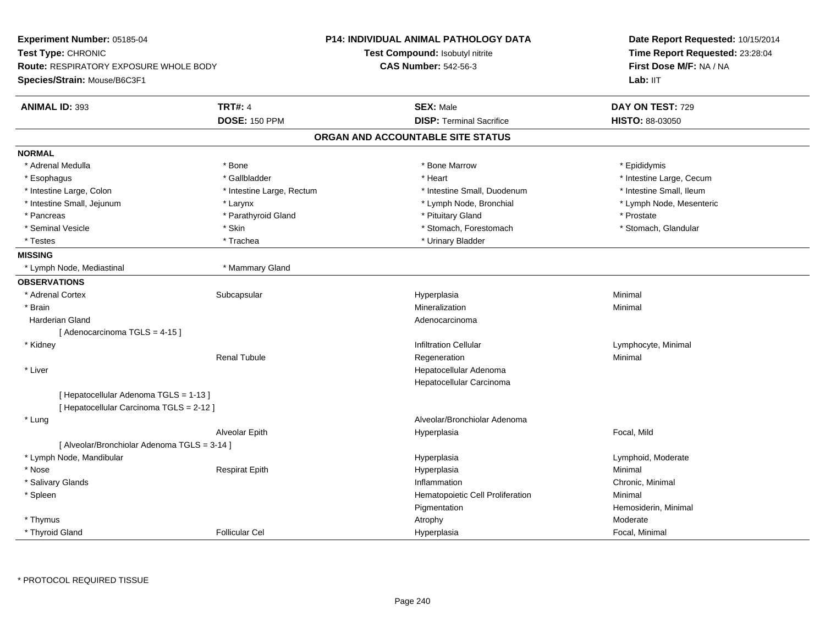| Experiment Number: 05185-04<br>Test Type: CHRONIC<br><b>Route: RESPIRATORY EXPOSURE WHOLE BODY</b><br>Species/Strain: Mouse/B6C3F1 |                           | <b>P14: INDIVIDUAL ANIMAL PATHOLOGY DATA</b> | Date Report Requested: 10/15/2014 |
|------------------------------------------------------------------------------------------------------------------------------------|---------------------------|----------------------------------------------|-----------------------------------|
|                                                                                                                                    |                           | Test Compound: Isobutyl nitrite              | Time Report Requested: 23:28:04   |
|                                                                                                                                    |                           | <b>CAS Number: 542-56-3</b>                  | First Dose M/F: NA / NA           |
|                                                                                                                                    |                           |                                              | Lab: IIT                          |
| <b>ANIMAL ID: 393</b>                                                                                                              | <b>TRT#: 4</b>            | <b>SEX: Male</b>                             | DAY ON TEST: 729                  |
|                                                                                                                                    | <b>DOSE: 150 PPM</b>      | <b>DISP: Terminal Sacrifice</b>              | HISTO: 88-03050                   |
|                                                                                                                                    |                           |                                              |                                   |
|                                                                                                                                    |                           | ORGAN AND ACCOUNTABLE SITE STATUS            |                                   |
| <b>NORMAL</b>                                                                                                                      |                           |                                              |                                   |
| * Adrenal Medulla                                                                                                                  | * Bone                    | * Bone Marrow                                | * Epididymis                      |
| * Esophagus                                                                                                                        | * Gallbladder             | * Heart                                      | * Intestine Large, Cecum          |
| * Intestine Large, Colon                                                                                                           | * Intestine Large, Rectum | * Intestine Small, Duodenum                  | * Intestine Small, Ileum          |
| * Intestine Small, Jejunum                                                                                                         | * Larynx                  | * Lymph Node, Bronchial                      | * Lymph Node, Mesenteric          |
| * Pancreas                                                                                                                         | * Parathyroid Gland       | * Pituitary Gland                            | * Prostate                        |
| * Seminal Vesicle                                                                                                                  | * Skin                    | * Stomach, Forestomach                       | * Stomach, Glandular              |
| * Testes                                                                                                                           | * Trachea                 | * Urinary Bladder                            |                                   |
| <b>MISSING</b>                                                                                                                     |                           |                                              |                                   |
| * Lymph Node, Mediastinal                                                                                                          | * Mammary Gland           |                                              |                                   |
| <b>OBSERVATIONS</b>                                                                                                                |                           |                                              |                                   |
| * Adrenal Cortex                                                                                                                   | Subcapsular               | Hyperplasia                                  | Minimal                           |
| * Brain                                                                                                                            |                           | Mineralization                               | Minimal                           |
| <b>Harderian Gland</b>                                                                                                             |                           | Adenocarcinoma                               |                                   |
| [Adenocarcinoma TGLS = 4-15]                                                                                                       |                           |                                              |                                   |
| * Kidney                                                                                                                           |                           | <b>Infiltration Cellular</b>                 | Lymphocyte, Minimal               |
|                                                                                                                                    | <b>Renal Tubule</b>       | Regeneration                                 | Minimal                           |
| * Liver                                                                                                                            |                           | Hepatocellular Adenoma                       |                                   |
|                                                                                                                                    |                           | Hepatocellular Carcinoma                     |                                   |
| [ Hepatocellular Adenoma TGLS = 1-13 ]                                                                                             |                           |                                              |                                   |
| [ Hepatocellular Carcinoma TGLS = 2-12 ]                                                                                           |                           |                                              |                                   |
| * Lung                                                                                                                             |                           | Alveolar/Bronchiolar Adenoma                 |                                   |
|                                                                                                                                    | Alveolar Epith            | Hyperplasia                                  | Focal, Mild                       |
| [ Alveolar/Bronchiolar Adenoma TGLS = 3-14 ]                                                                                       |                           |                                              |                                   |
| * Lymph Node, Mandibular                                                                                                           |                           | Hyperplasia                                  | Lymphoid, Moderate                |
| * Nose                                                                                                                             | <b>Respirat Epith</b>     | Hyperplasia                                  | Minimal                           |
| * Salivary Glands                                                                                                                  |                           | Inflammation                                 | Chronic, Minimal                  |
| * Spleen                                                                                                                           |                           | Hematopoietic Cell Proliferation             | Minimal                           |
|                                                                                                                                    |                           | Pigmentation                                 | Hemosiderin, Minimal              |
| * Thymus                                                                                                                           |                           | Atrophy                                      | Moderate                          |
| * Thyroid Gland                                                                                                                    | <b>Follicular Cel</b>     | Hyperplasia                                  | Focal, Minimal                    |
|                                                                                                                                    |                           |                                              |                                   |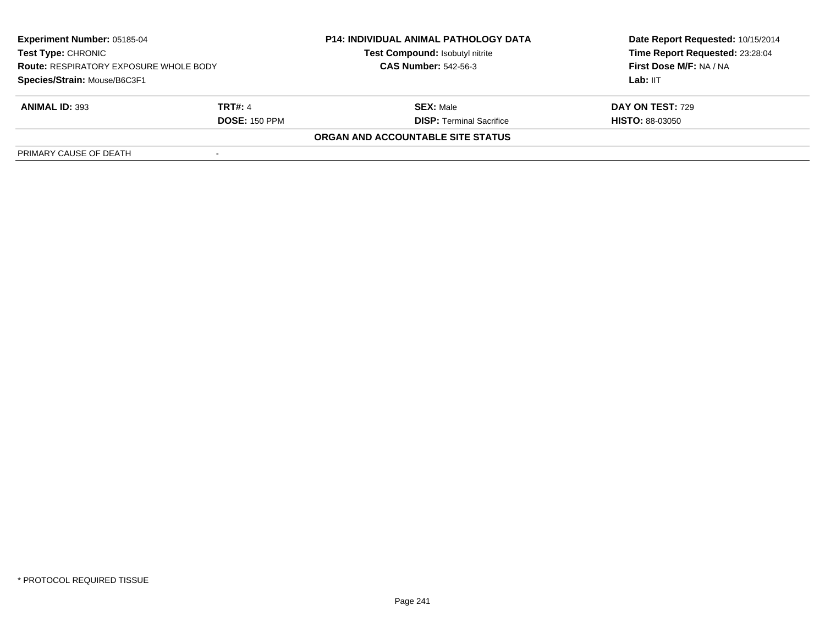| <b>Experiment Number: 05185-04</b><br><b>Test Type: CHRONIC</b><br><b>Route: RESPIRATORY EXPOSURE WHOLE BODY</b><br>Species/Strain: Mouse/B6C3F1 |                      | <b>P14: INDIVIDUAL ANIMAL PATHOLOGY DATA</b> | Date Report Requested: 10/15/2014 |  |
|--------------------------------------------------------------------------------------------------------------------------------------------------|----------------------|----------------------------------------------|-----------------------------------|--|
|                                                                                                                                                  |                      | Test Compound: Isobutyl nitrite              | Time Report Requested: 23:28:04   |  |
|                                                                                                                                                  |                      | <b>CAS Number: 542-56-3</b>                  | First Dose M/F: NA / NA           |  |
|                                                                                                                                                  |                      |                                              | Lab: IIT                          |  |
| <b>ANIMAL ID: 393</b>                                                                                                                            | <b>TRT#: 4</b>       | <b>SEX:</b> Male                             | <b>DAY ON TEST: 729</b>           |  |
|                                                                                                                                                  | <b>DOSE: 150 PPM</b> | <b>DISP: Terminal Sacrifice</b>              | <b>HISTO: 88-03050</b>            |  |
|                                                                                                                                                  |                      | ORGAN AND ACCOUNTABLE SITE STATUS            |                                   |  |
| PRIMARY CAUSE OF DEATH                                                                                                                           |                      |                                              |                                   |  |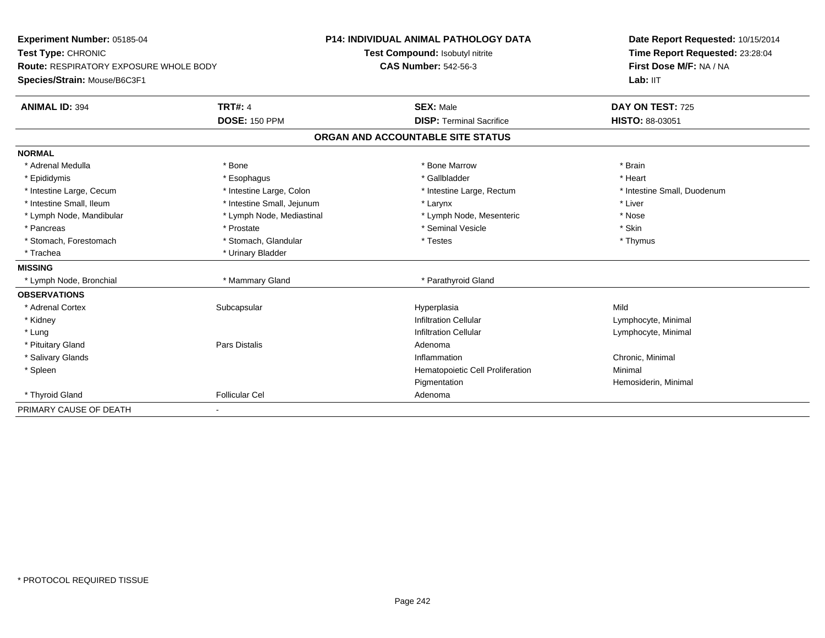| Experiment Number: 05185-04<br>Test Type: CHRONIC<br><b>Route: RESPIRATORY EXPOSURE WHOLE BODY</b> |                            | <b>P14: INDIVIDUAL ANIMAL PATHOLOGY DATA</b> | Date Report Requested: 10/15/2014<br>Time Report Requested: 23:28:04 |  |
|----------------------------------------------------------------------------------------------------|----------------------------|----------------------------------------------|----------------------------------------------------------------------|--|
|                                                                                                    |                            | Test Compound: Isobutyl nitrite              |                                                                      |  |
|                                                                                                    |                            | <b>CAS Number: 542-56-3</b>                  | First Dose M/F: NA / NA                                              |  |
| Species/Strain: Mouse/B6C3F1                                                                       |                            |                                              | Lab: IIT                                                             |  |
| <b>ANIMAL ID: 394</b>                                                                              | <b>TRT#: 4</b>             | <b>SEX: Male</b>                             | DAY ON TEST: 725                                                     |  |
|                                                                                                    | <b>DOSE: 150 PPM</b>       | <b>DISP: Terminal Sacrifice</b>              | HISTO: 88-03051                                                      |  |
|                                                                                                    |                            | ORGAN AND ACCOUNTABLE SITE STATUS            |                                                                      |  |
| <b>NORMAL</b>                                                                                      |                            |                                              |                                                                      |  |
| * Adrenal Medulla                                                                                  | * Bone                     | * Bone Marrow                                | * Brain                                                              |  |
| * Epididymis                                                                                       | * Esophagus                | * Gallbladder                                | * Heart                                                              |  |
| * Intestine Large, Cecum                                                                           | * Intestine Large, Colon   | * Intestine Large, Rectum                    | * Intestine Small, Duodenum                                          |  |
| * Intestine Small, Ileum                                                                           | * Intestine Small, Jejunum | * Larynx                                     | * Liver                                                              |  |
| * Lymph Node, Mandibular                                                                           | * Lymph Node, Mediastinal  | * Lymph Node, Mesenteric                     | * Nose                                                               |  |
| * Pancreas                                                                                         | * Prostate                 | * Seminal Vesicle                            | * Skin                                                               |  |
| * Stomach, Forestomach                                                                             | * Stomach, Glandular       | $^\star$ Testes                              | * Thymus                                                             |  |
| * Trachea                                                                                          | * Urinary Bladder          |                                              |                                                                      |  |
| <b>MISSING</b>                                                                                     |                            |                                              |                                                                      |  |
| * Lymph Node, Bronchial                                                                            | * Mammary Gland            | * Parathyroid Gland                          |                                                                      |  |
| <b>OBSERVATIONS</b>                                                                                |                            |                                              |                                                                      |  |
| * Adrenal Cortex                                                                                   | Subcapsular                | Hyperplasia                                  | Mild                                                                 |  |
| * Kidney                                                                                           |                            | <b>Infiltration Cellular</b>                 | Lymphocyte, Minimal                                                  |  |
| * Lung                                                                                             |                            | <b>Infiltration Cellular</b>                 | Lymphocyte, Minimal                                                  |  |
| * Pituitary Gland                                                                                  | Pars Distalis              | Adenoma                                      |                                                                      |  |
| * Salivary Glands                                                                                  |                            | Inflammation                                 | Chronic, Minimal                                                     |  |
| * Spleen                                                                                           |                            | Hematopoietic Cell Proliferation             | Minimal                                                              |  |
|                                                                                                    |                            | Pigmentation                                 | Hemosiderin, Minimal                                                 |  |
| * Thyroid Gland                                                                                    | <b>Follicular Cel</b>      | Adenoma                                      |                                                                      |  |
| PRIMARY CAUSE OF DEATH                                                                             | $\blacksquare$             |                                              |                                                                      |  |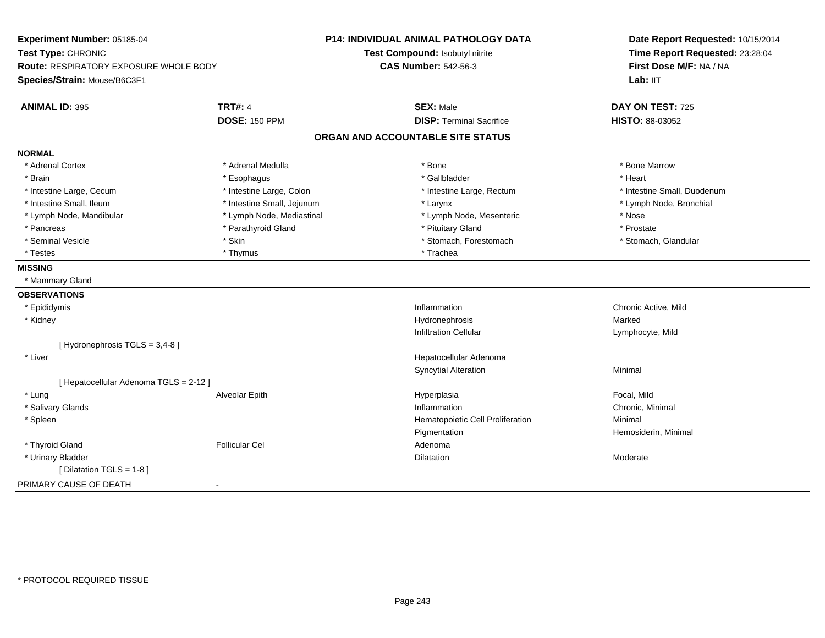| Time Report Requested: 23:28:04<br>Test Compound: Isobutyl nitrite<br>First Dose M/F: NA / NA<br><b>CAS Number: 542-56-3</b><br>Route: RESPIRATORY EXPOSURE WHOLE BODY<br>Lab: IIT<br><b>TRT#: 4</b><br><b>ANIMAL ID: 395</b><br><b>SEX: Male</b><br>DAY ON TEST: 725<br><b>DOSE: 150 PPM</b><br><b>DISP: Terminal Sacrifice</b><br>HISTO: 88-03052<br>ORGAN AND ACCOUNTABLE SITE STATUS<br>* Adrenal Cortex<br>* Adrenal Medulla<br>* Bone Marrow<br>* Bone<br>* Heart<br>* Gallbladder<br>* Brain<br>* Esophagus<br>* Intestine Large, Cecum<br>* Intestine Large, Colon<br>* Intestine Large, Rectum<br>* Intestine Small, Duodenum<br>* Intestine Small, Ileum<br>* Intestine Small, Jejunum<br>* Larynx<br>* Lymph Node, Bronchial<br>* Lymph Node, Mandibular<br>* Lymph Node, Mediastinal<br>* Lymph Node, Mesenteric<br>* Nose<br>* Parathyroid Gland<br>* Pituitary Gland<br>* Prostate<br>* Pancreas<br>* Skin<br>* Stomach, Forestomach<br>* Seminal Vesicle<br>* Stomach, Glandular<br>* Testes<br>* Thymus<br>* Trachea<br>* Mammary Gland<br>* Epididymis<br>Inflammation<br>Chronic Active, Mild<br>* Kidney<br>Marked<br>Hydronephrosis<br><b>Infiltration Cellular</b><br>Lymphocyte, Mild<br>[Hydronephrosis TGLS = 3,4-8]<br>Hepatocellular Adenoma<br>* Liver<br><b>Syncytial Alteration</b><br>Minimal<br>[ Hepatocellular Adenoma TGLS = 2-12 ]<br>Focal, Mild<br>* Lung<br>Alveolar Epith<br>Hyperplasia<br>* Salivary Glands<br>Inflammation<br>Chronic, Minimal<br>Hematopoietic Cell Proliferation<br>Minimal<br>* Spleen<br>Pigmentation<br>Hemosiderin, Minimal<br>* Thyroid Gland<br><b>Follicular Cel</b><br>Adenoma<br>* Urinary Bladder<br>Moderate<br><b>Dilatation</b><br>[ Dilatation TGLS = 1-8 ] | Experiment Number: 05185-04  | P14: INDIVIDUAL ANIMAL PATHOLOGY DATA | Date Report Requested: 10/15/2014 |  |
|---------------------------------------------------------------------------------------------------------------------------------------------------------------------------------------------------------------------------------------------------------------------------------------------------------------------------------------------------------------------------------------------------------------------------------------------------------------------------------------------------------------------------------------------------------------------------------------------------------------------------------------------------------------------------------------------------------------------------------------------------------------------------------------------------------------------------------------------------------------------------------------------------------------------------------------------------------------------------------------------------------------------------------------------------------------------------------------------------------------------------------------------------------------------------------------------------------------------------------------------------------------------------------------------------------------------------------------------------------------------------------------------------------------------------------------------------------------------------------------------------------------------------------------------------------------------------------------------------------------------------------------------------------------------------------------------------------------------------------------|------------------------------|---------------------------------------|-----------------------------------|--|
|                                                                                                                                                                                                                                                                                                                                                                                                                                                                                                                                                                                                                                                                                                                                                                                                                                                                                                                                                                                                                                                                                                                                                                                                                                                                                                                                                                                                                                                                                                                                                                                                                                                                                                                                       | Test Type: CHRONIC           |                                       |                                   |  |
|                                                                                                                                                                                                                                                                                                                                                                                                                                                                                                                                                                                                                                                                                                                                                                                                                                                                                                                                                                                                                                                                                                                                                                                                                                                                                                                                                                                                                                                                                                                                                                                                                                                                                                                                       |                              |                                       |                                   |  |
|                                                                                                                                                                                                                                                                                                                                                                                                                                                                                                                                                                                                                                                                                                                                                                                                                                                                                                                                                                                                                                                                                                                                                                                                                                                                                                                                                                                                                                                                                                                                                                                                                                                                                                                                       | Species/Strain: Mouse/B6C3F1 |                                       |                                   |  |
|                                                                                                                                                                                                                                                                                                                                                                                                                                                                                                                                                                                                                                                                                                                                                                                                                                                                                                                                                                                                                                                                                                                                                                                                                                                                                                                                                                                                                                                                                                                                                                                                                                                                                                                                       |                              |                                       |                                   |  |
|                                                                                                                                                                                                                                                                                                                                                                                                                                                                                                                                                                                                                                                                                                                                                                                                                                                                                                                                                                                                                                                                                                                                                                                                                                                                                                                                                                                                                                                                                                                                                                                                                                                                                                                                       |                              |                                       |                                   |  |
|                                                                                                                                                                                                                                                                                                                                                                                                                                                                                                                                                                                                                                                                                                                                                                                                                                                                                                                                                                                                                                                                                                                                                                                                                                                                                                                                                                                                                                                                                                                                                                                                                                                                                                                                       |                              |                                       |                                   |  |
|                                                                                                                                                                                                                                                                                                                                                                                                                                                                                                                                                                                                                                                                                                                                                                                                                                                                                                                                                                                                                                                                                                                                                                                                                                                                                                                                                                                                                                                                                                                                                                                                                                                                                                                                       | <b>NORMAL</b>                |                                       |                                   |  |
|                                                                                                                                                                                                                                                                                                                                                                                                                                                                                                                                                                                                                                                                                                                                                                                                                                                                                                                                                                                                                                                                                                                                                                                                                                                                                                                                                                                                                                                                                                                                                                                                                                                                                                                                       |                              |                                       |                                   |  |
|                                                                                                                                                                                                                                                                                                                                                                                                                                                                                                                                                                                                                                                                                                                                                                                                                                                                                                                                                                                                                                                                                                                                                                                                                                                                                                                                                                                                                                                                                                                                                                                                                                                                                                                                       |                              |                                       |                                   |  |
|                                                                                                                                                                                                                                                                                                                                                                                                                                                                                                                                                                                                                                                                                                                                                                                                                                                                                                                                                                                                                                                                                                                                                                                                                                                                                                                                                                                                                                                                                                                                                                                                                                                                                                                                       |                              |                                       |                                   |  |
|                                                                                                                                                                                                                                                                                                                                                                                                                                                                                                                                                                                                                                                                                                                                                                                                                                                                                                                                                                                                                                                                                                                                                                                                                                                                                                                                                                                                                                                                                                                                                                                                                                                                                                                                       |                              |                                       |                                   |  |
|                                                                                                                                                                                                                                                                                                                                                                                                                                                                                                                                                                                                                                                                                                                                                                                                                                                                                                                                                                                                                                                                                                                                                                                                                                                                                                                                                                                                                                                                                                                                                                                                                                                                                                                                       |                              |                                       |                                   |  |
|                                                                                                                                                                                                                                                                                                                                                                                                                                                                                                                                                                                                                                                                                                                                                                                                                                                                                                                                                                                                                                                                                                                                                                                                                                                                                                                                                                                                                                                                                                                                                                                                                                                                                                                                       |                              |                                       |                                   |  |
|                                                                                                                                                                                                                                                                                                                                                                                                                                                                                                                                                                                                                                                                                                                                                                                                                                                                                                                                                                                                                                                                                                                                                                                                                                                                                                                                                                                                                                                                                                                                                                                                                                                                                                                                       |                              |                                       |                                   |  |
|                                                                                                                                                                                                                                                                                                                                                                                                                                                                                                                                                                                                                                                                                                                                                                                                                                                                                                                                                                                                                                                                                                                                                                                                                                                                                                                                                                                                                                                                                                                                                                                                                                                                                                                                       |                              |                                       |                                   |  |
|                                                                                                                                                                                                                                                                                                                                                                                                                                                                                                                                                                                                                                                                                                                                                                                                                                                                                                                                                                                                                                                                                                                                                                                                                                                                                                                                                                                                                                                                                                                                                                                                                                                                                                                                       | <b>MISSING</b>               |                                       |                                   |  |
|                                                                                                                                                                                                                                                                                                                                                                                                                                                                                                                                                                                                                                                                                                                                                                                                                                                                                                                                                                                                                                                                                                                                                                                                                                                                                                                                                                                                                                                                                                                                                                                                                                                                                                                                       |                              |                                       |                                   |  |
|                                                                                                                                                                                                                                                                                                                                                                                                                                                                                                                                                                                                                                                                                                                                                                                                                                                                                                                                                                                                                                                                                                                                                                                                                                                                                                                                                                                                                                                                                                                                                                                                                                                                                                                                       | <b>OBSERVATIONS</b>          |                                       |                                   |  |
|                                                                                                                                                                                                                                                                                                                                                                                                                                                                                                                                                                                                                                                                                                                                                                                                                                                                                                                                                                                                                                                                                                                                                                                                                                                                                                                                                                                                                                                                                                                                                                                                                                                                                                                                       |                              |                                       |                                   |  |
|                                                                                                                                                                                                                                                                                                                                                                                                                                                                                                                                                                                                                                                                                                                                                                                                                                                                                                                                                                                                                                                                                                                                                                                                                                                                                                                                                                                                                                                                                                                                                                                                                                                                                                                                       |                              |                                       |                                   |  |
|                                                                                                                                                                                                                                                                                                                                                                                                                                                                                                                                                                                                                                                                                                                                                                                                                                                                                                                                                                                                                                                                                                                                                                                                                                                                                                                                                                                                                                                                                                                                                                                                                                                                                                                                       |                              |                                       |                                   |  |
|                                                                                                                                                                                                                                                                                                                                                                                                                                                                                                                                                                                                                                                                                                                                                                                                                                                                                                                                                                                                                                                                                                                                                                                                                                                                                                                                                                                                                                                                                                                                                                                                                                                                                                                                       |                              |                                       |                                   |  |
|                                                                                                                                                                                                                                                                                                                                                                                                                                                                                                                                                                                                                                                                                                                                                                                                                                                                                                                                                                                                                                                                                                                                                                                                                                                                                                                                                                                                                                                                                                                                                                                                                                                                                                                                       |                              |                                       |                                   |  |
|                                                                                                                                                                                                                                                                                                                                                                                                                                                                                                                                                                                                                                                                                                                                                                                                                                                                                                                                                                                                                                                                                                                                                                                                                                                                                                                                                                                                                                                                                                                                                                                                                                                                                                                                       |                              |                                       |                                   |  |
|                                                                                                                                                                                                                                                                                                                                                                                                                                                                                                                                                                                                                                                                                                                                                                                                                                                                                                                                                                                                                                                                                                                                                                                                                                                                                                                                                                                                                                                                                                                                                                                                                                                                                                                                       |                              |                                       |                                   |  |
|                                                                                                                                                                                                                                                                                                                                                                                                                                                                                                                                                                                                                                                                                                                                                                                                                                                                                                                                                                                                                                                                                                                                                                                                                                                                                                                                                                                                                                                                                                                                                                                                                                                                                                                                       |                              |                                       |                                   |  |
|                                                                                                                                                                                                                                                                                                                                                                                                                                                                                                                                                                                                                                                                                                                                                                                                                                                                                                                                                                                                                                                                                                                                                                                                                                                                                                                                                                                                                                                                                                                                                                                                                                                                                                                                       |                              |                                       |                                   |  |
|                                                                                                                                                                                                                                                                                                                                                                                                                                                                                                                                                                                                                                                                                                                                                                                                                                                                                                                                                                                                                                                                                                                                                                                                                                                                                                                                                                                                                                                                                                                                                                                                                                                                                                                                       |                              |                                       |                                   |  |
|                                                                                                                                                                                                                                                                                                                                                                                                                                                                                                                                                                                                                                                                                                                                                                                                                                                                                                                                                                                                                                                                                                                                                                                                                                                                                                                                                                                                                                                                                                                                                                                                                                                                                                                                       |                              |                                       |                                   |  |
|                                                                                                                                                                                                                                                                                                                                                                                                                                                                                                                                                                                                                                                                                                                                                                                                                                                                                                                                                                                                                                                                                                                                                                                                                                                                                                                                                                                                                                                                                                                                                                                                                                                                                                                                       |                              |                                       |                                   |  |
|                                                                                                                                                                                                                                                                                                                                                                                                                                                                                                                                                                                                                                                                                                                                                                                                                                                                                                                                                                                                                                                                                                                                                                                                                                                                                                                                                                                                                                                                                                                                                                                                                                                                                                                                       |                              |                                       |                                   |  |
|                                                                                                                                                                                                                                                                                                                                                                                                                                                                                                                                                                                                                                                                                                                                                                                                                                                                                                                                                                                                                                                                                                                                                                                                                                                                                                                                                                                                                                                                                                                                                                                                                                                                                                                                       |                              |                                       |                                   |  |
|                                                                                                                                                                                                                                                                                                                                                                                                                                                                                                                                                                                                                                                                                                                                                                                                                                                                                                                                                                                                                                                                                                                                                                                                                                                                                                                                                                                                                                                                                                                                                                                                                                                                                                                                       | PRIMARY CAUSE OF DEATH       |                                       |                                   |  |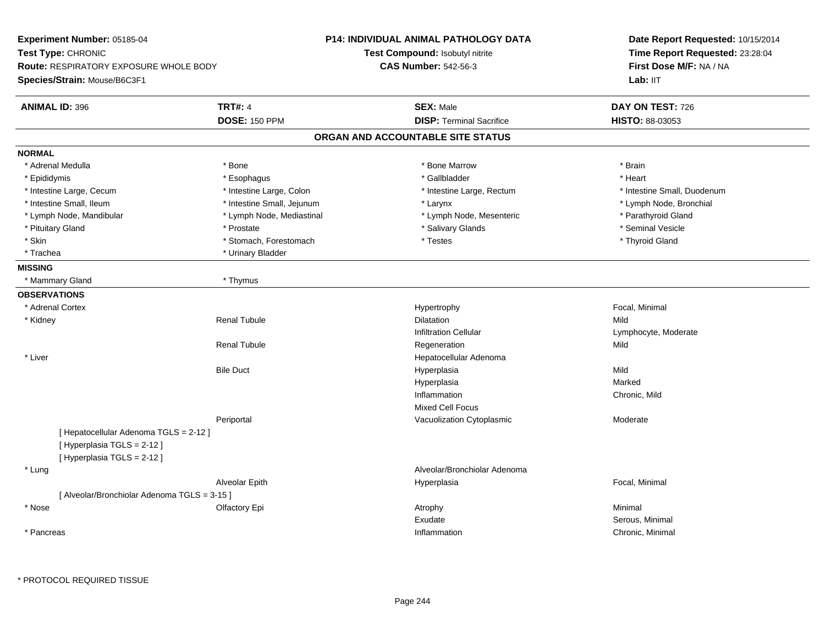| Experiment Number: 05185-04                                                                          |                            | <b>P14: INDIVIDUAL ANIMAL PATHOLOGY DATA</b> | Date Report Requested: 10/15/2014<br>Time Report Requested: 23:28:04<br>First Dose M/F: NA / NA |  |
|------------------------------------------------------------------------------------------------------|----------------------------|----------------------------------------------|-------------------------------------------------------------------------------------------------|--|
| Test Type: CHRONIC                                                                                   |                            | Test Compound: Isobutyl nitrite              |                                                                                                 |  |
| <b>Route: RESPIRATORY EXPOSURE WHOLE BODY</b>                                                        |                            | <b>CAS Number: 542-56-3</b>                  |                                                                                                 |  |
| Species/Strain: Mouse/B6C3F1                                                                         |                            |                                              | Lab: IIT                                                                                        |  |
| <b>ANIMAL ID: 396</b>                                                                                | <b>TRT#: 4</b>             | <b>SEX: Male</b>                             | DAY ON TEST: 726                                                                                |  |
|                                                                                                      | <b>DOSE: 150 PPM</b>       | <b>DISP: Terminal Sacrifice</b>              | HISTO: 88-03053                                                                                 |  |
|                                                                                                      |                            | ORGAN AND ACCOUNTABLE SITE STATUS            |                                                                                                 |  |
| <b>NORMAL</b>                                                                                        |                            |                                              |                                                                                                 |  |
| * Adrenal Medulla                                                                                    | * Bone                     | * Bone Marrow                                | * Brain                                                                                         |  |
| * Epididymis                                                                                         | * Esophagus                | * Gallbladder                                | * Heart                                                                                         |  |
| * Intestine Large, Cecum                                                                             | * Intestine Large, Colon   | * Intestine Large, Rectum                    | * Intestine Small, Duodenum                                                                     |  |
| * Intestine Small, Ileum                                                                             | * Intestine Small, Jejunum | * Larynx                                     | * Lymph Node, Bronchial                                                                         |  |
| * Lymph Node, Mandibular                                                                             | * Lymph Node, Mediastinal  | * Lymph Node, Mesenteric                     | * Parathyroid Gland                                                                             |  |
| * Pituitary Gland                                                                                    | * Prostate                 | * Salivary Glands                            | * Seminal Vesicle                                                                               |  |
| * Skin                                                                                               | * Stomach, Forestomach     | * Testes                                     | * Thyroid Gland                                                                                 |  |
| * Trachea                                                                                            | * Urinary Bladder          |                                              |                                                                                                 |  |
| <b>MISSING</b>                                                                                       |                            |                                              |                                                                                                 |  |
| * Mammary Gland                                                                                      | * Thymus                   |                                              |                                                                                                 |  |
| <b>OBSERVATIONS</b>                                                                                  |                            |                                              |                                                                                                 |  |
| * Adrenal Cortex                                                                                     |                            | Hypertrophy                                  | Focal, Minimal                                                                                  |  |
| * Kidney                                                                                             | <b>Renal Tubule</b>        | Dilatation                                   | Mild                                                                                            |  |
|                                                                                                      |                            | <b>Infiltration Cellular</b>                 | Lymphocyte, Moderate                                                                            |  |
|                                                                                                      | <b>Renal Tubule</b>        | Regeneration                                 | Mild                                                                                            |  |
| * Liver                                                                                              |                            | Hepatocellular Adenoma                       |                                                                                                 |  |
|                                                                                                      | <b>Bile Duct</b>           | Hyperplasia                                  | Mild                                                                                            |  |
|                                                                                                      |                            | Hyperplasia                                  | Marked                                                                                          |  |
|                                                                                                      |                            | Inflammation                                 | Chronic, Mild                                                                                   |  |
|                                                                                                      |                            | Mixed Cell Focus                             |                                                                                                 |  |
|                                                                                                      | Periportal                 | Vacuolization Cytoplasmic                    | Moderate                                                                                        |  |
| [ Hepatocellular Adenoma TGLS = 2-12 ]<br>[ Hyperplasia TGLS = 2-12 ]<br>[ Hyperplasia TGLS = 2-12 ] |                            |                                              |                                                                                                 |  |
| * Lung                                                                                               |                            | Alveolar/Bronchiolar Adenoma                 |                                                                                                 |  |
|                                                                                                      | Alveolar Epith             | Hyperplasia                                  | Focal, Minimal                                                                                  |  |
| [Alveolar/Bronchiolar Adenoma TGLS = 3-15]                                                           |                            |                                              |                                                                                                 |  |
| * Nose                                                                                               | Olfactory Epi              | Atrophy                                      | Minimal                                                                                         |  |
|                                                                                                      |                            | Exudate                                      | Serous, Minimal                                                                                 |  |
|                                                                                                      |                            |                                              |                                                                                                 |  |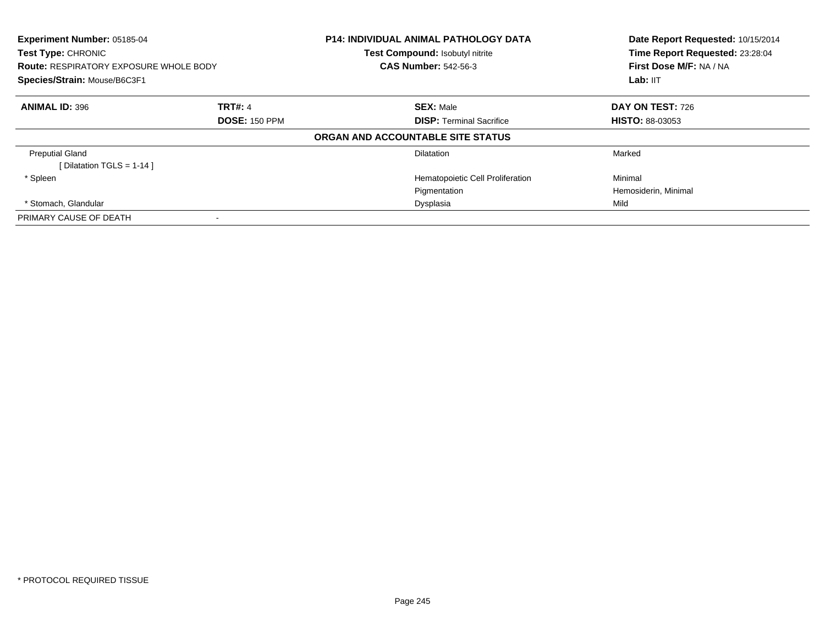| Experiment Number: 05185-04<br>Test Type: CHRONIC<br><b>Route: RESPIRATORY EXPOSURE WHOLE BODY</b><br>Species/Strain: Mouse/B6C3F1<br><b>ANIMAL ID: 396</b><br><b>TRT#: 4</b><br><b>DOSE: 150 PPM</b> |  | <b>P14: INDIVIDUAL ANIMAL PATHOLOGY DATA</b><br>Test Compound: Isobutyl nitrite<br><b>CAS Number: 542-56-3</b> | Date Report Requested: 10/15/2014<br>Time Report Requested: 23:28:04<br>First Dose M/F: NA / NA<br>Lab: IIT |
|-------------------------------------------------------------------------------------------------------------------------------------------------------------------------------------------------------|--|----------------------------------------------------------------------------------------------------------------|-------------------------------------------------------------------------------------------------------------|
|                                                                                                                                                                                                       |  | <b>SEX: Male</b><br><b>DISP:</b> Terminal Sacrifice                                                            | <b>DAY ON TEST: 726</b><br><b>HISTO: 88-03053</b>                                                           |
|                                                                                                                                                                                                       |  | ORGAN AND ACCOUNTABLE SITE STATUS                                                                              |                                                                                                             |
| <b>Preputial Gland</b><br>[ Dilatation TGLS = $1-14$ ]                                                                                                                                                |  | <b>Dilatation</b>                                                                                              | Marked                                                                                                      |
| * Spleen                                                                                                                                                                                              |  | Hematopoietic Cell Proliferation                                                                               | Minimal                                                                                                     |
|                                                                                                                                                                                                       |  | Pigmentation                                                                                                   | Hemosiderin, Minimal                                                                                        |
| * Stomach, Glandular                                                                                                                                                                                  |  | Dysplasia                                                                                                      | Mild                                                                                                        |
| PRIMARY CAUSE OF DEATH                                                                                                                                                                                |  |                                                                                                                |                                                                                                             |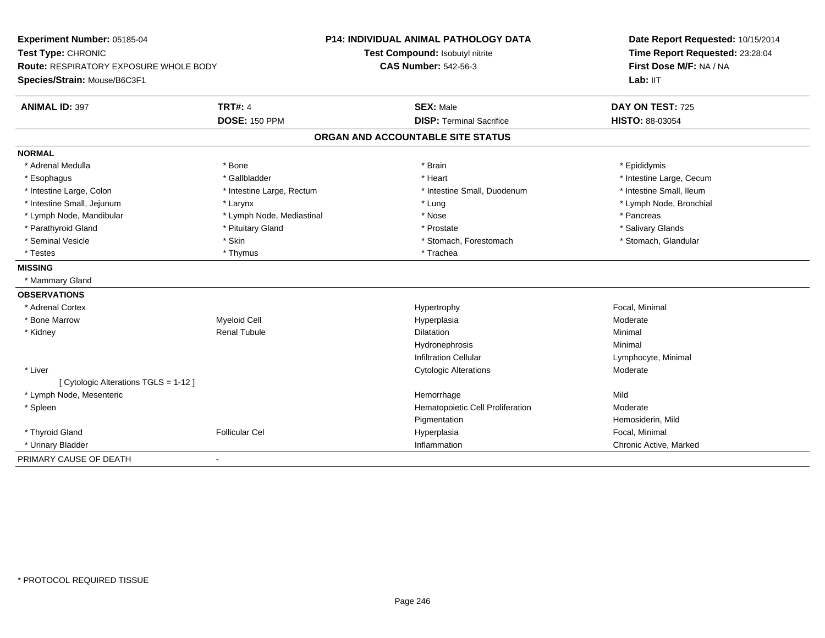| Experiment Number: 05185-04                   |                           | <b>P14: INDIVIDUAL ANIMAL PATHOLOGY DATA</b> | Date Report Requested: 10/15/2014                          |  |
|-----------------------------------------------|---------------------------|----------------------------------------------|------------------------------------------------------------|--|
| Test Type: CHRONIC                            |                           | Test Compound: Isobutyl nitrite              | Time Report Requested: 23:28:04<br>First Dose M/F: NA / NA |  |
| <b>Route: RESPIRATORY EXPOSURE WHOLE BODY</b> |                           | <b>CAS Number: 542-56-3</b>                  |                                                            |  |
| Species/Strain: Mouse/B6C3F1                  |                           |                                              | Lab: IIT                                                   |  |
| <b>ANIMAL ID: 397</b>                         | <b>TRT#: 4</b>            | <b>SEX: Male</b>                             | DAY ON TEST: 725                                           |  |
|                                               | <b>DOSE: 150 PPM</b>      | <b>DISP: Terminal Sacrifice</b>              | HISTO: 88-03054                                            |  |
|                                               |                           | ORGAN AND ACCOUNTABLE SITE STATUS            |                                                            |  |
| <b>NORMAL</b>                                 |                           |                                              |                                                            |  |
| * Adrenal Medulla                             | * Bone                    | * Brain                                      | * Epididymis                                               |  |
| * Esophagus                                   | * Gallbladder             | * Heart                                      | * Intestine Large, Cecum                                   |  |
| * Intestine Large, Colon                      | * Intestine Large, Rectum | * Intestine Small, Duodenum                  | * Intestine Small, Ileum                                   |  |
| * Intestine Small, Jejunum                    | * Larynx                  | * Lung                                       | * Lymph Node, Bronchial                                    |  |
| * Lymph Node, Mandibular                      | * Lymph Node, Mediastinal | * Nose                                       | * Pancreas                                                 |  |
| * Parathyroid Gland                           | * Pituitary Gland         | * Prostate                                   | * Salivary Glands                                          |  |
| * Seminal Vesicle                             | * Skin                    | * Stomach, Forestomach                       | * Stomach, Glandular                                       |  |
| * Testes                                      | * Thymus                  | * Trachea                                    |                                                            |  |
| <b>MISSING</b>                                |                           |                                              |                                                            |  |
| * Mammary Gland                               |                           |                                              |                                                            |  |
| <b>OBSERVATIONS</b>                           |                           |                                              |                                                            |  |
| * Adrenal Cortex                              |                           | Hypertrophy                                  | Focal, Minimal                                             |  |
| * Bone Marrow                                 | <b>Myeloid Cell</b>       | Hyperplasia                                  | Moderate                                                   |  |
| * Kidney                                      | <b>Renal Tubule</b>       | <b>Dilatation</b>                            | Minimal                                                    |  |
|                                               |                           | Hydronephrosis                               | Minimal                                                    |  |
|                                               |                           | <b>Infiltration Cellular</b>                 | Lymphocyte, Minimal                                        |  |
| * Liver                                       |                           | <b>Cytologic Alterations</b>                 | Moderate                                                   |  |
| [ Cytologic Alterations TGLS = 1-12 ]         |                           |                                              |                                                            |  |
| * Lymph Node, Mesenteric                      |                           | Hemorrhage                                   | Mild                                                       |  |
| * Spleen                                      |                           | Hematopoietic Cell Proliferation             | Moderate                                                   |  |
|                                               |                           | Pigmentation                                 | Hemosiderin, Mild                                          |  |
| * Thyroid Gland                               | <b>Follicular Cel</b>     | Hyperplasia                                  | Focal. Minimal                                             |  |
| * Urinary Bladder                             |                           | Inflammation                                 | Chronic Active, Marked                                     |  |
| PRIMARY CAUSE OF DEATH                        | $\blacksquare$            |                                              |                                                            |  |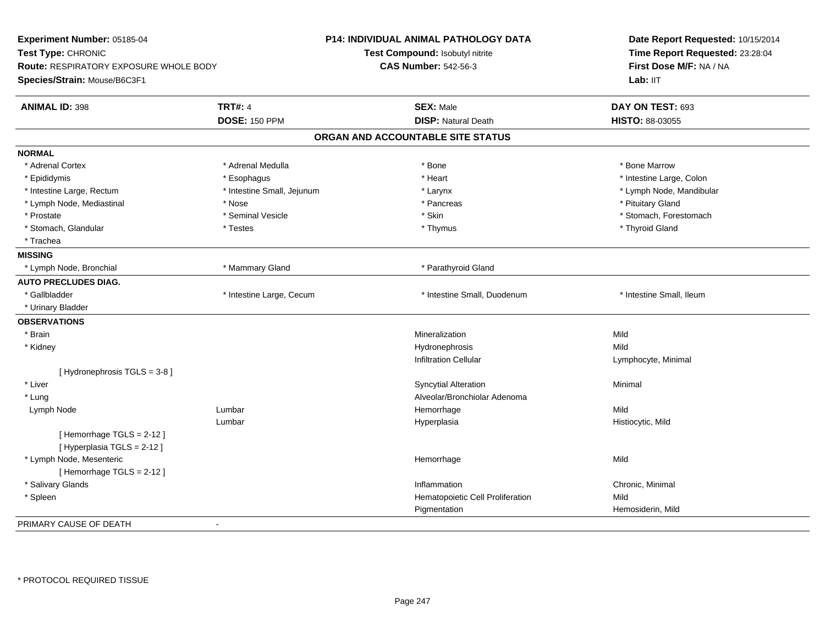| Time Report Requested: 23:28:04<br>Test Type: CHRONIC<br>Test Compound: Isobutyl nitrite<br>First Dose M/F: NA / NA<br>Route: RESPIRATORY EXPOSURE WHOLE BODY<br><b>CAS Number: 542-56-3</b><br>Lab: IIT<br>Species/Strain: Mouse/B6C3F1<br><b>TRT#: 4</b><br><b>SEX: Male</b><br>DAY ON TEST: 693<br><b>ANIMAL ID: 398</b><br><b>DOSE: 150 PPM</b><br><b>DISP: Natural Death</b><br>HISTO: 88-03055<br>ORGAN AND ACCOUNTABLE SITE STATUS<br>* Adrenal Cortex<br>* Adrenal Medulla<br>* Bone Marrow<br>* Bone<br>* Heart<br>* Intestine Large, Colon<br>* Epididymis<br>* Esophagus<br>* Intestine Small, Jejunum<br>* Larynx<br>* Lymph Node, Mandibular<br>* Intestine Large, Rectum<br>* Lymph Node, Mediastinal<br>* Nose<br>* Pancreas<br>* Pituitary Gland<br>* Seminal Vesicle<br>* Skin<br>* Stomach, Forestomach<br>* Prostate<br>* Thyroid Gland<br>* Stomach, Glandular<br>* Testes<br>* Thymus<br>* Trachea<br>* Mammary Gland<br>* Parathyroid Gland<br>* Lymph Node, Bronchial | Experiment Number: 05185-04 | <b>P14: INDIVIDUAL ANIMAL PATHOLOGY DATA</b> | Date Report Requested: 10/15/2014 |  |
|----------------------------------------------------------------------------------------------------------------------------------------------------------------------------------------------------------------------------------------------------------------------------------------------------------------------------------------------------------------------------------------------------------------------------------------------------------------------------------------------------------------------------------------------------------------------------------------------------------------------------------------------------------------------------------------------------------------------------------------------------------------------------------------------------------------------------------------------------------------------------------------------------------------------------------------------------------------------------------------------|-----------------------------|----------------------------------------------|-----------------------------------|--|
|                                                                                                                                                                                                                                                                                                                                                                                                                                                                                                                                                                                                                                                                                                                                                                                                                                                                                                                                                                                              |                             |                                              |                                   |  |
|                                                                                                                                                                                                                                                                                                                                                                                                                                                                                                                                                                                                                                                                                                                                                                                                                                                                                                                                                                                              |                             |                                              |                                   |  |
|                                                                                                                                                                                                                                                                                                                                                                                                                                                                                                                                                                                                                                                                                                                                                                                                                                                                                                                                                                                              |                             |                                              |                                   |  |
|                                                                                                                                                                                                                                                                                                                                                                                                                                                                                                                                                                                                                                                                                                                                                                                                                                                                                                                                                                                              |                             |                                              |                                   |  |
|                                                                                                                                                                                                                                                                                                                                                                                                                                                                                                                                                                                                                                                                                                                                                                                                                                                                                                                                                                                              |                             |                                              |                                   |  |
|                                                                                                                                                                                                                                                                                                                                                                                                                                                                                                                                                                                                                                                                                                                                                                                                                                                                                                                                                                                              |                             |                                              |                                   |  |
|                                                                                                                                                                                                                                                                                                                                                                                                                                                                                                                                                                                                                                                                                                                                                                                                                                                                                                                                                                                              |                             |                                              |                                   |  |
|                                                                                                                                                                                                                                                                                                                                                                                                                                                                                                                                                                                                                                                                                                                                                                                                                                                                                                                                                                                              | <b>NORMAL</b>               |                                              |                                   |  |
|                                                                                                                                                                                                                                                                                                                                                                                                                                                                                                                                                                                                                                                                                                                                                                                                                                                                                                                                                                                              |                             |                                              |                                   |  |
|                                                                                                                                                                                                                                                                                                                                                                                                                                                                                                                                                                                                                                                                                                                                                                                                                                                                                                                                                                                              |                             |                                              |                                   |  |
|                                                                                                                                                                                                                                                                                                                                                                                                                                                                                                                                                                                                                                                                                                                                                                                                                                                                                                                                                                                              |                             |                                              |                                   |  |
|                                                                                                                                                                                                                                                                                                                                                                                                                                                                                                                                                                                                                                                                                                                                                                                                                                                                                                                                                                                              |                             |                                              |                                   |  |
|                                                                                                                                                                                                                                                                                                                                                                                                                                                                                                                                                                                                                                                                                                                                                                                                                                                                                                                                                                                              |                             |                                              |                                   |  |
|                                                                                                                                                                                                                                                                                                                                                                                                                                                                                                                                                                                                                                                                                                                                                                                                                                                                                                                                                                                              |                             |                                              |                                   |  |
|                                                                                                                                                                                                                                                                                                                                                                                                                                                                                                                                                                                                                                                                                                                                                                                                                                                                                                                                                                                              |                             |                                              |                                   |  |
|                                                                                                                                                                                                                                                                                                                                                                                                                                                                                                                                                                                                                                                                                                                                                                                                                                                                                                                                                                                              | <b>MISSING</b>              |                                              |                                   |  |
|                                                                                                                                                                                                                                                                                                                                                                                                                                                                                                                                                                                                                                                                                                                                                                                                                                                                                                                                                                                              |                             |                                              |                                   |  |
|                                                                                                                                                                                                                                                                                                                                                                                                                                                                                                                                                                                                                                                                                                                                                                                                                                                                                                                                                                                              | <b>AUTO PRECLUDES DIAG.</b> |                                              |                                   |  |
| * Gallbladder<br>* Intestine Large, Cecum<br>* Intestine Small, Duodenum<br>* Intestine Small, Ileum                                                                                                                                                                                                                                                                                                                                                                                                                                                                                                                                                                                                                                                                                                                                                                                                                                                                                         |                             |                                              |                                   |  |
| * Urinary Bladder                                                                                                                                                                                                                                                                                                                                                                                                                                                                                                                                                                                                                                                                                                                                                                                                                                                                                                                                                                            |                             |                                              |                                   |  |
|                                                                                                                                                                                                                                                                                                                                                                                                                                                                                                                                                                                                                                                                                                                                                                                                                                                                                                                                                                                              | <b>OBSERVATIONS</b>         |                                              |                                   |  |
| * Brain<br>Mineralization<br>Mild                                                                                                                                                                                                                                                                                                                                                                                                                                                                                                                                                                                                                                                                                                                                                                                                                                                                                                                                                            |                             |                                              |                                   |  |
| * Kidney<br>Hydronephrosis<br>Mild                                                                                                                                                                                                                                                                                                                                                                                                                                                                                                                                                                                                                                                                                                                                                                                                                                                                                                                                                           |                             |                                              |                                   |  |
| <b>Infiltration Cellular</b><br>Lymphocyte, Minimal                                                                                                                                                                                                                                                                                                                                                                                                                                                                                                                                                                                                                                                                                                                                                                                                                                                                                                                                          |                             |                                              |                                   |  |
| [Hydronephrosis TGLS = 3-8]                                                                                                                                                                                                                                                                                                                                                                                                                                                                                                                                                                                                                                                                                                                                                                                                                                                                                                                                                                  |                             |                                              |                                   |  |
| * Liver<br><b>Syncytial Alteration</b><br>Minimal                                                                                                                                                                                                                                                                                                                                                                                                                                                                                                                                                                                                                                                                                                                                                                                                                                                                                                                                            |                             |                                              |                                   |  |
| Alveolar/Bronchiolar Adenoma<br>* Lung                                                                                                                                                                                                                                                                                                                                                                                                                                                                                                                                                                                                                                                                                                                                                                                                                                                                                                                                                       |                             |                                              |                                   |  |
| Lumbar<br>Hemorrhage<br>Mild<br>Lymph Node                                                                                                                                                                                                                                                                                                                                                                                                                                                                                                                                                                                                                                                                                                                                                                                                                                                                                                                                                   |                             |                                              |                                   |  |
| Lumbar<br>Hyperplasia<br>Histiocytic, Mild                                                                                                                                                                                                                                                                                                                                                                                                                                                                                                                                                                                                                                                                                                                                                                                                                                                                                                                                                   |                             |                                              |                                   |  |
| [Hemorrhage TGLS = 2-12]                                                                                                                                                                                                                                                                                                                                                                                                                                                                                                                                                                                                                                                                                                                                                                                                                                                                                                                                                                     |                             |                                              |                                   |  |
| [ Hyperplasia TGLS = 2-12 ]                                                                                                                                                                                                                                                                                                                                                                                                                                                                                                                                                                                                                                                                                                                                                                                                                                                                                                                                                                  |                             |                                              |                                   |  |
| * Lymph Node, Mesenteric<br>Hemorrhage<br>Mild                                                                                                                                                                                                                                                                                                                                                                                                                                                                                                                                                                                                                                                                                                                                                                                                                                                                                                                                               |                             |                                              |                                   |  |
| [Hemorrhage TGLS = 2-12]                                                                                                                                                                                                                                                                                                                                                                                                                                                                                                                                                                                                                                                                                                                                                                                                                                                                                                                                                                     |                             |                                              |                                   |  |
| * Salivary Glands<br>Inflammation<br>Chronic, Minimal                                                                                                                                                                                                                                                                                                                                                                                                                                                                                                                                                                                                                                                                                                                                                                                                                                                                                                                                        |                             |                                              |                                   |  |
| Mild<br>* Spleen<br>Hematopoietic Cell Proliferation                                                                                                                                                                                                                                                                                                                                                                                                                                                                                                                                                                                                                                                                                                                                                                                                                                                                                                                                         |                             |                                              |                                   |  |
| Pigmentation<br>Hemosiderin, Mild                                                                                                                                                                                                                                                                                                                                                                                                                                                                                                                                                                                                                                                                                                                                                                                                                                                                                                                                                            |                             |                                              |                                   |  |
|                                                                                                                                                                                                                                                                                                                                                                                                                                                                                                                                                                                                                                                                                                                                                                                                                                                                                                                                                                                              | PRIMARY CAUSE OF DEATH      |                                              |                                   |  |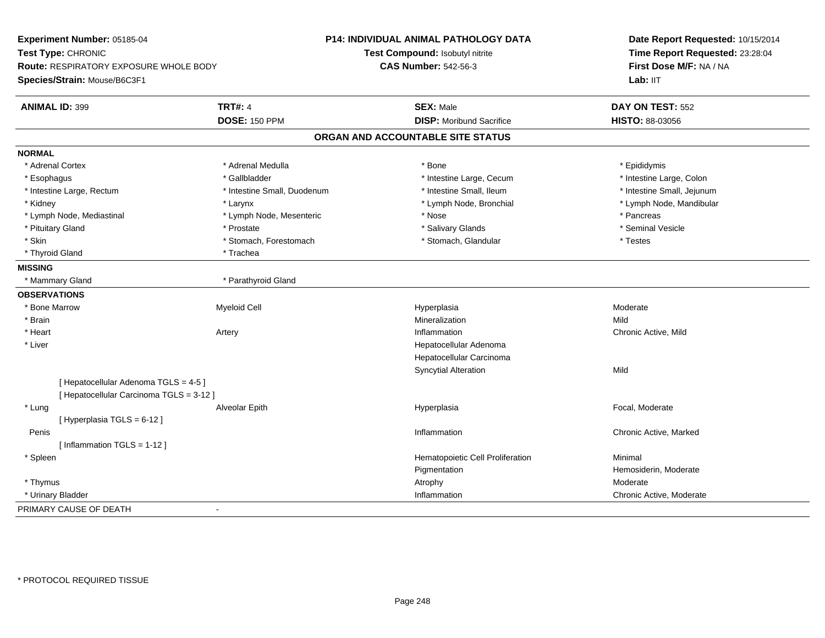**Experiment Number:** 05185-04**Test Type:** CHRONIC **Route:** RESPIRATORY EXPOSURE WHOLE BODY**Species/Strain:** Mouse/B6C3F1**P14: INDIVIDUAL ANIMAL PATHOLOGY DATATest Compound:** Isobutyl nitrite**CAS Number:** 542-56-3**Date Report Requested:** 10/15/2014**Time Report Requested:** 23:28:04**First Dose M/F:** NA / NALab: IIT **ANIMAL ID:** 399**TRT#:** 4 **SEX:** Male **SEX:** Male **DAY ON TEST:** 552 **DOSE:** 150 PPM**DISP:** Moribund Sacrifice **HISTO:** 88-03056 **ORGAN AND ACCOUNTABLE SITE STATUSNORMAL**\* Adrenal Cortex \* Adrenal Cortex \* \* Adrenal Medulla \* \* Adrenal Medulla \* \* Bone \* \* Bone \* \* Epididymis \* Intestine Large, Colon \* Esophagus \* Intestine Large, Cecum \* Callbladder \* 10 \* Intestine Large, Cecum \* Intestine Large, Cecum \* \* Intestine Large, Rectum \* Thestine Small, Duodenum \* Number of the small, Ileum \* Intestine Small, Jejunum \* Intestine Small, Jejunum \* Kidney \* Larynx \* Lymph Node, Bronchial \* Lymph Node, Mandibular \* Lymph Node, Mediastinal \* The state of the second text of the second text of the second text of the second text of the second of the second text of the second text of the second text of the second text of the second text \* Seminal Vesicle \* Pituitary Gland \* \* \* \* Prostate \* \* Prostate \* \* Salivary Glands \* \* Salivary Glands \* \* Seminal Vesicle \* Skin \* Stomach, Forestomach \* Stomach \* Stomach, Stomach, Glandular \* Testes \* Testes \* Thyroid Gland \* Trachea **MISSING**\* Mammary Gland \* Parathyroid Gland **OBSERVATIONS** \* Bone Marroww and the method of the Myeloid Cell and the Moderate Hyperplasia and the Moderate of Moderate Moderate Moderate  $\mathsf{M}$  \* Brainn and the control of the control of the control of the control of the control of the control of the control of the control of the control of the control of the control of the control of the control of the control of the co \* Heartt **the contract of the contract of the contract of the contract of the contract of the contract of the contract of the contract of the contract of the contract of the contract of the contract of the contract of the contrac** Artery **Inflammation**  Chronic Active, Mild \* Liver Hepatocellular Adenoma Hepatocellular CarcinomaSyncytial Alterationn Mild [ Hepatocellular Adenoma TGLS = 4-5 ][ Hepatocellular Carcinoma TGLS = 3-12 ] \* Lung Alveolar Epith Hyperplasia Focal, Moderate [ Hyperplasia TGLS = 6-12 ] Peniss the control of the control of the control of the control of the control of the control of the control of the control of the control of the control of the control of the control of the control of the control of the contro Chronic Active, Marked [ Inflammation TGLS = 1-12 ] \* SpleenHematopoietic Cell Proliferation Minimal Pigmentation Hemosiderin, Moderate \* Thymuss and the control of the control of the control of the control of the control of the control of the control of the control of the control of the control of the control of the control of the control of the control of the co n Chronic Active, Moderate \* Urinary Bladderr and the control of the control of the control of the control of the control of the control of the control of PRIMARY CAUSE OF DEATH-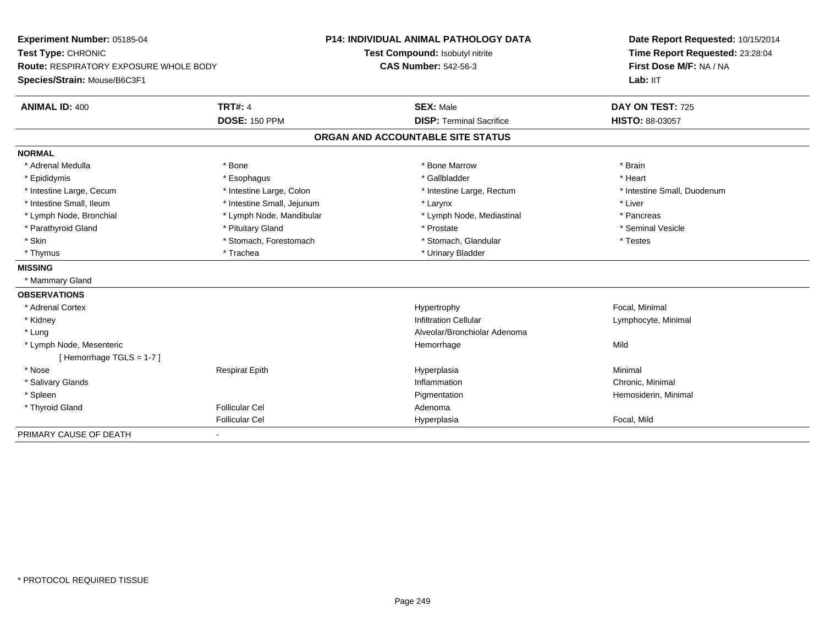| Experiment Number: 05185-04<br>Test Type: CHRONIC<br>Route: RESPIRATORY EXPOSURE WHOLE BODY |                            | <b>P14: INDIVIDUAL ANIMAL PATHOLOGY DATA</b> | Date Report Requested: 10/15/2014                          |  |
|---------------------------------------------------------------------------------------------|----------------------------|----------------------------------------------|------------------------------------------------------------|--|
|                                                                                             |                            | Test Compound: Isobutyl nitrite              | Time Report Requested: 23:28:04<br>First Dose M/F: NA / NA |  |
|                                                                                             |                            | <b>CAS Number: 542-56-3</b>                  |                                                            |  |
| Species/Strain: Mouse/B6C3F1                                                                |                            |                                              | Lab: IIT                                                   |  |
| <b>ANIMAL ID: 400</b>                                                                       | <b>TRT#: 4</b>             | <b>SEX: Male</b>                             | DAY ON TEST: 725                                           |  |
|                                                                                             | <b>DOSE: 150 PPM</b>       | <b>DISP: Terminal Sacrifice</b>              | <b>HISTO: 88-03057</b>                                     |  |
|                                                                                             |                            | ORGAN AND ACCOUNTABLE SITE STATUS            |                                                            |  |
| <b>NORMAL</b>                                                                               |                            |                                              |                                                            |  |
| * Adrenal Medulla                                                                           | * Bone                     | * Bone Marrow                                | * Brain                                                    |  |
| * Epididymis                                                                                | * Esophagus                | * Gallbladder                                | * Heart                                                    |  |
| * Intestine Large, Cecum                                                                    | * Intestine Large, Colon   | * Intestine Large, Rectum                    | * Intestine Small, Duodenum                                |  |
| * Intestine Small, Ileum                                                                    | * Intestine Small, Jejunum | * Larynx                                     | * Liver                                                    |  |
| * Lymph Node, Bronchial                                                                     | * Lymph Node, Mandibular   | * Lymph Node, Mediastinal                    | * Pancreas                                                 |  |
| * Parathyroid Gland                                                                         | * Pituitary Gland          | * Prostate                                   | * Seminal Vesicle                                          |  |
| * Skin                                                                                      | * Stomach, Forestomach     | * Stomach, Glandular                         | * Testes                                                   |  |
| * Thymus                                                                                    | * Trachea                  | * Urinary Bladder                            |                                                            |  |
| <b>MISSING</b>                                                                              |                            |                                              |                                                            |  |
| * Mammary Gland                                                                             |                            |                                              |                                                            |  |
| <b>OBSERVATIONS</b>                                                                         |                            |                                              |                                                            |  |
| * Adrenal Cortex                                                                            |                            | Hypertrophy                                  | Focal, Minimal                                             |  |
| * Kidney                                                                                    |                            | <b>Infiltration Cellular</b>                 | Lymphocyte, Minimal                                        |  |
| * Lung                                                                                      |                            | Alveolar/Bronchiolar Adenoma                 |                                                            |  |
| * Lymph Node, Mesenteric                                                                    |                            | Hemorrhage                                   | Mild                                                       |  |
| [Hemorrhage TGLS = 1-7]                                                                     |                            |                                              |                                                            |  |
| * Nose                                                                                      | <b>Respirat Epith</b>      | Hyperplasia                                  | Minimal                                                    |  |
| * Salivary Glands                                                                           |                            | Inflammation                                 | Chronic, Minimal                                           |  |
| * Spleen                                                                                    |                            | Pigmentation                                 | Hemosiderin, Minimal                                       |  |
| * Thyroid Gland                                                                             | <b>Follicular Cel</b>      | Adenoma                                      |                                                            |  |
|                                                                                             | <b>Follicular Cel</b>      | Hyperplasia                                  | Focal, Mild                                                |  |
| PRIMARY CAUSE OF DEATH                                                                      |                            |                                              |                                                            |  |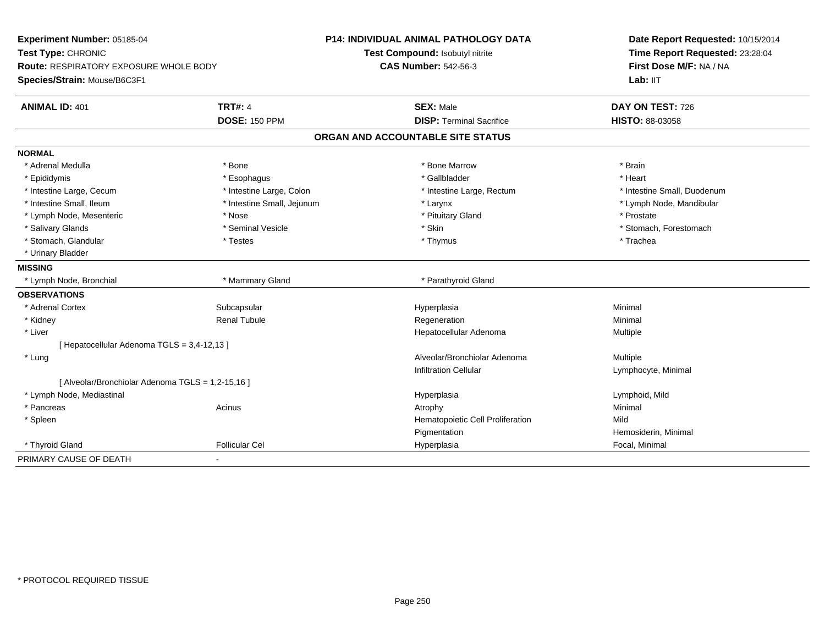| Experiment Number: 05185-04<br>Test Type: CHRONIC<br><b>Route: RESPIRATORY EXPOSURE WHOLE BODY</b> |                            | <b>P14: INDIVIDUAL ANIMAL PATHOLOGY DATA</b> |                                  | Date Report Requested: 10/15/2014 |
|----------------------------------------------------------------------------------------------------|----------------------------|----------------------------------------------|----------------------------------|-----------------------------------|
|                                                                                                    |                            | Test Compound: Isobutyl nitrite              |                                  | Time Report Requested: 23:28:04   |
|                                                                                                    |                            | <b>CAS Number: 542-56-3</b>                  |                                  | First Dose M/F: NA / NA           |
| Species/Strain: Mouse/B6C3F1                                                                       |                            |                                              |                                  | Lab: IIT                          |
| <b>ANIMAL ID: 401</b>                                                                              | <b>TRT#: 4</b>             |                                              | <b>SEX: Male</b>                 | DAY ON TEST: 726                  |
|                                                                                                    | <b>DOSE: 150 PPM</b>       |                                              | <b>DISP: Terminal Sacrifice</b>  | HISTO: 88-03058                   |
|                                                                                                    |                            | ORGAN AND ACCOUNTABLE SITE STATUS            |                                  |                                   |
| <b>NORMAL</b>                                                                                      |                            |                                              |                                  |                                   |
| * Adrenal Medulla                                                                                  | * Bone                     |                                              | * Bone Marrow                    | * Brain                           |
| * Epididymis                                                                                       | * Esophagus                |                                              | * Gallbladder                    | * Heart                           |
| * Intestine Large, Cecum                                                                           | * Intestine Large, Colon   |                                              | * Intestine Large, Rectum        | * Intestine Small, Duodenum       |
| * Intestine Small, Ileum                                                                           | * Intestine Small, Jejunum |                                              | * Larynx                         | * Lymph Node, Mandibular          |
| * Lymph Node, Mesenteric                                                                           | * Nose                     |                                              | * Pituitary Gland                | * Prostate                        |
| * Salivary Glands                                                                                  | * Seminal Vesicle          |                                              | * Skin                           | * Stomach, Forestomach            |
| * Stomach, Glandular                                                                               | * Testes                   |                                              | * Thymus                         | * Trachea                         |
| * Urinary Bladder                                                                                  |                            |                                              |                                  |                                   |
| <b>MISSING</b>                                                                                     |                            |                                              |                                  |                                   |
| * Lymph Node, Bronchial                                                                            | * Mammary Gland            |                                              | * Parathyroid Gland              |                                   |
| <b>OBSERVATIONS</b>                                                                                |                            |                                              |                                  |                                   |
| * Adrenal Cortex                                                                                   | Subcapsular                |                                              | Hyperplasia                      | Minimal                           |
| * Kidney                                                                                           | <b>Renal Tubule</b>        |                                              | Regeneration                     | Minimal                           |
| * Liver                                                                                            |                            |                                              | Hepatocellular Adenoma           | Multiple                          |
| [ Hepatocellular Adenoma TGLS = 3,4-12,13 ]                                                        |                            |                                              |                                  |                                   |
| * Lung                                                                                             |                            |                                              | Alveolar/Bronchiolar Adenoma     | Multiple                          |
|                                                                                                    |                            |                                              | <b>Infiltration Cellular</b>     | Lymphocyte, Minimal               |
| [ Alveolar/Bronchiolar Adenoma TGLS = 1,2-15,16 ]                                                  |                            |                                              |                                  |                                   |
| * Lymph Node, Mediastinal                                                                          |                            |                                              | Hyperplasia                      | Lymphoid, Mild                    |
| * Pancreas                                                                                         | Acinus                     | Atrophy                                      |                                  | Minimal                           |
| * Spleen                                                                                           |                            |                                              | Hematopoietic Cell Proliferation | Mild                              |
|                                                                                                    |                            |                                              | Pigmentation                     | Hemosiderin, Minimal              |
| * Thyroid Gland                                                                                    | <b>Follicular Cel</b>      |                                              | Hyperplasia                      | Focal, Minimal                    |
| PRIMARY CAUSE OF DEATH                                                                             |                            |                                              |                                  |                                   |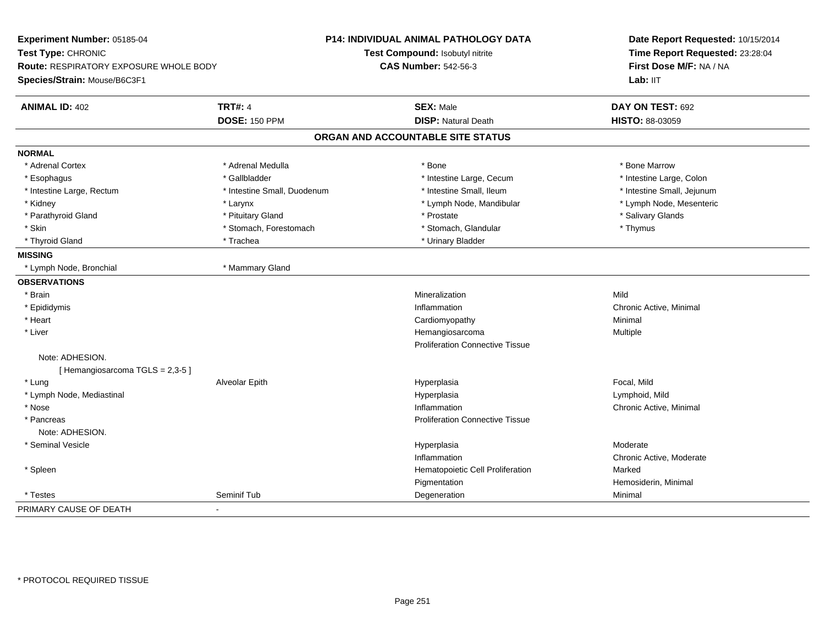| Experiment Number: 05185-04                   |                             | P14: INDIVIDUAL ANIMAL PATHOLOGY DATA  | Date Report Requested: 10/15/2014<br>Time Report Requested: 23:28:04<br>First Dose M/F: NA / NA<br>Lab: IIT |  |
|-----------------------------------------------|-----------------------------|----------------------------------------|-------------------------------------------------------------------------------------------------------------|--|
| Test Type: CHRONIC                            |                             | Test Compound: Isobutyl nitrite        |                                                                                                             |  |
| <b>Route: RESPIRATORY EXPOSURE WHOLE BODY</b> |                             | <b>CAS Number: 542-56-3</b>            |                                                                                                             |  |
| Species/Strain: Mouse/B6C3F1                  |                             |                                        |                                                                                                             |  |
| <b>ANIMAL ID: 402</b>                         | <b>TRT#: 4</b>              | <b>SEX: Male</b>                       | DAY ON TEST: 692                                                                                            |  |
|                                               | <b>DOSE: 150 PPM</b>        | <b>DISP: Natural Death</b>             | HISTO: 88-03059                                                                                             |  |
|                                               |                             | ORGAN AND ACCOUNTABLE SITE STATUS      |                                                                                                             |  |
| <b>NORMAL</b>                                 |                             |                                        |                                                                                                             |  |
| * Adrenal Cortex                              | * Adrenal Medulla           | * Bone                                 | * Bone Marrow                                                                                               |  |
| * Esophagus                                   | * Gallbladder               | * Intestine Large, Cecum               | * Intestine Large, Colon                                                                                    |  |
| * Intestine Large, Rectum                     | * Intestine Small, Duodenum | * Intestine Small, Ileum               | * Intestine Small, Jejunum                                                                                  |  |
| * Kidney                                      | * Larynx                    | * Lymph Node, Mandibular               | * Lymph Node, Mesenteric                                                                                    |  |
| * Parathyroid Gland                           | * Pituitary Gland           | * Prostate                             | * Salivary Glands                                                                                           |  |
| * Skin                                        | * Stomach, Forestomach      | * Stomach, Glandular                   | * Thymus                                                                                                    |  |
| * Thyroid Gland                               | * Trachea                   | * Urinary Bladder                      |                                                                                                             |  |
| <b>MISSING</b>                                |                             |                                        |                                                                                                             |  |
| * Lymph Node, Bronchial                       | * Mammary Gland             |                                        |                                                                                                             |  |
| <b>OBSERVATIONS</b>                           |                             |                                        |                                                                                                             |  |
| * Brain                                       |                             | Mineralization                         | Mild                                                                                                        |  |
| * Epididymis                                  |                             | Inflammation                           | Chronic Active, Minimal                                                                                     |  |
| * Heart                                       |                             | Cardiomyopathy                         | Minimal                                                                                                     |  |
| * Liver                                       |                             | Hemangiosarcoma                        | Multiple                                                                                                    |  |
|                                               |                             | <b>Proliferation Connective Tissue</b> |                                                                                                             |  |
| Note: ADHESION.                               |                             |                                        |                                                                                                             |  |
| [Hemangiosarcoma TGLS = 2,3-5]                |                             |                                        |                                                                                                             |  |
| * Lung                                        | Alveolar Epith              | Hyperplasia                            | Focal, Mild                                                                                                 |  |
| * Lymph Node, Mediastinal                     |                             | Hyperplasia                            | Lymphoid, Mild                                                                                              |  |
| * Nose                                        |                             | Inflammation                           | Chronic Active, Minimal                                                                                     |  |
| * Pancreas                                    |                             | <b>Proliferation Connective Tissue</b> |                                                                                                             |  |
| Note: ADHESION.                               |                             |                                        |                                                                                                             |  |
| * Seminal Vesicle                             |                             | Hyperplasia                            | Moderate                                                                                                    |  |
|                                               |                             | Inflammation                           | Chronic Active, Moderate                                                                                    |  |
| * Spleen                                      |                             | Hematopoietic Cell Proliferation       | Marked                                                                                                      |  |
|                                               |                             | Pigmentation                           | Hemosiderin, Minimal                                                                                        |  |
| * Testes                                      | Seminif Tub                 | Degeneration                           | Minimal                                                                                                     |  |
| PRIMARY CAUSE OF DEATH                        | $\blacksquare$              |                                        |                                                                                                             |  |
|                                               |                             |                                        |                                                                                                             |  |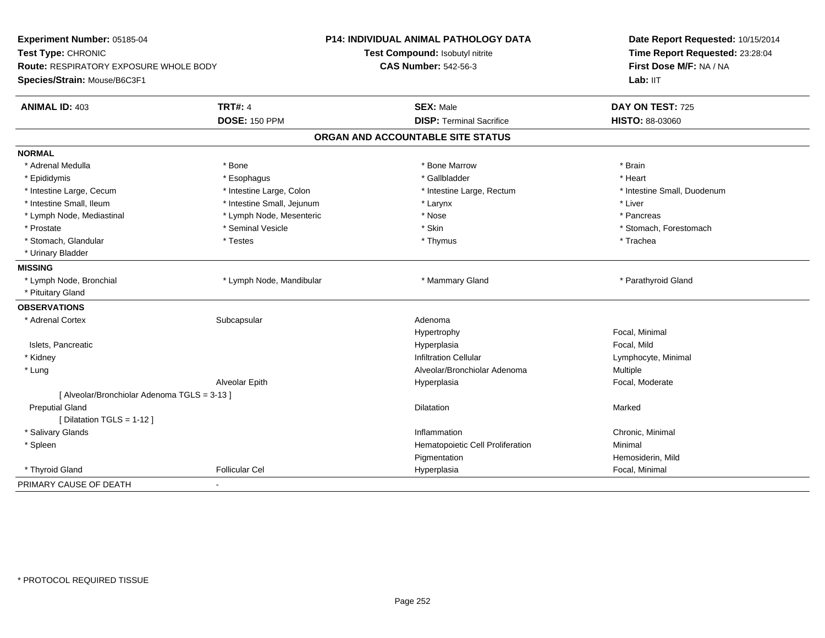| Experiment Number: 05185-04<br>Test Type: CHRONIC<br><b>Route: RESPIRATORY EXPOSURE WHOLE BODY</b><br>Species/Strain: Mouse/B6C3F1 | <b>P14: INDIVIDUAL ANIMAL PATHOLOGY DATA</b><br>Test Compound: Isobutyl nitrite<br><b>CAS Number: 542-56-3</b> | Date Report Requested: 10/15/2014<br>Time Report Requested: 23:28:04<br>First Dose M/F: NA / NA<br>Lab: IIT |
|------------------------------------------------------------------------------------------------------------------------------------|----------------------------------------------------------------------------------------------------------------|-------------------------------------------------------------------------------------------------------------|
| <b>TRT#: 4</b><br><b>ANIMAL ID: 403</b>                                                                                            | <b>SEX: Male</b>                                                                                               | DAY ON TEST: 725                                                                                            |
| <b>DOSE: 150 PPM</b>                                                                                                               | <b>DISP: Terminal Sacrifice</b>                                                                                | HISTO: 88-03060                                                                                             |
|                                                                                                                                    | ORGAN AND ACCOUNTABLE SITE STATUS                                                                              |                                                                                                             |
| <b>NORMAL</b>                                                                                                                      |                                                                                                                |                                                                                                             |
| * Adrenal Medulla<br>* Bone                                                                                                        | * Bone Marrow                                                                                                  | * Brain                                                                                                     |
| * Esophagus<br>* Epididymis                                                                                                        | * Gallbladder                                                                                                  | * Heart                                                                                                     |
| * Intestine Large, Colon<br>* Intestine Large, Cecum                                                                               | * Intestine Large, Rectum                                                                                      | * Intestine Small, Duodenum                                                                                 |
| * Intestine Small. Ileum<br>* Intestine Small, Jejunum                                                                             | * Larynx                                                                                                       | * Liver                                                                                                     |
| * Lymph Node, Mesenteric<br>* Lymph Node, Mediastinal                                                                              | * Nose                                                                                                         | * Pancreas                                                                                                  |
| * Seminal Vesicle<br>* Prostate                                                                                                    | * Skin                                                                                                         | * Stomach, Forestomach                                                                                      |
| * Stomach, Glandular<br>* Testes                                                                                                   | * Thymus                                                                                                       | * Trachea                                                                                                   |
| * Urinary Bladder                                                                                                                  |                                                                                                                |                                                                                                             |
| <b>MISSING</b>                                                                                                                     |                                                                                                                |                                                                                                             |
| * Lymph Node, Bronchial<br>* Lymph Node, Mandibular                                                                                | * Mammary Gland                                                                                                | * Parathyroid Gland                                                                                         |
| * Pituitary Gland                                                                                                                  |                                                                                                                |                                                                                                             |
| <b>OBSERVATIONS</b>                                                                                                                |                                                                                                                |                                                                                                             |
| * Adrenal Cortex<br>Subcapsular                                                                                                    | Adenoma                                                                                                        |                                                                                                             |
|                                                                                                                                    | Hypertrophy                                                                                                    | Focal, Minimal                                                                                              |
| Islets, Pancreatic                                                                                                                 | Hyperplasia                                                                                                    | Focal, Mild                                                                                                 |
| * Kidney                                                                                                                           | <b>Infiltration Cellular</b>                                                                                   | Lymphocyte, Minimal                                                                                         |
| * Lung                                                                                                                             | Alveolar/Bronchiolar Adenoma                                                                                   | Multiple                                                                                                    |
| Alveolar Epith                                                                                                                     | Hyperplasia                                                                                                    | Focal, Moderate                                                                                             |
| [ Alveolar/Bronchiolar Adenoma TGLS = 3-13 ]                                                                                       |                                                                                                                |                                                                                                             |
| <b>Preputial Gland</b>                                                                                                             | <b>Dilatation</b>                                                                                              | Marked                                                                                                      |
| [ Dilatation TGLS = 1-12 ]                                                                                                         |                                                                                                                |                                                                                                             |
| * Salivary Glands                                                                                                                  | Inflammation                                                                                                   | Chronic, Minimal                                                                                            |
| * Spleen                                                                                                                           | Hematopoietic Cell Proliferation                                                                               | Minimal                                                                                                     |
|                                                                                                                                    | Pigmentation                                                                                                   | Hemosiderin, Mild                                                                                           |
| * Thyroid Gland<br><b>Follicular Cel</b>                                                                                           | Hyperplasia                                                                                                    | Focal, Minimal                                                                                              |
| PRIMARY CAUSE OF DEATH<br>$\blacksquare$                                                                                           |                                                                                                                |                                                                                                             |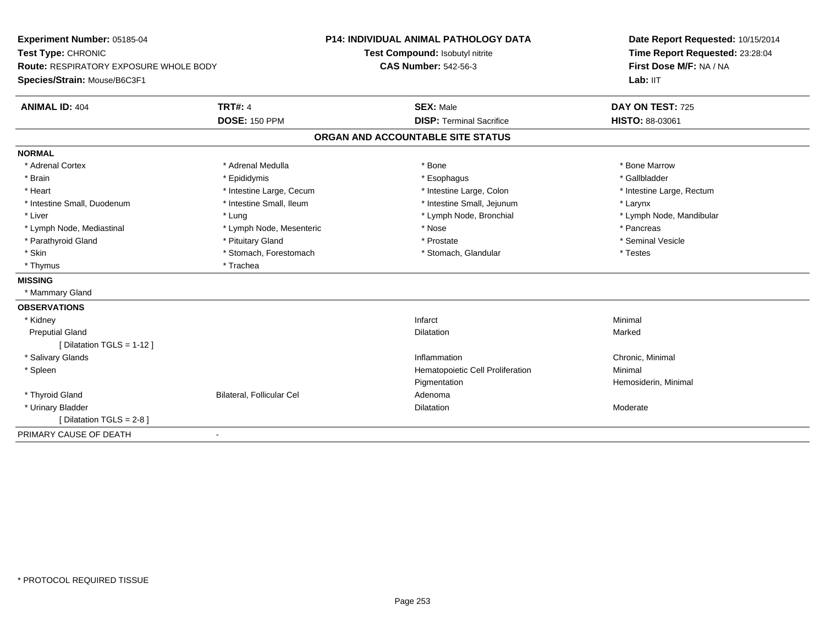| Experiment Number: 05185-04<br>Test Type: CHRONIC<br>Route: RESPIRATORY EXPOSURE WHOLE BODY |                           | <b>P14: INDIVIDUAL ANIMAL PATHOLOGY DATA</b> | Date Report Requested: 10/15/2014<br>Time Report Requested: 23:28:04<br>First Dose M/F: NA / NA |
|---------------------------------------------------------------------------------------------|---------------------------|----------------------------------------------|-------------------------------------------------------------------------------------------------|
|                                                                                             |                           | Test Compound: Isobutyl nitrite              |                                                                                                 |
|                                                                                             |                           | <b>CAS Number: 542-56-3</b>                  |                                                                                                 |
| Species/Strain: Mouse/B6C3F1                                                                |                           |                                              | Lab: IIT                                                                                        |
| <b>ANIMAL ID: 404</b>                                                                       | <b>TRT#: 4</b>            | <b>SEX: Male</b>                             | DAY ON TEST: 725                                                                                |
|                                                                                             | <b>DOSE: 150 PPM</b>      | <b>DISP: Terminal Sacrifice</b>              | HISTO: 88-03061                                                                                 |
|                                                                                             |                           | ORGAN AND ACCOUNTABLE SITE STATUS            |                                                                                                 |
| <b>NORMAL</b>                                                                               |                           |                                              |                                                                                                 |
| * Adrenal Cortex                                                                            | * Adrenal Medulla         | * Bone                                       | * Bone Marrow                                                                                   |
| * Brain                                                                                     | * Epididymis              | * Esophagus                                  | * Gallbladder                                                                                   |
| * Heart                                                                                     | * Intestine Large, Cecum  | * Intestine Large, Colon                     | * Intestine Large, Rectum                                                                       |
| * Intestine Small, Duodenum                                                                 | * Intestine Small, Ileum  | * Intestine Small, Jejunum                   | * Larynx                                                                                        |
| * Liver                                                                                     | * Lung                    | * Lymph Node, Bronchial                      | * Lymph Node, Mandibular                                                                        |
| * Lymph Node, Mediastinal                                                                   | * Lymph Node, Mesenteric  | * Nose                                       | * Pancreas                                                                                      |
| * Parathyroid Gland                                                                         | * Pituitary Gland         | * Prostate                                   | * Seminal Vesicle                                                                               |
| * Skin                                                                                      | * Stomach, Forestomach    | * Stomach, Glandular                         | * Testes                                                                                        |
| * Thymus                                                                                    | * Trachea                 |                                              |                                                                                                 |
| <b>MISSING</b>                                                                              |                           |                                              |                                                                                                 |
| * Mammary Gland                                                                             |                           |                                              |                                                                                                 |
| <b>OBSERVATIONS</b>                                                                         |                           |                                              |                                                                                                 |
| * Kidney                                                                                    |                           | Infarct                                      | Minimal                                                                                         |
| <b>Preputial Gland</b>                                                                      |                           | <b>Dilatation</b>                            | Marked                                                                                          |
| [ Dilatation TGLS = $1-12$ ]                                                                |                           |                                              |                                                                                                 |
| * Salivary Glands                                                                           |                           | Inflammation                                 | Chronic, Minimal                                                                                |
| * Spleen                                                                                    |                           | Hematopoietic Cell Proliferation             | Minimal                                                                                         |
|                                                                                             |                           | Pigmentation                                 | Hemosiderin, Minimal                                                                            |
| * Thyroid Gland                                                                             | Bilateral, Follicular Cel | Adenoma                                      |                                                                                                 |
| * Urinary Bladder                                                                           |                           | Dilatation                                   | Moderate                                                                                        |
| [ Dilatation TGLS = 2-8 ]                                                                   |                           |                                              |                                                                                                 |
| PRIMARY CAUSE OF DEATH                                                                      | $\blacksquare$            |                                              |                                                                                                 |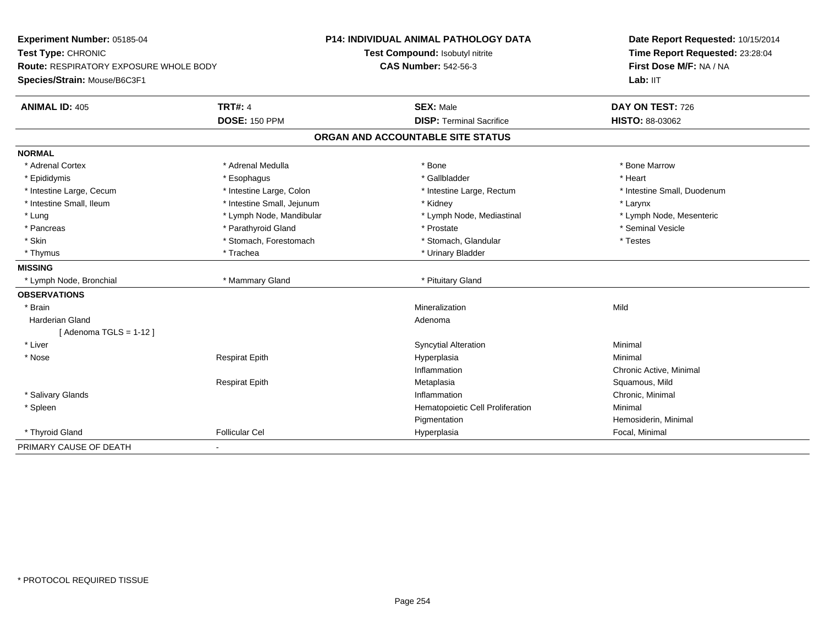| Experiment Number: 05185-04            |                            | <b>P14: INDIVIDUAL ANIMAL PATHOLOGY DATA</b> | Date Report Requested: 10/15/2014<br>Time Report Requested: 23:28:04<br>First Dose M/F: NA / NA |
|----------------------------------------|----------------------------|----------------------------------------------|-------------------------------------------------------------------------------------------------|
| Test Type: CHRONIC                     |                            | Test Compound: Isobutyl nitrite              |                                                                                                 |
| Route: RESPIRATORY EXPOSURE WHOLE BODY |                            | <b>CAS Number: 542-56-3</b>                  |                                                                                                 |
| Species/Strain: Mouse/B6C3F1           |                            |                                              | Lab: IIT                                                                                        |
| <b>ANIMAL ID: 405</b>                  | <b>TRT#: 4</b>             | <b>SEX: Male</b>                             | DAY ON TEST: 726                                                                                |
|                                        | <b>DOSE: 150 PPM</b>       | <b>DISP: Terminal Sacrifice</b>              | HISTO: 88-03062                                                                                 |
|                                        |                            | ORGAN AND ACCOUNTABLE SITE STATUS            |                                                                                                 |
| <b>NORMAL</b>                          |                            |                                              |                                                                                                 |
| * Adrenal Cortex                       | * Adrenal Medulla          | * Bone                                       | * Bone Marrow                                                                                   |
| * Epididymis                           | * Esophagus                | * Gallbladder                                | * Heart                                                                                         |
| * Intestine Large, Cecum               | * Intestine Large, Colon   | * Intestine Large, Rectum                    | * Intestine Small, Duodenum                                                                     |
| * Intestine Small, Ileum               | * Intestine Small, Jejunum | * Kidney                                     | * Larynx                                                                                        |
| * Lung                                 | * Lymph Node, Mandibular   | * Lymph Node, Mediastinal                    | * Lymph Node, Mesenteric                                                                        |
| * Pancreas                             | * Parathyroid Gland        | * Prostate                                   | * Seminal Vesicle                                                                               |
| * Skin                                 | * Stomach, Forestomach     | * Stomach, Glandular                         | * Testes                                                                                        |
| * Thymus                               | * Trachea                  | * Urinary Bladder                            |                                                                                                 |
| <b>MISSING</b>                         |                            |                                              |                                                                                                 |
| * Lymph Node, Bronchial                | * Mammary Gland            | * Pituitary Gland                            |                                                                                                 |
| <b>OBSERVATIONS</b>                    |                            |                                              |                                                                                                 |
| * Brain                                |                            | Mineralization                               | Mild                                                                                            |
| <b>Harderian Gland</b>                 |                            | Adenoma                                      |                                                                                                 |
| [Adenoma TGLS = $1-12$ ]               |                            |                                              |                                                                                                 |
| * Liver                                |                            | <b>Syncytial Alteration</b>                  | Minimal                                                                                         |
| * Nose                                 | <b>Respirat Epith</b>      | Hyperplasia                                  | Minimal                                                                                         |
|                                        |                            | Inflammation                                 | Chronic Active, Minimal                                                                         |
|                                        | <b>Respirat Epith</b>      | Metaplasia                                   | Squamous, Mild                                                                                  |
| * Salivary Glands                      |                            | Inflammation                                 | Chronic, Minimal                                                                                |
| * Spleen                               |                            | Hematopoietic Cell Proliferation             | Minimal                                                                                         |
|                                        |                            | Pigmentation                                 | Hemosiderin, Minimal                                                                            |
| * Thyroid Gland                        | <b>Follicular Cel</b>      | Hyperplasia                                  | Focal, Minimal                                                                                  |
| PRIMARY CAUSE OF DEATH                 |                            |                                              |                                                                                                 |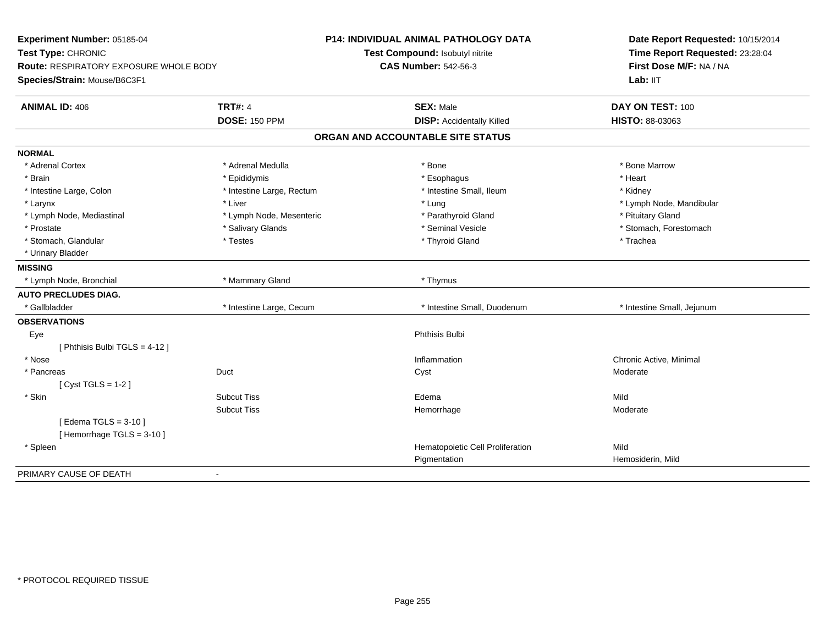| Experiment Number: 05185-04<br>Test Type: CHRONIC<br><b>Route: RESPIRATORY EXPOSURE WHOLE BODY</b><br>Species/Strain: Mouse/B6C3F1 |                           | <b>P14: INDIVIDUAL ANIMAL PATHOLOGY DATA</b><br>Test Compound: Isobutyl nitrite<br><b>CAS Number: 542-56-3</b> | Date Report Requested: 10/15/2014<br>Time Report Requested: 23:28:04<br>First Dose M/F: NA / NA<br>Lab: IIT |
|------------------------------------------------------------------------------------------------------------------------------------|---------------------------|----------------------------------------------------------------------------------------------------------------|-------------------------------------------------------------------------------------------------------------|
| <b>ANIMAL ID: 406</b>                                                                                                              | <b>TRT#: 4</b>            | <b>SEX: Male</b>                                                                                               | DAY ON TEST: 100                                                                                            |
|                                                                                                                                    | <b>DOSE: 150 PPM</b>      | <b>DISP: Accidentally Killed</b>                                                                               | HISTO: 88-03063                                                                                             |
|                                                                                                                                    |                           | ORGAN AND ACCOUNTABLE SITE STATUS                                                                              |                                                                                                             |
| <b>NORMAL</b>                                                                                                                      |                           |                                                                                                                |                                                                                                             |
| * Adrenal Cortex                                                                                                                   | * Adrenal Medulla         | * Bone                                                                                                         | * Bone Marrow                                                                                               |
| * Brain                                                                                                                            | * Epididymis              | * Esophagus                                                                                                    | * Heart                                                                                                     |
| * Intestine Large, Colon                                                                                                           | * Intestine Large, Rectum | * Intestine Small, Ileum                                                                                       | * Kidney                                                                                                    |
| * Larynx                                                                                                                           | * Liver                   | * Lung                                                                                                         | * Lymph Node, Mandibular                                                                                    |
| * Lymph Node, Mediastinal                                                                                                          | * Lymph Node, Mesenteric  | * Parathyroid Gland                                                                                            | * Pituitary Gland                                                                                           |
| * Prostate                                                                                                                         | * Salivary Glands         | * Seminal Vesicle                                                                                              | * Stomach, Forestomach                                                                                      |
| * Stomach, Glandular                                                                                                               | * Testes                  | * Thyroid Gland                                                                                                | * Trachea                                                                                                   |
| * Urinary Bladder                                                                                                                  |                           |                                                                                                                |                                                                                                             |
| <b>MISSING</b>                                                                                                                     |                           |                                                                                                                |                                                                                                             |
| * Lymph Node, Bronchial                                                                                                            | * Mammary Gland           | * Thymus                                                                                                       |                                                                                                             |
| <b>AUTO PRECLUDES DIAG.</b>                                                                                                        |                           |                                                                                                                |                                                                                                             |
| * Gallbladder                                                                                                                      | * Intestine Large, Cecum  | * Intestine Small, Duodenum                                                                                    | * Intestine Small, Jejunum                                                                                  |
| <b>OBSERVATIONS</b>                                                                                                                |                           |                                                                                                                |                                                                                                             |
| Eye                                                                                                                                |                           | Phthisis Bulbi                                                                                                 |                                                                                                             |
| [ Phthisis Bulbi TGLS = 4-12 ]                                                                                                     |                           |                                                                                                                |                                                                                                             |
| * Nose                                                                                                                             |                           | Inflammation                                                                                                   | Chronic Active, Minimal                                                                                     |
| * Pancreas<br>Duct                                                                                                                 |                           | Cyst                                                                                                           | Moderate                                                                                                    |
| [Cyst TGLS = $1-2$ ]                                                                                                               |                           |                                                                                                                |                                                                                                             |
| * Skin                                                                                                                             | <b>Subcut Tiss</b>        | Edema                                                                                                          | Mild                                                                                                        |
|                                                                                                                                    | <b>Subcut Tiss</b>        | Hemorrhage                                                                                                     | Moderate                                                                                                    |
| [Edema TGLS = $3-10$ ]                                                                                                             |                           |                                                                                                                |                                                                                                             |
| [Hemorrhage TGLS = $3-10$ ]                                                                                                        |                           |                                                                                                                |                                                                                                             |
| * Spleen                                                                                                                           |                           | Hematopoietic Cell Proliferation                                                                               | Mild                                                                                                        |
|                                                                                                                                    |                           | Pigmentation                                                                                                   | Hemosiderin, Mild                                                                                           |
| PRIMARY CAUSE OF DEATH<br>$\blacksquare$                                                                                           |                           |                                                                                                                |                                                                                                             |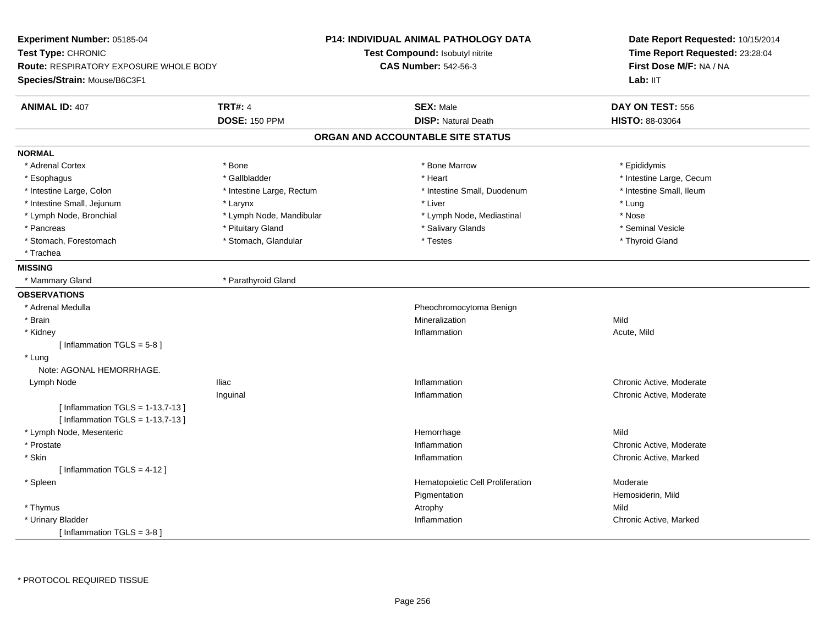| Experiment Number: 05185-04                   |                           | <b>P14: INDIVIDUAL ANIMAL PATHOLOGY DATA</b> | Date Report Requested: 10/15/2014<br>Time Report Requested: 23:28:04 |  |
|-----------------------------------------------|---------------------------|----------------------------------------------|----------------------------------------------------------------------|--|
| Test Type: CHRONIC                            |                           | Test Compound: Isobutyl nitrite              |                                                                      |  |
| <b>Route: RESPIRATORY EXPOSURE WHOLE BODY</b> |                           | <b>CAS Number: 542-56-3</b>                  | First Dose M/F: NA / NA                                              |  |
| Species/Strain: Mouse/B6C3F1                  |                           |                                              | Lab: IIT                                                             |  |
| <b>ANIMAL ID: 407</b>                         | <b>TRT#: 4</b>            | <b>SEX: Male</b>                             | DAY ON TEST: 556                                                     |  |
|                                               | <b>DOSE: 150 PPM</b>      | <b>DISP: Natural Death</b>                   | HISTO: 88-03064                                                      |  |
|                                               |                           | ORGAN AND ACCOUNTABLE SITE STATUS            |                                                                      |  |
| <b>NORMAL</b>                                 |                           |                                              |                                                                      |  |
| * Adrenal Cortex                              | * Bone                    | * Bone Marrow                                | * Epididymis                                                         |  |
| * Esophagus                                   | * Gallbladder             | * Heart                                      | * Intestine Large, Cecum                                             |  |
| * Intestine Large, Colon                      | * Intestine Large, Rectum | * Intestine Small, Duodenum                  | * Intestine Small, Ileum                                             |  |
| * Intestine Small, Jejunum                    | * Larynx                  | * Liver                                      | * Lung                                                               |  |
| * Lymph Node, Bronchial                       | * Lymph Node, Mandibular  | * Lymph Node, Mediastinal                    | * Nose                                                               |  |
| * Pancreas                                    | * Pituitary Gland         | * Salivary Glands                            | * Seminal Vesicle                                                    |  |
| * Stomach, Forestomach                        | * Stomach, Glandular      | * Testes                                     | * Thyroid Gland                                                      |  |
| * Trachea                                     |                           |                                              |                                                                      |  |
| <b>MISSING</b>                                |                           |                                              |                                                                      |  |
| * Mammary Gland                               | * Parathyroid Gland       |                                              |                                                                      |  |
| <b>OBSERVATIONS</b>                           |                           |                                              |                                                                      |  |
| * Adrenal Medulla                             |                           | Pheochromocytoma Benign                      |                                                                      |  |
| * Brain                                       |                           | Mineralization                               | Mild                                                                 |  |
| * Kidney                                      |                           | Inflammation                                 | Acute, Mild                                                          |  |
| [Inflammation TGLS = $5-8$ ]                  |                           |                                              |                                                                      |  |
| * Lung                                        |                           |                                              |                                                                      |  |
| Note: AGONAL HEMORRHAGE.                      |                           |                                              |                                                                      |  |
| Lymph Node                                    | <b>Iliac</b>              | Inflammation                                 | Chronic Active, Moderate                                             |  |
|                                               | Inguinal                  | Inflammation                                 | Chronic Active, Moderate                                             |  |
| [Inflammation TGLS = $1-13,7-13$ ]            |                           |                                              |                                                                      |  |
| [Inflammation TGLS = $1-13,7-13$ ]            |                           |                                              |                                                                      |  |
| * Lymph Node, Mesenteric                      |                           | Hemorrhage                                   | Mild                                                                 |  |
| * Prostate                                    |                           | Inflammation                                 | Chronic Active, Moderate                                             |  |
| * Skin                                        |                           | Inflammation                                 | Chronic Active, Marked                                               |  |
| [Inflammation TGLS = $4-12$ ]                 |                           |                                              |                                                                      |  |
| * Spleen                                      |                           | Hematopoietic Cell Proliferation             | Moderate                                                             |  |
|                                               |                           | Pigmentation                                 | Hemosiderin, Mild                                                    |  |
| * Thymus                                      |                           | Atrophy                                      | Mild                                                                 |  |
| * Urinary Bladder                             |                           | Inflammation                                 | Chronic Active, Marked                                               |  |
| [Inflammation TGLS = $3-8$ ]                  |                           |                                              |                                                                      |  |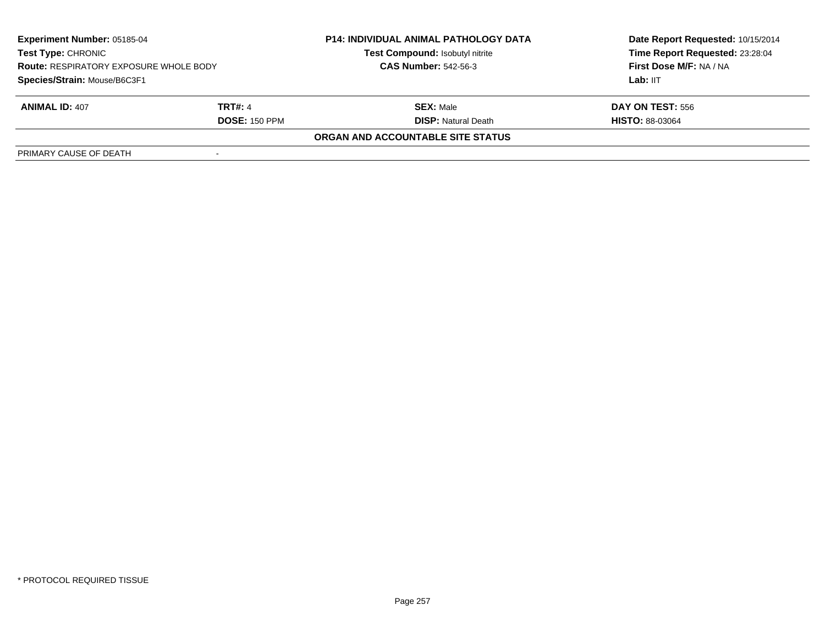| <b>Experiment Number: 05185-04</b><br><b>Test Type: CHRONIC</b><br><b>Route: RESPIRATORY EXPOSURE WHOLE BODY</b> |                      | <b>P14: INDIVIDUAL ANIMAL PATHOLOGY DATA</b> | Date Report Requested: 10/15/2014 |
|------------------------------------------------------------------------------------------------------------------|----------------------|----------------------------------------------|-----------------------------------|
|                                                                                                                  |                      | Test Compound: Isobutyl nitrite              | Time Report Requested: 23:28:04   |
|                                                                                                                  |                      | <b>CAS Number: 542-56-3</b>                  | <b>First Dose M/F: NA / NA</b>    |
| Species/Strain: Mouse/B6C3F1                                                                                     |                      |                                              | Lab: IIT                          |
| <b>ANIMAL ID: 407</b>                                                                                            | <b>TRT#: 4</b>       | <b>SEX: Male</b>                             | <b>DAY ON TEST: 556</b>           |
|                                                                                                                  | <b>DOSE: 150 PPM</b> | <b>DISP:</b> Natural Death                   | <b>HISTO: 88-03064</b>            |
|                                                                                                                  |                      | ORGAN AND ACCOUNTABLE SITE STATUS            |                                   |
| PRIMARY CAUSE OF DEATH                                                                                           |                      |                                              |                                   |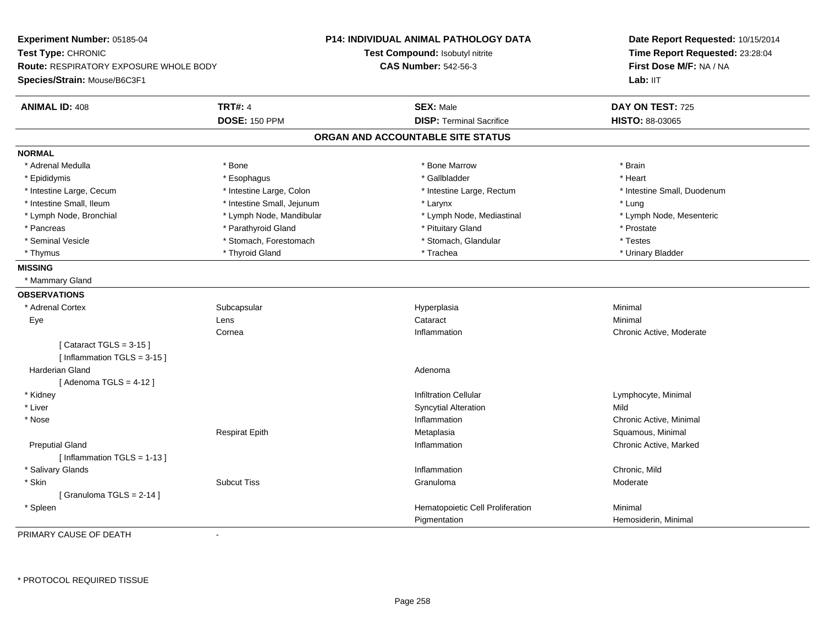**Experiment Number:** 05185-04**Test Type:** CHRONIC **Route:** RESPIRATORY EXPOSURE WHOLE BODY**Species/Strain:** Mouse/B6C3F1**P14: INDIVIDUAL ANIMAL PATHOLOGY DATATest Compound:** Isobutyl nitrite**CAS Number:** 542-56-3**Date Report Requested:** 10/15/2014**Time Report Requested:** 23:28:04**First Dose M/F:** NA / NALab: IIT **ANIMAL ID:** 408**TRT#:** 4 **SEX:** Male **SEX:** Male **DAY ON TEST:** 725 **DOSE:** 150 PPM**DISP:** Terminal Sacrifice **HISTO:** 88-03065 **ORGAN AND ACCOUNTABLE SITE STATUSNORMAL**\* Adrenal Medulla \* \* Annual Medulla \* Brain \* Bone \* \* Bone Marrow \* Bone Marrow \* \* Brain \* Brain \* Brain \* Brain \* Brain \* Brain \* Brain \* Brain \* Brain \* Brain \* Brain \* Brain \* Brain \* Brain \* Brain \* Brain \* Brain \* \* Heart \* Epididymis \* Esophagus \* Gallbladder \* Heart \* Intestine Large, Cecum \* Intestine Large, Colon \* Intestine Large, Rectum \* Intestine Small, Duodenum\* Intestine Small, Ileum \* https://www.farestine Small, Jejunum \* Marchivestine Theorytonic state of the testine Small, Jejunum \* Larynx \* Marchivestine Small, Jejunum \* Larynx \* Larynx \* Larynx \* Larynx \* Larynx \* Larynx \* Lymph Node, Mesenteric \* Lymph Node, Bronchial \* Lymph Node, Mandibular \* Lymph Node, Mediastinal \* Lymph Node, Mediastinal \* Pancreas \* Parathyroid Gland \* Parathyroid Gland \* Prostate \* Prostate \* Prostate \* Prostate \* Prostate \* Prostate \* Testes \* Seminal Vesicle \* Stomach, Forestomach \* Stomach \* Stomach \* Stomach \* Stomach, Glandular \* Urinary Bladder \* Thymus \* Thyroid Gland \* Trachea \* Urinary Bladder \* **MISSING** \* Mammary Gland**OBSERVATIONS** \* Adrenal Cortexx Subcapsular Subcapsular Subsets and Hyperplasia a **Minimal**  Eye Lens Cataract Minimal Cornea Inflammation Chronic Active, Moderate  $[$  Cataract TGLS = 3-15  $]$ [ Inflammation TGLS = 3-15 ] Harderian Glandd and a state of the control of the control of the control of the control of the control of the control of the control of the control of the control of the control of the control of the control of the control of the contro  $[$  Adenoma TGLS = 4-12  $]$  \* Kidneyy with the contract of the contract of the contract of the contract of the contract of the contract of the contract of  $\mathsf{Lymphocyte}$ , Minimal \* Liver Syncytial Alterationn Mild \* Nosee the contraction of the contraction of the contraction of the contraction of the contraction of  $\alpha$  Chronic Active, Minimal of the contraction of the contraction of the contraction of the contraction of the contraction o Respirat Epith Metaplasia Squamous, Minimal Preputial Glandd the controller controller controller that the controller controller controller controller controller controller controller controller controller controller controller controller controller controller controller controlle [ Inflammation TGLS = 1-13 ] \* Salivary Glandss and the contract of the contract of the contract of the contract of the contract of the contract of the contract of the contract of the contract of the contract of the contract of the contract of the contract of the cont Inflammation **Example 2018** Chronic, Mild<br>Granuloma **Chronic, Mild**  \* Skinn and the Subcut Tiss the Subset of the Subcut Tiss and the Subset of the Subset of the Subset of Granuloma and the Moderate Moderate of the Subset of the Subset of the Subset of the Subset of the Subset of the Subset of t [ Granuloma TGLS = 2-14 ] \* SpleenHematopoietic Cell Proliferation Minimal PigmentationHemosiderin, Minimal

PRIMARY CAUSE OF DEATH-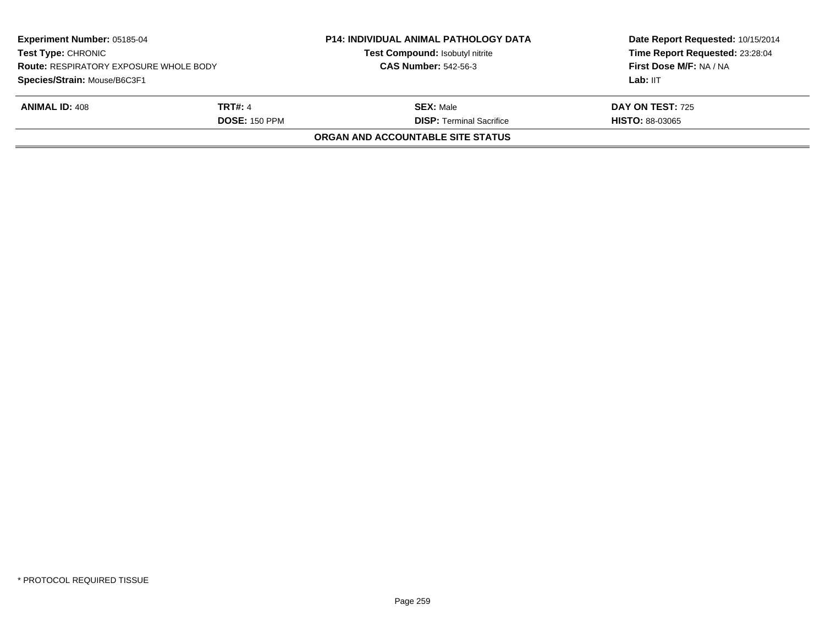|                      | <b>P14: INDIVIDUAL ANIMAL PATHOLOGY DATA</b><br>Test Compound: Isobutyl nitrite | Date Report Requested: 10/15/2014<br>Time Report Requested: 23:28:04<br>First Dose M/F: NA / NA |
|----------------------|---------------------------------------------------------------------------------|-------------------------------------------------------------------------------------------------|
|                      |                                                                                 | Lab: IIT                                                                                        |
| <b>TRT#: 4</b>       | <b>SEX: Male</b>                                                                | <b>DAY ON TEST: 725</b>                                                                         |
| <b>DOSE: 150 PPM</b> | <b>DISP: Terminal Sacrifice</b>                                                 | <b>HISTO: 88-03065</b>                                                                          |
|                      | ORGAN AND ACCOUNTABLE SITE STATUS                                               |                                                                                                 |
|                      | <b>Route: RESPIRATORY EXPOSURE WHOLE BODY</b>                                   | <b>CAS Number: 542-56-3</b>                                                                     |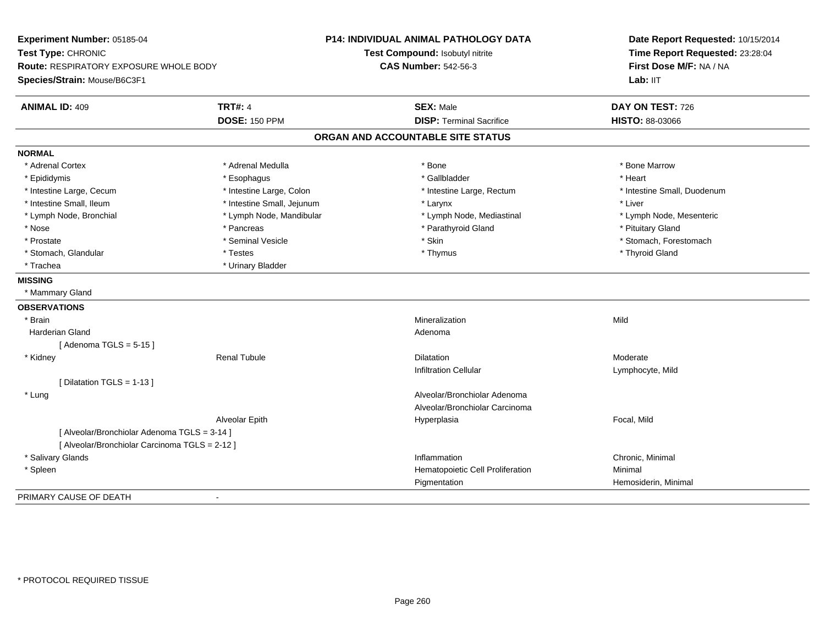| Experiment Number: 05185-04                    |                            | <b>P14: INDIVIDUAL ANIMAL PATHOLOGY DATA</b> | Date Report Requested: 10/15/2014<br>Time Report Requested: 23:28:04 |
|------------------------------------------------|----------------------------|----------------------------------------------|----------------------------------------------------------------------|
| Test Type: CHRONIC                             |                            | Test Compound: Isobutyl nitrite              |                                                                      |
| <b>Route: RESPIRATORY EXPOSURE WHOLE BODY</b>  |                            | <b>CAS Number: 542-56-3</b>                  | First Dose M/F: NA / NA                                              |
| Species/Strain: Mouse/B6C3F1                   |                            |                                              | Lab: IIT                                                             |
| <b>ANIMAL ID: 409</b>                          | <b>TRT#: 4</b>             | <b>SEX: Male</b>                             | DAY ON TEST: 726                                                     |
|                                                | <b>DOSE: 150 PPM</b>       | <b>DISP: Terminal Sacrifice</b>              | HISTO: 88-03066                                                      |
|                                                |                            | ORGAN AND ACCOUNTABLE SITE STATUS            |                                                                      |
| <b>NORMAL</b>                                  |                            |                                              |                                                                      |
| * Adrenal Cortex                               | * Adrenal Medulla          | * Bone                                       | * Bone Marrow                                                        |
| * Epididymis                                   | * Esophagus                | * Gallbladder                                | * Heart                                                              |
| * Intestine Large, Cecum                       | * Intestine Large, Colon   | * Intestine Large, Rectum                    | * Intestine Small, Duodenum                                          |
| * Intestine Small, Ileum                       | * Intestine Small, Jejunum | * Larynx                                     | * Liver                                                              |
| * Lymph Node, Bronchial                        | * Lymph Node, Mandibular   | * Lymph Node, Mediastinal                    | * Lymph Node, Mesenteric                                             |
| * Nose                                         | * Pancreas                 | * Parathyroid Gland                          | * Pituitary Gland                                                    |
| * Prostate                                     | * Seminal Vesicle          | * Skin                                       | * Stomach, Forestomach                                               |
| * Stomach, Glandular                           | * Testes                   | * Thymus                                     | * Thyroid Gland                                                      |
| * Trachea                                      | * Urinary Bladder          |                                              |                                                                      |
| <b>MISSING</b>                                 |                            |                                              |                                                                      |
| * Mammary Gland                                |                            |                                              |                                                                      |
| <b>OBSERVATIONS</b>                            |                            |                                              |                                                                      |
| * Brain                                        |                            | Mineralization                               | Mild                                                                 |
| <b>Harderian Gland</b>                         |                            | Adenoma                                      |                                                                      |
| [Adenoma TGLS = $5-15$ ]                       |                            |                                              |                                                                      |
| * Kidney                                       | <b>Renal Tubule</b>        | <b>Dilatation</b>                            | Moderate                                                             |
|                                                |                            | <b>Infiltration Cellular</b>                 | Lymphocyte, Mild                                                     |
| [ Dilatation TGLS = 1-13 ]                     |                            |                                              |                                                                      |
| * Lung                                         |                            | Alveolar/Bronchiolar Adenoma                 |                                                                      |
|                                                |                            | Alveolar/Bronchiolar Carcinoma               |                                                                      |
|                                                | Alveolar Epith             | Hyperplasia                                  | Focal, Mild                                                          |
| [ Alveolar/Bronchiolar Adenoma TGLS = 3-14 ]   |                            |                                              |                                                                      |
| [ Alveolar/Bronchiolar Carcinoma TGLS = 2-12 ] |                            |                                              |                                                                      |
| * Salivary Glands                              |                            | Inflammation                                 | Chronic, Minimal                                                     |
| * Spleen                                       |                            | Hematopoietic Cell Proliferation             | Minimal                                                              |
|                                                |                            | Pigmentation                                 | Hemosiderin, Minimal                                                 |
| PRIMARY CAUSE OF DEATH                         | $\overline{\phantom{a}}$   |                                              |                                                                      |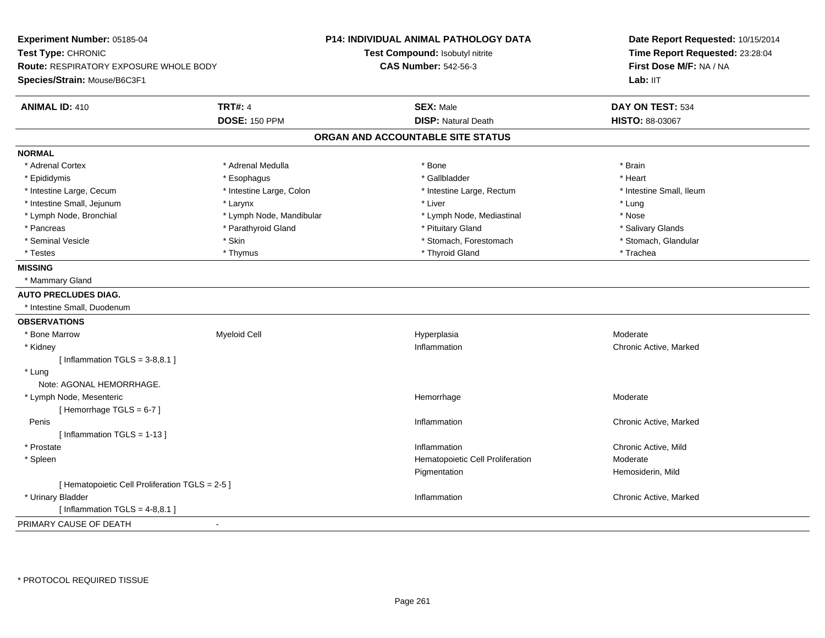| Experiment Number: 05185-04<br>Test Type: CHRONIC<br>Route: RESPIRATORY EXPOSURE WHOLE BODY<br>Species/Strain: Mouse/B6C3F1 |                          | <b>P14: INDIVIDUAL ANIMAL PATHOLOGY DATA</b><br>Test Compound: Isobutyl nitrite<br><b>CAS Number: 542-56-3</b> | Date Report Requested: 10/15/2014<br>Time Report Requested: 23:28:04<br>First Dose M/F: NA / NA<br>Lab: IIT |
|-----------------------------------------------------------------------------------------------------------------------------|--------------------------|----------------------------------------------------------------------------------------------------------------|-------------------------------------------------------------------------------------------------------------|
| <b>ANIMAL ID: 410</b>                                                                                                       | <b>TRT#: 4</b>           | <b>SEX: Male</b>                                                                                               | DAY ON TEST: 534                                                                                            |
|                                                                                                                             | <b>DOSE: 150 PPM</b>     | <b>DISP: Natural Death</b>                                                                                     | HISTO: 88-03067                                                                                             |
|                                                                                                                             |                          | ORGAN AND ACCOUNTABLE SITE STATUS                                                                              |                                                                                                             |
| <b>NORMAL</b>                                                                                                               |                          |                                                                                                                |                                                                                                             |
| * Adrenal Cortex                                                                                                            | * Adrenal Medulla        | * Bone                                                                                                         | * Brain                                                                                                     |
| * Epididymis                                                                                                                | * Esophagus              | * Gallbladder                                                                                                  | * Heart                                                                                                     |
| * Intestine Large, Cecum                                                                                                    | * Intestine Large, Colon | * Intestine Large, Rectum                                                                                      | * Intestine Small, Ileum                                                                                    |
| * Intestine Small, Jejunum                                                                                                  | * Larynx                 | * Liver                                                                                                        | * Lung                                                                                                      |
| * Lymph Node, Bronchial                                                                                                     | * Lymph Node, Mandibular | * Lymph Node, Mediastinal                                                                                      | * Nose                                                                                                      |
| * Pancreas                                                                                                                  | * Parathyroid Gland      | * Pituitary Gland                                                                                              | * Salivary Glands                                                                                           |
| * Seminal Vesicle                                                                                                           | * Skin                   | * Stomach, Forestomach                                                                                         | * Stomach, Glandular                                                                                        |
| * Testes                                                                                                                    | * Thymus                 | * Thyroid Gland                                                                                                | * Trachea                                                                                                   |
| <b>MISSING</b>                                                                                                              |                          |                                                                                                                |                                                                                                             |
| * Mammary Gland                                                                                                             |                          |                                                                                                                |                                                                                                             |
| <b>AUTO PRECLUDES DIAG.</b>                                                                                                 |                          |                                                                                                                |                                                                                                             |
| * Intestine Small, Duodenum                                                                                                 |                          |                                                                                                                |                                                                                                             |
| <b>OBSERVATIONS</b>                                                                                                         |                          |                                                                                                                |                                                                                                             |
| * Bone Marrow                                                                                                               | <b>Myeloid Cell</b>      | Hyperplasia                                                                                                    | Moderate                                                                                                    |
| * Kidney                                                                                                                    |                          | Inflammation                                                                                                   | Chronic Active, Marked                                                                                      |
| [Inflammation $TGLS = 3-8,8.1$ ]                                                                                            |                          |                                                                                                                |                                                                                                             |
| * Lung                                                                                                                      |                          |                                                                                                                |                                                                                                             |
| Note: AGONAL HEMORRHAGE.                                                                                                    |                          |                                                                                                                |                                                                                                             |
| * Lymph Node, Mesenteric                                                                                                    |                          | Hemorrhage                                                                                                     | Moderate                                                                                                    |
| [Hemorrhage TGLS = 6-7]                                                                                                     |                          |                                                                                                                |                                                                                                             |
| Penis                                                                                                                       |                          | Inflammation                                                                                                   | Chronic Active, Marked                                                                                      |
| [Inflammation TGLS = $1-13$ ]                                                                                               |                          |                                                                                                                |                                                                                                             |
| * Prostate                                                                                                                  |                          | Inflammation                                                                                                   | Chronic Active, Mild                                                                                        |
| * Spleen                                                                                                                    |                          | Hematopoietic Cell Proliferation                                                                               | Moderate                                                                                                    |
|                                                                                                                             |                          | Pigmentation                                                                                                   | Hemosiderin, Mild                                                                                           |
| [ Hematopoietic Cell Proliferation TGLS = 2-5 ]                                                                             |                          |                                                                                                                |                                                                                                             |
| * Urinary Bladder                                                                                                           |                          | Inflammation                                                                                                   | Chronic Active, Marked                                                                                      |
| [Inflammation TGLS = $4-8,8.1$ ]                                                                                            |                          |                                                                                                                |                                                                                                             |
| PRIMARY CAUSE OF DEATH<br>$\blacksquare$                                                                                    |                          |                                                                                                                |                                                                                                             |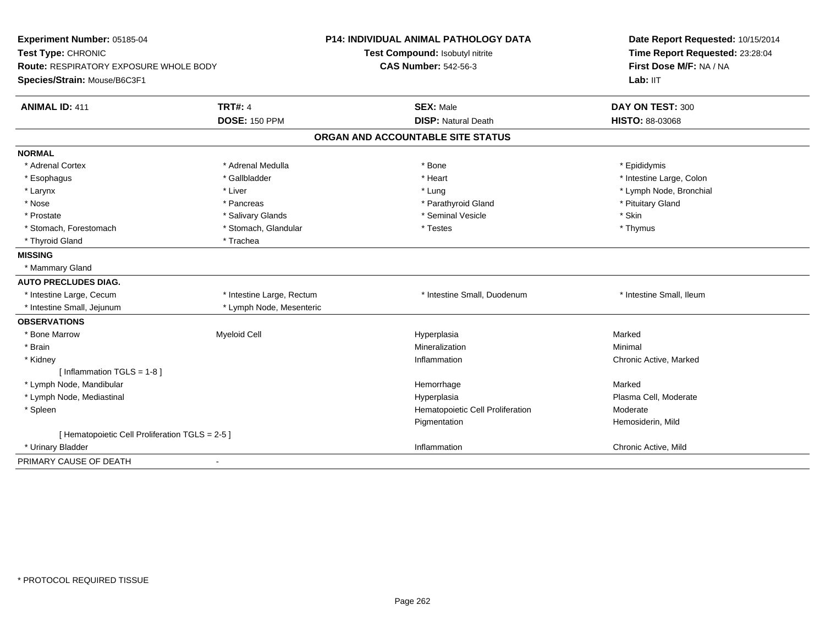| Experiment Number: 05185-04                     |                           | <b>P14: INDIVIDUAL ANIMAL PATHOLOGY DATA</b> | Date Report Requested: 10/15/2014                          |
|-------------------------------------------------|---------------------------|----------------------------------------------|------------------------------------------------------------|
| Test Type: CHRONIC                              |                           | Test Compound: Isobutyl nitrite              | Time Report Requested: 23:28:04<br>First Dose M/F: NA / NA |
| Route: RESPIRATORY EXPOSURE WHOLE BODY          |                           | <b>CAS Number: 542-56-3</b>                  |                                                            |
| Species/Strain: Mouse/B6C3F1                    |                           |                                              | Lab: IIT                                                   |
| <b>ANIMAL ID: 411</b>                           | <b>TRT#: 4</b>            | <b>SEX: Male</b>                             | DAY ON TEST: 300                                           |
|                                                 | <b>DOSE: 150 PPM</b>      | <b>DISP: Natural Death</b>                   | <b>HISTO: 88-03068</b>                                     |
|                                                 |                           | ORGAN AND ACCOUNTABLE SITE STATUS            |                                                            |
| <b>NORMAL</b>                                   |                           |                                              |                                                            |
| * Adrenal Cortex                                | * Adrenal Medulla         | * Bone                                       | * Epididymis                                               |
| * Esophagus                                     | * Gallbladder             | * Heart                                      | * Intestine Large, Colon                                   |
| * Larynx                                        | * Liver                   | * Lung                                       | * Lymph Node, Bronchial                                    |
| * Nose                                          | * Pancreas                | * Parathyroid Gland                          | * Pituitary Gland                                          |
| * Prostate                                      | * Salivary Glands         | * Seminal Vesicle                            | * Skin                                                     |
| * Stomach, Forestomach                          | * Stomach, Glandular      | * Testes                                     | * Thymus                                                   |
| * Thyroid Gland                                 | * Trachea                 |                                              |                                                            |
| <b>MISSING</b>                                  |                           |                                              |                                                            |
| * Mammary Gland                                 |                           |                                              |                                                            |
| <b>AUTO PRECLUDES DIAG.</b>                     |                           |                                              |                                                            |
| * Intestine Large, Cecum                        | * Intestine Large, Rectum | * Intestine Small, Duodenum                  | * Intestine Small, Ileum                                   |
| * Intestine Small, Jejunum                      | * Lymph Node, Mesenteric  |                                              |                                                            |
| <b>OBSERVATIONS</b>                             |                           |                                              |                                                            |
| * Bone Marrow                                   | Myeloid Cell              | Hyperplasia                                  | Marked                                                     |
| * Brain                                         |                           | Mineralization                               | Minimal                                                    |
| * Kidney                                        |                           | Inflammation                                 | Chronic Active, Marked                                     |
| [Inflammation TGLS = $1-8$ ]                    |                           |                                              |                                                            |
| * Lymph Node, Mandibular                        |                           | Hemorrhage                                   | Marked                                                     |
| * Lymph Node, Mediastinal                       |                           | Hyperplasia                                  | Plasma Cell, Moderate                                      |
| * Spleen                                        |                           | Hematopoietic Cell Proliferation             | Moderate                                                   |
|                                                 |                           | Pigmentation                                 | Hemosiderin, Mild                                          |
| [ Hematopoietic Cell Proliferation TGLS = 2-5 ] |                           |                                              |                                                            |
| * Urinary Bladder                               |                           | Inflammation                                 | Chronic Active, Mild                                       |
| PRIMARY CAUSE OF DEATH<br>$\blacksquare$        |                           |                                              |                                                            |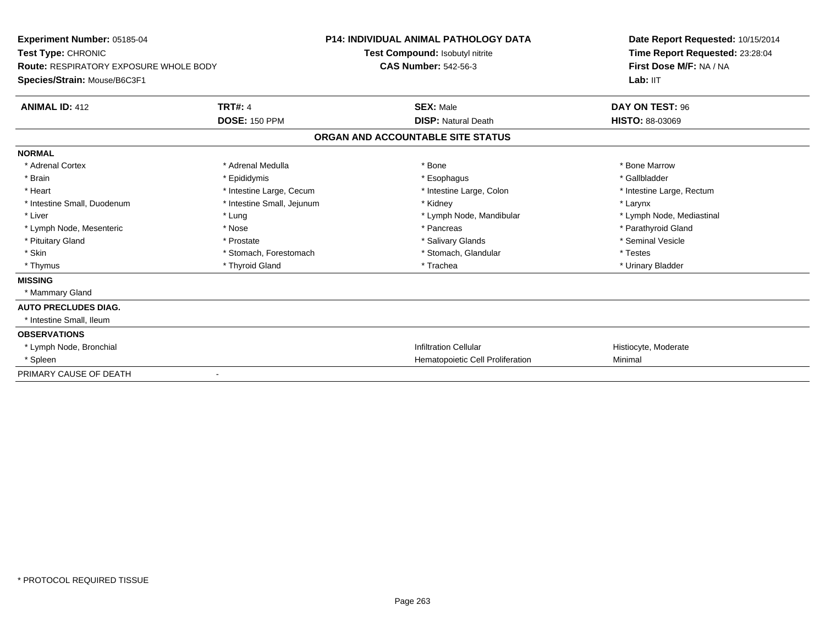| Experiment Number: 05185-04                                         |                            | <b>P14: INDIVIDUAL ANIMAL PATHOLOGY DATA</b> | Date Report Requested: 10/15/2014                          |
|---------------------------------------------------------------------|----------------------------|----------------------------------------------|------------------------------------------------------------|
| Test Type: CHRONIC<br><b>Route: RESPIRATORY EXPOSURE WHOLE BODY</b> |                            | Test Compound: Isobutyl nitrite              | Time Report Requested: 23:28:04<br>First Dose M/F: NA / NA |
|                                                                     |                            | <b>CAS Number: 542-56-3</b>                  |                                                            |
| Species/Strain: Mouse/B6C3F1                                        |                            |                                              | Lab: IIT                                                   |
| <b>ANIMAL ID: 412</b>                                               | <b>TRT#: 4</b>             | <b>SEX: Male</b>                             | DAY ON TEST: 96                                            |
|                                                                     | <b>DOSE: 150 PPM</b>       | <b>DISP: Natural Death</b>                   | <b>HISTO: 88-03069</b>                                     |
|                                                                     |                            | ORGAN AND ACCOUNTABLE SITE STATUS            |                                                            |
| <b>NORMAL</b>                                                       |                            |                                              |                                                            |
| * Adrenal Cortex                                                    | * Adrenal Medulla          | * Bone                                       | * Bone Marrow                                              |
| * Brain                                                             | * Epididymis               | * Esophagus                                  | * Gallbladder                                              |
| * Heart                                                             | * Intestine Large, Cecum   | * Intestine Large, Colon                     | * Intestine Large, Rectum                                  |
| * Intestine Small, Duodenum                                         | * Intestine Small, Jejunum | * Kidney                                     | * Larynx                                                   |
| * Liver                                                             | * Lung                     | * Lymph Node, Mandibular                     | * Lymph Node, Mediastinal                                  |
| * Lymph Node, Mesenteric                                            | * Nose                     | * Pancreas                                   | * Parathyroid Gland                                        |
| * Pituitary Gland                                                   | * Prostate                 | * Salivary Glands                            | * Seminal Vesicle                                          |
| * Skin                                                              | * Stomach, Forestomach     | * Stomach, Glandular                         | * Testes                                                   |
| * Thymus                                                            | * Thyroid Gland            | * Trachea                                    | * Urinary Bladder                                          |
| <b>MISSING</b>                                                      |                            |                                              |                                                            |
| * Mammary Gland                                                     |                            |                                              |                                                            |
| <b>AUTO PRECLUDES DIAG.</b>                                         |                            |                                              |                                                            |
| * Intestine Small, Ileum                                            |                            |                                              |                                                            |
| <b>OBSERVATIONS</b>                                                 |                            |                                              |                                                            |
| * Lymph Node, Bronchial                                             |                            | <b>Infiltration Cellular</b>                 | Histiocyte, Moderate                                       |
| * Spleen                                                            |                            | Hematopoietic Cell Proliferation             | Minimal                                                    |
| PRIMARY CAUSE OF DEATH                                              | $\blacksquare$             |                                              |                                                            |
|                                                                     |                            |                                              |                                                            |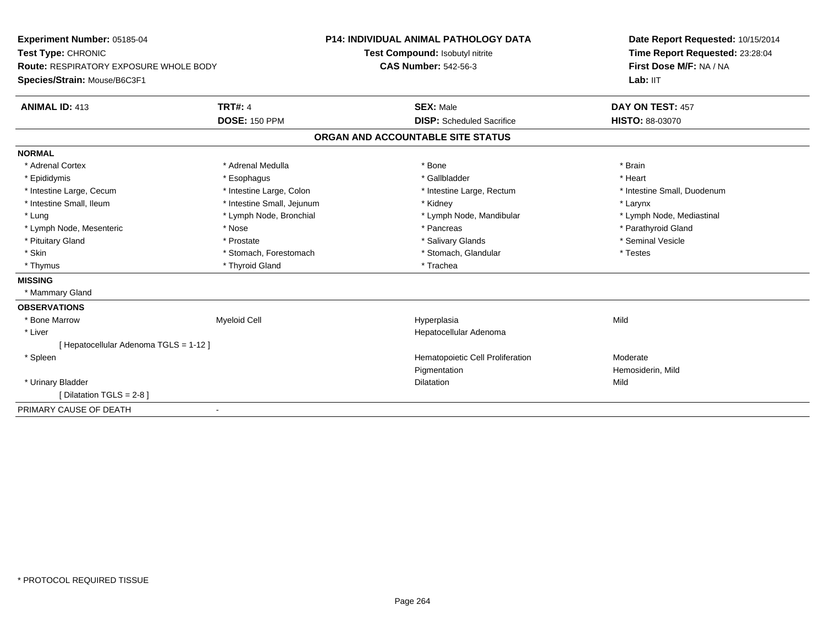| Experiment Number: 05185-04<br>Test Type: CHRONIC<br><b>Route: RESPIRATORY EXPOSURE WHOLE BODY</b> |                            | <b>P14: INDIVIDUAL ANIMAL PATHOLOGY DATA</b> | Date Report Requested: 10/15/2014 |
|----------------------------------------------------------------------------------------------------|----------------------------|----------------------------------------------|-----------------------------------|
|                                                                                                    |                            | Test Compound: Isobutyl nitrite              | Time Report Requested: 23:28:04   |
|                                                                                                    |                            | <b>CAS Number: 542-56-3</b>                  | First Dose M/F: NA / NA           |
| Species/Strain: Mouse/B6C3F1                                                                       |                            |                                              | Lab: IIT                          |
| <b>ANIMAL ID: 413</b>                                                                              | <b>TRT#: 4</b>             | <b>SEX: Male</b>                             | DAY ON TEST: 457                  |
|                                                                                                    | <b>DOSE: 150 PPM</b>       | <b>DISP:</b> Scheduled Sacrifice             | <b>HISTO: 88-03070</b>            |
|                                                                                                    |                            | ORGAN AND ACCOUNTABLE SITE STATUS            |                                   |
| <b>NORMAL</b>                                                                                      |                            |                                              |                                   |
| * Adrenal Cortex                                                                                   | * Adrenal Medulla          | * Bone                                       | * Brain                           |
| * Epididymis                                                                                       | * Esophagus                | * Gallbladder                                | * Heart                           |
| * Intestine Large, Cecum                                                                           | * Intestine Large, Colon   | * Intestine Large, Rectum                    | * Intestine Small, Duodenum       |
| * Intestine Small, Ileum                                                                           | * Intestine Small, Jejunum | * Kidney                                     | * Larynx                          |
| * Lung                                                                                             | * Lymph Node, Bronchial    | * Lymph Node, Mandibular                     | * Lymph Node, Mediastinal         |
| * Lymph Node, Mesenteric                                                                           | * Nose                     | * Pancreas                                   | * Parathyroid Gland               |
| * Pituitary Gland                                                                                  | * Prostate                 | * Salivary Glands                            | * Seminal Vesicle                 |
| * Skin                                                                                             | * Stomach, Forestomach     | * Stomach, Glandular                         | * Testes                          |
| * Thymus                                                                                           | * Thyroid Gland            | * Trachea                                    |                                   |
| <b>MISSING</b>                                                                                     |                            |                                              |                                   |
| * Mammary Gland                                                                                    |                            |                                              |                                   |
| <b>OBSERVATIONS</b>                                                                                |                            |                                              |                                   |
| * Bone Marrow                                                                                      | <b>Myeloid Cell</b>        | Hyperplasia                                  | Mild                              |
| * Liver                                                                                            |                            | Hepatocellular Adenoma                       |                                   |
| [ Hepatocellular Adenoma TGLS = 1-12 ]                                                             |                            |                                              |                                   |
| * Spleen                                                                                           |                            | Hematopoietic Cell Proliferation             | Moderate                          |
|                                                                                                    |                            | Pigmentation                                 | Hemosiderin, Mild                 |
| * Urinary Bladder                                                                                  |                            | <b>Dilatation</b>                            | Mild                              |
| [ Dilatation TGLS = 2-8 ]                                                                          |                            |                                              |                                   |
| PRIMARY CAUSE OF DEATH                                                                             | $\overline{\phantom{a}}$   |                                              |                                   |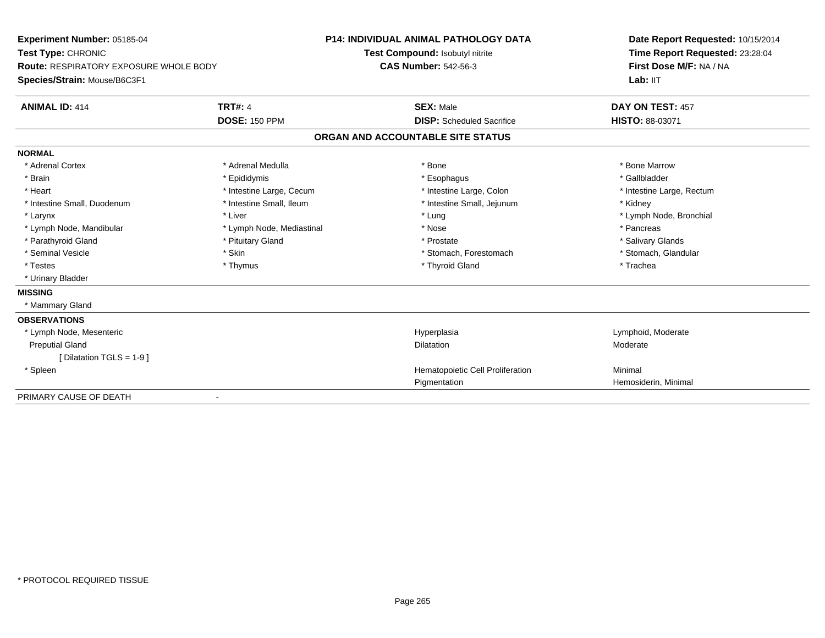| Experiment Number: 05185-04<br>Test Type: CHRONIC<br><b>Route: RESPIRATORY EXPOSURE WHOLE BODY</b> |                           | <b>P14: INDIVIDUAL ANIMAL PATHOLOGY DATA</b> | Date Report Requested: 10/15/2014 |
|----------------------------------------------------------------------------------------------------|---------------------------|----------------------------------------------|-----------------------------------|
|                                                                                                    |                           | Test Compound: Isobutyl nitrite              | Time Report Requested: 23:28:04   |
|                                                                                                    |                           | <b>CAS Number: 542-56-3</b>                  | First Dose M/F: NA / NA           |
| Species/Strain: Mouse/B6C3F1                                                                       |                           |                                              | Lab: IIT                          |
| <b>ANIMAL ID: 414</b>                                                                              | <b>TRT#: 4</b>            | <b>SEX: Male</b>                             | DAY ON TEST: 457                  |
|                                                                                                    | <b>DOSE: 150 PPM</b>      | <b>DISP:</b> Scheduled Sacrifice             | <b>HISTO: 88-03071</b>            |
|                                                                                                    |                           | ORGAN AND ACCOUNTABLE SITE STATUS            |                                   |
| <b>NORMAL</b>                                                                                      |                           |                                              |                                   |
| * Adrenal Cortex                                                                                   | * Adrenal Medulla         | * Bone                                       | * Bone Marrow                     |
| * Brain                                                                                            | * Epididymis              | * Esophagus                                  | * Gallbladder                     |
| * Heart                                                                                            | * Intestine Large, Cecum  | * Intestine Large, Colon                     | * Intestine Large, Rectum         |
| * Intestine Small, Duodenum                                                                        | * Intestine Small, Ileum  | * Intestine Small, Jejunum                   | * Kidney                          |
| * Larynx                                                                                           | * Liver                   | * Lung                                       | * Lymph Node, Bronchial           |
| * Lymph Node, Mandibular                                                                           | * Lymph Node, Mediastinal | * Nose                                       | * Pancreas                        |
| * Parathyroid Gland                                                                                | * Pituitary Gland         | * Prostate                                   | * Salivary Glands                 |
| * Seminal Vesicle                                                                                  | * Skin                    | * Stomach, Forestomach                       | * Stomach, Glandular              |
| * Testes                                                                                           | * Thymus                  | * Thyroid Gland                              | * Trachea                         |
| * Urinary Bladder                                                                                  |                           |                                              |                                   |
| <b>MISSING</b>                                                                                     |                           |                                              |                                   |
| * Mammary Gland                                                                                    |                           |                                              |                                   |
| <b>OBSERVATIONS</b>                                                                                |                           |                                              |                                   |
| * Lymph Node, Mesenteric                                                                           |                           | Hyperplasia                                  | Lymphoid, Moderate                |
| <b>Preputial Gland</b>                                                                             |                           | <b>Dilatation</b>                            | Moderate                          |
| [ Dilatation TGLS = 1-9 ]                                                                          |                           |                                              |                                   |
| * Spleen                                                                                           |                           | Hematopoietic Cell Proliferation             | Minimal                           |
|                                                                                                    |                           | Pigmentation                                 | Hemosiderin, Minimal              |
| PRIMARY CAUSE OF DEATH                                                                             |                           |                                              |                                   |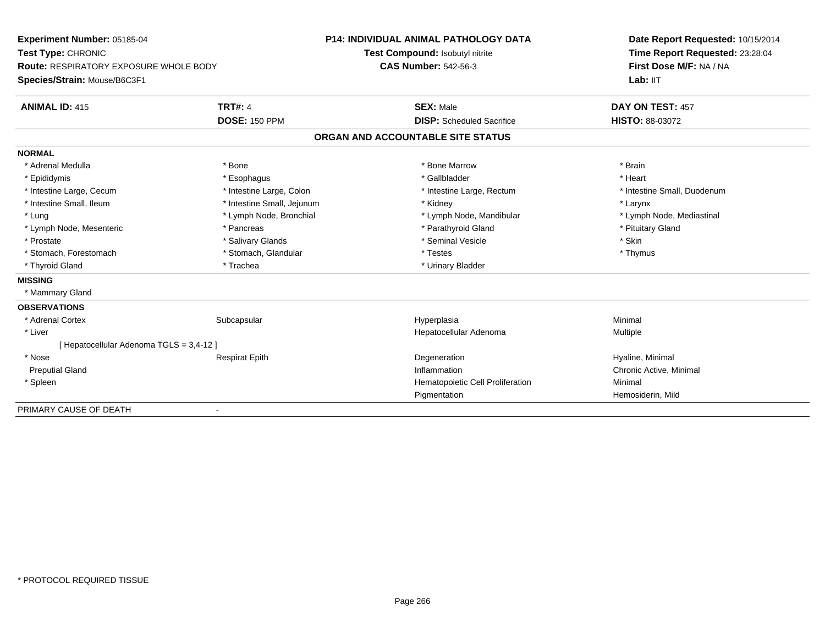**Experiment Number:** 05185-04**Test Type:** CHRONIC **Route:** RESPIRATORY EXPOSURE WHOLE BODY**Species/Strain:** Mouse/B6C3F1**P14: INDIVIDUAL ANIMAL PATHOLOGY DATATest Compound:** Isobutyl nitrite**CAS Number:** 542-56-3**Date Report Requested:** 10/15/2014**Time Report Requested:** 23:28:04**First Dose M/F:** NA / NALab: IIT **ANIMAL ID:** 415**TRT#:** 4 **SEX:** Male **SEX:** Male **DAY ON TEST:** 457 **DOSE:** 150 PPM **DISP:** Scheduled Sacrifice **HISTO:** 88-03072 **ORGAN AND ACCOUNTABLE SITE STATUSNORMAL**\* Adrenal Medulla \* \* Annual Medulla \* Brain \* Bone \* \* Bone Marrow \* Bone Marrow \* \* Brain \* Brain \* Brain \* Brain \* Brain \* Brain \* Brain \* Brain \* Brain \* Brain \* Brain \* Brain \* Brain \* Brain \* Brain \* Brain \* Brain \* \* Heart \* Epididymis \* Esophagus \* Gallbladder \* Heart\* Intestine Large, Cecum \* Intestine Large, Colon \* Intestine Large, Rectum \* Intestine Small, Duodenum \* Intestine Small, Ileum \* Intestine Small, Jejunum \* Kidney \* Larynx\* Lymph Node, Mediastinal \* Lung \* Lymph Node, Bronchial \* Lymph Node, Mandibular \* Lymph Node, Mandibular \* Lymph Node, Mesenteric \* The state of the state of Parathyroid Gland \* Parathyroid Gland \* Pituitary Gland \* Pituitary Gland \* Prostate \* \* Salivary Glands \* \* Salivary Glands \* \* Seminal Vesicle \* \* \* Seminal Yestrich \* \* Skin \* \* Skin \* Thymus \* Stomach, Forestomach \* Testes \* Stomach, Glandular \* Testes \* Testes \* Testes \* Testes \* Testes \* \* Testes \*  $\sim$  \* Testes \*  $\sim$  \* Testes \*  $\sim$  \* Testes \* \* Testes \* \* Testes \* \* \* Testes \* \* \* \* \* \* \* \* \* \* \* \* \* \* \* \* Thyroid Gland \* Trachea \* Trachea \* Trachea \* Thyroid Gland **MISSING** \* Mammary Gland**OBSERVATIONS** \* Adrenal Cortexx Subcapsular Subcapsular Subsets and Hyperplasia a **Minimal**  \* Liver Hepatocellular Adenoma Multiple [ Hepatocellular Adenoma TGLS = 3,4-12 ] \* Nose Respirat Epith Degeneration Hyaline, Minimal Preputial Glandd the controller of the chronic Active Minimal of the chronic Active, Minimal on the chronic Active, Minimal on the chronic Active, Minimal on the chronic Active, Minimal on the chronic Active, Minimal on the chronic Activ \* SpleenHematopoietic Cell Proliferation Minimal Pigmentation Hemosiderin, Mild PRIMARY CAUSE OF DEATH

-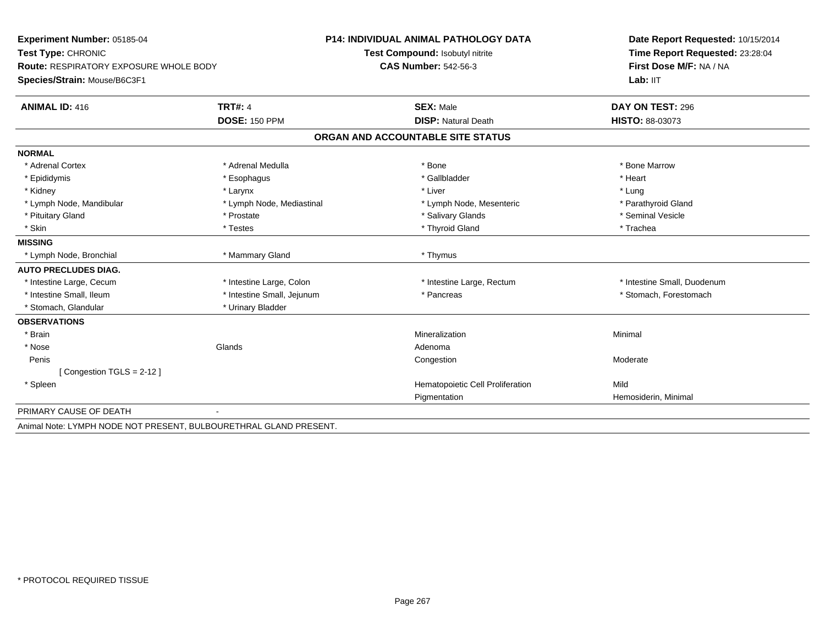| Experiment Number: 05185-04<br>Test Type: CHRONIC<br><b>Route: RESPIRATORY EXPOSURE WHOLE BODY</b> |                            | <b>P14: INDIVIDUAL ANIMAL PATHOLOGY DATA</b> | Date Report Requested: 10/15/2014<br>Time Report Requested: 23:28:04 |  |
|----------------------------------------------------------------------------------------------------|----------------------------|----------------------------------------------|----------------------------------------------------------------------|--|
|                                                                                                    |                            | Test Compound: Isobutyl nitrite              |                                                                      |  |
|                                                                                                    |                            | <b>CAS Number: 542-56-3</b>                  | First Dose M/F: NA / NA                                              |  |
| Species/Strain: Mouse/B6C3F1                                                                       |                            |                                              | Lab: IIT                                                             |  |
| <b>ANIMAL ID: 416</b>                                                                              | <b>TRT#: 4</b>             | <b>SEX: Male</b>                             | DAY ON TEST: 296                                                     |  |
|                                                                                                    | <b>DOSE: 150 PPM</b>       | <b>DISP: Natural Death</b>                   | HISTO: 88-03073                                                      |  |
|                                                                                                    |                            | ORGAN AND ACCOUNTABLE SITE STATUS            |                                                                      |  |
| <b>NORMAL</b>                                                                                      |                            |                                              |                                                                      |  |
| * Adrenal Cortex                                                                                   | * Adrenal Medulla          | * Bone                                       | * Bone Marrow                                                        |  |
| * Epididymis                                                                                       | * Esophagus                | * Gallbladder                                | * Heart                                                              |  |
| * Kidney                                                                                           | * Larynx                   | * Liver                                      | * Lung                                                               |  |
| * Lymph Node, Mandibular                                                                           | * Lymph Node, Mediastinal  | * Lymph Node, Mesenteric                     | * Parathyroid Gland                                                  |  |
| * Pituitary Gland                                                                                  | * Prostate                 | * Salivary Glands                            | * Seminal Vesicle                                                    |  |
| * Skin                                                                                             | * Testes                   | * Thyroid Gland                              | * Trachea                                                            |  |
| <b>MISSING</b>                                                                                     |                            |                                              |                                                                      |  |
| * Lymph Node, Bronchial                                                                            | * Mammary Gland            | * Thymus                                     |                                                                      |  |
| <b>AUTO PRECLUDES DIAG.</b>                                                                        |                            |                                              |                                                                      |  |
| * Intestine Large, Cecum                                                                           | * Intestine Large, Colon   | * Intestine Large, Rectum                    | * Intestine Small, Duodenum                                          |  |
| * Intestine Small, Ileum                                                                           | * Intestine Small, Jejunum | * Pancreas                                   | * Stomach, Forestomach                                               |  |
| * Stomach, Glandular                                                                               | * Urinary Bladder          |                                              |                                                                      |  |
| <b>OBSERVATIONS</b>                                                                                |                            |                                              |                                                                      |  |
| * Brain                                                                                            |                            | Mineralization                               | Minimal                                                              |  |
| * Nose                                                                                             | Glands                     | Adenoma                                      |                                                                      |  |
| Penis                                                                                              |                            | Congestion                                   | Moderate                                                             |  |
| [Congestion TGLS = 2-12]                                                                           |                            |                                              |                                                                      |  |
| * Spleen                                                                                           |                            | Hematopoietic Cell Proliferation             | Mild                                                                 |  |
|                                                                                                    |                            | Pigmentation                                 | Hemosiderin, Minimal                                                 |  |
| PRIMARY CAUSE OF DEATH                                                                             |                            |                                              |                                                                      |  |
| Animal Note: LYMPH NODE NOT PRESENT, BULBOURETHRAL GLAND PRESENT.                                  |                            |                                              |                                                                      |  |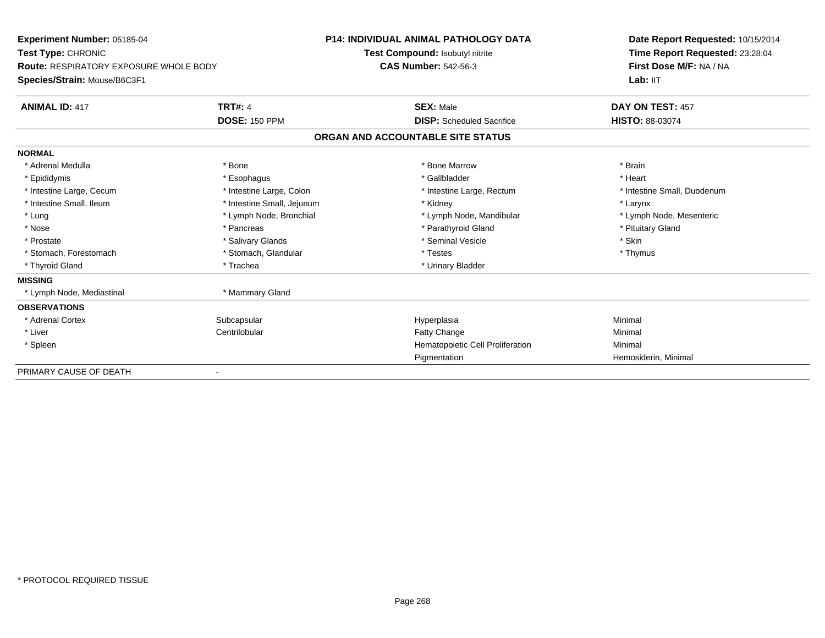| Experiment Number: 05185-04            |                            | <b>P14: INDIVIDUAL ANIMAL PATHOLOGY DATA</b> | Date Report Requested: 10/15/2014 |  |
|----------------------------------------|----------------------------|----------------------------------------------|-----------------------------------|--|
| Test Type: CHRONIC                     |                            | Test Compound: Isobutyl nitrite              | Time Report Requested: 23:28:04   |  |
| Route: RESPIRATORY EXPOSURE WHOLE BODY |                            | <b>CAS Number: 542-56-3</b>                  | First Dose M/F: NA / NA           |  |
| Species/Strain: Mouse/B6C3F1           |                            |                                              | Lab: IIT                          |  |
| <b>ANIMAL ID: 417</b>                  | <b>TRT#: 4</b>             | <b>SEX: Male</b>                             | DAY ON TEST: 457                  |  |
|                                        | <b>DOSE: 150 PPM</b>       | <b>DISP:</b> Scheduled Sacrifice             | HISTO: 88-03074                   |  |
|                                        |                            | ORGAN AND ACCOUNTABLE SITE STATUS            |                                   |  |
| <b>NORMAL</b>                          |                            |                                              |                                   |  |
| * Adrenal Medulla                      | * Bone                     | * Bone Marrow                                | * Brain                           |  |
| * Epididymis                           | * Esophagus                | * Gallbladder                                | * Heart                           |  |
| * Intestine Large, Cecum               | * Intestine Large, Colon   | * Intestine Large, Rectum                    | * Intestine Small, Duodenum       |  |
| * Intestine Small, Ileum               | * Intestine Small, Jejunum | * Kidney                                     | * Larynx                          |  |
| * Lung                                 | * Lymph Node, Bronchial    | * Lymph Node, Mandibular                     | * Lymph Node, Mesenteric          |  |
| * Nose                                 | * Pancreas                 | * Parathyroid Gland                          | * Pituitary Gland                 |  |
| * Prostate                             | * Salivary Glands          | * Seminal Vesicle                            | * Skin                            |  |
| * Stomach, Forestomach                 | * Stomach, Glandular       | * Testes                                     | * Thymus                          |  |
| * Thyroid Gland                        | * Trachea                  | * Urinary Bladder                            |                                   |  |
| <b>MISSING</b>                         |                            |                                              |                                   |  |
| * Lymph Node, Mediastinal              | * Mammary Gland            |                                              |                                   |  |
| <b>OBSERVATIONS</b>                    |                            |                                              |                                   |  |
| * Adrenal Cortex                       | Subcapsular                | Hyperplasia                                  | Minimal                           |  |
| * Liver                                | Centrilobular              | Fatty Change                                 | Minimal                           |  |
| * Spleen                               |                            | Hematopoietic Cell Proliferation             | Minimal                           |  |
|                                        |                            | Pigmentation                                 | Hemosiderin, Minimal              |  |
| PRIMARY CAUSE OF DEATH                 |                            |                                              |                                   |  |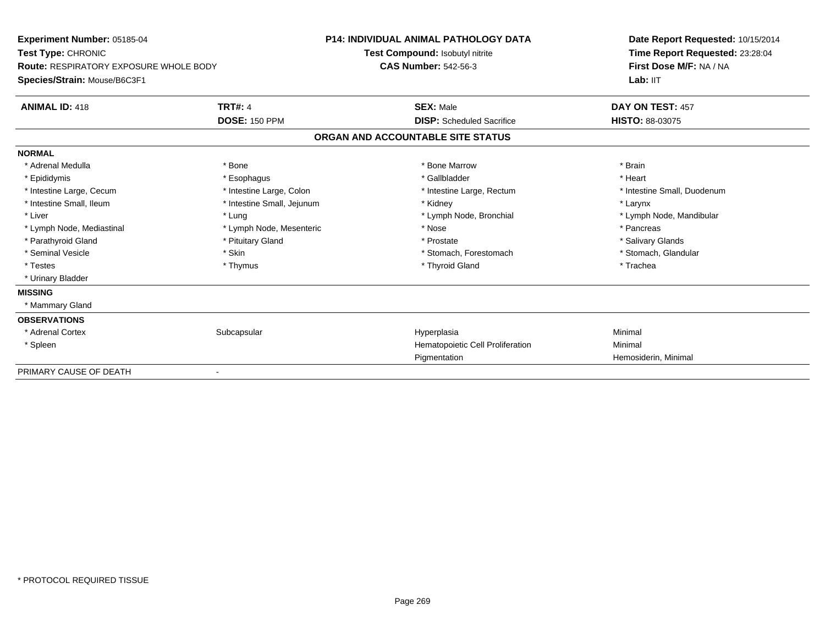| Experiment Number: 05185-04<br>Test Type: CHRONIC<br><b>Route: RESPIRATORY EXPOSURE WHOLE BODY</b> |                            | <b>P14: INDIVIDUAL ANIMAL PATHOLOGY DATA</b> | Date Report Requested: 10/15/2014 |  |
|----------------------------------------------------------------------------------------------------|----------------------------|----------------------------------------------|-----------------------------------|--|
|                                                                                                    |                            | Test Compound: Isobutyl nitrite              | Time Report Requested: 23:28:04   |  |
|                                                                                                    |                            | <b>CAS Number: 542-56-3</b>                  | First Dose M/F: NA / NA           |  |
| Species/Strain: Mouse/B6C3F1                                                                       |                            |                                              | Lab: IIT                          |  |
| <b>ANIMAL ID: 418</b>                                                                              | <b>TRT#: 4</b>             | <b>SEX: Male</b>                             | DAY ON TEST: 457                  |  |
|                                                                                                    | <b>DOSE: 150 PPM</b>       | <b>DISP:</b> Scheduled Sacrifice             | <b>HISTO: 88-03075</b>            |  |
|                                                                                                    |                            | ORGAN AND ACCOUNTABLE SITE STATUS            |                                   |  |
| <b>NORMAL</b>                                                                                      |                            |                                              |                                   |  |
| * Adrenal Medulla                                                                                  | * Bone                     | * Bone Marrow                                | * Brain                           |  |
| * Epididymis                                                                                       | * Esophagus                | * Gallbladder                                | * Heart                           |  |
| * Intestine Large, Cecum                                                                           | * Intestine Large, Colon   | * Intestine Large, Rectum                    | * Intestine Small, Duodenum       |  |
| * Intestine Small, Ileum                                                                           | * Intestine Small, Jejunum | * Kidney                                     | * Larynx                          |  |
| * Liver                                                                                            | * Lung                     | * Lymph Node, Bronchial                      | * Lymph Node, Mandibular          |  |
| * Lymph Node, Mediastinal                                                                          | * Lymph Node, Mesenteric   | * Nose                                       | * Pancreas                        |  |
| * Parathyroid Gland                                                                                | * Pituitary Gland          | * Prostate                                   | * Salivary Glands                 |  |
| * Seminal Vesicle                                                                                  | * Skin                     | * Stomach, Forestomach                       | * Stomach, Glandular              |  |
| * Testes                                                                                           | * Thymus                   | * Thyroid Gland                              | * Trachea                         |  |
| * Urinary Bladder                                                                                  |                            |                                              |                                   |  |
| <b>MISSING</b>                                                                                     |                            |                                              |                                   |  |
| * Mammary Gland                                                                                    |                            |                                              |                                   |  |
| <b>OBSERVATIONS</b>                                                                                |                            |                                              |                                   |  |
| * Adrenal Cortex                                                                                   | Subcapsular                | Hyperplasia                                  | Minimal                           |  |
| * Spleen                                                                                           |                            | Hematopoietic Cell Proliferation             | Minimal                           |  |
|                                                                                                    |                            | Pigmentation                                 | Hemosiderin, Minimal              |  |
| PRIMARY CAUSE OF DEATH                                                                             |                            |                                              |                                   |  |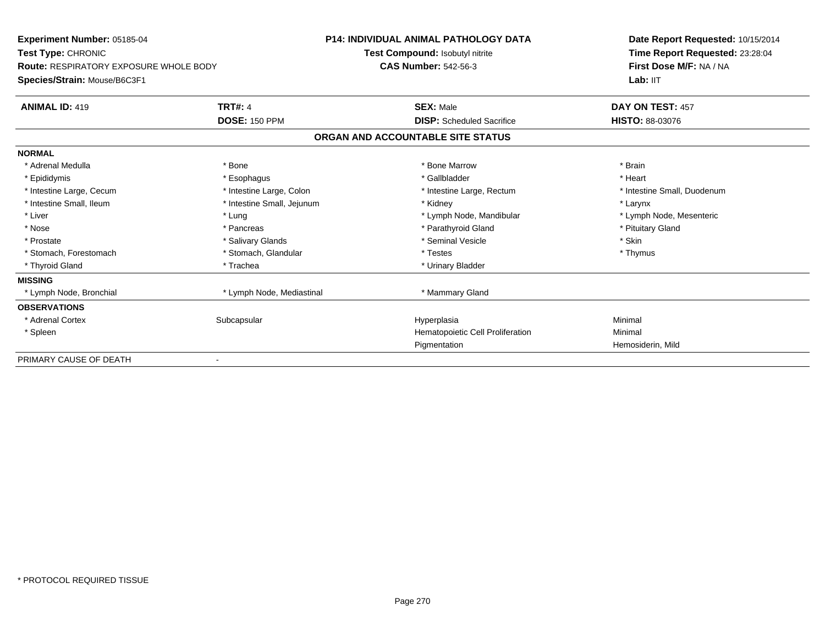| Experiment Number: 05185-04                            |                            | <b>P14: INDIVIDUAL ANIMAL PATHOLOGY DATA</b> | Date Report Requested: 10/15/2014 |  |
|--------------------------------------------------------|----------------------------|----------------------------------------------|-----------------------------------|--|
| Test Type: CHRONIC                                     |                            | Test Compound: Isobutyl nitrite              | Time Report Requested: 23:28:04   |  |
| <b>Route: RESPIRATORY EXPOSURE WHOLE BODY</b>          |                            | <b>CAS Number: 542-56-3</b>                  | First Dose M/F: NA / NA           |  |
| Species/Strain: Mouse/B6C3F1                           |                            |                                              | Lab: IIT                          |  |
| <b>ANIMAL ID: 419</b>                                  | <b>TRT#: 4</b>             | <b>SEX: Male</b>                             | DAY ON TEST: 457                  |  |
|                                                        | <b>DOSE: 150 PPM</b>       | <b>DISP:</b> Scheduled Sacrifice             | <b>HISTO: 88-03076</b>            |  |
|                                                        |                            | ORGAN AND ACCOUNTABLE SITE STATUS            |                                   |  |
| <b>NORMAL</b>                                          |                            |                                              |                                   |  |
| * Adrenal Medulla                                      | * Bone                     | * Bone Marrow                                | * Brain                           |  |
| * Epididymis                                           | * Esophagus                | * Gallbladder                                | * Heart                           |  |
| * Intestine Large, Cecum                               | * Intestine Large, Colon   | * Intestine Large, Rectum                    | * Intestine Small, Duodenum       |  |
| * Intestine Small, Ileum                               | * Intestine Small, Jejunum | * Kidney                                     | * Larynx                          |  |
| * Liver                                                | * Lung                     | * Lymph Node, Mandibular                     | * Lymph Node, Mesenteric          |  |
| * Nose                                                 | * Pancreas                 | * Parathyroid Gland                          | * Pituitary Gland                 |  |
| * Prostate                                             | * Salivary Glands          | * Seminal Vesicle                            | * Skin                            |  |
| * Stomach, Forestomach                                 | * Stomach, Glandular       | * Testes                                     | * Thymus                          |  |
| * Thyroid Gland                                        | * Trachea                  | * Urinary Bladder                            |                                   |  |
| <b>MISSING</b>                                         |                            |                                              |                                   |  |
| * Lymph Node, Bronchial                                | * Lymph Node, Mediastinal  | * Mammary Gland                              |                                   |  |
| <b>OBSERVATIONS</b>                                    |                            |                                              |                                   |  |
| * Adrenal Cortex                                       | Subcapsular                | Hyperplasia                                  | Minimal                           |  |
| * Spleen                                               |                            | Hematopoietic Cell Proliferation             | Minimal                           |  |
|                                                        |                            | Pigmentation                                 | Hemosiderin, Mild                 |  |
| PRIMARY CAUSE OF DEATH<br>$\qquad \qquad \blacksquare$ |                            |                                              |                                   |  |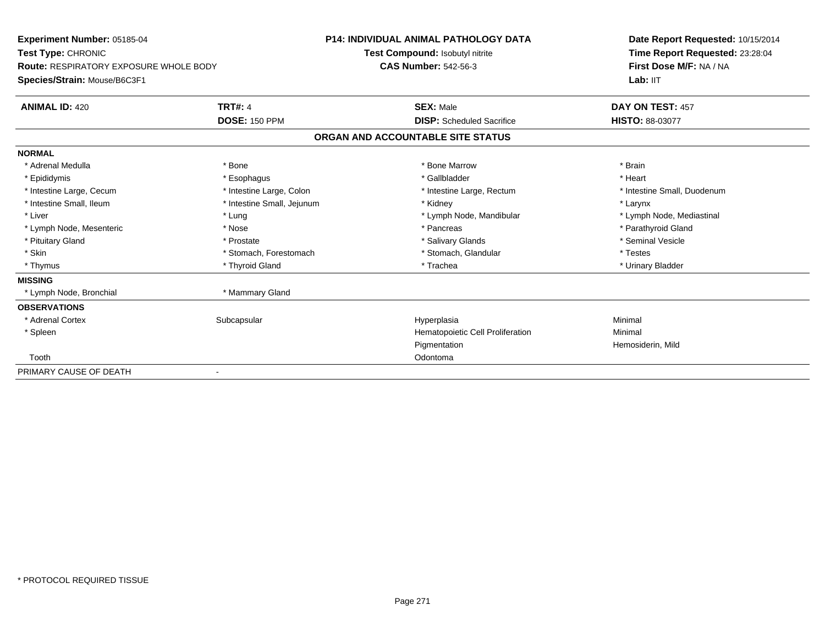| Experiment Number: 05185-04                   |                            | <b>P14: INDIVIDUAL ANIMAL PATHOLOGY DATA</b> |                                  | Date Report Requested: 10/15/2014 |  |
|-----------------------------------------------|----------------------------|----------------------------------------------|----------------------------------|-----------------------------------|--|
| Test Type: CHRONIC                            |                            |                                              | Test Compound: Isobutyl nitrite  | Time Report Requested: 23:28:04   |  |
| <b>Route: RESPIRATORY EXPOSURE WHOLE BODY</b> |                            | <b>CAS Number: 542-56-3</b>                  |                                  | First Dose M/F: NA / NA           |  |
| Species/Strain: Mouse/B6C3F1                  |                            |                                              |                                  | Lab: IIT                          |  |
| <b>ANIMAL ID: 420</b>                         | <b>TRT#: 4</b>             |                                              | <b>SEX: Male</b>                 | DAY ON TEST: 457                  |  |
|                                               | <b>DOSE: 150 PPM</b>       |                                              | <b>DISP:</b> Scheduled Sacrifice | <b>HISTO: 88-03077</b>            |  |
|                                               |                            | ORGAN AND ACCOUNTABLE SITE STATUS            |                                  |                                   |  |
| <b>NORMAL</b>                                 |                            |                                              |                                  |                                   |  |
| * Adrenal Medulla                             | * Bone                     |                                              | * Bone Marrow                    | * Brain                           |  |
| * Epididymis                                  | * Esophagus                |                                              | * Gallbladder                    | * Heart                           |  |
| * Intestine Large, Cecum                      | * Intestine Large, Colon   |                                              | * Intestine Large, Rectum        | * Intestine Small, Duodenum       |  |
| * Intestine Small, Ileum                      | * Intestine Small, Jejunum |                                              | * Kidney                         | * Larynx                          |  |
| * Liver                                       | * Lung                     |                                              | * Lymph Node, Mandibular         | * Lymph Node, Mediastinal         |  |
| * Lymph Node, Mesenteric                      | * Nose                     |                                              | * Pancreas                       | * Parathyroid Gland               |  |
| * Pituitary Gland                             | * Prostate                 |                                              | * Salivary Glands                | * Seminal Vesicle                 |  |
| * Skin                                        | * Stomach, Forestomach     |                                              | * Stomach, Glandular             | * Testes                          |  |
| * Thymus                                      | * Thyroid Gland            |                                              | * Trachea                        | * Urinary Bladder                 |  |
| <b>MISSING</b>                                |                            |                                              |                                  |                                   |  |
| * Lymph Node, Bronchial                       | * Mammary Gland            |                                              |                                  |                                   |  |
| <b>OBSERVATIONS</b>                           |                            |                                              |                                  |                                   |  |
| * Adrenal Cortex                              | Subcapsular                |                                              | Hyperplasia                      | Minimal                           |  |
| * Spleen                                      |                            |                                              | Hematopoietic Cell Proliferation | Minimal                           |  |
|                                               |                            |                                              | Pigmentation                     | Hemosiderin, Mild                 |  |
| Tooth                                         |                            |                                              | Odontoma                         |                                   |  |
| PRIMARY CAUSE OF DEATH                        |                            |                                              |                                  |                                   |  |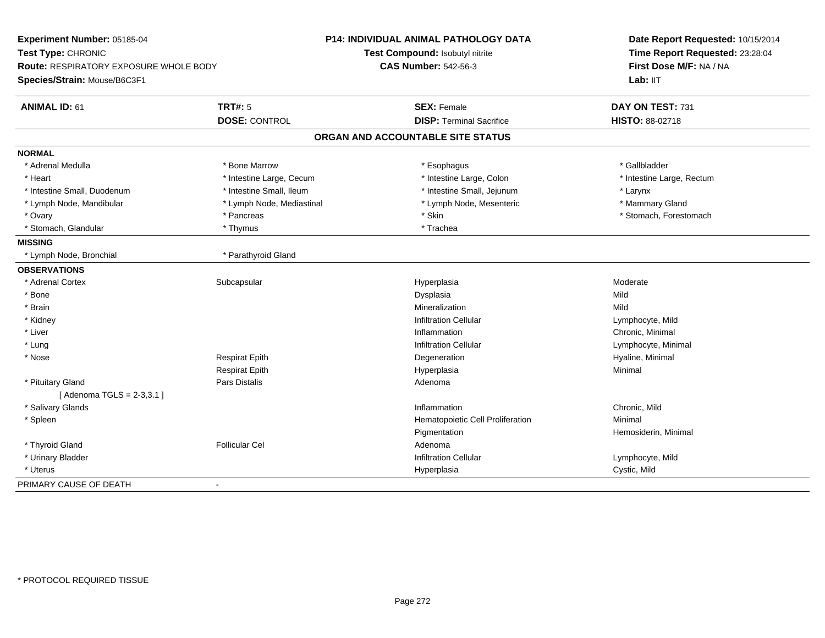| Experiment Number: 05185-04            |                           | P14: INDIVIDUAL ANIMAL PATHOLOGY DATA | Date Report Requested: 10/15/2014 |  |
|----------------------------------------|---------------------------|---------------------------------------|-----------------------------------|--|
| Test Type: CHRONIC                     |                           | Test Compound: Isobutyl nitrite       | Time Report Requested: 23:28:04   |  |
| Route: RESPIRATORY EXPOSURE WHOLE BODY |                           | <b>CAS Number: 542-56-3</b>           | First Dose M/F: NA / NA           |  |
| Species/Strain: Mouse/B6C3F1           |                           |                                       | Lab: IIT                          |  |
| <b>ANIMAL ID: 61</b>                   | <b>TRT#: 5</b>            | <b>SEX: Female</b>                    | DAY ON TEST: 731                  |  |
|                                        | <b>DOSE: CONTROL</b>      | <b>DISP: Terminal Sacrifice</b>       | <b>HISTO: 88-02718</b>            |  |
|                                        |                           | ORGAN AND ACCOUNTABLE SITE STATUS     |                                   |  |
| <b>NORMAL</b>                          |                           |                                       |                                   |  |
| * Adrenal Medulla                      | * Bone Marrow             | * Esophagus                           | * Gallbladder                     |  |
| * Heart                                | * Intestine Large, Cecum  | * Intestine Large, Colon              | * Intestine Large, Rectum         |  |
| * Intestine Small, Duodenum            | * Intestine Small, Ileum  | * Intestine Small, Jejunum            | * Larynx                          |  |
| * Lymph Node, Mandibular               | * Lymph Node, Mediastinal | * Lymph Node, Mesenteric              | * Mammary Gland                   |  |
| * Ovary                                | * Pancreas                | * Skin                                | * Stomach, Forestomach            |  |
| * Stomach, Glandular                   | * Thymus                  | * Trachea                             |                                   |  |
| <b>MISSING</b>                         |                           |                                       |                                   |  |
| * Lymph Node, Bronchial                | * Parathyroid Gland       |                                       |                                   |  |
| <b>OBSERVATIONS</b>                    |                           |                                       |                                   |  |
| * Adrenal Cortex                       | Subcapsular               | Hyperplasia                           | Moderate                          |  |
| * Bone                                 |                           | Dysplasia                             | Mild                              |  |
| * Brain                                |                           | Mineralization                        | Mild                              |  |
| * Kidney                               |                           | <b>Infiltration Cellular</b>          | Lymphocyte, Mild                  |  |
| * Liver                                |                           | Inflammation                          | Chronic, Minimal                  |  |
| * Lung                                 |                           | <b>Infiltration Cellular</b>          | Lymphocyte, Minimal               |  |
| * Nose                                 | <b>Respirat Epith</b>     | Degeneration                          | Hyaline, Minimal                  |  |
|                                        | <b>Respirat Epith</b>     | Hyperplasia                           | Minimal                           |  |
| * Pituitary Gland                      | Pars Distalis             | Adenoma                               |                                   |  |
| [Adenoma TGLS = 2-3,3.1]               |                           |                                       |                                   |  |
| * Salivary Glands                      |                           | Inflammation                          | Chronic, Mild                     |  |
| * Spleen                               |                           | Hematopoietic Cell Proliferation      | Minimal                           |  |
|                                        |                           | Pigmentation                          | Hemosiderin, Minimal              |  |
| * Thyroid Gland                        | <b>Follicular Cel</b>     | Adenoma                               |                                   |  |
| * Urinary Bladder                      |                           | <b>Infiltration Cellular</b>          | Lymphocyte, Mild                  |  |
| * Uterus                               |                           | Hyperplasia                           | Cystic, Mild                      |  |
| PRIMARY CAUSE OF DEATH                 | $\blacksquare$            |                                       |                                   |  |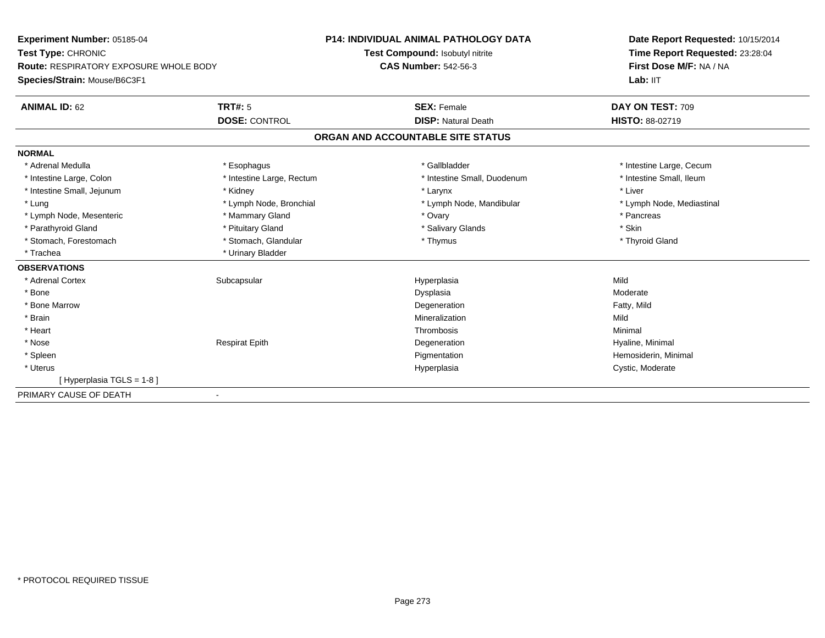**Experiment Number:** 05185-04**Test Type:** CHRONIC **Route:** RESPIRATORY EXPOSURE WHOLE BODY**Species/Strain:** Mouse/B6C3F1**P14: INDIVIDUAL ANIMAL PATHOLOGY DATATest Compound:** Isobutyl nitrite**CAS Number:** 542-56-3**Date Report Requested:** 10/15/2014**Time Report Requested:** 23:28:04**First Dose M/F:** NA / NALab: IIT **ANIMAL ID:** 62**TRT#:** 5 **SEX:** Female **DAY ON TEST:** 709 **DOSE:** CONTROL **DISP:** Natural Death **HISTO:** 88-02719 **ORGAN AND ACCOUNTABLE SITE STATUSNORMAL**\* Adrenal Medulla \* Esophagus \* Gallbladder \* The state of the state and the state of the state of the state of the state of the state of the state of the state of the state of the state of the state of the state of the state of the state o \* Intestine Small, Ileum \* Intestine Large, Colon \* Intestine Large, Rectum \* Intestine Small, Duodenum \* Intestine Small, Duodenum \* Intestine Small, Jejunum \* \* Widney \* Kidney \* Larynx \* Larynx \* Larynx \* Larynx \* Liver \* Liver \* Lung \* Lymph Node, Bronchial \* Lymph Node, and ibular \* Lymph Node, Mandibular \* Lymph Node, Mediastinal \* Lymph Node, Mediastinal \* Lymph Node, Mesenteric \* \* The mannery Gland \* The mannery Gland \* Ovary \* Ovary \* The mannery states \* Pancreas \* Pancreas \* Pancreas \* Pancreas \* Pancreas \* Pancreas \* Pancreas \* Pancreas \* Pancreas \* Pancreas \* Pancre \* Parathyroid Gland \* \* Pituitary Gland \* Thuitary Gland \* Salivary Glands \* Stin \* Skin \* Skin \* Skin \* Skin \* Skin \* Skin \* Skin \* Skin \* Skin \* Skin \* Skin \* Skin \* Skin \* Skin \* Skin \* Skin \* Skin \* Skin \* Skin \* Skin \* Thyroid Gland \* Stomach, Forestomach \* Thymus \* Stomach, Glandular \* Thymus \* Thymus \* Thymus \* Thymus \* Thymus \* Thymus \* Thymus \* Thymus \* Thymus \* Thymus \* Thymus \* Thymus \* Thymus \* Thymus \* Thymus \* Thymus \* Thymus \* Thymus \* Thymu \* Trachea \* Urinary Bladder**OBSERVATIONS** \* Adrenal Cortexx Subcapsular Suberty Subsets and the Hyperplasia a Mild \* Bonee distribuir de la constitution de la constitution de la constitution de la constitution de la constitution de<br>Actualisation de la constitution de la constitution de la constitution de la constitution de la constitution d \* Bone Marroww Degeneration **Example 2018** Degeneration **CONTEX 2018** Party, Mild \* Brainn and the control of the control of the control of the Mineralization and the control of the Mild of the Mild o \* Heartt to the contract of the contract of the contract of the contract of the contract of the contract of the contract of the contract of the contract of the contract of the contract of the contract of the contract of the contr Minimal \* Nose Respirat Epith Degeneration Hyaline, Minimal \* Spleenn and the proportion of the Pigmentation (i.e.,  $\blacksquare$  ) . Hemosiderin, Minimal (i.e.,  $\blacksquare$  ) . Hemosiderin, Minimal (i.e.,  $\blacksquare$  ) . Hemosiderin, Minimal (i.e.,  $\blacksquare$  ) . Hemosiderin, Minimal (i.e.,  $\blacksquare$  ) . Hemosid \* Uteruss and the contract of the contract of the contract of the contract of the contract of the contract of the contract of the contract of the contract of the contract of the contract of the contract of the contract of the cont Hyperplasia Cystic, Moderate [ Hyperplasia TGLS = 1-8 ]PRIMARY CAUSE OF DEATH-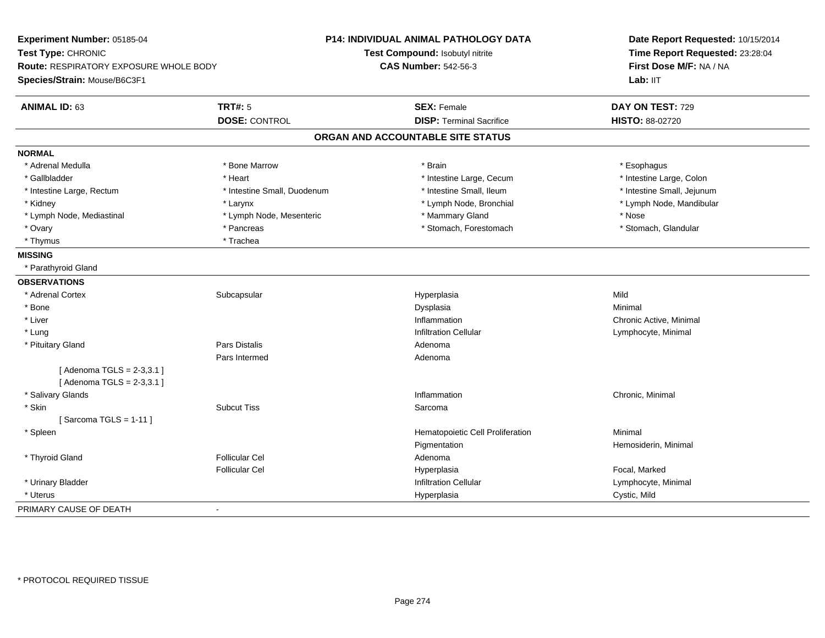| Experiment Number: 05185-04                              | P14: INDIVIDUAL ANIMAL PATHOLOGY DATA | Date Report Requested: 10/15/2014<br>Time Report Requested: 23:28:04 |  |
|----------------------------------------------------------|---------------------------------------|----------------------------------------------------------------------|--|
| Test Type: CHRONIC                                       | Test Compound: Isobutyl nitrite       |                                                                      |  |
| Route: RESPIRATORY EXPOSURE WHOLE BODY                   | <b>CAS Number: 542-56-3</b>           | First Dose M/F: NA / NA<br>Lab: IIT                                  |  |
| Species/Strain: Mouse/B6C3F1                             |                                       |                                                                      |  |
| <b>ANIMAL ID: 63</b><br><b>TRT#: 5</b>                   | <b>SEX: Female</b>                    | DAY ON TEST: 729                                                     |  |
| <b>DOSE: CONTROL</b>                                     | <b>DISP: Terminal Sacrifice</b>       | HISTO: 88-02720                                                      |  |
|                                                          | ORGAN AND ACCOUNTABLE SITE STATUS     |                                                                      |  |
| <b>NORMAL</b>                                            |                                       |                                                                      |  |
| * Adrenal Medulla<br>* Bone Marrow                       | * Brain                               | * Esophagus                                                          |  |
| * Gallbladder<br>* Heart                                 | * Intestine Large, Cecum              | * Intestine Large, Colon                                             |  |
| * Intestine Small, Duodenum<br>* Intestine Large, Rectum | * Intestine Small, Ileum              | * Intestine Small, Jejunum                                           |  |
| * Kidney<br>* Larynx                                     | * Lymph Node, Bronchial               | * Lymph Node, Mandibular                                             |  |
| * Lymph Node, Mediastinal<br>* Lymph Node, Mesenteric    | * Mammary Gland                       | * Nose                                                               |  |
| * Pancreas<br>* Ovary                                    | * Stomach, Forestomach                | * Stomach, Glandular                                                 |  |
| * Thymus<br>* Trachea                                    |                                       |                                                                      |  |
| <b>MISSING</b>                                           |                                       |                                                                      |  |
| * Parathyroid Gland                                      |                                       |                                                                      |  |
| <b>OBSERVATIONS</b>                                      |                                       |                                                                      |  |
| Subcapsular<br>* Adrenal Cortex                          | Hyperplasia                           | Mild                                                                 |  |
| * Bone                                                   | Dysplasia                             | Minimal                                                              |  |
| * Liver                                                  | Inflammation                          | Chronic Active, Minimal                                              |  |
| * Lung                                                   | <b>Infiltration Cellular</b>          | Lymphocyte, Minimal                                                  |  |
| Pars Distalis<br>* Pituitary Gland                       | Adenoma                               |                                                                      |  |
| Pars Intermed                                            | Adenoma                               |                                                                      |  |
| [Adenoma TGLS = 2-3,3.1]<br>[Adenoma TGLS = 2-3,3.1]     |                                       |                                                                      |  |
| * Salivary Glands                                        | Inflammation                          | Chronic, Minimal                                                     |  |
| * Skin<br><b>Subcut Tiss</b>                             | Sarcoma                               |                                                                      |  |
| [Sarcoma TGLS = $1-11$ ]                                 |                                       |                                                                      |  |
| * Spleen                                                 | Hematopoietic Cell Proliferation      | Minimal                                                              |  |
|                                                          | Pigmentation                          | Hemosiderin, Minimal                                                 |  |
| * Thyroid Gland<br><b>Follicular Cel</b>                 | Adenoma                               |                                                                      |  |
| <b>Follicular Cel</b>                                    | Hyperplasia                           | Focal, Marked                                                        |  |
| * Urinary Bladder                                        | <b>Infiltration Cellular</b>          | Lymphocyte, Minimal                                                  |  |
| * Uterus                                                 | Hyperplasia                           | Cystic, Mild                                                         |  |
| PRIMARY CAUSE OF DEATH<br>÷                              |                                       |                                                                      |  |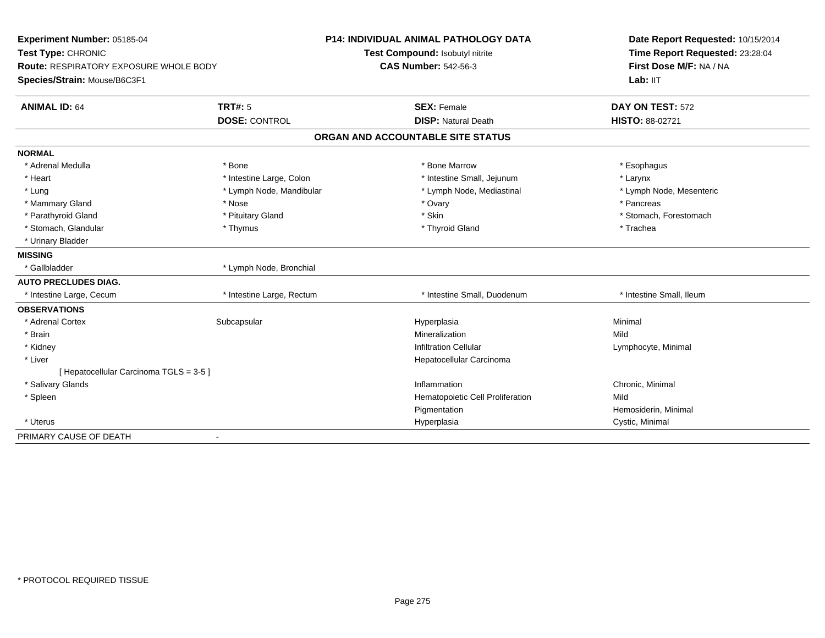| Experiment Number: 05185-04                   |                           | <b>P14: INDIVIDUAL ANIMAL PATHOLOGY DATA</b> | Date Report Requested: 10/15/2014 |
|-----------------------------------------------|---------------------------|----------------------------------------------|-----------------------------------|
| Test Type: CHRONIC                            |                           | Test Compound: Isobutyl nitrite              | Time Report Requested: 23:28:04   |
| <b>Route: RESPIRATORY EXPOSURE WHOLE BODY</b> |                           | <b>CAS Number: 542-56-3</b>                  | First Dose M/F: NA / NA           |
| Species/Strain: Mouse/B6C3F1                  |                           |                                              | Lab: IIT                          |
| <b>ANIMAL ID: 64</b>                          | <b>TRT#: 5</b>            | <b>SEX: Female</b>                           | DAY ON TEST: 572                  |
|                                               | <b>DOSE: CONTROL</b>      | <b>DISP: Natural Death</b>                   | HISTO: 88-02721                   |
|                                               |                           | ORGAN AND ACCOUNTABLE SITE STATUS            |                                   |
| <b>NORMAL</b>                                 |                           |                                              |                                   |
| * Adrenal Medulla                             | * Bone                    | * Bone Marrow                                | * Esophagus                       |
| * Heart                                       | * Intestine Large, Colon  | * Intestine Small, Jejunum                   | * Larynx                          |
| * Lung                                        | * Lymph Node, Mandibular  | * Lymph Node, Mediastinal                    | * Lymph Node, Mesenteric          |
| * Mammary Gland                               | * Nose                    | * Ovary                                      | * Pancreas                        |
| * Parathyroid Gland                           | * Pituitary Gland         | * Skin                                       | * Stomach, Forestomach            |
| * Stomach, Glandular                          | * Thymus                  | * Thyroid Gland                              | * Trachea                         |
| * Urinary Bladder                             |                           |                                              |                                   |
| <b>MISSING</b>                                |                           |                                              |                                   |
| * Gallbladder                                 | * Lymph Node, Bronchial   |                                              |                                   |
| <b>AUTO PRECLUDES DIAG.</b>                   |                           |                                              |                                   |
| * Intestine Large, Cecum                      | * Intestine Large, Rectum | * Intestine Small, Duodenum                  | * Intestine Small, Ileum          |
| <b>OBSERVATIONS</b>                           |                           |                                              |                                   |
| * Adrenal Cortex                              | Subcapsular               | Hyperplasia                                  | Minimal                           |
| * Brain                                       |                           | Mineralization                               | Mild                              |
| * Kidney                                      |                           | <b>Infiltration Cellular</b>                 | Lymphocyte, Minimal               |
| * Liver                                       |                           | Hepatocellular Carcinoma                     |                                   |
| [ Hepatocellular Carcinoma TGLS = 3-5 ]       |                           |                                              |                                   |
| * Salivary Glands                             |                           | Inflammation                                 | Chronic, Minimal                  |
| * Spleen                                      |                           | Hematopoietic Cell Proliferation             | Mild                              |
|                                               |                           | Pigmentation                                 | Hemosiderin, Minimal              |
| * Uterus                                      |                           | Hyperplasia                                  | Cystic, Minimal                   |
| PRIMARY CAUSE OF DEATH                        |                           |                                              |                                   |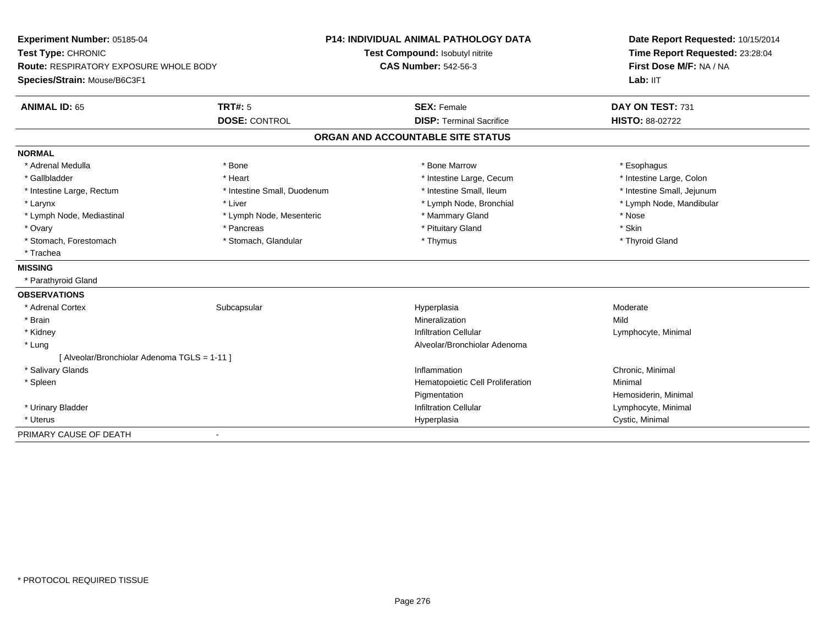| Experiment Number: 05185-04                   |                             | <b>P14: INDIVIDUAL ANIMAL PATHOLOGY DATA</b> | Date Report Requested: 10/15/2014 |  |
|-----------------------------------------------|-----------------------------|----------------------------------------------|-----------------------------------|--|
| Test Type: CHRONIC                            |                             | Test Compound: Isobutyl nitrite              | Time Report Requested: 23:28:04   |  |
| <b>Route: RESPIRATORY EXPOSURE WHOLE BODY</b> |                             | <b>CAS Number: 542-56-3</b>                  | First Dose M/F: NA / NA           |  |
| Species/Strain: Mouse/B6C3F1                  |                             |                                              | Lab: IIT                          |  |
| <b>ANIMAL ID: 65</b>                          | <b>TRT#: 5</b>              | <b>SEX: Female</b>                           | DAY ON TEST: 731                  |  |
|                                               | <b>DOSE: CONTROL</b>        | <b>DISP: Terminal Sacrifice</b>              | <b>HISTO: 88-02722</b>            |  |
|                                               |                             | ORGAN AND ACCOUNTABLE SITE STATUS            |                                   |  |
| <b>NORMAL</b>                                 |                             |                                              |                                   |  |
| * Adrenal Medulla                             | * Bone                      | * Bone Marrow                                | * Esophagus                       |  |
| * Gallbladder                                 | * Heart                     | * Intestine Large, Cecum                     | * Intestine Large, Colon          |  |
| * Intestine Large, Rectum                     | * Intestine Small, Duodenum | * Intestine Small, Ileum                     | * Intestine Small, Jejunum        |  |
| * Larynx                                      | * Liver                     | * Lymph Node, Bronchial                      | * Lymph Node, Mandibular          |  |
| * Lymph Node, Mediastinal                     | * Lymph Node, Mesenteric    | * Mammary Gland                              | * Nose                            |  |
| * Ovary                                       | * Pancreas                  | * Pituitary Gland                            | * Skin                            |  |
| * Stomach, Forestomach                        | * Stomach, Glandular        | * Thymus                                     | * Thyroid Gland                   |  |
| * Trachea                                     |                             |                                              |                                   |  |
| <b>MISSING</b>                                |                             |                                              |                                   |  |
| * Parathyroid Gland                           |                             |                                              |                                   |  |
| <b>OBSERVATIONS</b>                           |                             |                                              |                                   |  |
| * Adrenal Cortex                              | Subcapsular                 | Hyperplasia                                  | Moderate                          |  |
| * Brain                                       |                             | Mineralization                               | Mild                              |  |
| * Kidney                                      |                             | <b>Infiltration Cellular</b>                 | Lymphocyte, Minimal               |  |
| * Lung                                        |                             | Alveolar/Bronchiolar Adenoma                 |                                   |  |
| [ Alveolar/Bronchiolar Adenoma TGLS = 1-11 ]  |                             |                                              |                                   |  |
| * Salivary Glands                             |                             | Inflammation                                 | Chronic, Minimal                  |  |
| * Spleen                                      |                             | Hematopoietic Cell Proliferation             | Minimal                           |  |
|                                               |                             | Pigmentation                                 | Hemosiderin, Minimal              |  |
| * Urinary Bladder                             |                             | <b>Infiltration Cellular</b>                 | Lymphocyte, Minimal               |  |
| * Uterus                                      |                             | Hyperplasia                                  | Cystic, Minimal                   |  |
| PRIMARY CAUSE OF DEATH                        |                             |                                              |                                   |  |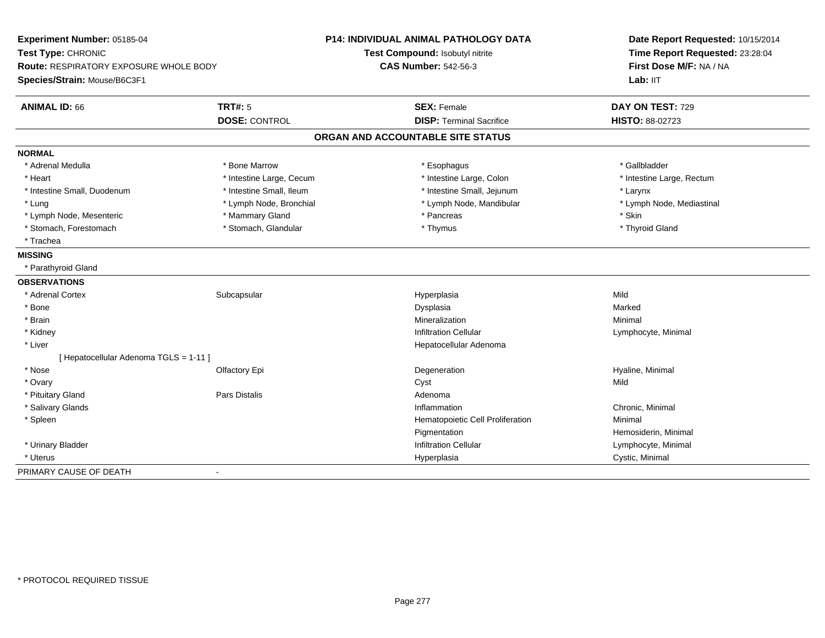| Experiment Number: 05185-04<br>Test Type: CHRONIC |                          | <b>P14: INDIVIDUAL ANIMAL PATHOLOGY DATA</b> | Date Report Requested: 10/15/2014 |  |
|---------------------------------------------------|--------------------------|----------------------------------------------|-----------------------------------|--|
|                                                   |                          | Test Compound: Isobutyl nitrite              | Time Report Requested: 23:28:04   |  |
| <b>Route: RESPIRATORY EXPOSURE WHOLE BODY</b>     |                          | <b>CAS Number: 542-56-3</b>                  | First Dose M/F: NA / NA           |  |
| Species/Strain: Mouse/B6C3F1                      |                          |                                              | Lab: IIT                          |  |
| <b>ANIMAL ID: 66</b>                              | <b>TRT#: 5</b>           | <b>SEX: Female</b>                           | DAY ON TEST: 729                  |  |
|                                                   | <b>DOSE: CONTROL</b>     | <b>DISP: Terminal Sacrifice</b>              | <b>HISTO: 88-02723</b>            |  |
|                                                   |                          | ORGAN AND ACCOUNTABLE SITE STATUS            |                                   |  |
| <b>NORMAL</b>                                     |                          |                                              |                                   |  |
| * Adrenal Medulla                                 | * Bone Marrow            | * Esophagus                                  | * Gallbladder                     |  |
| * Heart                                           | * Intestine Large, Cecum | * Intestine Large, Colon                     | * Intestine Large, Rectum         |  |
| * Intestine Small, Duodenum                       | * Intestine Small, Ileum | * Intestine Small, Jejunum                   | * Larynx                          |  |
| * Lung                                            | * Lymph Node, Bronchial  | * Lymph Node, Mandibular                     | * Lymph Node, Mediastinal         |  |
| * Lymph Node, Mesenteric                          | * Mammary Gland          | * Pancreas                                   | * Skin                            |  |
| * Stomach, Forestomach                            | * Stomach, Glandular     | * Thymus                                     | * Thyroid Gland                   |  |
| * Trachea                                         |                          |                                              |                                   |  |
| <b>MISSING</b>                                    |                          |                                              |                                   |  |
| * Parathyroid Gland                               |                          |                                              |                                   |  |
| <b>OBSERVATIONS</b>                               |                          |                                              |                                   |  |
| * Adrenal Cortex                                  | Subcapsular              | Hyperplasia                                  | Mild                              |  |
| * Bone                                            |                          | Dysplasia                                    | Marked                            |  |
| * Brain                                           |                          | Mineralization                               | Minimal                           |  |
| * Kidney                                          |                          | <b>Infiltration Cellular</b>                 | Lymphocyte, Minimal               |  |
| * Liver                                           |                          | Hepatocellular Adenoma                       |                                   |  |
| [Hepatocellular Adenoma TGLS = 1-11]              |                          |                                              |                                   |  |
| * Nose                                            | Olfactory Epi            | Degeneration                                 | Hyaline, Minimal                  |  |
| * Ovary                                           |                          | Cyst                                         | Mild                              |  |
| * Pituitary Gland                                 | <b>Pars Distalis</b>     | Adenoma                                      |                                   |  |
| * Salivary Glands                                 |                          | Inflammation                                 | Chronic, Minimal                  |  |
| * Spleen                                          |                          | Hematopoietic Cell Proliferation             | Minimal                           |  |
|                                                   |                          | Pigmentation                                 | Hemosiderin, Minimal              |  |
| * Urinary Bladder                                 |                          | <b>Infiltration Cellular</b>                 | Lymphocyte, Minimal               |  |
| * Uterus                                          |                          | Hyperplasia                                  | Cystic, Minimal                   |  |
| PRIMARY CAUSE OF DEATH                            | $\blacksquare$           |                                              |                                   |  |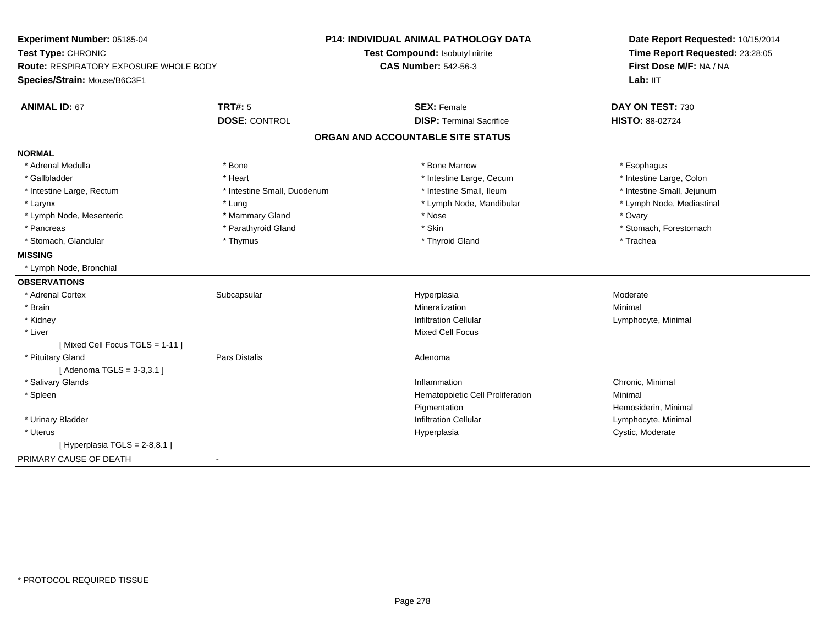| Experiment Number: 05185-04                   |                             | <b>P14: INDIVIDUAL ANIMAL PATHOLOGY DATA</b> | Date Report Requested: 10/15/2014                          |  |
|-----------------------------------------------|-----------------------------|----------------------------------------------|------------------------------------------------------------|--|
| Test Type: CHRONIC                            |                             | Test Compound: Isobutyl nitrite              | Time Report Requested: 23:28:05<br>First Dose M/F: NA / NA |  |
| <b>Route: RESPIRATORY EXPOSURE WHOLE BODY</b> |                             | <b>CAS Number: 542-56-3</b>                  |                                                            |  |
| Species/Strain: Mouse/B6C3F1                  |                             |                                              | Lab: IIT                                                   |  |
| <b>ANIMAL ID: 67</b>                          | <b>TRT#: 5</b>              | <b>SEX: Female</b>                           | DAY ON TEST: 730                                           |  |
|                                               | <b>DOSE: CONTROL</b>        | <b>DISP: Terminal Sacrifice</b>              | HISTO: 88-02724                                            |  |
|                                               |                             | ORGAN AND ACCOUNTABLE SITE STATUS            |                                                            |  |
| <b>NORMAL</b>                                 |                             |                                              |                                                            |  |
| * Adrenal Medulla                             | * Bone                      | * Bone Marrow                                | * Esophagus                                                |  |
| * Gallbladder                                 | * Heart                     | * Intestine Large, Cecum                     | * Intestine Large, Colon                                   |  |
| * Intestine Large, Rectum                     | * Intestine Small, Duodenum | * Intestine Small, Ileum                     | * Intestine Small, Jejunum                                 |  |
| * Larynx                                      | * Lung                      | * Lymph Node, Mandibular                     | * Lymph Node, Mediastinal                                  |  |
| * Lymph Node, Mesenteric                      | * Mammary Gland             | * Nose                                       | * Ovary                                                    |  |
| * Pancreas                                    | * Parathyroid Gland         | * Skin                                       | * Stomach, Forestomach                                     |  |
| * Stomach, Glandular                          | * Thymus                    | * Thyroid Gland                              | * Trachea                                                  |  |
| <b>MISSING</b>                                |                             |                                              |                                                            |  |
| * Lymph Node, Bronchial                       |                             |                                              |                                                            |  |
| <b>OBSERVATIONS</b>                           |                             |                                              |                                                            |  |
| * Adrenal Cortex                              | Subcapsular                 | Hyperplasia                                  | Moderate                                                   |  |
| * Brain                                       |                             | Mineralization                               | Minimal                                                    |  |
| * Kidney                                      |                             | <b>Infiltration Cellular</b>                 | Lymphocyte, Minimal                                        |  |
| * Liver                                       |                             | <b>Mixed Cell Focus</b>                      |                                                            |  |
| [Mixed Cell Focus TGLS = 1-11]                |                             |                                              |                                                            |  |
| * Pituitary Gland                             | <b>Pars Distalis</b>        | Adenoma                                      |                                                            |  |
| [ Adenoma TGLS = 3-3,3.1 ]                    |                             |                                              |                                                            |  |
| * Salivary Glands                             |                             | Inflammation                                 | Chronic, Minimal                                           |  |
| * Spleen                                      |                             | Hematopoietic Cell Proliferation             | Minimal                                                    |  |
|                                               |                             | Pigmentation                                 | Hemosiderin, Minimal                                       |  |
| * Urinary Bladder                             |                             | <b>Infiltration Cellular</b>                 | Lymphocyte, Minimal                                        |  |
| * Uterus                                      |                             | Hyperplasia                                  | Cystic, Moderate                                           |  |
| [Hyperplasia TGLS = 2-8,8.1]                  |                             |                                              |                                                            |  |
| PRIMARY CAUSE OF DEATH<br>$\blacksquare$      |                             |                                              |                                                            |  |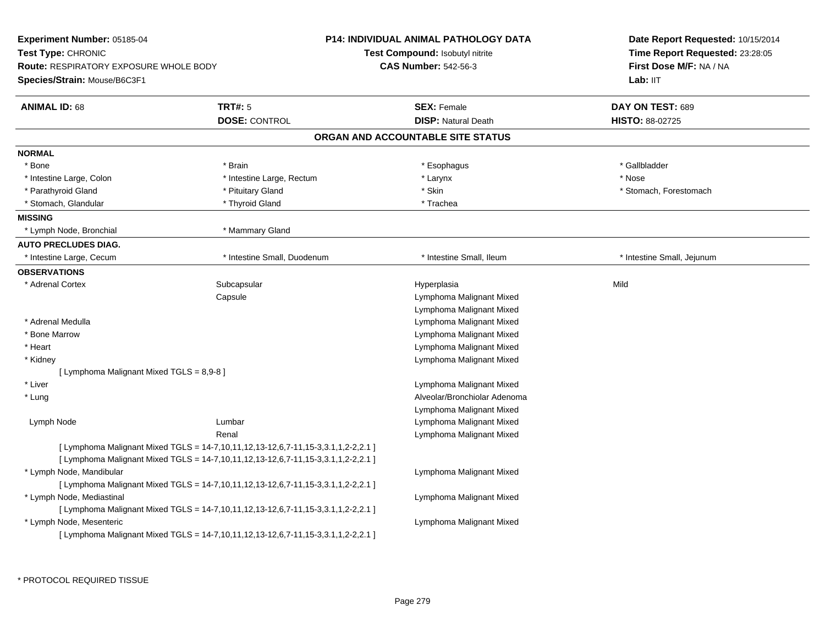| <b>Experiment Number: 05185-04</b><br>Test Type: CHRONIC<br><b>Route: RESPIRATORY EXPOSURE WHOLE BODY</b><br>Species/Strain: Mouse/B6C3F1 |                                                                                                                                                                        | P14: INDIVIDUAL ANIMAL PATHOLOGY DATA<br>Test Compound: Isobutyl nitrite<br><b>CAS Number: 542-56-3</b> | Date Report Requested: 10/15/2014<br>Time Report Requested: 23:28:05<br>First Dose M/F: NA / NA<br>Lab: II <sub>T</sub> |
|-------------------------------------------------------------------------------------------------------------------------------------------|------------------------------------------------------------------------------------------------------------------------------------------------------------------------|---------------------------------------------------------------------------------------------------------|-------------------------------------------------------------------------------------------------------------------------|
| <b>ANIMAL ID: 68</b>                                                                                                                      | <b>TRT#: 5</b>                                                                                                                                                         | <b>SEX: Female</b>                                                                                      | DAY ON TEST: 689                                                                                                        |
|                                                                                                                                           | <b>DOSE: CONTROL</b>                                                                                                                                                   | <b>DISP: Natural Death</b>                                                                              | HISTO: 88-02725                                                                                                         |
|                                                                                                                                           |                                                                                                                                                                        | ORGAN AND ACCOUNTABLE SITE STATUS                                                                       |                                                                                                                         |
| <b>NORMAL</b>                                                                                                                             |                                                                                                                                                                        |                                                                                                         |                                                                                                                         |
| * Bone                                                                                                                                    | * Brain                                                                                                                                                                | * Esophagus                                                                                             | * Gallbladder                                                                                                           |
| * Intestine Large, Colon                                                                                                                  | * Intestine Large, Rectum                                                                                                                                              | * Larynx                                                                                                | * Nose                                                                                                                  |
| * Parathyroid Gland                                                                                                                       | * Pituitary Gland                                                                                                                                                      | * Skin                                                                                                  | * Stomach, Forestomach                                                                                                  |
| * Stomach, Glandular                                                                                                                      | * Thyroid Gland                                                                                                                                                        | * Trachea                                                                                               |                                                                                                                         |
| <b>MISSING</b>                                                                                                                            |                                                                                                                                                                        |                                                                                                         |                                                                                                                         |
| * Lymph Node, Bronchial                                                                                                                   | * Mammary Gland                                                                                                                                                        |                                                                                                         |                                                                                                                         |
| <b>AUTO PRECLUDES DIAG.</b>                                                                                                               |                                                                                                                                                                        |                                                                                                         |                                                                                                                         |
| * Intestine Large, Cecum                                                                                                                  | * Intestine Small, Duodenum                                                                                                                                            | * Intestine Small, Ileum                                                                                | * Intestine Small, Jejunum                                                                                              |
| <b>OBSERVATIONS</b>                                                                                                                       |                                                                                                                                                                        |                                                                                                         |                                                                                                                         |
| * Adrenal Cortex                                                                                                                          | Subcapsular                                                                                                                                                            | Hyperplasia                                                                                             | Mild                                                                                                                    |
|                                                                                                                                           | Capsule                                                                                                                                                                | Lymphoma Malignant Mixed                                                                                |                                                                                                                         |
|                                                                                                                                           |                                                                                                                                                                        | Lymphoma Malignant Mixed                                                                                |                                                                                                                         |
| * Adrenal Medulla                                                                                                                         |                                                                                                                                                                        | Lymphoma Malignant Mixed                                                                                |                                                                                                                         |
| * Bone Marrow                                                                                                                             |                                                                                                                                                                        | Lymphoma Malignant Mixed                                                                                |                                                                                                                         |
| * Heart                                                                                                                                   |                                                                                                                                                                        | Lymphoma Malignant Mixed                                                                                |                                                                                                                         |
| * Kidney                                                                                                                                  |                                                                                                                                                                        | Lymphoma Malignant Mixed                                                                                |                                                                                                                         |
| [ Lymphoma Malignant Mixed TGLS = 8,9-8 ]                                                                                                 |                                                                                                                                                                        |                                                                                                         |                                                                                                                         |
| * Liver                                                                                                                                   |                                                                                                                                                                        | Lymphoma Malignant Mixed                                                                                |                                                                                                                         |
| * Lung                                                                                                                                    |                                                                                                                                                                        | Alveolar/Bronchiolar Adenoma                                                                            |                                                                                                                         |
|                                                                                                                                           |                                                                                                                                                                        | Lymphoma Malignant Mixed                                                                                |                                                                                                                         |
| Lymph Node                                                                                                                                | Lumbar                                                                                                                                                                 | Lymphoma Malignant Mixed                                                                                |                                                                                                                         |
|                                                                                                                                           | Renal                                                                                                                                                                  | Lymphoma Malignant Mixed                                                                                |                                                                                                                         |
|                                                                                                                                           | [ Lymphoma Malignant Mixed TGLS = 14-7,10,11,12,13-12,6,7-11,15-3,3.1,1,2-2,2.1 ]<br>[ Lymphoma Malignant Mixed TGLS = 14-7,10,11,12,13-12,6,7-11,15-3,3.1,1,2-2,2.1 ] |                                                                                                         |                                                                                                                         |
| * Lymph Node, Mandibular                                                                                                                  | [ Lymphoma Malignant Mixed TGLS = 14-7,10,11,12,13-12,6,7-11,15-3,3.1,1,2-2,2.1 ]                                                                                      | Lymphoma Malignant Mixed                                                                                |                                                                                                                         |
| * Lymph Node, Mediastinal                                                                                                                 | [ Lymphoma Malignant Mixed TGLS = 14-7,10,11,12,13-12,6,7-11,15-3,3.1,1,2-2,2.1 ]                                                                                      | Lymphoma Malignant Mixed                                                                                |                                                                                                                         |
| * Lymph Node, Mesenteric                                                                                                                  | [Lymphoma Malignant Mixed TGLS = 14-7,10,11,12,13-12,6,7-11,15-3,3.1,1,2-2,2.1]                                                                                        | Lymphoma Malignant Mixed                                                                                |                                                                                                                         |

\* PROTOCOL REQUIRED TISSUE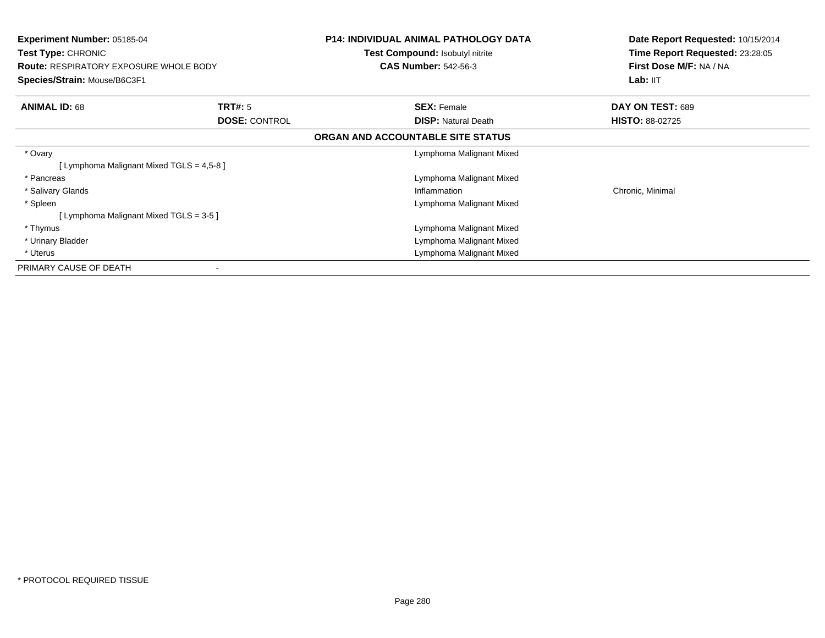| <b>Experiment Number: 05185-04</b><br>Test Type: CHRONIC<br><b>Route: RESPIRATORY EXPOSURE WHOLE BODY</b><br>Species/Strain: Mouse/B6C3F1 |                      | <b>P14: INDIVIDUAL ANIMAL PATHOLOGY DATA</b><br>Test Compound: Isobutyl nitrite<br><b>CAS Number: 542-56-3</b> | Date Report Requested: 10/15/2014<br>Time Report Requested: 23:28:05<br>First Dose M/F: NA / NA<br>Lab: II <sub>T</sub> |
|-------------------------------------------------------------------------------------------------------------------------------------------|----------------------|----------------------------------------------------------------------------------------------------------------|-------------------------------------------------------------------------------------------------------------------------|
| <b>ANIMAL ID: 68</b>                                                                                                                      | <b>TRT#: 5</b>       | <b>SEX: Female</b>                                                                                             | DAY ON TEST: 689                                                                                                        |
|                                                                                                                                           | <b>DOSE: CONTROL</b> | <b>DISP:</b> Natural Death                                                                                     | <b>HISTO: 88-02725</b>                                                                                                  |
|                                                                                                                                           |                      | ORGAN AND ACCOUNTABLE SITE STATUS                                                                              |                                                                                                                         |
| * Ovary                                                                                                                                   |                      | Lymphoma Malignant Mixed                                                                                       |                                                                                                                         |
| [ Lymphoma Malignant Mixed TGLS = 4,5-8 ]                                                                                                 |                      |                                                                                                                |                                                                                                                         |
| * Pancreas                                                                                                                                |                      | Lymphoma Malignant Mixed                                                                                       |                                                                                                                         |
| * Salivary Glands                                                                                                                         |                      | Inflammation                                                                                                   | Chronic, Minimal                                                                                                        |
| * Spleen                                                                                                                                  |                      | Lymphoma Malignant Mixed                                                                                       |                                                                                                                         |
| [Lymphoma Malignant Mixed TGLS = 3-5]                                                                                                     |                      |                                                                                                                |                                                                                                                         |
| * Thymus                                                                                                                                  |                      | Lymphoma Malignant Mixed                                                                                       |                                                                                                                         |
| * Urinary Bladder                                                                                                                         |                      | Lymphoma Malignant Mixed                                                                                       |                                                                                                                         |
| * Uterus                                                                                                                                  |                      | Lymphoma Malignant Mixed                                                                                       |                                                                                                                         |
| PRIMARY CAUSE OF DEATH                                                                                                                    |                      |                                                                                                                |                                                                                                                         |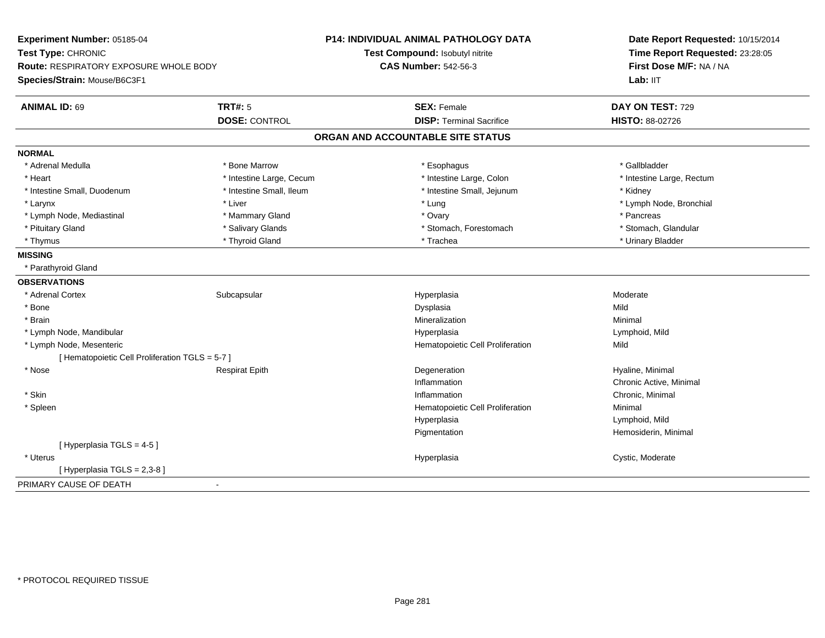| Experiment Number: 05185-04                     |                          | <b>P14: INDIVIDUAL ANIMAL PATHOLOGY DATA</b> | Date Report Requested: 10/15/2014<br>Time Report Requested: 23:28:05<br>First Dose M/F: NA / NA |  |
|-------------------------------------------------|--------------------------|----------------------------------------------|-------------------------------------------------------------------------------------------------|--|
| Test Type: CHRONIC                              |                          | Test Compound: Isobutyl nitrite              |                                                                                                 |  |
| <b>Route: RESPIRATORY EXPOSURE WHOLE BODY</b>   |                          | <b>CAS Number: 542-56-3</b>                  |                                                                                                 |  |
| Species/Strain: Mouse/B6C3F1                    |                          |                                              | Lab: IIT                                                                                        |  |
| <b>TRT#: 5</b><br><b>ANIMAL ID: 69</b>          |                          | <b>SEX: Female</b>                           | DAY ON TEST: 729                                                                                |  |
|                                                 | <b>DOSE: CONTROL</b>     | <b>DISP: Terminal Sacrifice</b>              | <b>HISTO: 88-02726</b>                                                                          |  |
|                                                 |                          | ORGAN AND ACCOUNTABLE SITE STATUS            |                                                                                                 |  |
| <b>NORMAL</b>                                   |                          |                                              |                                                                                                 |  |
| * Bone Marrow<br>* Adrenal Medulla              |                          | * Esophagus                                  | * Gallbladder                                                                                   |  |
| * Heart                                         | * Intestine Large, Cecum | * Intestine Large, Colon                     | * Intestine Large, Rectum                                                                       |  |
| * Intestine Small, Duodenum                     | * Intestine Small, Ileum | * Intestine Small, Jejunum                   | * Kidney                                                                                        |  |
| * Larynx<br>* Liver                             |                          | * Lung                                       | * Lymph Node, Bronchial                                                                         |  |
| * Lymph Node, Mediastinal                       | * Mammary Gland          | * Ovary                                      | * Pancreas                                                                                      |  |
| * Pituitary Gland                               | * Salivary Glands        | * Stomach, Forestomach                       | * Stomach, Glandular                                                                            |  |
| * Thymus                                        | * Thyroid Gland          | * Trachea                                    | * Urinary Bladder                                                                               |  |
| <b>MISSING</b>                                  |                          |                                              |                                                                                                 |  |
| * Parathyroid Gland                             |                          |                                              |                                                                                                 |  |
| <b>OBSERVATIONS</b>                             |                          |                                              |                                                                                                 |  |
| * Adrenal Cortex<br>Subcapsular                 |                          | Hyperplasia                                  | Moderate                                                                                        |  |
| * Bone                                          |                          | Dysplasia                                    | Mild                                                                                            |  |
| * Brain                                         |                          | Mineralization                               | Minimal                                                                                         |  |
| * Lymph Node, Mandibular                        |                          | Hyperplasia                                  | Lymphoid, Mild                                                                                  |  |
| * Lymph Node, Mesenteric                        |                          | Hematopoietic Cell Proliferation             | Mild                                                                                            |  |
| [ Hematopoietic Cell Proliferation TGLS = 5-7 ] |                          |                                              |                                                                                                 |  |
| * Nose<br><b>Respirat Epith</b>                 |                          | Degeneration                                 | Hyaline, Minimal                                                                                |  |
|                                                 |                          | Inflammation                                 | Chronic Active, Minimal                                                                         |  |
| * Skin                                          |                          | Inflammation                                 | Chronic, Minimal                                                                                |  |
| * Spleen                                        |                          | Hematopoietic Cell Proliferation             | Minimal                                                                                         |  |
|                                                 |                          | Hyperplasia                                  | Lymphoid, Mild                                                                                  |  |
|                                                 |                          | Pigmentation                                 | Hemosiderin, Minimal                                                                            |  |
| [ Hyperplasia TGLS = 4-5 ]                      |                          |                                              |                                                                                                 |  |
| * Uterus                                        |                          | Hyperplasia                                  | Cystic, Moderate                                                                                |  |
| [ Hyperplasia TGLS = 2,3-8 ]                    |                          |                                              |                                                                                                 |  |
| PRIMARY CAUSE OF DEATH<br>$\blacksquare$        |                          |                                              |                                                                                                 |  |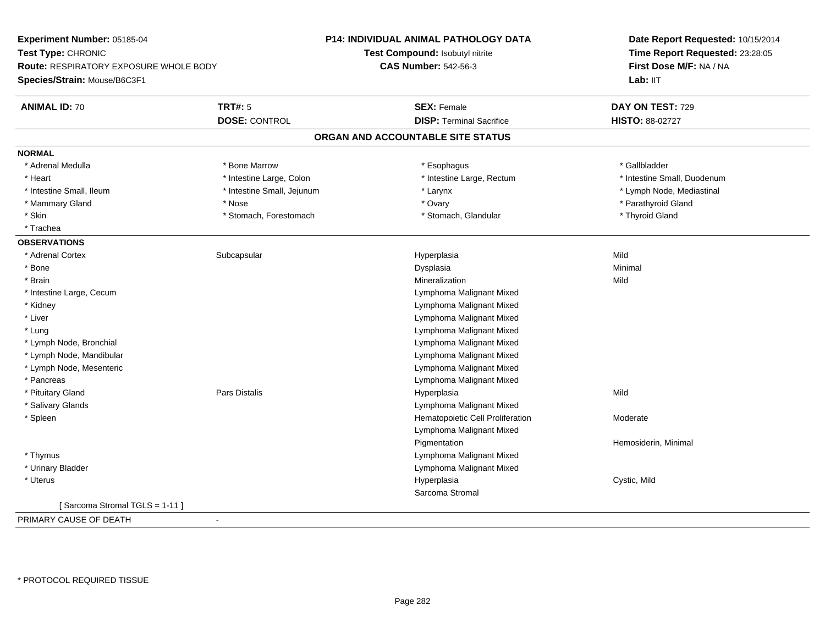| Experiment Number: 05185-04                                                                         |                            | P14: INDIVIDUAL ANIMAL PATHOLOGY DATA | Date Report Requested: 10/15/2014                          |
|-----------------------------------------------------------------------------------------------------|----------------------------|---------------------------------------|------------------------------------------------------------|
| Test Type: CHRONIC<br><b>Route: RESPIRATORY EXPOSURE WHOLE BODY</b><br>Species/Strain: Mouse/B6C3F1 |                            | Test Compound: Isobutyl nitrite       | Time Report Requested: 23:28:05<br>First Dose M/F: NA / NA |
|                                                                                                     |                            | <b>CAS Number: 542-56-3</b>           |                                                            |
|                                                                                                     |                            |                                       | Lab: IIT                                                   |
| <b>ANIMAL ID: 70</b>                                                                                | <b>TRT#: 5</b>             | <b>SEX: Female</b>                    | DAY ON TEST: 729                                           |
|                                                                                                     | <b>DOSE: CONTROL</b>       | <b>DISP: Terminal Sacrifice</b>       | HISTO: 88-02727                                            |
|                                                                                                     |                            | ORGAN AND ACCOUNTABLE SITE STATUS     |                                                            |
| <b>NORMAL</b>                                                                                       |                            |                                       |                                                            |
| * Adrenal Medulla                                                                                   | * Bone Marrow              | * Esophagus                           | * Gallbladder                                              |
| * Heart                                                                                             | * Intestine Large, Colon   | * Intestine Large, Rectum             | * Intestine Small, Duodenum                                |
| * Intestine Small, Ileum                                                                            | * Intestine Small, Jejunum | * Larynx                              | * Lymph Node, Mediastinal                                  |
| * Mammary Gland                                                                                     | * Nose                     | * Ovary                               | * Parathyroid Gland                                        |
| * Skin                                                                                              | * Stomach, Forestomach     | * Stomach, Glandular                  | * Thyroid Gland                                            |
| * Trachea                                                                                           |                            |                                       |                                                            |
| <b>OBSERVATIONS</b>                                                                                 |                            |                                       |                                                            |
| * Adrenal Cortex                                                                                    | Subcapsular                | Hyperplasia                           | Mild                                                       |
| * Bone                                                                                              |                            | Dysplasia                             | Minimal                                                    |
| * Brain                                                                                             |                            | Mineralization                        | Mild                                                       |
| * Intestine Large, Cecum                                                                            |                            | Lymphoma Malignant Mixed              |                                                            |
| * Kidney                                                                                            |                            | Lymphoma Malignant Mixed              |                                                            |
| * Liver                                                                                             |                            | Lymphoma Malignant Mixed              |                                                            |
| * Lung                                                                                              |                            | Lymphoma Malignant Mixed              |                                                            |
| * Lymph Node, Bronchial                                                                             |                            | Lymphoma Malignant Mixed              |                                                            |
| * Lymph Node, Mandibular                                                                            |                            | Lymphoma Malignant Mixed              |                                                            |
| * Lymph Node, Mesenteric                                                                            |                            | Lymphoma Malignant Mixed              |                                                            |
| * Pancreas                                                                                          |                            | Lymphoma Malignant Mixed              |                                                            |
| * Pituitary Gland                                                                                   | Pars Distalis              | Hyperplasia                           | Mild                                                       |
| * Salivary Glands                                                                                   |                            | Lymphoma Malignant Mixed              |                                                            |
| * Spleen                                                                                            |                            | Hematopoietic Cell Proliferation      | Moderate                                                   |
|                                                                                                     |                            | Lymphoma Malignant Mixed              |                                                            |
|                                                                                                     |                            | Pigmentation                          | Hemosiderin, Minimal                                       |
| * Thymus                                                                                            |                            | Lymphoma Malignant Mixed              |                                                            |
| * Urinary Bladder                                                                                   |                            | Lymphoma Malignant Mixed              |                                                            |
| * Uterus                                                                                            |                            | Hyperplasia                           | Cystic, Mild                                               |
|                                                                                                     |                            | Sarcoma Stromal                       |                                                            |
| [Sarcoma Stromal TGLS = 1-11]                                                                       |                            |                                       |                                                            |
| PRIMARY CAUSE OF DEATH                                                                              | $\blacksquare$             |                                       |                                                            |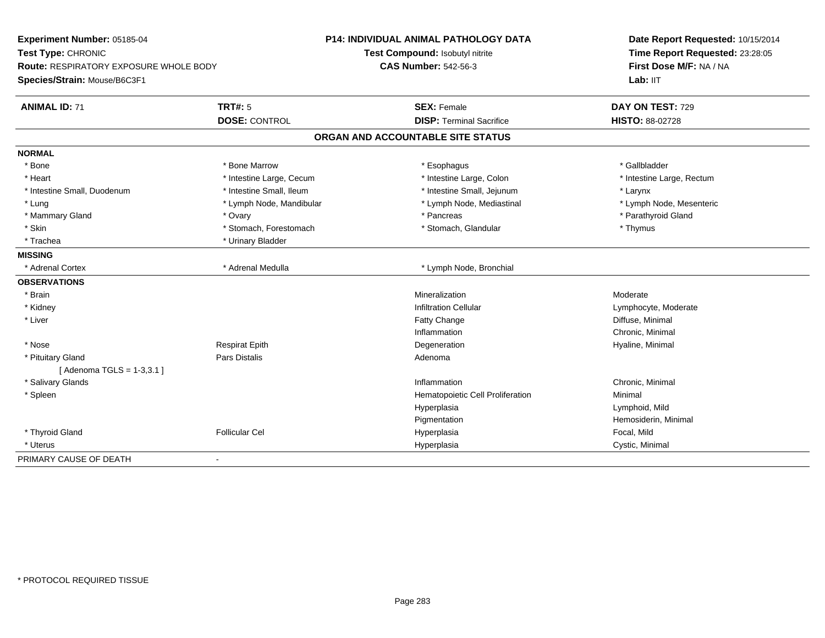| Experiment Number: 05185-04                   |                          | <b>P14: INDIVIDUAL ANIMAL PATHOLOGY DATA</b> | Date Report Requested: 10/15/2014 |
|-----------------------------------------------|--------------------------|----------------------------------------------|-----------------------------------|
| Test Type: CHRONIC                            |                          | Test Compound: Isobutyl nitrite              | Time Report Requested: 23:28:05   |
| <b>Route: RESPIRATORY EXPOSURE WHOLE BODY</b> |                          | <b>CAS Number: 542-56-3</b>                  | First Dose M/F: NA / NA           |
| Species/Strain: Mouse/B6C3F1                  |                          |                                              | Lab: IIT                          |
| <b>ANIMAL ID: 71</b>                          | <b>TRT#: 5</b>           | <b>SEX: Female</b>                           | DAY ON TEST: 729                  |
|                                               | <b>DOSE: CONTROL</b>     | <b>DISP: Terminal Sacrifice</b>              | HISTO: 88-02728                   |
|                                               |                          | ORGAN AND ACCOUNTABLE SITE STATUS            |                                   |
| <b>NORMAL</b>                                 |                          |                                              |                                   |
| * Bone                                        | * Bone Marrow            | * Esophagus                                  | * Gallbladder                     |
| * Heart                                       | * Intestine Large, Cecum | * Intestine Large, Colon                     | * Intestine Large, Rectum         |
| * Intestine Small, Duodenum                   | * Intestine Small, Ileum | * Intestine Small, Jejunum                   | * Larynx                          |
| * Lung                                        | * Lymph Node, Mandibular | * Lymph Node, Mediastinal                    | * Lymph Node, Mesenteric          |
| * Mammary Gland                               | * Ovary                  | * Pancreas                                   | * Parathyroid Gland               |
| * Skin                                        | * Stomach, Forestomach   | * Stomach, Glandular                         | * Thymus                          |
| * Trachea                                     | * Urinary Bladder        |                                              |                                   |
| <b>MISSING</b>                                |                          |                                              |                                   |
| * Adrenal Cortex                              | * Adrenal Medulla        | * Lymph Node, Bronchial                      |                                   |
| <b>OBSERVATIONS</b>                           |                          |                                              |                                   |
| * Brain                                       |                          | Mineralization                               | Moderate                          |
| * Kidney                                      |                          | <b>Infiltration Cellular</b>                 | Lymphocyte, Moderate              |
| * Liver                                       |                          | Fatty Change                                 | Diffuse, Minimal                  |
|                                               |                          | Inflammation                                 | Chronic, Minimal                  |
| * Nose                                        | Respirat Epith           | Degeneration                                 | Hyaline, Minimal                  |
| * Pituitary Gland                             | Pars Distalis            | Adenoma                                      |                                   |
| [Adenoma TGLS = 1-3,3.1]                      |                          |                                              |                                   |
| * Salivary Glands                             |                          | Inflammation                                 | Chronic, Minimal                  |
| * Spleen                                      |                          | Hematopoietic Cell Proliferation             | Minimal                           |
|                                               |                          | Hyperplasia                                  | Lymphoid, Mild                    |
|                                               |                          | Pigmentation                                 | Hemosiderin, Minimal              |
| * Thyroid Gland                               | <b>Follicular Cel</b>    | Hyperplasia                                  | Focal, Mild                       |
| * Uterus                                      |                          | Hyperplasia                                  | Cystic, Minimal                   |
| PRIMARY CAUSE OF DEATH                        | $\blacksquare$           |                                              |                                   |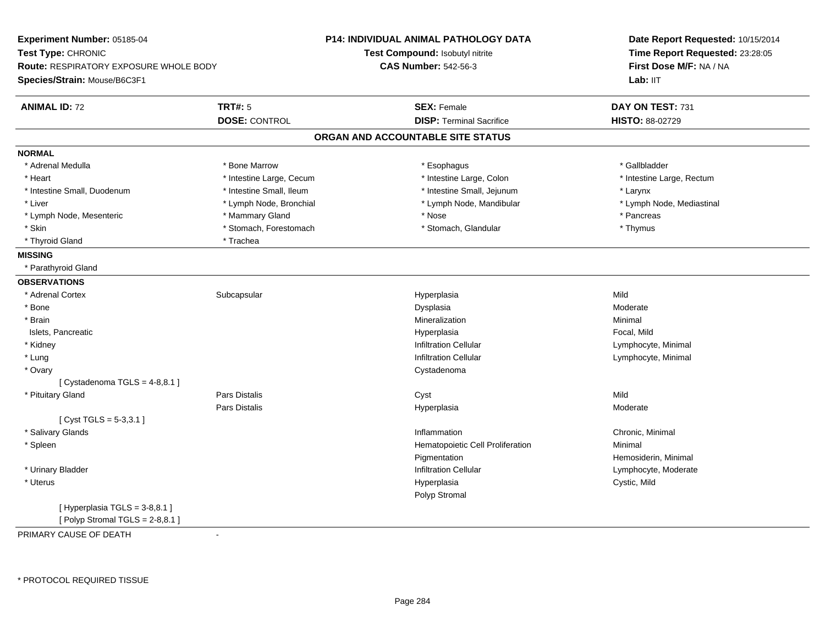| Experiment Number: 05185-04<br>Test Type: CHRONIC<br><b>Route: RESPIRATORY EXPOSURE WHOLE BODY</b><br>Species/Strain: Mouse/B6C3F1 |                          | P14: INDIVIDUAL ANIMAL PATHOLOGY DATA | Date Report Requested: 10/15/2014<br>Time Report Requested: 23:28:05<br>First Dose M/F: NA / NA<br>Lab: IIT |
|------------------------------------------------------------------------------------------------------------------------------------|--------------------------|---------------------------------------|-------------------------------------------------------------------------------------------------------------|
|                                                                                                                                    |                          | Test Compound: Isobutyl nitrite       |                                                                                                             |
|                                                                                                                                    |                          | <b>CAS Number: 542-56-3</b>           |                                                                                                             |
|                                                                                                                                    |                          |                                       |                                                                                                             |
| <b>ANIMAL ID: 72</b>                                                                                                               | <b>TRT#: 5</b>           | <b>SEX: Female</b>                    | DAY ON TEST: 731                                                                                            |
|                                                                                                                                    | <b>DOSE: CONTROL</b>     | <b>DISP: Terminal Sacrifice</b>       | HISTO: 88-02729                                                                                             |
|                                                                                                                                    |                          | ORGAN AND ACCOUNTABLE SITE STATUS     |                                                                                                             |
| <b>NORMAL</b>                                                                                                                      |                          |                                       |                                                                                                             |
| * Adrenal Medulla                                                                                                                  | * Bone Marrow            | * Esophagus                           | * Gallbladder                                                                                               |
| * Heart                                                                                                                            | * Intestine Large, Cecum | * Intestine Large, Colon              | * Intestine Large, Rectum                                                                                   |
| * Intestine Small, Duodenum                                                                                                        | * Intestine Small, Ileum | * Intestine Small, Jejunum            | * Larynx                                                                                                    |
| * Liver                                                                                                                            | * Lymph Node, Bronchial  | * Lymph Node, Mandibular              | * Lymph Node, Mediastinal                                                                                   |
| * Lymph Node, Mesenteric                                                                                                           | * Mammary Gland          | * Nose                                | * Pancreas                                                                                                  |
| * Skin                                                                                                                             | * Stomach, Forestomach   | * Stomach, Glandular                  | * Thymus                                                                                                    |
| * Thyroid Gland                                                                                                                    | * Trachea                |                                       |                                                                                                             |
| <b>MISSING</b>                                                                                                                     |                          |                                       |                                                                                                             |
| * Parathyroid Gland                                                                                                                |                          |                                       |                                                                                                             |
| <b>OBSERVATIONS</b>                                                                                                                |                          |                                       |                                                                                                             |
| * Adrenal Cortex                                                                                                                   | Subcapsular              | Hyperplasia                           | Mild                                                                                                        |
| * Bone                                                                                                                             |                          | Dysplasia                             | Moderate                                                                                                    |
| * Brain                                                                                                                            |                          | Mineralization                        | Minimal                                                                                                     |
| Islets, Pancreatic                                                                                                                 |                          | Hyperplasia                           | Focal, Mild                                                                                                 |
| * Kidney                                                                                                                           |                          | <b>Infiltration Cellular</b>          | Lymphocyte, Minimal                                                                                         |
| * Lung                                                                                                                             |                          | <b>Infiltration Cellular</b>          | Lymphocyte, Minimal                                                                                         |
| * Ovary                                                                                                                            |                          | Cystadenoma                           |                                                                                                             |
| [Cystadenoma TGLS = $4-8,8.1$ ]                                                                                                    |                          |                                       |                                                                                                             |
| * Pituitary Gland                                                                                                                  | <b>Pars Distalis</b>     | Cyst                                  | Mild                                                                                                        |
|                                                                                                                                    | Pars Distalis            | Hyperplasia                           | Moderate                                                                                                    |
| [ $Cyst TGLS = 5-3,3.1$ ]                                                                                                          |                          |                                       |                                                                                                             |
| * Salivary Glands                                                                                                                  |                          | Inflammation                          | Chronic, Minimal                                                                                            |
| * Spleen                                                                                                                           |                          | Hematopoietic Cell Proliferation      | Minimal                                                                                                     |
|                                                                                                                                    |                          | Pigmentation                          | Hemosiderin, Minimal                                                                                        |
| * Urinary Bladder                                                                                                                  |                          | <b>Infiltration Cellular</b>          | Lymphocyte, Moderate                                                                                        |
| * Uterus                                                                                                                           |                          | Hyperplasia                           | Cystic, Mild                                                                                                |
|                                                                                                                                    |                          | Polyp Stromal                         |                                                                                                             |
| [Hyperplasia TGLS = 3-8,8.1]<br>[ Polyp Stromal TGLS = $2-8,8.1$ ]                                                                 |                          |                                       |                                                                                                             |

PRIMARY CAUSE OF DEATH-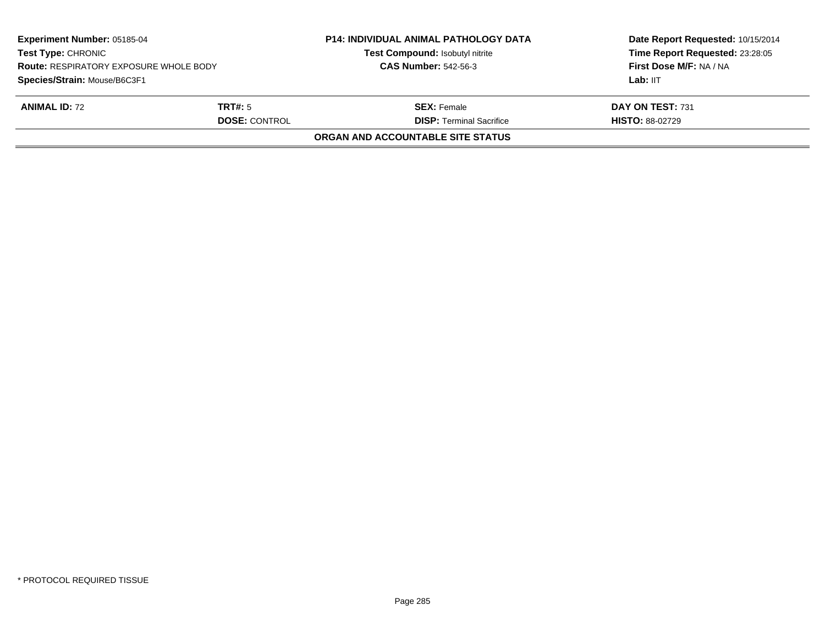| Experiment Number: 05185-04<br><b>Test Type: CHRONIC</b><br><b>Route: RESPIRATORY EXPOSURE WHOLE BODY</b><br>Species/Strain: Mouse/B6C3F1 |                                        | <b>P14: INDIVIDUAL ANIMAL PATHOLOGY DATA</b><br>Test Compound: Isobutyl nitrite<br><b>CAS Number: 542-56-3</b> | Date Report Requested: 10/15/2014<br>Time Report Requested: 23:28:05<br>First Dose M/F: NA / NA<br>Lab: IIT |
|-------------------------------------------------------------------------------------------------------------------------------------------|----------------------------------------|----------------------------------------------------------------------------------------------------------------|-------------------------------------------------------------------------------------------------------------|
| <b>ANIMAL ID: 72</b>                                                                                                                      | <b>TRT#:</b> 5<br><b>DOSE: CONTROL</b> | <b>SEX:</b> Female<br><b>DISP: Terminal Sacrifice</b>                                                          | DAY ON TEST: 731<br><b>HISTO: 88-02729</b>                                                                  |
|                                                                                                                                           |                                        | ORGAN AND ACCOUNTABLE SITE STATUS                                                                              |                                                                                                             |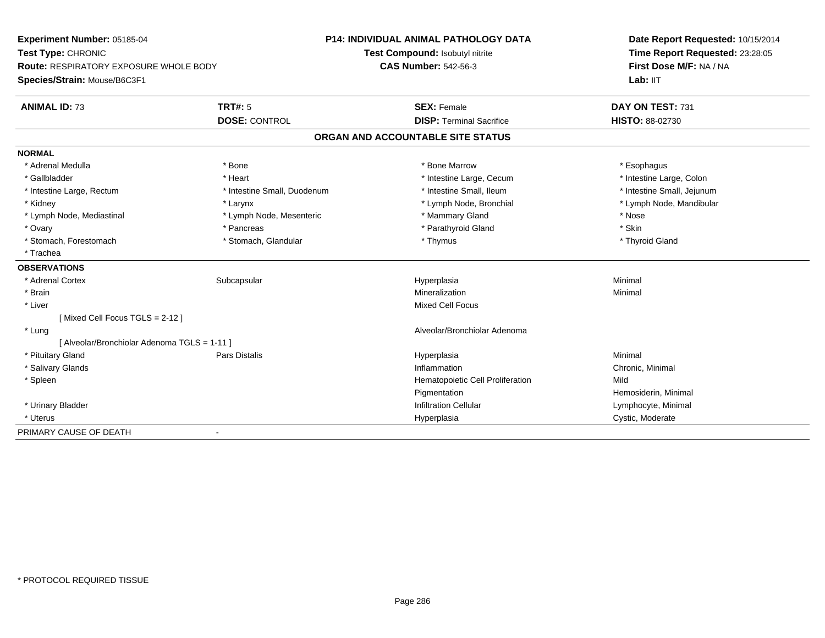| Experiment Number: 05185-04                  |                             | <b>P14: INDIVIDUAL ANIMAL PATHOLOGY DATA</b> | Date Report Requested: 10/15/2014 |
|----------------------------------------------|-----------------------------|----------------------------------------------|-----------------------------------|
| Test Type: CHRONIC                           |                             | Test Compound: Isobutyl nitrite              | Time Report Requested: 23:28:05   |
| Route: RESPIRATORY EXPOSURE WHOLE BODY       |                             | <b>CAS Number: 542-56-3</b>                  | First Dose M/F: NA / NA           |
| Species/Strain: Mouse/B6C3F1                 |                             |                                              | Lab: IIT                          |
| <b>ANIMAL ID: 73</b>                         | <b>TRT#: 5</b>              | <b>SEX: Female</b>                           | DAY ON TEST: 731                  |
|                                              | <b>DOSE: CONTROL</b>        | <b>DISP: Terminal Sacrifice</b>              | HISTO: 88-02730                   |
|                                              |                             | ORGAN AND ACCOUNTABLE SITE STATUS            |                                   |
| <b>NORMAL</b>                                |                             |                                              |                                   |
| * Adrenal Medulla                            | * Bone                      | * Bone Marrow                                | * Esophagus                       |
| * Gallbladder                                | * Heart                     | * Intestine Large, Cecum                     | * Intestine Large, Colon          |
| * Intestine Large, Rectum                    | * Intestine Small, Duodenum | * Intestine Small, Ileum                     | * Intestine Small, Jejunum        |
| * Kidney                                     | * Larynx                    | * Lymph Node, Bronchial                      | * Lymph Node, Mandibular          |
| * Lymph Node, Mediastinal                    | * Lymph Node, Mesenteric    | * Mammary Gland                              | * Nose                            |
| * Ovary                                      | * Pancreas                  | * Parathyroid Gland                          | * Skin                            |
| * Stomach, Forestomach                       | * Stomach, Glandular        | * Thymus                                     | * Thyroid Gland                   |
| * Trachea                                    |                             |                                              |                                   |
| <b>OBSERVATIONS</b>                          |                             |                                              |                                   |
| * Adrenal Cortex                             | Subcapsular                 | Hyperplasia                                  | Minimal                           |
| * Brain                                      |                             | Mineralization                               | Minimal                           |
| * Liver                                      |                             | <b>Mixed Cell Focus</b>                      |                                   |
| [Mixed Cell Focus TGLS = 2-12]               |                             |                                              |                                   |
| * Lung                                       |                             | Alveolar/Bronchiolar Adenoma                 |                                   |
| [ Alveolar/Bronchiolar Adenoma TGLS = 1-11 ] |                             |                                              |                                   |
| * Pituitary Gland                            | Pars Distalis               | Hyperplasia                                  | Minimal                           |
| * Salivary Glands                            |                             | Inflammation                                 | Chronic, Minimal                  |
| * Spleen                                     |                             | Hematopoietic Cell Proliferation             | Mild                              |
|                                              |                             | Pigmentation                                 | Hemosiderin, Minimal              |
| * Urinary Bladder                            |                             | <b>Infiltration Cellular</b>                 | Lymphocyte, Minimal               |
| * Uterus                                     |                             | Hyperplasia                                  | Cystic, Moderate                  |
| PRIMARY CAUSE OF DEATH                       | $\blacksquare$              |                                              |                                   |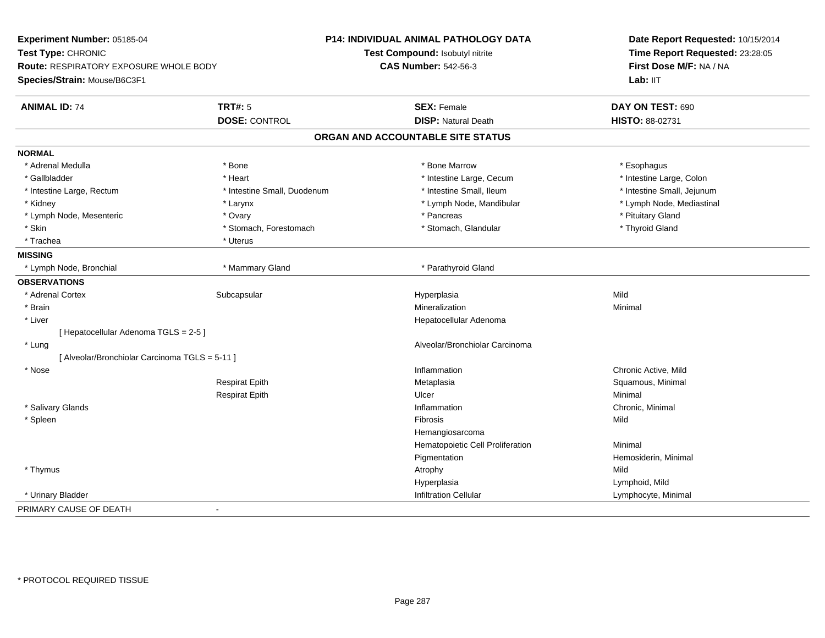| Experiment Number: 05185-04                    |                             | <b>P14: INDIVIDUAL ANIMAL PATHOLOGY DATA</b> | Date Report Requested: 10/15/2014<br>Time Report Requested: 23:28:05<br>First Dose M/F: NA / NA |  |
|------------------------------------------------|-----------------------------|----------------------------------------------|-------------------------------------------------------------------------------------------------|--|
| Test Type: CHRONIC                             |                             | Test Compound: Isobutyl nitrite              |                                                                                                 |  |
| <b>Route: RESPIRATORY EXPOSURE WHOLE BODY</b>  |                             | <b>CAS Number: 542-56-3</b>                  |                                                                                                 |  |
| Species/Strain: Mouse/B6C3F1                   |                             |                                              | Lab: IIT                                                                                        |  |
| <b>ANIMAL ID: 74</b>                           | <b>TRT#: 5</b>              | <b>SEX: Female</b>                           | DAY ON TEST: 690                                                                                |  |
|                                                | <b>DOSE: CONTROL</b>        | <b>DISP: Natural Death</b>                   | <b>HISTO: 88-02731</b>                                                                          |  |
|                                                |                             | ORGAN AND ACCOUNTABLE SITE STATUS            |                                                                                                 |  |
| <b>NORMAL</b>                                  |                             |                                              |                                                                                                 |  |
| * Adrenal Medulla                              | * Bone                      | * Bone Marrow                                | * Esophagus                                                                                     |  |
| * Gallbladder                                  | * Heart                     | * Intestine Large, Cecum                     | * Intestine Large, Colon                                                                        |  |
| * Intestine Large, Rectum                      | * Intestine Small, Duodenum | * Intestine Small, Ileum                     | * Intestine Small, Jejunum                                                                      |  |
| * Kidney                                       | * Larynx                    | * Lymph Node, Mandibular                     | * Lymph Node, Mediastinal                                                                       |  |
| * Lymph Node, Mesenteric                       | * Ovary                     | * Pancreas                                   | * Pituitary Gland                                                                               |  |
| * Skin                                         | * Stomach, Forestomach      | * Stomach, Glandular                         | * Thyroid Gland                                                                                 |  |
| * Trachea                                      | * Uterus                    |                                              |                                                                                                 |  |
| <b>MISSING</b>                                 |                             |                                              |                                                                                                 |  |
| * Lymph Node, Bronchial                        | * Mammary Gland             | * Parathyroid Gland                          |                                                                                                 |  |
| <b>OBSERVATIONS</b>                            |                             |                                              |                                                                                                 |  |
| * Adrenal Cortex                               | Subcapsular                 | Hyperplasia                                  | Mild                                                                                            |  |
| * Brain                                        |                             | Mineralization                               | Minimal                                                                                         |  |
| * Liver                                        |                             | Hepatocellular Adenoma                       |                                                                                                 |  |
| [ Hepatocellular Adenoma TGLS = 2-5 ]          |                             |                                              |                                                                                                 |  |
| * Lung                                         |                             | Alveolar/Bronchiolar Carcinoma               |                                                                                                 |  |
| [ Alveolar/Bronchiolar Carcinoma TGLS = 5-11 ] |                             |                                              |                                                                                                 |  |
| * Nose                                         |                             | Inflammation                                 | Chronic Active, Mild                                                                            |  |
|                                                | Respirat Epith              | Metaplasia                                   | Squamous, Minimal                                                                               |  |
|                                                | <b>Respirat Epith</b>       | Ulcer                                        | Minimal                                                                                         |  |
| * Salivary Glands                              |                             | Inflammation                                 | Chronic, Minimal                                                                                |  |
| * Spleen                                       |                             | <b>Fibrosis</b>                              | Mild                                                                                            |  |
|                                                |                             | Hemangiosarcoma                              |                                                                                                 |  |
|                                                |                             | Hematopoietic Cell Proliferation             | Minimal                                                                                         |  |
|                                                |                             | Pigmentation                                 | Hemosiderin, Minimal                                                                            |  |
| * Thymus                                       |                             | Atrophy                                      | Mild                                                                                            |  |
|                                                |                             | Hyperplasia                                  | Lymphoid, Mild                                                                                  |  |
| * Urinary Bladder                              |                             | Infiltration Cellular                        | Lymphocyte, Minimal                                                                             |  |
| PRIMARY CAUSE OF DEATH                         | $\blacksquare$              |                                              |                                                                                                 |  |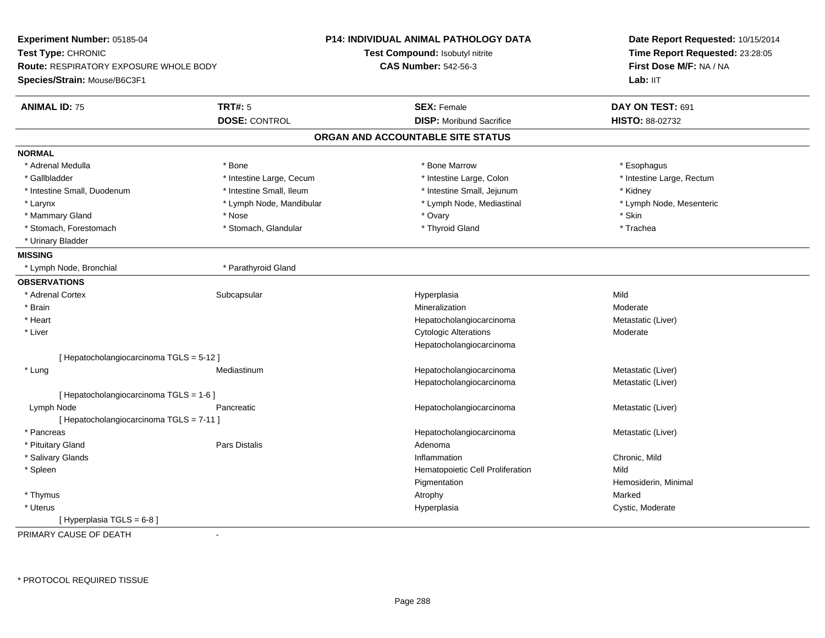|                                          |                                               | Date Report Requested: 10/15/2014<br>Time Report Requested: 23:28:05<br>First Dose M/F: NA / NA<br>Lab: IIT                                                                                                             |
|------------------------------------------|-----------------------------------------------|-------------------------------------------------------------------------------------------------------------------------------------------------------------------------------------------------------------------------|
|                                          | <b>Test Compound: Isobutyl nitrite</b>        |                                                                                                                                                                                                                         |
|                                          |                                               |                                                                                                                                                                                                                         |
|                                          |                                               |                                                                                                                                                                                                                         |
| <b>TRT#: 5</b>                           | <b>SEX: Female</b>                            | DAY ON TEST: 691                                                                                                                                                                                                        |
| <b>DOSE: CONTROL</b>                     | <b>DISP:</b> Moribund Sacrifice               | HISTO: 88-02732                                                                                                                                                                                                         |
|                                          |                                               |                                                                                                                                                                                                                         |
|                                          |                                               |                                                                                                                                                                                                                         |
| * Bone                                   | * Bone Marrow                                 | * Esophagus                                                                                                                                                                                                             |
| * Intestine Large, Cecum                 | * Intestine Large, Colon                      | * Intestine Large, Rectum                                                                                                                                                                                               |
| * Intestine Small, Ileum                 | * Intestine Small, Jejunum                    | * Kidney                                                                                                                                                                                                                |
| * Lymph Node, Mandibular                 | * Lymph Node, Mediastinal                     | * Lymph Node, Mesenteric                                                                                                                                                                                                |
| * Nose                                   | * Ovary                                       | * Skin                                                                                                                                                                                                                  |
| * Stomach, Glandular                     | * Thyroid Gland                               | * Trachea                                                                                                                                                                                                               |
|                                          |                                               |                                                                                                                                                                                                                         |
|                                          |                                               |                                                                                                                                                                                                                         |
| * Parathyroid Gland                      |                                               |                                                                                                                                                                                                                         |
|                                          |                                               |                                                                                                                                                                                                                         |
| Subcapsular                              |                                               | Mild                                                                                                                                                                                                                    |
|                                          | Mineralization                                | Moderate                                                                                                                                                                                                                |
|                                          |                                               | Metastatic (Liver)                                                                                                                                                                                                      |
|                                          |                                               | Moderate                                                                                                                                                                                                                |
|                                          |                                               |                                                                                                                                                                                                                         |
| [Hepatocholangiocarcinoma TGLS = 5-12]   |                                               |                                                                                                                                                                                                                         |
| Mediastinum                              | Hepatocholangiocarcinoma                      | Metastatic (Liver)                                                                                                                                                                                                      |
|                                          | Hepatocholangiocarcinoma                      | Metastatic (Liver)                                                                                                                                                                                                      |
| [ Hepatocholangiocarcinoma TGLS = 1-6 ]  |                                               |                                                                                                                                                                                                                         |
| Pancreatic                               | Hepatocholangiocarcinoma                      | Metastatic (Liver)                                                                                                                                                                                                      |
| [ Hepatocholangiocarcinoma TGLS = 7-11 ] |                                               |                                                                                                                                                                                                                         |
|                                          | Hepatocholangiocarcinoma                      | Metastatic (Liver)                                                                                                                                                                                                      |
| <b>Pars Distalis</b>                     | Adenoma                                       |                                                                                                                                                                                                                         |
|                                          | Inflammation                                  | Chronic, Mild                                                                                                                                                                                                           |
|                                          | Hematopoietic Cell Proliferation              | Mild                                                                                                                                                                                                                    |
|                                          | Pigmentation                                  | Hemosiderin, Minimal                                                                                                                                                                                                    |
|                                          | Atrophy                                       | Marked                                                                                                                                                                                                                  |
|                                          | Hyperplasia                                   | Cystic, Moderate                                                                                                                                                                                                        |
|                                          |                                               |                                                                                                                                                                                                                         |
|                                          | <b>Route: RESPIRATORY EXPOSURE WHOLE BODY</b> | <b>P14: INDIVIDUAL ANIMAL PATHOLOGY DATA</b><br><b>CAS Number: 542-56-3</b><br>ORGAN AND ACCOUNTABLE SITE STATUS<br>Hyperplasia<br>Hepatocholangiocarcinoma<br><b>Cytologic Alterations</b><br>Hepatocholangiocarcinoma |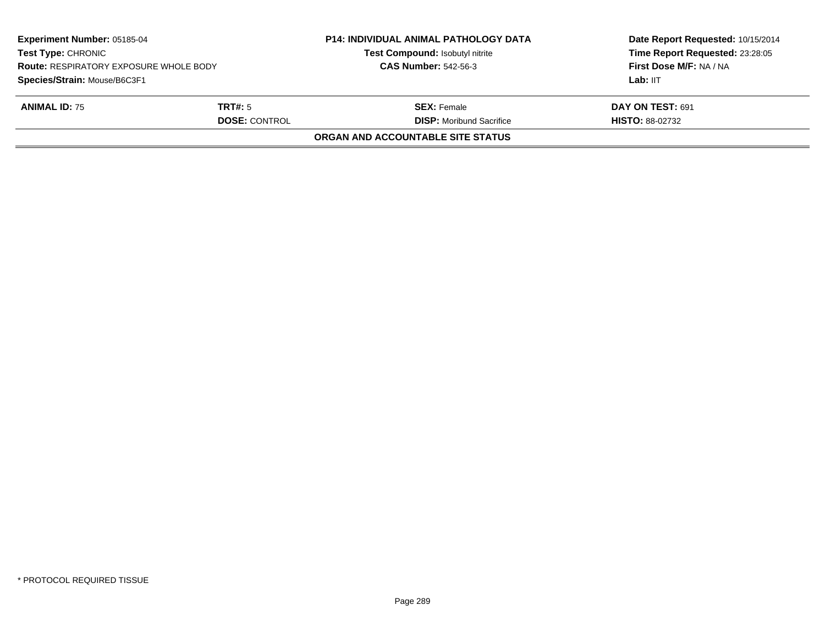| <b>Experiment Number: 05185-04</b><br><b>Test Type: CHRONIC</b><br><b>Route: RESPIRATORY EXPOSURE WHOLE BODY</b><br>Species/Strain: Mouse/B6C3F1 |                      | <b>P14: INDIVIDUAL ANIMAL PATHOLOGY DATA</b><br>Test Compound: Isobutyl nitrite<br><b>CAS Number: 542-56-3</b> | Date Report Requested: 10/15/2014<br>Time Report Requested: 23:28:05<br>First Dose M/F: NA / NA<br>Lab: IIT |
|--------------------------------------------------------------------------------------------------------------------------------------------------|----------------------|----------------------------------------------------------------------------------------------------------------|-------------------------------------------------------------------------------------------------------------|
| <b>ANIMAL ID: 75</b>                                                                                                                             | TRT#: 5              | <b>SEX:</b> Female                                                                                             | DAY ON TEST: 691                                                                                            |
|                                                                                                                                                  | <b>DOSE: CONTROL</b> | <b>DISP:</b> Moribund Sacrifice                                                                                | <b>HISTO: 88-02732</b>                                                                                      |
|                                                                                                                                                  |                      | ORGAN AND ACCOUNTABLE SITE STATUS                                                                              |                                                                                                             |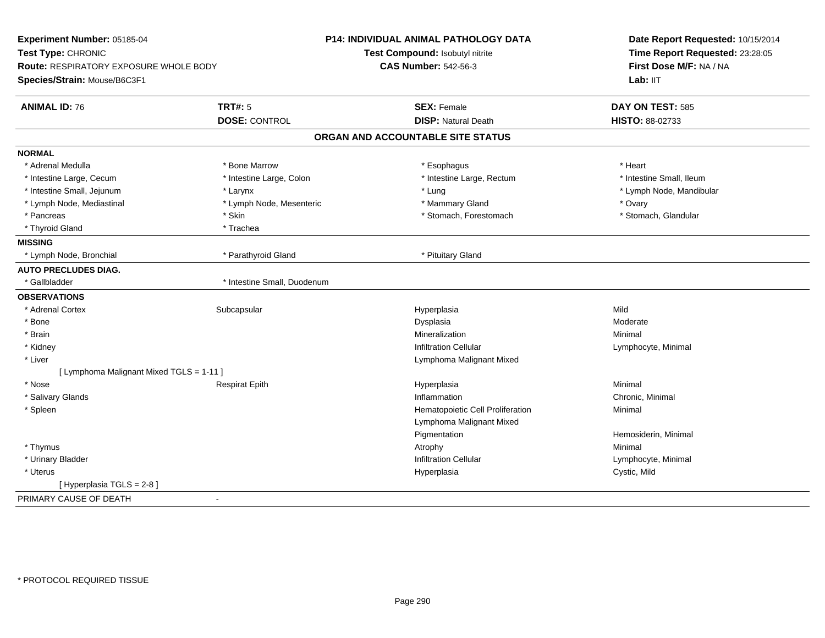| Test Type: CHRONIC<br>Route: RESPIRATORY EXPOSURE WHOLE BODY<br>Species/Strain: Mouse/B6C3F1 | Test Compound: Isobutyl nitrite<br><b>CAS Number: 542-56-3</b><br><b>SEX: Female</b> | Time Report Requested: 23:28:05<br>First Dose M/F: NA / NA<br>Lab: IIT |
|----------------------------------------------------------------------------------------------|--------------------------------------------------------------------------------------|------------------------------------------------------------------------|
|                                                                                              |                                                                                      |                                                                        |
|                                                                                              |                                                                                      |                                                                        |
|                                                                                              |                                                                                      |                                                                        |
| <b>TRT#: 5</b><br><b>ANIMAL ID: 76</b>                                                       |                                                                                      | DAY ON TEST: 585                                                       |
| <b>DOSE: CONTROL</b>                                                                         | <b>DISP: Natural Death</b>                                                           | HISTO: 88-02733                                                        |
|                                                                                              | ORGAN AND ACCOUNTABLE SITE STATUS                                                    |                                                                        |
| <b>NORMAL</b>                                                                                |                                                                                      |                                                                        |
| * Adrenal Medulla<br>* Bone Marrow                                                           | * Esophagus                                                                          | * Heart                                                                |
| * Intestine Large, Colon<br>* Intestine Large, Cecum                                         | * Intestine Large, Rectum                                                            | * Intestine Small, Ileum                                               |
| * Intestine Small, Jejunum<br>* Larynx                                                       | * Lung                                                                               | * Lymph Node, Mandibular                                               |
| * Lymph Node, Mesenteric<br>* Lymph Node, Mediastinal                                        | * Mammary Gland                                                                      | * Ovary                                                                |
| * Pancreas<br>* Skin                                                                         | * Stomach, Forestomach                                                               | * Stomach, Glandular                                                   |
| * Thyroid Gland<br>* Trachea                                                                 |                                                                                      |                                                                        |
| <b>MISSING</b>                                                                               |                                                                                      |                                                                        |
| * Lymph Node, Bronchial<br>* Parathyroid Gland                                               | * Pituitary Gland                                                                    |                                                                        |
| <b>AUTO PRECLUDES DIAG.</b>                                                                  |                                                                                      |                                                                        |
| * Gallbladder<br>* Intestine Small, Duodenum                                                 |                                                                                      |                                                                        |
| <b>OBSERVATIONS</b>                                                                          |                                                                                      |                                                                        |
| * Adrenal Cortex<br>Subcapsular                                                              | Hyperplasia                                                                          | Mild                                                                   |
| * Bone                                                                                       | Dysplasia                                                                            | Moderate                                                               |
| * Brain                                                                                      | Mineralization                                                                       | Minimal                                                                |
| * Kidney                                                                                     | <b>Infiltration Cellular</b>                                                         | Lymphocyte, Minimal                                                    |
| * Liver                                                                                      | Lymphoma Malignant Mixed                                                             |                                                                        |
| [ Lymphoma Malignant Mixed TGLS = 1-11 ]                                                     |                                                                                      |                                                                        |
| * Nose<br><b>Respirat Epith</b>                                                              | Hyperplasia                                                                          | Minimal                                                                |
| * Salivary Glands                                                                            | Inflammation                                                                         | Chronic, Minimal                                                       |
| * Spleen                                                                                     | Hematopoietic Cell Proliferation                                                     | Minimal                                                                |
|                                                                                              | Lymphoma Malignant Mixed                                                             |                                                                        |
|                                                                                              | Pigmentation                                                                         | Hemosiderin, Minimal                                                   |
| * Thymus                                                                                     | Atrophy                                                                              | Minimal                                                                |
| * Urinary Bladder                                                                            | <b>Infiltration Cellular</b>                                                         | Lymphocyte, Minimal                                                    |
| * Uterus                                                                                     | Hyperplasia                                                                          | Cystic, Mild                                                           |
| [ Hyperplasia TGLS = 2-8 ]                                                                   |                                                                                      |                                                                        |
| PRIMARY CAUSE OF DEATH                                                                       |                                                                                      |                                                                        |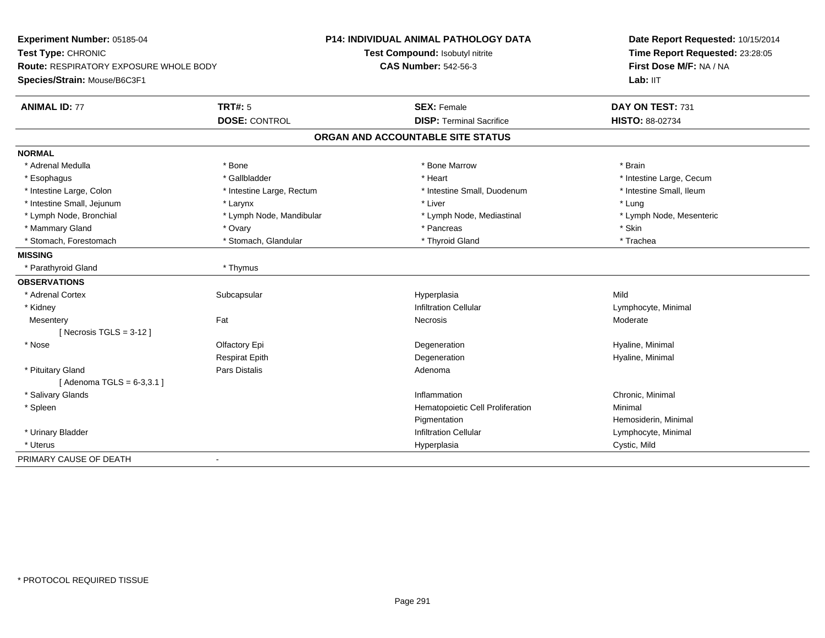| Experiment Number: 05185-04                   |                           | <b>P14: INDIVIDUAL ANIMAL PATHOLOGY DATA</b> | Date Report Requested: 10/15/2014<br>Time Report Requested: 23:28:05<br>First Dose M/F: NA / NA |
|-----------------------------------------------|---------------------------|----------------------------------------------|-------------------------------------------------------------------------------------------------|
| Test Type: CHRONIC                            |                           | Test Compound: Isobutyl nitrite              |                                                                                                 |
| <b>Route: RESPIRATORY EXPOSURE WHOLE BODY</b> |                           | <b>CAS Number: 542-56-3</b>                  |                                                                                                 |
| Species/Strain: Mouse/B6C3F1                  |                           |                                              | Lab: IIT                                                                                        |
| <b>ANIMAL ID: 77</b>                          | <b>TRT#: 5</b>            | <b>SEX: Female</b>                           | DAY ON TEST: 731                                                                                |
|                                               | <b>DOSE: CONTROL</b>      | <b>DISP: Terminal Sacrifice</b>              | HISTO: 88-02734                                                                                 |
|                                               |                           | ORGAN AND ACCOUNTABLE SITE STATUS            |                                                                                                 |
| <b>NORMAL</b>                                 |                           |                                              |                                                                                                 |
| * Adrenal Medulla                             | * Bone                    | * Bone Marrow                                | * Brain                                                                                         |
| * Esophagus                                   | * Gallbladder             | * Heart                                      | * Intestine Large, Cecum                                                                        |
| * Intestine Large, Colon                      | * Intestine Large, Rectum | * Intestine Small, Duodenum                  | * Intestine Small, Ileum                                                                        |
| * Intestine Small, Jejunum                    | * Larynx                  | * Liver                                      | * Lung                                                                                          |
| * Lymph Node, Bronchial                       | * Lymph Node, Mandibular  | * Lymph Node, Mediastinal                    | * Lymph Node, Mesenteric                                                                        |
| * Mammary Gland                               | * Ovary                   | * Pancreas                                   | * Skin                                                                                          |
| * Stomach, Forestomach                        | * Stomach, Glandular      | * Thyroid Gland                              | * Trachea                                                                                       |
| <b>MISSING</b>                                |                           |                                              |                                                                                                 |
| * Parathyroid Gland                           | * Thymus                  |                                              |                                                                                                 |
| <b>OBSERVATIONS</b>                           |                           |                                              |                                                                                                 |
| * Adrenal Cortex                              | Subcapsular               | Hyperplasia                                  | Mild                                                                                            |
| * Kidney                                      |                           | <b>Infiltration Cellular</b>                 | Lymphocyte, Minimal                                                                             |
| Mesentery                                     | Fat                       | <b>Necrosis</b>                              | Moderate                                                                                        |
| [ Necrosis TGLS = $3-12$ ]                    |                           |                                              |                                                                                                 |
| * Nose                                        | Olfactory Epi             | Degeneration                                 | Hyaline, Minimal                                                                                |
|                                               | <b>Respirat Epith</b>     | Degeneration                                 | Hyaline, Minimal                                                                                |
| * Pituitary Gland                             | <b>Pars Distalis</b>      | Adenoma                                      |                                                                                                 |
| [Adenoma TGLS = $6-3,3.1$ ]                   |                           |                                              |                                                                                                 |
| * Salivary Glands                             |                           | Inflammation                                 | Chronic, Minimal                                                                                |
| * Spleen                                      |                           | Hematopoietic Cell Proliferation             | Minimal                                                                                         |
|                                               |                           | Pigmentation                                 | Hemosiderin, Minimal                                                                            |
| * Urinary Bladder                             |                           | <b>Infiltration Cellular</b>                 | Lymphocyte, Minimal                                                                             |
| * Uterus                                      |                           | Hyperplasia                                  | Cystic, Mild                                                                                    |
| PRIMARY CAUSE OF DEATH                        |                           |                                              |                                                                                                 |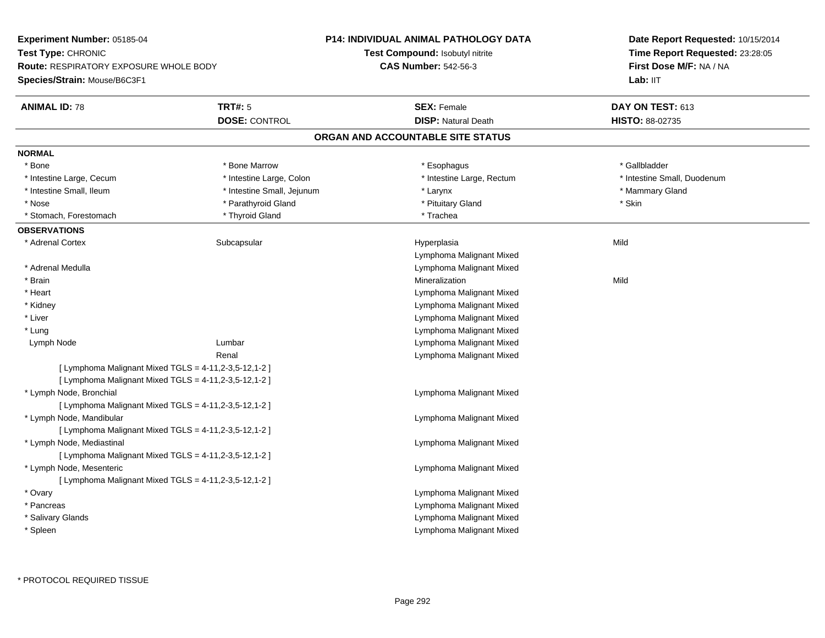**Experiment Number:** 05185-04**Test Type:** CHRONIC **Route:** RESPIRATORY EXPOSURE WHOLE BODY**Species/Strain:** Mouse/B6C3F1**P14: INDIVIDUAL ANIMAL PATHOLOGY DATATest Compound:** Isobutyl nitrite**CAS Number:** 542-56-3**Date Report Requested:** 10/15/2014**Time Report Requested:** 23:28:05**First Dose M/F:** NA / NA**Lab:** IIT**ANIMAL ID:** 78**TRT#:** 5 **SEX:** Female **DAY ON TEST:** 613 **DOSE:** CONTROL **DISP:** Natural Death **HISTO:** 88-02735 **ORGAN AND ACCOUNTABLE SITE STATUSNORMAL**\* Bone \* Bone \* About the book of the Marrow \* About the temperature for the temperature for the temperature for the temperature for the temperature for the temperature for the temperature for the temperature for the temperature \* Intestine Large, Cecum \* Intestine Large, Colon \* Intestine Large, Rectum \* Intestine Small, Duodenum \* Intestine Small, Ileum \* Intestine Small, Jejunum \* Larynx \* Mammary Gland\* Nose \* Parathyroid Gland \* The state of the state of the state of the state of the state of the state \* Skin \* Stomach, Forestomach \* Thyroid Gland \* Thyroid Gland \* Trachea **OBSERVATIONS** \* Adrenal Cortexx Subcapsular Suberty Subsets and the Hyperplasia a Mild Lymphoma Malignant Mixed Lymphoma Malignant Mixed \* Adrenal Medulla \* Brainn and the control of the control of the control of the Mineralization and the control of the Mild of the Mild o \* Heart Lymphoma Malignant Mixed Lymphoma Malignant Mixed \* Kidney Lymphoma Malignant Mixed \* Liver Lymphoma Malignant Mixed \* Lung Lymph Node Lumbar Lymphoma Malignant Mixed Renal Lymphoma Malignant Mixed[ Lymphoma Malignant Mixed  $TGLS = 4-11, 2-3, 5-12, 1-2$  ] [ Lymphoma Malignant Mixed  $TGLS = 4-11, 2-3, 5-12, 1-2$  ] \* Lymph Node, Bronchial Lymphoma Malignant Mixed[ Lymphoma Malignant Mixed TGLS = 4-11,2-3,5-12,1-2 ] \* Lymph Node, Mandibular Lymphoma Malignant Mixed[ Lymphoma Malignant Mixed TGLS = 4-11,2-3,5-12,1-2 ] \* Lymph Node, Mediastinal Lymphoma Malignant Mixed[ Lymphoma Malignant Mixed TGLS = 4-11,2-3,5-12,1-2 ] \* Lymph Node, Mesenteric Lymphoma Malignant Mixed[ Lymphoma Malignant Mixed  $TGLS = 4-11, 2-3, 5-12, 1-2$  ] \* Ovary Lymphoma Malignant Mixed Lymphoma Malignant Mixed \* Pancreas Lymphoma Malignant Mixed \* Salivary Glands Lymphoma Malignant Mixed\* Spleen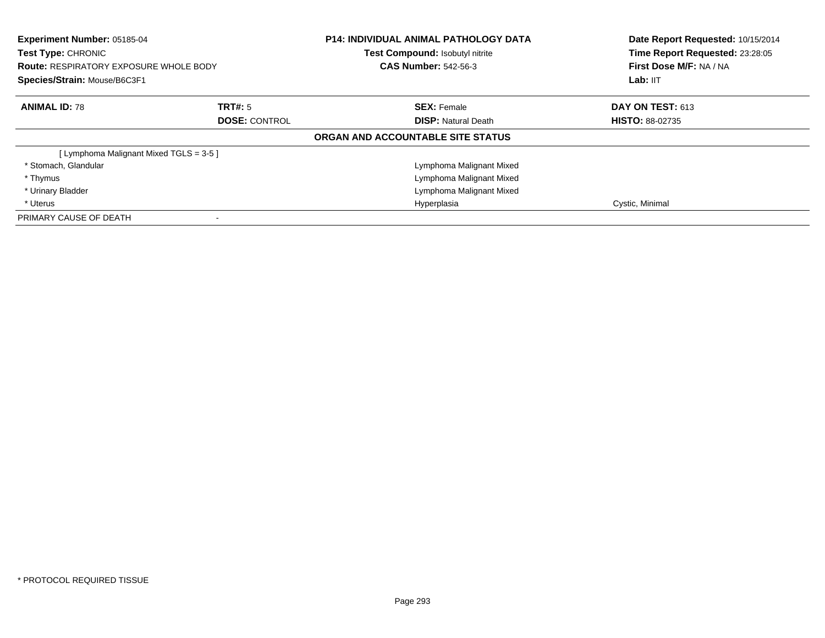| <b>Experiment Number: 05185-04</b><br>Test Type: CHRONIC<br><b>Route: RESPIRATORY EXPOSURE WHOLE BODY</b><br>Species/Strain: Mouse/B6C3F1 |                      | <b>P14: INDIVIDUAL ANIMAL PATHOLOGY DATA</b><br>Test Compound: Isobutyl nitrite<br><b>CAS Number: 542-56-3</b> | Date Report Requested: 10/15/2014<br>Time Report Requested: 23:28:05<br>First Dose M/F: NA / NA<br>Lab: IIT |
|-------------------------------------------------------------------------------------------------------------------------------------------|----------------------|----------------------------------------------------------------------------------------------------------------|-------------------------------------------------------------------------------------------------------------|
| <b>ANIMAL ID: 78</b>                                                                                                                      | TRT#: 5              | <b>SEX: Female</b>                                                                                             | <b>DAY ON TEST: 613</b>                                                                                     |
|                                                                                                                                           | <b>DOSE: CONTROL</b> | <b>DISP:</b> Natural Death                                                                                     | <b>HISTO: 88-02735</b>                                                                                      |
|                                                                                                                                           |                      | ORGAN AND ACCOUNTABLE SITE STATUS                                                                              |                                                                                                             |
| [ Lymphoma Malignant Mixed TGLS = 3-5 ]                                                                                                   |                      |                                                                                                                |                                                                                                             |
| * Stomach, Glandular                                                                                                                      |                      | Lymphoma Malignant Mixed                                                                                       |                                                                                                             |
| * Thymus                                                                                                                                  |                      | Lymphoma Malignant Mixed                                                                                       |                                                                                                             |
| * Urinary Bladder                                                                                                                         |                      | Lymphoma Malignant Mixed                                                                                       |                                                                                                             |
| * Uterus                                                                                                                                  |                      | Hyperplasia                                                                                                    | Cystic, Minimal                                                                                             |
| PRIMARY CAUSE OF DEATH                                                                                                                    |                      |                                                                                                                |                                                                                                             |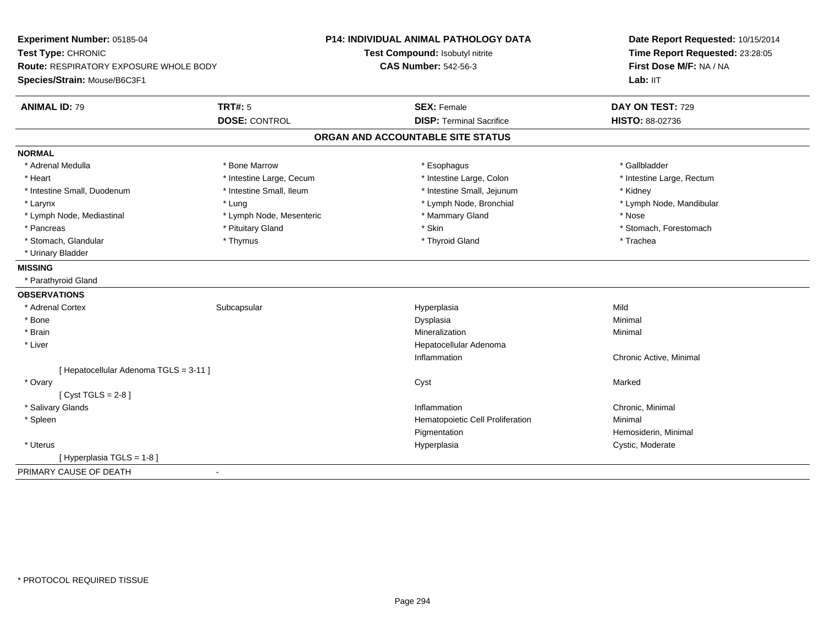| Experiment Number: 05185-04            |                          | <b>P14: INDIVIDUAL ANIMAL PATHOLOGY DATA</b> | Date Report Requested: 10/15/2014                          |  |
|----------------------------------------|--------------------------|----------------------------------------------|------------------------------------------------------------|--|
| Test Type: CHRONIC                     |                          | Test Compound: Isobutyl nitrite              | Time Report Requested: 23:28:05<br>First Dose M/F: NA / NA |  |
| Route: RESPIRATORY EXPOSURE WHOLE BODY |                          | <b>CAS Number: 542-56-3</b>                  |                                                            |  |
| Species/Strain: Mouse/B6C3F1           |                          |                                              | Lab: IIT                                                   |  |
| <b>ANIMAL ID: 79</b>                   | <b>TRT#: 5</b>           | <b>SEX: Female</b>                           | DAY ON TEST: 729                                           |  |
|                                        | <b>DOSE: CONTROL</b>     | <b>DISP: Terminal Sacrifice</b>              | <b>HISTO: 88-02736</b>                                     |  |
|                                        |                          | ORGAN AND ACCOUNTABLE SITE STATUS            |                                                            |  |
| <b>NORMAL</b>                          |                          |                                              |                                                            |  |
| * Adrenal Medulla                      | * Bone Marrow            | * Esophagus                                  | * Gallbladder                                              |  |
| * Heart                                | * Intestine Large, Cecum | * Intestine Large, Colon                     | * Intestine Large, Rectum                                  |  |
| * Intestine Small, Duodenum            | * Intestine Small, Ileum | * Intestine Small, Jejunum                   | * Kidney                                                   |  |
| * Larynx                               | * Lung                   | * Lymph Node, Bronchial                      | * Lymph Node, Mandibular                                   |  |
| * Lymph Node, Mediastinal              | * Lymph Node, Mesenteric | * Mammary Gland                              | * Nose                                                     |  |
| * Pancreas                             | * Pituitary Gland        | * Skin                                       | * Stomach, Forestomach                                     |  |
| * Stomach, Glandular                   | * Thymus                 | * Thyroid Gland                              | * Trachea                                                  |  |
| * Urinary Bladder                      |                          |                                              |                                                            |  |
| <b>MISSING</b>                         |                          |                                              |                                                            |  |
| * Parathyroid Gland                    |                          |                                              |                                                            |  |
| <b>OBSERVATIONS</b>                    |                          |                                              |                                                            |  |
| * Adrenal Cortex                       | Subcapsular              | Hyperplasia                                  | Mild                                                       |  |
| * Bone                                 |                          | Dysplasia                                    | Minimal                                                    |  |
| * Brain                                |                          | Mineralization                               | Minimal                                                    |  |
| * Liver                                |                          | Hepatocellular Adenoma                       |                                                            |  |
|                                        |                          | Inflammation                                 | Chronic Active, Minimal                                    |  |
| [Hepatocellular Adenoma TGLS = 3-11]   |                          |                                              |                                                            |  |
| * Ovary                                |                          | Cyst                                         | Marked                                                     |  |
| [Cyst TGLS = $2-8$ ]                   |                          |                                              |                                                            |  |
| * Salivary Glands                      |                          | Inflammation                                 | Chronic, Minimal                                           |  |
| * Spleen                               |                          | Hematopoietic Cell Proliferation             | Minimal                                                    |  |
|                                        |                          | Pigmentation                                 | Hemosiderin, Minimal                                       |  |
| * Uterus                               |                          | Hyperplasia                                  | Cystic, Moderate                                           |  |
| [ Hyperplasia TGLS = 1-8 ]             |                          |                                              |                                                            |  |
| PRIMARY CAUSE OF DEATH                 | $\blacksquare$           |                                              |                                                            |  |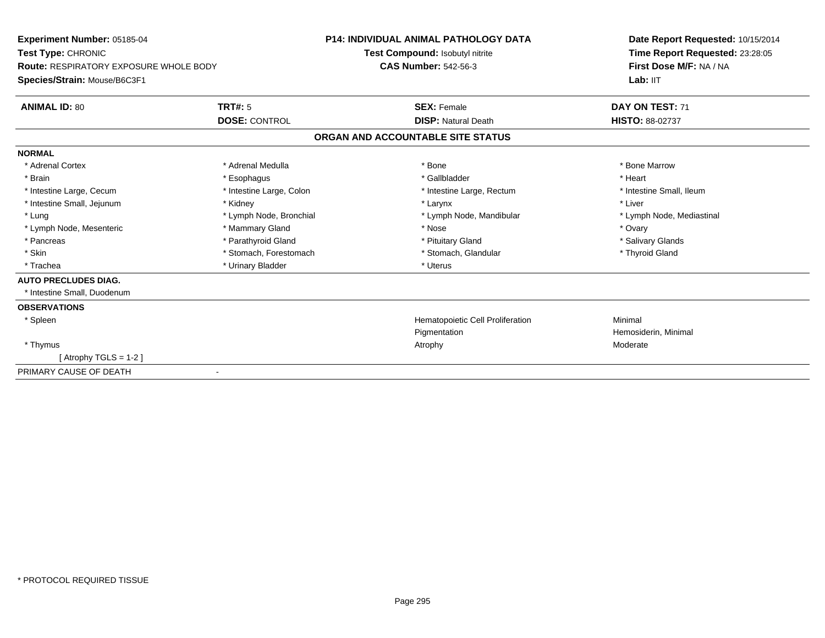| Experiment Number: 05185-04<br>Test Type: CHRONIC<br>Route: RESPIRATORY EXPOSURE WHOLE BODY |                          | <b>P14: INDIVIDUAL ANIMAL PATHOLOGY DATA</b> | Date Report Requested: 10/15/2014<br>Time Report Requested: 23:28:05<br>First Dose M/F: NA / NA |
|---------------------------------------------------------------------------------------------|--------------------------|----------------------------------------------|-------------------------------------------------------------------------------------------------|
|                                                                                             |                          | Test Compound: Isobutyl nitrite              |                                                                                                 |
|                                                                                             |                          | <b>CAS Number: 542-56-3</b>                  |                                                                                                 |
| Species/Strain: Mouse/B6C3F1                                                                |                          |                                              | Lab: IIT                                                                                        |
| <b>ANIMAL ID: 80</b>                                                                        | TRT#: 5                  | <b>SEX: Female</b>                           | DAY ON TEST: 71                                                                                 |
|                                                                                             | <b>DOSE: CONTROL</b>     | <b>DISP: Natural Death</b>                   | <b>HISTO: 88-02737</b>                                                                          |
|                                                                                             |                          | ORGAN AND ACCOUNTABLE SITE STATUS            |                                                                                                 |
| <b>NORMAL</b>                                                                               |                          |                                              |                                                                                                 |
| * Adrenal Cortex                                                                            | * Adrenal Medulla        | * Bone                                       | * Bone Marrow                                                                                   |
| * Brain                                                                                     | * Esophagus              | * Gallbladder                                | * Heart                                                                                         |
| * Intestine Large, Cecum                                                                    | * Intestine Large, Colon | * Intestine Large, Rectum                    | * Intestine Small, Ileum                                                                        |
| * Intestine Small, Jejunum                                                                  | * Kidney                 | * Larynx                                     | * Liver                                                                                         |
| * Lung                                                                                      | * Lymph Node, Bronchial  | * Lymph Node, Mandibular                     | * Lymph Node, Mediastinal                                                                       |
| * Lymph Node, Mesenteric                                                                    | * Mammary Gland          | * Nose                                       | * Ovary                                                                                         |
| * Pancreas                                                                                  | * Parathyroid Gland      | * Pituitary Gland                            | * Salivary Glands                                                                               |
| * Skin                                                                                      | * Stomach, Forestomach   | * Stomach, Glandular                         | * Thyroid Gland                                                                                 |
| * Trachea                                                                                   | * Urinary Bladder        | * Uterus                                     |                                                                                                 |
| <b>AUTO PRECLUDES DIAG.</b>                                                                 |                          |                                              |                                                                                                 |
| * Intestine Small, Duodenum                                                                 |                          |                                              |                                                                                                 |
| <b>OBSERVATIONS</b>                                                                         |                          |                                              |                                                                                                 |
| * Spleen                                                                                    |                          | Hematopoietic Cell Proliferation             | Minimal                                                                                         |
|                                                                                             |                          | Pigmentation                                 | Hemosiderin, Minimal                                                                            |
| * Thymus                                                                                    |                          | Atrophy                                      | Moderate                                                                                        |
| [Atrophy TGLS = $1-2$ ]                                                                     |                          |                                              |                                                                                                 |
| PRIMARY CAUSE OF DEATH                                                                      |                          |                                              |                                                                                                 |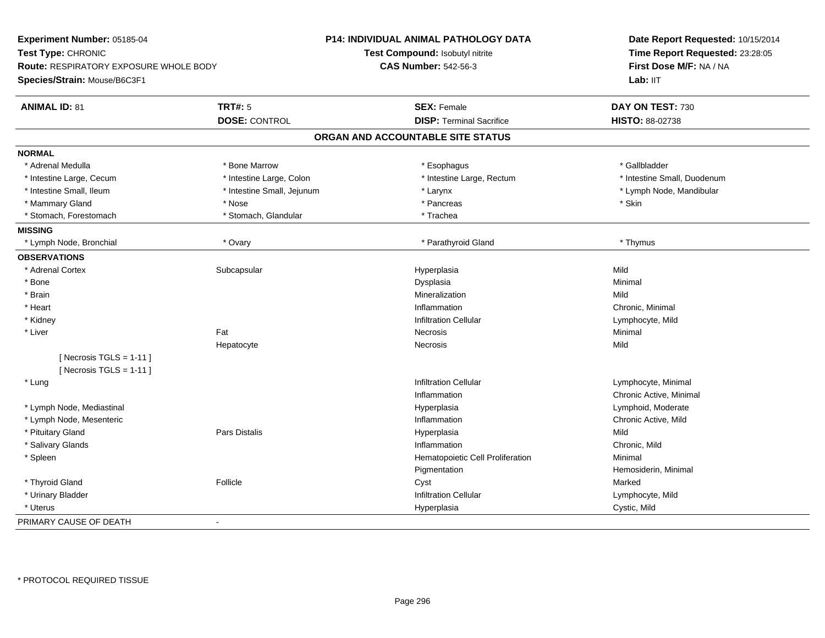| Experiment Number: 05185-04                            |                            | P14: INDIVIDUAL ANIMAL PATHOLOGY DATA  | Date Report Requested: 10/15/2014 |  |
|--------------------------------------------------------|----------------------------|----------------------------------------|-----------------------------------|--|
| Test Type: CHRONIC                                     |                            | <b>Test Compound: Isobutyl nitrite</b> | Time Report Requested: 23:28:05   |  |
| <b>Route: RESPIRATORY EXPOSURE WHOLE BODY</b>          |                            | <b>CAS Number: 542-56-3</b>            | First Dose M/F: NA / NA           |  |
| Species/Strain: Mouse/B6C3F1                           |                            |                                        | Lab: IIT                          |  |
| <b>ANIMAL ID: 81</b>                                   | <b>TRT#: 5</b>             | <b>SEX: Female</b>                     | DAY ON TEST: 730                  |  |
|                                                        | <b>DOSE: CONTROL</b>       | <b>DISP: Terminal Sacrifice</b>        | HISTO: 88-02738                   |  |
|                                                        |                            | ORGAN AND ACCOUNTABLE SITE STATUS      |                                   |  |
| <b>NORMAL</b>                                          |                            |                                        |                                   |  |
| * Adrenal Medulla                                      | * Bone Marrow              | * Esophagus                            | * Gallbladder                     |  |
| * Intestine Large, Cecum                               | * Intestine Large, Colon   | * Intestine Large, Rectum              | * Intestine Small, Duodenum       |  |
| * Intestine Small, Ileum                               | * Intestine Small, Jejunum | * Larynx                               | * Lymph Node, Mandibular          |  |
| * Mammary Gland                                        | * Nose                     | * Pancreas                             | * Skin                            |  |
| * Stomach, Forestomach                                 | * Stomach, Glandular       | * Trachea                              |                                   |  |
| <b>MISSING</b>                                         |                            |                                        |                                   |  |
| * Lymph Node, Bronchial                                | * Ovary                    | * Parathyroid Gland                    | * Thymus                          |  |
| <b>OBSERVATIONS</b>                                    |                            |                                        |                                   |  |
| * Adrenal Cortex                                       | Subcapsular                | Hyperplasia                            | Mild                              |  |
| $*$ Bone                                               |                            | Dysplasia                              | Minimal                           |  |
| * Brain                                                |                            | Mineralization                         | Mild                              |  |
| * Heart                                                |                            | Inflammation                           | Chronic, Minimal                  |  |
| * Kidney                                               |                            | <b>Infiltration Cellular</b>           | Lymphocyte, Mild                  |  |
| * Liver                                                | Fat                        | Necrosis                               | Minimal                           |  |
|                                                        | Hepatocyte                 | Necrosis                               | Mild                              |  |
| [Necrosis TGLS = $1-11$ ]<br>[Necrosis TGLS = $1-11$ ] |                            |                                        |                                   |  |
| * Lung                                                 |                            | <b>Infiltration Cellular</b>           | Lymphocyte, Minimal               |  |
|                                                        |                            | Inflammation                           | Chronic Active, Minimal           |  |
| * Lymph Node, Mediastinal                              |                            | Hyperplasia                            | Lymphoid, Moderate                |  |
| * Lymph Node, Mesenteric                               |                            | Inflammation                           | Chronic Active, Mild              |  |
| * Pituitary Gland                                      | Pars Distalis              | Hyperplasia                            | Mild                              |  |
| * Salivary Glands                                      |                            | Inflammation                           | Chronic, Mild                     |  |
| * Spleen                                               |                            | Hematopoietic Cell Proliferation       | Minimal                           |  |
|                                                        |                            | Pigmentation                           | Hemosiderin, Minimal              |  |
| * Thyroid Gland                                        | Follicle                   | Cyst                                   | Marked                            |  |
| * Urinary Bladder                                      |                            | <b>Infiltration Cellular</b>           | Lymphocyte, Mild                  |  |
| * Uterus                                               |                            | Hyperplasia                            | Cystic, Mild                      |  |
|                                                        |                            |                                        |                                   |  |
| PRIMARY CAUSE OF DEATH                                 | $\blacksquare$             |                                        |                                   |  |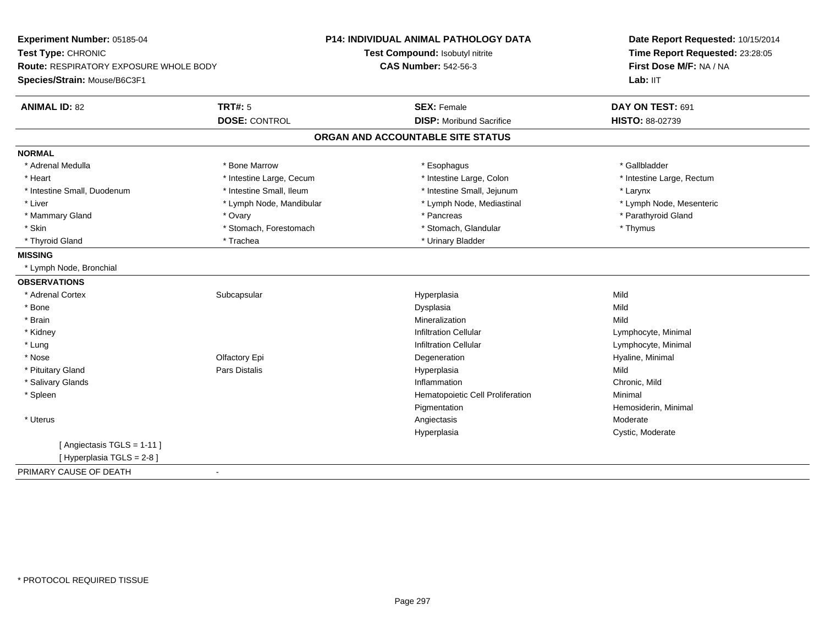| Experiment Number: 05185-04            |                          | P14: INDIVIDUAL ANIMAL PATHOLOGY DATA | Date Report Requested: 10/15/2014<br>Time Report Requested: 23:28:05<br>First Dose M/F: NA / NA |
|----------------------------------------|--------------------------|---------------------------------------|-------------------------------------------------------------------------------------------------|
| Test Type: CHRONIC                     |                          | Test Compound: Isobutyl nitrite       |                                                                                                 |
| Route: RESPIRATORY EXPOSURE WHOLE BODY |                          | <b>CAS Number: 542-56-3</b>           |                                                                                                 |
| Species/Strain: Mouse/B6C3F1           |                          |                                       | Lab: IIT                                                                                        |
| <b>ANIMAL ID: 82</b>                   | <b>TRT#: 5</b>           | <b>SEX: Female</b>                    | DAY ON TEST: 691                                                                                |
|                                        | <b>DOSE: CONTROL</b>     | <b>DISP:</b> Moribund Sacrifice       | <b>HISTO: 88-02739</b>                                                                          |
|                                        |                          | ORGAN AND ACCOUNTABLE SITE STATUS     |                                                                                                 |
| <b>NORMAL</b>                          |                          |                                       |                                                                                                 |
| * Adrenal Medulla                      | * Bone Marrow            | * Esophagus                           | * Gallbladder                                                                                   |
| * Heart                                | * Intestine Large, Cecum | * Intestine Large, Colon              | * Intestine Large, Rectum                                                                       |
| * Intestine Small, Duodenum            | * Intestine Small, Ileum | * Intestine Small, Jejunum            | * Larynx                                                                                        |
| * Liver                                | * Lymph Node, Mandibular | * Lymph Node, Mediastinal             | * Lymph Node, Mesenteric                                                                        |
| * Mammary Gland                        | * Ovary                  | * Pancreas                            | * Parathyroid Gland                                                                             |
| * Skin                                 | * Stomach, Forestomach   | * Stomach, Glandular                  | * Thymus                                                                                        |
| * Thyroid Gland                        | * Trachea                | * Urinary Bladder                     |                                                                                                 |
| <b>MISSING</b>                         |                          |                                       |                                                                                                 |
| * Lymph Node, Bronchial                |                          |                                       |                                                                                                 |
| <b>OBSERVATIONS</b>                    |                          |                                       |                                                                                                 |
| * Adrenal Cortex                       | Subcapsular              | Hyperplasia                           | Mild                                                                                            |
| * Bone                                 |                          | Dysplasia                             | Mild                                                                                            |
| * Brain                                |                          | Mineralization                        | Mild                                                                                            |
| * Kidney                               |                          | <b>Infiltration Cellular</b>          | Lymphocyte, Minimal                                                                             |
| * Lung                                 |                          | <b>Infiltration Cellular</b>          | Lymphocyte, Minimal                                                                             |
| * Nose                                 | Olfactory Epi            | Degeneration                          | Hyaline, Minimal                                                                                |
| * Pituitary Gland                      | <b>Pars Distalis</b>     | Hyperplasia                           | Mild                                                                                            |
| * Salivary Glands                      |                          | Inflammation                          | Chronic, Mild                                                                                   |
| * Spleen                               |                          | Hematopoietic Cell Proliferation      | Minimal                                                                                         |
|                                        |                          | Pigmentation                          | Hemosiderin, Minimal                                                                            |
| * Uterus                               |                          | Angiectasis                           | Moderate                                                                                        |
|                                        |                          | Hyperplasia                           | Cystic, Moderate                                                                                |
| [ Angiectasis TGLS = 1-11 ]            |                          |                                       |                                                                                                 |
| [ Hyperplasia TGLS = 2-8]              |                          |                                       |                                                                                                 |
| PRIMARY CAUSE OF DEATH                 | $\sim$                   |                                       |                                                                                                 |
|                                        |                          |                                       |                                                                                                 |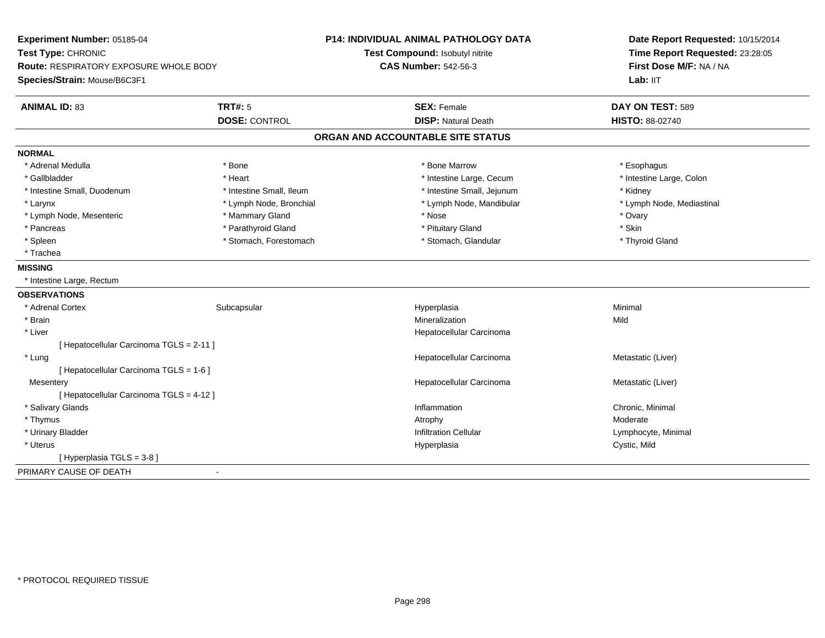**Experiment Number:** 05185-04**Test Type:** CHRONIC **Route:** RESPIRATORY EXPOSURE WHOLE BODY**Species/Strain:** Mouse/B6C3F1**P14: INDIVIDUAL ANIMAL PATHOLOGY DATATest Compound:** Isobutyl nitrite**CAS Number:** 542-56-3**Date Report Requested:** 10/15/2014**Time Report Requested:** 23:28:05**First Dose M/F:** NA / NA**Lab:** IIT**ANIMAL ID:** 83**TRT#:** 5 **SEX:** Female **DAY ON TEST:** 589 **DOSE:** CONTROL **DISP:** Natural Death **HISTO:** 88-02740 **ORGAN AND ACCOUNTABLE SITE STATUSNORMAL**\* Adrenal Medulla \* Adrenal Medulla \* \* The matter of the state of the state of the state of the state of the state of the state of the state of the state of the state of the state of the state of the state of the state of the state of the \* Intestine Large, Colon \* Gallbladder \* The mode of the state of the state of the state of the state of the state of the state of the state of the state of the state of the state of the state of the state of the state of the state of the state of \* Intestine Small, Duodenum \* Thestine Small, Ileum \* 1ntestine Small, Ileum \* Intestine Small, Jejunum \* Kidney \* Lymph Node, Mediastinal \* Larynx \* Lymph Node, Bronchial \* Lymph Node, Bronchial \* Lymph Node, Mandibular \* Lymph Node, Mesenteric \* \* \* Mammary Gland \* \* Nose \* \* Nose \* \* Nose \* Ovary \* Ovary \* Ovary \* Ovary \* Ovary \* Skin \* Pancreas \* Parathyroid Gland \* Parathyroid Gland \* \* Pituitary Gland \* Thyroid Gland \* Spleen \* Stomach, Forestomach \* Stomach \* Stomach \* Stomach, Glandular \* Glandular \* Trachea**MISSING** \* Intestine Large, Rectum**OBSERVATIONS** \* Adrenal Cortexx Subcapsular Subcapsular Subsets and Hyperplasia a **Minimal**  \* Brainn and the control of the control of the control of the control of the control of the control of the control of the control of the control of the control of the control of the control of the control of the control of the co \* Liver Hepatocellular Carcinoma[ Hepatocellular Carcinoma TGLS = 2-11 ] \* Lungg and the state of the state of the state of the state of the Hepatocellular Carcinoma and the Metastatic (Liver) [ Hepatocellular Carcinoma TGLS = 1-6 ]**Mesentery**  Hepatocellular Carcinoma Metastatic (Liver) [ Hepatocellular Carcinoma TGLS = 4-12 ] \* Salivary Glandss and the contract of the contract of the contract of the contract of the contract of the contract of the contract of the contract of the contract of the contract of the contract of the contract of the contract of the cont Inflammation **Chronic, Minimal**<br>Atrophy **Moderate** Moderate \* Thymuss and the control of the control of the control of the control of the control of the control of the control of the control of the control of the control of the control of the control of the control of the control of the co Lymphocyte, Minimal \* Urinary Bladder Infiltration Cellular Lymphocyte, Minimal \* Uteruss and the control of the control of the control of the control of the control of the control of the control of the control of the control of the control of the control of the control of the control of the control of the co Hyperplasia Cystic, Mild [ Hyperplasia TGLS = 3-8 ]PRIMARY CAUSE OF DEATH-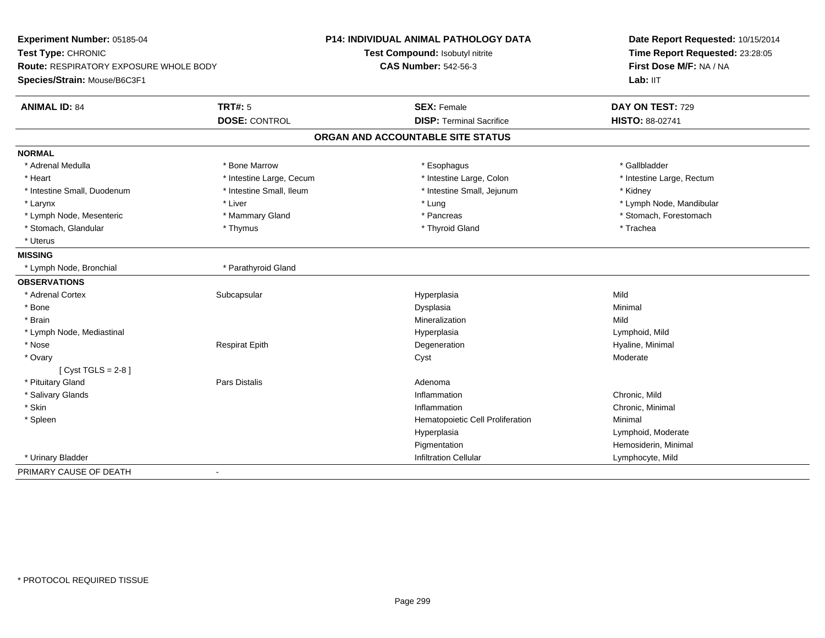| Experiment Number: 05185-04                                                                         |                          | P14: INDIVIDUAL ANIMAL PATHOLOGY DATA | Date Report Requested: 10/15/2014 |
|-----------------------------------------------------------------------------------------------------|--------------------------|---------------------------------------|-----------------------------------|
| Test Type: CHRONIC<br><b>Route: RESPIRATORY EXPOSURE WHOLE BODY</b><br>Species/Strain: Mouse/B6C3F1 |                          | Test Compound: Isobutyl nitrite       | Time Report Requested: 23:28:05   |
|                                                                                                     |                          | <b>CAS Number: 542-56-3</b>           | First Dose M/F: NA / NA           |
|                                                                                                     |                          |                                       | Lab: IIT                          |
| <b>ANIMAL ID: 84</b>                                                                                | <b>TRT#: 5</b>           | <b>SEX: Female</b>                    | DAY ON TEST: 729                  |
|                                                                                                     | <b>DOSE: CONTROL</b>     | <b>DISP: Terminal Sacrifice</b>       | <b>HISTO: 88-02741</b>            |
|                                                                                                     |                          | ORGAN AND ACCOUNTABLE SITE STATUS     |                                   |
| <b>NORMAL</b>                                                                                       |                          |                                       |                                   |
| * Adrenal Medulla                                                                                   | * Bone Marrow            | * Esophagus                           | * Gallbladder                     |
| * Heart                                                                                             | * Intestine Large, Cecum | * Intestine Large, Colon              | * Intestine Large, Rectum         |
| * Intestine Small, Duodenum                                                                         | * Intestine Small, Ileum | * Intestine Small, Jejunum            | * Kidney                          |
| * Larynx                                                                                            | * Liver                  | * Lung                                | * Lymph Node, Mandibular          |
| * Lymph Node, Mesenteric                                                                            | * Mammary Gland          | * Pancreas                            | * Stomach, Forestomach            |
| * Stomach, Glandular                                                                                | * Thymus                 | * Thyroid Gland                       | * Trachea                         |
| * Uterus                                                                                            |                          |                                       |                                   |
| <b>MISSING</b>                                                                                      |                          |                                       |                                   |
| * Lymph Node, Bronchial                                                                             | * Parathyroid Gland      |                                       |                                   |
| <b>OBSERVATIONS</b>                                                                                 |                          |                                       |                                   |
| * Adrenal Cortex                                                                                    | Subcapsular              | Hyperplasia                           | Mild                              |
| * Bone                                                                                              |                          | Dysplasia                             | Minimal                           |
| * Brain                                                                                             |                          | Mineralization                        | Mild                              |
| * Lymph Node, Mediastinal                                                                           |                          | Hyperplasia                           | Lymphoid, Mild                    |
| * Nose                                                                                              | <b>Respirat Epith</b>    | Degeneration                          | Hyaline, Minimal                  |
| * Ovary                                                                                             |                          | Cyst                                  | Moderate                          |
| [ $Cyst TGLS = 2-8$ ]                                                                               |                          |                                       |                                   |
| * Pituitary Gland                                                                                   | Pars Distalis            | Adenoma                               |                                   |
| * Salivary Glands                                                                                   |                          | Inflammation                          | Chronic, Mild                     |
| * Skin                                                                                              |                          | Inflammation                          | Chronic, Minimal                  |
| * Spleen                                                                                            |                          | Hematopoietic Cell Proliferation      | Minimal                           |
|                                                                                                     |                          | Hyperplasia                           | Lymphoid, Moderate                |
|                                                                                                     |                          | Pigmentation                          | Hemosiderin, Minimal              |
| * Urinary Bladder                                                                                   |                          | <b>Infiltration Cellular</b>          | Lymphocyte, Mild                  |
| PRIMARY CAUSE OF DEATH                                                                              | $\blacksquare$           |                                       |                                   |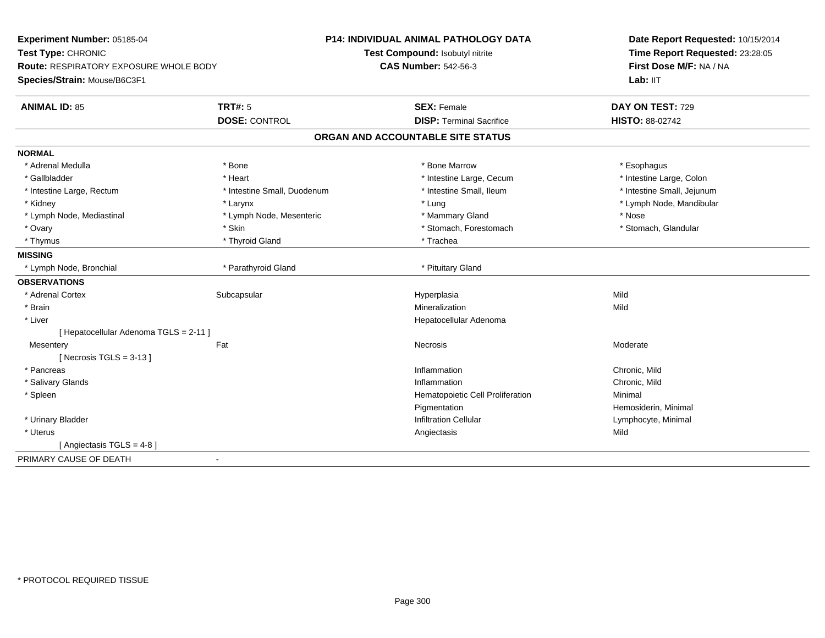| Experiment Number: 05185-04                   |                             | <b>P14: INDIVIDUAL ANIMAL PATHOLOGY DATA</b> | Date Report Requested: 10/15/2014<br>Time Report Requested: 23:28:05 |
|-----------------------------------------------|-----------------------------|----------------------------------------------|----------------------------------------------------------------------|
| Test Type: CHRONIC                            |                             | Test Compound: Isobutyl nitrite              |                                                                      |
| <b>Route: RESPIRATORY EXPOSURE WHOLE BODY</b> |                             | <b>CAS Number: 542-56-3</b>                  | First Dose M/F: NA / NA                                              |
| Species/Strain: Mouse/B6C3F1                  |                             |                                              | Lab: IIT                                                             |
| <b>ANIMAL ID: 85</b>                          | <b>TRT#: 5</b>              | <b>SEX: Female</b>                           | DAY ON TEST: 729                                                     |
|                                               | <b>DOSE: CONTROL</b>        | <b>DISP: Terminal Sacrifice</b>              | HISTO: 88-02742                                                      |
|                                               |                             | ORGAN AND ACCOUNTABLE SITE STATUS            |                                                                      |
| <b>NORMAL</b>                                 |                             |                                              |                                                                      |
| * Adrenal Medulla                             | * Bone                      | * Bone Marrow                                | * Esophagus                                                          |
| * Gallbladder                                 | * Heart                     | * Intestine Large, Cecum                     | * Intestine Large, Colon                                             |
| * Intestine Large, Rectum                     | * Intestine Small, Duodenum | * Intestine Small, Ileum                     | * Intestine Small, Jejunum                                           |
| * Kidney                                      | * Larynx                    | * Lung                                       | * Lymph Node, Mandibular                                             |
| * Lymph Node, Mediastinal                     | * Lymph Node, Mesenteric    | * Mammary Gland                              | * Nose                                                               |
| * Ovary                                       | * Skin                      | * Stomach, Forestomach                       | * Stomach, Glandular                                                 |
| * Thymus                                      | * Thyroid Gland             | * Trachea                                    |                                                                      |
| <b>MISSING</b>                                |                             |                                              |                                                                      |
| * Lymph Node, Bronchial                       | * Parathyroid Gland         | * Pituitary Gland                            |                                                                      |
| <b>OBSERVATIONS</b>                           |                             |                                              |                                                                      |
| * Adrenal Cortex                              | Subcapsular                 | Hyperplasia                                  | Mild                                                                 |
| * Brain                                       |                             | Mineralization                               | Mild                                                                 |
| * Liver                                       |                             | Hepatocellular Adenoma                       |                                                                      |
| [ Hepatocellular Adenoma TGLS = 2-11 ]        |                             |                                              |                                                                      |
| Fat<br>Mesentery                              |                             | <b>Necrosis</b>                              | Moderate                                                             |
| [Necrosis $TGLS = 3-13$ ]                     |                             |                                              |                                                                      |
| * Pancreas                                    |                             | Inflammation                                 | Chronic, Mild                                                        |
| * Salivary Glands                             |                             | Inflammation                                 | Chronic, Mild                                                        |
| * Spleen                                      |                             | Hematopoietic Cell Proliferation             | Minimal                                                              |
|                                               |                             | Pigmentation                                 | Hemosiderin, Minimal                                                 |
| * Urinary Bladder                             |                             | <b>Infiltration Cellular</b>                 | Lymphocyte, Minimal                                                  |
| * Uterus                                      |                             | Angiectasis                                  | Mild                                                                 |
| [ Angiectasis TGLS = 4-8 ]                    |                             |                                              |                                                                      |
| PRIMARY CAUSE OF DEATH<br>$\blacksquare$      |                             |                                              |                                                                      |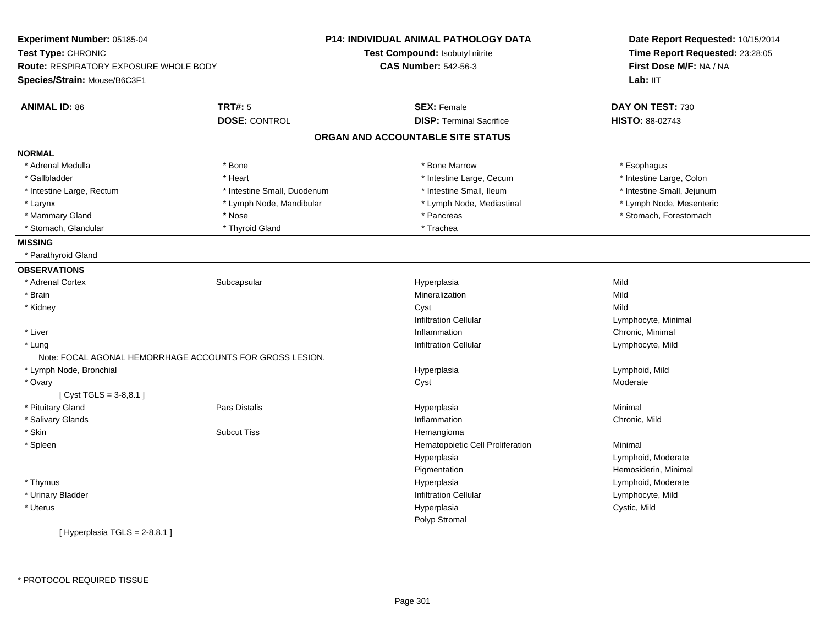| Experiment Number: 05185-04                   |                                                          | P14: INDIVIDUAL ANIMAL PATHOLOGY DATA | Date Report Requested: 10/15/2014<br>Time Report Requested: 23:28:05<br>First Dose M/F: NA / NA |  |
|-----------------------------------------------|----------------------------------------------------------|---------------------------------------|-------------------------------------------------------------------------------------------------|--|
| Test Type: CHRONIC                            |                                                          | Test Compound: Isobutyl nitrite       |                                                                                                 |  |
| <b>Route: RESPIRATORY EXPOSURE WHOLE BODY</b> |                                                          | <b>CAS Number: 542-56-3</b>           |                                                                                                 |  |
| Species/Strain: Mouse/B6C3F1                  |                                                          |                                       | Lab: IIT                                                                                        |  |
| <b>ANIMAL ID: 86</b>                          | <b>TRT#: 5</b>                                           | <b>SEX: Female</b>                    | DAY ON TEST: 730                                                                                |  |
|                                               | <b>DOSE: CONTROL</b>                                     | <b>DISP: Terminal Sacrifice</b>       | HISTO: 88-02743                                                                                 |  |
|                                               |                                                          | ORGAN AND ACCOUNTABLE SITE STATUS     |                                                                                                 |  |
| <b>NORMAL</b>                                 |                                                          |                                       |                                                                                                 |  |
| * Adrenal Medulla                             | * Bone                                                   | * Bone Marrow                         | * Esophagus                                                                                     |  |
| * Gallbladder                                 | * Heart                                                  | * Intestine Large, Cecum              | * Intestine Large, Colon                                                                        |  |
| * Intestine Large, Rectum                     | * Intestine Small, Duodenum                              | * Intestine Small, Ileum              | * Intestine Small, Jejunum                                                                      |  |
| * Larynx                                      | * Lymph Node, Mandibular                                 | * Lymph Node, Mediastinal             | * Lymph Node, Mesenteric                                                                        |  |
| * Mammary Gland                               | * Nose                                                   | * Pancreas                            | * Stomach, Forestomach                                                                          |  |
| * Stomach, Glandular                          | * Thyroid Gland                                          | * Trachea                             |                                                                                                 |  |
| <b>MISSING</b>                                |                                                          |                                       |                                                                                                 |  |
| * Parathyroid Gland                           |                                                          |                                       |                                                                                                 |  |
| <b>OBSERVATIONS</b>                           |                                                          |                                       |                                                                                                 |  |
| * Adrenal Cortex                              | Subcapsular                                              | Hyperplasia                           | Mild                                                                                            |  |
| * Brain                                       |                                                          | Mineralization                        | Mild                                                                                            |  |
| * Kidney                                      |                                                          | Cyst                                  | Mild                                                                                            |  |
|                                               |                                                          | <b>Infiltration Cellular</b>          | Lymphocyte, Minimal                                                                             |  |
| * Liver                                       |                                                          | Inflammation                          | Chronic, Minimal                                                                                |  |
| * Lung                                        |                                                          | <b>Infiltration Cellular</b>          | Lymphocyte, Mild                                                                                |  |
|                                               | Note: FOCAL AGONAL HEMORRHAGE ACCOUNTS FOR GROSS LESION. |                                       |                                                                                                 |  |
| * Lymph Node, Bronchial                       |                                                          | Hyperplasia                           | Lymphoid, Mild                                                                                  |  |
| * Ovary                                       |                                                          | Cyst                                  | Moderate                                                                                        |  |
| [Cyst TGLS = $3-8,8.1$ ]                      |                                                          |                                       |                                                                                                 |  |
| * Pituitary Gland                             | <b>Pars Distalis</b>                                     | Hyperplasia                           | Minimal                                                                                         |  |
| * Salivary Glands                             |                                                          | Inflammation                          | Chronic, Mild                                                                                   |  |
| * Skin                                        | <b>Subcut Tiss</b>                                       | Hemangioma                            |                                                                                                 |  |
| * Spleen                                      |                                                          | Hematopoietic Cell Proliferation      | Minimal                                                                                         |  |
|                                               |                                                          | Hyperplasia                           | Lymphoid, Moderate                                                                              |  |
|                                               |                                                          | Pigmentation                          | Hemosiderin, Minimal                                                                            |  |
| * Thymus                                      |                                                          | Hyperplasia                           | Lymphoid, Moderate                                                                              |  |
| * Urinary Bladder                             |                                                          | <b>Infiltration Cellular</b>          | Lymphocyte, Mild                                                                                |  |
| * Uterus                                      |                                                          | Hyperplasia                           | Cystic, Mild                                                                                    |  |
|                                               |                                                          | Polyp Stromal                         |                                                                                                 |  |
| [Hyperplasia TGLS = 2-8,8.1]                  |                                                          |                                       |                                                                                                 |  |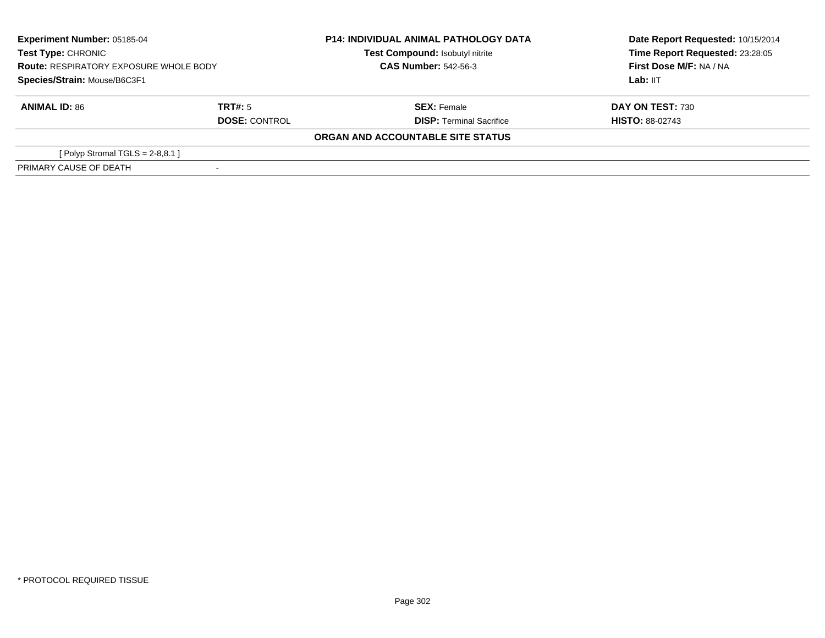| <b>Experiment Number: 05185-04</b><br><b>Test Type: CHRONIC</b><br><b>Route: RESPIRATORY EXPOSURE WHOLE BODY</b><br>Species/Strain: Mouse/B6C3F1 |                      | <b>P14: INDIVIDUAL ANIMAL PATHOLOGY DATA</b><br>Test Compound: Isobutyl nitrite<br><b>CAS Number: 542-56-3</b> | Date Report Requested: 10/15/2014<br>Time Report Requested: 23:28:05<br>First Dose M/F: NA / NA<br>Lab: IIT |
|--------------------------------------------------------------------------------------------------------------------------------------------------|----------------------|----------------------------------------------------------------------------------------------------------------|-------------------------------------------------------------------------------------------------------------|
|                                                                                                                                                  |                      |                                                                                                                |                                                                                                             |
|                                                                                                                                                  |                      |                                                                                                                |                                                                                                             |
| <b>ANIMAL ID: 86</b>                                                                                                                             | TRT#: 5              | <b>SEX:</b> Female                                                                                             | <b>DAY ON TEST: 730</b>                                                                                     |
|                                                                                                                                                  | <b>DOSE: CONTROL</b> | <b>DISP: Terminal Sacrifice</b>                                                                                | <b>HISTO: 88-02743</b>                                                                                      |
|                                                                                                                                                  |                      | ORGAN AND ACCOUNTABLE SITE STATUS                                                                              |                                                                                                             |
| [Polyp Stromal TGLS = $2-8,8.1$ ]                                                                                                                |                      |                                                                                                                |                                                                                                             |
| PRIMARY CAUSE OF DEATH                                                                                                                           |                      |                                                                                                                |                                                                                                             |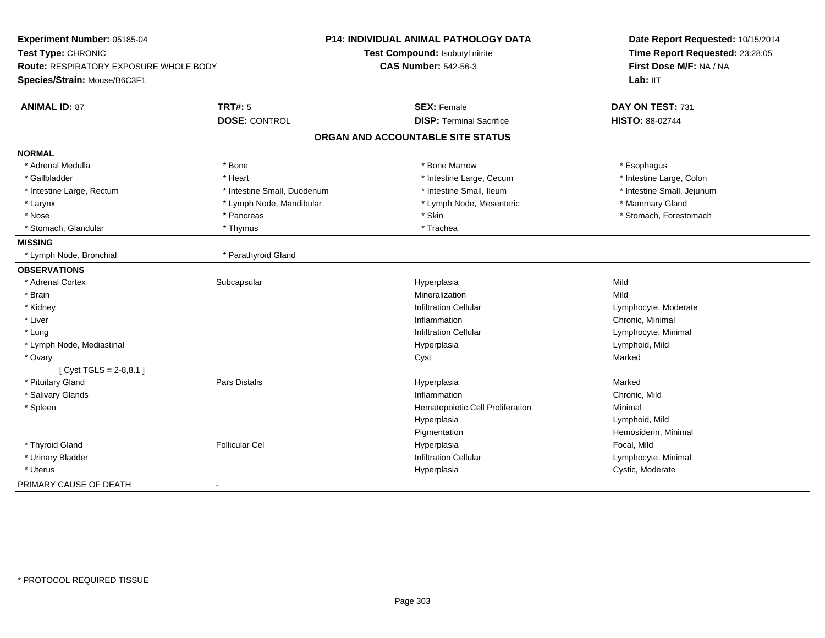| Experiment Number: 05185-04            |                             | P14: INDIVIDUAL ANIMAL PATHOLOGY DATA | Date Report Requested: 10/15/2014<br>Time Report Requested: 23:28:05 |  |
|----------------------------------------|-----------------------------|---------------------------------------|----------------------------------------------------------------------|--|
| Test Type: CHRONIC                     |                             | Test Compound: Isobutyl nitrite       |                                                                      |  |
| Route: RESPIRATORY EXPOSURE WHOLE BODY |                             | <b>CAS Number: 542-56-3</b>           | First Dose M/F: NA / NA                                              |  |
| Species/Strain: Mouse/B6C3F1           |                             |                                       | Lab: IIT                                                             |  |
| <b>ANIMAL ID: 87</b>                   | <b>TRT#: 5</b>              | <b>SEX: Female</b>                    | DAY ON TEST: 731                                                     |  |
|                                        | <b>DOSE: CONTROL</b>        | <b>DISP: Terminal Sacrifice</b>       | HISTO: 88-02744                                                      |  |
|                                        |                             | ORGAN AND ACCOUNTABLE SITE STATUS     |                                                                      |  |
| <b>NORMAL</b>                          |                             |                                       |                                                                      |  |
| * Adrenal Medulla                      | * Bone                      | * Bone Marrow                         | * Esophagus                                                          |  |
| * Gallbladder                          | * Heart                     | * Intestine Large, Cecum              | * Intestine Large, Colon                                             |  |
| * Intestine Large, Rectum              | * Intestine Small, Duodenum | * Intestine Small, Ileum              | * Intestine Small, Jejunum                                           |  |
| * Larynx                               | * Lymph Node, Mandibular    | * Lymph Node, Mesenteric              | * Mammary Gland                                                      |  |
| * Nose                                 | * Pancreas                  | * Skin                                | * Stomach, Forestomach                                               |  |
| * Stomach, Glandular                   | * Thymus                    | * Trachea                             |                                                                      |  |
| <b>MISSING</b>                         |                             |                                       |                                                                      |  |
| * Lymph Node, Bronchial                | * Parathyroid Gland         |                                       |                                                                      |  |
| <b>OBSERVATIONS</b>                    |                             |                                       |                                                                      |  |
| * Adrenal Cortex                       | Subcapsular                 | Hyperplasia                           | Mild                                                                 |  |
| * Brain                                |                             | Mineralization                        | Mild                                                                 |  |
| * Kidney                               |                             | <b>Infiltration Cellular</b>          | Lymphocyte, Moderate                                                 |  |
| * Liver                                |                             | Inflammation                          | Chronic, Minimal                                                     |  |
| * Lung                                 |                             | <b>Infiltration Cellular</b>          | Lymphocyte, Minimal                                                  |  |
| * Lymph Node, Mediastinal              |                             | Hyperplasia                           | Lymphoid, Mild                                                       |  |
| * Ovary                                |                             | Cyst                                  | Marked                                                               |  |
| [Cyst TGLS = $2-8,8.1$ ]               |                             |                                       |                                                                      |  |
| * Pituitary Gland                      | Pars Distalis               | Hyperplasia                           | Marked                                                               |  |
| * Salivary Glands                      |                             | Inflammation                          | Chronic, Mild                                                        |  |
| * Spleen                               |                             | Hematopoietic Cell Proliferation      | Minimal                                                              |  |
|                                        |                             | Hyperplasia                           | Lymphoid, Mild                                                       |  |
|                                        |                             | Pigmentation                          | Hemosiderin, Minimal                                                 |  |
| * Thyroid Gland                        | <b>Follicular Cel</b>       | Hyperplasia                           | Focal, Mild                                                          |  |
| * Urinary Bladder                      |                             | <b>Infiltration Cellular</b>          | Lymphocyte, Minimal                                                  |  |
| * Uterus                               |                             | Hyperplasia                           | Cystic, Moderate                                                     |  |
| PRIMARY CAUSE OF DEATH                 | $\overline{a}$              |                                       |                                                                      |  |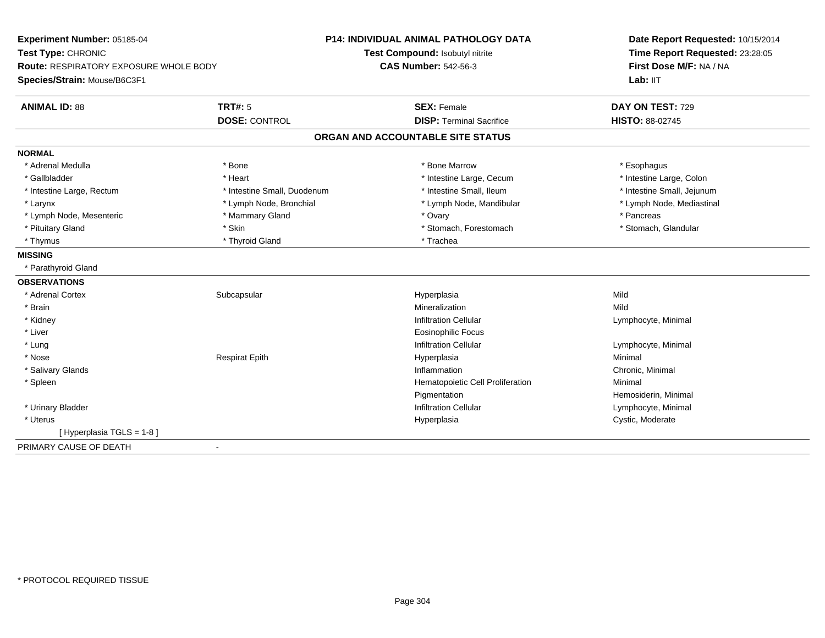| Experiment Number: 05185-04            |                             | <b>P14: INDIVIDUAL ANIMAL PATHOLOGY DATA</b> | Date Report Requested: 10/15/2014<br>Time Report Requested: 23:28:05<br>First Dose M/F: NA / NA |
|----------------------------------------|-----------------------------|----------------------------------------------|-------------------------------------------------------------------------------------------------|
| Test Type: CHRONIC                     |                             | Test Compound: Isobutyl nitrite              |                                                                                                 |
| Route: RESPIRATORY EXPOSURE WHOLE BODY |                             | <b>CAS Number: 542-56-3</b>                  |                                                                                                 |
| Species/Strain: Mouse/B6C3F1           |                             |                                              | Lab: IIT                                                                                        |
| <b>ANIMAL ID: 88</b>                   | <b>TRT#: 5</b>              | <b>SEX: Female</b>                           | DAY ON TEST: 729                                                                                |
|                                        | <b>DOSE: CONTROL</b>        | <b>DISP: Terminal Sacrifice</b>              | <b>HISTO: 88-02745</b>                                                                          |
|                                        |                             | ORGAN AND ACCOUNTABLE SITE STATUS            |                                                                                                 |
| <b>NORMAL</b>                          |                             |                                              |                                                                                                 |
| * Adrenal Medulla                      | * Bone                      | * Bone Marrow                                | * Esophagus                                                                                     |
| * Gallbladder                          | * Heart                     | * Intestine Large, Cecum                     | * Intestine Large, Colon                                                                        |
| * Intestine Large, Rectum              | * Intestine Small, Duodenum | * Intestine Small. Ileum                     | * Intestine Small, Jejunum                                                                      |
| * Larynx                               | * Lymph Node, Bronchial     | * Lymph Node, Mandibular                     | * Lymph Node, Mediastinal                                                                       |
| * Lymph Node, Mesenteric               | * Mammary Gland             | * Ovary                                      | * Pancreas                                                                                      |
| * Pituitary Gland                      | * Skin                      | * Stomach, Forestomach                       | * Stomach, Glandular                                                                            |
| * Thymus                               | * Thyroid Gland             | * Trachea                                    |                                                                                                 |
| <b>MISSING</b>                         |                             |                                              |                                                                                                 |
| * Parathyroid Gland                    |                             |                                              |                                                                                                 |
| <b>OBSERVATIONS</b>                    |                             |                                              |                                                                                                 |
| * Adrenal Cortex                       | Subcapsular                 | Hyperplasia                                  | Mild                                                                                            |
| * Brain                                |                             | Mineralization                               | Mild                                                                                            |
| * Kidney                               |                             | <b>Infiltration Cellular</b>                 | Lymphocyte, Minimal                                                                             |
| * Liver                                |                             | <b>Eosinophilic Focus</b>                    |                                                                                                 |
| * Lung                                 |                             | <b>Infiltration Cellular</b>                 | Lymphocyte, Minimal                                                                             |
| * Nose                                 | <b>Respirat Epith</b>       | Hyperplasia                                  | Minimal                                                                                         |
| * Salivary Glands                      |                             | Inflammation                                 | Chronic, Minimal                                                                                |
| * Spleen                               |                             | Hematopoietic Cell Proliferation             | Minimal                                                                                         |
|                                        |                             | Pigmentation                                 | Hemosiderin, Minimal                                                                            |
| * Urinary Bladder                      |                             | <b>Infiltration Cellular</b>                 | Lymphocyte, Minimal                                                                             |
| * Uterus                               |                             | Hyperplasia                                  | Cystic, Moderate                                                                                |
| [Hyperplasia TGLS = 1-8]               |                             |                                              |                                                                                                 |
| PRIMARY CAUSE OF DEATH                 | $\blacksquare$              |                                              |                                                                                                 |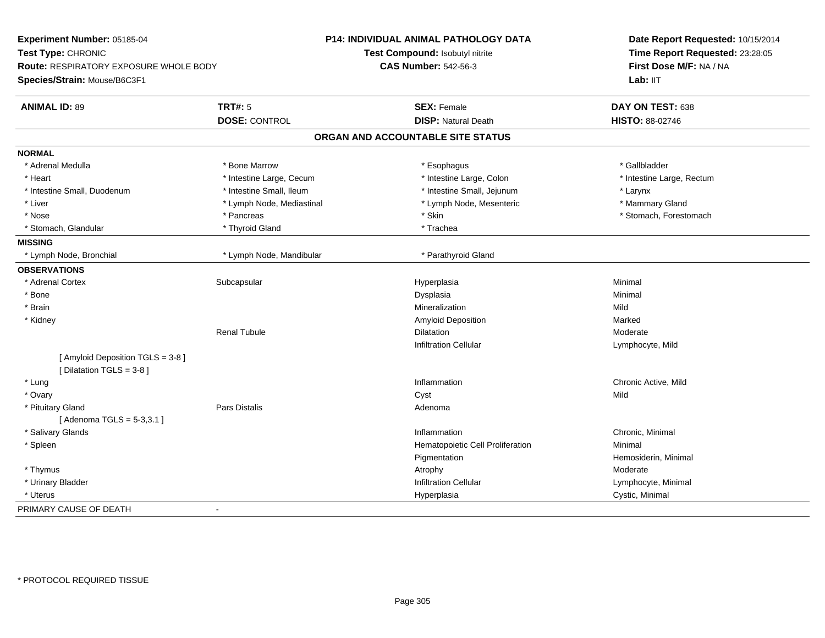| Experiment Number: 05185-04                                    |                           | P14: INDIVIDUAL ANIMAL PATHOLOGY DATA | Date Report Requested: 10/15/2014<br>Time Report Requested: 23:28:05<br>First Dose M/F: NA / NA |  |
|----------------------------------------------------------------|---------------------------|---------------------------------------|-------------------------------------------------------------------------------------------------|--|
| Test Type: CHRONIC                                             |                           | Test Compound: Isobutyl nitrite       |                                                                                                 |  |
| Route: RESPIRATORY EXPOSURE WHOLE BODY                         |                           | <b>CAS Number: 542-56-3</b>           |                                                                                                 |  |
| Species/Strain: Mouse/B6C3F1                                   |                           |                                       | Lab: IIT                                                                                        |  |
| <b>ANIMAL ID: 89</b>                                           | <b>TRT#: 5</b>            | <b>SEX: Female</b>                    | DAY ON TEST: 638                                                                                |  |
|                                                                | <b>DOSE: CONTROL</b>      | <b>DISP: Natural Death</b>            | HISTO: 88-02746                                                                                 |  |
|                                                                |                           | ORGAN AND ACCOUNTABLE SITE STATUS     |                                                                                                 |  |
| <b>NORMAL</b>                                                  |                           |                                       |                                                                                                 |  |
| * Adrenal Medulla                                              | * Bone Marrow             | * Esophagus                           | * Gallbladder                                                                                   |  |
| * Heart                                                        | * Intestine Large, Cecum  | * Intestine Large, Colon              | * Intestine Large, Rectum                                                                       |  |
| * Intestine Small, Duodenum                                    | * Intestine Small, Ileum  | * Intestine Small, Jejunum            | * Larynx                                                                                        |  |
| * Liver                                                        | * Lymph Node, Mediastinal | * Lymph Node, Mesenteric              | * Mammary Gland                                                                                 |  |
| * Nose                                                         | * Pancreas                | * Skin                                | * Stomach, Forestomach                                                                          |  |
| * Stomach, Glandular                                           | * Thyroid Gland           | * Trachea                             |                                                                                                 |  |
| <b>MISSING</b>                                                 |                           |                                       |                                                                                                 |  |
| * Lymph Node, Bronchial                                        | * Lymph Node, Mandibular  | * Parathyroid Gland                   |                                                                                                 |  |
| <b>OBSERVATIONS</b>                                            |                           |                                       |                                                                                                 |  |
| * Adrenal Cortex                                               | Subcapsular               | Hyperplasia                           | Minimal                                                                                         |  |
| * Bone                                                         |                           | Dysplasia                             | Minimal                                                                                         |  |
| * Brain                                                        |                           | Mineralization                        | Mild                                                                                            |  |
| * Kidney                                                       |                           | Amyloid Deposition                    | Marked                                                                                          |  |
|                                                                | <b>Renal Tubule</b>       | <b>Dilatation</b>                     | Moderate                                                                                        |  |
|                                                                |                           | <b>Infiltration Cellular</b>          | Lymphocyte, Mild                                                                                |  |
| [ Amyloid Deposition TGLS = 3-8 ]<br>[ Dilatation TGLS = 3-8 ] |                           |                                       |                                                                                                 |  |
| * Lung                                                         |                           | Inflammation                          | Chronic Active, Mild                                                                            |  |
| * Ovary                                                        |                           | Cyst                                  | Mild                                                                                            |  |
| * Pituitary Gland                                              | Pars Distalis             | Adenoma                               |                                                                                                 |  |
| [Adenoma TGLS = 5-3,3.1]                                       |                           |                                       |                                                                                                 |  |
| * Salivary Glands                                              |                           | Inflammation                          | Chronic, Minimal                                                                                |  |
| * Spleen                                                       |                           | Hematopoietic Cell Proliferation      | Minimal                                                                                         |  |
|                                                                |                           | Pigmentation                          | Hemosiderin, Minimal                                                                            |  |
| * Thymus                                                       |                           | Atrophy                               | Moderate                                                                                        |  |
| * Urinary Bladder                                              |                           | <b>Infiltration Cellular</b>          | Lymphocyte, Minimal                                                                             |  |
| * Uterus                                                       |                           | Hyperplasia                           | Cystic, Minimal                                                                                 |  |
| PRIMARY CAUSE OF DEATH                                         | $\blacksquare$            |                                       |                                                                                                 |  |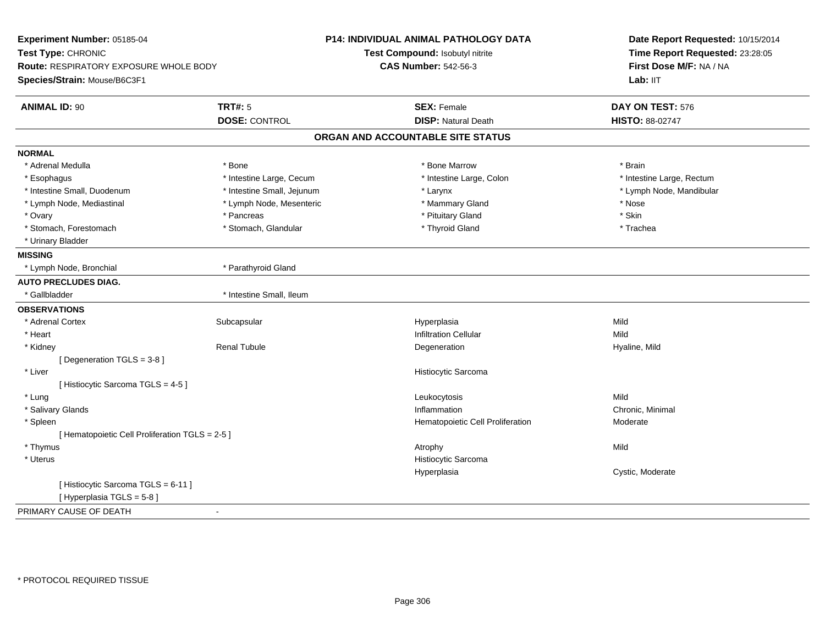| Experiment Number: 05185-04                                         |                            | P14: INDIVIDUAL ANIMAL PATHOLOGY DATA | Date Report Requested: 10/15/2014 |
|---------------------------------------------------------------------|----------------------------|---------------------------------------|-----------------------------------|
| Test Type: CHRONIC<br><b>Route: RESPIRATORY EXPOSURE WHOLE BODY</b> |                            | Test Compound: Isobutyl nitrite       | Time Report Requested: 23:28:05   |
|                                                                     |                            | <b>CAS Number: 542-56-3</b>           | First Dose M/F: NA / NA           |
| Species/Strain: Mouse/B6C3F1                                        |                            |                                       | Lab: IIT                          |
| <b>ANIMAL ID: 90</b>                                                | <b>TRT#: 5</b>             | <b>SEX: Female</b>                    | DAY ON TEST: 576                  |
|                                                                     | <b>DOSE: CONTROL</b>       | <b>DISP: Natural Death</b>            | <b>HISTO: 88-02747</b>            |
|                                                                     |                            | ORGAN AND ACCOUNTABLE SITE STATUS     |                                   |
| <b>NORMAL</b>                                                       |                            |                                       |                                   |
| * Adrenal Medulla                                                   | * Bone                     | * Bone Marrow                         | * Brain                           |
| * Esophagus                                                         | * Intestine Large, Cecum   | * Intestine Large, Colon              | * Intestine Large, Rectum         |
| * Intestine Small, Duodenum                                         | * Intestine Small, Jejunum | * Larynx                              | * Lymph Node, Mandibular          |
| * Lymph Node, Mediastinal                                           | * Lymph Node, Mesenteric   | * Mammary Gland                       | * Nose                            |
| * Ovary                                                             | * Pancreas                 | * Pituitary Gland                     | * Skin                            |
| * Stomach, Forestomach                                              | * Stomach, Glandular       | * Thyroid Gland                       | * Trachea                         |
| * Urinary Bladder                                                   |                            |                                       |                                   |
| <b>MISSING</b>                                                      |                            |                                       |                                   |
| * Lymph Node, Bronchial                                             | * Parathyroid Gland        |                                       |                                   |
| <b>AUTO PRECLUDES DIAG.</b>                                         |                            |                                       |                                   |
| * Gallbladder                                                       | * Intestine Small, Ileum   |                                       |                                   |
| <b>OBSERVATIONS</b>                                                 |                            |                                       |                                   |
| * Adrenal Cortex                                                    | Subcapsular                | Hyperplasia                           | Mild                              |
| * Heart                                                             |                            | <b>Infiltration Cellular</b>          | Mild                              |
| * Kidney                                                            | <b>Renal Tubule</b>        | Degeneration                          | Hyaline, Mild                     |
| [Degeneration TGLS = 3-8]                                           |                            |                                       |                                   |
| * Liver                                                             |                            | Histiocytic Sarcoma                   |                                   |
| [ Histiocytic Sarcoma TGLS = 4-5 ]                                  |                            |                                       |                                   |
| * Lung                                                              |                            | Leukocytosis                          | Mild                              |
| * Salivary Glands                                                   |                            | Inflammation                          | Chronic, Minimal                  |
| * Spleen                                                            |                            | Hematopoietic Cell Proliferation      | Moderate                          |
| [ Hematopoietic Cell Proliferation TGLS = 2-5 ]                     |                            |                                       |                                   |
| * Thymus                                                            |                            | Atrophy                               | Mild                              |
| * Uterus                                                            |                            | Histiocytic Sarcoma                   |                                   |
|                                                                     |                            | Hyperplasia                           | Cystic, Moderate                  |
| [Histiocytic Sarcoma TGLS = 6-11]                                   |                            |                                       |                                   |
| [ Hyperplasia TGLS = 5-8 ]                                          |                            |                                       |                                   |
| PRIMARY CAUSE OF DEATH                                              | $\sim$                     |                                       |                                   |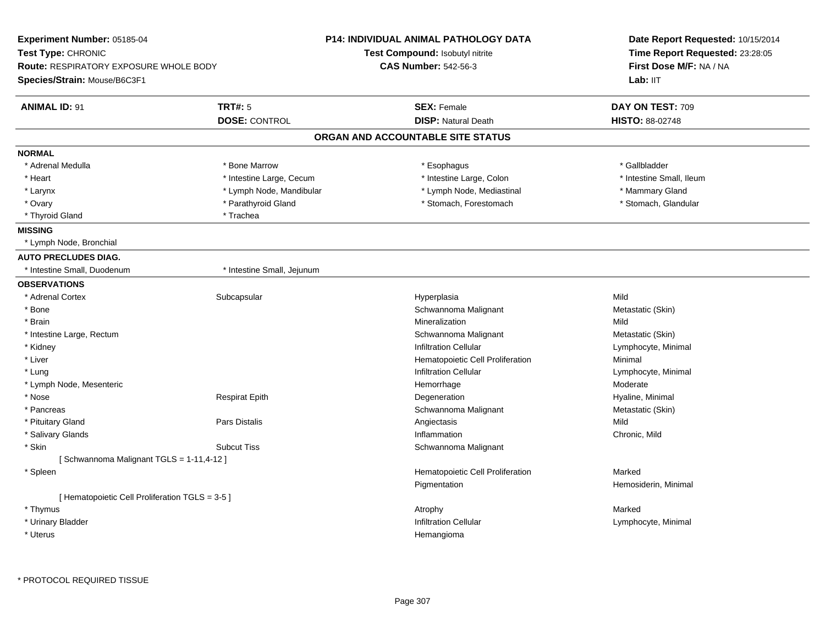| Experiment Number: 05185-04                     |                            | <b>P14: INDIVIDUAL ANIMAL PATHOLOGY DATA</b> | Date Report Requested: 10/15/2014 |  |
|-------------------------------------------------|----------------------------|----------------------------------------------|-----------------------------------|--|
| Test Type: CHRONIC                              |                            | <b>Test Compound: Isobutyl nitrite</b>       | Time Report Requested: 23:28:05   |  |
| <b>Route: RESPIRATORY EXPOSURE WHOLE BODY</b>   |                            | <b>CAS Number: 542-56-3</b>                  | First Dose M/F: NA / NA           |  |
| Species/Strain: Mouse/B6C3F1                    |                            |                                              | Lab: IIT                          |  |
| <b>ANIMAL ID: 91</b>                            | <b>TRT#: 5</b>             | <b>SEX: Female</b>                           | DAY ON TEST: 709                  |  |
|                                                 | <b>DOSE: CONTROL</b>       | <b>DISP: Natural Death</b>                   | HISTO: 88-02748                   |  |
|                                                 |                            | ORGAN AND ACCOUNTABLE SITE STATUS            |                                   |  |
| <b>NORMAL</b>                                   |                            |                                              |                                   |  |
| * Adrenal Medulla                               | * Bone Marrow              | * Esophagus                                  | * Gallbladder                     |  |
| * Heart                                         | * Intestine Large, Cecum   | * Intestine Large, Colon                     | * Intestine Small, Ileum          |  |
| * Larynx                                        | * Lymph Node, Mandibular   | * Lymph Node, Mediastinal                    | * Mammary Gland                   |  |
| * Ovary                                         | * Parathyroid Gland        | * Stomach, Forestomach                       | * Stomach, Glandular              |  |
| * Thyroid Gland                                 | * Trachea                  |                                              |                                   |  |
| <b>MISSING</b>                                  |                            |                                              |                                   |  |
| * Lymph Node, Bronchial                         |                            |                                              |                                   |  |
| <b>AUTO PRECLUDES DIAG.</b>                     |                            |                                              |                                   |  |
| * Intestine Small, Duodenum                     | * Intestine Small, Jejunum |                                              |                                   |  |
| <b>OBSERVATIONS</b>                             |                            |                                              |                                   |  |
| * Adrenal Cortex                                | Subcapsular                | Hyperplasia                                  | Mild                              |  |
| * Bone                                          |                            | Schwannoma Malignant                         | Metastatic (Skin)                 |  |
| * Brain                                         |                            | Mineralization                               | Mild                              |  |
| * Intestine Large, Rectum                       |                            | Schwannoma Malignant                         | Metastatic (Skin)                 |  |
| * Kidney                                        |                            | <b>Infiltration Cellular</b>                 | Lymphocyte, Minimal               |  |
| * Liver                                         |                            | Hematopoietic Cell Proliferation             | Minimal                           |  |
| * Lung                                          |                            | <b>Infiltration Cellular</b>                 | Lymphocyte, Minimal               |  |
| * Lymph Node, Mesenteric                        |                            | Hemorrhage                                   | Moderate                          |  |
| * Nose                                          | <b>Respirat Epith</b>      | Degeneration                                 | Hyaline, Minimal                  |  |
| * Pancreas                                      |                            | Schwannoma Malignant                         | Metastatic (Skin)                 |  |
| * Pituitary Gland                               | <b>Pars Distalis</b>       | Angiectasis                                  | Mild                              |  |
| * Salivary Glands                               |                            | Inflammation                                 | Chronic, Mild                     |  |
| * Skin                                          | <b>Subcut Tiss</b>         | Schwannoma Malignant                         |                                   |  |
| [Schwannoma Malignant TGLS = 1-11,4-12]         |                            |                                              |                                   |  |
| * Spleen                                        |                            | Hematopoietic Cell Proliferation             | Marked                            |  |
|                                                 |                            | Pigmentation                                 | Hemosiderin, Minimal              |  |
| [ Hematopoietic Cell Proliferation TGLS = 3-5 ] |                            |                                              |                                   |  |
| * Thymus                                        |                            | Atrophy                                      | Marked                            |  |
| * Urinary Bladder                               |                            | <b>Infiltration Cellular</b>                 | Lymphocyte, Minimal               |  |
| * Uterus                                        |                            | Hemangioma                                   |                                   |  |
|                                                 |                            |                                              |                                   |  |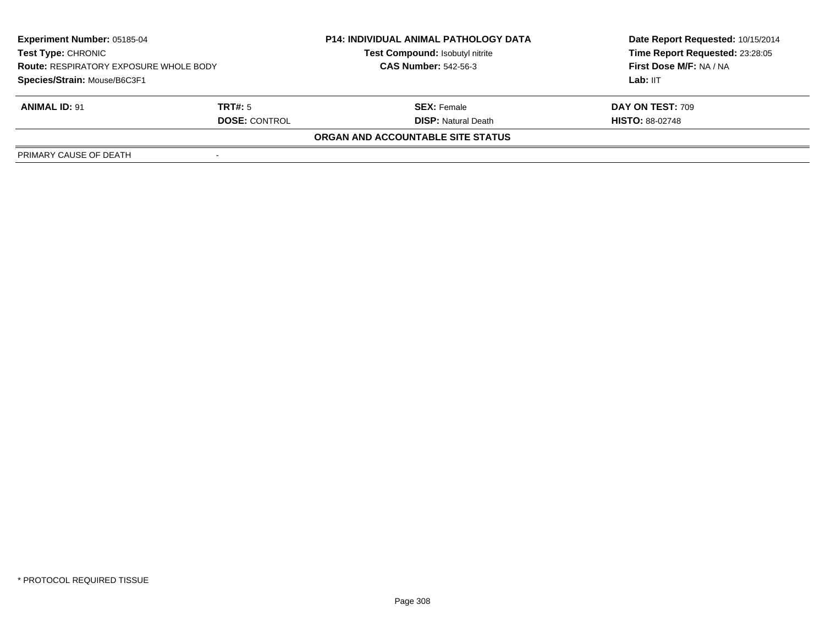| <b>Experiment Number: 05185-04</b><br>Test Type: CHRONIC<br><b>Route: RESPIRATORY EXPOSURE WHOLE BODY</b><br>Species/Strain: Mouse/B6C3F1 |                      | <b>P14: INDIVIDUAL ANIMAL PATHOLOGY DATA</b> | Date Report Requested: 10/15/2014 |  |
|-------------------------------------------------------------------------------------------------------------------------------------------|----------------------|----------------------------------------------|-----------------------------------|--|
|                                                                                                                                           |                      | <b>Test Compound: Isobutyl nitrite</b>       | Time Report Requested: 23:28:05   |  |
|                                                                                                                                           |                      | <b>CAS Number: 542-56-3</b>                  | First Dose M/F: NA / NA           |  |
|                                                                                                                                           |                      |                                              | Lab: IIT                          |  |
| <b>ANIMAL ID: 91</b>                                                                                                                      | TRT#: 5              | <b>SEX: Female</b>                           | DAY ON TEST: 709                  |  |
|                                                                                                                                           | <b>DOSE: CONTROL</b> | <b>DISP: Natural Death</b>                   | <b>HISTO: 88-02748</b>            |  |
|                                                                                                                                           |                      | ORGAN AND ACCOUNTABLE SITE STATUS            |                                   |  |
| PRIMARY CAUSE OF DEATH                                                                                                                    |                      |                                              |                                   |  |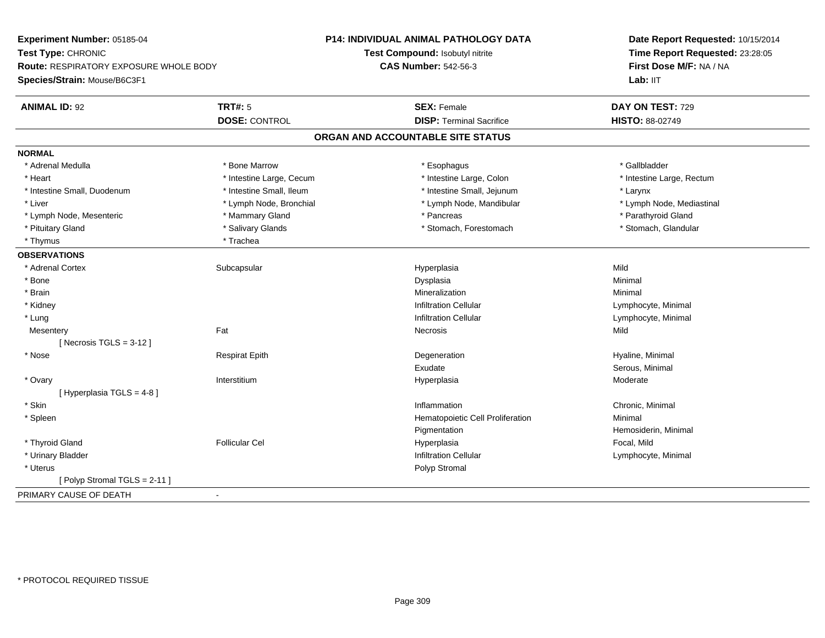| Experiment Number: 05185-04                                         |                          | <b>P14: INDIVIDUAL ANIMAL PATHOLOGY DATA</b> | Date Report Requested: 10/15/2014                          |
|---------------------------------------------------------------------|--------------------------|----------------------------------------------|------------------------------------------------------------|
| Test Type: CHRONIC<br><b>Route: RESPIRATORY EXPOSURE WHOLE BODY</b> |                          | Test Compound: Isobutyl nitrite              | Time Report Requested: 23:28:05<br>First Dose M/F: NA / NA |
|                                                                     |                          | <b>CAS Number: 542-56-3</b>                  |                                                            |
| Species/Strain: Mouse/B6C3F1                                        |                          |                                              | Lab: IIT                                                   |
| <b>ANIMAL ID: 92</b>                                                | <b>TRT#: 5</b>           | <b>SEX: Female</b>                           | DAY ON TEST: 729                                           |
|                                                                     | <b>DOSE: CONTROL</b>     | <b>DISP: Terminal Sacrifice</b>              | HISTO: 88-02749                                            |
|                                                                     |                          | ORGAN AND ACCOUNTABLE SITE STATUS            |                                                            |
| <b>NORMAL</b>                                                       |                          |                                              |                                                            |
| * Adrenal Medulla                                                   | * Bone Marrow            | * Esophagus                                  | * Gallbladder                                              |
| * Heart                                                             | * Intestine Large, Cecum | * Intestine Large, Colon                     | * Intestine Large, Rectum                                  |
| * Intestine Small, Duodenum                                         | * Intestine Small, Ileum | * Intestine Small, Jejunum                   | * Larynx                                                   |
| * Liver                                                             | * Lymph Node, Bronchial  | * Lymph Node, Mandibular                     | * Lymph Node, Mediastinal                                  |
| * Lymph Node, Mesenteric                                            | * Mammary Gland          | * Pancreas                                   | * Parathyroid Gland                                        |
| * Pituitary Gland                                                   | * Salivary Glands        | * Stomach, Forestomach                       | * Stomach, Glandular                                       |
| * Thymus                                                            | * Trachea                |                                              |                                                            |
| <b>OBSERVATIONS</b>                                                 |                          |                                              |                                                            |
| * Adrenal Cortex                                                    | Subcapsular              | Hyperplasia                                  | Mild                                                       |
| * Bone                                                              |                          | Dysplasia                                    | Minimal                                                    |
| * Brain                                                             |                          | Mineralization                               | Minimal                                                    |
| * Kidney                                                            |                          | <b>Infiltration Cellular</b>                 | Lymphocyte, Minimal                                        |
| * Lung                                                              |                          | <b>Infiltration Cellular</b>                 | Lymphocyte, Minimal                                        |
| Mesentery                                                           | Fat                      | Necrosis                                     | Mild                                                       |
| [Necrosis TGLS = $3-12$ ]                                           |                          |                                              |                                                            |
| * Nose                                                              | <b>Respirat Epith</b>    | Degeneration                                 | Hyaline, Minimal                                           |
|                                                                     |                          | Exudate                                      | Serous, Minimal                                            |
| * Ovary                                                             | Interstitium             | Hyperplasia                                  | Moderate                                                   |
| [Hyperplasia TGLS = 4-8]                                            |                          |                                              |                                                            |
| * Skin                                                              |                          | Inflammation                                 | Chronic, Minimal                                           |
| * Spleen                                                            |                          | Hematopoietic Cell Proliferation             | Minimal                                                    |
|                                                                     |                          | Pigmentation                                 | Hemosiderin, Minimal                                       |
| * Thyroid Gland                                                     | <b>Follicular Cel</b>    | Hyperplasia                                  | Focal, Mild                                                |
| * Urinary Bladder                                                   |                          | <b>Infiltration Cellular</b>                 | Lymphocyte, Minimal                                        |
| * Uterus                                                            |                          | Polyp Stromal                                |                                                            |
| [Polyp Stromal TGLS = 2-11]                                         |                          |                                              |                                                            |
| PRIMARY CAUSE OF DEATH                                              | $\sim$                   |                                              |                                                            |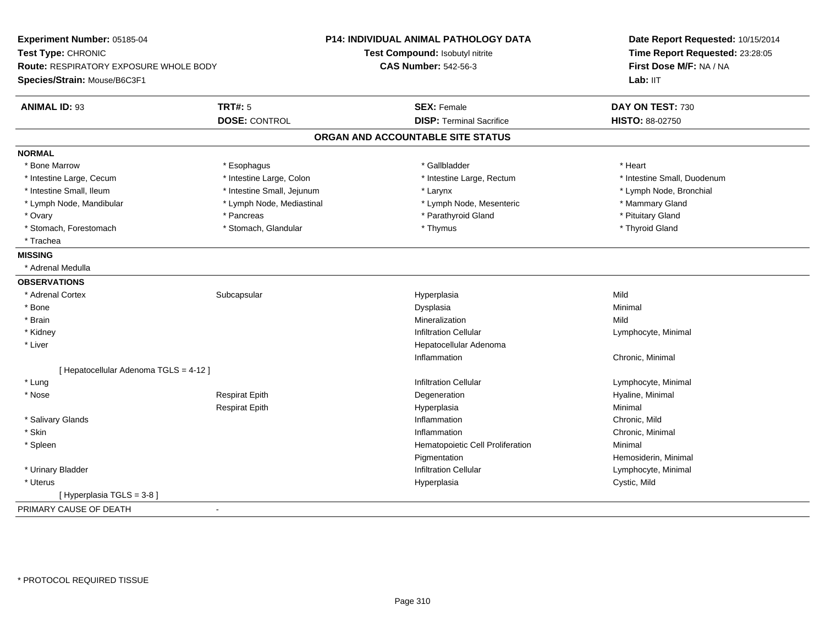| Experiment Number: 05185-04                            | <b>P14: INDIVIDUAL ANIMAL PATHOLOGY DATA</b> | Date Report Requested: 10/15/2014<br>Time Report Requested: 23:28:05 |
|--------------------------------------------------------|----------------------------------------------|----------------------------------------------------------------------|
| Test Type: CHRONIC                                     | Test Compound: Isobutyl nitrite              |                                                                      |
| <b>Route: RESPIRATORY EXPOSURE WHOLE BODY</b>          | <b>CAS Number: 542-56-3</b>                  | First Dose M/F: NA / NA                                              |
| Species/Strain: Mouse/B6C3F1                           |                                              | Lab: IIT                                                             |
| <b>ANIMAL ID: 93</b><br><b>TRT#: 5</b>                 | <b>SEX: Female</b>                           | DAY ON TEST: 730                                                     |
| <b>DOSE: CONTROL</b>                                   | <b>DISP: Terminal Sacrifice</b>              | HISTO: 88-02750                                                      |
|                                                        | ORGAN AND ACCOUNTABLE SITE STATUS            |                                                                      |
| <b>NORMAL</b>                                          |                                              |                                                                      |
| * Bone Marrow<br>* Esophagus                           | * Gallbladder                                | * Heart                                                              |
| * Intestine Large, Colon<br>* Intestine Large, Cecum   | * Intestine Large, Rectum                    | * Intestine Small, Duodenum                                          |
| * Intestine Small, Ileum<br>* Intestine Small, Jejunum | * Larynx                                     | * Lymph Node, Bronchial                                              |
| * Lymph Node, Mediastinal<br>* Lymph Node, Mandibular  | * Lymph Node, Mesenteric                     | * Mammary Gland                                                      |
| * Ovary<br>* Pancreas                                  | * Parathyroid Gland                          | * Pituitary Gland                                                    |
| * Stomach, Forestomach<br>* Stomach, Glandular         | * Thymus                                     | * Thyroid Gland                                                      |
| * Trachea                                              |                                              |                                                                      |
| <b>MISSING</b>                                         |                                              |                                                                      |
| * Adrenal Medulla                                      |                                              |                                                                      |
| <b>OBSERVATIONS</b>                                    |                                              |                                                                      |
| * Adrenal Cortex<br>Subcapsular                        | Hyperplasia                                  | Mild                                                                 |
| * Bone                                                 | Dysplasia                                    | Minimal                                                              |
| * Brain                                                | Mineralization                               | Mild                                                                 |
| * Kidney                                               | <b>Infiltration Cellular</b>                 | Lymphocyte, Minimal                                                  |
| * Liver                                                | Hepatocellular Adenoma                       |                                                                      |
|                                                        | Inflammation                                 | Chronic, Minimal                                                     |
| [ Hepatocellular Adenoma TGLS = 4-12 ]                 |                                              |                                                                      |
| * Lung                                                 | <b>Infiltration Cellular</b>                 | Lymphocyte, Minimal                                                  |
| * Nose<br><b>Respirat Epith</b>                        | Degeneration                                 | Hyaline, Minimal                                                     |
| <b>Respirat Epith</b>                                  | Hyperplasia                                  | Minimal                                                              |
| * Salivary Glands                                      | Inflammation                                 | Chronic, Mild                                                        |
| * Skin                                                 | Inflammation                                 | Chronic, Minimal                                                     |
| * Spleen                                               | Hematopoietic Cell Proliferation             | Minimal                                                              |
|                                                        | Pigmentation                                 | Hemosiderin, Minimal                                                 |
| * Urinary Bladder                                      | <b>Infiltration Cellular</b>                 | Lymphocyte, Minimal                                                  |
| * Uterus                                               | Hyperplasia                                  | Cystic, Mild                                                         |
| [ Hyperplasia TGLS = 3-8 ]                             |                                              |                                                                      |
| PRIMARY CAUSE OF DEATH<br>$\blacksquare$               |                                              |                                                                      |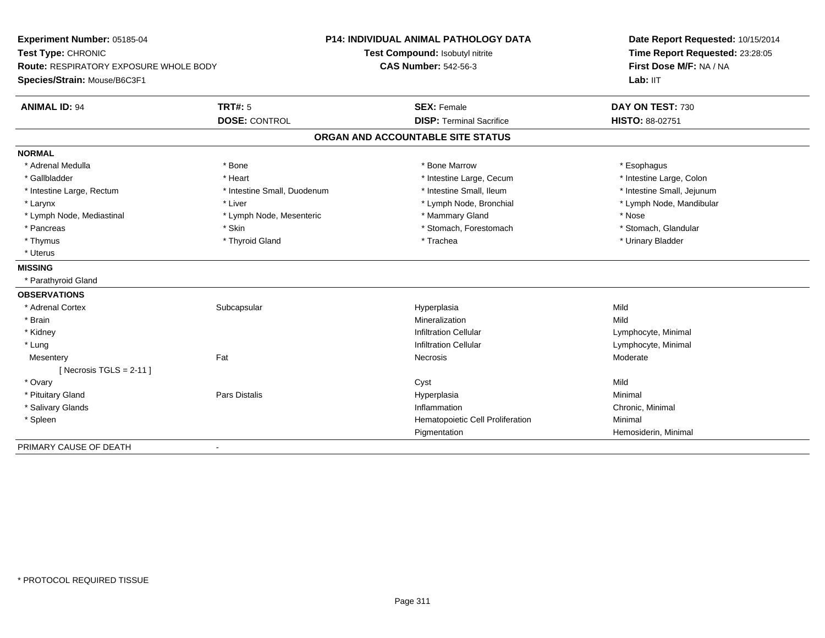| Experiment Number: 05185-04<br>Test Type: CHRONIC<br>Route: RESPIRATORY EXPOSURE WHOLE BODY |                             | <b>P14: INDIVIDUAL ANIMAL PATHOLOGY DATA</b> | Date Report Requested: 10/15/2014<br>Time Report Requested: 23:28:05<br>First Dose M/F: NA / NA |
|---------------------------------------------------------------------------------------------|-----------------------------|----------------------------------------------|-------------------------------------------------------------------------------------------------|
|                                                                                             |                             | Test Compound: Isobutyl nitrite              |                                                                                                 |
|                                                                                             |                             | <b>CAS Number: 542-56-3</b>                  |                                                                                                 |
| Species/Strain: Mouse/B6C3F1                                                                |                             |                                              | Lab: IIT                                                                                        |
| <b>ANIMAL ID: 94</b>                                                                        | <b>TRT#: 5</b>              | <b>SEX: Female</b>                           | DAY ON TEST: 730                                                                                |
|                                                                                             | <b>DOSE: CONTROL</b>        | <b>DISP: Terminal Sacrifice</b>              | HISTO: 88-02751                                                                                 |
|                                                                                             |                             | ORGAN AND ACCOUNTABLE SITE STATUS            |                                                                                                 |
| <b>NORMAL</b>                                                                               |                             |                                              |                                                                                                 |
| * Adrenal Medulla                                                                           | * Bone                      | * Bone Marrow                                | * Esophagus                                                                                     |
| * Gallbladder                                                                               | * Heart                     | * Intestine Large, Cecum                     | * Intestine Large, Colon                                                                        |
| * Intestine Large, Rectum                                                                   | * Intestine Small, Duodenum | * Intestine Small, Ileum                     | * Intestine Small, Jejunum                                                                      |
| * Larynx                                                                                    | * Liver                     | * Lymph Node, Bronchial                      | * Lymph Node, Mandibular                                                                        |
| * Lymph Node, Mediastinal                                                                   | * Lymph Node, Mesenteric    | * Mammary Gland                              | * Nose                                                                                          |
| * Pancreas                                                                                  | * Skin                      | * Stomach, Forestomach                       | * Stomach, Glandular                                                                            |
| * Thymus                                                                                    | * Thyroid Gland             | * Trachea                                    | * Urinary Bladder                                                                               |
| * Uterus                                                                                    |                             |                                              |                                                                                                 |
| <b>MISSING</b>                                                                              |                             |                                              |                                                                                                 |
| * Parathyroid Gland                                                                         |                             |                                              |                                                                                                 |
| <b>OBSERVATIONS</b>                                                                         |                             |                                              |                                                                                                 |
| * Adrenal Cortex                                                                            | Subcapsular                 | Hyperplasia                                  | Mild                                                                                            |
| * Brain                                                                                     |                             | Mineralization                               | Mild                                                                                            |
| * Kidney                                                                                    |                             | Infiltration Cellular                        | Lymphocyte, Minimal                                                                             |
| * Lung                                                                                      |                             | <b>Infiltration Cellular</b>                 | Lymphocyte, Minimal                                                                             |
| Mesentery                                                                                   | Fat                         | Necrosis                                     | Moderate                                                                                        |
| [ Necrosis TGLS = $2-11$ ]                                                                  |                             |                                              |                                                                                                 |
| * Ovary                                                                                     |                             | Cyst                                         | Mild                                                                                            |
| * Pituitary Gland                                                                           | <b>Pars Distalis</b>        | Hyperplasia                                  | Minimal                                                                                         |
| * Salivary Glands                                                                           |                             | Inflammation                                 | Chronic, Minimal                                                                                |
| * Spleen                                                                                    |                             | Hematopoietic Cell Proliferation             | Minimal                                                                                         |
|                                                                                             |                             | Pigmentation                                 | Hemosiderin, Minimal                                                                            |
| PRIMARY CAUSE OF DEATH                                                                      | $\blacksquare$              |                                              |                                                                                                 |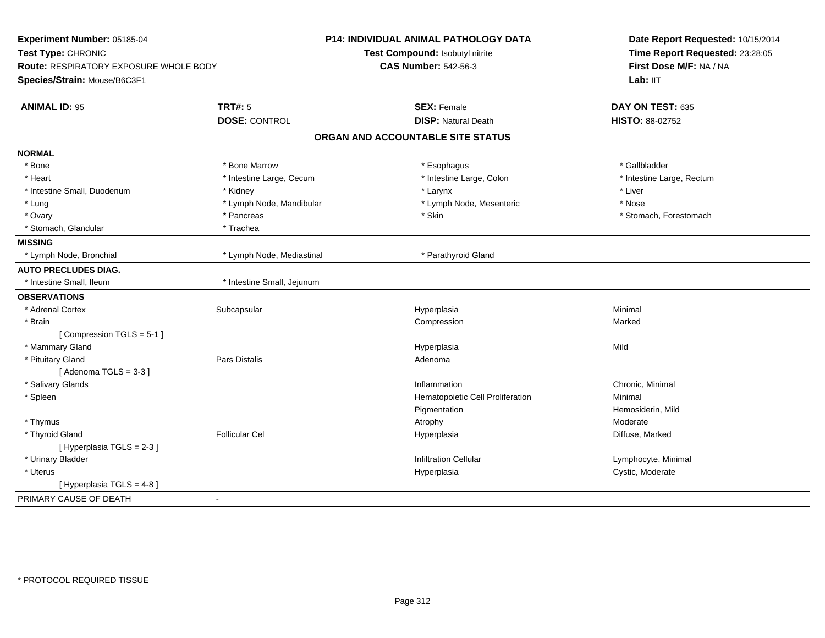| Experiment Number: 05185-04            |                            | <b>P14: INDIVIDUAL ANIMAL PATHOLOGY DATA</b> | Date Report Requested: 10/15/2014 |  |
|----------------------------------------|----------------------------|----------------------------------------------|-----------------------------------|--|
| Test Type: CHRONIC                     |                            | Test Compound: Isobutyl nitrite              | Time Report Requested: 23:28:05   |  |
| Route: RESPIRATORY EXPOSURE WHOLE BODY |                            | <b>CAS Number: 542-56-3</b>                  | First Dose M/F: NA / NA           |  |
| Species/Strain: Mouse/B6C3F1           |                            |                                              | Lab: IIT                          |  |
| <b>ANIMAL ID: 95</b>                   | <b>TRT#: 5</b>             | <b>SEX: Female</b>                           | DAY ON TEST: 635                  |  |
|                                        | <b>DOSE: CONTROL</b>       | <b>DISP: Natural Death</b>                   | HISTO: 88-02752                   |  |
|                                        |                            | ORGAN AND ACCOUNTABLE SITE STATUS            |                                   |  |
| <b>NORMAL</b>                          |                            |                                              |                                   |  |
| * Bone                                 | * Bone Marrow              | * Esophagus                                  | * Gallbladder                     |  |
| * Heart                                | * Intestine Large, Cecum   | * Intestine Large, Colon                     | * Intestine Large, Rectum         |  |
| * Intestine Small, Duodenum            | * Kidney                   | * Larynx                                     | * Liver                           |  |
| * Lung                                 | * Lymph Node, Mandibular   | * Lymph Node, Mesenteric                     | * Nose                            |  |
| * Ovary                                | * Pancreas                 | * Skin                                       | * Stomach, Forestomach            |  |
| * Stomach, Glandular                   | * Trachea                  |                                              |                                   |  |
| <b>MISSING</b>                         |                            |                                              |                                   |  |
| * Lymph Node, Bronchial                | * Lymph Node, Mediastinal  | * Parathyroid Gland                          |                                   |  |
| <b>AUTO PRECLUDES DIAG.</b>            |                            |                                              |                                   |  |
| * Intestine Small, Ileum               | * Intestine Small, Jejunum |                                              |                                   |  |
| <b>OBSERVATIONS</b>                    |                            |                                              |                                   |  |
| * Adrenal Cortex                       | Subcapsular                | Hyperplasia                                  | Minimal                           |  |
| * Brain                                |                            | Compression                                  | Marked                            |  |
| [Compression TGLS = 5-1]               |                            |                                              |                                   |  |
| * Mammary Gland                        |                            | Hyperplasia                                  | Mild                              |  |
| * Pituitary Gland                      | Pars Distalis              | Adenoma                                      |                                   |  |
| [Adenoma TGLS = $3-3$ ]                |                            |                                              |                                   |  |
| * Salivary Glands                      |                            | Inflammation                                 | Chronic, Minimal                  |  |
| * Spleen                               |                            | Hematopoietic Cell Proliferation             | Minimal                           |  |
|                                        |                            | Pigmentation                                 | Hemosiderin, Mild                 |  |
| * Thymus                               |                            | Atrophy                                      | Moderate                          |  |
| * Thyroid Gland                        | <b>Follicular Cel</b>      | Hyperplasia                                  | Diffuse, Marked                   |  |
| [Hyperplasia TGLS = $2-3$ ]            |                            |                                              |                                   |  |
| * Urinary Bladder                      |                            | <b>Infiltration Cellular</b>                 | Lymphocyte, Minimal               |  |
| * Uterus                               |                            | Hyperplasia                                  | Cystic, Moderate                  |  |
| [Hyperplasia TGLS = 4-8]               |                            |                                              |                                   |  |
| PRIMARY CAUSE OF DEATH                 | $\blacksquare$             |                                              |                                   |  |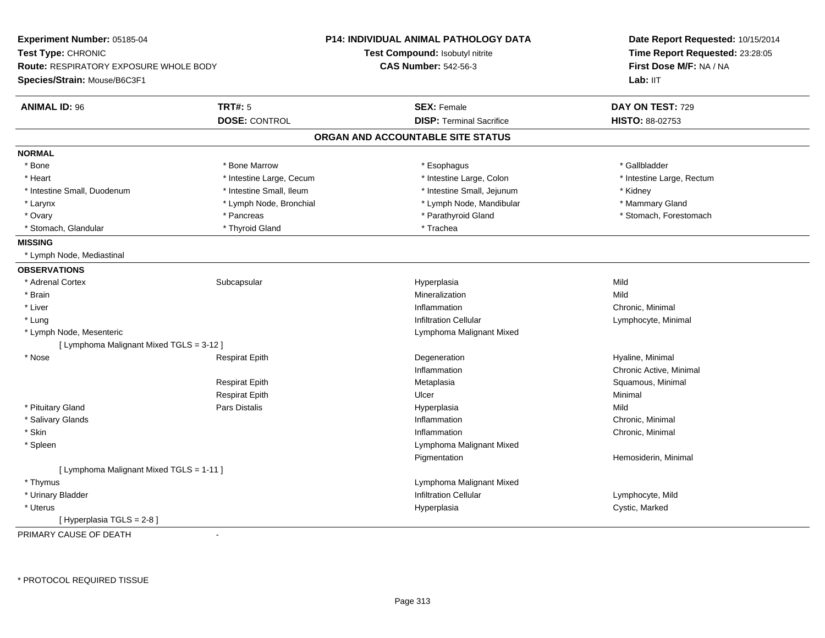| Experiment Number: 05185-04              |                          | P14: INDIVIDUAL ANIMAL PATHOLOGY DATA  | Date Report Requested: 10/15/2014<br>Time Report Requested: 23:28:05<br>First Dose M/F: NA / NA |  |
|------------------------------------------|--------------------------|----------------------------------------|-------------------------------------------------------------------------------------------------|--|
| Test Type: CHRONIC                       |                          | <b>Test Compound: Isobutyl nitrite</b> |                                                                                                 |  |
| Route: RESPIRATORY EXPOSURE WHOLE BODY   |                          | <b>CAS Number: 542-56-3</b>            |                                                                                                 |  |
| Species/Strain: Mouse/B6C3F1             |                          |                                        | Lab: IIT                                                                                        |  |
| <b>ANIMAL ID: 96</b>                     | <b>TRT#: 5</b>           | <b>SEX: Female</b>                     | DAY ON TEST: 729                                                                                |  |
|                                          | <b>DOSE: CONTROL</b>     | <b>DISP: Terminal Sacrifice</b>        | <b>HISTO: 88-02753</b>                                                                          |  |
|                                          |                          | ORGAN AND ACCOUNTABLE SITE STATUS      |                                                                                                 |  |
| <b>NORMAL</b>                            |                          |                                        |                                                                                                 |  |
| * Bone                                   | * Bone Marrow            | * Esophagus                            | * Gallbladder                                                                                   |  |
| * Heart                                  | * Intestine Large, Cecum | * Intestine Large, Colon               | * Intestine Large, Rectum                                                                       |  |
| * Intestine Small, Duodenum              | * Intestine Small, Ileum | * Intestine Small, Jejunum             | * Kidney                                                                                        |  |
| * Larynx                                 | * Lymph Node, Bronchial  | * Lymph Node, Mandibular               | * Mammary Gland                                                                                 |  |
| * Ovary                                  | * Pancreas               | * Parathyroid Gland                    | * Stomach, Forestomach                                                                          |  |
| * Stomach, Glandular                     | * Thyroid Gland          | * Trachea                              |                                                                                                 |  |
| <b>MISSING</b>                           |                          |                                        |                                                                                                 |  |
| * Lymph Node, Mediastinal                |                          |                                        |                                                                                                 |  |
| <b>OBSERVATIONS</b>                      |                          |                                        |                                                                                                 |  |
| * Adrenal Cortex                         | Subcapsular              | Hyperplasia                            | Mild                                                                                            |  |
| * Brain                                  |                          | Mineralization                         | Mild                                                                                            |  |
| * Liver                                  |                          | Inflammation                           | Chronic, Minimal                                                                                |  |
| * Lung                                   |                          | <b>Infiltration Cellular</b>           | Lymphocyte, Minimal                                                                             |  |
| * Lymph Node, Mesenteric                 |                          | Lymphoma Malignant Mixed               |                                                                                                 |  |
| [ Lymphoma Malignant Mixed TGLS = 3-12 ] |                          |                                        |                                                                                                 |  |
| * Nose                                   | <b>Respirat Epith</b>    | Degeneration                           | Hyaline, Minimal                                                                                |  |
|                                          |                          | Inflammation                           | Chronic Active, Minimal                                                                         |  |
|                                          | <b>Respirat Epith</b>    | Metaplasia                             | Squamous, Minimal                                                                               |  |
|                                          | <b>Respirat Epith</b>    | Ulcer                                  | Minimal                                                                                         |  |
| * Pituitary Gland                        | <b>Pars Distalis</b>     | Hyperplasia                            | Mild                                                                                            |  |
| * Salivary Glands                        |                          | Inflammation                           | Chronic, Minimal                                                                                |  |
| * Skin                                   |                          | Inflammation                           | Chronic, Minimal                                                                                |  |
| * Spleen                                 |                          | Lymphoma Malignant Mixed               |                                                                                                 |  |
|                                          |                          | Pigmentation                           | Hemosiderin, Minimal                                                                            |  |
| [ Lymphoma Malignant Mixed TGLS = 1-11 ] |                          |                                        |                                                                                                 |  |
| * Thymus                                 |                          | Lymphoma Malignant Mixed               |                                                                                                 |  |
| * Urinary Bladder                        |                          | <b>Infiltration Cellular</b>           | Lymphocyte, Mild                                                                                |  |
| * Uterus                                 |                          | Hyperplasia                            | Cystic, Marked                                                                                  |  |
| [ Hyperplasia TGLS = 2-8 ]               |                          |                                        |                                                                                                 |  |
| PRIMARY CAUSE OF DEATH                   | $\blacksquare$           |                                        |                                                                                                 |  |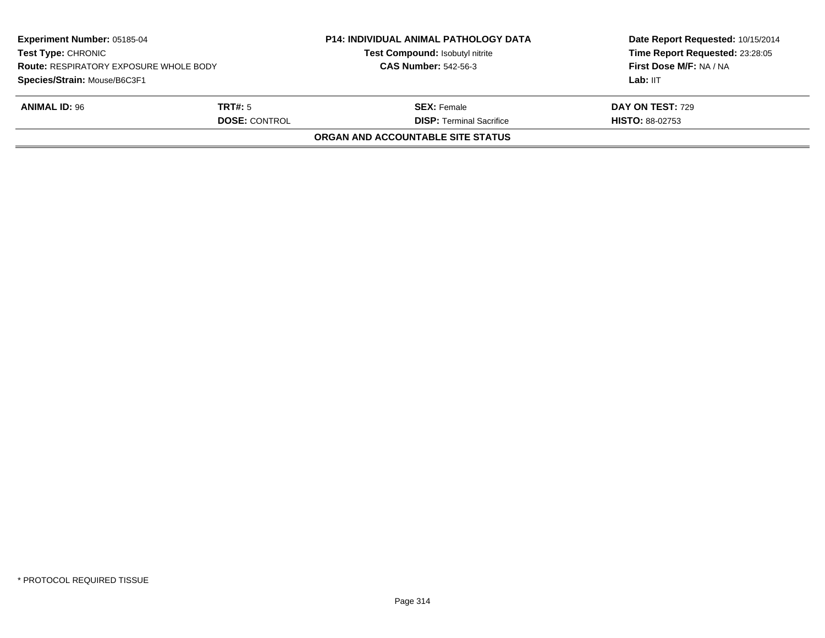| Experiment Number: 05185-04<br><b>Test Type: CHRONIC</b><br><b>Route: RESPIRATORY EXPOSURE WHOLE BODY</b><br>Species/Strain: Mouse/B6C3F1<br><b>ANIMAL ID: 96</b><br><b>TRT#:</b> 5<br><b>DOSE: CONTROL</b> |  | <b>P14: INDIVIDUAL ANIMAL PATHOLOGY DATA</b><br>Test Compound: Isobutyl nitrite<br><b>CAS Number: 542-56-3</b> | Date Report Requested: 10/15/2014<br>Time Report Requested: 23:28:05<br>First Dose M/F: NA / NA<br>Lab: IIT<br>DAY ON TEST: 729<br><b>HISTO: 88-02753</b> |
|-------------------------------------------------------------------------------------------------------------------------------------------------------------------------------------------------------------|--|----------------------------------------------------------------------------------------------------------------|-----------------------------------------------------------------------------------------------------------------------------------------------------------|
|                                                                                                                                                                                                             |  | <b>SEX:</b> Female<br><b>DISP: Terminal Sacrifice</b>                                                          |                                                                                                                                                           |
|                                                                                                                                                                                                             |  | <b>ORGAN AND ACCOUNTABLE SITE STATUS</b>                                                                       |                                                                                                                                                           |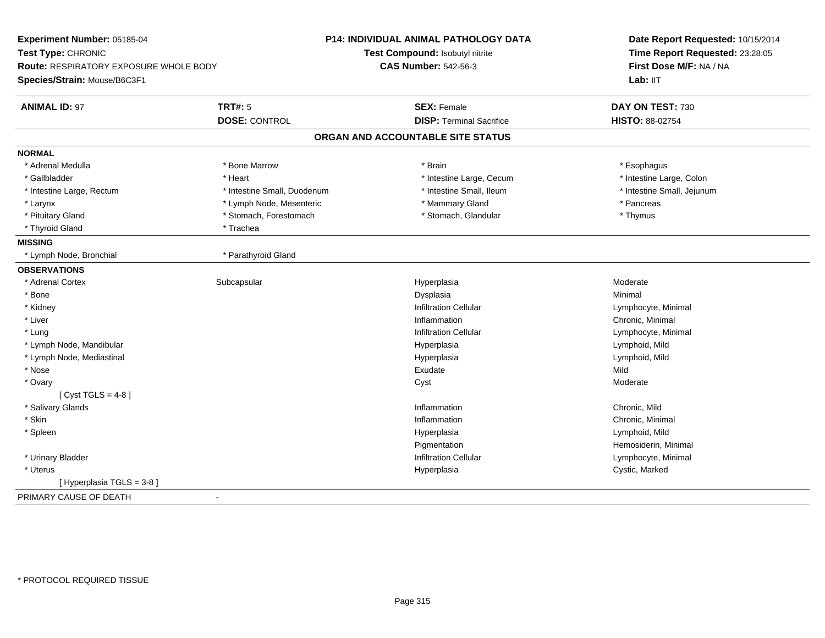| Experiment Number: 05185-04<br>Test Type: CHRONIC<br><b>Route: RESPIRATORY EXPOSURE WHOLE BODY</b><br>Species/Strain: Mouse/B6C3F1 |                             | <b>P14: INDIVIDUAL ANIMAL PATHOLOGY DATA</b><br>Test Compound: Isobutyl nitrite<br><b>CAS Number: 542-56-3</b> | Date Report Requested: 10/15/2014<br>Time Report Requested: 23:28:05<br>First Dose M/F: NA / NA<br>Lab: IIT |
|------------------------------------------------------------------------------------------------------------------------------------|-----------------------------|----------------------------------------------------------------------------------------------------------------|-------------------------------------------------------------------------------------------------------------|
| <b>ANIMAL ID: 97</b>                                                                                                               | <b>TRT#: 5</b>              | <b>SEX: Female</b>                                                                                             | DAY ON TEST: 730                                                                                            |
|                                                                                                                                    | <b>DOSE: CONTROL</b>        | <b>DISP: Terminal Sacrifice</b>                                                                                | <b>HISTO: 88-02754</b>                                                                                      |
|                                                                                                                                    |                             | ORGAN AND ACCOUNTABLE SITE STATUS                                                                              |                                                                                                             |
| <b>NORMAL</b>                                                                                                                      |                             |                                                                                                                |                                                                                                             |
| * Adrenal Medulla                                                                                                                  | * Bone Marrow               | * Brain                                                                                                        | * Esophagus                                                                                                 |
| * Gallbladder                                                                                                                      | * Heart                     | * Intestine Large, Cecum                                                                                       | * Intestine Large, Colon                                                                                    |
| * Intestine Large, Rectum                                                                                                          | * Intestine Small, Duodenum | * Intestine Small, Ileum                                                                                       | * Intestine Small, Jejunum                                                                                  |
| * Larynx                                                                                                                           | * Lymph Node, Mesenteric    | * Mammary Gland                                                                                                | * Pancreas                                                                                                  |
| * Pituitary Gland                                                                                                                  | * Stomach, Forestomach      | * Stomach, Glandular                                                                                           | * Thymus                                                                                                    |
| * Thyroid Gland                                                                                                                    | * Trachea                   |                                                                                                                |                                                                                                             |
| <b>MISSING</b>                                                                                                                     |                             |                                                                                                                |                                                                                                             |
| * Lymph Node, Bronchial                                                                                                            | * Parathyroid Gland         |                                                                                                                |                                                                                                             |
| <b>OBSERVATIONS</b>                                                                                                                |                             |                                                                                                                |                                                                                                             |
| * Adrenal Cortex                                                                                                                   | Subcapsular                 | Hyperplasia                                                                                                    | Moderate                                                                                                    |
| * Bone                                                                                                                             |                             | Dysplasia                                                                                                      | Minimal                                                                                                     |
| * Kidney                                                                                                                           |                             | <b>Infiltration Cellular</b>                                                                                   | Lymphocyte, Minimal                                                                                         |
| * Liver                                                                                                                            |                             | Inflammation                                                                                                   | Chronic, Minimal                                                                                            |
| * Lung                                                                                                                             |                             | <b>Infiltration Cellular</b>                                                                                   | Lymphocyte, Minimal                                                                                         |
| * Lymph Node, Mandibular                                                                                                           |                             | Hyperplasia                                                                                                    | Lymphoid, Mild                                                                                              |
| * Lymph Node, Mediastinal                                                                                                          |                             | Hyperplasia                                                                                                    | Lymphoid, Mild                                                                                              |
| * Nose                                                                                                                             |                             | Exudate                                                                                                        | Mild                                                                                                        |
| * Ovary                                                                                                                            |                             | Cyst                                                                                                           | Moderate                                                                                                    |
| [ Cyst TGLS = $4-8$ ]                                                                                                              |                             |                                                                                                                |                                                                                                             |
| * Salivary Glands                                                                                                                  |                             | Inflammation                                                                                                   | Chronic, Mild                                                                                               |
| * Skin                                                                                                                             |                             | Inflammation                                                                                                   | Chronic, Minimal                                                                                            |
| * Spleen                                                                                                                           |                             | Hyperplasia                                                                                                    | Lymphoid, Mild                                                                                              |
|                                                                                                                                    |                             | Pigmentation                                                                                                   | Hemosiderin, Minimal                                                                                        |
| * Urinary Bladder                                                                                                                  |                             | <b>Infiltration Cellular</b>                                                                                   | Lymphocyte, Minimal                                                                                         |
| * Uterus                                                                                                                           |                             | Hyperplasia                                                                                                    | Cystic, Marked                                                                                              |
| [ Hyperplasia TGLS = 3-8 ]                                                                                                         |                             |                                                                                                                |                                                                                                             |
| PRIMARY CAUSE OF DEATH                                                                                                             | $\blacksquare$              |                                                                                                                |                                                                                                             |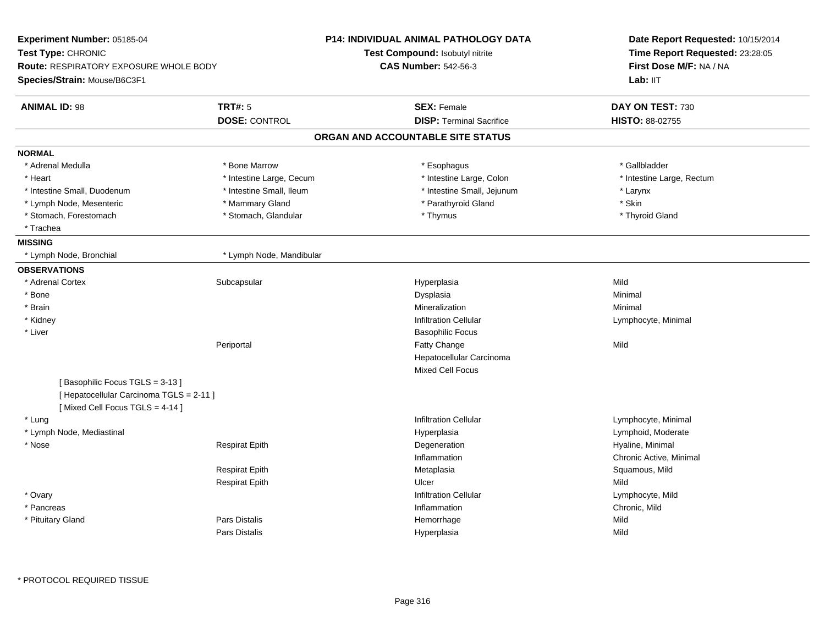| Experiment Number: 05185-04<br>Test Type: CHRONIC<br><b>Route: RESPIRATORY EXPOSURE WHOLE BODY</b><br>Species/Strain: Mouse/B6C3F1 |                          | <b>P14: INDIVIDUAL ANIMAL PATHOLOGY DATA</b> | Date Report Requested: 10/15/2014<br>Time Report Requested: 23:28:05 |
|------------------------------------------------------------------------------------------------------------------------------------|--------------------------|----------------------------------------------|----------------------------------------------------------------------|
|                                                                                                                                    |                          | Test Compound: Isobutyl nitrite              |                                                                      |
|                                                                                                                                    |                          | <b>CAS Number: 542-56-3</b>                  | First Dose M/F: NA / NA                                              |
|                                                                                                                                    |                          |                                              | Lab: IIT                                                             |
| <b>ANIMAL ID: 98</b>                                                                                                               | <b>TRT#: 5</b>           | <b>SEX: Female</b>                           | DAY ON TEST: 730                                                     |
|                                                                                                                                    | <b>DOSE: CONTROL</b>     | <b>DISP: Terminal Sacrifice</b>              | HISTO: 88-02755                                                      |
|                                                                                                                                    |                          | ORGAN AND ACCOUNTABLE SITE STATUS            |                                                                      |
| <b>NORMAL</b>                                                                                                                      |                          |                                              |                                                                      |
| * Adrenal Medulla                                                                                                                  | * Bone Marrow            | * Esophagus                                  | * Gallbladder                                                        |
| * Heart                                                                                                                            | * Intestine Large, Cecum | * Intestine Large, Colon                     | * Intestine Large, Rectum                                            |
| * Intestine Small, Duodenum                                                                                                        | * Intestine Small, Ileum | * Intestine Small, Jejunum                   | * Larynx                                                             |
| * Lymph Node, Mesenteric                                                                                                           | * Mammary Gland          | * Parathyroid Gland                          | * Skin                                                               |
| * Stomach, Forestomach                                                                                                             | * Stomach, Glandular     | * Thymus                                     | * Thyroid Gland                                                      |
| * Trachea                                                                                                                          |                          |                                              |                                                                      |
| <b>MISSING</b>                                                                                                                     |                          |                                              |                                                                      |
| * Lymph Node, Bronchial                                                                                                            | * Lymph Node, Mandibular |                                              |                                                                      |
| <b>OBSERVATIONS</b>                                                                                                                |                          |                                              |                                                                      |
| * Adrenal Cortex                                                                                                                   | Subcapsular              | Hyperplasia                                  | Mild                                                                 |
| * Bone                                                                                                                             |                          | Dysplasia                                    | Minimal                                                              |
| * Brain                                                                                                                            |                          | Mineralization                               | Minimal                                                              |
| * Kidney                                                                                                                           |                          | <b>Infiltration Cellular</b>                 | Lymphocyte, Minimal                                                  |
| * Liver                                                                                                                            |                          | <b>Basophilic Focus</b>                      |                                                                      |
|                                                                                                                                    | Periportal               | <b>Fatty Change</b>                          | Mild                                                                 |
|                                                                                                                                    |                          | Hepatocellular Carcinoma                     |                                                                      |
|                                                                                                                                    |                          | <b>Mixed Cell Focus</b>                      |                                                                      |
| [Basophilic Focus TGLS = 3-13]                                                                                                     |                          |                                              |                                                                      |
| [ Hepatocellular Carcinoma TGLS = 2-11 ]                                                                                           |                          |                                              |                                                                      |
| [Mixed Cell Focus TGLS = 4-14]                                                                                                     |                          |                                              |                                                                      |
| * Lung                                                                                                                             |                          | <b>Infiltration Cellular</b>                 | Lymphocyte, Minimal                                                  |
| * Lymph Node, Mediastinal                                                                                                          |                          | Hyperplasia                                  | Lymphoid, Moderate                                                   |
| * Nose                                                                                                                             | <b>Respirat Epith</b>    | Degeneration                                 | Hyaline, Minimal                                                     |
|                                                                                                                                    |                          | Inflammation                                 | Chronic Active, Minimal                                              |
|                                                                                                                                    | <b>Respirat Epith</b>    | Metaplasia                                   | Squamous, Mild                                                       |
|                                                                                                                                    | <b>Respirat Epith</b>    | Ulcer                                        | Mild                                                                 |
| * Ovary                                                                                                                            |                          | <b>Infiltration Cellular</b>                 | Lymphocyte, Mild                                                     |
| * Pancreas                                                                                                                         |                          | Inflammation                                 | Chronic, Mild                                                        |
| * Pituitary Gland                                                                                                                  | <b>Pars Distalis</b>     | Hemorrhage                                   | Mild                                                                 |
|                                                                                                                                    | <b>Pars Distalis</b>     | Hyperplasia                                  | Mild                                                                 |
|                                                                                                                                    |                          |                                              |                                                                      |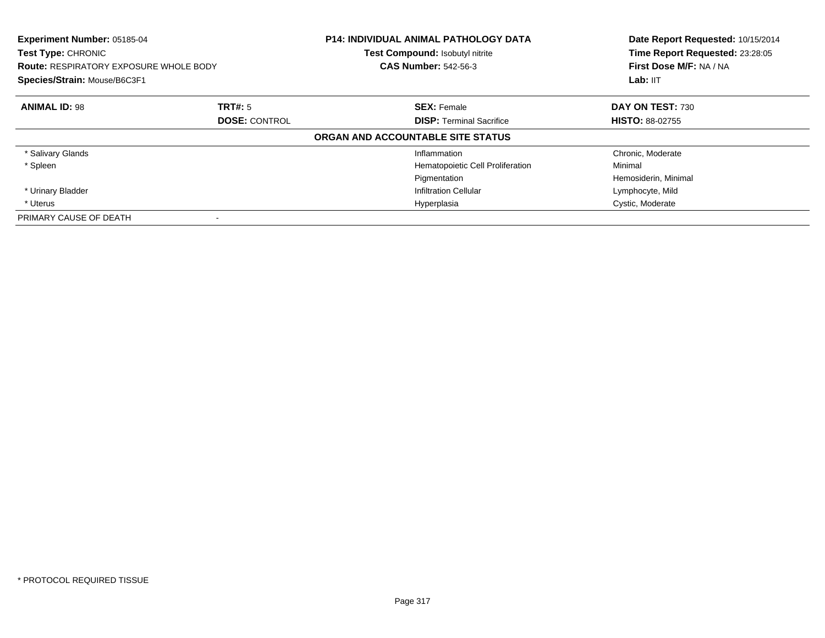| Experiment Number: 05185-04<br>Test Type: CHRONIC<br><b>Route: RESPIRATORY EXPOSURE WHOLE BODY</b><br>Species/Strain: Mouse/B6C3F1 |                      | <b>P14: INDIVIDUAL ANIMAL PATHOLOGY DATA</b><br>Test Compound: Isobutyl nitrite<br><b>CAS Number: 542-56-3</b> | Date Report Requested: 10/15/2014<br>Time Report Requested: 23:28:05<br>First Dose M/F: NA / NA<br>Lab: IIT |
|------------------------------------------------------------------------------------------------------------------------------------|----------------------|----------------------------------------------------------------------------------------------------------------|-------------------------------------------------------------------------------------------------------------|
| <b>ANIMAL ID: 98</b>                                                                                                               | TRT#: 5              | <b>SEX: Female</b>                                                                                             | DAY ON TEST: 730                                                                                            |
|                                                                                                                                    | <b>DOSE: CONTROL</b> | <b>DISP: Terminal Sacrifice</b>                                                                                | <b>HISTO: 88-02755</b>                                                                                      |
|                                                                                                                                    |                      | ORGAN AND ACCOUNTABLE SITE STATUS                                                                              |                                                                                                             |
| * Salivary Glands                                                                                                                  |                      | Inflammation                                                                                                   | Chronic, Moderate                                                                                           |
| * Spleen                                                                                                                           |                      | Hematopoietic Cell Proliferation                                                                               | Minimal                                                                                                     |
|                                                                                                                                    |                      | Pigmentation                                                                                                   | Hemosiderin, Minimal                                                                                        |
| * Urinary Bladder                                                                                                                  |                      | <b>Infiltration Cellular</b>                                                                                   | Lymphocyte, Mild                                                                                            |
| * Uterus                                                                                                                           |                      | Hyperplasia                                                                                                    | Cystic, Moderate                                                                                            |
| PRIMARY CAUSE OF DEATH                                                                                                             |                      |                                                                                                                |                                                                                                             |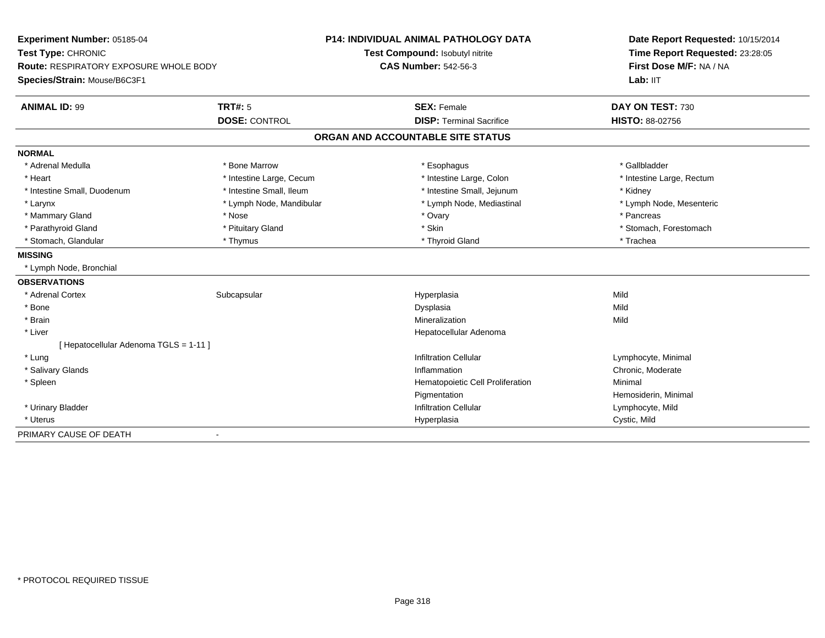| Experiment Number: 05185-04<br>Test Type: CHRONIC<br><b>Route: RESPIRATORY EXPOSURE WHOLE BODY</b> |                          | <b>P14: INDIVIDUAL ANIMAL PATHOLOGY DATA</b> | Date Report Requested: 10/15/2014<br>Time Report Requested: 23:28:05<br>First Dose M/F: NA / NA |  |
|----------------------------------------------------------------------------------------------------|--------------------------|----------------------------------------------|-------------------------------------------------------------------------------------------------|--|
|                                                                                                    |                          | Test Compound: Isobutyl nitrite              |                                                                                                 |  |
|                                                                                                    |                          | <b>CAS Number: 542-56-3</b>                  |                                                                                                 |  |
| Species/Strain: Mouse/B6C3F1                                                                       |                          |                                              | Lab: IIT                                                                                        |  |
| <b>ANIMAL ID: 99</b>                                                                               | <b>TRT#: 5</b>           | <b>SEX: Female</b>                           | DAY ON TEST: 730                                                                                |  |
|                                                                                                    | <b>DOSE: CONTROL</b>     | <b>DISP: Terminal Sacrifice</b>              | <b>HISTO: 88-02756</b>                                                                          |  |
|                                                                                                    |                          | ORGAN AND ACCOUNTABLE SITE STATUS            |                                                                                                 |  |
| <b>NORMAL</b>                                                                                      |                          |                                              |                                                                                                 |  |
| * Adrenal Medulla                                                                                  | * Bone Marrow            | * Esophagus                                  | * Gallbladder                                                                                   |  |
| * Heart                                                                                            | * Intestine Large, Cecum | * Intestine Large, Colon                     | * Intestine Large, Rectum                                                                       |  |
| * Intestine Small, Duodenum                                                                        | * Intestine Small, Ileum | * Intestine Small, Jejunum                   | * Kidney                                                                                        |  |
| * Larynx                                                                                           | * Lymph Node, Mandibular | * Lymph Node, Mediastinal                    | * Lymph Node, Mesenteric                                                                        |  |
| * Mammary Gland                                                                                    | * Nose                   | * Ovary                                      | * Pancreas                                                                                      |  |
| * Parathyroid Gland                                                                                | * Pituitary Gland        | * Skin                                       | * Stomach, Forestomach                                                                          |  |
| * Stomach, Glandular                                                                               | * Thymus                 | * Thyroid Gland                              | * Trachea                                                                                       |  |
| <b>MISSING</b>                                                                                     |                          |                                              |                                                                                                 |  |
| * Lymph Node, Bronchial                                                                            |                          |                                              |                                                                                                 |  |
| <b>OBSERVATIONS</b>                                                                                |                          |                                              |                                                                                                 |  |
| * Adrenal Cortex                                                                                   | Subcapsular              | Hyperplasia                                  | Mild                                                                                            |  |
| * Bone                                                                                             |                          | Dysplasia                                    | Mild                                                                                            |  |
| * Brain                                                                                            |                          | Mineralization                               | Mild                                                                                            |  |
| * Liver                                                                                            |                          | Hepatocellular Adenoma                       |                                                                                                 |  |
| [ Hepatocellular Adenoma TGLS = 1-11 ]                                                             |                          |                                              |                                                                                                 |  |
| * Lung                                                                                             |                          | <b>Infiltration Cellular</b>                 | Lymphocyte, Minimal                                                                             |  |
| * Salivary Glands                                                                                  |                          | Inflammation                                 | Chronic, Moderate                                                                               |  |
| * Spleen                                                                                           |                          | Hematopoietic Cell Proliferation             | Minimal                                                                                         |  |
|                                                                                                    |                          | Pigmentation                                 | Hemosiderin, Minimal                                                                            |  |
| * Urinary Bladder                                                                                  |                          | <b>Infiltration Cellular</b>                 | Lymphocyte, Mild                                                                                |  |
| * Uterus                                                                                           |                          | Hyperplasia                                  | Cystic, Mild                                                                                    |  |
| PRIMARY CAUSE OF DEATH                                                                             |                          |                                              |                                                                                                 |  |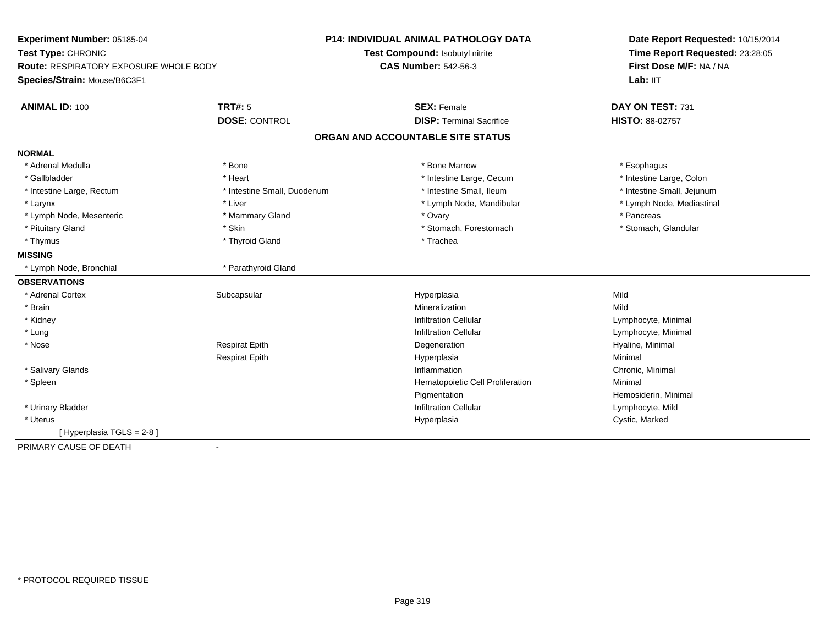| Experiment Number: 05185-04<br>Test Type: CHRONIC<br>Route: RESPIRATORY EXPOSURE WHOLE BODY |                             | <b>P14: INDIVIDUAL ANIMAL PATHOLOGY DATA</b> | Date Report Requested: 10/15/2014<br>Time Report Requested: 23:28:05<br>First Dose M/F: NA / NA |
|---------------------------------------------------------------------------------------------|-----------------------------|----------------------------------------------|-------------------------------------------------------------------------------------------------|
|                                                                                             |                             | Test Compound: Isobutyl nitrite              |                                                                                                 |
|                                                                                             |                             | <b>CAS Number: 542-56-3</b>                  |                                                                                                 |
| Species/Strain: Mouse/B6C3F1                                                                |                             |                                              | Lab: IIT                                                                                        |
| <b>ANIMAL ID: 100</b>                                                                       | <b>TRT#: 5</b>              | <b>SEX: Female</b>                           | DAY ON TEST: 731                                                                                |
|                                                                                             | <b>DOSE: CONTROL</b>        | <b>DISP: Terminal Sacrifice</b>              | HISTO: 88-02757                                                                                 |
|                                                                                             |                             | ORGAN AND ACCOUNTABLE SITE STATUS            |                                                                                                 |
| <b>NORMAL</b>                                                                               |                             |                                              |                                                                                                 |
| * Adrenal Medulla                                                                           | * Bone                      | * Bone Marrow                                | * Esophagus                                                                                     |
| * Gallbladder                                                                               | * Heart                     | * Intestine Large, Cecum                     | * Intestine Large, Colon                                                                        |
| * Intestine Large, Rectum                                                                   | * Intestine Small, Duodenum | * Intestine Small, Ileum                     | * Intestine Small, Jejunum                                                                      |
| * Larynx                                                                                    | * Liver                     | * Lymph Node, Mandibular                     | * Lymph Node, Mediastinal                                                                       |
| * Lymph Node, Mesenteric                                                                    | * Mammary Gland             | * Ovary                                      | * Pancreas                                                                                      |
| * Pituitary Gland                                                                           | * Skin                      | * Stomach, Forestomach                       | * Stomach, Glandular                                                                            |
| * Thymus                                                                                    | * Thyroid Gland             | * Trachea                                    |                                                                                                 |
| <b>MISSING</b>                                                                              |                             |                                              |                                                                                                 |
| * Lymph Node, Bronchial                                                                     | * Parathyroid Gland         |                                              |                                                                                                 |
| <b>OBSERVATIONS</b>                                                                         |                             |                                              |                                                                                                 |
| * Adrenal Cortex                                                                            | Subcapsular                 | Hyperplasia                                  | Mild                                                                                            |
| * Brain                                                                                     |                             | Mineralization                               | Mild                                                                                            |
| * Kidney                                                                                    |                             | <b>Infiltration Cellular</b>                 | Lymphocyte, Minimal                                                                             |
| * Lung                                                                                      |                             | <b>Infiltration Cellular</b>                 | Lymphocyte, Minimal                                                                             |
| * Nose                                                                                      | <b>Respirat Epith</b>       | Degeneration                                 | Hyaline, Minimal                                                                                |
|                                                                                             | <b>Respirat Epith</b>       | Hyperplasia                                  | Minimal                                                                                         |
| * Salivary Glands                                                                           |                             | Inflammation                                 | Chronic, Minimal                                                                                |
| * Spleen                                                                                    |                             | Hematopoietic Cell Proliferation             | Minimal                                                                                         |
|                                                                                             |                             | Pigmentation                                 | Hemosiderin, Minimal                                                                            |
| * Urinary Bladder                                                                           |                             | <b>Infiltration Cellular</b>                 | Lymphocyte, Mild                                                                                |
| * Uterus                                                                                    |                             | Hyperplasia                                  | Cystic, Marked                                                                                  |
| [Hyperplasia TGLS = $2-8$ ]                                                                 |                             |                                              |                                                                                                 |
| PRIMARY CAUSE OF DEATH                                                                      | $\sim$                      |                                              |                                                                                                 |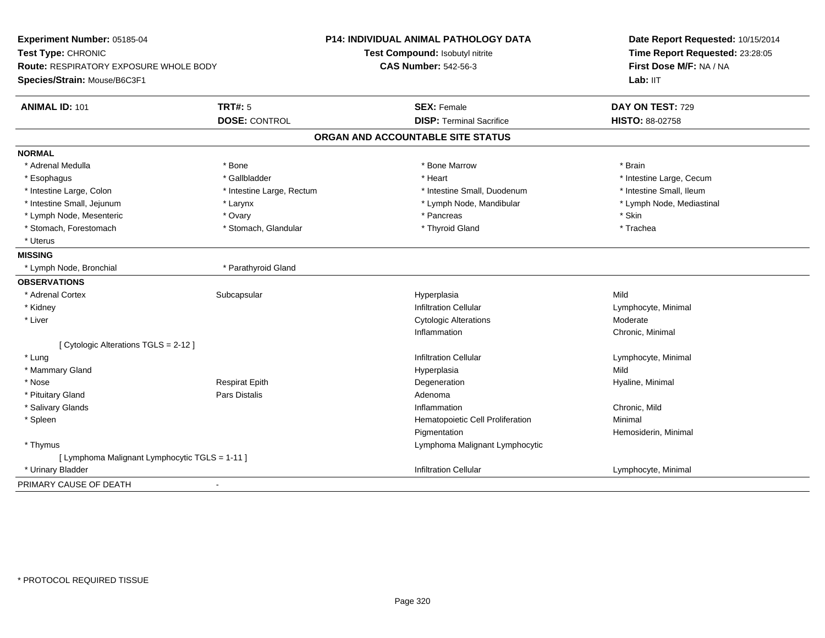| Experiment Number: 05185-04<br>Test Type: CHRONIC<br><b>Route: RESPIRATORY EXPOSURE WHOLE BODY</b><br>Species/Strain: Mouse/B6C3F1 |                           | P14: INDIVIDUAL ANIMAL PATHOLOGY DATA<br>Test Compound: Isobutyl nitrite | Date Report Requested: 10/15/2014<br>Time Report Requested: 23:28:05<br>First Dose M/F: NA / NA<br>Lab: IIT |
|------------------------------------------------------------------------------------------------------------------------------------|---------------------------|--------------------------------------------------------------------------|-------------------------------------------------------------------------------------------------------------|
|                                                                                                                                    |                           | <b>CAS Number: 542-56-3</b>                                              |                                                                                                             |
| <b>ANIMAL ID: 101</b>                                                                                                              | <b>TRT#: 5</b>            | <b>SEX: Female</b>                                                       | DAY ON TEST: 729                                                                                            |
|                                                                                                                                    | <b>DOSE: CONTROL</b>      | <b>DISP: Terminal Sacrifice</b>                                          | <b>HISTO: 88-02758</b>                                                                                      |
|                                                                                                                                    |                           | ORGAN AND ACCOUNTABLE SITE STATUS                                        |                                                                                                             |
| <b>NORMAL</b>                                                                                                                      |                           |                                                                          |                                                                                                             |
| * Adrenal Medulla                                                                                                                  | * Bone                    | * Bone Marrow                                                            | * Brain                                                                                                     |
| * Esophagus                                                                                                                        | * Gallbladder             | * Heart                                                                  | * Intestine Large, Cecum                                                                                    |
| * Intestine Large, Colon                                                                                                           | * Intestine Large, Rectum | * Intestine Small, Duodenum                                              | * Intestine Small, Ileum                                                                                    |
| * Intestine Small, Jejunum                                                                                                         | * Larynx                  | * Lymph Node, Mandibular                                                 | * Lymph Node, Mediastinal                                                                                   |
| * Lymph Node, Mesenteric                                                                                                           | * Ovary                   | * Pancreas                                                               | * Skin                                                                                                      |
| * Stomach, Forestomach                                                                                                             | * Stomach, Glandular      | * Thyroid Gland                                                          | * Trachea                                                                                                   |
| * Uterus                                                                                                                           |                           |                                                                          |                                                                                                             |
| <b>MISSING</b>                                                                                                                     |                           |                                                                          |                                                                                                             |
| * Lymph Node, Bronchial                                                                                                            | * Parathyroid Gland       |                                                                          |                                                                                                             |
| <b>OBSERVATIONS</b>                                                                                                                |                           |                                                                          |                                                                                                             |
| * Adrenal Cortex                                                                                                                   | Subcapsular               | Hyperplasia                                                              | Mild                                                                                                        |
| * Kidney                                                                                                                           |                           | <b>Infiltration Cellular</b>                                             | Lymphocyte, Minimal                                                                                         |
| * Liver                                                                                                                            |                           | <b>Cytologic Alterations</b>                                             | Moderate                                                                                                    |
|                                                                                                                                    |                           | Inflammation                                                             | Chronic, Minimal                                                                                            |
| [ Cytologic Alterations TGLS = 2-12 ]                                                                                              |                           |                                                                          |                                                                                                             |
| * Lung                                                                                                                             |                           | <b>Infiltration Cellular</b>                                             | Lymphocyte, Minimal                                                                                         |
| * Mammary Gland                                                                                                                    |                           | Hyperplasia                                                              | Mild                                                                                                        |
| * Nose                                                                                                                             | <b>Respirat Epith</b>     | Degeneration                                                             | Hyaline, Minimal                                                                                            |
| * Pituitary Gland                                                                                                                  | Pars Distalis             | Adenoma                                                                  |                                                                                                             |
| * Salivary Glands                                                                                                                  |                           | Inflammation                                                             | Chronic, Mild                                                                                               |
| * Spleen                                                                                                                           |                           | Hematopoietic Cell Proliferation                                         | Minimal                                                                                                     |
|                                                                                                                                    |                           | Pigmentation                                                             | Hemosiderin, Minimal                                                                                        |
| * Thymus                                                                                                                           |                           | Lymphoma Malignant Lymphocytic                                           |                                                                                                             |
| [ Lymphoma Malignant Lymphocytic TGLS = 1-11 ]                                                                                     |                           |                                                                          |                                                                                                             |
| * Urinary Bladder                                                                                                                  |                           | Infiltration Cellular                                                    | Lymphocyte, Minimal                                                                                         |
| PRIMARY CAUSE OF DEATH                                                                                                             |                           |                                                                          |                                                                                                             |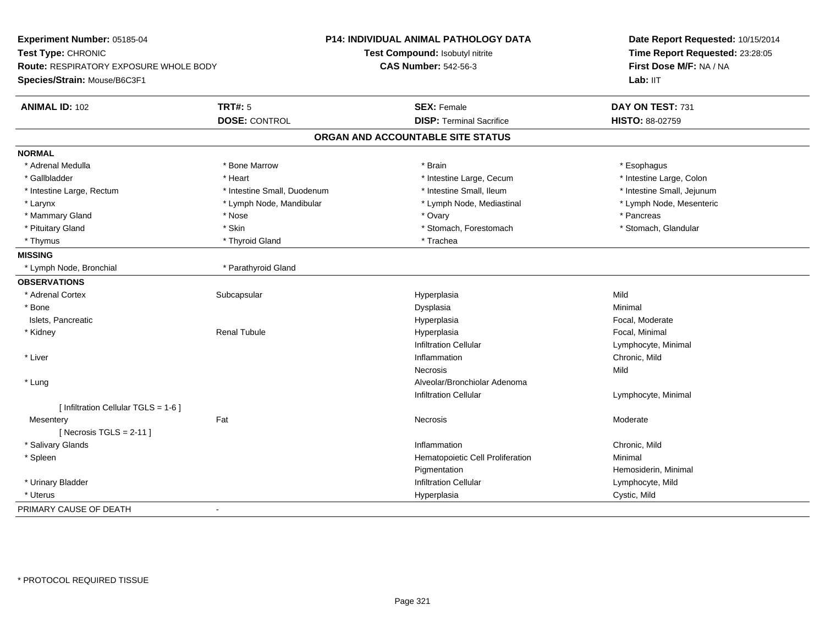| Experiment Number: 05185-04                   |                             | P14: INDIVIDUAL ANIMAL PATHOLOGY DATA | Date Report Requested: 10/15/2014<br>Time Report Requested: 23:28:05<br>First Dose M/F: NA / NA |  |
|-----------------------------------------------|-----------------------------|---------------------------------------|-------------------------------------------------------------------------------------------------|--|
| Test Type: CHRONIC                            |                             | Test Compound: Isobutyl nitrite       |                                                                                                 |  |
| <b>Route: RESPIRATORY EXPOSURE WHOLE BODY</b> |                             | <b>CAS Number: 542-56-3</b>           |                                                                                                 |  |
| Species/Strain: Mouse/B6C3F1                  |                             |                                       | Lab: IIT                                                                                        |  |
| <b>ANIMAL ID: 102</b>                         | <b>TRT#: 5</b>              | <b>SEX: Female</b>                    | DAY ON TEST: 731                                                                                |  |
|                                               | <b>DOSE: CONTROL</b>        | <b>DISP: Terminal Sacrifice</b>       | HISTO: 88-02759                                                                                 |  |
|                                               |                             | ORGAN AND ACCOUNTABLE SITE STATUS     |                                                                                                 |  |
| <b>NORMAL</b>                                 |                             |                                       |                                                                                                 |  |
| * Adrenal Medulla                             | * Bone Marrow               | * Brain                               | * Esophagus                                                                                     |  |
| * Gallbladder                                 | * Heart                     | * Intestine Large, Cecum              | * Intestine Large, Colon                                                                        |  |
| * Intestine Large, Rectum                     | * Intestine Small, Duodenum | * Intestine Small, Ileum              | * Intestine Small, Jejunum                                                                      |  |
| * Larynx                                      | * Lymph Node, Mandibular    | * Lymph Node, Mediastinal             | * Lymph Node, Mesenteric                                                                        |  |
| * Mammary Gland                               | * Nose                      | * Ovary                               | * Pancreas                                                                                      |  |
| * Pituitary Gland                             | * Skin                      | * Stomach, Forestomach                | * Stomach, Glandular                                                                            |  |
| * Thymus                                      | * Thyroid Gland             | * Trachea                             |                                                                                                 |  |
| <b>MISSING</b>                                |                             |                                       |                                                                                                 |  |
| * Lymph Node, Bronchial                       | * Parathyroid Gland         |                                       |                                                                                                 |  |
| <b>OBSERVATIONS</b>                           |                             |                                       |                                                                                                 |  |
| * Adrenal Cortex                              | Subcapsular                 | Hyperplasia                           | Mild                                                                                            |  |
| * Bone                                        |                             | Dysplasia                             | Minimal                                                                                         |  |
| Islets, Pancreatic                            |                             | Hyperplasia                           | Focal, Moderate                                                                                 |  |
| * Kidney                                      | Renal Tubule                | Hyperplasia                           | Focal, Minimal                                                                                  |  |
|                                               |                             | <b>Infiltration Cellular</b>          | Lymphocyte, Minimal                                                                             |  |
| * Liver                                       |                             | Inflammation                          | Chronic, Mild                                                                                   |  |
|                                               |                             | <b>Necrosis</b>                       | Mild                                                                                            |  |
| * Lung                                        |                             | Alveolar/Bronchiolar Adenoma          |                                                                                                 |  |
|                                               |                             | <b>Infiltration Cellular</b>          | Lymphocyte, Minimal                                                                             |  |
| [ Infiltration Cellular TGLS = 1-6 ]          |                             |                                       |                                                                                                 |  |
| Mesentery                                     | Fat                         | Necrosis                              | Moderate                                                                                        |  |
| [Necrosis TGLS = $2-11$ ]                     |                             |                                       |                                                                                                 |  |
| * Salivary Glands                             |                             | Inflammation                          | Chronic, Mild                                                                                   |  |
| * Spleen                                      |                             | Hematopoietic Cell Proliferation      | Minimal                                                                                         |  |
|                                               |                             | Pigmentation                          | Hemosiderin, Minimal                                                                            |  |
| * Urinary Bladder                             |                             | <b>Infiltration Cellular</b>          | Lymphocyte, Mild                                                                                |  |
| * Uterus                                      |                             | Hyperplasia                           | Cystic, Mild                                                                                    |  |
| PRIMARY CAUSE OF DEATH                        | $\blacksquare$              |                                       |                                                                                                 |  |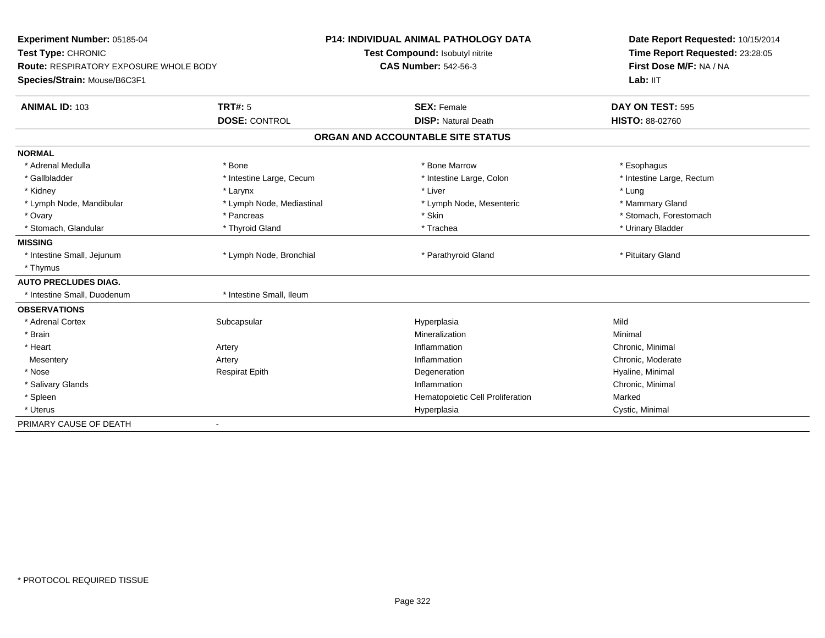| Experiment Number: 05185-04<br>Test Type: CHRONIC<br><b>Route: RESPIRATORY EXPOSURE WHOLE BODY</b> |                           | <b>P14: INDIVIDUAL ANIMAL PATHOLOGY DATA</b> | Date Report Requested: 10/15/2014<br>Time Report Requested: 23:28:05<br>First Dose M/F: NA / NA |  |
|----------------------------------------------------------------------------------------------------|---------------------------|----------------------------------------------|-------------------------------------------------------------------------------------------------|--|
|                                                                                                    |                           | Test Compound: Isobutyl nitrite              |                                                                                                 |  |
|                                                                                                    |                           | <b>CAS Number: 542-56-3</b>                  |                                                                                                 |  |
| Species/Strain: Mouse/B6C3F1                                                                       |                           |                                              | Lab: IIT                                                                                        |  |
| <b>ANIMAL ID: 103</b>                                                                              | <b>TRT#: 5</b>            | <b>SEX: Female</b>                           | DAY ON TEST: 595                                                                                |  |
|                                                                                                    | <b>DOSE: CONTROL</b>      | <b>DISP: Natural Death</b>                   | <b>HISTO: 88-02760</b>                                                                          |  |
|                                                                                                    |                           | ORGAN AND ACCOUNTABLE SITE STATUS            |                                                                                                 |  |
| <b>NORMAL</b>                                                                                      |                           |                                              |                                                                                                 |  |
| * Adrenal Medulla                                                                                  | * Bone                    | * Bone Marrow                                | * Esophagus                                                                                     |  |
| * Gallbladder                                                                                      | * Intestine Large, Cecum  | * Intestine Large, Colon                     | * Intestine Large, Rectum                                                                       |  |
| * Kidney                                                                                           | * Larynx                  | * Liver                                      | * Lung                                                                                          |  |
| * Lymph Node, Mandibular                                                                           | * Lymph Node, Mediastinal | * Lymph Node, Mesenteric                     | * Mammary Gland                                                                                 |  |
| * Ovary                                                                                            | * Pancreas                | * Skin                                       | * Stomach, Forestomach                                                                          |  |
| * Stomach, Glandular                                                                               | * Thyroid Gland           | * Trachea                                    | * Urinary Bladder                                                                               |  |
| <b>MISSING</b>                                                                                     |                           |                                              |                                                                                                 |  |
| * Intestine Small, Jejunum                                                                         | * Lymph Node, Bronchial   | * Parathyroid Gland                          | * Pituitary Gland                                                                               |  |
| * Thymus                                                                                           |                           |                                              |                                                                                                 |  |
| <b>AUTO PRECLUDES DIAG.</b>                                                                        |                           |                                              |                                                                                                 |  |
| * Intestine Small, Duodenum                                                                        | * Intestine Small, Ileum  |                                              |                                                                                                 |  |
| <b>OBSERVATIONS</b>                                                                                |                           |                                              |                                                                                                 |  |
| * Adrenal Cortex                                                                                   | Subcapsular               | Hyperplasia                                  | Mild                                                                                            |  |
| * Brain                                                                                            |                           | Mineralization                               | Minimal                                                                                         |  |
| * Heart                                                                                            | Artery                    | Inflammation                                 | Chronic, Minimal                                                                                |  |
| Mesentery                                                                                          | Artery                    | Inflammation                                 | Chronic, Moderate                                                                               |  |
| * Nose                                                                                             | <b>Respirat Epith</b>     | Degeneration                                 | Hyaline, Minimal                                                                                |  |
| * Salivary Glands                                                                                  |                           | Inflammation                                 | Chronic, Minimal                                                                                |  |
| * Spleen                                                                                           |                           | Hematopoietic Cell Proliferation             | Marked                                                                                          |  |
| * Uterus                                                                                           |                           | Hyperplasia                                  | Cystic, Minimal                                                                                 |  |
| PRIMARY CAUSE OF DEATH                                                                             | $\blacksquare$            |                                              |                                                                                                 |  |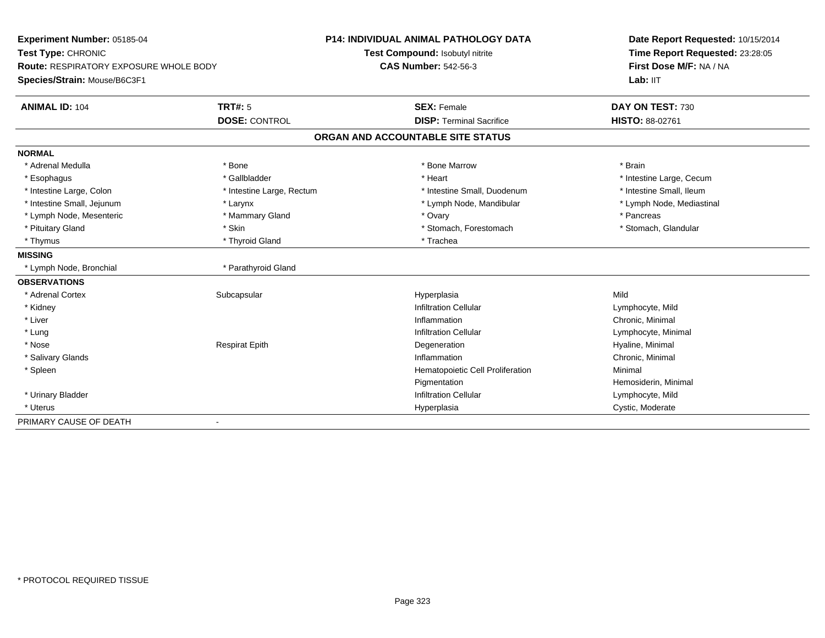| Experiment Number: 05185-04<br>Test Type: CHRONIC<br>Route: RESPIRATORY EXPOSURE WHOLE BODY |                           | P14: INDIVIDUAL ANIMAL PATHOLOGY DATA | Date Report Requested: 10/15/2014<br>Time Report Requested: 23:28:05<br>First Dose M/F: NA / NA |  |
|---------------------------------------------------------------------------------------------|---------------------------|---------------------------------------|-------------------------------------------------------------------------------------------------|--|
|                                                                                             |                           | Test Compound: Isobutyl nitrite       |                                                                                                 |  |
|                                                                                             |                           | <b>CAS Number: 542-56-3</b>           |                                                                                                 |  |
| Species/Strain: Mouse/B6C3F1                                                                |                           |                                       | Lab: IIT                                                                                        |  |
| <b>ANIMAL ID: 104</b>                                                                       | <b>TRT#: 5</b>            | <b>SEX: Female</b>                    | DAY ON TEST: 730                                                                                |  |
|                                                                                             | <b>DOSE: CONTROL</b>      | <b>DISP: Terminal Sacrifice</b>       | HISTO: 88-02761                                                                                 |  |
|                                                                                             |                           | ORGAN AND ACCOUNTABLE SITE STATUS     |                                                                                                 |  |
| <b>NORMAL</b>                                                                               |                           |                                       |                                                                                                 |  |
| * Adrenal Medulla                                                                           | * Bone                    | * Bone Marrow                         | * Brain                                                                                         |  |
| * Esophagus                                                                                 | * Gallbladder             | * Heart                               | * Intestine Large, Cecum                                                                        |  |
| * Intestine Large, Colon                                                                    | * Intestine Large, Rectum | * Intestine Small, Duodenum           | * Intestine Small, Ileum                                                                        |  |
| * Intestine Small, Jejunum                                                                  | * Larynx                  | * Lymph Node, Mandibular              | * Lymph Node, Mediastinal                                                                       |  |
| * Lymph Node, Mesenteric                                                                    | * Mammary Gland           | * Ovary                               | * Pancreas                                                                                      |  |
| * Pituitary Gland                                                                           | * Skin                    | * Stomach, Forestomach                | * Stomach, Glandular                                                                            |  |
| * Thymus                                                                                    | * Thyroid Gland           | * Trachea                             |                                                                                                 |  |
| <b>MISSING</b>                                                                              |                           |                                       |                                                                                                 |  |
| * Lymph Node, Bronchial                                                                     | * Parathyroid Gland       |                                       |                                                                                                 |  |
| <b>OBSERVATIONS</b>                                                                         |                           |                                       |                                                                                                 |  |
| * Adrenal Cortex                                                                            | Subcapsular               | Hyperplasia                           | Mild                                                                                            |  |
| * Kidney                                                                                    |                           | <b>Infiltration Cellular</b>          | Lymphocyte, Mild                                                                                |  |
| * Liver                                                                                     |                           | Inflammation                          | Chronic, Minimal                                                                                |  |
| * Lung                                                                                      |                           | <b>Infiltration Cellular</b>          | Lymphocyte, Minimal                                                                             |  |
| * Nose                                                                                      | <b>Respirat Epith</b>     | Degeneration                          | Hyaline, Minimal                                                                                |  |
| * Salivary Glands                                                                           |                           | Inflammation                          | Chronic, Minimal                                                                                |  |
| * Spleen                                                                                    |                           | Hematopoietic Cell Proliferation      | Minimal                                                                                         |  |
|                                                                                             |                           | Pigmentation                          | Hemosiderin, Minimal                                                                            |  |
| * Urinary Bladder                                                                           |                           | <b>Infiltration Cellular</b>          | Lymphocyte, Mild                                                                                |  |
| * Uterus                                                                                    |                           | Hyperplasia                           | Cystic, Moderate                                                                                |  |
| PRIMARY CAUSE OF DEATH                                                                      | $\overline{\phantom{a}}$  |                                       |                                                                                                 |  |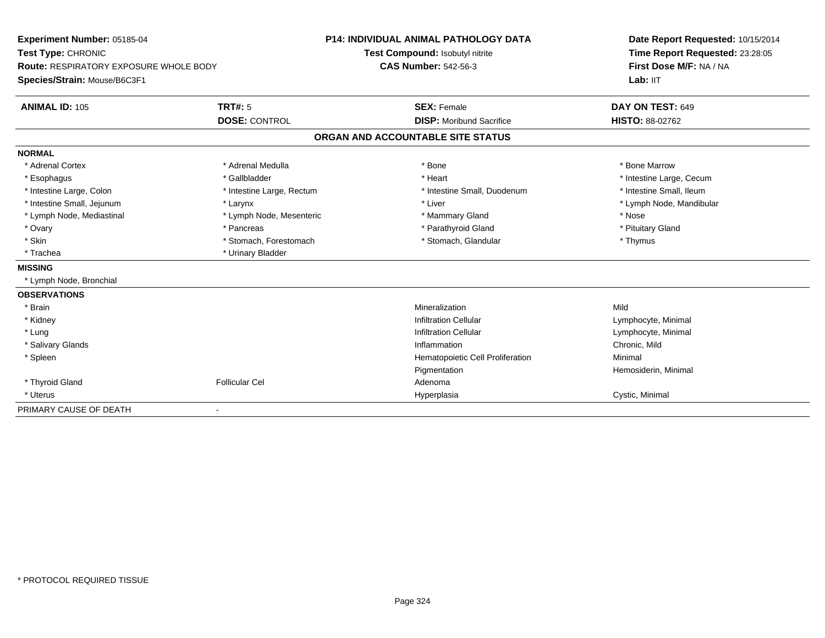| Experiment Number: 05185-04<br>Test Type: CHRONIC<br><b>Route: RESPIRATORY EXPOSURE WHOLE BODY</b> |                           | <b>P14: INDIVIDUAL ANIMAL PATHOLOGY DATA</b> | Date Report Requested: 10/15/2014<br>Time Report Requested: 23:28:05<br>First Dose M/F: NA / NA |  |
|----------------------------------------------------------------------------------------------------|---------------------------|----------------------------------------------|-------------------------------------------------------------------------------------------------|--|
|                                                                                                    |                           | Test Compound: Isobutyl nitrite              |                                                                                                 |  |
|                                                                                                    |                           | <b>CAS Number: 542-56-3</b>                  |                                                                                                 |  |
| Species/Strain: Mouse/B6C3F1                                                                       |                           |                                              | Lab: IIT                                                                                        |  |
| <b>ANIMAL ID: 105</b>                                                                              | <b>TRT#: 5</b>            | <b>SEX: Female</b>                           | DAY ON TEST: 649                                                                                |  |
|                                                                                                    | <b>DOSE: CONTROL</b>      | <b>DISP:</b> Moribund Sacrifice              | <b>HISTO: 88-02762</b>                                                                          |  |
|                                                                                                    |                           | ORGAN AND ACCOUNTABLE SITE STATUS            |                                                                                                 |  |
| <b>NORMAL</b>                                                                                      |                           |                                              |                                                                                                 |  |
| * Adrenal Cortex                                                                                   | * Adrenal Medulla         | * Bone                                       | * Bone Marrow                                                                                   |  |
| * Esophagus                                                                                        | * Gallbladder             | * Heart                                      | * Intestine Large, Cecum                                                                        |  |
| * Intestine Large, Colon                                                                           | * Intestine Large, Rectum | * Intestine Small, Duodenum                  | * Intestine Small, Ileum                                                                        |  |
| * Intestine Small, Jejunum                                                                         | * Larynx                  | * Liver                                      | * Lymph Node, Mandibular                                                                        |  |
| * Lymph Node, Mediastinal                                                                          | * Lymph Node, Mesenteric  | * Mammary Gland                              | * Nose                                                                                          |  |
| * Ovary                                                                                            | * Pancreas                | * Parathyroid Gland                          | * Pituitary Gland                                                                               |  |
| * Skin                                                                                             | * Stomach, Forestomach    | * Stomach, Glandular                         | * Thymus                                                                                        |  |
| * Trachea                                                                                          | * Urinary Bladder         |                                              |                                                                                                 |  |
| <b>MISSING</b>                                                                                     |                           |                                              |                                                                                                 |  |
| * Lymph Node, Bronchial                                                                            |                           |                                              |                                                                                                 |  |
| <b>OBSERVATIONS</b>                                                                                |                           |                                              |                                                                                                 |  |
| * Brain                                                                                            |                           | Mineralization                               | Mild                                                                                            |  |
| * Kidney                                                                                           |                           | <b>Infiltration Cellular</b>                 | Lymphocyte, Minimal                                                                             |  |
| * Lung                                                                                             |                           | <b>Infiltration Cellular</b>                 | Lymphocyte, Minimal                                                                             |  |
| * Salivary Glands                                                                                  |                           | Inflammation                                 | Chronic, Mild                                                                                   |  |
| * Spleen                                                                                           |                           | Hematopoietic Cell Proliferation             | Minimal                                                                                         |  |
|                                                                                                    |                           | Pigmentation                                 | Hemosiderin, Minimal                                                                            |  |
| * Thyroid Gland                                                                                    | <b>Follicular Cel</b>     | Adenoma                                      |                                                                                                 |  |
| * Uterus                                                                                           |                           | Hyperplasia                                  | Cystic, Minimal                                                                                 |  |
| PRIMARY CAUSE OF DEATH                                                                             |                           |                                              |                                                                                                 |  |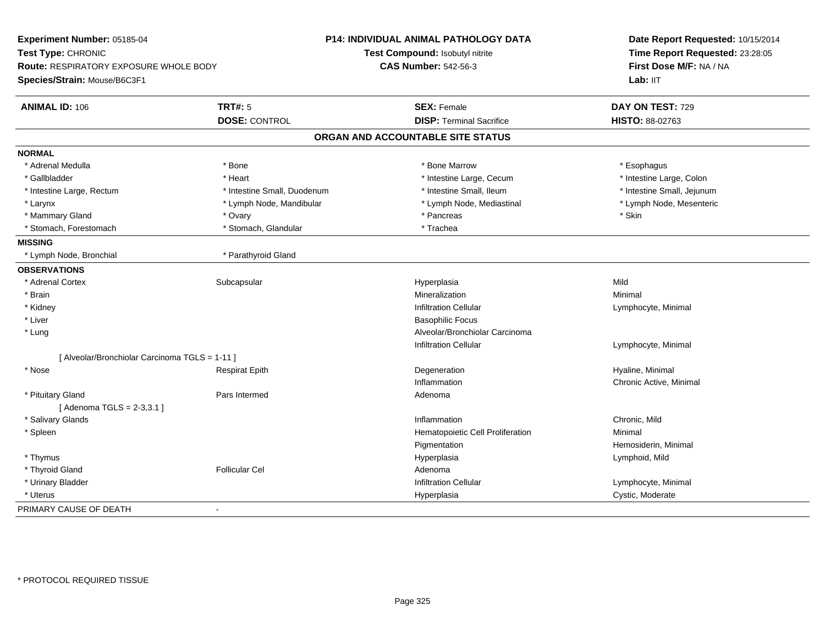| Experiment Number: 05185-04                    |                             | <b>P14: INDIVIDUAL ANIMAL PATHOLOGY DATA</b> | Date Report Requested: 10/15/2014 |  |
|------------------------------------------------|-----------------------------|----------------------------------------------|-----------------------------------|--|
| Test Type: CHRONIC                             |                             | Test Compound: Isobutyl nitrite              | Time Report Requested: 23:28:05   |  |
| <b>Route: RESPIRATORY EXPOSURE WHOLE BODY</b>  |                             | <b>CAS Number: 542-56-3</b>                  | First Dose M/F: NA / NA           |  |
| Species/Strain: Mouse/B6C3F1                   |                             |                                              | Lab: IIT                          |  |
| <b>ANIMAL ID: 106</b>                          | <b>TRT#: 5</b>              | <b>SEX: Female</b>                           | DAY ON TEST: 729                  |  |
|                                                | <b>DOSE: CONTROL</b>        | <b>DISP: Terminal Sacrifice</b>              | HISTO: 88-02763                   |  |
|                                                |                             | ORGAN AND ACCOUNTABLE SITE STATUS            |                                   |  |
| <b>NORMAL</b>                                  |                             |                                              |                                   |  |
| * Adrenal Medulla                              | * Bone                      | * Bone Marrow                                | * Esophagus                       |  |
| * Gallbladder                                  | * Heart                     | * Intestine Large, Cecum                     | * Intestine Large, Colon          |  |
| * Intestine Large, Rectum                      | * Intestine Small, Duodenum | * Intestine Small, Ileum                     | * Intestine Small, Jejunum        |  |
| * Larynx                                       | * Lymph Node, Mandibular    | * Lymph Node, Mediastinal                    | * Lymph Node, Mesenteric          |  |
| * Mammary Gland                                | * Ovary                     | * Pancreas                                   | * Skin                            |  |
| * Stomach, Forestomach                         | * Stomach, Glandular        | * Trachea                                    |                                   |  |
| <b>MISSING</b>                                 |                             |                                              |                                   |  |
| * Lymph Node, Bronchial                        | * Parathyroid Gland         |                                              |                                   |  |
| <b>OBSERVATIONS</b>                            |                             |                                              |                                   |  |
| * Adrenal Cortex                               | Subcapsular                 | Hyperplasia                                  | Mild                              |  |
| * Brain                                        |                             | Mineralization                               | Minimal                           |  |
| * Kidney                                       |                             | <b>Infiltration Cellular</b>                 | Lymphocyte, Minimal               |  |
| * Liver                                        |                             | <b>Basophilic Focus</b>                      |                                   |  |
| * Lung                                         |                             | Alveolar/Bronchiolar Carcinoma               |                                   |  |
|                                                |                             | <b>Infiltration Cellular</b>                 | Lymphocyte, Minimal               |  |
| [ Alveolar/Bronchiolar Carcinoma TGLS = 1-11 ] |                             |                                              |                                   |  |
| * Nose                                         | <b>Respirat Epith</b>       | Degeneration                                 | Hyaline, Minimal                  |  |
|                                                |                             | Inflammation                                 | Chronic Active, Minimal           |  |
| * Pituitary Gland                              | Pars Intermed               | Adenoma                                      |                                   |  |
| [Adenoma TGLS = 2-3,3.1]                       |                             |                                              |                                   |  |
| * Salivary Glands                              |                             | Inflammation                                 | Chronic, Mild                     |  |
| * Spleen                                       |                             | Hematopoietic Cell Proliferation             | Minimal                           |  |
|                                                |                             | Pigmentation                                 | Hemosiderin, Minimal              |  |
| * Thymus                                       |                             | Hyperplasia                                  | Lymphoid, Mild                    |  |
| * Thyroid Gland                                | <b>Follicular Cel</b>       | Adenoma                                      |                                   |  |
| * Urinary Bladder                              |                             | <b>Infiltration Cellular</b>                 | Lymphocyte, Minimal               |  |
| * Uterus                                       |                             | Hyperplasia                                  | Cystic, Moderate                  |  |
| PRIMARY CAUSE OF DEATH                         | $\blacksquare$              |                                              |                                   |  |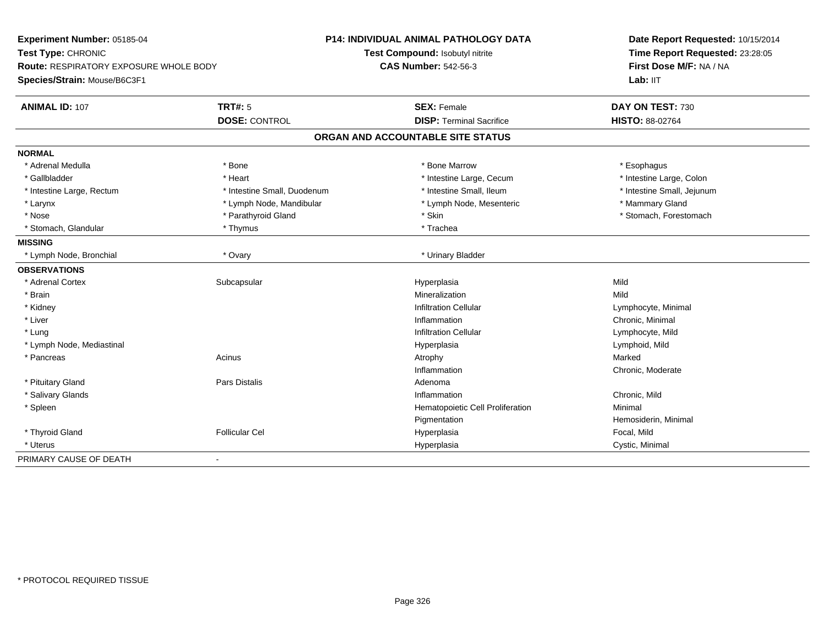| Experiment Number: 05185-04                   |                             | <b>P14: INDIVIDUAL ANIMAL PATHOLOGY DATA</b> | Date Report Requested: 10/15/2014                          |
|-----------------------------------------------|-----------------------------|----------------------------------------------|------------------------------------------------------------|
| Test Type: CHRONIC                            |                             | Test Compound: Isobutyl nitrite              | Time Report Requested: 23:28:05<br>First Dose M/F: NA / NA |
| <b>Route: RESPIRATORY EXPOSURE WHOLE BODY</b> |                             | <b>CAS Number: 542-56-3</b>                  |                                                            |
| Species/Strain: Mouse/B6C3F1                  |                             |                                              | Lab: IIT                                                   |
| <b>ANIMAL ID: 107</b>                         | <b>TRT#: 5</b>              | <b>SEX: Female</b>                           | DAY ON TEST: 730                                           |
|                                               | <b>DOSE: CONTROL</b>        | <b>DISP: Terminal Sacrifice</b>              | HISTO: 88-02764                                            |
|                                               |                             | ORGAN AND ACCOUNTABLE SITE STATUS            |                                                            |
| <b>NORMAL</b>                                 |                             |                                              |                                                            |
| * Adrenal Medulla                             | * Bone                      | * Bone Marrow                                | * Esophagus                                                |
| * Gallbladder                                 | * Heart                     | * Intestine Large, Cecum                     | * Intestine Large, Colon                                   |
| * Intestine Large, Rectum                     | * Intestine Small, Duodenum | * Intestine Small, Ileum                     | * Intestine Small, Jejunum                                 |
| * Larynx                                      | * Lymph Node, Mandibular    | * Lymph Node, Mesenteric                     | * Mammary Gland                                            |
| * Nose                                        | * Parathyroid Gland         | * Skin                                       | * Stomach, Forestomach                                     |
| * Stomach, Glandular                          | * Thymus                    | * Trachea                                    |                                                            |
| <b>MISSING</b>                                |                             |                                              |                                                            |
| * Lymph Node, Bronchial                       | * Ovary                     | * Urinary Bladder                            |                                                            |
| <b>OBSERVATIONS</b>                           |                             |                                              |                                                            |
| * Adrenal Cortex                              | Subcapsular                 | Hyperplasia                                  | Mild                                                       |
| * Brain                                       |                             | Mineralization                               | Mild                                                       |
| * Kidney                                      |                             | <b>Infiltration Cellular</b>                 | Lymphocyte, Minimal                                        |
| * Liver                                       |                             | Inflammation                                 | Chronic, Minimal                                           |
| * Lung                                        |                             | <b>Infiltration Cellular</b>                 | Lymphocyte, Mild                                           |
| * Lymph Node, Mediastinal                     |                             | Hyperplasia                                  | Lymphoid, Mild                                             |
| * Pancreas                                    | Acinus                      | Atrophy                                      | Marked                                                     |
|                                               |                             | Inflammation                                 | Chronic, Moderate                                          |
| * Pituitary Gland                             | Pars Distalis               | Adenoma                                      |                                                            |
| * Salivary Glands                             |                             | Inflammation                                 | Chronic, Mild                                              |
| * Spleen                                      |                             | Hematopoietic Cell Proliferation             | Minimal                                                    |
|                                               |                             | Pigmentation                                 | Hemosiderin, Minimal                                       |
| * Thyroid Gland                               | <b>Follicular Cel</b>       | Hyperplasia                                  | Focal, Mild                                                |
| * Uterus                                      |                             | Hyperplasia                                  | Cystic, Minimal                                            |
| PRIMARY CAUSE OF DEATH                        | $\blacksquare$              |                                              |                                                            |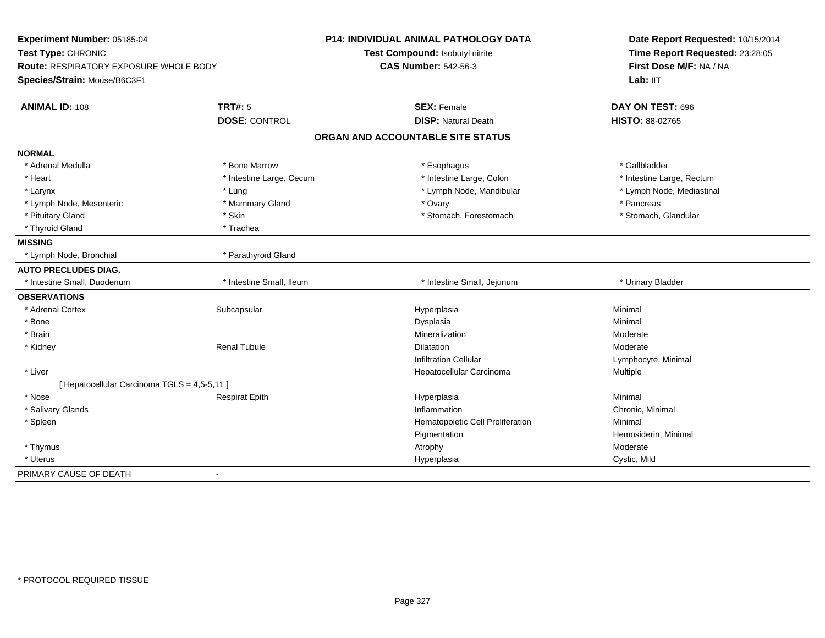| Experiment Number: 05185-04<br>Test Type: CHRONIC                             |                          | <b>P14: INDIVIDUAL ANIMAL PATHOLOGY DATA</b><br>Test Compound: Isobutyl nitrite | Date Report Requested: 10/15/2014<br>Time Report Requested: 23:28:05 |
|-------------------------------------------------------------------------------|--------------------------|---------------------------------------------------------------------------------|----------------------------------------------------------------------|
| <b>Route: RESPIRATORY EXPOSURE WHOLE BODY</b><br>Species/Strain: Mouse/B6C3F1 |                          | <b>CAS Number: 542-56-3</b>                                                     | First Dose M/F: NA / NA<br>Lab: IIT                                  |
| <b>ANIMAL ID: 108</b>                                                         | TRT#: 5                  | <b>SEX: Female</b>                                                              | DAY ON TEST: 696                                                     |
|                                                                               | <b>DOSE: CONTROL</b>     | <b>DISP: Natural Death</b>                                                      | <b>HISTO: 88-02765</b>                                               |
|                                                                               |                          | ORGAN AND ACCOUNTABLE SITE STATUS                                               |                                                                      |
| <b>NORMAL</b>                                                                 |                          |                                                                                 |                                                                      |
| * Adrenal Medulla                                                             | * Bone Marrow            | * Esophagus                                                                     | * Gallbladder                                                        |
| * Heart                                                                       | * Intestine Large, Cecum | * Intestine Large, Colon                                                        | * Intestine Large, Rectum                                            |
| * Larynx                                                                      | * Lung                   | * Lymph Node, Mandibular                                                        | * Lymph Node, Mediastinal                                            |
| * Lymph Node, Mesenteric                                                      | * Mammary Gland          | * Ovary                                                                         | * Pancreas                                                           |
| * Pituitary Gland                                                             | * Skin                   | * Stomach, Forestomach                                                          | * Stomach, Glandular                                                 |
| * Thyroid Gland                                                               | * Trachea                |                                                                                 |                                                                      |
| <b>MISSING</b>                                                                |                          |                                                                                 |                                                                      |
| * Lymph Node, Bronchial                                                       | * Parathyroid Gland      |                                                                                 |                                                                      |
| <b>AUTO PRECLUDES DIAG.</b>                                                   |                          |                                                                                 |                                                                      |
| * Intestine Small, Duodenum                                                   | * Intestine Small, Ileum | * Intestine Small, Jejunum                                                      | * Urinary Bladder                                                    |
| <b>OBSERVATIONS</b>                                                           |                          |                                                                                 |                                                                      |
| * Adrenal Cortex                                                              | Subcapsular              | Hyperplasia                                                                     | Minimal                                                              |
| * Bone                                                                        |                          | Dysplasia                                                                       | Minimal                                                              |
| * Brain                                                                       |                          | Mineralization                                                                  | Moderate                                                             |
| * Kidney                                                                      | <b>Renal Tubule</b>      | Dilatation                                                                      | Moderate                                                             |
|                                                                               |                          | <b>Infiltration Cellular</b>                                                    | Lymphocyte, Minimal                                                  |
| * Liver                                                                       |                          | Hepatocellular Carcinoma                                                        | Multiple                                                             |
| [ Hepatocellular Carcinoma TGLS = 4,5-5,11 ]                                  |                          |                                                                                 |                                                                      |
| * Nose                                                                        | <b>Respirat Epith</b>    | Hyperplasia                                                                     | Minimal                                                              |
| * Salivary Glands                                                             |                          | Inflammation                                                                    | Chronic, Minimal                                                     |
| * Spleen                                                                      |                          | Hematopoietic Cell Proliferation                                                | Minimal                                                              |
|                                                                               |                          | Pigmentation                                                                    | Hemosiderin, Minimal                                                 |
| * Thymus                                                                      |                          | Atrophy                                                                         | Moderate                                                             |
| * Uterus                                                                      |                          | Hyperplasia                                                                     | Cystic, Mild                                                         |
| PRIMARY CAUSE OF DEATH                                                        |                          |                                                                                 |                                                                      |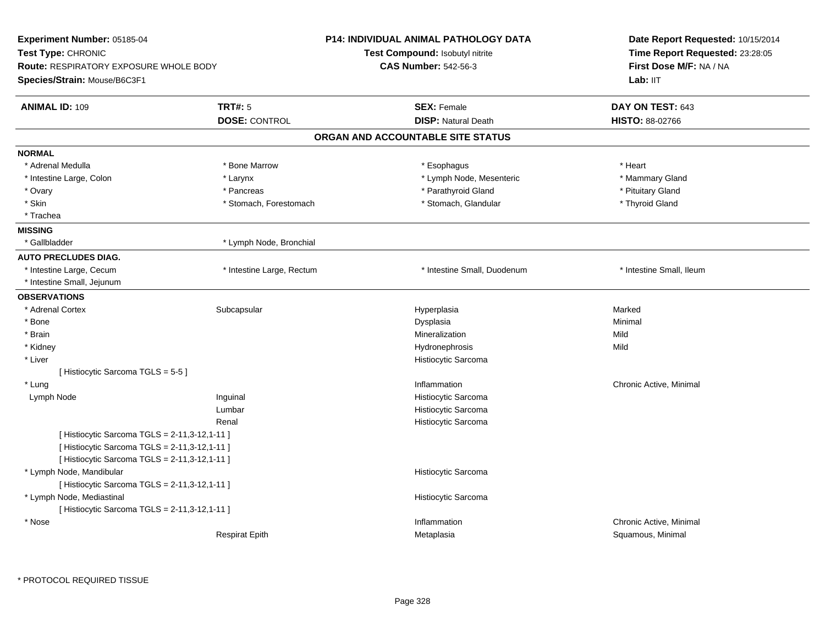| Experiment Number: 05185-04                                                                    |                           | <b>P14: INDIVIDUAL ANIMAL PATHOLOGY DATA</b> | Date Report Requested: 10/15/2014 |  |
|------------------------------------------------------------------------------------------------|---------------------------|----------------------------------------------|-----------------------------------|--|
| Test Type: CHRONIC                                                                             |                           | Test Compound: Isobutyl nitrite              | Time Report Requested: 23:28:05   |  |
| <b>Route: RESPIRATORY EXPOSURE WHOLE BODY</b>                                                  |                           | <b>CAS Number: 542-56-3</b>                  | First Dose M/F: NA / NA           |  |
| Species/Strain: Mouse/B6C3F1                                                                   |                           |                                              | Lab: IIT                          |  |
| <b>ANIMAL ID: 109</b>                                                                          | <b>TRT#: 5</b>            | <b>SEX: Female</b>                           | DAY ON TEST: 643                  |  |
|                                                                                                | <b>DOSE: CONTROL</b>      | <b>DISP: Natural Death</b>                   | <b>HISTO: 88-02766</b>            |  |
|                                                                                                |                           | ORGAN AND ACCOUNTABLE SITE STATUS            |                                   |  |
| <b>NORMAL</b>                                                                                  |                           |                                              |                                   |  |
| * Adrenal Medulla                                                                              | * Bone Marrow             | * Esophagus                                  | * Heart                           |  |
| * Intestine Large, Colon                                                                       | * Larynx                  | * Lymph Node, Mesenteric                     | * Mammary Gland                   |  |
| * Ovary                                                                                        | * Pancreas                | * Parathyroid Gland                          | * Pituitary Gland                 |  |
| * Skin                                                                                         | * Stomach, Forestomach    | * Stomach, Glandular                         | * Thyroid Gland                   |  |
| * Trachea                                                                                      |                           |                                              |                                   |  |
| <b>MISSING</b>                                                                                 |                           |                                              |                                   |  |
| * Gallbladder                                                                                  | * Lymph Node, Bronchial   |                                              |                                   |  |
| <b>AUTO PRECLUDES DIAG.</b>                                                                    |                           |                                              |                                   |  |
| * Intestine Large, Cecum                                                                       | * Intestine Large, Rectum | * Intestine Small, Duodenum                  | * Intestine Small, Ileum          |  |
| * Intestine Small, Jejunum                                                                     |                           |                                              |                                   |  |
| <b>OBSERVATIONS</b>                                                                            |                           |                                              |                                   |  |
| * Adrenal Cortex                                                                               | Subcapsular               | Hyperplasia                                  | Marked                            |  |
| * Bone                                                                                         |                           | Dysplasia                                    | Minimal                           |  |
| * Brain                                                                                        |                           | Mineralization                               | Mild                              |  |
| * Kidney                                                                                       |                           | Hydronephrosis                               | Mild                              |  |
| * Liver                                                                                        |                           | Histiocytic Sarcoma                          |                                   |  |
| [ Histiocytic Sarcoma TGLS = 5-5 ]                                                             |                           |                                              |                                   |  |
| * Lung                                                                                         |                           | Inflammation                                 | Chronic Active, Minimal           |  |
| Lymph Node                                                                                     | Inguinal                  | Histiocytic Sarcoma                          |                                   |  |
|                                                                                                | Lumbar                    | Histiocytic Sarcoma                          |                                   |  |
|                                                                                                | Renal                     | Histiocytic Sarcoma                          |                                   |  |
| [ Histiocytic Sarcoma TGLS = 2-11,3-12,1-11 ]<br>[ Histiocytic Sarcoma TGLS = 2-11,3-12,1-11 ] |                           |                                              |                                   |  |
| [ Histiocytic Sarcoma TGLS = 2-11,3-12,1-11 ]                                                  |                           |                                              |                                   |  |
| * Lymph Node, Mandibular                                                                       |                           | Histiocytic Sarcoma                          |                                   |  |
| [ Histiocytic Sarcoma TGLS = 2-11,3-12,1-11 ]                                                  |                           |                                              |                                   |  |
| * Lymph Node, Mediastinal                                                                      |                           | Histiocytic Sarcoma                          |                                   |  |
| [ Histiocytic Sarcoma TGLS = 2-11,3-12,1-11 ]                                                  |                           |                                              |                                   |  |
| * Nose                                                                                         |                           | Inflammation                                 | Chronic Active, Minimal           |  |
|                                                                                                | <b>Respirat Epith</b>     | Metaplasia                                   | Squamous, Minimal                 |  |
|                                                                                                |                           |                                              |                                   |  |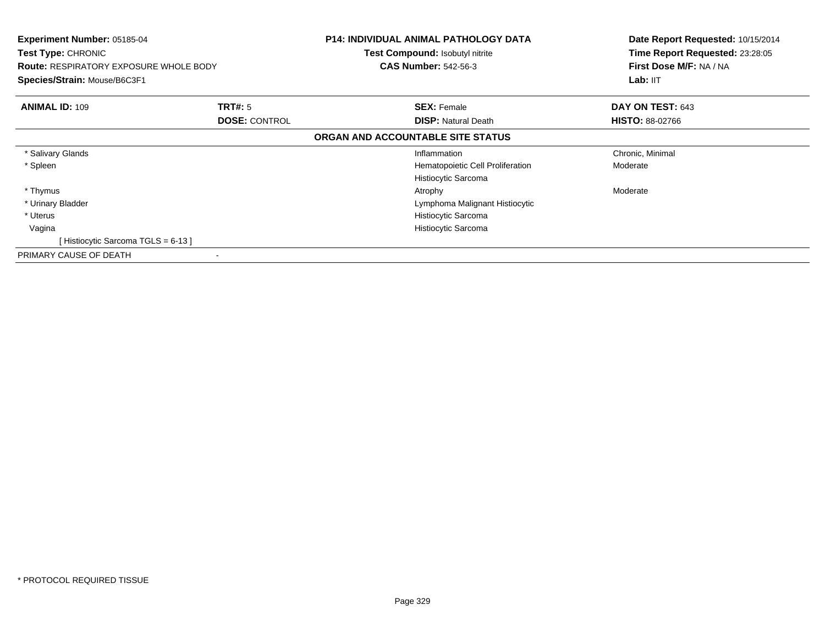| <b>Experiment Number: 05185-04</b><br><b>Test Type: CHRONIC</b><br><b>Route: RESPIRATORY EXPOSURE WHOLE BODY</b><br>Species/Strain: Mouse/B6C3F1 |                                        | <b>P14: INDIVIDUAL ANIMAL PATHOLOGY DATA</b><br><b>Test Compound: Isobutyl nitrite</b><br><b>CAS Number: 542-56-3</b> | Date Report Requested: 10/15/2014<br>Time Report Requested: 23:28:05<br>First Dose M/F: NA / NA<br>Lab: IIT |
|--------------------------------------------------------------------------------------------------------------------------------------------------|----------------------------------------|-----------------------------------------------------------------------------------------------------------------------|-------------------------------------------------------------------------------------------------------------|
| <b>ANIMAL ID: 109</b>                                                                                                                            | <b>TRT#: 5</b><br><b>DOSE: CONTROL</b> | <b>SEX: Female</b><br><b>DISP:</b> Natural Death                                                                      | DAY ON TEST: 643<br><b>HISTO: 88-02766</b>                                                                  |
|                                                                                                                                                  |                                        | ORGAN AND ACCOUNTABLE SITE STATUS                                                                                     |                                                                                                             |
| * Salivary Glands                                                                                                                                |                                        | Inflammation                                                                                                          | Chronic, Minimal                                                                                            |
| * Spleen                                                                                                                                         |                                        | Hematopoietic Cell Proliferation<br>Histiocytic Sarcoma                                                               | Moderate                                                                                                    |
| * Thymus                                                                                                                                         |                                        | Atrophy                                                                                                               | Moderate                                                                                                    |
| * Urinary Bladder                                                                                                                                |                                        | Lymphoma Malignant Histiocytic                                                                                        |                                                                                                             |
| * Uterus                                                                                                                                         |                                        | Histiocytic Sarcoma                                                                                                   |                                                                                                             |
| Vagina                                                                                                                                           |                                        | Histiocytic Sarcoma                                                                                                   |                                                                                                             |
| [Histiocytic Sarcoma TGLS = 6-13]                                                                                                                |                                        |                                                                                                                       |                                                                                                             |
| PRIMARY CAUSE OF DEATH                                                                                                                           | ۰                                      |                                                                                                                       |                                                                                                             |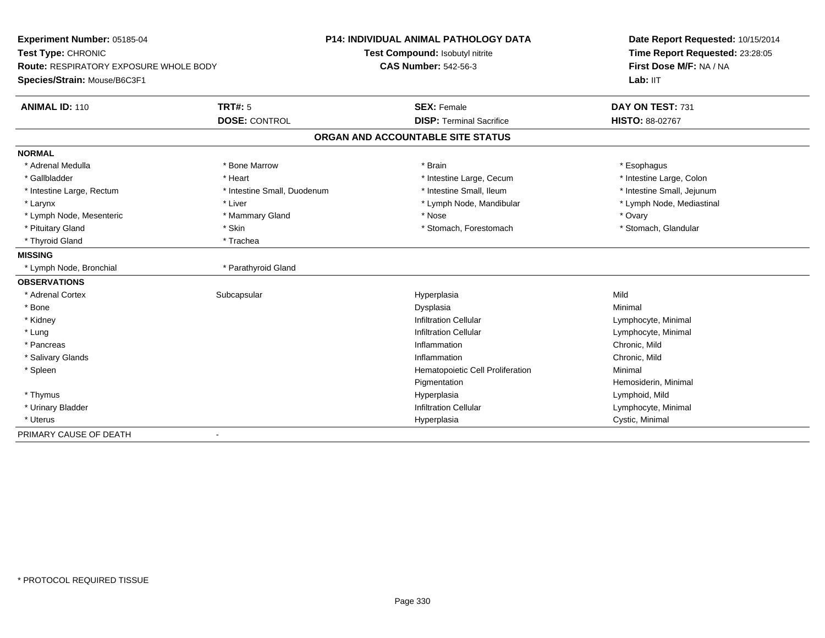| Experiment Number: 05185-04            |                             | <b>P14: INDIVIDUAL ANIMAL PATHOLOGY DATA</b> | Date Report Requested: 10/15/2014                          |
|----------------------------------------|-----------------------------|----------------------------------------------|------------------------------------------------------------|
| Test Type: CHRONIC                     |                             | Test Compound: Isobutyl nitrite              | Time Report Requested: 23:28:05<br>First Dose M/F: NA / NA |
| Route: RESPIRATORY EXPOSURE WHOLE BODY |                             | <b>CAS Number: 542-56-3</b>                  |                                                            |
| Species/Strain: Mouse/B6C3F1           |                             |                                              | Lab: IIT                                                   |
| <b>ANIMAL ID: 110</b>                  | <b>TRT#: 5</b>              | <b>SEX: Female</b>                           | DAY ON TEST: 731                                           |
|                                        | <b>DOSE: CONTROL</b>        | <b>DISP: Terminal Sacrifice</b>              | HISTO: 88-02767                                            |
|                                        |                             | ORGAN AND ACCOUNTABLE SITE STATUS            |                                                            |
| <b>NORMAL</b>                          |                             |                                              |                                                            |
| * Adrenal Medulla                      | * Bone Marrow               | * Brain                                      | * Esophagus                                                |
| * Gallbladder                          | * Heart                     | * Intestine Large, Cecum                     | * Intestine Large, Colon                                   |
| * Intestine Large, Rectum              | * Intestine Small, Duodenum | * Intestine Small, Ileum                     | * Intestine Small, Jejunum                                 |
| * Larynx                               | * Liver                     | * Lymph Node, Mandibular                     | * Lymph Node, Mediastinal                                  |
| * Lymph Node, Mesenteric               | * Mammary Gland             | * Nose                                       | * Ovary                                                    |
| * Pituitary Gland                      | * Skin                      | * Stomach, Forestomach                       | * Stomach, Glandular                                       |
| * Thyroid Gland                        | * Trachea                   |                                              |                                                            |
| <b>MISSING</b>                         |                             |                                              |                                                            |
| * Lymph Node, Bronchial                | * Parathyroid Gland         |                                              |                                                            |
| <b>OBSERVATIONS</b>                    |                             |                                              |                                                            |
| * Adrenal Cortex                       | Subcapsular                 | Hyperplasia                                  | Mild                                                       |
| * Bone                                 |                             | Dysplasia                                    | Minimal                                                    |
| * Kidney                               |                             | <b>Infiltration Cellular</b>                 | Lymphocyte, Minimal                                        |
| * Lung                                 |                             | <b>Infiltration Cellular</b>                 | Lymphocyte, Minimal                                        |
| * Pancreas                             |                             | Inflammation                                 | Chronic, Mild                                              |
| * Salivary Glands                      |                             | Inflammation                                 | Chronic, Mild                                              |
| * Spleen                               |                             | Hematopoietic Cell Proliferation             | Minimal                                                    |
|                                        |                             | Pigmentation                                 | Hemosiderin, Minimal                                       |
| * Thymus                               |                             | Hyperplasia                                  | Lymphoid, Mild                                             |
| * Urinary Bladder                      |                             | <b>Infiltration Cellular</b>                 | Lymphocyte, Minimal                                        |
| * Uterus                               |                             | Hyperplasia                                  | Cystic, Minimal                                            |
| PRIMARY CAUSE OF DEATH                 |                             |                                              |                                                            |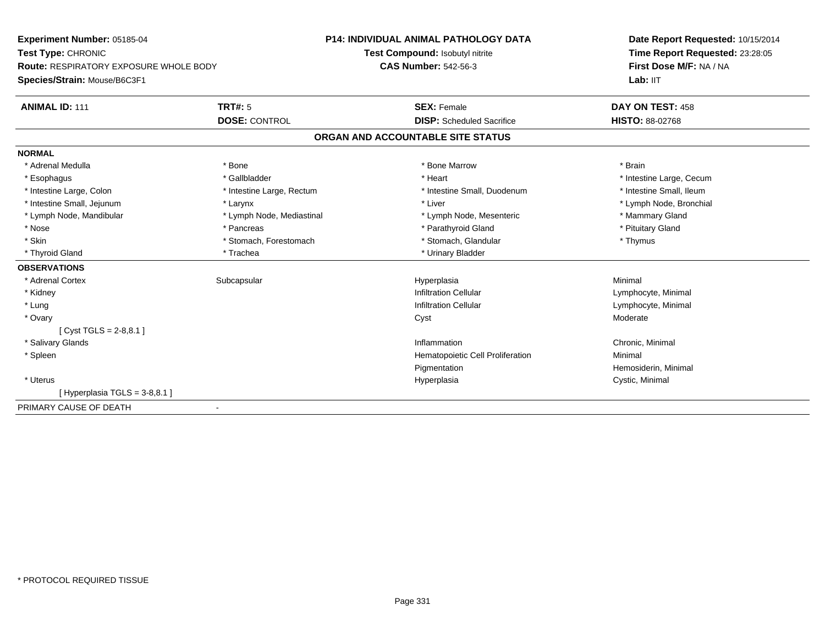| Experiment Number: 05185-04                   |                           | <b>P14: INDIVIDUAL ANIMAL PATHOLOGY DATA</b> | Date Report Requested: 10/15/2014 |
|-----------------------------------------------|---------------------------|----------------------------------------------|-----------------------------------|
| Test Type: CHRONIC                            |                           | Test Compound: Isobutyl nitrite              | Time Report Requested: 23:28:05   |
| <b>Route: RESPIRATORY EXPOSURE WHOLE BODY</b> |                           | <b>CAS Number: 542-56-3</b>                  | First Dose M/F: NA / NA           |
| Species/Strain: Mouse/B6C3F1                  |                           |                                              | Lab: IIT                          |
| <b>ANIMAL ID: 111</b>                         | <b>TRT#: 5</b>            | <b>SEX: Female</b>                           | DAY ON TEST: 458                  |
|                                               | <b>DOSE: CONTROL</b>      | <b>DISP:</b> Scheduled Sacrifice             | <b>HISTO: 88-02768</b>            |
|                                               |                           | ORGAN AND ACCOUNTABLE SITE STATUS            |                                   |
| <b>NORMAL</b>                                 |                           |                                              |                                   |
| * Adrenal Medulla                             | * Bone                    | * Bone Marrow                                | * Brain                           |
| * Esophagus                                   | * Gallbladder             | * Heart                                      | * Intestine Large, Cecum          |
| * Intestine Large, Colon                      | * Intestine Large, Rectum | * Intestine Small, Duodenum                  | * Intestine Small, Ileum          |
| * Intestine Small, Jejunum                    | * Larynx                  | * Liver                                      | * Lymph Node, Bronchial           |
| * Lymph Node, Mandibular                      | * Lymph Node, Mediastinal | * Lymph Node, Mesenteric                     | * Mammary Gland                   |
| * Nose                                        | * Pancreas                | * Parathyroid Gland                          | * Pituitary Gland                 |
| * Skin                                        | * Stomach, Forestomach    | * Stomach, Glandular                         | * Thymus                          |
| * Thyroid Gland                               | * Trachea                 | * Urinary Bladder                            |                                   |
| <b>OBSERVATIONS</b>                           |                           |                                              |                                   |
| * Adrenal Cortex                              | Subcapsular               | Hyperplasia                                  | Minimal                           |
| * Kidney                                      |                           | <b>Infiltration Cellular</b>                 | Lymphocyte, Minimal               |
| * Lung                                        |                           | <b>Infiltration Cellular</b>                 | Lymphocyte, Minimal               |
| * Ovary                                       |                           | Cyst                                         | Moderate                          |
| [Cyst TGLS = $2-8,8.1$ ]                      |                           |                                              |                                   |
| * Salivary Glands                             |                           | Inflammation                                 | Chronic, Minimal                  |
| * Spleen                                      |                           | Hematopoietic Cell Proliferation             | Minimal                           |
|                                               |                           | Pigmentation                                 | Hemosiderin, Minimal              |
| * Uterus                                      |                           | Hyperplasia                                  | Cystic, Minimal                   |
| [Hyperplasia TGLS = $3-8,8.1$ ]               |                           |                                              |                                   |
| PRIMARY CAUSE OF DEATH                        | $\blacksquare$            |                                              |                                   |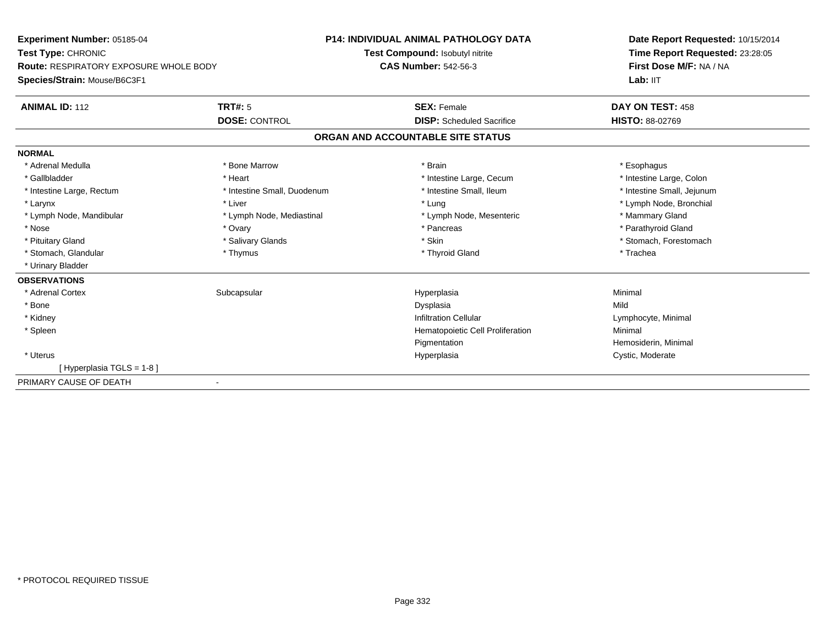| Experiment Number: 05185-04                   |                             | <b>P14: INDIVIDUAL ANIMAL PATHOLOGY DATA</b> | Date Report Requested: 10/15/2014<br>Time Report Requested: 23:28:05 |
|-----------------------------------------------|-----------------------------|----------------------------------------------|----------------------------------------------------------------------|
| Test Type: CHRONIC                            |                             | Test Compound: Isobutyl nitrite              |                                                                      |
| <b>Route: RESPIRATORY EXPOSURE WHOLE BODY</b> |                             | <b>CAS Number: 542-56-3</b>                  | First Dose M/F: NA / NA                                              |
| Species/Strain: Mouse/B6C3F1                  |                             |                                              | Lab: IIT                                                             |
| <b>ANIMAL ID: 112</b>                         | TRT#: 5                     | <b>SEX: Female</b>                           | DAY ON TEST: 458                                                     |
|                                               | <b>DOSE: CONTROL</b>        | <b>DISP:</b> Scheduled Sacrifice             | <b>HISTO: 88-02769</b>                                               |
|                                               |                             | ORGAN AND ACCOUNTABLE SITE STATUS            |                                                                      |
| <b>NORMAL</b>                                 |                             |                                              |                                                                      |
| * Adrenal Medulla                             | * Bone Marrow               | * Brain                                      | * Esophagus                                                          |
| * Gallbladder                                 | * Heart                     | * Intestine Large, Cecum                     | * Intestine Large, Colon                                             |
| * Intestine Large, Rectum                     | * Intestine Small, Duodenum | * Intestine Small, Ileum                     | * Intestine Small, Jejunum                                           |
| * Larynx                                      | * Liver                     | * Lung                                       | * Lymph Node, Bronchial                                              |
| * Lymph Node, Mandibular                      | * Lymph Node, Mediastinal   | * Lymph Node, Mesenteric                     | * Mammary Gland                                                      |
| * Nose                                        | * Ovary                     | * Pancreas                                   | * Parathyroid Gland                                                  |
| * Pituitary Gland                             | * Salivary Glands           | * Skin                                       | * Stomach, Forestomach                                               |
| * Stomach, Glandular                          | * Thymus                    | * Thyroid Gland                              | * Trachea                                                            |
| * Urinary Bladder                             |                             |                                              |                                                                      |
| <b>OBSERVATIONS</b>                           |                             |                                              |                                                                      |
| * Adrenal Cortex                              | Subcapsular                 | Hyperplasia                                  | Minimal                                                              |
| * Bone                                        |                             | Dysplasia                                    | Mild                                                                 |
| * Kidney                                      |                             | <b>Infiltration Cellular</b>                 | Lymphocyte, Minimal                                                  |
| * Spleen                                      |                             | Hematopoietic Cell Proliferation             | Minimal                                                              |
|                                               |                             | Pigmentation                                 | Hemosiderin, Minimal                                                 |
| * Uterus                                      |                             | Hyperplasia                                  | Cystic, Moderate                                                     |
| [Hyperplasia TGLS = 1-8]                      |                             |                                              |                                                                      |
| PRIMARY CAUSE OF DEATH                        |                             |                                              |                                                                      |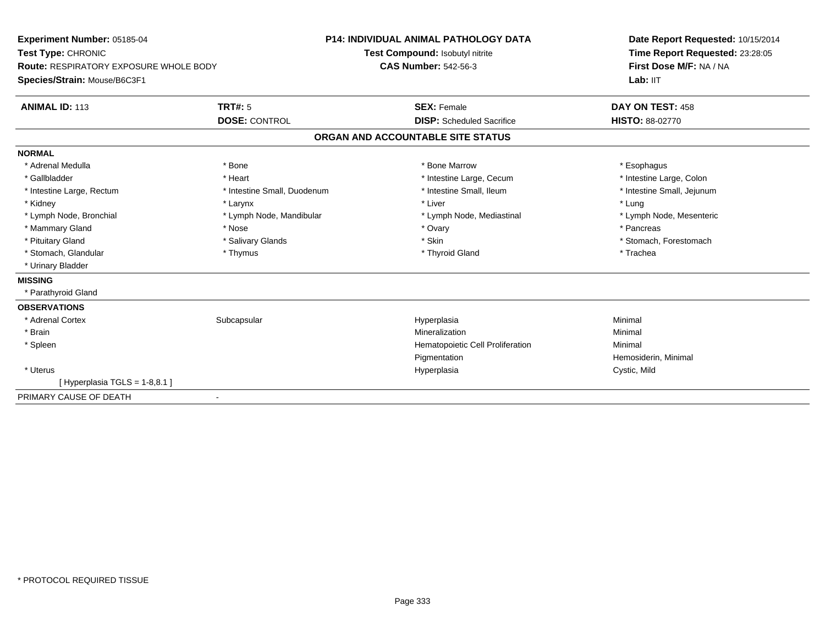| Experiment Number: 05185-04                   |                             | <b>P14: INDIVIDUAL ANIMAL PATHOLOGY DATA</b> | Date Report Requested: 10/15/2014 |
|-----------------------------------------------|-----------------------------|----------------------------------------------|-----------------------------------|
| Test Type: CHRONIC                            |                             | Test Compound: Isobutyl nitrite              | Time Report Requested: 23:28:05   |
| <b>Route: RESPIRATORY EXPOSURE WHOLE BODY</b> |                             | <b>CAS Number: 542-56-3</b>                  | First Dose M/F: NA / NA           |
| Species/Strain: Mouse/B6C3F1                  |                             |                                              | Lab: IIT                          |
| <b>ANIMAL ID: 113</b>                         | <b>TRT#: 5</b>              | <b>SEX: Female</b>                           | DAY ON TEST: 458                  |
|                                               | <b>DOSE: CONTROL</b>        | <b>DISP:</b> Scheduled Sacrifice             | HISTO: 88-02770                   |
|                                               |                             | ORGAN AND ACCOUNTABLE SITE STATUS            |                                   |
| <b>NORMAL</b>                                 |                             |                                              |                                   |
| * Adrenal Medulla                             | * Bone                      | * Bone Marrow                                | * Esophagus                       |
| * Gallbladder                                 | * Heart                     | * Intestine Large, Cecum                     | * Intestine Large, Colon          |
| * Intestine Large, Rectum                     | * Intestine Small, Duodenum | * Intestine Small, Ileum                     | * Intestine Small, Jejunum        |
| * Kidney                                      | * Larynx                    | * Liver                                      | * Lung                            |
| * Lymph Node, Bronchial                       | * Lymph Node, Mandibular    | * Lymph Node, Mediastinal                    | * Lymph Node, Mesenteric          |
| * Mammary Gland                               | * Nose                      | * Ovary                                      | * Pancreas                        |
| * Pituitary Gland                             | * Salivary Glands           | * Skin                                       | * Stomach, Forestomach            |
| * Stomach, Glandular                          | * Thymus                    | * Thyroid Gland                              | * Trachea                         |
| * Urinary Bladder                             |                             |                                              |                                   |
| <b>MISSING</b>                                |                             |                                              |                                   |
| * Parathyroid Gland                           |                             |                                              |                                   |
| <b>OBSERVATIONS</b>                           |                             |                                              |                                   |
| * Adrenal Cortex                              | Subcapsular                 | Hyperplasia                                  | Minimal                           |
| * Brain                                       |                             | Mineralization                               | Minimal                           |
| * Spleen                                      |                             | Hematopoietic Cell Proliferation             | Minimal                           |
|                                               |                             | Pigmentation                                 | Hemosiderin, Minimal              |
| * Uterus                                      |                             | Hyperplasia                                  | Cystic, Mild                      |
| [Hyperplasia TGLS = 1-8,8.1]                  |                             |                                              |                                   |
| PRIMARY CAUSE OF DEATH                        | $\blacksquare$              |                                              |                                   |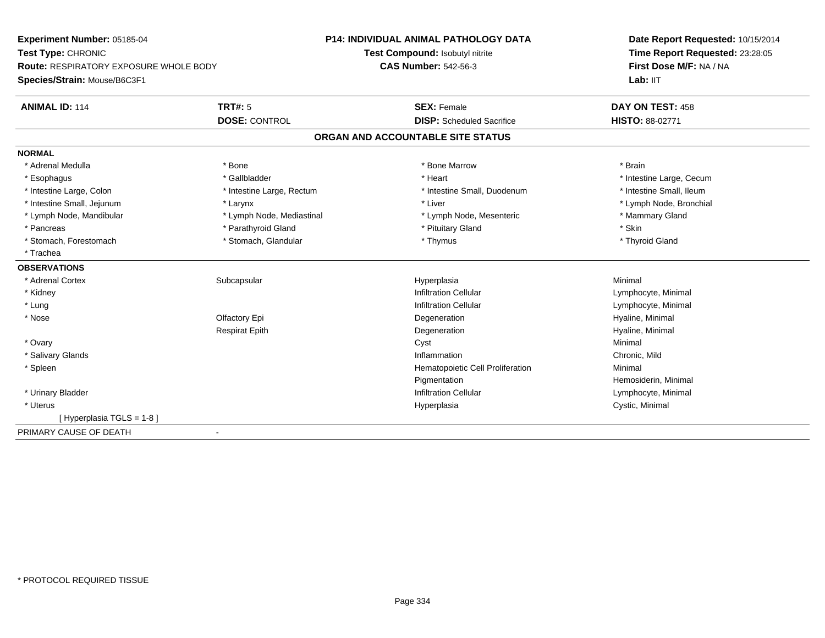| Experiment Number: 05185-04                           | <b>P14: INDIVIDUAL ANIMAL PATHOLOGY DATA</b>          | Date Report Requested: 10/15/2014 |
|-------------------------------------------------------|-------------------------------------------------------|-----------------------------------|
| Test Type: CHRONIC                                    | Test Compound: Isobutyl nitrite                       | Time Report Requested: 23:28:05   |
| <b>Route: RESPIRATORY EXPOSURE WHOLE BODY</b>         | <b>CAS Number: 542-56-3</b>                           | First Dose M/F: NA / NA           |
| Species/Strain: Mouse/B6C3F1                          |                                                       | Lab: IIT                          |
| <b>ANIMAL ID: 114</b><br><b>TRT#: 5</b>               | <b>SEX: Female</b>                                    | DAY ON TEST: 458                  |
| <b>DOSE: CONTROL</b>                                  | <b>DISP:</b> Scheduled Sacrifice                      | HISTO: 88-02771                   |
|                                                       | ORGAN AND ACCOUNTABLE SITE STATUS                     |                                   |
| <b>NORMAL</b>                                         |                                                       |                                   |
| * Adrenal Medulla<br>* Bone                           | * Bone Marrow                                         | * Brain                           |
| * Gallbladder<br>* Esophagus                          | * Heart                                               | * Intestine Large, Cecum          |
| * Intestine Large, Colon<br>* Intestine Large, Rectum | * Intestine Small, Duodenum                           | * Intestine Small, Ileum          |
| * Intestine Small, Jejunum<br>* Larynx                | * Liver                                               | * Lymph Node, Bronchial           |
| * Lymph Node, Mandibular                              | * Lymph Node, Mediastinal<br>* Lymph Node, Mesenteric | * Mammary Gland                   |
| * Parathyroid Gland<br>* Pancreas                     | * Pituitary Gland                                     | * Skin                            |
| * Stomach, Glandular<br>* Stomach, Forestomach        | * Thymus                                              | * Thyroid Gland                   |
| * Trachea                                             |                                                       |                                   |
| <b>OBSERVATIONS</b>                                   |                                                       |                                   |
| * Adrenal Cortex<br>Subcapsular                       | Hyperplasia                                           | Minimal                           |
| * Kidney                                              | <b>Infiltration Cellular</b>                          | Lymphocyte, Minimal               |
| * Lung                                                | <b>Infiltration Cellular</b>                          | Lymphocyte, Minimal               |
| * Nose<br>Olfactory Epi                               | Degeneration                                          | Hyaline, Minimal                  |
| <b>Respirat Epith</b>                                 | Degeneration                                          | Hyaline, Minimal                  |
| * Ovary                                               | Cyst                                                  | Minimal                           |
| * Salivary Glands                                     | Inflammation                                          | Chronic, Mild                     |
| * Spleen                                              | Hematopoietic Cell Proliferation                      | Minimal                           |
|                                                       | Pigmentation                                          | Hemosiderin, Minimal              |
| * Urinary Bladder                                     | <b>Infiltration Cellular</b>                          | Lymphocyte, Minimal               |
| * Uterus                                              | Hyperplasia                                           | Cystic, Minimal                   |
| [Hyperplasia TGLS = 1-8]                              |                                                       |                                   |
| PRIMARY CAUSE OF DEATH<br>$\blacksquare$              |                                                       |                                   |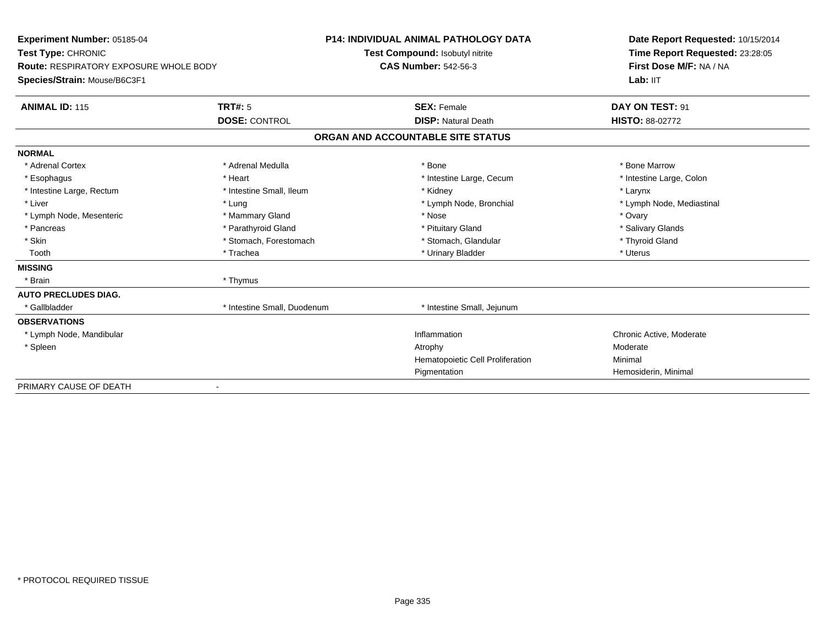| Experiment Number: 05185-04            |                             | <b>P14: INDIVIDUAL ANIMAL PATHOLOGY DATA</b> | Date Report Requested: 10/15/2014 |  |
|----------------------------------------|-----------------------------|----------------------------------------------|-----------------------------------|--|
| Test Type: CHRONIC                     |                             | Test Compound: Isobutyl nitrite              | Time Report Requested: 23:28:05   |  |
| Route: RESPIRATORY EXPOSURE WHOLE BODY |                             | <b>CAS Number: 542-56-3</b>                  | First Dose M/F: NA / NA           |  |
| Species/Strain: Mouse/B6C3F1           |                             |                                              | Lab: IIT                          |  |
| <b>ANIMAL ID: 115</b>                  | TRT#: 5                     | <b>SEX: Female</b>                           | DAY ON TEST: 91                   |  |
|                                        | <b>DOSE: CONTROL</b>        | <b>DISP: Natural Death</b>                   | <b>HISTO: 88-02772</b>            |  |
|                                        |                             | ORGAN AND ACCOUNTABLE SITE STATUS            |                                   |  |
| <b>NORMAL</b>                          |                             |                                              |                                   |  |
| * Adrenal Cortex                       | * Adrenal Medulla           | * Bone                                       | * Bone Marrow                     |  |
| * Esophagus                            | * Heart                     | * Intestine Large, Cecum                     | * Intestine Large, Colon          |  |
| * Intestine Large, Rectum              | * Intestine Small, Ileum    | * Kidney                                     | * Larynx                          |  |
| * Liver                                | * Lung                      | * Lymph Node, Bronchial                      | * Lymph Node, Mediastinal         |  |
| * Lymph Node, Mesenteric               | * Mammary Gland             | * Nose                                       | * Ovary                           |  |
| * Pancreas                             | * Parathyroid Gland         | * Pituitary Gland                            | * Salivary Glands                 |  |
| * Skin                                 | * Stomach, Forestomach      | * Stomach, Glandular                         | * Thyroid Gland                   |  |
| Tooth                                  | * Trachea                   | * Urinary Bladder                            | * Uterus                          |  |
| <b>MISSING</b>                         |                             |                                              |                                   |  |
| * Brain                                | * Thymus                    |                                              |                                   |  |
| <b>AUTO PRECLUDES DIAG.</b>            |                             |                                              |                                   |  |
| * Gallbladder                          | * Intestine Small, Duodenum | * Intestine Small, Jejunum                   |                                   |  |
| <b>OBSERVATIONS</b>                    |                             |                                              |                                   |  |
| * Lymph Node, Mandibular               |                             | Inflammation                                 | Chronic Active, Moderate          |  |
| * Spleen                               |                             | Atrophy                                      | Moderate                          |  |
|                                        |                             | Hematopoietic Cell Proliferation             | Minimal                           |  |
|                                        |                             | Pigmentation                                 | Hemosiderin, Minimal              |  |
| PRIMARY CAUSE OF DEATH                 |                             |                                              |                                   |  |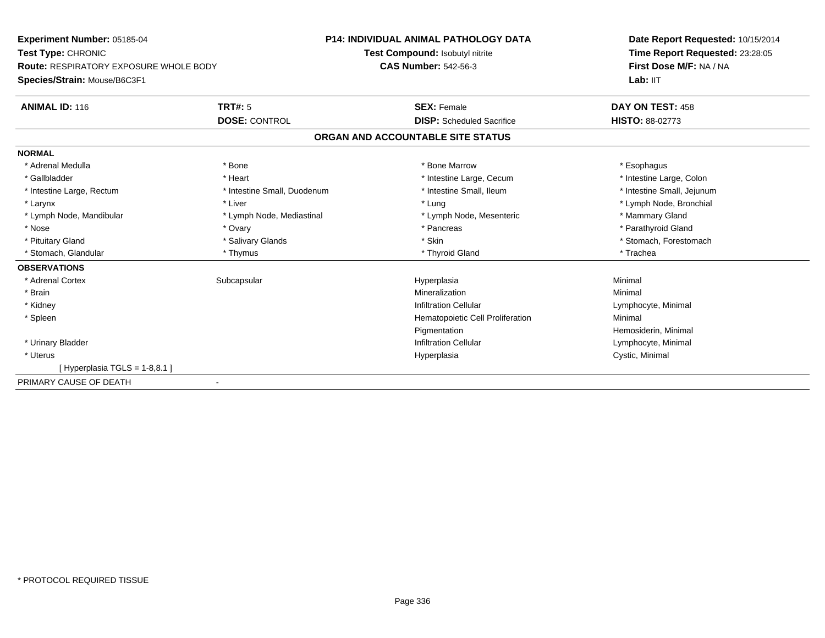**Experiment Number:** 05185-04**Test Type:** CHRONIC **Route:** RESPIRATORY EXPOSURE WHOLE BODY**Species/Strain:** Mouse/B6C3F1**P14: INDIVIDUAL ANIMAL PATHOLOGY DATATest Compound:** Isobutyl nitrite**CAS Number:** 542-56-3**Date Report Requested:** 10/15/2014**Time Report Requested:** 23:28:05**First Dose M/F:** NA / NA**Lab:** IIT**ANIMAL ID:** 116**6 DAY ON TEST:** 458 **DOSE:** CONTROL **DISP:** Scheduled Sacrifice **HISTO:** 88-02773 **ORGAN AND ACCOUNTABLE SITE STATUSNORMAL**\* Adrenal Medulla \* Adrenal Medulla \* \* The matter of the state of the state of the state of the state of the state of the state of the state of the state of the state of the state of the state of the state of the state of the state of the \* Intestine Large, Colon \* Gallbladder \* The mode of the state of the state of the state of the state of the state of the state of the state of the state of the state of the state of the state of the state of the state of the state of the state of \* Intestine Small, Jejunum \* Intestine Large, Rectum \* Intestine Small, Duodenum \* Intestine Small, Ileum \* Intestine Small, Ileum \* Larynx \* Liver \* Lung \* Lymph Node, Bronchial \* Lymph Node, Mandibular \* Lymph Node, Mediastinal \* Lymph Node, Mesenteric \* Mammary Gland \* Parathyroid Gland \* Nose \* Ovary \* Pancreas \* Parathyroid Gland \* Pituitary Gland \* \* Salivary Glands \* Salivary Glands \* Skin \* \* Skin \* \* Stomach, Forestomach \* Stomach, Glandular \* Thymus \* Thymus \* Thymus \* Thyroid Gland \* Thyroid Gland \* Thachea **OBSERVATIONS** \* Adrenal Cortexx Subcapsular Suberty Subsets and the Hyperplasia a and a studies of the studies of the Minimal \* Brainn and the controller of the controller of the Mineralization and the controller of the Minimal of the Minimal <br>The Minimal of the controller of the controller of the controller of the controller of the controller of the c \* Kidneyy the contract of the contract of the contract of the contract of the contract of the contract of the contract of  $\mathsf{Lymphocyte}$ , Minimal \* SpleenHematopoietic Cell Proliferation Minimal PigmentationPigmentation<br>
Infiltration Cellular<br>
Infiltration Cellular<br>
Composition Cellular \* Urinary BladderLymphocyte, Minimal \* Uteruss and the contract of the contract of the contract of the contract of the contract of the contract of the contract of the contract of the contract of the contract of the contract of the contract of the contract of the cont Hyperplasia **Cystic, Minimal**  $[$  Hyperplasia TGLS = 1-8,8.1 ] PRIMARY CAUSE OF DEATH-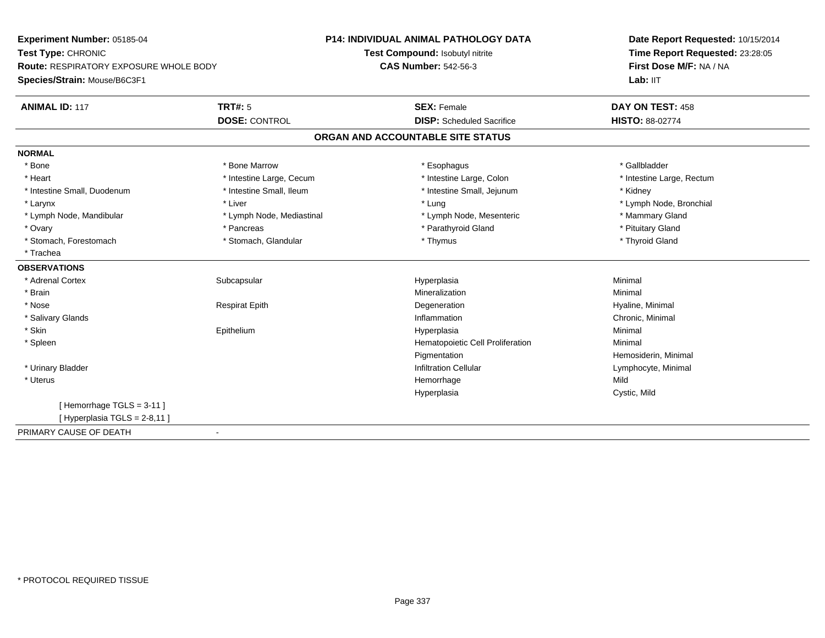| Experiment Number: 05185-04                             | <b>P14: INDIVIDUAL ANIMAL PATHOLOGY DATA</b> | Date Report Requested: 10/15/2014<br>Time Report Requested: 23:28:05<br>First Dose M/F: NA / NA |
|---------------------------------------------------------|----------------------------------------------|-------------------------------------------------------------------------------------------------|
| Test Type: CHRONIC                                      | Test Compound: Isobutyl nitrite              |                                                                                                 |
| Route: RESPIRATORY EXPOSURE WHOLE BODY                  | <b>CAS Number: 542-56-3</b>                  |                                                                                                 |
| Species/Strain: Mouse/B6C3F1                            |                                              | Lab: IIT                                                                                        |
| <b>ANIMAL ID: 117</b><br>TRT#: 5                        | <b>SEX: Female</b>                           | DAY ON TEST: 458                                                                                |
| <b>DOSE: CONTROL</b>                                    | <b>DISP:</b> Scheduled Sacrifice             | <b>HISTO: 88-02774</b>                                                                          |
|                                                         | ORGAN AND ACCOUNTABLE SITE STATUS            |                                                                                                 |
| <b>NORMAL</b>                                           |                                              |                                                                                                 |
| * Bone Marrow<br>* Bone                                 | * Esophagus                                  | * Gallbladder                                                                                   |
| * Heart<br>* Intestine Large, Cecum                     | * Intestine Large, Colon                     | * Intestine Large, Rectum                                                                       |
| * Intestine Small, Ileum<br>* Intestine Small, Duodenum | * Intestine Small, Jejunum                   | * Kidney                                                                                        |
| * Liver<br>* Larynx                                     | * Lung                                       | * Lymph Node, Bronchial                                                                         |
| * Lymph Node, Mandibular<br>* Lymph Node, Mediastinal   | * Lymph Node, Mesenteric                     | * Mammary Gland                                                                                 |
| * Ovary<br>* Pancreas                                   | * Parathyroid Gland                          | * Pituitary Gland                                                                               |
| * Stomach, Glandular<br>* Stomach, Forestomach          | * Thymus                                     | * Thyroid Gland                                                                                 |
| * Trachea                                               |                                              |                                                                                                 |
| <b>OBSERVATIONS</b>                                     |                                              |                                                                                                 |
| * Adrenal Cortex<br>Subcapsular                         | Hyperplasia                                  | Minimal                                                                                         |
| * Brain                                                 | Mineralization                               | Minimal                                                                                         |
| * Nose<br><b>Respirat Epith</b>                         | Degeneration                                 | Hyaline, Minimal                                                                                |
| * Salivary Glands                                       | Inflammation                                 | Chronic, Minimal                                                                                |
| * Skin<br>Epithelium                                    | Hyperplasia                                  | Minimal                                                                                         |
| * Spleen                                                | Hematopoietic Cell Proliferation             | Minimal                                                                                         |
|                                                         | Pigmentation                                 | Hemosiderin, Minimal                                                                            |
| * Urinary Bladder                                       | <b>Infiltration Cellular</b>                 | Lymphocyte, Minimal                                                                             |
| * Uterus                                                | Hemorrhage                                   | Mild                                                                                            |
|                                                         | Hyperplasia                                  | Cystic, Mild                                                                                    |
| [Hemorrhage TGLS = $3-11$ ]                             |                                              |                                                                                                 |
| [Hyperplasia TGLS = 2-8,11]                             |                                              |                                                                                                 |
| PRIMARY CAUSE OF DEATH                                  |                                              |                                                                                                 |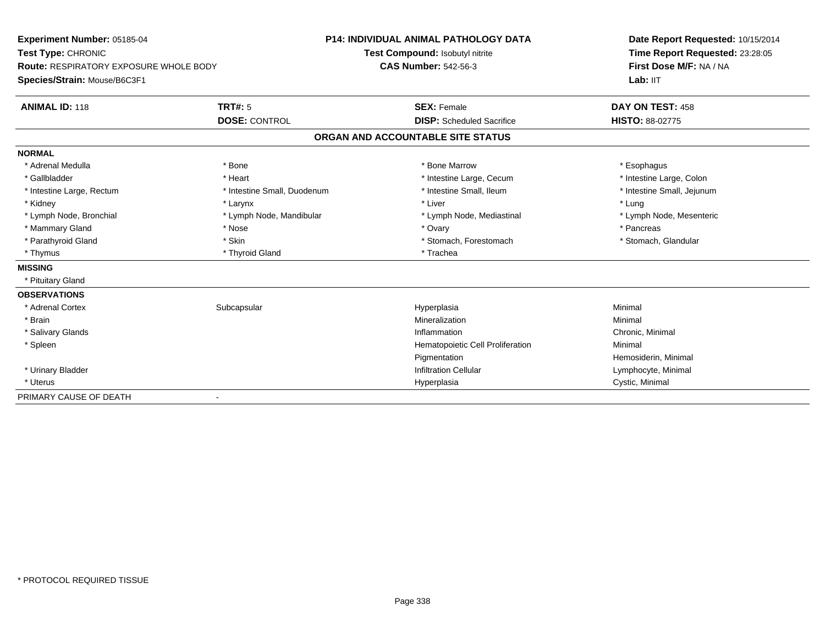| Experiment Number: 05185-04                                         |                             | <b>P14: INDIVIDUAL ANIMAL PATHOLOGY DATA</b> | Date Report Requested: 10/15/2014 |  |
|---------------------------------------------------------------------|-----------------------------|----------------------------------------------|-----------------------------------|--|
| Test Type: CHRONIC<br><b>Route: RESPIRATORY EXPOSURE WHOLE BODY</b> |                             | Test Compound: Isobutyl nitrite              | Time Report Requested: 23:28:05   |  |
|                                                                     |                             | <b>CAS Number: 542-56-3</b>                  | First Dose M/F: NA / NA           |  |
| Species/Strain: Mouse/B6C3F1                                        |                             |                                              | Lab: $III$                        |  |
| <b>ANIMAL ID: 118</b>                                               | TRT#: 5                     | <b>SEX: Female</b>                           | DAY ON TEST: 458                  |  |
|                                                                     | <b>DOSE: CONTROL</b>        | <b>DISP:</b> Scheduled Sacrifice             | <b>HISTO: 88-02775</b>            |  |
|                                                                     |                             | ORGAN AND ACCOUNTABLE SITE STATUS            |                                   |  |
| <b>NORMAL</b>                                                       |                             |                                              |                                   |  |
| * Adrenal Medulla                                                   | * Bone                      | * Bone Marrow                                | * Esophagus                       |  |
| * Gallbladder                                                       | * Heart                     | * Intestine Large, Cecum                     | * Intestine Large, Colon          |  |
| * Intestine Large, Rectum                                           | * Intestine Small, Duodenum | * Intestine Small. Ileum                     | * Intestine Small, Jejunum        |  |
| * Kidney                                                            | * Larynx                    | * Liver                                      | * Lung                            |  |
| * Lymph Node, Bronchial                                             | * Lymph Node, Mandibular    | * Lymph Node, Mediastinal                    | * Lymph Node, Mesenteric          |  |
| * Mammary Gland                                                     | * Nose                      | * Ovary                                      | * Pancreas                        |  |
| * Parathyroid Gland                                                 | * Skin                      | * Stomach, Forestomach                       | * Stomach, Glandular              |  |
| * Thymus                                                            | * Thyroid Gland             | * Trachea                                    |                                   |  |
| <b>MISSING</b>                                                      |                             |                                              |                                   |  |
| * Pituitary Gland                                                   |                             |                                              |                                   |  |
| <b>OBSERVATIONS</b>                                                 |                             |                                              |                                   |  |
| * Adrenal Cortex                                                    | Subcapsular                 | Hyperplasia                                  | Minimal                           |  |
| * Brain                                                             |                             | Mineralization                               | Minimal                           |  |
| * Salivary Glands                                                   |                             | Inflammation                                 | Chronic, Minimal                  |  |
| * Spleen                                                            |                             | Hematopoietic Cell Proliferation             | Minimal                           |  |
|                                                                     |                             | Pigmentation                                 | Hemosiderin, Minimal              |  |
| * Urinary Bladder                                                   |                             | <b>Infiltration Cellular</b>                 | Lymphocyte, Minimal               |  |
| * Uterus                                                            |                             | Hyperplasia                                  | Cystic, Minimal                   |  |
| PRIMARY CAUSE OF DEATH                                              |                             |                                              |                                   |  |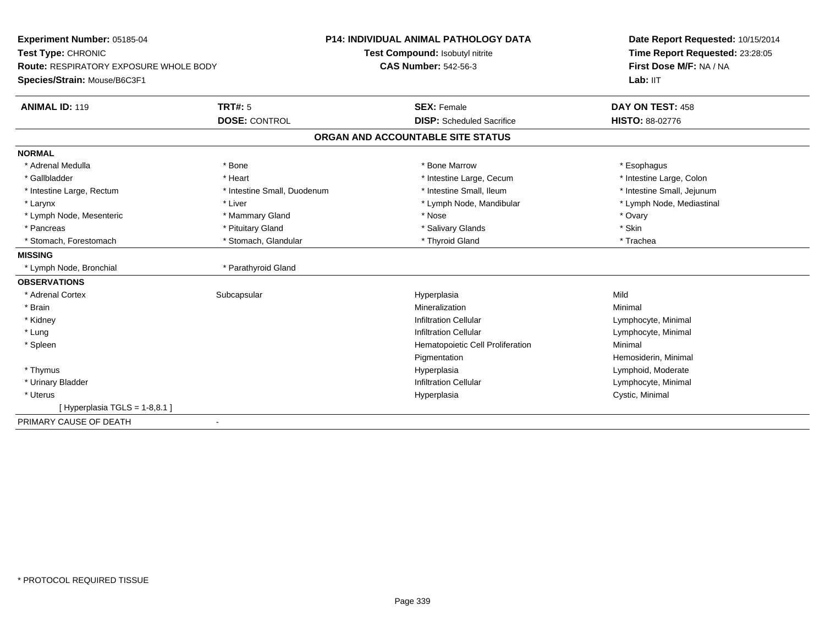| Experiment Number: 05185-04                   |                             | P14: INDIVIDUAL ANIMAL PATHOLOGY DATA | Date Report Requested: 10/15/2014<br>Time Report Requested: 23:28:05<br>First Dose M/F: NA / NA |
|-----------------------------------------------|-----------------------------|---------------------------------------|-------------------------------------------------------------------------------------------------|
| Test Type: CHRONIC                            |                             | Test Compound: Isobutyl nitrite       |                                                                                                 |
| <b>Route: RESPIRATORY EXPOSURE WHOLE BODY</b> |                             | <b>CAS Number: 542-56-3</b>           |                                                                                                 |
| Species/Strain: Mouse/B6C3F1                  |                             |                                       | Lab: IIT                                                                                        |
| <b>ANIMAL ID: 119</b>                         | TRT#: 5                     | <b>SEX: Female</b>                    | DAY ON TEST: 458                                                                                |
|                                               | <b>DOSE: CONTROL</b>        | <b>DISP:</b> Scheduled Sacrifice      | <b>HISTO: 88-02776</b>                                                                          |
|                                               |                             | ORGAN AND ACCOUNTABLE SITE STATUS     |                                                                                                 |
| <b>NORMAL</b>                                 |                             |                                       |                                                                                                 |
| * Adrenal Medulla                             | * Bone                      | * Bone Marrow                         | * Esophagus                                                                                     |
| * Gallbladder                                 | * Heart                     | * Intestine Large, Cecum              | * Intestine Large, Colon                                                                        |
| * Intestine Large, Rectum                     | * Intestine Small, Duodenum | * Intestine Small. Ileum              | * Intestine Small, Jejunum                                                                      |
| * Larynx                                      | * Liver                     | * Lymph Node, Mandibular              | * Lymph Node, Mediastinal                                                                       |
| * Lymph Node, Mesenteric                      | * Mammary Gland             | * Nose                                | * Ovary                                                                                         |
| * Pancreas                                    | * Pituitary Gland           | * Salivary Glands                     | * Skin                                                                                          |
| * Stomach, Forestomach                        | * Stomach, Glandular        | * Thyroid Gland                       | * Trachea                                                                                       |
| <b>MISSING</b>                                |                             |                                       |                                                                                                 |
| * Lymph Node, Bronchial                       | * Parathyroid Gland         |                                       |                                                                                                 |
| <b>OBSERVATIONS</b>                           |                             |                                       |                                                                                                 |
| * Adrenal Cortex                              | Subcapsular                 | Hyperplasia                           | Mild                                                                                            |
| * Brain                                       |                             | Mineralization                        | Minimal                                                                                         |
| * Kidney                                      |                             | <b>Infiltration Cellular</b>          | Lymphocyte, Minimal                                                                             |
| * Lung                                        |                             | Infiltration Cellular                 | Lymphocyte, Minimal                                                                             |
| * Spleen                                      |                             | Hematopoietic Cell Proliferation      | Minimal                                                                                         |
|                                               |                             | Pigmentation                          | Hemosiderin, Minimal                                                                            |
| * Thymus                                      |                             | Hyperplasia                           | Lymphoid, Moderate                                                                              |
| * Urinary Bladder                             |                             | <b>Infiltration Cellular</b>          | Lymphocyte, Minimal                                                                             |
| * Uterus                                      |                             | Hyperplasia                           | Cystic, Minimal                                                                                 |
| [Hyperplasia TGLS = $1-8,8.1$ ]               |                             |                                       |                                                                                                 |
| PRIMARY CAUSE OF DEATH                        | $\blacksquare$              |                                       |                                                                                                 |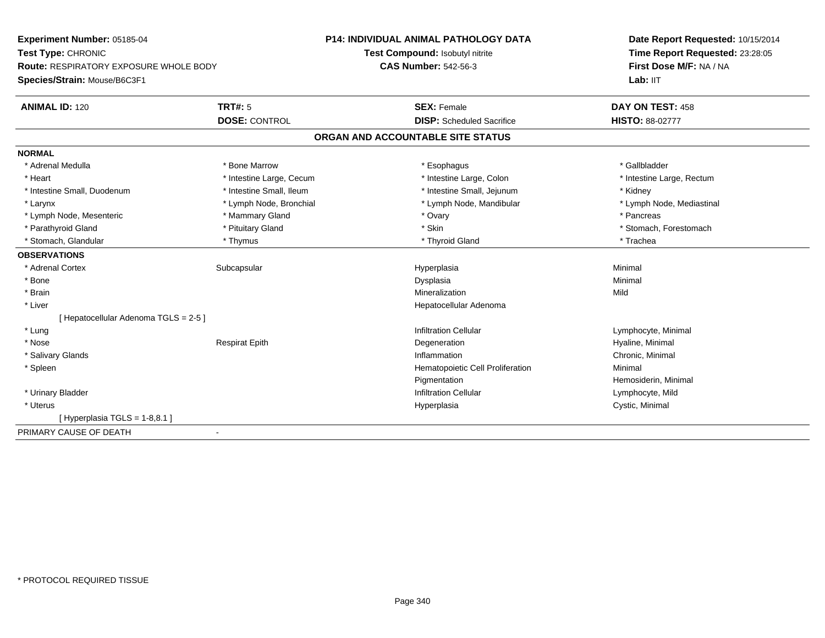| Experiment Number: 05185-04<br>Test Type: CHRONIC<br>Route: RESPIRATORY EXPOSURE WHOLE BODY |                          | <b>P14: INDIVIDUAL ANIMAL PATHOLOGY DATA</b> | Date Report Requested: 10/15/2014<br>Time Report Requested: 23:28:05<br>First Dose M/F: NA / NA |
|---------------------------------------------------------------------------------------------|--------------------------|----------------------------------------------|-------------------------------------------------------------------------------------------------|
|                                                                                             |                          | Test Compound: Isobutyl nitrite              |                                                                                                 |
|                                                                                             |                          | <b>CAS Number: 542-56-3</b>                  |                                                                                                 |
| Species/Strain: Mouse/B6C3F1                                                                |                          |                                              | Lab: IIT                                                                                        |
| <b>ANIMAL ID: 120</b>                                                                       | <b>TRT#: 5</b>           | <b>SEX: Female</b>                           | DAY ON TEST: 458                                                                                |
|                                                                                             | <b>DOSE: CONTROL</b>     | <b>DISP:</b> Scheduled Sacrifice             | <b>HISTO: 88-02777</b>                                                                          |
|                                                                                             |                          | ORGAN AND ACCOUNTABLE SITE STATUS            |                                                                                                 |
| <b>NORMAL</b>                                                                               |                          |                                              |                                                                                                 |
| * Adrenal Medulla                                                                           | * Bone Marrow            | * Esophagus                                  | * Gallbladder                                                                                   |
| * Heart                                                                                     | * Intestine Large, Cecum | * Intestine Large, Colon                     | * Intestine Large, Rectum                                                                       |
| * Intestine Small, Duodenum                                                                 | * Intestine Small, Ileum | * Intestine Small, Jejunum                   | * Kidney                                                                                        |
| * Larynx                                                                                    | * Lymph Node, Bronchial  | * Lymph Node, Mandibular                     | * Lymph Node, Mediastinal                                                                       |
| * Lymph Node, Mesenteric                                                                    | * Mammary Gland          | * Ovary                                      | * Pancreas                                                                                      |
| * Parathyroid Gland                                                                         | * Pituitary Gland        | * Skin                                       | * Stomach, Forestomach                                                                          |
| * Stomach, Glandular                                                                        | * Thymus                 | * Thyroid Gland                              | * Trachea                                                                                       |
| <b>OBSERVATIONS</b>                                                                         |                          |                                              |                                                                                                 |
| * Adrenal Cortex                                                                            | Subcapsular              | Hyperplasia                                  | Minimal                                                                                         |
| * Bone                                                                                      |                          | Dysplasia                                    | Minimal                                                                                         |
| * Brain                                                                                     |                          | Mineralization                               | Mild                                                                                            |
| * Liver                                                                                     |                          | Hepatocellular Adenoma                       |                                                                                                 |
| [ Hepatocellular Adenoma TGLS = 2-5 ]                                                       |                          |                                              |                                                                                                 |
| * Lung                                                                                      |                          | <b>Infiltration Cellular</b>                 | Lymphocyte, Minimal                                                                             |
| * Nose                                                                                      | <b>Respirat Epith</b>    | Degeneration                                 | Hyaline, Minimal                                                                                |
| * Salivary Glands                                                                           |                          | Inflammation                                 | Chronic, Minimal                                                                                |
| * Spleen                                                                                    |                          | Hematopoietic Cell Proliferation             | Minimal                                                                                         |
|                                                                                             |                          | Pigmentation                                 | Hemosiderin, Minimal                                                                            |
| * Urinary Bladder                                                                           |                          | <b>Infiltration Cellular</b>                 | Lymphocyte, Mild                                                                                |
| * Uterus                                                                                    |                          | Hyperplasia                                  | Cystic, Minimal                                                                                 |
| [Hyperplasia TGLS = 1-8,8.1]                                                                |                          |                                              |                                                                                                 |
| PRIMARY CAUSE OF DEATH                                                                      | $\blacksquare$           |                                              |                                                                                                 |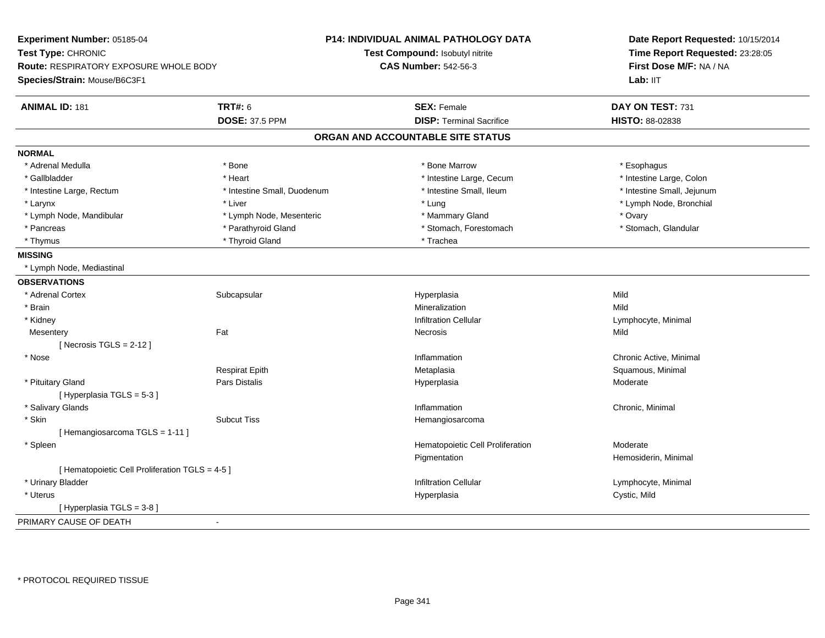| Experiment Number: 05185-04                     |                             | <b>P14: INDIVIDUAL ANIMAL PATHOLOGY DATA</b> | Date Report Requested: 10/15/2014<br>Time Report Requested: 23:28:05<br>First Dose M/F: NA / NA |  |
|-------------------------------------------------|-----------------------------|----------------------------------------------|-------------------------------------------------------------------------------------------------|--|
| Test Type: CHRONIC                              |                             | <b>Test Compound: Isobutyl nitrite</b>       |                                                                                                 |  |
| Route: RESPIRATORY EXPOSURE WHOLE BODY          |                             | <b>CAS Number: 542-56-3</b>                  |                                                                                                 |  |
| Species/Strain: Mouse/B6C3F1                    |                             |                                              | Lab: II <sub>T</sub>                                                                            |  |
| <b>ANIMAL ID: 181</b>                           | <b>TRT#: 6</b>              | <b>SEX: Female</b>                           | DAY ON TEST: 731                                                                                |  |
|                                                 | <b>DOSE: 37.5 PPM</b>       | <b>DISP: Terminal Sacrifice</b>              | HISTO: 88-02838                                                                                 |  |
|                                                 |                             | ORGAN AND ACCOUNTABLE SITE STATUS            |                                                                                                 |  |
| <b>NORMAL</b>                                   |                             |                                              |                                                                                                 |  |
| * Adrenal Medulla                               | * Bone                      | * Bone Marrow                                | * Esophagus                                                                                     |  |
| * Gallbladder                                   | * Heart                     | * Intestine Large, Cecum                     | * Intestine Large, Colon                                                                        |  |
| * Intestine Large, Rectum                       | * Intestine Small, Duodenum | * Intestine Small, Ileum                     | * Intestine Small, Jejunum                                                                      |  |
| * Larynx                                        | * Liver                     | * Lung                                       | * Lymph Node, Bronchial                                                                         |  |
| * Lymph Node, Mandibular                        | * Lymph Node, Mesenteric    | * Mammary Gland                              | * Ovary                                                                                         |  |
| * Pancreas                                      | * Parathyroid Gland         | * Stomach, Forestomach                       | * Stomach, Glandular                                                                            |  |
| * Thymus                                        | * Thyroid Gland             | * Trachea                                    |                                                                                                 |  |
| <b>MISSING</b>                                  |                             |                                              |                                                                                                 |  |
| * Lymph Node, Mediastinal                       |                             |                                              |                                                                                                 |  |
| <b>OBSERVATIONS</b>                             |                             |                                              |                                                                                                 |  |
| * Adrenal Cortex                                | Subcapsular                 | Hyperplasia                                  | Mild                                                                                            |  |
| * Brain                                         |                             | Mineralization                               | Mild                                                                                            |  |
| * Kidney                                        |                             | <b>Infiltration Cellular</b>                 | Lymphocyte, Minimal                                                                             |  |
| Mesentery                                       | Fat                         | Necrosis                                     | Mild                                                                                            |  |
| [Necrosis TGLS = $2-12$ ]                       |                             |                                              |                                                                                                 |  |
| * Nose                                          |                             | Inflammation                                 | Chronic Active, Minimal                                                                         |  |
|                                                 | Respirat Epith              | Metaplasia                                   | Squamous, Minimal                                                                               |  |
| * Pituitary Gland                               | Pars Distalis               | Hyperplasia                                  | Moderate                                                                                        |  |
| [Hyperplasia TGLS = 5-3]                        |                             |                                              |                                                                                                 |  |
| * Salivary Glands                               |                             | Inflammation                                 | Chronic, Minimal                                                                                |  |
| * Skin                                          | <b>Subcut Tiss</b>          | Hemangiosarcoma                              |                                                                                                 |  |
| [Hemangiosarcoma TGLS = 1-11]                   |                             |                                              |                                                                                                 |  |
| $*$ Spleen                                      |                             | Hematopoietic Cell Proliferation             | Moderate                                                                                        |  |
|                                                 |                             | Pigmentation                                 | Hemosiderin, Minimal                                                                            |  |
| [ Hematopoietic Cell Proliferation TGLS = 4-5 ] |                             |                                              |                                                                                                 |  |
| * Urinary Bladder                               |                             | <b>Infiltration Cellular</b>                 | Lymphocyte, Minimal                                                                             |  |
| * Uterus                                        |                             | Hyperplasia                                  | Cystic, Mild                                                                                    |  |
| [ Hyperplasia TGLS = 3-8]                       |                             |                                              |                                                                                                 |  |
| PRIMARY CAUSE OF DEATH                          | ÷,                          |                                              |                                                                                                 |  |
|                                                 |                             |                                              |                                                                                                 |  |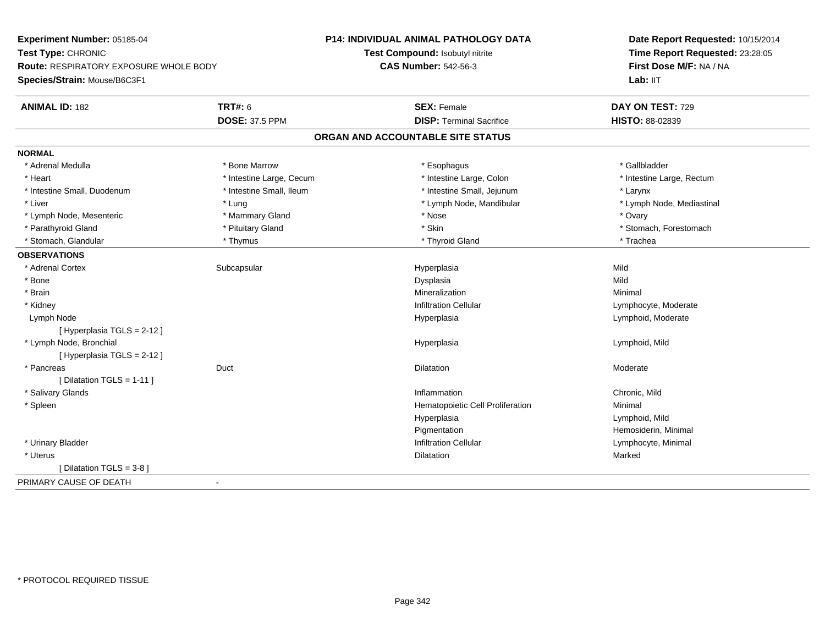**Experiment Number:** 05185-04**Test Type:** CHRONIC **Route:** RESPIRATORY EXPOSURE WHOLE BODY**Species/Strain:** Mouse/B6C3F1**P14: INDIVIDUAL ANIMAL PATHOLOGY DATATest Compound:** Isobutyl nitrite**CAS Number:** 542-56-3**Date Report Requested:** 10/15/2014**Time Report Requested:** 23:28:05**First Dose M/F:** NA / NALab: IIT **ANIMAL ID:** 182**TRT#:** 6 **SEX:** Female **SEX: Female DAY ON TEST:** 729 **DOSE:** 37.5 PPM**DISP:** Terminal Sacrifice **HISTO:** 88-02839 **ORGAN AND ACCOUNTABLE SITE STATUSNORMAL**\* Adrenal Medulla \* Adrenal Medulla \* \* \* Bone Marrow \* \* Bone Marrow \* \* Esophagus \* \* Ether \* Gallbladder \* \* Gallbladder \* \* Gallbladder \* \* Gallbladder \* \* Gallbladder \* \* Gallbladder \* \* Gallbladder \* \* Bone Marrow \* \* Bone Marrow \* \* \* Heart **\*** Intestine Large, Cecum **\* Intestine Large, Cecum** \* Intestine Large, Colon \* Intestine Large, Rectum \* Intestine Large, Rectum \* Intestine Small, Duodenum \* Intestine Small, Ileum \* Intestine Small, Jejunum \* Larynx\* Lymph Node, Mediastinal \* Liver \* Lung \* Lung \* Lung \* Lung \* Lymph Node, Mandibular \* Lymph Node, Mandibular \* Lymph Node, Mesenteric \* \* \* Mammary Gland \* \* Nose \* Nose \* 0vary \* Ovary \* Ovary \* Ovary \* Parathyroid Gland \* \* Pituitary Gland \* Pituitary Gland \* Skin \* Skin \* Stomach, Forestomach \* Stomach, Glandular \* Thymus \* Thyroid Gland \* Trachea**OBSERVATIONS** \* Adrenal Cortexx Subcapsular Suberty Subsets and the Hyperplasia a Mild \* Bonee and the state of the state of the state of the Superior Control of the Superior Control of the Mild of the Superior Control of the Superior Control of the Superior Control of the Superior Control of the Superior Control \* Brainn and the controller of the controller of the Mineralization and the controller of the Minimal of the Minimal <br>The Minimal of the controller of the controller of the controller of the controller of the controller of the c \* KidneyInfiltration Cellular **Lymphocyte**, Moderate Lymph Nodee entry and the settlement of the controller of the Hyperplasia controller to the Lymphoid, Moderate  $\epsilon$ [ Hyperplasia TGLS = 2-12 ] \* Lymph Node, Bronchial Hyperplasia Lymphoid, Mild [ Hyperplasia TGLS = 2-12 ] \* Pancreas Duct Dilatationn Moderate  $[$  Dilatation TGLS = 1-11  $]$  \* Salivary Glandss and the contract of the contract of the contract of the contract of the contract of the contract of the contract of the contract of the contract of the contract of the contract of the contract of the contract of the cont Inflammation **Chronic**, Mild \* SpleenHematopoietic Cell Proliferation Minimal Hyperplasia Lymphoid, Mild PigmentationPigmentation<br>
Infiltration Cellular<br>
Infiltration Cellular<br>
Composition Cellular \* Urinary BladderLymphocyte, Minimal \* Uteruss and the contract of the contract of the contract of the contract of the contract of the contract of the contract of the contract of the contract of the contract of the contract of the contract of the contract of the cont n Marked Marked Structure of the Marked Marked Structure of the Marked Structure of the Marked Structure of th [ Dilatation TGLS = 3-8 ]PRIMARY CAUSE OF DEATH-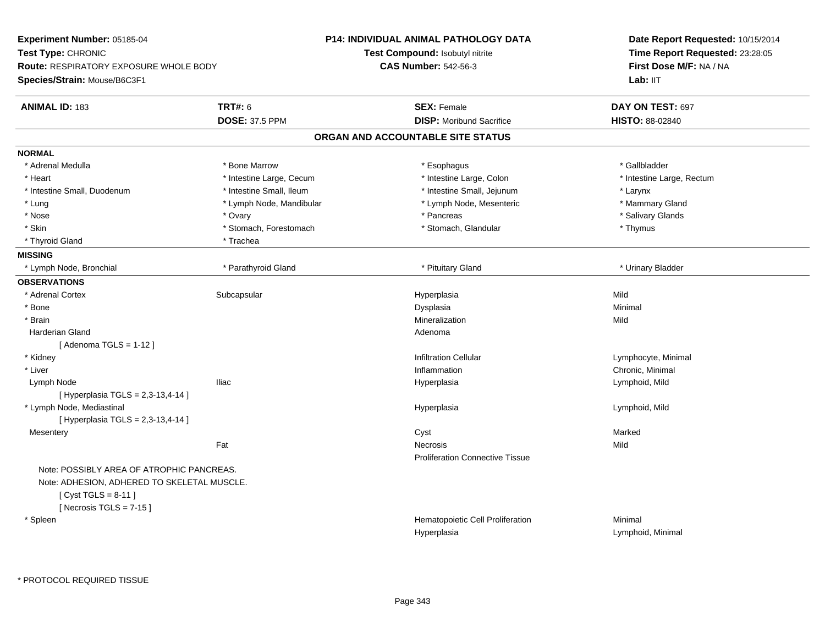| Experiment Number: 05185-04                 |                          | <b>P14: INDIVIDUAL ANIMAL PATHOLOGY DATA</b> | Date Report Requested: 10/15/2014                                      |
|---------------------------------------------|--------------------------|----------------------------------------------|------------------------------------------------------------------------|
| Test Type: CHRONIC                          |                          | Test Compound: Isobutyl nitrite              | Time Report Requested: 23:28:05<br>First Dose M/F: NA / NA<br>Lab: IIT |
| Route: RESPIRATORY EXPOSURE WHOLE BODY      |                          | <b>CAS Number: 542-56-3</b>                  |                                                                        |
| Species/Strain: Mouse/B6C3F1                |                          |                                              |                                                                        |
| <b>ANIMAL ID: 183</b>                       | <b>TRT#: 6</b>           | <b>SEX: Female</b>                           | DAY ON TEST: 697                                                       |
|                                             | <b>DOSE: 37.5 PPM</b>    | <b>DISP:</b> Moribund Sacrifice              | HISTO: 88-02840                                                        |
|                                             |                          | ORGAN AND ACCOUNTABLE SITE STATUS            |                                                                        |
| <b>NORMAL</b>                               |                          |                                              |                                                                        |
| * Adrenal Medulla                           | * Bone Marrow            | * Esophagus                                  | * Gallbladder                                                          |
| * Heart                                     | * Intestine Large, Cecum | * Intestine Large, Colon                     | * Intestine Large, Rectum                                              |
| * Intestine Small, Duodenum                 | * Intestine Small, Ileum | * Intestine Small, Jejunum                   | * Larynx                                                               |
| * Lung                                      | * Lymph Node, Mandibular | * Lymph Node, Mesenteric                     | * Mammary Gland                                                        |
| * Nose                                      | * Ovary                  | * Pancreas                                   | * Salivary Glands                                                      |
| * Skin                                      | * Stomach, Forestomach   | * Stomach, Glandular                         | * Thymus                                                               |
| * Thyroid Gland                             | * Trachea                |                                              |                                                                        |
| <b>MISSING</b>                              |                          |                                              |                                                                        |
| * Lymph Node, Bronchial                     | * Parathyroid Gland      | * Pituitary Gland                            | * Urinary Bladder                                                      |
| <b>OBSERVATIONS</b>                         |                          |                                              |                                                                        |
| * Adrenal Cortex                            | Subcapsular              | Hyperplasia                                  | Mild                                                                   |
| * Bone                                      |                          | Dysplasia                                    | Minimal                                                                |
| * Brain                                     |                          | Mineralization                               | Mild                                                                   |
| <b>Harderian Gland</b>                      |                          | Adenoma                                      |                                                                        |
| [Adenoma TGLS = $1-12$ ]                    |                          |                                              |                                                                        |
| * Kidney                                    |                          | <b>Infiltration Cellular</b>                 | Lymphocyte, Minimal                                                    |
| * Liver                                     |                          | Inflammation                                 | Chronic, Minimal                                                       |
| Lymph Node                                  | <b>Iliac</b>             | Hyperplasia                                  | Lymphoid, Mild                                                         |
| [ Hyperplasia TGLS = 2,3-13,4-14 ]          |                          |                                              |                                                                        |
| * Lymph Node, Mediastinal                   |                          | Hyperplasia                                  | Lymphoid, Mild                                                         |
| [ Hyperplasia TGLS = 2,3-13,4-14 ]          |                          |                                              |                                                                        |
| Mesentery                                   |                          | Cyst                                         | Marked                                                                 |
|                                             | Fat                      | <b>Necrosis</b>                              | Mild                                                                   |
|                                             |                          | <b>Proliferation Connective Tissue</b>       |                                                                        |
| Note: POSSIBLY AREA OF ATROPHIC PANCREAS.   |                          |                                              |                                                                        |
| Note: ADHESION, ADHERED TO SKELETAL MUSCLE. |                          |                                              |                                                                        |
| [ $Cyst TGLS = 8-11$ ]                      |                          |                                              |                                                                        |
| [Necrosis TGLS = $7-15$ ]                   |                          |                                              |                                                                        |
| * Spleen                                    |                          | Hematopoietic Cell Proliferation             | Minimal                                                                |
|                                             |                          | Hyperplasia                                  | Lymphoid, Minimal                                                      |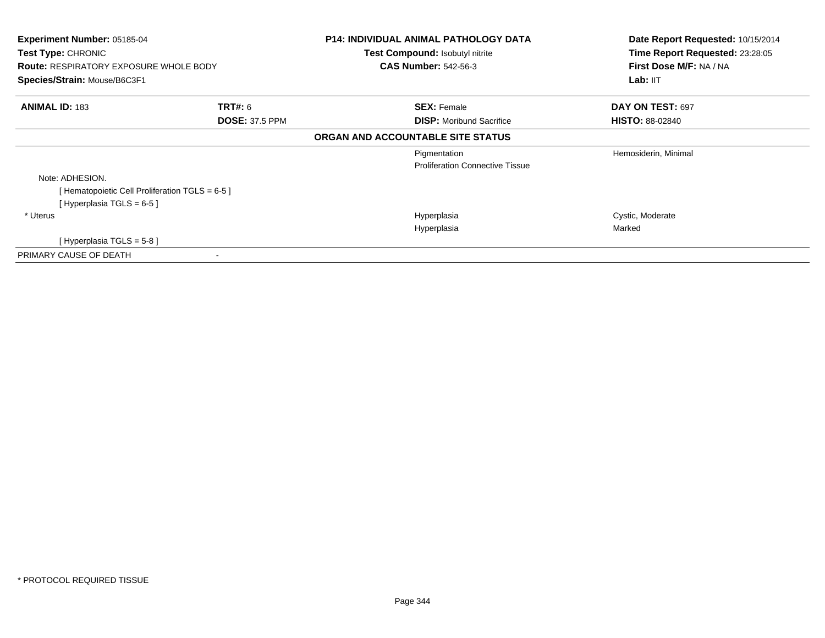| <b>Experiment Number: 05185-04</b><br>Test Type: CHRONIC<br><b>Route: RESPIRATORY EXPOSURE WHOLE BODY</b> |                       | <b>P14: INDIVIDUAL ANIMAL PATHOLOGY DATA</b><br><b>Test Compound: Isobutyl nitrite</b><br><b>CAS Number: 542-56-3</b> | Date Report Requested: 10/15/2014<br>Time Report Requested: 23:28:05<br>First Dose M/F: NA / NA |
|-----------------------------------------------------------------------------------------------------------|-----------------------|-----------------------------------------------------------------------------------------------------------------------|-------------------------------------------------------------------------------------------------|
| Species/Strain: Mouse/B6C3F1                                                                              |                       |                                                                                                                       | Lab: II <sub>T</sub>                                                                            |
| <b>ANIMAL ID: 183</b>                                                                                     | <b>TRT#: 6</b>        | <b>SEX: Female</b>                                                                                                    | DAY ON TEST: 697                                                                                |
|                                                                                                           | <b>DOSE: 37.5 PPM</b> | <b>DISP:</b> Moribund Sacrifice                                                                                       | <b>HISTO: 88-02840</b>                                                                          |
|                                                                                                           |                       | ORGAN AND ACCOUNTABLE SITE STATUS                                                                                     |                                                                                                 |
|                                                                                                           |                       | Pigmentation                                                                                                          | Hemosiderin, Minimal                                                                            |
|                                                                                                           |                       | <b>Proliferation Connective Tissue</b>                                                                                |                                                                                                 |
| Note: ADHESION.                                                                                           |                       |                                                                                                                       |                                                                                                 |
| [Hematopoietic Cell Proliferation TGLS = 6-5 ]                                                            |                       |                                                                                                                       |                                                                                                 |
| [Hyperplasia TGLS = 6-5 ]                                                                                 |                       |                                                                                                                       |                                                                                                 |
| * Uterus                                                                                                  |                       | Hyperplasia                                                                                                           | Cystic, Moderate                                                                                |
|                                                                                                           |                       | Hyperplasia                                                                                                           | Marked                                                                                          |
| [Hyperplasia TGLS = 5-8 ]                                                                                 |                       |                                                                                                                       |                                                                                                 |
| PRIMARY CAUSE OF DEATH                                                                                    |                       |                                                                                                                       |                                                                                                 |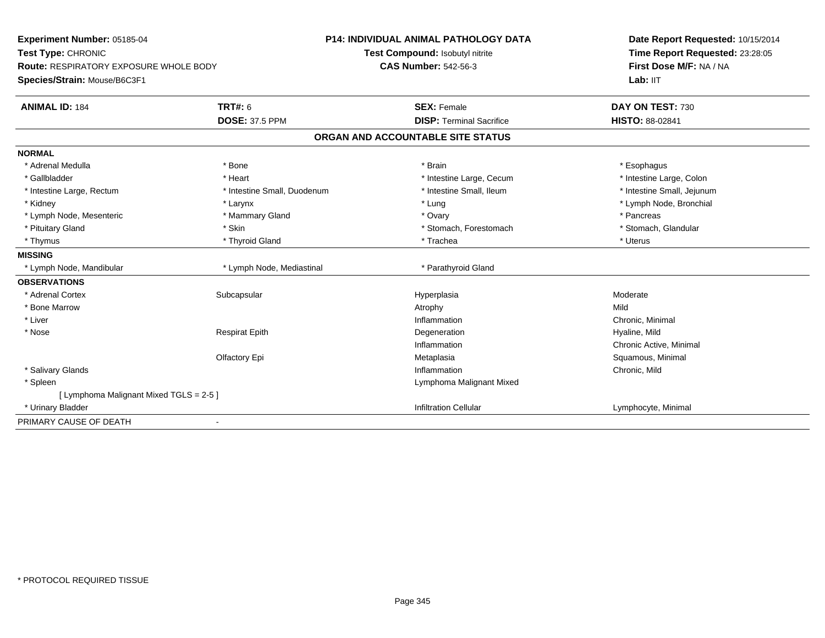| Experiment Number: 05185-04                   |                             | <b>P14: INDIVIDUAL ANIMAL PATHOLOGY DATA</b> | Date Report Requested: 10/15/2014<br>Time Report Requested: 23:28:05<br>First Dose M/F: NA / NA |
|-----------------------------------------------|-----------------------------|----------------------------------------------|-------------------------------------------------------------------------------------------------|
| Test Type: CHRONIC                            |                             | Test Compound: Isobutyl nitrite              |                                                                                                 |
| <b>Route: RESPIRATORY EXPOSURE WHOLE BODY</b> |                             | <b>CAS Number: 542-56-3</b>                  |                                                                                                 |
| Species/Strain: Mouse/B6C3F1                  |                             |                                              | Lab: IIT                                                                                        |
| <b>ANIMAL ID: 184</b>                         | <b>TRT#: 6</b>              | <b>SEX: Female</b>                           | DAY ON TEST: 730                                                                                |
|                                               | <b>DOSE: 37.5 PPM</b>       | <b>DISP: Terminal Sacrifice</b>              | HISTO: 88-02841                                                                                 |
|                                               |                             | ORGAN AND ACCOUNTABLE SITE STATUS            |                                                                                                 |
| <b>NORMAL</b>                                 |                             |                                              |                                                                                                 |
| * Adrenal Medulla                             | * Bone                      | * Brain                                      | * Esophagus                                                                                     |
| * Gallbladder                                 | * Heart                     | * Intestine Large, Cecum                     | * Intestine Large, Colon                                                                        |
| * Intestine Large, Rectum                     | * Intestine Small, Duodenum | * Intestine Small, Ileum                     | * Intestine Small, Jejunum                                                                      |
| * Kidney                                      | * Larynx                    | * Lung                                       | * Lymph Node, Bronchial                                                                         |
| * Lymph Node, Mesenteric                      | * Mammary Gland             | * Ovary                                      | * Pancreas                                                                                      |
| * Pituitary Gland                             | * Skin                      | * Stomach, Forestomach                       | * Stomach, Glandular                                                                            |
| * Thymus                                      | * Thyroid Gland             | * Trachea                                    | * Uterus                                                                                        |
| <b>MISSING</b>                                |                             |                                              |                                                                                                 |
| * Lymph Node, Mandibular                      | * Lymph Node, Mediastinal   | * Parathyroid Gland                          |                                                                                                 |
| <b>OBSERVATIONS</b>                           |                             |                                              |                                                                                                 |
| * Adrenal Cortex                              | Subcapsular                 | Hyperplasia                                  | Moderate                                                                                        |
| * Bone Marrow                                 |                             | Atrophy                                      | Mild                                                                                            |
| * Liver                                       |                             | Inflammation                                 | Chronic, Minimal                                                                                |
| * Nose                                        | <b>Respirat Epith</b>       | Degeneration                                 | Hyaline, Mild                                                                                   |
|                                               |                             | Inflammation                                 | Chronic Active, Minimal                                                                         |
|                                               | Olfactory Epi               | Metaplasia                                   | Squamous, Minimal                                                                               |
| * Salivary Glands                             |                             | Inflammation                                 | Chronic, Mild                                                                                   |
| * Spleen                                      |                             | Lymphoma Malignant Mixed                     |                                                                                                 |
| [ Lymphoma Malignant Mixed TGLS = 2-5 ]       |                             |                                              |                                                                                                 |
| * Urinary Bladder                             |                             | <b>Infiltration Cellular</b>                 | Lymphocyte, Minimal                                                                             |
| PRIMARY CAUSE OF DEATH                        |                             |                                              |                                                                                                 |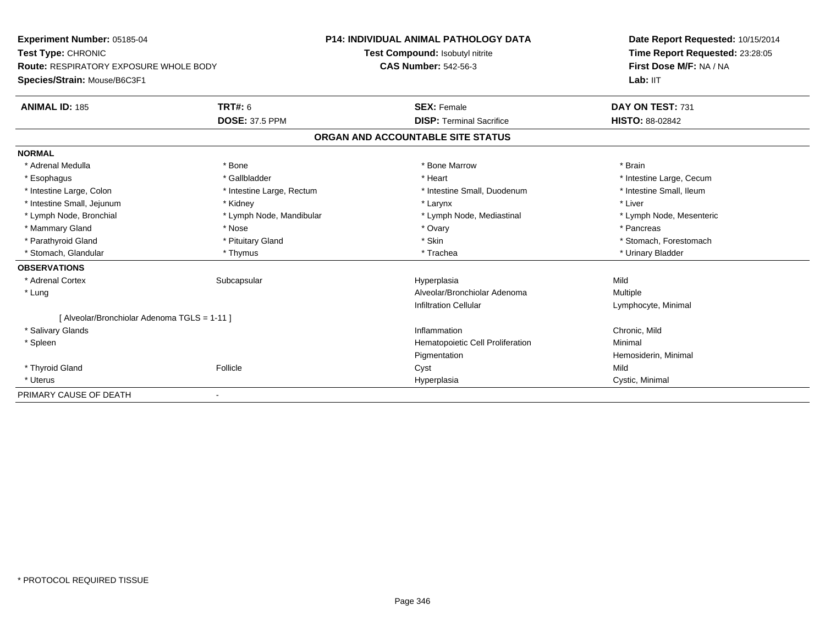**Experiment Number:** 05185-04**Test Type:** CHRONIC **Route:** RESPIRATORY EXPOSURE WHOLE BODY**Species/Strain:** Mouse/B6C3F1**P14: INDIVIDUAL ANIMAL PATHOLOGY DATATest Compound:** Isobutyl nitrite**CAS Number:** 542-56-3**Date Report Requested:** 10/15/2014**Time Report Requested:** 23:28:05**First Dose M/F:** NA / NA**Lab:** IIT**ANIMAL ID:** 185 **TRT#:** <sup>6</sup> **SEX:** Female **DAY ON TEST:** <sup>731</sup> **DOSE:** 37.5 PPM **DISP:** Terminal Sacrifice **HISTO:** 88-02842 **ORGAN AND ACCOUNTABLE SITE STATUSNORMAL**\* Adrenal Medulla \* \* Annual Medulla \* Brain \* Bone \* \* Bone Marrow \* Bone Marrow \* \* Brain \* Brain \* Brain \* Brain \* Brain \* Brain \* Brain \* Brain \* Brain \* Brain \* Brain \* Brain \* Brain \* Brain \* Brain \* Brain \* Brain \* \* Esophagus \* https://www.fragustage.com/web/2019/heart \* Heart \* Heart \* Heart \* Intestine Large, Cecum \* Intestine Large, Cecum \* Sallbladder \* The state of the state of the state of the state of the state of the state o \* Intestine Small, Ileum \* Intestine Large, Colon \* Intestine Large, Rectum \* Intestine Small, Duodenum \* Intestine Small, Duodenum \* Intestine Small, Jejunum \* \* Widney \* Kidney \* Larynx \* Larynx \* Larynx \* Larynx \* Liver \* Liver \* Lymph Node, Bronchial \* Lymph Node, Mandibular \* Lymph Node, Mediastinal \* Lymph Node, Mesenteric\* Mammary Gland \* \* Andrew \* Nose \* \* Nose \* \* Ovary \* Ovary \* Ovary \* \* Ovary \* \* Pancreas \* \* Pancreas \* \* Pancreas \* \* Pancreas \* \* Pancreas \* \* Pancreas \* \* Pancreas \* \* Pancreas \* \* Pancreas \* \* Pancreas \* \* Pancreas \* Stomach. Forestomach \* Parathyroid Gland \* **And The Contract Contract Contract Contract Contract Contract Contract Contract Contract Contract Contract Contract Contract Contract Contract Contract Contract Contract Contract Contract Contract Co** \* Stomach, Glandular \* Thymus \* Thymus \* Thymus \* Trachea \* Trachea \* Trachea \* Urinary Bladder **OBSERVATIONS** \* Adrenal Cortexx Subcapsular Suberty Subsets and the Hyperplasia a Mild \* LungAlveolar/Bronchiolar Adenoma<br>
Multiple Infiltration Cellular Lymphocyte, Minimal [ Alveolar/Bronchiolar Adenoma TGLS = 1-11 ] \* Salivary Glandss and the contract of the contract of the contract of the contract of the contract of the contract of the contract of the contract of the contract of the contract of the contract of the contract of the contract of the cont Inflammation **Chronic, Mild**<br> **Chronic, Mild**<br> **Chronic Cell Proliferation Chronic Milimal**  \* SpleenHematopoietic Cell Proliferation Pigmentation Hemosiderin, Minimal \* Thyroid Gland Follicle Cyst Mild \* Uteruss and the contract of the contract of the contract of the contract of the contract of the contract of the contract of the contract of the contract of the contract of the contract of the contract of the contract of the cont Hyperplasia **Cystic, Minimal** PRIMARY CAUSE OF DEATH-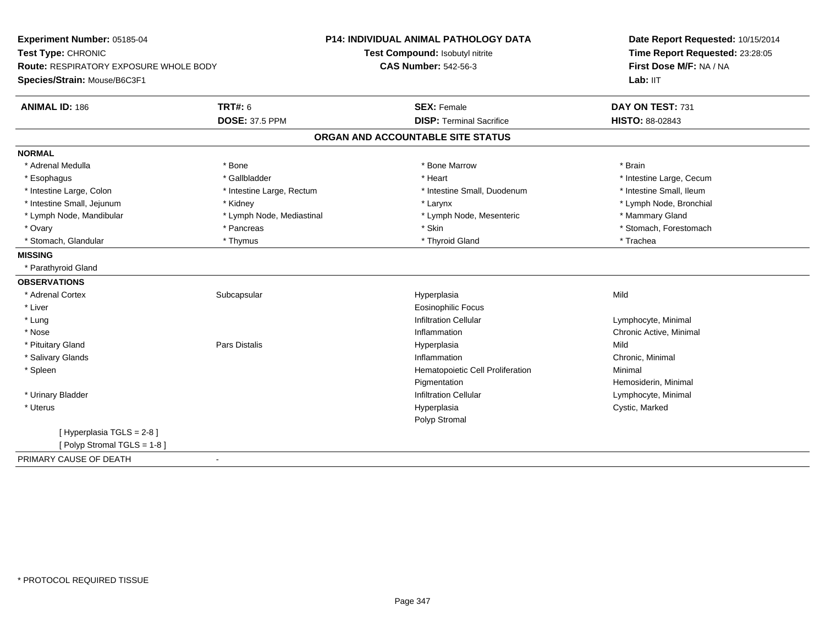| Experiment Number: 05185-04                   |                           | <b>P14: INDIVIDUAL ANIMAL PATHOLOGY DATA</b> | Date Report Requested: 10/15/2014<br>Time Report Requested: 23:28:05<br>First Dose M/F: NA / NA<br>Lab: IIT |
|-----------------------------------------------|---------------------------|----------------------------------------------|-------------------------------------------------------------------------------------------------------------|
| Test Type: CHRONIC                            |                           | Test Compound: Isobutyl nitrite              |                                                                                                             |
| <b>Route: RESPIRATORY EXPOSURE WHOLE BODY</b> |                           | <b>CAS Number: 542-56-3</b>                  |                                                                                                             |
| Species/Strain: Mouse/B6C3F1                  |                           |                                              |                                                                                                             |
| <b>ANIMAL ID: 186</b>                         | <b>TRT#: 6</b>            | <b>SEX: Female</b>                           | DAY ON TEST: 731                                                                                            |
|                                               | <b>DOSE: 37.5 PPM</b>     | <b>DISP: Terminal Sacrifice</b>              | HISTO: 88-02843                                                                                             |
|                                               |                           | ORGAN AND ACCOUNTABLE SITE STATUS            |                                                                                                             |
| <b>NORMAL</b>                                 |                           |                                              |                                                                                                             |
| * Adrenal Medulla                             | * Bone                    | * Bone Marrow                                | * Brain                                                                                                     |
| * Esophagus                                   | * Gallbladder             | * Heart                                      | * Intestine Large, Cecum                                                                                    |
| * Intestine Large, Colon                      | * Intestine Large, Rectum | * Intestine Small, Duodenum                  | * Intestine Small, Ileum                                                                                    |
| * Intestine Small, Jejunum                    | * Kidney                  | * Larynx                                     | * Lymph Node, Bronchial                                                                                     |
| * Lymph Node, Mandibular                      | * Lymph Node, Mediastinal | * Lymph Node, Mesenteric                     | * Mammary Gland                                                                                             |
| * Ovary                                       | * Pancreas                | * Skin                                       | * Stomach, Forestomach                                                                                      |
| * Stomach, Glandular                          | * Thymus                  | * Thyroid Gland                              | * Trachea                                                                                                   |
| <b>MISSING</b>                                |                           |                                              |                                                                                                             |
| * Parathyroid Gland                           |                           |                                              |                                                                                                             |
| <b>OBSERVATIONS</b>                           |                           |                                              |                                                                                                             |
| * Adrenal Cortex                              | Subcapsular               | Hyperplasia                                  | Mild                                                                                                        |
| * Liver                                       |                           | <b>Eosinophilic Focus</b>                    |                                                                                                             |
| * Lung                                        |                           | <b>Infiltration Cellular</b>                 | Lymphocyte, Minimal                                                                                         |
| * Nose                                        |                           | Inflammation                                 | Chronic Active, Minimal                                                                                     |
| * Pituitary Gland                             | Pars Distalis             | Hyperplasia                                  | Mild                                                                                                        |
| * Salivary Glands                             |                           | Inflammation                                 | Chronic, Minimal                                                                                            |
| * Spleen                                      |                           | Hematopoietic Cell Proliferation             | Minimal                                                                                                     |
|                                               |                           | Pigmentation                                 | Hemosiderin, Minimal                                                                                        |
| * Urinary Bladder                             |                           | <b>Infiltration Cellular</b>                 | Lymphocyte, Minimal                                                                                         |
| * Uterus                                      |                           | Hyperplasia                                  | Cystic, Marked                                                                                              |
|                                               |                           | Polyp Stromal                                |                                                                                                             |
| [Hyperplasia TGLS = 2-8]                      |                           |                                              |                                                                                                             |
| [Polyp Stromal TGLS = 1-8]                    |                           |                                              |                                                                                                             |
| PRIMARY CAUSE OF DEATH                        | $\blacksquare$            |                                              |                                                                                                             |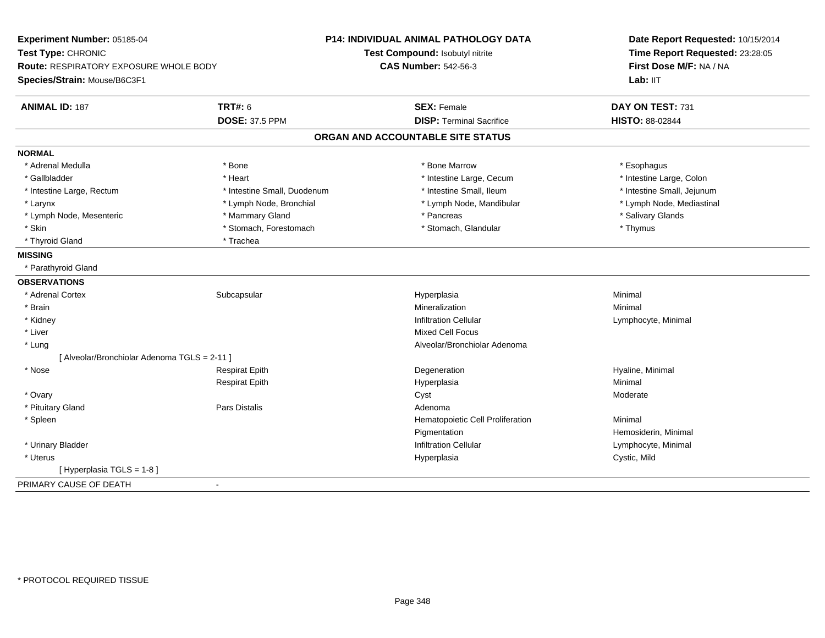| Experiment Number: 05185-04                  | <b>P14: INDIVIDUAL ANIMAL PATHOLOGY DATA</b>            | Date Report Requested: 10/15/2014 |
|----------------------------------------------|---------------------------------------------------------|-----------------------------------|
| Test Type: CHRONIC                           | Test Compound: Isobutyl nitrite                         | Time Report Requested: 23:28:05   |
| Route: RESPIRATORY EXPOSURE WHOLE BODY       | <b>CAS Number: 542-56-3</b>                             | First Dose M/F: NA / NA           |
| Species/Strain: Mouse/B6C3F1                 |                                                         | Lab: IIT                          |
| <b>TRT#: 6</b><br><b>ANIMAL ID: 187</b>      | <b>SEX: Female</b>                                      | DAY ON TEST: 731                  |
| <b>DOSE: 37.5 PPM</b>                        | <b>DISP: Terminal Sacrifice</b>                         | HISTO: 88-02844                   |
|                                              | ORGAN AND ACCOUNTABLE SITE STATUS                       |                                   |
| <b>NORMAL</b>                                |                                                         |                                   |
| * Adrenal Medulla<br>* Bone                  | * Bone Marrow                                           | * Esophagus                       |
| * Gallbladder<br>* Heart                     | * Intestine Large, Cecum                                | * Intestine Large, Colon          |
| * Intestine Large, Rectum                    | * Intestine Small, Duodenum<br>* Intestine Small, Ileum | * Intestine Small, Jejunum        |
| * Larynx<br>* Lymph Node, Bronchial          | * Lymph Node, Mandibular                                | * Lymph Node, Mediastinal         |
| * Lymph Node, Mesenteric<br>* Mammary Gland  | * Pancreas                                              | * Salivary Glands                 |
| * Skin<br>* Stomach, Forestomach             | * Stomach, Glandular                                    | * Thymus                          |
| * Thyroid Gland<br>* Trachea                 |                                                         |                                   |
| <b>MISSING</b>                               |                                                         |                                   |
| * Parathyroid Gland                          |                                                         |                                   |
| <b>OBSERVATIONS</b>                          |                                                         |                                   |
| * Adrenal Cortex<br>Subcapsular              | Hyperplasia                                             | Minimal                           |
| * Brain                                      | Mineralization                                          | Minimal                           |
| * Kidney                                     | <b>Infiltration Cellular</b>                            | Lymphocyte, Minimal               |
| * Liver                                      | <b>Mixed Cell Focus</b>                                 |                                   |
| * Lung                                       | Alveolar/Bronchiolar Adenoma                            |                                   |
| [ Alveolar/Bronchiolar Adenoma TGLS = 2-11 ] |                                                         |                                   |
| * Nose<br><b>Respirat Epith</b>              | Degeneration                                            | Hyaline, Minimal                  |
| <b>Respirat Epith</b>                        | Hyperplasia                                             | Minimal                           |
| * Ovary                                      | Cyst                                                    | Moderate                          |
| <b>Pars Distalis</b><br>* Pituitary Gland    | Adenoma                                                 |                                   |
| * Spleen                                     | Hematopoietic Cell Proliferation                        | Minimal                           |
|                                              | Pigmentation                                            | Hemosiderin, Minimal              |
| * Urinary Bladder                            | <b>Infiltration Cellular</b>                            | Lymphocyte, Minimal               |
| $^\star$ Uterus                              | Hyperplasia                                             | Cystic, Mild                      |
| [ Hyperplasia TGLS = 1-8 ]                   |                                                         |                                   |
| PRIMARY CAUSE OF DEATH<br>$\blacksquare$     |                                                         |                                   |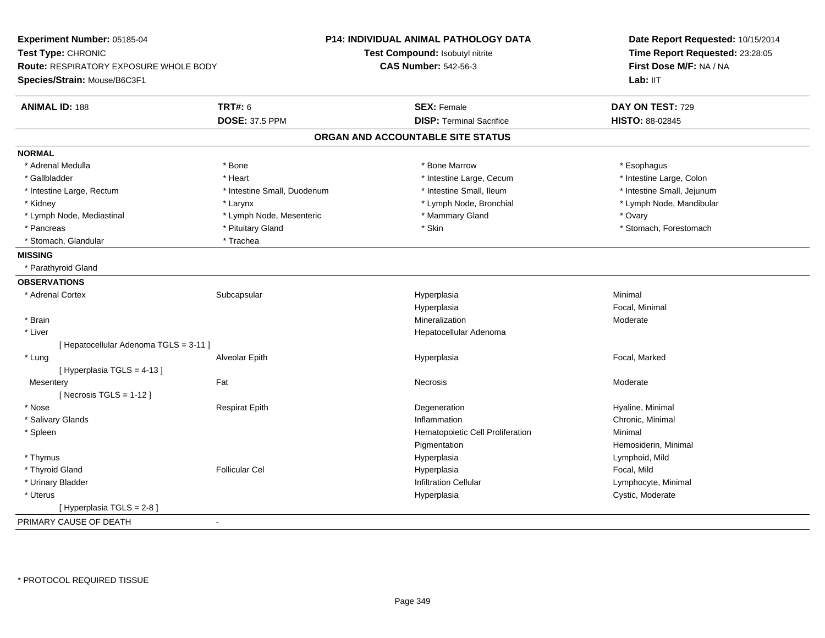| Experiment Number: 05185-04            |                             | <b>P14: INDIVIDUAL ANIMAL PATHOLOGY DATA</b> | Date Report Requested: 10/15/2014<br>Time Report Requested: 23:28:05 |  |
|----------------------------------------|-----------------------------|----------------------------------------------|----------------------------------------------------------------------|--|
| Test Type: CHRONIC                     |                             | Test Compound: Isobutyl nitrite              |                                                                      |  |
| Route: RESPIRATORY EXPOSURE WHOLE BODY |                             | <b>CAS Number: 542-56-3</b>                  | First Dose M/F: NA / NA                                              |  |
| Species/Strain: Mouse/B6C3F1           |                             |                                              | Lab: IIT                                                             |  |
| <b>ANIMAL ID: 188</b>                  | <b>TRT#: 6</b>              | <b>SEX: Female</b>                           | DAY ON TEST: 729                                                     |  |
|                                        | <b>DOSE: 37.5 PPM</b>       | <b>DISP: Terminal Sacrifice</b>              | HISTO: 88-02845                                                      |  |
|                                        |                             | ORGAN AND ACCOUNTABLE SITE STATUS            |                                                                      |  |
| <b>NORMAL</b>                          |                             |                                              |                                                                      |  |
| * Adrenal Medulla                      | * Bone                      | * Bone Marrow                                | * Esophagus                                                          |  |
| * Gallbladder                          | * Heart                     | * Intestine Large, Cecum                     | * Intestine Large, Colon                                             |  |
| * Intestine Large, Rectum              | * Intestine Small, Duodenum | * Intestine Small, Ileum                     | * Intestine Small, Jejunum                                           |  |
| * Kidney                               | * Larynx                    | * Lymph Node, Bronchial                      | * Lymph Node, Mandibular                                             |  |
| * Lymph Node, Mediastinal              | * Lymph Node, Mesenteric    | * Mammary Gland                              | * Ovary                                                              |  |
| * Pancreas                             | * Pituitary Gland           | * Skin                                       | * Stomach, Forestomach                                               |  |
| * Stomach, Glandular                   | * Trachea                   |                                              |                                                                      |  |
| <b>MISSING</b>                         |                             |                                              |                                                                      |  |
| * Parathyroid Gland                    |                             |                                              |                                                                      |  |
| <b>OBSERVATIONS</b>                    |                             |                                              |                                                                      |  |
| * Adrenal Cortex                       | Subcapsular                 | Hyperplasia                                  | Minimal                                                              |  |
|                                        |                             | Hyperplasia                                  | Focal, Minimal                                                       |  |
| * Brain                                |                             | Mineralization                               | Moderate                                                             |  |
| * Liver                                |                             | Hepatocellular Adenoma                       |                                                                      |  |
| [ Hepatocellular Adenoma TGLS = 3-11 ] |                             |                                              |                                                                      |  |
| * Lung                                 | Alveolar Epith              | Hyperplasia                                  | Focal, Marked                                                        |  |
| [Hyperplasia TGLS = 4-13]              |                             |                                              |                                                                      |  |
| Mesentery                              | Fat                         | Necrosis                                     | Moderate                                                             |  |
| [Necrosis TGLS = $1-12$ ]              |                             |                                              |                                                                      |  |
| * Nose                                 | <b>Respirat Epith</b>       | Degeneration                                 | Hyaline, Minimal                                                     |  |
| * Salivary Glands                      |                             | Inflammation                                 | Chronic, Minimal                                                     |  |
| * Spleen                               |                             | Hematopoietic Cell Proliferation             | Minimal                                                              |  |
|                                        |                             | Pigmentation                                 | Hemosiderin, Minimal                                                 |  |
| * Thymus                               |                             | Hyperplasia                                  | Lymphoid, Mild                                                       |  |
| * Thyroid Gland                        | <b>Follicular Cel</b>       | Hyperplasia                                  | Focal, Mild                                                          |  |
| * Urinary Bladder                      |                             | <b>Infiltration Cellular</b>                 | Lymphocyte, Minimal                                                  |  |
| * Uterus                               |                             | Hyperplasia                                  | Cystic, Moderate                                                     |  |
| [ Hyperplasia TGLS = 2-8 ]             |                             |                                              |                                                                      |  |
| PRIMARY CAUSE OF DEATH                 | $\sim$                      |                                              |                                                                      |  |
|                                        |                             |                                              |                                                                      |  |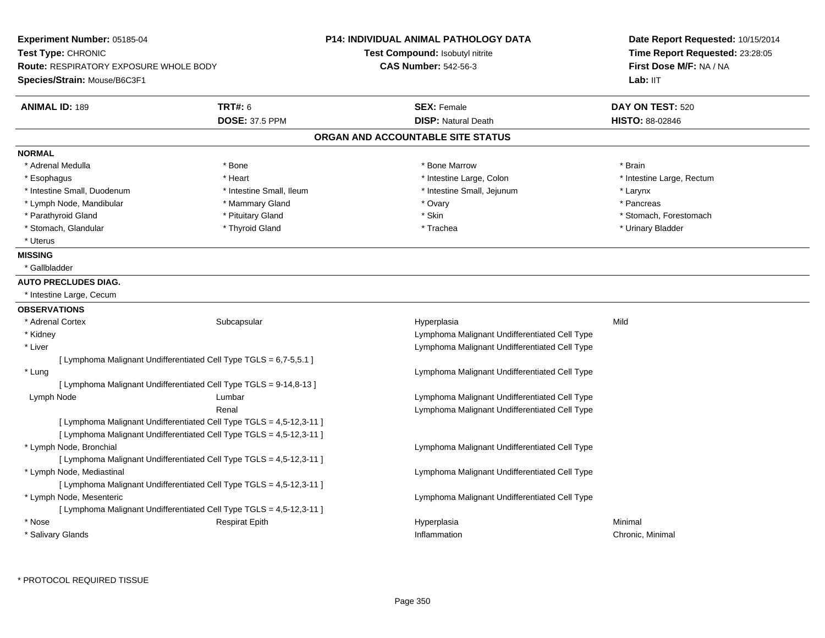| Experiment Number: 05185-04<br>Test Type: CHRONIC<br>Route: RESPIRATORY EXPOSURE WHOLE BODY<br>Species/Strain: Mouse/B6C3F1 |                                                                      | <b>P14: INDIVIDUAL ANIMAL PATHOLOGY DATA</b><br>Test Compound: Isobutyl nitrite<br><b>CAS Number: 542-56-3</b> | Date Report Requested: 10/15/2014<br>Time Report Requested: 23:28:05<br>First Dose M/F: NA / NA<br>Lab: IIT |
|-----------------------------------------------------------------------------------------------------------------------------|----------------------------------------------------------------------|----------------------------------------------------------------------------------------------------------------|-------------------------------------------------------------------------------------------------------------|
| <b>ANIMAL ID: 189</b>                                                                                                       | <b>TRT#: 6</b>                                                       | <b>SEX: Female</b>                                                                                             | DAY ON TEST: 520                                                                                            |
|                                                                                                                             | <b>DOSE: 37.5 PPM</b>                                                | <b>DISP: Natural Death</b>                                                                                     | <b>HISTO: 88-02846</b>                                                                                      |
|                                                                                                                             |                                                                      | ORGAN AND ACCOUNTABLE SITE STATUS                                                                              |                                                                                                             |
| <b>NORMAL</b>                                                                                                               |                                                                      |                                                                                                                |                                                                                                             |
| * Adrenal Medulla                                                                                                           | * Bone                                                               | * Bone Marrow                                                                                                  | * Brain                                                                                                     |
| * Esophagus                                                                                                                 | * Heart                                                              | * Intestine Large, Colon                                                                                       | * Intestine Large, Rectum                                                                                   |
| * Intestine Small, Duodenum                                                                                                 | * Intestine Small, Ileum                                             | * Intestine Small, Jejunum                                                                                     | * Larynx                                                                                                    |
| * Lymph Node, Mandibular                                                                                                    | * Mammary Gland                                                      | * Ovary                                                                                                        | * Pancreas                                                                                                  |
| * Parathyroid Gland                                                                                                         | * Pituitary Gland                                                    | * Skin                                                                                                         | * Stomach, Forestomach                                                                                      |
| * Stomach, Glandular                                                                                                        | * Thyroid Gland                                                      | * Trachea                                                                                                      | * Urinary Bladder                                                                                           |
| * Uterus                                                                                                                    |                                                                      |                                                                                                                |                                                                                                             |
| <b>MISSING</b>                                                                                                              |                                                                      |                                                                                                                |                                                                                                             |
| * Gallbladder                                                                                                               |                                                                      |                                                                                                                |                                                                                                             |
| <b>AUTO PRECLUDES DIAG.</b>                                                                                                 |                                                                      |                                                                                                                |                                                                                                             |
| * Intestine Large, Cecum                                                                                                    |                                                                      |                                                                                                                |                                                                                                             |
| <b>OBSERVATIONS</b>                                                                                                         |                                                                      |                                                                                                                |                                                                                                             |
| * Adrenal Cortex                                                                                                            | Subcapsular                                                          | Hyperplasia                                                                                                    | Mild                                                                                                        |
| * Kidney                                                                                                                    |                                                                      | Lymphoma Malignant Undifferentiated Cell Type                                                                  |                                                                                                             |
| * Liver                                                                                                                     |                                                                      | Lymphoma Malignant Undifferentiated Cell Type                                                                  |                                                                                                             |
|                                                                                                                             | [ Lymphoma Malignant Undifferentiated Cell Type TGLS = 6,7-5,5.1 ]   |                                                                                                                |                                                                                                             |
| * Lung                                                                                                                      |                                                                      | Lymphoma Malignant Undifferentiated Cell Type                                                                  |                                                                                                             |
|                                                                                                                             | [ Lymphoma Malignant Undifferentiated Cell Type TGLS = 9-14,8-13 ]   |                                                                                                                |                                                                                                             |
| Lymph Node                                                                                                                  | Lumbar                                                               | Lymphoma Malignant Undifferentiated Cell Type                                                                  |                                                                                                             |
|                                                                                                                             | Renal                                                                | Lymphoma Malignant Undifferentiated Cell Type                                                                  |                                                                                                             |
|                                                                                                                             | [ Lymphoma Malignant Undifferentiated Cell Type TGLS = 4,5-12,3-11 ] |                                                                                                                |                                                                                                             |
|                                                                                                                             | [ Lymphoma Malignant Undifferentiated Cell Type TGLS = 4,5-12,3-11 ] |                                                                                                                |                                                                                                             |
| * Lymph Node, Bronchial                                                                                                     |                                                                      | Lymphoma Malignant Undifferentiated Cell Type                                                                  |                                                                                                             |
|                                                                                                                             | [ Lymphoma Malignant Undifferentiated Cell Type TGLS = 4,5-12,3-11 ] |                                                                                                                |                                                                                                             |
| * Lymph Node, Mediastinal                                                                                                   |                                                                      | Lymphoma Malignant Undifferentiated Cell Type                                                                  |                                                                                                             |
|                                                                                                                             | [ Lymphoma Malignant Undifferentiated Cell Type TGLS = 4,5-12,3-11 ] |                                                                                                                |                                                                                                             |
| * Lymph Node, Mesenteric                                                                                                    |                                                                      | Lymphoma Malignant Undifferentiated Cell Type                                                                  |                                                                                                             |
|                                                                                                                             | [ Lymphoma Malignant Undifferentiated Cell Type TGLS = 4,5-12,3-11 ] |                                                                                                                |                                                                                                             |
| * Nose                                                                                                                      | <b>Respirat Epith</b>                                                | Hyperplasia                                                                                                    | Minimal                                                                                                     |
| * Salivary Glands                                                                                                           |                                                                      | Inflammation                                                                                                   | Chronic, Minimal                                                                                            |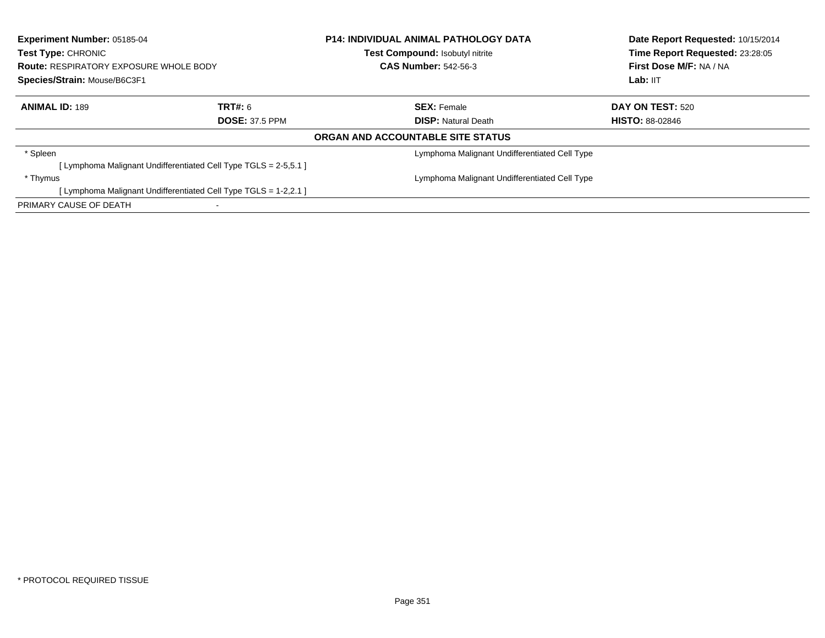| <b>Experiment Number: 05185-04</b><br>Test Type: CHRONIC<br><b>Route: RESPIRATORY EXPOSURE WHOLE BODY</b><br>Species/Strain: Mouse/B6C3F1 |                                                                  | <b>P14: INDIVIDUAL ANIMAL PATHOLOGY DATA</b><br>Test Compound: Isobutyl nitrite<br><b>CAS Number: 542-56-3</b> | Date Report Requested: 10/15/2014<br>Time Report Requested: 23:28:05<br>First Dose M/F: NA / NA<br>Lab: IIT |
|-------------------------------------------------------------------------------------------------------------------------------------------|------------------------------------------------------------------|----------------------------------------------------------------------------------------------------------------|-------------------------------------------------------------------------------------------------------------|
| <b>ANIMAL ID: 189</b>                                                                                                                     | TRT#: 6                                                          | <b>SEX: Female</b>                                                                                             | <b>DAY ON TEST: 520</b>                                                                                     |
|                                                                                                                                           | <b>DOSE: 37.5 PPM</b>                                            | <b>DISP:</b> Natural Death                                                                                     | <b>HISTO: 88-02846</b>                                                                                      |
|                                                                                                                                           |                                                                  | ORGAN AND ACCOUNTABLE SITE STATUS                                                                              |                                                                                                             |
| * Spleen                                                                                                                                  |                                                                  | Lymphoma Malignant Undifferentiated Cell Type                                                                  |                                                                                                             |
|                                                                                                                                           | [ Lymphoma Malignant Undifferentiated Cell Type TGLS = 2-5,5.1 ] |                                                                                                                |                                                                                                             |
| * Thymus                                                                                                                                  |                                                                  | Lymphoma Malignant Undifferentiated Cell Type                                                                  |                                                                                                             |
|                                                                                                                                           | [ Lymphoma Malignant Undifferentiated Cell Type TGLS = 1-2,2.1 ] |                                                                                                                |                                                                                                             |
| PRIMARY CAUSE OF DEATH                                                                                                                    |                                                                  |                                                                                                                |                                                                                                             |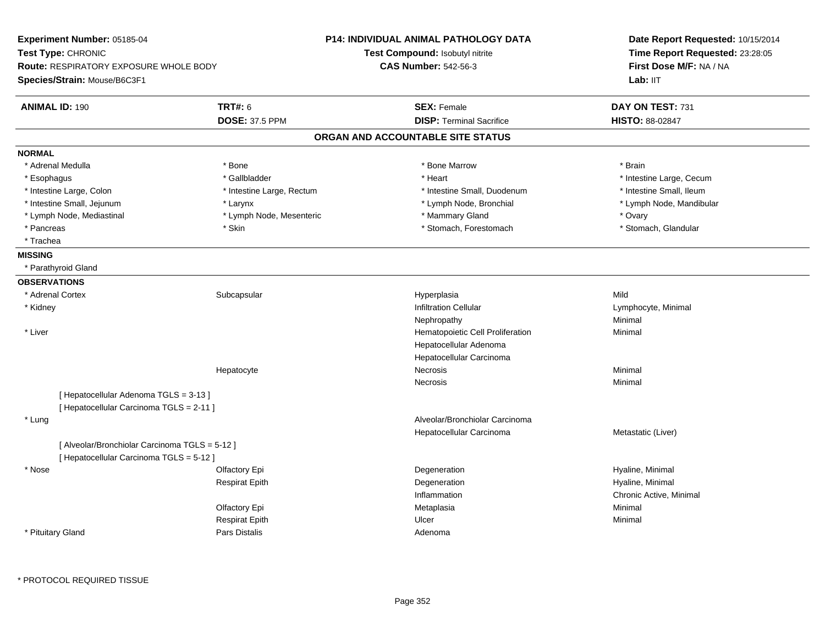| Experiment Number: 05185-04<br>Test Type: CHRONIC<br><b>Route: RESPIRATORY EXPOSURE WHOLE BODY</b><br>Species/Strain: Mouse/B6C3F1 |                           | <b>P14: INDIVIDUAL ANIMAL PATHOLOGY DATA</b><br>Test Compound: Isobutyl nitrite<br><b>CAS Number: 542-56-3</b> | Date Report Requested: 10/15/2014<br>Time Report Requested: 23:28:05<br>First Dose M/F: NA / NA<br>Lab: IIT |
|------------------------------------------------------------------------------------------------------------------------------------|---------------------------|----------------------------------------------------------------------------------------------------------------|-------------------------------------------------------------------------------------------------------------|
| <b>ANIMAL ID: 190</b>                                                                                                              | <b>TRT#: 6</b>            | <b>SEX: Female</b>                                                                                             | DAY ON TEST: 731                                                                                            |
|                                                                                                                                    | <b>DOSE: 37.5 PPM</b>     | <b>DISP: Terminal Sacrifice</b>                                                                                | <b>HISTO: 88-02847</b>                                                                                      |
|                                                                                                                                    |                           | ORGAN AND ACCOUNTABLE SITE STATUS                                                                              |                                                                                                             |
| <b>NORMAL</b>                                                                                                                      |                           |                                                                                                                |                                                                                                             |
| * Adrenal Medulla                                                                                                                  | * Bone                    | * Bone Marrow                                                                                                  | * Brain                                                                                                     |
| * Esophagus                                                                                                                        | * Gallbladder             | * Heart                                                                                                        | * Intestine Large, Cecum                                                                                    |
| * Intestine Large, Colon                                                                                                           | * Intestine Large, Rectum | * Intestine Small, Duodenum                                                                                    | * Intestine Small, Ileum                                                                                    |
| * Intestine Small, Jejunum                                                                                                         | * Larynx                  | * Lymph Node, Bronchial                                                                                        | * Lymph Node, Mandibular                                                                                    |
| * Lymph Node, Mediastinal                                                                                                          | * Lymph Node, Mesenteric  | * Mammary Gland                                                                                                | * Ovary                                                                                                     |
| * Pancreas                                                                                                                         | * Skin                    | * Stomach, Forestomach                                                                                         | * Stomach, Glandular                                                                                        |
| * Trachea                                                                                                                          |                           |                                                                                                                |                                                                                                             |
| <b>MISSING</b>                                                                                                                     |                           |                                                                                                                |                                                                                                             |
| * Parathyroid Gland                                                                                                                |                           |                                                                                                                |                                                                                                             |
| <b>OBSERVATIONS</b>                                                                                                                |                           |                                                                                                                |                                                                                                             |
| * Adrenal Cortex                                                                                                                   | Subcapsular               | Hyperplasia                                                                                                    | Mild                                                                                                        |
| * Kidney                                                                                                                           |                           | <b>Infiltration Cellular</b>                                                                                   | Lymphocyte, Minimal                                                                                         |
|                                                                                                                                    |                           | Nephropathy                                                                                                    | Minimal                                                                                                     |
| * Liver                                                                                                                            |                           | Hematopoietic Cell Proliferation                                                                               | Minimal                                                                                                     |
|                                                                                                                                    |                           | Hepatocellular Adenoma                                                                                         |                                                                                                             |
|                                                                                                                                    |                           | Hepatocellular Carcinoma                                                                                       |                                                                                                             |
|                                                                                                                                    | Hepatocyte                | <b>Necrosis</b>                                                                                                | Minimal                                                                                                     |
|                                                                                                                                    |                           | Necrosis                                                                                                       | Minimal                                                                                                     |
| [ Hepatocellular Adenoma TGLS = 3-13 ]                                                                                             |                           |                                                                                                                |                                                                                                             |
| [ Hepatocellular Carcinoma TGLS = 2-11 ]                                                                                           |                           |                                                                                                                |                                                                                                             |
| * Lung                                                                                                                             |                           | Alveolar/Bronchiolar Carcinoma                                                                                 |                                                                                                             |
|                                                                                                                                    |                           | Hepatocellular Carcinoma                                                                                       | Metastatic (Liver)                                                                                          |
| [ Alveolar/Bronchiolar Carcinoma TGLS = 5-12 ]                                                                                     |                           |                                                                                                                |                                                                                                             |
| [ Hepatocellular Carcinoma TGLS = 5-12 ]                                                                                           |                           |                                                                                                                |                                                                                                             |
| * Nose                                                                                                                             | Olfactory Epi             | Degeneration                                                                                                   | Hyaline, Minimal                                                                                            |
|                                                                                                                                    | <b>Respirat Epith</b>     | Degeneration                                                                                                   | Hyaline, Minimal                                                                                            |
|                                                                                                                                    |                           | Inflammation                                                                                                   | Chronic Active, Minimal                                                                                     |
|                                                                                                                                    | Olfactory Epi             | Metaplasia                                                                                                     | Minimal                                                                                                     |
|                                                                                                                                    | <b>Respirat Epith</b>     | Ulcer                                                                                                          | Minimal                                                                                                     |
| * Pituitary Gland                                                                                                                  | Pars Distalis             | Adenoma                                                                                                        |                                                                                                             |
|                                                                                                                                    |                           |                                                                                                                |                                                                                                             |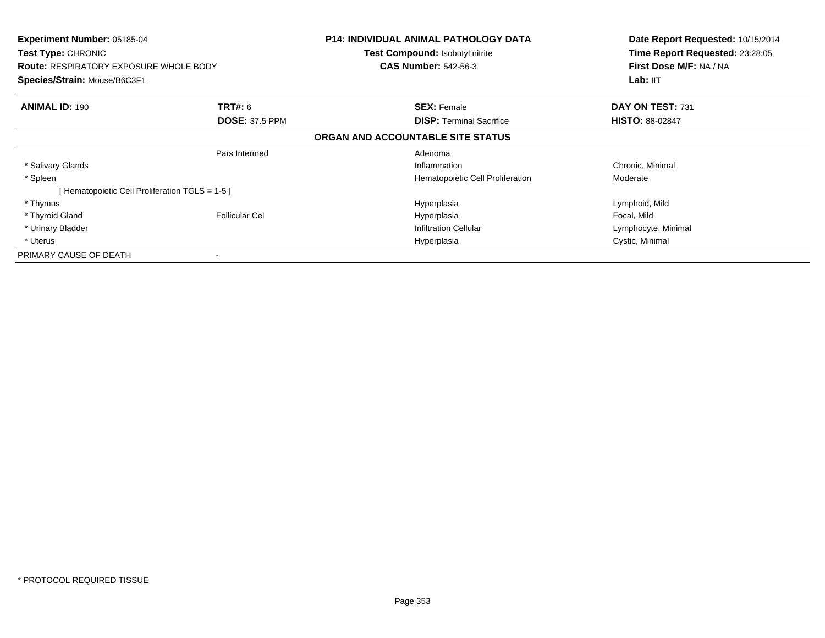| <b>Experiment Number: 05185-04</b><br><b>Test Type: CHRONIC</b><br><b>Route: RESPIRATORY EXPOSURE WHOLE BODY</b><br>Species/Strain: Mouse/B6C3F1 |                       | <b>P14: INDIVIDUAL ANIMAL PATHOLOGY DATA</b><br><b>Test Compound: Isobutyl nitrite</b><br><b>CAS Number: 542-56-3</b> | Date Report Requested: 10/15/2014<br>Time Report Requested: 23:28:05<br>First Dose M/F: NA / NA<br>Lab: II <sub>T</sub> |
|--------------------------------------------------------------------------------------------------------------------------------------------------|-----------------------|-----------------------------------------------------------------------------------------------------------------------|-------------------------------------------------------------------------------------------------------------------------|
| <b>ANIMAL ID: 190</b>                                                                                                                            | <b>TRT#: 6</b>        | <b>SEX: Female</b>                                                                                                    | DAY ON TEST: 731                                                                                                        |
|                                                                                                                                                  | <b>DOSE: 37.5 PPM</b> | <b>DISP:</b> Terminal Sacrifice                                                                                       | <b>HISTO: 88-02847</b>                                                                                                  |
|                                                                                                                                                  |                       | ORGAN AND ACCOUNTABLE SITE STATUS                                                                                     |                                                                                                                         |
|                                                                                                                                                  | Pars Intermed         | Adenoma                                                                                                               |                                                                                                                         |
| * Salivary Glands                                                                                                                                |                       | Inflammation                                                                                                          | Chronic, Minimal                                                                                                        |
| * Spleen                                                                                                                                         |                       | Hematopoietic Cell Proliferation                                                                                      | Moderate                                                                                                                |
| [Hematopoietic Cell Proliferation TGLS = 1-5 ]                                                                                                   |                       |                                                                                                                       |                                                                                                                         |
| * Thymus                                                                                                                                         |                       | Hyperplasia                                                                                                           | Lymphoid, Mild                                                                                                          |
| * Thyroid Gland                                                                                                                                  | <b>Follicular Cel</b> | Hyperplasia                                                                                                           | Focal, Mild                                                                                                             |
| * Urinary Bladder                                                                                                                                |                       | <b>Infiltration Cellular</b>                                                                                          | Lymphocyte, Minimal                                                                                                     |
| * Uterus                                                                                                                                         |                       | Hyperplasia                                                                                                           | Cystic, Minimal                                                                                                         |
| PRIMARY CAUSE OF DEATH                                                                                                                           |                       |                                                                                                                       |                                                                                                                         |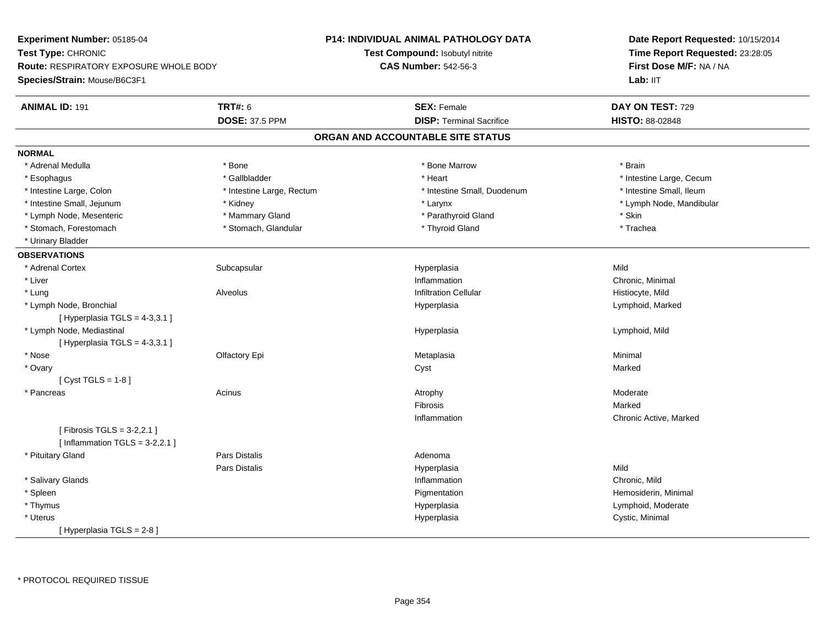**Experiment Number:** 05185-04**Test Type:** CHRONIC **Route:** RESPIRATORY EXPOSURE WHOLE BODY**Species/Strain:** Mouse/B6C3F1**P14: INDIVIDUAL ANIMAL PATHOLOGY DATATest Compound:** Isobutyl nitrite**CAS Number:** 542-56-3**Date Report Requested:** 10/15/2014**Time Report Requested:** 23:28:05**First Dose M/F:** NA / NALab: IIT **ANIMAL ID:** 191**TRT#:** 6 **SEX:** Female **SEX: Female DAY ON TEST:** 729 **DOSE:** 37.5 PPM **DISP:** Terminal Sacrifice **HISTO:** 88-02848 **ORGAN AND ACCOUNTABLE SITE STATUSNORMAL**\* Adrenal Medulla \* \* Annual Medulla \* Brain \* Bone \* \* Bone Marrow \* Bone Marrow \* \* Brain \* Brain \* Brain \* Brain \* Brain \* Brain \* Brain \* Brain \* Brain \* Brain \* Brain \* Brain \* Brain \* Brain \* Brain \* Brain \* Brain \* \* Esophagus \* https://www.fragustage.com/web/2019/heart \* Heart \* Heart \* Heart \* Intestine Large, Cecum \* Intestine Large, Cecum \* Sallbladder \* The state of the state of the state of the state of the state of the state o \* Intestine Small. Ileum \* Intestine Large, Colon \* Intestine Large, Rectum \* Intestine Small, Duodenum \* Intestine Small, Duodenum \* Intestine Small, Jejunum \* Kidney \* Larynx \* Lymph Node, Mandibular\* Lymph Node, Mesenteric \* The mannery State \* Mammary Gland \* The mathyroid Gland \* Skin \* Trachea \* Stomach, Forestomach \* Thyroid Gland \* Stomach, Glandular \* Thyroid Gland \* Thyroid Gland \* Urinary Bladder**OBSERVATIONS** \* Adrenal Cortexx Subcapsular Suberty Subsets and the Hyperplasia a Mild \* Liver**Inflammation** Inflammation **Chronic, Minimal**<br>
Infiltration Cellular **Chronic Communist Chronic Communist Chronic** Chronic Chronic Chronic Chronic Chronic Chro \* Lung Alveolus Infiltration Cellular Histiocyte, Mild \* Lymph Node, Bronchial Hyperplasia Lymphoid, Marked  $[$  Hyperplasia TGLS = 4-3,3.1 ] \* Lymph Node, Mediastinal Hyperplasia Lymphoid, Mild  $[$  Hyperplasia TGLS = 4-3,3.1 ] \* Nose Olfactory Epi Metaplasia Minimal \* Ovaryy and the control of the control of the control of the control of the control of the control of the control of the control of the control of the control of the control of the control of the control of the control of the co [ Cyst TGLS = 1-8 ] \* Pancreass and the contract of the Acinus and the Acinus and the Atrophy and the Moderate Moderate  $\sim$  Moderate  $\sim$  Moderate  $\sim$  Moderate  $\sim$  Moderate  $\sim$  Moderate  $\sim$  Moderate  $\sim$  Moderate  $\sim$  Moderate  $\sim$  Moderate  $\sim$  M Fibrosiss and the contract of the Marked n Chronic Active, Marked Inflammation[ Fibrosis TGLS = 3-2,2.1 ] $[$  Inflammation TGLS = 3-2,2.1  $]$  \* Pituitary Glandd and the contract of Pars Distalis and the contract of Adenoma and Adenoma and the Adenoma and the Adenoma and  $\lambda$ Pars Distalis Hyperplasiaa Mild \* Salivary Glandss and the contract of the contract of the contract of the contract of the contract of the contract of the contract of the contract of the contract of the contract of the contract of the contract of the contract of the cont Inflammation **Chronic**, Mild \* Spleenn and the proportion of the Pigmentation (i.e.,  $\blacksquare$  ) . Hemosiderin, Minimal (i.e.,  $\blacksquare$  ) . Hemosiderin, Minimal (i.e.,  $\blacksquare$  ) . Hemosiderin, Minimal (i.e.,  $\blacksquare$  ) . Hemosiderin, Minimal (i.e.,  $\blacksquare$  ) . Hemosid \* Thymus HyperplasiaHyperplasia **Example 2018** Lymphoid, Moderate \* Uteruss and the contract of the contract of the contract of the contract of the contract of the contract of the contract of the contract of the contract of the contract of the contract of the contract of the contract of the cont Hyperplasia **Cystic, Minimal** [ Hyperplasia TGLS = 2-8 ]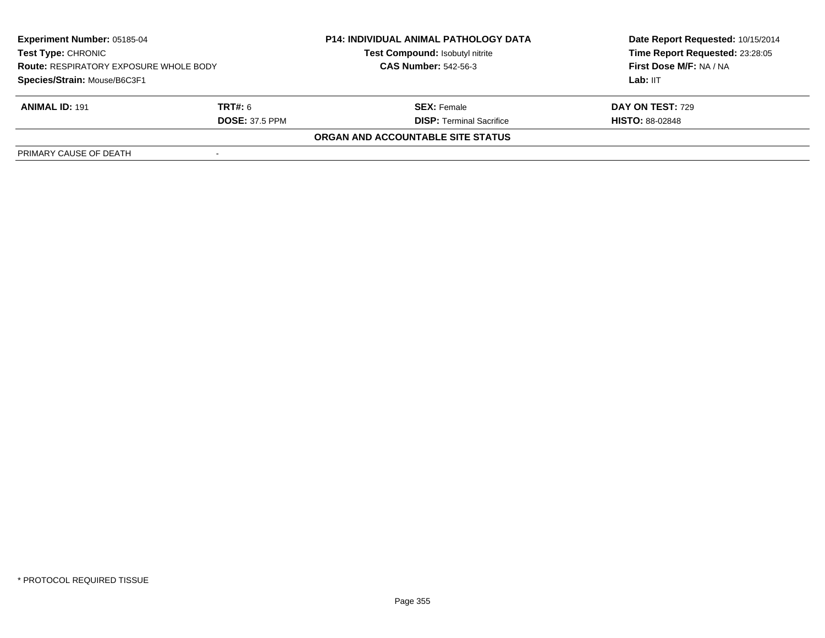| <b>Experiment Number: 05185-04</b><br><b>Test Type: CHRONIC</b><br><b>Route: RESPIRATORY EXPOSURE WHOLE BODY</b><br>Species/Strain: Mouse/B6C3F1 |                       | <b>P14: INDIVIDUAL ANIMAL PATHOLOGY DATA</b><br>Test Compound: Isobutyl nitrite | Date Report Requested: 10/15/2014<br>Time Report Requested: 23:28:05<br>First Dose M/F: NA / NA |
|--------------------------------------------------------------------------------------------------------------------------------------------------|-----------------------|---------------------------------------------------------------------------------|-------------------------------------------------------------------------------------------------|
|                                                                                                                                                  |                       | <b>CAS Number: 542-56-3</b>                                                     |                                                                                                 |
|                                                                                                                                                  |                       |                                                                                 | Lab: IIT                                                                                        |
| <b>ANIMAL ID: 191</b>                                                                                                                            | <b>TRT#:</b> 6        | <b>SEX:</b> Female                                                              | <b>DAY ON TEST: 729</b>                                                                         |
|                                                                                                                                                  | <b>DOSE: 37.5 PPM</b> | <b>DISP:</b> Terminal Sacrifice                                                 | <b>HISTO: 88-02848</b>                                                                          |
|                                                                                                                                                  |                       | ORGAN AND ACCOUNTABLE SITE STATUS                                               |                                                                                                 |
| PRIMARY CAUSE OF DEATH                                                                                                                           |                       |                                                                                 |                                                                                                 |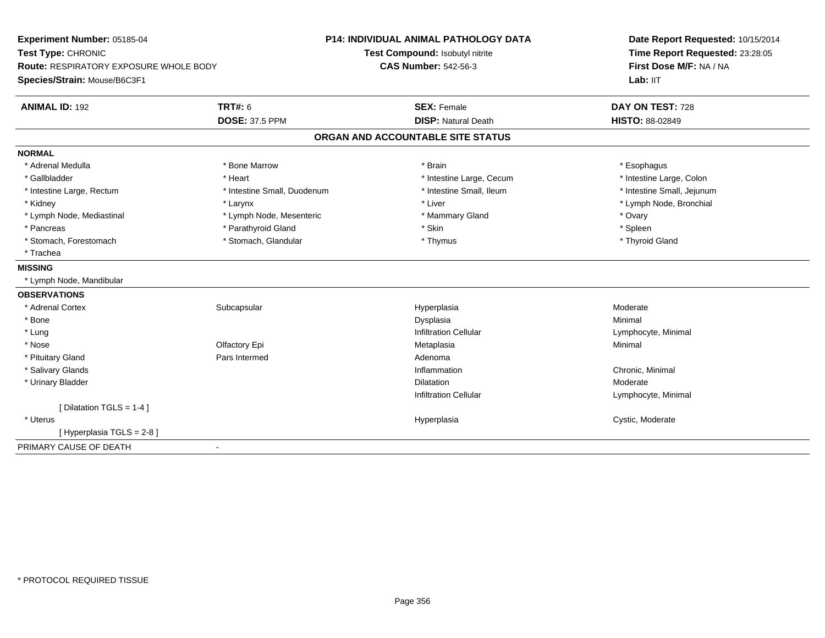| Experiment Number: 05185-04            |                             | <b>P14: INDIVIDUAL ANIMAL PATHOLOGY DATA</b> | Date Report Requested: 10/15/2014<br>Time Report Requested: 23:28:05 |
|----------------------------------------|-----------------------------|----------------------------------------------|----------------------------------------------------------------------|
| Test Type: CHRONIC                     |                             | Test Compound: Isobutyl nitrite              |                                                                      |
| Route: RESPIRATORY EXPOSURE WHOLE BODY |                             | <b>CAS Number: 542-56-3</b>                  | First Dose M/F: NA / NA                                              |
| Species/Strain: Mouse/B6C3F1           |                             |                                              | Lab: IIT                                                             |
| <b>ANIMAL ID: 192</b>                  | <b>TRT#: 6</b>              | <b>SEX: Female</b>                           | DAY ON TEST: 728                                                     |
|                                        | <b>DOSE: 37.5 PPM</b>       | <b>DISP: Natural Death</b>                   | HISTO: 88-02849                                                      |
|                                        |                             | ORGAN AND ACCOUNTABLE SITE STATUS            |                                                                      |
| <b>NORMAL</b>                          |                             |                                              |                                                                      |
| * Adrenal Medulla                      | * Bone Marrow               | * Brain                                      | * Esophagus                                                          |
| * Gallbladder                          | * Heart                     | * Intestine Large, Cecum                     | * Intestine Large, Colon                                             |
| * Intestine Large, Rectum              | * Intestine Small, Duodenum | * Intestine Small, Ileum                     | * Intestine Small, Jejunum                                           |
| * Kidney                               | * Larynx                    | * Liver                                      | * Lymph Node, Bronchial                                              |
| * Lymph Node, Mediastinal              | * Lymph Node, Mesenteric    | * Mammary Gland                              | * Ovary                                                              |
| * Pancreas                             | * Parathyroid Gland         | * Skin                                       | * Spleen                                                             |
| * Stomach, Forestomach                 | * Stomach, Glandular        | * Thymus                                     | * Thyroid Gland                                                      |
| * Trachea                              |                             |                                              |                                                                      |
| <b>MISSING</b>                         |                             |                                              |                                                                      |
| * Lymph Node, Mandibular               |                             |                                              |                                                                      |
| <b>OBSERVATIONS</b>                    |                             |                                              |                                                                      |
| * Adrenal Cortex                       | Subcapsular                 | Hyperplasia                                  | Moderate                                                             |
| * Bone                                 |                             | Dysplasia                                    | Minimal                                                              |
| $*$ Lung                               |                             | <b>Infiltration Cellular</b>                 | Lymphocyte, Minimal                                                  |
| * Nose                                 | Olfactory Epi               | Metaplasia                                   | Minimal                                                              |
| * Pituitary Gland                      | Pars Intermed               | Adenoma                                      |                                                                      |
| * Salivary Glands                      |                             | Inflammation                                 | Chronic, Minimal                                                     |
| * Urinary Bladder                      |                             | Dilatation                                   | Moderate                                                             |
|                                        |                             | <b>Infiltration Cellular</b>                 | Lymphocyte, Minimal                                                  |
| [ Dilatation TGLS = 1-4 ]              |                             |                                              |                                                                      |
| * Uterus                               |                             | Hyperplasia                                  | Cystic, Moderate                                                     |
| [Hyperplasia TGLS = 2-8]               |                             |                                              |                                                                      |
| PRIMARY CAUSE OF DEATH                 |                             |                                              |                                                                      |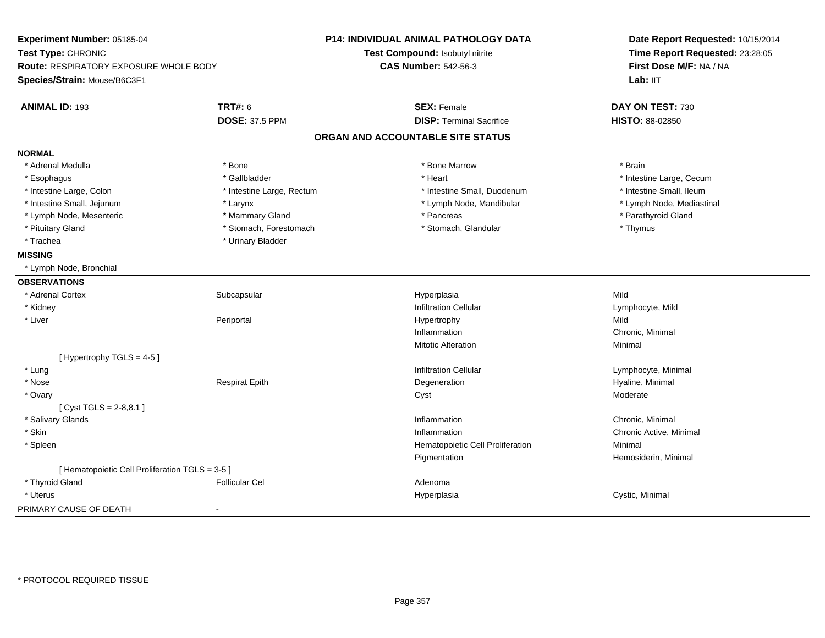| Experiment Number: 05185-04<br>Test Type: CHRONIC<br>Route: RESPIRATORY EXPOSURE WHOLE BODY<br>Species/Strain: Mouse/B6C3F1 |                           | P14: INDIVIDUAL ANIMAL PATHOLOGY DATA<br>Test Compound: Isobutyl nitrite<br><b>CAS Number: 542-56-3</b> | Date Report Requested: 10/15/2014<br>Time Report Requested: 23:28:05<br>First Dose M/F: NA / NA<br>Lab: IIT |
|-----------------------------------------------------------------------------------------------------------------------------|---------------------------|---------------------------------------------------------------------------------------------------------|-------------------------------------------------------------------------------------------------------------|
| <b>ANIMAL ID: 193</b><br><b>TRT#: 6</b>                                                                                     |                           | <b>SEX: Female</b>                                                                                      | DAY ON TEST: 730                                                                                            |
|                                                                                                                             | <b>DOSE: 37.5 PPM</b>     | <b>DISP: Terminal Sacrifice</b>                                                                         | HISTO: 88-02850                                                                                             |
|                                                                                                                             |                           | ORGAN AND ACCOUNTABLE SITE STATUS                                                                       |                                                                                                             |
| <b>NORMAL</b>                                                                                                               |                           |                                                                                                         |                                                                                                             |
| * Adrenal Medulla<br>* Bone                                                                                                 |                           | * Bone Marrow                                                                                           | * Brain                                                                                                     |
| * Esophagus                                                                                                                 | * Gallbladder             | * Heart                                                                                                 | * Intestine Large, Cecum                                                                                    |
| * Intestine Large, Colon                                                                                                    | * Intestine Large, Rectum | * Intestine Small, Duodenum                                                                             | * Intestine Small, Ileum                                                                                    |
| * Intestine Small, Jejunum<br>* Larynx                                                                                      |                           | * Lymph Node, Mandibular                                                                                | * Lymph Node, Mediastinal                                                                                   |
| * Lymph Node, Mesenteric                                                                                                    | * Mammary Gland           | * Pancreas                                                                                              | * Parathyroid Gland                                                                                         |
| * Pituitary Gland                                                                                                           | * Stomach, Forestomach    | * Stomach, Glandular                                                                                    | * Thymus                                                                                                    |
| * Trachea                                                                                                                   | * Urinary Bladder         |                                                                                                         |                                                                                                             |
| <b>MISSING</b>                                                                                                              |                           |                                                                                                         |                                                                                                             |
| * Lymph Node, Bronchial                                                                                                     |                           |                                                                                                         |                                                                                                             |
| <b>OBSERVATIONS</b>                                                                                                         |                           |                                                                                                         |                                                                                                             |
| * Adrenal Cortex<br>Subcapsular                                                                                             |                           | Hyperplasia                                                                                             | Mild                                                                                                        |
| * Kidney                                                                                                                    |                           | <b>Infiltration Cellular</b>                                                                            | Lymphocyte, Mild                                                                                            |
| * Liver<br>Periportal                                                                                                       |                           | Hypertrophy                                                                                             | Mild                                                                                                        |
|                                                                                                                             |                           | Inflammation                                                                                            | Chronic, Minimal                                                                                            |
|                                                                                                                             |                           | <b>Mitotic Alteration</b>                                                                               | Minimal                                                                                                     |
| [Hypertrophy TGLS = 4-5]                                                                                                    |                           |                                                                                                         |                                                                                                             |
| * Lung                                                                                                                      |                           | <b>Infiltration Cellular</b>                                                                            | Lymphocyte, Minimal                                                                                         |
| * Nose                                                                                                                      | <b>Respirat Epith</b>     | Degeneration                                                                                            | Hyaline, Minimal                                                                                            |
| * Ovary                                                                                                                     |                           | Cyst                                                                                                    | Moderate                                                                                                    |
| [Cyst TGLS = $2-8,8.1$ ]                                                                                                    |                           |                                                                                                         |                                                                                                             |
| * Salivary Glands                                                                                                           |                           | Inflammation                                                                                            | Chronic, Minimal                                                                                            |
| * Skin                                                                                                                      |                           | Inflammation                                                                                            | Chronic Active, Minimal                                                                                     |
| * Spleen                                                                                                                    |                           | Hematopoietic Cell Proliferation                                                                        | Minimal                                                                                                     |
|                                                                                                                             |                           | Pigmentation                                                                                            | Hemosiderin, Minimal                                                                                        |
| [ Hematopoietic Cell Proliferation TGLS = 3-5 ]                                                                             |                           |                                                                                                         |                                                                                                             |
| * Thyroid Gland<br><b>Follicular Cel</b>                                                                                    |                           | Adenoma                                                                                                 |                                                                                                             |
| * Uterus                                                                                                                    |                           | Hyperplasia                                                                                             | Cystic, Minimal                                                                                             |
| PRIMARY CAUSE OF DEATH<br>$\sim$                                                                                            |                           |                                                                                                         |                                                                                                             |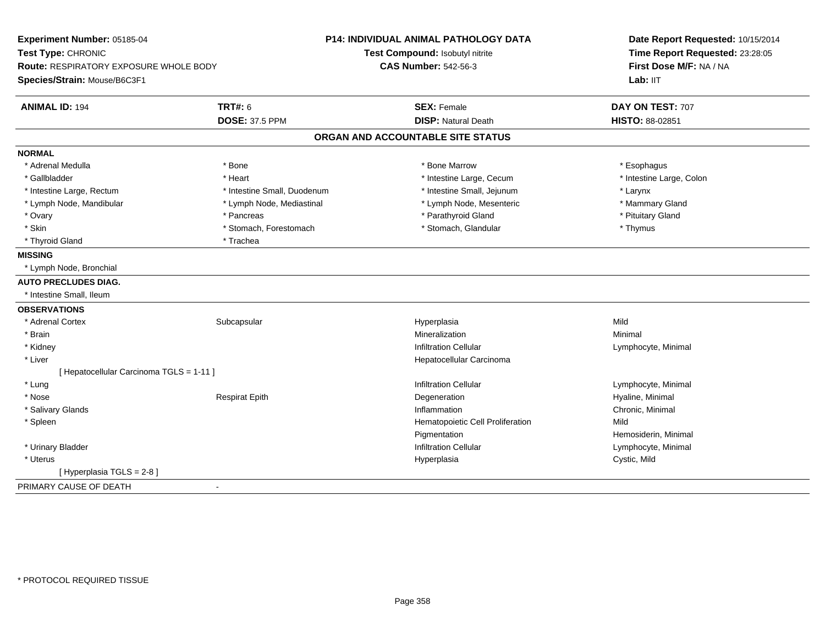| Experiment Number: 05185-04<br>Test Type: CHRONIC<br>Route: RESPIRATORY EXPOSURE WHOLE BODY |                             | <b>P14: INDIVIDUAL ANIMAL PATHOLOGY DATA</b><br>Test Compound: Isobutyl nitrite<br><b>CAS Number: 542-56-3</b> | Date Report Requested: 10/15/2014<br>Time Report Requested: 23:28:05<br>First Dose M/F: NA / NA |
|---------------------------------------------------------------------------------------------|-----------------------------|----------------------------------------------------------------------------------------------------------------|-------------------------------------------------------------------------------------------------|
| Species/Strain: Mouse/B6C3F1                                                                |                             |                                                                                                                | Lab: IIT                                                                                        |
| <b>ANIMAL ID: 194</b>                                                                       | <b>TRT#: 6</b>              | <b>SEX: Female</b>                                                                                             | DAY ON TEST: 707                                                                                |
|                                                                                             | <b>DOSE: 37.5 PPM</b>       | <b>DISP: Natural Death</b>                                                                                     | HISTO: 88-02851                                                                                 |
|                                                                                             |                             | ORGAN AND ACCOUNTABLE SITE STATUS                                                                              |                                                                                                 |
| <b>NORMAL</b>                                                                               |                             |                                                                                                                |                                                                                                 |
| * Adrenal Medulla                                                                           | * Bone                      | * Bone Marrow                                                                                                  | * Esophagus                                                                                     |
| * Gallbladder                                                                               | * Heart                     | * Intestine Large, Cecum                                                                                       | * Intestine Large, Colon                                                                        |
| * Intestine Large, Rectum                                                                   | * Intestine Small, Duodenum | * Intestine Small, Jejunum                                                                                     | * Larynx                                                                                        |
| * Lymph Node, Mandibular                                                                    | * Lymph Node, Mediastinal   | * Lymph Node, Mesenteric                                                                                       | * Mammary Gland                                                                                 |
| * Ovary                                                                                     | * Pancreas                  | * Parathyroid Gland                                                                                            | * Pituitary Gland                                                                               |
| * Skin                                                                                      | * Stomach, Forestomach      | * Stomach, Glandular                                                                                           | * Thymus                                                                                        |
| * Thyroid Gland                                                                             | * Trachea                   |                                                                                                                |                                                                                                 |
| <b>MISSING</b>                                                                              |                             |                                                                                                                |                                                                                                 |
| * Lymph Node, Bronchial                                                                     |                             |                                                                                                                |                                                                                                 |
| <b>AUTO PRECLUDES DIAG.</b>                                                                 |                             |                                                                                                                |                                                                                                 |
| * Intestine Small, Ileum                                                                    |                             |                                                                                                                |                                                                                                 |
| <b>OBSERVATIONS</b>                                                                         |                             |                                                                                                                |                                                                                                 |
| * Adrenal Cortex                                                                            | Subcapsular                 | Hyperplasia                                                                                                    | Mild                                                                                            |
| * Brain                                                                                     |                             | Mineralization                                                                                                 | Minimal                                                                                         |
| * Kidney                                                                                    |                             | <b>Infiltration Cellular</b>                                                                                   | Lymphocyte, Minimal                                                                             |
| * Liver                                                                                     |                             | Hepatocellular Carcinoma                                                                                       |                                                                                                 |
| [ Hepatocellular Carcinoma TGLS = 1-11 ]                                                    |                             |                                                                                                                |                                                                                                 |
| * Lung                                                                                      |                             | <b>Infiltration Cellular</b>                                                                                   | Lymphocyte, Minimal                                                                             |
| * Nose                                                                                      | <b>Respirat Epith</b>       | Degeneration                                                                                                   | Hyaline, Minimal                                                                                |
| * Salivary Glands                                                                           |                             | Inflammation                                                                                                   | Chronic, Minimal                                                                                |
| * Spleen                                                                                    |                             | Hematopoietic Cell Proliferation                                                                               | Mild                                                                                            |
|                                                                                             |                             | Pigmentation                                                                                                   | Hemosiderin, Minimal                                                                            |
| * Urinary Bladder                                                                           |                             | <b>Infiltration Cellular</b>                                                                                   | Lymphocyte, Minimal                                                                             |
| * Uterus                                                                                    |                             | Hyperplasia                                                                                                    | Cystic, Mild                                                                                    |
| [ Hyperplasia TGLS = 2-8 ]                                                                  |                             |                                                                                                                |                                                                                                 |
| PRIMARY CAUSE OF DEATH                                                                      |                             |                                                                                                                |                                                                                                 |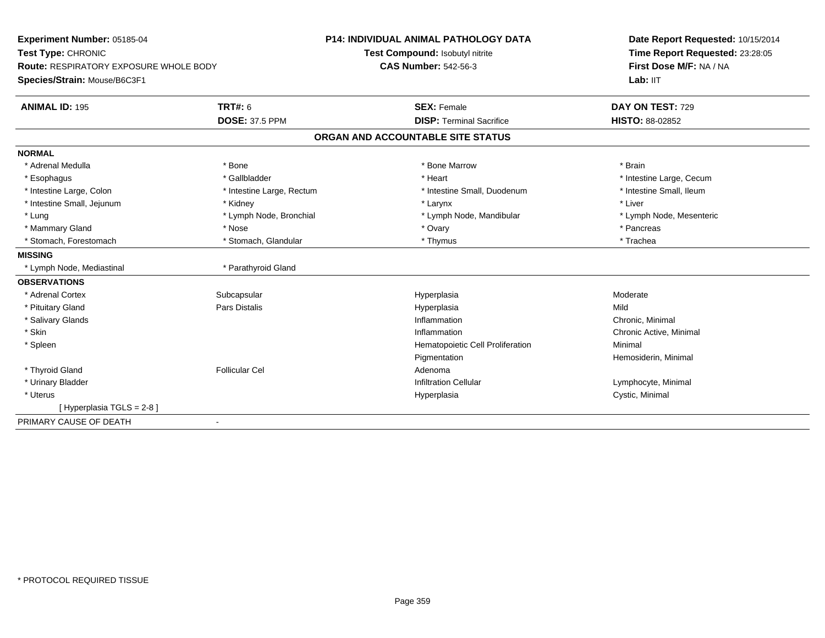| Experiment Number: 05185-04<br>Test Type: CHRONIC<br>Route: RESPIRATORY EXPOSURE WHOLE BODY |                           | <b>P14: INDIVIDUAL ANIMAL PATHOLOGY DATA</b> | Date Report Requested: 10/15/2014<br>Time Report Requested: 23:28:05<br>First Dose M/F: NA / NA |  |
|---------------------------------------------------------------------------------------------|---------------------------|----------------------------------------------|-------------------------------------------------------------------------------------------------|--|
|                                                                                             |                           | Test Compound: Isobutyl nitrite              |                                                                                                 |  |
|                                                                                             |                           | <b>CAS Number: 542-56-3</b>                  |                                                                                                 |  |
| Species/Strain: Mouse/B6C3F1                                                                |                           |                                              | Lab: IIT                                                                                        |  |
| <b>ANIMAL ID: 195</b>                                                                       | TRT#: 6                   | <b>SEX: Female</b>                           | DAY ON TEST: 729                                                                                |  |
|                                                                                             | <b>DOSE: 37.5 PPM</b>     | <b>DISP: Terminal Sacrifice</b>              | <b>HISTO: 88-02852</b>                                                                          |  |
|                                                                                             |                           | ORGAN AND ACCOUNTABLE SITE STATUS            |                                                                                                 |  |
| <b>NORMAL</b>                                                                               |                           |                                              |                                                                                                 |  |
| * Adrenal Medulla                                                                           | * Bone                    | * Bone Marrow                                | * Brain                                                                                         |  |
| * Esophagus                                                                                 | * Gallbladder             | * Heart                                      | * Intestine Large, Cecum                                                                        |  |
| * Intestine Large, Colon                                                                    | * Intestine Large, Rectum | * Intestine Small, Duodenum                  | * Intestine Small, Ileum                                                                        |  |
| * Intestine Small, Jejunum                                                                  | * Kidney                  | * Larynx                                     | * Liver                                                                                         |  |
| * Lung                                                                                      | * Lymph Node, Bronchial   | * Lymph Node, Mandibular                     | * Lymph Node, Mesenteric                                                                        |  |
| * Mammary Gland                                                                             | * Nose                    | * Ovary                                      | * Pancreas                                                                                      |  |
| * Stomach, Forestomach                                                                      | * Stomach, Glandular      | * Thymus                                     | * Trachea                                                                                       |  |
| <b>MISSING</b>                                                                              |                           |                                              |                                                                                                 |  |
| * Lymph Node, Mediastinal                                                                   | * Parathyroid Gland       |                                              |                                                                                                 |  |
| <b>OBSERVATIONS</b>                                                                         |                           |                                              |                                                                                                 |  |
| * Adrenal Cortex                                                                            | Subcapsular               | Hyperplasia                                  | Moderate                                                                                        |  |
| * Pituitary Gland                                                                           | Pars Distalis             | Hyperplasia                                  | Mild                                                                                            |  |
| * Salivary Glands                                                                           |                           | Inflammation                                 | Chronic, Minimal                                                                                |  |
| * Skin                                                                                      |                           | Inflammation                                 | Chronic Active, Minimal                                                                         |  |
| * Spleen                                                                                    |                           | Hematopoietic Cell Proliferation             | Minimal                                                                                         |  |
|                                                                                             |                           | Pigmentation                                 | Hemosiderin, Minimal                                                                            |  |
| * Thyroid Gland                                                                             | <b>Follicular Cel</b>     | Adenoma                                      |                                                                                                 |  |
| * Urinary Bladder                                                                           |                           | <b>Infiltration Cellular</b>                 | Lymphocyte, Minimal                                                                             |  |
| * Uterus                                                                                    |                           | Hyperplasia                                  | Cystic, Minimal                                                                                 |  |
| [Hyperplasia TGLS = 2-8]                                                                    |                           |                                              |                                                                                                 |  |
| PRIMARY CAUSE OF DEATH                                                                      | $\blacksquare$            |                                              |                                                                                                 |  |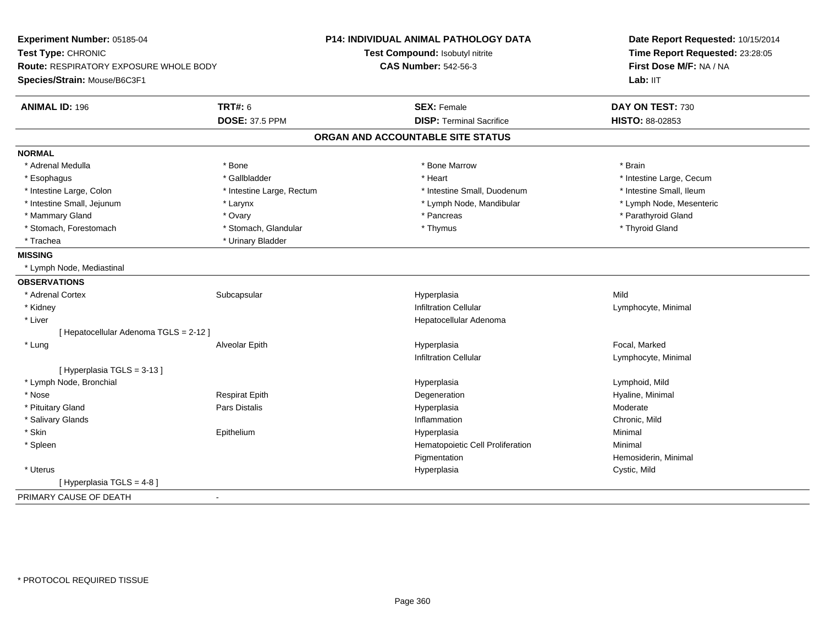| Experiment Number: 05185-04            |                           | <b>P14: INDIVIDUAL ANIMAL PATHOLOGY DATA</b> | Date Report Requested: 10/15/2014                                      |
|----------------------------------------|---------------------------|----------------------------------------------|------------------------------------------------------------------------|
| Test Type: CHRONIC                     |                           | Test Compound: Isobutyl nitrite              | Time Report Requested: 23:28:05<br>First Dose M/F: NA / NA<br>Lab: IIT |
| Route: RESPIRATORY EXPOSURE WHOLE BODY |                           | <b>CAS Number: 542-56-3</b>                  |                                                                        |
| Species/Strain: Mouse/B6C3F1           |                           |                                              |                                                                        |
| <b>ANIMAL ID: 196</b>                  | <b>TRT#: 6</b>            | <b>SEX: Female</b>                           | DAY ON TEST: 730                                                       |
|                                        | <b>DOSE: 37.5 PPM</b>     | <b>DISP: Terminal Sacrifice</b>              | HISTO: 88-02853                                                        |
|                                        |                           | ORGAN AND ACCOUNTABLE SITE STATUS            |                                                                        |
| <b>NORMAL</b>                          |                           |                                              |                                                                        |
| * Adrenal Medulla                      | * Bone                    | * Bone Marrow                                | * Brain                                                                |
| * Esophagus                            | * Gallbladder             | * Heart                                      | * Intestine Large, Cecum                                               |
| * Intestine Large, Colon               | * Intestine Large, Rectum | * Intestine Small, Duodenum                  | * Intestine Small, Ileum                                               |
| * Intestine Small, Jejunum             | * Larynx                  | * Lymph Node, Mandibular                     | * Lymph Node, Mesenteric                                               |
| * Mammary Gland                        | * Ovary                   | * Pancreas                                   | * Parathyroid Gland                                                    |
| * Stomach, Forestomach                 | * Stomach, Glandular      | * Thymus                                     | * Thyroid Gland                                                        |
| * Trachea                              | * Urinary Bladder         |                                              |                                                                        |
| <b>MISSING</b>                         |                           |                                              |                                                                        |
| * Lymph Node, Mediastinal              |                           |                                              |                                                                        |
| <b>OBSERVATIONS</b>                    |                           |                                              |                                                                        |
| * Adrenal Cortex                       | Subcapsular               | Hyperplasia                                  | Mild                                                                   |
| * Kidney                               |                           | <b>Infiltration Cellular</b>                 | Lymphocyte, Minimal                                                    |
| * Liver                                |                           | Hepatocellular Adenoma                       |                                                                        |
| [ Hepatocellular Adenoma TGLS = 2-12 ] |                           |                                              |                                                                        |
| * Lung                                 | Alveolar Epith            | Hyperplasia                                  | Focal, Marked                                                          |
|                                        |                           | <b>Infiltration Cellular</b>                 | Lymphocyte, Minimal                                                    |
| [Hyperplasia TGLS = 3-13]              |                           |                                              |                                                                        |
| * Lymph Node, Bronchial                |                           | Hyperplasia                                  | Lymphoid, Mild                                                         |
| * Nose                                 | <b>Respirat Epith</b>     | Degeneration                                 | Hyaline, Minimal                                                       |
| * Pituitary Gland                      | Pars Distalis             | Hyperplasia                                  | Moderate                                                               |
| * Salivary Glands                      |                           | Inflammation                                 | Chronic, Mild                                                          |
| * Skin                                 | Epithelium                | Hyperplasia                                  | Minimal                                                                |
| * Spleen                               |                           | Hematopoietic Cell Proliferation             | Minimal                                                                |
|                                        |                           | Pigmentation                                 | Hemosiderin, Minimal                                                   |
| * Uterus                               |                           | Hyperplasia                                  | Cystic, Mild                                                           |
| [ Hyperplasia TGLS = 4-8]              |                           |                                              |                                                                        |
| PRIMARY CAUSE OF DEATH                 | $\sim$                    |                                              |                                                                        |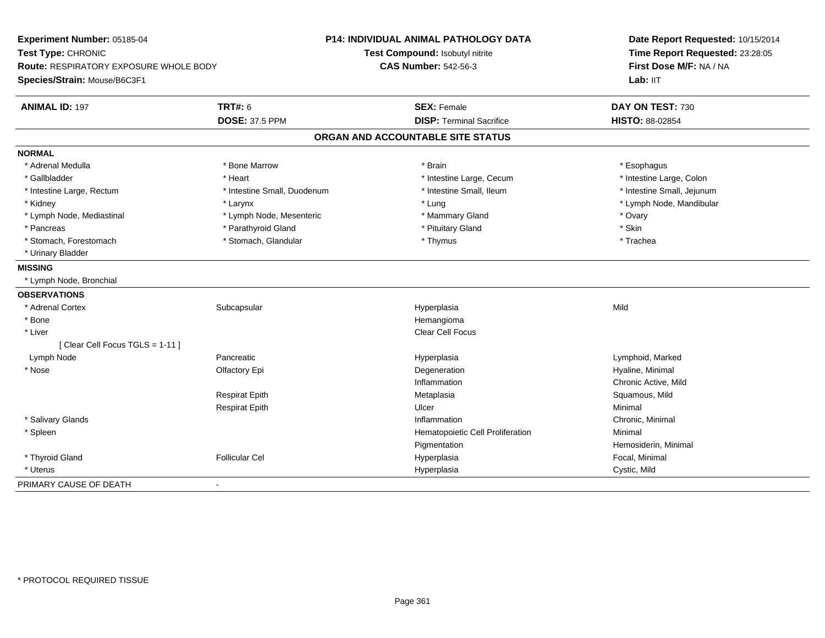| Experiment Number: 05185-04            |                             | P14: INDIVIDUAL ANIMAL PATHOLOGY DATA | Date Report Requested: 10/15/2014<br>Time Report Requested: 23:28:05 |
|----------------------------------------|-----------------------------|---------------------------------------|----------------------------------------------------------------------|
| Test Type: CHRONIC                     |                             | Test Compound: Isobutyl nitrite       |                                                                      |
| Route: RESPIRATORY EXPOSURE WHOLE BODY |                             | <b>CAS Number: 542-56-3</b>           | First Dose M/F: NA / NA                                              |
| Species/Strain: Mouse/B6C3F1           |                             |                                       | Lab: IIT                                                             |
| <b>ANIMAL ID: 197</b>                  | <b>TRT#: 6</b>              | <b>SEX: Female</b>                    | DAY ON TEST: 730                                                     |
|                                        | <b>DOSE: 37.5 PPM</b>       | <b>DISP: Terminal Sacrifice</b>       | HISTO: 88-02854                                                      |
|                                        |                             | ORGAN AND ACCOUNTABLE SITE STATUS     |                                                                      |
| <b>NORMAL</b>                          |                             |                                       |                                                                      |
| * Adrenal Medulla                      | * Bone Marrow               | * Brain                               | * Esophagus                                                          |
| * Gallbladder                          | * Heart                     | * Intestine Large, Cecum              | * Intestine Large, Colon                                             |
| * Intestine Large, Rectum              | * Intestine Small, Duodenum | * Intestine Small, Ileum              | * Intestine Small, Jejunum                                           |
| * Kidney                               | * Larynx                    | * Lung                                | * Lymph Node, Mandibular                                             |
| * Lymph Node, Mediastinal              | * Lymph Node, Mesenteric    | * Mammary Gland                       | * Ovary                                                              |
| * Pancreas                             | * Parathyroid Gland         | * Pituitary Gland                     | * Skin                                                               |
| * Stomach, Forestomach                 | * Stomach, Glandular        | * Thymus                              | * Trachea                                                            |
| * Urinary Bladder                      |                             |                                       |                                                                      |
| <b>MISSING</b>                         |                             |                                       |                                                                      |
| * Lymph Node, Bronchial                |                             |                                       |                                                                      |
| <b>OBSERVATIONS</b>                    |                             |                                       |                                                                      |
| * Adrenal Cortex                       | Subcapsular                 | Hyperplasia                           | Mild                                                                 |
| * Bone                                 |                             | Hemangioma                            |                                                                      |
| * Liver                                |                             | <b>Clear Cell Focus</b>               |                                                                      |
| [Clear Cell Focus TGLS = 1-11]         |                             |                                       |                                                                      |
| Lymph Node                             | Pancreatic                  | Hyperplasia                           | Lymphoid, Marked                                                     |
| * Nose                                 | Olfactory Epi               | Degeneration                          | Hyaline, Minimal                                                     |
|                                        |                             | Inflammation                          | Chronic Active, Mild                                                 |
|                                        | <b>Respirat Epith</b>       | Metaplasia                            | Squamous, Mild                                                       |
|                                        | <b>Respirat Epith</b>       | Ulcer                                 | Minimal                                                              |
| * Salivary Glands                      |                             | Inflammation                          | Chronic, Minimal                                                     |
| * Spleen                               |                             | Hematopoietic Cell Proliferation      | Minimal                                                              |
|                                        |                             | Pigmentation                          | Hemosiderin, Minimal                                                 |
| * Thyroid Gland                        | <b>Follicular Cel</b>       | Hyperplasia                           | Focal, Minimal                                                       |
| * Uterus                               |                             | Hyperplasia                           | Cystic, Mild                                                         |
| PRIMARY CAUSE OF DEATH                 | $\blacksquare$              |                                       |                                                                      |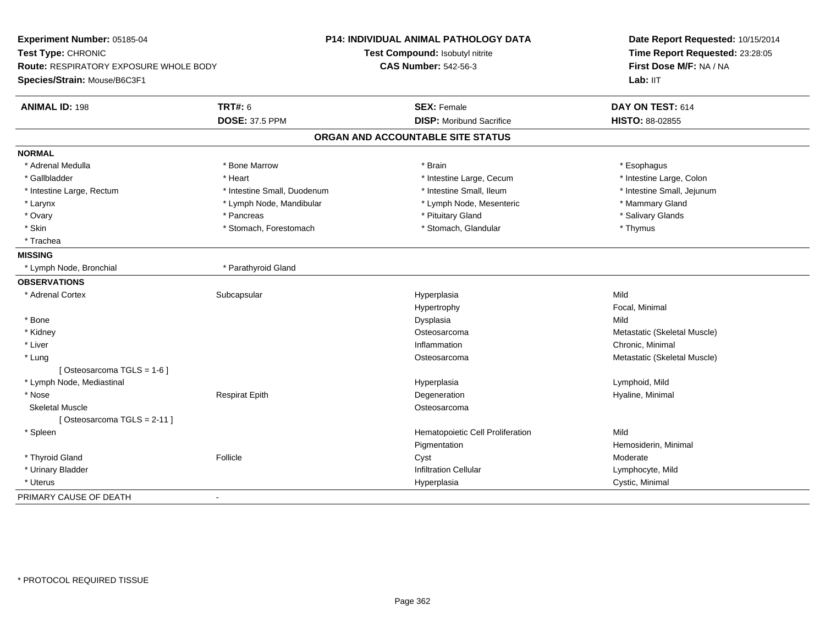| Experiment Number: 05185-04<br>Test Type: CHRONIC<br>Route: RESPIRATORY EXPOSURE WHOLE BODY |                             | <b>P14: INDIVIDUAL ANIMAL PATHOLOGY DATA</b><br>Test Compound: Isobutyl nitrite<br><b>CAS Number: 542-56-3</b> | Date Report Requested: 10/15/2014<br>Time Report Requested: 23:28:05<br>First Dose M/F: NA / NA |  |
|---------------------------------------------------------------------------------------------|-----------------------------|----------------------------------------------------------------------------------------------------------------|-------------------------------------------------------------------------------------------------|--|
| Species/Strain: Mouse/B6C3F1                                                                |                             |                                                                                                                | Lab: IIT                                                                                        |  |
| <b>ANIMAL ID: 198</b>                                                                       | <b>TRT#: 6</b>              | <b>SEX: Female</b>                                                                                             | DAY ON TEST: 614                                                                                |  |
|                                                                                             | <b>DOSE: 37.5 PPM</b>       | <b>DISP:</b> Moribund Sacrifice                                                                                | HISTO: 88-02855                                                                                 |  |
|                                                                                             |                             | ORGAN AND ACCOUNTABLE SITE STATUS                                                                              |                                                                                                 |  |
| <b>NORMAL</b>                                                                               |                             |                                                                                                                |                                                                                                 |  |
| * Adrenal Medulla                                                                           | * Bone Marrow               | * Brain                                                                                                        | * Esophagus                                                                                     |  |
| * Gallbladder                                                                               | * Heart                     | * Intestine Large, Cecum                                                                                       | * Intestine Large, Colon                                                                        |  |
| * Intestine Large, Rectum                                                                   | * Intestine Small, Duodenum | * Intestine Small, Ileum                                                                                       | * Intestine Small, Jejunum                                                                      |  |
| * Larynx                                                                                    | * Lymph Node, Mandibular    | * Lymph Node, Mesenteric                                                                                       | * Mammary Gland                                                                                 |  |
| * Ovary                                                                                     | * Pancreas                  | * Pituitary Gland                                                                                              | * Salivary Glands                                                                               |  |
| * Skin                                                                                      | * Stomach, Forestomach      | * Stomach, Glandular                                                                                           | * Thymus                                                                                        |  |
| * Trachea                                                                                   |                             |                                                                                                                |                                                                                                 |  |
| <b>MISSING</b>                                                                              |                             |                                                                                                                |                                                                                                 |  |
| * Lymph Node, Bronchial                                                                     | * Parathyroid Gland         |                                                                                                                |                                                                                                 |  |
| <b>OBSERVATIONS</b>                                                                         |                             |                                                                                                                |                                                                                                 |  |
| * Adrenal Cortex                                                                            | Subcapsular                 | Hyperplasia                                                                                                    | Mild                                                                                            |  |
|                                                                                             |                             | Hypertrophy                                                                                                    | Focal, Minimal                                                                                  |  |
| * Bone                                                                                      |                             | Dysplasia                                                                                                      | Mild                                                                                            |  |
| * Kidney                                                                                    |                             | Osteosarcoma                                                                                                   | Metastatic (Skeletal Muscle)                                                                    |  |
| * Liver                                                                                     |                             | Inflammation                                                                                                   | Chronic, Minimal                                                                                |  |
| * Lung                                                                                      |                             | Osteosarcoma                                                                                                   | Metastatic (Skeletal Muscle)                                                                    |  |
| [Osteosarcoma TGLS = 1-6]                                                                   |                             |                                                                                                                |                                                                                                 |  |
| * Lymph Node, Mediastinal                                                                   |                             | Hyperplasia                                                                                                    | Lymphoid, Mild                                                                                  |  |
| * Nose                                                                                      | <b>Respirat Epith</b>       | Degeneration                                                                                                   | Hyaline, Minimal                                                                                |  |
| <b>Skeletal Muscle</b>                                                                      |                             | Osteosarcoma                                                                                                   |                                                                                                 |  |
| [Osteosarcoma TGLS = 2-11]                                                                  |                             |                                                                                                                |                                                                                                 |  |
| * Spleen                                                                                    |                             | Hematopoietic Cell Proliferation                                                                               | Mild                                                                                            |  |
|                                                                                             |                             | Pigmentation                                                                                                   | Hemosiderin, Minimal                                                                            |  |
| * Thyroid Gland                                                                             | Follicle                    | Cyst                                                                                                           | Moderate                                                                                        |  |
| * Urinary Bladder                                                                           |                             | <b>Infiltration Cellular</b>                                                                                   | Lymphocyte, Mild                                                                                |  |
| * Uterus                                                                                    |                             | Hyperplasia                                                                                                    | Cystic, Minimal                                                                                 |  |
| PRIMARY CAUSE OF DEATH                                                                      |                             |                                                                                                                |                                                                                                 |  |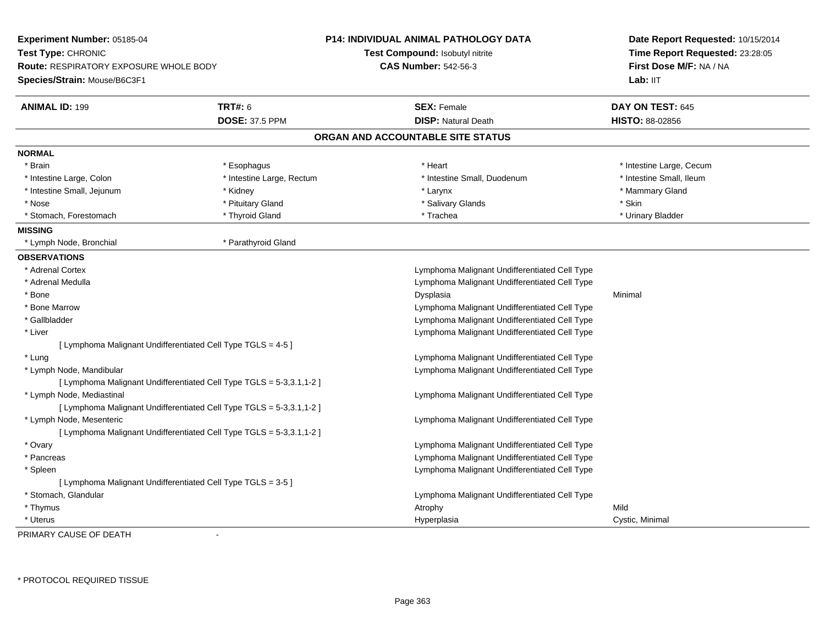| Experiment Number: 05185-04<br>Test Type: CHRONIC<br>Route: RESPIRATORY EXPOSURE WHOLE BODY<br>Species/Strain: Mouse/B6C3F1 |                                                                      | <b>P14: INDIVIDUAL ANIMAL PATHOLOGY DATA</b><br>Test Compound: Isobutyl nitrite<br><b>CAS Number: 542-56-3</b> | Date Report Requested: 10/15/2014<br>Time Report Requested: 23:28:05<br>First Dose M/F: NA / NA<br>Lab: IIT |
|-----------------------------------------------------------------------------------------------------------------------------|----------------------------------------------------------------------|----------------------------------------------------------------------------------------------------------------|-------------------------------------------------------------------------------------------------------------|
| <b>ANIMAL ID: 199</b>                                                                                                       | <b>TRT#: 6</b>                                                       | <b>SEX: Female</b>                                                                                             | DAY ON TEST: 645                                                                                            |
|                                                                                                                             | <b>DOSE: 37.5 PPM</b>                                                | <b>DISP: Natural Death</b>                                                                                     | HISTO: 88-02856                                                                                             |
|                                                                                                                             |                                                                      | ORGAN AND ACCOUNTABLE SITE STATUS                                                                              |                                                                                                             |
| <b>NORMAL</b>                                                                                                               |                                                                      |                                                                                                                |                                                                                                             |
| * Brain                                                                                                                     | * Esophagus                                                          | * Heart                                                                                                        | * Intestine Large, Cecum                                                                                    |
| * Intestine Large, Colon                                                                                                    | * Intestine Large, Rectum                                            | * Intestine Small, Duodenum                                                                                    | * Intestine Small, Ileum                                                                                    |
| * Intestine Small, Jejunum                                                                                                  | * Kidney                                                             | * Larynx                                                                                                       | * Mammary Gland                                                                                             |
| * Nose                                                                                                                      | * Pituitary Gland                                                    | * Salivary Glands                                                                                              | * Skin                                                                                                      |
| * Stomach, Forestomach                                                                                                      | * Thyroid Gland                                                      | * Trachea                                                                                                      | * Urinary Bladder                                                                                           |
| <b>MISSING</b>                                                                                                              |                                                                      |                                                                                                                |                                                                                                             |
| * Lymph Node, Bronchial                                                                                                     | * Parathyroid Gland                                                  |                                                                                                                |                                                                                                             |
| <b>OBSERVATIONS</b>                                                                                                         |                                                                      |                                                                                                                |                                                                                                             |
| * Adrenal Cortex                                                                                                            |                                                                      | Lymphoma Malignant Undifferentiated Cell Type                                                                  |                                                                                                             |
| * Adrenal Medulla                                                                                                           |                                                                      | Lymphoma Malignant Undifferentiated Cell Type                                                                  |                                                                                                             |
| * Bone                                                                                                                      |                                                                      | Dysplasia                                                                                                      | Minimal                                                                                                     |
| * Bone Marrow                                                                                                               |                                                                      | Lymphoma Malignant Undifferentiated Cell Type                                                                  |                                                                                                             |
| * Gallbladder                                                                                                               |                                                                      | Lymphoma Malignant Undifferentiated Cell Type                                                                  |                                                                                                             |
| * Liver                                                                                                                     |                                                                      | Lymphoma Malignant Undifferentiated Cell Type                                                                  |                                                                                                             |
| [ Lymphoma Malignant Undifferentiated Cell Type TGLS = 4-5 ]                                                                |                                                                      |                                                                                                                |                                                                                                             |
| * Lung                                                                                                                      |                                                                      | Lymphoma Malignant Undifferentiated Cell Type                                                                  |                                                                                                             |
| * Lymph Node, Mandibular                                                                                                    |                                                                      | Lymphoma Malignant Undifferentiated Cell Type                                                                  |                                                                                                             |
|                                                                                                                             | [ Lymphoma Malignant Undifferentiated Cell Type TGLS = 5-3,3.1,1-2 ] |                                                                                                                |                                                                                                             |
| * Lymph Node, Mediastinal                                                                                                   |                                                                      | Lymphoma Malignant Undifferentiated Cell Type                                                                  |                                                                                                             |
|                                                                                                                             | [ Lymphoma Malignant Undifferentiated Cell Type TGLS = 5-3,3.1,1-2 ] |                                                                                                                |                                                                                                             |
| * Lymph Node, Mesenteric                                                                                                    |                                                                      | Lymphoma Malignant Undifferentiated Cell Type                                                                  |                                                                                                             |
|                                                                                                                             | [ Lymphoma Malignant Undifferentiated Cell Type TGLS = 5-3,3.1,1-2 ] |                                                                                                                |                                                                                                             |
| * Ovary                                                                                                                     |                                                                      | Lymphoma Malignant Undifferentiated Cell Type                                                                  |                                                                                                             |
| * Pancreas                                                                                                                  |                                                                      | Lymphoma Malignant Undifferentiated Cell Type                                                                  |                                                                                                             |
| * Spleen                                                                                                                    |                                                                      | Lymphoma Malignant Undifferentiated Cell Type                                                                  |                                                                                                             |
| [ Lymphoma Malignant Undifferentiated Cell Type TGLS = 3-5 ]                                                                |                                                                      |                                                                                                                |                                                                                                             |
| * Stomach, Glandular                                                                                                        |                                                                      | Lymphoma Malignant Undifferentiated Cell Type                                                                  |                                                                                                             |
| * Thymus                                                                                                                    |                                                                      | Atrophy                                                                                                        | Mild                                                                                                        |
| * Uterus                                                                                                                    |                                                                      | Hyperplasia                                                                                                    | Cystic, Minimal                                                                                             |

PRIMARY CAUSE OF DEATH-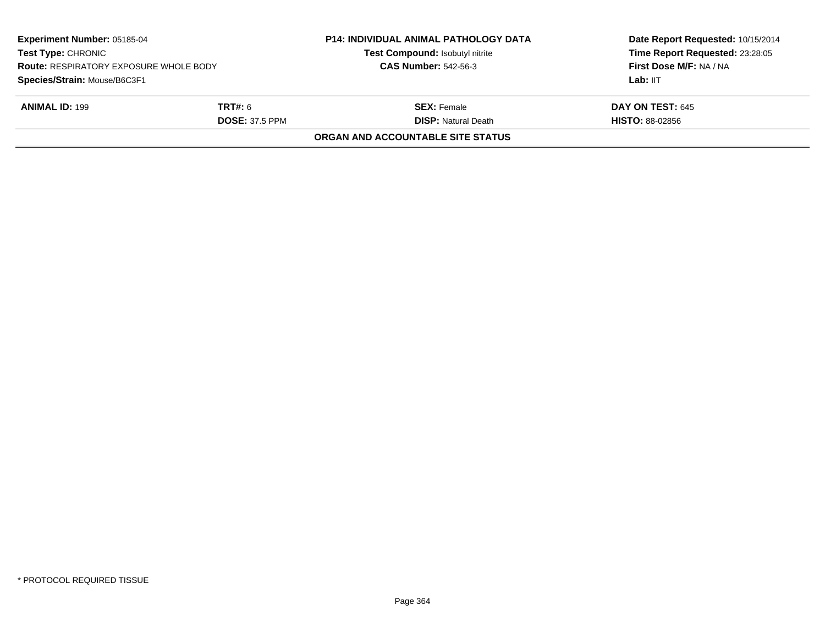| <b>Experiment Number: 05185-04</b><br><b>Test Type: CHRONIC</b><br><b>Route: RESPIRATORY EXPOSURE WHOLE BODY</b><br>Species/Strain: Mouse/B6C3F1 |                       | <b>P14: INDIVIDUAL ANIMAL PATHOLOGY DATA</b><br>Test Compound: Isobutyl nitrite<br><b>CAS Number: 542-56-3</b> | Date Report Requested: 10/15/2014<br>Time Report Requested: 23:28:05<br>First Dose M/F: NA / NA |
|--------------------------------------------------------------------------------------------------------------------------------------------------|-----------------------|----------------------------------------------------------------------------------------------------------------|-------------------------------------------------------------------------------------------------|
|                                                                                                                                                  |                       |                                                                                                                | Lab: IIT                                                                                        |
| <b>ANIMAL ID: 199</b>                                                                                                                            | <b>TRT#:</b> 6        | <b>SEX:</b> Female                                                                                             | <b>DAY ON TEST: 645</b>                                                                         |
|                                                                                                                                                  | <b>DOSE: 37.5 PPM</b> | <b>DISP:</b> Natural Death                                                                                     | <b>HISTO: 88-02856</b>                                                                          |
|                                                                                                                                                  |                       | <b>ORGAN AND ACCOUNTABLE SITE STATUS</b>                                                                       |                                                                                                 |
|                                                                                                                                                  |                       |                                                                                                                |                                                                                                 |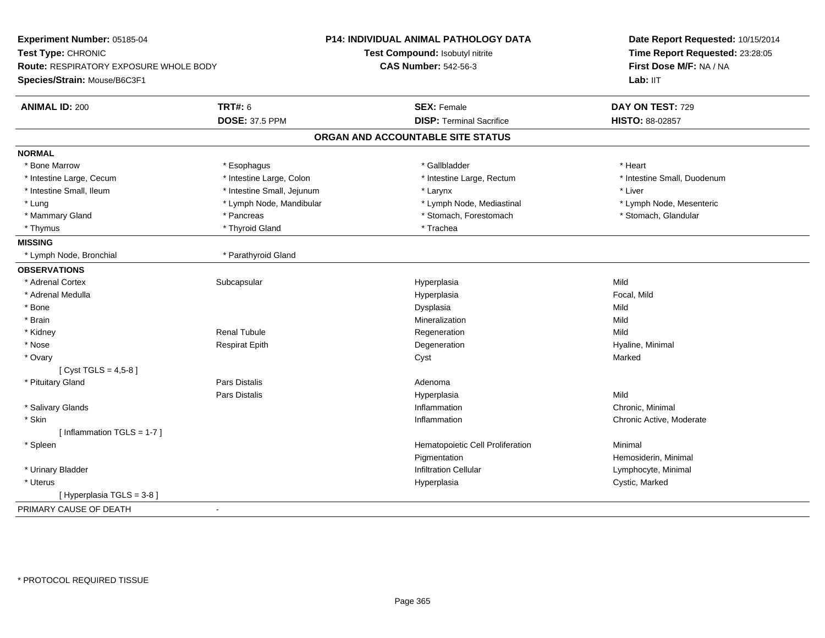| Experiment Number: 05185-04            |                            | <b>P14: INDIVIDUAL ANIMAL PATHOLOGY DATA</b> | Date Report Requested: 10/15/2014<br>Time Report Requested: 23:28:05 |
|----------------------------------------|----------------------------|----------------------------------------------|----------------------------------------------------------------------|
| Test Type: CHRONIC                     |                            | Test Compound: Isobutyl nitrite              |                                                                      |
| Route: RESPIRATORY EXPOSURE WHOLE BODY |                            | <b>CAS Number: 542-56-3</b>                  | First Dose M/F: NA / NA                                              |
| Species/Strain: Mouse/B6C3F1           |                            |                                              | Lab: IIT                                                             |
| <b>ANIMAL ID: 200</b>                  | <b>TRT#: 6</b>             | <b>SEX: Female</b>                           | DAY ON TEST: 729                                                     |
|                                        | <b>DOSE: 37.5 PPM</b>      | <b>DISP: Terminal Sacrifice</b>              | HISTO: 88-02857                                                      |
|                                        |                            | ORGAN AND ACCOUNTABLE SITE STATUS            |                                                                      |
| <b>NORMAL</b>                          |                            |                                              |                                                                      |
| * Bone Marrow                          | * Esophagus                | * Gallbladder                                | * Heart                                                              |
| * Intestine Large, Cecum               | * Intestine Large, Colon   | * Intestine Large, Rectum                    | * Intestine Small, Duodenum                                          |
| * Intestine Small, Ileum               | * Intestine Small, Jejunum | * Larynx                                     | * Liver                                                              |
| * Lung                                 | * Lymph Node, Mandibular   | * Lymph Node, Mediastinal                    | * Lymph Node, Mesenteric                                             |
| * Mammary Gland                        | * Pancreas                 | * Stomach, Forestomach                       | * Stomach, Glandular                                                 |
| * Thymus                               | * Thyroid Gland            | * Trachea                                    |                                                                      |
| <b>MISSING</b>                         |                            |                                              |                                                                      |
| * Lymph Node, Bronchial                | * Parathyroid Gland        |                                              |                                                                      |
| <b>OBSERVATIONS</b>                    |                            |                                              |                                                                      |
| * Adrenal Cortex                       | Subcapsular                | Hyperplasia                                  | Mild                                                                 |
| * Adrenal Medulla                      |                            | Hyperplasia                                  | Focal, Mild                                                          |
| * Bone                                 |                            | Dysplasia                                    | Mild                                                                 |
| * Brain                                |                            | Mineralization                               | Mild                                                                 |
| * Kidney                               | <b>Renal Tubule</b>        | Regeneration                                 | Mild                                                                 |
| * Nose                                 | <b>Respirat Epith</b>      | Degeneration                                 | Hyaline, Minimal                                                     |
| * Ovary                                |                            | Cyst                                         | Marked                                                               |
| [ Cyst TGLS = $4,5-8$ ]                |                            |                                              |                                                                      |
| * Pituitary Gland                      | <b>Pars Distalis</b>       | Adenoma                                      |                                                                      |
|                                        | Pars Distalis              | Hyperplasia                                  | Mild                                                                 |
| * Salivary Glands                      |                            | Inflammation                                 | Chronic, Minimal                                                     |
| * Skin                                 |                            | Inflammation                                 | Chronic Active, Moderate                                             |
| [Inflammation TGLS = $1-7$ ]           |                            |                                              |                                                                      |
| * Spleen                               |                            | Hematopoietic Cell Proliferation             | Minimal                                                              |
|                                        |                            | Pigmentation                                 | Hemosiderin, Minimal                                                 |
| * Urinary Bladder                      |                            | Infiltration Cellular                        | Lymphocyte, Minimal                                                  |
| * Uterus                               |                            | Hyperplasia                                  | Cystic, Marked                                                       |
| [ Hyperplasia TGLS = 3-8 ]             |                            |                                              |                                                                      |
| PRIMARY CAUSE OF DEATH                 |                            |                                              |                                                                      |
|                                        |                            |                                              |                                                                      |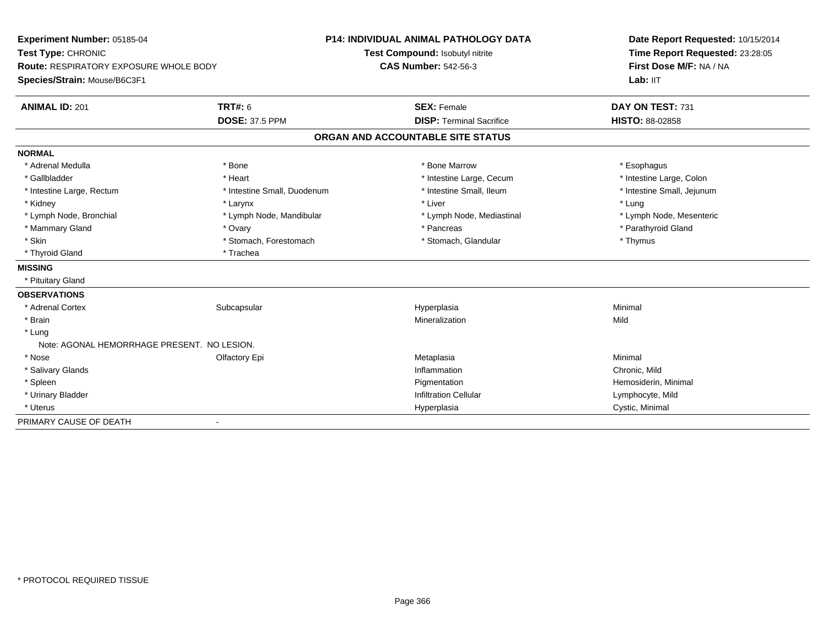| Experiment Number: 05185-04                   |                                 | <b>P14: INDIVIDUAL ANIMAL PATHOLOGY DATA</b> | Date Report Requested: 10/15/2014 |
|-----------------------------------------------|---------------------------------|----------------------------------------------|-----------------------------------|
| Test Type: CHRONIC                            | Test Compound: Isobutyl nitrite |                                              | Time Report Requested: 23:28:05   |
| <b>Route: RESPIRATORY EXPOSURE WHOLE BODY</b> |                                 | <b>CAS Number: 542-56-3</b>                  | First Dose M/F: NA / NA           |
| Species/Strain: Mouse/B6C3F1                  |                                 |                                              | Lab: IIT                          |
| <b>ANIMAL ID: 201</b>                         | <b>TRT#: 6</b>                  | <b>SEX: Female</b>                           | DAY ON TEST: 731                  |
|                                               | <b>DOSE: 37.5 PPM</b>           | <b>DISP: Terminal Sacrifice</b>              | HISTO: 88-02858                   |
|                                               |                                 | ORGAN AND ACCOUNTABLE SITE STATUS            |                                   |
| <b>NORMAL</b>                                 |                                 |                                              |                                   |
| * Adrenal Medulla                             | * Bone                          | * Bone Marrow                                | * Esophagus                       |
| * Gallbladder                                 | * Heart                         | * Intestine Large, Cecum                     | * Intestine Large, Colon          |
| * Intestine Large, Rectum                     | * Intestine Small, Duodenum     | * Intestine Small, Ileum                     | * Intestine Small, Jejunum        |
| * Kidney                                      | * Larynx                        | * Liver                                      | * Lung                            |
| * Lymph Node, Bronchial                       | * Lymph Node, Mandibular        | * Lymph Node, Mediastinal                    | * Lymph Node, Mesenteric          |
| * Mammary Gland                               | * Ovary                         | * Pancreas                                   | * Parathyroid Gland               |
| * Skin                                        | * Stomach, Forestomach          | * Stomach, Glandular                         | * Thymus                          |
| * Thyroid Gland                               | * Trachea                       |                                              |                                   |
| <b>MISSING</b>                                |                                 |                                              |                                   |
| * Pituitary Gland                             |                                 |                                              |                                   |
| <b>OBSERVATIONS</b>                           |                                 |                                              |                                   |
| * Adrenal Cortex                              | Subcapsular                     | Hyperplasia                                  | Minimal                           |
| * Brain                                       |                                 | Mineralization                               | Mild                              |
| * Lung                                        |                                 |                                              |                                   |
| Note: AGONAL HEMORRHAGE PRESENT. NO LESION.   |                                 |                                              |                                   |
| * Nose                                        | Olfactory Epi                   | Metaplasia                                   | Minimal                           |
| * Salivary Glands                             |                                 | Inflammation                                 | Chronic, Mild                     |
| * Spleen                                      |                                 | Pigmentation                                 | Hemosiderin, Minimal              |
| * Urinary Bladder                             |                                 | <b>Infiltration Cellular</b>                 | Lymphocyte, Mild                  |
| * Uterus                                      |                                 | Hyperplasia                                  | Cystic, Minimal                   |
| PRIMARY CAUSE OF DEATH                        |                                 |                                              |                                   |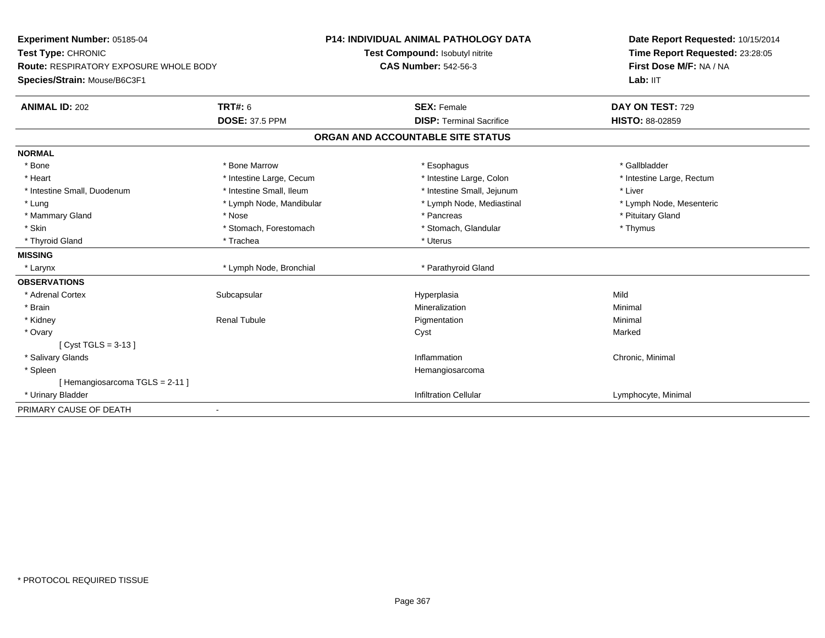| Experiment Number: 05185-04                   |                          | <b>P14: INDIVIDUAL ANIMAL PATHOLOGY DATA</b> | Date Report Requested: 10/15/2014 |
|-----------------------------------------------|--------------------------|----------------------------------------------|-----------------------------------|
| Test Type: CHRONIC                            |                          | Test Compound: Isobutyl nitrite              | Time Report Requested: 23:28:05   |
| <b>Route: RESPIRATORY EXPOSURE WHOLE BODY</b> |                          | <b>CAS Number: 542-56-3</b>                  | First Dose M/F: NA / NA           |
| Species/Strain: Mouse/B6C3F1                  |                          |                                              | Lab: IIT                          |
| <b>ANIMAL ID: 202</b>                         | <b>TRT#: 6</b>           | <b>SEX: Female</b>                           | DAY ON TEST: 729                  |
|                                               | <b>DOSE: 37.5 PPM</b>    | <b>DISP: Terminal Sacrifice</b>              | <b>HISTO: 88-02859</b>            |
|                                               |                          | ORGAN AND ACCOUNTABLE SITE STATUS            |                                   |
| <b>NORMAL</b>                                 |                          |                                              |                                   |
| * Bone                                        | * Bone Marrow            | * Esophagus                                  | * Gallbladder                     |
| * Heart                                       | * Intestine Large, Cecum | * Intestine Large, Colon                     | * Intestine Large, Rectum         |
| * Intestine Small, Duodenum                   | * Intestine Small, Ileum | * Intestine Small, Jejunum                   | * Liver                           |
| * Lung                                        | * Lymph Node, Mandibular | * Lymph Node, Mediastinal                    | * Lymph Node, Mesenteric          |
| * Mammary Gland                               | * Nose                   | * Pancreas                                   | * Pituitary Gland                 |
| * Skin                                        | * Stomach, Forestomach   | * Stomach, Glandular                         | * Thymus                          |
| * Thyroid Gland                               | * Trachea                | * Uterus                                     |                                   |
| <b>MISSING</b>                                |                          |                                              |                                   |
| * Larynx                                      | * Lymph Node, Bronchial  | * Parathyroid Gland                          |                                   |
| <b>OBSERVATIONS</b>                           |                          |                                              |                                   |
| * Adrenal Cortex                              | Subcapsular              | Hyperplasia                                  | Mild                              |
| * Brain                                       |                          | Mineralization                               | Minimal                           |
| * Kidney                                      | <b>Renal Tubule</b>      | Pigmentation                                 | Minimal                           |
| * Ovary                                       |                          | Cyst                                         | Marked                            |
| [Cyst TGLS = $3-13$ ]                         |                          |                                              |                                   |
| * Salivary Glands                             |                          | Inflammation                                 | Chronic, Minimal                  |
| * Spleen                                      |                          | Hemangiosarcoma                              |                                   |
| [Hemangiosarcoma TGLS = 2-11]                 |                          |                                              |                                   |
| * Urinary Bladder                             |                          | <b>Infiltration Cellular</b>                 | Lymphocyte, Minimal               |
| PRIMARY CAUSE OF DEATH                        |                          |                                              |                                   |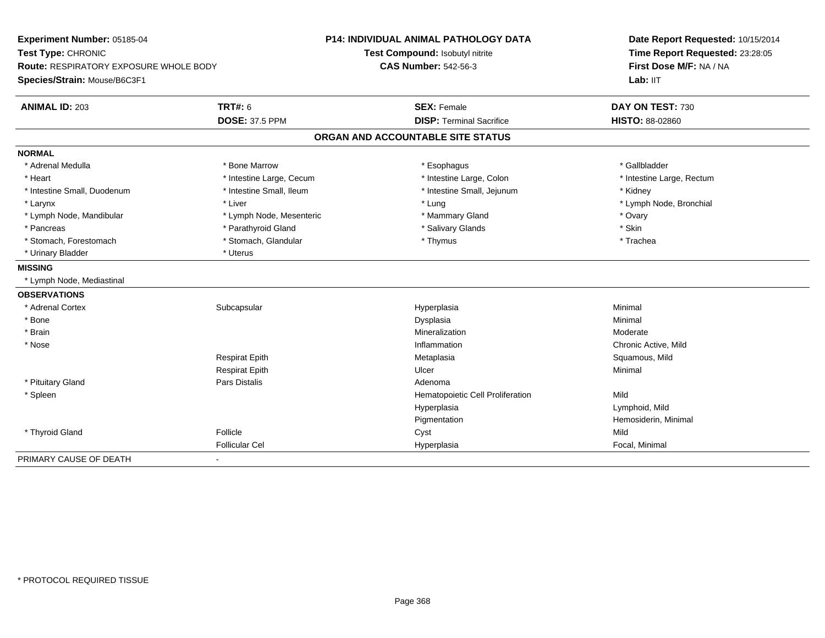| Experiment Number: 05185-04                   |                          | <b>P14: INDIVIDUAL ANIMAL PATHOLOGY DATA</b> | Date Report Requested: 10/15/2014 |
|-----------------------------------------------|--------------------------|----------------------------------------------|-----------------------------------|
| Test Type: CHRONIC                            |                          | Test Compound: Isobutyl nitrite              | Time Report Requested: 23:28:05   |
| <b>Route: RESPIRATORY EXPOSURE WHOLE BODY</b> |                          | <b>CAS Number: 542-56-3</b>                  | First Dose M/F: NA / NA           |
| Species/Strain: Mouse/B6C3F1                  |                          |                                              | Lab: IIT                          |
| <b>ANIMAL ID: 203</b>                         | <b>TRT#: 6</b>           | <b>SEX: Female</b>                           | DAY ON TEST: 730                  |
|                                               | <b>DOSE: 37.5 PPM</b>    | <b>DISP: Terminal Sacrifice</b>              | <b>HISTO: 88-02860</b>            |
|                                               |                          | ORGAN AND ACCOUNTABLE SITE STATUS            |                                   |
| <b>NORMAL</b>                                 |                          |                                              |                                   |
| * Adrenal Medulla                             | * Bone Marrow            | * Esophagus                                  | * Gallbladder                     |
| * Heart                                       | * Intestine Large, Cecum | * Intestine Large, Colon                     | * Intestine Large, Rectum         |
| * Intestine Small, Duodenum                   | * Intestine Small, Ileum | * Intestine Small, Jejunum                   | * Kidney                          |
| * Larynx                                      | * Liver                  | * Lung                                       | * Lymph Node, Bronchial           |
| * Lymph Node, Mandibular                      | * Lymph Node, Mesenteric | * Mammary Gland                              | * Ovary                           |
| * Pancreas                                    | * Parathyroid Gland      | * Salivary Glands                            | * Skin                            |
| * Stomach, Forestomach                        | * Stomach, Glandular     | * Thymus                                     | * Trachea                         |
| * Urinary Bladder                             | * Uterus                 |                                              |                                   |
| <b>MISSING</b>                                |                          |                                              |                                   |
| * Lymph Node, Mediastinal                     |                          |                                              |                                   |
| <b>OBSERVATIONS</b>                           |                          |                                              |                                   |
| * Adrenal Cortex                              | Subcapsular              | Hyperplasia                                  | Minimal                           |
| * Bone                                        |                          | Dysplasia                                    | Minimal                           |
| * Brain                                       |                          | Mineralization                               | Moderate                          |
| * Nose                                        |                          | Inflammation                                 | Chronic Active, Mild              |
|                                               | Respirat Epith           | Metaplasia                                   | Squamous, Mild                    |
|                                               | <b>Respirat Epith</b>    | Ulcer                                        | Minimal                           |
| * Pituitary Gland                             | <b>Pars Distalis</b>     | Adenoma                                      |                                   |
| * Spleen                                      |                          | Hematopoietic Cell Proliferation             | Mild                              |
|                                               |                          | Hyperplasia                                  | Lymphoid, Mild                    |
|                                               |                          | Pigmentation                                 | Hemosiderin, Minimal              |
| * Thyroid Gland                               | Follicle                 | Cyst                                         | Mild                              |
|                                               | <b>Follicular Cel</b>    | Hyperplasia                                  | Focal, Minimal                    |
| PRIMARY CAUSE OF DEATH                        |                          |                                              |                                   |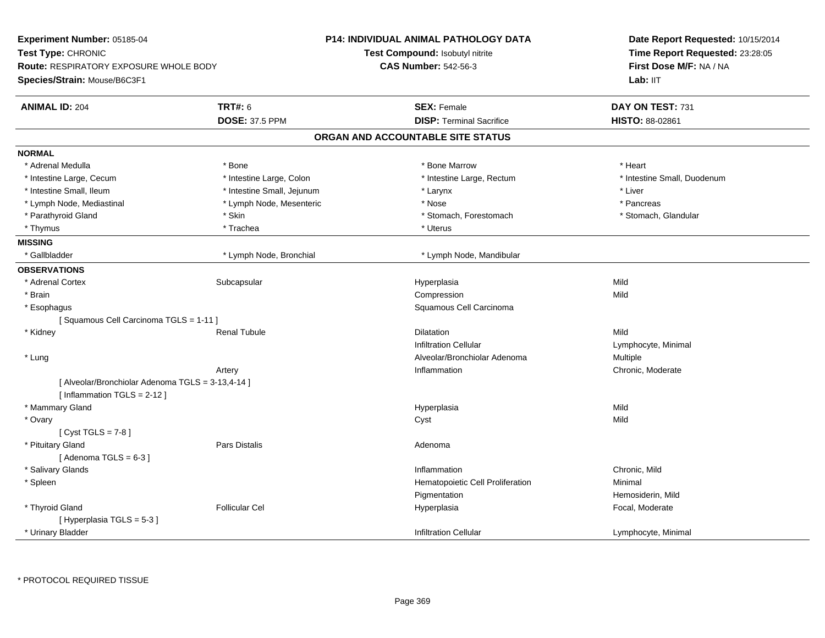| <b>Experiment Number: 05185-04</b><br>Test Type: CHRONIC<br><b>Route: RESPIRATORY EXPOSURE WHOLE BODY</b><br>Species/Strain: Mouse/B6C3F1 |                                         | <b>P14: INDIVIDUAL ANIMAL PATHOLOGY DATA</b><br><b>Test Compound: Isobutyl nitrite</b><br><b>CAS Number: 542-56-3</b> | Date Report Requested: 10/15/2014<br>Time Report Requested: 23:28:05<br>First Dose M/F: NA / NA<br>Lab: IIT |
|-------------------------------------------------------------------------------------------------------------------------------------------|-----------------------------------------|-----------------------------------------------------------------------------------------------------------------------|-------------------------------------------------------------------------------------------------------------|
| <b>ANIMAL ID: 204</b>                                                                                                                     | <b>TRT#: 6</b><br><b>DOSE: 37.5 PPM</b> | <b>SEX: Female</b><br><b>DISP: Terminal Sacrifice</b>                                                                 | DAY ON TEST: 731<br>HISTO: 88-02861                                                                         |
|                                                                                                                                           |                                         | ORGAN AND ACCOUNTABLE SITE STATUS                                                                                     |                                                                                                             |
| <b>NORMAL</b>                                                                                                                             |                                         |                                                                                                                       |                                                                                                             |
| * Adrenal Medulla                                                                                                                         | * Bone                                  | * Bone Marrow                                                                                                         | * Heart                                                                                                     |
| * Intestine Large, Cecum                                                                                                                  | * Intestine Large, Colon                | * Intestine Large, Rectum                                                                                             | * Intestine Small, Duodenum                                                                                 |
| * Intestine Small, Ileum                                                                                                                  | * Intestine Small, Jejunum              | * Larynx                                                                                                              | $*$ Liver                                                                                                   |
| * Lymph Node, Mediastinal                                                                                                                 | * Lymph Node, Mesenteric                | * Nose                                                                                                                | * Pancreas                                                                                                  |
| * Parathyroid Gland                                                                                                                       | * Skin                                  | * Stomach, Forestomach                                                                                                | * Stomach, Glandular                                                                                        |
| * Thymus                                                                                                                                  | * Trachea                               | * Uterus                                                                                                              |                                                                                                             |
| <b>MISSING</b>                                                                                                                            |                                         |                                                                                                                       |                                                                                                             |
| * Gallbladder                                                                                                                             | * Lymph Node, Bronchial                 | * Lymph Node, Mandibular                                                                                              |                                                                                                             |
| <b>OBSERVATIONS</b>                                                                                                                       |                                         |                                                                                                                       |                                                                                                             |
| * Adrenal Cortex                                                                                                                          | Subcapsular                             | Hyperplasia                                                                                                           | Mild                                                                                                        |
| * Brain                                                                                                                                   |                                         | Compression                                                                                                           | Mild                                                                                                        |
| * Esophagus                                                                                                                               |                                         | Squamous Cell Carcinoma                                                                                               |                                                                                                             |
| [Squamous Cell Carcinoma TGLS = 1-11]                                                                                                     |                                         |                                                                                                                       |                                                                                                             |
| * Kidney                                                                                                                                  | <b>Renal Tubule</b>                     | <b>Dilatation</b>                                                                                                     | Mild                                                                                                        |
|                                                                                                                                           |                                         | <b>Infiltration Cellular</b>                                                                                          | Lymphocyte, Minimal                                                                                         |
| * Lung                                                                                                                                    |                                         | Alveolar/Bronchiolar Adenoma                                                                                          | Multiple                                                                                                    |
|                                                                                                                                           | Artery                                  | Inflammation                                                                                                          | Chronic, Moderate                                                                                           |
| [ Alveolar/Bronchiolar Adenoma TGLS = 3-13,4-14 ]<br>[Inflammation TGLS = 2-12]                                                           |                                         |                                                                                                                       |                                                                                                             |
| * Mammary Gland                                                                                                                           |                                         | Hyperplasia                                                                                                           | Mild                                                                                                        |
| * Ovary                                                                                                                                   |                                         | Cyst                                                                                                                  | Mild                                                                                                        |
| [Cyst TGLS = $7-8$ ]                                                                                                                      |                                         |                                                                                                                       |                                                                                                             |
| * Pituitary Gland<br>[Adenoma TGLS = $6-3$ ]                                                                                              | <b>Pars Distalis</b>                    | Adenoma                                                                                                               |                                                                                                             |
| * Salivary Glands                                                                                                                         |                                         | Inflammation                                                                                                          | Chronic, Mild                                                                                               |
| * Spleen                                                                                                                                  |                                         | Hematopoietic Cell Proliferation                                                                                      | Minimal                                                                                                     |
|                                                                                                                                           |                                         | Pigmentation                                                                                                          | Hemosiderin, Mild                                                                                           |
| * Thyroid Gland                                                                                                                           | <b>Follicular Cel</b>                   | Hyperplasia                                                                                                           | Focal, Moderate                                                                                             |
| [Hyperplasia TGLS = 5-3]                                                                                                                  |                                         |                                                                                                                       |                                                                                                             |
| * Urinary Bladder                                                                                                                         |                                         | <b>Infiltration Cellular</b>                                                                                          | Lymphocyte, Minimal                                                                                         |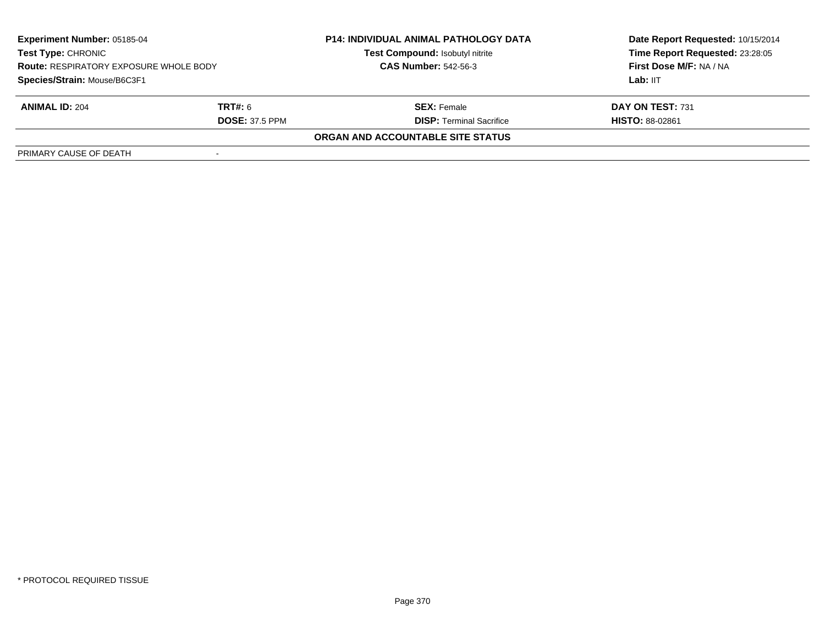| <b>Experiment Number: 05185-04</b><br><b>Test Type: CHRONIC</b><br><b>Route: RESPIRATORY EXPOSURE WHOLE BODY</b><br>Species/Strain: Mouse/B6C3F1 |                       | <b>P14: INDIVIDUAL ANIMAL PATHOLOGY DATA</b><br>Test Compound: Isobutyl nitrite | Date Report Requested: 10/15/2014<br>Time Report Requested: 23:28:05 |
|--------------------------------------------------------------------------------------------------------------------------------------------------|-----------------------|---------------------------------------------------------------------------------|----------------------------------------------------------------------|
|                                                                                                                                                  |                       | <b>CAS Number: 542-56-3</b>                                                     | First Dose M/F: NA / NA                                              |
|                                                                                                                                                  |                       |                                                                                 | Lab: IIT                                                             |
| <b>ANIMAL ID: 204</b>                                                                                                                            | <b>TRT#:</b> 6        | <b>SEX:</b> Female                                                              | DAY ON TEST: 731                                                     |
|                                                                                                                                                  | <b>DOSE: 37.5 PPM</b> | <b>DISP:</b> Terminal Sacrifice                                                 | <b>HISTO: 88-02861</b>                                               |
|                                                                                                                                                  |                       | ORGAN AND ACCOUNTABLE SITE STATUS                                               |                                                                      |
| PRIMARY CAUSE OF DEATH                                                                                                                           |                       |                                                                                 |                                                                      |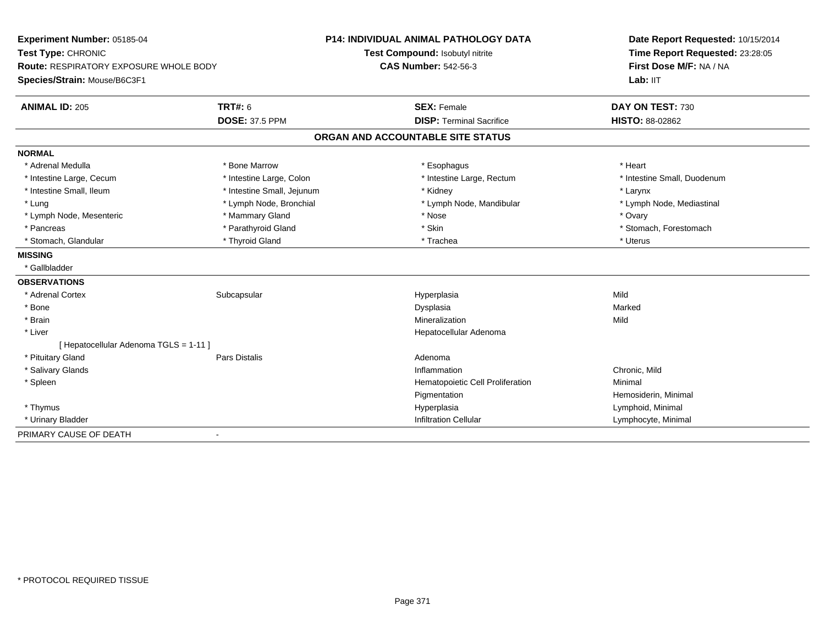| Experiment Number: 05185-04            |                            | <b>P14: INDIVIDUAL ANIMAL PATHOLOGY DATA</b> | Date Report Requested: 10/15/2014<br>Time Report Requested: 23:28:05 |
|----------------------------------------|----------------------------|----------------------------------------------|----------------------------------------------------------------------|
| Test Type: CHRONIC                     |                            | Test Compound: Isobutyl nitrite              |                                                                      |
| Route: RESPIRATORY EXPOSURE WHOLE BODY |                            | <b>CAS Number: 542-56-3</b>                  | First Dose M/F: NA / NA                                              |
| Species/Strain: Mouse/B6C3F1           |                            |                                              | Lab: IIT                                                             |
| <b>ANIMAL ID: 205</b>                  | <b>TRT#: 6</b>             | <b>SEX: Female</b>                           | DAY ON TEST: 730                                                     |
|                                        | <b>DOSE: 37.5 PPM</b>      | <b>DISP: Terminal Sacrifice</b>              | <b>HISTO: 88-02862</b>                                               |
|                                        |                            | ORGAN AND ACCOUNTABLE SITE STATUS            |                                                                      |
| <b>NORMAL</b>                          |                            |                                              |                                                                      |
| * Adrenal Medulla                      | * Bone Marrow              | * Esophagus                                  | * Heart                                                              |
| * Intestine Large, Cecum               | * Intestine Large, Colon   | * Intestine Large, Rectum                    | * Intestine Small, Duodenum                                          |
| * Intestine Small, Ileum               | * Intestine Small, Jejunum | * Kidney                                     | * Larynx                                                             |
| * Lung                                 | * Lymph Node, Bronchial    | * Lymph Node, Mandibular                     | * Lymph Node, Mediastinal                                            |
| * Lymph Node, Mesenteric               | * Mammary Gland            | * Nose                                       | * Ovary                                                              |
| * Pancreas                             | * Parathyroid Gland        | * Skin                                       | * Stomach, Forestomach                                               |
| * Stomach, Glandular                   | * Thyroid Gland            | * Trachea                                    | * Uterus                                                             |
| <b>MISSING</b>                         |                            |                                              |                                                                      |
| * Gallbladder                          |                            |                                              |                                                                      |
| <b>OBSERVATIONS</b>                    |                            |                                              |                                                                      |
| * Adrenal Cortex                       | Subcapsular                | Hyperplasia                                  | Mild                                                                 |
| * Bone                                 |                            | Dysplasia                                    | Marked                                                               |
| * Brain                                |                            | Mineralization                               | Mild                                                                 |
| * Liver                                |                            | Hepatocellular Adenoma                       |                                                                      |
| [ Hepatocellular Adenoma TGLS = 1-11 ] |                            |                                              |                                                                      |
| * Pituitary Gland                      | Pars Distalis              | Adenoma                                      |                                                                      |
| * Salivary Glands                      |                            | Inflammation                                 | Chronic, Mild                                                        |
| * Spleen                               |                            | Hematopoietic Cell Proliferation             | Minimal                                                              |
|                                        |                            | Pigmentation                                 | Hemosiderin, Minimal                                                 |
| * Thymus                               |                            | Hyperplasia                                  | Lymphoid, Minimal                                                    |
| * Urinary Bladder                      |                            | <b>Infiltration Cellular</b>                 | Lymphocyte, Minimal                                                  |
| PRIMARY CAUSE OF DEATH                 | $\overline{\phantom{a}}$   |                                              |                                                                      |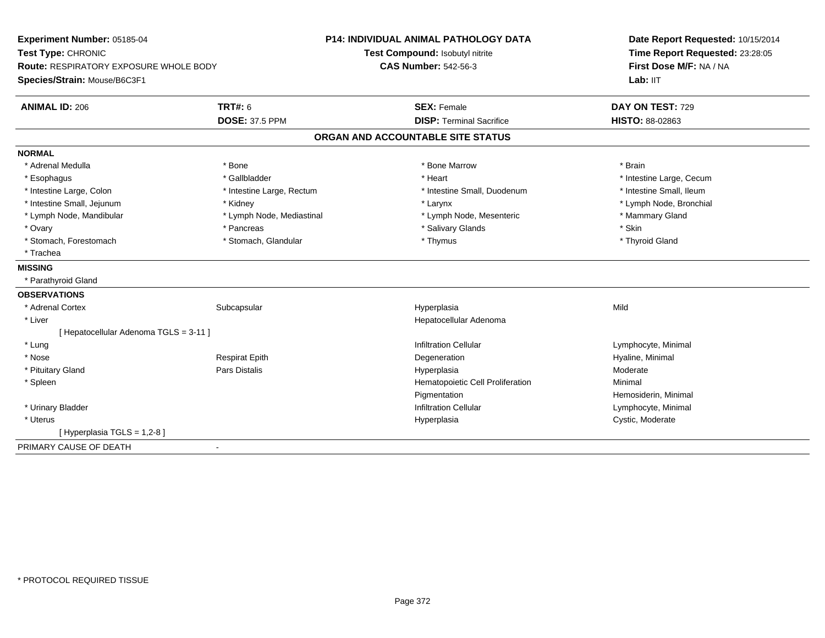| Experiment Number: 05185-04              |                           | <b>P14: INDIVIDUAL ANIMAL PATHOLOGY DATA</b> | Date Report Requested: 10/15/2014 |
|------------------------------------------|---------------------------|----------------------------------------------|-----------------------------------|
| Test Type: CHRONIC                       |                           | Test Compound: Isobutyl nitrite              | Time Report Requested: 23:28:05   |
| Route: RESPIRATORY EXPOSURE WHOLE BODY   |                           | <b>CAS Number: 542-56-3</b>                  | First Dose M/F: NA / NA           |
| Species/Strain: Mouse/B6C3F1             |                           |                                              | Lab: IIT                          |
| <b>ANIMAL ID: 206</b>                    | <b>TRT#: 6</b>            | <b>SEX: Female</b>                           | DAY ON TEST: 729                  |
|                                          | <b>DOSE: 37.5 PPM</b>     | <b>DISP: Terminal Sacrifice</b>              | HISTO: 88-02863                   |
|                                          |                           | ORGAN AND ACCOUNTABLE SITE STATUS            |                                   |
| <b>NORMAL</b>                            |                           |                                              |                                   |
| * Adrenal Medulla                        | * Bone                    | * Bone Marrow                                | * Brain                           |
| * Esophagus                              | * Gallbladder             | * Heart                                      | * Intestine Large, Cecum          |
| * Intestine Large, Colon                 | * Intestine Large, Rectum | * Intestine Small, Duodenum                  | * Intestine Small, Ileum          |
| * Intestine Small, Jejunum               | * Kidney                  | * Larynx                                     | * Lymph Node, Bronchial           |
| * Lymph Node, Mandibular                 | * Lymph Node, Mediastinal | * Lymph Node, Mesenteric                     | * Mammary Gland                   |
| * Ovary                                  | * Pancreas                | * Salivary Glands                            | * Skin                            |
| * Stomach, Forestomach                   | * Stomach, Glandular      | * Thymus                                     | * Thyroid Gland                   |
| * Trachea                                |                           |                                              |                                   |
| <b>MISSING</b>                           |                           |                                              |                                   |
| * Parathyroid Gland                      |                           |                                              |                                   |
| <b>OBSERVATIONS</b>                      |                           |                                              |                                   |
| * Adrenal Cortex                         | Subcapsular               | Hyperplasia                                  | Mild                              |
| * Liver                                  |                           | Hepatocellular Adenoma                       |                                   |
| [ Hepatocellular Adenoma TGLS = 3-11 ]   |                           |                                              |                                   |
| * Lung                                   |                           | <b>Infiltration Cellular</b>                 | Lymphocyte, Minimal               |
| * Nose                                   | <b>Respirat Epith</b>     | Degeneration                                 | Hyaline, Minimal                  |
| * Pituitary Gland                        | Pars Distalis             | Hyperplasia                                  | Moderate                          |
| * Spleen                                 |                           | Hematopoietic Cell Proliferation             | Minimal                           |
|                                          |                           | Pigmentation                                 | Hemosiderin, Minimal              |
| * Urinary Bladder                        |                           | <b>Infiltration Cellular</b>                 | Lymphocyte, Minimal               |
| * Uterus                                 |                           | Hyperplasia                                  | Cystic, Moderate                  |
| [ Hyperplasia TGLS = 1,2-8 ]             |                           |                                              |                                   |
| PRIMARY CAUSE OF DEATH<br>$\blacksquare$ |                           |                                              |                                   |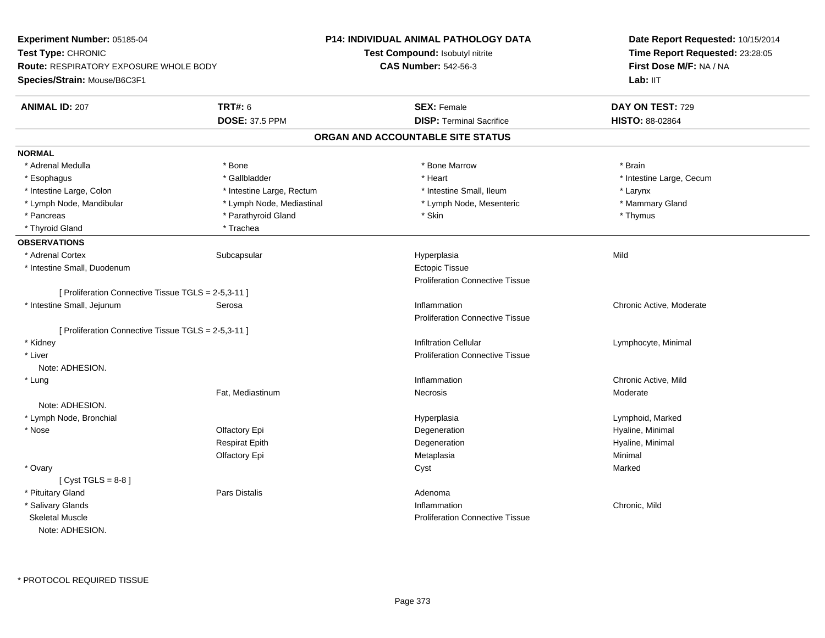| Experiment Number: 05185-04                         |                           | P14: INDIVIDUAL ANIMAL PATHOLOGY DATA  | Date Report Requested: 10/15/2014<br>Time Report Requested: 23:28:05<br>First Dose M/F: NA / NA<br>Lab: IIT |
|-----------------------------------------------------|---------------------------|----------------------------------------|-------------------------------------------------------------------------------------------------------------|
| Test Type: CHRONIC                                  |                           | Test Compound: Isobutyl nitrite        |                                                                                                             |
| <b>Route: RESPIRATORY EXPOSURE WHOLE BODY</b>       |                           | <b>CAS Number: 542-56-3</b>            |                                                                                                             |
| Species/Strain: Mouse/B6C3F1                        |                           |                                        |                                                                                                             |
| <b>ANIMAL ID: 207</b>                               | <b>TRT#: 6</b>            | <b>SEX: Female</b>                     | DAY ON TEST: 729                                                                                            |
|                                                     | <b>DOSE: 37.5 PPM</b>     | <b>DISP: Terminal Sacrifice</b>        | HISTO: 88-02864                                                                                             |
|                                                     |                           | ORGAN AND ACCOUNTABLE SITE STATUS      |                                                                                                             |
| <b>NORMAL</b>                                       |                           |                                        |                                                                                                             |
| * Adrenal Medulla                                   | * Bone                    | * Bone Marrow                          | * Brain                                                                                                     |
| * Esophagus                                         | * Gallbladder             | * Heart                                | * Intestine Large, Cecum                                                                                    |
| * Intestine Large, Colon                            | * Intestine Large, Rectum | * Intestine Small, Ileum               | * Larynx                                                                                                    |
| * Lymph Node, Mandibular                            | * Lymph Node, Mediastinal | * Lymph Node, Mesenteric               | * Mammary Gland                                                                                             |
| * Pancreas                                          | * Parathyroid Gland       | * Skin                                 | * Thymus                                                                                                    |
| * Thyroid Gland                                     | * Trachea                 |                                        |                                                                                                             |
| <b>OBSERVATIONS</b>                                 |                           |                                        |                                                                                                             |
| * Adrenal Cortex                                    | Subcapsular               | Hyperplasia                            | Mild                                                                                                        |
| * Intestine Small, Duodenum                         |                           | <b>Ectopic Tissue</b>                  |                                                                                                             |
|                                                     |                           | <b>Proliferation Connective Tissue</b> |                                                                                                             |
| [ Proliferation Connective Tissue TGLS = 2-5,3-11 ] |                           |                                        |                                                                                                             |
| * Intestine Small, Jejunum                          | Serosa                    | Inflammation                           | Chronic Active, Moderate                                                                                    |
|                                                     |                           | <b>Proliferation Connective Tissue</b> |                                                                                                             |
| [ Proliferation Connective Tissue TGLS = 2-5,3-11 ] |                           |                                        |                                                                                                             |
| * Kidney                                            |                           | <b>Infiltration Cellular</b>           | Lymphocyte, Minimal                                                                                         |
| * Liver                                             |                           | <b>Proliferation Connective Tissue</b> |                                                                                                             |
| Note: ADHESION.                                     |                           |                                        |                                                                                                             |
| * Lung                                              |                           | Inflammation                           | Chronic Active, Mild                                                                                        |
|                                                     | Fat, Mediastinum          | Necrosis                               | Moderate                                                                                                    |
| Note: ADHESION.                                     |                           |                                        |                                                                                                             |
| * Lymph Node, Bronchial                             |                           | Hyperplasia                            | Lymphoid, Marked                                                                                            |
| * Nose                                              | Olfactory Epi             | Degeneration                           | Hyaline, Minimal                                                                                            |
|                                                     | <b>Respirat Epith</b>     | Degeneration                           | Hyaline, Minimal                                                                                            |
|                                                     | Olfactory Epi             | Metaplasia                             | Minimal                                                                                                     |
| * Ovary                                             |                           | Cyst                                   | Marked                                                                                                      |
| $[Cyst TGLS = 8-8]$                                 |                           |                                        |                                                                                                             |
| * Pituitary Gland                                   | <b>Pars Distalis</b>      | Adenoma                                |                                                                                                             |
| * Salivary Glands                                   |                           | Inflammation                           | Chronic, Mild                                                                                               |
| <b>Skeletal Muscle</b>                              |                           | <b>Proliferation Connective Tissue</b> |                                                                                                             |
| Note: ADHESION.                                     |                           |                                        |                                                                                                             |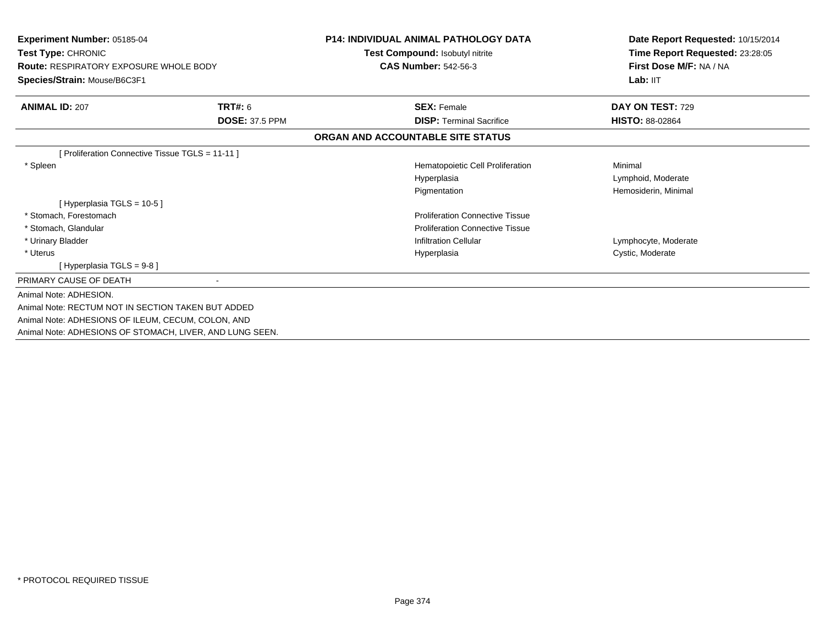| Experiment Number: 05185-04<br>Test Type: CHRONIC<br><b>Route: RESPIRATORY EXPOSURE WHOLE BODY</b><br>Species/Strain: Mouse/B6C3F1 |                       | <b>P14: INDIVIDUAL ANIMAL PATHOLOGY DATA</b><br>Test Compound: Isobutyl nitrite<br><b>CAS Number: 542-56-3</b> | Date Report Requested: 10/15/2014<br>Time Report Requested: 23:28:05<br>First Dose M/F: NA / NA<br>Lab: IIT |
|------------------------------------------------------------------------------------------------------------------------------------|-----------------------|----------------------------------------------------------------------------------------------------------------|-------------------------------------------------------------------------------------------------------------|
| <b>ANIMAL ID: 207</b>                                                                                                              | <b>TRT#: 6</b>        | <b>SEX: Female</b>                                                                                             | DAY ON TEST: 729                                                                                            |
|                                                                                                                                    | <b>DOSE: 37.5 PPM</b> | <b>DISP: Terminal Sacrifice</b>                                                                                | <b>HISTO: 88-02864</b>                                                                                      |
|                                                                                                                                    |                       | ORGAN AND ACCOUNTABLE SITE STATUS                                                                              |                                                                                                             |
| [ Proliferation Connective Tissue TGLS = 11-11 ]                                                                                   |                       |                                                                                                                |                                                                                                             |
| * Spleen                                                                                                                           |                       | Hematopoietic Cell Proliferation                                                                               | Minimal                                                                                                     |
|                                                                                                                                    |                       | Hyperplasia                                                                                                    | Lymphoid, Moderate                                                                                          |
|                                                                                                                                    |                       | Pigmentation                                                                                                   | Hemosiderin, Minimal                                                                                        |
| [Hyperplasia TGLS = 10-5]                                                                                                          |                       |                                                                                                                |                                                                                                             |
| * Stomach, Forestomach                                                                                                             |                       | <b>Proliferation Connective Tissue</b>                                                                         |                                                                                                             |
| * Stomach, Glandular                                                                                                               |                       | <b>Proliferation Connective Tissue</b>                                                                         |                                                                                                             |
| * Urinary Bladder                                                                                                                  |                       | <b>Infiltration Cellular</b>                                                                                   | Lymphocyte, Moderate                                                                                        |
| * Uterus                                                                                                                           |                       | Hyperplasia                                                                                                    | Cystic, Moderate                                                                                            |
| [Hyperplasia TGLS = 9-8 ]                                                                                                          |                       |                                                                                                                |                                                                                                             |
| PRIMARY CAUSE OF DEATH                                                                                                             |                       |                                                                                                                |                                                                                                             |
| Animal Note: ADHESION.                                                                                                             |                       |                                                                                                                |                                                                                                             |
| Animal Note: RECTUM NOT IN SECTION TAKEN BUT ADDED                                                                                 |                       |                                                                                                                |                                                                                                             |
| Animal Note: ADHESIONS OF ILEUM, CECUM, COLON, AND                                                                                 |                       |                                                                                                                |                                                                                                             |
| Animal Note: ADHESIONS OF STOMACH, LIVER, AND LUNG SEEN.                                                                           |                       |                                                                                                                |                                                                                                             |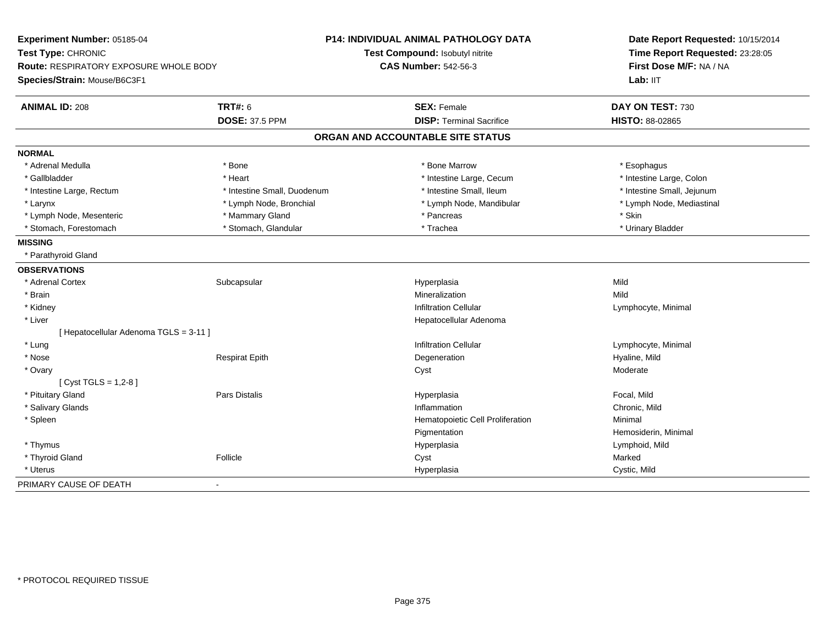| Experiment Number: 05185-04              |                             | P14: INDIVIDUAL ANIMAL PATHOLOGY DATA | Date Report Requested: 10/15/2014<br>Time Report Requested: 23:28:05<br>First Dose M/F: NA / NA |
|------------------------------------------|-----------------------------|---------------------------------------|-------------------------------------------------------------------------------------------------|
| Test Type: CHRONIC                       |                             | Test Compound: Isobutyl nitrite       |                                                                                                 |
| Route: RESPIRATORY EXPOSURE WHOLE BODY   |                             | <b>CAS Number: 542-56-3</b>           |                                                                                                 |
| Species/Strain: Mouse/B6C3F1             |                             |                                       | Lab: IIT                                                                                        |
| <b>ANIMAL ID: 208</b>                    | <b>TRT#: 6</b>              | <b>SEX: Female</b>                    | DAY ON TEST: 730                                                                                |
|                                          | <b>DOSE: 37.5 PPM</b>       | <b>DISP: Terminal Sacrifice</b>       | <b>HISTO: 88-02865</b>                                                                          |
|                                          |                             | ORGAN AND ACCOUNTABLE SITE STATUS     |                                                                                                 |
| <b>NORMAL</b>                            |                             |                                       |                                                                                                 |
| * Adrenal Medulla                        | * Bone                      | * Bone Marrow                         | * Esophagus                                                                                     |
| * Gallbladder                            | * Heart                     | * Intestine Large, Cecum              | * Intestine Large, Colon                                                                        |
| * Intestine Large, Rectum                | * Intestine Small, Duodenum | * Intestine Small, Ileum              | * Intestine Small, Jejunum                                                                      |
| * Larynx                                 | * Lymph Node, Bronchial     | * Lymph Node, Mandibular              | * Lymph Node, Mediastinal                                                                       |
| * Lymph Node, Mesenteric                 | * Mammary Gland             | * Pancreas                            | * Skin                                                                                          |
| * Stomach, Forestomach                   | * Stomach, Glandular        | * Trachea                             | * Urinary Bladder                                                                               |
| <b>MISSING</b>                           |                             |                                       |                                                                                                 |
| * Parathyroid Gland                      |                             |                                       |                                                                                                 |
| <b>OBSERVATIONS</b>                      |                             |                                       |                                                                                                 |
| * Adrenal Cortex                         | Subcapsular                 | Hyperplasia                           | Mild                                                                                            |
| * Brain                                  |                             | Mineralization                        | Mild                                                                                            |
| * Kidney                                 |                             | <b>Infiltration Cellular</b>          | Lymphocyte, Minimal                                                                             |
| * Liver                                  |                             | Hepatocellular Adenoma                |                                                                                                 |
| [ Hepatocellular Adenoma TGLS = 3-11 ]   |                             |                                       |                                                                                                 |
| * Lung                                   |                             | <b>Infiltration Cellular</b>          | Lymphocyte, Minimal                                                                             |
| * Nose                                   | <b>Respirat Epith</b>       | Degeneration                          | Hyaline, Mild                                                                                   |
| * Ovary                                  |                             | Cyst                                  | Moderate                                                                                        |
| [Cyst TGLS = $1,2-8$ ]                   |                             |                                       |                                                                                                 |
| * Pituitary Gland                        | Pars Distalis               | Hyperplasia                           | Focal, Mild                                                                                     |
| * Salivary Glands                        |                             | Inflammation                          | Chronic, Mild                                                                                   |
| * Spleen                                 |                             | Hematopoietic Cell Proliferation      | Minimal                                                                                         |
|                                          |                             | Pigmentation                          | Hemosiderin, Minimal                                                                            |
| * Thymus                                 |                             | Hyperplasia                           | Lymphoid, Mild                                                                                  |
| * Thyroid Gland                          | Follicle                    | Cyst                                  | Marked                                                                                          |
| * Uterus                                 |                             | Hyperplasia                           | Cystic, Mild                                                                                    |
| PRIMARY CAUSE OF DEATH<br>$\blacksquare$ |                             |                                       |                                                                                                 |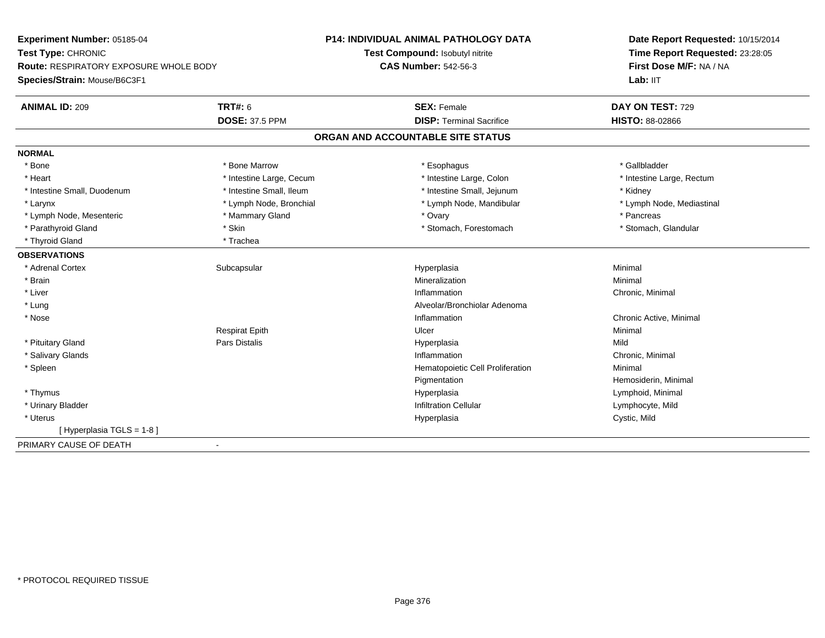| Experiment Number: 05185-04                             | <b>P14: INDIVIDUAL ANIMAL PATHOLOGY DATA</b> | Date Report Requested: 10/15/2014<br>Time Report Requested: 23:28:05<br>First Dose M/F: NA / NA |
|---------------------------------------------------------|----------------------------------------------|-------------------------------------------------------------------------------------------------|
| Test Type: CHRONIC                                      | <b>Test Compound: Isobutyl nitrite</b>       |                                                                                                 |
| Route: RESPIRATORY EXPOSURE WHOLE BODY                  | <b>CAS Number: 542-56-3</b>                  |                                                                                                 |
| Species/Strain: Mouse/B6C3F1                            |                                              | Lab: IIT                                                                                        |
| <b>TRT#: 6</b><br><b>ANIMAL ID: 209</b>                 | <b>SEX: Female</b>                           | DAY ON TEST: 729                                                                                |
| <b>DOSE: 37.5 PPM</b>                                   | <b>DISP: Terminal Sacrifice</b>              | <b>HISTO: 88-02866</b>                                                                          |
|                                                         | ORGAN AND ACCOUNTABLE SITE STATUS            |                                                                                                 |
| <b>NORMAL</b>                                           |                                              |                                                                                                 |
| * Bone<br>* Bone Marrow                                 | * Esophagus                                  | * Gallbladder                                                                                   |
| * Intestine Large, Cecum<br>* Heart                     | * Intestine Large, Colon                     | * Intestine Large, Rectum                                                                       |
| * Intestine Small, Ileum<br>* Intestine Small, Duodenum | * Intestine Small, Jejunum                   | * Kidney                                                                                        |
| * Lymph Node, Bronchial<br>* Larynx                     | * Lymph Node, Mandibular                     | * Lymph Node, Mediastinal                                                                       |
| * Lymph Node, Mesenteric<br>* Mammary Gland             | * Ovary                                      | * Pancreas                                                                                      |
| * Skin<br>* Parathyroid Gland                           | * Stomach, Forestomach                       | * Stomach, Glandular                                                                            |
| * Thyroid Gland<br>* Trachea                            |                                              |                                                                                                 |
| <b>OBSERVATIONS</b>                                     |                                              |                                                                                                 |
| * Adrenal Cortex<br>Subcapsular                         | Hyperplasia                                  | Minimal                                                                                         |
| * Brain                                                 | Mineralization                               | Minimal                                                                                         |
| * Liver                                                 | Inflammation                                 | Chronic, Minimal                                                                                |
| * Lung                                                  | Alveolar/Bronchiolar Adenoma                 |                                                                                                 |
| * Nose                                                  | Inflammation                                 | Chronic Active, Minimal                                                                         |
| <b>Respirat Epith</b>                                   | Ulcer                                        | Minimal                                                                                         |
| Pars Distalis<br>* Pituitary Gland                      | Hyperplasia                                  | Mild                                                                                            |
| * Salivary Glands                                       | Inflammation                                 | Chronic, Minimal                                                                                |
| * Spleen                                                | Hematopoietic Cell Proliferation             | Minimal                                                                                         |
|                                                         | Pigmentation                                 | Hemosiderin, Minimal                                                                            |
| * Thymus                                                | Hyperplasia                                  | Lymphoid, Minimal                                                                               |
| * Urinary Bladder                                       | <b>Infiltration Cellular</b>                 | Lymphocyte, Mild                                                                                |
| * Uterus                                                | Hyperplasia                                  | Cystic, Mild                                                                                    |
| [Hyperplasia TGLS = 1-8]                                |                                              |                                                                                                 |
| PRIMARY CAUSE OF DEATH                                  |                                              |                                                                                                 |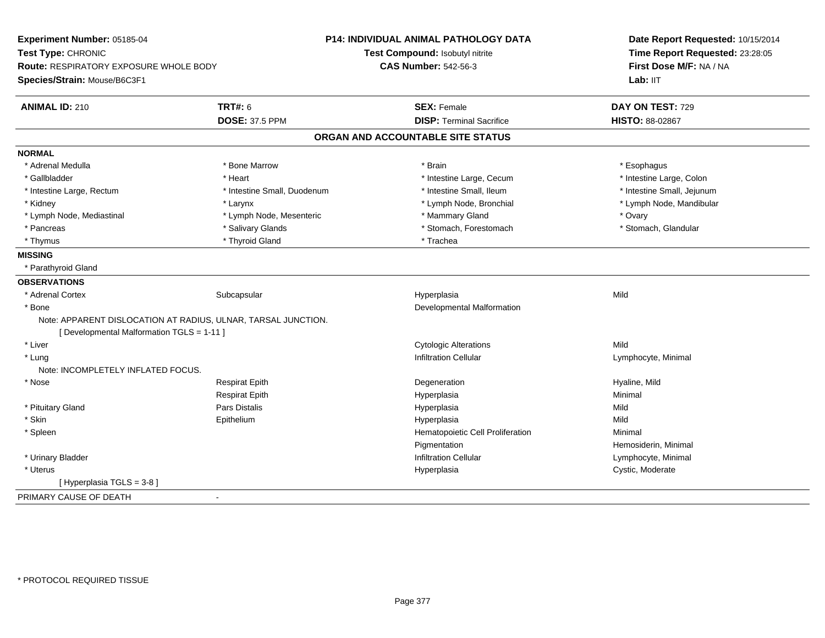| Experiment Number: 05185-04                |                                                               | <b>P14: INDIVIDUAL ANIMAL PATHOLOGY DATA</b> | Date Report Requested: 10/15/2014<br>Time Report Requested: 23:28:05<br>First Dose M/F: NA / NA |
|--------------------------------------------|---------------------------------------------------------------|----------------------------------------------|-------------------------------------------------------------------------------------------------|
| Test Type: CHRONIC                         |                                                               | Test Compound: Isobutyl nitrite              |                                                                                                 |
| Route: RESPIRATORY EXPOSURE WHOLE BODY     |                                                               | <b>CAS Number: 542-56-3</b>                  |                                                                                                 |
| Species/Strain: Mouse/B6C3F1               |                                                               |                                              | Lab: IIT                                                                                        |
| <b>ANIMAL ID: 210</b>                      | <b>TRT#: 6</b>                                                | <b>SEX: Female</b>                           | DAY ON TEST: 729                                                                                |
|                                            | <b>DOSE: 37.5 PPM</b>                                         | <b>DISP: Terminal Sacrifice</b>              | <b>HISTO: 88-02867</b>                                                                          |
|                                            |                                                               | ORGAN AND ACCOUNTABLE SITE STATUS            |                                                                                                 |
| <b>NORMAL</b>                              |                                                               |                                              |                                                                                                 |
| * Adrenal Medulla                          | * Bone Marrow                                                 | * Brain                                      | * Esophagus                                                                                     |
| * Gallbladder                              | * Heart                                                       | * Intestine Large, Cecum                     | * Intestine Large, Colon                                                                        |
| * Intestine Large, Rectum                  | * Intestine Small, Duodenum                                   | * Intestine Small, Ileum                     | * Intestine Small, Jejunum                                                                      |
| * Kidney                                   | * Larynx                                                      | * Lymph Node, Bronchial                      | * Lymph Node, Mandibular                                                                        |
| * Lymph Node, Mediastinal                  | * Lymph Node, Mesenteric                                      | * Mammary Gland                              | * Ovary                                                                                         |
| * Pancreas                                 | * Salivary Glands                                             | * Stomach, Forestomach                       | * Stomach, Glandular                                                                            |
| * Thymus                                   | * Thyroid Gland                                               | * Trachea                                    |                                                                                                 |
| <b>MISSING</b>                             |                                                               |                                              |                                                                                                 |
| * Parathyroid Gland                        |                                                               |                                              |                                                                                                 |
| <b>OBSERVATIONS</b>                        |                                                               |                                              |                                                                                                 |
| * Adrenal Cortex                           | Subcapsular                                                   | Hyperplasia                                  | Mild                                                                                            |
| * Bone                                     |                                                               | Developmental Malformation                   |                                                                                                 |
|                                            | Note: APPARENT DISLOCATION AT RADIUS, ULNAR, TARSAL JUNCTION. |                                              |                                                                                                 |
| [ Developmental Malformation TGLS = 1-11 ] |                                                               |                                              |                                                                                                 |
| * Liver                                    |                                                               | <b>Cytologic Alterations</b>                 | Mild                                                                                            |
| * Lung                                     |                                                               | <b>Infiltration Cellular</b>                 | Lymphocyte, Minimal                                                                             |
| Note: INCOMPLETELY INFLATED FOCUS.         |                                                               |                                              |                                                                                                 |
| * Nose                                     | <b>Respirat Epith</b>                                         | Degeneration                                 | Hyaline, Mild                                                                                   |
|                                            | <b>Respirat Epith</b>                                         | Hyperplasia                                  | Minimal                                                                                         |
| * Pituitary Gland                          | Pars Distalis                                                 | Hyperplasia                                  | Mild                                                                                            |
| * Skin                                     | Epithelium                                                    | Hyperplasia                                  | Mild                                                                                            |
| * Spleen                                   |                                                               | Hematopoietic Cell Proliferation             | Minimal                                                                                         |
|                                            |                                                               | Pigmentation                                 | Hemosiderin, Minimal                                                                            |
| * Urinary Bladder                          |                                                               | <b>Infiltration Cellular</b>                 | Lymphocyte, Minimal                                                                             |
| * Uterus                                   |                                                               | Hyperplasia                                  | Cystic, Moderate                                                                                |
| [Hyperplasia TGLS = $3-8$ ]                |                                                               |                                              |                                                                                                 |
| PRIMARY CAUSE OF DEATH                     |                                                               |                                              |                                                                                                 |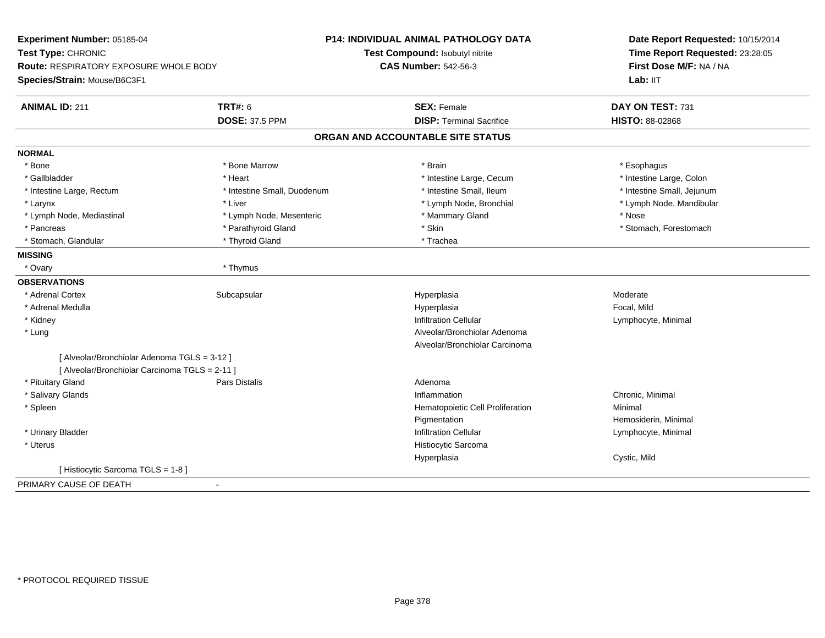| Experiment Number: 05185-04                    |                             | P14: INDIVIDUAL ANIMAL PATHOLOGY DATA | Date Report Requested: 10/15/2014<br>Time Report Requested: 23:28:05 |
|------------------------------------------------|-----------------------------|---------------------------------------|----------------------------------------------------------------------|
| Test Type: CHRONIC                             |                             | Test Compound: Isobutyl nitrite       |                                                                      |
| <b>Route: RESPIRATORY EXPOSURE WHOLE BODY</b>  |                             | <b>CAS Number: 542-56-3</b>           | First Dose M/F: NA / NA                                              |
| Species/Strain: Mouse/B6C3F1                   |                             |                                       | Lab: IIT                                                             |
| <b>ANIMAL ID: 211</b>                          | <b>TRT#: 6</b>              | <b>SEX: Female</b>                    | DAY ON TEST: 731                                                     |
|                                                | <b>DOSE: 37.5 PPM</b>       | <b>DISP: Terminal Sacrifice</b>       | HISTO: 88-02868                                                      |
|                                                |                             | ORGAN AND ACCOUNTABLE SITE STATUS     |                                                                      |
| <b>NORMAL</b>                                  |                             |                                       |                                                                      |
| * Bone                                         | * Bone Marrow               | * Brain                               | * Esophagus                                                          |
| * Gallbladder                                  | * Heart                     | * Intestine Large, Cecum              | * Intestine Large, Colon                                             |
| * Intestine Large, Rectum                      | * Intestine Small, Duodenum | * Intestine Small, Ileum              | * Intestine Small, Jejunum                                           |
| * Larynx                                       | * Liver                     | * Lymph Node, Bronchial               | * Lymph Node, Mandibular                                             |
| * Lymph Node, Mediastinal                      | * Lymph Node, Mesenteric    | * Mammary Gland                       | * Nose                                                               |
| * Pancreas                                     | * Parathyroid Gland         | * Skin                                | * Stomach, Forestomach                                               |
| * Stomach, Glandular                           | * Thyroid Gland             | * Trachea                             |                                                                      |
| <b>MISSING</b>                                 |                             |                                       |                                                                      |
| * Ovary                                        | * Thymus                    |                                       |                                                                      |
| <b>OBSERVATIONS</b>                            |                             |                                       |                                                                      |
| * Adrenal Cortex                               | Subcapsular                 | Hyperplasia                           | Moderate                                                             |
| * Adrenal Medulla                              |                             | Hyperplasia                           | Focal, Mild                                                          |
| * Kidney                                       |                             | <b>Infiltration Cellular</b>          | Lymphocyte, Minimal                                                  |
| $*$ Lung                                       |                             | Alveolar/Bronchiolar Adenoma          |                                                                      |
|                                                |                             | Alveolar/Bronchiolar Carcinoma        |                                                                      |
| [ Alveolar/Bronchiolar Adenoma TGLS = 3-12 ]   |                             |                                       |                                                                      |
| [ Alveolar/Bronchiolar Carcinoma TGLS = 2-11 ] |                             |                                       |                                                                      |
| * Pituitary Gland                              | Pars Distalis               | Adenoma                               |                                                                      |
| * Salivary Glands                              |                             | Inflammation                          | Chronic, Minimal                                                     |
| * Spleen                                       |                             | Hematopoietic Cell Proliferation      | Minimal                                                              |
|                                                |                             | Pigmentation                          | Hemosiderin, Minimal                                                 |
| * Urinary Bladder                              |                             | <b>Infiltration Cellular</b>          | Lymphocyte, Minimal                                                  |
| * Uterus                                       |                             | Histiocytic Sarcoma                   |                                                                      |
|                                                |                             | Hyperplasia                           | Cystic, Mild                                                         |
| [Histiocytic Sarcoma TGLS = 1-8]               |                             |                                       |                                                                      |
| PRIMARY CAUSE OF DEATH                         | $\blacksquare$              |                                       |                                                                      |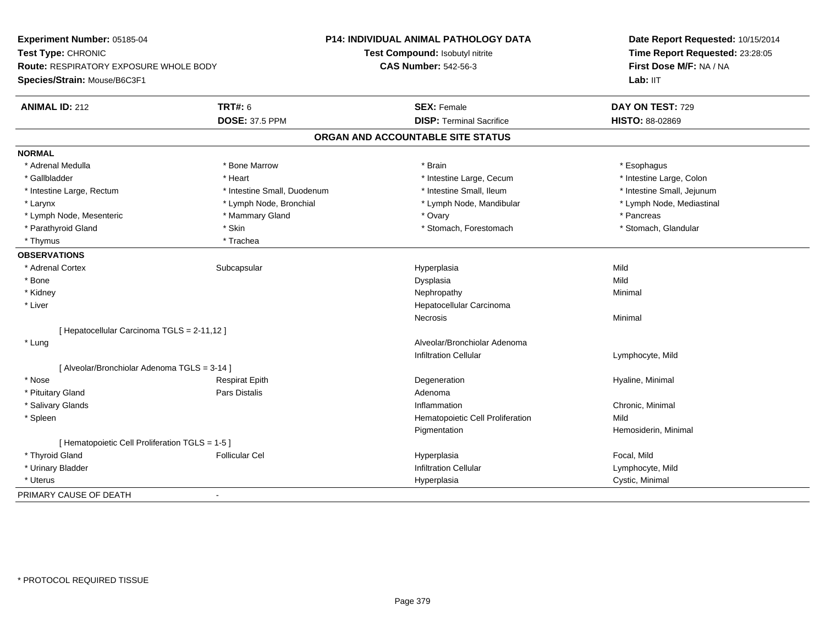| Experiment Number: 05185-04                     |                             | <b>P14: INDIVIDUAL ANIMAL PATHOLOGY DATA</b> | Date Report Requested: 10/15/2014<br>Time Report Requested: 23:28:05 |
|-------------------------------------------------|-----------------------------|----------------------------------------------|----------------------------------------------------------------------|
| Test Type: CHRONIC                              |                             | Test Compound: Isobutyl nitrite              |                                                                      |
| Route: RESPIRATORY EXPOSURE WHOLE BODY          |                             | <b>CAS Number: 542-56-3</b>                  | First Dose M/F: NA / NA                                              |
| Species/Strain: Mouse/B6C3F1                    |                             |                                              | Lab: IIT                                                             |
| <b>ANIMAL ID: 212</b>                           | <b>TRT#: 6</b>              | <b>SEX: Female</b>                           | DAY ON TEST: 729                                                     |
|                                                 | <b>DOSE: 37.5 PPM</b>       | <b>DISP: Terminal Sacrifice</b>              | <b>HISTO: 88-02869</b>                                               |
|                                                 |                             | ORGAN AND ACCOUNTABLE SITE STATUS            |                                                                      |
| <b>NORMAL</b>                                   |                             |                                              |                                                                      |
| * Adrenal Medulla                               | * Bone Marrow               | * Brain                                      | * Esophagus                                                          |
| * Gallbladder                                   | * Heart                     | * Intestine Large, Cecum                     | * Intestine Large, Colon                                             |
| * Intestine Large, Rectum                       | * Intestine Small, Duodenum | * Intestine Small, Ileum                     | * Intestine Small, Jejunum                                           |
| * Larynx                                        | * Lymph Node, Bronchial     | * Lymph Node, Mandibular                     | * Lymph Node, Mediastinal                                            |
| * Lymph Node, Mesenteric                        | * Mammary Gland             | * Ovary                                      | * Pancreas                                                           |
| * Parathyroid Gland                             | * Skin                      | * Stomach, Forestomach                       | * Stomach, Glandular                                                 |
| * Thymus                                        | * Trachea                   |                                              |                                                                      |
| <b>OBSERVATIONS</b>                             |                             |                                              |                                                                      |
| * Adrenal Cortex                                | Subcapsular                 | Hyperplasia                                  | Mild                                                                 |
| * Bone                                          |                             | Dysplasia                                    | Mild                                                                 |
| * Kidney                                        |                             | Nephropathy                                  | Minimal                                                              |
| * Liver                                         |                             | Hepatocellular Carcinoma                     |                                                                      |
|                                                 |                             | <b>Necrosis</b>                              | Minimal                                                              |
| [ Hepatocellular Carcinoma TGLS = 2-11,12 ]     |                             |                                              |                                                                      |
| * Lung                                          |                             | Alveolar/Bronchiolar Adenoma                 |                                                                      |
|                                                 |                             | Infiltration Cellular                        | Lymphocyte, Mild                                                     |
| [ Alveolar/Bronchiolar Adenoma TGLS = 3-14 ]    |                             |                                              |                                                                      |
| * Nose                                          | <b>Respirat Epith</b>       | Degeneration                                 | Hyaline, Minimal                                                     |
| * Pituitary Gland                               | Pars Distalis               | Adenoma                                      |                                                                      |
| * Salivary Glands                               |                             | Inflammation                                 | Chronic, Minimal                                                     |
| * Spleen                                        |                             | Hematopoietic Cell Proliferation             | Mild                                                                 |
|                                                 |                             | Pigmentation                                 | Hemosiderin, Minimal                                                 |
| [ Hematopoietic Cell Proliferation TGLS = 1-5 ] |                             |                                              |                                                                      |
| * Thyroid Gland                                 | <b>Follicular Cel</b>       | Hyperplasia                                  | Focal, Mild                                                          |
| * Urinary Bladder                               |                             | <b>Infiltration Cellular</b>                 | Lymphocyte, Mild                                                     |
| * Uterus                                        |                             | Hyperplasia                                  | Cystic, Minimal                                                      |
| PRIMARY CAUSE OF DEATH                          | $\blacksquare$              |                                              |                                                                      |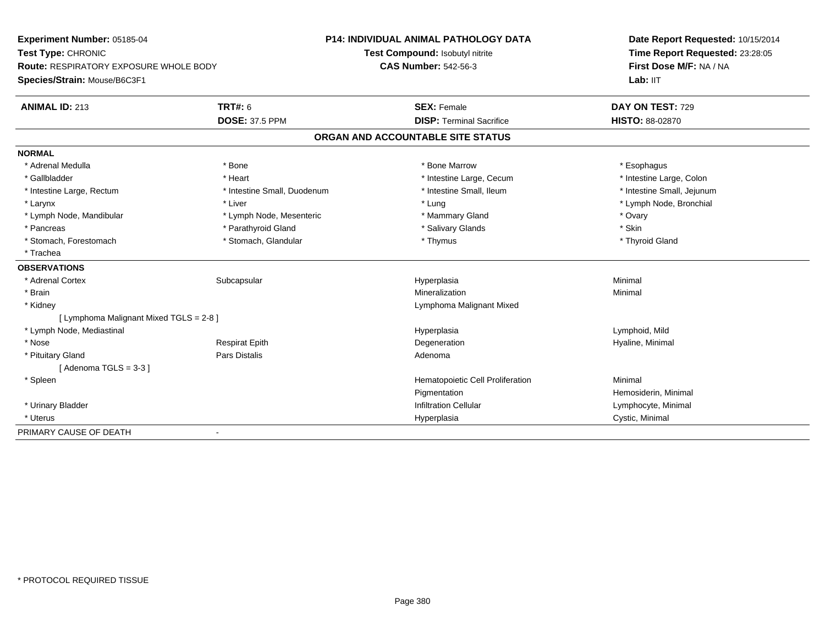| <b>Experiment Number: 05185-04</b>            |                             | <b>P14: INDIVIDUAL ANIMAL PATHOLOGY DATA</b> | Date Report Requested: 10/15/2014<br>Time Report Requested: 23:28:05<br>First Dose M/F: NA / NA |
|-----------------------------------------------|-----------------------------|----------------------------------------------|-------------------------------------------------------------------------------------------------|
| Test Type: CHRONIC                            |                             | Test Compound: Isobutyl nitrite              |                                                                                                 |
| <b>Route: RESPIRATORY EXPOSURE WHOLE BODY</b> |                             | <b>CAS Number: 542-56-3</b>                  |                                                                                                 |
| Species/Strain: Mouse/B6C3F1                  |                             |                                              | Lab: IIT                                                                                        |
| <b>ANIMAL ID: 213</b>                         | <b>TRT#: 6</b>              | <b>SEX: Female</b>                           | DAY ON TEST: 729                                                                                |
|                                               | <b>DOSE: 37.5 PPM</b>       | <b>DISP: Terminal Sacrifice</b>              | HISTO: 88-02870                                                                                 |
|                                               |                             | ORGAN AND ACCOUNTABLE SITE STATUS            |                                                                                                 |
| <b>NORMAL</b>                                 |                             |                                              |                                                                                                 |
| * Adrenal Medulla                             | * Bone                      | * Bone Marrow                                | * Esophagus                                                                                     |
| * Gallbladder                                 | * Heart                     | * Intestine Large, Cecum                     | * Intestine Large, Colon                                                                        |
| * Intestine Large, Rectum                     | * Intestine Small, Duodenum | * Intestine Small, Ileum                     | * Intestine Small, Jejunum                                                                      |
| * Larynx                                      | * Liver                     | * Lung                                       | * Lymph Node, Bronchial                                                                         |
| * Lymph Node, Mandibular                      | * Lymph Node, Mesenteric    | * Mammary Gland                              | * Ovary                                                                                         |
| * Pancreas                                    | * Parathyroid Gland         | * Salivary Glands                            | * Skin                                                                                          |
| * Stomach, Forestomach                        | * Stomach, Glandular        | * Thymus                                     | * Thyroid Gland                                                                                 |
| * Trachea                                     |                             |                                              |                                                                                                 |
| <b>OBSERVATIONS</b>                           |                             |                                              |                                                                                                 |
| * Adrenal Cortex                              | Subcapsular                 | Hyperplasia                                  | Minimal                                                                                         |
| * Brain                                       |                             | Mineralization                               | Minimal                                                                                         |
| * Kidney                                      |                             | Lymphoma Malignant Mixed                     |                                                                                                 |
| [ Lymphoma Malignant Mixed TGLS = 2-8 ]       |                             |                                              |                                                                                                 |
| * Lymph Node, Mediastinal                     |                             | Hyperplasia                                  | Lymphoid, Mild                                                                                  |
| * Nose                                        | <b>Respirat Epith</b>       | Degeneration                                 | Hyaline, Minimal                                                                                |
| * Pituitary Gland                             | Pars Distalis               | Adenoma                                      |                                                                                                 |
| [Adenoma TGLS = $3-3$ ]                       |                             |                                              |                                                                                                 |
| * Spleen                                      |                             | Hematopoietic Cell Proliferation             | Minimal                                                                                         |
|                                               |                             | Pigmentation                                 | Hemosiderin, Minimal                                                                            |
| * Urinary Bladder                             |                             | <b>Infiltration Cellular</b>                 | Lymphocyte, Minimal                                                                             |
| * Uterus                                      |                             | Hyperplasia                                  | Cystic, Minimal                                                                                 |
| PRIMARY CAUSE OF DEATH                        | $\blacksquare$              |                                              |                                                                                                 |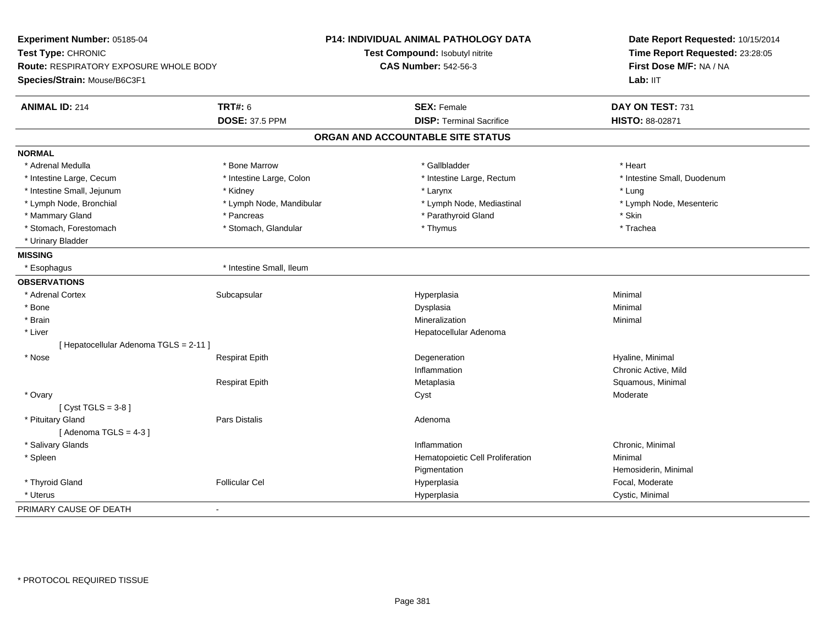| Experiment Number: 05185-04            |                          | P14: INDIVIDUAL ANIMAL PATHOLOGY DATA | Date Report Requested: 10/15/2014<br>Time Report Requested: 23:28:05 |  |
|----------------------------------------|--------------------------|---------------------------------------|----------------------------------------------------------------------|--|
| Test Type: CHRONIC                     |                          | Test Compound: Isobutyl nitrite       |                                                                      |  |
| Route: RESPIRATORY EXPOSURE WHOLE BODY |                          | <b>CAS Number: 542-56-3</b>           | First Dose M/F: NA / NA                                              |  |
| Species/Strain: Mouse/B6C3F1           |                          |                                       | Lab: IIT                                                             |  |
| <b>ANIMAL ID: 214</b>                  | <b>TRT#: 6</b>           | <b>SEX: Female</b>                    | DAY ON TEST: 731                                                     |  |
|                                        | <b>DOSE: 37.5 PPM</b>    | <b>DISP: Terminal Sacrifice</b>       | HISTO: 88-02871                                                      |  |
|                                        |                          |                                       |                                                                      |  |
|                                        |                          | ORGAN AND ACCOUNTABLE SITE STATUS     |                                                                      |  |
| <b>NORMAL</b>                          |                          |                                       |                                                                      |  |
| * Adrenal Medulla                      | * Bone Marrow            | * Gallbladder                         | * Heart                                                              |  |
| * Intestine Large, Cecum               | * Intestine Large, Colon | * Intestine Large, Rectum             | * Intestine Small, Duodenum                                          |  |
| * Intestine Small, Jejunum             | * Kidney                 | * Larynx                              | * Lung                                                               |  |
| * Lymph Node, Bronchial                | * Lymph Node, Mandibular | * Lymph Node, Mediastinal             | * Lymph Node, Mesenteric                                             |  |
| * Mammary Gland                        | * Pancreas               | * Parathyroid Gland                   | * Skin                                                               |  |
| * Stomach, Forestomach                 | * Stomach, Glandular     | * Thymus                              | * Trachea                                                            |  |
| * Urinary Bladder                      |                          |                                       |                                                                      |  |
| <b>MISSING</b>                         |                          |                                       |                                                                      |  |
| * Esophagus                            | * Intestine Small, Ileum |                                       |                                                                      |  |
| <b>OBSERVATIONS</b>                    |                          |                                       |                                                                      |  |
| * Adrenal Cortex                       | Subcapsular              | Hyperplasia                           | Minimal                                                              |  |
| * Bone                                 |                          | Dysplasia                             | Minimal                                                              |  |
| * Brain                                |                          | Mineralization                        | Minimal                                                              |  |
| * Liver                                |                          | Hepatocellular Adenoma                |                                                                      |  |
| [ Hepatocellular Adenoma TGLS = 2-11 ] |                          |                                       |                                                                      |  |
| * Nose                                 | <b>Respirat Epith</b>    | Degeneration                          | Hyaline, Minimal                                                     |  |
|                                        |                          | Inflammation                          | Chronic Active, Mild                                                 |  |
|                                        | <b>Respirat Epith</b>    | Metaplasia                            | Squamous, Minimal                                                    |  |
| * Ovary                                |                          | Cyst                                  | Moderate                                                             |  |
| [Cyst TGLS = $3-8$ ]                   |                          |                                       |                                                                      |  |
| * Pituitary Gland                      | Pars Distalis            | Adenoma                               |                                                                      |  |
| [Adenoma TGLS = $4-3$ ]                |                          |                                       |                                                                      |  |
| * Salivary Glands                      |                          | Inflammation                          | Chronic, Minimal                                                     |  |
| * Spleen                               |                          | Hematopoietic Cell Proliferation      | Minimal                                                              |  |
|                                        |                          | Pigmentation                          | Hemosiderin, Minimal                                                 |  |
| * Thyroid Gland                        | <b>Follicular Cel</b>    | Hyperplasia                           | Focal, Moderate                                                      |  |
| * Uterus                               |                          | Hyperplasia                           | Cystic, Minimal                                                      |  |
| PRIMARY CAUSE OF DEATH                 | $\overline{a}$           |                                       |                                                                      |  |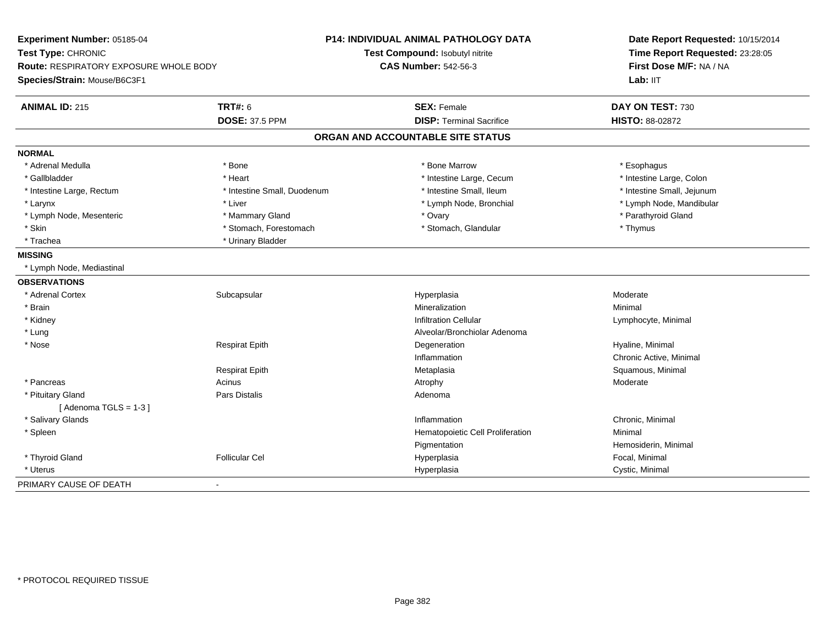| Experiment Number: 05185-04            |                             | P14: INDIVIDUAL ANIMAL PATHOLOGY DATA | Date Report Requested: 10/15/2014<br>Time Report Requested: 23:28:05 |
|----------------------------------------|-----------------------------|---------------------------------------|----------------------------------------------------------------------|
| Test Type: CHRONIC                     |                             | Test Compound: Isobutyl nitrite       |                                                                      |
| Route: RESPIRATORY EXPOSURE WHOLE BODY |                             | <b>CAS Number: 542-56-3</b>           | First Dose M/F: NA / NA                                              |
| Species/Strain: Mouse/B6C3F1           |                             |                                       | Lab: IIT                                                             |
| <b>ANIMAL ID: 215</b>                  | <b>TRT#: 6</b>              | <b>SEX: Female</b>                    | DAY ON TEST: 730                                                     |
|                                        | <b>DOSE: 37.5 PPM</b>       | <b>DISP: Terminal Sacrifice</b>       | HISTO: 88-02872                                                      |
|                                        |                             | ORGAN AND ACCOUNTABLE SITE STATUS     |                                                                      |
| <b>NORMAL</b>                          |                             |                                       |                                                                      |
| * Adrenal Medulla                      | * Bone                      | * Bone Marrow                         | * Esophagus                                                          |
| * Gallbladder                          | * Heart                     | * Intestine Large, Cecum              | * Intestine Large, Colon                                             |
| * Intestine Large, Rectum              | * Intestine Small, Duodenum | * Intestine Small, Ileum              | * Intestine Small, Jejunum                                           |
| * Larynx                               | * Liver                     | * Lymph Node, Bronchial               | * Lymph Node, Mandibular                                             |
| * Lymph Node, Mesenteric               | * Mammary Gland             | * Ovary                               | * Parathyroid Gland                                                  |
| * Skin                                 | * Stomach, Forestomach      | * Stomach, Glandular                  | * Thymus                                                             |
| * Trachea                              | * Urinary Bladder           |                                       |                                                                      |
| <b>MISSING</b>                         |                             |                                       |                                                                      |
| * Lymph Node, Mediastinal              |                             |                                       |                                                                      |
| <b>OBSERVATIONS</b>                    |                             |                                       |                                                                      |
| * Adrenal Cortex                       | Subcapsular                 | Hyperplasia                           | Moderate                                                             |
| * Brain                                |                             | Mineralization                        | Minimal                                                              |
| * Kidney                               |                             | <b>Infiltration Cellular</b>          | Lymphocyte, Minimal                                                  |
| * Lung                                 |                             | Alveolar/Bronchiolar Adenoma          |                                                                      |
| * Nose                                 | <b>Respirat Epith</b>       | Degeneration                          | Hyaline, Minimal                                                     |
|                                        |                             | Inflammation                          | Chronic Active, Minimal                                              |
|                                        | <b>Respirat Epith</b>       | Metaplasia                            | Squamous, Minimal                                                    |
| * Pancreas                             | Acinus                      | Atrophy                               | Moderate                                                             |
| * Pituitary Gland                      | Pars Distalis               | Adenoma                               |                                                                      |
| [Adenoma TGLS = $1-3$ ]                |                             |                                       |                                                                      |
| * Salivary Glands                      |                             | Inflammation                          | Chronic, Minimal                                                     |
| * Spleen                               |                             | Hematopoietic Cell Proliferation      | Minimal                                                              |
|                                        |                             | Pigmentation                          | Hemosiderin, Minimal                                                 |
| * Thyroid Gland                        | <b>Follicular Cel</b>       | Hyperplasia                           | Focal, Minimal                                                       |
| * Uterus                               |                             | Hyperplasia                           | Cystic, Minimal                                                      |
| PRIMARY CAUSE OF DEATH                 | $\blacksquare$              |                                       |                                                                      |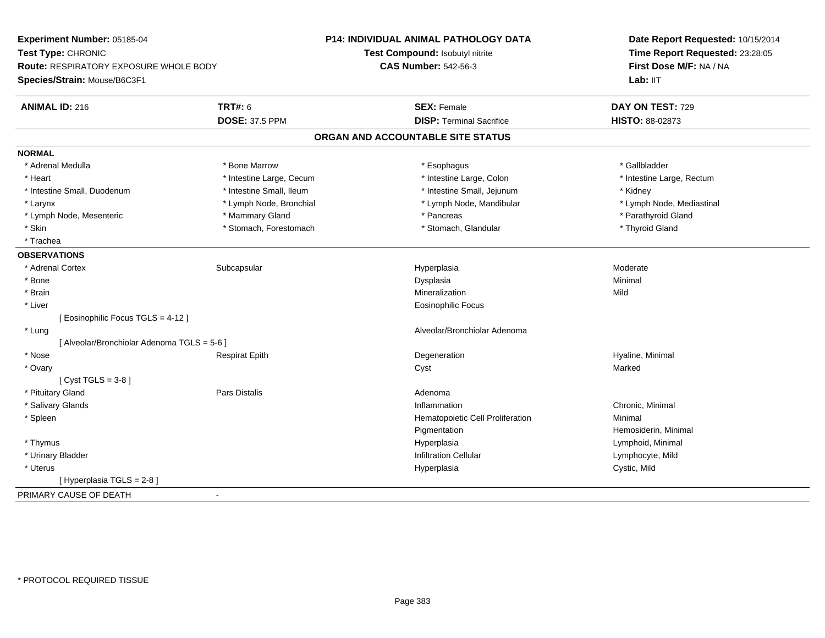| First Dose M/F: NA / NA<br><b>CAS Number: 542-56-3</b><br><b>Route: RESPIRATORY EXPOSURE WHOLE BODY</b><br>Lab: IIT<br><b>TRT#: 6</b><br><b>SEX: Female</b><br>DAY ON TEST: 729<br><b>DOSE: 37.5 PPM</b><br><b>DISP: Terminal Sacrifice</b><br>HISTO: 88-02873<br>ORGAN AND ACCOUNTABLE SITE STATUS<br>* Adrenal Medulla<br>* Bone Marrow<br>* Esophagus<br>* Gallbladder<br>* Intestine Large, Colon<br>* Intestine Large, Rectum<br>* Heart<br>* Intestine Large, Cecum<br>* Intestine Small, Duodenum<br>* Intestine Small, Ileum<br>* Intestine Small, Jejunum<br>* Kidney<br>* Lymph Node, Bronchial<br>* Lymph Node, Mandibular<br>* Lymph Node, Mediastinal<br>* Larynx<br>* Parathyroid Gland<br>* Mammary Gland<br>* Pancreas<br>* Lymph Node, Mesenteric<br>* Skin<br>* Stomach, Forestomach<br>* Stomach, Glandular<br>* Thyroid Gland<br>* Trachea<br>* Adrenal Cortex<br>Subcapsular<br>Hyperplasia<br>Moderate<br>* Bone<br>Dysplasia<br>Minimal<br>* Brain<br>Mild<br>Mineralization<br>* Liver<br><b>Eosinophilic Focus</b><br>[ Eosinophilic Focus TGLS = 4-12 ]<br>Alveolar/Bronchiolar Adenoma<br>* Lung<br>[ Alveolar/Bronchiolar Adenoma TGLS = 5-6 ]<br>* Nose<br>Hyaline, Minimal<br><b>Respirat Epith</b><br>Degeneration<br>* Ovary<br>Marked<br>Cyst<br>$Cyst TGLS = 3-8$<br>* Pituitary Gland<br>Pars Distalis<br>Adenoma<br>* Salivary Glands<br>Chronic, Minimal<br>Inflammation<br>* Spleen<br>Hematopoietic Cell Proliferation<br>Minimal<br>Hemosiderin, Minimal<br>Pigmentation<br>* Thymus<br>Hyperplasia<br>Lymphoid, Minimal<br>* Urinary Bladder<br><b>Infiltration Cellular</b><br>Lymphocyte, Mild<br>Cystic, Mild<br>* Uterus<br>Hyperplasia<br>[ Hyperplasia TGLS = 2-8]<br>$\blacksquare$ | Experiment Number: 05185-04<br>Test Type: CHRONIC |  | <b>P14: INDIVIDUAL ANIMAL PATHOLOGY DATA</b><br>Test Compound: Isobutyl nitrite | Date Report Requested: 10/15/2014<br>Time Report Requested: 23:28:05 |
|-------------------------------------------------------------------------------------------------------------------------------------------------------------------------------------------------------------------------------------------------------------------------------------------------------------------------------------------------------------------------------------------------------------------------------------------------------------------------------------------------------------------------------------------------------------------------------------------------------------------------------------------------------------------------------------------------------------------------------------------------------------------------------------------------------------------------------------------------------------------------------------------------------------------------------------------------------------------------------------------------------------------------------------------------------------------------------------------------------------------------------------------------------------------------------------------------------------------------------------------------------------------------------------------------------------------------------------------------------------------------------------------------------------------------------------------------------------------------------------------------------------------------------------------------------------------------------------------------------------------------------------------------------------------------------------------------------------------------------------|---------------------------------------------------|--|---------------------------------------------------------------------------------|----------------------------------------------------------------------|
|                                                                                                                                                                                                                                                                                                                                                                                                                                                                                                                                                                                                                                                                                                                                                                                                                                                                                                                                                                                                                                                                                                                                                                                                                                                                                                                                                                                                                                                                                                                                                                                                                                                                                                                                     |                                                   |  |                                                                                 |                                                                      |
|                                                                                                                                                                                                                                                                                                                                                                                                                                                                                                                                                                                                                                                                                                                                                                                                                                                                                                                                                                                                                                                                                                                                                                                                                                                                                                                                                                                                                                                                                                                                                                                                                                                                                                                                     | Species/Strain: Mouse/B6C3F1                      |  |                                                                                 |                                                                      |
|                                                                                                                                                                                                                                                                                                                                                                                                                                                                                                                                                                                                                                                                                                                                                                                                                                                                                                                                                                                                                                                                                                                                                                                                                                                                                                                                                                                                                                                                                                                                                                                                                                                                                                                                     | <b>ANIMAL ID: 216</b>                             |  |                                                                                 |                                                                      |
|                                                                                                                                                                                                                                                                                                                                                                                                                                                                                                                                                                                                                                                                                                                                                                                                                                                                                                                                                                                                                                                                                                                                                                                                                                                                                                                                                                                                                                                                                                                                                                                                                                                                                                                                     |                                                   |  |                                                                                 |                                                                      |
|                                                                                                                                                                                                                                                                                                                                                                                                                                                                                                                                                                                                                                                                                                                                                                                                                                                                                                                                                                                                                                                                                                                                                                                                                                                                                                                                                                                                                                                                                                                                                                                                                                                                                                                                     |                                                   |  |                                                                                 |                                                                      |
|                                                                                                                                                                                                                                                                                                                                                                                                                                                                                                                                                                                                                                                                                                                                                                                                                                                                                                                                                                                                                                                                                                                                                                                                                                                                                                                                                                                                                                                                                                                                                                                                                                                                                                                                     | <b>NORMAL</b>                                     |  |                                                                                 |                                                                      |
|                                                                                                                                                                                                                                                                                                                                                                                                                                                                                                                                                                                                                                                                                                                                                                                                                                                                                                                                                                                                                                                                                                                                                                                                                                                                                                                                                                                                                                                                                                                                                                                                                                                                                                                                     |                                                   |  |                                                                                 |                                                                      |
|                                                                                                                                                                                                                                                                                                                                                                                                                                                                                                                                                                                                                                                                                                                                                                                                                                                                                                                                                                                                                                                                                                                                                                                                                                                                                                                                                                                                                                                                                                                                                                                                                                                                                                                                     |                                                   |  |                                                                                 |                                                                      |
|                                                                                                                                                                                                                                                                                                                                                                                                                                                                                                                                                                                                                                                                                                                                                                                                                                                                                                                                                                                                                                                                                                                                                                                                                                                                                                                                                                                                                                                                                                                                                                                                                                                                                                                                     |                                                   |  |                                                                                 |                                                                      |
|                                                                                                                                                                                                                                                                                                                                                                                                                                                                                                                                                                                                                                                                                                                                                                                                                                                                                                                                                                                                                                                                                                                                                                                                                                                                                                                                                                                                                                                                                                                                                                                                                                                                                                                                     |                                                   |  |                                                                                 |                                                                      |
|                                                                                                                                                                                                                                                                                                                                                                                                                                                                                                                                                                                                                                                                                                                                                                                                                                                                                                                                                                                                                                                                                                                                                                                                                                                                                                                                                                                                                                                                                                                                                                                                                                                                                                                                     |                                                   |  |                                                                                 |                                                                      |
|                                                                                                                                                                                                                                                                                                                                                                                                                                                                                                                                                                                                                                                                                                                                                                                                                                                                                                                                                                                                                                                                                                                                                                                                                                                                                                                                                                                                                                                                                                                                                                                                                                                                                                                                     |                                                   |  |                                                                                 |                                                                      |
|                                                                                                                                                                                                                                                                                                                                                                                                                                                                                                                                                                                                                                                                                                                                                                                                                                                                                                                                                                                                                                                                                                                                                                                                                                                                                                                                                                                                                                                                                                                                                                                                                                                                                                                                     |                                                   |  |                                                                                 |                                                                      |
|                                                                                                                                                                                                                                                                                                                                                                                                                                                                                                                                                                                                                                                                                                                                                                                                                                                                                                                                                                                                                                                                                                                                                                                                                                                                                                                                                                                                                                                                                                                                                                                                                                                                                                                                     | <b>OBSERVATIONS</b>                               |  |                                                                                 |                                                                      |
|                                                                                                                                                                                                                                                                                                                                                                                                                                                                                                                                                                                                                                                                                                                                                                                                                                                                                                                                                                                                                                                                                                                                                                                                                                                                                                                                                                                                                                                                                                                                                                                                                                                                                                                                     |                                                   |  |                                                                                 |                                                                      |
|                                                                                                                                                                                                                                                                                                                                                                                                                                                                                                                                                                                                                                                                                                                                                                                                                                                                                                                                                                                                                                                                                                                                                                                                                                                                                                                                                                                                                                                                                                                                                                                                                                                                                                                                     |                                                   |  |                                                                                 |                                                                      |
|                                                                                                                                                                                                                                                                                                                                                                                                                                                                                                                                                                                                                                                                                                                                                                                                                                                                                                                                                                                                                                                                                                                                                                                                                                                                                                                                                                                                                                                                                                                                                                                                                                                                                                                                     |                                                   |  |                                                                                 |                                                                      |
|                                                                                                                                                                                                                                                                                                                                                                                                                                                                                                                                                                                                                                                                                                                                                                                                                                                                                                                                                                                                                                                                                                                                                                                                                                                                                                                                                                                                                                                                                                                                                                                                                                                                                                                                     |                                                   |  |                                                                                 |                                                                      |
|                                                                                                                                                                                                                                                                                                                                                                                                                                                                                                                                                                                                                                                                                                                                                                                                                                                                                                                                                                                                                                                                                                                                                                                                                                                                                                                                                                                                                                                                                                                                                                                                                                                                                                                                     |                                                   |  |                                                                                 |                                                                      |
|                                                                                                                                                                                                                                                                                                                                                                                                                                                                                                                                                                                                                                                                                                                                                                                                                                                                                                                                                                                                                                                                                                                                                                                                                                                                                                                                                                                                                                                                                                                                                                                                                                                                                                                                     |                                                   |  |                                                                                 |                                                                      |
|                                                                                                                                                                                                                                                                                                                                                                                                                                                                                                                                                                                                                                                                                                                                                                                                                                                                                                                                                                                                                                                                                                                                                                                                                                                                                                                                                                                                                                                                                                                                                                                                                                                                                                                                     |                                                   |  |                                                                                 |                                                                      |
|                                                                                                                                                                                                                                                                                                                                                                                                                                                                                                                                                                                                                                                                                                                                                                                                                                                                                                                                                                                                                                                                                                                                                                                                                                                                                                                                                                                                                                                                                                                                                                                                                                                                                                                                     |                                                   |  |                                                                                 |                                                                      |
|                                                                                                                                                                                                                                                                                                                                                                                                                                                                                                                                                                                                                                                                                                                                                                                                                                                                                                                                                                                                                                                                                                                                                                                                                                                                                                                                                                                                                                                                                                                                                                                                                                                                                                                                     |                                                   |  |                                                                                 |                                                                      |
|                                                                                                                                                                                                                                                                                                                                                                                                                                                                                                                                                                                                                                                                                                                                                                                                                                                                                                                                                                                                                                                                                                                                                                                                                                                                                                                                                                                                                                                                                                                                                                                                                                                                                                                                     |                                                   |  |                                                                                 |                                                                      |
|                                                                                                                                                                                                                                                                                                                                                                                                                                                                                                                                                                                                                                                                                                                                                                                                                                                                                                                                                                                                                                                                                                                                                                                                                                                                                                                                                                                                                                                                                                                                                                                                                                                                                                                                     |                                                   |  |                                                                                 |                                                                      |
|                                                                                                                                                                                                                                                                                                                                                                                                                                                                                                                                                                                                                                                                                                                                                                                                                                                                                                                                                                                                                                                                                                                                                                                                                                                                                                                                                                                                                                                                                                                                                                                                                                                                                                                                     |                                                   |  |                                                                                 |                                                                      |
|                                                                                                                                                                                                                                                                                                                                                                                                                                                                                                                                                                                                                                                                                                                                                                                                                                                                                                                                                                                                                                                                                                                                                                                                                                                                                                                                                                                                                                                                                                                                                                                                                                                                                                                                     |                                                   |  |                                                                                 |                                                                      |
|                                                                                                                                                                                                                                                                                                                                                                                                                                                                                                                                                                                                                                                                                                                                                                                                                                                                                                                                                                                                                                                                                                                                                                                                                                                                                                                                                                                                                                                                                                                                                                                                                                                                                                                                     |                                                   |  |                                                                                 |                                                                      |
|                                                                                                                                                                                                                                                                                                                                                                                                                                                                                                                                                                                                                                                                                                                                                                                                                                                                                                                                                                                                                                                                                                                                                                                                                                                                                                                                                                                                                                                                                                                                                                                                                                                                                                                                     |                                                   |  |                                                                                 |                                                                      |
|                                                                                                                                                                                                                                                                                                                                                                                                                                                                                                                                                                                                                                                                                                                                                                                                                                                                                                                                                                                                                                                                                                                                                                                                                                                                                                                                                                                                                                                                                                                                                                                                                                                                                                                                     |                                                   |  |                                                                                 |                                                                      |
|                                                                                                                                                                                                                                                                                                                                                                                                                                                                                                                                                                                                                                                                                                                                                                                                                                                                                                                                                                                                                                                                                                                                                                                                                                                                                                                                                                                                                                                                                                                                                                                                                                                                                                                                     |                                                   |  |                                                                                 |                                                                      |
|                                                                                                                                                                                                                                                                                                                                                                                                                                                                                                                                                                                                                                                                                                                                                                                                                                                                                                                                                                                                                                                                                                                                                                                                                                                                                                                                                                                                                                                                                                                                                                                                                                                                                                                                     |                                                   |  |                                                                                 |                                                                      |
|                                                                                                                                                                                                                                                                                                                                                                                                                                                                                                                                                                                                                                                                                                                                                                                                                                                                                                                                                                                                                                                                                                                                                                                                                                                                                                                                                                                                                                                                                                                                                                                                                                                                                                                                     | PRIMARY CAUSE OF DEATH                            |  |                                                                                 |                                                                      |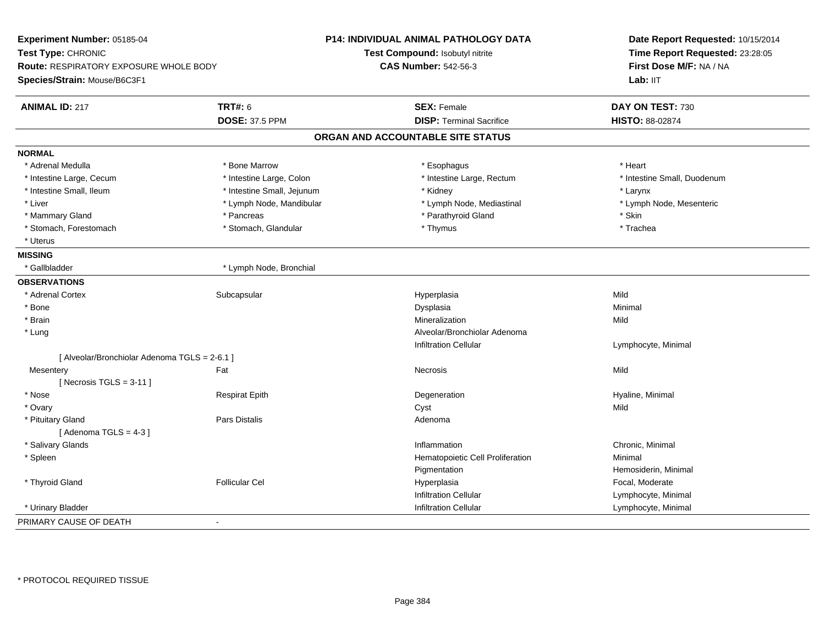| Experiment Number: 05185-04<br>Test Type: CHRONIC |                            | <b>P14: INDIVIDUAL ANIMAL PATHOLOGY DATA</b> | Date Report Requested: 10/15/2014<br>Time Report Requested: 23:28:05 |  |
|---------------------------------------------------|----------------------------|----------------------------------------------|----------------------------------------------------------------------|--|
|                                                   |                            | Test Compound: Isobutyl nitrite              |                                                                      |  |
| Route: RESPIRATORY EXPOSURE WHOLE BODY            |                            | <b>CAS Number: 542-56-3</b>                  | First Dose M/F: NA / NA                                              |  |
| Species/Strain: Mouse/B6C3F1                      |                            |                                              | Lab: II <sub>T</sub>                                                 |  |
|                                                   |                            |                                              |                                                                      |  |
| <b>ANIMAL ID: 217</b>                             | <b>TRT#: 6</b>             | <b>SEX: Female</b>                           | DAY ON TEST: 730                                                     |  |
|                                                   | <b>DOSE: 37.5 PPM</b>      | <b>DISP: Terminal Sacrifice</b>              | HISTO: 88-02874                                                      |  |
|                                                   |                            | ORGAN AND ACCOUNTABLE SITE STATUS            |                                                                      |  |
| <b>NORMAL</b>                                     |                            |                                              |                                                                      |  |
| * Adrenal Medulla                                 | * Bone Marrow              | * Esophagus                                  | * Heart                                                              |  |
| * Intestine Large, Cecum                          | * Intestine Large, Colon   | * Intestine Large, Rectum                    | * Intestine Small, Duodenum                                          |  |
| * Intestine Small, Ileum                          | * Intestine Small, Jejunum | * Kidney                                     | * Larynx                                                             |  |
| * Liver                                           | * Lymph Node, Mandibular   | * Lymph Node, Mediastinal                    | * Lymph Node, Mesenteric                                             |  |
| * Mammary Gland                                   | * Pancreas                 | * Parathyroid Gland                          | * Skin                                                               |  |
| * Stomach, Forestomach                            | * Stomach, Glandular       | * Thymus                                     | * Trachea                                                            |  |
| * Uterus                                          |                            |                                              |                                                                      |  |
| <b>MISSING</b>                                    |                            |                                              |                                                                      |  |
| * Gallbladder                                     | * Lymph Node, Bronchial    |                                              |                                                                      |  |
| <b>OBSERVATIONS</b>                               |                            |                                              |                                                                      |  |
| * Adrenal Cortex                                  | Subcapsular                | Hyperplasia                                  | Mild                                                                 |  |
| * Bone                                            |                            | Dysplasia                                    | Minimal                                                              |  |
| * Brain                                           |                            | Mineralization                               | Mild                                                                 |  |
| * Lung                                            |                            | Alveolar/Bronchiolar Adenoma                 |                                                                      |  |
|                                                   |                            | <b>Infiltration Cellular</b>                 | Lymphocyte, Minimal                                                  |  |
| [ Alveolar/Bronchiolar Adenoma TGLS = 2-6.1 ]     |                            |                                              |                                                                      |  |
| Mesentery                                         | Fat                        | Necrosis                                     | Mild                                                                 |  |
| [Necrosis TGLS = $3-11$ ]                         |                            |                                              |                                                                      |  |
| * Nose                                            | <b>Respirat Epith</b>      | Degeneration                                 | Hyaline, Minimal                                                     |  |
| * Ovary                                           |                            | Cyst                                         | Mild                                                                 |  |
| * Pituitary Gland                                 | Pars Distalis              | Adenoma                                      |                                                                      |  |
| [Adenoma TGLS = $4-3$ ]                           |                            |                                              |                                                                      |  |
| * Salivary Glands                                 |                            | Inflammation                                 | Chronic, Minimal                                                     |  |
| * Spleen                                          |                            | Hematopoietic Cell Proliferation             | Minimal                                                              |  |
|                                                   |                            | Pigmentation                                 | Hemosiderin, Minimal                                                 |  |
| * Thyroid Gland                                   | <b>Follicular Cel</b>      | Hyperplasia                                  | Focal, Moderate                                                      |  |
|                                                   |                            | <b>Infiltration Cellular</b>                 | Lymphocyte, Minimal                                                  |  |
| * Urinary Bladder                                 |                            | <b>Infiltration Cellular</b>                 | Lymphocyte, Minimal                                                  |  |
| PRIMARY CAUSE OF DEATH                            | $\blacksquare$             |                                              |                                                                      |  |
|                                                   |                            |                                              |                                                                      |  |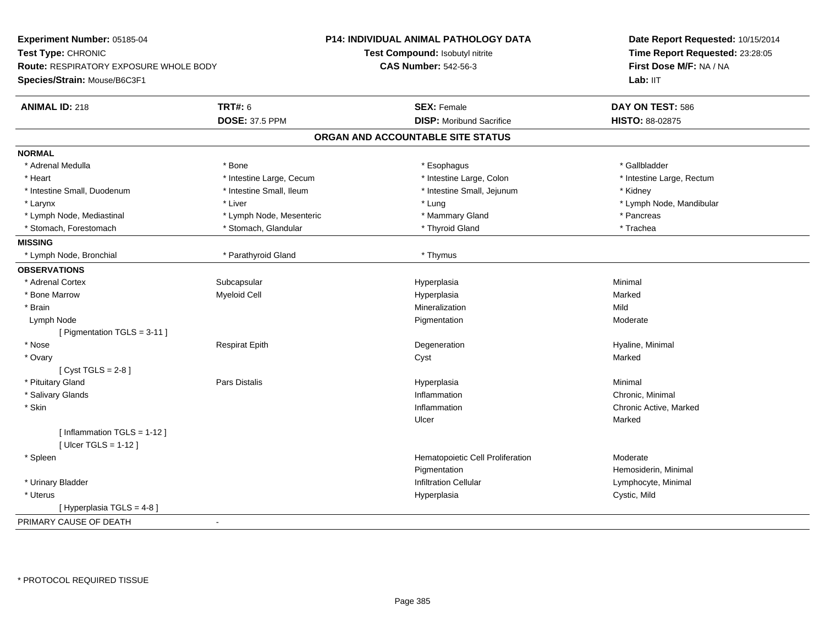| Test Type: CHRONIC<br>Test Compound: Isobutyl nitrite<br>Time Report Requested: 23:28:05          |  |
|---------------------------------------------------------------------------------------------------|--|
|                                                                                                   |  |
| <b>CAS Number: 542-56-3</b><br>First Dose M/F: NA / NA<br>Route: RESPIRATORY EXPOSURE WHOLE BODY  |  |
| Species/Strain: Mouse/B6C3F1<br>Lab: IIT                                                          |  |
| <b>TRT#: 6</b><br><b>SEX: Female</b><br>DAY ON TEST: 586<br><b>ANIMAL ID: 218</b>                 |  |
| <b>DOSE: 37.5 PPM</b><br><b>DISP: Moribund Sacrifice</b><br>HISTO: 88-02875                       |  |
| ORGAN AND ACCOUNTABLE SITE STATUS                                                                 |  |
| <b>NORMAL</b>                                                                                     |  |
| * Adrenal Medulla<br>* Bone<br>* Esophagus<br>* Gallbladder                                       |  |
| * Heart<br>* Intestine Large, Cecum<br>* Intestine Large, Colon<br>* Intestine Large, Rectum      |  |
| * Intestine Small, Ileum<br>* Intestine Small, Duodenum<br>* Intestine Small, Jejunum<br>* Kidney |  |
| * Larynx<br>* Liver<br>* Lung<br>* Lymph Node, Mandibular                                         |  |
| * Lymph Node, Mediastinal<br>* Lymph Node, Mesenteric<br>* Mammary Gland<br>* Pancreas            |  |
| * Stomach, Forestomach<br>* Thyroid Gland<br>* Trachea<br>* Stomach, Glandular                    |  |
| <b>MISSING</b>                                                                                    |  |
| * Lymph Node, Bronchial<br>* Parathyroid Gland<br>* Thymus                                        |  |
| <b>OBSERVATIONS</b>                                                                               |  |
| * Adrenal Cortex<br>Subcapsular<br>Minimal<br>Hyperplasia                                         |  |
| * Bone Marrow<br>Myeloid Cell<br>Hyperplasia<br>Marked                                            |  |
| * Brain<br>Mineralization<br>Mild                                                                 |  |
| Lymph Node<br>Pigmentation<br>Moderate                                                            |  |
| [ Pigmentation TGLS = 3-11 ]                                                                      |  |
| * Nose<br><b>Respirat Epith</b><br>Degeneration<br>Hyaline, Minimal                               |  |
| * Ovary<br>Cyst<br>Marked                                                                         |  |
| $[Cyst TGLS = 2-8]$                                                                               |  |
| * Pituitary Gland<br><b>Pars Distalis</b><br>Hyperplasia<br>Minimal                               |  |
| * Salivary Glands<br>Inflammation<br>Chronic, Minimal                                             |  |
| * Skin<br>Chronic Active, Marked<br>Inflammation                                                  |  |
| Marked<br>Ulcer                                                                                   |  |
| [ Inflammation TGLS = 1-12 ]                                                                      |  |
| [ Ulcer TGLS = $1-12$ ]                                                                           |  |
| * Spleen<br>Hematopoietic Cell Proliferation<br>Moderate                                          |  |
| Pigmentation<br>Hemosiderin, Minimal                                                              |  |
| * Urinary Bladder<br><b>Infiltration Cellular</b><br>Lymphocyte, Minimal                          |  |
| * Uterus<br>Hyperplasia<br>Cystic, Mild                                                           |  |
| [ Hyperplasia TGLS = 4-8 ]                                                                        |  |
| PRIMARY CAUSE OF DEATH<br>$\blacksquare$                                                          |  |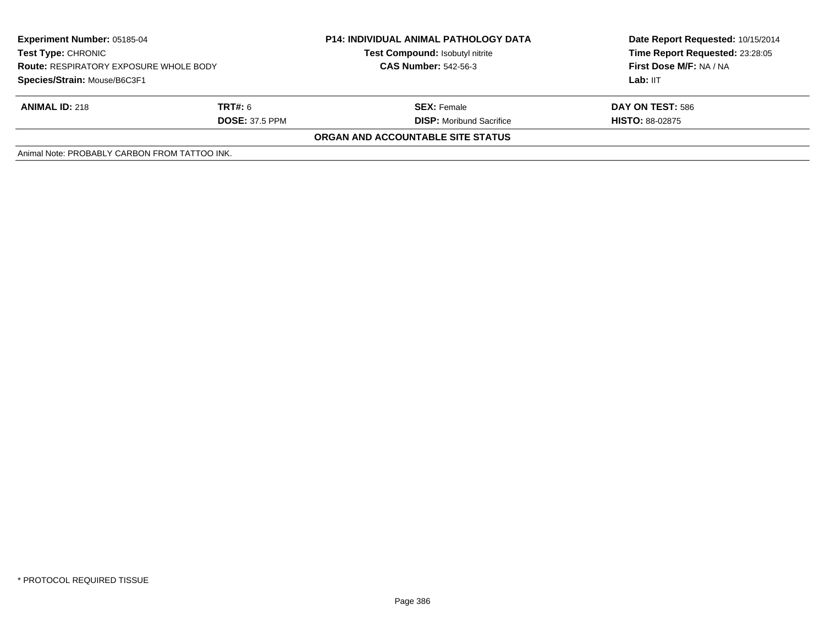| <b>Experiment Number: 05185-04</b><br><b>Test Type: CHRONIC</b><br><b>Route: RESPIRATORY EXPOSURE WHOLE BODY</b><br>Species/Strain: Mouse/B6C3F1 |                | <b>P14: INDIVIDUAL ANIMAL PATHOLOGY DATA</b> | Date Report Requested: 10/15/2014 |  |
|--------------------------------------------------------------------------------------------------------------------------------------------------|----------------|----------------------------------------------|-----------------------------------|--|
|                                                                                                                                                  |                | Test Compound: Isobutyl nitrite              | Time Report Requested: 23:28:05   |  |
|                                                                                                                                                  |                | <b>CAS Number: 542-56-3</b>                  | First Dose M/F: NA / NA           |  |
|                                                                                                                                                  |                |                                              | Lab: IIT                          |  |
| <b>ANIMAL ID: 218</b>                                                                                                                            | <b>TRT#:</b> 6 | <b>SEX:</b> Female                           | DAY ON TEST: 586                  |  |
| <b>DOSE: 37.5 PPM</b>                                                                                                                            |                | <b>DISP:</b> Moribund Sacrifice              | <b>HISTO: 88-02875</b>            |  |
|                                                                                                                                                  |                | ORGAN AND ACCOUNTABLE SITE STATUS            |                                   |  |
| Animal Note: PROBABLY CARBON FROM TATTOO INK.                                                                                                    |                |                                              |                                   |  |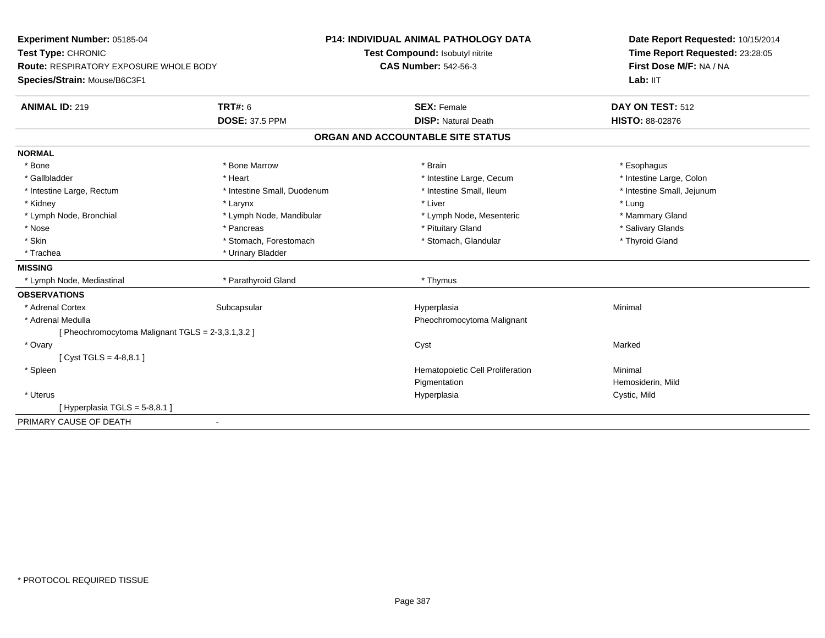| Experiment Number: 05185-04                       |                             | P14: INDIVIDUAL ANIMAL PATHOLOGY DATA | Date Report Requested: 10/15/2014<br>Time Report Requested: 23:28:05 |  |
|---------------------------------------------------|-----------------------------|---------------------------------------|----------------------------------------------------------------------|--|
| Test Type: CHRONIC                                |                             | Test Compound: Isobutyl nitrite       |                                                                      |  |
| <b>Route: RESPIRATORY EXPOSURE WHOLE BODY</b>     |                             | <b>CAS Number: 542-56-3</b>           | First Dose M/F: NA / NA                                              |  |
| Species/Strain: Mouse/B6C3F1                      |                             |                                       | Lab: IIT                                                             |  |
| <b>ANIMAL ID: 219</b>                             | <b>TRT#: 6</b>              | <b>SEX: Female</b>                    | DAY ON TEST: 512                                                     |  |
|                                                   | <b>DOSE: 37.5 PPM</b>       | <b>DISP: Natural Death</b>            | HISTO: 88-02876                                                      |  |
|                                                   |                             | ORGAN AND ACCOUNTABLE SITE STATUS     |                                                                      |  |
| <b>NORMAL</b>                                     |                             |                                       |                                                                      |  |
| * Bone                                            | * Bone Marrow               | * Brain                               | * Esophagus                                                          |  |
| * Gallbladder                                     | * Heart                     | * Intestine Large, Cecum              | * Intestine Large, Colon                                             |  |
| * Intestine Large, Rectum                         | * Intestine Small, Duodenum | * Intestine Small, Ileum              | * Intestine Small, Jejunum                                           |  |
| * Kidney                                          | * Larynx                    | * Liver                               | * Lung                                                               |  |
| * Lymph Node, Bronchial                           | * Lymph Node, Mandibular    | * Lymph Node, Mesenteric              | * Mammary Gland                                                      |  |
| * Nose                                            | * Pancreas                  | * Pituitary Gland                     | * Salivary Glands                                                    |  |
| * Skin                                            | * Stomach, Forestomach      | * Stomach, Glandular                  | * Thyroid Gland                                                      |  |
| * Trachea                                         | * Urinary Bladder           |                                       |                                                                      |  |
| <b>MISSING</b>                                    |                             |                                       |                                                                      |  |
| * Lymph Node, Mediastinal                         | * Parathyroid Gland         | * Thymus                              |                                                                      |  |
| <b>OBSERVATIONS</b>                               |                             |                                       |                                                                      |  |
| * Adrenal Cortex                                  | Subcapsular                 | Hyperplasia                           | Minimal                                                              |  |
| * Adrenal Medulla                                 |                             | Pheochromocytoma Malignant            |                                                                      |  |
| [ Pheochromocytoma Malignant TGLS = 2-3,3.1,3.2 ] |                             |                                       |                                                                      |  |
| * Ovary                                           |                             | Cyst                                  | Marked                                                               |  |
| [Cyst TGLS = $4-8,8.1$ ]                          |                             |                                       |                                                                      |  |
| * Spleen                                          |                             | Hematopoietic Cell Proliferation      | Minimal                                                              |  |
|                                                   |                             | Pigmentation                          | Hemosiderin, Mild                                                    |  |
| * Uterus                                          |                             | Hyperplasia                           | Cystic, Mild                                                         |  |
| [Hyperplasia TGLS = $5-8,8.1$ ]                   |                             |                                       |                                                                      |  |
| PRIMARY CAUSE OF DEATH                            | $\overline{\phantom{a}}$    |                                       |                                                                      |  |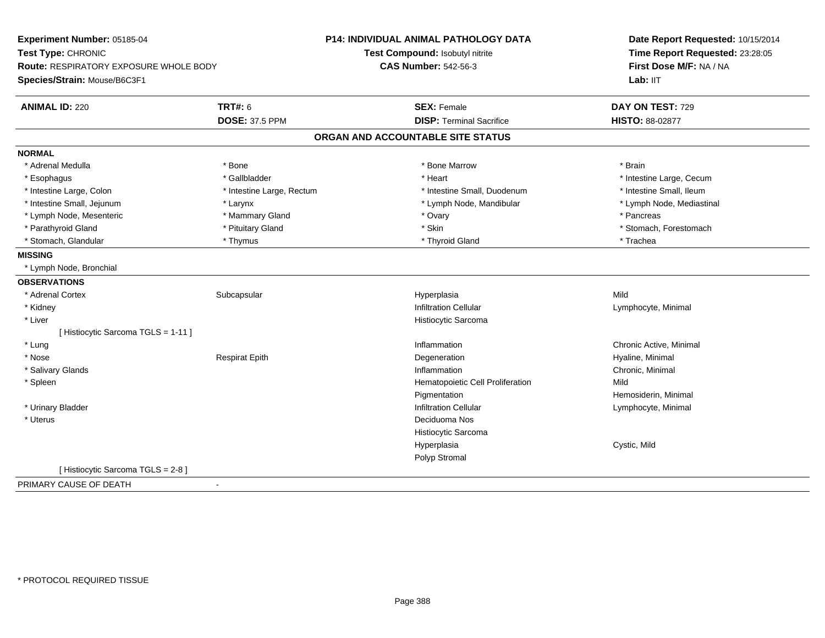| Experiment Number: 05185-04            |                           | <b>P14: INDIVIDUAL ANIMAL PATHOLOGY DATA</b> | Date Report Requested: 10/15/2014 |
|----------------------------------------|---------------------------|----------------------------------------------|-----------------------------------|
| Test Type: CHRONIC                     |                           | Test Compound: Isobutyl nitrite              | Time Report Requested: 23:28:05   |
| Route: RESPIRATORY EXPOSURE WHOLE BODY |                           | <b>CAS Number: 542-56-3</b>                  | First Dose M/F: NA / NA           |
| Species/Strain: Mouse/B6C3F1           |                           |                                              | Lab: IIT                          |
| <b>ANIMAL ID: 220</b>                  | <b>TRT#: 6</b>            | <b>SEX: Female</b>                           | DAY ON TEST: 729                  |
|                                        | <b>DOSE: 37.5 PPM</b>     | <b>DISP: Terminal Sacrifice</b>              | HISTO: 88-02877                   |
|                                        |                           | ORGAN AND ACCOUNTABLE SITE STATUS            |                                   |
| <b>NORMAL</b>                          |                           |                                              |                                   |
| * Adrenal Medulla                      | * Bone                    | * Bone Marrow                                | * Brain                           |
| * Esophagus                            | * Gallbladder             | * Heart                                      | * Intestine Large, Cecum          |
| * Intestine Large, Colon               | * Intestine Large, Rectum | * Intestine Small, Duodenum                  | * Intestine Small, Ileum          |
| * Intestine Small, Jejunum             | * Larynx                  | * Lymph Node, Mandibular                     | * Lymph Node, Mediastinal         |
| * Lymph Node, Mesenteric               | * Mammary Gland           | * Ovary                                      | * Pancreas                        |
| * Parathyroid Gland                    | * Pituitary Gland         | * Skin                                       | * Stomach, Forestomach            |
| * Stomach, Glandular                   | * Thymus                  | * Thyroid Gland                              | * Trachea                         |
| <b>MISSING</b>                         |                           |                                              |                                   |
| * Lymph Node, Bronchial                |                           |                                              |                                   |
| <b>OBSERVATIONS</b>                    |                           |                                              |                                   |
| * Adrenal Cortex                       | Subcapsular               | Hyperplasia                                  | Mild                              |
| * Kidney                               |                           | <b>Infiltration Cellular</b>                 | Lymphocyte, Minimal               |
| * Liver                                |                           | Histiocytic Sarcoma                          |                                   |
| [Histiocytic Sarcoma TGLS = 1-11]      |                           |                                              |                                   |
| * Lung                                 |                           | Inflammation                                 | Chronic Active, Minimal           |
| * Nose                                 | <b>Respirat Epith</b>     | Degeneration                                 | Hyaline, Minimal                  |
| * Salivary Glands                      |                           | Inflammation                                 | Chronic, Minimal                  |
| * Spleen                               |                           | Hematopoietic Cell Proliferation             | Mild                              |
|                                        |                           | Pigmentation                                 | Hemosiderin, Minimal              |
| * Urinary Bladder                      |                           | <b>Infiltration Cellular</b>                 | Lymphocyte, Minimal               |
| * Uterus                               |                           | Deciduoma Nos                                |                                   |
|                                        |                           | Histiocytic Sarcoma                          |                                   |
|                                        |                           | Hyperplasia                                  | Cystic, Mild                      |
|                                        |                           | Polyp Stromal                                |                                   |
| [Histiocytic Sarcoma TGLS = 2-8]       |                           |                                              |                                   |
|                                        |                           |                                              |                                   |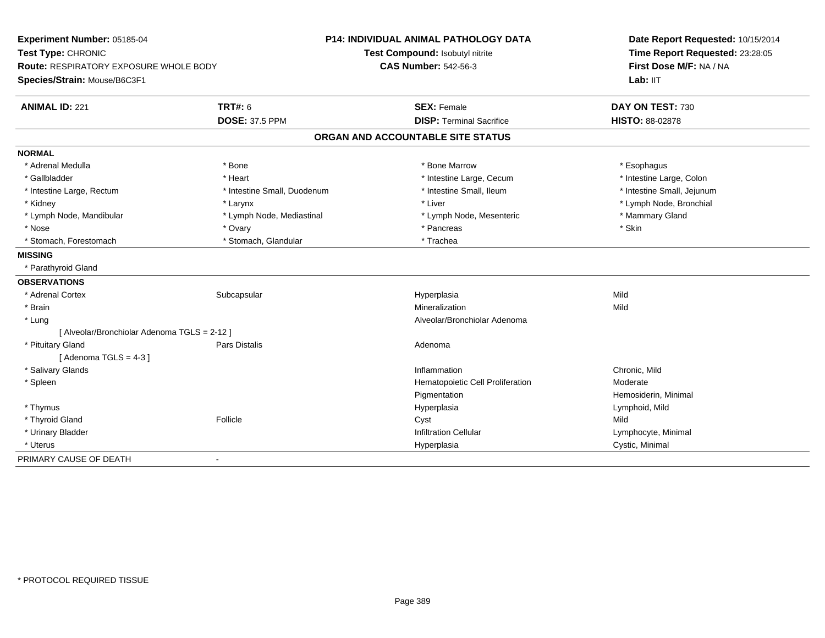| Experiment Number: 05185-04<br>Test Type: CHRONIC<br><b>Route: RESPIRATORY EXPOSURE WHOLE BODY</b> |                             | <b>P14: INDIVIDUAL ANIMAL PATHOLOGY DATA</b> | Date Report Requested: 10/15/2014<br>Time Report Requested: 23:28:05 |
|----------------------------------------------------------------------------------------------------|-----------------------------|----------------------------------------------|----------------------------------------------------------------------|
|                                                                                                    |                             | Test Compound: Isobutyl nitrite              |                                                                      |
|                                                                                                    |                             | <b>CAS Number: 542-56-3</b>                  | First Dose M/F: NA / NA                                              |
| Species/Strain: Mouse/B6C3F1                                                                       |                             |                                              | Lab: IIT                                                             |
| <b>ANIMAL ID: 221</b>                                                                              | <b>TRT#: 6</b>              | <b>SEX: Female</b>                           | DAY ON TEST: 730                                                     |
|                                                                                                    | <b>DOSE: 37.5 PPM</b>       | <b>DISP: Terminal Sacrifice</b>              | HISTO: 88-02878                                                      |
|                                                                                                    |                             | ORGAN AND ACCOUNTABLE SITE STATUS            |                                                                      |
| <b>NORMAL</b>                                                                                      |                             |                                              |                                                                      |
| * Adrenal Medulla                                                                                  | * Bone                      | * Bone Marrow                                | * Esophagus                                                          |
| * Gallbladder                                                                                      | * Heart                     | * Intestine Large, Cecum                     | * Intestine Large, Colon                                             |
| * Intestine Large, Rectum                                                                          | * Intestine Small, Duodenum | * Intestine Small, Ileum                     | * Intestine Small, Jejunum                                           |
| * Kidney                                                                                           | * Larynx                    | * Liver                                      | * Lymph Node, Bronchial                                              |
| * Lymph Node, Mandibular                                                                           | * Lymph Node, Mediastinal   | * Lymph Node, Mesenteric                     | * Mammary Gland                                                      |
| * Nose                                                                                             | * Ovary                     | * Pancreas                                   | * Skin                                                               |
| * Stomach, Forestomach                                                                             | * Stomach, Glandular        | * Trachea                                    |                                                                      |
| <b>MISSING</b>                                                                                     |                             |                                              |                                                                      |
| * Parathyroid Gland                                                                                |                             |                                              |                                                                      |
| <b>OBSERVATIONS</b>                                                                                |                             |                                              |                                                                      |
| * Adrenal Cortex                                                                                   | Subcapsular                 | Hyperplasia                                  | Mild                                                                 |
| * Brain                                                                                            |                             | Mineralization                               | Mild                                                                 |
| * Lung                                                                                             |                             | Alveolar/Bronchiolar Adenoma                 |                                                                      |
| [ Alveolar/Bronchiolar Adenoma TGLS = 2-12 ]                                                       |                             |                                              |                                                                      |
| * Pituitary Gland                                                                                  | <b>Pars Distalis</b>        | Adenoma                                      |                                                                      |
| [Adenoma TGLS = $4-3$ ]                                                                            |                             |                                              |                                                                      |
| * Salivary Glands                                                                                  |                             | Inflammation                                 | Chronic, Mild                                                        |
| * Spleen                                                                                           |                             | Hematopoietic Cell Proliferation             | Moderate                                                             |
|                                                                                                    |                             | Pigmentation                                 | Hemosiderin, Minimal                                                 |
| * Thymus                                                                                           |                             | Hyperplasia                                  | Lymphoid, Mild                                                       |
| * Thyroid Gland                                                                                    | Follicle                    | Cyst                                         | Mild                                                                 |
| * Urinary Bladder                                                                                  |                             | <b>Infiltration Cellular</b>                 | Lymphocyte, Minimal                                                  |
| * Uterus                                                                                           |                             | Hyperplasia                                  | Cystic, Minimal                                                      |
| PRIMARY CAUSE OF DEATH                                                                             | $\blacksquare$              |                                              |                                                                      |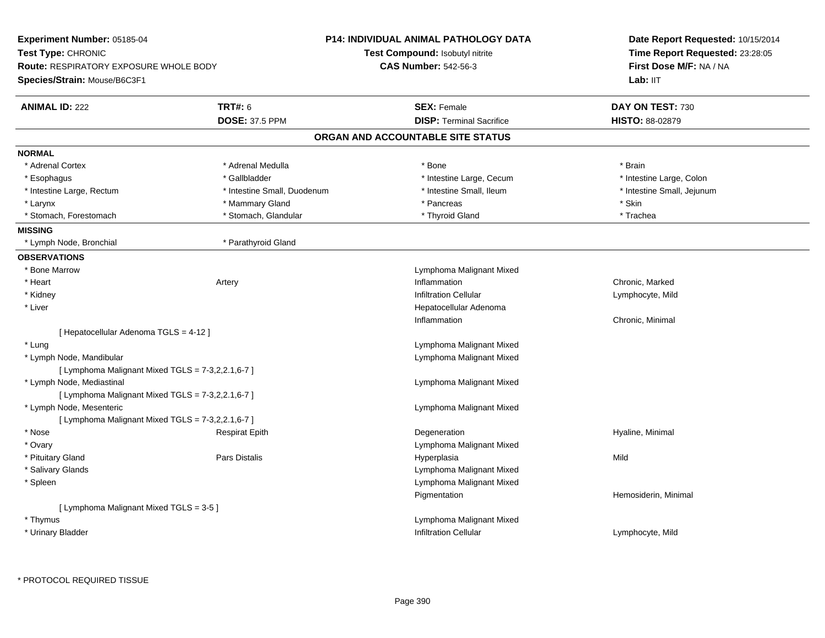| Time Report Requested: 23:28:05<br>Test Type: CHRONIC<br><b>Test Compound: Isobutyl nitrite</b><br><b>CAS Number: 542-56-3</b><br>First Dose M/F: NA / NA<br><b>Route: RESPIRATORY EXPOSURE WHOLE BODY</b><br>Species/Strain: Mouse/B6C3F1<br>Lab: IIT<br><b>TRT#: 6</b><br><b>ANIMAL ID: 222</b><br><b>SEX: Female</b><br>DAY ON TEST: 730<br><b>DISP: Terminal Sacrifice</b><br><b>DOSE: 37.5 PPM</b><br>HISTO: 88-02879<br>ORGAN AND ACCOUNTABLE SITE STATUS<br><b>NORMAL</b><br>* Adrenal Cortex<br>* Adrenal Medulla<br>* Brain<br>* Bone<br>* Gallbladder<br>* Intestine Large, Cecum<br>* Intestine Large, Colon<br>* Esophagus<br>* Intestine Small, Duodenum<br>* Intestine Small, Ileum<br>* Intestine Small, Jejunum<br>* Intestine Large, Rectum<br>* Mammary Gland<br>* Pancreas<br>* Skin<br>* Larynx<br>* Stomach, Forestomach<br>* Stomach, Glandular<br>* Thyroid Gland<br>* Trachea<br><b>MISSING</b><br>* Parathyroid Gland<br>* Lymph Node, Bronchial<br><b>OBSERVATIONS</b><br>* Bone Marrow<br>Lymphoma Malignant Mixed<br>* Heart<br>Chronic, Marked<br>Artery<br>Inflammation<br>* Kidney<br><b>Infiltration Cellular</b><br>Lymphocyte, Mild<br>* Liver<br>Hepatocellular Adenoma<br>Inflammation<br>Chronic, Minimal<br>[ Hepatocellular Adenoma TGLS = 4-12 ]<br>* Lung<br>Lymphoma Malignant Mixed<br>* Lymph Node, Mandibular<br>Lymphoma Malignant Mixed<br>[ Lymphoma Malignant Mixed TGLS = 7-3,2,2.1,6-7 ]<br>Lymphoma Malignant Mixed<br>* Lymph Node, Mediastinal<br>[ Lymphoma Malignant Mixed TGLS = 7-3,2,2.1,6-7 ]<br>* Lymph Node, Mesenteric<br>Lymphoma Malignant Mixed<br>[ Lymphoma Malignant Mixed TGLS = 7-3,2,2.1,6-7 ]<br>$*$ Nose<br>Degeneration<br>Hyaline, Minimal<br><b>Respirat Epith</b><br>* Ovary<br>Lymphoma Malignant Mixed<br>* Pituitary Gland<br><b>Pars Distalis</b><br>Hyperplasia<br>Mild<br>* Salivary Glands<br>Lymphoma Malignant Mixed<br>* Spleen<br>Lymphoma Malignant Mixed<br>Hemosiderin, Minimal<br>Pigmentation<br>[ Lymphoma Malignant Mixed TGLS = 3-5 ]<br>* Thymus<br>Lymphoma Malignant Mixed<br>* Urinary Bladder<br><b>Infiltration Cellular</b><br>Lymphocyte, Mild | Experiment Number: 05185-04 | <b>P14: INDIVIDUAL ANIMAL PATHOLOGY DATA</b> | Date Report Requested: 10/15/2014 |
|---------------------------------------------------------------------------------------------------------------------------------------------------------------------------------------------------------------------------------------------------------------------------------------------------------------------------------------------------------------------------------------------------------------------------------------------------------------------------------------------------------------------------------------------------------------------------------------------------------------------------------------------------------------------------------------------------------------------------------------------------------------------------------------------------------------------------------------------------------------------------------------------------------------------------------------------------------------------------------------------------------------------------------------------------------------------------------------------------------------------------------------------------------------------------------------------------------------------------------------------------------------------------------------------------------------------------------------------------------------------------------------------------------------------------------------------------------------------------------------------------------------------------------------------------------------------------------------------------------------------------------------------------------------------------------------------------------------------------------------------------------------------------------------------------------------------------------------------------------------------------------------------------------------------------------------------------------------------------------------------------------------------------------------------------------------------------------------------------------------------------------------------------------|-----------------------------|----------------------------------------------|-----------------------------------|
|                                                                                                                                                                                                                                                                                                                                                                                                                                                                                                                                                                                                                                                                                                                                                                                                                                                                                                                                                                                                                                                                                                                                                                                                                                                                                                                                                                                                                                                                                                                                                                                                                                                                                                                                                                                                                                                                                                                                                                                                                                                                                                                                                         |                             |                                              |                                   |
|                                                                                                                                                                                                                                                                                                                                                                                                                                                                                                                                                                                                                                                                                                                                                                                                                                                                                                                                                                                                                                                                                                                                                                                                                                                                                                                                                                                                                                                                                                                                                                                                                                                                                                                                                                                                                                                                                                                                                                                                                                                                                                                                                         |                             |                                              |                                   |
|                                                                                                                                                                                                                                                                                                                                                                                                                                                                                                                                                                                                                                                                                                                                                                                                                                                                                                                                                                                                                                                                                                                                                                                                                                                                                                                                                                                                                                                                                                                                                                                                                                                                                                                                                                                                                                                                                                                                                                                                                                                                                                                                                         |                             |                                              |                                   |
|                                                                                                                                                                                                                                                                                                                                                                                                                                                                                                                                                                                                                                                                                                                                                                                                                                                                                                                                                                                                                                                                                                                                                                                                                                                                                                                                                                                                                                                                                                                                                                                                                                                                                                                                                                                                                                                                                                                                                                                                                                                                                                                                                         |                             |                                              |                                   |
|                                                                                                                                                                                                                                                                                                                                                                                                                                                                                                                                                                                                                                                                                                                                                                                                                                                                                                                                                                                                                                                                                                                                                                                                                                                                                                                                                                                                                                                                                                                                                                                                                                                                                                                                                                                                                                                                                                                                                                                                                                                                                                                                                         |                             |                                              |                                   |
|                                                                                                                                                                                                                                                                                                                                                                                                                                                                                                                                                                                                                                                                                                                                                                                                                                                                                                                                                                                                                                                                                                                                                                                                                                                                                                                                                                                                                                                                                                                                                                                                                                                                                                                                                                                                                                                                                                                                                                                                                                                                                                                                                         |                             |                                              |                                   |
|                                                                                                                                                                                                                                                                                                                                                                                                                                                                                                                                                                                                                                                                                                                                                                                                                                                                                                                                                                                                                                                                                                                                                                                                                                                                                                                                                                                                                                                                                                                                                                                                                                                                                                                                                                                                                                                                                                                                                                                                                                                                                                                                                         |                             |                                              |                                   |
|                                                                                                                                                                                                                                                                                                                                                                                                                                                                                                                                                                                                                                                                                                                                                                                                                                                                                                                                                                                                                                                                                                                                                                                                                                                                                                                                                                                                                                                                                                                                                                                                                                                                                                                                                                                                                                                                                                                                                                                                                                                                                                                                                         |                             |                                              |                                   |
|                                                                                                                                                                                                                                                                                                                                                                                                                                                                                                                                                                                                                                                                                                                                                                                                                                                                                                                                                                                                                                                                                                                                                                                                                                                                                                                                                                                                                                                                                                                                                                                                                                                                                                                                                                                                                                                                                                                                                                                                                                                                                                                                                         |                             |                                              |                                   |
|                                                                                                                                                                                                                                                                                                                                                                                                                                                                                                                                                                                                                                                                                                                                                                                                                                                                                                                                                                                                                                                                                                                                                                                                                                                                                                                                                                                                                                                                                                                                                                                                                                                                                                                                                                                                                                                                                                                                                                                                                                                                                                                                                         |                             |                                              |                                   |
|                                                                                                                                                                                                                                                                                                                                                                                                                                                                                                                                                                                                                                                                                                                                                                                                                                                                                                                                                                                                                                                                                                                                                                                                                                                                                                                                                                                                                                                                                                                                                                                                                                                                                                                                                                                                                                                                                                                                                                                                                                                                                                                                                         |                             |                                              |                                   |
|                                                                                                                                                                                                                                                                                                                                                                                                                                                                                                                                                                                                                                                                                                                                                                                                                                                                                                                                                                                                                                                                                                                                                                                                                                                                                                                                                                                                                                                                                                                                                                                                                                                                                                                                                                                                                                                                                                                                                                                                                                                                                                                                                         |                             |                                              |                                   |
|                                                                                                                                                                                                                                                                                                                                                                                                                                                                                                                                                                                                                                                                                                                                                                                                                                                                                                                                                                                                                                                                                                                                                                                                                                                                                                                                                                                                                                                                                                                                                                                                                                                                                                                                                                                                                                                                                                                                                                                                                                                                                                                                                         |                             |                                              |                                   |
|                                                                                                                                                                                                                                                                                                                                                                                                                                                                                                                                                                                                                                                                                                                                                                                                                                                                                                                                                                                                                                                                                                                                                                                                                                                                                                                                                                                                                                                                                                                                                                                                                                                                                                                                                                                                                                                                                                                                                                                                                                                                                                                                                         |                             |                                              |                                   |
|                                                                                                                                                                                                                                                                                                                                                                                                                                                                                                                                                                                                                                                                                                                                                                                                                                                                                                                                                                                                                                                                                                                                                                                                                                                                                                                                                                                                                                                                                                                                                                                                                                                                                                                                                                                                                                                                                                                                                                                                                                                                                                                                                         |                             |                                              |                                   |
|                                                                                                                                                                                                                                                                                                                                                                                                                                                                                                                                                                                                                                                                                                                                                                                                                                                                                                                                                                                                                                                                                                                                                                                                                                                                                                                                                                                                                                                                                                                                                                                                                                                                                                                                                                                                                                                                                                                                                                                                                                                                                                                                                         |                             |                                              |                                   |
|                                                                                                                                                                                                                                                                                                                                                                                                                                                                                                                                                                                                                                                                                                                                                                                                                                                                                                                                                                                                                                                                                                                                                                                                                                                                                                                                                                                                                                                                                                                                                                                                                                                                                                                                                                                                                                                                                                                                                                                                                                                                                                                                                         |                             |                                              |                                   |
|                                                                                                                                                                                                                                                                                                                                                                                                                                                                                                                                                                                                                                                                                                                                                                                                                                                                                                                                                                                                                                                                                                                                                                                                                                                                                                                                                                                                                                                                                                                                                                                                                                                                                                                                                                                                                                                                                                                                                                                                                                                                                                                                                         |                             |                                              |                                   |
|                                                                                                                                                                                                                                                                                                                                                                                                                                                                                                                                                                                                                                                                                                                                                                                                                                                                                                                                                                                                                                                                                                                                                                                                                                                                                                                                                                                                                                                                                                                                                                                                                                                                                                                                                                                                                                                                                                                                                                                                                                                                                                                                                         |                             |                                              |                                   |
|                                                                                                                                                                                                                                                                                                                                                                                                                                                                                                                                                                                                                                                                                                                                                                                                                                                                                                                                                                                                                                                                                                                                                                                                                                                                                                                                                                                                                                                                                                                                                                                                                                                                                                                                                                                                                                                                                                                                                                                                                                                                                                                                                         |                             |                                              |                                   |
|                                                                                                                                                                                                                                                                                                                                                                                                                                                                                                                                                                                                                                                                                                                                                                                                                                                                                                                                                                                                                                                                                                                                                                                                                                                                                                                                                                                                                                                                                                                                                                                                                                                                                                                                                                                                                                                                                                                                                                                                                                                                                                                                                         |                             |                                              |                                   |
|                                                                                                                                                                                                                                                                                                                                                                                                                                                                                                                                                                                                                                                                                                                                                                                                                                                                                                                                                                                                                                                                                                                                                                                                                                                                                                                                                                                                                                                                                                                                                                                                                                                                                                                                                                                                                                                                                                                                                                                                                                                                                                                                                         |                             |                                              |                                   |
|                                                                                                                                                                                                                                                                                                                                                                                                                                                                                                                                                                                                                                                                                                                                                                                                                                                                                                                                                                                                                                                                                                                                                                                                                                                                                                                                                                                                                                                                                                                                                                                                                                                                                                                                                                                                                                                                                                                                                                                                                                                                                                                                                         |                             |                                              |                                   |
|                                                                                                                                                                                                                                                                                                                                                                                                                                                                                                                                                                                                                                                                                                                                                                                                                                                                                                                                                                                                                                                                                                                                                                                                                                                                                                                                                                                                                                                                                                                                                                                                                                                                                                                                                                                                                                                                                                                                                                                                                                                                                                                                                         |                             |                                              |                                   |
|                                                                                                                                                                                                                                                                                                                                                                                                                                                                                                                                                                                                                                                                                                                                                                                                                                                                                                                                                                                                                                                                                                                                                                                                                                                                                                                                                                                                                                                                                                                                                                                                                                                                                                                                                                                                                                                                                                                                                                                                                                                                                                                                                         |                             |                                              |                                   |
|                                                                                                                                                                                                                                                                                                                                                                                                                                                                                                                                                                                                                                                                                                                                                                                                                                                                                                                                                                                                                                                                                                                                                                                                                                                                                                                                                                                                                                                                                                                                                                                                                                                                                                                                                                                                                                                                                                                                                                                                                                                                                                                                                         |                             |                                              |                                   |
|                                                                                                                                                                                                                                                                                                                                                                                                                                                                                                                                                                                                                                                                                                                                                                                                                                                                                                                                                                                                                                                                                                                                                                                                                                                                                                                                                                                                                                                                                                                                                                                                                                                                                                                                                                                                                                                                                                                                                                                                                                                                                                                                                         |                             |                                              |                                   |
|                                                                                                                                                                                                                                                                                                                                                                                                                                                                                                                                                                                                                                                                                                                                                                                                                                                                                                                                                                                                                                                                                                                                                                                                                                                                                                                                                                                                                                                                                                                                                                                                                                                                                                                                                                                                                                                                                                                                                                                                                                                                                                                                                         |                             |                                              |                                   |
|                                                                                                                                                                                                                                                                                                                                                                                                                                                                                                                                                                                                                                                                                                                                                                                                                                                                                                                                                                                                                                                                                                                                                                                                                                                                                                                                                                                                                                                                                                                                                                                                                                                                                                                                                                                                                                                                                                                                                                                                                                                                                                                                                         |                             |                                              |                                   |
|                                                                                                                                                                                                                                                                                                                                                                                                                                                                                                                                                                                                                                                                                                                                                                                                                                                                                                                                                                                                                                                                                                                                                                                                                                                                                                                                                                                                                                                                                                                                                                                                                                                                                                                                                                                                                                                                                                                                                                                                                                                                                                                                                         |                             |                                              |                                   |
|                                                                                                                                                                                                                                                                                                                                                                                                                                                                                                                                                                                                                                                                                                                                                                                                                                                                                                                                                                                                                                                                                                                                                                                                                                                                                                                                                                                                                                                                                                                                                                                                                                                                                                                                                                                                                                                                                                                                                                                                                                                                                                                                                         |                             |                                              |                                   |
|                                                                                                                                                                                                                                                                                                                                                                                                                                                                                                                                                                                                                                                                                                                                                                                                                                                                                                                                                                                                                                                                                                                                                                                                                                                                                                                                                                                                                                                                                                                                                                                                                                                                                                                                                                                                                                                                                                                                                                                                                                                                                                                                                         |                             |                                              |                                   |
|                                                                                                                                                                                                                                                                                                                                                                                                                                                                                                                                                                                                                                                                                                                                                                                                                                                                                                                                                                                                                                                                                                                                                                                                                                                                                                                                                                                                                                                                                                                                                                                                                                                                                                                                                                                                                                                                                                                                                                                                                                                                                                                                                         |                             |                                              |                                   |
|                                                                                                                                                                                                                                                                                                                                                                                                                                                                                                                                                                                                                                                                                                                                                                                                                                                                                                                                                                                                                                                                                                                                                                                                                                                                                                                                                                                                                                                                                                                                                                                                                                                                                                                                                                                                                                                                                                                                                                                                                                                                                                                                                         |                             |                                              |                                   |
|                                                                                                                                                                                                                                                                                                                                                                                                                                                                                                                                                                                                                                                                                                                                                                                                                                                                                                                                                                                                                                                                                                                                                                                                                                                                                                                                                                                                                                                                                                                                                                                                                                                                                                                                                                                                                                                                                                                                                                                                                                                                                                                                                         |                             |                                              |                                   |
|                                                                                                                                                                                                                                                                                                                                                                                                                                                                                                                                                                                                                                                                                                                                                                                                                                                                                                                                                                                                                                                                                                                                                                                                                                                                                                                                                                                                                                                                                                                                                                                                                                                                                                                                                                                                                                                                                                                                                                                                                                                                                                                                                         |                             |                                              |                                   |
|                                                                                                                                                                                                                                                                                                                                                                                                                                                                                                                                                                                                                                                                                                                                                                                                                                                                                                                                                                                                                                                                                                                                                                                                                                                                                                                                                                                                                                                                                                                                                                                                                                                                                                                                                                                                                                                                                                                                                                                                                                                                                                                                                         |                             |                                              |                                   |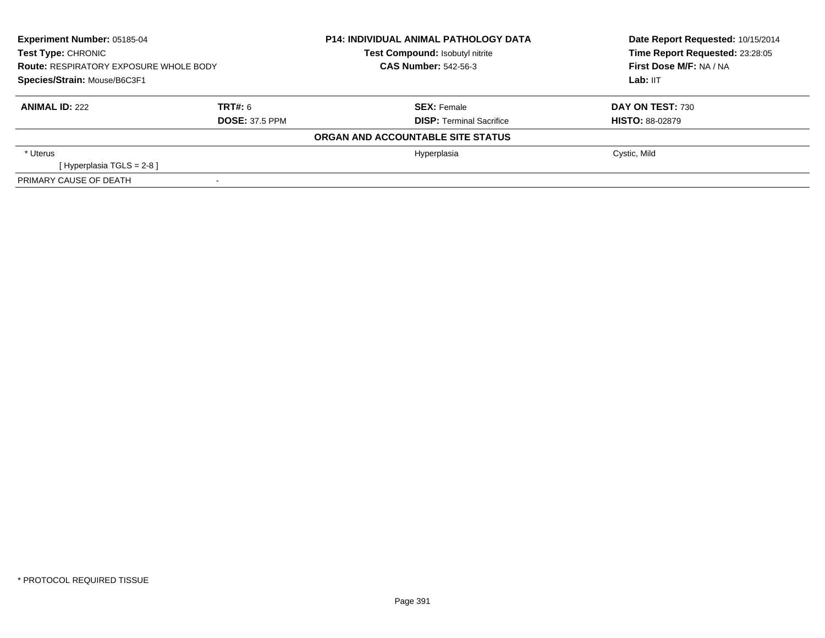| <b>Experiment Number: 05185-04</b><br><b>Test Type: CHRONIC</b><br><b>Route: RESPIRATORY EXPOSURE WHOLE BODY</b><br>Species/Strain: Mouse/B6C3F1<br>TRT#: 6<br><b>ANIMAL ID: 222</b><br><b>DOSE: 37.5 PPM</b> |  | <b>P14: INDIVIDUAL ANIMAL PATHOLOGY DATA</b><br>Test Compound: Isobutyl nitrite<br><b>CAS Number: 542-56-3</b> | Date Report Requested: 10/15/2014<br>Time Report Requested: 23:28:05<br>First Dose M/F: NA / NA<br>Lab: IIT |  |
|---------------------------------------------------------------------------------------------------------------------------------------------------------------------------------------------------------------|--|----------------------------------------------------------------------------------------------------------------|-------------------------------------------------------------------------------------------------------------|--|
|                                                                                                                                                                                                               |  | <b>SEX:</b> Female<br><b>DISP: Terminal Sacrifice</b>                                                          | DAY ON TEST: 730<br><b>HISTO: 88-02879</b>                                                                  |  |
|                                                                                                                                                                                                               |  | ORGAN AND ACCOUNTABLE SITE STATUS                                                                              |                                                                                                             |  |
| * Uterus<br>[Hyperplasia TGLS = $2-8$ ]                                                                                                                                                                       |  | Hyperplasia                                                                                                    | Cystic, Mild                                                                                                |  |
| PRIMARY CAUSE OF DEATH                                                                                                                                                                                        |  |                                                                                                                |                                                                                                             |  |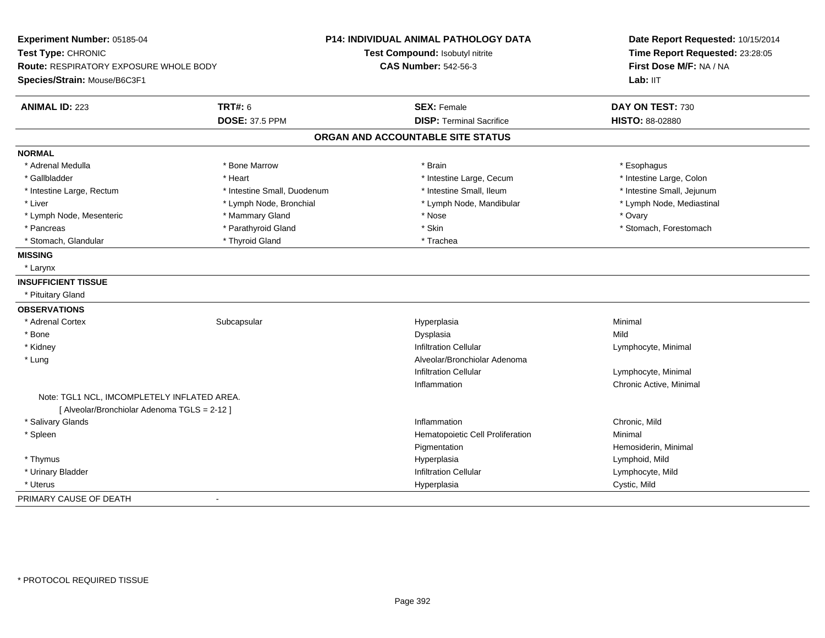| Experiment Number: 05185-04<br>Test Type: CHRONIC<br>Route: RESPIRATORY EXPOSURE WHOLE BODY<br>Species/Strain: Mouse/B6C3F1 |                                         | <b>P14: INDIVIDUAL ANIMAL PATHOLOGY DATA</b><br>Test Compound: Isobutyl nitrite<br><b>CAS Number: 542-56-3</b> | Date Report Requested: 10/15/2014<br>Time Report Requested: 23:28:05<br>First Dose M/F: NA / NA<br>Lab: IIT |
|-----------------------------------------------------------------------------------------------------------------------------|-----------------------------------------|----------------------------------------------------------------------------------------------------------------|-------------------------------------------------------------------------------------------------------------|
| <b>ANIMAL ID: 223</b>                                                                                                       | <b>TRT#: 6</b><br><b>DOSE: 37.5 PPM</b> | <b>SEX: Female</b><br><b>DISP: Terminal Sacrifice</b>                                                          | DAY ON TEST: 730<br><b>HISTO: 88-02880</b>                                                                  |
|                                                                                                                             |                                         | ORGAN AND ACCOUNTABLE SITE STATUS                                                                              |                                                                                                             |
|                                                                                                                             |                                         |                                                                                                                |                                                                                                             |
| <b>NORMAL</b>                                                                                                               |                                         |                                                                                                                |                                                                                                             |
| * Adrenal Medulla                                                                                                           | * Bone Marrow                           | * Brain                                                                                                        | * Esophagus                                                                                                 |
| * Gallbladder                                                                                                               | * Heart                                 | * Intestine Large, Cecum                                                                                       | * Intestine Large, Colon                                                                                    |
| * Intestine Large, Rectum                                                                                                   | * Intestine Small, Duodenum             | * Intestine Small, Ileum                                                                                       | * Intestine Small, Jejunum                                                                                  |
| * Liver                                                                                                                     | * Lymph Node, Bronchial                 | * Lymph Node, Mandibular                                                                                       | * Lymph Node, Mediastinal                                                                                   |
| * Lymph Node, Mesenteric                                                                                                    | * Mammary Gland                         | * Nose                                                                                                         | * Ovary                                                                                                     |
| * Pancreas                                                                                                                  | * Parathyroid Gland                     | * Skin                                                                                                         | * Stomach, Forestomach                                                                                      |
| * Stomach, Glandular                                                                                                        | * Thyroid Gland                         | * Trachea                                                                                                      |                                                                                                             |
| <b>MISSING</b>                                                                                                              |                                         |                                                                                                                |                                                                                                             |
| * Larynx                                                                                                                    |                                         |                                                                                                                |                                                                                                             |
| <b>INSUFFICIENT TISSUE</b>                                                                                                  |                                         |                                                                                                                |                                                                                                             |
| * Pituitary Gland                                                                                                           |                                         |                                                                                                                |                                                                                                             |
| <b>OBSERVATIONS</b>                                                                                                         |                                         |                                                                                                                |                                                                                                             |
| * Adrenal Cortex                                                                                                            | Subcapsular                             | Hyperplasia                                                                                                    | Minimal                                                                                                     |
| * Bone                                                                                                                      |                                         | Dysplasia                                                                                                      | Mild                                                                                                        |
| * Kidney                                                                                                                    |                                         | <b>Infiltration Cellular</b>                                                                                   | Lymphocyte, Minimal                                                                                         |
| * Lung                                                                                                                      |                                         | Alveolar/Bronchiolar Adenoma                                                                                   |                                                                                                             |
|                                                                                                                             |                                         | <b>Infiltration Cellular</b>                                                                                   | Lymphocyte, Minimal                                                                                         |
|                                                                                                                             |                                         | Inflammation                                                                                                   | Chronic Active, Minimal                                                                                     |
| Note: TGL1 NCL, IMCOMPLETELY INFLATED AREA.                                                                                 |                                         |                                                                                                                |                                                                                                             |
| [ Alveolar/Bronchiolar Adenoma TGLS = 2-12 ]                                                                                |                                         |                                                                                                                |                                                                                                             |
| * Salivary Glands                                                                                                           |                                         | Inflammation                                                                                                   | Chronic, Mild                                                                                               |
| * Spleen                                                                                                                    |                                         | Hematopoietic Cell Proliferation                                                                               | Minimal                                                                                                     |
|                                                                                                                             |                                         | Pigmentation                                                                                                   | Hemosiderin, Minimal                                                                                        |
| * Thymus                                                                                                                    |                                         | Hyperplasia                                                                                                    | Lymphoid, Mild                                                                                              |
| * Urinary Bladder                                                                                                           |                                         | <b>Infiltration Cellular</b>                                                                                   | Lymphocyte, Mild                                                                                            |
| * Uterus                                                                                                                    |                                         | Hyperplasia                                                                                                    | Cystic, Mild                                                                                                |
| PRIMARY CAUSE OF DEATH                                                                                                      | $\sim$                                  |                                                                                                                |                                                                                                             |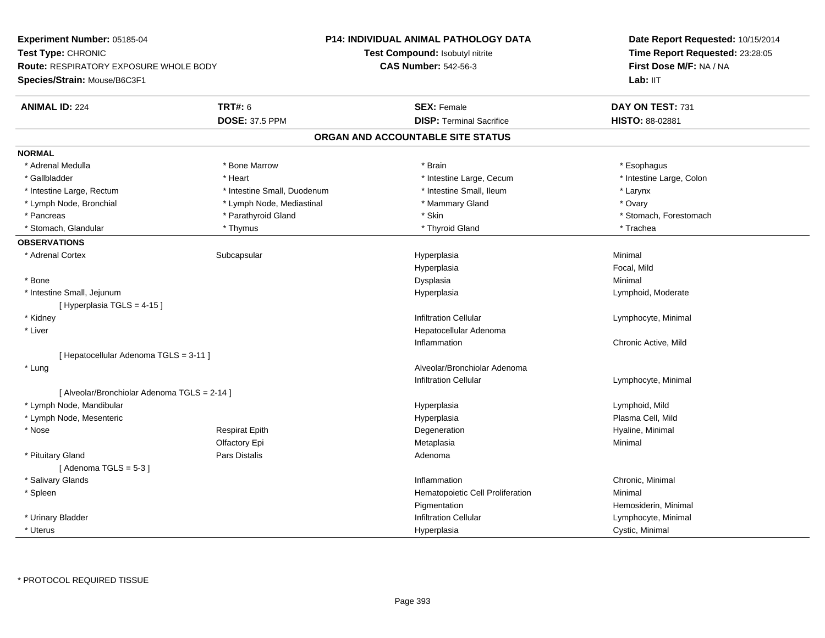| Experiment Number: 05185-04                  |                             | P14: INDIVIDUAL ANIMAL PATHOLOGY DATA | Date Report Requested: 10/15/2014<br>Time Report Requested: 23:28:05<br>First Dose M/F: NA / NA |
|----------------------------------------------|-----------------------------|---------------------------------------|-------------------------------------------------------------------------------------------------|
| Test Type: CHRONIC                           |                             | Test Compound: Isobutyl nitrite       |                                                                                                 |
| Route: RESPIRATORY EXPOSURE WHOLE BODY       |                             | <b>CAS Number: 542-56-3</b>           |                                                                                                 |
| Species/Strain: Mouse/B6C3F1                 |                             |                                       | Lab: IIT                                                                                        |
| <b>ANIMAL ID: 224</b>                        | <b>TRT#: 6</b>              | <b>SEX: Female</b>                    | DAY ON TEST: 731                                                                                |
|                                              | <b>DOSE: 37.5 PPM</b>       | <b>DISP: Terminal Sacrifice</b>       | HISTO: 88-02881                                                                                 |
|                                              |                             | ORGAN AND ACCOUNTABLE SITE STATUS     |                                                                                                 |
| <b>NORMAL</b>                                |                             |                                       |                                                                                                 |
| * Adrenal Medulla                            | * Bone Marrow               | * Brain                               | * Esophagus                                                                                     |
| * Gallbladder                                | * Heart                     | * Intestine Large, Cecum              | * Intestine Large, Colon                                                                        |
| * Intestine Large, Rectum                    | * Intestine Small, Duodenum | * Intestine Small, Ileum              | * Larynx                                                                                        |
| * Lymph Node, Bronchial                      | * Lymph Node, Mediastinal   | * Mammary Gland                       | * Ovary                                                                                         |
| * Pancreas                                   | * Parathyroid Gland         | * Skin                                | * Stomach, Forestomach                                                                          |
| * Stomach, Glandular                         | * Thymus                    | * Thyroid Gland                       | * Trachea                                                                                       |
| <b>OBSERVATIONS</b>                          |                             |                                       |                                                                                                 |
| * Adrenal Cortex                             | Subcapsular                 | Hyperplasia                           | Minimal                                                                                         |
|                                              |                             | Hyperplasia                           | Focal, Mild                                                                                     |
| * Bone                                       |                             | Dysplasia                             | Minimal                                                                                         |
| * Intestine Small, Jejunum                   |                             | Hyperplasia                           | Lymphoid, Moderate                                                                              |
| [Hyperplasia TGLS = 4-15]                    |                             |                                       |                                                                                                 |
| * Kidney                                     |                             | <b>Infiltration Cellular</b>          | Lymphocyte, Minimal                                                                             |
| * Liver                                      |                             | Hepatocellular Adenoma                |                                                                                                 |
|                                              |                             | Inflammation                          | Chronic Active, Mild                                                                            |
| [ Hepatocellular Adenoma TGLS = 3-11 ]       |                             |                                       |                                                                                                 |
| * Lung                                       |                             | Alveolar/Bronchiolar Adenoma          |                                                                                                 |
|                                              |                             | <b>Infiltration Cellular</b>          | Lymphocyte, Minimal                                                                             |
| [ Alveolar/Bronchiolar Adenoma TGLS = 2-14 ] |                             |                                       |                                                                                                 |
| * Lymph Node, Mandibular                     |                             | Hyperplasia                           | Lymphoid, Mild                                                                                  |
| * Lymph Node, Mesenteric                     |                             | Hyperplasia                           | Plasma Cell, Mild                                                                               |
| * Nose                                       | <b>Respirat Epith</b>       | Degeneration                          | Hyaline, Minimal                                                                                |
|                                              | Olfactory Epi               | Metaplasia                            | Minimal                                                                                         |
| * Pituitary Gland                            | Pars Distalis               | Adenoma                               |                                                                                                 |
| [Adenoma TGLS = $5-3$ ]                      |                             |                                       |                                                                                                 |
| * Salivary Glands                            |                             | Inflammation                          | Chronic, Minimal                                                                                |
| * Spleen                                     |                             | Hematopoietic Cell Proliferation      | Minimal                                                                                         |
|                                              |                             | Pigmentation                          | Hemosiderin, Minimal                                                                            |
| * Urinary Bladder                            |                             | <b>Infiltration Cellular</b>          | Lymphocyte, Minimal                                                                             |
| * Uterus                                     |                             | Hyperplasia                           | Cystic, Minimal                                                                                 |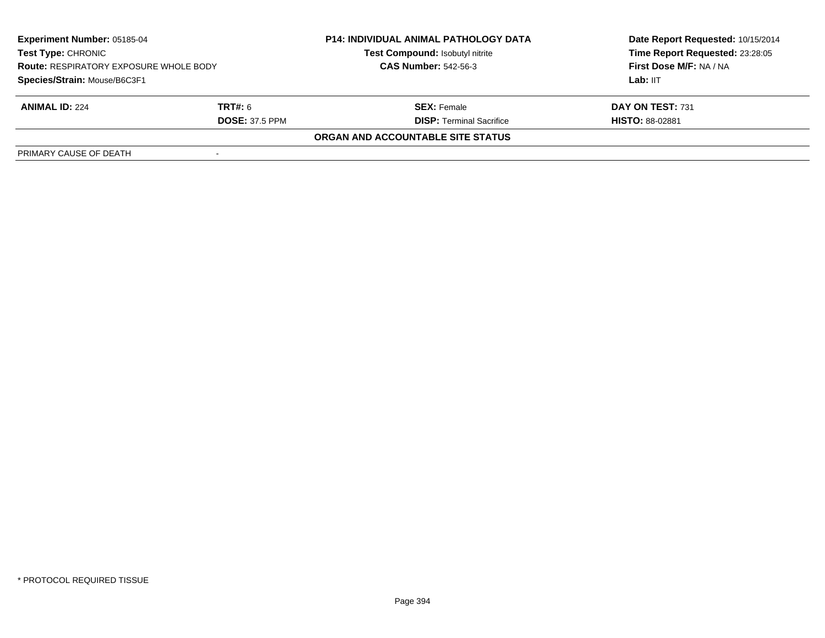| <b>Experiment Number: 05185-04</b><br><b>Test Type: CHRONIC</b><br><b>Route: RESPIRATORY EXPOSURE WHOLE BODY</b><br>Species/Strain: Mouse/B6C3F1 |                       | <b>P14: INDIVIDUAL ANIMAL PATHOLOGY DATA</b><br>Test Compound: Isobutyl nitrite | Date Report Requested: 10/15/2014<br>Time Report Requested: 23:28:05 |
|--------------------------------------------------------------------------------------------------------------------------------------------------|-----------------------|---------------------------------------------------------------------------------|----------------------------------------------------------------------|
|                                                                                                                                                  |                       | <b>CAS Number: 542-56-3</b>                                                     | First Dose M/F: NA / NA                                              |
|                                                                                                                                                  |                       |                                                                                 | Lab: IIT                                                             |
| <b>ANIMAL ID: 224</b>                                                                                                                            | <b>TRT#:</b> 6        | <b>SEX:</b> Female                                                              | DAY ON TEST: 731                                                     |
|                                                                                                                                                  | <b>DOSE: 37.5 PPM</b> | <b>DISP:</b> Terminal Sacrifice                                                 | <b>HISTO: 88-02881</b>                                               |
|                                                                                                                                                  |                       | ORGAN AND ACCOUNTABLE SITE STATUS                                               |                                                                      |
| PRIMARY CAUSE OF DEATH                                                                                                                           |                       |                                                                                 |                                                                      |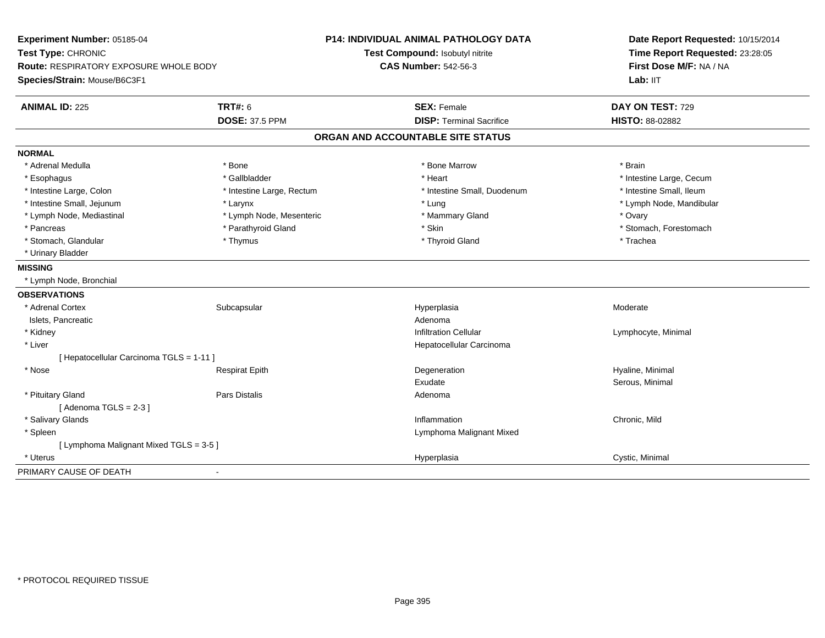| Experiment Number: 05185-04                   |                           | <b>P14: INDIVIDUAL ANIMAL PATHOLOGY DATA</b> | Date Report Requested: 10/15/2014 |
|-----------------------------------------------|---------------------------|----------------------------------------------|-----------------------------------|
| Test Type: CHRONIC                            |                           | Test Compound: Isobutyl nitrite              | Time Report Requested: 23:28:05   |
| <b>Route: RESPIRATORY EXPOSURE WHOLE BODY</b> |                           | <b>CAS Number: 542-56-3</b>                  | First Dose M/F: NA / NA           |
| Species/Strain: Mouse/B6C3F1                  |                           |                                              | Lab: IIT                          |
| <b>ANIMAL ID: 225</b>                         | <b>TRT#: 6</b>            | <b>SEX: Female</b>                           | DAY ON TEST: 729                  |
|                                               | <b>DOSE: 37.5 PPM</b>     | <b>DISP: Terminal Sacrifice</b>              | HISTO: 88-02882                   |
|                                               |                           | ORGAN AND ACCOUNTABLE SITE STATUS            |                                   |
| <b>NORMAL</b>                                 |                           |                                              |                                   |
| * Adrenal Medulla                             | * Bone                    | * Bone Marrow                                | * Brain                           |
| * Esophagus                                   | * Gallbladder             | * Heart                                      | * Intestine Large, Cecum          |
| * Intestine Large, Colon                      | * Intestine Large, Rectum | * Intestine Small, Duodenum                  | * Intestine Small, Ileum          |
| * Intestine Small, Jejunum                    | * Larynx                  | * Lung                                       | * Lymph Node, Mandibular          |
| * Lymph Node, Mediastinal                     | * Lymph Node, Mesenteric  | * Mammary Gland                              | * Ovary                           |
| * Pancreas                                    | * Parathyroid Gland       | * Skin                                       | * Stomach, Forestomach            |
| * Stomach, Glandular                          | * Thymus                  | * Thyroid Gland                              | * Trachea                         |
| * Urinary Bladder                             |                           |                                              |                                   |
| <b>MISSING</b>                                |                           |                                              |                                   |
| * Lymph Node, Bronchial                       |                           |                                              |                                   |
| <b>OBSERVATIONS</b>                           |                           |                                              |                                   |
| * Adrenal Cortex                              | Subcapsular               | Hyperplasia                                  | Moderate                          |
| Islets, Pancreatic                            |                           | Adenoma                                      |                                   |
| * Kidney                                      |                           | <b>Infiltration Cellular</b>                 | Lymphocyte, Minimal               |
| * Liver                                       |                           | Hepatocellular Carcinoma                     |                                   |
| [ Hepatocellular Carcinoma TGLS = 1-11 ]      |                           |                                              |                                   |
| * Nose                                        | <b>Respirat Epith</b>     | Degeneration                                 | Hyaline, Minimal                  |
|                                               |                           | Exudate                                      | Serous, Minimal                   |
| * Pituitary Gland                             | Pars Distalis             | Adenoma                                      |                                   |
| [Adenoma TGLS = $2-3$ ]                       |                           |                                              |                                   |
| * Salivary Glands                             |                           | Inflammation                                 | Chronic, Mild                     |
| * Spleen                                      |                           | Lymphoma Malignant Mixed                     |                                   |
| [ Lymphoma Malignant Mixed TGLS = 3-5 ]       |                           |                                              |                                   |
| * Uterus                                      |                           | Hyperplasia                                  | Cystic, Minimal                   |
| PRIMARY CAUSE OF DEATH                        |                           |                                              |                                   |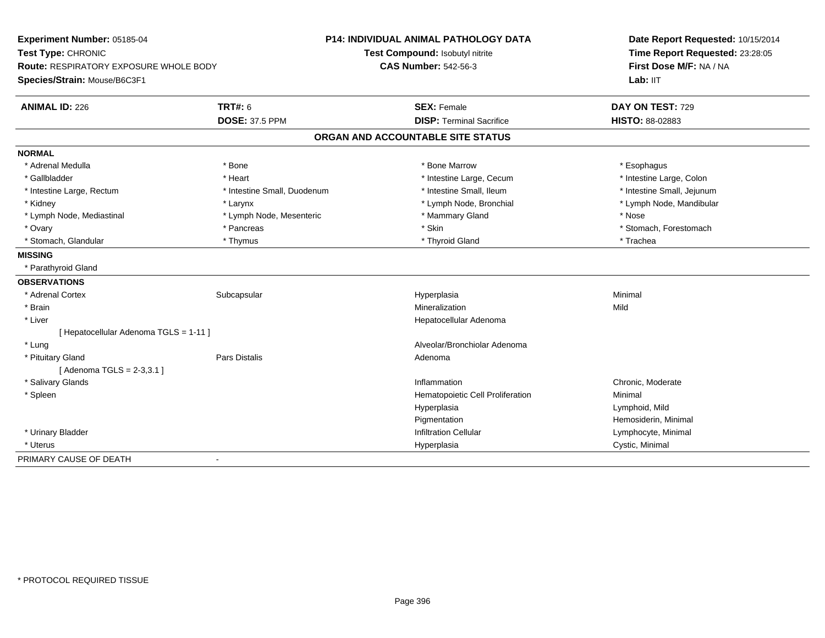| Experiment Number: 05185-04                   |                             | <b>P14: INDIVIDUAL ANIMAL PATHOLOGY DATA</b> | Date Report Requested: 10/15/2014<br>Time Report Requested: 23:28:05<br>First Dose M/F: NA / NA |
|-----------------------------------------------|-----------------------------|----------------------------------------------|-------------------------------------------------------------------------------------------------|
| Test Type: CHRONIC                            |                             | Test Compound: Isobutyl nitrite              |                                                                                                 |
| <b>Route: RESPIRATORY EXPOSURE WHOLE BODY</b> |                             | <b>CAS Number: 542-56-3</b>                  |                                                                                                 |
| Species/Strain: Mouse/B6C3F1                  |                             |                                              | Lab: IIT                                                                                        |
| <b>ANIMAL ID: 226</b>                         | <b>TRT#: 6</b>              | <b>SEX: Female</b>                           | DAY ON TEST: 729                                                                                |
|                                               | <b>DOSE: 37.5 PPM</b>       | <b>DISP: Terminal Sacrifice</b>              | HISTO: 88-02883                                                                                 |
|                                               |                             | ORGAN AND ACCOUNTABLE SITE STATUS            |                                                                                                 |
| <b>NORMAL</b>                                 |                             |                                              |                                                                                                 |
| * Adrenal Medulla                             | * Bone                      | * Bone Marrow                                | * Esophagus                                                                                     |
| * Gallbladder                                 | * Heart                     | * Intestine Large, Cecum                     | * Intestine Large, Colon                                                                        |
| * Intestine Large, Rectum                     | * Intestine Small, Duodenum | * Intestine Small, Ileum                     | * Intestine Small, Jejunum                                                                      |
| * Kidney                                      | * Larynx                    | * Lymph Node, Bronchial                      | * Lymph Node, Mandibular                                                                        |
| * Lymph Node, Mediastinal                     | * Lymph Node, Mesenteric    | * Mammary Gland                              | * Nose                                                                                          |
| * Ovary                                       | * Pancreas                  | * Skin                                       | * Stomach, Forestomach                                                                          |
| * Stomach, Glandular                          | * Thymus                    | * Thyroid Gland                              | * Trachea                                                                                       |
| <b>MISSING</b>                                |                             |                                              |                                                                                                 |
| * Parathyroid Gland                           |                             |                                              |                                                                                                 |
| <b>OBSERVATIONS</b>                           |                             |                                              |                                                                                                 |
| * Adrenal Cortex                              | Subcapsular                 | Hyperplasia                                  | Minimal                                                                                         |
| * Brain                                       |                             | Mineralization                               | Mild                                                                                            |
| * Liver                                       |                             | Hepatocellular Adenoma                       |                                                                                                 |
| [ Hepatocellular Adenoma TGLS = 1-11 ]        |                             |                                              |                                                                                                 |
| * Lung                                        |                             | Alveolar/Bronchiolar Adenoma                 |                                                                                                 |
| * Pituitary Gland                             | Pars Distalis               | Adenoma                                      |                                                                                                 |
| [Adenoma TGLS = $2-3,3.1$ ]                   |                             |                                              |                                                                                                 |
| * Salivary Glands                             |                             | Inflammation                                 | Chronic, Moderate                                                                               |
| * Spleen                                      |                             | Hematopoietic Cell Proliferation             | Minimal                                                                                         |
|                                               |                             | Hyperplasia                                  | Lymphoid, Mild                                                                                  |
|                                               |                             | Pigmentation                                 | Hemosiderin, Minimal                                                                            |
| * Urinary Bladder                             |                             | <b>Infiltration Cellular</b>                 | Lymphocyte, Minimal                                                                             |
| * Uterus                                      |                             | Hyperplasia                                  | Cystic, Minimal                                                                                 |
| PRIMARY CAUSE OF DEATH                        | $\blacksquare$              |                                              |                                                                                                 |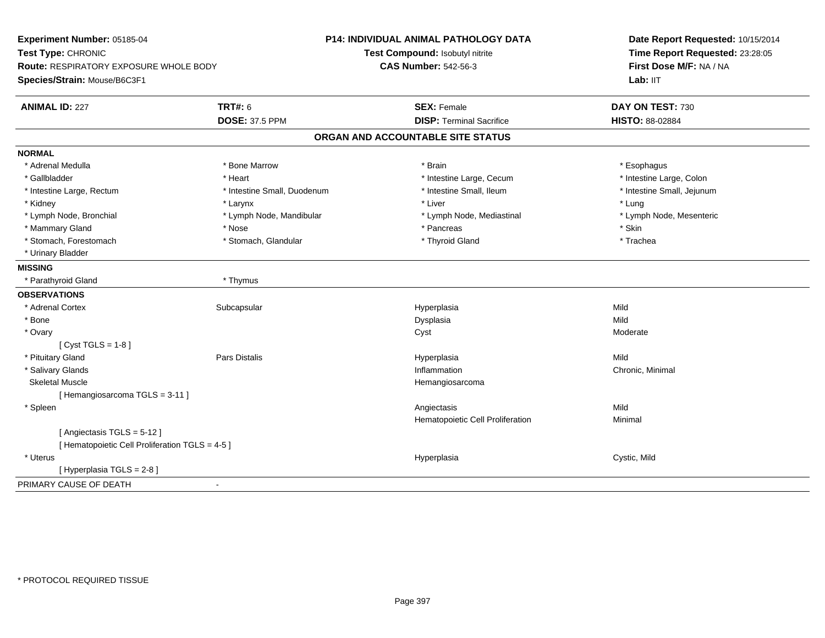| Experiment Number: 05185-04<br>Test Type: CHRONIC                      |                             | <b>P14: INDIVIDUAL ANIMAL PATHOLOGY DATA</b><br>Test Compound: Isobutyl nitrite | Date Report Requested: 10/15/2014<br>Time Report Requested: 23:28:05 |
|------------------------------------------------------------------------|-----------------------------|---------------------------------------------------------------------------------|----------------------------------------------------------------------|
| Route: RESPIRATORY EXPOSURE WHOLE BODY<br>Species/Strain: Mouse/B6C3F1 |                             | <b>CAS Number: 542-56-3</b>                                                     | First Dose M/F: NA / NA<br>Lab: IIT                                  |
|                                                                        |                             |                                                                                 |                                                                      |
| <b>ANIMAL ID: 227</b>                                                  | <b>TRT#: 6</b>              | <b>SEX: Female</b>                                                              | DAY ON TEST: 730                                                     |
|                                                                        | <b>DOSE: 37.5 PPM</b>       | <b>DISP: Terminal Sacrifice</b>                                                 | HISTO: 88-02884                                                      |
|                                                                        |                             | ORGAN AND ACCOUNTABLE SITE STATUS                                               |                                                                      |
| <b>NORMAL</b>                                                          |                             |                                                                                 |                                                                      |
| * Adrenal Medulla                                                      | * Bone Marrow               | * Brain                                                                         | * Esophagus                                                          |
| * Gallbladder                                                          | * Heart                     | * Intestine Large, Cecum                                                        | * Intestine Large, Colon                                             |
| * Intestine Large, Rectum                                              | * Intestine Small, Duodenum | * Intestine Small, Ileum                                                        | * Intestine Small, Jejunum                                           |
| * Kidney                                                               | * Larynx                    | * Liver                                                                         | * Lung                                                               |
| * Lymph Node, Bronchial                                                | * Lymph Node, Mandibular    | * Lymph Node, Mediastinal                                                       | * Lymph Node, Mesenteric                                             |
| * Mammary Gland                                                        | * Nose                      | * Pancreas                                                                      | * Skin                                                               |
| * Stomach, Forestomach                                                 | * Stomach, Glandular        | * Thyroid Gland                                                                 | * Trachea                                                            |
| * Urinary Bladder                                                      |                             |                                                                                 |                                                                      |
| <b>MISSING</b>                                                         |                             |                                                                                 |                                                                      |
| * Parathyroid Gland                                                    | * Thymus                    |                                                                                 |                                                                      |
| <b>OBSERVATIONS</b>                                                    |                             |                                                                                 |                                                                      |
| * Adrenal Cortex                                                       | Subcapsular                 | Hyperplasia                                                                     | Mild                                                                 |
| * Bone                                                                 |                             | Dysplasia                                                                       | Mild                                                                 |
| * Ovary                                                                |                             | Cyst                                                                            | Moderate                                                             |
| [ $Cyst TGLS = 1-8$ ]                                                  |                             |                                                                                 |                                                                      |
| * Pituitary Gland                                                      | Pars Distalis               | Hyperplasia                                                                     | Mild                                                                 |
| * Salivary Glands                                                      |                             | Inflammation                                                                    | Chronic, Minimal                                                     |
| <b>Skeletal Muscle</b>                                                 |                             | Hemangiosarcoma                                                                 |                                                                      |
| [Hemangiosarcoma TGLS = 3-11]                                          |                             |                                                                                 |                                                                      |
| * Spleen                                                               |                             | Angiectasis                                                                     | Mild                                                                 |
|                                                                        |                             | Hematopoietic Cell Proliferation                                                | Minimal                                                              |
| [Angiectasis TGLS = 5-12]                                              |                             |                                                                                 |                                                                      |
| [ Hematopoietic Cell Proliferation TGLS = 4-5 ]                        |                             |                                                                                 |                                                                      |
| * Uterus                                                               |                             | Hyperplasia                                                                     | Cystic, Mild                                                         |
| [ Hyperplasia TGLS = 2-8 ]                                             |                             |                                                                                 |                                                                      |
| PRIMARY CAUSE OF DEATH                                                 | $\blacksquare$              |                                                                                 |                                                                      |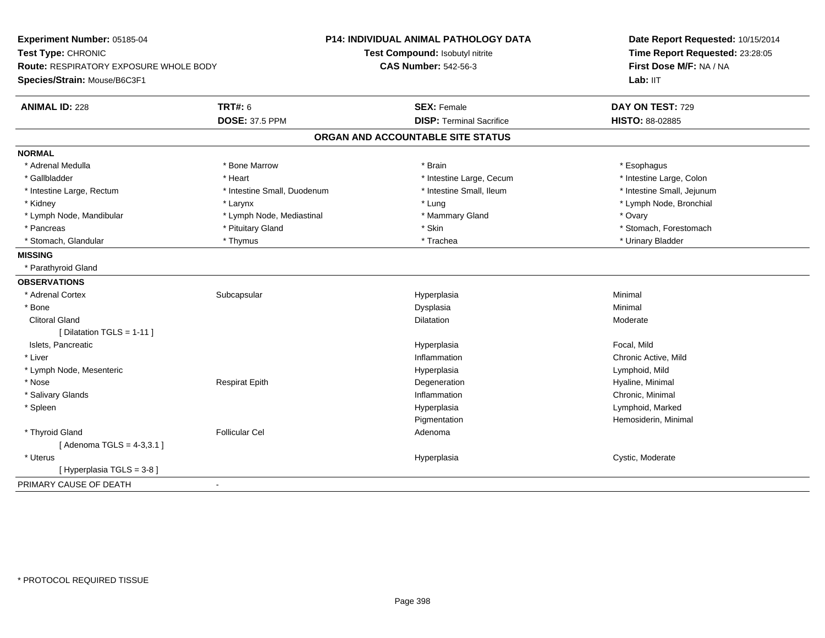| Experiment Number: 05185-04                   |                                 | P14: INDIVIDUAL ANIMAL PATHOLOGY DATA | Date Report Requested: 10/15/2014 |  |
|-----------------------------------------------|---------------------------------|---------------------------------------|-----------------------------------|--|
| Test Type: CHRONIC                            | Test Compound: Isobutyl nitrite |                                       | Time Report Requested: 23:28:05   |  |
| <b>Route: RESPIRATORY EXPOSURE WHOLE BODY</b> |                                 | <b>CAS Number: 542-56-3</b>           | First Dose M/F: NA / NA           |  |
| Species/Strain: Mouse/B6C3F1                  |                                 |                                       | Lab: IIT                          |  |
| <b>ANIMAL ID: 228</b>                         | <b>TRT#: 6</b>                  | <b>SEX: Female</b>                    | DAY ON TEST: 729                  |  |
|                                               | <b>DOSE: 37.5 PPM</b>           | <b>DISP: Terminal Sacrifice</b>       | <b>HISTO: 88-02885</b>            |  |
|                                               |                                 | ORGAN AND ACCOUNTABLE SITE STATUS     |                                   |  |
| <b>NORMAL</b>                                 |                                 |                                       |                                   |  |
| * Adrenal Medulla                             | * Bone Marrow                   | * Brain                               | * Esophagus                       |  |
| * Gallbladder                                 | * Heart                         | * Intestine Large, Cecum              | * Intestine Large, Colon          |  |
| * Intestine Large, Rectum                     | * Intestine Small, Duodenum     | * Intestine Small, Ileum              | * Intestine Small, Jejunum        |  |
| * Kidney                                      | * Larynx                        | * Lung                                | * Lymph Node, Bronchial           |  |
| * Lymph Node, Mandibular                      | * Lymph Node, Mediastinal       | * Mammary Gland                       | * Ovary                           |  |
| * Pancreas                                    | * Pituitary Gland               | * Skin                                | * Stomach, Forestomach            |  |
| * Stomach, Glandular                          | * Thymus                        | * Trachea                             | * Urinary Bladder                 |  |
| <b>MISSING</b>                                |                                 |                                       |                                   |  |
| * Parathyroid Gland                           |                                 |                                       |                                   |  |
| <b>OBSERVATIONS</b>                           |                                 |                                       |                                   |  |
| * Adrenal Cortex                              | Subcapsular                     | Hyperplasia                           | Minimal                           |  |
| * Bone                                        |                                 | Dysplasia                             | Minimal                           |  |
| <b>Clitoral Gland</b>                         |                                 | Dilatation                            | Moderate                          |  |
| [ Dilatation TGLS = 1-11 ]                    |                                 |                                       |                                   |  |
| Islets, Pancreatic                            |                                 | Hyperplasia                           | Focal, Mild                       |  |
| * Liver                                       |                                 | Inflammation                          | Chronic Active, Mild              |  |
| * Lymph Node, Mesenteric                      |                                 | Hyperplasia                           | Lymphoid, Mild                    |  |
| * Nose                                        | <b>Respirat Epith</b>           | Degeneration                          | Hyaline, Minimal                  |  |
| * Salivary Glands                             |                                 | Inflammation                          | Chronic, Minimal                  |  |
| * Spleen                                      |                                 | Hyperplasia                           | Lymphoid, Marked                  |  |
|                                               |                                 | Pigmentation                          | Hemosiderin, Minimal              |  |
| * Thyroid Gland                               | <b>Follicular Cel</b>           | Adenoma                               |                                   |  |
| [Adenoma TGLS = 4-3,3.1]                      |                                 |                                       |                                   |  |
| * Uterus                                      |                                 | Hyperplasia                           | Cystic, Moderate                  |  |
| [Hyperplasia TGLS = 3-8]                      |                                 |                                       |                                   |  |
| PRIMARY CAUSE OF DEATH                        | $\blacksquare$                  |                                       |                                   |  |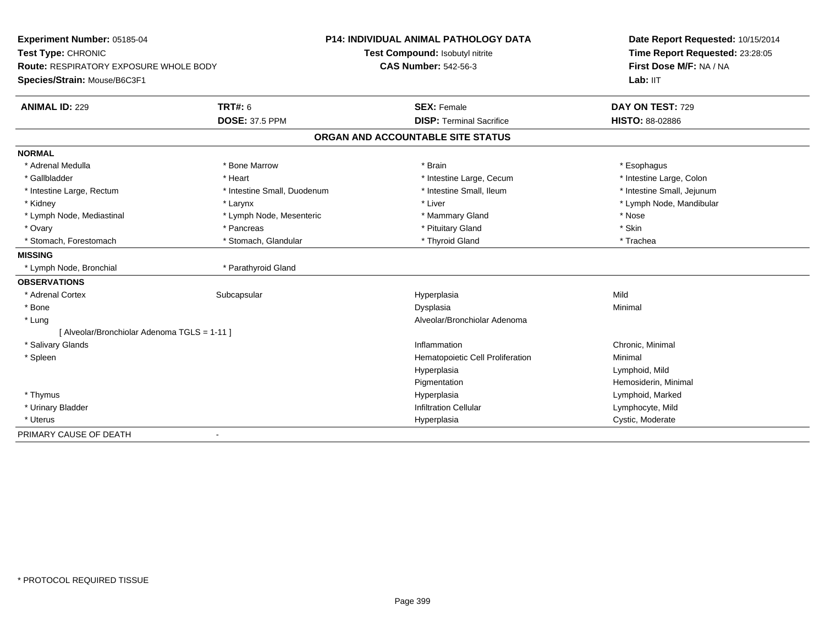| Experiment Number: 05185-04                   |                             | <b>P14: INDIVIDUAL ANIMAL PATHOLOGY DATA</b> | Date Report Requested: 10/15/2014<br>Time Report Requested: 23:28:05<br>First Dose M/F: NA / NA |
|-----------------------------------------------|-----------------------------|----------------------------------------------|-------------------------------------------------------------------------------------------------|
| Test Type: CHRONIC                            |                             | Test Compound: Isobutyl nitrite              |                                                                                                 |
| <b>Route: RESPIRATORY EXPOSURE WHOLE BODY</b> |                             | <b>CAS Number: 542-56-3</b>                  |                                                                                                 |
| Species/Strain: Mouse/B6C3F1                  |                             |                                              | Lab: IIT                                                                                        |
| <b>ANIMAL ID: 229</b>                         | <b>TRT#: 6</b>              | <b>SEX: Female</b>                           | DAY ON TEST: 729                                                                                |
|                                               | <b>DOSE: 37.5 PPM</b>       | <b>DISP: Terminal Sacrifice</b>              | <b>HISTO: 88-02886</b>                                                                          |
|                                               |                             | ORGAN AND ACCOUNTABLE SITE STATUS            |                                                                                                 |
| <b>NORMAL</b>                                 |                             |                                              |                                                                                                 |
| * Adrenal Medulla                             | * Bone Marrow               | * Brain                                      | * Esophagus                                                                                     |
| * Gallbladder                                 | * Heart                     | * Intestine Large, Cecum                     | * Intestine Large, Colon                                                                        |
| * Intestine Large, Rectum                     | * Intestine Small, Duodenum | * Intestine Small, Ileum                     | * Intestine Small, Jejunum                                                                      |
| * Kidney                                      | * Larynx                    | * Liver                                      | * Lymph Node, Mandibular                                                                        |
| * Lymph Node, Mediastinal                     | * Lymph Node, Mesenteric    | * Mammary Gland                              | * Nose                                                                                          |
| * Ovary                                       | * Pancreas                  | * Pituitary Gland                            | * Skin                                                                                          |
| * Stomach, Forestomach                        | * Stomach, Glandular        | * Thyroid Gland                              | * Trachea                                                                                       |
| <b>MISSING</b>                                |                             |                                              |                                                                                                 |
| * Lymph Node, Bronchial                       | * Parathyroid Gland         |                                              |                                                                                                 |
| <b>OBSERVATIONS</b>                           |                             |                                              |                                                                                                 |
| * Adrenal Cortex                              | Subcapsular                 | Hyperplasia                                  | Mild                                                                                            |
| * Bone                                        |                             | Dysplasia                                    | Minimal                                                                                         |
| * Lung                                        |                             | Alveolar/Bronchiolar Adenoma                 |                                                                                                 |
| [ Alveolar/Bronchiolar Adenoma TGLS = 1-11 ]  |                             |                                              |                                                                                                 |
| * Salivary Glands                             |                             | Inflammation                                 | Chronic, Minimal                                                                                |
| * Spleen                                      |                             | Hematopoietic Cell Proliferation             | Minimal                                                                                         |
|                                               |                             | Hyperplasia                                  | Lymphoid, Mild                                                                                  |
|                                               |                             | Pigmentation                                 | Hemosiderin, Minimal                                                                            |
| * Thymus                                      |                             | Hyperplasia                                  | Lymphoid, Marked                                                                                |
| * Urinary Bladder                             |                             | <b>Infiltration Cellular</b>                 | Lymphocyte, Mild                                                                                |
| * Uterus                                      |                             | Hyperplasia                                  | Cystic, Moderate                                                                                |
| PRIMARY CAUSE OF DEATH                        | $\overline{\phantom{0}}$    |                                              |                                                                                                 |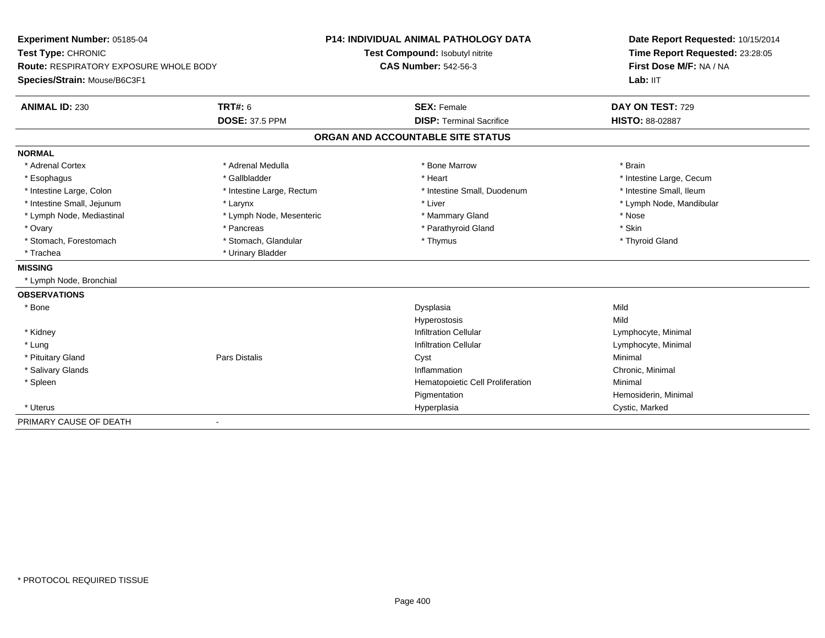| Experiment Number: 05185-04                   |                              | P14: INDIVIDUAL ANIMAL PATHOLOGY DATA | Date Report Requested: 10/15/2014<br>Time Report Requested: 23:28:05<br>First Dose M/F: NA / NA |
|-----------------------------------------------|------------------------------|---------------------------------------|-------------------------------------------------------------------------------------------------|
| Test Type: CHRONIC                            |                              | Test Compound: Isobutyl nitrite       |                                                                                                 |
| <b>Route: RESPIRATORY EXPOSURE WHOLE BODY</b> |                              | <b>CAS Number: 542-56-3</b>           |                                                                                                 |
| Species/Strain: Mouse/B6C3F1                  |                              |                                       | Lab: IIT                                                                                        |
| <b>ANIMAL ID: 230</b>                         | <b>TRT#: 6</b>               | <b>SEX: Female</b>                    | DAY ON TEST: 729                                                                                |
|                                               | <b>DOSE: 37.5 PPM</b>        | <b>DISP: Terminal Sacrifice</b>       | HISTO: 88-02887                                                                                 |
|                                               |                              | ORGAN AND ACCOUNTABLE SITE STATUS     |                                                                                                 |
| <b>NORMAL</b>                                 |                              |                                       |                                                                                                 |
| * Adrenal Cortex                              | * Adrenal Medulla            | * Bone Marrow                         | * Brain                                                                                         |
| * Esophagus                                   | * Gallbladder                | * Heart                               | * Intestine Large, Cecum                                                                        |
| * Intestine Large, Colon                      | * Intestine Large, Rectum    | * Intestine Small, Duodenum           | * Intestine Small, Ileum                                                                        |
| * Intestine Small, Jejunum                    | * Larynx                     | * Liver                               | * Lymph Node, Mandibular                                                                        |
| * Lymph Node, Mediastinal                     | * Lymph Node, Mesenteric     | * Mammary Gland                       | * Nose                                                                                          |
| * Ovary                                       | * Pancreas                   | * Parathyroid Gland                   | * Skin                                                                                          |
| * Stomach, Forestomach                        | * Stomach, Glandular         | * Thymus                              | * Thyroid Gland                                                                                 |
| * Trachea                                     | * Urinary Bladder            |                                       |                                                                                                 |
| <b>MISSING</b>                                |                              |                                       |                                                                                                 |
| * Lymph Node, Bronchial                       |                              |                                       |                                                                                                 |
| <b>OBSERVATIONS</b>                           |                              |                                       |                                                                                                 |
| * Bone                                        |                              | Dysplasia                             | Mild                                                                                            |
|                                               |                              | Hyperostosis                          | Mild                                                                                            |
| * Kidney                                      |                              | <b>Infiltration Cellular</b>          | Lymphocyte, Minimal                                                                             |
| * Lung                                        |                              | <b>Infiltration Cellular</b>          | Lymphocyte, Minimal                                                                             |
| * Pituitary Gland                             | Pars Distalis                | Cyst                                  | Minimal                                                                                         |
| * Salivary Glands                             |                              | Inflammation                          | Chronic, Minimal                                                                                |
| * Spleen                                      |                              | Hematopoietic Cell Proliferation      | Minimal                                                                                         |
|                                               |                              | Pigmentation                          | Hemosiderin, Minimal                                                                            |
| * Uterus                                      |                              | Hyperplasia                           | Cystic, Marked                                                                                  |
| PRIMARY CAUSE OF DEATH                        | $\qquad \qquad \blacksquare$ |                                       |                                                                                                 |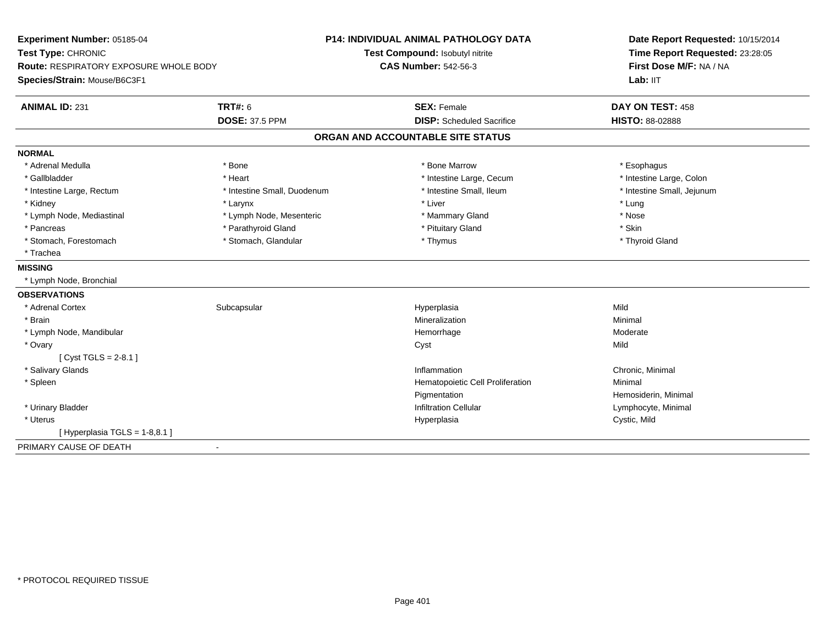| Experiment Number: 05185-04              |                             | <b>P14: INDIVIDUAL ANIMAL PATHOLOGY DATA</b> | Date Report Requested: 10/15/2014<br>Time Report Requested: 23:28:05<br>First Dose M/F: NA / NA |
|------------------------------------------|-----------------------------|----------------------------------------------|-------------------------------------------------------------------------------------------------|
| Test Type: CHRONIC                       |                             | Test Compound: Isobutyl nitrite              |                                                                                                 |
| Route: RESPIRATORY EXPOSURE WHOLE BODY   |                             | <b>CAS Number: 542-56-3</b>                  |                                                                                                 |
| Species/Strain: Mouse/B6C3F1             |                             |                                              | Lab: IIT                                                                                        |
| <b>ANIMAL ID: 231</b>                    | <b>TRT#: 6</b>              | <b>SEX: Female</b>                           | DAY ON TEST: 458                                                                                |
|                                          | <b>DOSE: 37.5 PPM</b>       | <b>DISP:</b> Scheduled Sacrifice             | HISTO: 88-02888                                                                                 |
|                                          |                             | ORGAN AND ACCOUNTABLE SITE STATUS            |                                                                                                 |
| <b>NORMAL</b>                            |                             |                                              |                                                                                                 |
| * Adrenal Medulla                        | * Bone                      | * Bone Marrow                                | * Esophagus                                                                                     |
| * Gallbladder                            | * Heart                     | * Intestine Large, Cecum                     | * Intestine Large, Colon                                                                        |
| * Intestine Large, Rectum                | * Intestine Small, Duodenum | * Intestine Small, Ileum                     | * Intestine Small, Jejunum                                                                      |
| * Kidney                                 | * Larynx                    | * Liver                                      | * Lung                                                                                          |
| * Lymph Node, Mediastinal                | * Lymph Node, Mesenteric    | * Mammary Gland                              | * Nose                                                                                          |
| * Pancreas                               | * Parathyroid Gland         | * Pituitary Gland                            | * Skin                                                                                          |
| * Stomach, Forestomach                   | * Stomach, Glandular        | * Thymus                                     | * Thyroid Gland                                                                                 |
| * Trachea                                |                             |                                              |                                                                                                 |
| <b>MISSING</b>                           |                             |                                              |                                                                                                 |
| * Lymph Node, Bronchial                  |                             |                                              |                                                                                                 |
| <b>OBSERVATIONS</b>                      |                             |                                              |                                                                                                 |
| * Adrenal Cortex                         | Subcapsular                 | Hyperplasia                                  | Mild                                                                                            |
| * Brain                                  |                             | Mineralization                               | Minimal                                                                                         |
| * Lymph Node, Mandibular                 |                             | Hemorrhage                                   | Moderate                                                                                        |
| * Ovary                                  |                             | Cyst                                         | Mild                                                                                            |
| [ $Cyst TGLS = 2-8.1$ ]                  |                             |                                              |                                                                                                 |
| * Salivary Glands                        |                             | Inflammation                                 | Chronic, Minimal                                                                                |
| * Spleen                                 |                             | Hematopoietic Cell Proliferation             | Minimal                                                                                         |
|                                          |                             | Pigmentation                                 | Hemosiderin, Minimal                                                                            |
| * Urinary Bladder                        |                             | <b>Infiltration Cellular</b>                 | Lymphocyte, Minimal                                                                             |
| * Uterus                                 |                             | Hyperplasia                                  | Cystic, Mild                                                                                    |
| [Hyperplasia TGLS = $1-8,8.1$ ]          |                             |                                              |                                                                                                 |
| PRIMARY CAUSE OF DEATH<br>$\blacksquare$ |                             |                                              |                                                                                                 |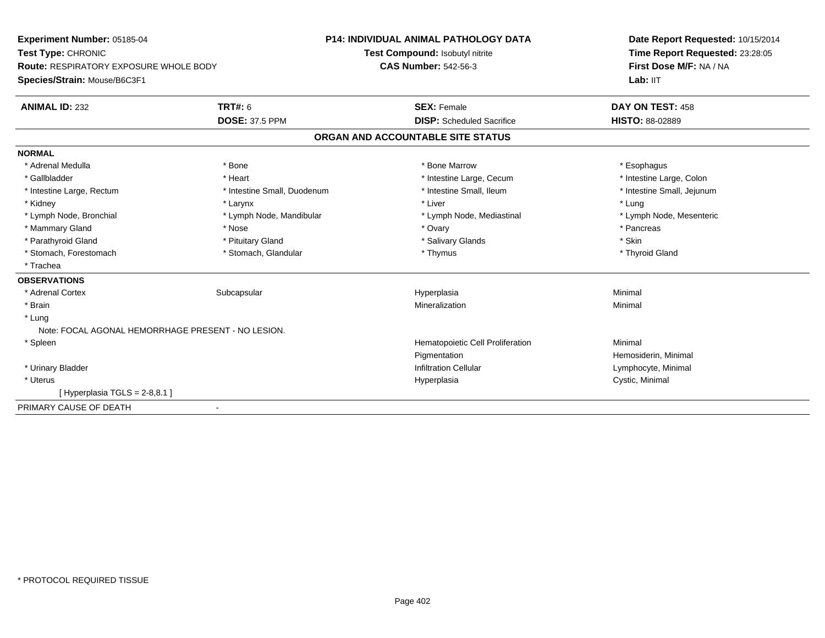**Experiment Number:** 05185-04**Test Type:** CHRONIC **Route:** RESPIRATORY EXPOSURE WHOLE BODY**Species/Strain:** Mouse/B6C3F1**P14: INDIVIDUAL ANIMAL PATHOLOGY DATATest Compound:** Isobutyl nitrite**CAS Number:** 542-56-3**Date Report Requested:** 10/15/2014**Time Report Requested:** 23:28:05**First Dose M/F:** NA / NALab: IIT **ANIMAL ID:** 232**TRT#:** 6 **SEX:** Female **SEX: Female DAY ON TEST:** 458 **DOSE:** 37.5 PPM **DISP:** Scheduled Sacrifice **HISTO:** 88-02889 **ORGAN AND ACCOUNTABLE SITE STATUSNORMAL**\* Adrenal Medulla \* Adrenal Medulla \* \* The matter of the state of the state of the state of the state of the state of the state of the state of the state of the state of the state of the state of the state of the state of the state of the \* Intestine Large, Colon \* Gallbladder \* The mode of the state of the state of the state of the state of the state of the state of the state of the state of the state of the state of the state of the state of the state of the state of the state of \* Intestine Small, Jejunum \* Intestine Large, Rectum \* Intestine Small, Duodenum \* Intestine Small, Ileum \* 1ntestine Small, Ileum \* Kidney \* Larynx \* Liver \* Lung\* Lymph Node, Mesenteric \* Lymph Node, Bronchial \* Lymph Node, Mandibular \* Lymph Node, Mediastinal \* Lymph Node, Mediastinal \* Mammary Gland \* \* Andrew \* Nose \* \* Nose \* \* Ovary \* Ovary \* Ovary \* \* Ovary \* \* Pancreas \* \* Pancreas \* \* Pancreas \* \* Pancreas \* \* Pancreas \* \* Pancreas \* \* Pancreas \* \* Pancreas \* \* Pancreas \* \* Pancreas \* \* Pancreas \* Parathyroid Gland \* \* Pituitary Gland \* Thuitary Gland \* Salivary Glands \* Stin \* Skin \* Skin \* Skin \* Skin \* Skin \* Skin \* Skin \* Skin \* Skin \* Skin \* Skin \* Skin \* Skin \* Skin \* Skin \* Skin \* Skin \* Skin \* Skin \* Skin \* Thyroid Gland \* Stomach, Forestomach \* Thymus \* Stomach, Glandular \* Thymus \* Thymus \* Thymus \* Thymus \* Thymus \* Thymus \* Thymus \* Thymus \* Thymus \* Thymus \* Thymus \* Thymus \* Thymus \* Thymus \* Thymus \* Thymus \* Thymus \* Thymus \* Thymu \* Trachea**OBSERVATIONS** \* Adrenal Cortexx Subcapsular Suberty Subsets and the Hyperplasia a and a studies of the studies of the Minimal \* Brainn and the controller of the controller of the Mineralization and the controller of the Minimal of the Minimal <br>The Minimal of the controller of the controller of the controller of the controller of the controller of the c \* Lung Note: FOCAL AGONAL HEMORRHAGE PRESENT - NO LESION. \* SpleenHematopoietic Cell Proliferation Minimal PigmentationPigmentation<br>
Infiltration Cellular<br>
Infiltration Cellular<br>
Cymphocyte, Minimal \* Urinary BladderLymphocyte, Minimal \* Uteruss and the contract of the contract of the contract of the contract of the contract of the contract of the contract of the contract of the contract of the contract of the contract of the contract of the contract of the cont Hyperplasia Cystic, Minimal  $[$  Hyperplasia TGLS = 2-8,8.1 ] PRIMARY CAUSE OF DEATH-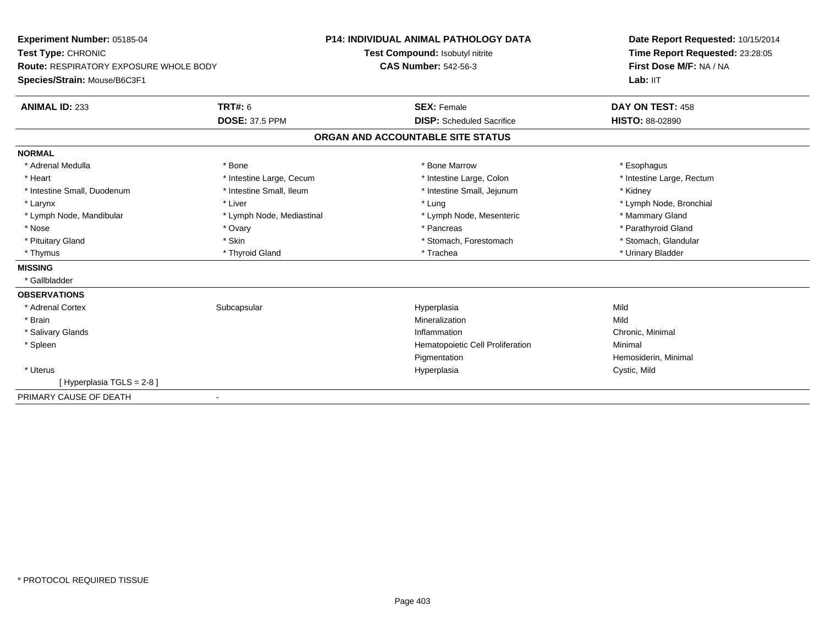| Experiment Number: 05185-04                                  |                           | <b>P14: INDIVIDUAL ANIMAL PATHOLOGY DATA</b> | Date Report Requested: 10/15/2014                          |  |
|--------------------------------------------------------------|---------------------------|----------------------------------------------|------------------------------------------------------------|--|
| Test Type: CHRONIC<br>Route: RESPIRATORY EXPOSURE WHOLE BODY |                           | Test Compound: Isobutyl nitrite              | Time Report Requested: 23:28:05<br>First Dose M/F: NA / NA |  |
|                                                              |                           | <b>CAS Number: 542-56-3</b>                  |                                                            |  |
| Species/Strain: Mouse/B6C3F1                                 |                           |                                              | Lab: IIT                                                   |  |
| <b>ANIMAL ID: 233</b>                                        | <b>TRT#: 6</b>            | <b>SEX: Female</b>                           | DAY ON TEST: 458                                           |  |
|                                                              | <b>DOSE: 37.5 PPM</b>     | <b>DISP:</b> Scheduled Sacrifice             | <b>HISTO: 88-02890</b>                                     |  |
|                                                              |                           | ORGAN AND ACCOUNTABLE SITE STATUS            |                                                            |  |
| <b>NORMAL</b>                                                |                           |                                              |                                                            |  |
| * Adrenal Medulla                                            | * Bone                    | * Bone Marrow                                | * Esophagus                                                |  |
| * Heart                                                      | * Intestine Large, Cecum  | * Intestine Large, Colon                     | * Intestine Large, Rectum                                  |  |
| * Intestine Small, Duodenum                                  | * Intestine Small, Ileum  | * Intestine Small, Jejunum                   | * Kidney                                                   |  |
| * Larynx                                                     | * Liver                   | * Lung                                       | * Lymph Node, Bronchial                                    |  |
| * Lymph Node, Mandibular                                     | * Lymph Node, Mediastinal | * Lymph Node, Mesenteric                     | * Mammary Gland                                            |  |
| * Nose                                                       | * Ovary                   | * Pancreas                                   | * Parathyroid Gland                                        |  |
| * Pituitary Gland                                            | * Skin                    | * Stomach, Forestomach                       | * Stomach, Glandular                                       |  |
| * Thymus                                                     | * Thyroid Gland           | * Trachea                                    | * Urinary Bladder                                          |  |
| <b>MISSING</b>                                               |                           |                                              |                                                            |  |
| * Gallbladder                                                |                           |                                              |                                                            |  |
| <b>OBSERVATIONS</b>                                          |                           |                                              |                                                            |  |
| * Adrenal Cortex                                             | Subcapsular               | Hyperplasia                                  | Mild                                                       |  |
| * Brain                                                      |                           | Mineralization                               | Mild                                                       |  |
| * Salivary Glands                                            |                           | Inflammation                                 | Chronic, Minimal                                           |  |
| * Spleen                                                     |                           | Hematopoietic Cell Proliferation             | Minimal                                                    |  |
|                                                              |                           | Pigmentation                                 | Hemosiderin, Minimal                                       |  |
| * Uterus                                                     |                           | Hyperplasia                                  | Cystic, Mild                                               |  |
| [Hyperplasia TGLS = 2-8]                                     |                           |                                              |                                                            |  |
| PRIMARY CAUSE OF DEATH                                       |                           |                                              |                                                            |  |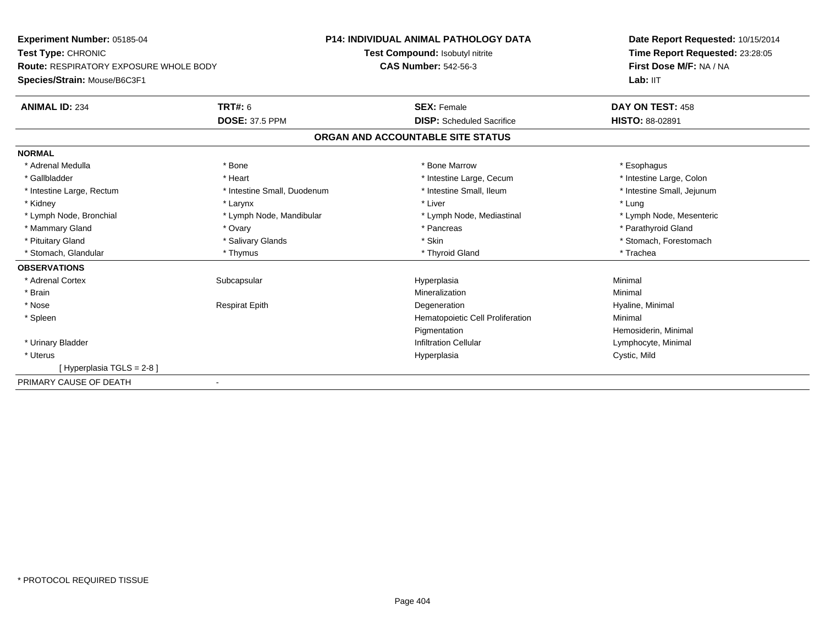**Experiment Number:** 05185-04**Test Type:** CHRONIC **Route:** RESPIRATORY EXPOSURE WHOLE BODY**Species/Strain:** Mouse/B6C3F1**P14: INDIVIDUAL ANIMAL PATHOLOGY DATATest Compound:** Isobutyl nitrite**CAS Number:** 542-56-3**Date Report Requested:** 10/15/2014**Time Report Requested:** 23:28:05**First Dose M/F:** NA / NALab: IIT **ANIMAL ID:** 234**TRT#:** 6 **SEX:** Female **SEX: Female DAY ON TEST:** 458 **DOSE:** 37.5 PPM **DISP:** Scheduled Sacrifice **HISTO:** 88-02891 **ORGAN AND ACCOUNTABLE SITE STATUSNORMAL**\* Adrenal Medulla \* Adrenal Medulla \* \* The matter of the state of the state of the state of the state of the state of the state of the state of the state of the state of the state of the state of the state of the state of the state of the \* Intestine Large, Colon \* Gallbladder \* The mode of the state of the state of the state of the state of the state of the state of the state of the state of the state of the state of the state of the state of the state of the state of the state of \* Intestine Small, Jejunum \* Intestine Large, Rectum \* Intestine Small, Duodenum \* Intestine Small, Ileum \* 1ntestine Small, Ileum \* Kidney \* Larynx \* Liver \* Lung \* Lymph Node, Bronchial \* Lymph Node, Mandibular \* Lymph Node, Mediastinal \* Lymph Node, Mesenteric\* Mammary Gland \* \* Andrew \* Ovary \* Andrew \* Ovary \* Pancreas \* Pancreas \* \* Pancreas \* \* Pancreas \* \* Pancreas \* \* Pancreas \* \* Pancreas \* \* Pancreas \* \* Pancreas \* \* Pancreas \* \* Pancreas \* \* Pancreas \* \* Pancreas \* \* P \* Pituitary Gland \* \* Salivary Glands \* Salivary Glands \* Skin \* \* Skin \* \* Stomach, Forestomach \* Stomach, Glandular \* Thymus \* Thymus \* Thymus \* Thyroid Gland \* Thyroid Gland \* Thachea **OBSERVATIONS** \* Adrenal Cortexx Subcapsular Suberty Subsets and the Hyperplasia a and a studies of the studies of the Minimal \* Brainn and the controller of the controller of the Mineralization and the controller of the Minimal of the Minimal <br>The Minimal of the controller of the controller of the controller of the controller of the controller of the c \* Nose Respirat Epith Degeneration Hyaline, Minimal \* SpleenHematopoietic Cell Proliferation Minimal PigmentationPigmentation and the mass of the Hemosiderin, Minimal<br>Infiltration Cellular and the mass of the Hymphocyte, Minimal \* Urinary BladderLymphocyte, Minimal \* Uteruss and the contract of the contract of the contract of the contract of the contract of the contract of the contract of the contract of the contract of the contract of the contract of the contract of the contract of the cont Cystic, Mild [ Hyperplasia TGLS = 2-8 ]PRIMARY CAUSE OF DEATH-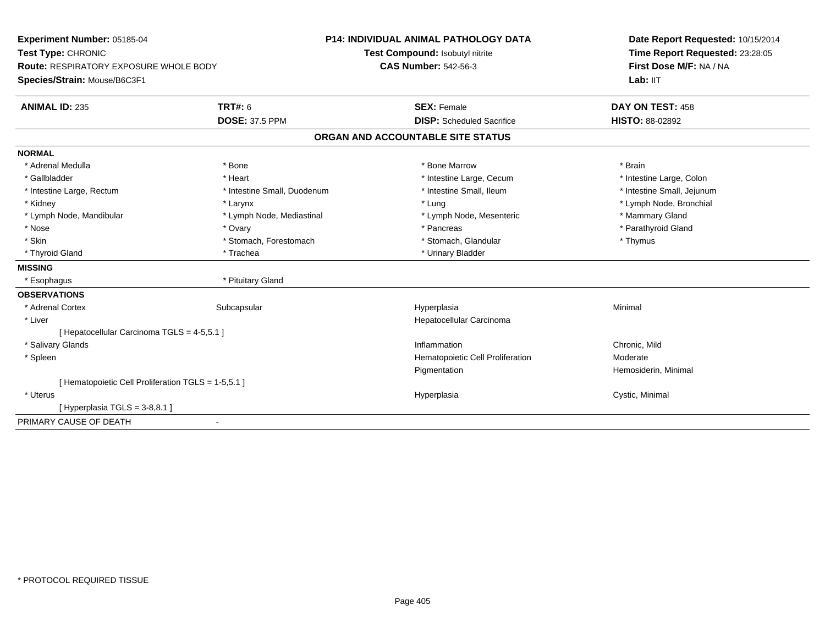| Experiment Number: 05185-04                         |                             | <b>P14: INDIVIDUAL ANIMAL PATHOLOGY DATA</b> | Date Report Requested: 10/15/2014<br>Time Report Requested: 23:28:05 |
|-----------------------------------------------------|-----------------------------|----------------------------------------------|----------------------------------------------------------------------|
| Test Type: CHRONIC                                  |                             | Test Compound: Isobutyl nitrite              |                                                                      |
| <b>Route: RESPIRATORY EXPOSURE WHOLE BODY</b>       |                             | <b>CAS Number: 542-56-3</b>                  | First Dose M/F: NA / NA                                              |
| Species/Strain: Mouse/B6C3F1                        |                             |                                              | Lab: IIT                                                             |
| <b>ANIMAL ID: 235</b>                               | <b>TRT#: 6</b>              | <b>SEX: Female</b>                           | DAY ON TEST: 458                                                     |
|                                                     | <b>DOSE: 37.5 PPM</b>       | <b>DISP:</b> Scheduled Sacrifice             | HISTO: 88-02892                                                      |
|                                                     |                             | ORGAN AND ACCOUNTABLE SITE STATUS            |                                                                      |
| <b>NORMAL</b>                                       |                             |                                              |                                                                      |
| * Adrenal Medulla                                   | * Bone                      | * Bone Marrow                                | * Brain                                                              |
| * Gallbladder                                       | * Heart                     | * Intestine Large, Cecum                     | * Intestine Large, Colon                                             |
| * Intestine Large, Rectum                           | * Intestine Small, Duodenum | * Intestine Small, Ileum                     | * Intestine Small, Jejunum                                           |
| * Kidney                                            | * Larynx                    | * Lung                                       | * Lymph Node, Bronchial                                              |
| * Lymph Node, Mandibular                            | * Lymph Node, Mediastinal   | * Lymph Node, Mesenteric                     | * Mammary Gland                                                      |
| * Nose                                              | * Ovary                     | * Pancreas                                   | * Parathyroid Gland                                                  |
| * Skin                                              | * Stomach, Forestomach      | * Stomach, Glandular                         | * Thymus                                                             |
| * Thyroid Gland                                     | * Trachea                   | * Urinary Bladder                            |                                                                      |
| <b>MISSING</b>                                      |                             |                                              |                                                                      |
| * Esophagus                                         | * Pituitary Gland           |                                              |                                                                      |
| <b>OBSERVATIONS</b>                                 |                             |                                              |                                                                      |
| * Adrenal Cortex                                    | Subcapsular                 | Hyperplasia                                  | Minimal                                                              |
| * Liver                                             |                             | Hepatocellular Carcinoma                     |                                                                      |
| [ Hepatocellular Carcinoma TGLS = 4-5,5.1 ]         |                             |                                              |                                                                      |
| * Salivary Glands                                   |                             | Inflammation                                 | Chronic, Mild                                                        |
| * Spleen                                            |                             | Hematopoietic Cell Proliferation             | Moderate                                                             |
|                                                     |                             | Pigmentation                                 | Hemosiderin, Minimal                                                 |
| [ Hematopoietic Cell Proliferation TGLS = 1-5,5.1 ] |                             |                                              |                                                                      |
| * Uterus                                            |                             | Hyperplasia                                  | Cystic, Minimal                                                      |
| [Hyperplasia TGLS = 3-8,8.1]                        |                             |                                              |                                                                      |
| PRIMARY CAUSE OF DEATH                              | $\overline{\phantom{a}}$    |                                              |                                                                      |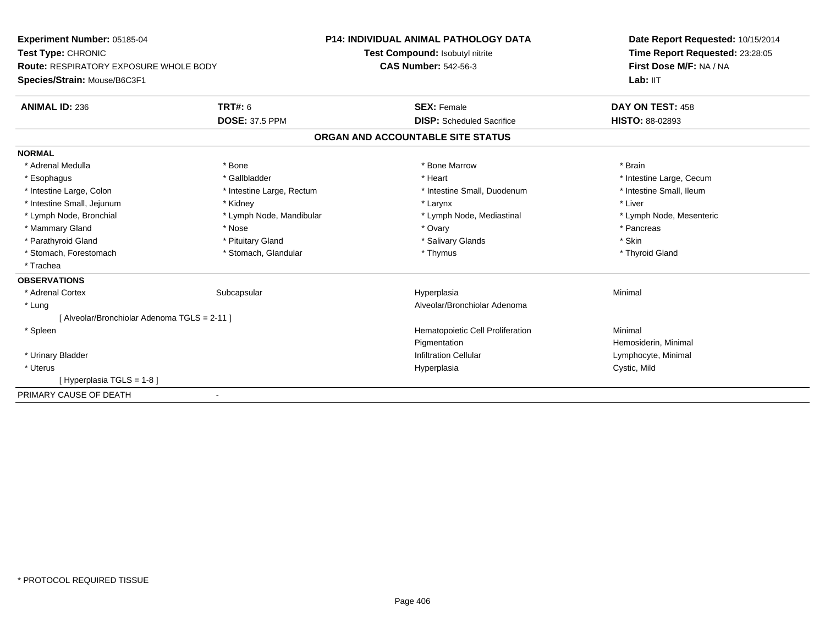**Experiment Number:** 05185-04**Test Type:** CHRONIC **Route:** RESPIRATORY EXPOSURE WHOLE BODY**Species/Strain:** Mouse/B6C3F1**P14: INDIVIDUAL ANIMAL PATHOLOGY DATATest Compound:** Isobutyl nitrite**CAS Number:** 542-56-3**Date Report Requested:** 10/15/2014**Time Report Requested:** 23:28:05**First Dose M/F:** NA / NALab: IIT **ANIMAL ID:** 236**6 DAY ON TEST:** 458 **DOSE:** 37.5 PPM **DISP:** Scheduled Sacrifice **HISTO:** 88-02893 **ORGAN AND ACCOUNTABLE SITE STATUSNORMAL**\* Adrenal Medulla \* \* Annual Medulla \* Brain \* Bone \* \* Bone Marrow \* Bone Marrow \* \* Brain \* Brain \* Brain \* Brain \* Brain \* Brain \* Brain \* Brain \* Brain \* Brain \* Brain \* Brain \* Brain \* Brain \* Brain \* Brain \* Brain \* \* Esophagus \* https://www.fragustage.com/web/2019/heart \* Heart \* Heart \* Heart \* Intestine Large, Cecum \* Intestine Large, Cecum \* Sallbladder \* The state of the state of the state of the state of the state of the state o \* Intestine Small, Ileum \* Intestine Large, Colon \* Intestine Large, Rectum \* Intestine Small, Duodenum \* Intestine Small, Duodenum \* Intestine Small, Jejunum \* \* Widney \* Kidney \* Larynx \* Larynx \* Larynx \* Larynx \* Liver \* Liver \* Lymph Node, Bronchial \* Lymph Node, Mandibular \* Lymph Node, Mediastinal \* Lymph Node, Mesenteric\* Mammary Gland \* \* Andrew \* Nose \* \* Nose \* \* Ovary \* Ovary \* Ovary \* \* Ovary \* \* Pancreas \* \* Pancreas \* \* Pancreas \* \* Pancreas \* \* Pancreas \* \* Pancreas \* \* Pancreas \* \* Pancreas \* \* Pancreas \* \* Pancreas \* \* Pancreas \* Parathyroid Gland \* \* Pituitary Gland \* Thuitary Gland \* Salivary Glands \* Stin \* Skin \* Skin \* Skin \* Skin \* Skin \* Skin \* Skin \* Skin \* Skin \* Skin \* Skin \* Skin \* Skin \* Skin \* Skin \* Skin \* Skin \* Skin \* Skin \* Skin \* Thyroid Gland \* Stomach, Forestomach \* Thymus \* Stomach, Glandular \* Thymus \* Thymus \* Thymus \* Thymus \* Thymus \* Thymus \* Thymus \* Thymus \* Thymus \* Thymus \* Thymus \* Thymus \* Thymus \* Thymus \* Thymus \* Thymus \* Thymus \* Thymus \* Thymu \* Trachea**OBSERVATIONS** \* Adrenal Cortexx Subcapsular Suberty Subsets and the Hyperplasia a and a studies of the studies of the Minimal \* Lung Alveolar/Bronchiolar Adenoma [ Alveolar/Bronchiolar Adenoma TGLS = 2-11 ] \* SpleenHematopoietic Cell Proliferation Minimal **Pigmentation**  Hemosiderin, Minimal \* Urinary BladderInfiltration Cellular **Lymphocyte**, Minimal \* Uteruss and the contract of the contract of the contract of the contract of the contract of the contract of the contract of the contract of the contract of the contract of the contract of the contract of the contract of the cont Hyperplasia **Cystic, Mild** [ Hyperplasia TGLS = 1-8 ]PRIMARY CAUSE OF DEATH-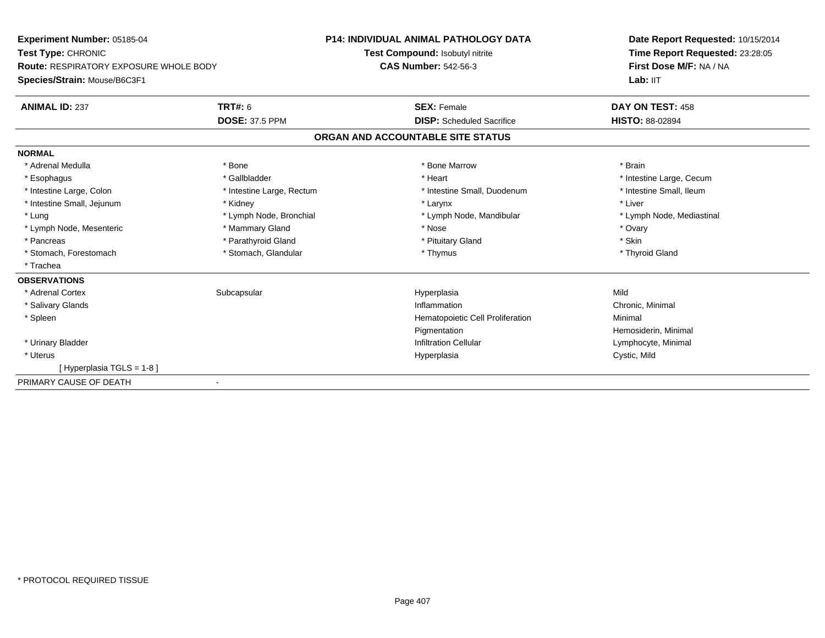**Experiment Number:** 05185-04**Test Type:** CHRONIC **Route:** RESPIRATORY EXPOSURE WHOLE BODY**Species/Strain:** Mouse/B6C3F1**P14: INDIVIDUAL ANIMAL PATHOLOGY DATATest Compound:** Isobutyl nitrite**CAS Number:** 542-56-3**Date Report Requested:** 10/15/2014**Time Report Requested:** 23:28:05**First Dose M/F:** NA / NALab: IIT **ANIMAL ID:** 237**TRT#:** 6 **SEX:** Female **SEX: Female DAY ON TEST:** 458 **DOSE:** 37.5 PPM **DISP:** Scheduled Sacrifice **HISTO:** 88-02894 **ORGAN AND ACCOUNTABLE SITE STATUSNORMAL**\* Adrenal Medulla \* \* Annual Medulla \* Brain \* Bone \* \* Bone Marrow \* Bone Marrow \* \* Brain \* Brain \* Brain \* Brain \* Brain \* Brain \* Brain \* Brain \* Brain \* Brain \* Brain \* Brain \* Brain \* Brain \* Brain \* Brain \* Brain \* \* Esophagus \* https://www.fragustage.com/web/2019/heart \* Heart \* Heart \* Heart \* Intestine Large, Cecum \* Intestine Large, Cecum \* Sallbladder \* The state of the state of the state of the state of the state of the state o \* Intestine Small, Ileum \* Intestine Large, Colon \* Intestine Large, Rectum \* Intestine Small, Duodenum \* Intestine Small, Duodenum \* Intestine Small, Jejunum \* \* Widney \* Kidney \* Larynx \* Larynx \* Larynx \* Larynx \* Liver \* Liver \* Lung \* Lymph Node, Bronchial \* Lymph Node, Bronchial \* Lymph Node, Mandibular \* Note \* Lymph Node, Mediastinal \* Lymph Node, Mesenteric \* \* \* Mammary Gland \* \* Nose \* Nose \* Ovary \* Ovary \* Ovary \* Ovary \* Ovary \* Ovary \* Ovary \* Skin \* Pancreas \* Parathyroid Gland \* Parathyroid Gland \*  $\sim$  \* Pituitary Gland \* Thyroid Gland \* Stomach, Forestomach \* Thymus \* Stomach, Glandular \* Thymus \* Thymus \* Thymus \* Thymus \* Thymus \* Thymus \* Thymus \* Thymus \* Thymus \* Thymus \* Thymus \* Thymus \* Thymus \* Thymus \* Thymus \* Thymus \* Thymus \* Thymus \* Thymu \* Trachea **OBSERVATIONS** \* Adrenal Cortexx Subcapsular Suberty Subsets and the Hyperplasia a Mild \* Salivary Glandss and the contract of the contract of the contract of the contract of the contract of the contract of the contract of the contract of the contract of the contract of the contract of the contract of the contract of the cont Inflammation<br>
Hematopoietic Cell Proliferation<br>
Minimal Minimal \* SpleenHematopoietic Cell Proliferation PigmentationPigmentation<br>
Infiltration Cellular<br>
Infiltration Cellular<br>
Composition Cellular \* Urinary BladderLymphocyte, Minimal \* Uteruss and the contract of the contract of the contract of the contract of the contract of the contract of the contract of the contract of the contract of the contract of the contract of the contract of the contract of the cont Cystic, Mild [ Hyperplasia TGLS = 1-8 ]PRIMARY CAUSE OF DEATH-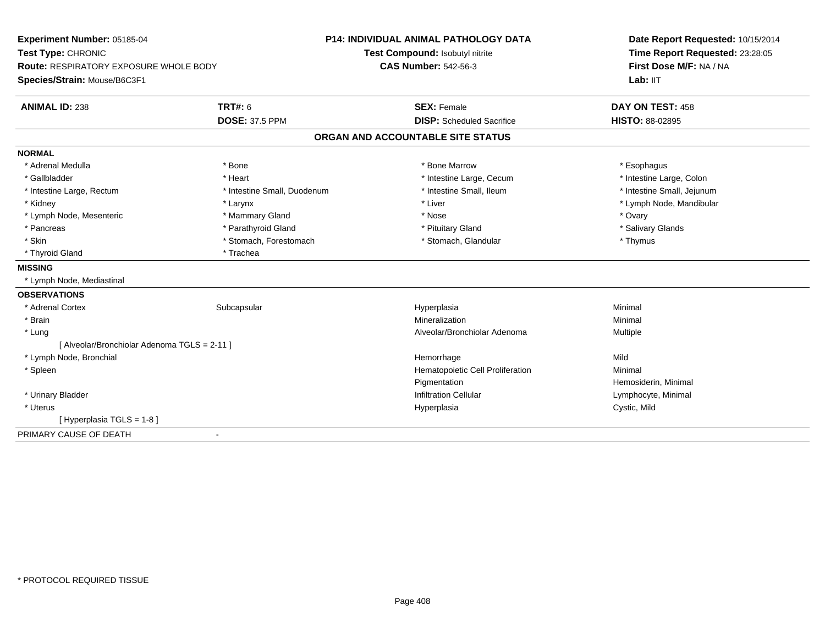| Experiment Number: 05185-04                   |                             | <b>P14: INDIVIDUAL ANIMAL PATHOLOGY DATA</b> | Date Report Requested: 10/15/2014<br>Time Report Requested: 23:28:05<br>First Dose M/F: NA / NA |  |
|-----------------------------------------------|-----------------------------|----------------------------------------------|-------------------------------------------------------------------------------------------------|--|
| Test Type: CHRONIC                            |                             | Test Compound: Isobutyl nitrite              |                                                                                                 |  |
| <b>Route: RESPIRATORY EXPOSURE WHOLE BODY</b> |                             | <b>CAS Number: 542-56-3</b>                  |                                                                                                 |  |
| Species/Strain: Mouse/B6C3F1                  |                             |                                              | Lab: IIT                                                                                        |  |
| <b>ANIMAL ID: 238</b>                         | <b>TRT#: 6</b>              | <b>SEX: Female</b>                           | DAY ON TEST: 458                                                                                |  |
|                                               | <b>DOSE: 37.5 PPM</b>       | <b>DISP:</b> Scheduled Sacrifice             | <b>HISTO: 88-02895</b>                                                                          |  |
|                                               |                             | ORGAN AND ACCOUNTABLE SITE STATUS            |                                                                                                 |  |
| <b>NORMAL</b>                                 |                             |                                              |                                                                                                 |  |
| * Adrenal Medulla                             | * Bone                      | * Bone Marrow                                | * Esophagus                                                                                     |  |
| * Gallbladder                                 | * Heart                     | * Intestine Large, Cecum                     | * Intestine Large, Colon                                                                        |  |
| * Intestine Large, Rectum                     | * Intestine Small, Duodenum | * Intestine Small, Ileum                     | * Intestine Small, Jejunum                                                                      |  |
| * Kidney                                      | * Larynx                    | * Liver                                      | * Lymph Node, Mandibular                                                                        |  |
| * Lymph Node, Mesenteric                      | * Mammary Gland             | * Nose                                       | * Ovary                                                                                         |  |
| * Pancreas                                    | * Parathyroid Gland         | * Pituitary Gland                            | * Salivary Glands                                                                               |  |
| * Skin                                        | * Stomach, Forestomach      | * Stomach, Glandular                         | * Thymus                                                                                        |  |
| * Thyroid Gland                               | * Trachea                   |                                              |                                                                                                 |  |
| <b>MISSING</b>                                |                             |                                              |                                                                                                 |  |
| * Lymph Node, Mediastinal                     |                             |                                              |                                                                                                 |  |
| <b>OBSERVATIONS</b>                           |                             |                                              |                                                                                                 |  |
| * Adrenal Cortex                              | Subcapsular                 | Hyperplasia                                  | Minimal                                                                                         |  |
| * Brain                                       |                             | Mineralization                               | Minimal                                                                                         |  |
| * Lung                                        |                             | Alveolar/Bronchiolar Adenoma                 | Multiple                                                                                        |  |
| [ Alveolar/Bronchiolar Adenoma TGLS = 2-11 ]  |                             |                                              |                                                                                                 |  |
| * Lymph Node, Bronchial                       |                             | Hemorrhage                                   | Mild                                                                                            |  |
| * Spleen                                      |                             | Hematopoietic Cell Proliferation             | Minimal                                                                                         |  |
|                                               |                             | Pigmentation                                 | Hemosiderin, Minimal                                                                            |  |
| * Urinary Bladder                             |                             | <b>Infiltration Cellular</b>                 | Lymphocyte, Minimal                                                                             |  |
| * Uterus                                      |                             | Hyperplasia                                  | Cystic, Mild                                                                                    |  |
| [Hyperplasia TGLS = 1-8]                      |                             |                                              |                                                                                                 |  |
| PRIMARY CAUSE OF DEATH                        | $\overline{\phantom{a}}$    |                                              |                                                                                                 |  |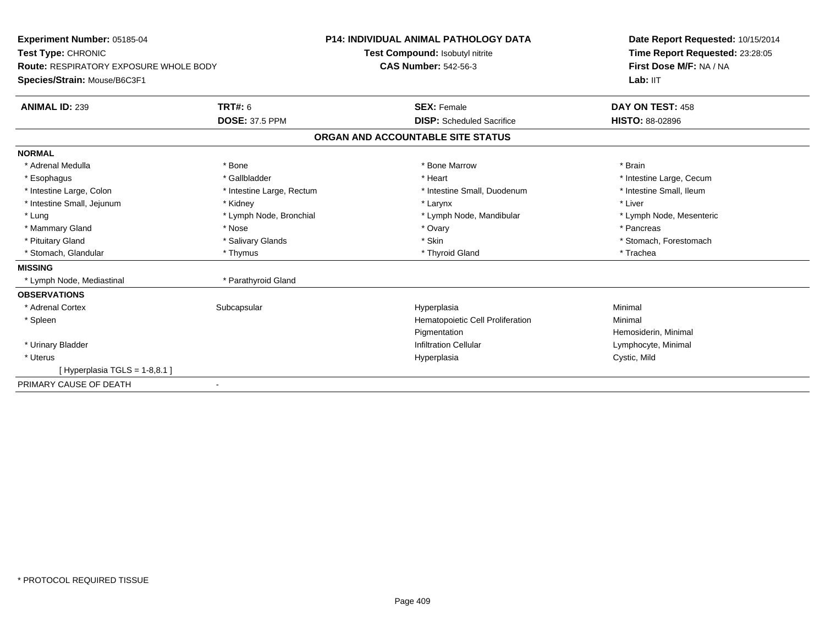| Experiment Number: 05185-04<br>Test Type: CHRONIC |                           | <b>P14: INDIVIDUAL ANIMAL PATHOLOGY DATA</b> | Date Report Requested: 10/15/2014<br>Time Report Requested: 23:28:05 |
|---------------------------------------------------|---------------------------|----------------------------------------------|----------------------------------------------------------------------|
|                                                   |                           | Test Compound: Isobutyl nitrite              |                                                                      |
| <b>Route: RESPIRATORY EXPOSURE WHOLE BODY</b>     |                           | <b>CAS Number: 542-56-3</b>                  | First Dose M/F: NA / NA                                              |
| Species/Strain: Mouse/B6C3F1                      |                           |                                              | Lab: IIT                                                             |
| <b>ANIMAL ID: 239</b>                             | <b>TRT#: 6</b>            | <b>SEX: Female</b>                           | DAY ON TEST: 458                                                     |
|                                                   | <b>DOSE: 37.5 PPM</b>     | <b>DISP:</b> Scheduled Sacrifice             | <b>HISTO: 88-02896</b>                                               |
|                                                   |                           | ORGAN AND ACCOUNTABLE SITE STATUS            |                                                                      |
| <b>NORMAL</b>                                     |                           |                                              |                                                                      |
| * Adrenal Medulla                                 | * Bone                    | * Bone Marrow                                | * Brain                                                              |
| * Esophagus                                       | * Gallbladder             | * Heart                                      | * Intestine Large, Cecum                                             |
| * Intestine Large, Colon                          | * Intestine Large, Rectum | * Intestine Small, Duodenum                  | * Intestine Small, Ileum                                             |
| * Intestine Small, Jejunum                        | * Kidney                  | * Larynx                                     | * Liver                                                              |
| * Lung                                            | * Lymph Node, Bronchial   | * Lymph Node, Mandibular                     | * Lymph Node, Mesenteric                                             |
| * Mammary Gland                                   | * Nose                    | * Ovary                                      | * Pancreas                                                           |
| * Pituitary Gland                                 | * Salivary Glands         | * Skin                                       | * Stomach, Forestomach                                               |
| * Stomach, Glandular                              | * Thymus                  | * Thyroid Gland                              | * Trachea                                                            |
| <b>MISSING</b>                                    |                           |                                              |                                                                      |
| * Lymph Node, Mediastinal                         | * Parathyroid Gland       |                                              |                                                                      |
| <b>OBSERVATIONS</b>                               |                           |                                              |                                                                      |
| * Adrenal Cortex                                  | Subcapsular               | Hyperplasia                                  | Minimal                                                              |
| * Spleen                                          |                           | Hematopoietic Cell Proliferation             | Minimal                                                              |
|                                                   |                           | Pigmentation                                 | Hemosiderin, Minimal                                                 |
| * Urinary Bladder                                 |                           | <b>Infiltration Cellular</b>                 | Lymphocyte, Minimal                                                  |
| * Uterus                                          |                           | Hyperplasia                                  | Cystic, Mild                                                         |
| [Hyperplasia TGLS = $1-8,8.1$ ]                   |                           |                                              |                                                                      |
| PRIMARY CAUSE OF DEATH                            |                           |                                              |                                                                      |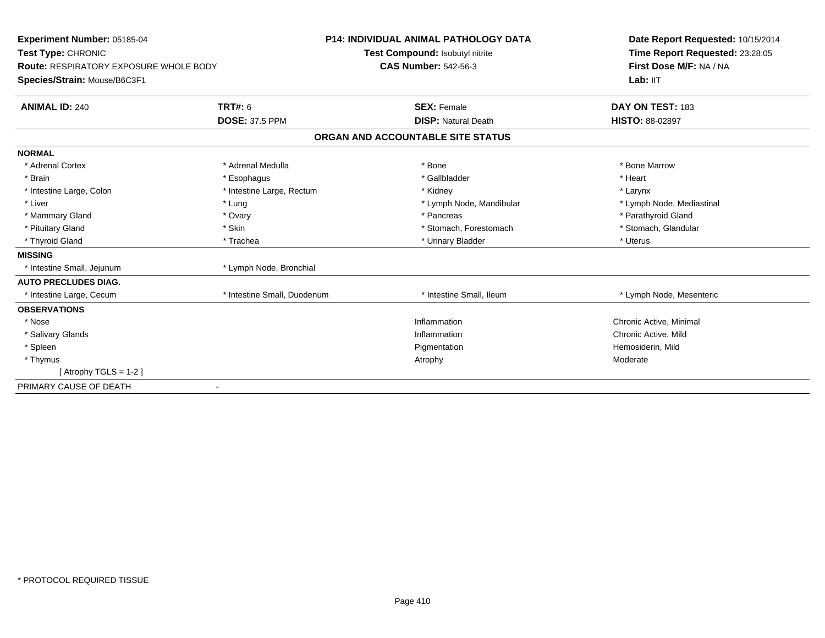| Experiment Number: 05185-04                                                |                             | <b>P14: INDIVIDUAL ANIMAL PATHOLOGY DATA</b> | Date Report Requested: 10/15/2014                          |
|----------------------------------------------------------------------------|-----------------------------|----------------------------------------------|------------------------------------------------------------|
| <b>Test Type: CHRONIC</b><br><b>Route: RESPIRATORY EXPOSURE WHOLE BODY</b> |                             | Test Compound: Isobutyl nitrite              | Time Report Requested: 23:28:05<br>First Dose M/F: NA / NA |
|                                                                            |                             | <b>CAS Number: 542-56-3</b>                  |                                                            |
| Species/Strain: Mouse/B6C3F1                                               |                             |                                              | Lab: IIT                                                   |
| <b>ANIMAL ID: 240</b>                                                      | TRT#: 6                     | <b>SEX: Female</b>                           | DAY ON TEST: 183                                           |
|                                                                            | <b>DOSE: 37.5 PPM</b>       | <b>DISP: Natural Death</b>                   | <b>HISTO: 88-02897</b>                                     |
|                                                                            |                             | ORGAN AND ACCOUNTABLE SITE STATUS            |                                                            |
| <b>NORMAL</b>                                                              |                             |                                              |                                                            |
| * Adrenal Cortex                                                           | * Adrenal Medulla           | * Bone                                       | * Bone Marrow                                              |
| * Brain                                                                    | * Esophagus                 | * Gallbladder                                | * Heart                                                    |
| * Intestine Large, Colon                                                   | * Intestine Large, Rectum   | * Kidney                                     | * Larynx                                                   |
| * Liver                                                                    | * Lung                      | * Lymph Node, Mandibular                     | * Lymph Node, Mediastinal                                  |
| * Mammary Gland                                                            | * Ovary                     | * Pancreas                                   | * Parathyroid Gland                                        |
| * Pituitary Gland                                                          | * Skin                      | * Stomach, Forestomach                       | * Stomach, Glandular                                       |
| * Thyroid Gland                                                            | * Trachea                   | * Urinary Bladder                            | * Uterus                                                   |
| <b>MISSING</b>                                                             |                             |                                              |                                                            |
| * Intestine Small, Jejunum                                                 | * Lymph Node, Bronchial     |                                              |                                                            |
| <b>AUTO PRECLUDES DIAG.</b>                                                |                             |                                              |                                                            |
| * Intestine Large, Cecum                                                   | * Intestine Small, Duodenum | * Intestine Small, Ileum                     | * Lymph Node, Mesenteric                                   |
| <b>OBSERVATIONS</b>                                                        |                             |                                              |                                                            |
| * Nose                                                                     |                             | Inflammation                                 | Chronic Active, Minimal                                    |
| * Salivary Glands                                                          |                             | Inflammation                                 | Chronic Active, Mild                                       |
| * Spleen                                                                   |                             | Pigmentation                                 | Hemosiderin, Mild                                          |
| * Thymus                                                                   |                             | Atrophy                                      | Moderate                                                   |
| [Atrophy TGLS = 1-2]                                                       |                             |                                              |                                                            |
| PRIMARY CAUSE OF DEATH<br>$\blacksquare$                                   |                             |                                              |                                                            |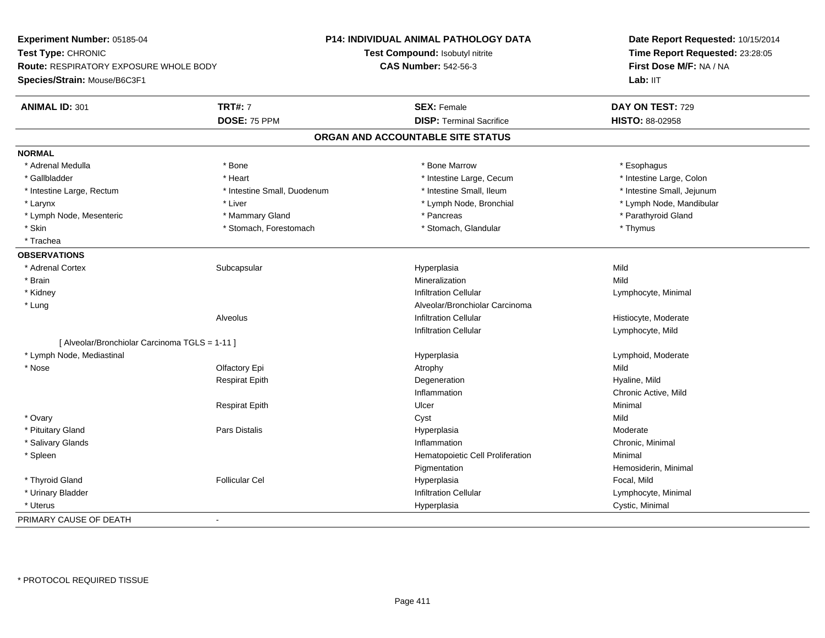**Experiment Number:** 05185-04**Test Type:** CHRONIC **Route:** RESPIRATORY EXPOSURE WHOLE BODY**Species/Strain:** Mouse/B6C3F1**P14: INDIVIDUAL ANIMAL PATHOLOGY DATATest Compound:** Isobutyl nitrite**CAS Number:** 542-56-3**Date Report Requested:** 10/15/2014**Time Report Requested:** 23:28:05**First Dose M/F:** NA / NALab: IIT **ANIMAL ID:** 301**TRT#:** 7 **SEX:** Female **SEX: Female DAY ON TEST:** 729 **DOSE:** 75 PPM **DISP:** Terminal Sacrifice **HISTO:** 88-02958 **ORGAN AND ACCOUNTABLE SITE STATUSNORMAL**\* Adrenal Medulla \* Adrenal Medulla \* \* The matter of the state of the state of the state of the state of the state of the state of the state of the state of the state of the state of the state of the state of the state of the state of the \* Gallbladder \* Thestine Large, Colon \* Heart \* Heart \* Thestine Large, Cecum \* Intestine Large, Colon \* Intestine Large, Colon \* Intestine Large, Colon \* Intestine Large, Rectum \* Thestine Small, Duodenum \* Number of the small, Ileum \* Intestine Small, Jejunum \* Intestine Small, Jejunum \* Larynx \* Liver \* Lymph Node, Bronchial \* Lymph Node, Mandibular \* Lymph Node, Mesenteric \* \* Mammary Gland \* Mammary Gland \* Pancreas \* Pancreas \* \* Pancreas \* \* Parathyroid Gland \* Skin \* Stomach, Forestomach \* Stomach \* Stomach, Glandular \* Thymus \* Thymus \* Trachea **OBSERVATIONS** \* Adrenal Cortexx Subcapsular Suberty Subsets and the Hyperplasia a Mild \* Brainn and the control of the control of the control of the Mineralization and the control of the Mild of the Mild o \* Kidneyy the contract of the contract of the contract of the contract of the contract of the contract of the contract of  $\mathsf{Lymphocyte}$ , Minimal \* LungAlveolar/Bronchiolar Carcinoma<br>Infiltration Cellular AlveolusHistiocyte, Moderate Infiltration Cellular Lymphocyte, Mild[ Alveolar/Bronchiolar Carcinoma TGLS = 1-11 ] \* Lymph Node, Mediastinal Hyperplasia Lymphoid, Moderate \* Nosee and the Colfactory Epi Atrophy Atrophy Atrophy Atrophy Atrophy Atrophy Mild Respirat Epithh and the sequence of the propertion of the sequence of the sequence of the Hyaline, Mild Inflammation Chronic Active, Mild Respirat Epithh Dicer and the United States of the Minimal \* Ovaryy and the control of the control of the control of the control of the control of the control of the control of the control of the control of the control of the control of the control of the control of the control of the co Moderate \* Pituitary Gland Pars Distalis Hyperplasia Moderate \* Salivary Glandss and the contract of the contract of the contract of the contract of the contract of the contract of the contract of the contract of the contract of the contract of the contract of the contract of the contract of the cont Inflammation **Chronic, Minimal**  \* SpleenHematopoietic Cell Proliferation Minimal **Pigmentation** Hemosiderin, Minimal<br>Focal, Mild \* Thyroid Gland Follicular Cel Hyperplasia Focal, Mild \* Urinary BladderInfiltration Cellular **Lymphocyte**, Minimal \* Uteruss and the contract of the contract of the contract of the contract of the contract of the contract of the contract of the contract of the contract of the contract of the contract of the contract of the contract of the cont Hyperplasia Cystic, Minimal PRIMARY CAUSE OF DEATH-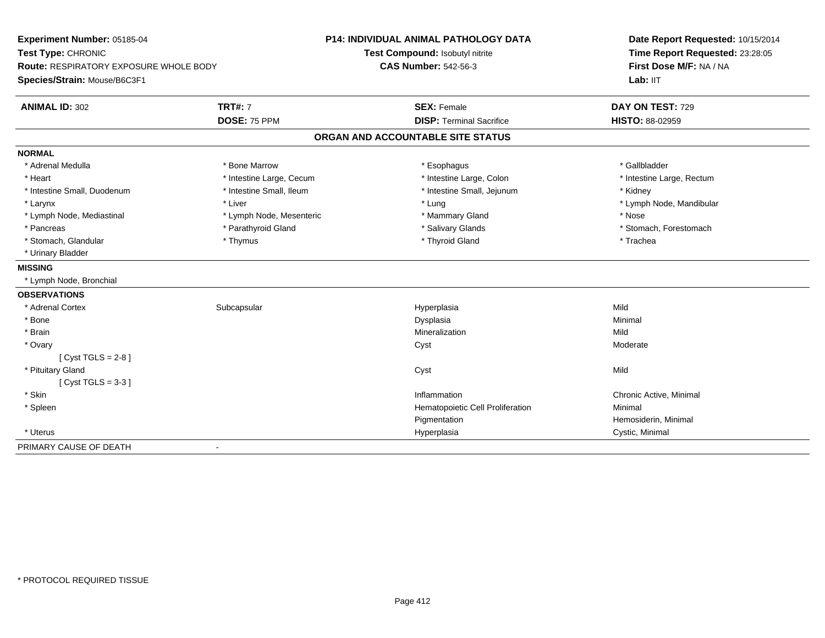| Experiment Number: 05185-04            |                          | P14: INDIVIDUAL ANIMAL PATHOLOGY DATA | Date Report Requested: 10/15/2014<br>Time Report Requested: 23:28:05 |
|----------------------------------------|--------------------------|---------------------------------------|----------------------------------------------------------------------|
| Test Type: CHRONIC                     |                          | Test Compound: Isobutyl nitrite       |                                                                      |
| Route: RESPIRATORY EXPOSURE WHOLE BODY |                          | <b>CAS Number: 542-56-3</b>           | First Dose M/F: NA / NA                                              |
| Species/Strain: Mouse/B6C3F1           |                          |                                       | Lab: IIT                                                             |
| <b>ANIMAL ID: 302</b>                  | <b>TRT#: 7</b>           | <b>SEX: Female</b>                    | DAY ON TEST: 729                                                     |
|                                        | DOSE: 75 PPM             | <b>DISP: Terminal Sacrifice</b>       | HISTO: 88-02959                                                      |
|                                        |                          | ORGAN AND ACCOUNTABLE SITE STATUS     |                                                                      |
| <b>NORMAL</b>                          |                          |                                       |                                                                      |
| * Adrenal Medulla                      | * Bone Marrow            | * Esophagus                           | * Gallbladder                                                        |
| * Heart                                | * Intestine Large, Cecum | * Intestine Large, Colon              | * Intestine Large, Rectum                                            |
| * Intestine Small, Duodenum            | * Intestine Small, Ileum | * Intestine Small, Jejunum            | * Kidney                                                             |
| * Larynx                               | * Liver                  | * Lung                                | * Lymph Node, Mandibular                                             |
| * Lymph Node, Mediastinal              | * Lymph Node, Mesenteric | * Mammary Gland                       | * Nose                                                               |
| * Pancreas                             | * Parathyroid Gland      | * Salivary Glands                     | * Stomach, Forestomach                                               |
| * Stomach, Glandular                   | * Thymus                 | * Thyroid Gland                       | * Trachea                                                            |
| * Urinary Bladder                      |                          |                                       |                                                                      |
| <b>MISSING</b>                         |                          |                                       |                                                                      |
| * Lymph Node, Bronchial                |                          |                                       |                                                                      |
| <b>OBSERVATIONS</b>                    |                          |                                       |                                                                      |
| * Adrenal Cortex                       | Subcapsular              | Hyperplasia                           | Mild                                                                 |
| * Bone                                 |                          | Dysplasia                             | Minimal                                                              |
| * Brain                                |                          | Mineralization                        | Mild                                                                 |
| * Ovary                                |                          | Cyst                                  | Moderate                                                             |
| [Cyst TGLS = $2-8$ ]                   |                          |                                       |                                                                      |
| * Pituitary Gland                      |                          | Cyst                                  | Mild                                                                 |
| [Cyst TGLS = $3-3$ ]                   |                          |                                       |                                                                      |
| * Skin                                 |                          | Inflammation                          | Chronic Active, Minimal                                              |
| * Spleen                               |                          | Hematopoietic Cell Proliferation      | Minimal                                                              |
|                                        |                          | Pigmentation                          | Hemosiderin, Minimal                                                 |
| * Uterus                               |                          | Hyperplasia                           | Cystic, Minimal                                                      |
| PRIMARY CAUSE OF DEATH                 |                          |                                       |                                                                      |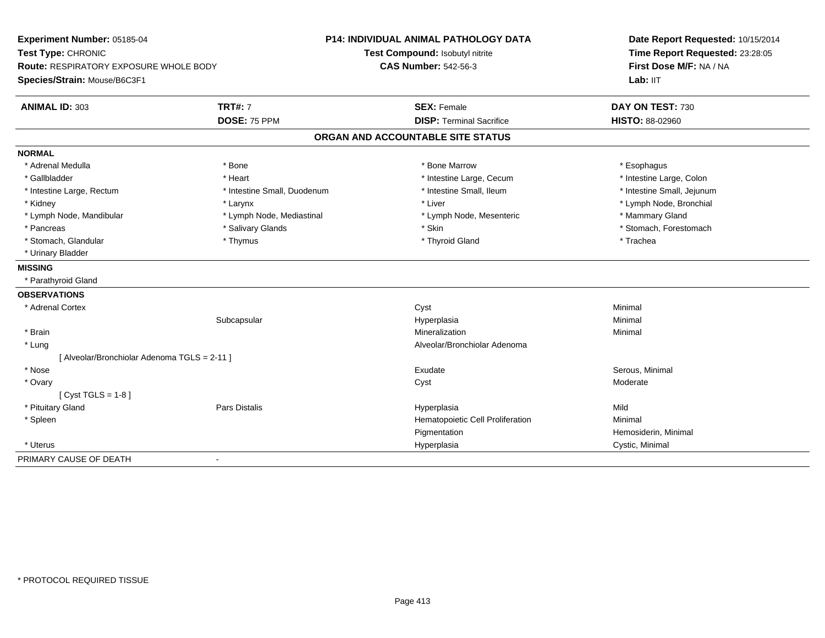| Experiment Number: 05185-04                |                             | P14: INDIVIDUAL ANIMAL PATHOLOGY DATA | Date Report Requested: 10/15/2014 |
|--------------------------------------------|-----------------------------|---------------------------------------|-----------------------------------|
| Test Type: CHRONIC                         |                             | Test Compound: Isobutyl nitrite       | Time Report Requested: 23:28:05   |
| Route: RESPIRATORY EXPOSURE WHOLE BODY     |                             | <b>CAS Number: 542-56-3</b>           | First Dose M/F: NA / NA           |
| Species/Strain: Mouse/B6C3F1               |                             |                                       | Lab: IIT                          |
| <b>ANIMAL ID: 303</b>                      | <b>TRT#: 7</b>              | <b>SEX: Female</b>                    | DAY ON TEST: 730                  |
|                                            | DOSE: 75 PPM                | <b>DISP: Terminal Sacrifice</b>       | <b>HISTO: 88-02960</b>            |
|                                            |                             | ORGAN AND ACCOUNTABLE SITE STATUS     |                                   |
| <b>NORMAL</b>                              |                             |                                       |                                   |
| * Adrenal Medulla                          | * Bone                      | * Bone Marrow                         | * Esophagus                       |
| * Gallbladder                              | * Heart                     | * Intestine Large, Cecum              | * Intestine Large, Colon          |
| * Intestine Large, Rectum                  | * Intestine Small, Duodenum | * Intestine Small, Ileum              | * Intestine Small, Jejunum        |
| * Kidney                                   | * Larynx                    | * Liver                               | * Lymph Node, Bronchial           |
| * Lymph Node, Mandibular                   | * Lymph Node, Mediastinal   | * Lymph Node, Mesenteric              | * Mammary Gland                   |
| * Pancreas                                 | * Salivary Glands           | * Skin                                | * Stomach, Forestomach            |
| * Stomach, Glandular                       | * Thymus                    | * Thyroid Gland                       | * Trachea                         |
| * Urinary Bladder                          |                             |                                       |                                   |
| <b>MISSING</b>                             |                             |                                       |                                   |
| * Parathyroid Gland                        |                             |                                       |                                   |
| <b>OBSERVATIONS</b>                        |                             |                                       |                                   |
| * Adrenal Cortex                           |                             | Cyst                                  | Minimal                           |
|                                            | Subcapsular                 | Hyperplasia                           | Minimal                           |
| * Brain                                    |                             | Mineralization                        | Minimal                           |
| * Lung                                     |                             | Alveolar/Bronchiolar Adenoma          |                                   |
| [Alveolar/Bronchiolar Adenoma TGLS = 2-11] |                             |                                       |                                   |
| * Nose                                     |                             | Exudate                               | Serous, Minimal                   |
| * Ovary                                    |                             | Cyst                                  | Moderate                          |
| [ $Cyst TGLS = 1-8$ ]                      |                             |                                       |                                   |
| * Pituitary Gland                          | Pars Distalis               | Hyperplasia                           | Mild                              |
| * Spleen                                   |                             | Hematopoietic Cell Proliferation      | Minimal                           |
|                                            |                             | Pigmentation                          | Hemosiderin, Minimal              |
| * Uterus                                   |                             | Hyperplasia                           | Cystic, Minimal                   |
| PRIMARY CAUSE OF DEATH                     | $\blacksquare$              |                                       |                                   |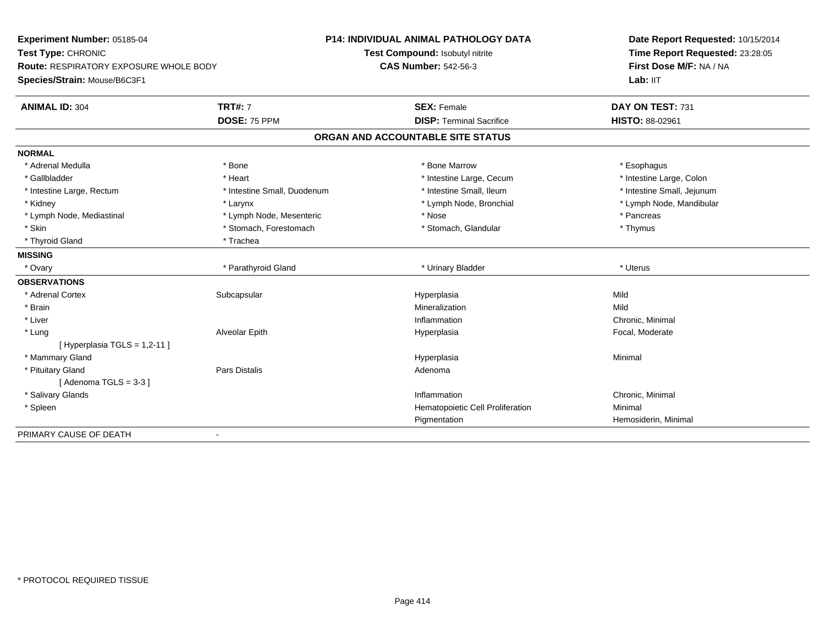| Experiment Number: 05185-04                   |                             | <b>P14: INDIVIDUAL ANIMAL PATHOLOGY DATA</b> | Date Report Requested: 10/15/2014<br>Time Report Requested: 23:28:05 |  |
|-----------------------------------------------|-----------------------------|----------------------------------------------|----------------------------------------------------------------------|--|
| Test Type: CHRONIC                            |                             | Test Compound: Isobutyl nitrite              |                                                                      |  |
| <b>Route: RESPIRATORY EXPOSURE WHOLE BODY</b> |                             | <b>CAS Number: 542-56-3</b>                  | First Dose M/F: NA / NA                                              |  |
| Species/Strain: Mouse/B6C3F1                  |                             |                                              | Lab: IIT                                                             |  |
| <b>ANIMAL ID: 304</b>                         | <b>TRT#: 7</b>              | <b>SEX: Female</b>                           | DAY ON TEST: 731                                                     |  |
|                                               | DOSE: 75 PPM                | <b>DISP: Terminal Sacrifice</b>              | HISTO: 88-02961                                                      |  |
|                                               |                             | ORGAN AND ACCOUNTABLE SITE STATUS            |                                                                      |  |
| <b>NORMAL</b>                                 |                             |                                              |                                                                      |  |
| * Adrenal Medulla                             | * Bone                      | * Bone Marrow                                | * Esophagus                                                          |  |
| * Gallbladder                                 | * Heart                     | * Intestine Large, Cecum                     | * Intestine Large, Colon                                             |  |
| * Intestine Large, Rectum                     | * Intestine Small, Duodenum | * Intestine Small, Ileum                     | * Intestine Small, Jejunum                                           |  |
| * Kidney                                      | * Larynx                    | * Lymph Node, Bronchial                      | * Lymph Node, Mandibular                                             |  |
| * Lymph Node, Mediastinal                     | * Lymph Node, Mesenteric    | * Nose                                       | * Pancreas                                                           |  |
| * Skin                                        | * Stomach, Forestomach      | * Stomach, Glandular                         | * Thymus                                                             |  |
| * Thyroid Gland                               | * Trachea                   |                                              |                                                                      |  |
| <b>MISSING</b>                                |                             |                                              |                                                                      |  |
| * Ovary                                       | * Parathyroid Gland         | * Urinary Bladder                            | * Uterus                                                             |  |
| <b>OBSERVATIONS</b>                           |                             |                                              |                                                                      |  |
| * Adrenal Cortex                              | Subcapsular                 | Hyperplasia                                  | Mild                                                                 |  |
| * Brain                                       |                             | Mineralization                               | Mild                                                                 |  |
| * Liver                                       |                             | Inflammation                                 | Chronic, Minimal                                                     |  |
| * Lung                                        | Alveolar Epith              | Hyperplasia                                  | Focal, Moderate                                                      |  |
| [Hyperplasia TGLS = $1,2-11$ ]                |                             |                                              |                                                                      |  |
| * Mammary Gland                               |                             | Hyperplasia                                  | Minimal                                                              |  |
| * Pituitary Gland                             | Pars Distalis               | Adenoma                                      |                                                                      |  |
| [Adenoma TGLS = $3-3$ ]                       |                             |                                              |                                                                      |  |
| * Salivary Glands                             |                             | Inflammation                                 | Chronic, Minimal                                                     |  |
| * Spleen                                      |                             | Hematopoietic Cell Proliferation             | Minimal                                                              |  |
|                                               |                             | Pigmentation                                 | Hemosiderin, Minimal                                                 |  |
| PRIMARY CAUSE OF DEATH                        | $\overline{\phantom{a}}$    |                                              |                                                                      |  |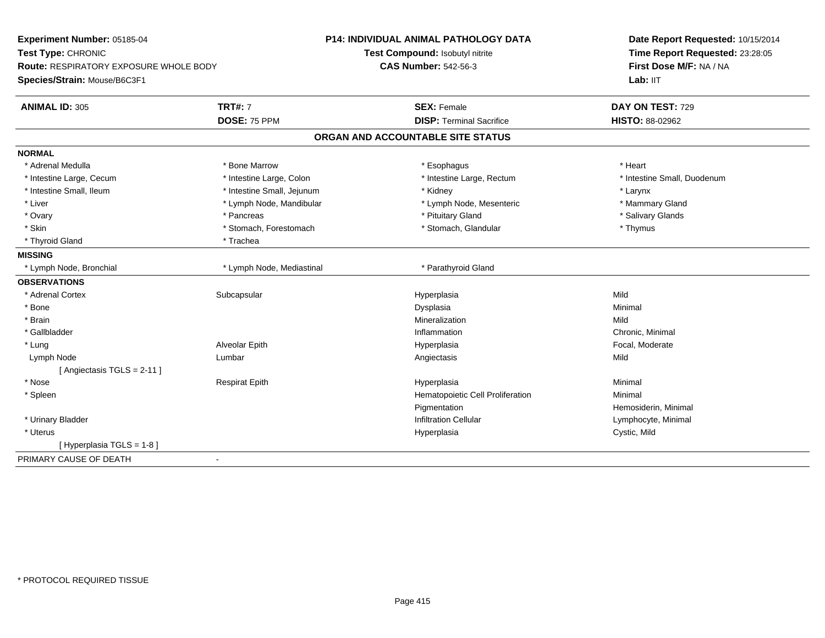| Experiment Number: 05185-04            |                            | <b>P14: INDIVIDUAL ANIMAL PATHOLOGY DATA</b> | Date Report Requested: 10/15/2014 |
|----------------------------------------|----------------------------|----------------------------------------------|-----------------------------------|
| Test Type: CHRONIC                     |                            | Test Compound: Isobutyl nitrite              | Time Report Requested: 23:28:05   |
| Route: RESPIRATORY EXPOSURE WHOLE BODY |                            | <b>CAS Number: 542-56-3</b>                  | First Dose M/F: NA / NA           |
| Species/Strain: Mouse/B6C3F1           |                            |                                              | Lab: IIT                          |
| <b>ANIMAL ID: 305</b>                  | <b>TRT#: 7</b>             | <b>SEX: Female</b>                           | DAY ON TEST: 729                  |
|                                        | DOSE: 75 PPM               | <b>DISP: Terminal Sacrifice</b>              | HISTO: 88-02962                   |
|                                        |                            | ORGAN AND ACCOUNTABLE SITE STATUS            |                                   |
| <b>NORMAL</b>                          |                            |                                              |                                   |
| * Adrenal Medulla                      | * Bone Marrow              | * Esophagus                                  | * Heart                           |
| * Intestine Large, Cecum               | * Intestine Large, Colon   | * Intestine Large, Rectum                    | * Intestine Small, Duodenum       |
| * Intestine Small, Ileum               | * Intestine Small, Jejunum | * Kidney                                     | * Larynx                          |
| * Liver                                | * Lymph Node, Mandibular   | * Lymph Node, Mesenteric                     | * Mammary Gland                   |
| * Ovary                                | * Pancreas                 | * Pituitary Gland                            | * Salivary Glands                 |
| * Skin                                 | * Stomach, Forestomach     | * Stomach, Glandular                         | * Thymus                          |
| * Thyroid Gland                        | * Trachea                  |                                              |                                   |
| <b>MISSING</b>                         |                            |                                              |                                   |
| * Lymph Node, Bronchial                | * Lymph Node, Mediastinal  | * Parathyroid Gland                          |                                   |
| <b>OBSERVATIONS</b>                    |                            |                                              |                                   |
| * Adrenal Cortex                       | Subcapsular                | Hyperplasia                                  | Mild                              |
| $*$ Bone                               |                            | Dysplasia                                    | Minimal                           |
| * Brain                                |                            | Mineralization                               | Mild                              |
| * Gallbladder                          |                            | Inflammation                                 | Chronic, Minimal                  |
| * Lung                                 | Alveolar Epith             | Hyperplasia                                  | Focal, Moderate                   |
| Lymph Node                             | Lumbar                     | Angiectasis                                  | Mild                              |
| [Angiectasis TGLS = 2-11]              |                            |                                              |                                   |
| * Nose                                 | <b>Respirat Epith</b>      | Hyperplasia                                  | Minimal                           |
| * Spleen                               |                            | Hematopoietic Cell Proliferation             | Minimal                           |
|                                        |                            | Pigmentation                                 | Hemosiderin, Minimal              |
| * Urinary Bladder                      |                            | <b>Infiltration Cellular</b>                 | Lymphocyte, Minimal               |
| * Uterus                               |                            | Hyperplasia                                  | Cystic, Mild                      |
| [ Hyperplasia TGLS = 1-8 ]             |                            |                                              |                                   |
| PRIMARY CAUSE OF DEATH                 | $\blacksquare$             |                                              |                                   |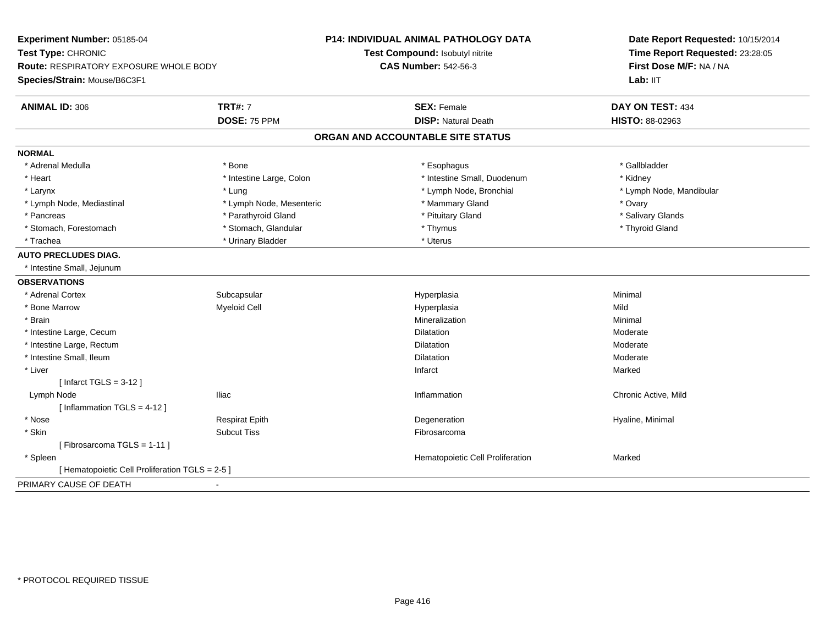| Experiment Number: 05185-04                     |                          | P14: INDIVIDUAL ANIMAL PATHOLOGY DATA<br>Date Report Requested: 10/15/2014 |                                 |
|-------------------------------------------------|--------------------------|----------------------------------------------------------------------------|---------------------------------|
| Test Type: CHRONIC                              |                          | Test Compound: Isobutyl nitrite                                            | Time Report Requested: 23:28:05 |
| Route: RESPIRATORY EXPOSURE WHOLE BODY          |                          | <b>CAS Number: 542-56-3</b>                                                | First Dose M/F: NA / NA         |
| Species/Strain: Mouse/B6C3F1                    |                          |                                                                            | Lab: IIT                        |
| <b>ANIMAL ID: 306</b>                           | <b>TRT#: 7</b>           | <b>SEX: Female</b>                                                         | DAY ON TEST: 434                |
|                                                 | DOSE: 75 PPM             | <b>DISP: Natural Death</b>                                                 | HISTO: 88-02963                 |
|                                                 |                          | ORGAN AND ACCOUNTABLE SITE STATUS                                          |                                 |
| <b>NORMAL</b>                                   |                          |                                                                            |                                 |
| * Adrenal Medulla                               | * Bone                   | * Esophagus                                                                | * Gallbladder                   |
| * Heart                                         | * Intestine Large, Colon | * Intestine Small, Duodenum                                                | * Kidney                        |
| * Larynx                                        | * Lung                   | * Lymph Node, Bronchial                                                    | * Lymph Node, Mandibular        |
| * Lymph Node, Mediastinal                       | * Lymph Node, Mesenteric | * Mammary Gland                                                            | * Ovary                         |
| * Pancreas                                      | * Parathyroid Gland      | * Pituitary Gland                                                          | * Salivary Glands               |
| * Stomach, Forestomach                          | * Stomach, Glandular     | * Thymus                                                                   | * Thyroid Gland                 |
| * Trachea                                       | * Urinary Bladder        | * Uterus                                                                   |                                 |
| <b>AUTO PRECLUDES DIAG.</b>                     |                          |                                                                            |                                 |
| * Intestine Small, Jejunum                      |                          |                                                                            |                                 |
| <b>OBSERVATIONS</b>                             |                          |                                                                            |                                 |
| * Adrenal Cortex                                | Subcapsular              | Hyperplasia                                                                | Minimal                         |
| * Bone Marrow                                   | Myeloid Cell             | Hyperplasia                                                                | Mild                            |
| * Brain                                         |                          | Mineralization                                                             | Minimal                         |
| * Intestine Large, Cecum                        |                          | Dilatation                                                                 | Moderate                        |
| * Intestine Large, Rectum                       |                          | <b>Dilatation</b>                                                          | Moderate                        |
| * Intestine Small, Ileum                        |                          | Dilatation                                                                 | Moderate                        |
| * Liver                                         |                          | Infarct                                                                    | Marked                          |
| [Infarct TGLS = $3-12$ ]                        |                          |                                                                            |                                 |
| Lymph Node                                      | <b>Iliac</b>             | Inflammation                                                               | Chronic Active, Mild            |
| [Inflammation TGLS = $4-12$ ]                   |                          |                                                                            |                                 |
| * Nose                                          | <b>Respirat Epith</b>    | Degeneration                                                               | Hyaline, Minimal                |
| * Skin                                          | <b>Subcut Tiss</b>       | Fibrosarcoma                                                               |                                 |
| [Fibrosarcoma TGLS = 1-11]                      |                          |                                                                            |                                 |
| * Spleen                                        |                          | Hematopoietic Cell Proliferation                                           | Marked                          |
| [ Hematopoietic Cell Proliferation TGLS = 2-5 ] |                          |                                                                            |                                 |
| PRIMARY CAUSE OF DEATH<br>$\blacksquare$        |                          |                                                                            |                                 |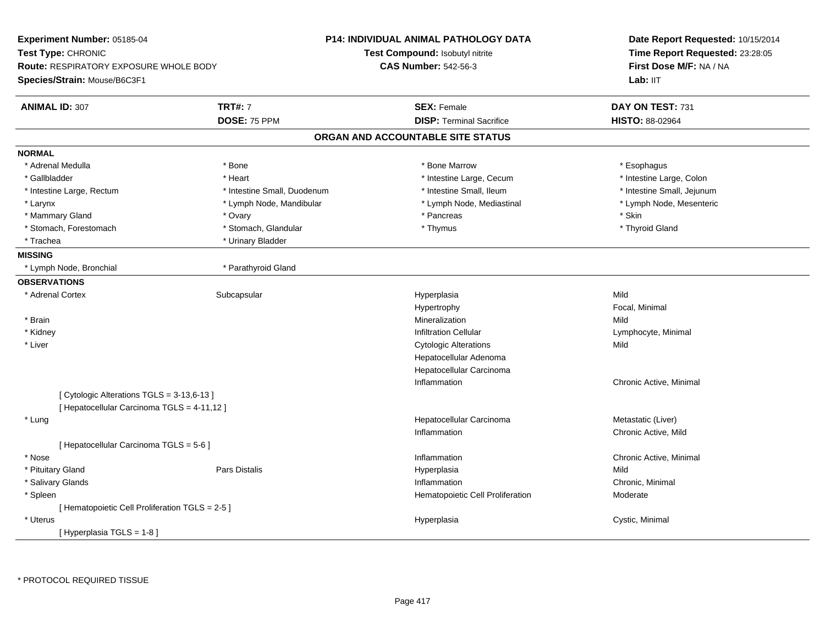| <b>Experiment Number: 05185-04</b><br>Test Type: CHRONIC<br><b>Route: RESPIRATORY EXPOSURE WHOLE BODY</b><br>Species/Strain: Mouse/B6C3F1 |                             | <b>P14: INDIVIDUAL ANIMAL PATHOLOGY DATA</b><br>Test Compound: Isobutyl nitrite<br><b>CAS Number: 542-56-3</b> | Date Report Requested: 10/15/2014<br>Time Report Requested: 23:28:05<br>First Dose M/F: NA / NA<br>Lab: IIT |
|-------------------------------------------------------------------------------------------------------------------------------------------|-----------------------------|----------------------------------------------------------------------------------------------------------------|-------------------------------------------------------------------------------------------------------------|
| <b>ANIMAL ID: 307</b>                                                                                                                     | <b>TRT#: 7</b>              | <b>SEX: Female</b>                                                                                             | DAY ON TEST: 731                                                                                            |
|                                                                                                                                           | DOSE: 75 PPM                | <b>DISP: Terminal Sacrifice</b>                                                                                | HISTO: 88-02964                                                                                             |
|                                                                                                                                           |                             | ORGAN AND ACCOUNTABLE SITE STATUS                                                                              |                                                                                                             |
| <b>NORMAL</b>                                                                                                                             |                             |                                                                                                                |                                                                                                             |
| * Adrenal Medulla                                                                                                                         | * Bone                      | * Bone Marrow                                                                                                  | * Esophagus                                                                                                 |
| * Gallbladder                                                                                                                             | * Heart                     | * Intestine Large, Cecum                                                                                       | * Intestine Large, Colon                                                                                    |
| * Intestine Large, Rectum                                                                                                                 | * Intestine Small, Duodenum | * Intestine Small, Ileum                                                                                       | * Intestine Small, Jejunum                                                                                  |
| * Larynx                                                                                                                                  | * Lymph Node, Mandibular    | * Lymph Node, Mediastinal                                                                                      | * Lymph Node, Mesenteric                                                                                    |
| * Mammary Gland                                                                                                                           | * Ovary                     | * Pancreas                                                                                                     | * Skin                                                                                                      |
| * Stomach, Forestomach                                                                                                                    | * Stomach, Glandular        | * Thymus                                                                                                       | * Thyroid Gland                                                                                             |
| * Trachea                                                                                                                                 | * Urinary Bladder           |                                                                                                                |                                                                                                             |
| <b>MISSING</b>                                                                                                                            |                             |                                                                                                                |                                                                                                             |
| * Lymph Node, Bronchial                                                                                                                   | * Parathyroid Gland         |                                                                                                                |                                                                                                             |
| <b>OBSERVATIONS</b>                                                                                                                       |                             |                                                                                                                |                                                                                                             |
| * Adrenal Cortex                                                                                                                          | Subcapsular                 | Hyperplasia                                                                                                    | Mild                                                                                                        |
|                                                                                                                                           |                             | Hypertrophy                                                                                                    | Focal, Minimal                                                                                              |
| * Brain                                                                                                                                   |                             | Mineralization                                                                                                 | Mild                                                                                                        |
| * Kidney                                                                                                                                  |                             | <b>Infiltration Cellular</b>                                                                                   | Lymphocyte, Minimal                                                                                         |
| * Liver                                                                                                                                   |                             | <b>Cytologic Alterations</b>                                                                                   | Mild                                                                                                        |
|                                                                                                                                           |                             | Hepatocellular Adenoma                                                                                         |                                                                                                             |
|                                                                                                                                           |                             | Hepatocellular Carcinoma                                                                                       |                                                                                                             |
|                                                                                                                                           |                             | Inflammation                                                                                                   | Chronic Active, Minimal                                                                                     |
| [ Cytologic Alterations TGLS = 3-13,6-13 ]                                                                                                |                             |                                                                                                                |                                                                                                             |
| [ Hepatocellular Carcinoma TGLS = 4-11,12 ]                                                                                               |                             |                                                                                                                |                                                                                                             |
| * Lung                                                                                                                                    |                             | Hepatocellular Carcinoma                                                                                       | Metastatic (Liver)                                                                                          |
|                                                                                                                                           |                             | Inflammation                                                                                                   | Chronic Active, Mild                                                                                        |
| [ Hepatocellular Carcinoma TGLS = 5-6 ]                                                                                                   |                             |                                                                                                                |                                                                                                             |
| * Nose                                                                                                                                    |                             | Inflammation                                                                                                   | Chronic Active, Minimal                                                                                     |
| * Pituitary Gland                                                                                                                         | Pars Distalis               | Hyperplasia                                                                                                    | Mild                                                                                                        |
| * Salivary Glands                                                                                                                         |                             | Inflammation                                                                                                   | Chronic, Minimal                                                                                            |
| * Spleen                                                                                                                                  |                             | Hematopoietic Cell Proliferation                                                                               | Moderate                                                                                                    |
| [ Hematopoietic Cell Proliferation TGLS = 2-5 ]                                                                                           |                             |                                                                                                                |                                                                                                             |
| * Uterus                                                                                                                                  |                             | Hyperplasia                                                                                                    | Cystic, Minimal                                                                                             |
| [Hyperplasia TGLS = 1-8]                                                                                                                  |                             |                                                                                                                |                                                                                                             |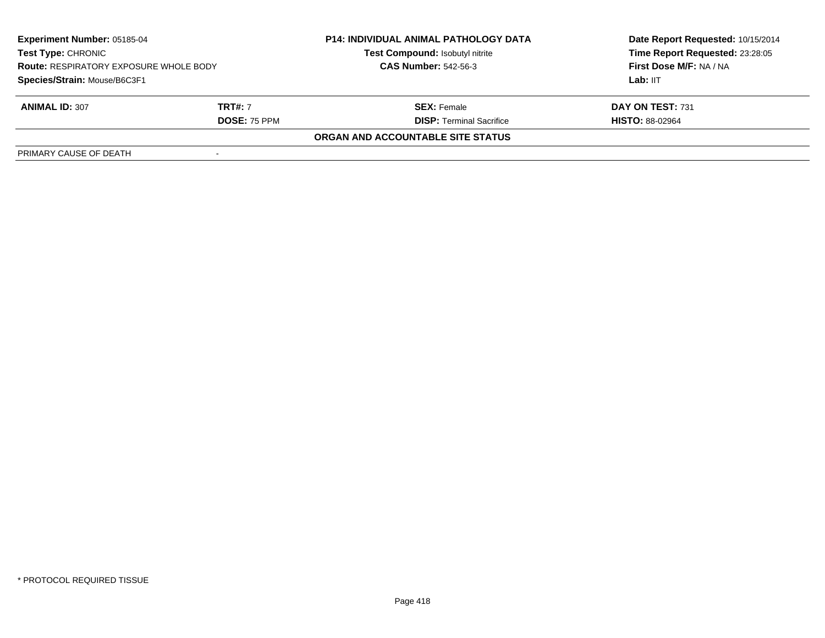| <b>Experiment Number: 05185-04</b><br><b>Test Type: CHRONIC</b><br><b>Route: RESPIRATORY EXPOSURE WHOLE BODY</b><br>Species/Strain: Mouse/B6C3F1 |                     | <b>P14: INDIVIDUAL ANIMAL PATHOLOGY DATA</b><br>Test Compound: Isobutyl nitrite | Date Report Requested: 10/15/2014<br>Time Report Requested: 23:28:05<br>First Dose M/F: NA / NA |
|--------------------------------------------------------------------------------------------------------------------------------------------------|---------------------|---------------------------------------------------------------------------------|-------------------------------------------------------------------------------------------------|
|                                                                                                                                                  |                     | <b>CAS Number: 542-56-3</b>                                                     |                                                                                                 |
|                                                                                                                                                  |                     |                                                                                 | Lab: IIT                                                                                        |
| <b>ANIMAL ID: 307</b>                                                                                                                            | <b>TRT#:</b> 7      | <b>SEX:</b> Female                                                              | DAY ON TEST: 731                                                                                |
|                                                                                                                                                  | <b>DOSE: 75 PPM</b> | <b>DISP: Terminal Sacrifice</b>                                                 | <b>HISTO: 88-02964</b>                                                                          |
|                                                                                                                                                  |                     | ORGAN AND ACCOUNTABLE SITE STATUS                                               |                                                                                                 |
| PRIMARY CAUSE OF DEATH                                                                                                                           |                     |                                                                                 |                                                                                                 |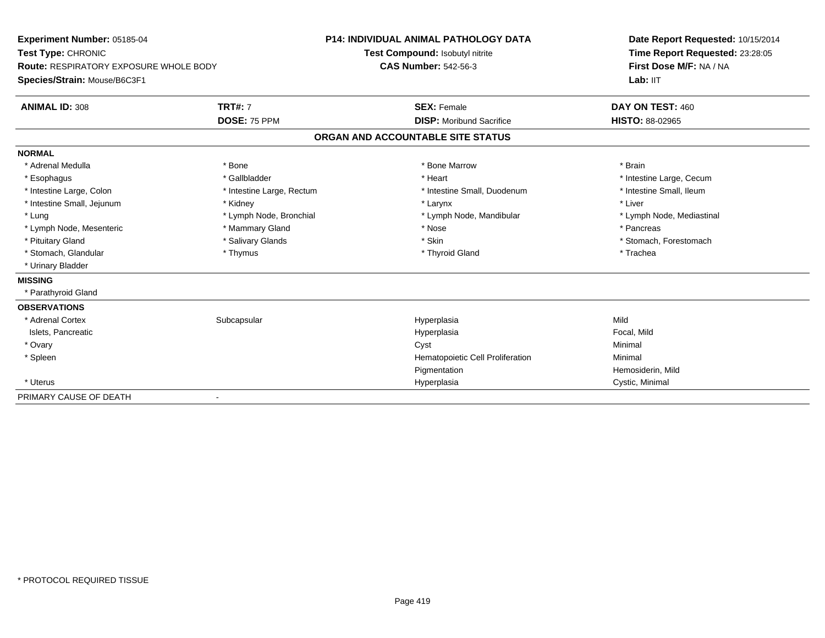**Experiment Number:** 05185-04**Test Type:** CHRONIC **Route:** RESPIRATORY EXPOSURE WHOLE BODY**Species/Strain:** Mouse/B6C3F1**P14: INDIVIDUAL ANIMAL PATHOLOGY DATATest Compound:** Isobutyl nitrite**CAS Number:** 542-56-3**Date Report Requested:** 10/15/2014**Time Report Requested:** 23:28:05**First Dose M/F:** NA / NA**Lab:** IIT**ANIMAL ID:** 308**TRT#:** 7 **SEX:** Female **DAY ON TEST:** 460 **DOSE:** 75 PPM **DISP:** Moribund Sacrifice **HISTO:** 88-02965 **ORGAN AND ACCOUNTABLE SITE STATUSNORMAL**\* Adrenal Medulla \* \* Annual Medulla \* Brain \* Bone \* \* Bone Marrow \* Bone Marrow \* \* Brain \* Brain \* Brain \* Brain \* Brain \* Brain \* Brain \* Brain \* Brain \* Brain \* Brain \* Brain \* Brain \* Brain \* Brain \* Brain \* Brain \* \* Esophagus \* https://www.fragustage.com/web/2019/heart \* Heart \* Heart \* Heart \* Intestine Large, Cecum \* Intestine Large, Cecum \* Sallbladder \* The state of the state of the state of the state of the state of the state o \* Intestine Small, Ileum \* Intestine Large, Colon \* Intestine Large, Rectum \* Intestine Small, Duodenum \* Intestine Small, Duodenum \* Intestine Small, Jejunum \* \* Widney \* Kidney \* Larynx \* Larynx \* Larynx \* Larynx \* Liver \* Lung **\* Lymph Node, Bronchial \*** Lymph Node, Bronchial \* Lymph Node, Mandibular \* Lymph Node, Mediastinal \* Lymph Node, Mesenteric \* \* The mannery Gland \* Mammary Gland \* Nose \* Nose \* \* Pancreas \* Pancreas \* Pancreas \* Pituitary Gland \* \* Salivary Glands \* Salivary Glands \* Skin \* \* Skin \* \* Stomach, Forestomach \* Stomach, Glandular \* Thymus \* Thymus \* The store and the store and the store and the store and the store and the store and the store and the store and the store and the store and the store and the store and the store and \* Urinary Bladder**MISSING** \* Parathyroid Gland**OBSERVATIONS** \* Adrenal Cortexx Subcapsular Subcapsular Subsets and Hyperplasia a Mild Islets, Pancreaticc and the contract of the contract of the contract of the contract of the contract of the contract of the contract of the contract of the contract of the contract of the contract of the contract of the contract of the cont Focal, Mild \* Ovaryy the control of the control of the control of the control of the control of the control of the control of the control of the control of the control of the control of the control of the control of the control of the contro \* SpleenHematopoietic Cell Proliferation Minimal PigmentationPigmentation<br>
Hemosiderin, Mild<br>
Hyperplasia<br>
Cystic, Minimal \* Uteruss and the contract of the contract of the contract of the contract of the contract of the contract of the contract of the contract of the contract of the contract of the contract of the contract of the contract of the cont Cystic, Minimal PRIMARY CAUSE OF DEATH-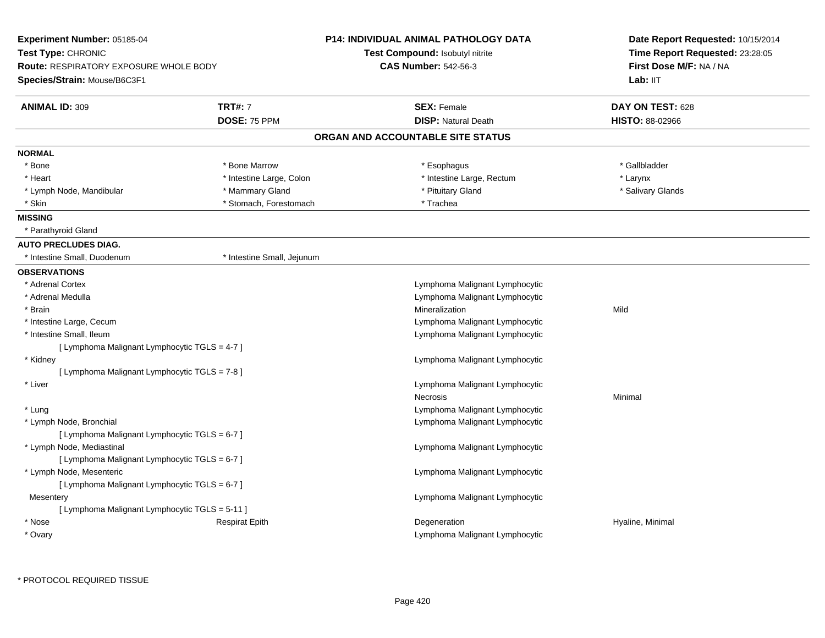| <b>Experiment Number: 05185-04</b><br>Test Type: CHRONIC<br><b>Route: RESPIRATORY EXPOSURE WHOLE BODY</b><br>Species/Strain: Mouse/B6C3F1 |                            | <b>P14: INDIVIDUAL ANIMAL PATHOLOGY DATA</b><br>Test Compound: Isobutyl nitrite<br><b>CAS Number: 542-56-3</b> | Date Report Requested: 10/15/2014<br>Time Report Requested: 23:28:05<br>First Dose M/F: NA / NA<br>Lab: IIT |
|-------------------------------------------------------------------------------------------------------------------------------------------|----------------------------|----------------------------------------------------------------------------------------------------------------|-------------------------------------------------------------------------------------------------------------|
| <b>ANIMAL ID: 309</b>                                                                                                                     | <b>TRT#: 7</b>             | <b>SEX: Female</b>                                                                                             | DAY ON TEST: 628                                                                                            |
|                                                                                                                                           | DOSE: 75 PPM               | <b>DISP: Natural Death</b>                                                                                     | HISTO: 88-02966                                                                                             |
|                                                                                                                                           |                            | ORGAN AND ACCOUNTABLE SITE STATUS                                                                              |                                                                                                             |
| <b>NORMAL</b>                                                                                                                             |                            |                                                                                                                |                                                                                                             |
| * Bone                                                                                                                                    | * Bone Marrow              | * Esophagus                                                                                                    | * Gallbladder                                                                                               |
| * Heart                                                                                                                                   | * Intestine Large, Colon   | * Intestine Large, Rectum                                                                                      | * Larynx                                                                                                    |
| * Lymph Node, Mandibular                                                                                                                  | * Mammary Gland            | * Pituitary Gland                                                                                              | * Salivary Glands                                                                                           |
| * Skin                                                                                                                                    | * Stomach, Forestomach     | * Trachea                                                                                                      |                                                                                                             |
| <b>MISSING</b>                                                                                                                            |                            |                                                                                                                |                                                                                                             |
| * Parathyroid Gland                                                                                                                       |                            |                                                                                                                |                                                                                                             |
| <b>AUTO PRECLUDES DIAG.</b>                                                                                                               |                            |                                                                                                                |                                                                                                             |
| * Intestine Small, Duodenum                                                                                                               | * Intestine Small, Jejunum |                                                                                                                |                                                                                                             |
| <b>OBSERVATIONS</b>                                                                                                                       |                            |                                                                                                                |                                                                                                             |
| * Adrenal Cortex                                                                                                                          |                            | Lymphoma Malignant Lymphocytic                                                                                 |                                                                                                             |
| * Adrenal Medulla                                                                                                                         |                            | Lymphoma Malignant Lymphocytic                                                                                 |                                                                                                             |
| * Brain                                                                                                                                   |                            | Mineralization                                                                                                 | Mild                                                                                                        |
| * Intestine Large, Cecum                                                                                                                  |                            | Lymphoma Malignant Lymphocytic                                                                                 |                                                                                                             |
| * Intestine Small, Ileum                                                                                                                  |                            | Lymphoma Malignant Lymphocytic                                                                                 |                                                                                                             |
| [ Lymphoma Malignant Lymphocytic TGLS = 4-7 ]                                                                                             |                            |                                                                                                                |                                                                                                             |
| * Kidney                                                                                                                                  |                            | Lymphoma Malignant Lymphocytic                                                                                 |                                                                                                             |
| [ Lymphoma Malignant Lymphocytic TGLS = 7-8 ]                                                                                             |                            |                                                                                                                |                                                                                                             |
| * Liver                                                                                                                                   |                            | Lymphoma Malignant Lymphocytic                                                                                 |                                                                                                             |
|                                                                                                                                           |                            | <b>Necrosis</b>                                                                                                | Minimal                                                                                                     |
| * Lung                                                                                                                                    |                            | Lymphoma Malignant Lymphocytic                                                                                 |                                                                                                             |
| * Lymph Node, Bronchial                                                                                                                   |                            | Lymphoma Malignant Lymphocytic                                                                                 |                                                                                                             |
| [ Lymphoma Malignant Lymphocytic TGLS = 6-7 ]                                                                                             |                            |                                                                                                                |                                                                                                             |
| * Lymph Node, Mediastinal                                                                                                                 |                            | Lymphoma Malignant Lymphocytic                                                                                 |                                                                                                             |
| [ Lymphoma Malignant Lymphocytic TGLS = 6-7 ]                                                                                             |                            |                                                                                                                |                                                                                                             |
| * Lymph Node, Mesenteric                                                                                                                  |                            | Lymphoma Malignant Lymphocytic                                                                                 |                                                                                                             |
| [ Lymphoma Malignant Lymphocytic TGLS = 6-7 ]                                                                                             |                            |                                                                                                                |                                                                                                             |
| Mesentery                                                                                                                                 |                            | Lymphoma Malignant Lymphocytic                                                                                 |                                                                                                             |
| [ Lymphoma Malignant Lymphocytic TGLS = 5-11 ]                                                                                            |                            |                                                                                                                |                                                                                                             |
| * Nose                                                                                                                                    | <b>Respirat Epith</b>      | Degeneration                                                                                                   | Hyaline, Minimal                                                                                            |
| * Ovary                                                                                                                                   |                            | Lymphoma Malignant Lymphocytic                                                                                 |                                                                                                             |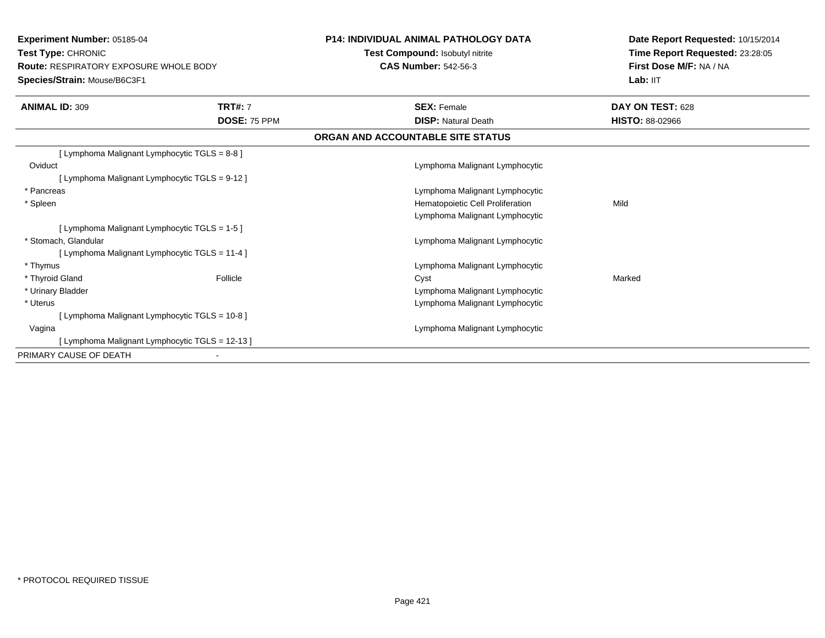**Experiment Number:** 05185-04**Test Type:** CHRONIC **Route:** RESPIRATORY EXPOSURE WHOLE BODY**Species/Strain:** Mouse/B6C3F1**P14: INDIVIDUAL ANIMAL PATHOLOGY DATATest Compound:** Isobutyl nitrite**CAS Number:** 542-56-3**Date Report Requested:** 10/15/2014**Time Report Requested:** 23:28:05**First Dose M/F:** NA / NALab: IIT **ANIMAL ID:** 309 **TRT#:** <sup>7</sup> **SEX:** Female **DAY ON TEST:** <sup>628</sup> **DOSE:** 75 PPM **DISP:** Natural Death **HISTO:** 88-02966 **ORGAN AND ACCOUNTABLE SITE STATUS**[ Lymphoma Malignant Lymphocytic TGLS = 8-8 ]**Oviduct**  Lymphoma Malignant Lymphocytic[ Lymphoma Malignant Lymphocytic TGLS = 9-12 ] \* Pancreas Lymphoma Malignant Lymphocytic \* SpleenHematopoietic Cell Proliferation Mild Lymphoma Malignant Lymphocytic[ Lymphoma Malignant Lymphocytic TGLS = 1-5 ] \* Stomach, Glandular Lymphoma Malignant Lymphocytic[ Lymphoma Malignant Lymphocytic TGLS = 11-4 ] \* Thymus Lymphoma Malignant Lymphocytic \* Thyroid Gland Follicle Cyst Marked \* Urinary Bladder Lymphoma Malignant Lymphocytics and the contract of the contract of the contract of the contract of the contract of the contract of the contract of the contract of the contract of the contract of the contract of the contract of the contract of the cont \* Uterus[ Lymphoma Malignant Lymphocytic TGLS = 10-8 ] Vagina Lymphoma Malignant Lymphocytic [ Lymphoma Malignant Lymphocytic TGLS = 12-13 ]PRIMARY CAUSE OF DEATH-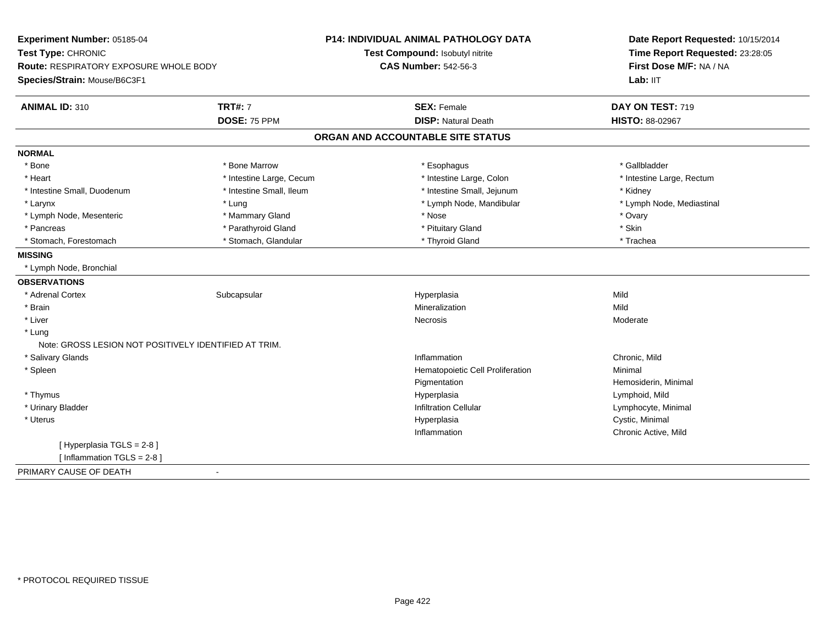| Experiment Number: 05185-04                             | <b>P14: INDIVIDUAL ANIMAL PATHOLOGY DATA</b> | Date Report Requested: 10/15/2014 |  |
|---------------------------------------------------------|----------------------------------------------|-----------------------------------|--|
| Test Type: CHRONIC                                      | Test Compound: Isobutyl nitrite              | Time Report Requested: 23:28:05   |  |
| Route: RESPIRATORY EXPOSURE WHOLE BODY                  | <b>CAS Number: 542-56-3</b>                  | First Dose M/F: NA / NA           |  |
| Species/Strain: Mouse/B6C3F1                            |                                              | Lab: IIT                          |  |
| <b>ANIMAL ID: 310</b><br><b>TRT#: 7</b>                 | <b>SEX: Female</b>                           | DAY ON TEST: 719                  |  |
| DOSE: 75 PPM                                            | <b>DISP: Natural Death</b>                   | <b>HISTO: 88-02967</b>            |  |
|                                                         | ORGAN AND ACCOUNTABLE SITE STATUS            |                                   |  |
| <b>NORMAL</b>                                           |                                              |                                   |  |
| * Bone<br>* Bone Marrow                                 | * Esophagus                                  | * Gallbladder                     |  |
| * Intestine Large, Cecum<br>* Heart                     | * Intestine Large, Colon                     | * Intestine Large, Rectum         |  |
| * Intestine Small, Duodenum<br>* Intestine Small, Ileum | * Intestine Small, Jejunum                   | * Kidney                          |  |
| * Larynx<br>* Lung                                      | * Lymph Node, Mandibular                     | * Lymph Node, Mediastinal         |  |
| * Mammary Gland<br>* Lymph Node, Mesenteric             | * Nose                                       | * Ovary                           |  |
| * Parathyroid Gland<br>* Pancreas                       | * Pituitary Gland                            | * Skin                            |  |
| * Stomach, Glandular<br>* Stomach, Forestomach          | * Thyroid Gland                              | * Trachea                         |  |
| <b>MISSING</b>                                          |                                              |                                   |  |
| * Lymph Node, Bronchial                                 |                                              |                                   |  |
| <b>OBSERVATIONS</b>                                     |                                              |                                   |  |
| Subcapsular<br>* Adrenal Cortex                         | Hyperplasia                                  | Mild                              |  |
| * Brain                                                 | Mineralization                               | Mild                              |  |
| * Liver                                                 | Necrosis                                     | Moderate                          |  |
| * Lung                                                  |                                              |                                   |  |
| Note: GROSS LESION NOT POSITIVELY IDENTIFIED AT TRIM.   |                                              |                                   |  |
| * Salivary Glands                                       | Inflammation                                 | Chronic, Mild                     |  |
| * Spleen                                                | Hematopoietic Cell Proliferation             | Minimal                           |  |
|                                                         | Pigmentation                                 | Hemosiderin, Minimal              |  |
| * Thymus                                                | Hyperplasia                                  | Lymphoid, Mild                    |  |
| * Urinary Bladder                                       | <b>Infiltration Cellular</b>                 | Lymphocyte, Minimal               |  |
| * Uterus                                                | Hyperplasia                                  | Cystic, Minimal                   |  |
|                                                         | Inflammation                                 | Chronic Active, Mild              |  |
| [ Hyperplasia TGLS = 2-8]                               |                                              |                                   |  |
| [Inflammation $TGLS = 2-8$ ]                            |                                              |                                   |  |
| PRIMARY CAUSE OF DEATH                                  |                                              |                                   |  |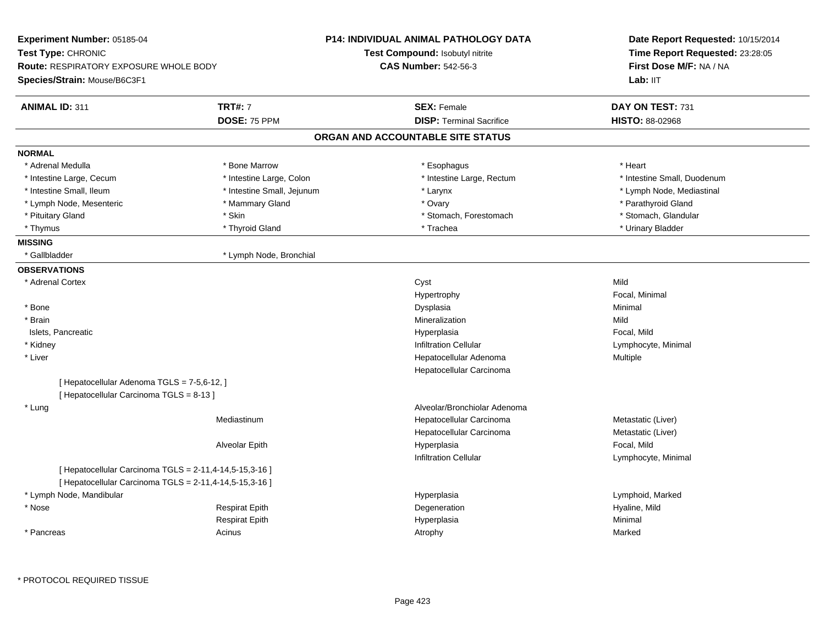|                                                         | Test Compound: Isobutyl nitrite               | Time Report Requested: 23:28:05                                  |  |
|---------------------------------------------------------|-----------------------------------------------|------------------------------------------------------------------|--|
|                                                         |                                               | First Dose M/F: NA / NA                                          |  |
|                                                         |                                               | Lab: IIT                                                         |  |
| <b>TRT#: 7</b>                                          | <b>SEX: Female</b>                            | DAY ON TEST: 731                                                 |  |
| DOSE: 75 PPM                                            | <b>DISP: Terminal Sacrifice</b>               | HISTO: 88-02968                                                  |  |
|                                                         |                                               |                                                                  |  |
|                                                         |                                               |                                                                  |  |
| * Bone Marrow                                           | * Esophagus                                   | * Heart                                                          |  |
| * Intestine Large, Colon                                | * Intestine Large, Rectum                     | * Intestine Small, Duodenum                                      |  |
| * Intestine Small, Jejunum                              | * Larynx                                      | * Lymph Node, Mediastinal                                        |  |
| * Mammary Gland                                         | * Ovary                                       | * Parathyroid Gland                                              |  |
| * Skin                                                  | * Stomach, Forestomach                        | * Stomach, Glandular                                             |  |
| * Thyroid Gland                                         | * Trachea                                     | * Urinary Bladder                                                |  |
|                                                         |                                               |                                                                  |  |
| * Lymph Node, Bronchial                                 |                                               |                                                                  |  |
|                                                         |                                               |                                                                  |  |
|                                                         | Cyst                                          | Mild                                                             |  |
|                                                         | Hypertrophy                                   | Focal, Minimal                                                   |  |
|                                                         | Dysplasia                                     | Minimal                                                          |  |
|                                                         | Mineralization                                | Mild                                                             |  |
|                                                         | Hyperplasia                                   | Focal, Mild                                                      |  |
|                                                         | Infiltration Cellular                         | Lymphocyte, Minimal                                              |  |
|                                                         | Hepatocellular Adenoma                        | Multiple                                                         |  |
|                                                         | Hepatocellular Carcinoma                      |                                                                  |  |
| [ Hepatocellular Adenoma TGLS = 7-5,6-12, ]             |                                               |                                                                  |  |
| [ Hepatocellular Carcinoma TGLS = 8-13 ]                |                                               |                                                                  |  |
|                                                         | Alveolar/Bronchiolar Adenoma                  |                                                                  |  |
| Mediastinum                                             | Hepatocellular Carcinoma                      | Metastatic (Liver)                                               |  |
|                                                         | Hepatocellular Carcinoma                      | Metastatic (Liver)                                               |  |
| Alveolar Epith                                          | Hyperplasia                                   | Focal, Mild                                                      |  |
|                                                         | <b>Infiltration Cellular</b>                  | Lymphocyte, Minimal                                              |  |
| [ Hepatocellular Carcinoma TGLS = 2-11,4-14,5-15,3-16 ] |                                               |                                                                  |  |
| [ Hepatocellular Carcinoma TGLS = 2-11,4-14,5-15,3-16 ] |                                               |                                                                  |  |
|                                                         | Hyperplasia                                   | Lymphoid, Marked                                                 |  |
| <b>Respirat Epith</b>                                   | Degeneration                                  | Hyaline, Mild                                                    |  |
| <b>Respirat Epith</b>                                   | Hyperplasia                                   | Minimal                                                          |  |
| Acinus                                                  | Atrophy                                       | Marked                                                           |  |
|                                                         | <b>Route: RESPIRATORY EXPOSURE WHOLE BODY</b> | <b>CAS Number: 542-56-3</b><br>ORGAN AND ACCOUNTABLE SITE STATUS |  |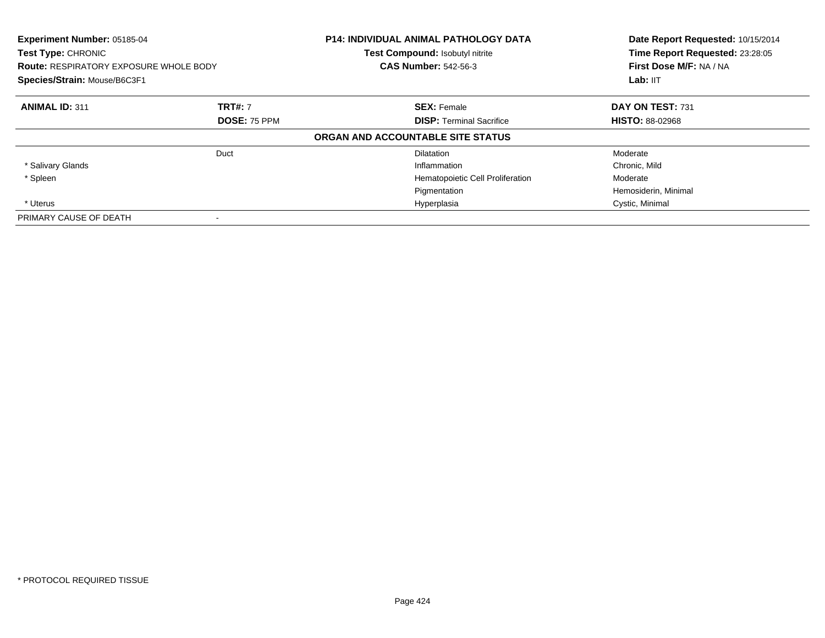| Experiment Number: 05185-04<br><b>Test Type: CHRONIC</b><br><b>Route: RESPIRATORY EXPOSURE WHOLE BODY</b><br>Species/Strain: Mouse/B6C3F1 |                          | <b>P14: INDIVIDUAL ANIMAL PATHOLOGY DATA</b><br>Test Compound: Isobutyl nitrite<br><b>CAS Number: 542-56-3</b> | Date Report Requested: 10/15/2014<br>Time Report Requested: 23:28:05<br>First Dose M/F: NA / NA<br>Lab: $III$ |
|-------------------------------------------------------------------------------------------------------------------------------------------|--------------------------|----------------------------------------------------------------------------------------------------------------|---------------------------------------------------------------------------------------------------------------|
| <b>ANIMAL ID: 311</b>                                                                                                                     | <b>TRT#: 7</b>           | <b>SEX: Female</b>                                                                                             | DAY ON TEST: 731                                                                                              |
|                                                                                                                                           | DOSE: 75 PPM             | <b>DISP:</b> Terminal Sacrifice                                                                                | <b>HISTO: 88-02968</b>                                                                                        |
|                                                                                                                                           |                          | ORGAN AND ACCOUNTABLE SITE STATUS                                                                              |                                                                                                               |
|                                                                                                                                           | Duct                     | <b>Dilatation</b>                                                                                              | Moderate                                                                                                      |
| * Salivary Glands                                                                                                                         |                          | Inflammation                                                                                                   | Chronic, Mild                                                                                                 |
| * Spleen                                                                                                                                  |                          | Hematopoietic Cell Proliferation                                                                               | Moderate                                                                                                      |
|                                                                                                                                           |                          | Pigmentation                                                                                                   | Hemosiderin, Minimal                                                                                          |
| * Uterus                                                                                                                                  |                          | Hyperplasia                                                                                                    | Cystic, Minimal                                                                                               |
| PRIMARY CAUSE OF DEATH                                                                                                                    | $\overline{\phantom{a}}$ |                                                                                                                |                                                                                                               |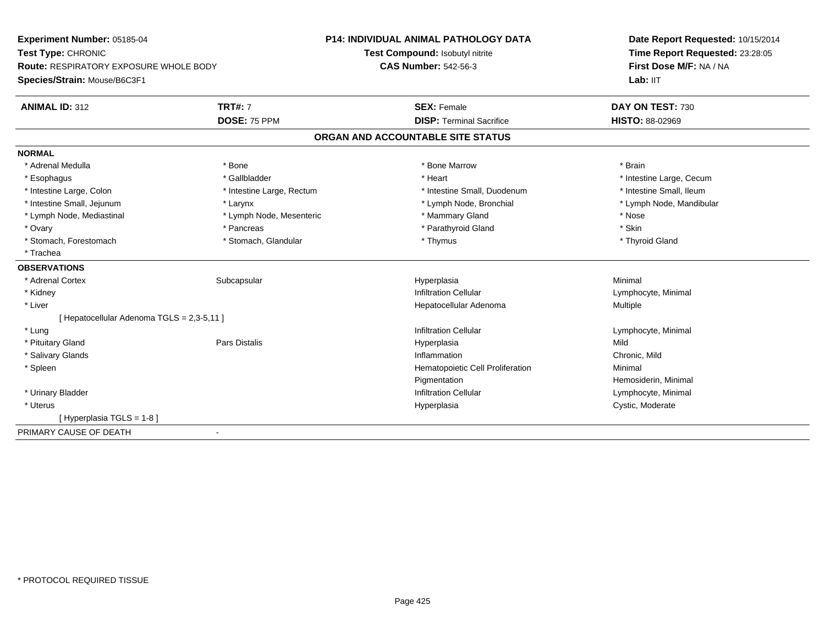| Experiment Number: 05185-04<br>Test Type: CHRONIC<br><b>Route: RESPIRATORY EXPOSURE WHOLE BODY</b> |                           | <b>P14: INDIVIDUAL ANIMAL PATHOLOGY DATA</b> | Date Report Requested: 10/15/2014<br>Time Report Requested: 23:28:05<br>First Dose M/F: NA / NA |  |
|----------------------------------------------------------------------------------------------------|---------------------------|----------------------------------------------|-------------------------------------------------------------------------------------------------|--|
|                                                                                                    |                           | Test Compound: Isobutyl nitrite              |                                                                                                 |  |
|                                                                                                    |                           | <b>CAS Number: 542-56-3</b>                  |                                                                                                 |  |
| Species/Strain: Mouse/B6C3F1                                                                       |                           |                                              | Lab: IIT                                                                                        |  |
| <b>ANIMAL ID: 312</b>                                                                              | <b>TRT#: 7</b>            | <b>SEX: Female</b>                           | DAY ON TEST: 730                                                                                |  |
|                                                                                                    | DOSE: 75 PPM              | <b>DISP: Terminal Sacrifice</b>              | HISTO: 88-02969                                                                                 |  |
|                                                                                                    |                           | ORGAN AND ACCOUNTABLE SITE STATUS            |                                                                                                 |  |
| <b>NORMAL</b>                                                                                      |                           |                                              |                                                                                                 |  |
| * Adrenal Medulla                                                                                  | * Bone                    | * Bone Marrow                                | * Brain                                                                                         |  |
| * Esophagus                                                                                        | * Gallbladder             | * Heart                                      | * Intestine Large, Cecum                                                                        |  |
| * Intestine Large, Colon                                                                           | * Intestine Large, Rectum | * Intestine Small, Duodenum                  | * Intestine Small, Ileum                                                                        |  |
| * Intestine Small, Jejunum                                                                         | * Larynx                  | * Lymph Node, Bronchial                      | * Lymph Node, Mandibular                                                                        |  |
| * Lymph Node, Mediastinal                                                                          | * Lymph Node, Mesenteric  | * Mammary Gland                              | * Nose                                                                                          |  |
| * Ovary                                                                                            | * Pancreas                | * Parathyroid Gland                          | * Skin                                                                                          |  |
| * Stomach, Forestomach                                                                             | * Stomach, Glandular      | * Thymus                                     | * Thyroid Gland                                                                                 |  |
| * Trachea                                                                                          |                           |                                              |                                                                                                 |  |
| <b>OBSERVATIONS</b>                                                                                |                           |                                              |                                                                                                 |  |
| * Adrenal Cortex                                                                                   | Subcapsular               | Hyperplasia                                  | Minimal                                                                                         |  |
| * Kidney                                                                                           |                           | <b>Infiltration Cellular</b>                 | Lymphocyte, Minimal                                                                             |  |
| * Liver                                                                                            |                           | Hepatocellular Adenoma                       | Multiple                                                                                        |  |
| [ Hepatocellular Adenoma TGLS = 2,3-5,11 ]                                                         |                           |                                              |                                                                                                 |  |
| * Lung                                                                                             |                           | <b>Infiltration Cellular</b>                 | Lymphocyte, Minimal                                                                             |  |
| * Pituitary Gland                                                                                  | <b>Pars Distalis</b>      | Hyperplasia                                  | Mild                                                                                            |  |
| * Salivary Glands                                                                                  |                           | Inflammation                                 | Chronic, Mild                                                                                   |  |
| * Spleen                                                                                           |                           | Hematopoietic Cell Proliferation             | Minimal                                                                                         |  |
|                                                                                                    |                           | Pigmentation                                 | Hemosiderin, Minimal                                                                            |  |
| * Urinary Bladder                                                                                  |                           | <b>Infiltration Cellular</b>                 | Lymphocyte, Minimal                                                                             |  |
| * Uterus                                                                                           |                           | Hyperplasia                                  | Cystic, Moderate                                                                                |  |
| [Hyperplasia TGLS = 1-8]                                                                           |                           |                                              |                                                                                                 |  |
| PRIMARY CAUSE OF DEATH                                                                             | $\blacksquare$            |                                              |                                                                                                 |  |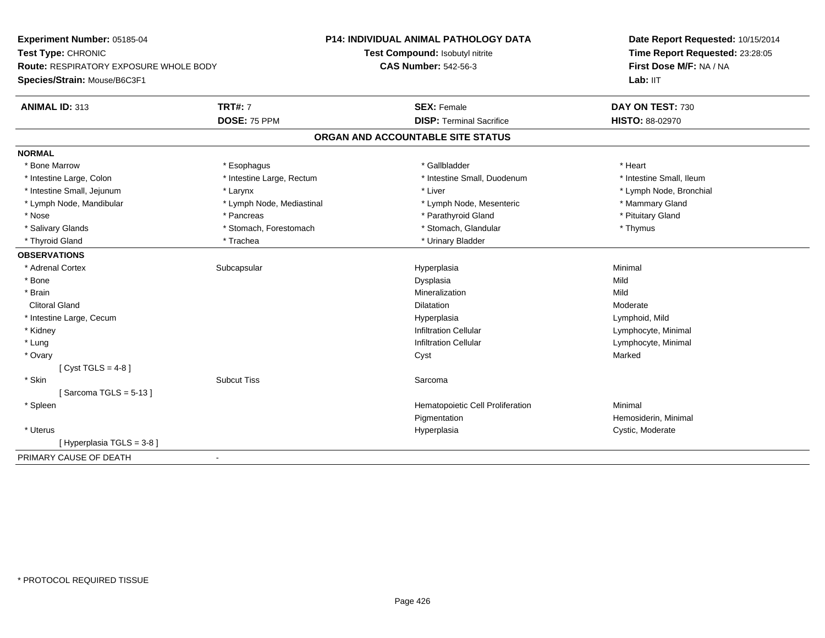| Experiment Number: 05185-04            |                           | <b>P14: INDIVIDUAL ANIMAL PATHOLOGY DATA</b> | Date Report Requested: 10/15/2014<br>Time Report Requested: 23:28:05<br>First Dose M/F: NA / NA |  |
|----------------------------------------|---------------------------|----------------------------------------------|-------------------------------------------------------------------------------------------------|--|
| Test Type: CHRONIC                     |                           | Test Compound: Isobutyl nitrite              |                                                                                                 |  |
| Route: RESPIRATORY EXPOSURE WHOLE BODY |                           | <b>CAS Number: 542-56-3</b>                  |                                                                                                 |  |
| Species/Strain: Mouse/B6C3F1           |                           |                                              | Lab: IIT                                                                                        |  |
| ANIMAL ID: 313                         | <b>TRT#: 7</b>            | <b>SEX: Female</b>                           | DAY ON TEST: 730                                                                                |  |
|                                        | DOSE: 75 PPM              | <b>DISP: Terminal Sacrifice</b>              | <b>HISTO: 88-02970</b>                                                                          |  |
|                                        |                           | ORGAN AND ACCOUNTABLE SITE STATUS            |                                                                                                 |  |
| <b>NORMAL</b>                          |                           |                                              |                                                                                                 |  |
| * Bone Marrow                          | * Esophagus               | * Gallbladder                                | * Heart                                                                                         |  |
| * Intestine Large, Colon               | * Intestine Large, Rectum | * Intestine Small, Duodenum                  | * Intestine Small, Ileum                                                                        |  |
| * Intestine Small, Jejunum             | * Larynx                  | * Liver                                      | * Lymph Node, Bronchial                                                                         |  |
| * Lymph Node, Mandibular               | * Lymph Node, Mediastinal | * Lymph Node, Mesenteric                     | * Mammary Gland                                                                                 |  |
| * Nose                                 | * Pancreas                | * Parathyroid Gland                          | * Pituitary Gland                                                                               |  |
| * Salivary Glands                      | * Stomach, Forestomach    | * Stomach, Glandular                         | * Thymus                                                                                        |  |
| * Thyroid Gland                        | * Trachea                 | * Urinary Bladder                            |                                                                                                 |  |
| <b>OBSERVATIONS</b>                    |                           |                                              |                                                                                                 |  |
| * Adrenal Cortex                       | Subcapsular               | Hyperplasia                                  | Minimal                                                                                         |  |
| * Bone                                 |                           | Dysplasia                                    | Mild                                                                                            |  |
| * Brain                                |                           | Mineralization                               | Mild                                                                                            |  |
| <b>Clitoral Gland</b>                  |                           | <b>Dilatation</b>                            | Moderate                                                                                        |  |
| * Intestine Large, Cecum               |                           | Hyperplasia                                  | Lymphoid, Mild                                                                                  |  |
| * Kidney                               |                           | <b>Infiltration Cellular</b>                 | Lymphocyte, Minimal                                                                             |  |
| * Lung                                 |                           | <b>Infiltration Cellular</b>                 | Lymphocyte, Minimal                                                                             |  |
| * Ovary                                |                           | Cyst                                         | Marked                                                                                          |  |
| [ Cyst TGLS = $4-8$ ]                  |                           |                                              |                                                                                                 |  |
| * Skin                                 | <b>Subcut Tiss</b>        | Sarcoma                                      |                                                                                                 |  |
| [Sarcoma TGLS = $5-13$ ]               |                           |                                              |                                                                                                 |  |
| * Spleen                               |                           | Hematopoietic Cell Proliferation             | Minimal                                                                                         |  |
|                                        |                           | Pigmentation                                 | Hemosiderin, Minimal                                                                            |  |
| * Uterus                               |                           | Hyperplasia                                  | Cystic, Moderate                                                                                |  |
| [Hyperplasia TGLS = $3-8$ ]            |                           |                                              |                                                                                                 |  |
| PRIMARY CAUSE OF DEATH                 | $\blacksquare$            |                                              |                                                                                                 |  |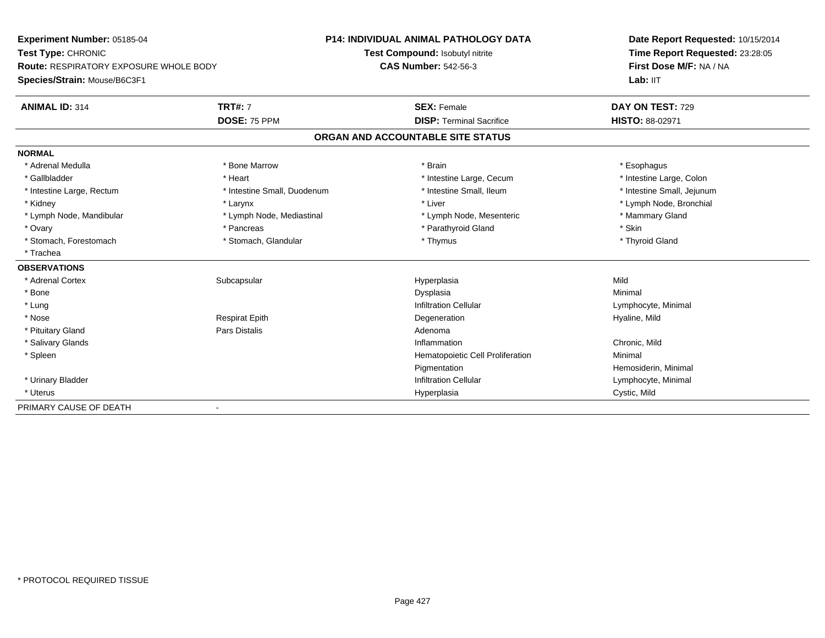| Experiment Number: 05185-04                   |                             | <b>P14: INDIVIDUAL ANIMAL PATHOLOGY DATA</b> | Date Report Requested: 10/15/2014 |  |
|-----------------------------------------------|-----------------------------|----------------------------------------------|-----------------------------------|--|
| Test Type: CHRONIC                            |                             | Test Compound: Isobutyl nitrite              | Time Report Requested: 23:28:05   |  |
| <b>Route: RESPIRATORY EXPOSURE WHOLE BODY</b> |                             | <b>CAS Number: 542-56-3</b>                  | First Dose M/F: NA / NA           |  |
| Species/Strain: Mouse/B6C3F1                  |                             |                                              | Lab: IIT                          |  |
| <b>ANIMAL ID: 314</b>                         | <b>TRT#: 7</b>              | <b>SEX: Female</b>                           | DAY ON TEST: 729                  |  |
|                                               | DOSE: 75 PPM                | <b>DISP: Terminal Sacrifice</b>              | <b>HISTO: 88-02971</b>            |  |
|                                               |                             | ORGAN AND ACCOUNTABLE SITE STATUS            |                                   |  |
| <b>NORMAL</b>                                 |                             |                                              |                                   |  |
| * Adrenal Medulla                             | * Bone Marrow               | * Brain                                      | * Esophagus                       |  |
| * Gallbladder                                 | * Heart                     | * Intestine Large, Cecum                     | * Intestine Large, Colon          |  |
| * Intestine Large, Rectum                     | * Intestine Small, Duodenum | * Intestine Small, Ileum                     | * Intestine Small, Jejunum        |  |
| * Kidney                                      | * Larynx                    | * Liver                                      | * Lymph Node, Bronchial           |  |
| * Lymph Node, Mandibular                      | * Lymph Node, Mediastinal   | * Lymph Node, Mesenteric                     | * Mammary Gland                   |  |
| * Ovary                                       | * Pancreas                  | * Parathyroid Gland                          | * Skin                            |  |
| * Stomach, Forestomach                        | * Stomach, Glandular        | * Thymus                                     | * Thyroid Gland                   |  |
| * Trachea                                     |                             |                                              |                                   |  |
| <b>OBSERVATIONS</b>                           |                             |                                              |                                   |  |
| * Adrenal Cortex                              | Subcapsular                 | Hyperplasia                                  | Mild                              |  |
| * Bone                                        |                             | Dysplasia                                    | Minimal                           |  |
| * Lung                                        |                             | <b>Infiltration Cellular</b>                 | Lymphocyte, Minimal               |  |
| * Nose                                        | <b>Respirat Epith</b>       | Degeneration                                 | Hyaline, Mild                     |  |
| * Pituitary Gland                             | <b>Pars Distalis</b>        | Adenoma                                      |                                   |  |
| * Salivary Glands                             |                             | Inflammation                                 | Chronic, Mild                     |  |
| * Spleen                                      |                             | Hematopoietic Cell Proliferation             | Minimal                           |  |
|                                               |                             | Pigmentation                                 | Hemosiderin, Minimal              |  |
| * Urinary Bladder                             |                             | <b>Infiltration Cellular</b>                 | Lymphocyte, Minimal               |  |
| * Uterus                                      |                             | Hyperplasia                                  | Cystic, Mild                      |  |
| PRIMARY CAUSE OF DEATH                        |                             |                                              |                                   |  |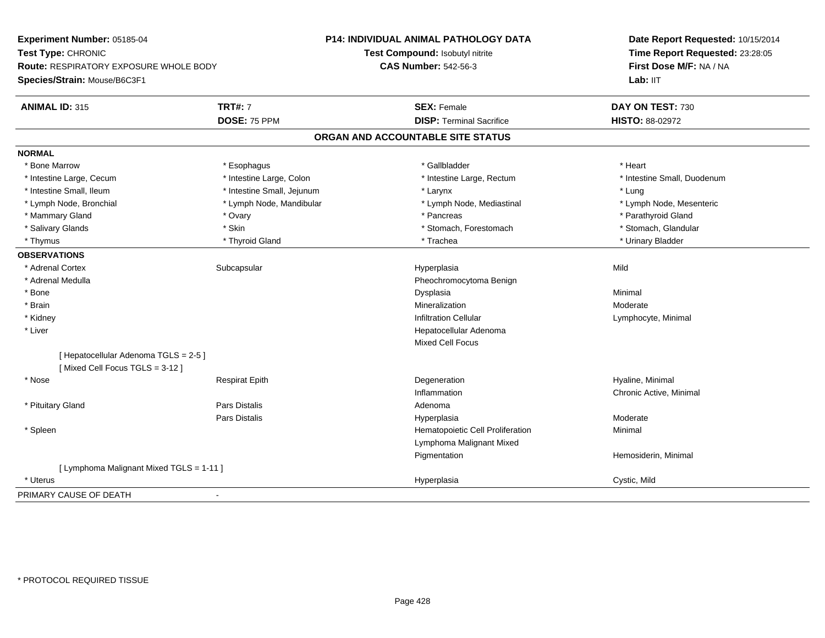| Experiment Number: 05185-04                                             |                            | P14: INDIVIDUAL ANIMAL PATHOLOGY DATA | Date Report Requested: 10/15/2014<br>Time Report Requested: 23:28:05<br>First Dose M/F: NA / NA<br>Lab: IIT |
|-------------------------------------------------------------------------|----------------------------|---------------------------------------|-------------------------------------------------------------------------------------------------------------|
| Test Type: CHRONIC                                                      |                            | Test Compound: Isobutyl nitrite       |                                                                                                             |
| Route: RESPIRATORY EXPOSURE WHOLE BODY                                  |                            | <b>CAS Number: 542-56-3</b>           |                                                                                                             |
| Species/Strain: Mouse/B6C3F1                                            |                            |                                       |                                                                                                             |
| <b>ANIMAL ID: 315</b>                                                   | <b>TRT#: 7</b>             | <b>SEX: Female</b>                    | DAY ON TEST: 730                                                                                            |
|                                                                         | DOSE: 75 PPM               | <b>DISP: Terminal Sacrifice</b>       | HISTO: 88-02972                                                                                             |
|                                                                         |                            | ORGAN AND ACCOUNTABLE SITE STATUS     |                                                                                                             |
| <b>NORMAL</b>                                                           |                            |                                       |                                                                                                             |
| * Bone Marrow                                                           | * Esophagus                | * Gallbladder                         | * Heart                                                                                                     |
| * Intestine Large, Cecum                                                | * Intestine Large, Colon   | * Intestine Large, Rectum             | * Intestine Small, Duodenum                                                                                 |
| * Intestine Small, Ileum                                                | * Intestine Small, Jejunum | * Larynx                              | * Lung                                                                                                      |
| * Lymph Node, Bronchial                                                 | * Lymph Node, Mandibular   | * Lymph Node, Mediastinal             | * Lymph Node, Mesenteric                                                                                    |
| * Mammary Gland                                                         | * Ovary                    | * Pancreas                            | * Parathyroid Gland                                                                                         |
| * Salivary Glands                                                       | * Skin                     | * Stomach, Forestomach                | * Stomach, Glandular                                                                                        |
| * Thymus                                                                | * Thyroid Gland            | * Trachea                             | * Urinary Bladder                                                                                           |
| <b>OBSERVATIONS</b>                                                     |                            |                                       |                                                                                                             |
| * Adrenal Cortex                                                        | Subcapsular                | Hyperplasia                           | Mild                                                                                                        |
| * Adrenal Medulla                                                       |                            | Pheochromocytoma Benign               |                                                                                                             |
| * Bone                                                                  |                            | Dysplasia                             | Minimal                                                                                                     |
| * Brain                                                                 |                            | Mineralization                        | Moderate                                                                                                    |
| * Kidney                                                                |                            | <b>Infiltration Cellular</b>          | Lymphocyte, Minimal                                                                                         |
| * Liver                                                                 |                            | Hepatocellular Adenoma                |                                                                                                             |
|                                                                         |                            | <b>Mixed Cell Focus</b>               |                                                                                                             |
| [ Hepatocellular Adenoma TGLS = 2-5 ]<br>[Mixed Cell Focus TGLS = 3-12] |                            |                                       |                                                                                                             |
| * Nose                                                                  | <b>Respirat Epith</b>      | Degeneration                          | Hyaline, Minimal                                                                                            |
|                                                                         |                            | Inflammation                          | Chronic Active, Minimal                                                                                     |
| * Pituitary Gland                                                       | Pars Distalis              | Adenoma                               |                                                                                                             |
|                                                                         | Pars Distalis              | Hyperplasia                           | Moderate                                                                                                    |
| * Spleen                                                                |                            | Hematopoietic Cell Proliferation      | Minimal                                                                                                     |
|                                                                         |                            | Lymphoma Malignant Mixed              |                                                                                                             |
|                                                                         |                            | Pigmentation                          | Hemosiderin, Minimal                                                                                        |
| [ Lymphoma Malignant Mixed TGLS = 1-11 ]                                |                            |                                       |                                                                                                             |
| * Uterus                                                                |                            | Hyperplasia                           | Cystic, Mild                                                                                                |
| PRIMARY CAUSE OF DEATH                                                  |                            |                                       |                                                                                                             |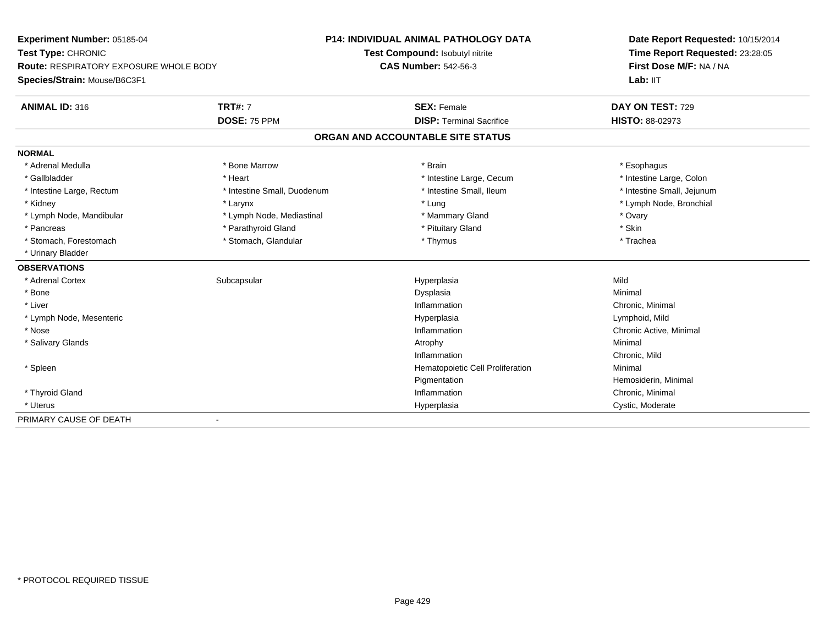| <b>Experiment Number: 05185-04</b>            |                             | <b>P14: INDIVIDUAL ANIMAL PATHOLOGY DATA</b> | Date Report Requested: 10/15/2014<br>Time Report Requested: 23:28:05<br>First Dose M/F: NA / NA |  |
|-----------------------------------------------|-----------------------------|----------------------------------------------|-------------------------------------------------------------------------------------------------|--|
| Test Type: CHRONIC                            |                             | Test Compound: Isobutyl nitrite              |                                                                                                 |  |
| <b>Route: RESPIRATORY EXPOSURE WHOLE BODY</b> |                             | <b>CAS Number: 542-56-3</b>                  |                                                                                                 |  |
| Species/Strain: Mouse/B6C3F1                  |                             |                                              | Lab: IIT                                                                                        |  |
| <b>ANIMAL ID: 316</b>                         | <b>TRT#: 7</b>              | <b>SEX: Female</b>                           | DAY ON TEST: 729                                                                                |  |
|                                               | DOSE: 75 PPM                | <b>DISP: Terminal Sacrifice</b>              | HISTO: 88-02973                                                                                 |  |
|                                               |                             | ORGAN AND ACCOUNTABLE SITE STATUS            |                                                                                                 |  |
| <b>NORMAL</b>                                 |                             |                                              |                                                                                                 |  |
| * Adrenal Medulla                             | * Bone Marrow               | * Brain                                      | * Esophagus                                                                                     |  |
| * Gallbladder                                 | * Heart                     | * Intestine Large, Cecum                     | * Intestine Large, Colon                                                                        |  |
| * Intestine Large, Rectum                     | * Intestine Small, Duodenum | * Intestine Small, Ileum                     | * Intestine Small, Jejunum                                                                      |  |
| * Kidney                                      | * Larynx                    | * Lung                                       | * Lymph Node, Bronchial                                                                         |  |
| * Lymph Node, Mandibular                      | * Lymph Node, Mediastinal   | * Mammary Gland                              | * Ovary                                                                                         |  |
| * Pancreas                                    | * Parathyroid Gland         | * Pituitary Gland                            | * Skin                                                                                          |  |
| * Stomach, Forestomach                        | * Stomach, Glandular        | * Thymus                                     | * Trachea                                                                                       |  |
| * Urinary Bladder                             |                             |                                              |                                                                                                 |  |
| <b>OBSERVATIONS</b>                           |                             |                                              |                                                                                                 |  |
| * Adrenal Cortex                              | Subcapsular                 | Hyperplasia                                  | Mild                                                                                            |  |
| * Bone                                        |                             | Dysplasia                                    | Minimal                                                                                         |  |
| * Liver                                       |                             | Inflammation                                 | Chronic, Minimal                                                                                |  |
| * Lymph Node, Mesenteric                      |                             | Hyperplasia                                  | Lymphoid, Mild                                                                                  |  |
| * Nose                                        |                             | Inflammation                                 | Chronic Active, Minimal                                                                         |  |
| * Salivary Glands                             |                             | Atrophy                                      | Minimal                                                                                         |  |
|                                               |                             | Inflammation                                 | Chronic, Mild                                                                                   |  |
| * Spleen                                      |                             | Hematopoietic Cell Proliferation             | Minimal                                                                                         |  |
|                                               |                             | Pigmentation                                 | Hemosiderin, Minimal                                                                            |  |
| * Thyroid Gland                               |                             | Inflammation                                 | Chronic, Minimal                                                                                |  |
| * Uterus                                      |                             | Hyperplasia                                  | Cystic, Moderate                                                                                |  |
| PRIMARY CAUSE OF DEATH                        | $\overline{\phantom{a}}$    |                                              |                                                                                                 |  |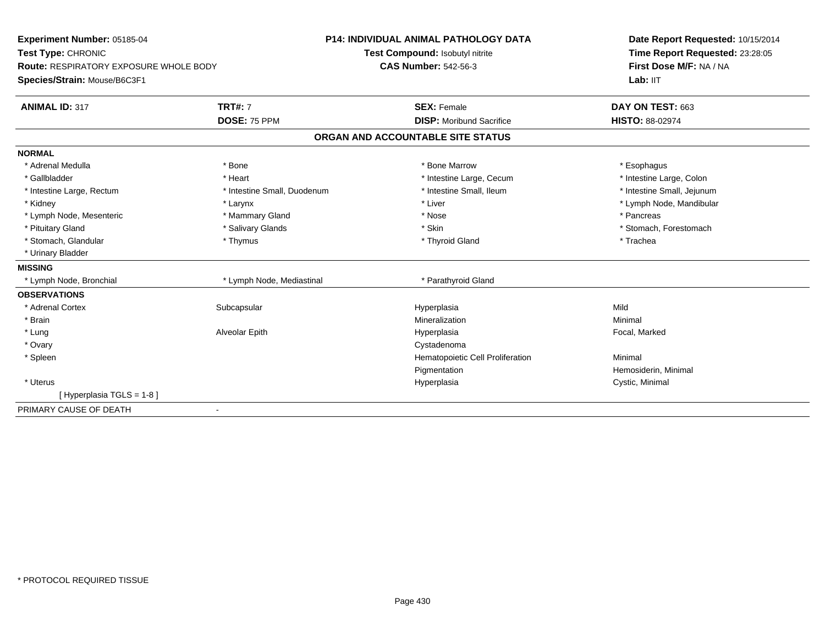| Experiment Number: 05185-04<br>Test Type: CHRONIC<br><b>Route: RESPIRATORY EXPOSURE WHOLE BODY</b> |                             | P14: INDIVIDUAL ANIMAL PATHOLOGY DATA | Date Report Requested: 10/15/2014                          |  |
|----------------------------------------------------------------------------------------------------|-----------------------------|---------------------------------------|------------------------------------------------------------|--|
|                                                                                                    |                             | Test Compound: Isobutyl nitrite       | Time Report Requested: 23:28:05<br>First Dose M/F: NA / NA |  |
|                                                                                                    |                             | <b>CAS Number: 542-56-3</b>           |                                                            |  |
| Species/Strain: Mouse/B6C3F1                                                                       |                             |                                       | Lab: IIT                                                   |  |
| <b>ANIMAL ID: 317</b>                                                                              | <b>TRT#: 7</b>              | <b>SEX: Female</b>                    | DAY ON TEST: 663                                           |  |
|                                                                                                    | DOSE: 75 PPM                | <b>DISP:</b> Moribund Sacrifice       | <b>HISTO: 88-02974</b>                                     |  |
|                                                                                                    |                             | ORGAN AND ACCOUNTABLE SITE STATUS     |                                                            |  |
| <b>NORMAL</b>                                                                                      |                             |                                       |                                                            |  |
| * Adrenal Medulla                                                                                  | * Bone                      | * Bone Marrow                         | * Esophagus                                                |  |
| * Gallbladder                                                                                      | * Heart                     | * Intestine Large, Cecum              | * Intestine Large, Colon                                   |  |
| * Intestine Large, Rectum                                                                          | * Intestine Small, Duodenum | * Intestine Small, Ileum              | * Intestine Small, Jejunum                                 |  |
| * Kidney                                                                                           | * Larynx                    | * Liver                               | * Lymph Node, Mandibular                                   |  |
| * Lymph Node, Mesenteric                                                                           | * Mammary Gland             | * Nose                                | * Pancreas                                                 |  |
| * Pituitary Gland                                                                                  | * Salivary Glands           | * Skin                                | * Stomach, Forestomach                                     |  |
| * Stomach, Glandular                                                                               | * Thymus                    | * Thyroid Gland                       | * Trachea                                                  |  |
| * Urinary Bladder                                                                                  |                             |                                       |                                                            |  |
| <b>MISSING</b>                                                                                     |                             |                                       |                                                            |  |
| * Lymph Node, Bronchial                                                                            | * Lymph Node, Mediastinal   | * Parathyroid Gland                   |                                                            |  |
| <b>OBSERVATIONS</b>                                                                                |                             |                                       |                                                            |  |
| * Adrenal Cortex                                                                                   | Subcapsular                 | Hyperplasia                           | Mild                                                       |  |
| * Brain                                                                                            |                             | Mineralization                        | Minimal                                                    |  |
| * Lung                                                                                             | Alveolar Epith              | Hyperplasia                           | Focal, Marked                                              |  |
| * Ovary                                                                                            |                             | Cystadenoma                           |                                                            |  |
| * Spleen                                                                                           |                             | Hematopoietic Cell Proliferation      | Minimal                                                    |  |
|                                                                                                    |                             | Pigmentation                          | Hemosiderin, Minimal                                       |  |
| * Uterus                                                                                           |                             | Hyperplasia                           | Cystic, Minimal                                            |  |
| [Hyperplasia TGLS = 1-8]                                                                           |                             |                                       |                                                            |  |
| PRIMARY CAUSE OF DEATH                                                                             | $\blacksquare$              |                                       |                                                            |  |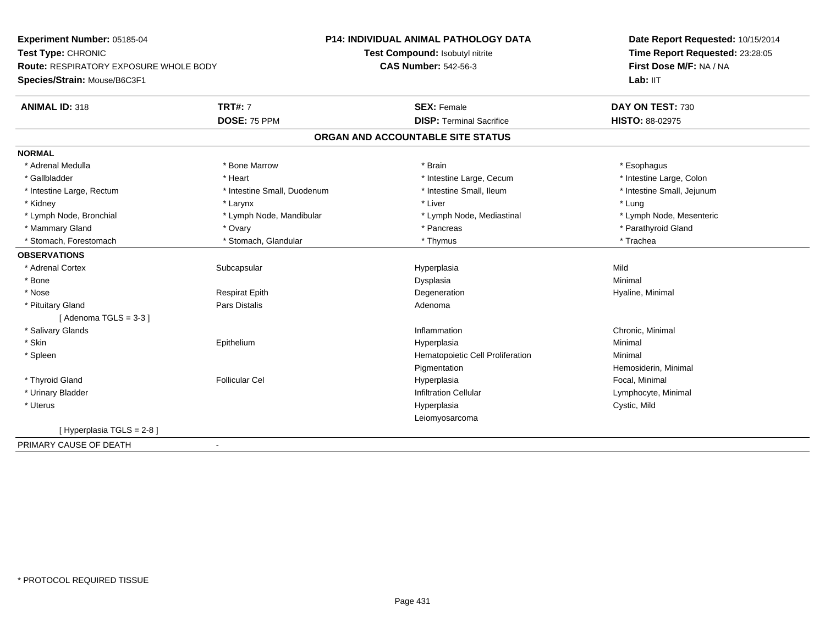**Experiment Number:** 05185-04**Test Type:** CHRONIC **Route:** RESPIRATORY EXPOSURE WHOLE BODY**Species/Strain:** Mouse/B6C3F1**P14: INDIVIDUAL ANIMAL PATHOLOGY DATATest Compound:** Isobutyl nitrite**CAS Number:** 542-56-3**Date Report Requested:** 10/15/2014**Time Report Requested:** 23:28:05**First Dose M/F:** NA / NALab: IIT **ANIMAL ID:** 318**TRT#:** 7 **SEX:** Female **SEX: Female DAY ON TEST:** 730 **DOSE:** 75 PPM **DISP:** Terminal Sacrifice **HISTO:** 88-02975 **ORGAN AND ACCOUNTABLE SITE STATUSNORMAL**\* Adrenal Medulla \* Adrenal Medulla \* \* \* Bone Marrow \* \* Bone Marrow \* \* Brain \* \* Brain \* \* Brain \* \* Esophagus \* Esophagus \* Intestine Large, Colon \* Gallbladder \* The mode of the text \* Heart \* Intestine Large, Cecum \* Intestine Large, Cecum \* Intestine Large, Cecum \* Intestine Large, Rectum \* Thestine Small, Duodenum \* Number of the small, Ileum \* Intestine Small, Jejunum \* Intestine Small, Jejunum \* Kidney \* Larynx \* Liver \* Lung\* Lymph Node, Mesenteric \* Lymph Node, Bronchial \* Lymph Node, Mandibular \* Lymph Node, Mediastinal \* Lymph Node, Mediastinal \* Mammary Gland \* \* Andrew \* Ovary \* Andrew \* Ovary \* Pancreas \* Pancreas \* \* Pancreas \* \* Pancreas \* \* Pancreas \* \* Pancreas \* \* Pancreas \* \* Pancreas \* \* Pancreas \* \* Pancreas \* \* Pancreas \* \* Pancreas \* \* Pancreas \* \* P \* Stomach, Forestomach \* Trachea \* Stomach, Glandular \* Thymus \* Thymus \* The metal \* Trachea **OBSERVATIONS** \* Adrenal Cortexx Subcapsular Suberty Subsets and the Hyperplasia a Mild \* Bonee and the state of the state of the state of the Dysplasia Christian Christian Minimal Minimal State of the St \* Nose Respirat Epith Degeneration Hyaline, Minimal \* Pituitary Glandd and the contract of Pars Distalis and the contract of Adenoma and Adenoma and the Adenoma and the Adenoma and  $\lambda$  $[$  Adenoma TGLS = 3-3 $]$  \* Salivary Glandss and the contract of the contract of the contract of the contract of the contract of the contract of the contract of the contract of the contract of the contract of the contract of the contract of the contract of the cont Inflammation **Chronic, Minimal**<br>
Hyperplasia **Minimal**<br>
Minimal \* Skin Epithelium Hyperplasia Minimal \* SpleenHematopoietic Cell Proliferation Minimal **Pigmentation**  Hemosiderin, Minimal \* Thyroid Gland Follicular Cel Hyperplasia Focal, Minimal \* Urinary BladderInfiltration Cellular **Lymphocyte**, Minimal \* Uteruss and the contract of the contract of the contract of the contract of the contract of the contract of the contract of the contract of the contract of the contract of the contract of the contract of the contract of the cont Hyperplasia Cystic, Mild Leiomyosarcoma[ Hyperplasia TGLS = 2-8 ]PRIMARY CAUSE OF DEATH-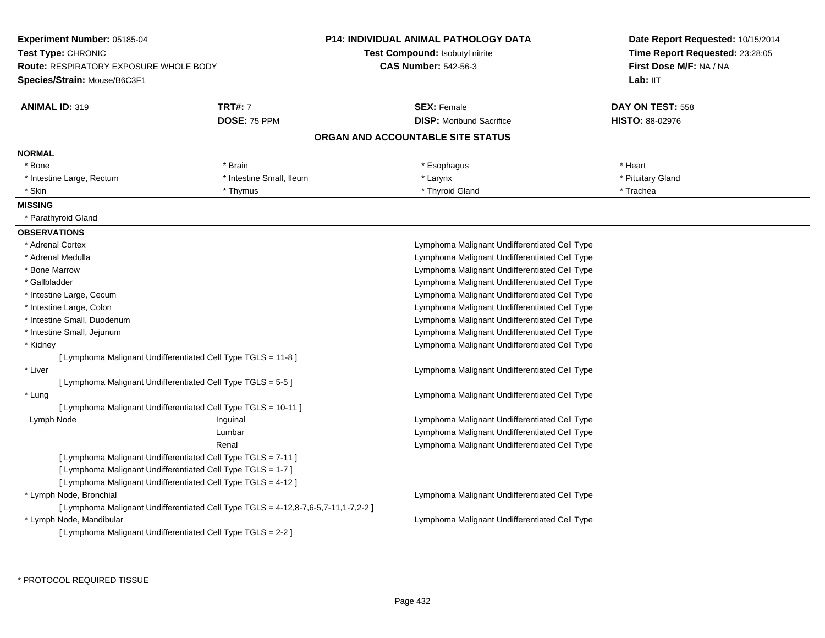| <b>Experiment Number: 05185-04</b><br>Test Type: CHRONIC<br><b>Route: RESPIRATORY EXPOSURE WHOLE BODY</b><br>Species/Strain: Mouse/B6C3F1 |                                                                                    | <b>P14: INDIVIDUAL ANIMAL PATHOLOGY DATA</b><br>Test Compound: Isobutyl nitrite<br><b>CAS Number: 542-56-3</b> | Date Report Requested: 10/15/2014<br>Time Report Requested: 23:28:05<br>First Dose M/F: NA / NA |  |  |
|-------------------------------------------------------------------------------------------------------------------------------------------|------------------------------------------------------------------------------------|----------------------------------------------------------------------------------------------------------------|-------------------------------------------------------------------------------------------------|--|--|
|                                                                                                                                           |                                                                                    |                                                                                                                | Lab: IIT                                                                                        |  |  |
| <b>ANIMAL ID: 319</b>                                                                                                                     | <b>TRT#: 7</b>                                                                     | <b>SEX: Female</b>                                                                                             | DAY ON TEST: 558                                                                                |  |  |
|                                                                                                                                           | DOSE: 75 PPM                                                                       | <b>DISP:</b> Moribund Sacrifice                                                                                | <b>HISTO: 88-02976</b>                                                                          |  |  |
|                                                                                                                                           |                                                                                    | ORGAN AND ACCOUNTABLE SITE STATUS                                                                              |                                                                                                 |  |  |
| <b>NORMAL</b>                                                                                                                             |                                                                                    |                                                                                                                |                                                                                                 |  |  |
| * Bone                                                                                                                                    | * Brain                                                                            | * Esophagus                                                                                                    | * Heart                                                                                         |  |  |
| * Intestine Large, Rectum                                                                                                                 | * Intestine Small, Ileum                                                           | * Larynx                                                                                                       | * Pituitary Gland                                                                               |  |  |
| * Skin                                                                                                                                    | * Thymus                                                                           | * Thyroid Gland                                                                                                | * Trachea                                                                                       |  |  |
| <b>MISSING</b>                                                                                                                            |                                                                                    |                                                                                                                |                                                                                                 |  |  |
| * Parathyroid Gland                                                                                                                       |                                                                                    |                                                                                                                |                                                                                                 |  |  |
| <b>OBSERVATIONS</b>                                                                                                                       |                                                                                    |                                                                                                                |                                                                                                 |  |  |
| * Adrenal Cortex                                                                                                                          |                                                                                    |                                                                                                                | Lymphoma Malignant Undifferentiated Cell Type                                                   |  |  |
| * Adrenal Medulla                                                                                                                         |                                                                                    |                                                                                                                | Lymphoma Malignant Undifferentiated Cell Type                                                   |  |  |
| * Bone Marrow                                                                                                                             |                                                                                    |                                                                                                                | Lymphoma Malignant Undifferentiated Cell Type                                                   |  |  |
| * Gallbladder                                                                                                                             |                                                                                    |                                                                                                                | Lymphoma Malignant Undifferentiated Cell Type                                                   |  |  |
| * Intestine Large, Cecum                                                                                                                  |                                                                                    | Lymphoma Malignant Undifferentiated Cell Type                                                                  |                                                                                                 |  |  |
| * Intestine Large, Colon                                                                                                                  |                                                                                    |                                                                                                                | Lymphoma Malignant Undifferentiated Cell Type                                                   |  |  |
| * Intestine Small, Duodenum                                                                                                               |                                                                                    | Lymphoma Malignant Undifferentiated Cell Type                                                                  |                                                                                                 |  |  |
| * Intestine Small, Jejunum                                                                                                                |                                                                                    |                                                                                                                | Lymphoma Malignant Undifferentiated Cell Type                                                   |  |  |
| * Kidney                                                                                                                                  |                                                                                    |                                                                                                                | Lymphoma Malignant Undifferentiated Cell Type                                                   |  |  |
| [ Lymphoma Malignant Undifferentiated Cell Type TGLS = 11-8 ]                                                                             |                                                                                    |                                                                                                                |                                                                                                 |  |  |
| * Liver                                                                                                                                   |                                                                                    | Lymphoma Malignant Undifferentiated Cell Type                                                                  |                                                                                                 |  |  |
| [ Lymphoma Malignant Undifferentiated Cell Type TGLS = 5-5 ]                                                                              |                                                                                    |                                                                                                                |                                                                                                 |  |  |
| * Lung                                                                                                                                    |                                                                                    | Lymphoma Malignant Undifferentiated Cell Type                                                                  |                                                                                                 |  |  |
| [ Lymphoma Malignant Undifferentiated Cell Type TGLS = 10-11 ]                                                                            |                                                                                    |                                                                                                                |                                                                                                 |  |  |
| Lymph Node                                                                                                                                | Inguinal                                                                           | Lymphoma Malignant Undifferentiated Cell Type                                                                  |                                                                                                 |  |  |
|                                                                                                                                           | Lumbar                                                                             | Lymphoma Malignant Undifferentiated Cell Type                                                                  |                                                                                                 |  |  |
|                                                                                                                                           | Renal                                                                              | Lymphoma Malignant Undifferentiated Cell Type                                                                  |                                                                                                 |  |  |
| [ Lymphoma Malignant Undifferentiated Cell Type TGLS = 7-11 ]                                                                             |                                                                                    |                                                                                                                |                                                                                                 |  |  |
| [ Lymphoma Malignant Undifferentiated Cell Type TGLS = 1-7 ]                                                                              |                                                                                    |                                                                                                                |                                                                                                 |  |  |
| [ Lymphoma Malignant Undifferentiated Cell Type TGLS = 4-12 ]                                                                             |                                                                                    |                                                                                                                |                                                                                                 |  |  |
| * Lymph Node, Bronchial                                                                                                                   |                                                                                    | Lymphoma Malignant Undifferentiated Cell Type                                                                  |                                                                                                 |  |  |
|                                                                                                                                           | [ Lymphoma Malignant Undifferentiated Cell Type TGLS = 4-12,8-7,6-5,7-11,1-7,2-2 ] |                                                                                                                |                                                                                                 |  |  |
| * Lymph Node, Mandibular                                                                                                                  |                                                                                    | Lymphoma Malignant Undifferentiated Cell Type                                                                  |                                                                                                 |  |  |
| [ Lymphoma Malignant Undifferentiated Cell Type TGLS = 2-2 ]                                                                              |                                                                                    |                                                                                                                |                                                                                                 |  |  |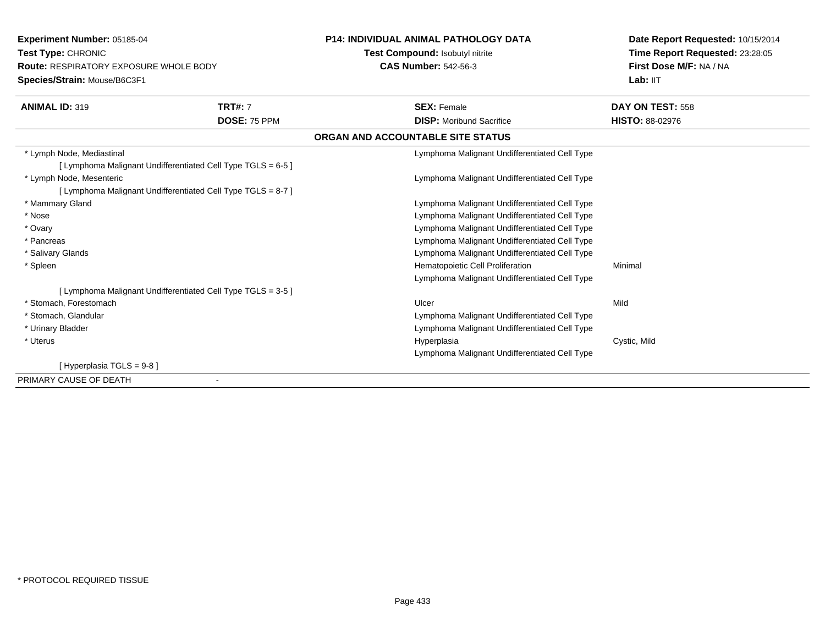**Experiment Number:** 05185-04**Test Type:** CHRONIC **Route:** RESPIRATORY EXPOSURE WHOLE BODY**Species/Strain:** Mouse/B6C3F1**P14: INDIVIDUAL ANIMAL PATHOLOGY DATATest Compound:** Isobutyl nitrite**CAS Number:** 542-56-3**Date Report Requested:** 10/15/2014**Time Report Requested:** 23:28:05**First Dose M/F:** NA / NALab: IIT **ANIMAL ID:** 319 **TRT#:** <sup>7</sup> **SEX:** Female **DAY ON TEST:** <sup>558</sup> **DOSE:** 75 PPM **DISP:** Moribund Sacrifice **HISTO:** 88-02976 **ORGAN AND ACCOUNTABLE SITE STATUS** \* Lymph Node, Mediastinal Lymphoma Malignant Undifferentiated Cell Type[ Lymphoma Malignant Undifferentiated Cell Type TGLS = 6-5 ] \* Lymph Node, Mesenteric Lymphoma Malignant Undifferentiated Cell Type[ Lymphoma Malignant Undifferentiated Cell Type TGLS = 8-7 ] \* Mammary Gland Lymphoma Malignant Undifferentiated Cell Type \* Nose Lymphoma Malignant Undifferentiated Cell Type \* Ovary Lymphoma Malignant Undifferentiated Cell Type Lymphoma Malignant Undifferentiated Cell Type \* Pancreas Lymphoma Malignant Undifferentiated Cell Type \* Salivary Glands \* SpleenHematopoietic Cell Proliferation Minimal Lymphoma Malignant Undifferentiated Cell Type[ Lymphoma Malignant Undifferentiated Cell Type TGLS = 3-5 ] \* Stomach, Forestomachh ann an t-ìre ann an t-ìre ann an t-ìre ann an Ulcer ann an t-ìre ann an t-ìre ann an Mild \* Stomach, Glandular Lymphoma Malignant Undifferentiated Cell Type Lymphoma Malignant Undifferentiated Cell Type \* Urinary Bladder \* Uteruss and the control of the control of the control of the control of the control of the control of the control of the control of the control of the control of the control of the control of the control of the control of the co Hyperplasia **Cystic, Mild** Lymphoma Malignant Undifferentiated Cell Type[ Hyperplasia TGLS = 9-8 ]PRIMARY CAUSE OF DEATH-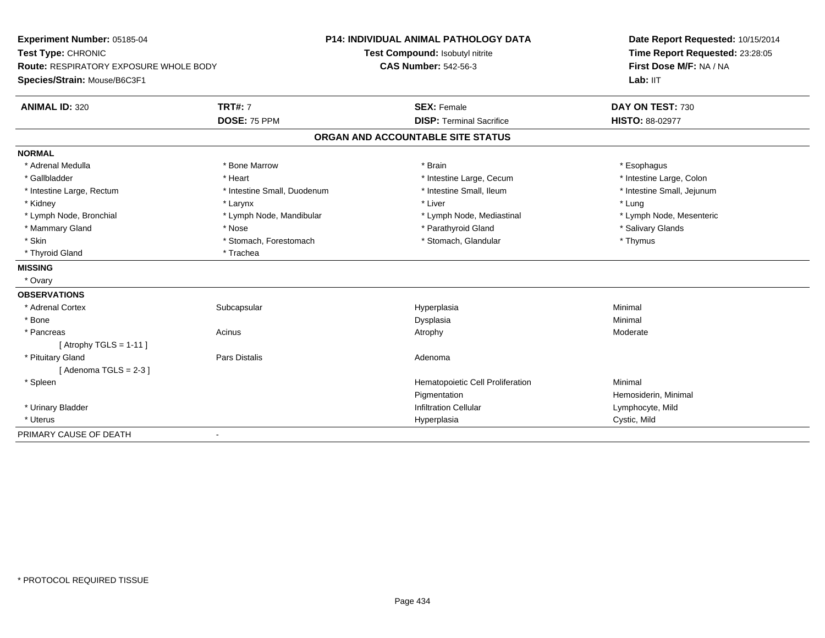| Experiment Number: 05185-04            |                             | <b>P14: INDIVIDUAL ANIMAL PATHOLOGY DATA</b> | Date Report Requested: 10/15/2014 |
|----------------------------------------|-----------------------------|----------------------------------------------|-----------------------------------|
| Test Type: CHRONIC                     |                             | Test Compound: Isobutyl nitrite              | Time Report Requested: 23:28:05   |
| Route: RESPIRATORY EXPOSURE WHOLE BODY |                             | <b>CAS Number: 542-56-3</b>                  | First Dose M/F: NA / NA           |
| Species/Strain: Mouse/B6C3F1           |                             |                                              | Lab: IIT                          |
| <b>ANIMAL ID: 320</b>                  | <b>TRT#: 7</b>              | <b>SEX: Female</b>                           | DAY ON TEST: 730                  |
|                                        | DOSE: 75 PPM                | <b>DISP: Terminal Sacrifice</b>              | <b>HISTO: 88-02977</b>            |
|                                        |                             | ORGAN AND ACCOUNTABLE SITE STATUS            |                                   |
| <b>NORMAL</b>                          |                             |                                              |                                   |
| * Adrenal Medulla                      | * Bone Marrow               | * Brain                                      | * Esophagus                       |
| * Gallbladder                          | * Heart                     | * Intestine Large, Cecum                     | * Intestine Large, Colon          |
| * Intestine Large, Rectum              | * Intestine Small, Duodenum | * Intestine Small, Ileum                     | * Intestine Small, Jejunum        |
| * Kidney                               | * Larynx                    | * Liver                                      | * Lung                            |
| * Lymph Node, Bronchial                | * Lymph Node, Mandibular    | * Lymph Node, Mediastinal                    | * Lymph Node, Mesenteric          |
| * Mammary Gland                        | * Nose                      | * Parathyroid Gland                          | * Salivary Glands                 |
| * Skin                                 | * Stomach, Forestomach      | * Stomach, Glandular                         | * Thymus                          |
| * Thyroid Gland                        | * Trachea                   |                                              |                                   |
| <b>MISSING</b>                         |                             |                                              |                                   |
| * Ovary                                |                             |                                              |                                   |
| <b>OBSERVATIONS</b>                    |                             |                                              |                                   |
| * Adrenal Cortex                       | Subcapsular                 | Hyperplasia                                  | Minimal                           |
| * Bone                                 |                             | Dysplasia                                    | Minimal                           |
| * Pancreas                             | Acinus                      | Atrophy                                      | Moderate                          |
| [Atrophy TGLS = $1-11$ ]               |                             |                                              |                                   |
| * Pituitary Gland                      | <b>Pars Distalis</b>        | Adenoma                                      |                                   |
| [Adenoma TGLS = $2-3$ ]                |                             |                                              |                                   |
| * Spleen                               |                             | Hematopoietic Cell Proliferation             | Minimal                           |
|                                        |                             | Pigmentation                                 | Hemosiderin, Minimal              |
| * Urinary Bladder                      |                             | <b>Infiltration Cellular</b>                 | Lymphocyte, Mild                  |
| * Uterus                               |                             | Hyperplasia                                  | Cystic, Mild                      |
| PRIMARY CAUSE OF DEATH                 | $\overline{\phantom{a}}$    |                                              |                                   |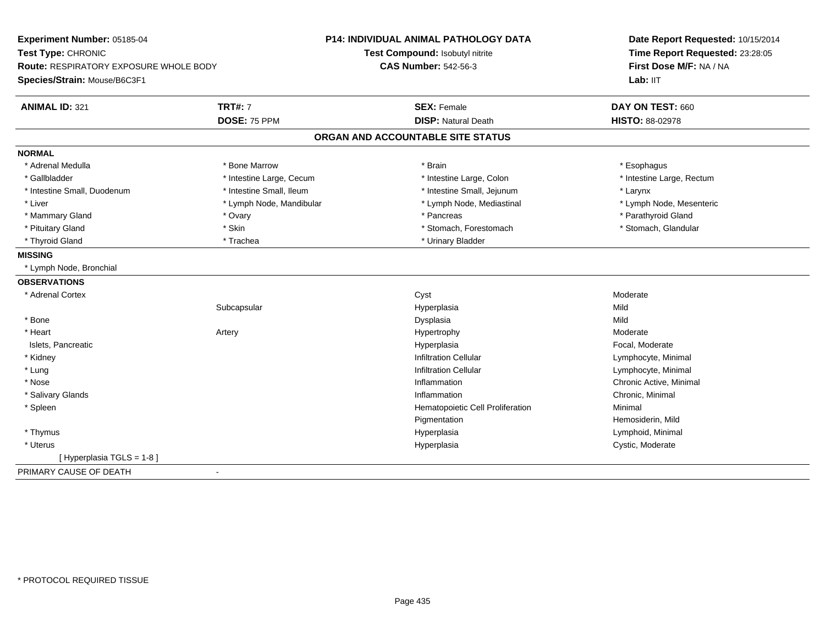| Experiment Number: 05185-04                             | <b>P14: INDIVIDUAL ANIMAL PATHOLOGY DATA</b> | Date Report Requested: 10/15/2014 |
|---------------------------------------------------------|----------------------------------------------|-----------------------------------|
| Test Type: CHRONIC                                      | Test Compound: Isobutyl nitrite              | Time Report Requested: 23:28:05   |
| Route: RESPIRATORY EXPOSURE WHOLE BODY                  | <b>CAS Number: 542-56-3</b>                  | First Dose M/F: NA / NA           |
| Species/Strain: Mouse/B6C3F1                            |                                              | Lab: IIT                          |
| <b>TRT#: 7</b><br><b>ANIMAL ID: 321</b>                 | <b>SEX: Female</b>                           | DAY ON TEST: 660                  |
| DOSE: 75 PPM                                            | <b>DISP: Natural Death</b>                   | <b>HISTO: 88-02978</b>            |
|                                                         | ORGAN AND ACCOUNTABLE SITE STATUS            |                                   |
| <b>NORMAL</b>                                           |                                              |                                   |
| * Bone Marrow<br>* Adrenal Medulla                      | * Brain                                      | * Esophagus                       |
| * Gallbladder<br>* Intestine Large, Cecum               | * Intestine Large, Colon                     | * Intestine Large, Rectum         |
| * Intestine Small, Ileum<br>* Intestine Small, Duodenum | * Intestine Small, Jejunum                   | * Larynx                          |
| * Liver<br>* Lymph Node, Mandibular                     | * Lymph Node, Mediastinal                    | * Lymph Node, Mesenteric          |
| * Mammary Gland<br>* Ovary                              | * Pancreas                                   | * Parathyroid Gland               |
| * Skin<br>* Pituitary Gland                             | * Stomach, Forestomach                       | * Stomach, Glandular              |
| * Thyroid Gland<br>* Trachea                            | * Urinary Bladder                            |                                   |
| <b>MISSING</b>                                          |                                              |                                   |
| * Lymph Node, Bronchial                                 |                                              |                                   |
| <b>OBSERVATIONS</b>                                     |                                              |                                   |
| * Adrenal Cortex                                        | Cyst                                         | Moderate                          |
| Subcapsular                                             | Hyperplasia                                  | Mild                              |
| * Bone                                                  | Dysplasia                                    | Mild                              |
| * Heart<br>Artery                                       | Hypertrophy                                  | Moderate                          |
| Islets, Pancreatic                                      | Hyperplasia                                  | Focal, Moderate                   |
| * Kidney                                                | <b>Infiltration Cellular</b>                 | Lymphocyte, Minimal               |
| * Lung                                                  | <b>Infiltration Cellular</b>                 | Lymphocyte, Minimal               |
| * Nose                                                  | Inflammation                                 | Chronic Active, Minimal           |
| * Salivary Glands                                       | Inflammation                                 | Chronic, Minimal                  |
| * Spleen                                                | Hematopoietic Cell Proliferation             | Minimal                           |
|                                                         | Pigmentation                                 | Hemosiderin, Mild                 |
| * Thymus                                                | Hyperplasia                                  | Lymphoid, Minimal                 |
| * Uterus                                                | Hyperplasia                                  | Cystic, Moderate                  |
| [ Hyperplasia TGLS = 1-8 ]                              |                                              |                                   |
| PRIMARY CAUSE OF DEATH<br>$\blacksquare$                |                                              |                                   |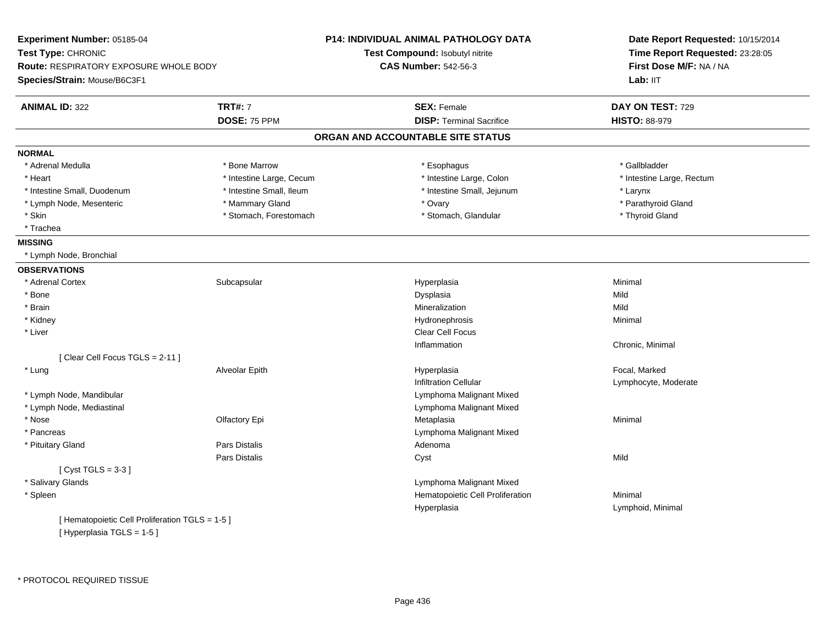| Time Report Requested: 23:28:05<br>Test Type: CHRONIC<br>Test Compound: Isobutyl nitrite<br><b>CAS Number: 542-56-3</b><br>First Dose M/F: NA / NA<br>Species/Strain: Mouse/B6C3F1<br>Lab: IIT<br><b>TRT#: 7</b><br><b>SEX: Female</b><br><b>ANIMAL ID: 322</b><br>DAY ON TEST: 729<br>DOSE: 75 PPM<br><b>DISP: Terminal Sacrifice</b><br><b>HISTO: 88-979</b><br>ORGAN AND ACCOUNTABLE SITE STATUS<br><b>NORMAL</b><br>* Adrenal Medulla<br>* Bone Marrow<br>* Esophagus<br>* Gallbladder<br>* Intestine Large, Colon<br>* Intestine Large, Cecum<br>* Intestine Large, Rectum<br>* Heart<br>* Intestine Small, Duodenum<br>* Intestine Small, Ileum<br>* Intestine Small, Jejunum<br>* Larynx<br>* Mammary Gland<br>* Parathyroid Gland<br>* Lymph Node, Mesenteric<br>* Ovary<br>* Skin<br>* Stomach, Forestomach<br>* Stomach, Glandular<br>* Thyroid Gland<br>* Trachea<br><b>MISSING</b><br>* Lymph Node, Bronchial<br><b>OBSERVATIONS</b><br>* Adrenal Cortex<br>Subcapsular<br>Hyperplasia<br>Minimal<br>* Bone<br>Dysplasia<br>Mild<br>* Brain<br>Mineralization<br>Mild<br>* Kidney<br>Hydronephrosis<br>Minimal<br>* Liver<br><b>Clear Cell Focus</b><br>Inflammation<br>Chronic, Minimal<br>[ Clear Cell Focus TGLS = 2-11 ]<br>* Lung<br>Focal, Marked<br>Alveolar Epith<br>Hyperplasia<br><b>Infiltration Cellular</b><br>Lymphocyte, Moderate | Experiment Number: 05185-04                   |  |
|--------------------------------------------------------------------------------------------------------------------------------------------------------------------------------------------------------------------------------------------------------------------------------------------------------------------------------------------------------------------------------------------------------------------------------------------------------------------------------------------------------------------------------------------------------------------------------------------------------------------------------------------------------------------------------------------------------------------------------------------------------------------------------------------------------------------------------------------------------------------------------------------------------------------------------------------------------------------------------------------------------------------------------------------------------------------------------------------------------------------------------------------------------------------------------------------------------------------------------------------------------------------------------------------------------------------------------------------------------------|-----------------------------------------------|--|
|                                                                                                                                                                                                                                                                                                                                                                                                                                                                                                                                                                                                                                                                                                                                                                                                                                                                                                                                                                                                                                                                                                                                                                                                                                                                                                                                                              |                                               |  |
|                                                                                                                                                                                                                                                                                                                                                                                                                                                                                                                                                                                                                                                                                                                                                                                                                                                                                                                                                                                                                                                                                                                                                                                                                                                                                                                                                              | <b>Route: RESPIRATORY EXPOSURE WHOLE BODY</b> |  |
|                                                                                                                                                                                                                                                                                                                                                                                                                                                                                                                                                                                                                                                                                                                                                                                                                                                                                                                                                                                                                                                                                                                                                                                                                                                                                                                                                              |                                               |  |
|                                                                                                                                                                                                                                                                                                                                                                                                                                                                                                                                                                                                                                                                                                                                                                                                                                                                                                                                                                                                                                                                                                                                                                                                                                                                                                                                                              |                                               |  |
|                                                                                                                                                                                                                                                                                                                                                                                                                                                                                                                                                                                                                                                                                                                                                                                                                                                                                                                                                                                                                                                                                                                                                                                                                                                                                                                                                              |                                               |  |
|                                                                                                                                                                                                                                                                                                                                                                                                                                                                                                                                                                                                                                                                                                                                                                                                                                                                                                                                                                                                                                                                                                                                                                                                                                                                                                                                                              |                                               |  |
|                                                                                                                                                                                                                                                                                                                                                                                                                                                                                                                                                                                                                                                                                                                                                                                                                                                                                                                                                                                                                                                                                                                                                                                                                                                                                                                                                              |                                               |  |
|                                                                                                                                                                                                                                                                                                                                                                                                                                                                                                                                                                                                                                                                                                                                                                                                                                                                                                                                                                                                                                                                                                                                                                                                                                                                                                                                                              |                                               |  |
|                                                                                                                                                                                                                                                                                                                                                                                                                                                                                                                                                                                                                                                                                                                                                                                                                                                                                                                                                                                                                                                                                                                                                                                                                                                                                                                                                              |                                               |  |
|                                                                                                                                                                                                                                                                                                                                                                                                                                                                                                                                                                                                                                                                                                                                                                                                                                                                                                                                                                                                                                                                                                                                                                                                                                                                                                                                                              |                                               |  |
|                                                                                                                                                                                                                                                                                                                                                                                                                                                                                                                                                                                                                                                                                                                                                                                                                                                                                                                                                                                                                                                                                                                                                                                                                                                                                                                                                              |                                               |  |
|                                                                                                                                                                                                                                                                                                                                                                                                                                                                                                                                                                                                                                                                                                                                                                                                                                                                                                                                                                                                                                                                                                                                                                                                                                                                                                                                                              |                                               |  |
|                                                                                                                                                                                                                                                                                                                                                                                                                                                                                                                                                                                                                                                                                                                                                                                                                                                                                                                                                                                                                                                                                                                                                                                                                                                                                                                                                              |                                               |  |
|                                                                                                                                                                                                                                                                                                                                                                                                                                                                                                                                                                                                                                                                                                                                                                                                                                                                                                                                                                                                                                                                                                                                                                                                                                                                                                                                                              |                                               |  |
|                                                                                                                                                                                                                                                                                                                                                                                                                                                                                                                                                                                                                                                                                                                                                                                                                                                                                                                                                                                                                                                                                                                                                                                                                                                                                                                                                              |                                               |  |
|                                                                                                                                                                                                                                                                                                                                                                                                                                                                                                                                                                                                                                                                                                                                                                                                                                                                                                                                                                                                                                                                                                                                                                                                                                                                                                                                                              |                                               |  |
|                                                                                                                                                                                                                                                                                                                                                                                                                                                                                                                                                                                                                                                                                                                                                                                                                                                                                                                                                                                                                                                                                                                                                                                                                                                                                                                                                              |                                               |  |
|                                                                                                                                                                                                                                                                                                                                                                                                                                                                                                                                                                                                                                                                                                                                                                                                                                                                                                                                                                                                                                                                                                                                                                                                                                                                                                                                                              |                                               |  |
|                                                                                                                                                                                                                                                                                                                                                                                                                                                                                                                                                                                                                                                                                                                                                                                                                                                                                                                                                                                                                                                                                                                                                                                                                                                                                                                                                              |                                               |  |
|                                                                                                                                                                                                                                                                                                                                                                                                                                                                                                                                                                                                                                                                                                                                                                                                                                                                                                                                                                                                                                                                                                                                                                                                                                                                                                                                                              |                                               |  |
|                                                                                                                                                                                                                                                                                                                                                                                                                                                                                                                                                                                                                                                                                                                                                                                                                                                                                                                                                                                                                                                                                                                                                                                                                                                                                                                                                              |                                               |  |
|                                                                                                                                                                                                                                                                                                                                                                                                                                                                                                                                                                                                                                                                                                                                                                                                                                                                                                                                                                                                                                                                                                                                                                                                                                                                                                                                                              |                                               |  |
|                                                                                                                                                                                                                                                                                                                                                                                                                                                                                                                                                                                                                                                                                                                                                                                                                                                                                                                                                                                                                                                                                                                                                                                                                                                                                                                                                              |                                               |  |
|                                                                                                                                                                                                                                                                                                                                                                                                                                                                                                                                                                                                                                                                                                                                                                                                                                                                                                                                                                                                                                                                                                                                                                                                                                                                                                                                                              |                                               |  |
|                                                                                                                                                                                                                                                                                                                                                                                                                                                                                                                                                                                                                                                                                                                                                                                                                                                                                                                                                                                                                                                                                                                                                                                                                                                                                                                                                              |                                               |  |
| * Lymph Node, Mandibular<br>Lymphoma Malignant Mixed                                                                                                                                                                                                                                                                                                                                                                                                                                                                                                                                                                                                                                                                                                                                                                                                                                                                                                                                                                                                                                                                                                                                                                                                                                                                                                         |                                               |  |
| Lymphoma Malignant Mixed<br>* Lymph Node, Mediastinal                                                                                                                                                                                                                                                                                                                                                                                                                                                                                                                                                                                                                                                                                                                                                                                                                                                                                                                                                                                                                                                                                                                                                                                                                                                                                                        |                                               |  |
| * Nose<br>Olfactory Epi<br>Metaplasia<br>Minimal                                                                                                                                                                                                                                                                                                                                                                                                                                                                                                                                                                                                                                                                                                                                                                                                                                                                                                                                                                                                                                                                                                                                                                                                                                                                                                             |                                               |  |
| * Pancreas<br>Lymphoma Malignant Mixed                                                                                                                                                                                                                                                                                                                                                                                                                                                                                                                                                                                                                                                                                                                                                                                                                                                                                                                                                                                                                                                                                                                                                                                                                                                                                                                       |                                               |  |
| Pars Distalis<br>* Pituitary Gland<br>Adenoma                                                                                                                                                                                                                                                                                                                                                                                                                                                                                                                                                                                                                                                                                                                                                                                                                                                                                                                                                                                                                                                                                                                                                                                                                                                                                                                |                                               |  |
| Pars Distalis<br>Cyst<br>Mild                                                                                                                                                                                                                                                                                                                                                                                                                                                                                                                                                                                                                                                                                                                                                                                                                                                                                                                                                                                                                                                                                                                                                                                                                                                                                                                                |                                               |  |
| [Cyst TGLS = $3-3$ ]                                                                                                                                                                                                                                                                                                                                                                                                                                                                                                                                                                                                                                                                                                                                                                                                                                                                                                                                                                                                                                                                                                                                                                                                                                                                                                                                         |                                               |  |
| * Salivary Glands<br>Lymphoma Malignant Mixed                                                                                                                                                                                                                                                                                                                                                                                                                                                                                                                                                                                                                                                                                                                                                                                                                                                                                                                                                                                                                                                                                                                                                                                                                                                                                                                |                                               |  |
| * Spleen<br>Hematopoietic Cell Proliferation<br>Minimal                                                                                                                                                                                                                                                                                                                                                                                                                                                                                                                                                                                                                                                                                                                                                                                                                                                                                                                                                                                                                                                                                                                                                                                                                                                                                                      |                                               |  |
| Hyperplasia<br>Lymphoid, Minimal                                                                                                                                                                                                                                                                                                                                                                                                                                                                                                                                                                                                                                                                                                                                                                                                                                                                                                                                                                                                                                                                                                                                                                                                                                                                                                                             |                                               |  |
| [ Hematopoietic Cell Proliferation TGLS = 1-5 ]                                                                                                                                                                                                                                                                                                                                                                                                                                                                                                                                                                                                                                                                                                                                                                                                                                                                                                                                                                                                                                                                                                                                                                                                                                                                                                              |                                               |  |
| [Hyperplasia TGLS = 1-5]                                                                                                                                                                                                                                                                                                                                                                                                                                                                                                                                                                                                                                                                                                                                                                                                                                                                                                                                                                                                                                                                                                                                                                                                                                                                                                                                     |                                               |  |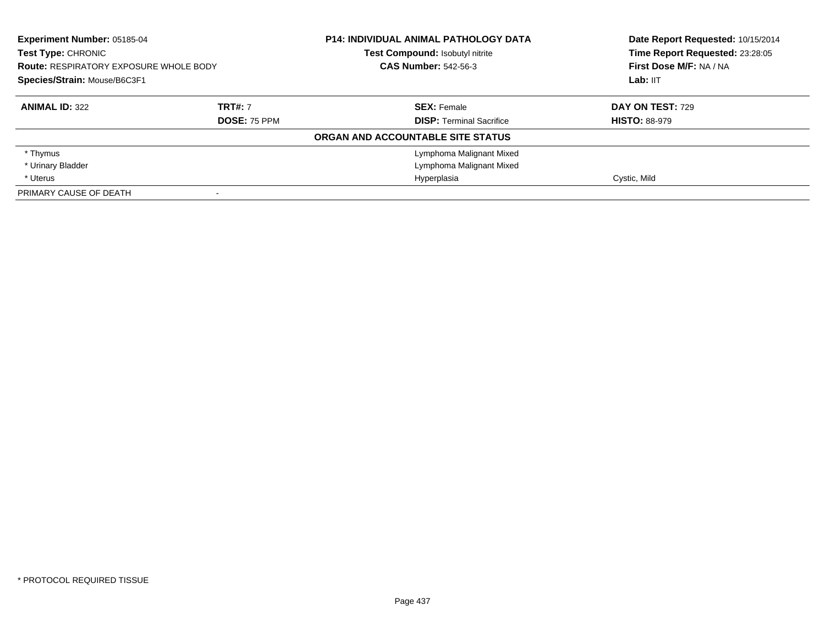| <b>Experiment Number: 05185-04</b><br>Test Type: CHRONIC<br><b>Route: RESPIRATORY EXPOSURE WHOLE BODY</b><br>Species/Strain: Mouse/B6C3F1 |                     | <b>P14: INDIVIDUAL ANIMAL PATHOLOGY DATA</b> | Date Report Requested: 10/15/2014<br>Time Report Requested: 23:28:05 |
|-------------------------------------------------------------------------------------------------------------------------------------------|---------------------|----------------------------------------------|----------------------------------------------------------------------|
|                                                                                                                                           |                     | Test Compound: Isobutyl nitrite              |                                                                      |
|                                                                                                                                           |                     | <b>CAS Number: 542-56-3</b>                  | First Dose M/F: NA / NA                                              |
|                                                                                                                                           |                     |                                              | Lab: IIT                                                             |
| <b>ANIMAL ID: 322</b>                                                                                                                     | <b>TRT#: 7</b>      | <b>SEX: Female</b>                           | DAY ON TEST: 729                                                     |
|                                                                                                                                           | <b>DOSE: 75 PPM</b> | <b>DISP:</b> Terminal Sacrifice              | <b>HISTO: 88-979</b>                                                 |
|                                                                                                                                           |                     | ORGAN AND ACCOUNTABLE SITE STATUS            |                                                                      |
| * Thymus                                                                                                                                  |                     | Lymphoma Malignant Mixed                     |                                                                      |
| * Urinary Bladder                                                                                                                         |                     | Lymphoma Malignant Mixed                     |                                                                      |
| * Uterus                                                                                                                                  |                     | Hyperplasia                                  | Cystic, Mild                                                         |
| PRIMARY CAUSE OF DEATH                                                                                                                    |                     |                                              |                                                                      |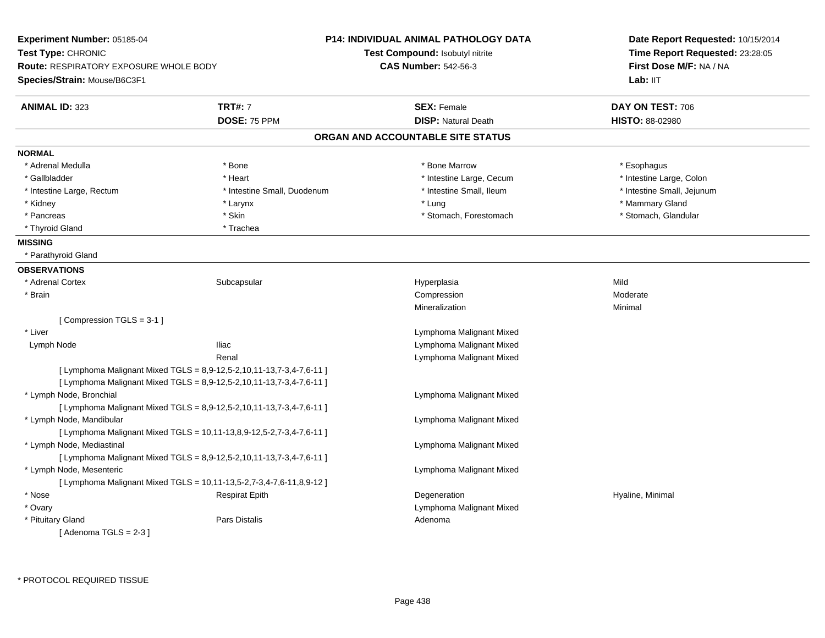**Experiment Number:** 05185-04**Test Type:** CHRONIC **Route:** RESPIRATORY EXPOSURE WHOLE BODY**Species/Strain:** Mouse/B6C3F1**P14: INDIVIDUAL ANIMAL PATHOLOGY DATATest Compound:** Isobutyl nitrite**CAS Number:** 542-56-3**Date Report Requested:** 10/15/2014**Time Report Requested:** 23:28:05**First Dose M/F:** NA / NA**Lab:** IIT**ANIMAL ID:** 323**TRT#:** 7 **SEX:** Female **SEX: Female DAY ON TEST:** 706 **DOSE:** 75 PPM **DISP:** Natural Death **HISTO:** 88-02980 **ORGAN AND ACCOUNTABLE SITE STATUSNORMAL**\* Adrenal Medulla \* Adrenal Medulla \* \* The matter of the state of the state of the state of the state of the state of the state of the state of the state of the state of the state of the state of the state of the state of the state of the \* Gallbladder \* Thestine Large, Colon \* Heart \* Heart \* Thestine Large, Cecum \* Intestine Large, Colon \* Intestine Large, Colon \* Intestine Large, Colon \* Intestine Large, Rectum \* Thestine Small, Duodenum \* Number of the small, Ileum \* Intestine Small, Jejunum \* Intestine Small, Jejunum \* Kidney \* Larynx \* Lung \* Mammary Gland \* Stomach, Glandular \* Pancreas \* Stomach, Forestomach \* Stomach, Suite \* Stomach, Stomach, Forestomach \* Stomach, Forestomach \* Thyroid Gland \* Trachea **MISSING** \* Parathyroid Gland**OBSERVATIONS** \* Adrenal Cortexx Subcapsular Subcapsular Subsets and Hyperplasia a Mild \* Brainn and the compression of the compression of the compression of the compression of the compression of the compression of the compression of the compression of the compression of the compression of the compression of the com Mineralizationn Minimal [ Compression TGLS = 3-1 ] \* Liver Lymphoma Malignant Mixede and the settlement of the United States of the Lymphoma Malignant Mixed Lymph NodeRenal Lymphoma Malignant Mixed $[$  Lymphoma Malignant Mixed TGLS = 8,9-12,5-2,10,11-13,7-3,4-7,6-11 ] [ Lymphoma Malignant Mixed TGLS =  $8,9-12,5-2,10,11-13,7-3,4-7,6-11$  ] \* Lymph Node, Bronchial Lymphoma Malignant Mixed[ Lymphoma Malignant Mixed TGLS =  $8,9-12,5-2,10,11-13,7-3,4-7,6-11$  ] \* Lymph Node, Mandibular Lymphoma Malignant Mixed[ Lymphoma Malignant Mixed TGLS =  $10,11-13,8,9-12,5-2,7-3,4-7,6-11$  ] \* Lymph Node, Mediastinal Lymphoma Malignant Mixed[ Lymphoma Malignant Mixed TGLS =  $8.9 - 12.5 - 2.10, 11 - 13.7 - 3.4 - 7.6 - 11$  ] \* Lymph Node, Mesenteric Lymphoma Malignant Mixed[ Lymphoma Malignant Mixed TGLS = 10,11-13,5-2,7-3,4-7,6-11,8,9-12 ] \* Nose Respirat Epith Degeneration Hyaline, Minimal \* Ovary Lymphoma Malignant Mixed \* Pituitary Glandd and the set of Pars Distalis and the Second Adenomal Adenomal Second Second Pars Distallis  $[$  Adenoma TGLS = 2-3  $]$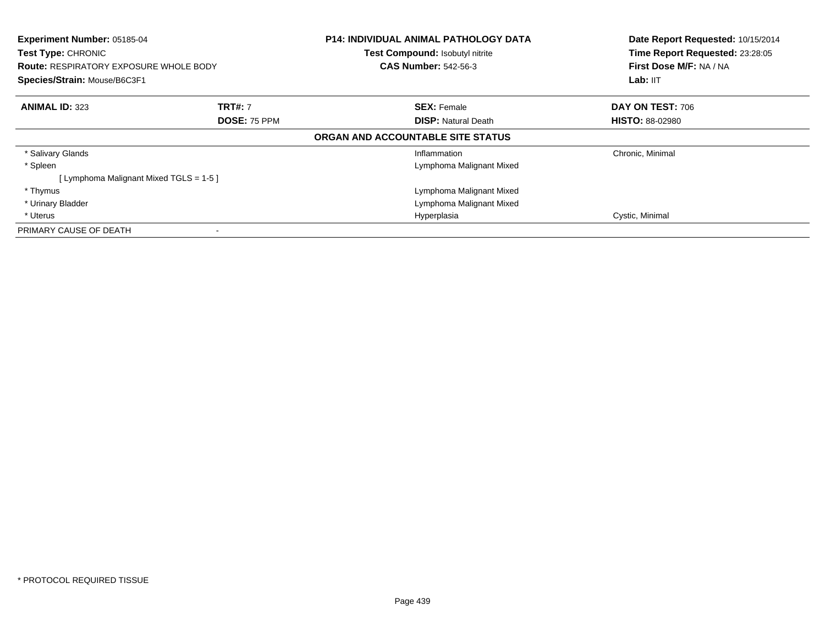| Experiment Number: 05185-04<br><b>Test Type: CHRONIC</b><br><b>Route: RESPIRATORY EXPOSURE WHOLE BODY</b><br>Species/Strain: Mouse/B6C3F1 |                | <b>P14: INDIVIDUAL ANIMAL PATHOLOGY DATA</b><br>Test Compound: Isobutyl nitrite<br><b>CAS Number: 542-56-3</b> | Date Report Requested: 10/15/2014<br>Time Report Requested: 23:28:05<br>First Dose M/F: NA / NA |
|-------------------------------------------------------------------------------------------------------------------------------------------|----------------|----------------------------------------------------------------------------------------------------------------|-------------------------------------------------------------------------------------------------|
|                                                                                                                                           |                |                                                                                                                | Lab: IIT                                                                                        |
| <b>ANIMAL ID: 323</b>                                                                                                                     | <b>TRT#: 7</b> | <b>SEX: Female</b>                                                                                             | DAY ON TEST: 706                                                                                |
|                                                                                                                                           | DOSE: 75 PPM   | <b>DISP: Natural Death</b>                                                                                     | <b>HISTO: 88-02980</b>                                                                          |
|                                                                                                                                           |                | ORGAN AND ACCOUNTABLE SITE STATUS                                                                              |                                                                                                 |
| * Salivary Glands                                                                                                                         |                | Inflammation                                                                                                   | Chronic, Minimal                                                                                |
| * Spleen                                                                                                                                  |                | Lymphoma Malignant Mixed                                                                                       |                                                                                                 |
| [ Lymphoma Malignant Mixed TGLS = 1-5 ]                                                                                                   |                |                                                                                                                |                                                                                                 |
| * Thymus                                                                                                                                  |                | Lymphoma Malignant Mixed                                                                                       |                                                                                                 |
| * Urinary Bladder                                                                                                                         |                | Lymphoma Malignant Mixed                                                                                       |                                                                                                 |
| * Uterus                                                                                                                                  |                | Hyperplasia                                                                                                    | Cystic, Minimal                                                                                 |
| PRIMARY CAUSE OF DEATH                                                                                                                    |                |                                                                                                                |                                                                                                 |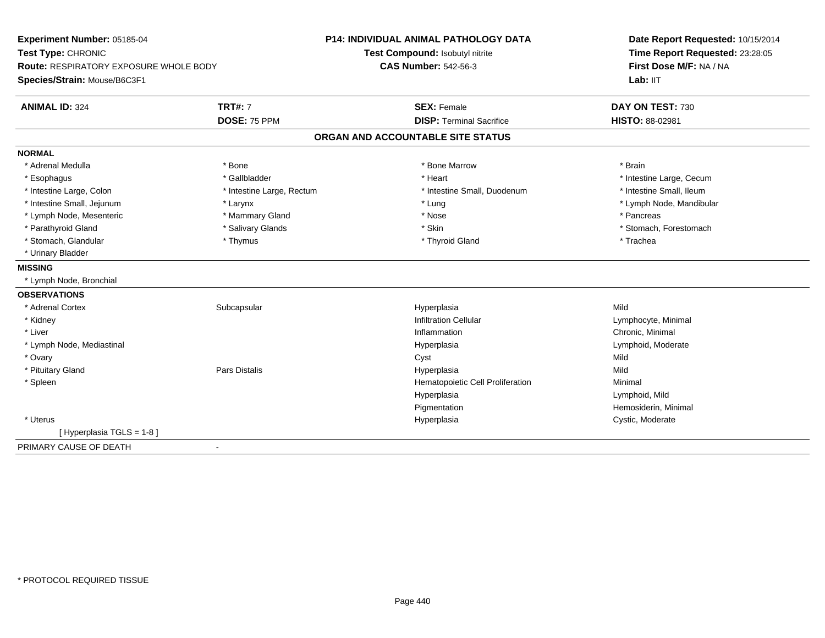| Experiment Number: 05185-04                                  |                           | <b>P14: INDIVIDUAL ANIMAL PATHOLOGY DATA</b> | Date Report Requested: 10/15/2014 |
|--------------------------------------------------------------|---------------------------|----------------------------------------------|-----------------------------------|
| Test Type: CHRONIC<br>Route: RESPIRATORY EXPOSURE WHOLE BODY |                           | Test Compound: Isobutyl nitrite              | Time Report Requested: 23:28:05   |
|                                                              |                           | <b>CAS Number: 542-56-3</b>                  | First Dose M/F: NA / NA           |
| Species/Strain: Mouse/B6C3F1                                 |                           |                                              | Lab: IIT                          |
| <b>ANIMAL ID: 324</b>                                        | <b>TRT#: 7</b>            | <b>SEX: Female</b>                           | DAY ON TEST: 730                  |
|                                                              | DOSE: 75 PPM              | <b>DISP: Terminal Sacrifice</b>              | HISTO: 88-02981                   |
|                                                              |                           | ORGAN AND ACCOUNTABLE SITE STATUS            |                                   |
| <b>NORMAL</b>                                                |                           |                                              |                                   |
| * Adrenal Medulla                                            | * Bone                    | * Bone Marrow                                | * Brain                           |
| * Esophagus                                                  | * Gallbladder             | * Heart                                      | * Intestine Large, Cecum          |
| * Intestine Large, Colon                                     | * Intestine Large, Rectum | * Intestine Small, Duodenum                  | * Intestine Small, Ileum          |
| * Intestine Small, Jejunum                                   | * Larynx                  | * Lung                                       | * Lymph Node, Mandibular          |
| * Lymph Node, Mesenteric                                     | * Mammary Gland           | * Nose                                       | * Pancreas                        |
| * Parathyroid Gland                                          | * Salivary Glands         | * Skin                                       | * Stomach. Forestomach            |
| * Stomach, Glandular                                         | * Thymus                  | * Thyroid Gland                              | * Trachea                         |
| * Urinary Bladder                                            |                           |                                              |                                   |
| <b>MISSING</b>                                               |                           |                                              |                                   |
| * Lymph Node, Bronchial                                      |                           |                                              |                                   |
| <b>OBSERVATIONS</b>                                          |                           |                                              |                                   |
| * Adrenal Cortex                                             | Subcapsular               | Hyperplasia                                  | Mild                              |
| * Kidney                                                     |                           | <b>Infiltration Cellular</b>                 | Lymphocyte, Minimal               |
| * Liver                                                      |                           | Inflammation                                 | Chronic, Minimal                  |
| * Lymph Node, Mediastinal                                    |                           | Hyperplasia                                  | Lymphoid, Moderate                |
| * Ovary                                                      |                           | Cyst                                         | Mild                              |
| * Pituitary Gland                                            | <b>Pars Distalis</b>      | Hyperplasia                                  | Mild                              |
| * Spleen                                                     |                           | Hematopoietic Cell Proliferation             | Minimal                           |
|                                                              |                           | Hyperplasia                                  | Lymphoid, Mild                    |
|                                                              |                           | Pigmentation                                 | Hemosiderin, Minimal              |
| * Uterus                                                     |                           | Hyperplasia                                  | Cystic, Moderate                  |
| [Hyperplasia TGLS = 1-8]                                     |                           |                                              |                                   |
| PRIMARY CAUSE OF DEATH                                       | $\blacksquare$            |                                              |                                   |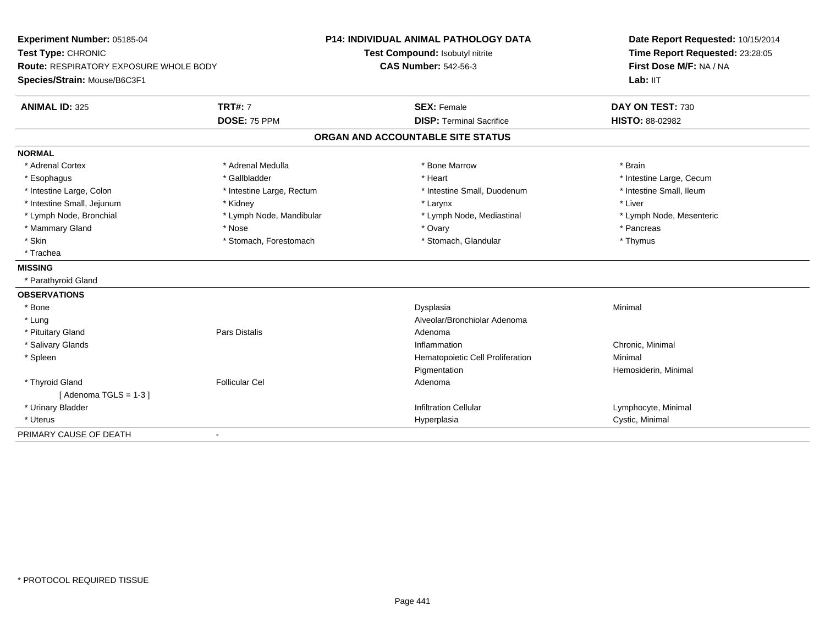| Experiment Number: 05185-04                                  |                           | <b>P14: INDIVIDUAL ANIMAL PATHOLOGY DATA</b> | Date Report Requested: 10/15/2014 |
|--------------------------------------------------------------|---------------------------|----------------------------------------------|-----------------------------------|
| Test Type: CHRONIC<br>Route: RESPIRATORY EXPOSURE WHOLE BODY |                           | Test Compound: Isobutyl nitrite              | Time Report Requested: 23:28:05   |
|                                                              |                           | <b>CAS Number: 542-56-3</b>                  | First Dose M/F: NA / NA           |
| Species/Strain: Mouse/B6C3F1                                 |                           |                                              | Lab: IIT                          |
| <b>ANIMAL ID: 325</b>                                        | <b>TRT#: 7</b>            | <b>SEX: Female</b>                           | DAY ON TEST: 730                  |
|                                                              | DOSE: 75 PPM              | <b>DISP: Terminal Sacrifice</b>              | <b>HISTO: 88-02982</b>            |
|                                                              |                           | ORGAN AND ACCOUNTABLE SITE STATUS            |                                   |
| <b>NORMAL</b>                                                |                           |                                              |                                   |
| * Adrenal Cortex                                             | * Adrenal Medulla         | * Bone Marrow                                | * Brain                           |
| * Esophagus                                                  | * Gallbladder             | * Heart                                      | * Intestine Large, Cecum          |
| * Intestine Large, Colon                                     | * Intestine Large, Rectum | * Intestine Small, Duodenum                  | * Intestine Small, Ileum          |
| * Intestine Small, Jejunum                                   | * Kidney                  | * Larynx                                     | * Liver                           |
| * Lymph Node, Bronchial                                      | * Lymph Node, Mandibular  | * Lymph Node, Mediastinal                    | * Lymph Node, Mesenteric          |
| * Mammary Gland                                              | * Nose                    | * Ovary                                      | * Pancreas                        |
| * Skin                                                       | * Stomach, Forestomach    | * Stomach, Glandular                         | * Thymus                          |
| * Trachea                                                    |                           |                                              |                                   |
| <b>MISSING</b>                                               |                           |                                              |                                   |
| * Parathyroid Gland                                          |                           |                                              |                                   |
| <b>OBSERVATIONS</b>                                          |                           |                                              |                                   |
| * Bone                                                       |                           | Dysplasia                                    | Minimal                           |
| * Lung                                                       |                           | Alveolar/Bronchiolar Adenoma                 |                                   |
| * Pituitary Gland                                            | <b>Pars Distalis</b>      | Adenoma                                      |                                   |
| * Salivary Glands                                            |                           | Inflammation                                 | Chronic, Minimal                  |
| * Spleen                                                     |                           | Hematopoietic Cell Proliferation             | Minimal                           |
|                                                              |                           | Pigmentation                                 | Hemosiderin, Minimal              |
| * Thyroid Gland                                              | <b>Follicular Cel</b>     | Adenoma                                      |                                   |
| [Adenoma TGLS = $1-3$ ]                                      |                           |                                              |                                   |
| * Urinary Bladder                                            |                           | <b>Infiltration Cellular</b>                 | Lymphocyte, Minimal               |
| * Uterus                                                     |                           | Hyperplasia                                  | Cystic, Minimal                   |
| PRIMARY CAUSE OF DEATH                                       | $\blacksquare$            |                                              |                                   |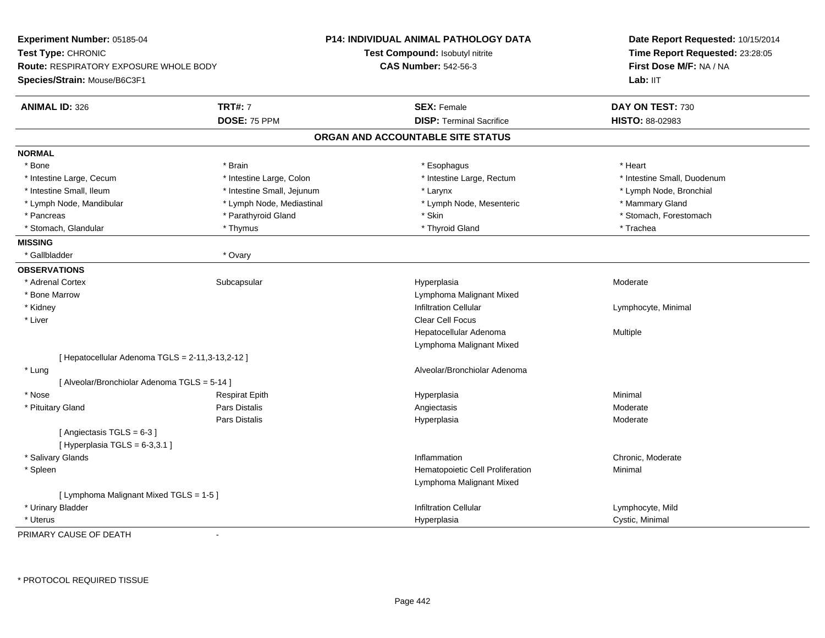| Experiment Number: 05185-04<br>Test Type: CHRONIC<br><b>Route: RESPIRATORY EXPOSURE WHOLE BODY</b><br>Species/Strain: Mouse/B6C3F1 |                            | <b>P14: INDIVIDUAL ANIMAL PATHOLOGY DATA</b><br>Test Compound: Isobutyl nitrite<br><b>CAS Number: 542-56-3</b> | Date Report Requested: 10/15/2014<br>Time Report Requested: 23:28:05<br>First Dose M/F: NA / NA<br>Lab: II <sub>T</sub> |
|------------------------------------------------------------------------------------------------------------------------------------|----------------------------|----------------------------------------------------------------------------------------------------------------|-------------------------------------------------------------------------------------------------------------------------|
| <b>ANIMAL ID: 326</b>                                                                                                              | <b>TRT#: 7</b>             | <b>SEX: Female</b>                                                                                             | DAY ON TEST: 730                                                                                                        |
|                                                                                                                                    | DOSE: 75 PPM               | <b>DISP: Terminal Sacrifice</b>                                                                                | HISTO: 88-02983                                                                                                         |
|                                                                                                                                    |                            | ORGAN AND ACCOUNTABLE SITE STATUS                                                                              |                                                                                                                         |
| <b>NORMAL</b>                                                                                                                      |                            |                                                                                                                |                                                                                                                         |
| * Bone                                                                                                                             | * Brain                    | * Esophagus                                                                                                    | * Heart                                                                                                                 |
| * Intestine Large, Cecum                                                                                                           | * Intestine Large, Colon   | * Intestine Large, Rectum                                                                                      | * Intestine Small, Duodenum                                                                                             |
| * Intestine Small, Ileum                                                                                                           | * Intestine Small, Jejunum | * Larynx                                                                                                       | * Lymph Node, Bronchial                                                                                                 |
| * Lymph Node, Mandibular                                                                                                           | * Lymph Node, Mediastinal  | * Lymph Node, Mesenteric                                                                                       | * Mammary Gland                                                                                                         |
| * Pancreas                                                                                                                         | * Parathyroid Gland        | * Skin                                                                                                         | * Stomach, Forestomach                                                                                                  |
| * Stomach, Glandular                                                                                                               | * Thymus                   | * Thyroid Gland                                                                                                | * Trachea                                                                                                               |
| <b>MISSING</b>                                                                                                                     |                            |                                                                                                                |                                                                                                                         |
| * Gallbladder                                                                                                                      | * Ovary                    |                                                                                                                |                                                                                                                         |
| <b>OBSERVATIONS</b>                                                                                                                |                            |                                                                                                                |                                                                                                                         |
| * Adrenal Cortex                                                                                                                   | Subcapsular                | Hyperplasia                                                                                                    | Moderate                                                                                                                |
| * Bone Marrow                                                                                                                      |                            | Lymphoma Malignant Mixed                                                                                       |                                                                                                                         |
| * Kidney                                                                                                                           |                            | <b>Infiltration Cellular</b>                                                                                   | Lymphocyte, Minimal                                                                                                     |
| * Liver                                                                                                                            |                            | Clear Cell Focus                                                                                               |                                                                                                                         |
|                                                                                                                                    |                            | Hepatocellular Adenoma                                                                                         | Multiple                                                                                                                |
|                                                                                                                                    |                            | Lymphoma Malignant Mixed                                                                                       |                                                                                                                         |
| [ Hepatocellular Adenoma TGLS = 2-11,3-13,2-12 ]                                                                                   |                            |                                                                                                                |                                                                                                                         |
| * Lung                                                                                                                             |                            | Alveolar/Bronchiolar Adenoma                                                                                   |                                                                                                                         |
| [ Alveolar/Bronchiolar Adenoma TGLS = 5-14 ]                                                                                       |                            |                                                                                                                |                                                                                                                         |
| * Nose                                                                                                                             | <b>Respirat Epith</b>      | Hyperplasia                                                                                                    | Minimal                                                                                                                 |
| * Pituitary Gland                                                                                                                  | Pars Distalis              | Angiectasis                                                                                                    | Moderate                                                                                                                |
|                                                                                                                                    | Pars Distalis              | Hyperplasia                                                                                                    | Moderate                                                                                                                |
| [Angiectasis TGLS = 6-3]                                                                                                           |                            |                                                                                                                |                                                                                                                         |
| [Hyperplasia TGLS = $6-3,3.1$ ]                                                                                                    |                            |                                                                                                                |                                                                                                                         |
| * Salivary Glands                                                                                                                  |                            | Inflammation                                                                                                   | Chronic, Moderate                                                                                                       |
| * Spleen                                                                                                                           |                            | Hematopoietic Cell Proliferation                                                                               | Minimal                                                                                                                 |
|                                                                                                                                    |                            | Lymphoma Malignant Mixed                                                                                       |                                                                                                                         |
| [ Lymphoma Malignant Mixed TGLS = 1-5 ]                                                                                            |                            |                                                                                                                |                                                                                                                         |
| * Urinary Bladder                                                                                                                  |                            | <b>Infiltration Cellular</b>                                                                                   | Lymphocyte, Mild                                                                                                        |
| * Uterus                                                                                                                           |                            | Hyperplasia                                                                                                    | Cystic, Minimal                                                                                                         |

PRIMARY CAUSE OF DEATH-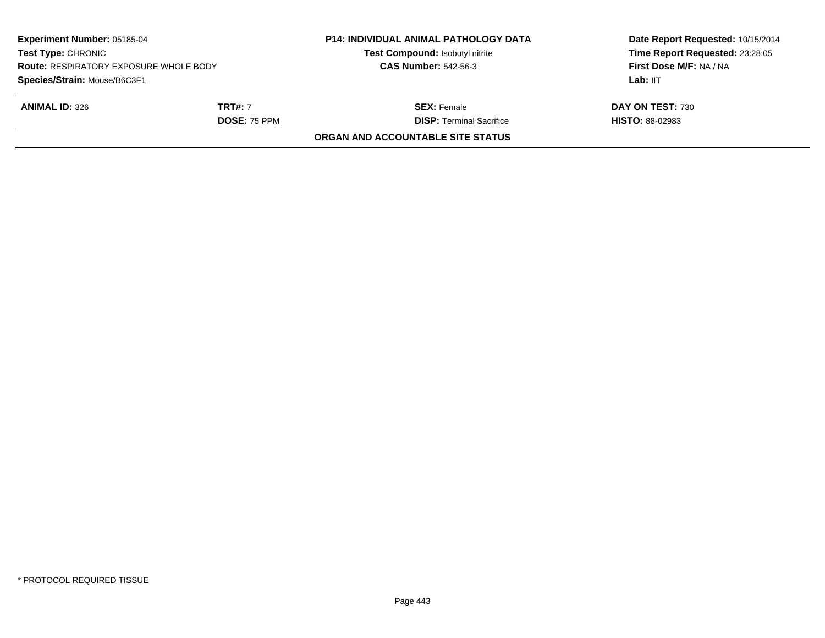| <b>Experiment Number: 05185-04</b><br><b>Test Type: CHRONIC</b><br><b>Route: RESPIRATORY EXPOSURE WHOLE BODY</b><br>Species/Strain: Mouse/B6C3F1 |                     | <b>P14: INDIVIDUAL ANIMAL PATHOLOGY DATA</b><br>Test Compound: Isobutyl nitrite<br><b>CAS Number: 542-56-3</b> | Date Report Requested: 10/15/2014<br>Time Report Requested: 23:28:05<br>First Dose M/F: NA / NA |
|--------------------------------------------------------------------------------------------------------------------------------------------------|---------------------|----------------------------------------------------------------------------------------------------------------|-------------------------------------------------------------------------------------------------|
|                                                                                                                                                  |                     |                                                                                                                | Lab: IIT                                                                                        |
| <b>ANIMAL ID: 326</b>                                                                                                                            | <b>TRT#:</b> 7      | <b>SEX:</b> Female                                                                                             | DAY ON TEST: 730                                                                                |
|                                                                                                                                                  | <b>DOSE: 75 PPM</b> | <b>DISP: Terminal Sacrifice</b>                                                                                | <b>HISTO: 88-02983</b>                                                                          |
|                                                                                                                                                  |                     | ORGAN AND ACCOUNTABLE SITE STATUS                                                                              |                                                                                                 |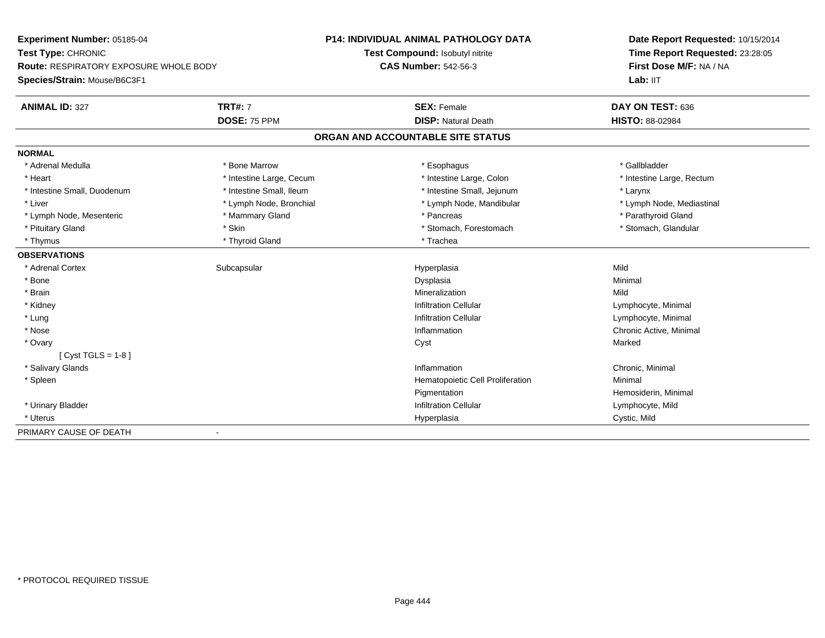| Experiment Number: 05185-04            |                          | <b>P14: INDIVIDUAL ANIMAL PATHOLOGY DATA</b> | Date Report Requested: 10/15/2014<br>Time Report Requested: 23:28:05 |
|----------------------------------------|--------------------------|----------------------------------------------|----------------------------------------------------------------------|
| Test Type: CHRONIC                     |                          | Test Compound: Isobutyl nitrite              |                                                                      |
| Route: RESPIRATORY EXPOSURE WHOLE BODY |                          | <b>CAS Number: 542-56-3</b>                  | First Dose M/F: NA / NA                                              |
| Species/Strain: Mouse/B6C3F1           |                          |                                              | Lab: IIT                                                             |
| <b>ANIMAL ID: 327</b>                  | <b>TRT#: 7</b>           | <b>SEX: Female</b>                           | DAY ON TEST: 636                                                     |
|                                        | DOSE: 75 PPM             | <b>DISP: Natural Death</b>                   | <b>HISTO: 88-02984</b>                                               |
|                                        |                          | ORGAN AND ACCOUNTABLE SITE STATUS            |                                                                      |
| <b>NORMAL</b>                          |                          |                                              |                                                                      |
| * Adrenal Medulla                      | * Bone Marrow            | * Esophagus                                  | * Gallbladder                                                        |
| * Heart                                | * Intestine Large, Cecum | * Intestine Large, Colon                     | * Intestine Large, Rectum                                            |
| * Intestine Small, Duodenum            | * Intestine Small, Ileum | * Intestine Small, Jejunum                   | * Larynx                                                             |
| * Liver                                | * Lymph Node, Bronchial  | * Lymph Node, Mandibular                     | * Lymph Node, Mediastinal                                            |
| * Lymph Node, Mesenteric               | * Mammary Gland          | * Pancreas                                   | * Parathyroid Gland                                                  |
| * Pituitary Gland                      | * Skin                   | * Stomach, Forestomach                       | * Stomach, Glandular                                                 |
| * Thymus                               | * Thyroid Gland          | * Trachea                                    |                                                                      |
| <b>OBSERVATIONS</b>                    |                          |                                              |                                                                      |
| * Adrenal Cortex                       | Subcapsular              | Hyperplasia                                  | Mild                                                                 |
| * Bone                                 |                          | Dysplasia                                    | Minimal                                                              |
| * Brain                                |                          | Mineralization                               | Mild                                                                 |
| * Kidney                               |                          | <b>Infiltration Cellular</b>                 | Lymphocyte, Minimal                                                  |
| * Lung                                 |                          | <b>Infiltration Cellular</b>                 | Lymphocyte, Minimal                                                  |
| * Nose                                 |                          | Inflammation                                 | Chronic Active, Minimal                                              |
| * Ovary                                |                          | Cyst                                         | Marked                                                               |
| $[Cyst TGLS = 1-8]$                    |                          |                                              |                                                                      |
| * Salivary Glands                      |                          | Inflammation                                 | Chronic, Minimal                                                     |
| * Spleen                               |                          | Hematopoietic Cell Proliferation             | Minimal                                                              |
|                                        |                          | Pigmentation                                 | Hemosiderin, Minimal                                                 |
| * Urinary Bladder                      |                          | <b>Infiltration Cellular</b>                 | Lymphocyte, Mild                                                     |
| * Uterus                               |                          | Hyperplasia                                  | Cystic, Mild                                                         |
| PRIMARY CAUSE OF DEATH                 | $\blacksquare$           |                                              |                                                                      |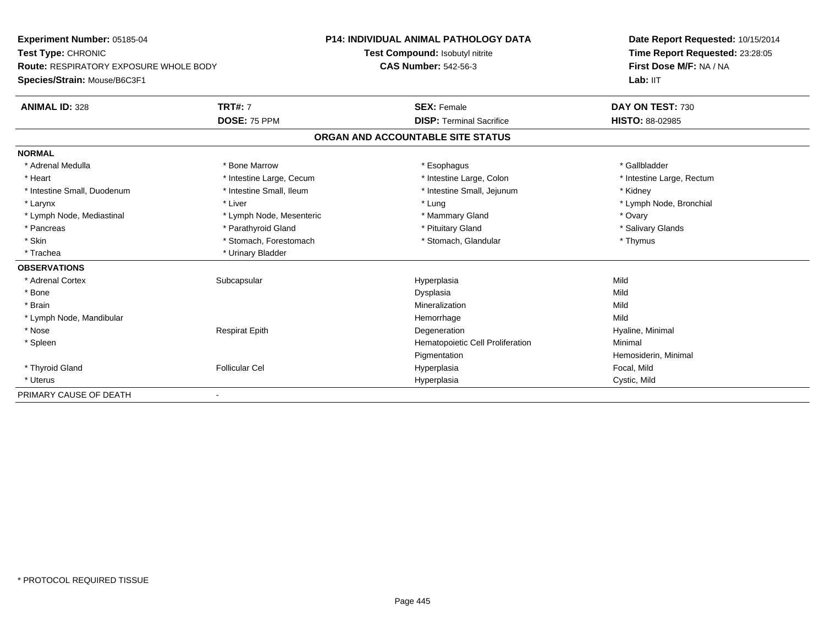| Experiment Number: 05185-04                   |                          | <b>P14: INDIVIDUAL ANIMAL PATHOLOGY DATA</b> | Date Report Requested: 10/15/2014 |
|-----------------------------------------------|--------------------------|----------------------------------------------|-----------------------------------|
| Test Type: CHRONIC                            |                          | Test Compound: Isobutyl nitrite              | Time Report Requested: 23:28:05   |
| <b>Route: RESPIRATORY EXPOSURE WHOLE BODY</b> |                          | <b>CAS Number: 542-56-3</b>                  | First Dose M/F: NA / NA           |
| Species/Strain: Mouse/B6C3F1                  |                          |                                              | Lab: IIT                          |
| <b>ANIMAL ID: 328</b>                         | <b>TRT#: 7</b>           | <b>SEX: Female</b>                           | DAY ON TEST: 730                  |
|                                               | DOSE: 75 PPM             | <b>DISP: Terminal Sacrifice</b>              | HISTO: 88-02985                   |
|                                               |                          | ORGAN AND ACCOUNTABLE SITE STATUS            |                                   |
| <b>NORMAL</b>                                 |                          |                                              |                                   |
| * Adrenal Medulla                             | * Bone Marrow            | * Esophagus                                  | * Gallbladder                     |
| * Heart                                       | * Intestine Large, Cecum | * Intestine Large, Colon                     | * Intestine Large, Rectum         |
| * Intestine Small, Duodenum                   | * Intestine Small, Ileum | * Intestine Small, Jejunum                   | * Kidney                          |
| * Larynx                                      | * Liver                  | * Lung                                       | * Lymph Node, Bronchial           |
| * Lymph Node, Mediastinal                     | * Lymph Node, Mesenteric | * Mammary Gland                              | * Ovary                           |
| * Pancreas                                    | * Parathyroid Gland      | * Pituitary Gland                            | * Salivary Glands                 |
| * Skin                                        | * Stomach, Forestomach   | * Stomach, Glandular                         | * Thymus                          |
| * Trachea                                     | * Urinary Bladder        |                                              |                                   |
| <b>OBSERVATIONS</b>                           |                          |                                              |                                   |
| * Adrenal Cortex                              | Subcapsular              | Hyperplasia                                  | Mild                              |
| * Bone                                        |                          | Dysplasia                                    | Mild                              |
| * Brain                                       |                          | Mineralization                               | Mild                              |
| * Lymph Node, Mandibular                      |                          | Hemorrhage                                   | Mild                              |
| * Nose                                        | <b>Respirat Epith</b>    | Degeneration                                 | Hyaline, Minimal                  |
| * Spleen                                      |                          | Hematopoietic Cell Proliferation             | Minimal                           |
|                                               |                          | Pigmentation                                 | Hemosiderin, Minimal              |
| * Thyroid Gland                               | <b>Follicular Cel</b>    | Hyperplasia                                  | Focal, Mild                       |
| * Uterus                                      |                          | Hyperplasia                                  | Cystic, Mild                      |
| PRIMARY CAUSE OF DEATH                        |                          |                                              |                                   |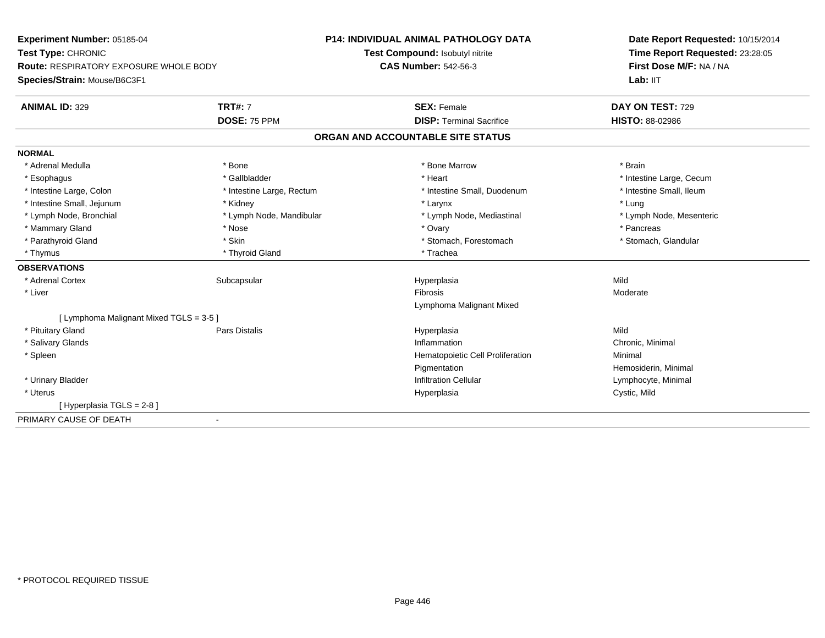| Experiment Number: 05185-04                   |                           | <b>P14: INDIVIDUAL ANIMAL PATHOLOGY DATA</b> | Date Report Requested: 10/15/2014 |
|-----------------------------------------------|---------------------------|----------------------------------------------|-----------------------------------|
| Test Type: CHRONIC                            |                           | Test Compound: Isobutyl nitrite              | Time Report Requested: 23:28:05   |
| <b>Route: RESPIRATORY EXPOSURE WHOLE BODY</b> |                           | <b>CAS Number: 542-56-3</b>                  | First Dose M/F: NA / NA           |
| Species/Strain: Mouse/B6C3F1                  |                           |                                              | Lab: IIT                          |
| <b>ANIMAL ID: 329</b>                         | <b>TRT#: 7</b>            | <b>SEX: Female</b>                           | DAY ON TEST: 729                  |
|                                               | DOSE: 75 PPM              | <b>DISP: Terminal Sacrifice</b>              | HISTO: 88-02986                   |
|                                               |                           | ORGAN AND ACCOUNTABLE SITE STATUS            |                                   |
| <b>NORMAL</b>                                 |                           |                                              |                                   |
| * Adrenal Medulla                             | * Bone                    | * Bone Marrow                                | * Brain                           |
| * Esophagus                                   | * Gallbladder             | * Heart                                      | * Intestine Large, Cecum          |
| * Intestine Large, Colon                      | * Intestine Large, Rectum | * Intestine Small, Duodenum                  | * Intestine Small, Ileum          |
| * Intestine Small, Jejunum                    | * Kidney                  | * Larynx                                     | * Lung                            |
| * Lymph Node, Bronchial                       | * Lymph Node, Mandibular  | * Lymph Node, Mediastinal                    | * Lymph Node, Mesenteric          |
| * Mammary Gland                               | * Nose                    | * Ovary                                      | * Pancreas                        |
| * Parathyroid Gland                           | * Skin                    | * Stomach, Forestomach                       | * Stomach, Glandular              |
| * Thymus                                      | * Thyroid Gland           | * Trachea                                    |                                   |
| <b>OBSERVATIONS</b>                           |                           |                                              |                                   |
| * Adrenal Cortex                              | Subcapsular               | Hyperplasia                                  | Mild                              |
| * Liver                                       |                           | <b>Fibrosis</b>                              | Moderate                          |
|                                               |                           | Lymphoma Malignant Mixed                     |                                   |
| [ Lymphoma Malignant Mixed TGLS = 3-5 ]       |                           |                                              |                                   |
| * Pituitary Gland                             | <b>Pars Distalis</b>      | Hyperplasia                                  | Mild                              |
| * Salivary Glands                             |                           | Inflammation                                 | Chronic, Minimal                  |
| * Spleen                                      |                           | Hematopoietic Cell Proliferation             | Minimal                           |
|                                               |                           | Pigmentation                                 | Hemosiderin, Minimal              |
| * Urinary Bladder                             |                           | <b>Infiltration Cellular</b>                 | Lymphocyte, Minimal               |
| * Uterus                                      |                           | Hyperplasia                                  | Cystic, Mild                      |
| [Hyperplasia TGLS = 2-8]                      |                           |                                              |                                   |
| PRIMARY CAUSE OF DEATH                        | $\blacksquare$            |                                              |                                   |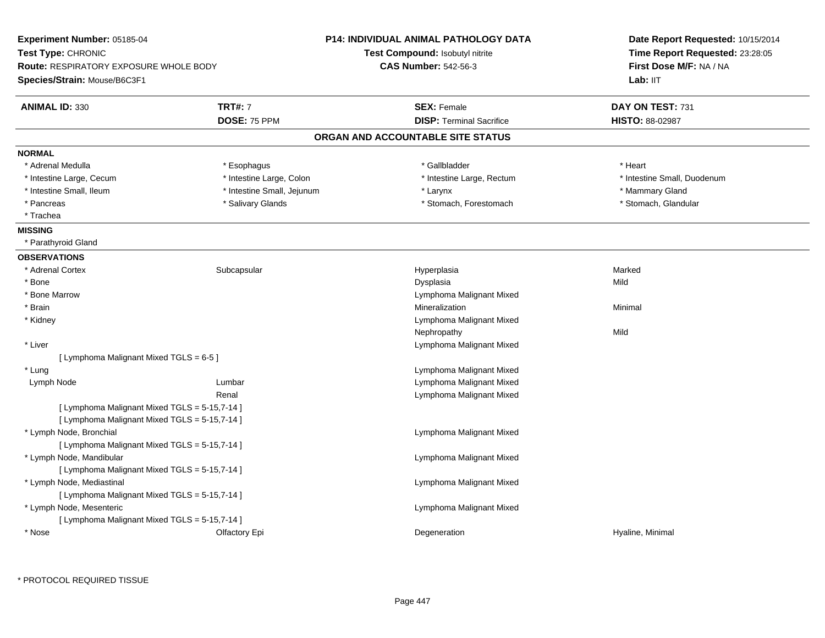| Experiment Number: 05185-04<br>Test Type: CHRONIC |                            | <b>P14: INDIVIDUAL ANIMAL PATHOLOGY DATA</b> | Date Report Requested: 10/15/2014<br>Time Report Requested: 23:28:05 |
|---------------------------------------------------|----------------------------|----------------------------------------------|----------------------------------------------------------------------|
|                                                   |                            | Test Compound: Isobutyl nitrite              |                                                                      |
| <b>Route: RESPIRATORY EXPOSURE WHOLE BODY</b>     |                            | <b>CAS Number: 542-56-3</b>                  | First Dose M/F: NA / NA                                              |
| Species/Strain: Mouse/B6C3F1                      |                            |                                              | Lab: IIT                                                             |
| <b>ANIMAL ID: 330</b>                             | <b>TRT#: 7</b>             | <b>SEX: Female</b>                           | DAY ON TEST: 731                                                     |
|                                                   | DOSE: 75 PPM               | <b>DISP: Terminal Sacrifice</b>              | HISTO: 88-02987                                                      |
|                                                   |                            | ORGAN AND ACCOUNTABLE SITE STATUS            |                                                                      |
| <b>NORMAL</b>                                     |                            |                                              |                                                                      |
| * Adrenal Medulla                                 | * Esophagus                | * Gallbladder                                | * Heart                                                              |
| * Intestine Large, Cecum                          | * Intestine Large, Colon   | * Intestine Large, Rectum                    | * Intestine Small, Duodenum                                          |
| * Intestine Small, Ileum                          | * Intestine Small, Jejunum | * Larynx                                     | * Mammary Gland                                                      |
| * Pancreas                                        | * Salivary Glands          | * Stomach, Forestomach                       | * Stomach, Glandular                                                 |
| * Trachea                                         |                            |                                              |                                                                      |
| <b>MISSING</b>                                    |                            |                                              |                                                                      |
| * Parathyroid Gland                               |                            |                                              |                                                                      |
| <b>OBSERVATIONS</b>                               |                            |                                              |                                                                      |
| * Adrenal Cortex                                  | Subcapsular                | Hyperplasia                                  | Marked                                                               |
| * Bone                                            |                            | Dysplasia                                    | Mild                                                                 |
| * Bone Marrow                                     |                            | Lymphoma Malignant Mixed                     |                                                                      |
| * Brain                                           |                            | Mineralization                               | Minimal                                                              |
| * Kidney                                          |                            | Lymphoma Malignant Mixed                     |                                                                      |
|                                                   |                            | Nephropathy                                  | Mild                                                                 |
| * Liver                                           |                            | Lymphoma Malignant Mixed                     |                                                                      |
| [ Lymphoma Malignant Mixed TGLS = 6-5 ]           |                            |                                              |                                                                      |
| * Lung                                            |                            | Lymphoma Malignant Mixed                     |                                                                      |
| Lymph Node                                        | Lumbar                     | Lymphoma Malignant Mixed                     |                                                                      |
|                                                   | Renal                      | Lymphoma Malignant Mixed                     |                                                                      |
| [ Lymphoma Malignant Mixed TGLS = 5-15,7-14 ]     |                            |                                              |                                                                      |
| [ Lymphoma Malignant Mixed TGLS = 5-15,7-14 ]     |                            |                                              |                                                                      |
| * Lymph Node, Bronchial                           |                            | Lymphoma Malignant Mixed                     |                                                                      |
| [ Lymphoma Malignant Mixed TGLS = 5-15,7-14 ]     |                            |                                              |                                                                      |
| * Lymph Node, Mandibular                          |                            | Lymphoma Malignant Mixed                     |                                                                      |
| [ Lymphoma Malignant Mixed TGLS = 5-15,7-14 ]     |                            |                                              |                                                                      |
| * Lymph Node, Mediastinal                         |                            | Lymphoma Malignant Mixed                     |                                                                      |
| [ Lymphoma Malignant Mixed TGLS = 5-15,7-14 ]     |                            |                                              |                                                                      |
| * Lymph Node, Mesenteric                          |                            | Lymphoma Malignant Mixed                     |                                                                      |
| [ Lymphoma Malignant Mixed TGLS = 5-15,7-14 ]     |                            |                                              |                                                                      |
| * Nose                                            | Olfactory Epi              | Degeneration                                 | Hyaline, Minimal                                                     |

\* PROTOCOL REQUIRED TISSUE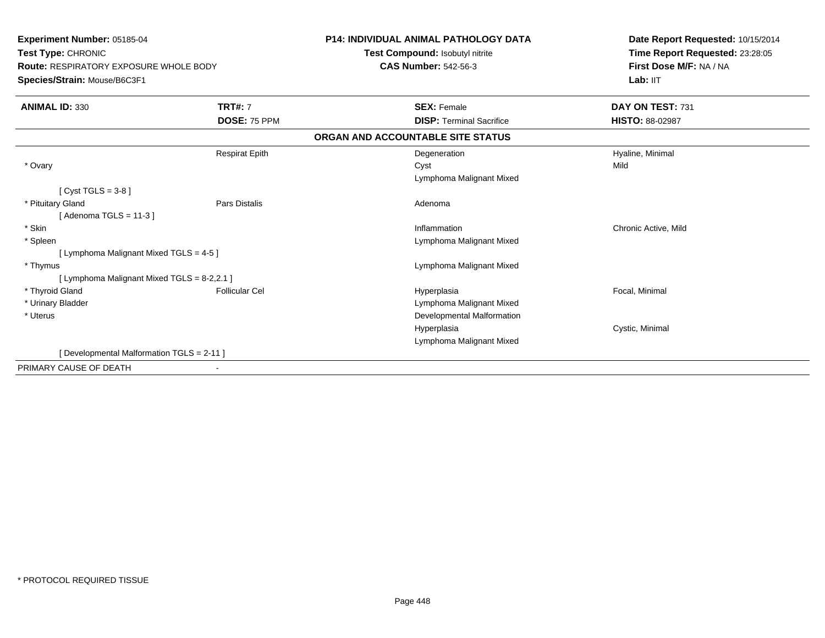| <b>Experiment Number: 05185-04</b><br>Test Type: CHRONIC<br><b>Route: RESPIRATORY EXPOSURE WHOLE BODY</b><br>Species/Strain: Mouse/B6C3F1 |                       | <b>P14: INDIVIDUAL ANIMAL PATHOLOGY DATA</b><br>Test Compound: Isobutyl nitrite<br><b>CAS Number: 542-56-3</b> | Date Report Requested: 10/15/2014<br>Time Report Requested: 23:28:05<br>First Dose M/F: NA / NA<br>Lab: IIT |
|-------------------------------------------------------------------------------------------------------------------------------------------|-----------------------|----------------------------------------------------------------------------------------------------------------|-------------------------------------------------------------------------------------------------------------|
| <b>ANIMAL ID: 330</b>                                                                                                                     | <b>TRT#: 7</b>        | <b>SEX: Female</b>                                                                                             | DAY ON TEST: 731                                                                                            |
|                                                                                                                                           | DOSE: 75 PPM          | <b>DISP: Terminal Sacrifice</b>                                                                                | HISTO: 88-02987                                                                                             |
|                                                                                                                                           |                       | ORGAN AND ACCOUNTABLE SITE STATUS                                                                              |                                                                                                             |
|                                                                                                                                           | <b>Respirat Epith</b> | Degeneration                                                                                                   | Hyaline, Minimal                                                                                            |
| * Ovary                                                                                                                                   |                       | Cyst                                                                                                           | Mild                                                                                                        |
|                                                                                                                                           |                       | Lymphoma Malignant Mixed                                                                                       |                                                                                                             |
| [ Cyst TGLS = $3-8$ ]                                                                                                                     |                       |                                                                                                                |                                                                                                             |
| * Pituitary Gland                                                                                                                         | <b>Pars Distalis</b>  | Adenoma                                                                                                        |                                                                                                             |
| [Adenoma TGLS = $11-3$ ]                                                                                                                  |                       |                                                                                                                |                                                                                                             |
| * Skin                                                                                                                                    |                       | Inflammation                                                                                                   | Chronic Active, Mild                                                                                        |
| * Spleen                                                                                                                                  |                       | Lymphoma Malignant Mixed                                                                                       |                                                                                                             |
| [ Lymphoma Malignant Mixed TGLS = 4-5 ]                                                                                                   |                       |                                                                                                                |                                                                                                             |
| * Thymus                                                                                                                                  |                       | Lymphoma Malignant Mixed                                                                                       |                                                                                                             |
| [ Lymphoma Malignant Mixed TGLS = 8-2,2.1 ]                                                                                               |                       |                                                                                                                |                                                                                                             |
| * Thyroid Gland                                                                                                                           | <b>Follicular Cel</b> | Hyperplasia                                                                                                    | Focal, Minimal                                                                                              |
| * Urinary Bladder                                                                                                                         |                       | Lymphoma Malignant Mixed                                                                                       |                                                                                                             |
| * Uterus                                                                                                                                  |                       | Developmental Malformation                                                                                     |                                                                                                             |
|                                                                                                                                           |                       | Hyperplasia                                                                                                    | Cystic, Minimal                                                                                             |
|                                                                                                                                           |                       | Lymphoma Malignant Mixed                                                                                       |                                                                                                             |
| [Developmental Malformation TGLS = 2-11]                                                                                                  |                       |                                                                                                                |                                                                                                             |
| PRIMARY CAUSE OF DEATH                                                                                                                    |                       |                                                                                                                |                                                                                                             |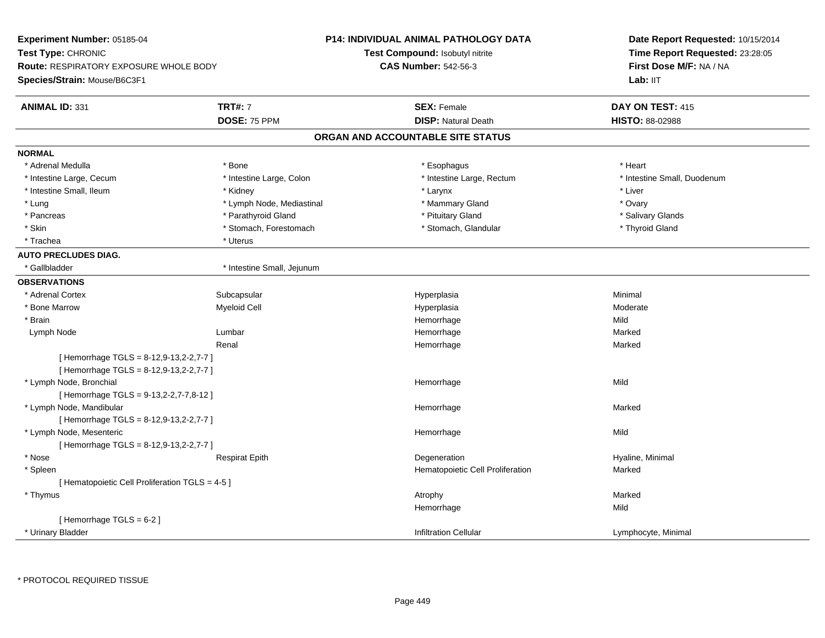| Experiment Number: 05185-04<br>Test Type: CHRONIC<br><b>Route: RESPIRATORY EXPOSURE WHOLE BODY</b><br>Species/Strain: Mouse/B6C3F1 |                                       | P14: INDIVIDUAL ANIMAL PATHOLOGY DATA<br>Test Compound: Isobutyl nitrite<br><b>CAS Number: 542-56-3</b> | Date Report Requested: 10/15/2014<br>Time Report Requested: 23:28:05<br>First Dose M/F: NA / NA<br>Lab: IIT |
|------------------------------------------------------------------------------------------------------------------------------------|---------------------------------------|---------------------------------------------------------------------------------------------------------|-------------------------------------------------------------------------------------------------------------|
| <b>ANIMAL ID: 331</b>                                                                                                              | <b>TRT#: 7</b><br>DOSE: 75 PPM        | <b>SEX: Female</b><br><b>DISP: Natural Death</b>                                                        | DAY ON TEST: 415<br><b>HISTO: 88-02988</b>                                                                  |
|                                                                                                                                    |                                       | ORGAN AND ACCOUNTABLE SITE STATUS                                                                       |                                                                                                             |
|                                                                                                                                    |                                       |                                                                                                         |                                                                                                             |
| <b>NORMAL</b>                                                                                                                      |                                       |                                                                                                         |                                                                                                             |
| * Adrenal Medulla                                                                                                                  | * Bone                                | * Esophagus                                                                                             | * Heart                                                                                                     |
| * Intestine Large, Cecum<br>* Intestine Small, Ileum                                                                               | * Intestine Large, Colon              | * Intestine Large, Rectum                                                                               | * Intestine Small, Duodenum<br>* Liver                                                                      |
| * Lung                                                                                                                             | * Kidney<br>* Lymph Node, Mediastinal | * Larynx<br>* Mammary Gland                                                                             | * Ovary                                                                                                     |
| * Pancreas                                                                                                                         | * Parathyroid Gland                   | * Pituitary Gland                                                                                       | * Salivary Glands                                                                                           |
| * Skin                                                                                                                             | * Stomach, Forestomach                | * Stomach, Glandular                                                                                    | * Thyroid Gland                                                                                             |
| * Trachea                                                                                                                          | * Uterus                              |                                                                                                         |                                                                                                             |
| <b>AUTO PRECLUDES DIAG.</b>                                                                                                        |                                       |                                                                                                         |                                                                                                             |
| * Gallbladder                                                                                                                      | * Intestine Small, Jejunum            |                                                                                                         |                                                                                                             |
| <b>OBSERVATIONS</b>                                                                                                                |                                       |                                                                                                         |                                                                                                             |
| * Adrenal Cortex                                                                                                                   | Subcapsular                           | Hyperplasia                                                                                             | Minimal                                                                                                     |
| * Bone Marrow                                                                                                                      | <b>Myeloid Cell</b>                   | Hyperplasia                                                                                             | Moderate                                                                                                    |
| * Brain                                                                                                                            |                                       | Hemorrhage                                                                                              | Mild                                                                                                        |
| Lymph Node                                                                                                                         | Lumbar                                | Hemorrhage                                                                                              | Marked                                                                                                      |
|                                                                                                                                    | Renal                                 | Hemorrhage                                                                                              | Marked                                                                                                      |
| [Hemorrhage TGLS = 8-12,9-13,2-2,7-7]<br>[Hemorrhage TGLS = 8-12,9-13,2-2,7-7]                                                     |                                       |                                                                                                         |                                                                                                             |
| * Lymph Node, Bronchial<br>[Hemorrhage TGLS = 9-13,2-2,7-7,8-12]                                                                   |                                       | Hemorrhage                                                                                              | Mild                                                                                                        |
| * Lymph Node, Mandibular                                                                                                           |                                       | Hemorrhage                                                                                              | Marked                                                                                                      |
| [Hemorrhage TGLS = 8-12,9-13,2-2,7-7]                                                                                              |                                       |                                                                                                         |                                                                                                             |
| * Lymph Node, Mesenteric                                                                                                           |                                       | Hemorrhage                                                                                              | Mild                                                                                                        |
| [Hemorrhage TGLS = 8-12,9-13,2-2,7-7]                                                                                              |                                       |                                                                                                         |                                                                                                             |
| * Nose                                                                                                                             | <b>Respirat Epith</b>                 | Degeneration                                                                                            | Hyaline, Minimal                                                                                            |
| * Spleen                                                                                                                           |                                       | Hematopoietic Cell Proliferation                                                                        | Marked                                                                                                      |
| [ Hematopoietic Cell Proliferation TGLS = 4-5 ]                                                                                    |                                       |                                                                                                         |                                                                                                             |
| * Thymus                                                                                                                           |                                       | Atrophy                                                                                                 | Marked                                                                                                      |
|                                                                                                                                    |                                       | Hemorrhage                                                                                              | Mild                                                                                                        |
| [Hemorrhage TGLS = 6-2]                                                                                                            |                                       |                                                                                                         |                                                                                                             |
| * Urinary Bladder                                                                                                                  |                                       | <b>Infiltration Cellular</b>                                                                            | Lymphocyte, Minimal                                                                                         |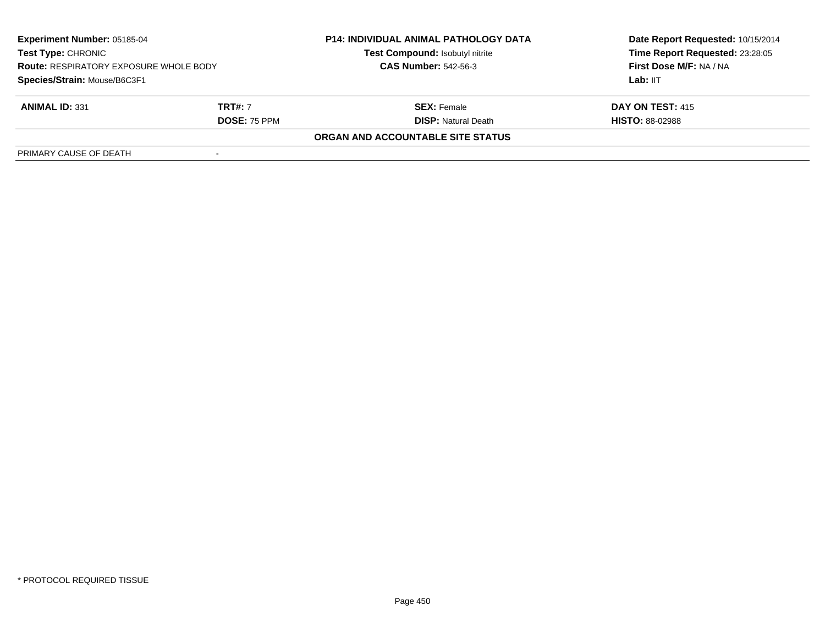| <b>Experiment Number: 05185-04</b><br><b>Test Type: CHRONIC</b><br><b>Route: RESPIRATORY EXPOSURE WHOLE BODY</b><br>Species/Strain: Mouse/B6C3F1 |                     | <b>P14: INDIVIDUAL ANIMAL PATHOLOGY DATA</b><br>Test Compound: Isobutyl nitrite | Date Report Requested: 10/15/2014<br>Time Report Requested: 23:28:05<br>First Dose M/F: NA / NA<br>Lab: IIT |
|--------------------------------------------------------------------------------------------------------------------------------------------------|---------------------|---------------------------------------------------------------------------------|-------------------------------------------------------------------------------------------------------------|
|                                                                                                                                                  |                     | <b>CAS Number: 542-56-3</b>                                                     |                                                                                                             |
|                                                                                                                                                  |                     |                                                                                 |                                                                                                             |
| <b>ANIMAL ID: 331</b>                                                                                                                            | <b>TRT#: 7</b>      | <b>SEX:</b> Female                                                              | DAY ON TEST: 415                                                                                            |
|                                                                                                                                                  | <b>DOSE: 75 PPM</b> | <b>DISP:</b> Natural Death                                                      | <b>HISTO: 88-02988</b>                                                                                      |
|                                                                                                                                                  |                     | ORGAN AND ACCOUNTABLE SITE STATUS                                               |                                                                                                             |
| PRIMARY CAUSE OF DEATH                                                                                                                           |                     |                                                                                 |                                                                                                             |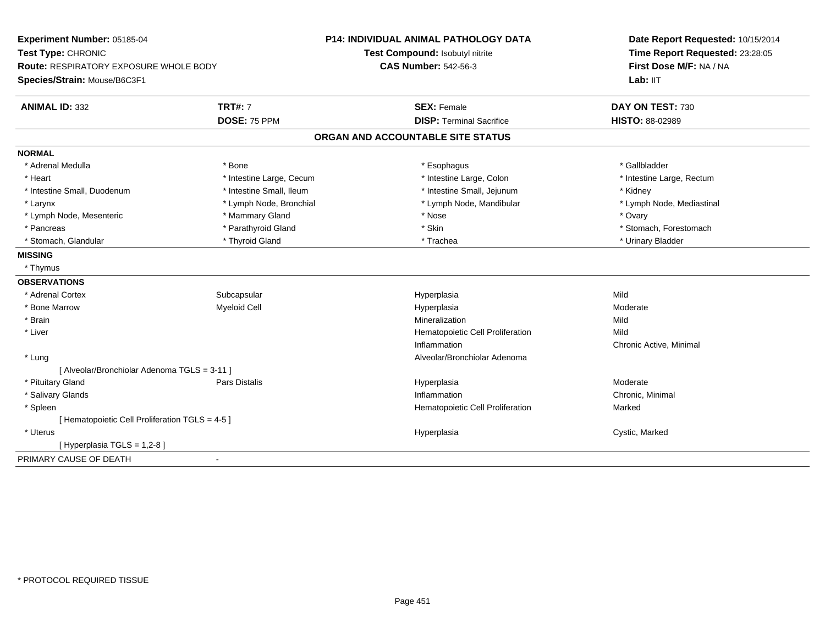| Experiment Number: 05185-04<br>Test Type: CHRONIC<br><b>Route: RESPIRATORY EXPOSURE WHOLE BODY</b> |                          | <b>P14: INDIVIDUAL ANIMAL PATHOLOGY DATA</b> | Date Report Requested: 10/15/2014<br>Time Report Requested: 23:28:05<br>First Dose M/F: NA / NA |
|----------------------------------------------------------------------------------------------------|--------------------------|----------------------------------------------|-------------------------------------------------------------------------------------------------|
|                                                                                                    |                          | Test Compound: Isobutyl nitrite              |                                                                                                 |
|                                                                                                    |                          | <b>CAS Number: 542-56-3</b>                  |                                                                                                 |
| Species/Strain: Mouse/B6C3F1                                                                       |                          |                                              | Lab: IIT                                                                                        |
| <b>ANIMAL ID: 332</b>                                                                              | <b>TRT#: 7</b>           | <b>SEX: Female</b>                           | DAY ON TEST: 730                                                                                |
|                                                                                                    | DOSE: 75 PPM             | <b>DISP: Terminal Sacrifice</b>              | HISTO: 88-02989                                                                                 |
|                                                                                                    |                          | ORGAN AND ACCOUNTABLE SITE STATUS            |                                                                                                 |
| <b>NORMAL</b>                                                                                      |                          |                                              |                                                                                                 |
| * Adrenal Medulla                                                                                  | * Bone                   | * Esophagus                                  | * Gallbladder                                                                                   |
| * Heart                                                                                            | * Intestine Large, Cecum | * Intestine Large, Colon                     | * Intestine Large, Rectum                                                                       |
| * Intestine Small, Duodenum                                                                        | * Intestine Small, Ileum | * Intestine Small, Jejunum                   | * Kidney                                                                                        |
| * Larynx                                                                                           | * Lymph Node, Bronchial  | * Lymph Node, Mandibular                     | * Lymph Node, Mediastinal                                                                       |
| * Lymph Node, Mesenteric                                                                           | * Mammary Gland          | * Nose                                       | * Ovary                                                                                         |
| * Pancreas                                                                                         | * Parathyroid Gland      | * Skin                                       | * Stomach, Forestomach                                                                          |
| * Stomach, Glandular                                                                               | * Thyroid Gland          | * Trachea                                    | * Urinary Bladder                                                                               |
| <b>MISSING</b>                                                                                     |                          |                                              |                                                                                                 |
| * Thymus                                                                                           |                          |                                              |                                                                                                 |
| <b>OBSERVATIONS</b>                                                                                |                          |                                              |                                                                                                 |
| * Adrenal Cortex                                                                                   | Subcapsular              | Hyperplasia                                  | Mild                                                                                            |
| * Bone Marrow                                                                                      | <b>Myeloid Cell</b>      | Hyperplasia                                  | Moderate                                                                                        |
| * Brain                                                                                            |                          | Mineralization                               | Mild                                                                                            |
| * Liver                                                                                            |                          | Hematopoietic Cell Proliferation             | Mild                                                                                            |
|                                                                                                    |                          | Inflammation                                 | Chronic Active, Minimal                                                                         |
| * Lung                                                                                             |                          | Alveolar/Bronchiolar Adenoma                 |                                                                                                 |
| [ Alveolar/Bronchiolar Adenoma TGLS = 3-11 ]                                                       |                          |                                              |                                                                                                 |
| * Pituitary Gland                                                                                  | <b>Pars Distalis</b>     | Hyperplasia                                  | Moderate                                                                                        |
| * Salivary Glands                                                                                  |                          | Inflammation                                 | Chronic, Minimal                                                                                |
| * Spleen                                                                                           |                          | Hematopoietic Cell Proliferation             | Marked                                                                                          |
| [ Hematopoietic Cell Proliferation TGLS = 4-5 ]                                                    |                          |                                              |                                                                                                 |
| * Uterus                                                                                           |                          | Hyperplasia                                  | Cystic, Marked                                                                                  |
| [Hyperplasia TGLS = 1,2-8]                                                                         |                          |                                              |                                                                                                 |
| PRIMARY CAUSE OF DEATH                                                                             | $\blacksquare$           |                                              |                                                                                                 |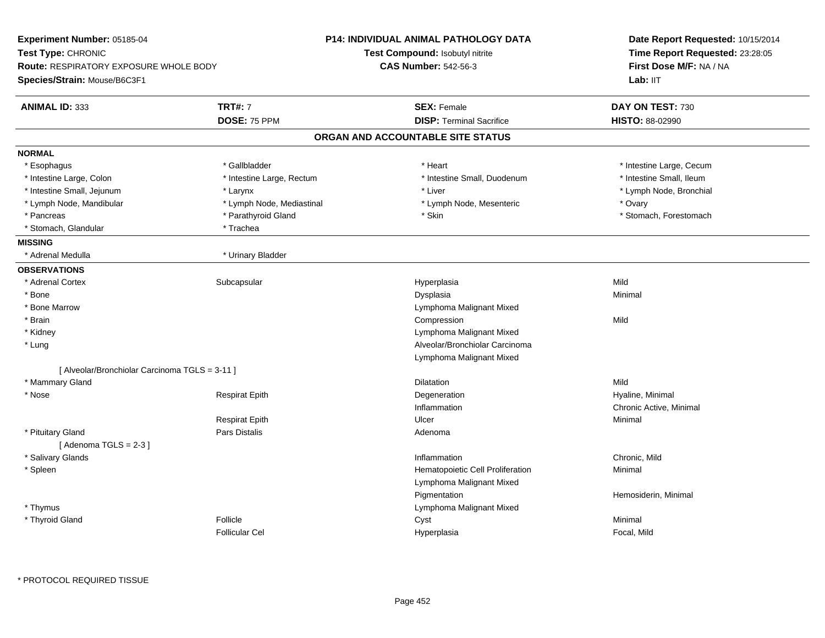| <b>Experiment Number: 05185-04</b>             |                           | <b>P14: INDIVIDUAL ANIMAL PATHOLOGY DATA</b> | Date Report Requested: 10/15/2014<br>Time Report Requested: 23:28:05 |  |
|------------------------------------------------|---------------------------|----------------------------------------------|----------------------------------------------------------------------|--|
| Test Type: CHRONIC                             |                           | <b>Test Compound: Isobutyl nitrite</b>       |                                                                      |  |
| <b>Route: RESPIRATORY EXPOSURE WHOLE BODY</b>  |                           | <b>CAS Number: 542-56-3</b>                  | First Dose M/F: NA / NA<br>Lab: IIT                                  |  |
| Species/Strain: Mouse/B6C3F1                   |                           |                                              |                                                                      |  |
| <b>ANIMAL ID: 333</b>                          | <b>TRT#: 7</b>            | <b>SEX: Female</b>                           | DAY ON TEST: 730                                                     |  |
|                                                | DOSE: 75 PPM              | <b>DISP: Terminal Sacrifice</b>              | HISTO: 88-02990                                                      |  |
|                                                |                           | ORGAN AND ACCOUNTABLE SITE STATUS            |                                                                      |  |
| <b>NORMAL</b>                                  |                           |                                              |                                                                      |  |
| * Esophagus                                    | * Gallbladder             | * Heart                                      | * Intestine Large, Cecum                                             |  |
| * Intestine Large, Colon                       | * Intestine Large, Rectum | * Intestine Small, Duodenum                  | * Intestine Small, Ileum                                             |  |
| * Intestine Small, Jejunum                     | * Larynx                  | * Liver                                      | * Lymph Node, Bronchial                                              |  |
| * Lymph Node, Mandibular                       | * Lymph Node, Mediastinal | * Lymph Node, Mesenteric                     | * Ovary                                                              |  |
| * Pancreas                                     | * Parathyroid Gland       | * Skin                                       | * Stomach, Forestomach                                               |  |
| * Stomach, Glandular                           | * Trachea                 |                                              |                                                                      |  |
| <b>MISSING</b>                                 |                           |                                              |                                                                      |  |
| * Adrenal Medulla                              | * Urinary Bladder         |                                              |                                                                      |  |
| <b>OBSERVATIONS</b>                            |                           |                                              |                                                                      |  |
| * Adrenal Cortex                               | Subcapsular               | Hyperplasia                                  | Mild                                                                 |  |
| * Bone                                         |                           | Dysplasia                                    | Minimal                                                              |  |
| * Bone Marrow                                  |                           | Lymphoma Malignant Mixed                     |                                                                      |  |
| * Brain                                        |                           | Compression                                  | Mild                                                                 |  |
| * Kidney                                       |                           | Lymphoma Malignant Mixed                     |                                                                      |  |
| * Lung                                         |                           | Alveolar/Bronchiolar Carcinoma               |                                                                      |  |
|                                                |                           | Lymphoma Malignant Mixed                     |                                                                      |  |
| [ Alveolar/Bronchiolar Carcinoma TGLS = 3-11 ] |                           |                                              |                                                                      |  |
| * Mammary Gland                                |                           | Dilatation                                   | Mild                                                                 |  |
| * Nose                                         | <b>Respirat Epith</b>     | Degeneration                                 | Hyaline, Minimal                                                     |  |
|                                                |                           | Inflammation                                 | Chronic Active, Minimal                                              |  |
|                                                | <b>Respirat Epith</b>     | Ulcer                                        | Minimal                                                              |  |
| * Pituitary Gland                              | <b>Pars Distalis</b>      | Adenoma                                      |                                                                      |  |
| [Adenoma TGLS = $2-3$ ]                        |                           |                                              |                                                                      |  |
| * Salivary Glands                              |                           | Inflammation                                 | Chronic, Mild                                                        |  |
| * Spleen                                       |                           | Hematopoietic Cell Proliferation             | Minimal                                                              |  |
|                                                |                           | Lymphoma Malignant Mixed                     |                                                                      |  |
|                                                |                           | Pigmentation                                 | Hemosiderin, Minimal                                                 |  |
| * Thymus                                       |                           | Lymphoma Malignant Mixed                     |                                                                      |  |
| * Thyroid Gland                                | Follicle                  | Cyst                                         | Minimal                                                              |  |
|                                                | <b>Follicular Cel</b>     | Hyperplasia                                  | Focal, Mild                                                          |  |
|                                                |                           |                                              |                                                                      |  |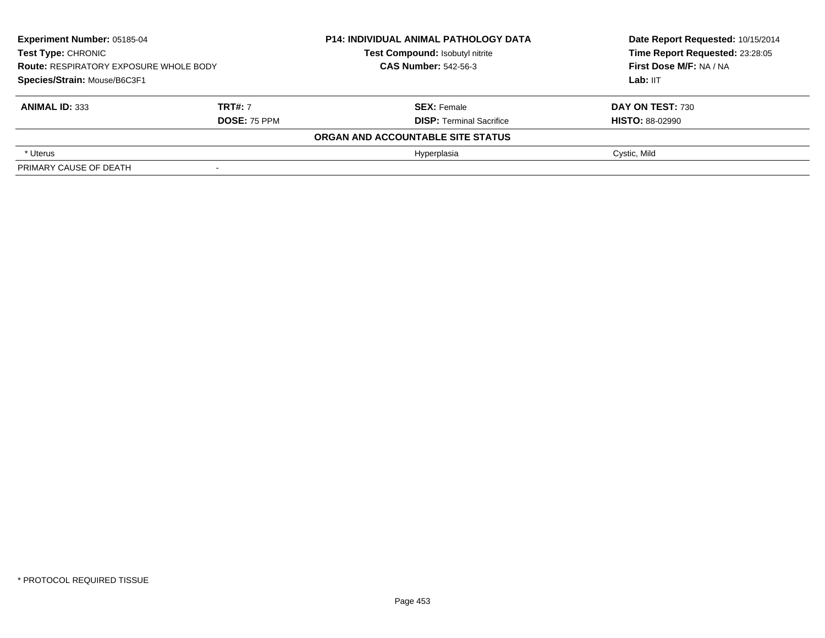| <b>Experiment Number: 05185-04</b><br><b>Test Type: CHRONIC</b><br><b>Route: RESPIRATORY EXPOSURE WHOLE BODY</b><br>Species/Strain: Mouse/B6C3F1 |  | <b>P14: INDIVIDUAL ANIMAL PATHOLOGY DATA</b><br>Test Compound: Isobutyl nitrite<br><b>CAS Number: 542-56-3</b> | Date Report Requested: 10/15/2014<br>Time Report Requested: 23:28:05<br>First Dose M/F: NA / NA<br>Lab: IIT |
|--------------------------------------------------------------------------------------------------------------------------------------------------|--|----------------------------------------------------------------------------------------------------------------|-------------------------------------------------------------------------------------------------------------|
| <b>TRT#: 7</b><br><b>ANIMAL ID: 333</b><br><b>DOSE: 75 PPM</b>                                                                                   |  | <b>SEX: Female</b><br><b>DISP: Terminal Sacrifice</b>                                                          | <b>DAY ON TEST: 730</b><br><b>HISTO: 88-02990</b>                                                           |
|                                                                                                                                                  |  | ORGAN AND ACCOUNTABLE SITE STATUS                                                                              |                                                                                                             |
| * Uterus                                                                                                                                         |  | Hyperplasia                                                                                                    | Cystic, Mild                                                                                                |
| PRIMARY CAUSE OF DEATH                                                                                                                           |  |                                                                                                                |                                                                                                             |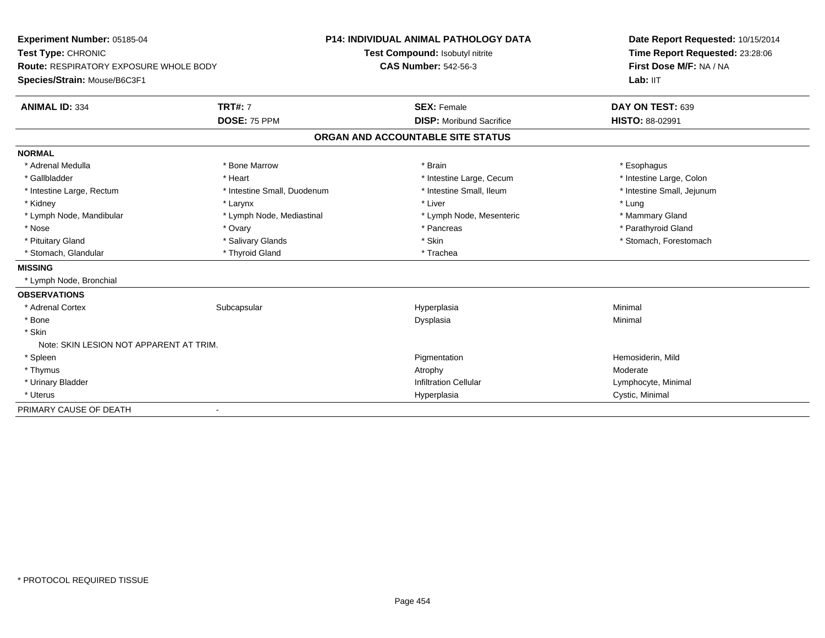| Experiment Number: 05185-04                   |                             | <b>P14: INDIVIDUAL ANIMAL PATHOLOGY DATA</b> | Date Report Requested: 10/15/2014 |
|-----------------------------------------------|-----------------------------|----------------------------------------------|-----------------------------------|
| Test Type: CHRONIC                            |                             | Test Compound: Isobutyl nitrite              | Time Report Requested: 23:28:06   |
| <b>Route: RESPIRATORY EXPOSURE WHOLE BODY</b> |                             | <b>CAS Number: 542-56-3</b>                  | First Dose M/F: NA / NA           |
| Species/Strain: Mouse/B6C3F1                  |                             |                                              | Lab: IIT                          |
| <b>ANIMAL ID: 334</b>                         | <b>TRT#: 7</b>              | <b>SEX: Female</b>                           | DAY ON TEST: 639                  |
|                                               | DOSE: 75 PPM                | <b>DISP:</b> Moribund Sacrifice              | <b>HISTO: 88-02991</b>            |
|                                               |                             | ORGAN AND ACCOUNTABLE SITE STATUS            |                                   |
| <b>NORMAL</b>                                 |                             |                                              |                                   |
| * Adrenal Medulla                             | * Bone Marrow               | * Brain                                      | * Esophagus                       |
| * Gallbladder                                 | * Heart                     | * Intestine Large, Cecum                     | * Intestine Large, Colon          |
| * Intestine Large, Rectum                     | * Intestine Small, Duodenum | * Intestine Small, Ileum                     | * Intestine Small, Jejunum        |
| * Kidney                                      | * Larynx                    | * Liver                                      | * Lung                            |
| * Lymph Node, Mandibular                      | * Lymph Node, Mediastinal   | * Lymph Node, Mesenteric                     | * Mammary Gland                   |
| * Nose                                        | * Ovary                     | * Pancreas                                   | * Parathyroid Gland               |
| * Pituitary Gland                             | * Salivary Glands           | * Skin                                       | * Stomach, Forestomach            |
| * Stomach, Glandular                          | * Thyroid Gland             | * Trachea                                    |                                   |
| <b>MISSING</b>                                |                             |                                              |                                   |
| * Lymph Node, Bronchial                       |                             |                                              |                                   |
| <b>OBSERVATIONS</b>                           |                             |                                              |                                   |
| * Adrenal Cortex                              | Subcapsular                 | Hyperplasia                                  | Minimal                           |
| * Bone                                        |                             | Dysplasia                                    | Minimal                           |
| * Skin                                        |                             |                                              |                                   |
| Note: SKIN LESION NOT APPARENT AT TRIM.       |                             |                                              |                                   |
| * Spleen                                      |                             | Pigmentation                                 | Hemosiderin, Mild                 |
| * Thymus                                      |                             | Atrophy                                      | Moderate                          |
| * Urinary Bladder                             |                             | <b>Infiltration Cellular</b>                 | Lymphocyte, Minimal               |
| * Uterus                                      |                             | Hyperplasia                                  | Cystic, Minimal                   |
| PRIMARY CAUSE OF DEATH                        |                             |                                              |                                   |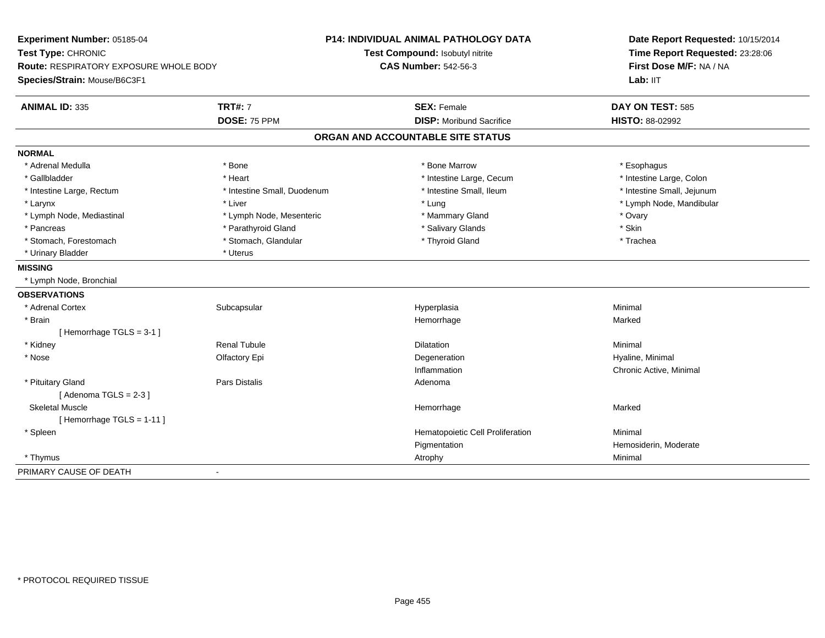| Experiment Number: 05185-04                   |                             | <b>P14: INDIVIDUAL ANIMAL PATHOLOGY DATA</b> | Date Report Requested: 10/15/2014<br>Time Report Requested: 23:28:06 |
|-----------------------------------------------|-----------------------------|----------------------------------------------|----------------------------------------------------------------------|
| Test Type: CHRONIC                            |                             | Test Compound: Isobutyl nitrite              |                                                                      |
| <b>Route: RESPIRATORY EXPOSURE WHOLE BODY</b> |                             | <b>CAS Number: 542-56-3</b>                  | First Dose M/F: NA / NA                                              |
| Species/Strain: Mouse/B6C3F1                  |                             |                                              | Lab: IIT                                                             |
| <b>ANIMAL ID: 335</b>                         | <b>TRT#: 7</b>              | <b>SEX: Female</b>                           | DAY ON TEST: 585                                                     |
|                                               | <b>DOSE: 75 PPM</b>         | <b>DISP: Moribund Sacrifice</b>              | HISTO: 88-02992                                                      |
|                                               |                             | ORGAN AND ACCOUNTABLE SITE STATUS            |                                                                      |
| <b>NORMAL</b>                                 |                             |                                              |                                                                      |
| * Adrenal Medulla                             | * Bone                      | * Bone Marrow                                | * Esophagus                                                          |
| * Gallbladder                                 | * Heart                     | * Intestine Large, Cecum                     | * Intestine Large, Colon                                             |
| * Intestine Large, Rectum                     | * Intestine Small, Duodenum | * Intestine Small, Ileum                     | * Intestine Small, Jejunum                                           |
| * Larynx                                      | * Liver                     | * Lung                                       | * Lymph Node, Mandibular                                             |
| * Lymph Node, Mediastinal                     | * Lymph Node, Mesenteric    | * Mammary Gland                              | * Ovary                                                              |
| * Pancreas                                    | * Parathyroid Gland         | * Salivary Glands                            | * Skin                                                               |
| * Stomach, Forestomach                        | * Stomach, Glandular        | * Thyroid Gland                              | * Trachea                                                            |
| * Urinary Bladder                             | * Uterus                    |                                              |                                                                      |
| <b>MISSING</b>                                |                             |                                              |                                                                      |
| * Lymph Node, Bronchial                       |                             |                                              |                                                                      |
| <b>OBSERVATIONS</b>                           |                             |                                              |                                                                      |
| * Adrenal Cortex                              | Subcapsular                 | Hyperplasia                                  | Minimal                                                              |
| * Brain                                       |                             | Hemorrhage                                   | Marked                                                               |
| [Hemorrhage TGLS = 3-1]                       |                             |                                              |                                                                      |
| * Kidney                                      | Renal Tubule                | Dilatation                                   | Minimal                                                              |
| * Nose                                        | Olfactory Epi               | Degeneration                                 | Hyaline, Minimal                                                     |
|                                               |                             | Inflammation                                 | Chronic Active, Minimal                                              |
| * Pituitary Gland                             | <b>Pars Distalis</b>        | Adenoma                                      |                                                                      |
| [Adenoma TGLS = $2-3$ ]                       |                             |                                              |                                                                      |
| <b>Skeletal Muscle</b>                        |                             | Hemorrhage                                   | Marked                                                               |
| [Hemorrhage TGLS = 1-11]                      |                             |                                              |                                                                      |
| * Spleen                                      |                             | Hematopoietic Cell Proliferation             | Minimal                                                              |
|                                               |                             | Pigmentation                                 | Hemosiderin, Moderate                                                |
| * Thymus                                      |                             | Atrophy                                      | Minimal                                                              |
| PRIMARY CAUSE OF DEATH                        | $\blacksquare$              |                                              |                                                                      |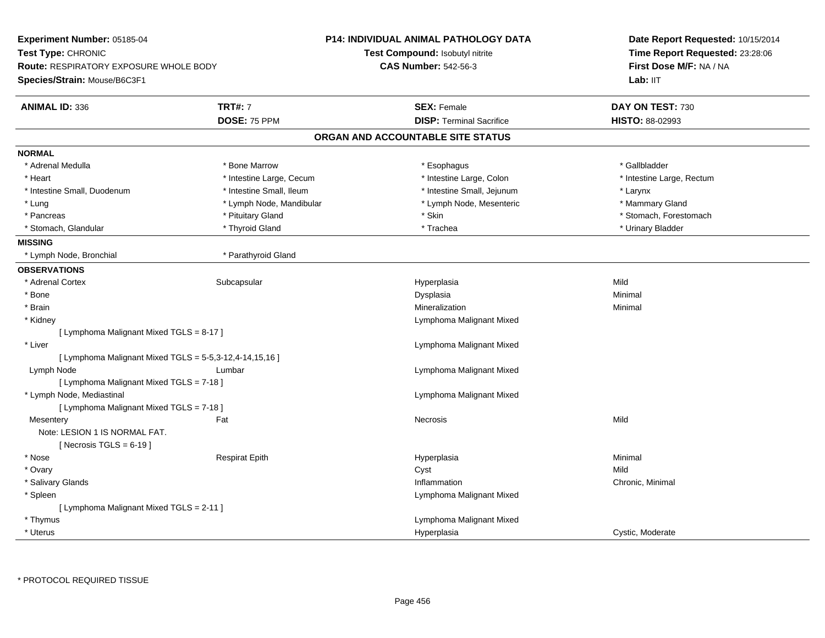| Experiment Number: 05185-04<br>Test Type: CHRONIC                             |                          | P14: INDIVIDUAL ANIMAL PATHOLOGY DATA | Date Report Requested: 10/15/2014<br>Time Report Requested: 23:28:06 |
|-------------------------------------------------------------------------------|--------------------------|---------------------------------------|----------------------------------------------------------------------|
|                                                                               |                          | Test Compound: Isobutyl nitrite       |                                                                      |
| <b>Route: RESPIRATORY EXPOSURE WHOLE BODY</b><br>Species/Strain: Mouse/B6C3F1 |                          | <b>CAS Number: 542-56-3</b>           | First Dose M/F: NA / NA                                              |
|                                                                               |                          |                                       | Lab: IIT                                                             |
| <b>ANIMAL ID: 336</b>                                                         | <b>TRT#: 7</b>           | <b>SEX: Female</b>                    | DAY ON TEST: 730                                                     |
|                                                                               | DOSE: 75 PPM             | <b>DISP: Terminal Sacrifice</b>       | <b>HISTO: 88-02993</b>                                               |
|                                                                               |                          | ORGAN AND ACCOUNTABLE SITE STATUS     |                                                                      |
| <b>NORMAL</b>                                                                 |                          |                                       |                                                                      |
| * Adrenal Medulla                                                             | * Bone Marrow            | * Esophagus                           | * Gallbladder                                                        |
| * Heart                                                                       | * Intestine Large, Cecum | * Intestine Large, Colon              | * Intestine Large, Rectum                                            |
| * Intestine Small, Duodenum                                                   | * Intestine Small, Ileum | * Intestine Small, Jejunum            | * Larynx                                                             |
| * Lung                                                                        | * Lymph Node, Mandibular | * Lymph Node, Mesenteric              | * Mammary Gland                                                      |
| * Pancreas                                                                    | * Pituitary Gland        | * Skin                                | * Stomach, Forestomach                                               |
| * Stomach, Glandular                                                          | * Thyroid Gland          | * Trachea                             | * Urinary Bladder                                                    |
| <b>MISSING</b>                                                                |                          |                                       |                                                                      |
| * Lymph Node, Bronchial                                                       | * Parathyroid Gland      |                                       |                                                                      |
| <b>OBSERVATIONS</b>                                                           |                          |                                       |                                                                      |
| * Adrenal Cortex                                                              | Subcapsular              | Hyperplasia                           | Mild                                                                 |
| * Bone                                                                        |                          | Dysplasia                             | Minimal                                                              |
| * Brain                                                                       |                          | Mineralization                        | Minimal                                                              |
| * Kidney                                                                      |                          | Lymphoma Malignant Mixed              |                                                                      |
| [ Lymphoma Malignant Mixed TGLS = 8-17 ]                                      |                          |                                       |                                                                      |
| * Liver                                                                       |                          | Lymphoma Malignant Mixed              |                                                                      |
| [ Lymphoma Malignant Mixed TGLS = 5-5,3-12,4-14,15,16 ]                       |                          |                                       |                                                                      |
| Lymph Node                                                                    | Lumbar                   | Lymphoma Malignant Mixed              |                                                                      |
| [ Lymphoma Malignant Mixed TGLS = 7-18 ]                                      |                          |                                       |                                                                      |
| * Lymph Node, Mediastinal                                                     |                          | Lymphoma Malignant Mixed              |                                                                      |
| [ Lymphoma Malignant Mixed TGLS = 7-18 ]                                      |                          |                                       |                                                                      |
| Mesentery                                                                     | Fat                      | Necrosis                              | Mild                                                                 |
| Note: LESION 1 IS NORMAL FAT.                                                 |                          |                                       |                                                                      |
| [Necrosis TGLS = $6-19$ ]                                                     |                          |                                       |                                                                      |
| * Nose                                                                        | <b>Respirat Epith</b>    | Hyperplasia                           | Minimal                                                              |
| * Ovary                                                                       |                          | Cyst                                  | Mild                                                                 |
| * Salivary Glands                                                             |                          | Inflammation                          | Chronic, Minimal                                                     |
| $^*$ Spleen                                                                   |                          | Lymphoma Malignant Mixed              |                                                                      |
| [ Lymphoma Malignant Mixed TGLS = 2-11 ]                                      |                          |                                       |                                                                      |
| * Thymus                                                                      |                          | Lymphoma Malignant Mixed              |                                                                      |
| * Uterus                                                                      |                          | Hyperplasia                           | Cystic, Moderate                                                     |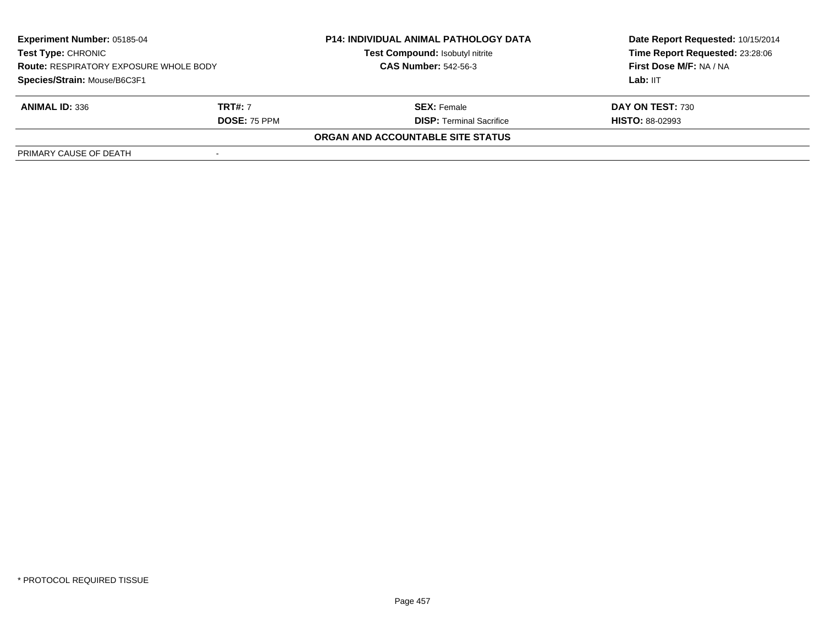| <b>Experiment Number: 05185-04</b><br>Test Type: CHRONIC<br><b>Route: RESPIRATORY EXPOSURE WHOLE BODY</b><br>Species/Strain: Mouse/B6C3F1 |                     | <b>P14: INDIVIDUAL ANIMAL PATHOLOGY DATA</b> | Date Report Requested: 10/15/2014                          |  |
|-------------------------------------------------------------------------------------------------------------------------------------------|---------------------|----------------------------------------------|------------------------------------------------------------|--|
|                                                                                                                                           |                     | Test Compound: Isobutyl nitrite              | Time Report Requested: 23:28:06<br>First Dose M/F: NA / NA |  |
|                                                                                                                                           |                     | <b>CAS Number: 542-56-3</b>                  |                                                            |  |
|                                                                                                                                           |                     |                                              | Lab: IIT                                                   |  |
| <b>ANIMAL ID: 336</b>                                                                                                                     | <b>TRT#: 7</b>      | <b>SEX:</b> Female                           | DAY ON TEST: 730                                           |  |
|                                                                                                                                           | <b>DOSE: 75 PPM</b> | <b>DISP: Terminal Sacrifice</b>              | <b>HISTO: 88-02993</b>                                     |  |
|                                                                                                                                           |                     | ORGAN AND ACCOUNTABLE SITE STATUS            |                                                            |  |
| PRIMARY CAUSE OF DEATH                                                                                                                    |                     |                                              |                                                            |  |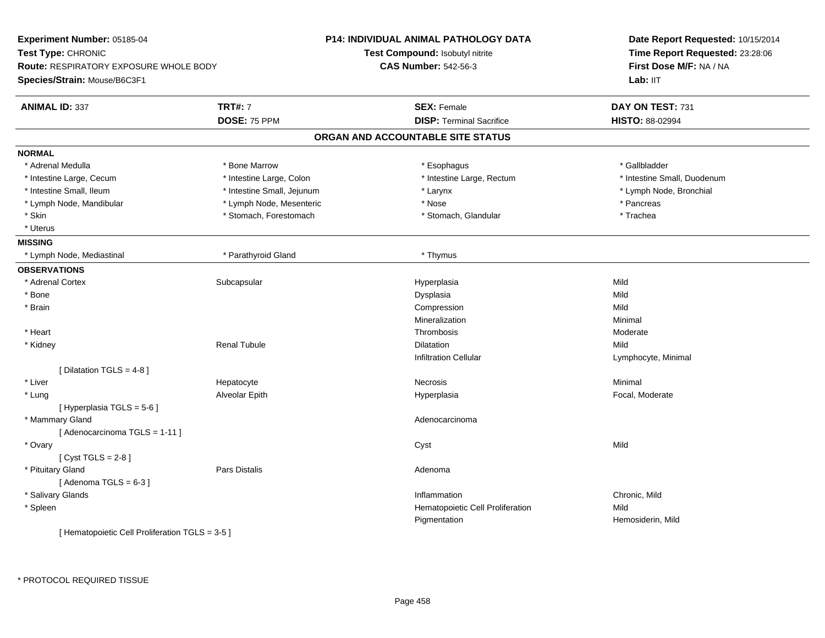| Experiment Number: 05185-04<br>Test Type: CHRONIC<br><b>Route: RESPIRATORY EXPOSURE WHOLE BODY</b><br>Species/Strain: Mouse/B6C3F1 |                            | <b>P14: INDIVIDUAL ANIMAL PATHOLOGY DATA</b> | Date Report Requested: 10/15/2014<br>Time Report Requested: 23:28:06 |
|------------------------------------------------------------------------------------------------------------------------------------|----------------------------|----------------------------------------------|----------------------------------------------------------------------|
|                                                                                                                                    |                            | Test Compound: Isobutyl nitrite              |                                                                      |
|                                                                                                                                    |                            | <b>CAS Number: 542-56-3</b>                  | First Dose M/F: NA / NA                                              |
|                                                                                                                                    |                            |                                              | Lab: IIT                                                             |
| <b>ANIMAL ID: 337</b>                                                                                                              | <b>TRT#: 7</b>             | <b>SEX: Female</b>                           | DAY ON TEST: 731                                                     |
|                                                                                                                                    | DOSE: 75 PPM               | <b>DISP: Terminal Sacrifice</b>              | HISTO: 88-02994                                                      |
|                                                                                                                                    |                            | ORGAN AND ACCOUNTABLE SITE STATUS            |                                                                      |
| <b>NORMAL</b>                                                                                                                      |                            |                                              |                                                                      |
| * Adrenal Medulla                                                                                                                  | * Bone Marrow              | * Esophagus                                  | * Gallbladder                                                        |
| * Intestine Large, Cecum                                                                                                           | * Intestine Large, Colon   | * Intestine Large, Rectum                    | * Intestine Small, Duodenum                                          |
| * Intestine Small, Ileum                                                                                                           | * Intestine Small, Jejunum | * Larynx                                     | * Lymph Node, Bronchial                                              |
| * Lymph Node, Mandibular                                                                                                           | * Lymph Node, Mesenteric   | * Nose                                       | * Pancreas                                                           |
| $^\star$ Skin                                                                                                                      | * Stomach, Forestomach     | * Stomach, Glandular                         | * Trachea                                                            |
| * Uterus                                                                                                                           |                            |                                              |                                                                      |
| <b>MISSING</b>                                                                                                                     |                            |                                              |                                                                      |
| * Lymph Node, Mediastinal                                                                                                          | * Parathyroid Gland        | * Thymus                                     |                                                                      |
| <b>OBSERVATIONS</b>                                                                                                                |                            |                                              |                                                                      |
| * Adrenal Cortex                                                                                                                   | Subcapsular                | Hyperplasia                                  | Mild                                                                 |
| * Bone                                                                                                                             |                            | Dysplasia                                    | Mild                                                                 |
| * Brain                                                                                                                            |                            | Compression                                  | Mild                                                                 |
|                                                                                                                                    |                            | Mineralization                               | Minimal                                                              |
| * Heart                                                                                                                            |                            | Thrombosis                                   | Moderate                                                             |
| * Kidney                                                                                                                           | Renal Tubule               | Dilatation                                   | Mild                                                                 |
|                                                                                                                                    |                            | <b>Infiltration Cellular</b>                 | Lymphocyte, Minimal                                                  |
| [ Dilatation TGLS = $4-8$ ]                                                                                                        |                            |                                              |                                                                      |
| * Liver                                                                                                                            | Hepatocyte                 | Necrosis                                     | Minimal                                                              |
| * Lung                                                                                                                             | Alveolar Epith             | Hyperplasia                                  | Focal, Moderate                                                      |
| [ Hyperplasia TGLS = 5-6 ]                                                                                                         |                            |                                              |                                                                      |
| * Mammary Gland                                                                                                                    |                            | Adenocarcinoma                               |                                                                      |
| [ Adenocarcinoma TGLS = 1-11 ]                                                                                                     |                            |                                              |                                                                      |
| * Ovary                                                                                                                            |                            | Cyst                                         | Mild                                                                 |
| [Cyst TGLS = $2-8$ ]                                                                                                               |                            |                                              |                                                                      |
| * Pituitary Gland                                                                                                                  | <b>Pars Distalis</b>       | Adenoma                                      |                                                                      |
| [Adenoma TGLS = $6-3$ ]                                                                                                            |                            |                                              |                                                                      |
| * Salivary Glands                                                                                                                  |                            | Inflammation                                 | Chronic, Mild                                                        |
| * Spleen                                                                                                                           |                            | Hematopoietic Cell Proliferation             | Mild                                                                 |
|                                                                                                                                    |                            | Pigmentation                                 | Hemosiderin, Mild                                                    |
| [ Hematopoietic Cell Proliferation TGLS = 3-5 ]                                                                                    |                            |                                              |                                                                      |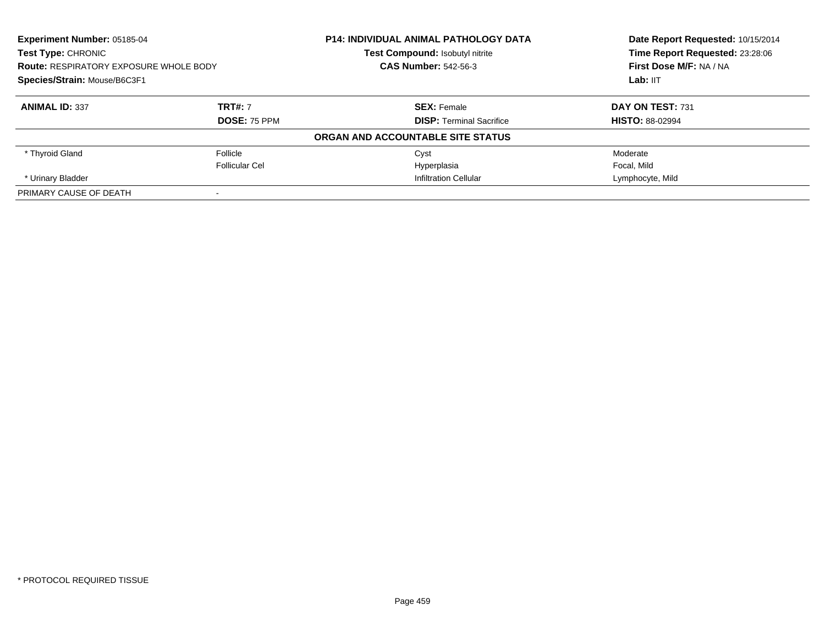| Experiment Number: 05185-04<br>Test Type: CHRONIC<br><b>Route: RESPIRATORY EXPOSURE WHOLE BODY</b><br>Species/Strain: Mouse/B6C3F1 |                     | <b>P14: INDIVIDUAL ANIMAL PATHOLOGY DATA</b> | Date Report Requested: 10/15/2014<br>Time Report Requested: 23:28:06<br>First Dose M/F: NA / NA<br>Lab: IIT |
|------------------------------------------------------------------------------------------------------------------------------------|---------------------|----------------------------------------------|-------------------------------------------------------------------------------------------------------------|
|                                                                                                                                    |                     | Test Compound: Isobutyl nitrite              |                                                                                                             |
|                                                                                                                                    |                     | <b>CAS Number: 542-56-3</b>                  |                                                                                                             |
|                                                                                                                                    |                     |                                              |                                                                                                             |
| <b>ANIMAL ID: 337</b>                                                                                                              | <b>TRT#: 7</b>      | <b>SEX:</b> Female                           | DAY ON TEST: 731                                                                                            |
|                                                                                                                                    | <b>DOSE: 75 PPM</b> | <b>DISP:</b> Terminal Sacrifice              | <b>HISTO: 88-02994</b>                                                                                      |
|                                                                                                                                    |                     | ORGAN AND ACCOUNTABLE SITE STATUS            |                                                                                                             |
| * Thyroid Gland                                                                                                                    | Follicle            | Cyst                                         | Moderate                                                                                                    |
|                                                                                                                                    | Follicular Cel      | Hyperplasia                                  | Focal, Mild                                                                                                 |
| * Urinary Bladder                                                                                                                  |                     | <b>Infiltration Cellular</b>                 | Lymphocyte, Mild                                                                                            |
| PRIMARY CAUSE OF DEATH                                                                                                             |                     |                                              |                                                                                                             |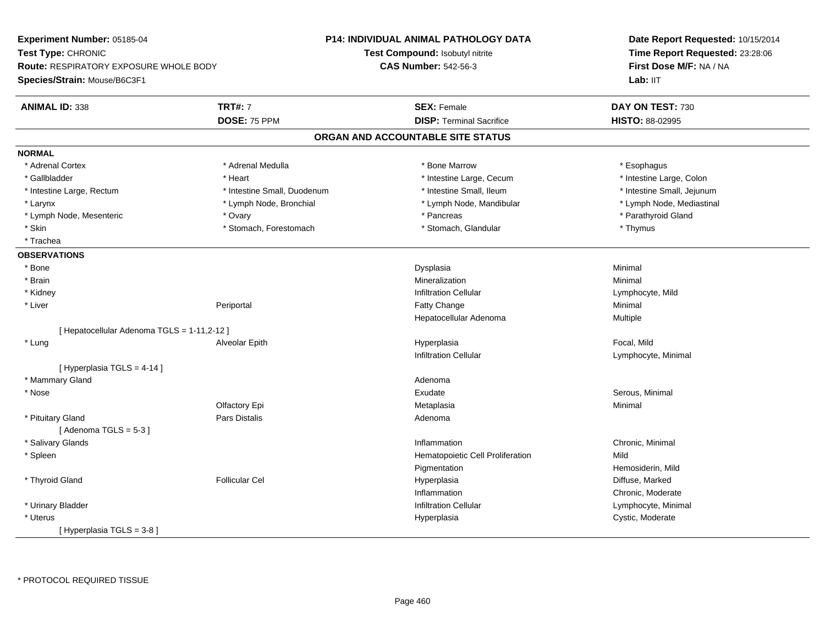**Experiment Number:** 05185-04**Test Type:** CHRONIC **Route:** RESPIRATORY EXPOSURE WHOLE BODY**Species/Strain:** Mouse/B6C3F1**P14: INDIVIDUAL ANIMAL PATHOLOGY DATATest Compound:** Isobutyl nitrite**CAS Number:** 542-56-3**Date Report Requested:** 10/15/2014**Time Report Requested:** 23:28:06**First Dose M/F:** NA / NALab: IIT **ANIMAL ID:** 338**TRT#:** 7 **SEX:** Female **SEX: Female DAY ON TEST:** 730 **DOSE:** 75 PPM**DISP:** Terminal Sacrifice **HISTO:** 88-02995 **ORGAN AND ACCOUNTABLE SITE STATUSNORMAL**\* Adrenal Cortex \* Adrenal Cortex \* \* Annume \* Adrenal Medulla \* \* \* Bone Marrow \* \* Bone Marrow \* \* Esophagus \* Esophagus \* Esophagus \* Gallbladder \* Thestine Large, Colon \* Heart \* Heart \* Thestine Large, Cecum \* Intestine Large, Colon \* Intestine Large, Colon \* Intestine Large, Colon \* Intestine Large, Rectum \* Thestine Small, Duodenum \* Number of the small, Ileum \* Intestine Small, Jejunum \* Intestine Small, Jejunum \* Lymph Node, Mediastinal \* Larynx **\* Lymph Node, Bronchial \*** Lymph Node, Bronchial \* Lymph Node, Mandibular \* Lymph Node, Mesenteric \* Ovary \* Pancreas \* Parathyroid Gland\* Skin \* Stomach, Forestomach \* Stomach \* Stomach, Glandular \* Thymus \* Thymus \* Trachea**OBSERVATIONS** \* Bonee and the state of the state of the state of the Dysplasia Christian Christian Minimal Minimal State of the St \* Brainn and the controller of the controller of the Mineralization and the controller of the Minimal of the Minimal <br>The Minimal of the controller of the controller of the controller of the controller of the controller of the c \* Kidneyy the contract of the contract of the contract of the contract of the contract of the contract of the contract of  $\mathsf{Lymphocyte}$ , Mild \* LiverPeriportal **Fatty Change** e Minimal Hepatocellular Adenoma Multiple [ Hepatocellular Adenoma TGLS = 1-11,2-12 ] \* Lung Alveolar Epith Hyperplasia Focal, Mild Infiltration Cellular Lymphocyte, Minimal [ Hyperplasia TGLS = 4-14 ] \* Mammary Glandd and a state of the control of the control of the control of the control of the control of the control of the control of the control of the control of the control of the control of the control of the control of the contro \* Nosee Serous, Minimal (1999) and the Serous, Minimal (1999) and Serous, Minimal (1999) and Serous, Minimal (1999) and Serous, Minimal (1999) and Serous, Minimal (1999) and Serous, Minimal (1999) and Serous, Minimal (1999) and Olfactory Epi Metaplasiaa and a studies of the studies of the Minimal \* Pituitary Glandd and the contract of Pars Distalis and the contract of Adenoma and Adenoma and the Adenoma and the Adenoma and  $\lambda$ [ Adenoma  $TGLS = 5-3$  ] \* Salivary Glandss and the contract of the contract of the contract of the contract of the contract of the contract of the contract of the contract of the contract of the contract of the contract of the contract of the contract of the cont Inflammation **Chronic, Minimal**  \* SpleenHematopoietic Cell Proliferation Mild PigmentationHemosiderin, Mild<br>Diffuse, Marked \* Thyroid Gland Follicular Cel Hyperplasia Diffuse, Marked InflammationInflammation **Chronic, Moderate**<br>
Infiltration Cellular **Notation** Cellular **Notation** Cellular \* Urinary BladderLymphocyte, Minimal \* Uteruss and the contract of the contract of the contract of the contract of the contract of the contract of the contract of the contract of the contract of the contract of the contract of the contract of the contract of the cont Hyperplasia **Cystic, Moderate** [ Hyperplasia TGLS = 3-8 ]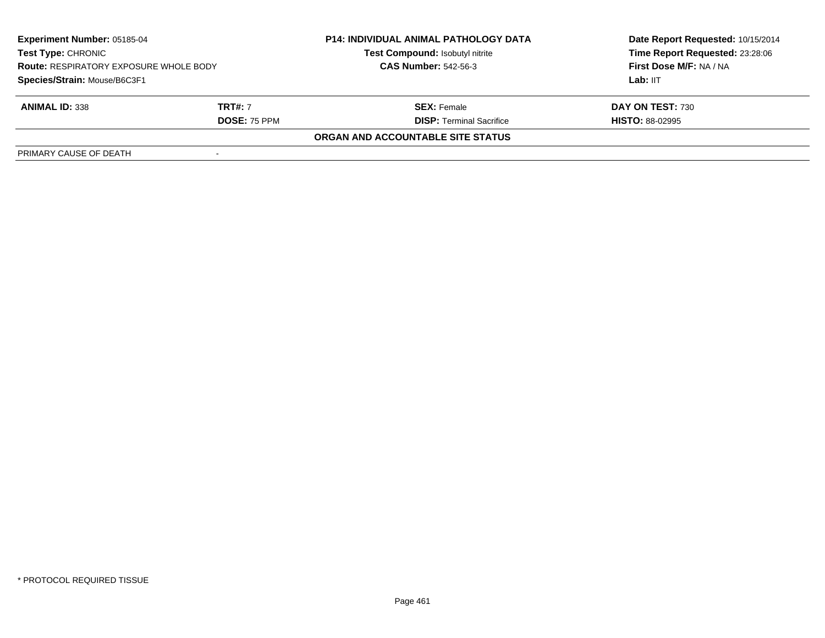| <b>Experiment Number: 05185-04</b><br>Test Type: CHRONIC<br><b>Route: RESPIRATORY EXPOSURE WHOLE BODY</b><br>Species/Strain: Mouse/B6C3F1 |                     | <b>P14: INDIVIDUAL ANIMAL PATHOLOGY DATA</b> | Date Report Requested: 10/15/2014<br>Time Report Requested: 23:28:06<br>First Dose M/F: NA / NA |
|-------------------------------------------------------------------------------------------------------------------------------------------|---------------------|----------------------------------------------|-------------------------------------------------------------------------------------------------|
|                                                                                                                                           |                     | Test Compound: Isobutyl nitrite              |                                                                                                 |
|                                                                                                                                           |                     | <b>CAS Number: 542-56-3</b>                  |                                                                                                 |
|                                                                                                                                           |                     |                                              | Lab: IIT                                                                                        |
| <b>ANIMAL ID: 338</b>                                                                                                                     | <b>TRT#: 7</b>      | <b>SEX:</b> Female                           | DAY ON TEST: 730                                                                                |
|                                                                                                                                           | <b>DOSE: 75 PPM</b> | <b>DISP: Terminal Sacrifice</b>              | <b>HISTO: 88-02995</b>                                                                          |
|                                                                                                                                           |                     | ORGAN AND ACCOUNTABLE SITE STATUS            |                                                                                                 |
| PRIMARY CAUSE OF DEATH                                                                                                                    |                     |                                              |                                                                                                 |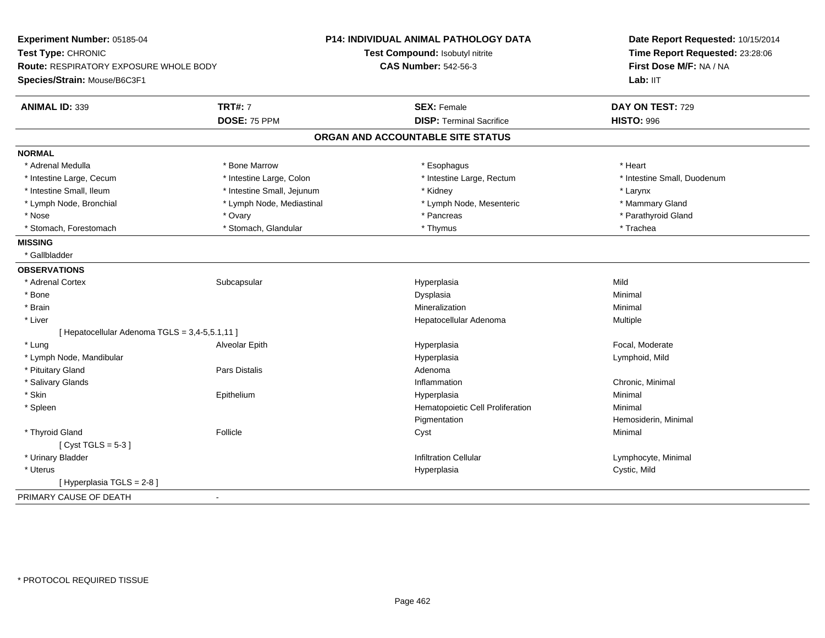| Experiment Number: 05185-04                    |                            | <b>P14: INDIVIDUAL ANIMAL PATHOLOGY DATA</b> | Date Report Requested: 10/15/2014<br>Time Report Requested: 23:28:06<br>First Dose M/F: NA / NA |  |
|------------------------------------------------|----------------------------|----------------------------------------------|-------------------------------------------------------------------------------------------------|--|
| Test Type: CHRONIC                             |                            | Test Compound: Isobutyl nitrite              |                                                                                                 |  |
| Route: RESPIRATORY EXPOSURE WHOLE BODY         |                            | <b>CAS Number: 542-56-3</b>                  |                                                                                                 |  |
| Species/Strain: Mouse/B6C3F1                   |                            |                                              | Lab: IIT                                                                                        |  |
| <b>ANIMAL ID: 339</b>                          | <b>TRT#: 7</b>             | <b>SEX: Female</b>                           | DAY ON TEST: 729                                                                                |  |
|                                                | <b>DOSE: 75 PPM</b>        | <b>DISP: Terminal Sacrifice</b>              | <b>HISTO: 996</b>                                                                               |  |
|                                                |                            | ORGAN AND ACCOUNTABLE SITE STATUS            |                                                                                                 |  |
| <b>NORMAL</b>                                  |                            |                                              |                                                                                                 |  |
| * Adrenal Medulla                              | * Bone Marrow              | * Esophagus                                  | * Heart                                                                                         |  |
| * Intestine Large, Cecum                       | * Intestine Large, Colon   | * Intestine Large, Rectum                    | * Intestine Small, Duodenum                                                                     |  |
| * Intestine Small, Ileum                       | * Intestine Small, Jejunum | * Kidney                                     | * Larynx                                                                                        |  |
| * Lymph Node, Bronchial                        | * Lymph Node, Mediastinal  | * Lymph Node, Mesenteric                     | * Mammary Gland                                                                                 |  |
| * Nose                                         | * Ovary                    | * Pancreas                                   | * Parathyroid Gland                                                                             |  |
| * Stomach, Forestomach                         | * Stomach, Glandular       | * Thymus                                     | * Trachea                                                                                       |  |
| <b>MISSING</b>                                 |                            |                                              |                                                                                                 |  |
| * Gallbladder                                  |                            |                                              |                                                                                                 |  |
| <b>OBSERVATIONS</b>                            |                            |                                              |                                                                                                 |  |
| * Adrenal Cortex                               | Subcapsular                | Hyperplasia                                  | Mild                                                                                            |  |
| * Bone                                         |                            | Dysplasia                                    | Minimal                                                                                         |  |
| * Brain                                        |                            | Mineralization                               | Minimal                                                                                         |  |
| * Liver                                        |                            | Hepatocellular Adenoma                       | Multiple                                                                                        |  |
| [ Hepatocellular Adenoma TGLS = 3,4-5,5.1,11 ] |                            |                                              |                                                                                                 |  |
| * Lung                                         | Alveolar Epith             | Hyperplasia                                  | Focal, Moderate                                                                                 |  |
| * Lymph Node, Mandibular                       |                            | Hyperplasia                                  | Lymphoid, Mild                                                                                  |  |
| * Pituitary Gland                              | Pars Distalis              | Adenoma                                      |                                                                                                 |  |
| * Salivary Glands                              |                            | Inflammation                                 | Chronic, Minimal                                                                                |  |
| * Skin                                         | Epithelium                 | Hyperplasia                                  | Minimal                                                                                         |  |
| * Spleen                                       |                            | Hematopoietic Cell Proliferation             | Minimal                                                                                         |  |
|                                                |                            | Pigmentation                                 | Hemosiderin, Minimal                                                                            |  |
| * Thyroid Gland                                | Follicle                   | Cyst                                         | Minimal                                                                                         |  |
| [Cyst TGLS = $5-3$ ]                           |                            |                                              |                                                                                                 |  |
| * Urinary Bladder                              |                            | <b>Infiltration Cellular</b>                 | Lymphocyte, Minimal                                                                             |  |
| * Uterus                                       |                            | Hyperplasia                                  | Cystic, Mild                                                                                    |  |
| [ Hyperplasia TGLS = 2-8]                      |                            |                                              |                                                                                                 |  |
| PRIMARY CAUSE OF DEATH                         | $\sim$                     |                                              |                                                                                                 |  |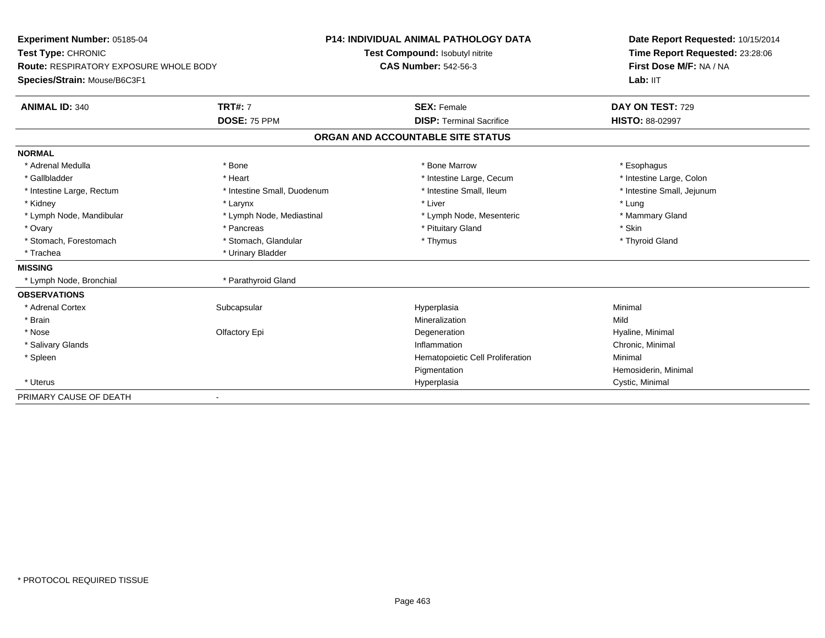| Experiment Number: 05185-04<br>Test Type: CHRONIC<br><b>Route: RESPIRATORY EXPOSURE WHOLE BODY</b><br>Species/Strain: Mouse/B6C3F1 |                             | <b>P14: INDIVIDUAL ANIMAL PATHOLOGY DATA</b> | Date Report Requested: 10/15/2014     |  |
|------------------------------------------------------------------------------------------------------------------------------------|-----------------------------|----------------------------------------------|---------------------------------------|--|
|                                                                                                                                    |                             | Test Compound: Isobutyl nitrite              | Time Report Requested: 23:28:06       |  |
|                                                                                                                                    |                             | <b>CAS Number: 542-56-3</b>                  | First Dose M/F: NA / NA<br>Lab: $III$ |  |
|                                                                                                                                    |                             |                                              |                                       |  |
| <b>ANIMAL ID: 340</b>                                                                                                              | <b>TRT#: 7</b>              | <b>SEX: Female</b>                           | DAY ON TEST: 729                      |  |
|                                                                                                                                    | DOSE: 75 PPM                | <b>DISP: Terminal Sacrifice</b>              | <b>HISTO: 88-02997</b>                |  |
|                                                                                                                                    |                             | ORGAN AND ACCOUNTABLE SITE STATUS            |                                       |  |
| <b>NORMAL</b>                                                                                                                      |                             |                                              |                                       |  |
| * Adrenal Medulla                                                                                                                  | * Bone                      | * Bone Marrow                                | * Esophagus                           |  |
| * Gallbladder                                                                                                                      | * Heart                     | * Intestine Large, Cecum                     | * Intestine Large, Colon              |  |
| * Intestine Large, Rectum                                                                                                          | * Intestine Small, Duodenum | * Intestine Small. Ileum                     | * Intestine Small, Jejunum            |  |
| * Kidney                                                                                                                           | * Larynx                    | * Liver                                      | * Lung                                |  |
| * Lymph Node, Mandibular                                                                                                           | * Lymph Node, Mediastinal   | * Lymph Node, Mesenteric                     | * Mammary Gland                       |  |
| * Ovary                                                                                                                            | * Pancreas                  | * Pituitary Gland                            | * Skin                                |  |
| * Stomach, Forestomach                                                                                                             | * Stomach, Glandular        | * Thymus                                     | * Thyroid Gland                       |  |
| * Trachea                                                                                                                          | * Urinary Bladder           |                                              |                                       |  |
| <b>MISSING</b>                                                                                                                     |                             |                                              |                                       |  |
| * Lymph Node, Bronchial                                                                                                            | * Parathyroid Gland         |                                              |                                       |  |
| <b>OBSERVATIONS</b>                                                                                                                |                             |                                              |                                       |  |
| * Adrenal Cortex                                                                                                                   | Subcapsular                 | Hyperplasia                                  | Minimal                               |  |
| * Brain                                                                                                                            |                             | Mineralization                               | Mild                                  |  |
| * Nose                                                                                                                             | Olfactory Epi               | Degeneration                                 | Hyaline, Minimal                      |  |
| * Salivary Glands                                                                                                                  |                             | Inflammation                                 | Chronic, Minimal                      |  |
| * Spleen                                                                                                                           |                             | Hematopoietic Cell Proliferation             | Minimal                               |  |
|                                                                                                                                    |                             | Pigmentation                                 | Hemosiderin, Minimal                  |  |
| * Uterus                                                                                                                           |                             | Hyperplasia                                  | Cystic, Minimal                       |  |
| PRIMARY CAUSE OF DEATH                                                                                                             |                             |                                              |                                       |  |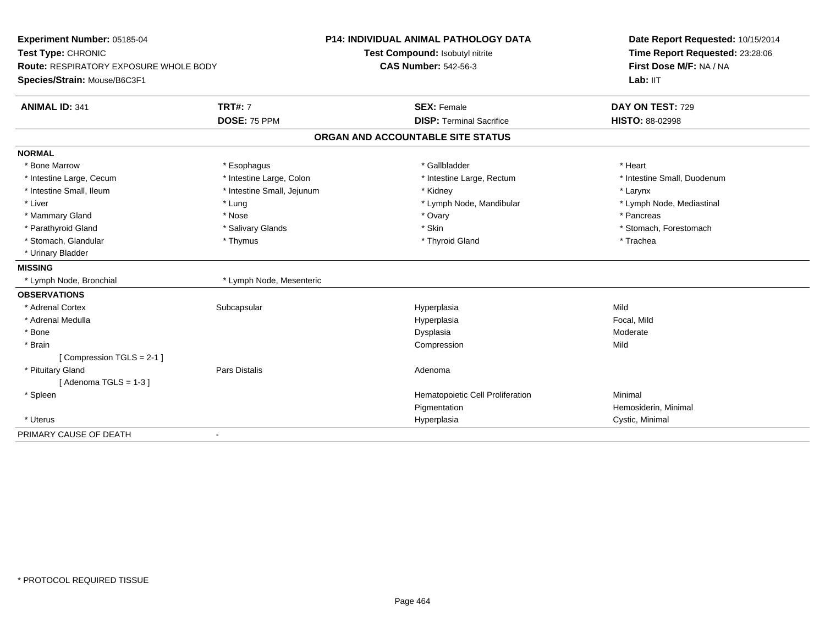| Experiment Number: 05185-04<br>Test Type: CHRONIC<br>Route: RESPIRATORY EXPOSURE WHOLE BODY |                            | <b>P14: INDIVIDUAL ANIMAL PATHOLOGY DATA</b> | Date Report Requested: 10/15/2014<br>Time Report Requested: 23:28:06 |  |
|---------------------------------------------------------------------------------------------|----------------------------|----------------------------------------------|----------------------------------------------------------------------|--|
|                                                                                             |                            | Test Compound: Isobutyl nitrite              |                                                                      |  |
|                                                                                             |                            | <b>CAS Number: 542-56-3</b>                  | First Dose M/F: NA / NA                                              |  |
| Species/Strain: Mouse/B6C3F1                                                                |                            |                                              | Lab: IIT                                                             |  |
| <b>ANIMAL ID: 341</b>                                                                       | <b>TRT#: 7</b>             | <b>SEX: Female</b>                           | DAY ON TEST: 729                                                     |  |
|                                                                                             | DOSE: 75 PPM               | <b>DISP: Terminal Sacrifice</b>              | <b>HISTO: 88-02998</b>                                               |  |
|                                                                                             |                            | ORGAN AND ACCOUNTABLE SITE STATUS            |                                                                      |  |
| <b>NORMAL</b>                                                                               |                            |                                              |                                                                      |  |
| * Bone Marrow                                                                               | * Esophagus                | * Gallbladder                                | * Heart                                                              |  |
| * Intestine Large, Cecum                                                                    | * Intestine Large, Colon   | * Intestine Large, Rectum                    | * Intestine Small, Duodenum                                          |  |
| * Intestine Small, Ileum                                                                    | * Intestine Small, Jejunum | * Kidney                                     | * Larynx                                                             |  |
| * Liver                                                                                     | * Lung                     | * Lymph Node, Mandibular                     | * Lymph Node, Mediastinal                                            |  |
| * Mammary Gland                                                                             | * Nose                     | * Ovary                                      | * Pancreas                                                           |  |
| * Parathyroid Gland                                                                         | * Salivary Glands          | * Skin                                       | * Stomach, Forestomach                                               |  |
| * Stomach, Glandular                                                                        | * Thymus                   | * Thyroid Gland                              | * Trachea                                                            |  |
| * Urinary Bladder                                                                           |                            |                                              |                                                                      |  |
| <b>MISSING</b>                                                                              |                            |                                              |                                                                      |  |
| * Lymph Node, Bronchial                                                                     | * Lymph Node, Mesenteric   |                                              |                                                                      |  |
| <b>OBSERVATIONS</b>                                                                         |                            |                                              |                                                                      |  |
| * Adrenal Cortex                                                                            | Subcapsular                | Hyperplasia                                  | Mild                                                                 |  |
| * Adrenal Medulla                                                                           |                            | Hyperplasia                                  | Focal, Mild                                                          |  |
| * Bone                                                                                      |                            | Dysplasia                                    | Moderate                                                             |  |
| * Brain                                                                                     |                            | Compression                                  | Mild                                                                 |  |
| [Compression TGLS = 2-1]                                                                    |                            |                                              |                                                                      |  |
| * Pituitary Gland                                                                           | <b>Pars Distalis</b>       | Adenoma                                      |                                                                      |  |
| [Adenoma TGLS = $1-3$ ]                                                                     |                            |                                              |                                                                      |  |
| * Spleen                                                                                    |                            | Hematopoietic Cell Proliferation             | Minimal                                                              |  |
|                                                                                             |                            | Pigmentation                                 | Hemosiderin, Minimal                                                 |  |
| * Uterus                                                                                    |                            | Hyperplasia                                  | Cystic, Minimal                                                      |  |
| PRIMARY CAUSE OF DEATH                                                                      | $\blacksquare$             |                                              |                                                                      |  |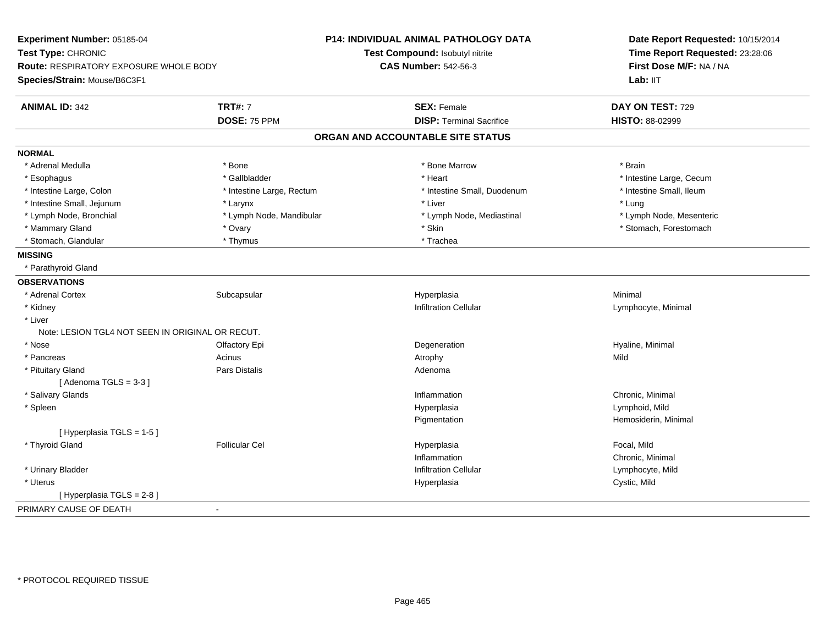| Experiment Number: 05185-04<br>Test Type: CHRONIC<br>Route: RESPIRATORY EXPOSURE WHOLE BODY<br>Species/Strain: Mouse/B6C3F1 |                           | P14: INDIVIDUAL ANIMAL PATHOLOGY DATA | Date Report Requested: 10/15/2014<br>Time Report Requested: 23:28:06<br>First Dose M/F: NA / NA<br>Lab: IIT |
|-----------------------------------------------------------------------------------------------------------------------------|---------------------------|---------------------------------------|-------------------------------------------------------------------------------------------------------------|
|                                                                                                                             |                           | Test Compound: Isobutyl nitrite       |                                                                                                             |
|                                                                                                                             |                           | <b>CAS Number: 542-56-3</b>           |                                                                                                             |
|                                                                                                                             |                           |                                       |                                                                                                             |
| <b>ANIMAL ID: 342</b>                                                                                                       | <b>TRT#: 7</b>            | <b>SEX: Female</b>                    | DAY ON TEST: 729                                                                                            |
|                                                                                                                             | DOSE: 75 PPM              | <b>DISP: Terminal Sacrifice</b>       | HISTO: 88-02999                                                                                             |
|                                                                                                                             |                           | ORGAN AND ACCOUNTABLE SITE STATUS     |                                                                                                             |
| <b>NORMAL</b>                                                                                                               |                           |                                       |                                                                                                             |
| * Adrenal Medulla                                                                                                           | * Bone                    | * Bone Marrow                         | * Brain                                                                                                     |
| * Esophagus                                                                                                                 | * Gallbladder             | * Heart                               | * Intestine Large, Cecum                                                                                    |
| * Intestine Large, Colon                                                                                                    | * Intestine Large, Rectum | * Intestine Small, Duodenum           | * Intestine Small, Ileum                                                                                    |
| * Intestine Small, Jejunum                                                                                                  | * Larynx                  | * Liver                               | * Lung                                                                                                      |
| * Lymph Node, Bronchial                                                                                                     | * Lymph Node, Mandibular  | * Lymph Node, Mediastinal             | * Lymph Node, Mesenteric                                                                                    |
| * Mammary Gland                                                                                                             | * Ovary                   | * Skin                                | * Stomach, Forestomach                                                                                      |
| * Stomach, Glandular                                                                                                        | * Thymus                  | * Trachea                             |                                                                                                             |
| <b>MISSING</b>                                                                                                              |                           |                                       |                                                                                                             |
| * Parathyroid Gland                                                                                                         |                           |                                       |                                                                                                             |
| <b>OBSERVATIONS</b>                                                                                                         |                           |                                       |                                                                                                             |
| * Adrenal Cortex                                                                                                            | Subcapsular               | Hyperplasia                           | Minimal                                                                                                     |
| * Kidney                                                                                                                    |                           | <b>Infiltration Cellular</b>          | Lymphocyte, Minimal                                                                                         |
| * Liver                                                                                                                     |                           |                                       |                                                                                                             |
| Note: LESION TGL4 NOT SEEN IN ORIGINAL OR RECUT.                                                                            |                           |                                       |                                                                                                             |
| * Nose                                                                                                                      | Olfactory Epi             | Degeneration                          | Hyaline, Minimal                                                                                            |
| * Pancreas                                                                                                                  | Acinus                    | Atrophy                               | Mild                                                                                                        |
| * Pituitary Gland                                                                                                           | Pars Distalis             | Adenoma                               |                                                                                                             |
| [Adenoma TGLS = $3-3$ ]                                                                                                     |                           |                                       |                                                                                                             |
| * Salivary Glands                                                                                                           |                           | Inflammation                          | Chronic, Minimal                                                                                            |
| * Spleen                                                                                                                    |                           | Hyperplasia                           | Lymphoid, Mild                                                                                              |
|                                                                                                                             |                           | Pigmentation                          | Hemosiderin, Minimal                                                                                        |
| [Hyperplasia TGLS = 1-5]                                                                                                    |                           |                                       |                                                                                                             |
| * Thyroid Gland                                                                                                             | <b>Follicular Cel</b>     | Hyperplasia                           | Focal, Mild                                                                                                 |
|                                                                                                                             |                           | Inflammation                          | Chronic, Minimal                                                                                            |
| * Urinary Bladder                                                                                                           |                           | <b>Infiltration Cellular</b>          | Lymphocyte, Mild                                                                                            |
| * Uterus                                                                                                                    |                           | Hyperplasia                           | Cystic, Mild                                                                                                |
| [Hyperplasia TGLS = 2-8]                                                                                                    |                           |                                       |                                                                                                             |
| PRIMARY CAUSE OF DEATH                                                                                                      | $\sim$                    |                                       |                                                                                                             |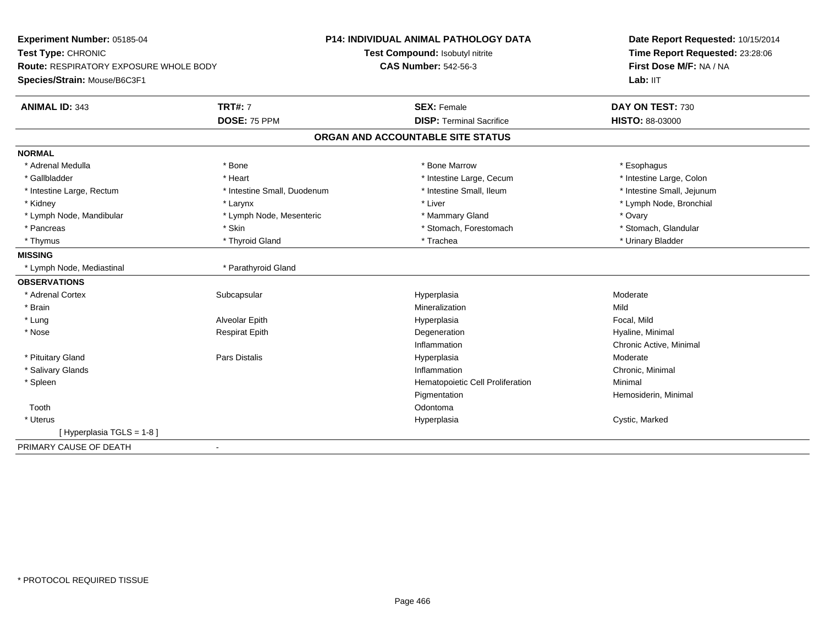| Experiment Number: 05185-04<br>Test Type: CHRONIC |                             | <b>P14: INDIVIDUAL ANIMAL PATHOLOGY DATA</b><br>Test Compound: Isobutyl nitrite | Date Report Requested: 10/15/2014<br>Time Report Requested: 23:28:06<br>First Dose M/F: NA / NA |  |
|---------------------------------------------------|-----------------------------|---------------------------------------------------------------------------------|-------------------------------------------------------------------------------------------------|--|
| Route: RESPIRATORY EXPOSURE WHOLE BODY            |                             | <b>CAS Number: 542-56-3</b>                                                     |                                                                                                 |  |
| Species/Strain: Mouse/B6C3F1                      |                             |                                                                                 | Lab: IIT                                                                                        |  |
| <b>ANIMAL ID: 343</b>                             | <b>TRT#: 7</b>              | <b>SEX: Female</b>                                                              | DAY ON TEST: 730                                                                                |  |
|                                                   | DOSE: 75 PPM                | <b>DISP: Terminal Sacrifice</b>                                                 | HISTO: 88-03000                                                                                 |  |
|                                                   |                             | ORGAN AND ACCOUNTABLE SITE STATUS                                               |                                                                                                 |  |
| <b>NORMAL</b>                                     |                             |                                                                                 |                                                                                                 |  |
| * Adrenal Medulla                                 | * Bone                      | * Bone Marrow                                                                   | * Esophagus                                                                                     |  |
| * Gallbladder                                     | * Heart                     | * Intestine Large, Cecum                                                        | * Intestine Large, Colon                                                                        |  |
| * Intestine Large, Rectum                         | * Intestine Small, Duodenum | * Intestine Small, Ileum                                                        | * Intestine Small, Jejunum                                                                      |  |
| * Kidney                                          | * Larynx                    | * Liver                                                                         | * Lymph Node, Bronchial                                                                         |  |
| * Lymph Node, Mandibular                          | * Lymph Node, Mesenteric    | * Mammary Gland                                                                 | * Ovary                                                                                         |  |
| * Pancreas                                        | * Skin                      | * Stomach, Forestomach                                                          | * Stomach, Glandular                                                                            |  |
| * Thymus                                          | * Thyroid Gland             | * Trachea                                                                       | * Urinary Bladder                                                                               |  |
| <b>MISSING</b>                                    |                             |                                                                                 |                                                                                                 |  |
| * Lymph Node, Mediastinal                         | * Parathyroid Gland         |                                                                                 |                                                                                                 |  |
| <b>OBSERVATIONS</b>                               |                             |                                                                                 |                                                                                                 |  |
| * Adrenal Cortex                                  | Subcapsular                 | Hyperplasia                                                                     | Moderate                                                                                        |  |
| * Brain                                           |                             | Mineralization                                                                  | Mild                                                                                            |  |
| * Lung                                            | Alveolar Epith              | Hyperplasia                                                                     | Focal, Mild                                                                                     |  |
| * Nose                                            | <b>Respirat Epith</b>       | Degeneration                                                                    | Hyaline, Minimal                                                                                |  |
|                                                   |                             | Inflammation                                                                    | Chronic Active, Minimal                                                                         |  |
| * Pituitary Gland                                 | <b>Pars Distalis</b>        | Hyperplasia                                                                     | Moderate                                                                                        |  |
| * Salivary Glands                                 |                             | Inflammation                                                                    | Chronic, Minimal                                                                                |  |
| * Spleen                                          |                             | Hematopoietic Cell Proliferation                                                | Minimal                                                                                         |  |
|                                                   |                             | Pigmentation                                                                    | Hemosiderin, Minimal                                                                            |  |
| Tooth                                             |                             | Odontoma                                                                        |                                                                                                 |  |
| * Uterus                                          |                             | Hyperplasia                                                                     | Cystic, Marked                                                                                  |  |
| [Hyperplasia TGLS = 1-8]                          |                             |                                                                                 |                                                                                                 |  |
| PRIMARY CAUSE OF DEATH<br>$\blacksquare$          |                             |                                                                                 |                                                                                                 |  |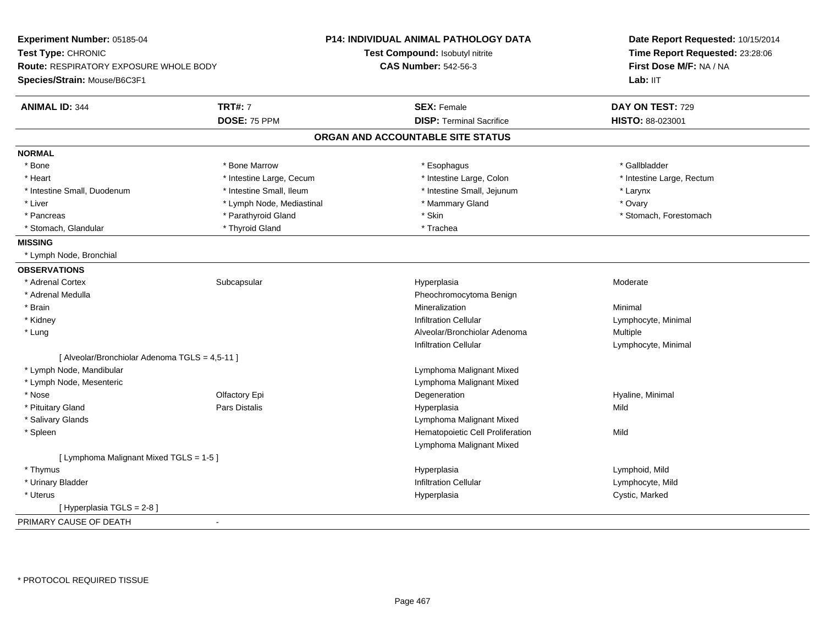| Experiment Number: 05185-04                    |                           | P14: INDIVIDUAL ANIMAL PATHOLOGY DATA | Date Report Requested: 10/15/2014<br>Time Report Requested: 23:28:06<br>First Dose M/F: NA / NA<br>Lab: II <sub>T</sub> |
|------------------------------------------------|---------------------------|---------------------------------------|-------------------------------------------------------------------------------------------------------------------------|
| Test Type: CHRONIC                             |                           | Test Compound: Isobutyl nitrite       |                                                                                                                         |
| <b>Route: RESPIRATORY EXPOSURE WHOLE BODY</b>  |                           | <b>CAS Number: 542-56-3</b>           |                                                                                                                         |
| Species/Strain: Mouse/B6C3F1                   |                           |                                       |                                                                                                                         |
| <b>ANIMAL ID: 344</b>                          | <b>TRT#: 7</b>            | <b>SEX: Female</b>                    | DAY ON TEST: 729                                                                                                        |
|                                                | DOSE: 75 PPM              | <b>DISP: Terminal Sacrifice</b>       | HISTO: 88-023001                                                                                                        |
|                                                |                           | ORGAN AND ACCOUNTABLE SITE STATUS     |                                                                                                                         |
| <b>NORMAL</b>                                  |                           |                                       |                                                                                                                         |
| * Bone                                         | * Bone Marrow             | * Esophagus                           | * Gallbladder                                                                                                           |
| * Heart                                        | * Intestine Large, Cecum  | * Intestine Large, Colon              | * Intestine Large, Rectum                                                                                               |
| * Intestine Small, Duodenum                    | * Intestine Small, Ileum  | * Intestine Small, Jejunum            | * Larynx                                                                                                                |
| * Liver                                        | * Lymph Node, Mediastinal | * Mammary Gland                       | * Ovary                                                                                                                 |
| * Pancreas                                     | * Parathyroid Gland       | * Skin                                | * Stomach, Forestomach                                                                                                  |
| * Stomach, Glandular                           | * Thyroid Gland           | * Trachea                             |                                                                                                                         |
| <b>MISSING</b>                                 |                           |                                       |                                                                                                                         |
| * Lymph Node, Bronchial                        |                           |                                       |                                                                                                                         |
| <b>OBSERVATIONS</b>                            |                           |                                       |                                                                                                                         |
| * Adrenal Cortex                               | Subcapsular               | Hyperplasia                           | Moderate                                                                                                                |
| * Adrenal Medulla                              |                           | Pheochromocytoma Benign               |                                                                                                                         |
| * Brain                                        |                           | Mineralization                        | Minimal                                                                                                                 |
| * Kidney                                       |                           | <b>Infiltration Cellular</b>          | Lymphocyte, Minimal                                                                                                     |
| * Lung                                         |                           | Alveolar/Bronchiolar Adenoma          | Multiple                                                                                                                |
|                                                |                           | <b>Infiltration Cellular</b>          | Lymphocyte, Minimal                                                                                                     |
| [ Alveolar/Bronchiolar Adenoma TGLS = 4,5-11 ] |                           |                                       |                                                                                                                         |
| * Lymph Node, Mandibular                       |                           | Lymphoma Malignant Mixed              |                                                                                                                         |
| * Lymph Node, Mesenteric                       |                           | Lymphoma Malignant Mixed              |                                                                                                                         |
| * Nose                                         | Olfactory Epi             | Degeneration                          | Hyaline, Minimal                                                                                                        |
| * Pituitary Gland                              | Pars Distalis             | Hyperplasia                           | Mild                                                                                                                    |
| * Salivary Glands                              |                           | Lymphoma Malignant Mixed              |                                                                                                                         |
| * Spleen                                       |                           | Hematopoietic Cell Proliferation      | Mild                                                                                                                    |
|                                                |                           | Lymphoma Malignant Mixed              |                                                                                                                         |
| [ Lymphoma Malignant Mixed TGLS = 1-5 ]        |                           |                                       |                                                                                                                         |
| * Thymus                                       |                           | Hyperplasia                           | Lymphoid, Mild                                                                                                          |
| * Urinary Bladder                              |                           | <b>Infiltration Cellular</b>          | Lymphocyte, Mild                                                                                                        |
| * Uterus                                       |                           | Hyperplasia                           | Cystic, Marked                                                                                                          |
| [ Hyperplasia TGLS = 2-8 ]                     |                           |                                       |                                                                                                                         |
| PRIMARY CAUSE OF DEATH                         | $\sim$                    |                                       |                                                                                                                         |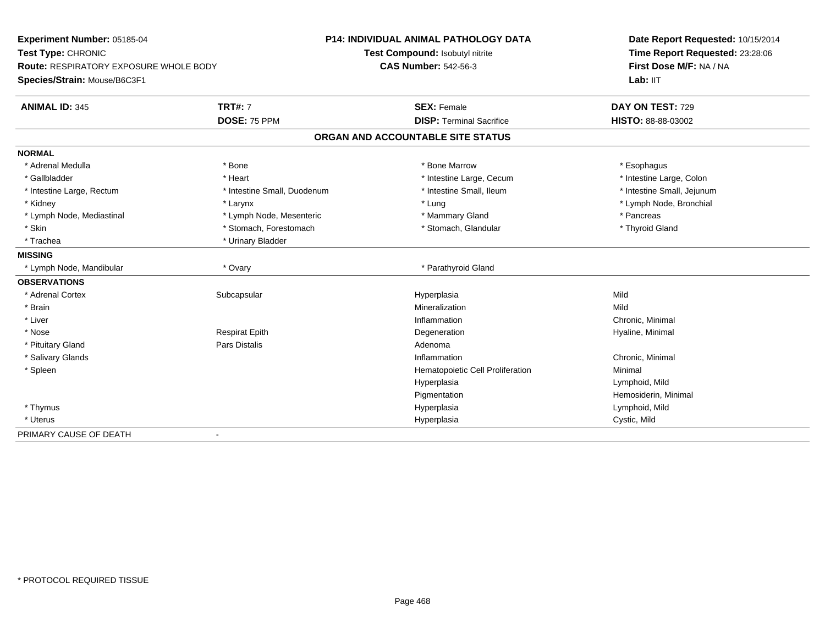| Experiment Number: 05185-04<br>Test Type: CHRONIC<br>Route: RESPIRATORY EXPOSURE WHOLE BODY |                             | <b>P14: INDIVIDUAL ANIMAL PATHOLOGY DATA</b> | Date Report Requested: 10/15/2014<br>Time Report Requested: 23:28:06<br>First Dose M/F: NA / NA |
|---------------------------------------------------------------------------------------------|-----------------------------|----------------------------------------------|-------------------------------------------------------------------------------------------------|
|                                                                                             |                             | Test Compound: Isobutyl nitrite              |                                                                                                 |
|                                                                                             |                             | <b>CAS Number: 542-56-3</b>                  |                                                                                                 |
| Species/Strain: Mouse/B6C3F1                                                                |                             |                                              | Lab: IIT                                                                                        |
| <b>ANIMAL ID: 345</b>                                                                       | <b>TRT#: 7</b>              | <b>SEX: Female</b>                           | DAY ON TEST: 729                                                                                |
|                                                                                             | DOSE: 75 PPM                | <b>DISP: Terminal Sacrifice</b>              | HISTO: 88-88-03002                                                                              |
|                                                                                             |                             | ORGAN AND ACCOUNTABLE SITE STATUS            |                                                                                                 |
| <b>NORMAL</b>                                                                               |                             |                                              |                                                                                                 |
| * Adrenal Medulla                                                                           | * Bone                      | * Bone Marrow                                | * Esophagus                                                                                     |
| * Gallbladder                                                                               | * Heart                     | * Intestine Large, Cecum                     | * Intestine Large, Colon                                                                        |
| * Intestine Large, Rectum                                                                   | * Intestine Small, Duodenum | * Intestine Small, Ileum                     | * Intestine Small, Jejunum                                                                      |
| * Kidney                                                                                    | * Larynx                    | * Lung                                       | * Lymph Node, Bronchial                                                                         |
| * Lymph Node, Mediastinal                                                                   | * Lymph Node, Mesenteric    | * Mammary Gland                              | * Pancreas                                                                                      |
| * Skin                                                                                      | * Stomach, Forestomach      | * Stomach, Glandular                         | * Thyroid Gland                                                                                 |
| * Trachea                                                                                   | * Urinary Bladder           |                                              |                                                                                                 |
| <b>MISSING</b>                                                                              |                             |                                              |                                                                                                 |
| * Lymph Node, Mandibular                                                                    | * Ovary                     | * Parathyroid Gland                          |                                                                                                 |
| <b>OBSERVATIONS</b>                                                                         |                             |                                              |                                                                                                 |
| * Adrenal Cortex                                                                            | Subcapsular                 | Hyperplasia                                  | Mild                                                                                            |
| * Brain                                                                                     |                             | Mineralization                               | Mild                                                                                            |
| * Liver                                                                                     |                             | Inflammation                                 | Chronic, Minimal                                                                                |
| * Nose                                                                                      | <b>Respirat Epith</b>       | Degeneration                                 | Hyaline, Minimal                                                                                |
| * Pituitary Gland                                                                           | <b>Pars Distalis</b>        | Adenoma                                      |                                                                                                 |
| * Salivary Glands                                                                           |                             | Inflammation                                 | Chronic, Minimal                                                                                |
| * Spleen                                                                                    |                             | Hematopoietic Cell Proliferation             | Minimal                                                                                         |
|                                                                                             |                             | Hyperplasia                                  | Lymphoid, Mild                                                                                  |
|                                                                                             |                             | Pigmentation                                 | Hemosiderin, Minimal                                                                            |
| * Thymus                                                                                    |                             | Hyperplasia                                  | Lymphoid, Mild                                                                                  |
| * Uterus                                                                                    |                             | Hyperplasia                                  | Cystic, Mild                                                                                    |
| PRIMARY CAUSE OF DEATH                                                                      | $\overline{\phantom{a}}$    |                                              |                                                                                                 |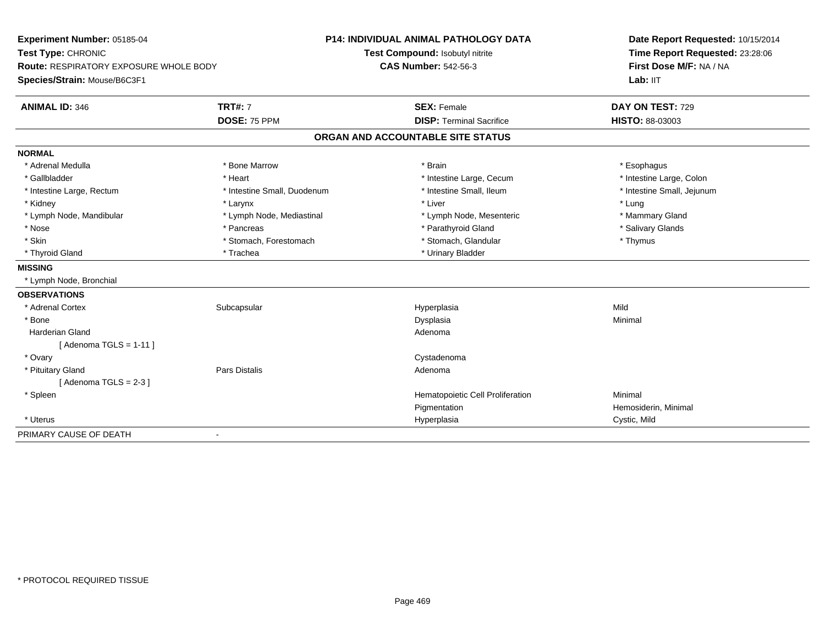| Experiment Number: 05185-04            |                             | <b>P14: INDIVIDUAL ANIMAL PATHOLOGY DATA</b> | Date Report Requested: 10/15/2014 |
|----------------------------------------|-----------------------------|----------------------------------------------|-----------------------------------|
| Test Type: CHRONIC                     |                             | Test Compound: Isobutyl nitrite              | Time Report Requested: 23:28:06   |
| Route: RESPIRATORY EXPOSURE WHOLE BODY |                             | <b>CAS Number: 542-56-3</b>                  | First Dose M/F: NA / NA           |
| Species/Strain: Mouse/B6C3F1           |                             |                                              | Lab: IIT                          |
| <b>ANIMAL ID: 346</b>                  | <b>TRT#: 7</b>              | <b>SEX: Female</b>                           | DAY ON TEST: 729                  |
|                                        | DOSE: 75 PPM                | <b>DISP: Terminal Sacrifice</b>              | <b>HISTO: 88-03003</b>            |
|                                        |                             | ORGAN AND ACCOUNTABLE SITE STATUS            |                                   |
| <b>NORMAL</b>                          |                             |                                              |                                   |
| * Adrenal Medulla                      | * Bone Marrow               | * Brain                                      | * Esophagus                       |
| * Gallbladder                          | * Heart                     | * Intestine Large, Cecum                     | * Intestine Large, Colon          |
| * Intestine Large, Rectum              | * Intestine Small, Duodenum | * Intestine Small, Ileum                     | * Intestine Small, Jejunum        |
| * Kidney                               | * Larynx                    | * Liver                                      | * Lung                            |
| * Lymph Node, Mandibular               | * Lymph Node, Mediastinal   | * Lymph Node, Mesenteric                     | * Mammary Gland                   |
| * Nose                                 | * Pancreas                  | * Parathyroid Gland                          | * Salivary Glands                 |
| * Skin                                 | * Stomach, Forestomach      | * Stomach, Glandular                         | * Thymus                          |
| * Thyroid Gland                        | * Trachea                   | * Urinary Bladder                            |                                   |
| <b>MISSING</b>                         |                             |                                              |                                   |
| * Lymph Node, Bronchial                |                             |                                              |                                   |
| <b>OBSERVATIONS</b>                    |                             |                                              |                                   |
| * Adrenal Cortex                       | Subcapsular                 | Hyperplasia                                  | Mild                              |
| * Bone                                 |                             | Dysplasia                                    | Minimal                           |
| <b>Harderian Gland</b>                 |                             | Adenoma                                      |                                   |
| [Adenoma TGLS = $1-11$ ]               |                             |                                              |                                   |
| * Ovary                                |                             | Cystadenoma                                  |                                   |
| * Pituitary Gland                      | <b>Pars Distalis</b>        | Adenoma                                      |                                   |
| [Adenoma TGLS = $2-3$ ]                |                             |                                              |                                   |
| * Spleen                               |                             | Hematopoietic Cell Proliferation             | Minimal                           |
|                                        |                             | Pigmentation                                 | Hemosiderin, Minimal              |
| * Uterus                               |                             | Hyperplasia                                  | Cystic, Mild                      |
| PRIMARY CAUSE OF DEATH                 | $\blacksquare$              |                                              |                                   |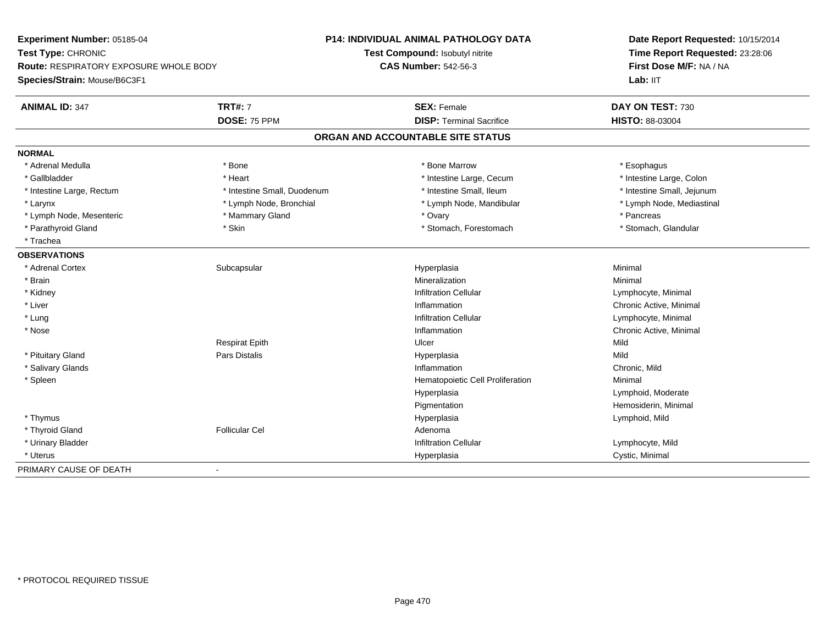**Experiment Number:** 05185-04**Test Type:** CHRONIC **Route:** RESPIRATORY EXPOSURE WHOLE BODY**Species/Strain:** Mouse/B6C3F1**P14: INDIVIDUAL ANIMAL PATHOLOGY DATATest Compound:** Isobutyl nitrite**CAS Number:** 542-56-3**Date Report Requested:** 10/15/2014**Time Report Requested:** 23:28:06**First Dose M/F:** NA / NALab: IIT **ANIMAL ID:** 347**TRT#:** 7 **SEX:** Female **SEX: Female DAY ON TEST:** 730 **DOSE:** 75 PPM**DISP:** Terminal Sacrifice **HISTO:** 88-03004 **ORGAN AND ACCOUNTABLE SITE STATUSNORMAL**\* Adrenal Medulla \* Adrenal Medulla \* \* The matter of the state of the state of the state of the state of the state of the state of the state of the state of the state of the state of the state of the state of the state of the state of the \* Intestine Large, Colon \* Gallbladder \* The mode of the state of the state of the state of the state of the state of the state of the state of the state of the state of the state of the state of the state of the state of the state of the state of \* Intestine Large, Rectum \* Thestine Small, Duodenum \* Number of the small, Ileum \* Intestine Small, Jejunum \* Intestine Small, Jejunum \* Lymph Node, Mediastinal \* Larynx **\*** Lymph Node, Bronchial \* Lymph Node, Mandibular \* Lymph Node, Mandibular \* Lymph Node, Mesenteric \* Mammary Gland \* Ovary \* Pancreas\* Stomach, Glandular \* Parathyroid Gland \* Stomach, Forestomach \* Skin \* Skin \* Stomach, Forestomach \* Stomach, Forestomach \* Trachea**OBSERVATIONS** \* Adrenal Cortexx Subcapsular Suberty Subsets and the Hyperplasia a and a studies of the studies of the Minimal \* Brainn and the controller of the controller of the Mineralization and the controller of the Minimal of the Minimal <br>The Minimal of the controller of the controller of the controller of the controller of the controller of the c \* Kidneyy the contract of the contract of the contract of the contract of the contract of the contract of the contract of  $\mathsf{Lymphocyte}$ , Minimal \* Liver**Inflammation** Inflammation **Chronic Active, Minimal**<br>
Infiltration Cellular **New York Contract Contract Contract Contract Contract Contract Contract Contract Contract**<br>
Lymphocyte, Minimal \* Lungg is a constant of the contract of the construction Cellular construction Cellular construction Cellular construction  $\mathsf{Lymphocyte}$ , Minimal \* Nosee the contraction of the contraction of the contraction of the contraction of the contraction of  $\mathsf{C}$   $\mathsf{A}$   $\mathsf{C}$   $\mathsf{A}$   $\mathsf{C}$   $\mathsf{A}$   $\mathsf{C}$   $\mathsf{A}$   $\mathsf{C}$   $\mathsf{A}$   $\mathsf{C}$   $\mathsf{A}$   $\mathsf{C}$   $\mathsf{A}$ Respirat Epithh Dicer and Dicertification of the Mild \* Pituitary Gland Pars Distalis Hyperplasia Mild \* Salivary Glandss and the contract of the contract of the contract of the contract of the contract of the contract of the contract of the contract of the contract of the contract of the contract of the contract of the contract of the cont Inflammation **Chronic**, Mild \* SpleenHematopoietic Cell Proliferation Minimal Hyperplasia Lymphoid, Moderate Pigmentation Hemosiderin, Minimal \* Thymus Hyperplasia Lymphoid, Mild \* Thyroid Glandd and the set of the Follicular Cel the set of the Second Adenomal Adenomal Second Second Second Second Second Second Second Second Second Second Second Second Second Second Second Second Second Second Second Second Second \* Urinary Bladderr and the contract of the contract of the contract of the contract of the contract of the contract of the contract of the contract of the contract of the contract of the contract of the contract of the contract of the cont \* Uteruss and the contract of the contract of the contract of the contract of the contract of the contract of the contract of the contract of the contract of the contract of the contract of the contract of the contract of the cont Hyperplasia **Cystic, Minimal** PRIMARY CAUSE OF DEATH-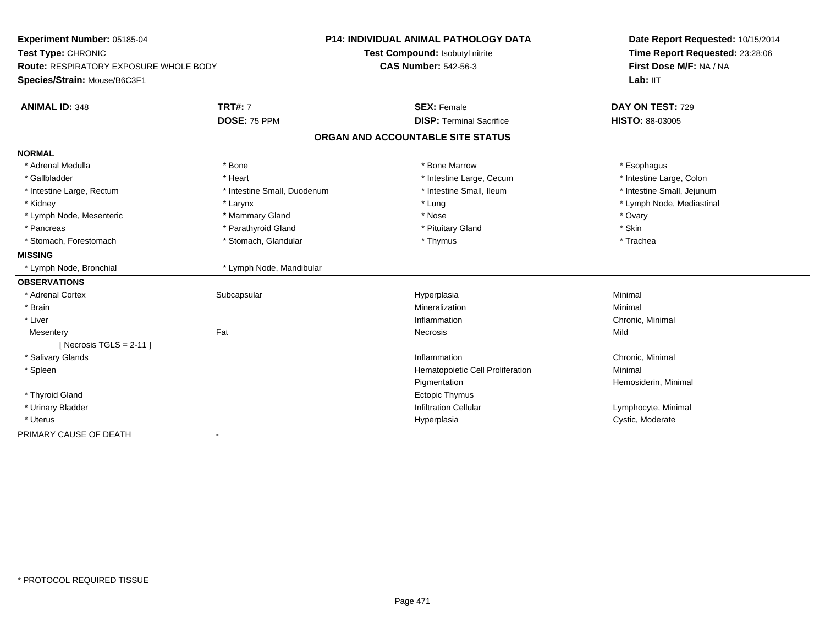| Experiment Number: 05185-04            |                             | <b>P14: INDIVIDUAL ANIMAL PATHOLOGY DATA</b> | Date Report Requested: 10/15/2014                          |
|----------------------------------------|-----------------------------|----------------------------------------------|------------------------------------------------------------|
| Test Type: CHRONIC                     |                             | Test Compound: Isobutyl nitrite              | Time Report Requested: 23:28:06<br>First Dose M/F: NA / NA |
| Route: RESPIRATORY EXPOSURE WHOLE BODY |                             | <b>CAS Number: 542-56-3</b>                  |                                                            |
| Species/Strain: Mouse/B6C3F1           |                             |                                              | Lab: IIT                                                   |
| <b>ANIMAL ID: 348</b>                  | <b>TRT#: 7</b>              | <b>SEX: Female</b>                           | DAY ON TEST: 729                                           |
|                                        | <b>DOSE: 75 PPM</b>         | <b>DISP: Terminal Sacrifice</b>              | <b>HISTO: 88-03005</b>                                     |
|                                        |                             | ORGAN AND ACCOUNTABLE SITE STATUS            |                                                            |
| <b>NORMAL</b>                          |                             |                                              |                                                            |
| * Adrenal Medulla                      | * Bone                      | * Bone Marrow                                | * Esophagus                                                |
| * Gallbladder                          | * Heart                     | * Intestine Large, Cecum                     | * Intestine Large, Colon                                   |
| * Intestine Large, Rectum              | * Intestine Small, Duodenum | * Intestine Small, Ileum                     | * Intestine Small, Jejunum                                 |
| * Kidney                               | * Larynx                    | * Lung                                       | * Lymph Node, Mediastinal                                  |
| * Lymph Node, Mesenteric               | * Mammary Gland             | * Nose                                       | * Ovary                                                    |
| * Pancreas                             | * Parathyroid Gland         | * Pituitary Gland                            | * Skin                                                     |
| * Stomach, Forestomach                 | * Stomach, Glandular        | * Thymus                                     | * Trachea                                                  |
| <b>MISSING</b>                         |                             |                                              |                                                            |
| * Lymph Node, Bronchial                | * Lymph Node, Mandibular    |                                              |                                                            |
| <b>OBSERVATIONS</b>                    |                             |                                              |                                                            |
| * Adrenal Cortex                       | Subcapsular                 | Hyperplasia                                  | Minimal                                                    |
| * Brain                                |                             | Mineralization                               | Minimal                                                    |
| * Liver                                |                             | Inflammation                                 | Chronic, Minimal                                           |
| Mesentery                              | Fat                         | Necrosis                                     | Mild                                                       |
| [Necrosis TGLS = $2-11$ ]              |                             |                                              |                                                            |
| * Salivary Glands                      |                             | Inflammation                                 | Chronic, Minimal                                           |
| * Spleen                               |                             | Hematopoietic Cell Proliferation             | Minimal                                                    |
|                                        |                             | Pigmentation                                 | Hemosiderin, Minimal                                       |
| * Thyroid Gland                        |                             | <b>Ectopic Thymus</b>                        |                                                            |
| * Urinary Bladder                      |                             | <b>Infiltration Cellular</b>                 | Lymphocyte, Minimal                                        |
| * Uterus                               |                             | Hyperplasia                                  | Cystic, Moderate                                           |
| PRIMARY CAUSE OF DEATH                 | $\blacksquare$              |                                              |                                                            |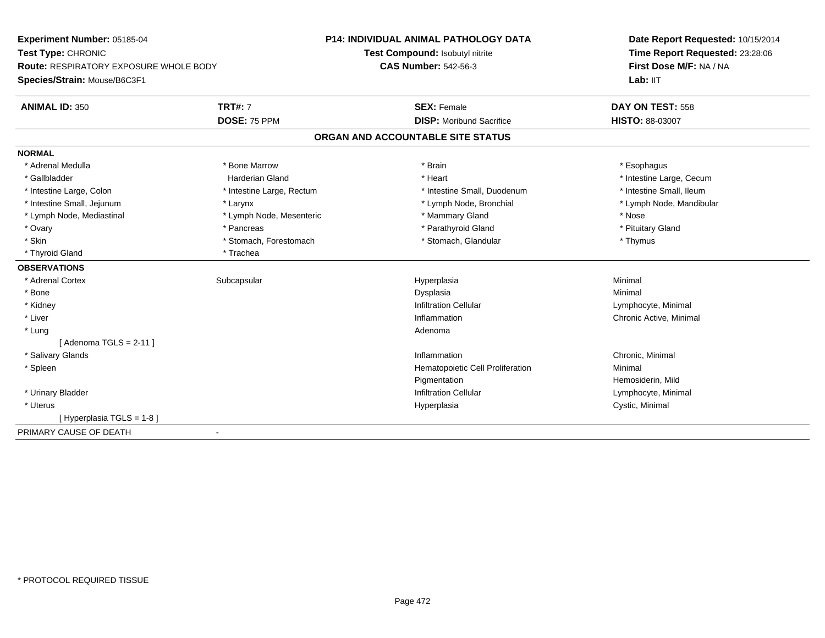| Experiment Number: 05185-04<br>Test Type: CHRONIC<br><b>Route: RESPIRATORY EXPOSURE WHOLE BODY</b> |                           | <b>P14: INDIVIDUAL ANIMAL PATHOLOGY DATA</b> | Date Report Requested: 10/15/2014<br>Time Report Requested: 23:28:06 |
|----------------------------------------------------------------------------------------------------|---------------------------|----------------------------------------------|----------------------------------------------------------------------|
|                                                                                                    |                           | Test Compound: Isobutyl nitrite              |                                                                      |
|                                                                                                    |                           | <b>CAS Number: 542-56-3</b>                  | First Dose M/F: NA / NA                                              |
| Species/Strain: Mouse/B6C3F1                                                                       |                           |                                              | Lab: IIT                                                             |
| <b>ANIMAL ID: 350</b>                                                                              | <b>TRT#: 7</b>            | <b>SEX: Female</b>                           | DAY ON TEST: 558                                                     |
|                                                                                                    | DOSE: 75 PPM              | <b>DISP:</b> Moribund Sacrifice              | <b>HISTO: 88-03007</b>                                               |
|                                                                                                    |                           | ORGAN AND ACCOUNTABLE SITE STATUS            |                                                                      |
| <b>NORMAL</b>                                                                                      |                           |                                              |                                                                      |
| * Adrenal Medulla                                                                                  | * Bone Marrow             | * Brain                                      | * Esophagus                                                          |
| * Gallbladder                                                                                      | <b>Harderian Gland</b>    | * Heart                                      | * Intestine Large, Cecum                                             |
| * Intestine Large, Colon                                                                           | * Intestine Large, Rectum | * Intestine Small, Duodenum                  | * Intestine Small, Ileum                                             |
| * Intestine Small, Jejunum                                                                         | * Larynx                  | * Lymph Node, Bronchial                      | * Lymph Node, Mandibular                                             |
| * Lymph Node, Mediastinal                                                                          | * Lymph Node, Mesenteric  | * Mammary Gland                              | * Nose                                                               |
| * Ovary                                                                                            | * Pancreas                | * Parathyroid Gland                          | * Pituitary Gland                                                    |
| * Skin                                                                                             | * Stomach, Forestomach    | * Stomach, Glandular                         | * Thymus                                                             |
| * Thyroid Gland                                                                                    | * Trachea                 |                                              |                                                                      |
| <b>OBSERVATIONS</b>                                                                                |                           |                                              |                                                                      |
| * Adrenal Cortex                                                                                   | Subcapsular               | Hyperplasia                                  | Minimal                                                              |
| * Bone                                                                                             |                           | Dysplasia                                    | Minimal                                                              |
| * Kidney                                                                                           |                           | <b>Infiltration Cellular</b>                 | Lymphocyte, Minimal                                                  |
| * Liver                                                                                            |                           | Inflammation                                 | Chronic Active, Minimal                                              |
| * Lung                                                                                             |                           | Adenoma                                      |                                                                      |
| [Adenoma TGLS = $2-11$ ]                                                                           |                           |                                              |                                                                      |
| * Salivary Glands                                                                                  |                           | Inflammation                                 | Chronic, Minimal                                                     |
| * Spleen                                                                                           |                           | Hematopoietic Cell Proliferation             | Minimal                                                              |
|                                                                                                    |                           | Pigmentation                                 | Hemosiderin, Mild                                                    |
| * Urinary Bladder                                                                                  |                           | <b>Infiltration Cellular</b>                 | Lymphocyte, Minimal                                                  |
| * Uterus                                                                                           |                           | Hyperplasia                                  | Cystic, Minimal                                                      |
| [Hyperplasia TGLS = 1-8]                                                                           |                           |                                              |                                                                      |
| PRIMARY CAUSE OF DEATH                                                                             | $\blacksquare$            |                                              |                                                                      |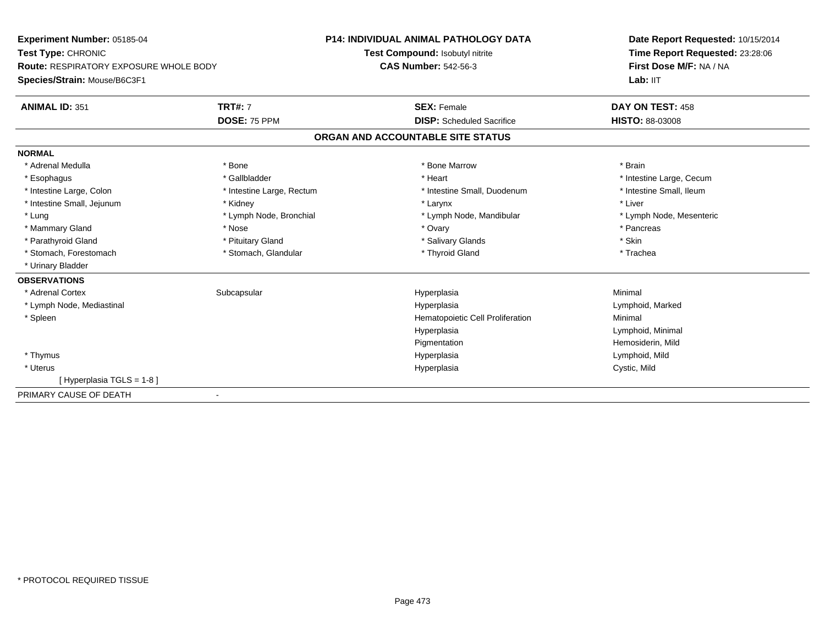**Experiment Number:** 05185-04**Test Type:** CHRONIC **Route:** RESPIRATORY EXPOSURE WHOLE BODY**Species/Strain:** Mouse/B6C3F1**P14: INDIVIDUAL ANIMAL PATHOLOGY DATATest Compound:** Isobutyl nitrite**CAS Number:** 542-56-3**Date Report Requested:** 10/15/2014**Time Report Requested:** 23:28:06**First Dose M/F:** NA / NALab: IIT **ANIMAL ID:** 351**TRT#:** 7 **SEX:** Female **DAY ON TEST:** 458 **DOSE:** 75 PPM **DISP:** Scheduled Sacrifice **HISTO:** 88-03008 **ORGAN AND ACCOUNTABLE SITE STATUSNORMAL**\* Adrenal Medulla \* \* Annual Medulla \* Brain \* Bone \* \* Bone Marrow \* Bone Marrow \* \* Brain \* Brain \* Brain \* Brain \* Brain \* Brain \* Brain \* Brain \* Brain \* Brain \* Brain \* Brain \* Brain \* Brain \* Brain \* Brain \* Brain \* \* Esophagus \* https://www.fragustage.com/web/2019/heart \* Heart \* Heart \* Heart \* Intestine Large, Cecum \* Intestine Large, Cecum \* Sallbladder \* The state of the state of the state of the state of the state of the state o \* Intestine Small, Ileum \* Intestine Large, Colon \* Intestine Large, Rectum \* Intestine Small, Duodenum \* Intestine Small, Duodenum \* Intestine Small, Jejunum \* \* Widney \* Kidney \* Larynx \* Larynx \* Larynx \* Larynx \* Liver \* Lung 
\* Lymph Node, Bronchial 
\* Lymph Node, andibular 
\* Lung 
\* Lymph Node, Mesenteric

\* Lung 
\* Lymph Node, Mesenteric \* Mammary Gland \* \* Andrew \* Nose \* \* Nose \* \* Ovary \* Ovary \* Ovary \* \* Ovary \* \* Pancreas \* \* Pancreas \* \* Pancreas \* \* Pancreas \* \* Pancreas \* \* Pancreas \* \* Pancreas \* \* Pancreas \* \* Pancreas \* \* Pancreas \* \* Pancreas \* Parathyroid Gland \* \* Pituitary Gland \* Thuitary Gland \* Salivary Glands \* Stin \* Skin \* Skin \* Skin \* Skin \* Skin \* Skin \* Skin \* Skin \* Skin \* Skin \* Skin \* Skin \* Skin \* Skin \* Skin \* Skin \* Skin \* Skin \* Skin \* Skin \* Trachea \* Stomach, Forestomach \* Thyroid Gland \* Stomach, Glandular \* Thyroid Gland \* Thyroid Gland \* Urinary Bladder**OBSERVATIONS** \* Adrenal Cortexx Subcapsular Suberty Subsets and the Hyperplasia a and a studies of the studies of the Minimal \* Lymph Node, Mediastinal Hyperplasia Lymphoid, Marked \* SpleenHematopoietic Cell Proliferation Minimal Hyperplasia Lymphoid, Minimal Pigmentation Hemosiderin, Mild \* Thymus HyperplasiaHyperplasia **Manufather Community** Lymphoid, Mild \* Uteruss and the contract of the contract of the contract of the contract of the contract of the contract of the contract of the contract of the contract of the contract of the contract of the contract of the contract of the cont Hyperplasia Cystic, Mild [ Hyperplasia TGLS = 1-8 ]PRIMARY CAUSE OF DEATH-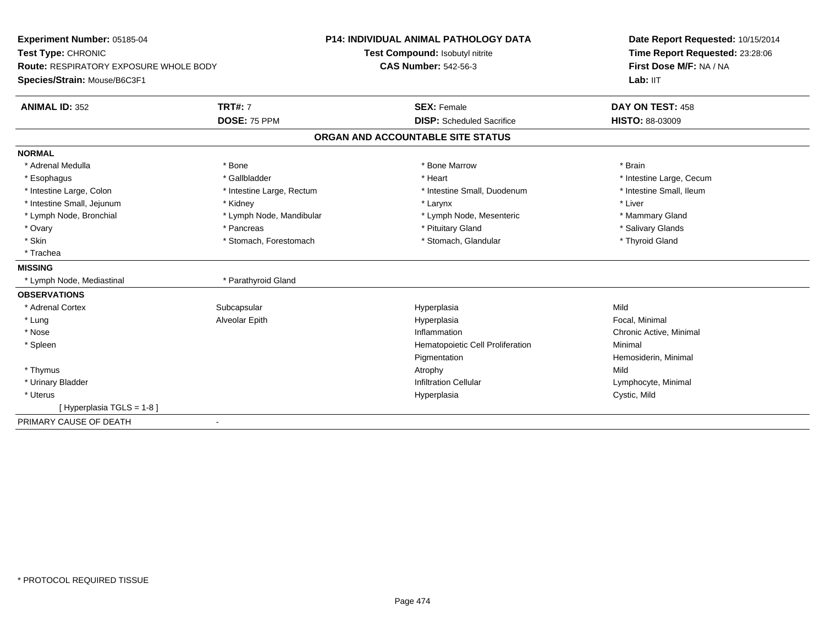| Experiment Number: 05185-04                   |                           | <b>P14: INDIVIDUAL ANIMAL PATHOLOGY DATA</b> | Date Report Requested: 10/15/2014                          |
|-----------------------------------------------|---------------------------|----------------------------------------------|------------------------------------------------------------|
| Test Type: CHRONIC                            |                           | Test Compound: Isobutyl nitrite              | Time Report Requested: 23:28:06<br>First Dose M/F: NA / NA |
| <b>Route: RESPIRATORY EXPOSURE WHOLE BODY</b> |                           | <b>CAS Number: 542-56-3</b>                  |                                                            |
| Species/Strain: Mouse/B6C3F1                  |                           |                                              | Lab: IIT                                                   |
| <b>ANIMAL ID: 352</b>                         | <b>TRT#: 7</b>            | <b>SEX: Female</b>                           | DAY ON TEST: 458                                           |
|                                               | <b>DOSE: 75 PPM</b>       | <b>DISP:</b> Scheduled Sacrifice             | HISTO: 88-03009                                            |
|                                               |                           | ORGAN AND ACCOUNTABLE SITE STATUS            |                                                            |
| <b>NORMAL</b>                                 |                           |                                              |                                                            |
| * Adrenal Medulla                             | * Bone                    | * Bone Marrow                                | * Brain                                                    |
| * Esophagus                                   | * Gallbladder             | * Heart                                      | * Intestine Large, Cecum                                   |
| * Intestine Large, Colon                      | * Intestine Large, Rectum | * Intestine Small, Duodenum                  | * Intestine Small, Ileum                                   |
| * Intestine Small, Jejunum                    | * Kidney                  | * Larynx                                     | * Liver                                                    |
| * Lymph Node, Bronchial                       | * Lymph Node, Mandibular  | * Lymph Node, Mesenteric                     | * Mammary Gland                                            |
| * Ovary                                       | * Pancreas                | * Pituitary Gland                            | * Salivary Glands                                          |
| * Skin                                        | * Stomach, Forestomach    | * Stomach, Glandular                         | * Thyroid Gland                                            |
| * Trachea                                     |                           |                                              |                                                            |
| <b>MISSING</b>                                |                           |                                              |                                                            |
| * Lymph Node, Mediastinal                     | * Parathyroid Gland       |                                              |                                                            |
| <b>OBSERVATIONS</b>                           |                           |                                              |                                                            |
| * Adrenal Cortex                              | Subcapsular               | Hyperplasia                                  | Mild                                                       |
| * Lung                                        | Alveolar Epith            | Hyperplasia                                  | Focal, Minimal                                             |
| * Nose                                        |                           | Inflammation                                 | Chronic Active, Minimal                                    |
| * Spleen                                      |                           | Hematopoietic Cell Proliferation             | Minimal                                                    |
|                                               |                           | Pigmentation                                 | Hemosiderin, Minimal                                       |
| * Thymus                                      |                           | Atrophy                                      | Mild                                                       |
| * Urinary Bladder                             |                           | <b>Infiltration Cellular</b>                 | Lymphocyte, Minimal                                        |
| * Uterus                                      |                           | Hyperplasia                                  | Cystic, Mild                                               |
| [Hyperplasia TGLS = 1-8]                      |                           |                                              |                                                            |
| PRIMARY CAUSE OF DEATH                        | $\blacksquare$            |                                              |                                                            |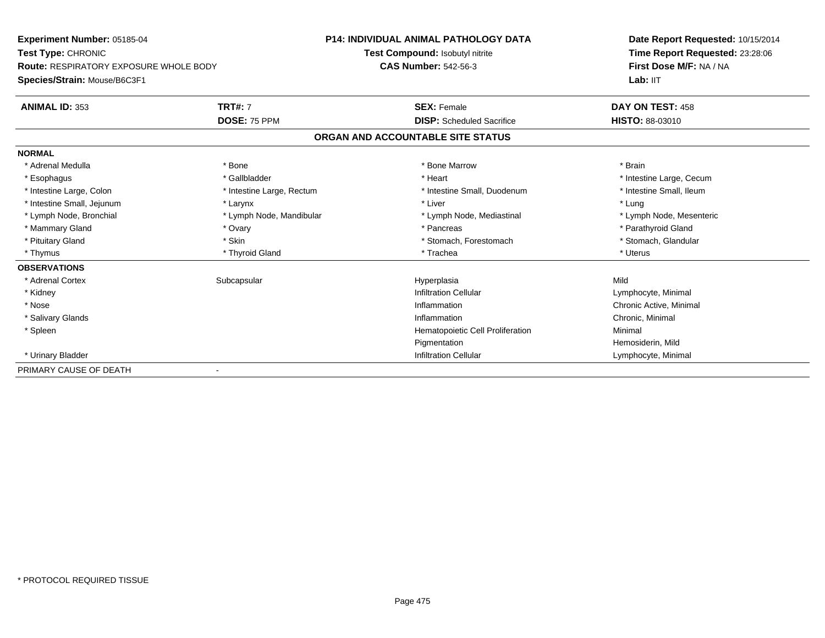**Experiment Number:** 05185-04**Test Type:** CHRONIC **Route:** RESPIRATORY EXPOSURE WHOLE BODY**Species/Strain:** Mouse/B6C3F1**P14: INDIVIDUAL ANIMAL PATHOLOGY DATATest Compound:** Isobutyl nitrite**CAS Number:** 542-56-3**Date Report Requested:** 10/15/2014**Time Report Requested:** 23:28:06**First Dose M/F:** NA / NALab: IIT **ANIMAL ID:** 353**TRT#:** 7 **SEX:** Female **SEX: Female DAY ON TEST:** 458 **DOSE:** 75 PPM **DISP:** Scheduled Sacrifice **HISTO:** 88-03010 **ORGAN AND ACCOUNTABLE SITE STATUSNORMAL**\* Adrenal Medulla \* \* Annual Medulla \* Brain \* Bone \* \* Bone Marrow \* Bone Marrow \* \* Brain \* Brain \* Brain \* Brain \* Brain \* Brain \* Brain \* Brain \* Brain \* Brain \* Brain \* Brain \* Brain \* Brain \* Brain \* Brain \* Brain \* \* Esophagus \* https://www.fragustage.com/web/2019/heart \* Heart \* Heart \* Heart \* Intestine Large, Cecum \* Intestine Large, Cecum \* Sallbladder \* The state of the state of the state of the state of the state of the state o \* Intestine Small, Ileum \* Intestine Large, Colon \* Intestine Large, Rectum \* Intestine Small, Duodenum \* Intestine Small, Duodenum \* Intestine Small, Jejunum \* Larynx \* Larynx \* Larynx \* Liver \* Liver \* Liver \* Liver \* Lung \* Lymph Node, Mesenteric \* Lymph Node, Bronchial \* Lymph Node, Mandibular \* Lymph Node, Mediastinal \* Lymph Node, Mediastinal \* Mammary Gland \* \* Andrew \* Ovary \* Andrew \* Ovary \* Pancreas \* Pancreas \* \* Pancreas \* \* Pancreas \* \* Pancreas \* \* Pancreas \* \* Pancreas \* \* Pancreas \* \* Pancreas \* \* Pancreas \* \* Pancreas \* \* Pancreas \* \* Pancreas \* \* P \* Stomach, Glandular \* Pituitary Gland \* Stomach, Forestomach \* Skin \* Skin \* Stomach \* Stomach, Forestomach \* Thymus \* Thyroid Gland \* Trachea \* Uterus **OBSERVATIONS** \* Adrenal Cortexx Subcapsular Suberty Subsets and the Hyperplasia a Mild \* Kidneyy the contract of the contract of the contract of the contract of the contract of the contract of the contract of  $\mathsf{Lymphocyte}$ , Minimal \* Nosee the contraction of the contraction of the contraction of the contraction of the contraction of  $\mathsf{C}$   $\mathsf{A}$   $\mathsf{C}$   $\mathsf{A}$   $\mathsf{C}$   $\mathsf{A}$   $\mathsf{C}$   $\mathsf{A}$   $\mathsf{C}$   $\mathsf{A}$   $\mathsf{C}$   $\mathsf{A}$   $\mathsf{C}$   $\mathsf{A}$  \* Salivary Glandss and the contract of the contract of the contract of the contract of the contract of the contract of the contract of the contract of the contract of the contract of the contract of the contract of the contract of the cont Inflammation Chronic, Minimal \* SpleenHematopoietic Cell Proliferation Minimal Pigmentation Hemosiderin, Mild \* Urinary BladderInfiltration Cellular **Lymphocyte**, Minimal PRIMARY CAUSE OF DEATH-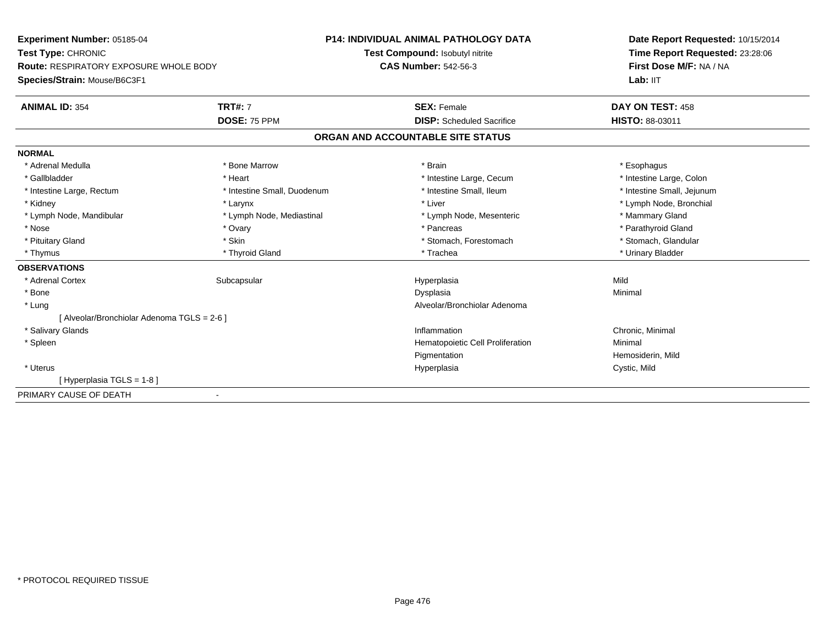**Experiment Number:** 05185-04**Test Type:** CHRONIC **Route:** RESPIRATORY EXPOSURE WHOLE BODY**Species/Strain:** Mouse/B6C3F1**P14: INDIVIDUAL ANIMAL PATHOLOGY DATATest Compound:** Isobutyl nitrite**CAS Number:** 542-56-3**Date Report Requested:** 10/15/2014**Time Report Requested:** 23:28:06**First Dose M/F:** NA / NALab: IIT **ANIMAL ID:** 354**TRT#:** 7 **SEX:** Female **DAY ON TEST:** 458 **DOSE:** 75 PPM **DISP:** Scheduled Sacrifice **HISTO:** 88-03011 **ORGAN AND ACCOUNTABLE SITE STATUSNORMAL**\* Adrenal Medulla \* Adrenal Medulla \* \* \* Bone Marrow \* \* Bone Marrow \* \* Brain \* \* Brain \* \* Brain \* \* Esophagus \* Esophagus \* Intestine Large, Colon \* Gallbladder \* The mode of the state of the state of the state of the state of the state of the state of the state of the state of the state of the state of the state of the state of the state of the state of the state of \* Intestine Small, Jejunum \* Intestine Large, Rectum \* Intestine Small, Duodenum \* Intestine Small, Ileum \* 1ntestine Small, Ileum \* Kidney \* Larynx \* Liver \* Lymph Node, Bronchial \* Lymph Node, Mandibular \* Lymph Node, Mediastinal \* Lymph Node, Mesenteric \* Mammary Gland \* Parathyroid Gland \* Nose \* Ovary \* Pancreas \* Parathyroid Gland \* Stomach. Glandular \* Pituitary Gland \* Stomach, Forestomach \* Skin \* Skin \* Stomach \* Stomach, Forestomach \* Thymus \* Thyroid Gland \* Trachea \* Urinary Bladder \* **OBSERVATIONS** \* Adrenal Cortexx Subcapsular Suberty Subsets and the Hyperplasia a Mild \* Bonee and the state of the state of the state of the Dysplasia Christian Christian Minimal Minimal State of the St \* Lung Alveolar/Bronchiolar Adenoma [ Alveolar/Bronchiolar Adenoma TGLS = 2-6 ] \* Salivary Glandss and the contract of the contract of the contract of the contract of the contract of the contract of the contract of the contract of the contract of the contract of the contract of the contract of the contract of the cont Inflammation<br>
Hematopoietic Cell Proliferation<br>
Minimal Minimal \* SpleenHematopoietic Cell Proliferation Pigmentation Hemosiderin, Mild \* Uteruss and the contract of the contract of the contract of the contract of the contract of the contract of the contract of the contract of the contract of the contract of the contract of the contract of the contract of the cont Hyperplasia Cystic, Mild [ Hyperplasia TGLS = 1-8 ]PRIMARY CAUSE OF DEATH-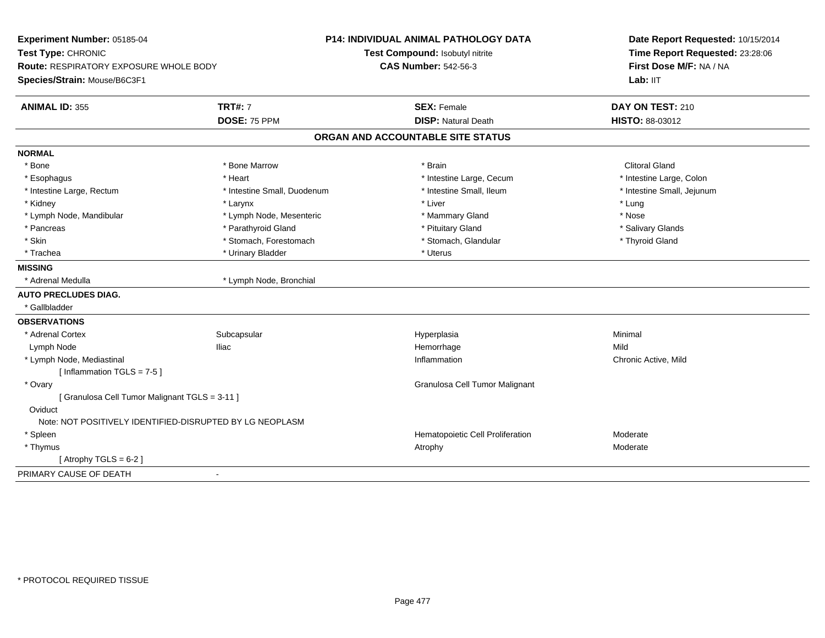| Experiment Number: 05185-04                              |                             | P14: INDIVIDUAL ANIMAL PATHOLOGY DATA | Date Report Requested: 10/15/2014<br>Time Report Requested: 23:28:06 |
|----------------------------------------------------------|-----------------------------|---------------------------------------|----------------------------------------------------------------------|
| Test Type: CHRONIC                                       |                             | Test Compound: Isobutyl nitrite       |                                                                      |
| Route: RESPIRATORY EXPOSURE WHOLE BODY                   |                             | <b>CAS Number: 542-56-3</b>           | First Dose M/F: NA / NA                                              |
| Species/Strain: Mouse/B6C3F1                             |                             |                                       | Lab: IIT                                                             |
| <b>ANIMAL ID: 355</b>                                    | <b>TRT#: 7</b>              | <b>SEX: Female</b>                    | DAY ON TEST: 210                                                     |
|                                                          | DOSE: 75 PPM                | <b>DISP: Natural Death</b>            | <b>HISTO: 88-03012</b>                                               |
|                                                          |                             | ORGAN AND ACCOUNTABLE SITE STATUS     |                                                                      |
| <b>NORMAL</b>                                            |                             |                                       |                                                                      |
| * Bone                                                   | * Bone Marrow               | * Brain                               | <b>Clitoral Gland</b>                                                |
| * Esophagus                                              | * Heart                     | * Intestine Large, Cecum              | * Intestine Large, Colon                                             |
| * Intestine Large, Rectum                                | * Intestine Small, Duodenum | * Intestine Small, Ileum              | * Intestine Small, Jejunum                                           |
| * Kidney                                                 | * Larynx                    | * Liver                               | * Lung                                                               |
| * Lymph Node, Mandibular                                 | * Lymph Node, Mesenteric    | * Mammary Gland                       | * Nose                                                               |
| * Pancreas                                               | * Parathyroid Gland         | * Pituitary Gland                     | * Salivary Glands                                                    |
| * Skin                                                   | * Stomach, Forestomach      | * Stomach, Glandular                  | * Thyroid Gland                                                      |
| * Trachea                                                | * Urinary Bladder           | * Uterus                              |                                                                      |
| <b>MISSING</b>                                           |                             |                                       |                                                                      |
| * Adrenal Medulla                                        | * Lymph Node, Bronchial     |                                       |                                                                      |
| <b>AUTO PRECLUDES DIAG.</b>                              |                             |                                       |                                                                      |
| * Gallbladder                                            |                             |                                       |                                                                      |
| <b>OBSERVATIONS</b>                                      |                             |                                       |                                                                      |
| * Adrenal Cortex                                         | Subcapsular                 | Hyperplasia                           | Minimal                                                              |
| Lymph Node                                               | <b>Iliac</b>                | Hemorrhage                            | Mild                                                                 |
| * Lymph Node, Mediastinal                                |                             | Inflammation                          | Chronic Active, Mild                                                 |
| [Inflammation TGLS = $7-5$ ]                             |                             |                                       |                                                                      |
| * Ovary                                                  |                             | Granulosa Cell Tumor Malignant        |                                                                      |
| [ Granulosa Cell Tumor Malignant TGLS = 3-11 ]           |                             |                                       |                                                                      |
| Oviduct                                                  |                             |                                       |                                                                      |
| Note: NOT POSITIVELY IDENTIFIED-DISRUPTED BY LG NEOPLASM |                             |                                       |                                                                      |
| * Spleen                                                 |                             | Hematopoietic Cell Proliferation      | Moderate                                                             |
| * Thymus                                                 |                             | Atrophy                               | Moderate                                                             |
| [Atrophy TGLS = $6-2$ ]                                  |                             |                                       |                                                                      |
| PRIMARY CAUSE OF DEATH                                   |                             |                                       |                                                                      |
|                                                          |                             |                                       |                                                                      |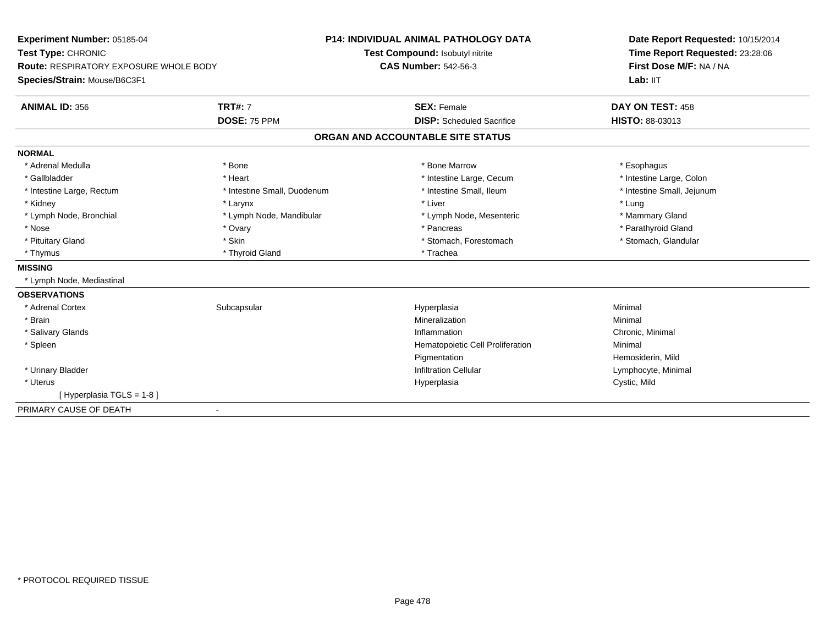| Experiment Number: 05185-04                   |                             | <b>P14: INDIVIDUAL ANIMAL PATHOLOGY DATA</b> | Date Report Requested: 10/15/2014 |  |
|-----------------------------------------------|-----------------------------|----------------------------------------------|-----------------------------------|--|
| Test Type: CHRONIC                            |                             | Test Compound: Isobutyl nitrite              | Time Report Requested: 23:28:06   |  |
| <b>Route: RESPIRATORY EXPOSURE WHOLE BODY</b> |                             | <b>CAS Number: 542-56-3</b>                  | First Dose M/F: NA / NA           |  |
| Species/Strain: Mouse/B6C3F1                  |                             |                                              | Lab: IIT                          |  |
| <b>ANIMAL ID: 356</b>                         | <b>TRT#: 7</b>              | <b>SEX: Female</b>                           | DAY ON TEST: 458                  |  |
|                                               | DOSE: 75 PPM                | <b>DISP:</b> Scheduled Sacrifice             | <b>HISTO: 88-03013</b>            |  |
|                                               |                             | ORGAN AND ACCOUNTABLE SITE STATUS            |                                   |  |
| <b>NORMAL</b>                                 |                             |                                              |                                   |  |
| * Adrenal Medulla                             | * Bone                      | * Bone Marrow                                | * Esophagus                       |  |
| * Gallbladder                                 | * Heart                     | * Intestine Large, Cecum                     | * Intestine Large, Colon          |  |
| * Intestine Large, Rectum                     | * Intestine Small, Duodenum | * Intestine Small, Ileum                     | * Intestine Small, Jejunum        |  |
| * Kidney                                      | * Larynx                    | * Liver                                      | * Lung                            |  |
| * Lymph Node, Bronchial                       | * Lymph Node, Mandibular    | * Lymph Node, Mesenteric                     | * Mammary Gland                   |  |
| * Nose                                        | * Ovary                     | * Pancreas                                   | * Parathyroid Gland               |  |
| * Pituitary Gland                             | * Skin                      | * Stomach, Forestomach                       | * Stomach, Glandular              |  |
| * Thymus                                      | * Thyroid Gland             | * Trachea                                    |                                   |  |
| <b>MISSING</b>                                |                             |                                              |                                   |  |
| * Lymph Node, Mediastinal                     |                             |                                              |                                   |  |
| <b>OBSERVATIONS</b>                           |                             |                                              |                                   |  |
| * Adrenal Cortex                              | Subcapsular                 | Hyperplasia                                  | Minimal                           |  |
| * Brain                                       |                             | Mineralization                               | Minimal                           |  |
| * Salivary Glands                             |                             | Inflammation                                 | Chronic, Minimal                  |  |
| * Spleen                                      |                             | Hematopoietic Cell Proliferation             | Minimal                           |  |
|                                               |                             | Pigmentation                                 | Hemosiderin, Mild                 |  |
| * Urinary Bladder                             |                             | <b>Infiltration Cellular</b>                 | Lymphocyte, Minimal               |  |
| * Uterus                                      |                             | Hyperplasia                                  | Cystic, Mild                      |  |
| [Hyperplasia TGLS = 1-8]                      |                             |                                              |                                   |  |
| PRIMARY CAUSE OF DEATH                        |                             |                                              |                                   |  |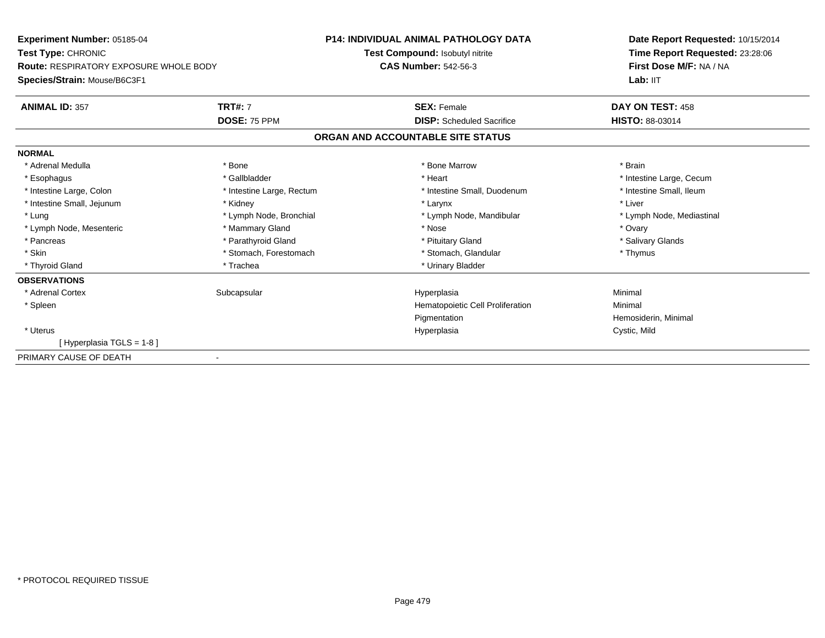| Experiment Number: 05185-04<br><b>Test Type: CHRONIC</b> |                           | <b>P14: INDIVIDUAL ANIMAL PATHOLOGY DATA</b> | Date Report Requested: 10/15/2014<br>Time Report Requested: 23:28:06 |
|----------------------------------------------------------|---------------------------|----------------------------------------------|----------------------------------------------------------------------|
|                                                          |                           | Test Compound: Isobutyl nitrite              |                                                                      |
| <b>Route: RESPIRATORY EXPOSURE WHOLE BODY</b>            |                           | <b>CAS Number: 542-56-3</b>                  | First Dose M/F: NA / NA                                              |
| Species/Strain: Mouse/B6C3F1                             |                           |                                              | Lab: IIT                                                             |
| <b>ANIMAL ID: 357</b>                                    | <b>TRT#: 7</b>            | <b>SEX: Female</b>                           | DAY ON TEST: 458                                                     |
|                                                          | DOSE: 75 PPM              | <b>DISP:</b> Scheduled Sacrifice             | <b>HISTO: 88-03014</b>                                               |
|                                                          |                           | ORGAN AND ACCOUNTABLE SITE STATUS            |                                                                      |
| <b>NORMAL</b>                                            |                           |                                              |                                                                      |
| * Adrenal Medulla                                        | * Bone                    | * Bone Marrow                                | * Brain                                                              |
| * Esophagus                                              | * Gallbladder             | * Heart                                      | * Intestine Large, Cecum                                             |
| * Intestine Large, Colon                                 | * Intestine Large, Rectum | * Intestine Small, Duodenum                  | * Intestine Small, Ileum                                             |
| * Intestine Small, Jejunum                               | * Kidney                  | * Larynx                                     | * Liver                                                              |
| * Lung                                                   | * Lymph Node, Bronchial   | * Lymph Node, Mandibular                     | * Lymph Node, Mediastinal                                            |
| * Lymph Node, Mesenteric                                 | * Mammary Gland           | * Nose                                       | * Ovary                                                              |
| * Pancreas                                               | * Parathyroid Gland       | * Pituitary Gland                            | * Salivary Glands                                                    |
| * Skin                                                   | * Stomach, Forestomach    | * Stomach, Glandular                         | * Thymus                                                             |
| * Thyroid Gland                                          | * Trachea                 | * Urinary Bladder                            |                                                                      |
| <b>OBSERVATIONS</b>                                      |                           |                                              |                                                                      |
| * Adrenal Cortex                                         | Subcapsular               | Hyperplasia                                  | Minimal                                                              |
| * Spleen                                                 |                           | Hematopoietic Cell Proliferation             | Minimal                                                              |
|                                                          |                           | Pigmentation                                 | Hemosiderin, Minimal                                                 |
| * Uterus                                                 |                           | Hyperplasia                                  | Cystic, Mild                                                         |
| [Hyperplasia TGLS = 1-8]                                 |                           |                                              |                                                                      |
| PRIMARY CAUSE OF DEATH                                   |                           |                                              |                                                                      |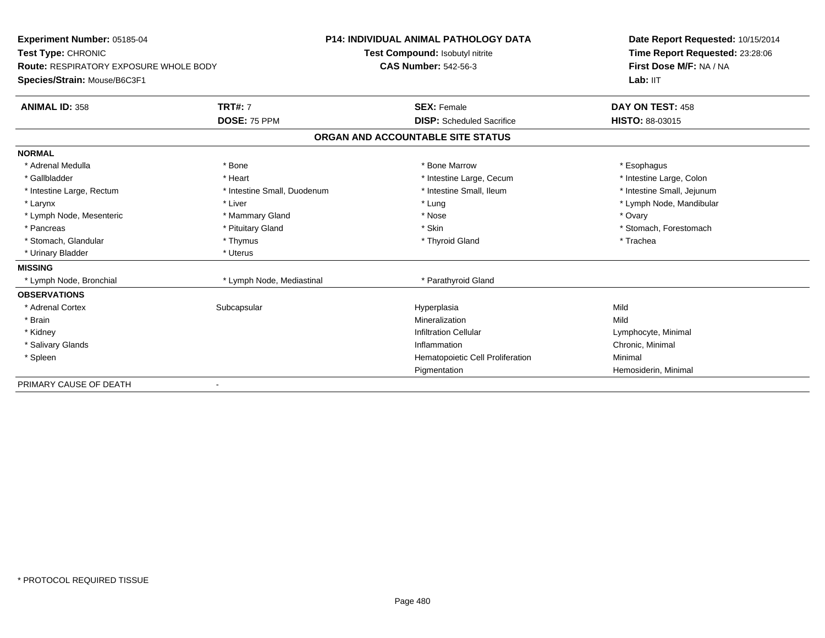| Experiment Number: 05185-04            |                             | <b>P14: INDIVIDUAL ANIMAL PATHOLOGY DATA</b> | Date Report Requested: 10/15/2014 |
|----------------------------------------|-----------------------------|----------------------------------------------|-----------------------------------|
| Test Type: CHRONIC                     |                             | Test Compound: Isobutyl nitrite              | Time Report Requested: 23:28:06   |
| Route: RESPIRATORY EXPOSURE WHOLE BODY |                             | <b>CAS Number: 542-56-3</b>                  | First Dose M/F: NA / NA           |
| Species/Strain: Mouse/B6C3F1           |                             |                                              | Lab: IIT                          |
| <b>ANIMAL ID: 358</b>                  | <b>TRT#: 7</b>              | <b>SEX: Female</b>                           | DAY ON TEST: 458                  |
|                                        | DOSE: 75 PPM                | <b>DISP:</b> Scheduled Sacrifice             | <b>HISTO: 88-03015</b>            |
|                                        |                             | ORGAN AND ACCOUNTABLE SITE STATUS            |                                   |
| <b>NORMAL</b>                          |                             |                                              |                                   |
| * Adrenal Medulla                      | * Bone                      | * Bone Marrow                                | * Esophagus                       |
| * Gallbladder                          | * Heart                     | * Intestine Large, Cecum                     | * Intestine Large, Colon          |
| * Intestine Large, Rectum              | * Intestine Small, Duodenum | * Intestine Small, Ileum                     | * Intestine Small, Jejunum        |
| * Larynx                               | * Liver                     | * Lung                                       | * Lymph Node, Mandibular          |
| * Lymph Node, Mesenteric               | * Mammary Gland             | * Nose                                       | * Ovary                           |
| * Pancreas                             | * Pituitary Gland           | * Skin                                       | * Stomach, Forestomach            |
| * Stomach, Glandular                   | * Thymus                    | * Thyroid Gland                              | * Trachea                         |
| * Urinary Bladder                      | * Uterus                    |                                              |                                   |
| <b>MISSING</b>                         |                             |                                              |                                   |
| * Lymph Node, Bronchial                | * Lymph Node, Mediastinal   | * Parathyroid Gland                          |                                   |
| <b>OBSERVATIONS</b>                    |                             |                                              |                                   |
| * Adrenal Cortex                       | Subcapsular                 | Hyperplasia                                  | Mild                              |
| * Brain                                |                             | Mineralization                               | Mild                              |
| * Kidney                               |                             | <b>Infiltration Cellular</b>                 | Lymphocyte, Minimal               |
| * Salivary Glands                      |                             | Inflammation                                 | Chronic, Minimal                  |
| * Spleen                               |                             | Hematopoietic Cell Proliferation             | Minimal                           |
|                                        |                             | Pigmentation                                 | Hemosiderin, Minimal              |
| PRIMARY CAUSE OF DEATH                 |                             |                                              |                                   |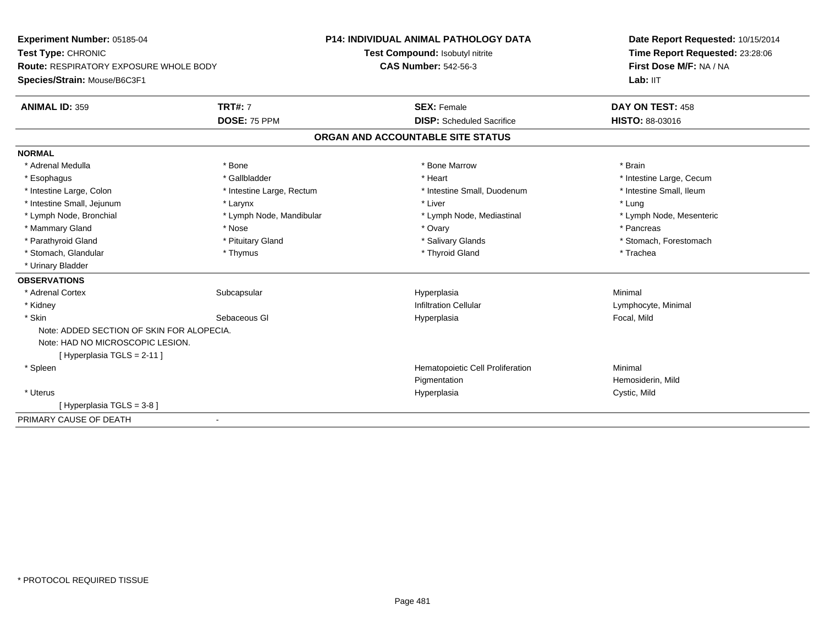**Experiment Number:** 05185-04**Test Type:** CHRONIC **Route:** RESPIRATORY EXPOSURE WHOLE BODY**Species/Strain:** Mouse/B6C3F1**P14: INDIVIDUAL ANIMAL PATHOLOGY DATATest Compound:** Isobutyl nitrite**CAS Number:** 542-56-3**Date Report Requested:** 10/15/2014**Time Report Requested:** 23:28:06**First Dose M/F:** NA / NALab: IIT **ANIMAL ID:** 359**TRT#:** 7 **SEX:** Female **SEX: Female DAY ON TEST:** 458 **DOSE:** 75 PPM **DISP:** Scheduled Sacrifice **HISTO:** 88-03016 **ORGAN AND ACCOUNTABLE SITE STATUSNORMAL**\* Adrenal Medulla \* \* Annual Medulla \* Brain \* Bone \* \* Bone Marrow \* Bone Marrow \* \* Brain \* Brain \* Brain \* Brain \* Brain \* Brain \* Brain \* Brain \* Brain \* Brain \* Brain \* Brain \* Brain \* Brain \* Brain \* Brain \* Brain \* \* Esophagus \* https://www.fragustage.com/web/2019/heart \* Heart \* Heart \* Heart \* Intestine Large, Cecum \* Intestine Large, Cecum \* Sallbladder \* The state of the state of the state of the state of the state of the state o \* Intestine Small, Ileum \* Intestine Large, Colon \* Intestine Large, Rectum \* Intestine Small, Duodenum \* Intestine Small, Duodenum \* Intestine Small, Jejunum \* Larynx \* Larynx \* Larynx \* Liver \* Liver \* Liver \* Liver \* Lung \* Lymph Node, Mesenteric \* Lymph Node, Bronchial \* Lymph Node, Mandibular \* Lymph Node, Mediastinal \* Lymph Node, Mediastinal \* Mammary Gland \* \* Andrew \* Nose \* \* Nose \* \* Ovary \* Ovary \* Ovary \* \* Ovary \* \* Pancreas \* \* Pancreas \* \* Pancreas \* \* Pancreas \* \* Pancreas \* \* Pancreas \* \* Pancreas \* \* Pancreas \* \* Pancreas \* \* Pancreas \* \* Pancreas \* Parathyroid Gland \* \* **All and \* Parathyroid Gland** \* Salivary Gland \* Salivary Glands \* Stomach, Forestomach \* Stomach, Glandular \* Thymus \* Thymus \* Thymus \* Thyroid Gland \* Thyroid Gland \* Thachea \* Urinary Bladder**OBSERVATIONS** \* Adrenal Cortexx Subcapsular Suberty Subsets and the Hyperplasia a and a studies of the studies of the Minimal \* Kidneyy the contract of the contract of the contract of the contract of the contract of the contract of the contract of  $\mathsf{Lymphocyte}$ , Minimal \* Skin Sebaceous Gl Hyperplasia Focal, Mild Note: ADDED SECTION OF SKIN FOR ALOPECIA.Note: HAD NO MICROSCOPIC LESION.[ Hyperplasia TGLS = 2-11 ] \* SpleenHematopoietic Cell Proliferation Minimal Pigmentation Hemosiderin, Mild \* Uteruss and the contract of the contract of the contract of the contract of the contract of the contract of the contract of the contract of the contract of the contract of the contract of the contract of the contract of the cont Cystic, Mild [ Hyperplasia TGLS = 3-8 ]PRIMARY CAUSE OF DEATH-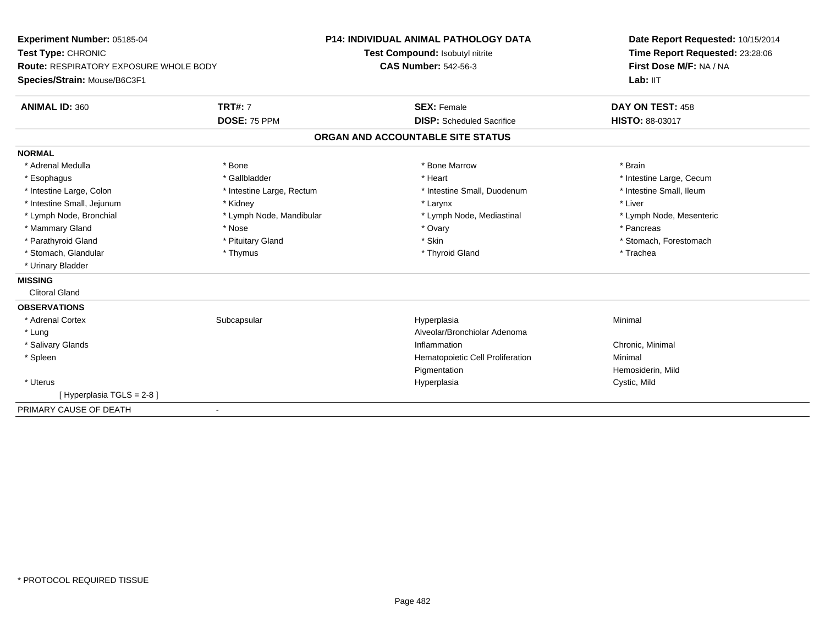**Experiment Number:** 05185-04**Test Type:** CHRONIC **Route:** RESPIRATORY EXPOSURE WHOLE BODY**Species/Strain:** Mouse/B6C3F1**P14: INDIVIDUAL ANIMAL PATHOLOGY DATATest Compound:** Isobutyl nitrite**CAS Number:** 542-56-3**Date Report Requested:** 10/15/2014**Time Report Requested:** 23:28:06**First Dose M/F:** NA / NALab: IIT **ANIMAL ID:** 360**C TRT#:** 7 **SEX:** Female **DAY ON TEST:** 458 **DOSE:** 75 PPM **DISP:** Scheduled Sacrifice **HISTO:** 88-03017 **ORGAN AND ACCOUNTABLE SITE STATUSNORMAL**\* Adrenal Medulla \* \* Annual Medulla \* Brain \* Bone \* \* Bone Marrow \* Bone Marrow \* \* Brain \* Brain \* Brain \* Brain \* Brain \* Brain \* Brain \* Brain \* Brain \* Brain \* Brain \* Brain \* Brain \* Brain \* Brain \* Brain \* Brain \* \* Esophagus \* https://www.fragustage.com/web/2019/heart \* Heart \* Heart \* Heart \* Intestine Large, Cecum \* Intestine Large, Cecum \* Sallbladder \* The state of the state of the state of the state of the state of the state o \* Intestine Small, Ileum \* Intestine Large, Colon \* Intestine Large, Rectum \* Intestine Small, Duodenum \* Intestine Small, Duodenum \* Intestine Small, Jejunum \* \* Widney \* Kidney \* Larynx \* Larynx \* Larynx \* Larynx \* Liver \* Liver \* Lymph Node, Bronchial \* Lymph Node, Mandibular \* Lymph Node, Mediastinal \* Lymph Node, Mesenteric\* Mammary Gland \* \* Andrew \* Nose \* \* Nose \* \* Ovary \* Ovary \* Ovary \* \* Ovary \* \* Pancreas \* \* Pancreas \* \* Pancreas \* \* Pancreas \* \* Pancreas \* \* Pancreas \* \* Pancreas \* \* Pancreas \* \* Pancreas \* \* Pancreas \* \* Pancreas \* Parathyroid Gland \* \* Pituitary Gland \* Pituitary Gland \* Skin \* Skin \* Stomach, Forestomach \* Stomach, Glandular \* Thymus \* Thymus \* Thymus \* Thyroid Gland \* Thyroid Gland \* Thachea \* Urinary Bladder**MISSING** Clitoral Gland**OBSERVATIONS** \* Adrenal Cortexx Subcapsular Subcapsular Subsets and Hyperplasia a **Minimal**  \* LungAlveolar/Bronchiolar Adenoma<br>Inflammation \* Salivary Glandss and the contract of the contract of the contract of the contract of the contract of the contract of the contract of the contract of the contract of the contract of the contract of the contract of the contract of the cont Chronic, Minimal \* SpleenHematopoietic Cell Proliferation PigmentationPigmentation<br>
Hemosiderin, Mild<br>
Hyperplasia<br>
Cystic, Mild \* Uteruss and the control of the control of the control of the control of the control of the control of the control of the control of the control of the control of the control of the control of the control of the control of the co Cystic, Mild [ Hyperplasia TGLS = 2-8 ]PRIMARY CAUSE OF DEATH-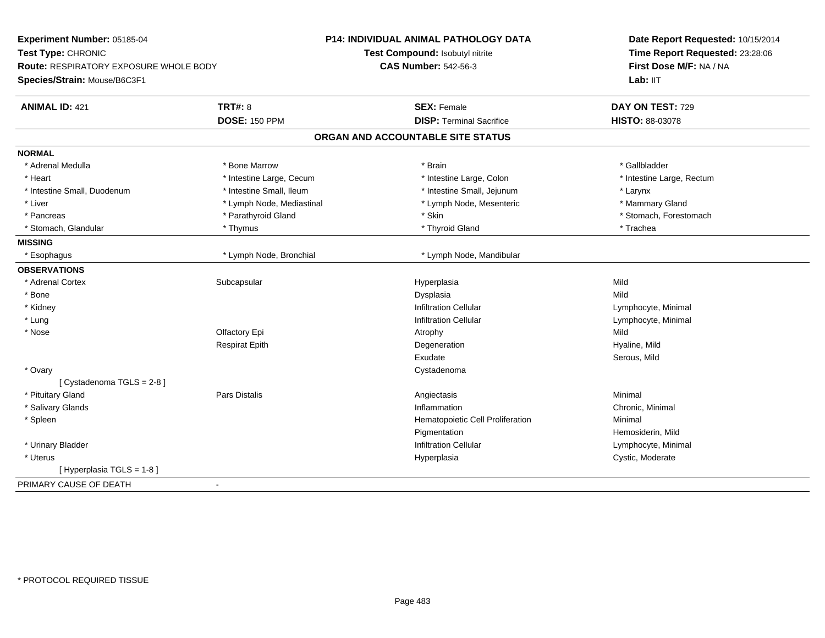| Test Compound: Isobutyl nitrite<br>Time Report Requested: 23:28:06<br>First Dose M/F: NA / NA<br><b>Route: RESPIRATORY EXPOSURE WHOLE BODY</b><br><b>CAS Number: 542-56-3</b><br>Lab: IIT<br><b>TRT#: 8</b><br>DAY ON TEST: 729<br><b>ANIMAL ID: 421</b><br><b>SEX: Female</b><br><b>DOSE: 150 PPM</b><br><b>DISP: Terminal Sacrifice</b><br>HISTO: 88-03078<br>ORGAN AND ACCOUNTABLE SITE STATUS<br>* Bone Marrow<br>* Gallbladder<br>* Adrenal Medulla<br>* Brain<br>* Intestine Large, Cecum<br>* Intestine Large, Colon<br>* Intestine Large, Rectum<br>* Heart<br>* Intestine Small, Duodenum<br>* Intestine Small, Ileum<br>* Intestine Small, Jejunum<br>* Larynx<br>* Mammary Gland<br>* Liver<br>* Lymph Node, Mediastinal<br>* Lymph Node, Mesenteric<br>* Parathyroid Gland<br>* Skin<br>* Stomach, Forestomach<br>* Pancreas<br>* Thyroid Gland<br>* Trachea<br>* Stomach, Glandular<br>* Thymus<br>* Lymph Node, Bronchial<br>* Lymph Node, Mandibular<br>* Esophagus<br>* Adrenal Cortex<br>Subcapsular<br>Mild<br>Hyperplasia<br>* Bone<br>Dysplasia<br>Mild<br>* Kidney<br><b>Infiltration Cellular</b><br>Lymphocyte, Minimal<br>* Lung<br><b>Infiltration Cellular</b><br>Lymphocyte, Minimal<br>* Nose<br>Olfactory Epi<br>Mild<br>Atrophy<br><b>Respirat Epith</b><br>Hyaline, Mild<br>Degeneration<br>Exudate<br>Serous, Mild<br>* Ovary<br>Cystadenoma<br>[ Cystadenoma TGLS = 2-8 ]<br>* Pituitary Gland<br><b>Pars Distalis</b><br>Minimal<br>Angiectasis<br>Inflammation<br>* Salivary Glands<br>Chronic, Minimal<br>* Spleen<br>Hematopoietic Cell Proliferation<br>Minimal<br>Pigmentation<br>Hemosiderin, Mild<br>* Urinary Bladder<br>Infiltration Cellular<br>Lymphocyte, Minimal<br>* Uterus<br>Cystic, Moderate<br>Hyperplasia<br>[ Hyperplasia TGLS = 1-8 ]<br>$\blacksquare$ | Experiment Number: 05185-04  | <b>P14: INDIVIDUAL ANIMAL PATHOLOGY DATA</b> | Date Report Requested: 10/15/2014 |  |
|----------------------------------------------------------------------------------------------------------------------------------------------------------------------------------------------------------------------------------------------------------------------------------------------------------------------------------------------------------------------------------------------------------------------------------------------------------------------------------------------------------------------------------------------------------------------------------------------------------------------------------------------------------------------------------------------------------------------------------------------------------------------------------------------------------------------------------------------------------------------------------------------------------------------------------------------------------------------------------------------------------------------------------------------------------------------------------------------------------------------------------------------------------------------------------------------------------------------------------------------------------------------------------------------------------------------------------------------------------------------------------------------------------------------------------------------------------------------------------------------------------------------------------------------------------------------------------------------------------------------------------------------------------------------------------------------------------------------------------------------------------------------------------------------------------------|------------------------------|----------------------------------------------|-----------------------------------|--|
|                                                                                                                                                                                                                                                                                                                                                                                                                                                                                                                                                                                                                                                                                                                                                                                                                                                                                                                                                                                                                                                                                                                                                                                                                                                                                                                                                                                                                                                                                                                                                                                                                                                                                                                                                                                                                | Test Type: CHRONIC           |                                              |                                   |  |
|                                                                                                                                                                                                                                                                                                                                                                                                                                                                                                                                                                                                                                                                                                                                                                                                                                                                                                                                                                                                                                                                                                                                                                                                                                                                                                                                                                                                                                                                                                                                                                                                                                                                                                                                                                                                                |                              |                                              |                                   |  |
|                                                                                                                                                                                                                                                                                                                                                                                                                                                                                                                                                                                                                                                                                                                                                                                                                                                                                                                                                                                                                                                                                                                                                                                                                                                                                                                                                                                                                                                                                                                                                                                                                                                                                                                                                                                                                | Species/Strain: Mouse/B6C3F1 |                                              |                                   |  |
|                                                                                                                                                                                                                                                                                                                                                                                                                                                                                                                                                                                                                                                                                                                                                                                                                                                                                                                                                                                                                                                                                                                                                                                                                                                                                                                                                                                                                                                                                                                                                                                                                                                                                                                                                                                                                |                              |                                              |                                   |  |
|                                                                                                                                                                                                                                                                                                                                                                                                                                                                                                                                                                                                                                                                                                                                                                                                                                                                                                                                                                                                                                                                                                                                                                                                                                                                                                                                                                                                                                                                                                                                                                                                                                                                                                                                                                                                                |                              |                                              |                                   |  |
|                                                                                                                                                                                                                                                                                                                                                                                                                                                                                                                                                                                                                                                                                                                                                                                                                                                                                                                                                                                                                                                                                                                                                                                                                                                                                                                                                                                                                                                                                                                                                                                                                                                                                                                                                                                                                |                              |                                              |                                   |  |
|                                                                                                                                                                                                                                                                                                                                                                                                                                                                                                                                                                                                                                                                                                                                                                                                                                                                                                                                                                                                                                                                                                                                                                                                                                                                                                                                                                                                                                                                                                                                                                                                                                                                                                                                                                                                                | <b>NORMAL</b>                |                                              |                                   |  |
|                                                                                                                                                                                                                                                                                                                                                                                                                                                                                                                                                                                                                                                                                                                                                                                                                                                                                                                                                                                                                                                                                                                                                                                                                                                                                                                                                                                                                                                                                                                                                                                                                                                                                                                                                                                                                |                              |                                              |                                   |  |
|                                                                                                                                                                                                                                                                                                                                                                                                                                                                                                                                                                                                                                                                                                                                                                                                                                                                                                                                                                                                                                                                                                                                                                                                                                                                                                                                                                                                                                                                                                                                                                                                                                                                                                                                                                                                                |                              |                                              |                                   |  |
|                                                                                                                                                                                                                                                                                                                                                                                                                                                                                                                                                                                                                                                                                                                                                                                                                                                                                                                                                                                                                                                                                                                                                                                                                                                                                                                                                                                                                                                                                                                                                                                                                                                                                                                                                                                                                |                              |                                              |                                   |  |
|                                                                                                                                                                                                                                                                                                                                                                                                                                                                                                                                                                                                                                                                                                                                                                                                                                                                                                                                                                                                                                                                                                                                                                                                                                                                                                                                                                                                                                                                                                                                                                                                                                                                                                                                                                                                                |                              |                                              |                                   |  |
|                                                                                                                                                                                                                                                                                                                                                                                                                                                                                                                                                                                                                                                                                                                                                                                                                                                                                                                                                                                                                                                                                                                                                                                                                                                                                                                                                                                                                                                                                                                                                                                                                                                                                                                                                                                                                |                              |                                              |                                   |  |
|                                                                                                                                                                                                                                                                                                                                                                                                                                                                                                                                                                                                                                                                                                                                                                                                                                                                                                                                                                                                                                                                                                                                                                                                                                                                                                                                                                                                                                                                                                                                                                                                                                                                                                                                                                                                                |                              |                                              |                                   |  |
|                                                                                                                                                                                                                                                                                                                                                                                                                                                                                                                                                                                                                                                                                                                                                                                                                                                                                                                                                                                                                                                                                                                                                                                                                                                                                                                                                                                                                                                                                                                                                                                                                                                                                                                                                                                                                | <b>MISSING</b>               |                                              |                                   |  |
|                                                                                                                                                                                                                                                                                                                                                                                                                                                                                                                                                                                                                                                                                                                                                                                                                                                                                                                                                                                                                                                                                                                                                                                                                                                                                                                                                                                                                                                                                                                                                                                                                                                                                                                                                                                                                |                              |                                              |                                   |  |
|                                                                                                                                                                                                                                                                                                                                                                                                                                                                                                                                                                                                                                                                                                                                                                                                                                                                                                                                                                                                                                                                                                                                                                                                                                                                                                                                                                                                                                                                                                                                                                                                                                                                                                                                                                                                                | <b>OBSERVATIONS</b>          |                                              |                                   |  |
|                                                                                                                                                                                                                                                                                                                                                                                                                                                                                                                                                                                                                                                                                                                                                                                                                                                                                                                                                                                                                                                                                                                                                                                                                                                                                                                                                                                                                                                                                                                                                                                                                                                                                                                                                                                                                |                              |                                              |                                   |  |
|                                                                                                                                                                                                                                                                                                                                                                                                                                                                                                                                                                                                                                                                                                                                                                                                                                                                                                                                                                                                                                                                                                                                                                                                                                                                                                                                                                                                                                                                                                                                                                                                                                                                                                                                                                                                                |                              |                                              |                                   |  |
|                                                                                                                                                                                                                                                                                                                                                                                                                                                                                                                                                                                                                                                                                                                                                                                                                                                                                                                                                                                                                                                                                                                                                                                                                                                                                                                                                                                                                                                                                                                                                                                                                                                                                                                                                                                                                |                              |                                              |                                   |  |
|                                                                                                                                                                                                                                                                                                                                                                                                                                                                                                                                                                                                                                                                                                                                                                                                                                                                                                                                                                                                                                                                                                                                                                                                                                                                                                                                                                                                                                                                                                                                                                                                                                                                                                                                                                                                                |                              |                                              |                                   |  |
|                                                                                                                                                                                                                                                                                                                                                                                                                                                                                                                                                                                                                                                                                                                                                                                                                                                                                                                                                                                                                                                                                                                                                                                                                                                                                                                                                                                                                                                                                                                                                                                                                                                                                                                                                                                                                |                              |                                              |                                   |  |
|                                                                                                                                                                                                                                                                                                                                                                                                                                                                                                                                                                                                                                                                                                                                                                                                                                                                                                                                                                                                                                                                                                                                                                                                                                                                                                                                                                                                                                                                                                                                                                                                                                                                                                                                                                                                                |                              |                                              |                                   |  |
|                                                                                                                                                                                                                                                                                                                                                                                                                                                                                                                                                                                                                                                                                                                                                                                                                                                                                                                                                                                                                                                                                                                                                                                                                                                                                                                                                                                                                                                                                                                                                                                                                                                                                                                                                                                                                |                              |                                              |                                   |  |
|                                                                                                                                                                                                                                                                                                                                                                                                                                                                                                                                                                                                                                                                                                                                                                                                                                                                                                                                                                                                                                                                                                                                                                                                                                                                                                                                                                                                                                                                                                                                                                                                                                                                                                                                                                                                                |                              |                                              |                                   |  |
|                                                                                                                                                                                                                                                                                                                                                                                                                                                                                                                                                                                                                                                                                                                                                                                                                                                                                                                                                                                                                                                                                                                                                                                                                                                                                                                                                                                                                                                                                                                                                                                                                                                                                                                                                                                                                |                              |                                              |                                   |  |
|                                                                                                                                                                                                                                                                                                                                                                                                                                                                                                                                                                                                                                                                                                                                                                                                                                                                                                                                                                                                                                                                                                                                                                                                                                                                                                                                                                                                                                                                                                                                                                                                                                                                                                                                                                                                                |                              |                                              |                                   |  |
|                                                                                                                                                                                                                                                                                                                                                                                                                                                                                                                                                                                                                                                                                                                                                                                                                                                                                                                                                                                                                                                                                                                                                                                                                                                                                                                                                                                                                                                                                                                                                                                                                                                                                                                                                                                                                |                              |                                              |                                   |  |
|                                                                                                                                                                                                                                                                                                                                                                                                                                                                                                                                                                                                                                                                                                                                                                                                                                                                                                                                                                                                                                                                                                                                                                                                                                                                                                                                                                                                                                                                                                                                                                                                                                                                                                                                                                                                                |                              |                                              |                                   |  |
|                                                                                                                                                                                                                                                                                                                                                                                                                                                                                                                                                                                                                                                                                                                                                                                                                                                                                                                                                                                                                                                                                                                                                                                                                                                                                                                                                                                                                                                                                                                                                                                                                                                                                                                                                                                                                |                              |                                              |                                   |  |
|                                                                                                                                                                                                                                                                                                                                                                                                                                                                                                                                                                                                                                                                                                                                                                                                                                                                                                                                                                                                                                                                                                                                                                                                                                                                                                                                                                                                                                                                                                                                                                                                                                                                                                                                                                                                                |                              |                                              |                                   |  |
|                                                                                                                                                                                                                                                                                                                                                                                                                                                                                                                                                                                                                                                                                                                                                                                                                                                                                                                                                                                                                                                                                                                                                                                                                                                                                                                                                                                                                                                                                                                                                                                                                                                                                                                                                                                                                |                              |                                              |                                   |  |
|                                                                                                                                                                                                                                                                                                                                                                                                                                                                                                                                                                                                                                                                                                                                                                                                                                                                                                                                                                                                                                                                                                                                                                                                                                                                                                                                                                                                                                                                                                                                                                                                                                                                                                                                                                                                                |                              |                                              |                                   |  |
|                                                                                                                                                                                                                                                                                                                                                                                                                                                                                                                                                                                                                                                                                                                                                                                                                                                                                                                                                                                                                                                                                                                                                                                                                                                                                                                                                                                                                                                                                                                                                                                                                                                                                                                                                                                                                | PRIMARY CAUSE OF DEATH       |                                              |                                   |  |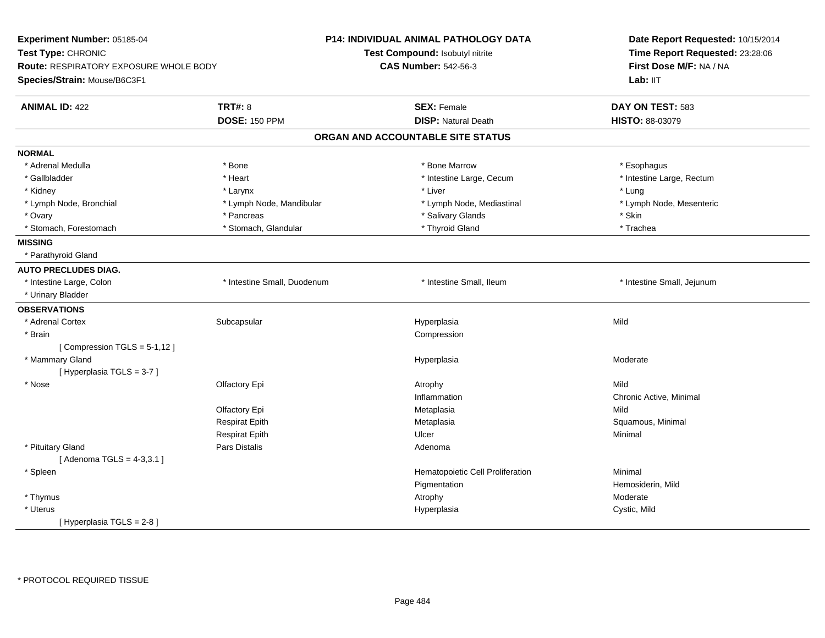| Experiment Number: 05185-04            |                             | <b>P14: INDIVIDUAL ANIMAL PATHOLOGY DATA</b> | Date Report Requested: 10/15/2014<br>Time Report Requested: 23:28:06<br>First Dose M/F: NA / NA |  |
|----------------------------------------|-----------------------------|----------------------------------------------|-------------------------------------------------------------------------------------------------|--|
| Test Type: CHRONIC                     |                             | Test Compound: Isobutyl nitrite              |                                                                                                 |  |
| Route: RESPIRATORY EXPOSURE WHOLE BODY |                             | <b>CAS Number: 542-56-3</b>                  |                                                                                                 |  |
| Species/Strain: Mouse/B6C3F1           |                             |                                              | Lab: IIT                                                                                        |  |
| <b>ANIMAL ID: 422</b>                  | <b>TRT#: 8</b>              | <b>SEX: Female</b>                           | DAY ON TEST: 583                                                                                |  |
|                                        | <b>DOSE: 150 PPM</b>        | <b>DISP: Natural Death</b>                   | HISTO: 88-03079                                                                                 |  |
|                                        |                             | ORGAN AND ACCOUNTABLE SITE STATUS            |                                                                                                 |  |
| <b>NORMAL</b>                          |                             |                                              |                                                                                                 |  |
| * Adrenal Medulla                      | * Bone                      | * Bone Marrow                                | * Esophagus                                                                                     |  |
| * Gallbladder                          | * Heart                     | * Intestine Large, Cecum                     | * Intestine Large, Rectum                                                                       |  |
| * Kidney                               | * Larynx                    | * Liver                                      | * Lung                                                                                          |  |
| * Lymph Node, Bronchial                | * Lymph Node, Mandibular    | * Lymph Node, Mediastinal                    | * Lymph Node, Mesenteric                                                                        |  |
| * Ovary                                | * Pancreas                  | * Salivary Glands                            | * Skin                                                                                          |  |
| * Stomach, Forestomach                 | * Stomach, Glandular        | * Thyroid Gland                              | * Trachea                                                                                       |  |
| <b>MISSING</b>                         |                             |                                              |                                                                                                 |  |
| * Parathyroid Gland                    |                             |                                              |                                                                                                 |  |
| <b>AUTO PRECLUDES DIAG.</b>            |                             |                                              |                                                                                                 |  |
| * Intestine Large, Colon               | * Intestine Small, Duodenum | * Intestine Small, Ileum                     | * Intestine Small, Jejunum                                                                      |  |
| * Urinary Bladder                      |                             |                                              |                                                                                                 |  |
| <b>OBSERVATIONS</b>                    |                             |                                              |                                                                                                 |  |
| * Adrenal Cortex                       | Subcapsular                 | Hyperplasia                                  | Mild                                                                                            |  |
| * Brain                                |                             | Compression                                  |                                                                                                 |  |
| [Compression TGLS = 5-1,12]            |                             |                                              |                                                                                                 |  |
| * Mammary Gland                        |                             | Hyperplasia                                  | Moderate                                                                                        |  |
| [Hyperplasia TGLS = 3-7]               |                             |                                              |                                                                                                 |  |
| * Nose                                 | Olfactory Epi               | Atrophy                                      | Mild                                                                                            |  |
|                                        |                             | Inflammation                                 | Chronic Active, Minimal                                                                         |  |
|                                        | Olfactory Epi               | Metaplasia                                   | Mild                                                                                            |  |
|                                        | <b>Respirat Epith</b>       | Metaplasia                                   | Squamous, Minimal                                                                               |  |
|                                        | <b>Respirat Epith</b>       | Ulcer                                        | Minimal                                                                                         |  |
| * Pituitary Gland                      | Pars Distalis               | Adenoma                                      |                                                                                                 |  |
| [Adenoma TGLS = 4-3,3.1]               |                             |                                              |                                                                                                 |  |
| * Spleen                               |                             | Hematopoietic Cell Proliferation             | Minimal                                                                                         |  |
|                                        |                             | Pigmentation                                 | Hemosiderin, Mild                                                                               |  |
| * Thymus                               |                             | Atrophy                                      | Moderate                                                                                        |  |
| * Uterus                               |                             | Hyperplasia                                  | Cystic, Mild                                                                                    |  |
| [ Hyperplasia TGLS = 2-8 ]             |                             |                                              |                                                                                                 |  |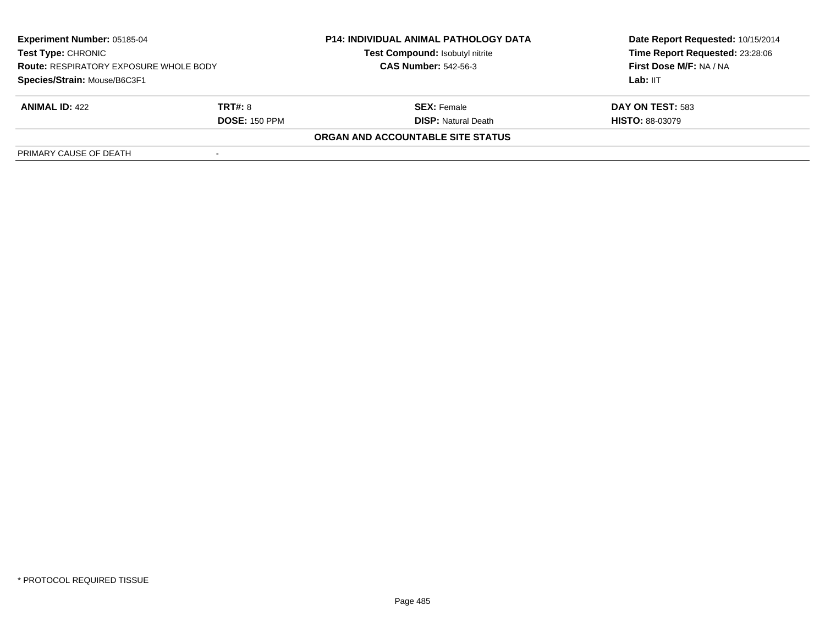| <b>Experiment Number: 05185-04</b><br><b>Test Type: CHRONIC</b><br><b>Route: RESPIRATORY EXPOSURE WHOLE BODY</b> |                      | <b>P14: INDIVIDUAL ANIMAL PATHOLOGY DATA</b><br>Test Compound: Isobutyl nitrite | Date Report Requested: 10/15/2014<br>Time Report Requested: 23:28:06 |
|------------------------------------------------------------------------------------------------------------------|----------------------|---------------------------------------------------------------------------------|----------------------------------------------------------------------|
|                                                                                                                  |                      | <b>CAS Number: 542-56-3</b>                                                     | First Dose M/F: NA / NA                                              |
| Species/Strain: Mouse/B6C3F1                                                                                     |                      |                                                                                 | Lab: IIT                                                             |
| <b>ANIMAL ID: 422</b>                                                                                            | <b>TRT#: 8</b>       | <b>SEX:</b> Female                                                              | DAY ON TEST: 583                                                     |
|                                                                                                                  | <b>DOSE: 150 PPM</b> | <b>DISP:</b> Natural Death                                                      | <b>HISTO: 88-03079</b>                                               |
|                                                                                                                  |                      | ORGAN AND ACCOUNTABLE SITE STATUS                                               |                                                                      |
| PRIMARY CAUSE OF DEATH                                                                                           |                      |                                                                                 |                                                                      |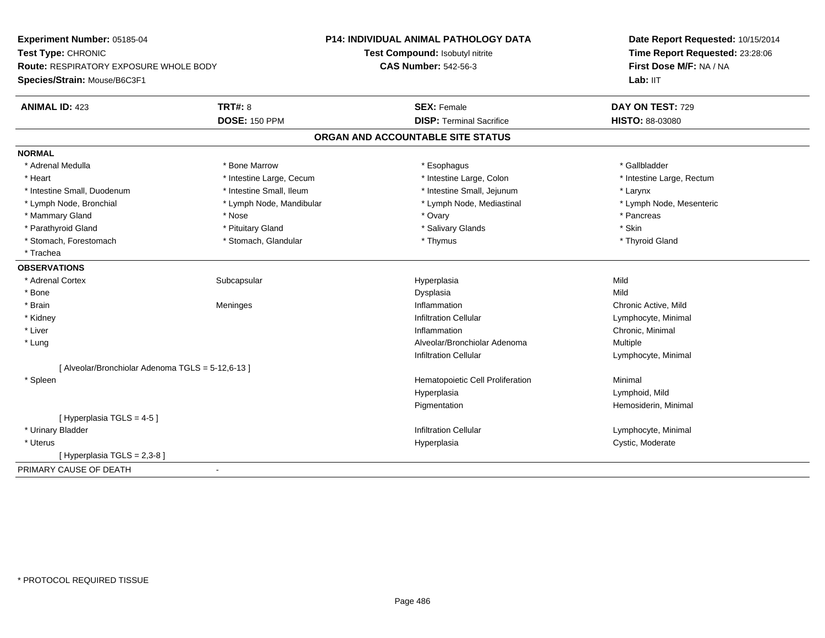| Experiment Number: 05185-04                       |                          | <b>P14: INDIVIDUAL ANIMAL PATHOLOGY DATA</b> | Date Report Requested: 10/15/2014<br>Time Report Requested: 23:28:06 |  |
|---------------------------------------------------|--------------------------|----------------------------------------------|----------------------------------------------------------------------|--|
| Test Type: CHRONIC                                |                          | Test Compound: Isobutyl nitrite              |                                                                      |  |
| Route: RESPIRATORY EXPOSURE WHOLE BODY            |                          | <b>CAS Number: 542-56-3</b>                  | First Dose M/F: NA / NA                                              |  |
| Species/Strain: Mouse/B6C3F1                      |                          |                                              | Lab: IIT                                                             |  |
| <b>ANIMAL ID: 423</b>                             | TRT#: 8                  | <b>SEX: Female</b>                           | DAY ON TEST: 729                                                     |  |
|                                                   | <b>DOSE: 150 PPM</b>     | <b>DISP: Terminal Sacrifice</b>              | HISTO: 88-03080                                                      |  |
|                                                   |                          | ORGAN AND ACCOUNTABLE SITE STATUS            |                                                                      |  |
| <b>NORMAL</b>                                     |                          |                                              |                                                                      |  |
| * Adrenal Medulla                                 | * Bone Marrow            | * Esophagus                                  | * Gallbladder                                                        |  |
| * Heart                                           | * Intestine Large, Cecum | * Intestine Large, Colon                     | * Intestine Large, Rectum                                            |  |
| * Intestine Small, Duodenum                       | * Intestine Small, Ileum | * Intestine Small, Jejunum                   | * Larynx                                                             |  |
| * Lymph Node, Bronchial                           | * Lymph Node, Mandibular | * Lymph Node, Mediastinal                    | * Lymph Node, Mesenteric                                             |  |
| * Mammary Gland                                   | * Nose                   | * Ovary                                      | * Pancreas                                                           |  |
| * Parathyroid Gland                               | * Pituitary Gland        | * Salivary Glands                            | * Skin                                                               |  |
| * Stomach, Forestomach                            | * Stomach, Glandular     | * Thymus                                     | * Thyroid Gland                                                      |  |
| * Trachea                                         |                          |                                              |                                                                      |  |
| <b>OBSERVATIONS</b>                               |                          |                                              |                                                                      |  |
| * Adrenal Cortex                                  | Subcapsular              | Hyperplasia                                  | Mild                                                                 |  |
| * Bone                                            |                          | Dysplasia                                    | Mild                                                                 |  |
| * Brain                                           | Meninges                 | Inflammation                                 | Chronic Active, Mild                                                 |  |
| * Kidney                                          |                          | <b>Infiltration Cellular</b>                 | Lymphocyte, Minimal                                                  |  |
| * Liver                                           |                          | Inflammation                                 | Chronic, Minimal                                                     |  |
| * Lung                                            |                          | Alveolar/Bronchiolar Adenoma                 | Multiple                                                             |  |
|                                                   |                          | Infiltration Cellular                        | Lymphocyte, Minimal                                                  |  |
| [ Alveolar/Bronchiolar Adenoma TGLS = 5-12,6-13 ] |                          |                                              |                                                                      |  |
| * Spleen                                          |                          | Hematopoietic Cell Proliferation             | Minimal                                                              |  |
|                                                   |                          | Hyperplasia                                  | Lymphoid, Mild                                                       |  |
|                                                   |                          | Pigmentation                                 | Hemosiderin, Minimal                                                 |  |
| [Hyperplasia TGLS = 4-5]                          |                          |                                              |                                                                      |  |
| * Urinary Bladder                                 |                          | <b>Infiltration Cellular</b>                 | Lymphocyte, Minimal                                                  |  |
| * Uterus                                          |                          | Hyperplasia                                  | Cystic, Moderate                                                     |  |
| [Hyperplasia TGLS = 2,3-8]                        |                          |                                              |                                                                      |  |
| PRIMARY CAUSE OF DEATH                            |                          |                                              |                                                                      |  |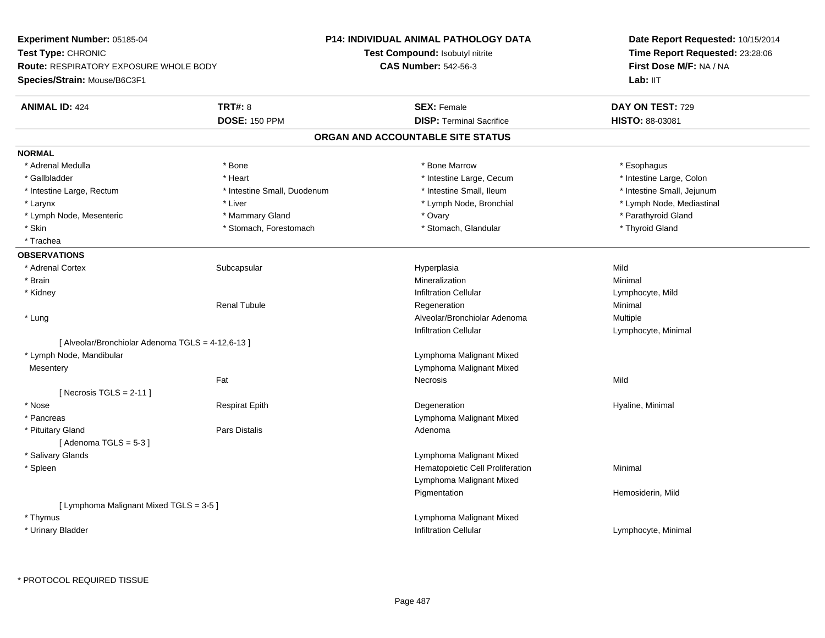**Experiment Number:** 05185-04**Test Type:** CHRONIC **Route:** RESPIRATORY EXPOSURE WHOLE BODY**Species/Strain:** Mouse/B6C3F1**P14: INDIVIDUAL ANIMAL PATHOLOGY DATATest Compound:** Isobutyl nitrite**CAS Number:** 542-56-3**Date Report Requested:** 10/15/2014**Time Report Requested:** 23:28:06**First Dose M/F:** NA / NALab: IIT **ANIMAL ID:** 424**TRT#:** 8 **SEX:** Female **DAY ON TEST:** 729 **DOSE:** 150 PPM**DISP:** Terminal Sacrifice **HISTO:** 88-03081 **ORGAN AND ACCOUNTABLE SITE STATUSNORMAL**\* Adrenal Medulla \* Adrenal Medulla \* \* The matter of the state of the state of the state of the state of the state of the state of the state of the state of the state of the state of the state of the state of the state of the state of the \* Gallbladder \* Thestine Large, Colon \* Heart \* Heart \* Thestine Large, Cecum \* Intestine Large, Colon \* Intestine Large, Colon \* Intestine Large, Colon \* Intestine Large, Rectum \* Thestine Small, Duodenum \* Number of the small, Ileum \* Intestine Small, Jejunum \* Intestine Small, Jejunum \* Larynx \* Liver \* Lymph Node, Bronchial \* Lymph Node, Mediastinal \* Lymph Node, Mesenteric \* \* Mammary Gland \* Mammary Gland \* Ovary \* Ovary \* The message \* Parathyroid Gland \* \* Skin \* Stomach, Forestomach \* Stomach \* Stomach, Glandular \* Thyroid Gland \* Thyroid Gland \* Trachea**OBSERVATIONS** \* Adrenal Cortexx Subcapsular Suberty Subsets and the Hyperplasia a Mild \* Brainn and the controller of the controller of the Mineralization and the controller of the Minimal of the Minimal <br>The Minimal of the controller of the controller of the controller of the controller of the controller of the c \* Kidneyy the contract of the contract of the contract of the contract of the contract of the contract of the contract of  $\mathsf{Lymphocyte}$ , Mild Renal Tubulee which is the experimentation of the experimental experimental experimental experimental experimental experimental experimental experimental experimental experimental experimental experimental experimental experimental ex \* LungAlveolar/Bronchiolar Adenoma<br>
Multiple Infiltration Cellular Lymphocyte, Minimal [ Alveolar/Bronchiolar Adenoma TGLS = 4-12,6-13 ] \* Lymph Node, Mandibular Lymphoma Malignant Mixed Lymphoma Malignant Mixed**Mesentery** Fat Necrosiss Mild  $[$  Necrosis TGLS = 2-11  $]$  \* Nose Respirat Epith Degeneration Hyaline, Minimal \* Pancreas Lymphoma Malignant Mixed \* Pituitary Glandd and the contract of Pars Distalis and the contract of Adenoma and Adenoma and the Adenoma and the Adenoma and  $\lambda$  $[$  Adenoma TGLS = 5-3 $]$  \* Salivary Glands Lymphoma Malignant Mixedn metal distribution and the Hematopoietic Cell Proliferation Minimal \* SpleenLymphoma Malignant MixedPigmentation Hemosiderin, Mild [ Lymphoma Malignant Mixed TGLS = 3-5 ] \* Thymus Lymphoma Malignant Mixed \* Urinary BladderInfiltration Cellular **Lymphocyte**, Minimal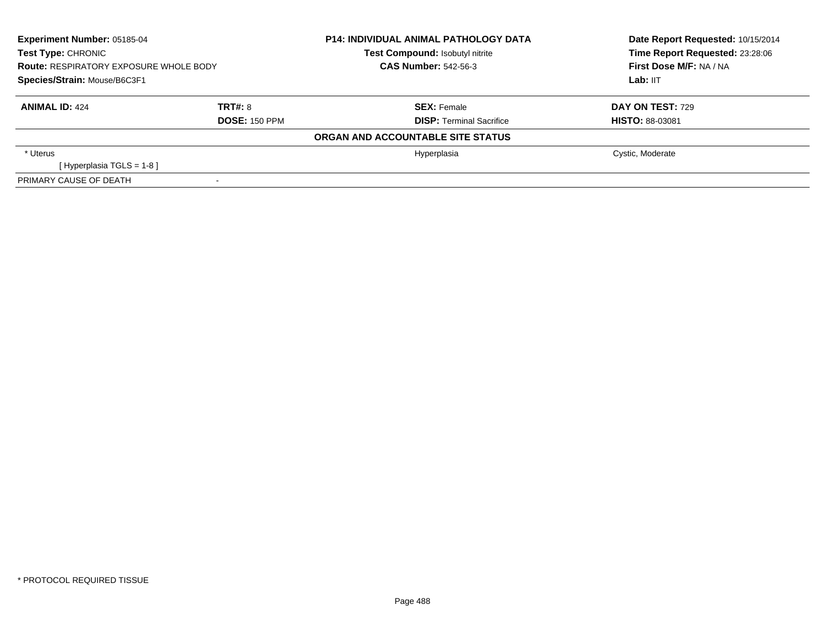| <b>Experiment Number: 05185-04</b><br><b>Test Type: CHRONIC</b><br><b>Route: RESPIRATORY EXPOSURE WHOLE BODY</b><br>Species/Strain: Mouse/B6C3F1 |                      | <b>P14: INDIVIDUAL ANIMAL PATHOLOGY DATA</b><br><b>Test Compound: Isobutyl nitrite</b><br><b>CAS Number: 542-56-3</b> | Date Report Requested: 10/15/2014<br>Time Report Requested: 23:28:06<br>First Dose M/F: NA / NA<br>Lab: IIT |
|--------------------------------------------------------------------------------------------------------------------------------------------------|----------------------|-----------------------------------------------------------------------------------------------------------------------|-------------------------------------------------------------------------------------------------------------|
| <b>ANIMAL ID: 424</b>                                                                                                                            | <b>TRT#: 8</b>       | <b>SEX: Female</b>                                                                                                    | <b>DAY ON TEST: 729</b>                                                                                     |
|                                                                                                                                                  | <b>DOSE: 150 PPM</b> | <b>DISP: Terminal Sacrifice</b>                                                                                       | <b>HISTO: 88-03081</b>                                                                                      |
|                                                                                                                                                  |                      | ORGAN AND ACCOUNTABLE SITE STATUS                                                                                     |                                                                                                             |
| * Uterus                                                                                                                                         |                      | Hyperplasia                                                                                                           | Cystic, Moderate                                                                                            |
| [Hyperplasia TGLS = $1-8$ ]                                                                                                                      |                      |                                                                                                                       |                                                                                                             |
| PRIMARY CAUSE OF DEATH                                                                                                                           |                      |                                                                                                                       |                                                                                                             |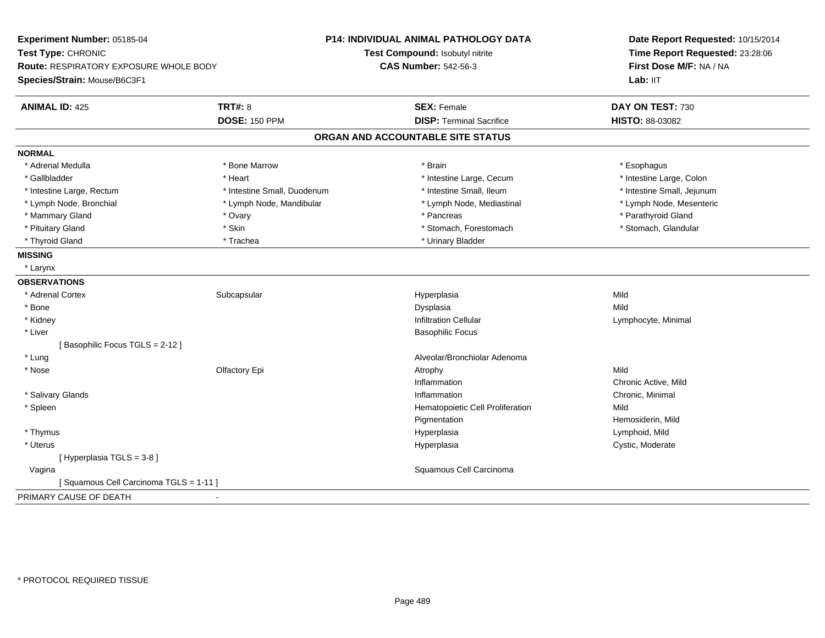| Experiment Number: 05185-04            |                                 | <b>P14: INDIVIDUAL ANIMAL PATHOLOGY DATA</b> | Date Report Requested: 10/15/2014 |  |
|----------------------------------------|---------------------------------|----------------------------------------------|-----------------------------------|--|
| Test Type: CHRONIC                     | Test Compound: Isobutyl nitrite |                                              | Time Report Requested: 23:28:06   |  |
| Route: RESPIRATORY EXPOSURE WHOLE BODY |                                 | <b>CAS Number: 542-56-3</b>                  | First Dose M/F: NA / NA           |  |
| Species/Strain: Mouse/B6C3F1           |                                 |                                              | Lab: IIT                          |  |
| <b>ANIMAL ID: 425</b>                  | <b>TRT#: 8</b>                  | <b>SEX: Female</b>                           | DAY ON TEST: 730                  |  |
|                                        | <b>DOSE: 150 PPM</b>            | <b>DISP: Terminal Sacrifice</b>              | HISTO: 88-03082                   |  |
|                                        |                                 | ORGAN AND ACCOUNTABLE SITE STATUS            |                                   |  |
| <b>NORMAL</b>                          |                                 |                                              |                                   |  |
| * Adrenal Medulla                      | * Bone Marrow                   | * Brain                                      | * Esophagus                       |  |
| * Gallbladder                          | * Heart                         | * Intestine Large, Cecum                     | * Intestine Large, Colon          |  |
| * Intestine Large, Rectum              | * Intestine Small, Duodenum     | * Intestine Small, Ileum                     | * Intestine Small, Jejunum        |  |
| * Lymph Node, Bronchial                | * Lymph Node, Mandibular        | * Lymph Node, Mediastinal                    | * Lymph Node, Mesenteric          |  |
| * Mammary Gland                        | * Ovary                         | * Pancreas                                   | * Parathyroid Gland               |  |
| * Pituitary Gland                      | * Skin                          | * Stomach, Forestomach                       | * Stomach, Glandular              |  |
| * Thyroid Gland                        | * Trachea                       | * Urinary Bladder                            |                                   |  |
| <b>MISSING</b>                         |                                 |                                              |                                   |  |
| * Larynx                               |                                 |                                              |                                   |  |
| <b>OBSERVATIONS</b>                    |                                 |                                              |                                   |  |
| * Adrenal Cortex                       | Subcapsular                     | Hyperplasia                                  | Mild                              |  |
| * Bone                                 |                                 | Dysplasia                                    | Mild                              |  |
| * Kidney                               |                                 | <b>Infiltration Cellular</b>                 | Lymphocyte, Minimal               |  |
| * Liver                                |                                 | <b>Basophilic Focus</b>                      |                                   |  |
| [Basophilic Focus TGLS = 2-12]         |                                 |                                              |                                   |  |
| * Lung                                 |                                 | Alveolar/Bronchiolar Adenoma                 |                                   |  |
| * Nose                                 | Olfactory Epi                   | Atrophy                                      | Mild                              |  |
|                                        |                                 | Inflammation                                 | Chronic Active, Mild              |  |
| * Salivary Glands                      |                                 | Inflammation                                 | Chronic, Minimal                  |  |
| * Spleen                               |                                 | Hematopoietic Cell Proliferation             | Mild                              |  |
|                                        |                                 | Pigmentation                                 | Hemosiderin, Mild                 |  |
| * Thymus                               |                                 | Hyperplasia                                  | Lymphoid, Mild                    |  |
| * Uterus                               |                                 | Hyperplasia                                  | Cystic, Moderate                  |  |
| [ Hyperplasia TGLS = 3-8 ]             |                                 |                                              |                                   |  |
| Vagina                                 |                                 | Squamous Cell Carcinoma                      |                                   |  |
| [Squamous Cell Carcinoma TGLS = 1-11]  |                                 |                                              |                                   |  |
| PRIMARY CAUSE OF DEATH                 |                                 |                                              |                                   |  |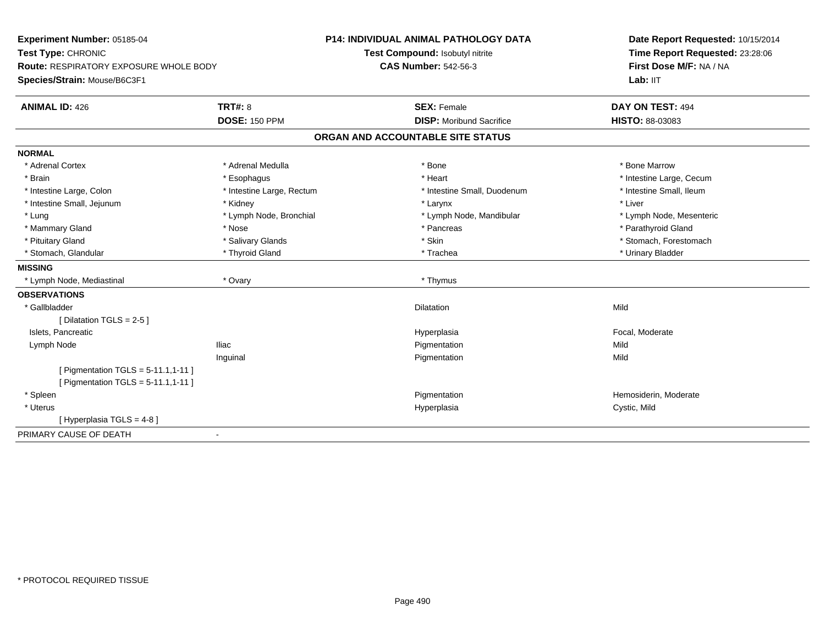| Experiment Number: 05185-04<br>Test Type: CHRONIC<br>Route: RESPIRATORY EXPOSURE WHOLE BODY<br>Species/Strain: Mouse/B6C3F1 |                           | P14: INDIVIDUAL ANIMAL PATHOLOGY DATA | Date Report Requested: 10/15/2014<br>Time Report Requested: 23:28:06<br>First Dose M/F: NA / NA |
|-----------------------------------------------------------------------------------------------------------------------------|---------------------------|---------------------------------------|-------------------------------------------------------------------------------------------------|
|                                                                                                                             |                           | Test Compound: Isobutyl nitrite       |                                                                                                 |
|                                                                                                                             |                           | <b>CAS Number: 542-56-3</b>           |                                                                                                 |
|                                                                                                                             |                           |                                       | Lab: IIT                                                                                        |
| <b>ANIMAL ID: 426</b>                                                                                                       | <b>TRT#: 8</b>            | <b>SEX: Female</b>                    | DAY ON TEST: 494                                                                                |
|                                                                                                                             | <b>DOSE: 150 PPM</b>      | <b>DISP:</b> Moribund Sacrifice       | HISTO: 88-03083                                                                                 |
|                                                                                                                             |                           | ORGAN AND ACCOUNTABLE SITE STATUS     |                                                                                                 |
| <b>NORMAL</b>                                                                                                               |                           |                                       |                                                                                                 |
| * Adrenal Cortex                                                                                                            | * Adrenal Medulla         | * Bone                                | * Bone Marrow                                                                                   |
| * Brain                                                                                                                     | * Esophagus               | * Heart                               | * Intestine Large, Cecum                                                                        |
| * Intestine Large, Colon                                                                                                    | * Intestine Large, Rectum | * Intestine Small, Duodenum           | * Intestine Small, Ileum                                                                        |
| * Intestine Small, Jejunum                                                                                                  | * Kidney                  | * Larynx                              | * Liver                                                                                         |
| * Lung                                                                                                                      | * Lymph Node, Bronchial   | * Lymph Node, Mandibular              | * Lymph Node, Mesenteric                                                                        |
| * Mammary Gland                                                                                                             | * Nose                    | * Pancreas                            | * Parathyroid Gland                                                                             |
| * Pituitary Gland                                                                                                           | * Salivary Glands         | * Skin                                | * Stomach, Forestomach                                                                          |
| * Stomach, Glandular                                                                                                        | * Thyroid Gland           | * Trachea                             | * Urinary Bladder                                                                               |
| <b>MISSING</b>                                                                                                              |                           |                                       |                                                                                                 |
| * Lymph Node, Mediastinal                                                                                                   | * Ovary                   | * Thymus                              |                                                                                                 |
| <b>OBSERVATIONS</b>                                                                                                         |                           |                                       |                                                                                                 |
| * Gallbladder                                                                                                               |                           | <b>Dilatation</b>                     | Mild                                                                                            |
| [Dilatation TGLS = 2-5]                                                                                                     |                           |                                       |                                                                                                 |
| Islets, Pancreatic                                                                                                          |                           | Hyperplasia                           | Focal, Moderate                                                                                 |
| Lymph Node                                                                                                                  | <b>Iliac</b>              | Pigmentation                          | Mild                                                                                            |
|                                                                                                                             | Inguinal                  | Pigmentation                          | Mild                                                                                            |
| [ Pigmentation TGLS = $5-11.1, 1-11$ ]                                                                                      |                           |                                       |                                                                                                 |
| [ Pigmentation TGLS = $5-11.1, 1-11$ ]                                                                                      |                           |                                       |                                                                                                 |
| * Spleen                                                                                                                    |                           | Pigmentation                          | Hemosiderin, Moderate                                                                           |
| * Uterus                                                                                                                    |                           | Hyperplasia                           | Cystic, Mild                                                                                    |
| [Hyperplasia TGLS = 4-8]                                                                                                    |                           |                                       |                                                                                                 |
| PRIMARY CAUSE OF DEATH                                                                                                      | $\sim$                    |                                       |                                                                                                 |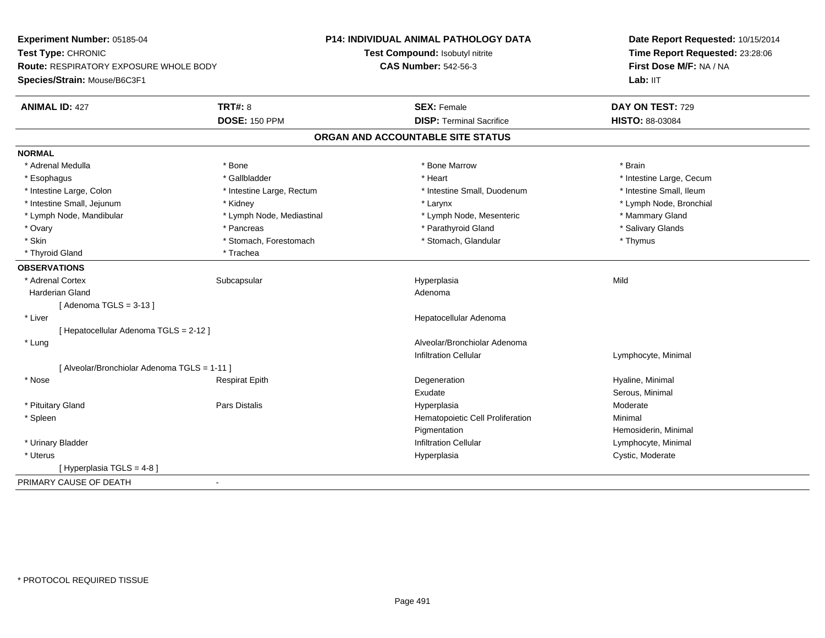| Experiment Number: 05185-04                   |                           | P14: INDIVIDUAL ANIMAL PATHOLOGY DATA | Date Report Requested: 10/15/2014<br>Time Report Requested: 23:28:06 |  |
|-----------------------------------------------|---------------------------|---------------------------------------|----------------------------------------------------------------------|--|
| Test Type: CHRONIC                            |                           | Test Compound: Isobutyl nitrite       |                                                                      |  |
| <b>Route: RESPIRATORY EXPOSURE WHOLE BODY</b> |                           | <b>CAS Number: 542-56-3</b>           | First Dose M/F: NA / NA                                              |  |
| Species/Strain: Mouse/B6C3F1                  |                           |                                       | Lab: IIT                                                             |  |
| <b>ANIMAL ID: 427</b>                         | <b>TRT#: 8</b>            | <b>SEX: Female</b>                    | DAY ON TEST: 729                                                     |  |
|                                               | <b>DOSE: 150 PPM</b>      | <b>DISP: Terminal Sacrifice</b>       | HISTO: 88-03084                                                      |  |
|                                               |                           | ORGAN AND ACCOUNTABLE SITE STATUS     |                                                                      |  |
| <b>NORMAL</b>                                 |                           |                                       |                                                                      |  |
| * Adrenal Medulla                             | * Bone                    | * Bone Marrow                         | * Brain                                                              |  |
| * Esophagus                                   | * Gallbladder             | * Heart                               | * Intestine Large, Cecum                                             |  |
| * Intestine Large, Colon                      | * Intestine Large, Rectum | * Intestine Small, Duodenum           | * Intestine Small, Ileum                                             |  |
| * Intestine Small, Jejunum                    | * Kidney                  | * Larynx                              | * Lymph Node, Bronchial                                              |  |
| * Lymph Node, Mandibular                      | * Lymph Node, Mediastinal | * Lymph Node, Mesenteric              | * Mammary Gland                                                      |  |
| * Ovary                                       | * Pancreas                | * Parathyroid Gland                   | * Salivary Glands                                                    |  |
| * Skin                                        | * Stomach, Forestomach    | * Stomach, Glandular                  | * Thymus                                                             |  |
| * Thyroid Gland                               | * Trachea                 |                                       |                                                                      |  |
| <b>OBSERVATIONS</b>                           |                           |                                       |                                                                      |  |
| * Adrenal Cortex                              | Subcapsular               | Hyperplasia                           | Mild                                                                 |  |
| <b>Harderian Gland</b>                        |                           | Adenoma                               |                                                                      |  |
| [Adenoma $TGLS = 3-13$ ]                      |                           |                                       |                                                                      |  |
| * Liver                                       |                           | Hepatocellular Adenoma                |                                                                      |  |
| [ Hepatocellular Adenoma TGLS = 2-12 ]        |                           |                                       |                                                                      |  |
| * Lung                                        |                           | Alveolar/Bronchiolar Adenoma          |                                                                      |  |
|                                               |                           | <b>Infiltration Cellular</b>          | Lymphocyte, Minimal                                                  |  |
| [ Alveolar/Bronchiolar Adenoma TGLS = 1-11 ]  |                           |                                       |                                                                      |  |
| * Nose                                        | <b>Respirat Epith</b>     | Degeneration                          | Hyaline, Minimal                                                     |  |
|                                               |                           | Exudate                               | Serous, Minimal                                                      |  |
| * Pituitary Gland                             | Pars Distalis             | Hyperplasia                           | Moderate                                                             |  |
| * Spleen                                      |                           | Hematopoietic Cell Proliferation      | Minimal                                                              |  |
|                                               |                           | Pigmentation                          | Hemosiderin, Minimal                                                 |  |
| * Urinary Bladder                             |                           | <b>Infiltration Cellular</b>          | Lymphocyte, Minimal                                                  |  |
| * Uterus                                      |                           | Hyperplasia                           | Cystic, Moderate                                                     |  |
| [ Hyperplasia TGLS = 4-8 ]                    |                           |                                       |                                                                      |  |
| PRIMARY CAUSE OF DEATH                        | $\overline{a}$            |                                       |                                                                      |  |
|                                               |                           |                                       |                                                                      |  |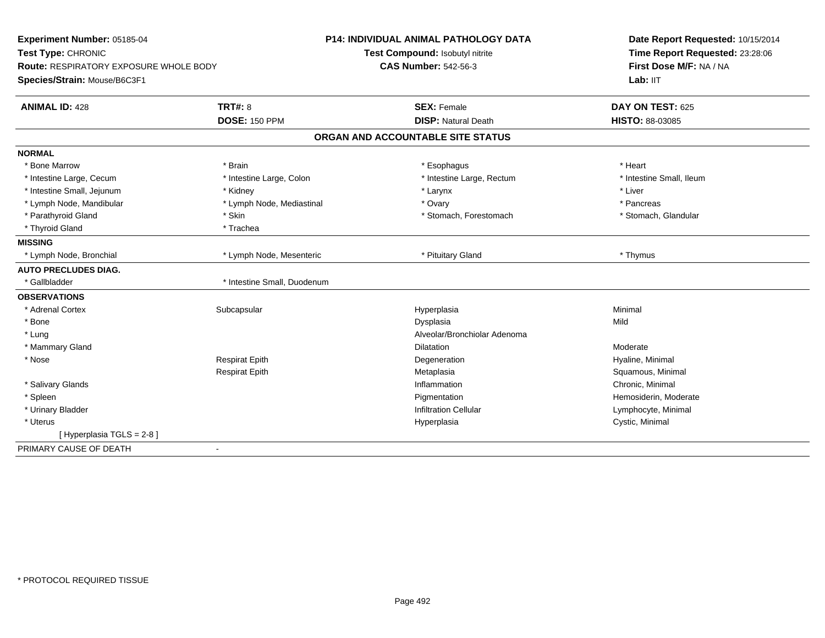| Test Compound: Isobutyl nitrite<br>Time Report Requested: 23:28:06<br>First Dose M/F: NA / NA<br><b>CAS Number: 542-56-3</b><br><b>Route: RESPIRATORY EXPOSURE WHOLE BODY</b><br>Lab: $III$<br><b>TRT#: 8</b><br>DAY ON TEST: 625<br><b>SEX: Female</b><br><b>DOSE: 150 PPM</b><br><b>DISP: Natural Death</b><br>HISTO: 88-03085<br>ORGAN AND ACCOUNTABLE SITE STATUS<br>* Bone Marrow<br>* Brain<br>* Heart<br>* Esophagus<br>* Intestine Large, Cecum<br>* Intestine Large, Colon<br>* Intestine Large, Rectum<br>* Intestine Small, Ileum<br>* Intestine Small, Jejunum<br>* Liver<br>* Kidney<br>* Larynx<br>* Lymph Node, Mandibular<br>* Lymph Node, Mediastinal<br>* Ovary<br>* Pancreas<br>* Parathyroid Gland<br>* Skin<br>* Stomach, Forestomach<br>* Stomach, Glandular<br>* Thyroid Gland<br>* Trachea<br>* Pituitary Gland<br>* Lymph Node, Bronchial<br>* Lymph Node, Mesenteric<br>* Thymus<br>* Gallbladder<br>* Intestine Small, Duodenum<br>* Adrenal Cortex<br>Subcapsular<br>Hyperplasia<br>Minimal<br>* Bone<br>Dysplasia<br>Mild<br>* Lung<br>Alveolar/Bronchiolar Adenoma<br>* Mammary Gland<br><b>Dilatation</b><br>Moderate<br>* Nose<br><b>Respirat Epith</b><br>Hyaline, Minimal<br>Degeneration<br><b>Respirat Epith</b><br>Metaplasia<br>Squamous, Minimal<br>* Salivary Glands<br>Inflammation<br>Chronic, Minimal<br>* Spleen<br>Hemosiderin, Moderate<br>Pigmentation<br>* Urinary Bladder<br><b>Infiltration Cellular</b><br>Lymphocyte, Minimal<br>* Uterus<br>Cystic, Minimal<br>Hyperplasia<br>[Hyperplasia TGLS = 2-8]<br>÷, | Experiment Number: 05185-04  |  | P14: INDIVIDUAL ANIMAL PATHOLOGY DATA | Date Report Requested: 10/15/2014 |  |
|-------------------------------------------------------------------------------------------------------------------------------------------------------------------------------------------------------------------------------------------------------------------------------------------------------------------------------------------------------------------------------------------------------------------------------------------------------------------------------------------------------------------------------------------------------------------------------------------------------------------------------------------------------------------------------------------------------------------------------------------------------------------------------------------------------------------------------------------------------------------------------------------------------------------------------------------------------------------------------------------------------------------------------------------------------------------------------------------------------------------------------------------------------------------------------------------------------------------------------------------------------------------------------------------------------------------------------------------------------------------------------------------------------------------------------------------------------------------------------------------------------------------------------------------------------------------|------------------------------|--|---------------------------------------|-----------------------------------|--|
|                                                                                                                                                                                                                                                                                                                                                                                                                                                                                                                                                                                                                                                                                                                                                                                                                                                                                                                                                                                                                                                                                                                                                                                                                                                                                                                                                                                                                                                                                                                                                                   | Test Type: CHRONIC           |  |                                       |                                   |  |
|                                                                                                                                                                                                                                                                                                                                                                                                                                                                                                                                                                                                                                                                                                                                                                                                                                                                                                                                                                                                                                                                                                                                                                                                                                                                                                                                                                                                                                                                                                                                                                   |                              |  |                                       |                                   |  |
|                                                                                                                                                                                                                                                                                                                                                                                                                                                                                                                                                                                                                                                                                                                                                                                                                                                                                                                                                                                                                                                                                                                                                                                                                                                                                                                                                                                                                                                                                                                                                                   | Species/Strain: Mouse/B6C3F1 |  |                                       |                                   |  |
|                                                                                                                                                                                                                                                                                                                                                                                                                                                                                                                                                                                                                                                                                                                                                                                                                                                                                                                                                                                                                                                                                                                                                                                                                                                                                                                                                                                                                                                                                                                                                                   | <b>ANIMAL ID: 428</b>        |  |                                       |                                   |  |
|                                                                                                                                                                                                                                                                                                                                                                                                                                                                                                                                                                                                                                                                                                                                                                                                                                                                                                                                                                                                                                                                                                                                                                                                                                                                                                                                                                                                                                                                                                                                                                   |                              |  |                                       |                                   |  |
|                                                                                                                                                                                                                                                                                                                                                                                                                                                                                                                                                                                                                                                                                                                                                                                                                                                                                                                                                                                                                                                                                                                                                                                                                                                                                                                                                                                                                                                                                                                                                                   |                              |  |                                       |                                   |  |
|                                                                                                                                                                                                                                                                                                                                                                                                                                                                                                                                                                                                                                                                                                                                                                                                                                                                                                                                                                                                                                                                                                                                                                                                                                                                                                                                                                                                                                                                                                                                                                   | <b>NORMAL</b>                |  |                                       |                                   |  |
|                                                                                                                                                                                                                                                                                                                                                                                                                                                                                                                                                                                                                                                                                                                                                                                                                                                                                                                                                                                                                                                                                                                                                                                                                                                                                                                                                                                                                                                                                                                                                                   |                              |  |                                       |                                   |  |
|                                                                                                                                                                                                                                                                                                                                                                                                                                                                                                                                                                                                                                                                                                                                                                                                                                                                                                                                                                                                                                                                                                                                                                                                                                                                                                                                                                                                                                                                                                                                                                   |                              |  |                                       |                                   |  |
|                                                                                                                                                                                                                                                                                                                                                                                                                                                                                                                                                                                                                                                                                                                                                                                                                                                                                                                                                                                                                                                                                                                                                                                                                                                                                                                                                                                                                                                                                                                                                                   |                              |  |                                       |                                   |  |
|                                                                                                                                                                                                                                                                                                                                                                                                                                                                                                                                                                                                                                                                                                                                                                                                                                                                                                                                                                                                                                                                                                                                                                                                                                                                                                                                                                                                                                                                                                                                                                   |                              |  |                                       |                                   |  |
|                                                                                                                                                                                                                                                                                                                                                                                                                                                                                                                                                                                                                                                                                                                                                                                                                                                                                                                                                                                                                                                                                                                                                                                                                                                                                                                                                                                                                                                                                                                                                                   |                              |  |                                       |                                   |  |
|                                                                                                                                                                                                                                                                                                                                                                                                                                                                                                                                                                                                                                                                                                                                                                                                                                                                                                                                                                                                                                                                                                                                                                                                                                                                                                                                                                                                                                                                                                                                                                   |                              |  |                                       |                                   |  |
|                                                                                                                                                                                                                                                                                                                                                                                                                                                                                                                                                                                                                                                                                                                                                                                                                                                                                                                                                                                                                                                                                                                                                                                                                                                                                                                                                                                                                                                                                                                                                                   | <b>MISSING</b>               |  |                                       |                                   |  |
|                                                                                                                                                                                                                                                                                                                                                                                                                                                                                                                                                                                                                                                                                                                                                                                                                                                                                                                                                                                                                                                                                                                                                                                                                                                                                                                                                                                                                                                                                                                                                                   |                              |  |                                       |                                   |  |
|                                                                                                                                                                                                                                                                                                                                                                                                                                                                                                                                                                                                                                                                                                                                                                                                                                                                                                                                                                                                                                                                                                                                                                                                                                                                                                                                                                                                                                                                                                                                                                   | <b>AUTO PRECLUDES DIAG.</b>  |  |                                       |                                   |  |
|                                                                                                                                                                                                                                                                                                                                                                                                                                                                                                                                                                                                                                                                                                                                                                                                                                                                                                                                                                                                                                                                                                                                                                                                                                                                                                                                                                                                                                                                                                                                                                   |                              |  |                                       |                                   |  |
|                                                                                                                                                                                                                                                                                                                                                                                                                                                                                                                                                                                                                                                                                                                                                                                                                                                                                                                                                                                                                                                                                                                                                                                                                                                                                                                                                                                                                                                                                                                                                                   | <b>OBSERVATIONS</b>          |  |                                       |                                   |  |
|                                                                                                                                                                                                                                                                                                                                                                                                                                                                                                                                                                                                                                                                                                                                                                                                                                                                                                                                                                                                                                                                                                                                                                                                                                                                                                                                                                                                                                                                                                                                                                   |                              |  |                                       |                                   |  |
|                                                                                                                                                                                                                                                                                                                                                                                                                                                                                                                                                                                                                                                                                                                                                                                                                                                                                                                                                                                                                                                                                                                                                                                                                                                                                                                                                                                                                                                                                                                                                                   |                              |  |                                       |                                   |  |
|                                                                                                                                                                                                                                                                                                                                                                                                                                                                                                                                                                                                                                                                                                                                                                                                                                                                                                                                                                                                                                                                                                                                                                                                                                                                                                                                                                                                                                                                                                                                                                   |                              |  |                                       |                                   |  |
|                                                                                                                                                                                                                                                                                                                                                                                                                                                                                                                                                                                                                                                                                                                                                                                                                                                                                                                                                                                                                                                                                                                                                                                                                                                                                                                                                                                                                                                                                                                                                                   |                              |  |                                       |                                   |  |
|                                                                                                                                                                                                                                                                                                                                                                                                                                                                                                                                                                                                                                                                                                                                                                                                                                                                                                                                                                                                                                                                                                                                                                                                                                                                                                                                                                                                                                                                                                                                                                   |                              |  |                                       |                                   |  |
|                                                                                                                                                                                                                                                                                                                                                                                                                                                                                                                                                                                                                                                                                                                                                                                                                                                                                                                                                                                                                                                                                                                                                                                                                                                                                                                                                                                                                                                                                                                                                                   |                              |  |                                       |                                   |  |
|                                                                                                                                                                                                                                                                                                                                                                                                                                                                                                                                                                                                                                                                                                                                                                                                                                                                                                                                                                                                                                                                                                                                                                                                                                                                                                                                                                                                                                                                                                                                                                   |                              |  |                                       |                                   |  |
|                                                                                                                                                                                                                                                                                                                                                                                                                                                                                                                                                                                                                                                                                                                                                                                                                                                                                                                                                                                                                                                                                                                                                                                                                                                                                                                                                                                                                                                                                                                                                                   |                              |  |                                       |                                   |  |
|                                                                                                                                                                                                                                                                                                                                                                                                                                                                                                                                                                                                                                                                                                                                                                                                                                                                                                                                                                                                                                                                                                                                                                                                                                                                                                                                                                                                                                                                                                                                                                   |                              |  |                                       |                                   |  |
|                                                                                                                                                                                                                                                                                                                                                                                                                                                                                                                                                                                                                                                                                                                                                                                                                                                                                                                                                                                                                                                                                                                                                                                                                                                                                                                                                                                                                                                                                                                                                                   |                              |  |                                       |                                   |  |
|                                                                                                                                                                                                                                                                                                                                                                                                                                                                                                                                                                                                                                                                                                                                                                                                                                                                                                                                                                                                                                                                                                                                                                                                                                                                                                                                                                                                                                                                                                                                                                   |                              |  |                                       |                                   |  |
|                                                                                                                                                                                                                                                                                                                                                                                                                                                                                                                                                                                                                                                                                                                                                                                                                                                                                                                                                                                                                                                                                                                                                                                                                                                                                                                                                                                                                                                                                                                                                                   | PRIMARY CAUSE OF DEATH       |  |                                       |                                   |  |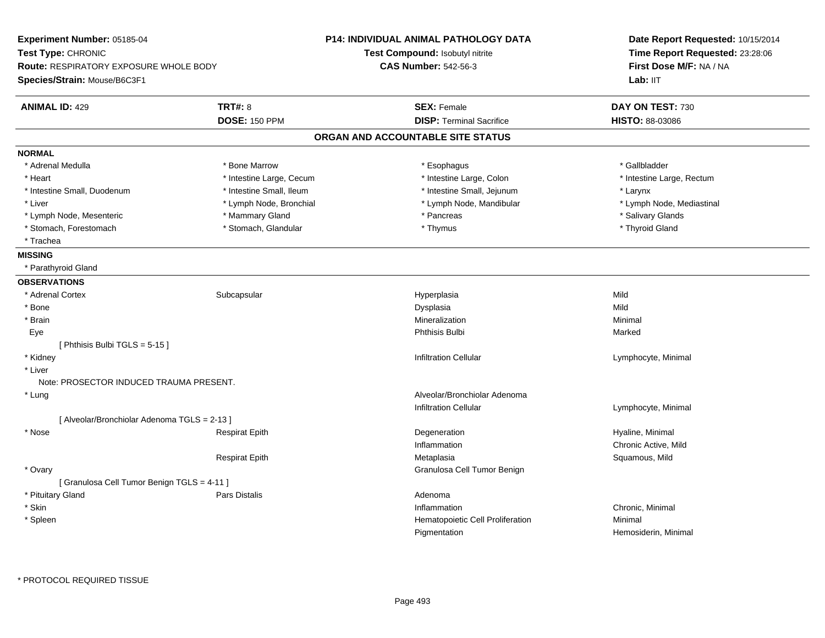| Experiment Number: 05185-04                  |                          | <b>P14: INDIVIDUAL ANIMAL PATHOLOGY DATA</b> | Date Report Requested: 10/15/2014<br>Time Report Requested: 23:28:06<br>First Dose M/F: NA / NA |  |
|----------------------------------------------|--------------------------|----------------------------------------------|-------------------------------------------------------------------------------------------------|--|
| Test Type: CHRONIC                           |                          | Test Compound: Isobutyl nitrite              |                                                                                                 |  |
| Route: RESPIRATORY EXPOSURE WHOLE BODY       |                          | <b>CAS Number: 542-56-3</b>                  |                                                                                                 |  |
| Species/Strain: Mouse/B6C3F1                 |                          |                                              | Lab: IIT                                                                                        |  |
| <b>ANIMAL ID: 429</b>                        | <b>TRT#: 8</b>           | <b>SEX: Female</b>                           | DAY ON TEST: 730                                                                                |  |
|                                              | <b>DOSE: 150 PPM</b>     | <b>DISP: Terminal Sacrifice</b>              | HISTO: 88-03086                                                                                 |  |
|                                              |                          | ORGAN AND ACCOUNTABLE SITE STATUS            |                                                                                                 |  |
| <b>NORMAL</b>                                |                          |                                              |                                                                                                 |  |
| * Adrenal Medulla                            | * Bone Marrow            | * Esophagus                                  | * Gallbladder                                                                                   |  |
| * Heart                                      | * Intestine Large, Cecum | * Intestine Large, Colon                     | * Intestine Large, Rectum                                                                       |  |
| * Intestine Small, Duodenum                  | * Intestine Small, Ileum | * Intestine Small, Jejunum                   | * Larynx                                                                                        |  |
| * Liver                                      | * Lymph Node, Bronchial  | * Lymph Node, Mandibular                     | * Lymph Node, Mediastinal                                                                       |  |
| * Lymph Node, Mesenteric                     | * Mammary Gland          | * Pancreas                                   | * Salivary Glands                                                                               |  |
| * Stomach, Forestomach                       | * Stomach, Glandular     | * Thymus                                     | * Thyroid Gland                                                                                 |  |
| * Trachea                                    |                          |                                              |                                                                                                 |  |
| <b>MISSING</b>                               |                          |                                              |                                                                                                 |  |
| * Parathyroid Gland                          |                          |                                              |                                                                                                 |  |
| <b>OBSERVATIONS</b>                          |                          |                                              |                                                                                                 |  |
| * Adrenal Cortex                             | Subcapsular              | Hyperplasia                                  | Mild                                                                                            |  |
| * Bone                                       |                          | Dysplasia                                    | Mild                                                                                            |  |
| * Brain                                      |                          | Mineralization                               | Minimal                                                                                         |  |
| Eye                                          |                          | Phthisis Bulbi                               | Marked                                                                                          |  |
| [ Phthisis Bulbi TGLS = 5-15 ]               |                          |                                              |                                                                                                 |  |
| * Kidney                                     |                          | <b>Infiltration Cellular</b>                 | Lymphocyte, Minimal                                                                             |  |
| * Liver                                      |                          |                                              |                                                                                                 |  |
| Note: PROSECTOR INDUCED TRAUMA PRESENT.      |                          |                                              |                                                                                                 |  |
| * Lung                                       |                          | Alveolar/Bronchiolar Adenoma                 |                                                                                                 |  |
|                                              |                          | <b>Infiltration Cellular</b>                 | Lymphocyte, Minimal                                                                             |  |
| [ Alveolar/Bronchiolar Adenoma TGLS = 2-13 ] |                          |                                              |                                                                                                 |  |
| * Nose                                       | <b>Respirat Epith</b>    | Degeneration                                 | Hyaline, Minimal                                                                                |  |
|                                              |                          | Inflammation                                 | Chronic Active, Mild                                                                            |  |
|                                              | <b>Respirat Epith</b>    | Metaplasia                                   | Squamous, Mild                                                                                  |  |
| * Ovary                                      |                          | Granulosa Cell Tumor Benign                  |                                                                                                 |  |
| [ Granulosa Cell Tumor Benign TGLS = 4-11 ]  |                          |                                              |                                                                                                 |  |
| * Pituitary Gland                            | Pars Distalis            | Adenoma                                      |                                                                                                 |  |
| * Skin                                       |                          | Inflammation                                 | Chronic, Minimal                                                                                |  |
| * Spleen                                     |                          | Hematopoietic Cell Proliferation             | Minimal                                                                                         |  |
|                                              |                          | Pigmentation                                 | Hemosiderin, Minimal                                                                            |  |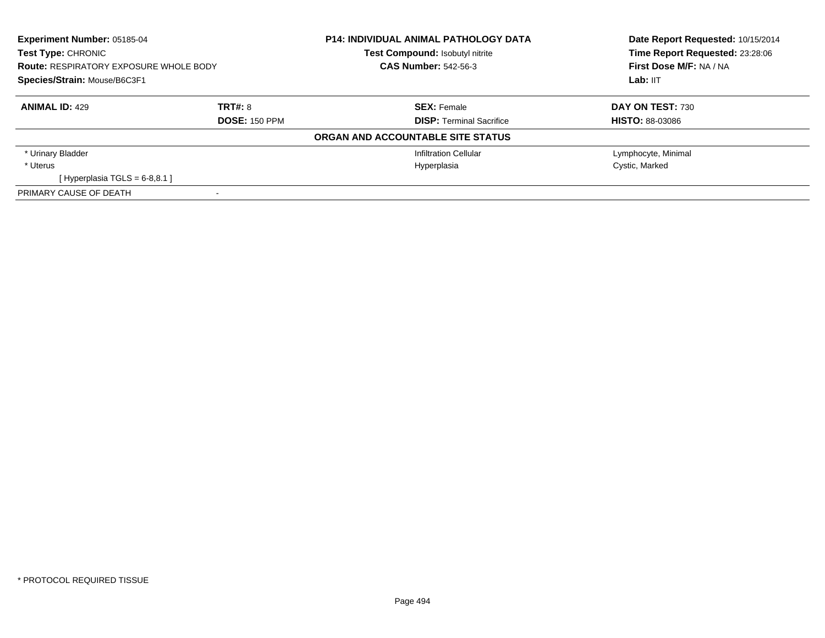| <b>Experiment Number: 05185-04</b><br>Test Type: CHRONIC<br><b>Route: RESPIRATORY EXPOSURE WHOLE BODY</b><br>Species/Strain: Mouse/B6C3F1 |                      | <b>P14: INDIVIDUAL ANIMAL PATHOLOGY DATA</b><br>Test Compound: Isobutyl nitrite<br><b>CAS Number: 542-56-3</b> | Date Report Requested: 10/15/2014<br>Time Report Requested: 23:28:06<br>First Dose M/F: NA / NA<br>Lab: IIT |
|-------------------------------------------------------------------------------------------------------------------------------------------|----------------------|----------------------------------------------------------------------------------------------------------------|-------------------------------------------------------------------------------------------------------------|
|                                                                                                                                           |                      |                                                                                                                |                                                                                                             |
| <b>ANIMAL ID: 429</b>                                                                                                                     | TRT#: 8              | <b>SEX: Female</b>                                                                                             | <b>DAY ON TEST: 730</b>                                                                                     |
|                                                                                                                                           | <b>DOSE: 150 PPM</b> | <b>DISP:</b> Terminal Sacrifice                                                                                | <b>HISTO: 88-03086</b>                                                                                      |
|                                                                                                                                           |                      | ORGAN AND ACCOUNTABLE SITE STATUS                                                                              |                                                                                                             |
| * Urinary Bladder                                                                                                                         |                      | Infiltration Cellular                                                                                          | Lymphocyte, Minimal                                                                                         |
| * Uterus                                                                                                                                  |                      | Hyperplasia                                                                                                    | Cystic, Marked                                                                                              |
| [Hyperplasia TGLS = $6-8,8.1$ ]                                                                                                           |                      |                                                                                                                |                                                                                                             |
| PRIMARY CAUSE OF DEATH                                                                                                                    |                      |                                                                                                                |                                                                                                             |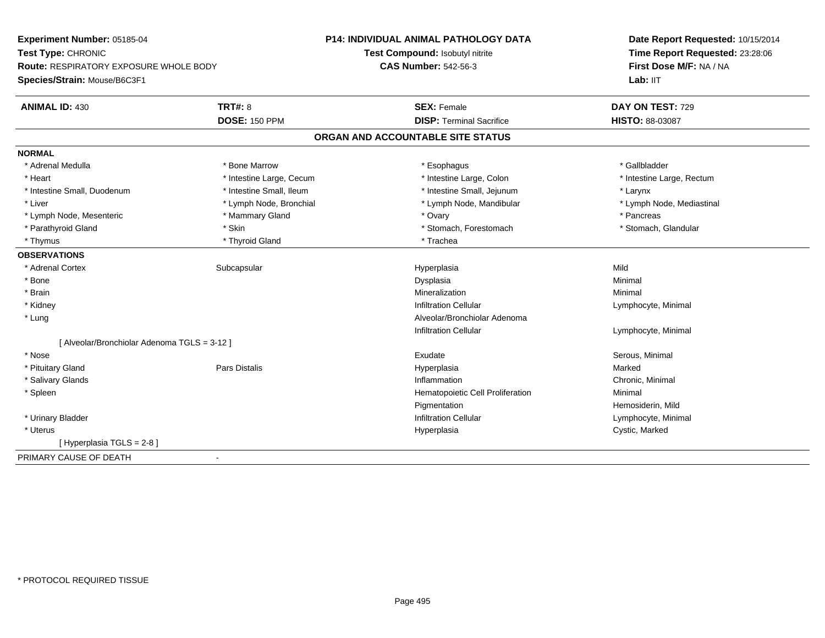| Experiment Number: 05185-04                  |                          | <b>P14: INDIVIDUAL ANIMAL PATHOLOGY DATA</b> | Date Report Requested: 10/15/2014 |
|----------------------------------------------|--------------------------|----------------------------------------------|-----------------------------------|
| Test Type: CHRONIC                           |                          | Test Compound: Isobutyl nitrite              | Time Report Requested: 23:28:06   |
| Route: RESPIRATORY EXPOSURE WHOLE BODY       |                          | <b>CAS Number: 542-56-3</b>                  | First Dose M/F: NA / NA           |
| Species/Strain: Mouse/B6C3F1                 |                          |                                              | Lab: IIT                          |
| <b>ANIMAL ID: 430</b>                        | <b>TRT#: 8</b>           | <b>SEX: Female</b>                           | DAY ON TEST: 729                  |
|                                              | <b>DOSE: 150 PPM</b>     | <b>DISP: Terminal Sacrifice</b>              | <b>HISTO: 88-03087</b>            |
|                                              |                          | ORGAN AND ACCOUNTABLE SITE STATUS            |                                   |
| <b>NORMAL</b>                                |                          |                                              |                                   |
| * Adrenal Medulla                            | * Bone Marrow            | * Esophagus                                  | * Gallbladder                     |
| * Heart                                      | * Intestine Large, Cecum | * Intestine Large, Colon                     | * Intestine Large, Rectum         |
| * Intestine Small, Duodenum                  | * Intestine Small, Ileum | * Intestine Small, Jejunum                   | * Larynx                          |
| * Liver                                      | * Lymph Node, Bronchial  | * Lymph Node, Mandibular                     | * Lymph Node, Mediastinal         |
| * Lymph Node, Mesenteric                     | * Mammary Gland          | * Ovary                                      | * Pancreas                        |
| * Parathyroid Gland                          | * Skin                   | * Stomach, Forestomach                       | * Stomach, Glandular              |
| * Thymus                                     | * Thyroid Gland          | * Trachea                                    |                                   |
| <b>OBSERVATIONS</b>                          |                          |                                              |                                   |
| * Adrenal Cortex                             | Subcapsular              | Hyperplasia                                  | Mild                              |
| * Bone                                       |                          | Dysplasia                                    | Minimal                           |
| * Brain                                      |                          | Mineralization                               | Minimal                           |
| * Kidney                                     |                          | <b>Infiltration Cellular</b>                 | Lymphocyte, Minimal               |
| * Lung                                       |                          | Alveolar/Bronchiolar Adenoma                 |                                   |
|                                              |                          | <b>Infiltration Cellular</b>                 | Lymphocyte, Minimal               |
| [ Alveolar/Bronchiolar Adenoma TGLS = 3-12 ] |                          |                                              |                                   |
| * Nose                                       |                          | Exudate                                      | Serous, Minimal                   |
| * Pituitary Gland                            | <b>Pars Distalis</b>     | Hyperplasia                                  | Marked                            |
| * Salivary Glands                            |                          | Inflammation                                 | Chronic, Minimal                  |
| * Spleen                                     |                          | Hematopoietic Cell Proliferation             | Minimal                           |
|                                              |                          | Pigmentation                                 | Hemosiderin, Mild                 |
| * Urinary Bladder                            |                          | <b>Infiltration Cellular</b>                 | Lymphocyte, Minimal               |
| * Uterus                                     |                          | Hyperplasia                                  | Cystic, Marked                    |
| [Hyperplasia TGLS = $2-8$ ]                  |                          |                                              |                                   |
| PRIMARY CAUSE OF DEATH                       |                          |                                              |                                   |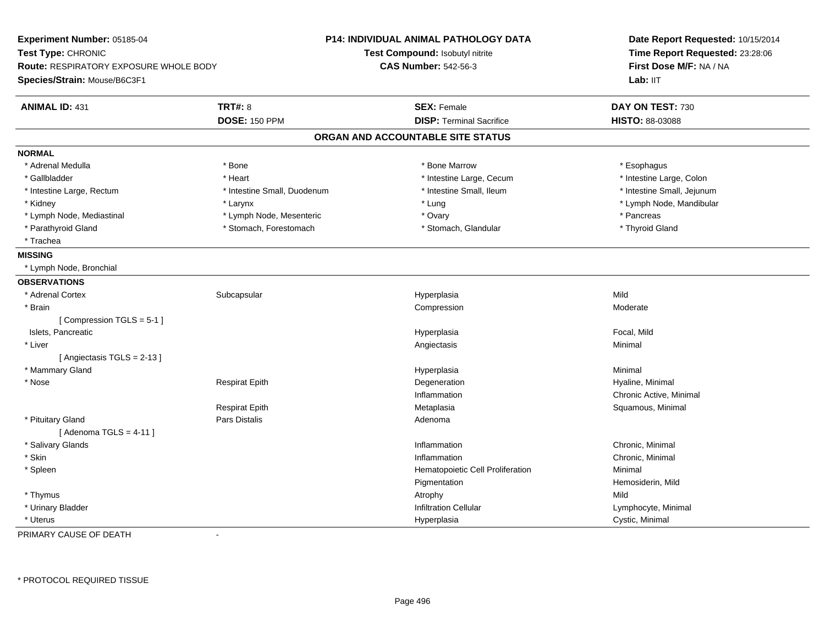| Experiment Number: 05185-04<br>Test Type: CHRONIC<br>Route: RESPIRATORY EXPOSURE WHOLE BODY<br>Species/Strain: Mouse/B6C3F1 |                             | <b>P14: INDIVIDUAL ANIMAL PATHOLOGY DATA</b><br>Test Compound: Isobutyl nitrite<br><b>CAS Number: 542-56-3</b> | Date Report Requested: 10/15/2014<br>Time Report Requested: 23:28:06<br>First Dose M/F: NA / NA<br>Lab: IIT |
|-----------------------------------------------------------------------------------------------------------------------------|-----------------------------|----------------------------------------------------------------------------------------------------------------|-------------------------------------------------------------------------------------------------------------|
| <b>ANIMAL ID: 431</b>                                                                                                       | <b>TRT#: 8</b>              | <b>SEX: Female</b>                                                                                             | DAY ON TEST: 730                                                                                            |
|                                                                                                                             | <b>DOSE: 150 PPM</b>        | <b>DISP: Terminal Sacrifice</b>                                                                                | HISTO: 88-03088                                                                                             |
|                                                                                                                             |                             | ORGAN AND ACCOUNTABLE SITE STATUS                                                                              |                                                                                                             |
| <b>NORMAL</b>                                                                                                               |                             |                                                                                                                |                                                                                                             |
| * Adrenal Medulla                                                                                                           | * Bone                      | * Bone Marrow                                                                                                  | * Esophagus                                                                                                 |
| * Gallbladder                                                                                                               | * Heart                     | * Intestine Large, Cecum                                                                                       | * Intestine Large, Colon                                                                                    |
| * Intestine Large, Rectum                                                                                                   | * Intestine Small, Duodenum | * Intestine Small, Ileum                                                                                       | * Intestine Small, Jejunum                                                                                  |
| * Kidney                                                                                                                    | * Larynx                    | * Lung                                                                                                         | * Lymph Node, Mandibular                                                                                    |
| * Lymph Node, Mediastinal                                                                                                   | * Lymph Node, Mesenteric    | * Ovary                                                                                                        | * Pancreas                                                                                                  |
| * Parathyroid Gland                                                                                                         | * Stomach, Forestomach      | * Stomach, Glandular                                                                                           | * Thyroid Gland                                                                                             |
| * Trachea                                                                                                                   |                             |                                                                                                                |                                                                                                             |
| <b>MISSING</b>                                                                                                              |                             |                                                                                                                |                                                                                                             |
| * Lymph Node, Bronchial                                                                                                     |                             |                                                                                                                |                                                                                                             |
| <b>OBSERVATIONS</b>                                                                                                         |                             |                                                                                                                |                                                                                                             |
| * Adrenal Cortex                                                                                                            | Subcapsular                 | Hyperplasia                                                                                                    | Mild                                                                                                        |
| * Brain                                                                                                                     |                             | Compression                                                                                                    | Moderate                                                                                                    |
| [Compression TGLS = 5-1]                                                                                                    |                             |                                                                                                                |                                                                                                             |
| Islets, Pancreatic                                                                                                          |                             | Hyperplasia                                                                                                    | Focal, Mild                                                                                                 |
| * Liver                                                                                                                     |                             | Angiectasis                                                                                                    | Minimal                                                                                                     |
| [Angiectasis TGLS = 2-13]                                                                                                   |                             |                                                                                                                |                                                                                                             |
| * Mammary Gland                                                                                                             |                             | Hyperplasia                                                                                                    | Minimal                                                                                                     |
| * Nose                                                                                                                      | Respirat Epith              | Degeneration                                                                                                   | Hyaline, Minimal                                                                                            |
|                                                                                                                             |                             | Inflammation                                                                                                   | Chronic Active, Minimal                                                                                     |
|                                                                                                                             | <b>Respirat Epith</b>       | Metaplasia                                                                                                     | Squamous, Minimal                                                                                           |
| * Pituitary Gland                                                                                                           | Pars Distalis               | Adenoma                                                                                                        |                                                                                                             |
| [Adenoma TGLS = $4-11$ ]                                                                                                    |                             |                                                                                                                |                                                                                                             |
| * Salivary Glands                                                                                                           |                             | Inflammation                                                                                                   | Chronic, Minimal                                                                                            |
| * Skin                                                                                                                      |                             | Inflammation                                                                                                   | Chronic, Minimal                                                                                            |
| * Spleen                                                                                                                    |                             | Hematopoietic Cell Proliferation                                                                               | Minimal                                                                                                     |
|                                                                                                                             |                             | Pigmentation                                                                                                   | Hemosiderin, Mild                                                                                           |
| * Thymus                                                                                                                    |                             | Atrophy                                                                                                        | Mild                                                                                                        |
| * Urinary Bladder                                                                                                           |                             | <b>Infiltration Cellular</b>                                                                                   | Lymphocyte, Minimal                                                                                         |
| * Uterus                                                                                                                    |                             | Hyperplasia                                                                                                    | Cystic, Minimal                                                                                             |

PRIMARY CAUSE OF DEATH-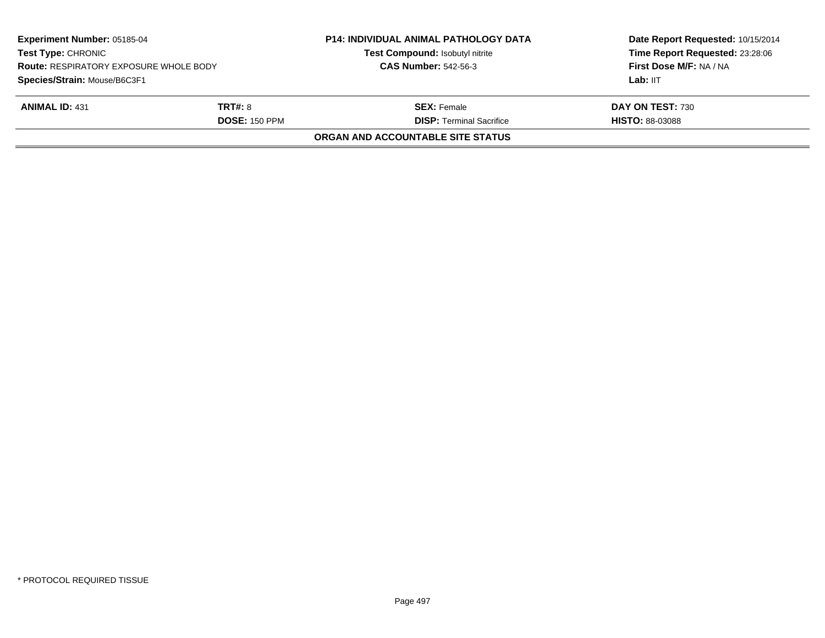| <b>CAS Number: 542-56-3</b> | First Dose M/F: NA / NA                                                                    |
|-----------------------------|--------------------------------------------------------------------------------------------|
|                             | Lab: IIT                                                                                   |
|                             | <b>DAY ON TEST: 730</b>                                                                    |
|                             | <b>HISTO: 88-03088</b>                                                                     |
|                             |                                                                                            |
| <b>DOSE: 150 PPM</b>        | <b>SEX:</b> Female<br><b>DISP: Terminal Sacrifice</b><br>ORGAN AND ACCOUNTABLE SITE STATUS |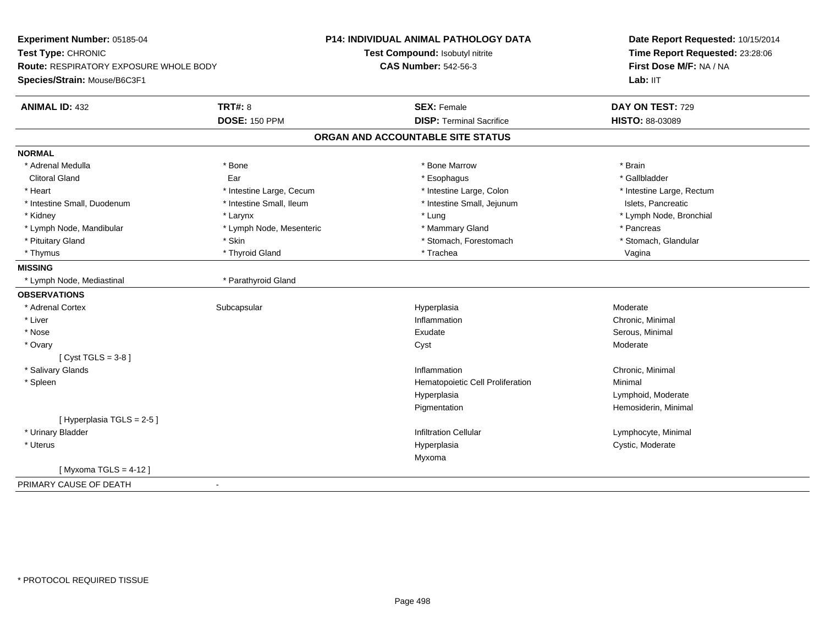| Experiment Number: 05185-04                   |                          | P14: INDIVIDUAL ANIMAL PATHOLOGY DATA | Date Report Requested: 10/15/2014<br>Time Report Requested: 23:28:06<br>First Dose M/F: NA / NA |
|-----------------------------------------------|--------------------------|---------------------------------------|-------------------------------------------------------------------------------------------------|
| Test Type: CHRONIC                            |                          | Test Compound: Isobutyl nitrite       |                                                                                                 |
| <b>Route: RESPIRATORY EXPOSURE WHOLE BODY</b> |                          | <b>CAS Number: 542-56-3</b>           |                                                                                                 |
| Species/Strain: Mouse/B6C3F1                  |                          |                                       | Lab: IIT                                                                                        |
| <b>ANIMAL ID: 432</b>                         | <b>TRT#: 8</b>           | <b>SEX: Female</b>                    | DAY ON TEST: 729                                                                                |
|                                               | <b>DOSE: 150 PPM</b>     | <b>DISP: Terminal Sacrifice</b>       | HISTO: 88-03089                                                                                 |
|                                               |                          | ORGAN AND ACCOUNTABLE SITE STATUS     |                                                                                                 |
| <b>NORMAL</b>                                 |                          |                                       |                                                                                                 |
| * Adrenal Medulla                             | * Bone                   | * Bone Marrow                         | * Brain                                                                                         |
| <b>Clitoral Gland</b>                         | Ear                      | * Esophagus                           | * Gallbladder                                                                                   |
| * Heart                                       | * Intestine Large, Cecum | * Intestine Large, Colon              | * Intestine Large, Rectum                                                                       |
| * Intestine Small, Duodenum                   | * Intestine Small, Ileum | * Intestine Small, Jejunum            | Islets, Pancreatic                                                                              |
| * Kidney                                      | * Larynx                 | * Lung                                | * Lymph Node, Bronchial                                                                         |
| * Lymph Node, Mandibular                      | * Lymph Node, Mesenteric | * Mammary Gland                       | * Pancreas                                                                                      |
| * Pituitary Gland                             | * Skin                   | * Stomach, Forestomach                | * Stomach, Glandular                                                                            |
| * Thymus                                      | * Thyroid Gland          | * Trachea                             | Vagina                                                                                          |
| <b>MISSING</b>                                |                          |                                       |                                                                                                 |
| * Lymph Node, Mediastinal                     | * Parathyroid Gland      |                                       |                                                                                                 |
| <b>OBSERVATIONS</b>                           |                          |                                       |                                                                                                 |
| * Adrenal Cortex                              | Subcapsular              | Hyperplasia                           | Moderate                                                                                        |
| * Liver                                       |                          | Inflammation                          | Chronic, Minimal                                                                                |
| * Nose                                        |                          | Exudate                               | Serous, Minimal                                                                                 |
| * Ovary                                       |                          | Cyst                                  | Moderate                                                                                        |
| [Cyst TGLS = $3-8$ ]                          |                          |                                       |                                                                                                 |
| * Salivary Glands                             |                          | Inflammation                          | Chronic, Minimal                                                                                |
| * Spleen                                      |                          | Hematopoietic Cell Proliferation      | Minimal                                                                                         |
|                                               |                          | Hyperplasia                           | Lymphoid, Moderate                                                                              |
|                                               |                          | Pigmentation                          | Hemosiderin, Minimal                                                                            |
| [Hyperplasia TGLS = 2-5]                      |                          |                                       |                                                                                                 |
| * Urinary Bladder                             |                          | <b>Infiltration Cellular</b>          | Lymphocyte, Minimal                                                                             |
| * Uterus                                      |                          | Hyperplasia                           | Cystic, Moderate                                                                                |
|                                               |                          | Myxoma                                |                                                                                                 |
| [Myxoma TGLS = $4-12$ ]                       |                          |                                       |                                                                                                 |
| PRIMARY CAUSE OF DEATH                        |                          |                                       |                                                                                                 |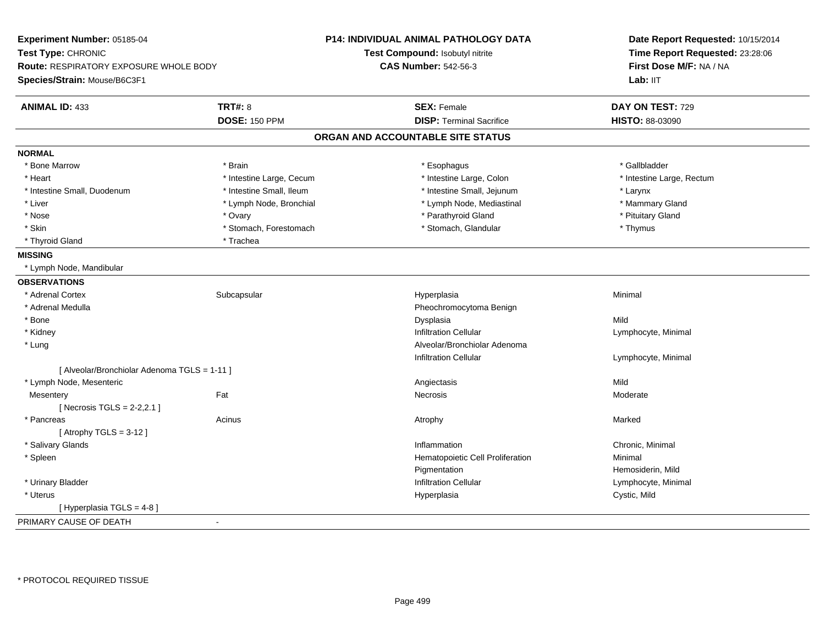| Experiment Number: 05185-04<br>Test Type: CHRONIC<br><b>Route: RESPIRATORY EXPOSURE WHOLE BODY</b> |                          | <b>P14: INDIVIDUAL ANIMAL PATHOLOGY DATA</b> | Date Report Requested: 10/15/2014<br>Time Report Requested: 23:28:06<br>First Dose M/F: NA / NA |  |
|----------------------------------------------------------------------------------------------------|--------------------------|----------------------------------------------|-------------------------------------------------------------------------------------------------|--|
|                                                                                                    |                          | Test Compound: Isobutyl nitrite              |                                                                                                 |  |
|                                                                                                    |                          | <b>CAS Number: 542-56-3</b>                  |                                                                                                 |  |
| Species/Strain: Mouse/B6C3F1                                                                       |                          |                                              | Lab: IIT                                                                                        |  |
| <b>ANIMAL ID: 433</b>                                                                              | <b>TRT#: 8</b>           | <b>SEX: Female</b>                           | DAY ON TEST: 729                                                                                |  |
|                                                                                                    | <b>DOSE: 150 PPM</b>     | <b>DISP: Terminal Sacrifice</b>              | HISTO: 88-03090                                                                                 |  |
|                                                                                                    |                          | ORGAN AND ACCOUNTABLE SITE STATUS            |                                                                                                 |  |
| <b>NORMAL</b>                                                                                      |                          |                                              |                                                                                                 |  |
| * Bone Marrow                                                                                      | * Brain                  | * Esophagus                                  | * Gallbladder                                                                                   |  |
| * Heart                                                                                            | * Intestine Large, Cecum | * Intestine Large, Colon                     | * Intestine Large, Rectum                                                                       |  |
| * Intestine Small, Duodenum                                                                        | * Intestine Small, Ileum | * Intestine Small, Jejunum                   | * Larynx                                                                                        |  |
| * Liver                                                                                            | * Lymph Node, Bronchial  | * Lymph Node, Mediastinal                    | * Mammary Gland                                                                                 |  |
| * Nose                                                                                             | * Ovary                  | * Parathyroid Gland                          | * Pituitary Gland                                                                               |  |
| * Skin                                                                                             | * Stomach, Forestomach   | * Stomach, Glandular                         | * Thymus                                                                                        |  |
| * Thyroid Gland                                                                                    | * Trachea                |                                              |                                                                                                 |  |
| <b>MISSING</b>                                                                                     |                          |                                              |                                                                                                 |  |
| * Lymph Node, Mandibular                                                                           |                          |                                              |                                                                                                 |  |
| <b>OBSERVATIONS</b>                                                                                |                          |                                              |                                                                                                 |  |
| * Adrenal Cortex                                                                                   | Subcapsular              | Hyperplasia                                  | Minimal                                                                                         |  |
| * Adrenal Medulla                                                                                  |                          | Pheochromocytoma Benign                      |                                                                                                 |  |
| * Bone                                                                                             |                          | Dysplasia                                    | Mild                                                                                            |  |
| * Kidney                                                                                           |                          | <b>Infiltration Cellular</b>                 | Lymphocyte, Minimal                                                                             |  |
| * Lung                                                                                             |                          | Alveolar/Bronchiolar Adenoma                 |                                                                                                 |  |
|                                                                                                    |                          | <b>Infiltration Cellular</b>                 | Lymphocyte, Minimal                                                                             |  |
| [ Alveolar/Bronchiolar Adenoma TGLS = 1-11 ]                                                       |                          |                                              |                                                                                                 |  |
| * Lymph Node, Mesenteric                                                                           |                          | Angiectasis                                  | Mild                                                                                            |  |
| Mesentery                                                                                          | Fat                      | <b>Necrosis</b>                              | Moderate                                                                                        |  |
| [Necrosis TGLS = $2-2,2.1$ ]                                                                       |                          |                                              |                                                                                                 |  |
| * Pancreas                                                                                         | Acinus                   | Atrophy                                      | Marked                                                                                          |  |
| [Atrophy TGLS = $3-12$ ]                                                                           |                          |                                              |                                                                                                 |  |
| * Salivary Glands                                                                                  |                          | Inflammation                                 | Chronic, Minimal                                                                                |  |
| * Spleen                                                                                           |                          | Hematopoietic Cell Proliferation             | Minimal                                                                                         |  |
|                                                                                                    |                          | Pigmentation                                 | Hemosiderin, Mild                                                                               |  |
| * Urinary Bladder                                                                                  |                          | <b>Infiltration Cellular</b>                 | Lymphocyte, Minimal                                                                             |  |
| * Uterus                                                                                           |                          | Hyperplasia                                  | Cystic, Mild                                                                                    |  |
| [ Hyperplasia TGLS = 4-8 ]                                                                         |                          |                                              |                                                                                                 |  |
| PRIMARY CAUSE OF DEATH                                                                             | $\blacksquare$           |                                              |                                                                                                 |  |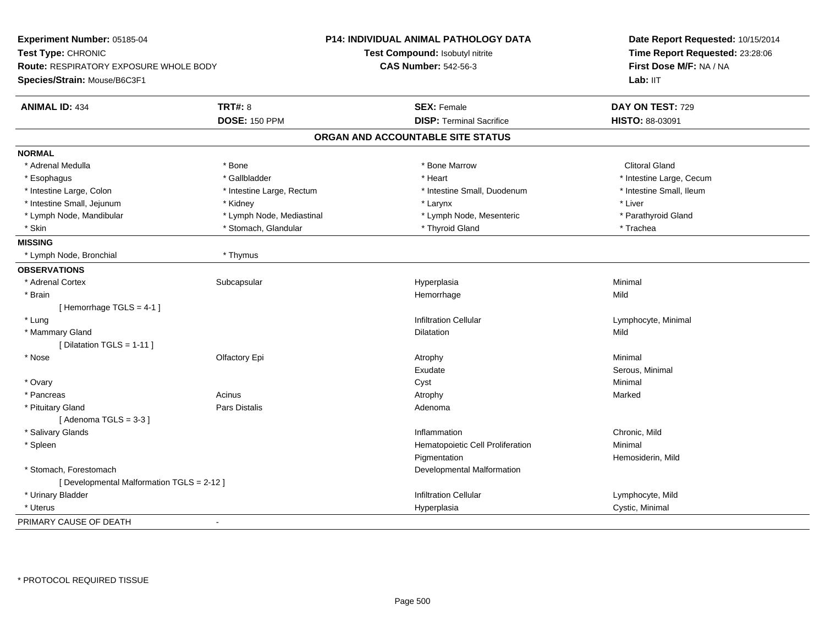| Experiment Number: 05185-04              |                           | P14: INDIVIDUAL ANIMAL PATHOLOGY DATA | Date Report Requested: 10/15/2014<br>Time Report Requested: 23:28:06<br>First Dose M/F: NA / NA<br>Lab: IIT |
|------------------------------------------|---------------------------|---------------------------------------|-------------------------------------------------------------------------------------------------------------|
| Test Type: CHRONIC                       |                           | Test Compound: Isobutyl nitrite       |                                                                                                             |
| Route: RESPIRATORY EXPOSURE WHOLE BODY   |                           | <b>CAS Number: 542-56-3</b>           |                                                                                                             |
| Species/Strain: Mouse/B6C3F1             |                           |                                       |                                                                                                             |
|                                          |                           |                                       |                                                                                                             |
| <b>ANIMAL ID: 434</b>                    | <b>TRT#: 8</b>            | <b>SEX: Female</b>                    | DAY ON TEST: 729                                                                                            |
|                                          | <b>DOSE: 150 PPM</b>      | <b>DISP: Terminal Sacrifice</b>       | HISTO: 88-03091                                                                                             |
|                                          |                           | ORGAN AND ACCOUNTABLE SITE STATUS     |                                                                                                             |
| <b>NORMAL</b>                            |                           |                                       |                                                                                                             |
| * Adrenal Medulla                        | * Bone                    | * Bone Marrow                         | <b>Clitoral Gland</b>                                                                                       |
| * Esophagus                              | * Gallbladder             | * Heart                               | * Intestine Large, Cecum                                                                                    |
| * Intestine Large, Colon                 | * Intestine Large, Rectum | * Intestine Small, Duodenum           | * Intestine Small, Ileum                                                                                    |
| * Intestine Small, Jejunum               | * Kidney                  | * Larynx                              | * Liver                                                                                                     |
| * Lymph Node, Mandibular                 | * Lymph Node, Mediastinal | * Lymph Node, Mesenteric              | * Parathyroid Gland                                                                                         |
| * Skin                                   | * Stomach, Glandular      | * Thyroid Gland                       | * Trachea                                                                                                   |
| <b>MISSING</b>                           |                           |                                       |                                                                                                             |
| * Lymph Node, Bronchial                  | * Thymus                  |                                       |                                                                                                             |
| <b>OBSERVATIONS</b>                      |                           |                                       |                                                                                                             |
| * Adrenal Cortex                         | Subcapsular               | Hyperplasia                           | Minimal                                                                                                     |
| * Brain                                  |                           | Hemorrhage                            | Mild                                                                                                        |
| [Hemorrhage TGLS = 4-1]                  |                           |                                       |                                                                                                             |
| * Lung                                   |                           | <b>Infiltration Cellular</b>          | Lymphocyte, Minimal                                                                                         |
| * Mammary Gland                          |                           | Dilatation                            | Mild                                                                                                        |
| [ Dilatation TGLS = $1-11$ ]             |                           |                                       |                                                                                                             |
| * Nose                                   | Olfactory Epi             | Atrophy                               | Minimal                                                                                                     |
|                                          |                           | Exudate                               | Serous, Minimal                                                                                             |
| * Ovary                                  |                           | Cyst                                  | Minimal                                                                                                     |
| * Pancreas                               | Acinus                    | Atrophy                               | Marked                                                                                                      |
| * Pituitary Gland                        | Pars Distalis             | Adenoma                               |                                                                                                             |
| [Adenoma TGLS = $3-3$ ]                  |                           |                                       |                                                                                                             |
| * Salivary Glands                        |                           | Inflammation                          | Chronic, Mild                                                                                               |
| * Spleen                                 |                           | Hematopoietic Cell Proliferation      | Minimal                                                                                                     |
|                                          |                           | Pigmentation                          | Hemosiderin, Mild                                                                                           |
| * Stomach, Forestomach                   |                           | Developmental Malformation            |                                                                                                             |
| [Developmental Malformation TGLS = 2-12] |                           |                                       |                                                                                                             |
| * Urinary Bladder                        |                           | <b>Infiltration Cellular</b>          | Lymphocyte, Mild                                                                                            |
| * Uterus                                 |                           | Hyperplasia                           | Cystic, Minimal                                                                                             |
| PRIMARY CAUSE OF DEATH                   | $\sim$                    |                                       |                                                                                                             |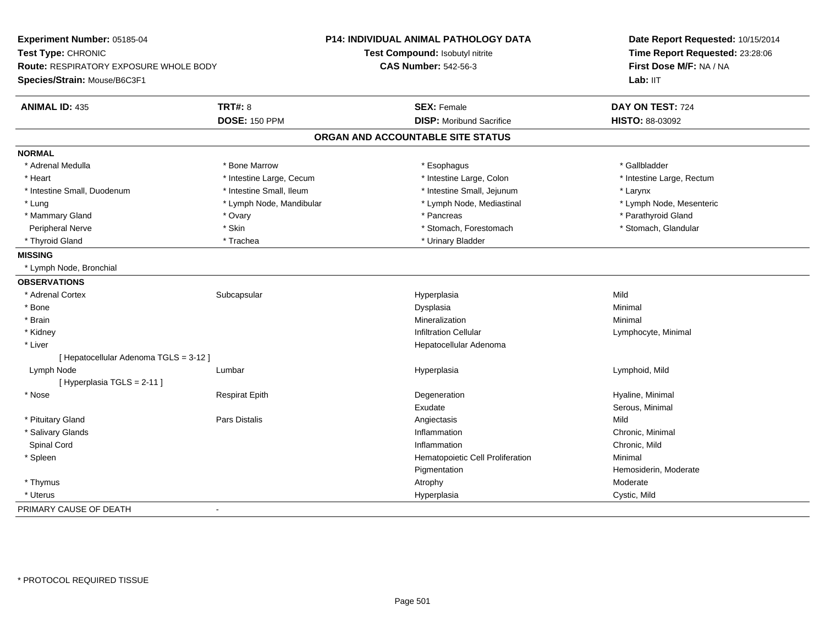| Experiment Number: 05185-04            |                          | P14: INDIVIDUAL ANIMAL PATHOLOGY DATA | Date Report Requested: 10/15/2014<br>Time Report Requested: 23:28:06<br>First Dose M/F: NA / NA<br>Lab: IIT |
|----------------------------------------|--------------------------|---------------------------------------|-------------------------------------------------------------------------------------------------------------|
| Test Type: CHRONIC                     |                          | Test Compound: Isobutyl nitrite       |                                                                                                             |
| Route: RESPIRATORY EXPOSURE WHOLE BODY |                          | <b>CAS Number: 542-56-3</b>           |                                                                                                             |
| Species/Strain: Mouse/B6C3F1           |                          |                                       |                                                                                                             |
| <b>ANIMAL ID: 435</b>                  | <b>TRT#: 8</b>           | <b>SEX: Female</b>                    | DAY ON TEST: 724                                                                                            |
|                                        | <b>DOSE: 150 PPM</b>     | <b>DISP:</b> Moribund Sacrifice       | HISTO: 88-03092                                                                                             |
|                                        |                          | ORGAN AND ACCOUNTABLE SITE STATUS     |                                                                                                             |
| <b>NORMAL</b>                          |                          |                                       |                                                                                                             |
| * Adrenal Medulla                      | * Bone Marrow            | * Esophagus                           | * Gallbladder                                                                                               |
| * Heart                                | * Intestine Large, Cecum | * Intestine Large, Colon              | * Intestine Large, Rectum                                                                                   |
| * Intestine Small, Duodenum            | * Intestine Small, Ileum | * Intestine Small, Jejunum            | * Larynx                                                                                                    |
| * Lung                                 | * Lymph Node, Mandibular | * Lymph Node, Mediastinal             | * Lymph Node, Mesenteric                                                                                    |
| * Mammary Gland                        | * Ovary                  | * Pancreas                            | * Parathyroid Gland                                                                                         |
| Peripheral Nerve                       | * Skin                   | * Stomach, Forestomach                | * Stomach, Glandular                                                                                        |
| * Thyroid Gland                        | * Trachea                | * Urinary Bladder                     |                                                                                                             |
| <b>MISSING</b>                         |                          |                                       |                                                                                                             |
| * Lymph Node, Bronchial                |                          |                                       |                                                                                                             |
| <b>OBSERVATIONS</b>                    |                          |                                       |                                                                                                             |
| * Adrenal Cortex                       | Subcapsular              | Hyperplasia                           | Mild                                                                                                        |
| * Bone                                 |                          | Dysplasia                             | Minimal                                                                                                     |
| * Brain                                |                          | Mineralization                        | Minimal                                                                                                     |
| * Kidney                               |                          | <b>Infiltration Cellular</b>          | Lymphocyte, Minimal                                                                                         |
| * Liver                                |                          | Hepatocellular Adenoma                |                                                                                                             |
| [ Hepatocellular Adenoma TGLS = 3-12 ] |                          |                                       |                                                                                                             |
| Lymph Node                             | Lumbar                   | Hyperplasia                           | Lymphoid, Mild                                                                                              |
| [Hyperplasia TGLS = 2-11]              |                          |                                       |                                                                                                             |
| * Nose                                 | <b>Respirat Epith</b>    | Degeneration                          | Hyaline, Minimal                                                                                            |
|                                        |                          | Exudate                               | Serous, Minimal                                                                                             |
| * Pituitary Gland                      | <b>Pars Distalis</b>     | Angiectasis                           | Mild                                                                                                        |
| * Salivary Glands                      |                          | Inflammation                          | Chronic, Minimal                                                                                            |
| Spinal Cord                            |                          | Inflammation                          | Chronic, Mild                                                                                               |
| * Spleen                               |                          | Hematopoietic Cell Proliferation      | Minimal                                                                                                     |
|                                        |                          | Pigmentation                          | Hemosiderin, Moderate                                                                                       |
| * Thymus                               |                          | Atrophy                               | Moderate                                                                                                    |
| * Uterus                               |                          | Hyperplasia                           | Cystic, Mild                                                                                                |
| PRIMARY CAUSE OF DEATH                 | $\blacksquare$           |                                       |                                                                                                             |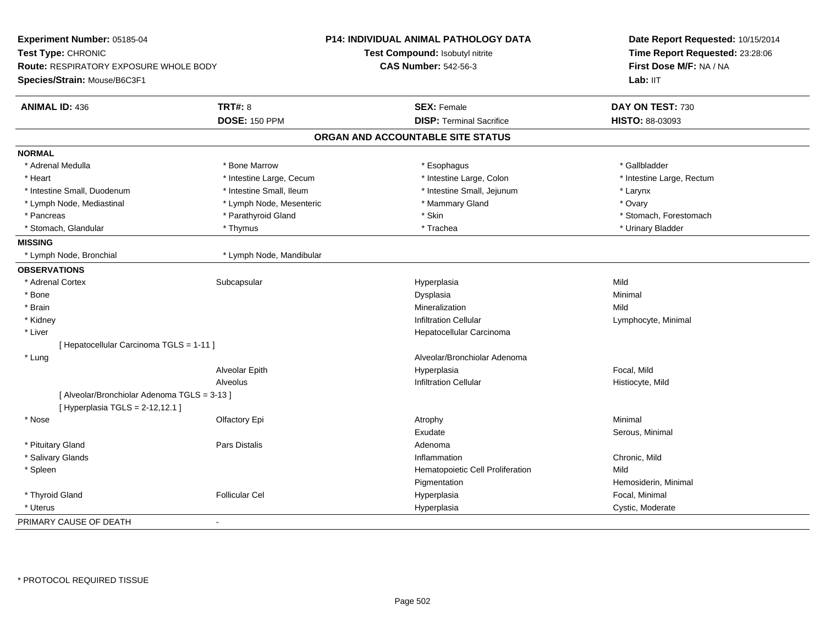| Experiment Number: 05185-04                  |                          | <b>P14: INDIVIDUAL ANIMAL PATHOLOGY DATA</b> | Date Report Requested: 10/15/2014<br>Time Report Requested: 23:28:06<br>First Dose M/F: NA / NA<br>Lab: IIT |
|----------------------------------------------|--------------------------|----------------------------------------------|-------------------------------------------------------------------------------------------------------------|
| Test Type: CHRONIC                           |                          | Test Compound: Isobutyl nitrite              |                                                                                                             |
| Route: RESPIRATORY EXPOSURE WHOLE BODY       |                          | <b>CAS Number: 542-56-3</b>                  |                                                                                                             |
| Species/Strain: Mouse/B6C3F1                 |                          |                                              |                                                                                                             |
| <b>ANIMAL ID: 436</b>                        | <b>TRT#: 8</b>           | <b>SEX: Female</b>                           | DAY ON TEST: 730                                                                                            |
|                                              | <b>DOSE: 150 PPM</b>     | <b>DISP: Terminal Sacrifice</b>              | HISTO: 88-03093                                                                                             |
|                                              |                          | ORGAN AND ACCOUNTABLE SITE STATUS            |                                                                                                             |
| <b>NORMAL</b>                                |                          |                                              |                                                                                                             |
| * Adrenal Medulla                            | * Bone Marrow            | * Esophagus                                  | * Gallbladder                                                                                               |
| * Heart                                      | * Intestine Large, Cecum | * Intestine Large, Colon                     | * Intestine Large, Rectum                                                                                   |
| * Intestine Small, Duodenum                  | * Intestine Small, Ileum | * Intestine Small, Jejunum                   | * Larynx                                                                                                    |
| * Lymph Node, Mediastinal                    | * Lymph Node, Mesenteric | * Mammary Gland                              | * Ovary                                                                                                     |
| * Pancreas                                   | * Parathyroid Gland      | * Skin                                       | * Stomach, Forestomach                                                                                      |
| * Stomach, Glandular                         | * Thymus                 | * Trachea                                    | * Urinary Bladder                                                                                           |
| <b>MISSING</b>                               |                          |                                              |                                                                                                             |
| * Lymph Node, Bronchial                      | * Lymph Node, Mandibular |                                              |                                                                                                             |
| <b>OBSERVATIONS</b>                          |                          |                                              |                                                                                                             |
| * Adrenal Cortex                             | Subcapsular              | Hyperplasia                                  | Mild                                                                                                        |
| * Bone                                       |                          | Dysplasia                                    | Minimal                                                                                                     |
| * Brain                                      |                          | Mineralization                               | Mild                                                                                                        |
| * Kidney                                     |                          | <b>Infiltration Cellular</b>                 | Lymphocyte, Minimal                                                                                         |
| * Liver                                      |                          | Hepatocellular Carcinoma                     |                                                                                                             |
| [ Hepatocellular Carcinoma TGLS = 1-11 ]     |                          |                                              |                                                                                                             |
| * Lung                                       |                          | Alveolar/Bronchiolar Adenoma                 |                                                                                                             |
|                                              | Alveolar Epith           | Hyperplasia                                  | Focal, Mild                                                                                                 |
|                                              | Alveolus                 | <b>Infiltration Cellular</b>                 | Histiocyte, Mild                                                                                            |
| [ Alveolar/Bronchiolar Adenoma TGLS = 3-13 ] |                          |                                              |                                                                                                             |
| [ Hyperplasia TGLS = 2-12,12.1 ]             |                          |                                              |                                                                                                             |
| * Nose                                       | Olfactory Epi            | Atrophy                                      | Minimal                                                                                                     |
|                                              |                          | Exudate                                      | Serous, Minimal                                                                                             |
| * Pituitary Gland                            | Pars Distalis            | Adenoma                                      |                                                                                                             |
| * Salivary Glands                            |                          | Inflammation                                 | Chronic, Mild                                                                                               |
| * Spleen                                     |                          | Hematopoietic Cell Proliferation             | Mild                                                                                                        |
|                                              |                          | Pigmentation                                 | Hemosiderin, Minimal                                                                                        |
| * Thyroid Gland                              | <b>Follicular Cel</b>    | Hyperplasia                                  | Focal, Minimal                                                                                              |
| * Uterus                                     |                          | Hyperplasia                                  | Cystic, Moderate                                                                                            |
| PRIMARY CAUSE OF DEATH                       | ÷,                       |                                              |                                                                                                             |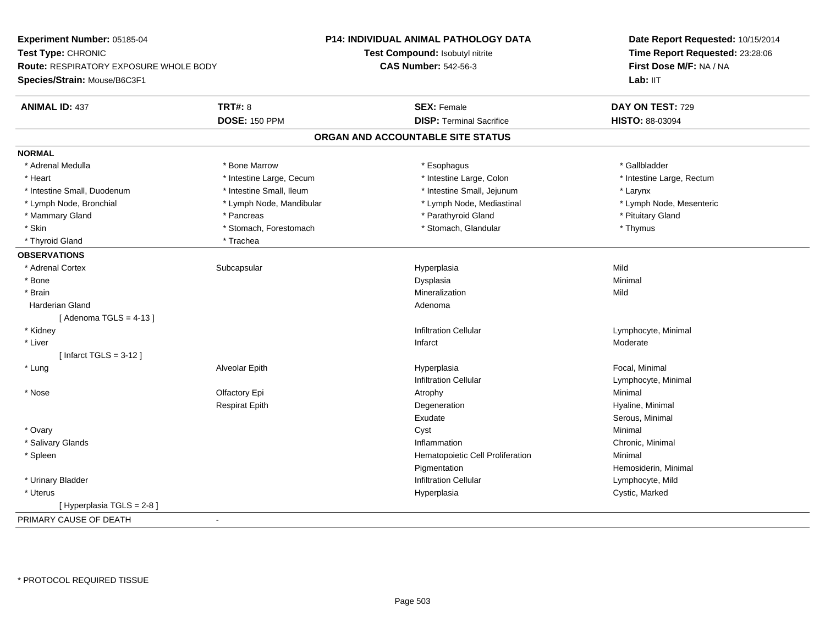| Experiment Number: 05185-04                   |                          | P14: INDIVIDUAL ANIMAL PATHOLOGY DATA | Date Report Requested: 10/15/2014<br>Time Report Requested: 23:28:06<br>First Dose M/F: NA / NA<br>Lab: IIT |
|-----------------------------------------------|--------------------------|---------------------------------------|-------------------------------------------------------------------------------------------------------------|
| Test Type: CHRONIC                            |                          | Test Compound: Isobutyl nitrite       |                                                                                                             |
| <b>Route: RESPIRATORY EXPOSURE WHOLE BODY</b> |                          | <b>CAS Number: 542-56-3</b>           |                                                                                                             |
| Species/Strain: Mouse/B6C3F1                  |                          |                                       |                                                                                                             |
| <b>ANIMAL ID: 437</b>                         | <b>TRT#: 8</b>           | <b>SEX: Female</b>                    | DAY ON TEST: 729                                                                                            |
|                                               | <b>DOSE: 150 PPM</b>     | <b>DISP: Terminal Sacrifice</b>       | HISTO: 88-03094                                                                                             |
|                                               |                          | ORGAN AND ACCOUNTABLE SITE STATUS     |                                                                                                             |
| <b>NORMAL</b>                                 |                          |                                       |                                                                                                             |
| * Adrenal Medulla                             | * Bone Marrow            | * Esophagus                           | * Gallbladder                                                                                               |
| * Heart                                       | * Intestine Large, Cecum | * Intestine Large, Colon              | * Intestine Large, Rectum                                                                                   |
| * Intestine Small, Duodenum                   | * Intestine Small, Ileum | * Intestine Small, Jejunum            | * Larynx                                                                                                    |
| * Lymph Node, Bronchial                       | * Lymph Node, Mandibular | * Lymph Node, Mediastinal             | * Lymph Node, Mesenteric                                                                                    |
| * Mammary Gland                               | * Pancreas               | * Parathyroid Gland                   | * Pituitary Gland                                                                                           |
| * Skin                                        | * Stomach, Forestomach   | * Stomach, Glandular                  | * Thymus                                                                                                    |
| * Thyroid Gland                               | * Trachea                |                                       |                                                                                                             |
| <b>OBSERVATIONS</b>                           |                          |                                       |                                                                                                             |
| * Adrenal Cortex                              | Subcapsular              | Hyperplasia                           | Mild                                                                                                        |
| * Bone                                        |                          | Dysplasia                             | Minimal                                                                                                     |
| * Brain                                       |                          | Mineralization                        | Mild                                                                                                        |
| <b>Harderian Gland</b>                        |                          | Adenoma                               |                                                                                                             |
| [Adenoma TGLS = $4-13$ ]                      |                          |                                       |                                                                                                             |
| * Kidney                                      |                          | <b>Infiltration Cellular</b>          | Lymphocyte, Minimal                                                                                         |
| * Liver                                       |                          | Infarct                               | Moderate                                                                                                    |
| [Infarct TGLS = $3-12$ ]                      |                          |                                       |                                                                                                             |
| * Lung                                        | Alveolar Epith           | Hyperplasia                           | Focal, Minimal                                                                                              |
|                                               |                          | <b>Infiltration Cellular</b>          | Lymphocyte, Minimal                                                                                         |
| * Nose                                        | Olfactory Epi            | Atrophy                               | Minimal                                                                                                     |
|                                               | <b>Respirat Epith</b>    | Degeneration                          | Hyaline, Minimal                                                                                            |
|                                               |                          | Exudate                               | Serous, Minimal                                                                                             |
| * Ovary                                       |                          | Cyst                                  | Minimal                                                                                                     |
| * Salivary Glands                             |                          | Inflammation                          | Chronic, Minimal                                                                                            |
| * Spleen                                      |                          | Hematopoietic Cell Proliferation      | Minimal                                                                                                     |
|                                               |                          | Pigmentation                          | Hemosiderin, Minimal                                                                                        |
| * Urinary Bladder                             |                          | <b>Infiltration Cellular</b>          | Lymphocyte, Mild                                                                                            |
| * Uterus                                      |                          | Hyperplasia                           | Cystic, Marked                                                                                              |
| [ Hyperplasia TGLS = 2-8 ]                    |                          |                                       |                                                                                                             |
| PRIMARY CAUSE OF DEATH                        | $\blacksquare$           |                                       |                                                                                                             |
|                                               |                          |                                       |                                                                                                             |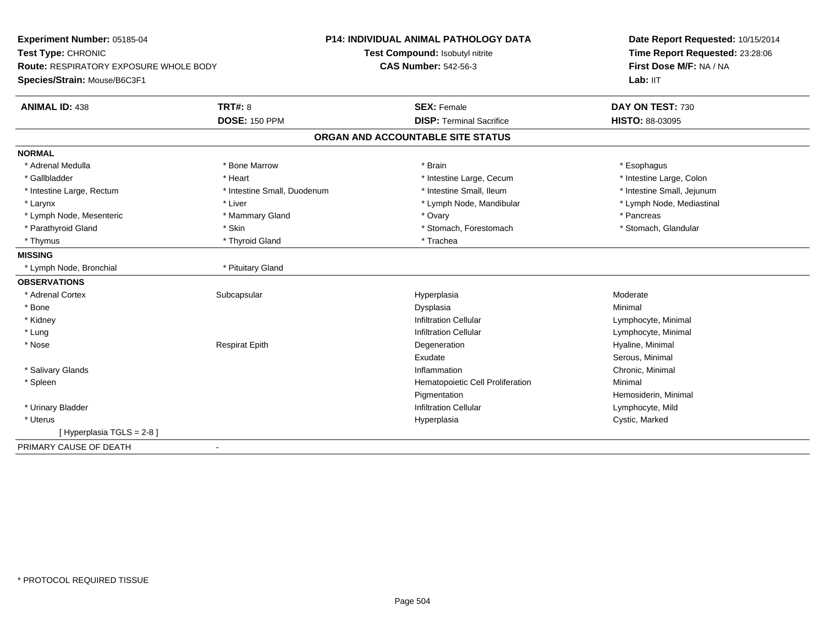| Experiment Number: 05185-04            |                             | <b>P14: INDIVIDUAL ANIMAL PATHOLOGY DATA</b> | Date Report Requested: 10/15/2014<br>Time Report Requested: 23:28:06<br>First Dose M/F: NA / NA |  |
|----------------------------------------|-----------------------------|----------------------------------------------|-------------------------------------------------------------------------------------------------|--|
| Test Type: CHRONIC                     |                             | Test Compound: Isobutyl nitrite              |                                                                                                 |  |
| Route: RESPIRATORY EXPOSURE WHOLE BODY |                             | <b>CAS Number: 542-56-3</b>                  |                                                                                                 |  |
| Species/Strain: Mouse/B6C3F1           |                             |                                              | Lab: IIT                                                                                        |  |
| <b>ANIMAL ID: 438</b>                  | <b>TRT#: 8</b>              | <b>SEX: Female</b>                           | DAY ON TEST: 730                                                                                |  |
|                                        | <b>DOSE: 150 PPM</b>        | <b>DISP: Terminal Sacrifice</b>              | HISTO: 88-03095                                                                                 |  |
|                                        |                             | ORGAN AND ACCOUNTABLE SITE STATUS            |                                                                                                 |  |
| <b>NORMAL</b>                          |                             |                                              |                                                                                                 |  |
| * Adrenal Medulla                      | * Bone Marrow               | * Brain                                      | * Esophagus                                                                                     |  |
| * Gallbladder                          | * Heart                     | * Intestine Large, Cecum                     | * Intestine Large, Colon                                                                        |  |
| * Intestine Large, Rectum              | * Intestine Small, Duodenum | * Intestine Small, Ileum                     | * Intestine Small, Jejunum                                                                      |  |
| * Larynx                               | * Liver                     | * Lymph Node, Mandibular                     | * Lymph Node, Mediastinal                                                                       |  |
| * Lymph Node, Mesenteric               | * Mammary Gland             | * Ovary                                      | * Pancreas                                                                                      |  |
| * Parathyroid Gland                    | * Skin                      | * Stomach, Forestomach                       | * Stomach, Glandular                                                                            |  |
| * Thymus                               | * Thyroid Gland             | * Trachea                                    |                                                                                                 |  |
| <b>MISSING</b>                         |                             |                                              |                                                                                                 |  |
| * Lymph Node, Bronchial                | * Pituitary Gland           |                                              |                                                                                                 |  |
| <b>OBSERVATIONS</b>                    |                             |                                              |                                                                                                 |  |
| * Adrenal Cortex                       | Subcapsular                 | Hyperplasia                                  | Moderate                                                                                        |  |
| * Bone                                 |                             | Dysplasia                                    | Minimal                                                                                         |  |
| * Kidney                               |                             | <b>Infiltration Cellular</b>                 | Lymphocyte, Minimal                                                                             |  |
| * Lung                                 |                             | <b>Infiltration Cellular</b>                 | Lymphocyte, Minimal                                                                             |  |
| * Nose                                 | <b>Respirat Epith</b>       | Degeneration                                 | Hyaline, Minimal                                                                                |  |
|                                        |                             | Exudate                                      | Serous, Minimal                                                                                 |  |
| * Salivary Glands                      |                             | Inflammation                                 | Chronic, Minimal                                                                                |  |
| * Spleen                               |                             | Hematopoietic Cell Proliferation             | Minimal                                                                                         |  |
|                                        |                             | Pigmentation                                 | Hemosiderin, Minimal                                                                            |  |
| * Urinary Bladder                      |                             | <b>Infiltration Cellular</b>                 | Lymphocyte, Mild                                                                                |  |
| * Uterus                               |                             | Hyperplasia                                  | Cystic, Marked                                                                                  |  |
| [Hyperplasia TGLS = $2-8$ ]            |                             |                                              |                                                                                                 |  |
| PRIMARY CAUSE OF DEATH                 |                             |                                              |                                                                                                 |  |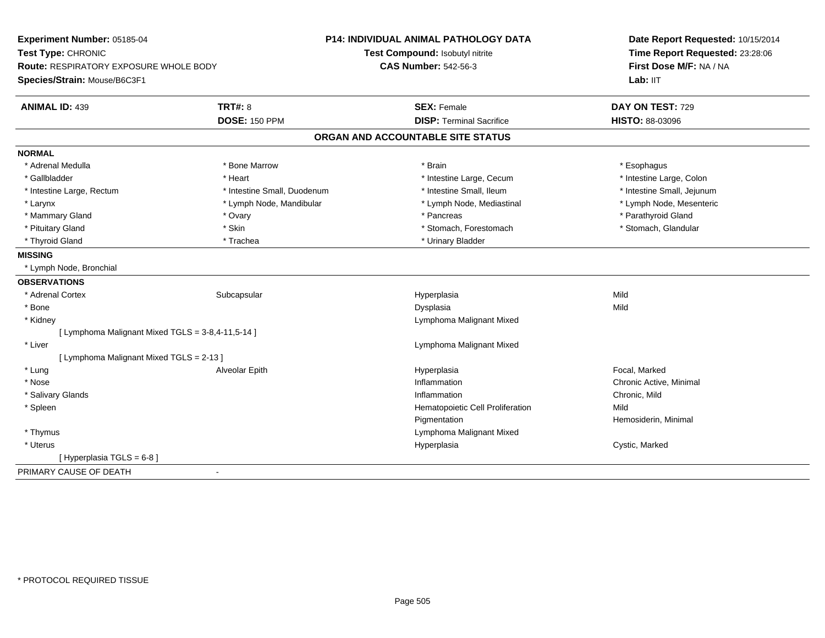| Experiment Number: 05185-04                       |                             | <b>P14: INDIVIDUAL ANIMAL PATHOLOGY DATA</b> | Date Report Requested: 10/15/2014<br>Time Report Requested: 23:28:06 |
|---------------------------------------------------|-----------------------------|----------------------------------------------|----------------------------------------------------------------------|
| Test Type: CHRONIC                                |                             | Test Compound: Isobutyl nitrite              |                                                                      |
| <b>Route: RESPIRATORY EXPOSURE WHOLE BODY</b>     |                             | <b>CAS Number: 542-56-3</b>                  | First Dose M/F: NA / NA                                              |
| Species/Strain: Mouse/B6C3F1                      |                             |                                              | Lab: IIT                                                             |
| <b>ANIMAL ID: 439</b>                             | <b>TRT#: 8</b>              | <b>SEX: Female</b>                           | DAY ON TEST: 729                                                     |
|                                                   | <b>DOSE: 150 PPM</b>        | <b>DISP: Terminal Sacrifice</b>              | HISTO: 88-03096                                                      |
|                                                   |                             | ORGAN AND ACCOUNTABLE SITE STATUS            |                                                                      |
| <b>NORMAL</b>                                     |                             |                                              |                                                                      |
| * Adrenal Medulla                                 | * Bone Marrow               | * Brain                                      | * Esophagus                                                          |
| * Gallbladder                                     | * Heart                     | * Intestine Large, Cecum                     | * Intestine Large, Colon                                             |
| * Intestine Large, Rectum                         | * Intestine Small, Duodenum | * Intestine Small, Ileum                     | * Intestine Small, Jejunum                                           |
| * Larynx                                          | * Lymph Node, Mandibular    | * Lymph Node, Mediastinal                    | * Lymph Node, Mesenteric                                             |
| * Mammary Gland                                   | * Ovary                     | * Pancreas                                   | * Parathyroid Gland                                                  |
| * Pituitary Gland                                 | * Skin                      | * Stomach, Forestomach                       | * Stomach, Glandular                                                 |
| * Thyroid Gland                                   | * Trachea                   | * Urinary Bladder                            |                                                                      |
| <b>MISSING</b>                                    |                             |                                              |                                                                      |
| * Lymph Node, Bronchial                           |                             |                                              |                                                                      |
| <b>OBSERVATIONS</b>                               |                             |                                              |                                                                      |
| * Adrenal Cortex                                  | Subcapsular                 | Hyperplasia                                  | Mild                                                                 |
| * Bone                                            |                             | Dysplasia                                    | Mild                                                                 |
| * Kidney                                          |                             | Lymphoma Malignant Mixed                     |                                                                      |
| [ Lymphoma Malignant Mixed TGLS = 3-8,4-11,5-14 ] |                             |                                              |                                                                      |
| * Liver                                           |                             | Lymphoma Malignant Mixed                     |                                                                      |
| [ Lymphoma Malignant Mixed TGLS = 2-13 ]          |                             |                                              |                                                                      |
| * Lung                                            | Alveolar Epith              | Hyperplasia                                  | Focal, Marked                                                        |
| * Nose                                            |                             | Inflammation                                 | Chronic Active, Minimal                                              |
| * Salivary Glands                                 |                             | Inflammation                                 | Chronic, Mild                                                        |
| * Spleen                                          |                             | Hematopoietic Cell Proliferation             | Mild                                                                 |
|                                                   |                             | Pigmentation                                 | Hemosiderin, Minimal                                                 |
| * Thymus                                          |                             | Lymphoma Malignant Mixed                     |                                                                      |
| * Uterus                                          |                             | Hyperplasia                                  | Cystic, Marked                                                       |
| [Hyperplasia TGLS = $6-8$ ]                       |                             |                                              |                                                                      |
| PRIMARY CAUSE OF DEATH                            |                             |                                              |                                                                      |
|                                                   |                             |                                              |                                                                      |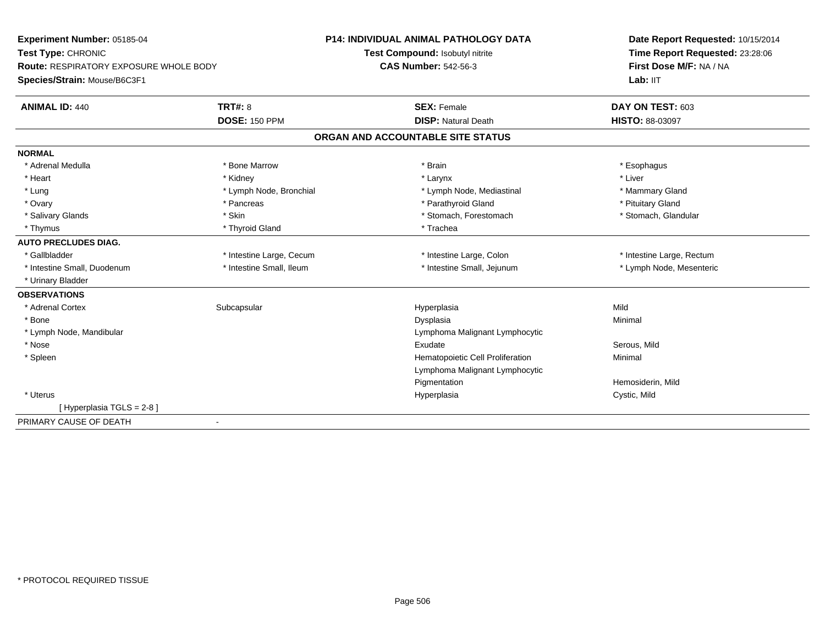| Experiment Number: 05185-04<br>Test Type: CHRONIC<br><b>Route: RESPIRATORY EXPOSURE WHOLE BODY</b><br>Species/Strain: Mouse/B6C3F1 |                          | <b>P14: INDIVIDUAL ANIMAL PATHOLOGY DATA</b> | Date Report Requested: 10/15/2014<br>Time Report Requested: 23:28:06<br>First Dose M/F: NA / NA |
|------------------------------------------------------------------------------------------------------------------------------------|--------------------------|----------------------------------------------|-------------------------------------------------------------------------------------------------|
|                                                                                                                                    |                          | Test Compound: Isobutyl nitrite              |                                                                                                 |
|                                                                                                                                    |                          | <b>CAS Number: 542-56-3</b>                  |                                                                                                 |
|                                                                                                                                    |                          |                                              | Lab: IIT                                                                                        |
| <b>ANIMAL ID: 440</b>                                                                                                              | <b>TRT#: 8</b>           | <b>SEX: Female</b>                           | DAY ON TEST: 603                                                                                |
|                                                                                                                                    | <b>DOSE: 150 PPM</b>     | <b>DISP: Natural Death</b>                   | <b>HISTO: 88-03097</b>                                                                          |
|                                                                                                                                    |                          | ORGAN AND ACCOUNTABLE SITE STATUS            |                                                                                                 |
| <b>NORMAL</b>                                                                                                                      |                          |                                              |                                                                                                 |
| * Adrenal Medulla                                                                                                                  | * Bone Marrow            | * Brain                                      | * Esophagus                                                                                     |
| * Heart                                                                                                                            | * Kidney                 | * Larynx                                     | * Liver                                                                                         |
| * Lung                                                                                                                             | * Lymph Node, Bronchial  | * Lymph Node, Mediastinal                    | * Mammary Gland                                                                                 |
| * Ovary                                                                                                                            | * Pancreas               | * Parathyroid Gland                          | * Pituitary Gland                                                                               |
| * Salivary Glands                                                                                                                  | * Skin                   | * Stomach, Forestomach                       | * Stomach, Glandular                                                                            |
| * Thymus                                                                                                                           | * Thyroid Gland          | * Trachea                                    |                                                                                                 |
| <b>AUTO PRECLUDES DIAG.</b>                                                                                                        |                          |                                              |                                                                                                 |
| * Gallbladder                                                                                                                      | * Intestine Large, Cecum | * Intestine Large, Colon                     | * Intestine Large, Rectum                                                                       |
| * Intestine Small, Duodenum                                                                                                        | * Intestine Small, Ileum | * Intestine Small, Jejunum                   | * Lymph Node, Mesenteric                                                                        |
| * Urinary Bladder                                                                                                                  |                          |                                              |                                                                                                 |
| <b>OBSERVATIONS</b>                                                                                                                |                          |                                              |                                                                                                 |
| * Adrenal Cortex                                                                                                                   | Subcapsular              | Hyperplasia                                  | Mild                                                                                            |
| * Bone                                                                                                                             |                          | Dysplasia                                    | Minimal                                                                                         |
| * Lymph Node, Mandibular                                                                                                           |                          | Lymphoma Malignant Lymphocytic               |                                                                                                 |
| * Nose                                                                                                                             |                          | Exudate                                      | Serous, Mild                                                                                    |
| * Spleen                                                                                                                           |                          | Hematopoietic Cell Proliferation             | Minimal                                                                                         |
|                                                                                                                                    |                          | Lymphoma Malignant Lymphocytic               |                                                                                                 |
|                                                                                                                                    |                          | Pigmentation                                 | Hemosiderin, Mild                                                                               |
| * Uterus                                                                                                                           |                          | Hyperplasia                                  | Cystic, Mild                                                                                    |
| [Hyperplasia TGLS = 2-8]                                                                                                           |                          |                                              |                                                                                                 |
| PRIMARY CAUSE OF DEATH                                                                                                             | ۰                        |                                              |                                                                                                 |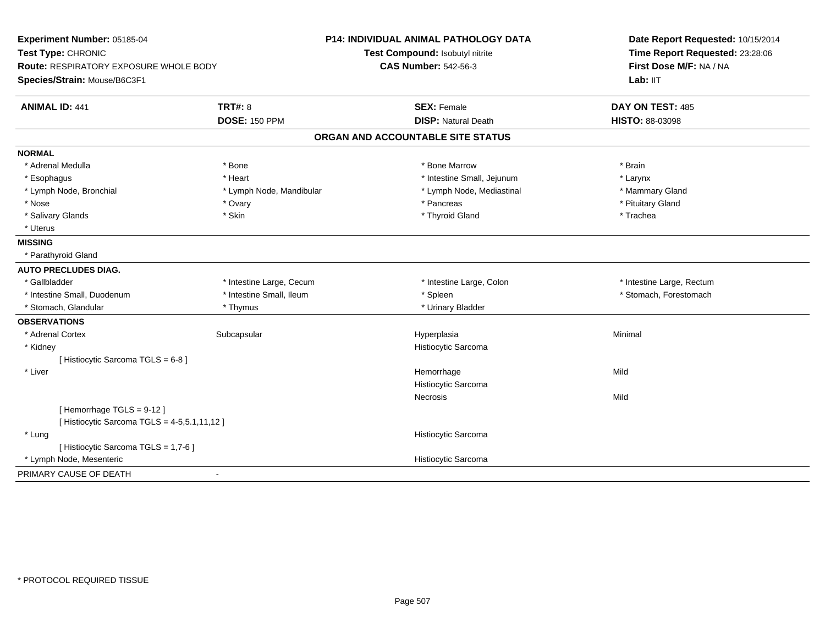| <b>TRT#: 8</b><br><b>ANIMAL ID: 441</b>      | <b>DOSE: 150 PPM</b>     | <b>SEX: Female</b><br><b>DISP: Natural Death</b><br>ORGAN AND ACCOUNTABLE SITE STATUS | DAY ON TEST: 485<br>HISTO: 88-03098 |
|----------------------------------------------|--------------------------|---------------------------------------------------------------------------------------|-------------------------------------|
|                                              |                          |                                                                                       |                                     |
|                                              |                          |                                                                                       |                                     |
|                                              |                          |                                                                                       |                                     |
| <b>NORMAL</b>                                |                          |                                                                                       |                                     |
| * Adrenal Medulla<br>* Bone                  |                          | * Bone Marrow                                                                         | * Brain                             |
| * Esophagus<br>* Heart                       |                          | * Intestine Small, Jejunum                                                            | * Larynx                            |
| * Lymph Node, Bronchial                      | * Lymph Node, Mandibular | * Lymph Node, Mediastinal                                                             | * Mammary Gland                     |
| * Nose<br>* Ovary                            |                          | * Pancreas                                                                            | * Pituitary Gland                   |
| * Salivary Glands<br>* Skin                  |                          | * Thyroid Gland                                                                       | * Trachea                           |
| * Uterus                                     |                          |                                                                                       |                                     |
| <b>MISSING</b>                               |                          |                                                                                       |                                     |
| * Parathyroid Gland                          |                          |                                                                                       |                                     |
| <b>AUTO PRECLUDES DIAG.</b>                  |                          |                                                                                       |                                     |
| * Gallbladder                                | * Intestine Large, Cecum | * Intestine Large, Colon                                                              | * Intestine Large, Rectum           |
| * Intestine Small, Duodenum                  | * Intestine Small, Ileum | * Spleen                                                                              | * Stomach, Forestomach              |
| * Stomach, Glandular                         | * Thymus                 | * Urinary Bladder                                                                     |                                     |
| <b>OBSERVATIONS</b>                          |                          |                                                                                       |                                     |
| * Adrenal Cortex                             | Subcapsular              | Hyperplasia                                                                           | Minimal                             |
| * Kidney                                     |                          | Histiocytic Sarcoma                                                                   |                                     |
| [Histiocytic Sarcoma TGLS = 6-8]             |                          |                                                                                       |                                     |
| * Liver                                      |                          | Hemorrhage                                                                            | Mild                                |
|                                              |                          | Histiocytic Sarcoma                                                                   |                                     |
|                                              |                          | Necrosis                                                                              | Mild                                |
| [Hemorrhage TGLS = 9-12]                     |                          |                                                                                       |                                     |
| [ Histiocytic Sarcoma TGLS = 4-5,5.1,11,12 ] |                          |                                                                                       |                                     |
| * Lung                                       |                          | Histiocytic Sarcoma                                                                   |                                     |
| [ Histiocytic Sarcoma TGLS = 1,7-6 ]         |                          |                                                                                       |                                     |
| * Lymph Node, Mesenteric                     |                          | Histiocytic Sarcoma                                                                   |                                     |
| PRIMARY CAUSE OF DEATH<br>÷,                 |                          |                                                                                       |                                     |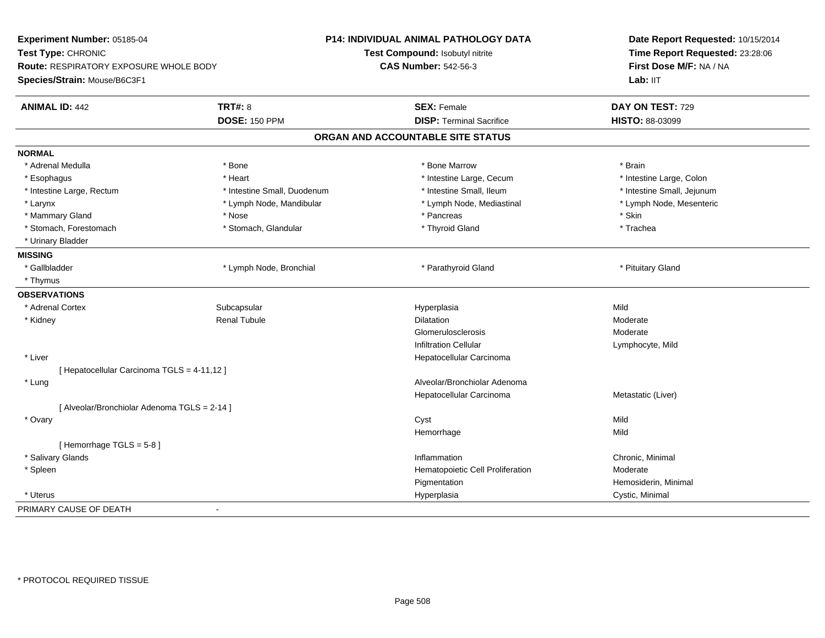| Experiment Number: 05185-04                  |                             | P14: INDIVIDUAL ANIMAL PATHOLOGY DATA | Date Report Requested: 10/15/2014 |
|----------------------------------------------|-----------------------------|---------------------------------------|-----------------------------------|
| Test Type: CHRONIC                           |                             | Test Compound: Isobutyl nitrite       | Time Report Requested: 23:28:06   |
| Route: RESPIRATORY EXPOSURE WHOLE BODY       |                             | <b>CAS Number: 542-56-3</b>           | First Dose M/F: NA / NA           |
| Species/Strain: Mouse/B6C3F1                 |                             |                                       | Lab: IIT                          |
| <b>ANIMAL ID: 442</b>                        | <b>TRT#: 8</b>              | <b>SEX: Female</b>                    | DAY ON TEST: 729                  |
|                                              | <b>DOSE: 150 PPM</b>        | <b>DISP: Terminal Sacrifice</b>       | HISTO: 88-03099                   |
|                                              |                             | ORGAN AND ACCOUNTABLE SITE STATUS     |                                   |
| <b>NORMAL</b>                                |                             |                                       |                                   |
| * Adrenal Medulla                            | * Bone                      | * Bone Marrow                         | * Brain                           |
| * Esophagus                                  | * Heart                     | * Intestine Large, Cecum              | * Intestine Large, Colon          |
| * Intestine Large, Rectum                    | * Intestine Small, Duodenum | * Intestine Small, Ileum              | * Intestine Small, Jejunum        |
| * Larynx                                     | * Lymph Node, Mandibular    | * Lymph Node, Mediastinal             | * Lymph Node, Mesenteric          |
| * Mammary Gland                              | * Nose                      | * Pancreas                            | * Skin                            |
| * Stomach, Forestomach                       | * Stomach, Glandular        | * Thyroid Gland                       | * Trachea                         |
| * Urinary Bladder                            |                             |                                       |                                   |
| <b>MISSING</b>                               |                             |                                       |                                   |
| * Gallbladder                                | * Lymph Node, Bronchial     | * Parathyroid Gland                   | * Pituitary Gland                 |
| * Thymus                                     |                             |                                       |                                   |
| <b>OBSERVATIONS</b>                          |                             |                                       |                                   |
| * Adrenal Cortex                             | Subcapsular                 | Hyperplasia                           | Mild                              |
| * Kidney                                     | <b>Renal Tubule</b>         | Dilatation                            | Moderate                          |
|                                              |                             | Glomerulosclerosis                    | Moderate                          |
|                                              |                             | <b>Infiltration Cellular</b>          | Lymphocyte, Mild                  |
| * Liver                                      |                             | Hepatocellular Carcinoma              |                                   |
| [ Hepatocellular Carcinoma TGLS = 4-11,12 ]  |                             |                                       |                                   |
| * Lung                                       |                             | Alveolar/Bronchiolar Adenoma          |                                   |
|                                              |                             | Hepatocellular Carcinoma              | Metastatic (Liver)                |
| [ Alveolar/Bronchiolar Adenoma TGLS = 2-14 ] |                             |                                       |                                   |
| * Ovary                                      |                             | Cyst                                  | Mild                              |
|                                              |                             | Hemorrhage                            | Mild                              |
| [Hemorrhage TGLS = 5-8]                      |                             |                                       |                                   |
| * Salivary Glands                            |                             | Inflammation                          | Chronic, Minimal                  |
| * Spleen                                     |                             | Hematopoietic Cell Proliferation      | Moderate                          |
|                                              |                             | Pigmentation                          | Hemosiderin, Minimal              |
| * Uterus                                     |                             | Hyperplasia                           | Cystic, Minimal                   |
| PRIMARY CAUSE OF DEATH                       | $\blacksquare$              |                                       |                                   |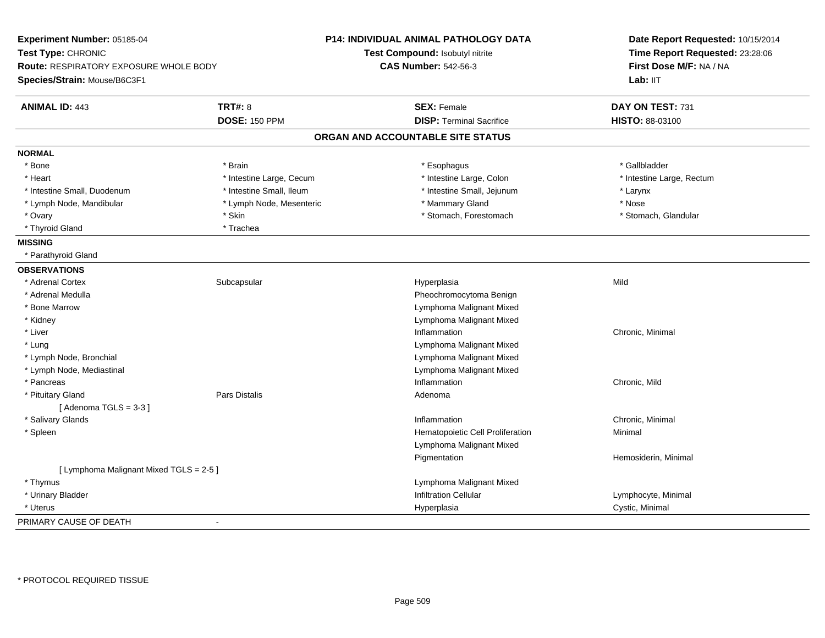| Experiment Number: 05185-04                   |                          | <b>P14: INDIVIDUAL ANIMAL PATHOLOGY DATA</b> | Date Report Requested: 10/15/2014 |
|-----------------------------------------------|--------------------------|----------------------------------------------|-----------------------------------|
| Test Type: CHRONIC                            |                          | Test Compound: Isobutyl nitrite              | Time Report Requested: 23:28:06   |
| <b>Route: RESPIRATORY EXPOSURE WHOLE BODY</b> |                          | <b>CAS Number: 542-56-3</b>                  | First Dose M/F: NA / NA           |
| Species/Strain: Mouse/B6C3F1                  |                          |                                              | Lab: IIT                          |
| <b>ANIMAL ID: 443</b>                         | <b>TRT#: 8</b>           | <b>SEX: Female</b>                           | DAY ON TEST: 731                  |
|                                               | <b>DOSE: 150 PPM</b>     | <b>DISP: Terminal Sacrifice</b>              | HISTO: 88-03100                   |
|                                               |                          | ORGAN AND ACCOUNTABLE SITE STATUS            |                                   |
| <b>NORMAL</b>                                 |                          |                                              |                                   |
| * Bone                                        | * Brain                  | * Esophagus                                  | * Gallbladder                     |
| * Heart                                       | * Intestine Large, Cecum | * Intestine Large, Colon                     | * Intestine Large, Rectum         |
| * Intestine Small, Duodenum                   | * Intestine Small, Ileum | * Intestine Small, Jejunum                   | * Larynx                          |
| * Lymph Node, Mandibular                      | * Lymph Node, Mesenteric | * Mammary Gland                              | * Nose                            |
| * Ovary                                       | * Skin                   | * Stomach, Forestomach                       | * Stomach, Glandular              |
| * Thyroid Gland                               | * Trachea                |                                              |                                   |
| <b>MISSING</b>                                |                          |                                              |                                   |
| * Parathyroid Gland                           |                          |                                              |                                   |
| <b>OBSERVATIONS</b>                           |                          |                                              |                                   |
| * Adrenal Cortex                              | Subcapsular              | Hyperplasia                                  | Mild                              |
| * Adrenal Medulla                             |                          | Pheochromocytoma Benign                      |                                   |
| * Bone Marrow                                 |                          | Lymphoma Malignant Mixed                     |                                   |
| * Kidney                                      |                          | Lymphoma Malignant Mixed                     |                                   |
| * Liver                                       |                          | Inflammation                                 | Chronic, Minimal                  |
| * Lung                                        |                          | Lymphoma Malignant Mixed                     |                                   |
| * Lymph Node, Bronchial                       |                          | Lymphoma Malignant Mixed                     |                                   |
| * Lymph Node, Mediastinal                     |                          | Lymphoma Malignant Mixed                     |                                   |
| * Pancreas                                    |                          | Inflammation                                 | Chronic, Mild                     |
| * Pituitary Gland                             | Pars Distalis            | Adenoma                                      |                                   |
| [Adenoma TGLS = $3-3$ ]                       |                          |                                              |                                   |
| * Salivary Glands                             |                          | Inflammation                                 | Chronic, Minimal                  |
| * Spleen                                      |                          | Hematopoietic Cell Proliferation             | Minimal                           |
|                                               |                          | Lymphoma Malignant Mixed                     |                                   |
|                                               |                          | Pigmentation                                 | Hemosiderin, Minimal              |
| [ Lymphoma Malignant Mixed TGLS = 2-5 ]       |                          |                                              |                                   |
| * Thymus                                      |                          | Lymphoma Malignant Mixed                     |                                   |
| * Urinary Bladder                             |                          | <b>Infiltration Cellular</b>                 | Lymphocyte, Minimal               |
| * Uterus                                      |                          | Hyperplasia                                  | Cystic, Minimal                   |
| PRIMARY CAUSE OF DEATH                        | $\blacksquare$           |                                              |                                   |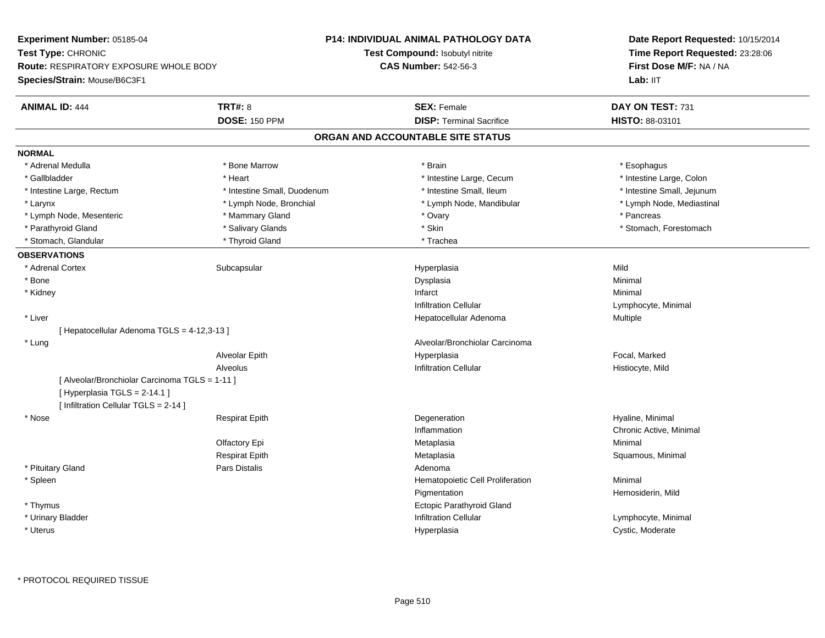**Experiment Number:** 05185-04**Test Type:** CHRONIC **Route:** RESPIRATORY EXPOSURE WHOLE BODY**Species/Strain:** Mouse/B6C3F1**P14: INDIVIDUAL ANIMAL PATHOLOGY DATATest Compound:** Isobutyl nitrite**CAS Number:** 542-56-3**Date Report Requested:** 10/15/2014**Time Report Requested:** 23:28:06**First Dose M/F:** NA / NALab: IIT **ANIMAL ID:** 444**TRT#:** 8 **SEX:** Female **DAY ON TEST:** 731 **DOSE:** 150 PPM**DISP:** Terminal Sacrifice **HISTO:** 88-03101 **ORGAN AND ACCOUNTABLE SITE STATUSNORMAL**\* Adrenal Medulla \* Adrenal Medulla \* \* \* Bone Marrow \* \* Bone Marrow \* \* Brain \* \* Brain \* \* Brain \* \* Esophagus \* Esophagus \* Gallbladder \* Thestine Large, Colon \* Heart \* Heart \* Thestine Large, Cecum \* Intestine Large, Colon \* Intestine Large, Colon \* Intestine Large, Colon \* Intestine Large, Rectum \* Thestine Small, Duodenum \* Number of the small, Ileum \* Intestine Small, Jejunum \* Intestine Small, Jejunum \* Lymph Node, Mediastinal \* Larynx **\* Lymph Node, Bronchial \*** Lymph Node, Bronchial \* Lymph Node, Mandibular \* Lymph Node, Mesenteric \* Mammary Gland \* Ovary \* Pancreas\* Parathyroid Gland \* \* Salivary Glands \* Salivary Glands \* Skin \* \* Skin \* \* Stomach, Forestomach, Forestomach \* Stomach, Glandular \* Thyroid Gland \* Thyroid Gland \* Trachea **OBSERVATIONS** \* Adrenal Cortexx Subcapsular Suberty Subsets and the Hyperplasia a Mild \* Bonee and the state of the state of the state of the Dysplasia Christian Christian Minimal Minimal State of the St \* Kidneyy the control of the control of the control of the control of the control of the control of the control of the control of the control of the control of the control of the control of the control of the control of the contro Infiltration Cellular Lymphocyte, Minimal \* Liver Hepatocellular Adenoma Multiple [ Hepatocellular Adenoma TGLS = 4-12,3-13 ] \* Lung Alveolar/Bronchiolar Carcinoma Alveolar Epith Hyperplasia Focal, Marked AlveolusInfiltration Cellular **Histiocyte**, Mild [ Alveolar/Bronchiolar Carcinoma TGLS = 1-11 ] $[$  Hyperplasia TGLS = 2-14.1 ] [ Infiltration Cellular TGLS = 2-14 ] \* Nose Respirat Epith Degeneration Hyaline, Minimal Inflammation Chronic Active, Minimal Olfactory Epi Metaplasiaa and a studies of the studies of the Minimal Respirat EpithMetaplasia **Squamous, Minimal**  \* Pituitary Glandd and the contract of Pars Distalis and the contract of Adenoma and Adenoma and the Adenoma and the Adenoma and  $\lambda$  \* SpleenHematopoietic Cell Proliferation Minimal Pigmentation Hemosiderin, Mild \* Thymus Ectopic Parathyroid Gland \* Urinary BladderInfiltration Cellular **Lymphocyte**, Minimal \* Uteruss and the contract of the contract of the contract of the contract of the contract of the contract of the contract of the contract of the contract of the contract of the contract of the contract of the contract of the cont Hyperplasia **Cystic, Moderate**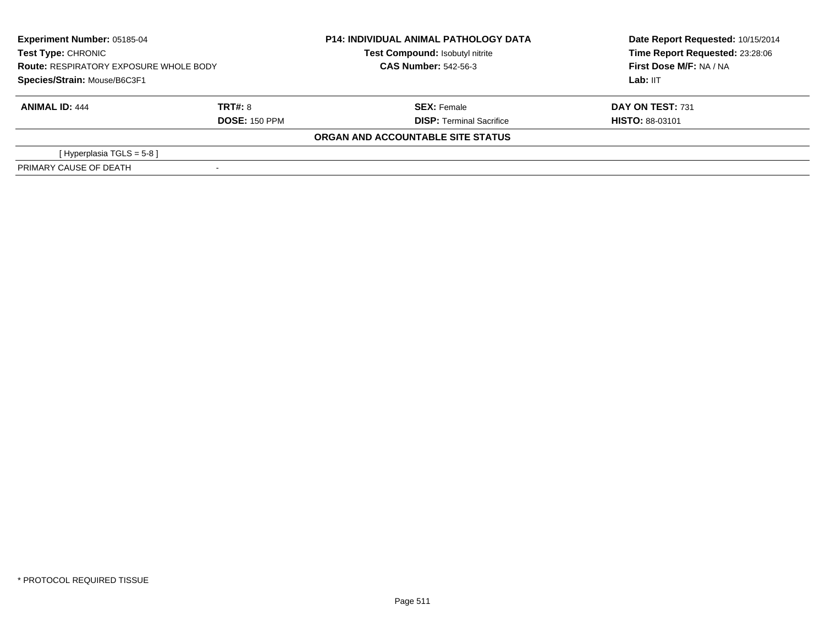| <b>Experiment Number: 05185-04</b><br><b>Test Type: CHRONIC</b><br><b>Route: RESPIRATORY EXPOSURE WHOLE BODY</b><br>Species/Strain: Mouse/B6C3F1 |                      | <b>P14: INDIVIDUAL ANIMAL PATHOLOGY DATA</b><br>Test Compound: Isobutyl nitrite | Date Report Requested: 10/15/2014<br>Time Report Requested: 23:28:06<br>First Dose M/F: NA / NA |
|--------------------------------------------------------------------------------------------------------------------------------------------------|----------------------|---------------------------------------------------------------------------------|-------------------------------------------------------------------------------------------------|
|                                                                                                                                                  |                      | <b>CAS Number: 542-56-3</b>                                                     |                                                                                                 |
|                                                                                                                                                  |                      |                                                                                 | Lab: IIT                                                                                        |
| <b>ANIMAL ID: 444</b>                                                                                                                            | TRT#: 8              | <b>SEX: Female</b>                                                              | DAY ON TEST: 731                                                                                |
|                                                                                                                                                  | <b>DOSE: 150 PPM</b> | <b>DISP: Terminal Sacrifice</b>                                                 | <b>HISTO: 88-03101</b>                                                                          |
|                                                                                                                                                  |                      | ORGAN AND ACCOUNTABLE SITE STATUS                                               |                                                                                                 |
| [ Hyperplasia TGLS = 5-8 ]                                                                                                                       |                      |                                                                                 |                                                                                                 |
| PRIMARY CAUSE OF DEATH                                                                                                                           |                      |                                                                                 |                                                                                                 |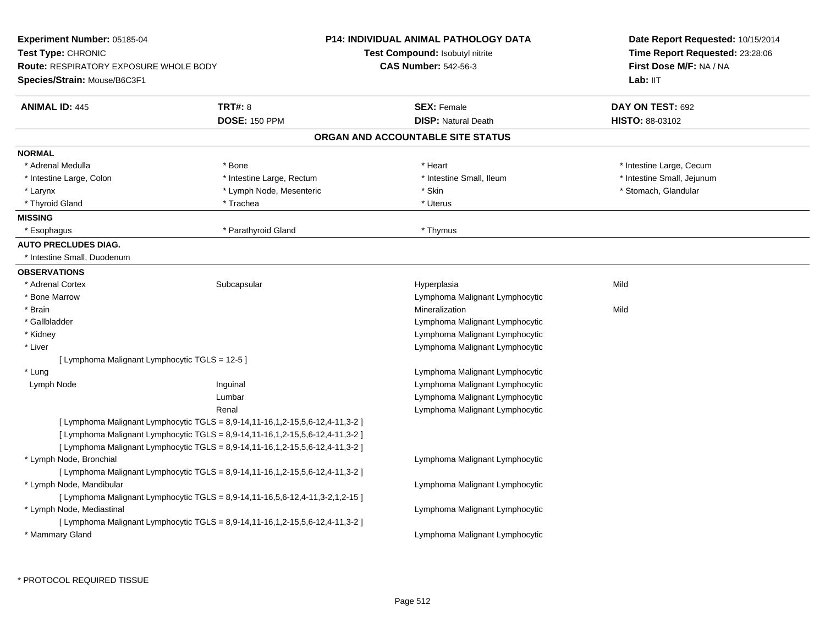| Experiment Number: 05185-04                    |                                                                               | <b>P14: INDIVIDUAL ANIMAL PATHOLOGY DATA</b> | Date Report Requested: 10/15/2014<br>Time Report Requested: 23:28:06<br>First Dose M/F: NA / NA |  |
|------------------------------------------------|-------------------------------------------------------------------------------|----------------------------------------------|-------------------------------------------------------------------------------------------------|--|
| Test Type: CHRONIC                             |                                                                               | <b>Test Compound: Isobutyl nitrite</b>       |                                                                                                 |  |
| <b>Route: RESPIRATORY EXPOSURE WHOLE BODY</b>  |                                                                               | <b>CAS Number: 542-56-3</b>                  |                                                                                                 |  |
| Species/Strain: Mouse/B6C3F1                   |                                                                               |                                              | Lab: IIT                                                                                        |  |
| <b>ANIMAL ID: 445</b>                          | <b>TRT#: 8</b>                                                                | <b>SEX: Female</b>                           | DAY ON TEST: 692                                                                                |  |
|                                                | <b>DOSE: 150 PPM</b>                                                          | <b>DISP: Natural Death</b>                   | HISTO: 88-03102                                                                                 |  |
|                                                |                                                                               | ORGAN AND ACCOUNTABLE SITE STATUS            |                                                                                                 |  |
| <b>NORMAL</b>                                  |                                                                               |                                              |                                                                                                 |  |
| * Adrenal Medulla                              | * Bone                                                                        | * Heart                                      | * Intestine Large, Cecum                                                                        |  |
| * Intestine Large, Colon                       | * Intestine Large, Rectum                                                     | * Intestine Small, Ileum                     | * Intestine Small, Jejunum                                                                      |  |
| * Larynx                                       | * Lymph Node, Mesenteric                                                      | * Skin                                       | * Stomach, Glandular                                                                            |  |
| * Thyroid Gland                                | * Trachea                                                                     | * Uterus                                     |                                                                                                 |  |
| <b>MISSING</b>                                 |                                                                               |                                              |                                                                                                 |  |
| * Esophagus                                    | * Parathyroid Gland                                                           | * Thymus                                     |                                                                                                 |  |
| <b>AUTO PRECLUDES DIAG.</b>                    |                                                                               |                                              |                                                                                                 |  |
| * Intestine Small, Duodenum                    |                                                                               |                                              |                                                                                                 |  |
| <b>OBSERVATIONS</b>                            |                                                                               |                                              |                                                                                                 |  |
| * Adrenal Cortex                               | Subcapsular                                                                   | Hyperplasia                                  | Mild                                                                                            |  |
| * Bone Marrow                                  |                                                                               | Lymphoma Malignant Lymphocytic               |                                                                                                 |  |
| * Brain                                        |                                                                               | Mineralization                               | Mild                                                                                            |  |
| * Gallbladder                                  |                                                                               | Lymphoma Malignant Lymphocytic               |                                                                                                 |  |
| * Kidney                                       |                                                                               | Lymphoma Malignant Lymphocytic               |                                                                                                 |  |
| * Liver                                        |                                                                               | Lymphoma Malignant Lymphocytic               |                                                                                                 |  |
| [ Lymphoma Malignant Lymphocytic TGLS = 12-5 ] |                                                                               |                                              |                                                                                                 |  |
| * Lung                                         |                                                                               | Lymphoma Malignant Lymphocytic               |                                                                                                 |  |
| Lymph Node                                     | Inguinal                                                                      | Lymphoma Malignant Lymphocytic               |                                                                                                 |  |
|                                                | Lumbar                                                                        | Lymphoma Malignant Lymphocytic               |                                                                                                 |  |
|                                                | Renal                                                                         | Lymphoma Malignant Lymphocytic               |                                                                                                 |  |
|                                                | [ Lymphoma Malignant Lymphocytic TGLS = 8,9-14,11-16,1,2-15,5,6-12,4-11,3-2 ] |                                              |                                                                                                 |  |
|                                                | [ Lymphoma Malignant Lymphocytic TGLS = 8,9-14,11-16,1,2-15,5,6-12,4-11,3-2 ] |                                              |                                                                                                 |  |
|                                                | [ Lymphoma Malignant Lymphocytic TGLS = 8,9-14,11-16,1,2-15,5,6-12,4-11,3-2 ] |                                              |                                                                                                 |  |
| * Lymph Node, Bronchial                        |                                                                               | Lymphoma Malignant Lymphocytic               |                                                                                                 |  |
|                                                | [ Lymphoma Malignant Lymphocytic TGLS = 8,9-14,11-16,1,2-15,5,6-12,4-11,3-2 ] |                                              |                                                                                                 |  |
| * Lymph Node, Mandibular                       |                                                                               | Lymphoma Malignant Lymphocytic               |                                                                                                 |  |
|                                                | [ Lymphoma Malignant Lymphocytic TGLS = 8,9-14,11-16,5,6-12,4-11,3-2,1,2-15 ] |                                              |                                                                                                 |  |
| * Lymph Node, Mediastinal                      |                                                                               | Lymphoma Malignant Lymphocytic               |                                                                                                 |  |
|                                                | [ Lymphoma Malignant Lymphocytic TGLS = 8,9-14,11-16,1,2-15,5,6-12,4-11,3-2 ] |                                              |                                                                                                 |  |
| * Mammary Gland                                |                                                                               | Lymphoma Malignant Lymphocytic               |                                                                                                 |  |
|                                                |                                                                               |                                              |                                                                                                 |  |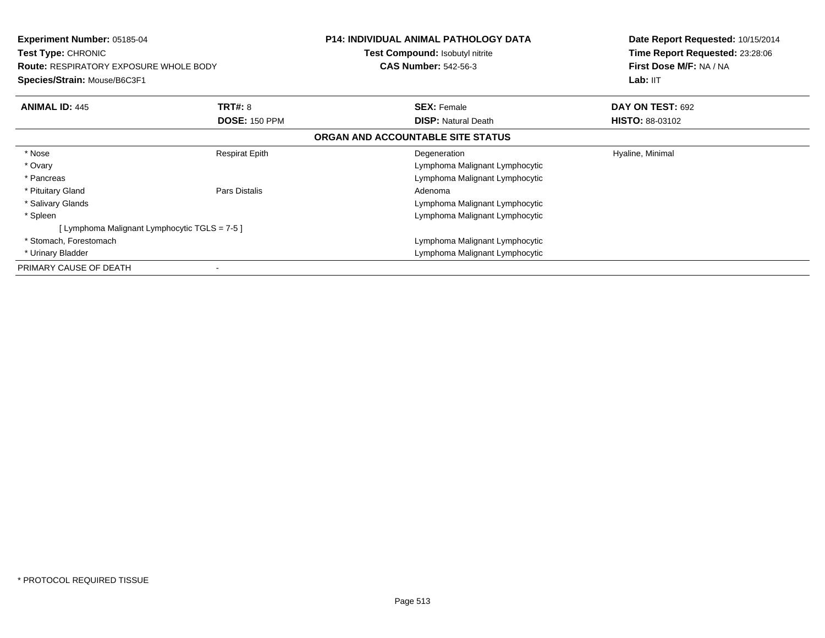| <b>Experiment Number: 05185-04</b><br>Test Type: CHRONIC<br><b>Route: RESPIRATORY EXPOSURE WHOLE BODY</b><br>Species/Strain: Mouse/B6C3F1 |                       | <b>P14: INDIVIDUAL ANIMAL PATHOLOGY DATA</b><br>Test Compound: Isobutyl nitrite<br><b>CAS Number: 542-56-3</b> | Date Report Requested: 10/15/2014<br>Time Report Requested: 23:28:06<br>First Dose M/F: NA / NA<br>Lab: II <sub>T</sub> |
|-------------------------------------------------------------------------------------------------------------------------------------------|-----------------------|----------------------------------------------------------------------------------------------------------------|-------------------------------------------------------------------------------------------------------------------------|
| <b>ANIMAL ID: 445</b>                                                                                                                     | <b>TRT#: 8</b>        | <b>SEX: Female</b>                                                                                             | DAY ON TEST: 692                                                                                                        |
|                                                                                                                                           | <b>DOSE: 150 PPM</b>  | <b>DISP:</b> Natural Death                                                                                     | <b>HISTO: 88-03102</b>                                                                                                  |
|                                                                                                                                           |                       | ORGAN AND ACCOUNTABLE SITE STATUS                                                                              |                                                                                                                         |
| * Nose                                                                                                                                    | <b>Respirat Epith</b> | Degeneration                                                                                                   | Hyaline, Minimal                                                                                                        |
| * Ovary                                                                                                                                   |                       | Lymphoma Malignant Lymphocytic                                                                                 |                                                                                                                         |
| * Pancreas                                                                                                                                |                       | Lymphoma Malignant Lymphocytic                                                                                 |                                                                                                                         |
| * Pituitary Gland                                                                                                                         | Pars Distalis         | Adenoma                                                                                                        |                                                                                                                         |
| * Salivary Glands                                                                                                                         |                       | Lymphoma Malignant Lymphocytic                                                                                 |                                                                                                                         |
| * Spleen                                                                                                                                  |                       | Lymphoma Malignant Lymphocytic                                                                                 |                                                                                                                         |
| [Lymphoma Malignant Lymphocytic TGLS = 7-5 ]                                                                                              |                       |                                                                                                                |                                                                                                                         |
| * Stomach, Forestomach                                                                                                                    |                       | Lymphoma Malignant Lymphocytic                                                                                 |                                                                                                                         |
| * Urinary Bladder                                                                                                                         |                       | Lymphoma Malignant Lymphocytic                                                                                 |                                                                                                                         |
| PRIMARY CAUSE OF DEATH                                                                                                                    |                       |                                                                                                                |                                                                                                                         |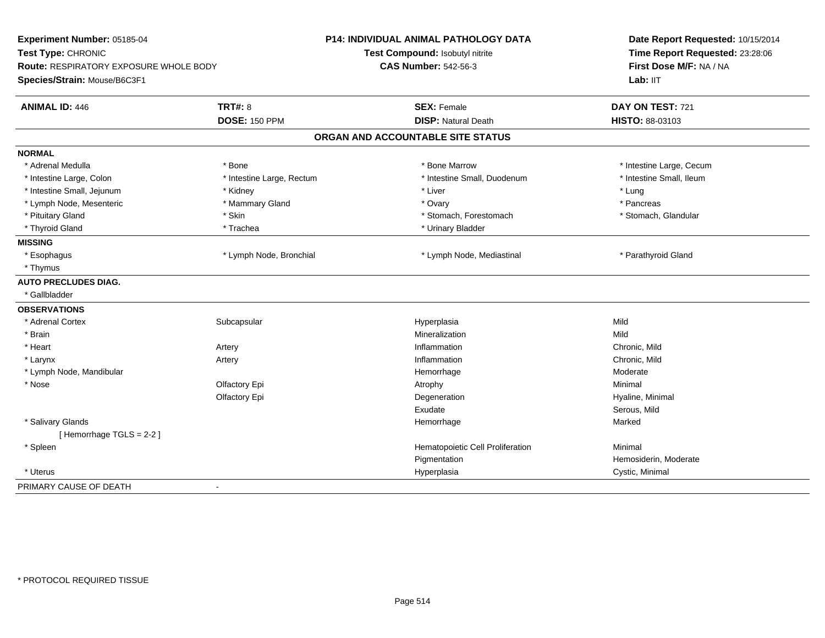| Experiment Number: 05185-04<br>Test Type: CHRONIC<br>Route: RESPIRATORY EXPOSURE WHOLE BODY<br>Species/Strain: Mouse/B6C3F1 |                           | <b>P14: INDIVIDUAL ANIMAL PATHOLOGY DATA</b><br>Test Compound: Isobutyl nitrite<br><b>CAS Number: 542-56-3</b> | Date Report Requested: 10/15/2014<br>Time Report Requested: 23:28:06<br>First Dose M/F: NA / NA<br>Lab: IIT |
|-----------------------------------------------------------------------------------------------------------------------------|---------------------------|----------------------------------------------------------------------------------------------------------------|-------------------------------------------------------------------------------------------------------------|
| <b>ANIMAL ID: 446</b>                                                                                                       | <b>TRT#: 8</b>            | <b>SEX: Female</b>                                                                                             | DAY ON TEST: 721                                                                                            |
|                                                                                                                             | <b>DOSE: 150 PPM</b>      | <b>DISP: Natural Death</b>                                                                                     | HISTO: 88-03103                                                                                             |
|                                                                                                                             |                           | ORGAN AND ACCOUNTABLE SITE STATUS                                                                              |                                                                                                             |
| <b>NORMAL</b>                                                                                                               |                           |                                                                                                                |                                                                                                             |
| * Adrenal Medulla                                                                                                           | * Bone                    | * Bone Marrow                                                                                                  | * Intestine Large, Cecum                                                                                    |
| * Intestine Large, Colon                                                                                                    | * Intestine Large, Rectum | * Intestine Small, Duodenum                                                                                    | * Intestine Small, Ileum                                                                                    |
| * Intestine Small, Jejunum                                                                                                  | * Kidney                  | * Liver                                                                                                        | * Lung                                                                                                      |
| * Lymph Node, Mesenteric                                                                                                    | * Mammary Gland           | * Ovary                                                                                                        | * Pancreas                                                                                                  |
| * Pituitary Gland                                                                                                           | * Skin                    | * Stomach, Forestomach                                                                                         | * Stomach, Glandular                                                                                        |
| * Thyroid Gland                                                                                                             | * Trachea                 | * Urinary Bladder                                                                                              |                                                                                                             |
| <b>MISSING</b>                                                                                                              |                           |                                                                                                                |                                                                                                             |
| * Esophagus                                                                                                                 | * Lymph Node, Bronchial   | * Lymph Node, Mediastinal                                                                                      | * Parathyroid Gland                                                                                         |
| * Thymus                                                                                                                    |                           |                                                                                                                |                                                                                                             |
| <b>AUTO PRECLUDES DIAG.</b>                                                                                                 |                           |                                                                                                                |                                                                                                             |
| * Gallbladder                                                                                                               |                           |                                                                                                                |                                                                                                             |
| <b>OBSERVATIONS</b>                                                                                                         |                           |                                                                                                                |                                                                                                             |
| * Adrenal Cortex                                                                                                            | Subcapsular               | Hyperplasia                                                                                                    | Mild                                                                                                        |
| * Brain                                                                                                                     |                           | Mineralization                                                                                                 | Mild                                                                                                        |
| * Heart                                                                                                                     | Artery                    | Inflammation                                                                                                   | Chronic, Mild                                                                                               |
| * Larynx                                                                                                                    | Artery                    | Inflammation                                                                                                   | Chronic, Mild                                                                                               |
| * Lymph Node, Mandibular                                                                                                    |                           | Hemorrhage                                                                                                     | Moderate                                                                                                    |
| * Nose                                                                                                                      | Olfactory Epi             | Atrophy                                                                                                        | Minimal                                                                                                     |
|                                                                                                                             | Olfactory Epi             | Degeneration                                                                                                   | Hyaline, Minimal                                                                                            |
|                                                                                                                             |                           | Exudate                                                                                                        | Serous, Mild                                                                                                |
| * Salivary Glands                                                                                                           |                           | Hemorrhage                                                                                                     | Marked                                                                                                      |
| [Hemorrhage TGLS = 2-2]                                                                                                     |                           |                                                                                                                |                                                                                                             |
| * Spleen                                                                                                                    |                           | Hematopoietic Cell Proliferation                                                                               | Minimal                                                                                                     |
|                                                                                                                             |                           | Pigmentation                                                                                                   | Hemosiderin, Moderate                                                                                       |
| * Uterus                                                                                                                    |                           | Hyperplasia                                                                                                    | Cystic, Minimal                                                                                             |
| PRIMARY CAUSE OF DEATH                                                                                                      | $\blacksquare$            |                                                                                                                |                                                                                                             |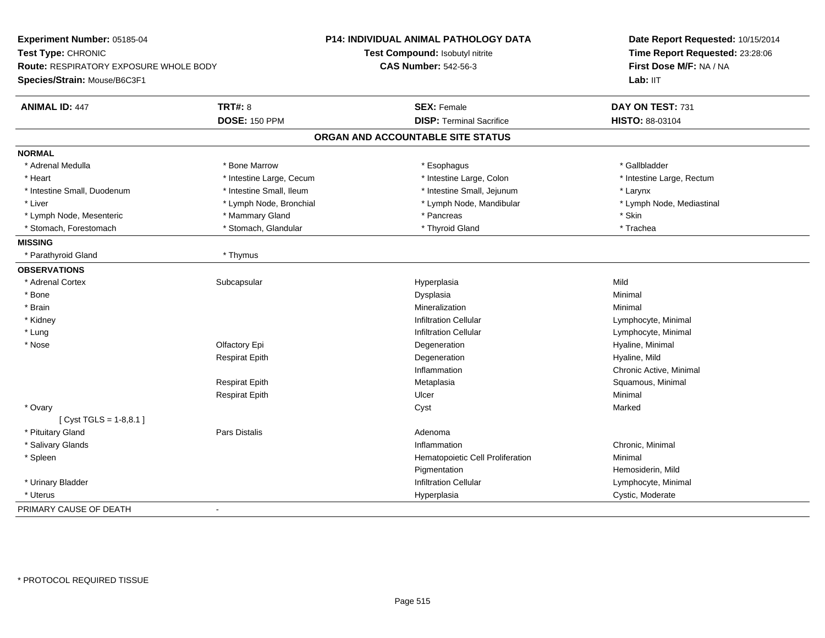| Experiment Number: 05185-04                                                                  |                          | P14: INDIVIDUAL ANIMAL PATHOLOGY DATA | Date Report Requested: 10/15/2014 |
|----------------------------------------------------------------------------------------------|--------------------------|---------------------------------------|-----------------------------------|
| Test Type: CHRONIC<br>Route: RESPIRATORY EXPOSURE WHOLE BODY<br>Species/Strain: Mouse/B6C3F1 |                          | Test Compound: Isobutyl nitrite       | Time Report Requested: 23:28:06   |
|                                                                                              |                          | <b>CAS Number: 542-56-3</b>           | First Dose M/F: NA / NA           |
|                                                                                              |                          |                                       | Lab: IIT                          |
|                                                                                              |                          |                                       |                                   |
| <b>ANIMAL ID: 447</b>                                                                        | <b>TRT#: 8</b>           | <b>SEX: Female</b>                    | DAY ON TEST: 731                  |
|                                                                                              | <b>DOSE: 150 PPM</b>     | <b>DISP: Terminal Sacrifice</b>       | HISTO: 88-03104                   |
|                                                                                              |                          | ORGAN AND ACCOUNTABLE SITE STATUS     |                                   |
| <b>NORMAL</b>                                                                                |                          |                                       |                                   |
| * Adrenal Medulla                                                                            | * Bone Marrow            | * Esophagus                           | * Gallbladder                     |
| * Heart                                                                                      | * Intestine Large, Cecum | * Intestine Large, Colon              | * Intestine Large, Rectum         |
| * Intestine Small, Duodenum                                                                  | * Intestine Small, Ileum | * Intestine Small, Jejunum            | * Larynx                          |
| * Liver                                                                                      | * Lymph Node, Bronchial  | * Lymph Node, Mandibular              | * Lymph Node, Mediastinal         |
| * Lymph Node, Mesenteric                                                                     | * Mammary Gland          | * Pancreas                            | * Skin                            |
| * Stomach, Forestomach                                                                       | * Stomach, Glandular     | * Thyroid Gland                       | * Trachea                         |
| <b>MISSING</b>                                                                               |                          |                                       |                                   |
| * Parathyroid Gland                                                                          | * Thymus                 |                                       |                                   |
| <b>OBSERVATIONS</b>                                                                          |                          |                                       |                                   |
| * Adrenal Cortex                                                                             | Subcapsular              | Hyperplasia                           | Mild                              |
| * Bone                                                                                       |                          | Dysplasia                             | Minimal                           |
| * Brain                                                                                      |                          | Mineralization                        | Minimal                           |
| * Kidney                                                                                     |                          | <b>Infiltration Cellular</b>          | Lymphocyte, Minimal               |
| * Lung                                                                                       |                          | <b>Infiltration Cellular</b>          | Lymphocyte, Minimal               |
| * Nose                                                                                       | Olfactory Epi            | Degeneration                          | Hyaline, Minimal                  |
|                                                                                              | <b>Respirat Epith</b>    | Degeneration                          | Hyaline, Mild                     |
|                                                                                              |                          | Inflammation                          | Chronic Active, Minimal           |
|                                                                                              | <b>Respirat Epith</b>    | Metaplasia                            | Squamous, Minimal                 |
|                                                                                              | <b>Respirat Epith</b>    | Ulcer                                 | Minimal                           |
| * Ovary                                                                                      |                          | Cyst                                  | Marked                            |
| [ Cyst TGLS = $1-8,8.1$ ]                                                                    |                          |                                       |                                   |
| * Pituitary Gland                                                                            | <b>Pars Distalis</b>     | Adenoma                               |                                   |
| * Salivary Glands                                                                            |                          | Inflammation                          | Chronic, Minimal                  |
| * Spleen                                                                                     |                          | Hematopoietic Cell Proliferation      | Minimal                           |
|                                                                                              |                          | Pigmentation                          | Hemosiderin, Mild                 |
| * Urinary Bladder                                                                            |                          | Infiltration Cellular                 | Lymphocyte, Minimal               |
| * Uterus                                                                                     |                          | Hyperplasia                           | Cystic, Moderate                  |
| PRIMARY CAUSE OF DEATH                                                                       |                          |                                       |                                   |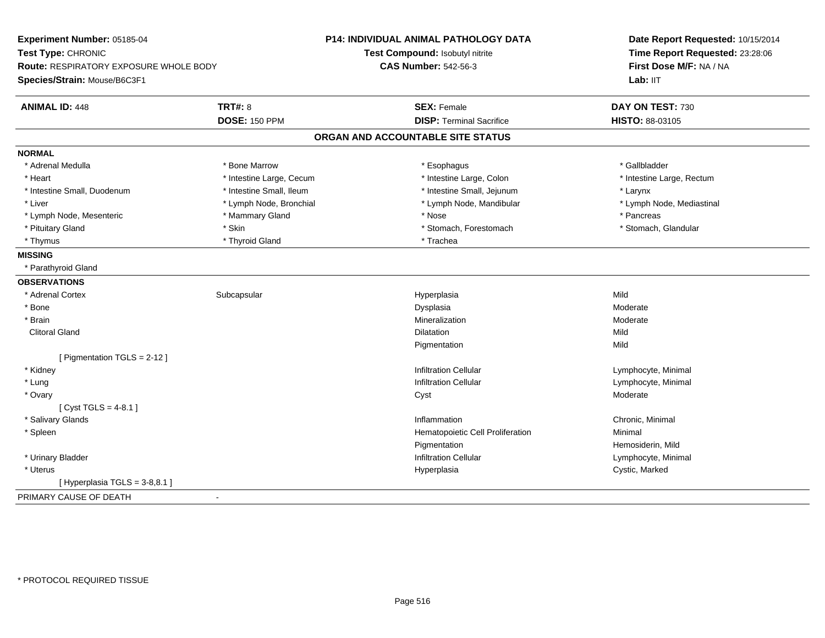| Experiment Number: 05185-04            |                          | <b>P14: INDIVIDUAL ANIMAL PATHOLOGY DATA</b> | Date Report Requested: 10/15/2014                                      |
|----------------------------------------|--------------------------|----------------------------------------------|------------------------------------------------------------------------|
| Test Type: CHRONIC                     |                          | Test Compound: Isobutyl nitrite              | Time Report Requested: 23:28:06<br>First Dose M/F: NA / NA<br>Lab: IIT |
| Route: RESPIRATORY EXPOSURE WHOLE BODY |                          | <b>CAS Number: 542-56-3</b>                  |                                                                        |
| Species/Strain: Mouse/B6C3F1           |                          |                                              |                                                                        |
| <b>ANIMAL ID: 448</b>                  | <b>TRT#: 8</b>           | <b>SEX: Female</b>                           | DAY ON TEST: 730                                                       |
|                                        | <b>DOSE: 150 PPM</b>     | <b>DISP: Terminal Sacrifice</b>              | HISTO: 88-03105                                                        |
|                                        |                          | ORGAN AND ACCOUNTABLE SITE STATUS            |                                                                        |
| <b>NORMAL</b>                          |                          |                                              |                                                                        |
| * Adrenal Medulla                      | * Bone Marrow            | * Esophagus                                  | * Gallbladder                                                          |
| * Heart                                | * Intestine Large, Cecum | * Intestine Large, Colon                     | * Intestine Large, Rectum                                              |
| * Intestine Small, Duodenum            | * Intestine Small, Ileum | * Intestine Small, Jejunum                   | * Larynx                                                               |
| * Liver                                | * Lymph Node, Bronchial  | * Lymph Node, Mandibular                     | * Lymph Node, Mediastinal                                              |
| * Lymph Node, Mesenteric               | * Mammary Gland          | * Nose                                       | * Pancreas                                                             |
| * Pituitary Gland                      | * Skin                   | * Stomach, Forestomach                       | * Stomach, Glandular                                                   |
| * Thymus                               | * Thyroid Gland          | * Trachea                                    |                                                                        |
| <b>MISSING</b>                         |                          |                                              |                                                                        |
| * Parathyroid Gland                    |                          |                                              |                                                                        |
| <b>OBSERVATIONS</b>                    |                          |                                              |                                                                        |
| * Adrenal Cortex                       | Subcapsular              | Hyperplasia                                  | Mild                                                                   |
| * Bone                                 |                          | Dysplasia                                    | Moderate                                                               |
| * Brain                                |                          | Mineralization                               | Moderate                                                               |
| <b>Clitoral Gland</b>                  |                          | <b>Dilatation</b>                            | Mild                                                                   |
|                                        |                          | Pigmentation                                 | Mild                                                                   |
| [ Pigmentation TGLS = 2-12 ]           |                          |                                              |                                                                        |
| * Kidney                               |                          | <b>Infiltration Cellular</b>                 | Lymphocyte, Minimal                                                    |
| * Lung                                 |                          | <b>Infiltration Cellular</b>                 | Lymphocyte, Minimal                                                    |
| * Ovary                                |                          | Cyst                                         | Moderate                                                               |
| [Cyst TGLS = $4-8.1$ ]                 |                          |                                              |                                                                        |
| * Salivary Glands                      |                          | Inflammation                                 | Chronic, Minimal                                                       |
| * Spleen                               |                          | Hematopoietic Cell Proliferation             | Minimal                                                                |
|                                        |                          | Pigmentation                                 | Hemosiderin, Mild                                                      |
| * Urinary Bladder                      |                          | <b>Infiltration Cellular</b>                 | Lymphocyte, Minimal                                                    |
| * Uterus                               |                          | Hyperplasia                                  | Cystic, Marked                                                         |
| [ Hyperplasia TGLS = 3-8,8.1 ]         |                          |                                              |                                                                        |
| PRIMARY CAUSE OF DEATH                 | $\overline{\phantom{a}}$ |                                              |                                                                        |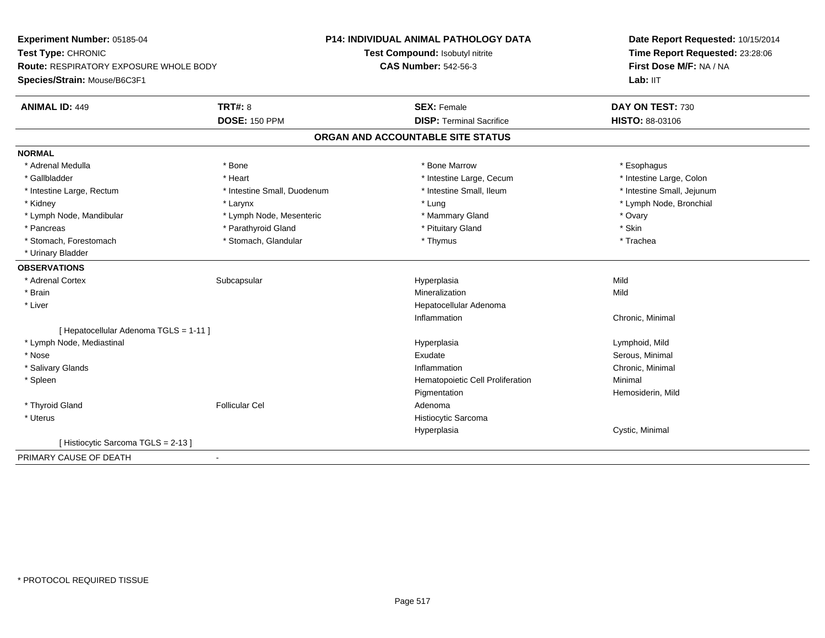**Experiment Number:** 05185-04**Test Type:** CHRONIC **Route:** RESPIRATORY EXPOSURE WHOLE BODY**Species/Strain:** Mouse/B6C3F1**P14: INDIVIDUAL ANIMAL PATHOLOGY DATATest Compound:** Isobutyl nitrite**CAS Number:** 542-56-3**Date Report Requested:** 10/15/2014**Time Report Requested:** 23:28:06**First Dose M/F:** NA / NALab: IIT **ANIMAL ID:** 449**TRT#:** 8 **SEX:** Female **DAY ON TEST:** 730 **DOSE:** 150 PPM **DISP:** Terminal Sacrifice **HISTO:** 88-03106 **ORGAN AND ACCOUNTABLE SITE STATUSNORMAL**\* Adrenal Medulla \* Adrenal Medulla \* \* The matter of the state of the state of the state of the state of the state of the state of the state of the state of the state of the state of the state of the state of the state of the state of the \* Intestine Large, Colon \* Gallbladder \* The mode of the text \* Heart \* Intestine Large, Cecum \* Intestine Large, Cecum \* Intestine Large, Cecum \* Intestine Large, Rectum \* Thestine Small, Duodenum \* Number of the small, Ileum \* Intestine Small, Jejunum \* Intestine Small, Jejunum \* Kidney \* Larynx \* Lung \* Lymph Node, Bronchial \* Lymph Node, Mandibular \* Notary \* Lymph Node, Mesenteric \* Mammary Gland \* Mammary Gland \* Ovary \* Ovary \* Skin \* Pancreas \* Parathyroid Gland \* Parathyroid Gland \* Pituitary Gland \* Trachea \* Stomach, Forestomach \* Thymus \* Stomach, Glandular \* Thymus \* Thymus \* Thymus \* Thymus \* Thymus \* Thymus \* Thymus \* Thymus \* Thymus \* Thymus \* Thymus \* Thymus \* Thymus \* Thymus \* Thymus \* Thymus \* Thymus \* Thymus \* Thymu \* Urinary Bladder**OBSERVATIONS** \* Adrenal Cortexx Subcapsular Suberty Subsets and the Hyperplasia a Mild \* Brainn and the control of the control of the control of the Mineralization and the control of the Mild of the Mild o \* Liver Hepatocellular AdenomaInflammation Chronic, Minimal [ Hepatocellular Adenoma TGLS = 1-11 ] \* Lymph Node, Mediastinal Hyperplasia Lymphoid, Mild \* Nosee Serous, Minimal (1999) and the Serous, Minimal (1999) and Serous, Minimal (1999) and Serous, Minimal (1999) and Serous, Minimal (1999) and Serous, Minimal (1999) and Serous, Minimal (1999) and Serous, Minimal (1999) and \* Salivary Glandss and the contract of the contract of the contract of the contract of the contract of the contract of the contract of the contract of the contract of the contract of the contract of the contract of the contract of the cont Inflammation Chronic, Minimal \* SpleenHematopoietic Cell Proliferation Minimal Pigmentation Hemosiderin, Mild \* Thyroid Glandd and the set of the Follicular Cel the set of the Second Adenomal Adenomal Second Second Second Second Second Second Second Second Second Second Second Second Second Second Second Second Second Second Second Second Second \* Uterus Histiocytic SarcomaHyperplasia Cystic, Minimal [ Histiocytic Sarcoma TGLS = 2-13 ]PRIMARY CAUSE OF DEATH-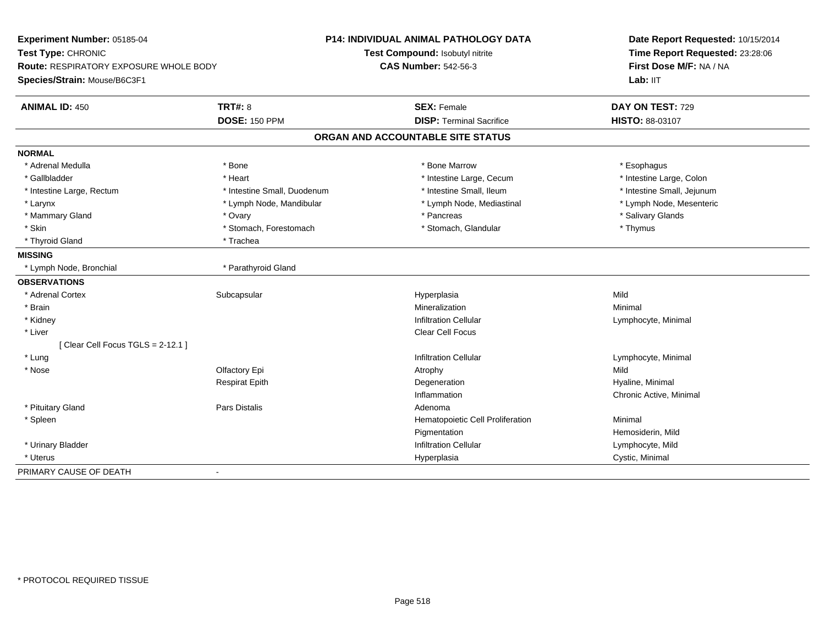| Experiment Number: 05185-04<br>Test Type: CHRONIC<br>Route: RESPIRATORY EXPOSURE WHOLE BODY<br>Species/Strain: Mouse/B6C3F1 | <b>P14: INDIVIDUAL ANIMAL PATHOLOGY DATA</b><br>Test Compound: Isobutyl nitrite<br><b>CAS Number: 542-56-3</b> | Date Report Requested: 10/15/2014<br>Time Report Requested: 23:28:06<br>First Dose M/F: NA / NA<br>Lab: $III$ |
|-----------------------------------------------------------------------------------------------------------------------------|----------------------------------------------------------------------------------------------------------------|---------------------------------------------------------------------------------------------------------------|
| <b>TRT#: 8</b><br><b>ANIMAL ID: 450</b>                                                                                     | <b>SEX: Female</b>                                                                                             | DAY ON TEST: 729                                                                                              |
| <b>DOSE: 150 PPM</b>                                                                                                        | <b>DISP: Terminal Sacrifice</b>                                                                                | HISTO: 88-03107                                                                                               |
|                                                                                                                             | ORGAN AND ACCOUNTABLE SITE STATUS                                                                              |                                                                                                               |
| <b>NORMAL</b>                                                                                                               |                                                                                                                |                                                                                                               |
| * Adrenal Medulla<br>* Bone                                                                                                 | * Bone Marrow                                                                                                  | * Esophagus                                                                                                   |
| * Gallbladder<br>* Heart                                                                                                    | * Intestine Large, Cecum                                                                                       | * Intestine Large, Colon                                                                                      |
| * Intestine Small, Duodenum<br>* Intestine Large, Rectum                                                                    | * Intestine Small, Ileum                                                                                       | * Intestine Small, Jejunum                                                                                    |
| * Larynx<br>* Lymph Node, Mandibular                                                                                        | * Lymph Node, Mediastinal                                                                                      | * Lymph Node, Mesenteric                                                                                      |
| * Mammary Gland<br>* Ovary                                                                                                  | * Pancreas                                                                                                     | * Salivary Glands                                                                                             |
| * Skin<br>* Stomach, Forestomach                                                                                            | * Stomach, Glandular                                                                                           | * Thymus                                                                                                      |
| * Thyroid Gland<br>* Trachea                                                                                                |                                                                                                                |                                                                                                               |
| <b>MISSING</b>                                                                                                              |                                                                                                                |                                                                                                               |
| * Lymph Node, Bronchial<br>* Parathyroid Gland                                                                              |                                                                                                                |                                                                                                               |
| <b>OBSERVATIONS</b>                                                                                                         |                                                                                                                |                                                                                                               |
| * Adrenal Cortex<br>Subcapsular                                                                                             | Hyperplasia                                                                                                    | Mild                                                                                                          |
| * Brain                                                                                                                     | Mineralization                                                                                                 | Minimal                                                                                                       |
| * Kidney                                                                                                                    | Infiltration Cellular                                                                                          | Lymphocyte, Minimal                                                                                           |
| * Liver                                                                                                                     | Clear Cell Focus                                                                                               |                                                                                                               |
| [Clear Cell Focus TGLS = 2-12.1]                                                                                            |                                                                                                                |                                                                                                               |
| * Lung                                                                                                                      | <b>Infiltration Cellular</b>                                                                                   | Lymphocyte, Minimal                                                                                           |
| * Nose<br>Olfactory Epi                                                                                                     | Atrophy                                                                                                        | Mild                                                                                                          |
| <b>Respirat Epith</b>                                                                                                       | Degeneration                                                                                                   | Hyaline, Minimal                                                                                              |
|                                                                                                                             | Inflammation                                                                                                   | Chronic Active, Minimal                                                                                       |
| Pars Distalis<br>* Pituitary Gland                                                                                          | Adenoma                                                                                                        |                                                                                                               |
| * Spleen                                                                                                                    | Hematopoietic Cell Proliferation                                                                               | Minimal                                                                                                       |
|                                                                                                                             | Pigmentation                                                                                                   | Hemosiderin, Mild                                                                                             |
| * Urinary Bladder                                                                                                           | <b>Infiltration Cellular</b>                                                                                   | Lymphocyte, Mild                                                                                              |
| * Uterus                                                                                                                    | Hyperplasia                                                                                                    | Cystic, Minimal                                                                                               |
| PRIMARY CAUSE OF DEATH<br>ä,                                                                                                |                                                                                                                |                                                                                                               |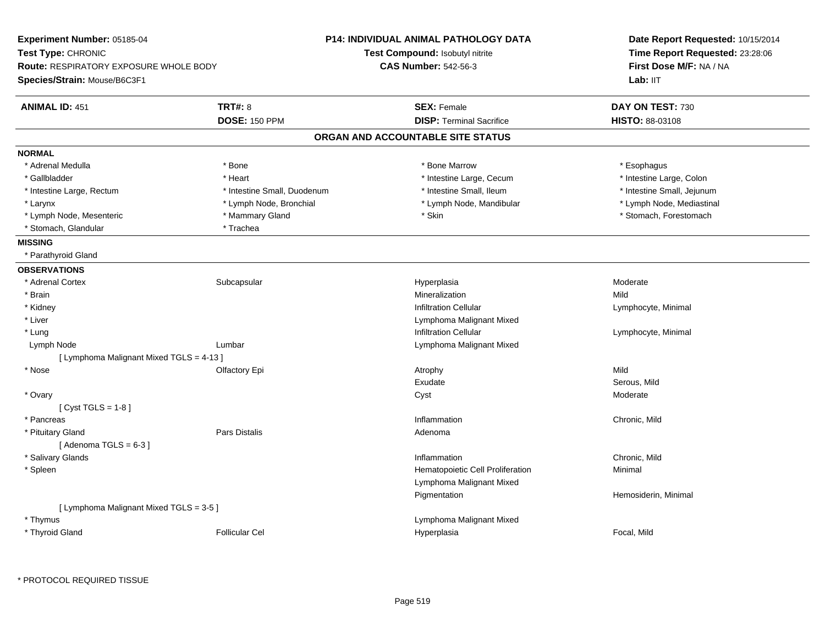|                                          |                                        | Date Report Requested: 10/15/2014                                                                                    |
|------------------------------------------|----------------------------------------|----------------------------------------------------------------------------------------------------------------------|
|                                          |                                        | Time Report Requested: 23:28:06                                                                                      |
|                                          | <b>CAS Number: 542-56-3</b>            | First Dose M/F: NA / NA                                                                                              |
|                                          |                                        | Lab: IIT                                                                                                             |
| <b>TRT#: 8</b>                           | <b>SEX: Female</b>                     | DAY ON TEST: 730                                                                                                     |
| <b>DOSE: 150 PPM</b>                     | <b>DISP: Terminal Sacrifice</b>        | HISTO: 88-03108                                                                                                      |
|                                          |                                        |                                                                                                                      |
|                                          |                                        |                                                                                                                      |
| * Bone                                   | * Bone Marrow                          | * Esophagus                                                                                                          |
| * Heart                                  | * Intestine Large, Cecum               | * Intestine Large, Colon                                                                                             |
| * Intestine Small, Duodenum              | * Intestine Small, Ileum               | * Intestine Small, Jejunum                                                                                           |
| * Lymph Node, Bronchial                  | * Lymph Node, Mandibular               | * Lymph Node, Mediastinal                                                                                            |
| * Mammary Gland                          | * Skin                                 | * Stomach, Forestomach                                                                                               |
| * Trachea                                |                                        |                                                                                                                      |
|                                          |                                        |                                                                                                                      |
|                                          |                                        |                                                                                                                      |
|                                          |                                        |                                                                                                                      |
| Subcapsular                              | Hyperplasia                            | Moderate                                                                                                             |
|                                          | Mineralization                         | Mild                                                                                                                 |
|                                          | <b>Infiltration Cellular</b>           | Lymphocyte, Minimal                                                                                                  |
|                                          | Lymphoma Malignant Mixed               |                                                                                                                      |
|                                          | <b>Infiltration Cellular</b>           | Lymphocyte, Minimal                                                                                                  |
| Lumbar                                   | Lymphoma Malignant Mixed               |                                                                                                                      |
| [ Lymphoma Malignant Mixed TGLS = 4-13 ] |                                        |                                                                                                                      |
| Olfactory Epi                            | Atrophy                                | Mild                                                                                                                 |
|                                          | Exudate                                | Serous, Mild                                                                                                         |
|                                          | Cyst                                   | Moderate                                                                                                             |
|                                          |                                        |                                                                                                                      |
|                                          | Inflammation                           | Chronic, Mild                                                                                                        |
| Pars Distalis                            | Adenoma                                |                                                                                                                      |
|                                          |                                        |                                                                                                                      |
|                                          | Inflammation                           | Chronic, Mild                                                                                                        |
|                                          | Hematopoietic Cell Proliferation       | Minimal                                                                                                              |
|                                          | Lymphoma Malignant Mixed               |                                                                                                                      |
|                                          | Pigmentation                           | Hemosiderin, Minimal                                                                                                 |
| [ Lymphoma Malignant Mixed TGLS = 3-5 ]  |                                        |                                                                                                                      |
|                                          | Lymphoma Malignant Mixed               |                                                                                                                      |
|                                          | Hyperplasia                            | Focal, Mild                                                                                                          |
|                                          | Route: RESPIRATORY EXPOSURE WHOLE BODY | <b>P14: INDIVIDUAL ANIMAL PATHOLOGY DATA</b><br>Test Compound: Isobutyl nitrite<br>ORGAN AND ACCOUNTABLE SITE STATUS |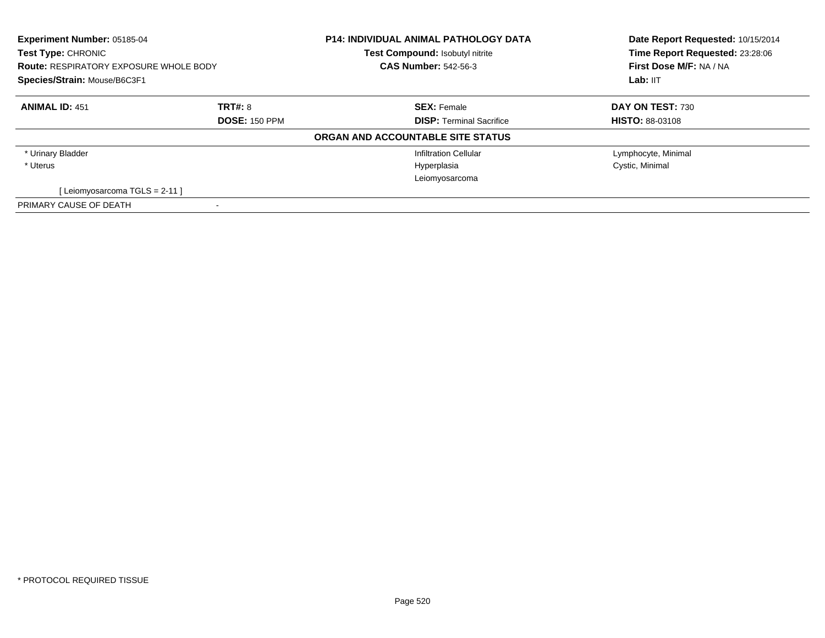| <b>Experiment Number: 05185-04</b><br>Test Type: CHRONIC |                      | <b>P14: INDIVIDUAL ANIMAL PATHOLOGY DATA</b><br>Test Compound: Isobutyl nitrite | Date Report Requested: 10/15/2014<br>Time Report Requested: 23:28:06 |
|----------------------------------------------------------|----------------------|---------------------------------------------------------------------------------|----------------------------------------------------------------------|
| <b>Route: RESPIRATORY EXPOSURE WHOLE BODY</b>            |                      | <b>CAS Number: 542-56-3</b>                                                     | First Dose M/F: NA / NA                                              |
| Species/Strain: Mouse/B6C3F1                             |                      |                                                                                 | Lab: IIT                                                             |
| <b>ANIMAL ID: 451</b>                                    | TRT#: 8              | <b>SEX: Female</b>                                                              | DAY ON TEST: 730                                                     |
|                                                          | <b>DOSE: 150 PPM</b> | <b>DISP: Terminal Sacrifice</b>                                                 | <b>HISTO: 88-03108</b>                                               |
|                                                          |                      | ORGAN AND ACCOUNTABLE SITE STATUS                                               |                                                                      |
| * Urinary Bladder                                        |                      | <b>Infiltration Cellular</b>                                                    | Lymphocyte, Minimal                                                  |
| * Uterus                                                 |                      | Hyperplasia                                                                     | Cystic, Minimal                                                      |
|                                                          |                      | Leiomyosarcoma                                                                  |                                                                      |
| [Leiomyosarcoma TGLS = 2-11]                             |                      |                                                                                 |                                                                      |
| PRIMARY CAUSE OF DEATH                                   |                      |                                                                                 |                                                                      |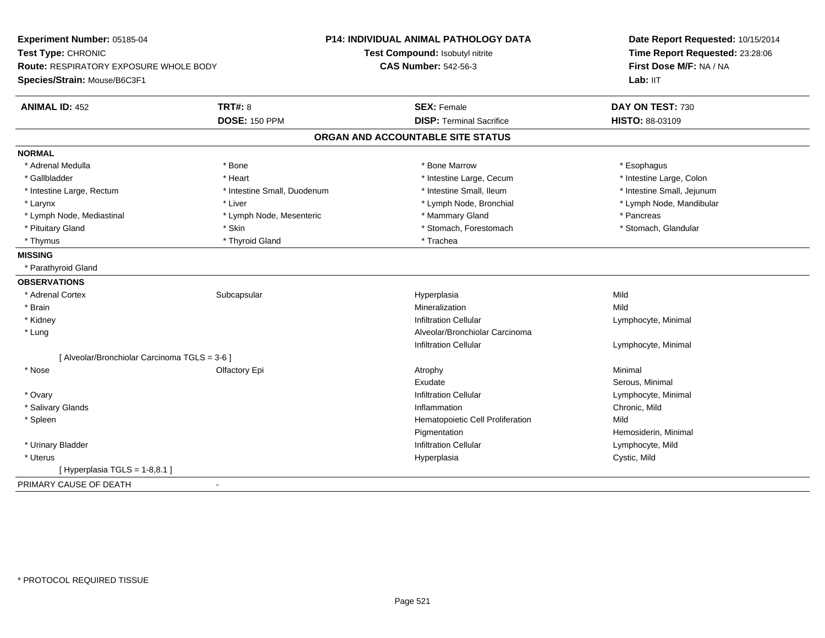| Experiment Number: 05185-04                   |                             | P14: INDIVIDUAL ANIMAL PATHOLOGY DATA | Date Report Requested: 10/15/2014<br>Time Report Requested: 23:28:06 |
|-----------------------------------------------|-----------------------------|---------------------------------------|----------------------------------------------------------------------|
| Test Type: CHRONIC                            |                             | Test Compound: Isobutyl nitrite       |                                                                      |
| Route: RESPIRATORY EXPOSURE WHOLE BODY        |                             | <b>CAS Number: 542-56-3</b>           | First Dose M/F: NA / NA                                              |
| Species/Strain: Mouse/B6C3F1                  |                             |                                       | Lab: IIT                                                             |
| <b>ANIMAL ID: 452</b>                         | <b>TRT#: 8</b>              | <b>SEX: Female</b>                    | DAY ON TEST: 730                                                     |
|                                               | <b>DOSE: 150 PPM</b>        | <b>DISP: Terminal Sacrifice</b>       | HISTO: 88-03109                                                      |
|                                               |                             | ORGAN AND ACCOUNTABLE SITE STATUS     |                                                                      |
| <b>NORMAL</b>                                 |                             |                                       |                                                                      |
| * Adrenal Medulla                             | * Bone                      | * Bone Marrow                         | * Esophagus                                                          |
| * Gallbladder                                 | * Heart                     | * Intestine Large, Cecum              | * Intestine Large, Colon                                             |
| * Intestine Large, Rectum                     | * Intestine Small, Duodenum | * Intestine Small, Ileum              | * Intestine Small, Jejunum                                           |
| * Larynx                                      | * Liver                     | * Lymph Node, Bronchial               | * Lymph Node, Mandibular                                             |
| * Lymph Node, Mediastinal                     | * Lymph Node, Mesenteric    | * Mammary Gland                       | * Pancreas                                                           |
| * Pituitary Gland                             | * Skin                      | * Stomach, Forestomach                | * Stomach, Glandular                                                 |
| * Thymus                                      | * Thyroid Gland             | * Trachea                             |                                                                      |
| <b>MISSING</b>                                |                             |                                       |                                                                      |
| * Parathyroid Gland                           |                             |                                       |                                                                      |
| <b>OBSERVATIONS</b>                           |                             |                                       |                                                                      |
| * Adrenal Cortex                              | Subcapsular                 | Hyperplasia                           | Mild                                                                 |
| * Brain                                       |                             | Mineralization                        | Mild                                                                 |
| * Kidney                                      |                             | <b>Infiltration Cellular</b>          | Lymphocyte, Minimal                                                  |
| $*$ Lung                                      |                             | Alveolar/Bronchiolar Carcinoma        |                                                                      |
|                                               |                             | <b>Infiltration Cellular</b>          | Lymphocyte, Minimal                                                  |
| [ Alveolar/Bronchiolar Carcinoma TGLS = 3-6 ] |                             |                                       |                                                                      |
| * Nose                                        | Olfactory Epi               | Atrophy                               | Minimal                                                              |
|                                               |                             | Exudate                               | Serous, Minimal                                                      |
| * Ovary                                       |                             | <b>Infiltration Cellular</b>          | Lymphocyte, Minimal                                                  |
| * Salivary Glands                             |                             | Inflammation                          | Chronic, Mild                                                        |
| * Spleen                                      |                             | Hematopoietic Cell Proliferation      | Mild                                                                 |
|                                               |                             | Pigmentation                          | Hemosiderin, Minimal                                                 |
| * Urinary Bladder                             |                             | <b>Infiltration Cellular</b>          | Lymphocyte, Mild                                                     |
| * Uterus                                      |                             | Hyperplasia                           | Cystic, Mild                                                         |
| [ Hyperplasia TGLS = 1-8,8.1 ]                |                             |                                       |                                                                      |
| PRIMARY CAUSE OF DEATH                        | $\blacksquare$              |                                       |                                                                      |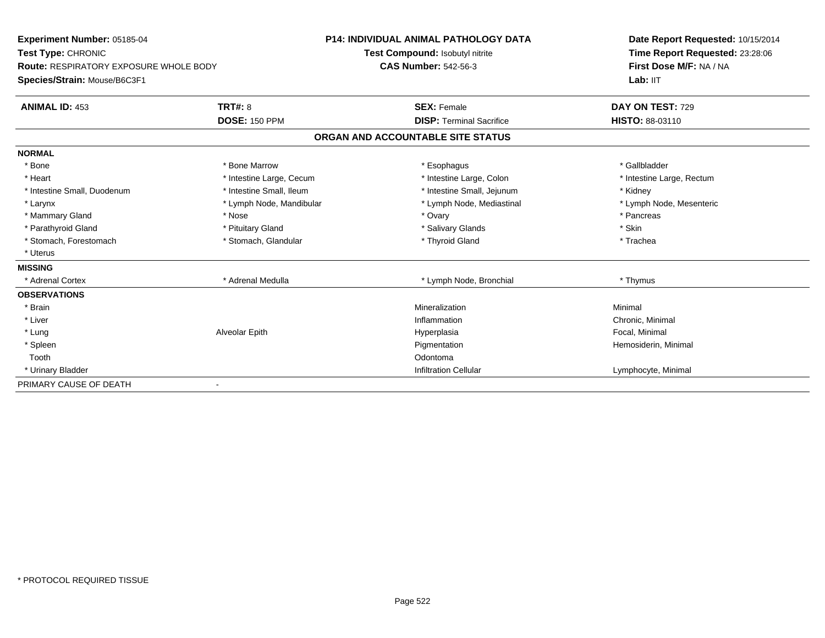| <b>Experiment Number: 05185-04</b>                           |                          | <b>P14: INDIVIDUAL ANIMAL PATHOLOGY DATA</b> | Date Report Requested: 10/15/2014 |
|--------------------------------------------------------------|--------------------------|----------------------------------------------|-----------------------------------|
| Test Type: CHRONIC<br>Route: RESPIRATORY EXPOSURE WHOLE BODY |                          | Test Compound: Isobutyl nitrite              | Time Report Requested: 23:28:06   |
|                                                              |                          | <b>CAS Number: 542-56-3</b>                  | First Dose M/F: NA / NA           |
| Species/Strain: Mouse/B6C3F1                                 |                          |                                              | Lab: IIT                          |
| <b>ANIMAL ID: 453</b>                                        | <b>TRT#: 8</b>           | <b>SEX: Female</b>                           | DAY ON TEST: 729                  |
|                                                              | <b>DOSE: 150 PPM</b>     | <b>DISP: Terminal Sacrifice</b>              | HISTO: 88-03110                   |
|                                                              |                          | ORGAN AND ACCOUNTABLE SITE STATUS            |                                   |
| <b>NORMAL</b>                                                |                          |                                              |                                   |
| * Bone                                                       | * Bone Marrow            | * Esophagus                                  | * Gallbladder                     |
| * Heart                                                      | * Intestine Large, Cecum | * Intestine Large, Colon                     | * Intestine Large, Rectum         |
| * Intestine Small, Duodenum                                  | * Intestine Small, Ileum | * Intestine Small, Jejunum                   | * Kidney                          |
| * Larynx                                                     | * Lymph Node, Mandibular | * Lymph Node, Mediastinal                    | * Lymph Node, Mesenteric          |
| * Mammary Gland                                              | * Nose                   | * Ovary                                      | * Pancreas                        |
| * Parathyroid Gland                                          | * Pituitary Gland        | * Salivary Glands                            | * Skin                            |
| * Stomach, Forestomach                                       | * Stomach, Glandular     | * Thyroid Gland                              | * Trachea                         |
| * Uterus                                                     |                          |                                              |                                   |
| <b>MISSING</b>                                               |                          |                                              |                                   |
| * Adrenal Cortex                                             | * Adrenal Medulla        | * Lymph Node, Bronchial                      | * Thymus                          |
| <b>OBSERVATIONS</b>                                          |                          |                                              |                                   |
| * Brain                                                      |                          | Mineralization                               | Minimal                           |
| * Liver                                                      |                          | Inflammation                                 | Chronic, Minimal                  |
| * Lung                                                       | Alveolar Epith           | Hyperplasia                                  | Focal, Minimal                    |
| * Spleen                                                     |                          | Pigmentation                                 | Hemosiderin, Minimal              |
| Tooth                                                        |                          | Odontoma                                     |                                   |
| * Urinary Bladder                                            |                          | <b>Infiltration Cellular</b>                 | Lymphocyte, Minimal               |
| PRIMARY CAUSE OF DEATH                                       |                          |                                              |                                   |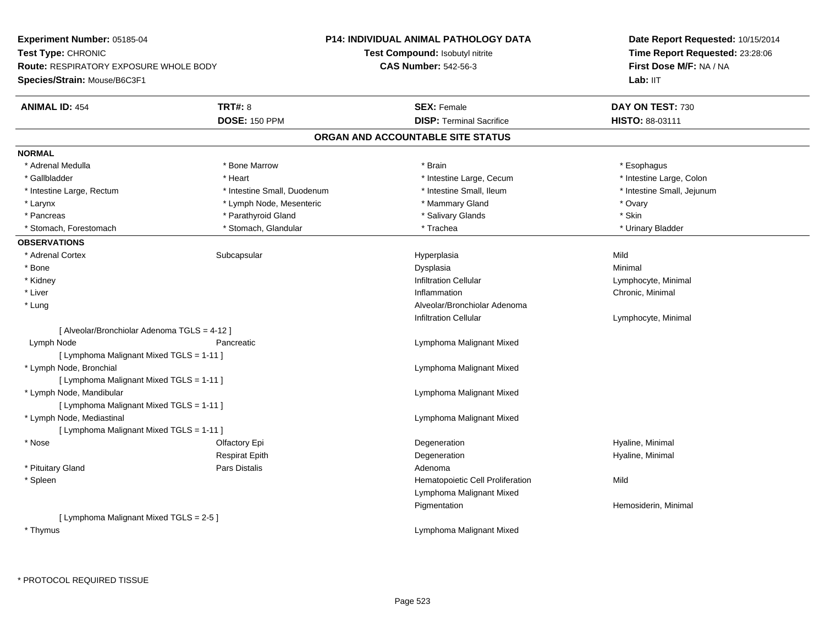**Experiment Number:** 05185-04**Test Type:** CHRONIC **Route:** RESPIRATORY EXPOSURE WHOLE BODY**Species/Strain:** Mouse/B6C3F1**P14: INDIVIDUAL ANIMAL PATHOLOGY DATATest Compound:** Isobutyl nitrite**CAS Number:** 542-56-3**Date Report Requested:** 10/15/2014**Time Report Requested:** 23:28:06**First Dose M/F:** NA / NALab: IIT **ANIMAL ID:** 454**TRT#:** 8 **SEX:** Female **DAY ON TEST:** 730 **DOSE:** 150 PPM**DISP:** Terminal Sacrifice **HISTO:** 88-03111 **ORGAN AND ACCOUNTABLE SITE STATUSNORMAL**\* Adrenal Medulla \* Adrenal Medulla \* \* \* Bone Marrow \* \* Bone Marrow \* \* Brain \* \* Brain \* \* Brain \* \* Esophagus \* Esophagus \* Gallbladder \* Thestine Large, Colon \* Heart \* Heart \* Thestine Large, Cecum \* Intestine Large, Colon \* Intestine Large, Colon \* Intestine Large, Colon \* Intestine Large, Rectum \* Thestine Small, Duodenum \* Number of the small, Ileum \* Intestine Small, Jejunum \* Intestine Small, Jejunum \* Larynx **\* Lymph Node, Mesenteric \* Mammary Gland \* Mammary Gland \* Ovary** \* Ovary \* Skin \* Pancreas \* Pancreas \* Pancreas \* Pancreas \* Pancreas \* Salivary Glands \* Salivary Glands \* Salivary Glands \* \* Urinary Bladder \* Stomach, Forestomach \* Northern \* Stomach, Glandular \* Trachea \* Trachea **OBSERVATIONS** \* Adrenal Cortexx Subcapsular Suberty Subsets and the Hyperplasia a Mild \* Bonee and the state of the state of the state of the Dysplasia Christian Christian Minimal Minimal State of the St \* Kidneyy the contract of the contract of the contract of the contract of the contract of the contract of the contract of  $\mathsf{Lymphocyte}$ , Minimal \* Liver**Inflammation** Inflammation Chronic, Minimal \* Lung Alveolar/Bronchiolar Adenoma Infiltration Cellular Lymphocyte, Minimal [ Alveolar/Bronchiolar Adenoma TGLS = 4-12 ] Lymph NodePancreatic **Contracts** Contracts Contract Contracts Cymphoma Malignant Mixed [ Lymphoma Malignant Mixed TGLS = 1-11 ] \* Lymph Node, Bronchial Lymphoma Malignant Mixed[ Lymphoma Malignant Mixed TGLS = 1-11 ] \* Lymph Node, Mandibular Lymphoma Malignant Mixed[ Lymphoma Malignant Mixed TGLS = 1-11 ] \* Lymph Node, Mediastinal Lymphoma Malignant Mixed[ Lymphoma Malignant Mixed TGLS = 1-11 ] \* Nosee and the Cole of Equation of the Cole of the Cole of the Cole of the Cole of the Cole of the Cole of the Cole <br>Begeneration to the Cole of the Cole of the Cole of the Cole of the Cole of the Cole of the Cole of the Cole o Respirat Epithh and the Degeneration description of the Hyaline, Minimal and the Degeneration of the Hyaline, Minimal and the Minimal and the Degeneration of the Minimal and the Minimal and the Minimal and the Minimal and the Minimal an \* Pituitary Glandd and the contract of Pars Distalis and the contract of Adenoma and Adenoma and the Adenoma and the Adenoma and  $\lambda$  \* SpleenHematopoietic Cell Proliferation Mild Lymphoma Malignant MixedPigmentation Hemosiderin, Minimal [ Lymphoma Malignant Mixed TGLS = 2-5 ] \* ThymusLymphoma Malignant Mixed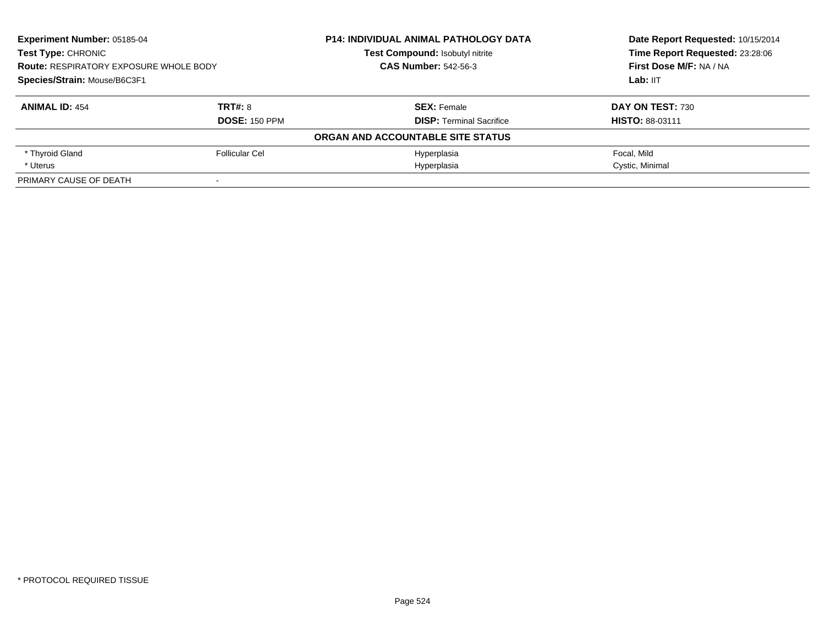| <b>Experiment Number: 05185-04</b><br><b>Test Type: CHRONIC</b><br><b>Route: RESPIRATORY EXPOSURE WHOLE BODY</b><br>Species/Strain: Mouse/B6C3F1 |                      | <b>P14: INDIVIDUAL ANIMAL PATHOLOGY DATA</b> | Date Report Requested: 10/15/2014<br>Time Report Requested: 23:28:06 |
|--------------------------------------------------------------------------------------------------------------------------------------------------|----------------------|----------------------------------------------|----------------------------------------------------------------------|
|                                                                                                                                                  |                      | Test Compound: Isobutyl nitrite              |                                                                      |
|                                                                                                                                                  |                      | <b>CAS Number: 542-56-3</b>                  | First Dose M/F: NA / NA                                              |
|                                                                                                                                                  |                      |                                              | Lab: IIT                                                             |
| <b>ANIMAL ID: 454</b>                                                                                                                            | TRT#: 8              | <b>SEX: Female</b>                           | DAY ON TEST: 730                                                     |
|                                                                                                                                                  | <b>DOSE: 150 PPM</b> | <b>DISP: Terminal Sacrifice</b>              | <b>HISTO: 88-03111</b>                                               |
|                                                                                                                                                  |                      | ORGAN AND ACCOUNTABLE SITE STATUS            |                                                                      |
| * Thyroid Gland                                                                                                                                  | Follicular Cel       | Hyperplasia                                  | Focal, Mild                                                          |
| * Uterus                                                                                                                                         |                      | Hyperplasia                                  | Cystic, Minimal                                                      |
| PRIMARY CAUSE OF DEATH                                                                                                                           |                      |                                              |                                                                      |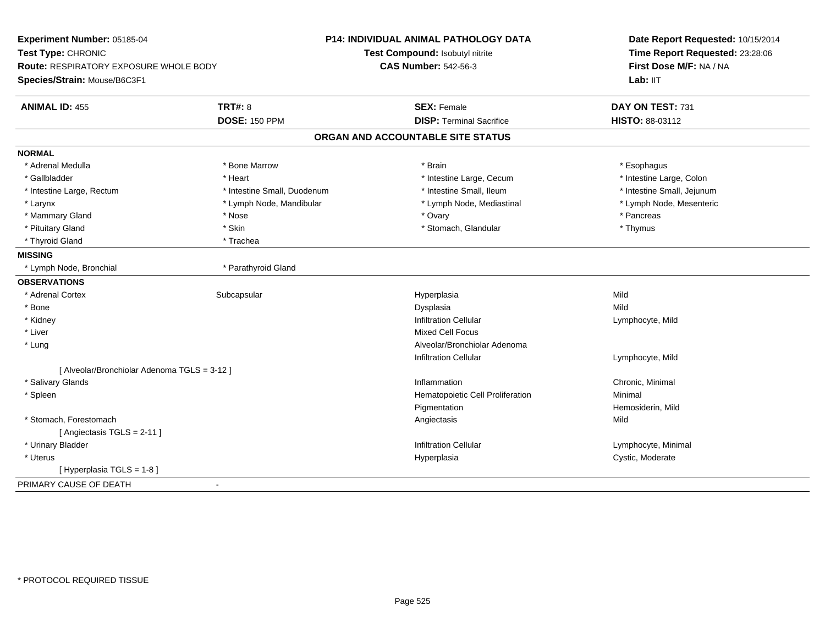| <b>Route: RESPIRATORY EXPOSURE WHOLE BODY</b><br><b>CAS Number: 542-56-3</b><br>Species/Strain: Mouse/B6C3F1<br>Lab: IIT<br><b>TRT#: 8</b><br><b>SEX: Female</b><br><b>ANIMAL ID: 455</b><br><b>DOSE: 150 PPM</b><br><b>DISP: Terminal Sacrifice</b><br>ORGAN AND ACCOUNTABLE SITE STATUS<br><b>NORMAL</b><br>* Adrenal Medulla<br>* Bone Marrow<br>* Brain<br>* Esophagus<br>* Gallbladder<br>* Heart<br>* Intestine Large, Cecum<br>* Intestine Small, Ileum<br>* Intestine Large, Rectum<br>* Intestine Small, Duodenum<br>* Larynx<br>* Lymph Node, Mandibular<br>* Lymph Node, Mediastinal<br>* Ovary<br>* Pancreas<br>* Mammary Gland<br>* Nose<br>* Skin<br>* Pituitary Gland<br>* Stomach, Glandular<br>* Thymus<br>* Thyroid Gland<br>* Trachea<br><b>MISSING</b><br>* Parathyroid Gland<br>* Lymph Node, Bronchial<br><b>OBSERVATIONS</b><br>Mild<br>* Adrenal Cortex<br>Subcapsular<br>Hyperplasia<br>Mild<br>* Bone<br>Dysplasia<br><b>Infiltration Cellular</b><br>* Kidney<br>Lymphocyte, Mild<br>* Liver<br>Mixed Cell Focus<br>Alveolar/Bronchiolar Adenoma<br>* Lung<br><b>Infiltration Cellular</b><br>Lymphocyte, Mild<br>[ Alveolar/Bronchiolar Adenoma TGLS = 3-12 ]<br>* Salivary Glands<br>Inflammation<br>Chronic, Minimal<br>Hematopoietic Cell Proliferation<br>Minimal<br>* Spleen<br>Pigmentation<br>* Stomach, Forestomach<br>Mild<br>Angiectasis<br>[Angiectasis TGLS = 2-11]<br><b>Infiltration Cellular</b><br>* Urinary Bladder<br>Cystic, Moderate<br>* Uterus<br>Hyperplasia | Date Report Requested: 10/15/2014<br>Time Report Requested: 23:28:06 |                            | <b>P14: INDIVIDUAL ANIMAL PATHOLOGY DATA</b><br>Test Compound: Isobutyl nitrite | Experiment Number: 05185-04<br>Test Type: CHRONIC |  |
|-----------------------------------------------------------------------------------------------------------------------------------------------------------------------------------------------------------------------------------------------------------------------------------------------------------------------------------------------------------------------------------------------------------------------------------------------------------------------------------------------------------------------------------------------------------------------------------------------------------------------------------------------------------------------------------------------------------------------------------------------------------------------------------------------------------------------------------------------------------------------------------------------------------------------------------------------------------------------------------------------------------------------------------------------------------------------------------------------------------------------------------------------------------------------------------------------------------------------------------------------------------------------------------------------------------------------------------------------------------------------------------------------------------------------------------------------------------------------------------------------------------------|----------------------------------------------------------------------|----------------------------|---------------------------------------------------------------------------------|---------------------------------------------------|--|
|                                                                                                                                                                                                                                                                                                                                                                                                                                                                                                                                                                                                                                                                                                                                                                                                                                                                                                                                                                                                                                                                                                                                                                                                                                                                                                                                                                                                                                                                                                                 |                                                                      | First Dose M/F: NA / NA    |                                                                                 |                                                   |  |
|                                                                                                                                                                                                                                                                                                                                                                                                                                                                                                                                                                                                                                                                                                                                                                                                                                                                                                                                                                                                                                                                                                                                                                                                                                                                                                                                                                                                                                                                                                                 |                                                                      |                            |                                                                                 |                                                   |  |
|                                                                                                                                                                                                                                                                                                                                                                                                                                                                                                                                                                                                                                                                                                                                                                                                                                                                                                                                                                                                                                                                                                                                                                                                                                                                                                                                                                                                                                                                                                                 |                                                                      | DAY ON TEST: 731           |                                                                                 |                                                   |  |
|                                                                                                                                                                                                                                                                                                                                                                                                                                                                                                                                                                                                                                                                                                                                                                                                                                                                                                                                                                                                                                                                                                                                                                                                                                                                                                                                                                                                                                                                                                                 |                                                                      | HISTO: 88-03112            |                                                                                 |                                                   |  |
|                                                                                                                                                                                                                                                                                                                                                                                                                                                                                                                                                                                                                                                                                                                                                                                                                                                                                                                                                                                                                                                                                                                                                                                                                                                                                                                                                                                                                                                                                                                 |                                                                      |                            |                                                                                 |                                                   |  |
|                                                                                                                                                                                                                                                                                                                                                                                                                                                                                                                                                                                                                                                                                                                                                                                                                                                                                                                                                                                                                                                                                                                                                                                                                                                                                                                                                                                                                                                                                                                 |                                                                      |                            |                                                                                 |                                                   |  |
|                                                                                                                                                                                                                                                                                                                                                                                                                                                                                                                                                                                                                                                                                                                                                                                                                                                                                                                                                                                                                                                                                                                                                                                                                                                                                                                                                                                                                                                                                                                 |                                                                      |                            |                                                                                 |                                                   |  |
|                                                                                                                                                                                                                                                                                                                                                                                                                                                                                                                                                                                                                                                                                                                                                                                                                                                                                                                                                                                                                                                                                                                                                                                                                                                                                                                                                                                                                                                                                                                 |                                                                      | * Intestine Large, Colon   |                                                                                 |                                                   |  |
|                                                                                                                                                                                                                                                                                                                                                                                                                                                                                                                                                                                                                                                                                                                                                                                                                                                                                                                                                                                                                                                                                                                                                                                                                                                                                                                                                                                                                                                                                                                 |                                                                      | * Intestine Small, Jejunum |                                                                                 |                                                   |  |
|                                                                                                                                                                                                                                                                                                                                                                                                                                                                                                                                                                                                                                                                                                                                                                                                                                                                                                                                                                                                                                                                                                                                                                                                                                                                                                                                                                                                                                                                                                                 |                                                                      | * Lymph Node, Mesenteric   |                                                                                 |                                                   |  |
|                                                                                                                                                                                                                                                                                                                                                                                                                                                                                                                                                                                                                                                                                                                                                                                                                                                                                                                                                                                                                                                                                                                                                                                                                                                                                                                                                                                                                                                                                                                 |                                                                      |                            |                                                                                 |                                                   |  |
|                                                                                                                                                                                                                                                                                                                                                                                                                                                                                                                                                                                                                                                                                                                                                                                                                                                                                                                                                                                                                                                                                                                                                                                                                                                                                                                                                                                                                                                                                                                 |                                                                      |                            |                                                                                 |                                                   |  |
|                                                                                                                                                                                                                                                                                                                                                                                                                                                                                                                                                                                                                                                                                                                                                                                                                                                                                                                                                                                                                                                                                                                                                                                                                                                                                                                                                                                                                                                                                                                 |                                                                      |                            |                                                                                 |                                                   |  |
|                                                                                                                                                                                                                                                                                                                                                                                                                                                                                                                                                                                                                                                                                                                                                                                                                                                                                                                                                                                                                                                                                                                                                                                                                                                                                                                                                                                                                                                                                                                 |                                                                      |                            |                                                                                 |                                                   |  |
|                                                                                                                                                                                                                                                                                                                                                                                                                                                                                                                                                                                                                                                                                                                                                                                                                                                                                                                                                                                                                                                                                                                                                                                                                                                                                                                                                                                                                                                                                                                 |                                                                      |                            |                                                                                 |                                                   |  |
|                                                                                                                                                                                                                                                                                                                                                                                                                                                                                                                                                                                                                                                                                                                                                                                                                                                                                                                                                                                                                                                                                                                                                                                                                                                                                                                                                                                                                                                                                                                 |                                                                      |                            |                                                                                 |                                                   |  |
|                                                                                                                                                                                                                                                                                                                                                                                                                                                                                                                                                                                                                                                                                                                                                                                                                                                                                                                                                                                                                                                                                                                                                                                                                                                                                                                                                                                                                                                                                                                 |                                                                      |                            |                                                                                 |                                                   |  |
|                                                                                                                                                                                                                                                                                                                                                                                                                                                                                                                                                                                                                                                                                                                                                                                                                                                                                                                                                                                                                                                                                                                                                                                                                                                                                                                                                                                                                                                                                                                 |                                                                      |                            |                                                                                 |                                                   |  |
|                                                                                                                                                                                                                                                                                                                                                                                                                                                                                                                                                                                                                                                                                                                                                                                                                                                                                                                                                                                                                                                                                                                                                                                                                                                                                                                                                                                                                                                                                                                 |                                                                      |                            |                                                                                 |                                                   |  |
|                                                                                                                                                                                                                                                                                                                                                                                                                                                                                                                                                                                                                                                                                                                                                                                                                                                                                                                                                                                                                                                                                                                                                                                                                                                                                                                                                                                                                                                                                                                 |                                                                      |                            |                                                                                 |                                                   |  |
|                                                                                                                                                                                                                                                                                                                                                                                                                                                                                                                                                                                                                                                                                                                                                                                                                                                                                                                                                                                                                                                                                                                                                                                                                                                                                                                                                                                                                                                                                                                 |                                                                      |                            |                                                                                 |                                                   |  |
|                                                                                                                                                                                                                                                                                                                                                                                                                                                                                                                                                                                                                                                                                                                                                                                                                                                                                                                                                                                                                                                                                                                                                                                                                                                                                                                                                                                                                                                                                                                 |                                                                      |                            |                                                                                 |                                                   |  |
|                                                                                                                                                                                                                                                                                                                                                                                                                                                                                                                                                                                                                                                                                                                                                                                                                                                                                                                                                                                                                                                                                                                                                                                                                                                                                                                                                                                                                                                                                                                 |                                                                      |                            |                                                                                 |                                                   |  |
|                                                                                                                                                                                                                                                                                                                                                                                                                                                                                                                                                                                                                                                                                                                                                                                                                                                                                                                                                                                                                                                                                                                                                                                                                                                                                                                                                                                                                                                                                                                 |                                                                      |                            |                                                                                 |                                                   |  |
|                                                                                                                                                                                                                                                                                                                                                                                                                                                                                                                                                                                                                                                                                                                                                                                                                                                                                                                                                                                                                                                                                                                                                                                                                                                                                                                                                                                                                                                                                                                 |                                                                      |                            |                                                                                 |                                                   |  |
|                                                                                                                                                                                                                                                                                                                                                                                                                                                                                                                                                                                                                                                                                                                                                                                                                                                                                                                                                                                                                                                                                                                                                                                                                                                                                                                                                                                                                                                                                                                 |                                                                      | Hemosiderin, Mild          |                                                                                 |                                                   |  |
|                                                                                                                                                                                                                                                                                                                                                                                                                                                                                                                                                                                                                                                                                                                                                                                                                                                                                                                                                                                                                                                                                                                                                                                                                                                                                                                                                                                                                                                                                                                 |                                                                      |                            |                                                                                 |                                                   |  |
|                                                                                                                                                                                                                                                                                                                                                                                                                                                                                                                                                                                                                                                                                                                                                                                                                                                                                                                                                                                                                                                                                                                                                                                                                                                                                                                                                                                                                                                                                                                 |                                                                      |                            |                                                                                 |                                                   |  |
|                                                                                                                                                                                                                                                                                                                                                                                                                                                                                                                                                                                                                                                                                                                                                                                                                                                                                                                                                                                                                                                                                                                                                                                                                                                                                                                                                                                                                                                                                                                 |                                                                      | Lymphocyte, Minimal        |                                                                                 |                                                   |  |
|                                                                                                                                                                                                                                                                                                                                                                                                                                                                                                                                                                                                                                                                                                                                                                                                                                                                                                                                                                                                                                                                                                                                                                                                                                                                                                                                                                                                                                                                                                                 |                                                                      |                            |                                                                                 |                                                   |  |
|                                                                                                                                                                                                                                                                                                                                                                                                                                                                                                                                                                                                                                                                                                                                                                                                                                                                                                                                                                                                                                                                                                                                                                                                                                                                                                                                                                                                                                                                                                                 |                                                                      |                            |                                                                                 | [ Hyperplasia TGLS = 1-8 ]                        |  |
| PRIMARY CAUSE OF DEATH                                                                                                                                                                                                                                                                                                                                                                                                                                                                                                                                                                                                                                                                                                                                                                                                                                                                                                                                                                                                                                                                                                                                                                                                                                                                                                                                                                                                                                                                                          |                                                                      |                            |                                                                                 |                                                   |  |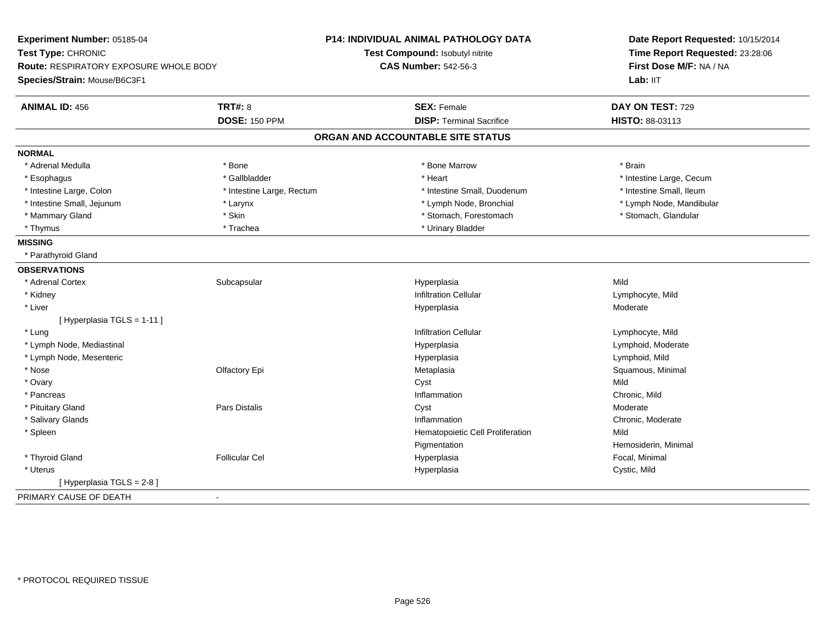| Experiment Number: 05185-04                   |                           | <b>P14: INDIVIDUAL ANIMAL PATHOLOGY DATA</b> | Date Report Requested: 10/15/2014<br>Time Report Requested: 23:28:06 |  |
|-----------------------------------------------|---------------------------|----------------------------------------------|----------------------------------------------------------------------|--|
| Test Type: CHRONIC                            |                           | Test Compound: Isobutyl nitrite              |                                                                      |  |
| <b>Route: RESPIRATORY EXPOSURE WHOLE BODY</b> |                           | <b>CAS Number: 542-56-3</b>                  | First Dose M/F: NA / NA                                              |  |
| Species/Strain: Mouse/B6C3F1                  |                           |                                              | Lab: IIT                                                             |  |
| <b>ANIMAL ID: 456</b>                         | <b>TRT#: 8</b>            | <b>SEX: Female</b>                           | DAY ON TEST: 729                                                     |  |
|                                               | <b>DOSE: 150 PPM</b>      | <b>DISP: Terminal Sacrifice</b>              | HISTO: 88-03113                                                      |  |
|                                               |                           | ORGAN AND ACCOUNTABLE SITE STATUS            |                                                                      |  |
| <b>NORMAL</b>                                 |                           |                                              |                                                                      |  |
| * Adrenal Medulla                             | * Bone                    | * Bone Marrow                                | * Brain                                                              |  |
| * Esophagus                                   | * Gallbladder             | * Heart                                      | * Intestine Large, Cecum                                             |  |
| * Intestine Large, Colon                      | * Intestine Large, Rectum | * Intestine Small, Duodenum                  | * Intestine Small, Ileum                                             |  |
| * Intestine Small, Jejunum                    | * Larynx                  | * Lymph Node, Bronchial                      | * Lymph Node, Mandibular                                             |  |
| * Mammary Gland                               | * Skin                    | * Stomach, Forestomach                       | * Stomach, Glandular                                                 |  |
| * Thymus                                      | * Trachea                 | * Urinary Bladder                            |                                                                      |  |
| <b>MISSING</b>                                |                           |                                              |                                                                      |  |
| * Parathyroid Gland                           |                           |                                              |                                                                      |  |
| <b>OBSERVATIONS</b>                           |                           |                                              |                                                                      |  |
| * Adrenal Cortex                              | Subcapsular               | Hyperplasia                                  | Mild                                                                 |  |
| * Kidney                                      |                           | <b>Infiltration Cellular</b>                 | Lymphocyte, Mild                                                     |  |
| * Liver                                       |                           | Hyperplasia                                  | Moderate                                                             |  |
| [ Hyperplasia TGLS = 1-11 ]                   |                           |                                              |                                                                      |  |
| * Lung                                        |                           | <b>Infiltration Cellular</b>                 | Lymphocyte, Mild                                                     |  |
| * Lymph Node, Mediastinal                     |                           | Hyperplasia                                  | Lymphoid, Moderate                                                   |  |
| * Lymph Node, Mesenteric                      |                           | Hyperplasia                                  | Lymphoid, Mild                                                       |  |
| * Nose                                        | Olfactory Epi             | Metaplasia                                   | Squamous, Minimal                                                    |  |
| * Ovary                                       |                           | Cyst                                         | Mild                                                                 |  |
| * Pancreas                                    |                           | Inflammation                                 | Chronic, Mild                                                        |  |
| * Pituitary Gland                             | <b>Pars Distalis</b>      | Cyst                                         | Moderate                                                             |  |
| * Salivary Glands                             |                           | Inflammation                                 | Chronic, Moderate                                                    |  |
| * Spleen                                      |                           | Hematopoietic Cell Proliferation             | Mild                                                                 |  |
|                                               |                           | Pigmentation                                 | Hemosiderin, Minimal                                                 |  |
| * Thyroid Gland                               | <b>Follicular Cel</b>     | Hyperplasia                                  | Focal, Minimal                                                       |  |
| * Uterus                                      |                           | Hyperplasia                                  | Cystic, Mild                                                         |  |
| [ Hyperplasia TGLS = 2-8]                     |                           |                                              |                                                                      |  |
| PRIMARY CAUSE OF DEATH                        | $\sim$                    |                                              |                                                                      |  |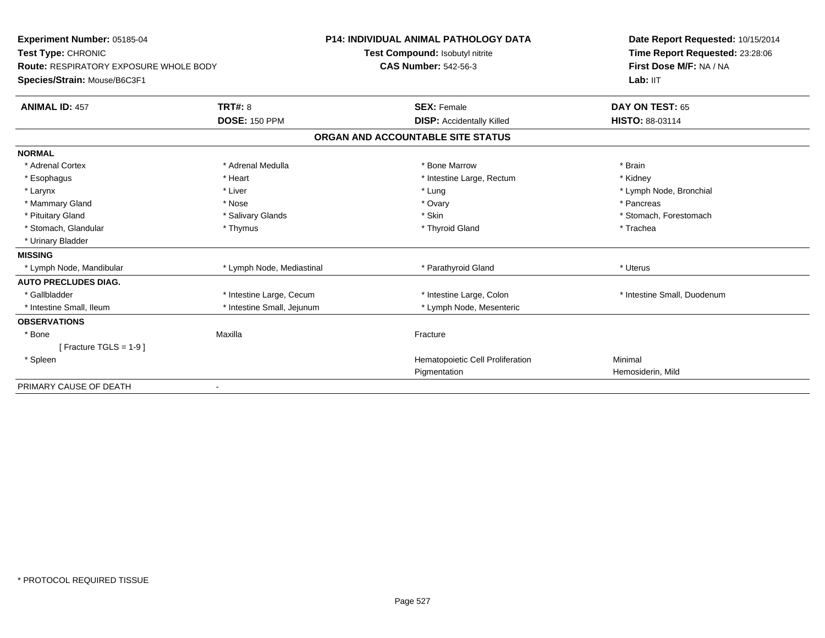| Experiment Number: 05185-04<br>Test Type: CHRONIC<br>Route: RESPIRATORY EXPOSURE WHOLE BODY<br>Species/Strain: Mouse/B6C3F1<br><b>ANIMAL ID: 457</b> | <b>TRT#: 8</b>             | <b>P14: INDIVIDUAL ANIMAL PATHOLOGY DATA</b><br>Test Compound: Isobutyl nitrite<br><b>CAS Number: 542-56-3</b><br><b>SEX: Female</b> | Date Report Requested: 10/15/2014<br>Time Report Requested: 23:28:06<br>First Dose M/F: NA / NA<br>Lab: IIT<br>DAY ON TEST: 65 |
|------------------------------------------------------------------------------------------------------------------------------------------------------|----------------------------|--------------------------------------------------------------------------------------------------------------------------------------|--------------------------------------------------------------------------------------------------------------------------------|
|                                                                                                                                                      | <b>DOSE: 150 PPM</b>       | <b>DISP: Accidentally Killed</b>                                                                                                     | HISTO: 88-03114                                                                                                                |
|                                                                                                                                                      |                            | ORGAN AND ACCOUNTABLE SITE STATUS                                                                                                    |                                                                                                                                |
| <b>NORMAL</b>                                                                                                                                        |                            |                                                                                                                                      |                                                                                                                                |
| * Adrenal Cortex                                                                                                                                     | * Adrenal Medulla          | * Bone Marrow                                                                                                                        | * Brain                                                                                                                        |
| * Esophagus                                                                                                                                          | * Heart                    | * Intestine Large, Rectum                                                                                                            | * Kidney                                                                                                                       |
| * Larynx                                                                                                                                             | * Liver                    | * Lung                                                                                                                               | * Lymph Node, Bronchial                                                                                                        |
| * Mammary Gland                                                                                                                                      | * Nose                     | * Ovary                                                                                                                              | * Pancreas                                                                                                                     |
| * Pituitary Gland                                                                                                                                    | * Salivary Glands          | * Skin                                                                                                                               | * Stomach, Forestomach                                                                                                         |
| * Stomach, Glandular                                                                                                                                 | * Thymus                   | * Thyroid Gland                                                                                                                      | * Trachea                                                                                                                      |
| * Urinary Bladder                                                                                                                                    |                            |                                                                                                                                      |                                                                                                                                |
| <b>MISSING</b>                                                                                                                                       |                            |                                                                                                                                      |                                                                                                                                |
| * Lymph Node, Mandibular                                                                                                                             | * Lymph Node, Mediastinal  | * Parathyroid Gland                                                                                                                  | * Uterus                                                                                                                       |
| <b>AUTO PRECLUDES DIAG.</b>                                                                                                                          |                            |                                                                                                                                      |                                                                                                                                |
| * Gallbladder                                                                                                                                        | * Intestine Large, Cecum   | * Intestine Large, Colon                                                                                                             | * Intestine Small, Duodenum                                                                                                    |
| * Intestine Small, Ileum                                                                                                                             | * Intestine Small, Jejunum | * Lymph Node, Mesenteric                                                                                                             |                                                                                                                                |
| <b>OBSERVATIONS</b>                                                                                                                                  |                            |                                                                                                                                      |                                                                                                                                |
| * Bone                                                                                                                                               | Maxilla                    | Fracture                                                                                                                             |                                                                                                                                |
| [ Fracture TGLS = $1-9$ ]                                                                                                                            |                            |                                                                                                                                      |                                                                                                                                |
| * Spleen                                                                                                                                             |                            | Hematopoietic Cell Proliferation                                                                                                     | Minimal                                                                                                                        |
|                                                                                                                                                      |                            | Pigmentation                                                                                                                         | Hemosiderin, Mild                                                                                                              |
| PRIMARY CAUSE OF DEATH                                                                                                                               |                            |                                                                                                                                      |                                                                                                                                |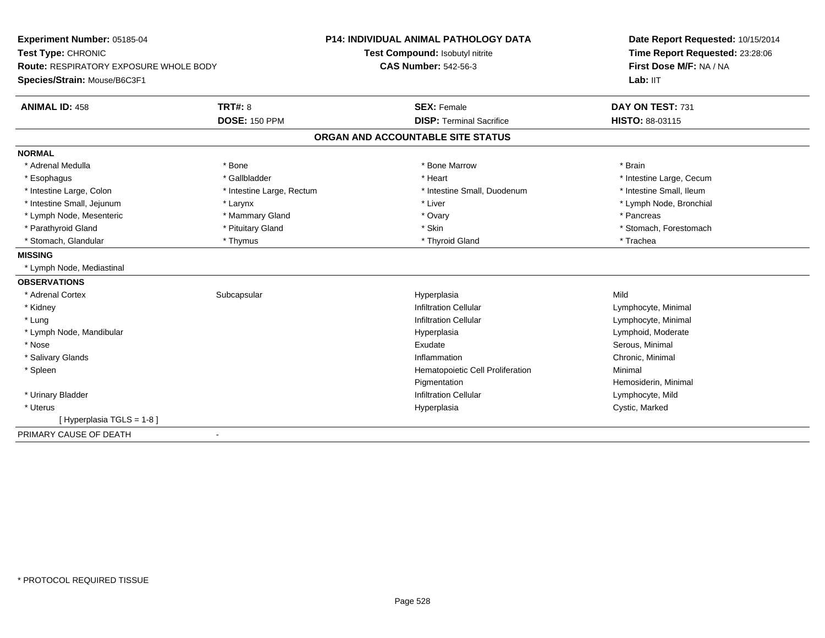| Experiment Number: 05185-04            |                           | <b>P14: INDIVIDUAL ANIMAL PATHOLOGY DATA</b> | Date Report Requested: 10/15/2014 |
|----------------------------------------|---------------------------|----------------------------------------------|-----------------------------------|
| Test Type: CHRONIC                     |                           | Test Compound: Isobutyl nitrite              | Time Report Requested: 23:28:06   |
| Route: RESPIRATORY EXPOSURE WHOLE BODY |                           | <b>CAS Number: 542-56-3</b>                  | First Dose M/F: NA / NA           |
| Species/Strain: Mouse/B6C3F1           |                           |                                              | Lab: IIT                          |
| <b>ANIMAL ID: 458</b>                  | <b>TRT#: 8</b>            | <b>SEX: Female</b>                           | DAY ON TEST: 731                  |
|                                        | <b>DOSE: 150 PPM</b>      | <b>DISP: Terminal Sacrifice</b>              | HISTO: 88-03115                   |
|                                        |                           | ORGAN AND ACCOUNTABLE SITE STATUS            |                                   |
| <b>NORMAL</b>                          |                           |                                              |                                   |
| * Adrenal Medulla                      | * Bone                    | * Bone Marrow                                | * Brain                           |
| * Esophagus                            | * Gallbladder             | * Heart                                      | * Intestine Large, Cecum          |
| * Intestine Large, Colon               | * Intestine Large, Rectum | * Intestine Small, Duodenum                  | * Intestine Small, Ileum          |
| * Intestine Small, Jejunum             | * Larynx                  | * Liver                                      | * Lymph Node, Bronchial           |
| * Lymph Node, Mesenteric               | * Mammary Gland           | * Ovary                                      | * Pancreas                        |
| * Parathyroid Gland                    | * Pituitary Gland         | * Skin                                       | * Stomach, Forestomach            |
| * Stomach, Glandular                   | * Thymus                  | * Thyroid Gland                              | * Trachea                         |
| <b>MISSING</b>                         |                           |                                              |                                   |
| * Lymph Node, Mediastinal              |                           |                                              |                                   |
| <b>OBSERVATIONS</b>                    |                           |                                              |                                   |
| * Adrenal Cortex                       | Subcapsular               | Hyperplasia                                  | Mild                              |
| * Kidney                               |                           | <b>Infiltration Cellular</b>                 | Lymphocyte, Minimal               |
| * Lung                                 |                           | <b>Infiltration Cellular</b>                 | Lymphocyte, Minimal               |
| * Lymph Node, Mandibular               |                           | Hyperplasia                                  | Lymphoid, Moderate                |
| * Nose                                 |                           | Exudate                                      | Serous, Minimal                   |
| * Salivary Glands                      |                           | Inflammation                                 | Chronic, Minimal                  |
| * Spleen                               |                           | Hematopoietic Cell Proliferation             | Minimal                           |
|                                        |                           | Pigmentation                                 | Hemosiderin, Minimal              |
| * Urinary Bladder                      |                           | <b>Infiltration Cellular</b>                 | Lymphocyte, Mild                  |
| * Uterus                               |                           | Hyperplasia                                  | Cystic, Marked                    |
| [ Hyperplasia TGLS = 1-8 ]             |                           |                                              |                                   |
| PRIMARY CAUSE OF DEATH                 | $\blacksquare$            |                                              |                                   |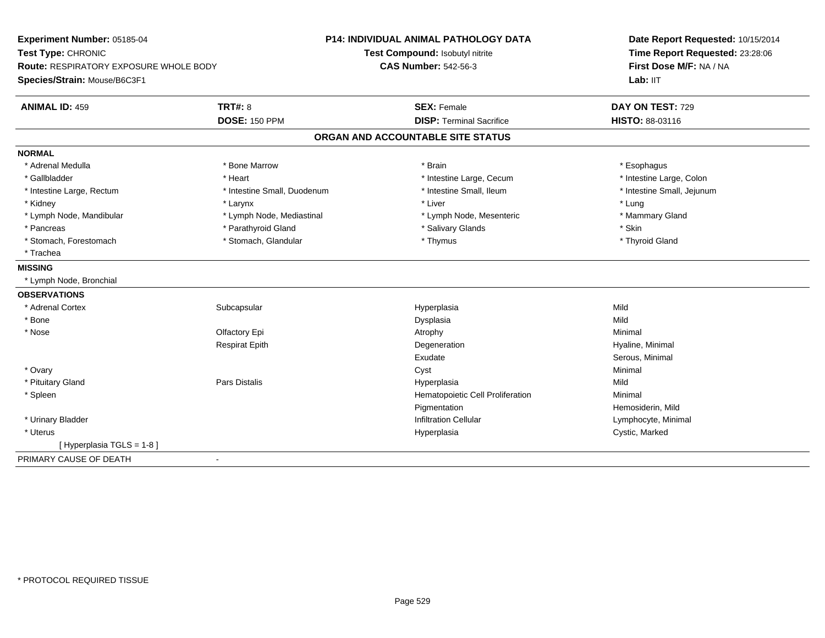| Experiment Number: 05185-04                   |                             | <b>P14: INDIVIDUAL ANIMAL PATHOLOGY DATA</b> | Date Report Requested: 10/15/2014 |
|-----------------------------------------------|-----------------------------|----------------------------------------------|-----------------------------------|
| Test Type: CHRONIC                            |                             | Test Compound: Isobutyl nitrite              | Time Report Requested: 23:28:06   |
| <b>Route: RESPIRATORY EXPOSURE WHOLE BODY</b> |                             | <b>CAS Number: 542-56-3</b>                  | First Dose M/F: NA / NA           |
| Species/Strain: Mouse/B6C3F1                  |                             |                                              | Lab: IIT                          |
| <b>ANIMAL ID: 459</b>                         | <b>TRT#: 8</b>              | <b>SEX: Female</b>                           | DAY ON TEST: 729                  |
|                                               | <b>DOSE: 150 PPM</b>        | <b>DISP: Terminal Sacrifice</b>              | HISTO: 88-03116                   |
|                                               |                             | ORGAN AND ACCOUNTABLE SITE STATUS            |                                   |
| <b>NORMAL</b>                                 |                             |                                              |                                   |
| * Adrenal Medulla                             | * Bone Marrow               | * Brain                                      | * Esophagus                       |
| * Gallbladder                                 | * Heart                     | * Intestine Large, Cecum                     | * Intestine Large, Colon          |
| * Intestine Large, Rectum                     | * Intestine Small, Duodenum | * Intestine Small, Ileum                     | * Intestine Small, Jejunum        |
| * Kidney                                      | * Larynx                    | * Liver                                      | * Lung                            |
| * Lymph Node, Mandibular                      | * Lymph Node, Mediastinal   | * Lymph Node, Mesenteric                     | * Mammary Gland                   |
| * Pancreas                                    | * Parathyroid Gland         | * Salivary Glands                            | * Skin                            |
| * Stomach, Forestomach                        | * Stomach, Glandular        | * Thymus                                     | * Thyroid Gland                   |
| * Trachea                                     |                             |                                              |                                   |
| <b>MISSING</b>                                |                             |                                              |                                   |
| * Lymph Node, Bronchial                       |                             |                                              |                                   |
| <b>OBSERVATIONS</b>                           |                             |                                              |                                   |
| * Adrenal Cortex                              | Subcapsular                 | Hyperplasia                                  | Mild                              |
| * Bone                                        |                             | Dysplasia                                    | Mild                              |
| * Nose                                        | Olfactory Epi               | Atrophy                                      | Minimal                           |
|                                               | <b>Respirat Epith</b>       | Degeneration                                 | Hyaline, Minimal                  |
|                                               |                             | Exudate                                      | Serous, Minimal                   |
| * Ovary                                       |                             | Cyst                                         | Minimal                           |
| * Pituitary Gland                             | <b>Pars Distalis</b>        | Hyperplasia                                  | Mild                              |
| * Spleen                                      |                             | Hematopoietic Cell Proliferation             | Minimal                           |
|                                               |                             | Pigmentation                                 | Hemosiderin, Mild                 |
| * Urinary Bladder                             |                             | <b>Infiltration Cellular</b>                 | Lymphocyte, Minimal               |
| * Uterus                                      |                             | Hyperplasia                                  | Cystic, Marked                    |
| [Hyperplasia TGLS = 1-8]                      |                             |                                              |                                   |
| PRIMARY CAUSE OF DEATH<br>$\blacksquare$      |                             |                                              |                                   |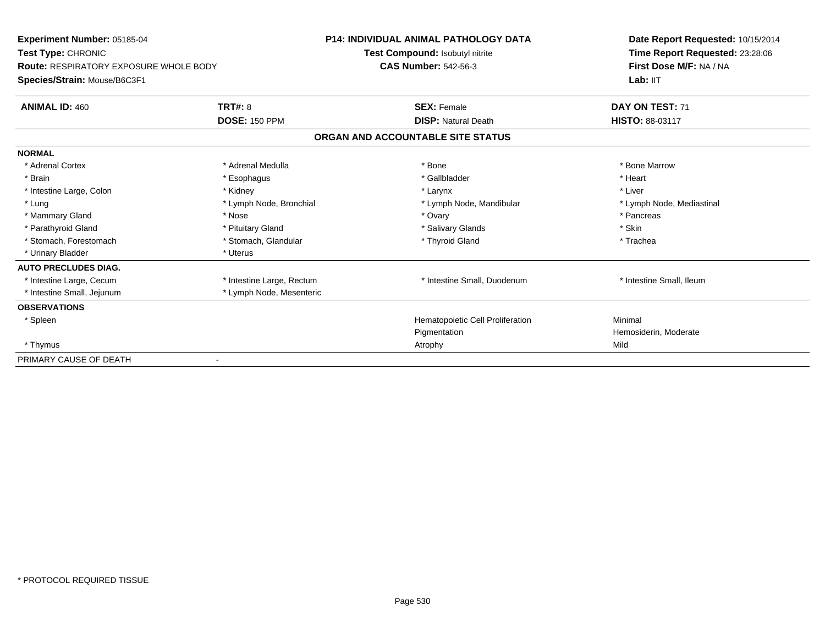| Experiment Number: 05185-04<br>Test Type: CHRONIC |                           | <b>P14: INDIVIDUAL ANIMAL PATHOLOGY DATA</b> | Date Report Requested: 10/15/2014<br>Time Report Requested: 23:28:06 |
|---------------------------------------------------|---------------------------|----------------------------------------------|----------------------------------------------------------------------|
|                                                   |                           | Test Compound: Isobutyl nitrite              |                                                                      |
| <b>Route: RESPIRATORY EXPOSURE WHOLE BODY</b>     |                           | <b>CAS Number: 542-56-3</b>                  | First Dose M/F: NA / NA                                              |
| Species/Strain: Mouse/B6C3F1                      |                           |                                              | Lab: IIT                                                             |
| <b>ANIMAL ID: 460</b>                             | TRT#: 8                   | <b>SEX: Female</b>                           | DAY ON TEST: 71                                                      |
|                                                   | <b>DOSE: 150 PPM</b>      | <b>DISP: Natural Death</b>                   | <b>HISTO: 88-03117</b>                                               |
|                                                   |                           | ORGAN AND ACCOUNTABLE SITE STATUS            |                                                                      |
| <b>NORMAL</b>                                     |                           |                                              |                                                                      |
| * Adrenal Cortex                                  | * Adrenal Medulla         | * Bone                                       | * Bone Marrow                                                        |
| * Brain                                           | * Esophagus               | * Gallbladder                                | * Heart                                                              |
| * Intestine Large, Colon                          | * Kidney                  | * Larynx                                     | * Liver                                                              |
| * Lung                                            | * Lymph Node, Bronchial   | * Lymph Node, Mandibular                     | * Lymph Node, Mediastinal                                            |
| * Mammary Gland                                   | * Nose                    | * Ovary                                      | * Pancreas                                                           |
| * Parathyroid Gland                               | * Pituitary Gland         | * Salivary Glands                            | * Skin                                                               |
| * Stomach, Forestomach                            | * Stomach, Glandular      | * Thyroid Gland                              | * Trachea                                                            |
| * Urinary Bladder                                 | * Uterus                  |                                              |                                                                      |
| <b>AUTO PRECLUDES DIAG.</b>                       |                           |                                              |                                                                      |
| * Intestine Large, Cecum                          | * Intestine Large, Rectum | * Intestine Small, Duodenum                  | * Intestine Small, Ileum                                             |
| * Intestine Small, Jejunum                        | * Lymph Node, Mesenteric  |                                              |                                                                      |
| <b>OBSERVATIONS</b>                               |                           |                                              |                                                                      |
| * Spleen                                          |                           | Hematopoietic Cell Proliferation             | Minimal                                                              |
|                                                   |                           | Pigmentation                                 | Hemosiderin, Moderate                                                |
| * Thymus                                          |                           | Atrophy                                      | Mild                                                                 |
| PRIMARY CAUSE OF DEATH                            |                           |                                              |                                                                      |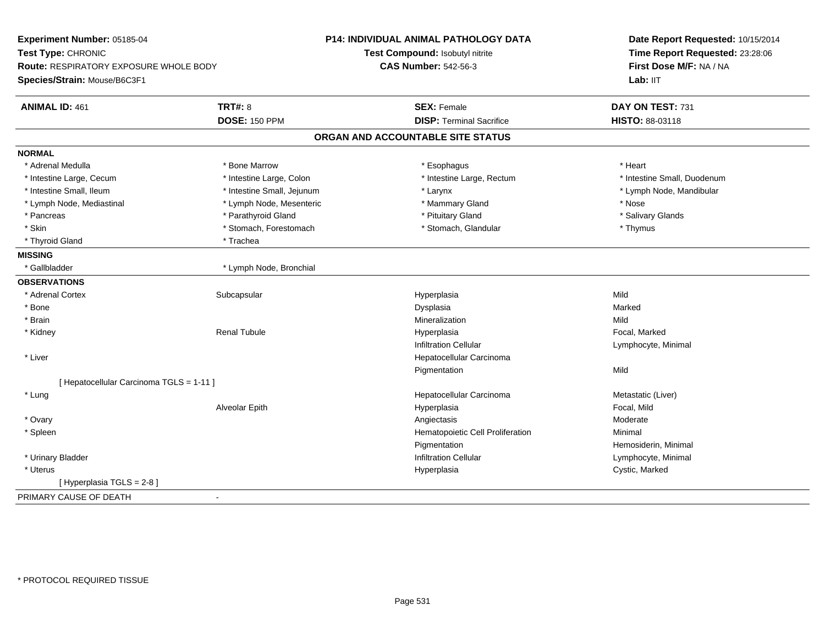| Experiment Number: 05185-04                   |                            | <b>P14: INDIVIDUAL ANIMAL PATHOLOGY DATA</b> | Date Report Requested: 10/15/2014 |
|-----------------------------------------------|----------------------------|----------------------------------------------|-----------------------------------|
| Test Type: CHRONIC                            |                            | Test Compound: Isobutyl nitrite              | Time Report Requested: 23:28:06   |
| <b>Route: RESPIRATORY EXPOSURE WHOLE BODY</b> |                            | <b>CAS Number: 542-56-3</b>                  | First Dose M/F: NA / NA           |
| Species/Strain: Mouse/B6C3F1                  |                            |                                              | Lab: IIT                          |
| <b>ANIMAL ID: 461</b>                         | <b>TRT#: 8</b>             | <b>SEX: Female</b>                           | DAY ON TEST: 731                  |
|                                               | <b>DOSE: 150 PPM</b>       | <b>DISP: Terminal Sacrifice</b>              | HISTO: 88-03118                   |
|                                               |                            | ORGAN AND ACCOUNTABLE SITE STATUS            |                                   |
| <b>NORMAL</b>                                 |                            |                                              |                                   |
| * Adrenal Medulla                             | * Bone Marrow              | * Esophagus                                  | * Heart                           |
| * Intestine Large, Cecum                      | * Intestine Large, Colon   | * Intestine Large, Rectum                    | * Intestine Small, Duodenum       |
| * Intestine Small, Ileum                      | * Intestine Small, Jejunum | * Larynx                                     | * Lymph Node, Mandibular          |
| * Lymph Node, Mediastinal                     | * Lymph Node, Mesenteric   | * Mammary Gland                              | * Nose                            |
| * Pancreas                                    | * Parathyroid Gland        | * Pituitary Gland                            | * Salivary Glands                 |
| * Skin                                        | * Stomach, Forestomach     | * Stomach, Glandular                         | * Thymus                          |
| * Thyroid Gland                               | * Trachea                  |                                              |                                   |
| <b>MISSING</b>                                |                            |                                              |                                   |
| * Gallbladder                                 | * Lymph Node, Bronchial    |                                              |                                   |
| <b>OBSERVATIONS</b>                           |                            |                                              |                                   |
| * Adrenal Cortex                              | Subcapsular                | Hyperplasia                                  | Mild                              |
| * Bone                                        |                            | Dysplasia                                    | Marked                            |
| * Brain                                       |                            | Mineralization                               | Mild                              |
| * Kidney                                      | <b>Renal Tubule</b>        | Hyperplasia                                  | Focal, Marked                     |
|                                               |                            | <b>Infiltration Cellular</b>                 | Lymphocyte, Minimal               |
| * Liver                                       |                            | Hepatocellular Carcinoma                     |                                   |
|                                               |                            | Pigmentation                                 | Mild                              |
| [ Hepatocellular Carcinoma TGLS = 1-11 ]      |                            |                                              |                                   |
| * Lung                                        |                            | Hepatocellular Carcinoma                     | Metastatic (Liver)                |
|                                               | Alveolar Epith             | Hyperplasia                                  | Focal, Mild                       |
| * Ovary                                       |                            | Angiectasis                                  | Moderate                          |
| * Spleen                                      |                            | Hematopoietic Cell Proliferation             | Minimal                           |
|                                               |                            | Pigmentation                                 | Hemosiderin, Minimal              |
| * Urinary Bladder                             |                            | <b>Infiltration Cellular</b>                 | Lymphocyte, Minimal               |
| * Uterus                                      |                            | Hyperplasia                                  | Cystic, Marked                    |
| [Hyperplasia TGLS = 2-8]                      |                            |                                              |                                   |
| PRIMARY CAUSE OF DEATH                        |                            |                                              |                                   |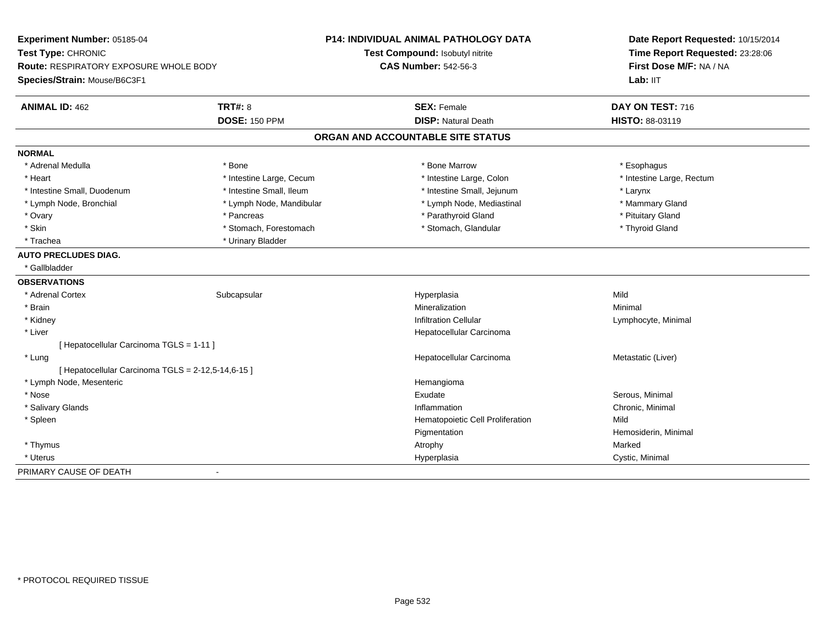| Experiment Number: 05185-04                        |                          | <b>P14: INDIVIDUAL ANIMAL PATHOLOGY DATA</b> | Date Report Requested: 10/15/2014<br>Time Report Requested: 23:28:06 |
|----------------------------------------------------|--------------------------|----------------------------------------------|----------------------------------------------------------------------|
| Test Type: CHRONIC                                 |                          | Test Compound: Isobutyl nitrite              |                                                                      |
| <b>Route: RESPIRATORY EXPOSURE WHOLE BODY</b>      |                          | <b>CAS Number: 542-56-3</b>                  | First Dose M/F: NA / NA                                              |
| Species/Strain: Mouse/B6C3F1                       |                          |                                              | Lab: IIT                                                             |
| <b>ANIMAL ID: 462</b>                              | <b>TRT#: 8</b>           | <b>SEX: Female</b>                           | DAY ON TEST: 716                                                     |
|                                                    | <b>DOSE: 150 PPM</b>     | <b>DISP: Natural Death</b>                   | HISTO: 88-03119                                                      |
|                                                    |                          | ORGAN AND ACCOUNTABLE SITE STATUS            |                                                                      |
| <b>NORMAL</b>                                      |                          |                                              |                                                                      |
| * Adrenal Medulla                                  | * Bone                   | * Bone Marrow                                | * Esophagus                                                          |
| * Heart                                            | * Intestine Large, Cecum | * Intestine Large, Colon                     | * Intestine Large, Rectum                                            |
| * Intestine Small, Duodenum                        | * Intestine Small, Ileum | * Intestine Small, Jejunum                   | * Larynx                                                             |
| * Lymph Node, Bronchial                            | * Lymph Node, Mandibular | * Lymph Node, Mediastinal                    | * Mammary Gland                                                      |
| * Ovary                                            | * Pancreas               | * Parathyroid Gland                          | * Pituitary Gland                                                    |
| * Skin                                             | * Stomach, Forestomach   | * Stomach, Glandular                         | * Thyroid Gland                                                      |
| * Trachea                                          | * Urinary Bladder        |                                              |                                                                      |
| <b>AUTO PRECLUDES DIAG.</b>                        |                          |                                              |                                                                      |
| * Gallbladder                                      |                          |                                              |                                                                      |
| <b>OBSERVATIONS</b>                                |                          |                                              |                                                                      |
| * Adrenal Cortex                                   | Subcapsular              | Hyperplasia                                  | Mild                                                                 |
| * Brain                                            |                          | Mineralization                               | Minimal                                                              |
| * Kidney                                           |                          | <b>Infiltration Cellular</b>                 | Lymphocyte, Minimal                                                  |
| * Liver                                            |                          | Hepatocellular Carcinoma                     |                                                                      |
| [ Hepatocellular Carcinoma TGLS = 1-11 ]           |                          |                                              |                                                                      |
| * Lung                                             |                          | Hepatocellular Carcinoma                     | Metastatic (Liver)                                                   |
| [ Hepatocellular Carcinoma TGLS = 2-12,5-14,6-15 ] |                          |                                              |                                                                      |
| * Lymph Node, Mesenteric                           |                          | Hemangioma                                   |                                                                      |
| * Nose                                             |                          | Exudate                                      | Serous, Minimal                                                      |
| * Salivary Glands                                  |                          | Inflammation                                 | Chronic, Minimal                                                     |
| * Spleen                                           |                          | Hematopoietic Cell Proliferation             | Mild                                                                 |
|                                                    |                          | Pigmentation                                 | Hemosiderin, Minimal                                                 |
| * Thymus                                           |                          | Atrophy                                      | Marked                                                               |
| * Uterus                                           |                          | Hyperplasia                                  | Cystic, Minimal                                                      |
| PRIMARY CAUSE OF DEATH                             | $\blacksquare$           |                                              |                                                                      |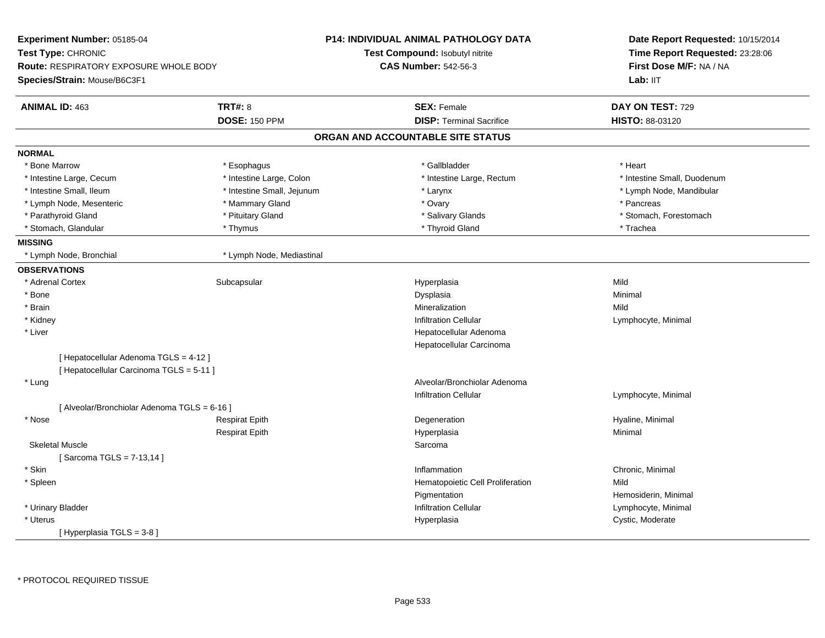| <b>Experiment Number: 05185-04</b>            |                            | <b>P14: INDIVIDUAL ANIMAL PATHOLOGY DATA</b> | Date Report Requested: 10/15/2014<br>Time Report Requested: 23:28:06<br>First Dose M/F: NA / NA |
|-----------------------------------------------|----------------------------|----------------------------------------------|-------------------------------------------------------------------------------------------------|
| <b>Test Type: CHRONIC</b>                     |                            | <b>Test Compound: Isobutyl nitrite</b>       |                                                                                                 |
| <b>Route: RESPIRATORY EXPOSURE WHOLE BODY</b> |                            | <b>CAS Number: 542-56-3</b>                  |                                                                                                 |
| Species/Strain: Mouse/B6C3F1                  |                            |                                              | Lab: IIT                                                                                        |
| <b>ANIMAL ID: 463</b>                         | <b>TRT#: 8</b>             | <b>SEX: Female</b>                           | DAY ON TEST: 729                                                                                |
|                                               | <b>DOSE: 150 PPM</b>       | <b>DISP: Terminal Sacrifice</b>              | <b>HISTO: 88-03120</b>                                                                          |
|                                               |                            | ORGAN AND ACCOUNTABLE SITE STATUS            |                                                                                                 |
| <b>NORMAL</b>                                 |                            |                                              |                                                                                                 |
| * Bone Marrow                                 | * Esophagus                | * Gallbladder                                | * Heart                                                                                         |
| * Intestine Large, Cecum                      | * Intestine Large, Colon   | * Intestine Large, Rectum                    | * Intestine Small, Duodenum                                                                     |
| * Intestine Small, Ileum                      | * Intestine Small, Jejunum | * Larynx                                     | * Lymph Node, Mandibular                                                                        |
| * Lymph Node, Mesenteric                      | * Mammary Gland            | * Ovary                                      | * Pancreas                                                                                      |
| * Parathyroid Gland                           | * Pituitary Gland          | * Salivary Glands                            | * Stomach, Forestomach                                                                          |
| * Stomach, Glandular                          | * Thymus                   | * Thyroid Gland                              | * Trachea                                                                                       |
| <b>MISSING</b>                                |                            |                                              |                                                                                                 |
| * Lymph Node, Bronchial                       | * Lymph Node, Mediastinal  |                                              |                                                                                                 |
| <b>OBSERVATIONS</b>                           |                            |                                              |                                                                                                 |
| * Adrenal Cortex                              | Subcapsular                | Hyperplasia                                  | Mild                                                                                            |
| * Bone                                        |                            | Dysplasia                                    | Minimal                                                                                         |
| * Brain                                       |                            | Mineralization                               | Mild                                                                                            |
| * Kidney                                      |                            | <b>Infiltration Cellular</b>                 | Lymphocyte, Minimal                                                                             |
| * Liver                                       |                            | Hepatocellular Adenoma                       |                                                                                                 |
|                                               |                            | Hepatocellular Carcinoma                     |                                                                                                 |
| [ Hepatocellular Adenoma TGLS = 4-12 ]        |                            |                                              |                                                                                                 |
| [ Hepatocellular Carcinoma TGLS = 5-11 ]      |                            |                                              |                                                                                                 |
| * Lung                                        |                            | Alveolar/Bronchiolar Adenoma                 |                                                                                                 |
|                                               |                            | Infiltration Cellular                        | Lymphocyte, Minimal                                                                             |
| [ Alveolar/Bronchiolar Adenoma TGLS = 6-16 ]  |                            |                                              |                                                                                                 |
| * Nose                                        | <b>Respirat Epith</b>      | Degeneration                                 | Hyaline, Minimal                                                                                |
|                                               | <b>Respirat Epith</b>      | Hyperplasia                                  | Minimal                                                                                         |
| <b>Skeletal Muscle</b>                        |                            | Sarcoma                                      |                                                                                                 |
| [Sarcoma TGLS = 7-13,14]                      |                            |                                              |                                                                                                 |
| * Skin                                        |                            | Inflammation                                 | Chronic, Minimal                                                                                |
| * Spleen                                      |                            | Hematopoietic Cell Proliferation             | Mild                                                                                            |
|                                               |                            | Pigmentation                                 | Hemosiderin, Minimal                                                                            |
| * Urinary Bladder                             |                            | <b>Infiltration Cellular</b>                 | Lymphocyte, Minimal                                                                             |
| * Uterus                                      |                            | Hyperplasia                                  | Cystic, Moderate                                                                                |
| [Hyperplasia TGLS = 3-8]                      |                            |                                              |                                                                                                 |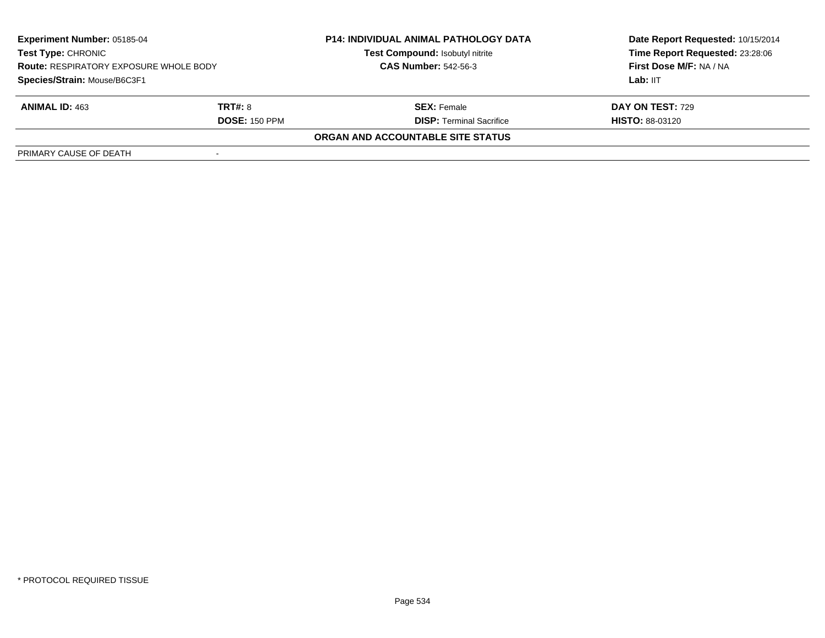| <b>Experiment Number: 05185-04</b><br><b>Test Type: CHRONIC</b><br><b>Route: RESPIRATORY EXPOSURE WHOLE BODY</b><br>Species/Strain: Mouse/B6C3F1 |                      | <b>P14: INDIVIDUAL ANIMAL PATHOLOGY DATA</b><br>Test Compound: Isobutyl nitrite | Date Report Requested: 10/15/2014<br>Time Report Requested: 23:28:06<br>First Dose M/F: NA / NA |
|--------------------------------------------------------------------------------------------------------------------------------------------------|----------------------|---------------------------------------------------------------------------------|-------------------------------------------------------------------------------------------------|
|                                                                                                                                                  |                      | <b>CAS Number: 542-56-3</b>                                                     |                                                                                                 |
|                                                                                                                                                  |                      |                                                                                 | Lab: IIT                                                                                        |
| <b>ANIMAL ID: 463</b>                                                                                                                            | <b>TRT#: 8</b>       | <b>SEX:</b> Female                                                              | DAY ON TEST: 729                                                                                |
|                                                                                                                                                  | <b>DOSE: 150 PPM</b> | <b>DISP: Terminal Sacrifice</b>                                                 | <b>HISTO: 88-03120</b>                                                                          |
|                                                                                                                                                  |                      | <b>ORGAN AND ACCOUNTABLE SITE STATUS</b>                                        |                                                                                                 |
| PRIMARY CAUSE OF DEATH                                                                                                                           |                      |                                                                                 |                                                                                                 |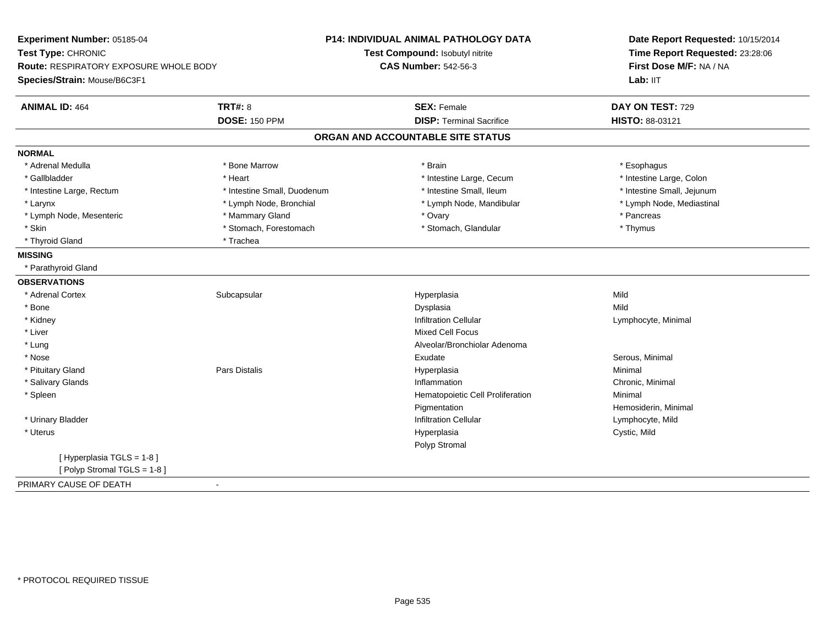| Experiment Number: 05185-04            |                             | P14: INDIVIDUAL ANIMAL PATHOLOGY DATA | Date Report Requested: 10/15/2014<br>Time Report Requested: 23:28:06<br>First Dose M/F: NA / NA<br>Lab: IIT |
|----------------------------------------|-----------------------------|---------------------------------------|-------------------------------------------------------------------------------------------------------------|
| Test Type: CHRONIC                     |                             | Test Compound: Isobutyl nitrite       |                                                                                                             |
| Route: RESPIRATORY EXPOSURE WHOLE BODY |                             | <b>CAS Number: 542-56-3</b>           |                                                                                                             |
| Species/Strain: Mouse/B6C3F1           |                             |                                       |                                                                                                             |
| <b>ANIMAL ID: 464</b>                  | <b>TRT#: 8</b>              | <b>SEX: Female</b>                    | DAY ON TEST: 729                                                                                            |
|                                        | <b>DOSE: 150 PPM</b>        | <b>DISP: Terminal Sacrifice</b>       | HISTO: 88-03121                                                                                             |
|                                        |                             | ORGAN AND ACCOUNTABLE SITE STATUS     |                                                                                                             |
| <b>NORMAL</b>                          |                             |                                       |                                                                                                             |
| * Adrenal Medulla                      | * Bone Marrow               | * Brain                               | * Esophagus                                                                                                 |
| * Gallbladder                          | * Heart                     | * Intestine Large, Cecum              | * Intestine Large, Colon                                                                                    |
| * Intestine Large, Rectum              | * Intestine Small, Duodenum | * Intestine Small, Ileum              | * Intestine Small, Jejunum                                                                                  |
| * Larynx                               | * Lymph Node, Bronchial     | * Lymph Node, Mandibular              | * Lymph Node, Mediastinal                                                                                   |
| * Lymph Node, Mesenteric               | * Mammary Gland             | * Ovary                               | * Pancreas                                                                                                  |
| * Skin                                 | * Stomach, Forestomach      | * Stomach, Glandular                  | * Thymus                                                                                                    |
| * Thyroid Gland                        | * Trachea                   |                                       |                                                                                                             |
| <b>MISSING</b>                         |                             |                                       |                                                                                                             |
| * Parathyroid Gland                    |                             |                                       |                                                                                                             |
| <b>OBSERVATIONS</b>                    |                             |                                       |                                                                                                             |
| * Adrenal Cortex                       | Subcapsular                 | Hyperplasia                           | Mild                                                                                                        |
| * Bone                                 |                             | Dysplasia                             | Mild                                                                                                        |
| * Kidney                               |                             | <b>Infiltration Cellular</b>          | Lymphocyte, Minimal                                                                                         |
| * Liver                                |                             | <b>Mixed Cell Focus</b>               |                                                                                                             |
| * Lung                                 |                             | Alveolar/Bronchiolar Adenoma          |                                                                                                             |
| * Nose                                 |                             | Exudate                               | Serous, Minimal                                                                                             |
| * Pituitary Gland                      | <b>Pars Distalis</b>        | Hyperplasia                           | Minimal                                                                                                     |
| * Salivary Glands                      |                             | Inflammation                          | Chronic, Minimal                                                                                            |
| * Spleen                               |                             | Hematopoietic Cell Proliferation      | Minimal                                                                                                     |
|                                        |                             | Pigmentation                          | Hemosiderin, Minimal                                                                                        |
| * Urinary Bladder                      |                             | <b>Infiltration Cellular</b>          | Lymphocyte, Mild                                                                                            |
| * Uterus                               |                             | Hyperplasia                           | Cystic, Mild                                                                                                |
|                                        |                             | Polyp Stromal                         |                                                                                                             |
| [ Hyperplasia TGLS = 1-8 ]             |                             |                                       |                                                                                                             |
| [Polyp Stromal TGLS = 1-8]             |                             |                                       |                                                                                                             |
| PRIMARY CAUSE OF DEATH                 | $\sim$                      |                                       |                                                                                                             |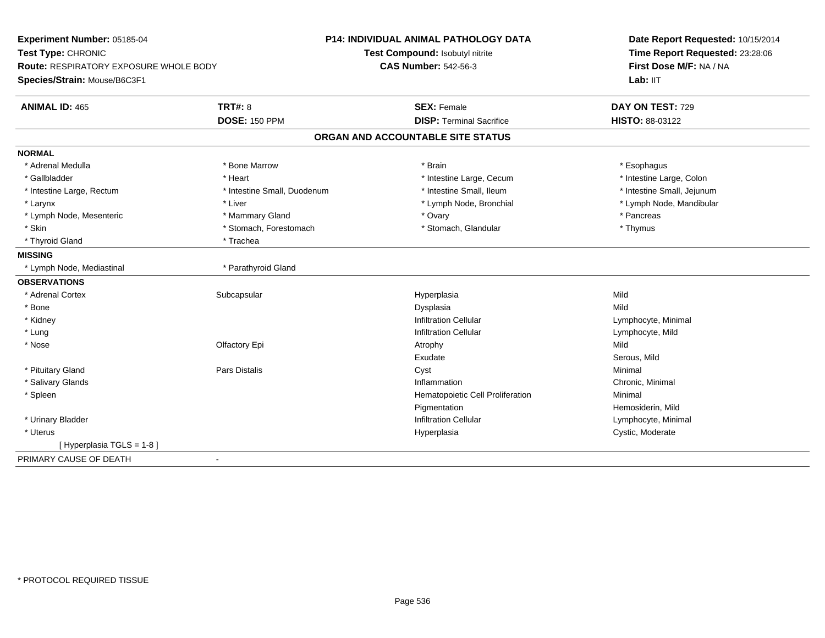| Experiment Number: 05185-04                                                   |                             | <b>P14: INDIVIDUAL ANIMAL PATHOLOGY DATA</b> | Date Report Requested: 10/15/2014 |
|-------------------------------------------------------------------------------|-----------------------------|----------------------------------------------|-----------------------------------|
| Test Type: CHRONIC                                                            |                             | Test Compound: Isobutyl nitrite              | Time Report Requested: 23:28:06   |
| <b>Route: RESPIRATORY EXPOSURE WHOLE BODY</b><br>Species/Strain: Mouse/B6C3F1 |                             | <b>CAS Number: 542-56-3</b>                  | First Dose M/F: NA / NA           |
|                                                                               |                             |                                              | Lab: IIT                          |
| <b>ANIMAL ID: 465</b>                                                         | <b>TRT#: 8</b>              | <b>SEX: Female</b>                           | DAY ON TEST: 729                  |
|                                                                               | <b>DOSE: 150 PPM</b>        | <b>DISP: Terminal Sacrifice</b>              | HISTO: 88-03122                   |
|                                                                               |                             | ORGAN AND ACCOUNTABLE SITE STATUS            |                                   |
| <b>NORMAL</b>                                                                 |                             |                                              |                                   |
| * Adrenal Medulla                                                             | * Bone Marrow               | * Brain                                      | * Esophagus                       |
| * Gallbladder                                                                 | * Heart                     | * Intestine Large, Cecum                     | * Intestine Large, Colon          |
| * Intestine Large, Rectum                                                     | * Intestine Small, Duodenum | * Intestine Small, Ileum                     | * Intestine Small, Jejunum        |
| * Larynx                                                                      | * Liver                     | * Lymph Node, Bronchial                      | * Lymph Node, Mandibular          |
| * Lymph Node, Mesenteric                                                      | * Mammary Gland             | * Ovary                                      | * Pancreas                        |
| * Skin                                                                        | * Stomach, Forestomach      | * Stomach, Glandular                         | * Thymus                          |
| * Thyroid Gland                                                               | * Trachea                   |                                              |                                   |
| <b>MISSING</b>                                                                |                             |                                              |                                   |
| * Lymph Node, Mediastinal                                                     | * Parathyroid Gland         |                                              |                                   |
| <b>OBSERVATIONS</b>                                                           |                             |                                              |                                   |
| * Adrenal Cortex                                                              | Subcapsular                 | Hyperplasia                                  | Mild                              |
| * Bone                                                                        |                             | Dysplasia                                    | Mild                              |
| * Kidney                                                                      |                             | <b>Infiltration Cellular</b>                 | Lymphocyte, Minimal               |
| * Lung                                                                        |                             | <b>Infiltration Cellular</b>                 | Lymphocyte, Mild                  |
| * Nose                                                                        | Olfactory Epi               | Atrophy                                      | Mild                              |
|                                                                               |                             | Exudate                                      | Serous, Mild                      |
| * Pituitary Gland                                                             | <b>Pars Distalis</b>        | Cyst                                         | Minimal                           |
| * Salivary Glands                                                             |                             | Inflammation                                 | Chronic, Minimal                  |
| * Spleen                                                                      |                             | Hematopoietic Cell Proliferation             | Minimal                           |
|                                                                               |                             | Pigmentation                                 | Hemosiderin, Mild                 |
| * Urinary Bladder                                                             |                             | <b>Infiltration Cellular</b>                 | Lymphocyte, Minimal               |
| * Uterus                                                                      |                             | Hyperplasia                                  | Cystic, Moderate                  |
| [Hyperplasia TGLS = 1-8]                                                      |                             |                                              |                                   |
| PRIMARY CAUSE OF DEATH                                                        | $\blacksquare$              |                                              |                                   |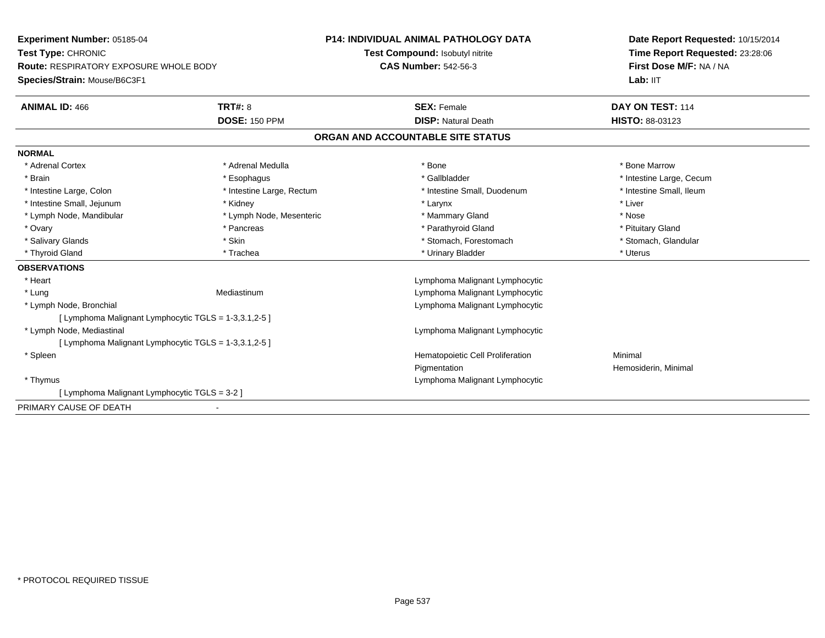**Experiment Number:** 05185-04**Test Type:** CHRONIC **Route:** RESPIRATORY EXPOSURE WHOLE BODY**Species/Strain:** Mouse/B6C3F1**P14: INDIVIDUAL ANIMAL PATHOLOGY DATATest Compound:** Isobutyl nitrite**CAS Number:** 542-56-3**Date Report Requested:** 10/15/2014**Time Report Requested:** 23:28:06**First Dose M/F:** NA / NALab: IIT **ANIMAL ID:** 466**6 DAY ON TEST:** 114 **DOSE:** 150 PPM **DISP:** Natural Death **HISTO:** 88-03123 **ORGAN AND ACCOUNTABLE SITE STATUSNORMAL**\* Adrenal Cortex \* Adrenal Medulla \* Adrenal Medulla \* Bone \* Bone \* Bone \* Bone \* Bone Marrow \* Brain \* Esophagus \* Esophagus \* Esophagus \* \* Gallbladder \* \* \* Gallbladder \* \* Intestine Large, Cecum \* \* Intestine Large, Cecum \* Intestine Small. Ileum \* Intestine Large, Colon \* Intestine Large, Rectum \* Intestine Small, Duodenum \* 1 \* Intestine Small, Jejunum \* \* Widney \* Kidney \* Larynx \* Larynx \* Larynx \* Larynx \* Liver \* Liver \* Lymph Node, Mandibular \* Lymph Node, Mesenteric \* Mammary Gland \* Nose\* Pituitary Gland \* Ovary \* Pancreas \* Pancreas \* Pancreas \* Parathyroid Gland \* Parathyroid Gland \* Stomach, Glandular \* Salivary Glands \* Stomach, Forestomach \* Skin \* Skin \* Stomach, Forestomach \* Stomach, Forestomach \* Thyroid Gland \* \* Trachea \* \* Trachea \* Trachea \* \* Urinary Bladder \* \* Urinary Bladder \* \* Uterus \* Uterus **OBSERVATIONS** \* Heart Lymphoma Malignant Lymphocytic Lymphoma Malignant Lymphocytic \* Lung Mediastinum \* Lymph Node, Bronchial Lymphoma Malignant Lymphocytic[ Lymphoma Malignant Lymphocytic TGLS = 1-3,3.1,2-5 ] \* Lymph Node, Mediastinal Lymphoma Malignant Lymphocytic[ Lymphoma Malignant Lymphocytic TGLS = 1-3,3.1,2-5 ] \* SpleenHematopoietic Cell Proliferation Minimal Pigmentation Hemosiderin, Minimal \* Thymus Lymphoma Malignant Lymphocytic [ Lymphoma Malignant Lymphocytic TGLS = 3-2 ]PRIMARY CAUSE OF DEATH-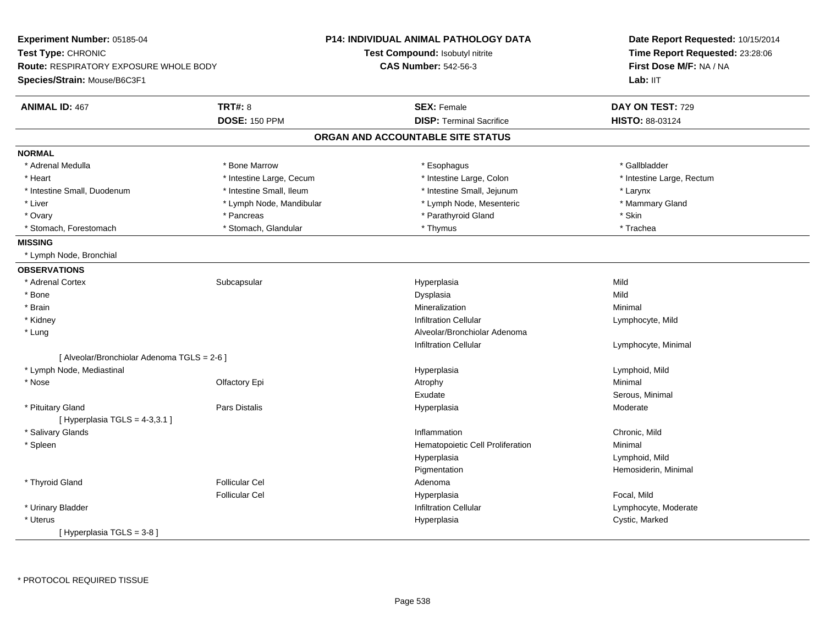| Experiment Number: 05185-04                 |                          | <b>P14: INDIVIDUAL ANIMAL PATHOLOGY DATA</b> | Date Report Requested: 10/15/2014<br>Time Report Requested: 23:28:06<br>First Dose M/F: NA / NA |  |
|---------------------------------------------|--------------------------|----------------------------------------------|-------------------------------------------------------------------------------------------------|--|
| Test Type: CHRONIC                          |                          | Test Compound: Isobutyl nitrite              |                                                                                                 |  |
| Route: RESPIRATORY EXPOSURE WHOLE BODY      |                          | <b>CAS Number: 542-56-3</b>                  |                                                                                                 |  |
| Species/Strain: Mouse/B6C3F1                |                          |                                              | Lab: IIT                                                                                        |  |
| <b>ANIMAL ID: 467</b>                       | <b>TRT#: 8</b>           | <b>SEX: Female</b>                           | DAY ON TEST: 729                                                                                |  |
|                                             | <b>DOSE: 150 PPM</b>     | <b>DISP: Terminal Sacrifice</b>              | HISTO: 88-03124                                                                                 |  |
|                                             |                          | ORGAN AND ACCOUNTABLE SITE STATUS            |                                                                                                 |  |
| <b>NORMAL</b>                               |                          |                                              |                                                                                                 |  |
| * Adrenal Medulla                           | * Bone Marrow            | * Esophagus                                  | * Gallbladder                                                                                   |  |
| * Heart                                     | * Intestine Large, Cecum | * Intestine Large, Colon                     | * Intestine Large, Rectum                                                                       |  |
| * Intestine Small, Duodenum                 | * Intestine Small, Ileum | * Intestine Small, Jejunum                   | * Larynx                                                                                        |  |
| * Liver                                     | * Lymph Node, Mandibular | * Lymph Node, Mesenteric                     | * Mammary Gland                                                                                 |  |
| * Ovary                                     | * Pancreas               | * Parathyroid Gland                          | * Skin                                                                                          |  |
| * Stomach, Forestomach                      | * Stomach, Glandular     | * Thymus                                     | * Trachea                                                                                       |  |
| <b>MISSING</b>                              |                          |                                              |                                                                                                 |  |
| * Lymph Node, Bronchial                     |                          |                                              |                                                                                                 |  |
| <b>OBSERVATIONS</b>                         |                          |                                              |                                                                                                 |  |
| * Adrenal Cortex                            | Subcapsular              | Hyperplasia                                  | Mild                                                                                            |  |
| * Bone                                      |                          | Dysplasia                                    | Mild                                                                                            |  |
| * Brain                                     |                          | Mineralization                               | Minimal                                                                                         |  |
| * Kidney                                    |                          | <b>Infiltration Cellular</b>                 | Lymphocyte, Mild                                                                                |  |
| * Lung                                      |                          | Alveolar/Bronchiolar Adenoma                 |                                                                                                 |  |
|                                             |                          | <b>Infiltration Cellular</b>                 | Lymphocyte, Minimal                                                                             |  |
| [ Alveolar/Bronchiolar Adenoma TGLS = 2-6 ] |                          |                                              |                                                                                                 |  |
| * Lymph Node, Mediastinal                   |                          | Hyperplasia                                  | Lymphoid, Mild                                                                                  |  |
| * Nose                                      | Olfactory Epi            | Atrophy                                      | Minimal                                                                                         |  |
|                                             |                          | Exudate                                      | Serous, Minimal                                                                                 |  |
| * Pituitary Gland                           | <b>Pars Distalis</b>     | Hyperplasia                                  | Moderate                                                                                        |  |
| [Hyperplasia TGLS = 4-3,3.1]                |                          |                                              |                                                                                                 |  |
| * Salivary Glands                           |                          | Inflammation                                 | Chronic, Mild                                                                                   |  |
| * Spleen                                    |                          | Hematopoietic Cell Proliferation             | Minimal                                                                                         |  |
|                                             |                          | Hyperplasia                                  | Lymphoid, Mild                                                                                  |  |
|                                             |                          | Pigmentation                                 | Hemosiderin, Minimal                                                                            |  |
| * Thyroid Gland                             | <b>Follicular Cel</b>    | Adenoma                                      |                                                                                                 |  |
|                                             | <b>Follicular Cel</b>    | Hyperplasia                                  | Focal, Mild                                                                                     |  |
| * Urinary Bladder                           |                          | <b>Infiltration Cellular</b>                 | Lymphocyte, Moderate                                                                            |  |
| * Uterus                                    |                          | Hyperplasia                                  | Cystic, Marked                                                                                  |  |
| [Hyperplasia TGLS = 3-8]                    |                          |                                              |                                                                                                 |  |
|                                             |                          |                                              |                                                                                                 |  |

\* PROTOCOL REQUIRED TISSUE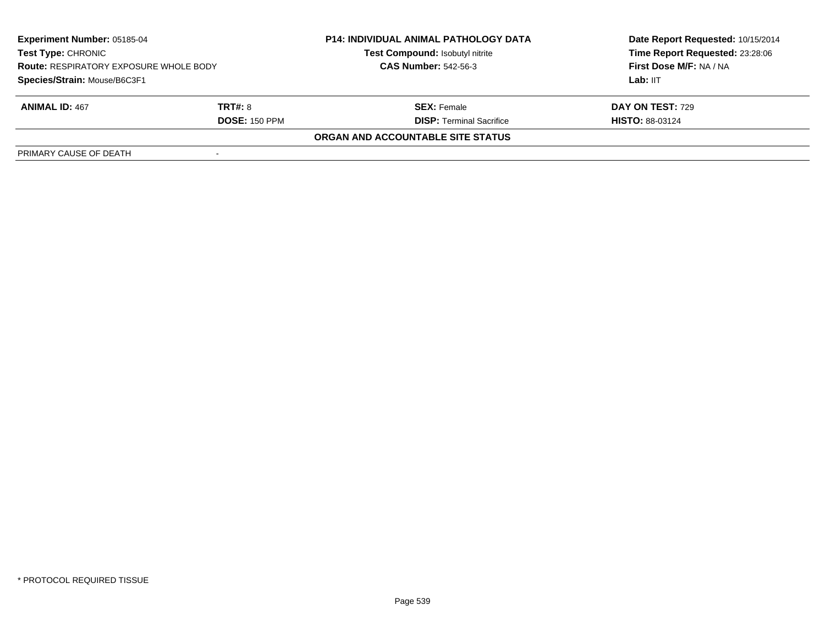| <b>Experiment Number: 05185-04</b><br><b>Test Type: CHRONIC</b><br><b>Route: RESPIRATORY EXPOSURE WHOLE BODY</b><br>Species/Strain: Mouse/B6C3F1 |                      | <b>P14: INDIVIDUAL ANIMAL PATHOLOGY DATA</b><br>Test Compound: Isobutyl nitrite | Date Report Requested: 10/15/2014<br>Time Report Requested: 23:28:06<br>First Dose M/F: NA / NA |
|--------------------------------------------------------------------------------------------------------------------------------------------------|----------------------|---------------------------------------------------------------------------------|-------------------------------------------------------------------------------------------------|
|                                                                                                                                                  |                      | <b>CAS Number: 542-56-3</b>                                                     |                                                                                                 |
|                                                                                                                                                  |                      |                                                                                 | Lab: IIT                                                                                        |
| <b>ANIMAL ID: 467</b>                                                                                                                            | <b>TRT#: 8</b>       | <b>SEX:</b> Female                                                              | DAY ON TEST: 729                                                                                |
|                                                                                                                                                  | <b>DOSE: 150 PPM</b> | <b>DISP: Terminal Sacrifice</b>                                                 | <b>HISTO: 88-03124</b>                                                                          |
|                                                                                                                                                  |                      | <b>ORGAN AND ACCOUNTABLE SITE STATUS</b>                                        |                                                                                                 |
| PRIMARY CAUSE OF DEATH                                                                                                                           |                      |                                                                                 |                                                                                                 |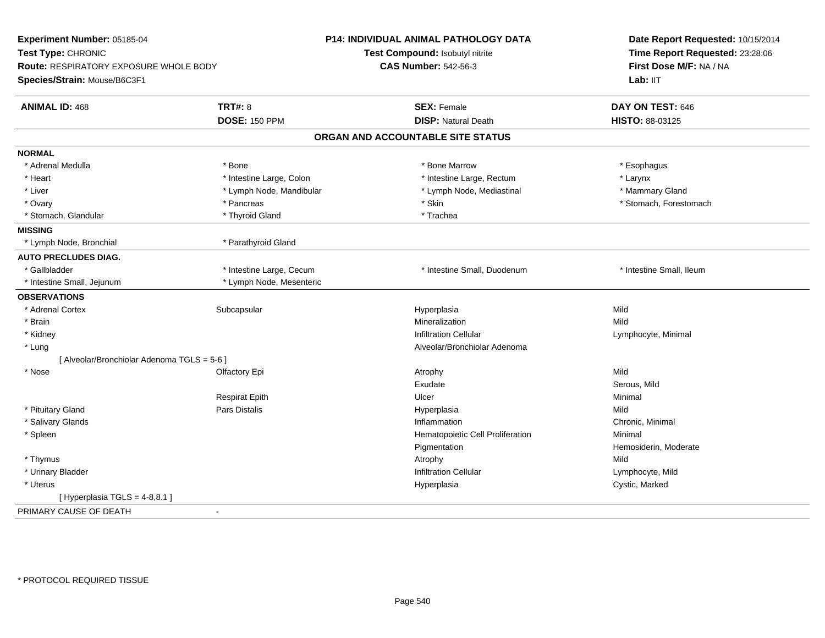| Experiment Number: 05185-04                            | P14: INDIVIDUAL ANIMAL PATHOLOGY DATA | Date Report Requested: 10/15/2014<br>Time Report Requested: 23:28:06<br>First Dose M/F: NA / NA<br>Lab: IIT |
|--------------------------------------------------------|---------------------------------------|-------------------------------------------------------------------------------------------------------------|
| Test Type: CHRONIC                                     | Test Compound: Isobutyl nitrite       |                                                                                                             |
| Route: RESPIRATORY EXPOSURE WHOLE BODY                 | <b>CAS Number: 542-56-3</b>           |                                                                                                             |
| Species/Strain: Mouse/B6C3F1                           |                                       |                                                                                                             |
| <b>TRT#: 8</b><br><b>ANIMAL ID: 468</b>                | <b>SEX: Female</b>                    | DAY ON TEST: 646                                                                                            |
| <b>DOSE: 150 PPM</b>                                   | <b>DISP: Natural Death</b>            | HISTO: 88-03125                                                                                             |
|                                                        | ORGAN AND ACCOUNTABLE SITE STATUS     |                                                                                                             |
| <b>NORMAL</b>                                          |                                       |                                                                                                             |
| * Adrenal Medulla<br>* Bone                            | * Bone Marrow                         | * Esophagus                                                                                                 |
| * Heart<br>* Intestine Large, Colon                    | * Intestine Large, Rectum             | * Larynx                                                                                                    |
| * Lymph Node, Mandibular<br>* Liver                    | * Lymph Node, Mediastinal             | * Mammary Gland                                                                                             |
| * Ovary<br>* Pancreas                                  | * Skin                                | * Stomach, Forestomach                                                                                      |
| * Stomach, Glandular<br>* Thyroid Gland                | * Trachea                             |                                                                                                             |
| <b>MISSING</b>                                         |                                       |                                                                                                             |
| * Lymph Node, Bronchial<br>* Parathyroid Gland         |                                       |                                                                                                             |
| <b>AUTO PRECLUDES DIAG.</b>                            |                                       |                                                                                                             |
| * Gallbladder<br>* Intestine Large, Cecum              | * Intestine Small, Duodenum           | * Intestine Small, Ileum                                                                                    |
| * Intestine Small, Jejunum<br>* Lymph Node, Mesenteric |                                       |                                                                                                             |
| <b>OBSERVATIONS</b>                                    |                                       |                                                                                                             |
| * Adrenal Cortex<br>Subcapsular                        | Hyperplasia                           | Mild                                                                                                        |
| * Brain                                                | Mineralization                        | Mild                                                                                                        |
| * Kidney                                               | <b>Infiltration Cellular</b>          | Lymphocyte, Minimal                                                                                         |
| $*$ Lung                                               | Alveolar/Bronchiolar Adenoma          |                                                                                                             |
| [ Alveolar/Bronchiolar Adenoma TGLS = 5-6 ]            |                                       |                                                                                                             |
| * Nose<br>Olfactory Epi                                | Atrophy                               | Mild                                                                                                        |
|                                                        | Exudate                               | Serous, Mild                                                                                                |
| <b>Respirat Epith</b>                                  | Ulcer                                 | Minimal                                                                                                     |
| Pars Distalis<br>* Pituitary Gland                     | Hyperplasia                           | Mild                                                                                                        |
| * Salivary Glands                                      | Inflammation                          | Chronic, Minimal                                                                                            |
| * Spleen                                               | Hematopoietic Cell Proliferation      | Minimal                                                                                                     |
|                                                        | Pigmentation                          | Hemosiderin, Moderate                                                                                       |
| * Thymus                                               | Atrophy                               | Mild                                                                                                        |
| * Urinary Bladder                                      | <b>Infiltration Cellular</b>          | Lymphocyte, Mild                                                                                            |
| * Uterus                                               | Hyperplasia                           | Cystic, Marked                                                                                              |
| [Hyperplasia TGLS = $4-8,8.1$ ]                        |                                       |                                                                                                             |
| PRIMARY CAUSE OF DEATH<br>$\blacksquare$               |                                       |                                                                                                             |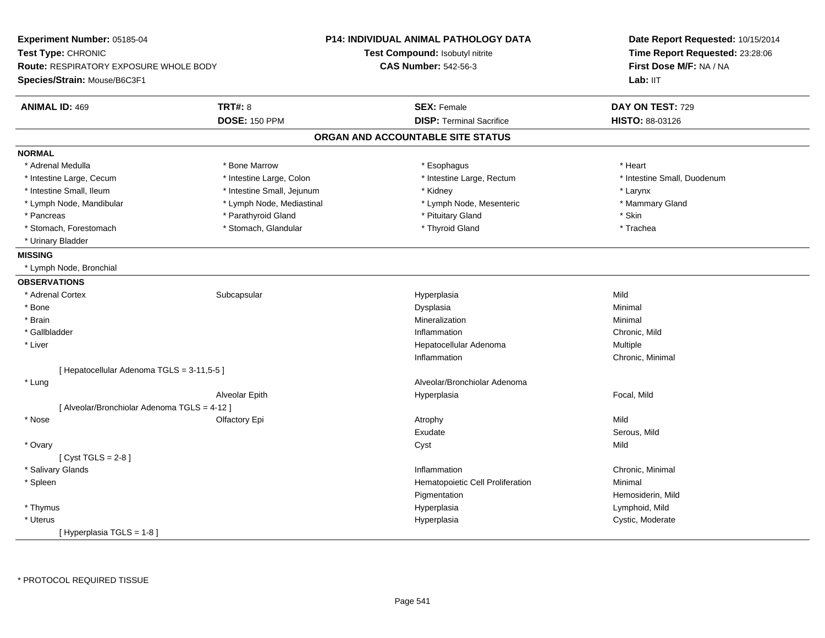| Experiment Number: 05185-04                   |                            | <b>P14: INDIVIDUAL ANIMAL PATHOLOGY DATA</b> | Date Report Requested: 10/15/2014<br>Time Report Requested: 23:28:06<br>First Dose M/F: NA / NA |  |
|-----------------------------------------------|----------------------------|----------------------------------------------|-------------------------------------------------------------------------------------------------|--|
| Test Type: CHRONIC                            |                            | Test Compound: Isobutyl nitrite              |                                                                                                 |  |
| <b>Route: RESPIRATORY EXPOSURE WHOLE BODY</b> |                            | <b>CAS Number: 542-56-3</b>                  |                                                                                                 |  |
| Species/Strain: Mouse/B6C3F1                  |                            |                                              | Lab: IIT                                                                                        |  |
| <b>ANIMAL ID: 469</b>                         | <b>TRT#: 8</b>             | <b>SEX: Female</b>                           | DAY ON TEST: 729                                                                                |  |
|                                               | <b>DOSE: 150 PPM</b>       | <b>DISP: Terminal Sacrifice</b>              | HISTO: 88-03126                                                                                 |  |
|                                               |                            | ORGAN AND ACCOUNTABLE SITE STATUS            |                                                                                                 |  |
| <b>NORMAL</b>                                 |                            |                                              |                                                                                                 |  |
| * Adrenal Medulla                             | * Bone Marrow              | * Esophagus                                  | * Heart                                                                                         |  |
| * Intestine Large, Cecum                      | * Intestine Large, Colon   | * Intestine Large, Rectum                    | * Intestine Small, Duodenum                                                                     |  |
| * Intestine Small, Ileum                      | * Intestine Small, Jejunum | * Kidney                                     | * Larynx                                                                                        |  |
| * Lymph Node, Mandibular                      | * Lymph Node, Mediastinal  | * Lymph Node, Mesenteric                     | * Mammary Gland                                                                                 |  |
| * Pancreas                                    | * Parathyroid Gland        | * Pituitary Gland                            | * Skin                                                                                          |  |
| * Stomach, Forestomach                        | * Stomach, Glandular       | * Thyroid Gland                              | * Trachea                                                                                       |  |
| * Urinary Bladder                             |                            |                                              |                                                                                                 |  |
| <b>MISSING</b>                                |                            |                                              |                                                                                                 |  |
| * Lymph Node, Bronchial                       |                            |                                              |                                                                                                 |  |
| <b>OBSERVATIONS</b>                           |                            |                                              |                                                                                                 |  |
| * Adrenal Cortex                              | Subcapsular                | Hyperplasia                                  | Mild                                                                                            |  |
| * Bone                                        |                            | Dysplasia                                    | Minimal                                                                                         |  |
| * Brain                                       |                            | Mineralization                               | Minimal                                                                                         |  |
| * Gallbladder                                 |                            | Inflammation                                 | Chronic, Mild                                                                                   |  |
| * Liver                                       |                            | Hepatocellular Adenoma                       | Multiple                                                                                        |  |
|                                               |                            | Inflammation                                 | Chronic, Minimal                                                                                |  |
| [ Hepatocellular Adenoma TGLS = 3-11,5-5 ]    |                            |                                              |                                                                                                 |  |
| * Lung                                        |                            | Alveolar/Bronchiolar Adenoma                 |                                                                                                 |  |
|                                               | Alveolar Epith             | Hyperplasia                                  | Focal, Mild                                                                                     |  |
| [ Alveolar/Bronchiolar Adenoma TGLS = 4-12 ]  |                            |                                              |                                                                                                 |  |
| * Nose                                        | Olfactory Epi              | Atrophy                                      | Mild                                                                                            |  |
|                                               |                            | Exudate                                      | Serous, Mild                                                                                    |  |
| * Ovary                                       |                            | Cyst                                         | Mild                                                                                            |  |
| [Cyst TGLS = $2-8$ ]                          |                            |                                              |                                                                                                 |  |
| * Salivary Glands                             |                            | Inflammation                                 | Chronic, Minimal                                                                                |  |
| * Spleen                                      |                            | Hematopoietic Cell Proliferation             | Minimal                                                                                         |  |
|                                               |                            | Pigmentation                                 | Hemosiderin, Mild                                                                               |  |
| * Thymus                                      |                            | Hyperplasia                                  | Lymphoid, Mild                                                                                  |  |
| * Uterus                                      |                            | Hyperplasia                                  | Cystic, Moderate                                                                                |  |
| [Hyperplasia TGLS = 1-8]                      |                            |                                              |                                                                                                 |  |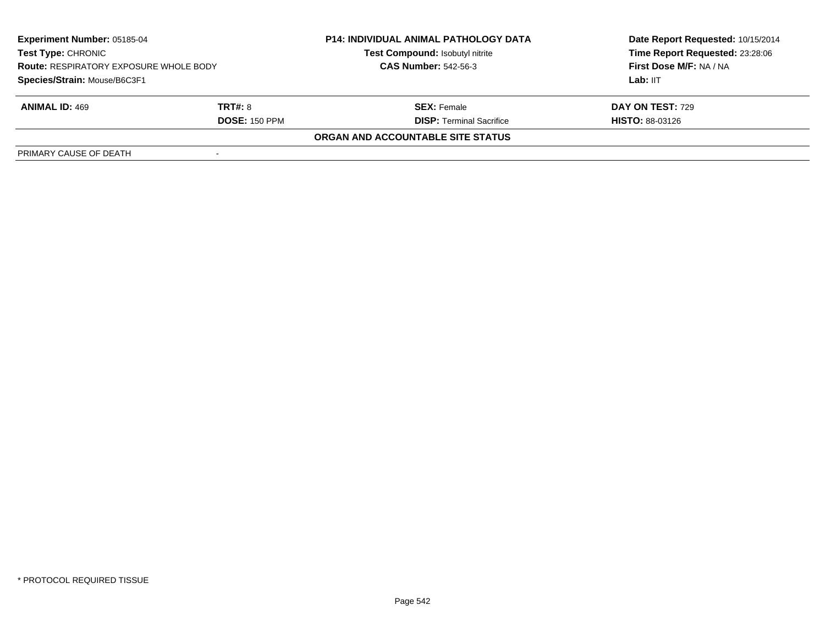| <b>Experiment Number: 05185-04</b><br>Test Type: CHRONIC<br><b>Route: RESPIRATORY EXPOSURE WHOLE BODY</b><br>Species/Strain: Mouse/B6C3F1 |                      | <b>P14: INDIVIDUAL ANIMAL PATHOLOGY DATA</b> | Date Report Requested: 10/15/2014                          |  |
|-------------------------------------------------------------------------------------------------------------------------------------------|----------------------|----------------------------------------------|------------------------------------------------------------|--|
|                                                                                                                                           |                      | Test Compound: Isobutyl nitrite              | Time Report Requested: 23:28:06<br>First Dose M/F: NA / NA |  |
|                                                                                                                                           |                      | <b>CAS Number: 542-56-3</b>                  |                                                            |  |
|                                                                                                                                           |                      |                                              | Lab: IIT                                                   |  |
| <b>ANIMAL ID: 469</b>                                                                                                                     | <b>TRT#: 8</b>       | <b>SEX: Female</b>                           | DAY ON TEST: 729                                           |  |
|                                                                                                                                           | <b>DOSE: 150 PPM</b> | <b>DISP: Terminal Sacrifice</b>              | <b>HISTO: 88-03126</b>                                     |  |
|                                                                                                                                           |                      | ORGAN AND ACCOUNTABLE SITE STATUS            |                                                            |  |
| PRIMARY CAUSE OF DEATH                                                                                                                    |                      |                                              |                                                            |  |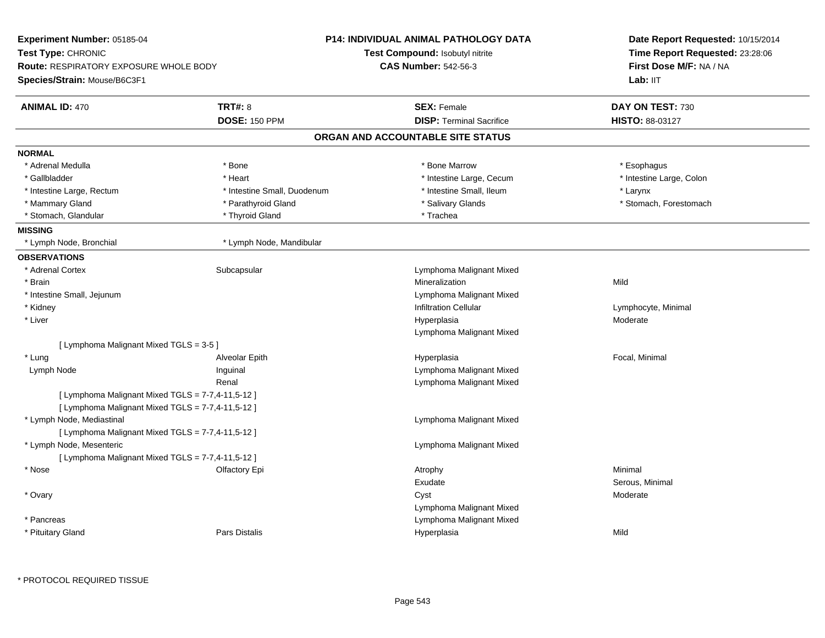| Time Report Requested: 23:28:06<br><b>Test Compound: Isobutyl nitrite</b><br><b>CAS Number: 542-56-3</b><br><b>Route: RESPIRATORY EXPOSURE WHOLE BODY</b><br>First Dose M/F: NA / NA<br>Lab: IIT<br><b>TRT#: 8</b><br><b>ANIMAL ID: 470</b><br><b>SEX: Female</b><br>DAY ON TEST: 730<br><b>DISP: Terminal Sacrifice</b><br><b>DOSE: 150 PPM</b><br>HISTO: 88-03127<br>ORGAN AND ACCOUNTABLE SITE STATUS<br>* Adrenal Medulla<br>* Bone Marrow<br>* Bone<br>* Esophagus<br>* Gallbladder<br>* Intestine Large, Cecum<br>* Intestine Large, Colon<br>* Heart<br>* Intestine Small, Ileum<br>* Intestine Large, Rectum<br>* Intestine Small, Duodenum<br>* Larynx<br>* Salivary Glands<br>* Mammary Gland<br>* Parathyroid Gland<br>* Stomach, Forestomach<br>* Stomach, Glandular<br>* Thyroid Gland<br>* Trachea<br>* Lymph Node, Mandibular<br>* Lymph Node, Bronchial<br>* Adrenal Cortex<br>Subcapsular<br>Lymphoma Malignant Mixed<br>* Brain<br>Mineralization<br>Mild<br>* Intestine Small, Jejunum<br>Lymphoma Malignant Mixed<br>* Kidney<br>Infiltration Cellular<br>Lymphocyte, Minimal<br>* Liver<br>Hyperplasia<br>Moderate<br>Lymphoma Malignant Mixed<br>[ Lymphoma Malignant Mixed TGLS = 3-5 ]<br>* Lung<br>Alveolar Epith<br>Hyperplasia<br>Focal, Minimal<br>Lymph Node<br>Inguinal<br>Lymphoma Malignant Mixed<br>Renal<br>Lymphoma Malignant Mixed<br>[ Lymphoma Malignant Mixed TGLS = 7-7,4-11,5-12 ]<br>[ Lymphoma Malignant Mixed TGLS = 7-7,4-11,5-12 ]<br>* Lymph Node, Mediastinal<br>Lymphoma Malignant Mixed<br>[ Lymphoma Malignant Mixed TGLS = 7-7,4-11,5-12 ]<br>* Lymph Node, Mesenteric<br>Lymphoma Malignant Mixed<br>[ Lymphoma Malignant Mixed TGLS = 7-7,4-11,5-12 ]<br>* Nose<br>Minimal<br>Olfactory Epi<br>Atrophy<br>Exudate<br>Serous, Minimal<br>* Ovary<br>Cyst<br>Moderate<br>Lymphoma Malignant Mixed<br>Lymphoma Malignant Mixed<br>* Pancreas<br>* Pituitary Gland<br>Pars Distalis<br>Mild<br>Hyperplasia | Experiment Number: 05185-04  | <b>P14: INDIVIDUAL ANIMAL PATHOLOGY DATA</b> | Date Report Requested: 10/15/2014 |
|--------------------------------------------------------------------------------------------------------------------------------------------------------------------------------------------------------------------------------------------------------------------------------------------------------------------------------------------------------------------------------------------------------------------------------------------------------------------------------------------------------------------------------------------------------------------------------------------------------------------------------------------------------------------------------------------------------------------------------------------------------------------------------------------------------------------------------------------------------------------------------------------------------------------------------------------------------------------------------------------------------------------------------------------------------------------------------------------------------------------------------------------------------------------------------------------------------------------------------------------------------------------------------------------------------------------------------------------------------------------------------------------------------------------------------------------------------------------------------------------------------------------------------------------------------------------------------------------------------------------------------------------------------------------------------------------------------------------------------------------------------------------------------------------------------------------------------------------------------------------------------------------------------------------------------------------------------------|------------------------------|----------------------------------------------|-----------------------------------|
|                                                                                                                                                                                                                                                                                                                                                                                                                                                                                                                                                                                                                                                                                                                                                                                                                                                                                                                                                                                                                                                                                                                                                                                                                                                                                                                                                                                                                                                                                                                                                                                                                                                                                                                                                                                                                                                                                                                                                              | Test Type: CHRONIC           |                                              |                                   |
|                                                                                                                                                                                                                                                                                                                                                                                                                                                                                                                                                                                                                                                                                                                                                                                                                                                                                                                                                                                                                                                                                                                                                                                                                                                                                                                                                                                                                                                                                                                                                                                                                                                                                                                                                                                                                                                                                                                                                              |                              |                                              |                                   |
|                                                                                                                                                                                                                                                                                                                                                                                                                                                                                                                                                                                                                                                                                                                                                                                                                                                                                                                                                                                                                                                                                                                                                                                                                                                                                                                                                                                                                                                                                                                                                                                                                                                                                                                                                                                                                                                                                                                                                              | Species/Strain: Mouse/B6C3F1 |                                              |                                   |
|                                                                                                                                                                                                                                                                                                                                                                                                                                                                                                                                                                                                                                                                                                                                                                                                                                                                                                                                                                                                                                                                                                                                                                                                                                                                                                                                                                                                                                                                                                                                                                                                                                                                                                                                                                                                                                                                                                                                                              |                              |                                              |                                   |
|                                                                                                                                                                                                                                                                                                                                                                                                                                                                                                                                                                                                                                                                                                                                                                                                                                                                                                                                                                                                                                                                                                                                                                                                                                                                                                                                                                                                                                                                                                                                                                                                                                                                                                                                                                                                                                                                                                                                                              |                              |                                              |                                   |
|                                                                                                                                                                                                                                                                                                                                                                                                                                                                                                                                                                                                                                                                                                                                                                                                                                                                                                                                                                                                                                                                                                                                                                                                                                                                                                                                                                                                                                                                                                                                                                                                                                                                                                                                                                                                                                                                                                                                                              |                              |                                              |                                   |
|                                                                                                                                                                                                                                                                                                                                                                                                                                                                                                                                                                                                                                                                                                                                                                                                                                                                                                                                                                                                                                                                                                                                                                                                                                                                                                                                                                                                                                                                                                                                                                                                                                                                                                                                                                                                                                                                                                                                                              | <b>NORMAL</b>                |                                              |                                   |
|                                                                                                                                                                                                                                                                                                                                                                                                                                                                                                                                                                                                                                                                                                                                                                                                                                                                                                                                                                                                                                                                                                                                                                                                                                                                                                                                                                                                                                                                                                                                                                                                                                                                                                                                                                                                                                                                                                                                                              |                              |                                              |                                   |
|                                                                                                                                                                                                                                                                                                                                                                                                                                                                                                                                                                                                                                                                                                                                                                                                                                                                                                                                                                                                                                                                                                                                                                                                                                                                                                                                                                                                                                                                                                                                                                                                                                                                                                                                                                                                                                                                                                                                                              |                              |                                              |                                   |
|                                                                                                                                                                                                                                                                                                                                                                                                                                                                                                                                                                                                                                                                                                                                                                                                                                                                                                                                                                                                                                                                                                                                                                                                                                                                                                                                                                                                                                                                                                                                                                                                                                                                                                                                                                                                                                                                                                                                                              |                              |                                              |                                   |
|                                                                                                                                                                                                                                                                                                                                                                                                                                                                                                                                                                                                                                                                                                                                                                                                                                                                                                                                                                                                                                                                                                                                                                                                                                                                                                                                                                                                                                                                                                                                                                                                                                                                                                                                                                                                                                                                                                                                                              |                              |                                              |                                   |
|                                                                                                                                                                                                                                                                                                                                                                                                                                                                                                                                                                                                                                                                                                                                                                                                                                                                                                                                                                                                                                                                                                                                                                                                                                                                                                                                                                                                                                                                                                                                                                                                                                                                                                                                                                                                                                                                                                                                                              |                              |                                              |                                   |
|                                                                                                                                                                                                                                                                                                                                                                                                                                                                                                                                                                                                                                                                                                                                                                                                                                                                                                                                                                                                                                                                                                                                                                                                                                                                                                                                                                                                                                                                                                                                                                                                                                                                                                                                                                                                                                                                                                                                                              | <b>MISSING</b>               |                                              |                                   |
|                                                                                                                                                                                                                                                                                                                                                                                                                                                                                                                                                                                                                                                                                                                                                                                                                                                                                                                                                                                                                                                                                                                                                                                                                                                                                                                                                                                                                                                                                                                                                                                                                                                                                                                                                                                                                                                                                                                                                              |                              |                                              |                                   |
|                                                                                                                                                                                                                                                                                                                                                                                                                                                                                                                                                                                                                                                                                                                                                                                                                                                                                                                                                                                                                                                                                                                                                                                                                                                                                                                                                                                                                                                                                                                                                                                                                                                                                                                                                                                                                                                                                                                                                              | <b>OBSERVATIONS</b>          |                                              |                                   |
|                                                                                                                                                                                                                                                                                                                                                                                                                                                                                                                                                                                                                                                                                                                                                                                                                                                                                                                                                                                                                                                                                                                                                                                                                                                                                                                                                                                                                                                                                                                                                                                                                                                                                                                                                                                                                                                                                                                                                              |                              |                                              |                                   |
|                                                                                                                                                                                                                                                                                                                                                                                                                                                                                                                                                                                                                                                                                                                                                                                                                                                                                                                                                                                                                                                                                                                                                                                                                                                                                                                                                                                                                                                                                                                                                                                                                                                                                                                                                                                                                                                                                                                                                              |                              |                                              |                                   |
|                                                                                                                                                                                                                                                                                                                                                                                                                                                                                                                                                                                                                                                                                                                                                                                                                                                                                                                                                                                                                                                                                                                                                                                                                                                                                                                                                                                                                                                                                                                                                                                                                                                                                                                                                                                                                                                                                                                                                              |                              |                                              |                                   |
|                                                                                                                                                                                                                                                                                                                                                                                                                                                                                                                                                                                                                                                                                                                                                                                                                                                                                                                                                                                                                                                                                                                                                                                                                                                                                                                                                                                                                                                                                                                                                                                                                                                                                                                                                                                                                                                                                                                                                              |                              |                                              |                                   |
|                                                                                                                                                                                                                                                                                                                                                                                                                                                                                                                                                                                                                                                                                                                                                                                                                                                                                                                                                                                                                                                                                                                                                                                                                                                                                                                                                                                                                                                                                                                                                                                                                                                                                                                                                                                                                                                                                                                                                              |                              |                                              |                                   |
|                                                                                                                                                                                                                                                                                                                                                                                                                                                                                                                                                                                                                                                                                                                                                                                                                                                                                                                                                                                                                                                                                                                                                                                                                                                                                                                                                                                                                                                                                                                                                                                                                                                                                                                                                                                                                                                                                                                                                              |                              |                                              |                                   |
|                                                                                                                                                                                                                                                                                                                                                                                                                                                                                                                                                                                                                                                                                                                                                                                                                                                                                                                                                                                                                                                                                                                                                                                                                                                                                                                                                                                                                                                                                                                                                                                                                                                                                                                                                                                                                                                                                                                                                              |                              |                                              |                                   |
|                                                                                                                                                                                                                                                                                                                                                                                                                                                                                                                                                                                                                                                                                                                                                                                                                                                                                                                                                                                                                                                                                                                                                                                                                                                                                                                                                                                                                                                                                                                                                                                                                                                                                                                                                                                                                                                                                                                                                              |                              |                                              |                                   |
|                                                                                                                                                                                                                                                                                                                                                                                                                                                                                                                                                                                                                                                                                                                                                                                                                                                                                                                                                                                                                                                                                                                                                                                                                                                                                                                                                                                                                                                                                                                                                                                                                                                                                                                                                                                                                                                                                                                                                              |                              |                                              |                                   |
|                                                                                                                                                                                                                                                                                                                                                                                                                                                                                                                                                                                                                                                                                                                                                                                                                                                                                                                                                                                                                                                                                                                                                                                                                                                                                                                                                                                                                                                                                                                                                                                                                                                                                                                                                                                                                                                                                                                                                              |                              |                                              |                                   |
|                                                                                                                                                                                                                                                                                                                                                                                                                                                                                                                                                                                                                                                                                                                                                                                                                                                                                                                                                                                                                                                                                                                                                                                                                                                                                                                                                                                                                                                                                                                                                                                                                                                                                                                                                                                                                                                                                                                                                              |                              |                                              |                                   |
|                                                                                                                                                                                                                                                                                                                                                                                                                                                                                                                                                                                                                                                                                                                                                                                                                                                                                                                                                                                                                                                                                                                                                                                                                                                                                                                                                                                                                                                                                                                                                                                                                                                                                                                                                                                                                                                                                                                                                              |                              |                                              |                                   |
|                                                                                                                                                                                                                                                                                                                                                                                                                                                                                                                                                                                                                                                                                                                                                                                                                                                                                                                                                                                                                                                                                                                                                                                                                                                                                                                                                                                                                                                                                                                                                                                                                                                                                                                                                                                                                                                                                                                                                              |                              |                                              |                                   |
|                                                                                                                                                                                                                                                                                                                                                                                                                                                                                                                                                                                                                                                                                                                                                                                                                                                                                                                                                                                                                                                                                                                                                                                                                                                                                                                                                                                                                                                                                                                                                                                                                                                                                                                                                                                                                                                                                                                                                              |                              |                                              |                                   |
|                                                                                                                                                                                                                                                                                                                                                                                                                                                                                                                                                                                                                                                                                                                                                                                                                                                                                                                                                                                                                                                                                                                                                                                                                                                                                                                                                                                                                                                                                                                                                                                                                                                                                                                                                                                                                                                                                                                                                              |                              |                                              |                                   |
|                                                                                                                                                                                                                                                                                                                                                                                                                                                                                                                                                                                                                                                                                                                                                                                                                                                                                                                                                                                                                                                                                                                                                                                                                                                                                                                                                                                                                                                                                                                                                                                                                                                                                                                                                                                                                                                                                                                                                              |                              |                                              |                                   |
|                                                                                                                                                                                                                                                                                                                                                                                                                                                                                                                                                                                                                                                                                                                                                                                                                                                                                                                                                                                                                                                                                                                                                                                                                                                                                                                                                                                                                                                                                                                                                                                                                                                                                                                                                                                                                                                                                                                                                              |                              |                                              |                                   |
|                                                                                                                                                                                                                                                                                                                                                                                                                                                                                                                                                                                                                                                                                                                                                                                                                                                                                                                                                                                                                                                                                                                                                                                                                                                                                                                                                                                                                                                                                                                                                                                                                                                                                                                                                                                                                                                                                                                                                              |                              |                                              |                                   |
|                                                                                                                                                                                                                                                                                                                                                                                                                                                                                                                                                                                                                                                                                                                                                                                                                                                                                                                                                                                                                                                                                                                                                                                                                                                                                                                                                                                                                                                                                                                                                                                                                                                                                                                                                                                                                                                                                                                                                              |                              |                                              |                                   |
|                                                                                                                                                                                                                                                                                                                                                                                                                                                                                                                                                                                                                                                                                                                                                                                                                                                                                                                                                                                                                                                                                                                                                                                                                                                                                                                                                                                                                                                                                                                                                                                                                                                                                                                                                                                                                                                                                                                                                              |                              |                                              |                                   |
|                                                                                                                                                                                                                                                                                                                                                                                                                                                                                                                                                                                                                                                                                                                                                                                                                                                                                                                                                                                                                                                                                                                                                                                                                                                                                                                                                                                                                                                                                                                                                                                                                                                                                                                                                                                                                                                                                                                                                              |                              |                                              |                                   |
|                                                                                                                                                                                                                                                                                                                                                                                                                                                                                                                                                                                                                                                                                                                                                                                                                                                                                                                                                                                                                                                                                                                                                                                                                                                                                                                                                                                                                                                                                                                                                                                                                                                                                                                                                                                                                                                                                                                                                              |                              |                                              |                                   |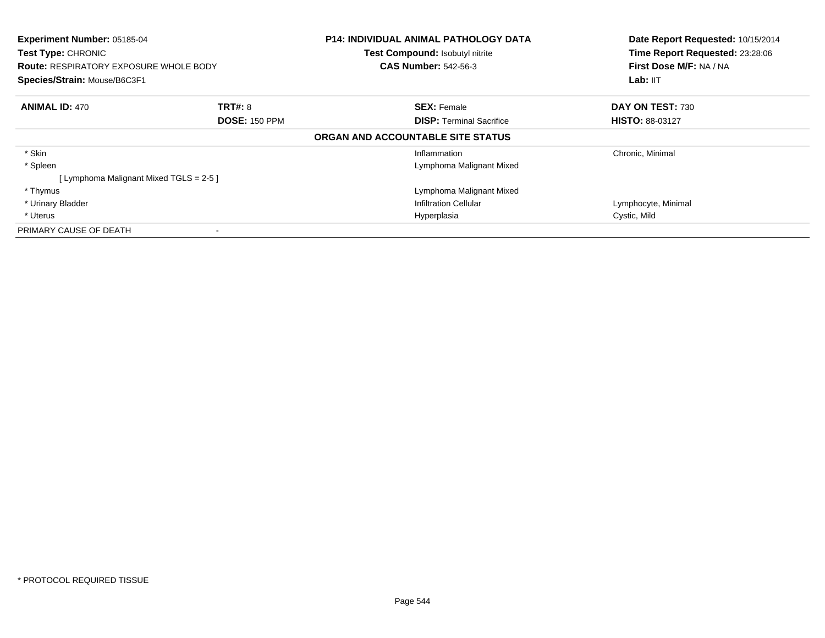| Experiment Number: 05185-04<br><b>Test Type: CHRONIC</b><br><b>Route: RESPIRATORY EXPOSURE WHOLE BODY</b><br>Species/Strain: Mouse/B6C3F1 |                      | <b>P14: INDIVIDUAL ANIMAL PATHOLOGY DATA</b><br>Test Compound: Isobutyl nitrite<br><b>CAS Number: 542-56-3</b> | Date Report Requested: 10/15/2014<br>Time Report Requested: 23:28:06<br>First Dose M/F: NA / NA<br>Lab: IIT |
|-------------------------------------------------------------------------------------------------------------------------------------------|----------------------|----------------------------------------------------------------------------------------------------------------|-------------------------------------------------------------------------------------------------------------|
| <b>ANIMAL ID: 470</b>                                                                                                                     | <b>TRT#: 8</b>       | <b>SEX: Female</b>                                                                                             | DAY ON TEST: 730                                                                                            |
|                                                                                                                                           | <b>DOSE: 150 PPM</b> | <b>DISP:</b> Terminal Sacrifice                                                                                | <b>HISTO: 88-03127</b>                                                                                      |
|                                                                                                                                           |                      | ORGAN AND ACCOUNTABLE SITE STATUS                                                                              |                                                                                                             |
| * Skin                                                                                                                                    |                      | Inflammation                                                                                                   | Chronic, Minimal                                                                                            |
| * Spleen                                                                                                                                  |                      | Lymphoma Malignant Mixed                                                                                       |                                                                                                             |
| [ Lymphoma Malignant Mixed TGLS = 2-5 ]                                                                                                   |                      |                                                                                                                |                                                                                                             |
| * Thymus                                                                                                                                  |                      | Lymphoma Malignant Mixed                                                                                       |                                                                                                             |
| * Urinary Bladder                                                                                                                         |                      | Infiltration Cellular                                                                                          | Lymphocyte, Minimal                                                                                         |
| * Uterus                                                                                                                                  |                      | Hyperplasia                                                                                                    | Cystic, Mild                                                                                                |
| PRIMARY CAUSE OF DEATH                                                                                                                    |                      |                                                                                                                |                                                                                                             |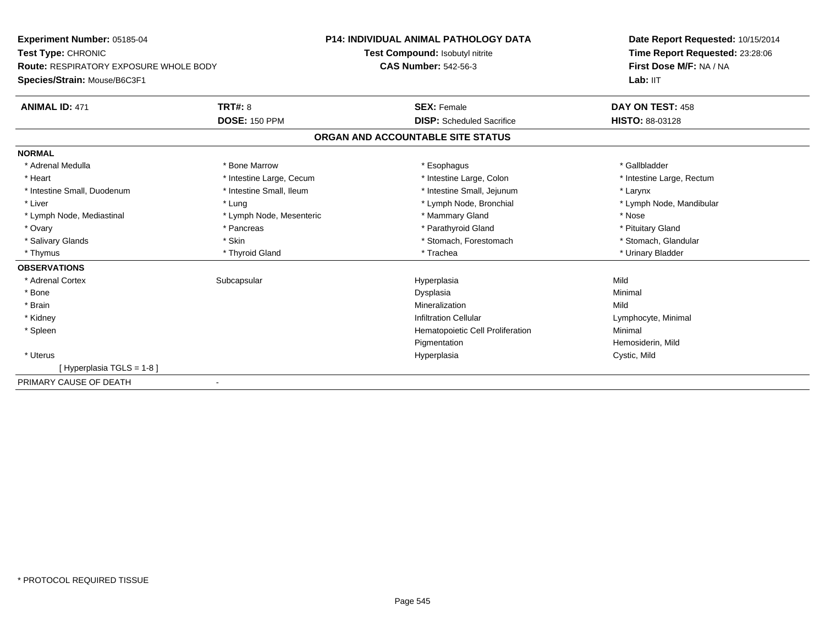| Experiment Number: 05185-04<br>Test Type: CHRONIC<br><b>Route: RESPIRATORY EXPOSURE WHOLE BODY</b> |                          | <b>P14: INDIVIDUAL ANIMAL PATHOLOGY DATA</b> | Date Report Requested: 10/15/2014<br>Time Report Requested: 23:28:06<br>First Dose M/F: NA / NA |
|----------------------------------------------------------------------------------------------------|--------------------------|----------------------------------------------|-------------------------------------------------------------------------------------------------|
|                                                                                                    |                          | Test Compound: Isobutyl nitrite              |                                                                                                 |
|                                                                                                    |                          | <b>CAS Number: 542-56-3</b>                  |                                                                                                 |
| Species/Strain: Mouse/B6C3F1                                                                       |                          |                                              | Lab: IIT                                                                                        |
| <b>ANIMAL ID: 471</b>                                                                              | <b>TRT#: 8</b>           | <b>SEX: Female</b>                           | DAY ON TEST: 458                                                                                |
|                                                                                                    | <b>DOSE: 150 PPM</b>     | <b>DISP:</b> Scheduled Sacrifice             | HISTO: 88-03128                                                                                 |
|                                                                                                    |                          | ORGAN AND ACCOUNTABLE SITE STATUS            |                                                                                                 |
| <b>NORMAL</b>                                                                                      |                          |                                              |                                                                                                 |
| * Adrenal Medulla                                                                                  | * Bone Marrow            | * Esophagus                                  | * Gallbladder                                                                                   |
| * Heart                                                                                            | * Intestine Large, Cecum | * Intestine Large, Colon                     | * Intestine Large, Rectum                                                                       |
| * Intestine Small, Duodenum                                                                        | * Intestine Small, Ileum | * Intestine Small, Jejunum                   | * Larynx                                                                                        |
| * Liver                                                                                            | * Lung                   | * Lymph Node, Bronchial                      | * Lymph Node, Mandibular                                                                        |
| * Lymph Node, Mediastinal                                                                          | * Lymph Node, Mesenteric | * Mammary Gland                              | * Nose                                                                                          |
| * Ovary                                                                                            | * Pancreas               | * Parathyroid Gland                          | * Pituitary Gland                                                                               |
| * Salivary Glands                                                                                  | * Skin                   | * Stomach, Forestomach                       | * Stomach, Glandular                                                                            |
| * Thymus                                                                                           | * Thyroid Gland          | * Trachea                                    | * Urinary Bladder                                                                               |
| <b>OBSERVATIONS</b>                                                                                |                          |                                              |                                                                                                 |
| * Adrenal Cortex                                                                                   | Subcapsular              | Hyperplasia                                  | Mild                                                                                            |
| * Bone                                                                                             |                          | Dysplasia                                    | Minimal                                                                                         |
| * Brain                                                                                            |                          | Mineralization                               | Mild                                                                                            |
| * Kidney                                                                                           |                          | <b>Infiltration Cellular</b>                 | Lymphocyte, Minimal                                                                             |
| * Spleen                                                                                           |                          | Hematopoietic Cell Proliferation             | Minimal                                                                                         |
|                                                                                                    |                          | Pigmentation                                 | Hemosiderin, Mild                                                                               |
| * Uterus                                                                                           |                          | Hyperplasia                                  | Cystic, Mild                                                                                    |
| [Hyperplasia TGLS = 1-8]                                                                           |                          |                                              |                                                                                                 |
| PRIMARY CAUSE OF DEATH<br>$\blacksquare$                                                           |                          |                                              |                                                                                                 |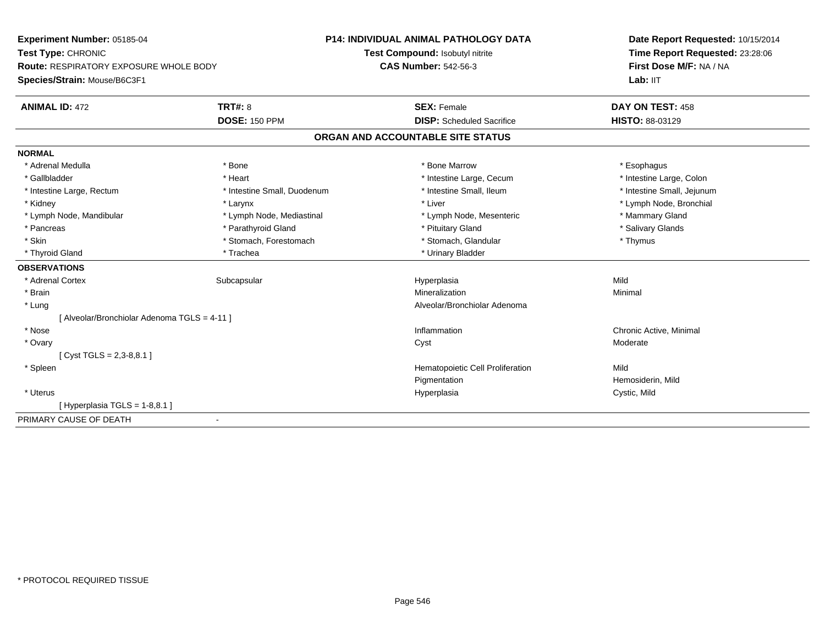**Experiment Number:** 05185-04**Test Type:** CHRONIC **Route:** RESPIRATORY EXPOSURE WHOLE BODY**Species/Strain:** Mouse/B6C3F1**P14: INDIVIDUAL ANIMAL PATHOLOGY DATATest Compound:** Isobutyl nitrite**CAS Number:** 542-56-3**Date Report Requested:** 10/15/2014**Time Report Requested:** 23:28:06**First Dose M/F:** NA / NA**Lab:** IIT**ANIMAL ID:** 472**TRT#:** 8 **SEX:** Female **DAY ON TEST:** 458 **DOSE:** 150 PPM **DISP:** Scheduled Sacrifice **HISTO:** 88-03129 **ORGAN AND ACCOUNTABLE SITE STATUSNORMAL**\* Adrenal Medulla \* Adrenal Medulla \* \* The matter of the state of the state of the state of the state of the state of the state of the state of the state of the state of the state of the state of the state of the state of the state of the \* Intestine Large, Colon \* Gallbladder \* The mode of the text \* Heart \* Intestine Large, Cecum \* Intestine Large, Cecum \* Intestine Large, Cecum \* Intestine Small, Jejunum \* Intestine Large, Rectum \* Intestine Small, Duodenum \* Intestine Small, Ileum \* 1ntestine Small, Ileum \* Kidney \* Larynx \* Liver \* Lymph Node, Bronchial \* Lymph Node, Mandibular \* Lymph Node, Mediastinal \* Lymph Note, Mesenteric \* Mammary Gland \* Salivary Glands \* Pancreas \* And the section of the section of the section of the section of the section of the section of the section of the section of the section of the section of the section of the section of the section of the sectio \* Skin \* Stomach, Forestomach \* Stomach \* Stomach, Glandular \* Thymus \* Thymus \* Thyroid Gland \* Trachea \* Trachea \* Trachea \* Urinary Bladder **OBSERVATIONS** \* Adrenal Cortexx Subcapsular Suberty Subsets and the Hyperplasia a Mild \* Brainn and the controller of the controller of the Mineralization and the controller of the Minimal of the Minimal <br>The Minimal of the controller of the controller of the controller of the controller of the controller of the c \* Lung Alveolar/Bronchiolar Adenoma [ Alveolar/Bronchiolar Adenoma TGLS = 4-11 ] \* Nosee the contraction of the contraction of the contraction of the contraction of the contraction of  $\mathsf{C}$   $\mathsf{A}$   $\mathsf{C}$   $\mathsf{A}$   $\mathsf{C}$   $\mathsf{A}$   $\mathsf{C}$   $\mathsf{A}$   $\mathsf{C}$   $\mathsf{A}$   $\mathsf{C}$   $\mathsf{A}$   $\mathsf{C}$   $\mathsf{A}$  \* Ovaryy and the control of the control of the control of the control of the control of the control of the control of the control of the control of the control of the control of the control of the control of the control of the co  $[$  Cyst TGLS = 2,3-8,8.1  $]$  \* SpleenHematopoietic Cell Proliferation Mild Pigmentation Hemosiderin, Mild \* Uteruss and the contract of the contract of the contract of the contract of the contract of the contract of the contract of the contract of the contract of the contract of the contract of the contract of the contract of the cont Cystic, Mild  $[$  Hyperplasia TGLS = 1-8,8.1 ] PRIMARY CAUSE OF DEATH-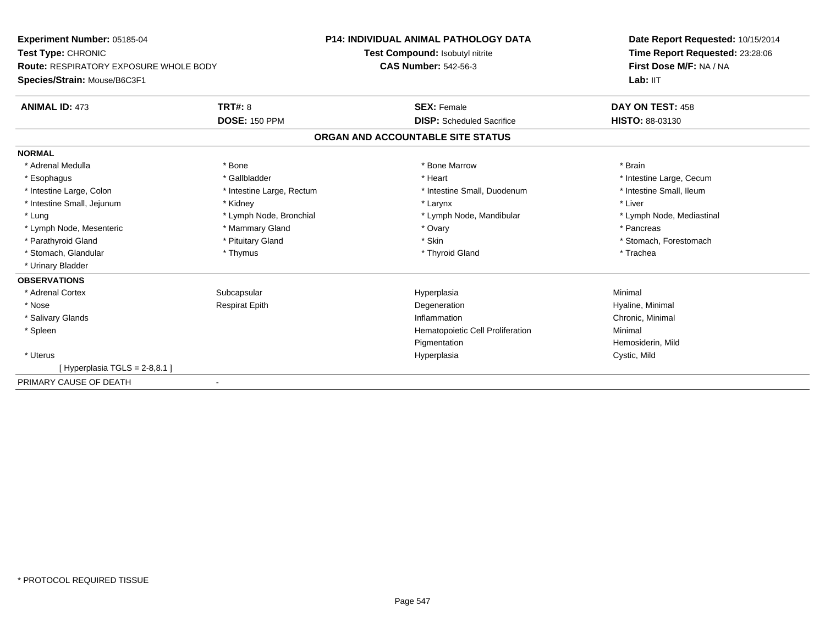**Experiment Number:** 05185-04**Test Type:** CHRONIC **Route:** RESPIRATORY EXPOSURE WHOLE BODY**Species/Strain:** Mouse/B6C3F1**P14: INDIVIDUAL ANIMAL PATHOLOGY DATATest Compound:** Isobutyl nitrite**CAS Number:** 542-56-3**Date Report Requested:** 10/15/2014**Time Report Requested:** 23:28:06**First Dose M/F:** NA / NALab: IIT **ANIMAL ID:** 473**TRT#:** 8 **SEX:** Female **DAY ON TEST:** 458 **DOSE:** 150 PPM **DISP:** Scheduled Sacrifice **HISTO:** 88-03130 **ORGAN AND ACCOUNTABLE SITE STATUSNORMAL**\* Adrenal Medulla \* \* Annual Medulla \* Brain \* Bone \* \* Bone Marrow \* Bone Marrow \* \* Brain \* Brain \* Brain \* Brain \* Brain \* Brain \* Brain \* Brain \* Brain \* Brain \* Brain \* Brain \* Brain \* Brain \* Brain \* Brain \* Brain \* \* Esophagus \* https://www.fragustage.com/web/2019/heart \* Heart \* Heart \* Heart \* Intestine Large, Cecum \* Intestine Large, Cecum \* Sallbladder \* The state of the state of the state of the state of the state of the state o \* Intestine Small, Ileum \* Intestine Large, Colon \* Intestine Large, Rectum \* Intestine Small, Duodenum \* Intestine Small, Duodenum \* Intestine Small, Jejunum \* \* Widney \* Kidney \* Larynx \* Larynx \* Larynx \* Larynx \* Liver \* Lung \* Lymph Node, Bronchial \* Lymph Node, Bronchial \* Lymph Node, Mandibular \* Note \* Lymph Node, Mediastinal \* Lymph Node, Mesenteric \* \* The mannery Gland \* The mannery Gland \* Ovary \* Ovary \* The mannery State \* Pancreas \* Parathyroid Gland \* \* Pituitary Gland \* Pituitary Gland \* Skin \* Skin \* Stomach, Forestomach \* Stomach, Glandular \* Thymus \* Thymus \* Thymus \* Thyroid Gland \* Thyroid Gland \* Thachea \* Urinary Bladder**OBSERVATIONS** \* Adrenal Cortexx Subcapsular Suberty Subsets and the Hyperplasia a and a studies of the studies of the Minimal \* Nose Respirat Epith Degeneration Hyaline, Minimal \* Salivary Glandss and the contract of the contract of the contract of the contract of the contract of the contract of the contract of the contract of the contract of the contract of the contract of the contract of the contract of the cont Inflammation Chronic, Minimal \* SpleenHematopoietic Cell Proliferation Minimal Pigmentation Hemosiderin, Mild \* Uteruss and the contract of the contract of the contract of the contract of the contract of the contract of the contract of the contract of the contract of the contract of the contract of the contract of the contract of the cont Hyperplasia Cystic, Mild  $[$  Hyperplasia TGLS = 2-8,8.1 ] PRIMARY CAUSE OF DEATH-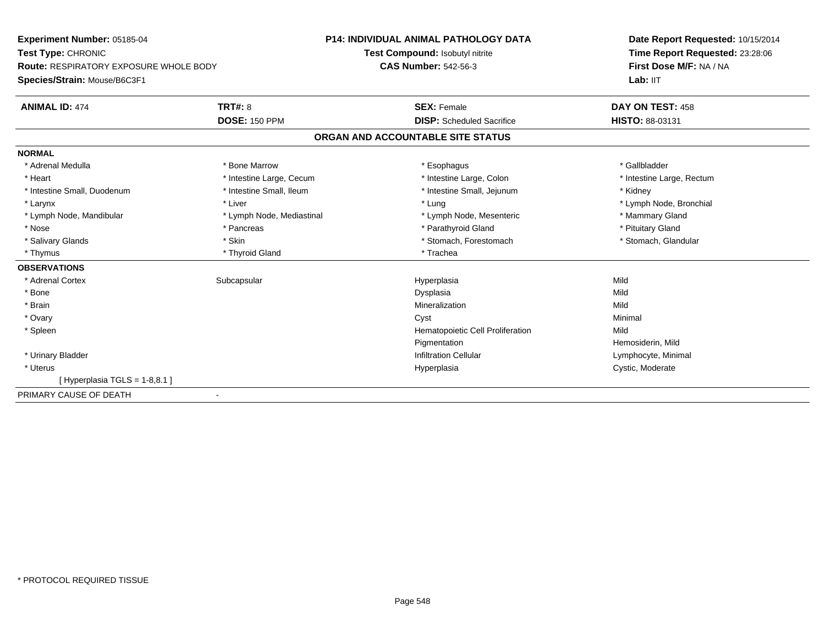| Experiment Number: 05185-04<br>Test Type: CHRONIC<br><b>Route: RESPIRATORY EXPOSURE WHOLE BODY</b> |                           | <b>P14: INDIVIDUAL ANIMAL PATHOLOGY DATA</b> | Date Report Requested: 10/15/2014                          |  |
|----------------------------------------------------------------------------------------------------|---------------------------|----------------------------------------------|------------------------------------------------------------|--|
|                                                                                                    |                           | Test Compound: Isobutyl nitrite              | Time Report Requested: 23:28:06<br>First Dose M/F: NA / NA |  |
|                                                                                                    |                           | <b>CAS Number: 542-56-3</b>                  |                                                            |  |
| Species/Strain: Mouse/B6C3F1                                                                       |                           |                                              | Lab: IIT                                                   |  |
| <b>ANIMAL ID: 474</b>                                                                              | TRT#: 8                   | <b>SEX: Female</b>                           | DAY ON TEST: 458                                           |  |
|                                                                                                    | <b>DOSE: 150 PPM</b>      | <b>DISP:</b> Scheduled Sacrifice             | HISTO: 88-03131                                            |  |
|                                                                                                    |                           | ORGAN AND ACCOUNTABLE SITE STATUS            |                                                            |  |
| <b>NORMAL</b>                                                                                      |                           |                                              |                                                            |  |
| * Adrenal Medulla                                                                                  | * Bone Marrow             | * Esophagus                                  | * Gallbladder                                              |  |
| * Heart                                                                                            | * Intestine Large, Cecum  | * Intestine Large, Colon                     | * Intestine Large, Rectum                                  |  |
| * Intestine Small, Duodenum                                                                        | * Intestine Small, Ileum  | * Intestine Small, Jejunum                   | * Kidney                                                   |  |
| * Larynx                                                                                           | * Liver                   | * Lung                                       | * Lymph Node, Bronchial                                    |  |
| * Lymph Node, Mandibular                                                                           | * Lymph Node, Mediastinal | * Lymph Node, Mesenteric                     | * Mammary Gland                                            |  |
| * Nose                                                                                             | * Pancreas                | * Parathyroid Gland                          | * Pituitary Gland                                          |  |
| * Salivary Glands                                                                                  | * Skin                    | * Stomach, Forestomach                       | * Stomach, Glandular                                       |  |
| * Thymus                                                                                           | * Thyroid Gland           | * Trachea                                    |                                                            |  |
| <b>OBSERVATIONS</b>                                                                                |                           |                                              |                                                            |  |
| * Adrenal Cortex                                                                                   | Subcapsular               | Hyperplasia                                  | Mild                                                       |  |
| * Bone                                                                                             |                           | Dysplasia                                    | Mild                                                       |  |
| * Brain                                                                                            |                           | Mineralization                               | Mild                                                       |  |
| * Ovary                                                                                            |                           | Cyst                                         | Minimal                                                    |  |
| * Spleen                                                                                           |                           | Hematopoietic Cell Proliferation             | Mild                                                       |  |
|                                                                                                    |                           | Pigmentation                                 | Hemosiderin, Mild                                          |  |
| * Urinary Bladder                                                                                  |                           | <b>Infiltration Cellular</b>                 | Lymphocyte, Minimal                                        |  |
| * Uterus                                                                                           |                           | Hyperplasia                                  | Cystic, Moderate                                           |  |
| [Hyperplasia TGLS = 1-8,8.1]                                                                       |                           |                                              |                                                            |  |
| PRIMARY CAUSE OF DEATH                                                                             |                           |                                              |                                                            |  |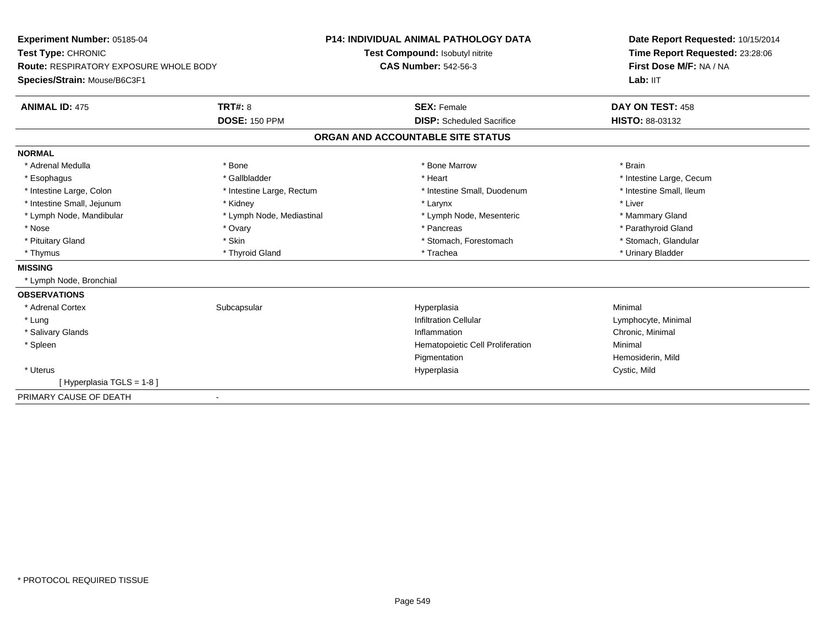| Experiment Number: 05185-04<br>Test Type: CHRONIC<br><b>Route: RESPIRATORY EXPOSURE WHOLE BODY</b> |                           | <b>P14: INDIVIDUAL ANIMAL PATHOLOGY DATA</b> | Date Report Requested: 10/15/2014                          |  |
|----------------------------------------------------------------------------------------------------|---------------------------|----------------------------------------------|------------------------------------------------------------|--|
|                                                                                                    |                           | Test Compound: Isobutyl nitrite              | Time Report Requested: 23:28:06<br>First Dose M/F: NA / NA |  |
|                                                                                                    |                           | <b>CAS Number: 542-56-3</b>                  |                                                            |  |
| Species/Strain: Mouse/B6C3F1                                                                       |                           |                                              | Lab: II <sub>T</sub>                                       |  |
| <b>ANIMAL ID: 475</b>                                                                              | <b>TRT#: 8</b>            | <b>SEX: Female</b>                           | DAY ON TEST: 458                                           |  |
|                                                                                                    | <b>DOSE: 150 PPM</b>      | <b>DISP:</b> Scheduled Sacrifice             | <b>HISTO: 88-03132</b>                                     |  |
|                                                                                                    |                           | ORGAN AND ACCOUNTABLE SITE STATUS            |                                                            |  |
| <b>NORMAL</b>                                                                                      |                           |                                              |                                                            |  |
| * Adrenal Medulla                                                                                  | * Bone                    | * Bone Marrow                                | * Brain                                                    |  |
| * Esophagus                                                                                        | * Gallbladder             | * Heart                                      | * Intestine Large, Cecum                                   |  |
| * Intestine Large, Colon                                                                           | * Intestine Large, Rectum | * Intestine Small, Duodenum                  | * Intestine Small, Ileum                                   |  |
| * Intestine Small, Jejunum                                                                         | * Kidney                  | * Larynx                                     | * Liver                                                    |  |
| * Lymph Node, Mandibular                                                                           | * Lymph Node, Mediastinal | * Lymph Node, Mesenteric                     | * Mammary Gland                                            |  |
| * Nose                                                                                             | * Ovary                   | * Pancreas                                   | * Parathyroid Gland                                        |  |
| * Pituitary Gland                                                                                  | * Skin                    | * Stomach, Forestomach                       | * Stomach, Glandular                                       |  |
| * Thymus                                                                                           | * Thyroid Gland           | * Trachea                                    | * Urinary Bladder                                          |  |
| <b>MISSING</b>                                                                                     |                           |                                              |                                                            |  |
| * Lymph Node, Bronchial                                                                            |                           |                                              |                                                            |  |
| <b>OBSERVATIONS</b>                                                                                |                           |                                              |                                                            |  |
| * Adrenal Cortex                                                                                   | Subcapsular               | Hyperplasia                                  | Minimal                                                    |  |
| * Lung                                                                                             |                           | <b>Infiltration Cellular</b>                 | Lymphocyte, Minimal                                        |  |
| * Salivary Glands                                                                                  |                           | Inflammation                                 | Chronic, Minimal                                           |  |
| * Spleen                                                                                           |                           | Hematopoietic Cell Proliferation             | Minimal                                                    |  |
|                                                                                                    |                           | Pigmentation                                 | Hemosiderin, Mild                                          |  |
| * Uterus                                                                                           |                           | Hyperplasia                                  | Cystic, Mild                                               |  |
| [Hyperplasia TGLS = 1-8]                                                                           |                           |                                              |                                                            |  |
| PRIMARY CAUSE OF DEATH                                                                             | $\blacksquare$            |                                              |                                                            |  |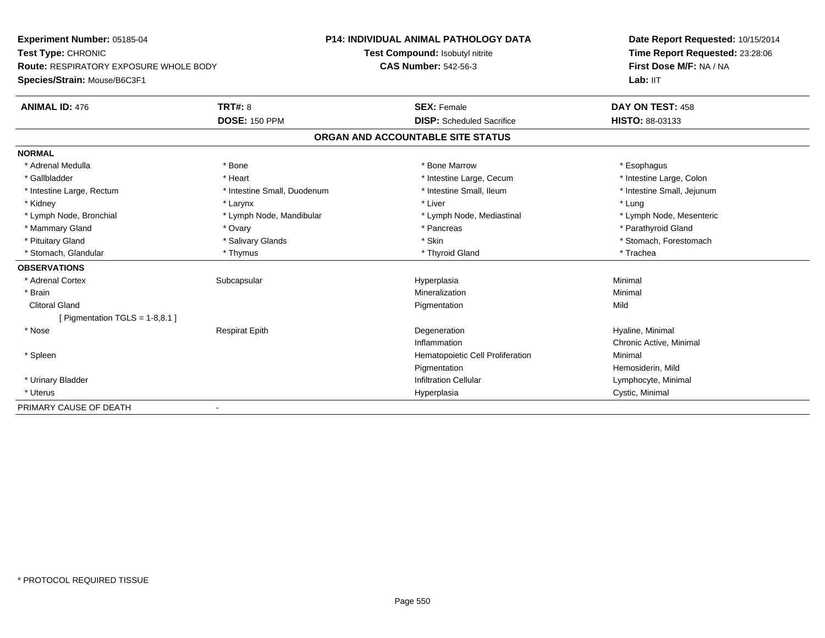**Experiment Number:** 05185-04**Test Type:** CHRONIC **Route:** RESPIRATORY EXPOSURE WHOLE BODY**Species/Strain:** Mouse/B6C3F1**P14: INDIVIDUAL ANIMAL PATHOLOGY DATATest Compound:** Isobutyl nitrite**CAS Number:** 542-56-3**Date Report Requested:** 10/15/2014**Time Report Requested:** 23:28:06**First Dose M/F:** NA / NA**Lab:** IIT**ANIMAL ID:** 476**6 DAY ON TEST:** 458 **DOSE:** 150 PPM **DISP:** Scheduled Sacrifice **HISTO:** 88-03133 **ORGAN AND ACCOUNTABLE SITE STATUSNORMAL**\* Adrenal Medulla \* Adrenal Medulla \* \* The matter of the state of the state of the state of the state of the state of the state of the state of the state of the state of the state of the state of the state of the state of the state of the \* Intestine Large, Colon \* Gallbladder \* The mode of the text \* Heart \* Intestine Large, Cecum \* Intestine Large, Cecum \* Intestine Large, Cecum \* Intestine Large, Rectum \* Thestine Small, Duodenum \* Number of the small, Ileum \* Intestine Small, Jejunum \* Intestine Small, Jejunum \* Kidney \* Larynx \* Liver \* Lung \* Lymph Node, Bronchial \* Lymph Node, Mandibular \* Lymph Node, Mediastinal \* Lymph Node, Mesenteric\* Mammary Gland \* \* Andrew \* Ovary \* Andrew \* Ovary \* Pancreas \* Pancreas \* \* Pancreas \* \* Pancreas \* \* Pancreas \* \* Pancreas \* \* Pancreas \* \* Pancreas \* \* Pancreas \* \* Pancreas \* \* Pancreas \* \* Pancreas \* \* Pancreas \* \* P \* Pituitary Gland \* \* Salivary Glands \* Salivary Glands \* Skin \* \* Skin \* \* Stomach, Forestomach \* Stomach, Glandular \* Thymus \* Thymus \* Thymus \* Thyroid Gland \* Thyroid Gland \* Thachea **OBSERVATIONS** \* Adrenal Cortexx Subcapsular Suberty Subsets and the Hyperplasia a and a studies of the studies of the Minimal \* Brainn and the controller of the controller of the Mineralization and the controller of the Minimal of the Minimal <br>The Minimal of the controller of the controller of the controller of the controller of the controller of the c Clitoral Glandd and the control of the control of the control of the control of the control of the control of the control of the control of the control of the control of the control of the control of the control of the control of the co  $[$  Pigmentation TGLS = 1-8,8.1  $]$  \* Nose Respirat Epith Degeneration Hyaline, Minimal Inflammation Chronic Active, Minimal \* SpleenHematopoietic Cell Proliferation **Minimal Pigmentation**  Hemosiderin, Mild \* Urinary BladderInfiltration Cellular **Lymphocyte**, Minimal \* Uteruss and the contract of the contract of the contract of the contract of the contract of the contract of the contract of the contract of the contract of the contract of the contract of the contract of the contract of the cont Hyperplasia **Cystic, Minimal** PRIMARY CAUSE OF DEATH-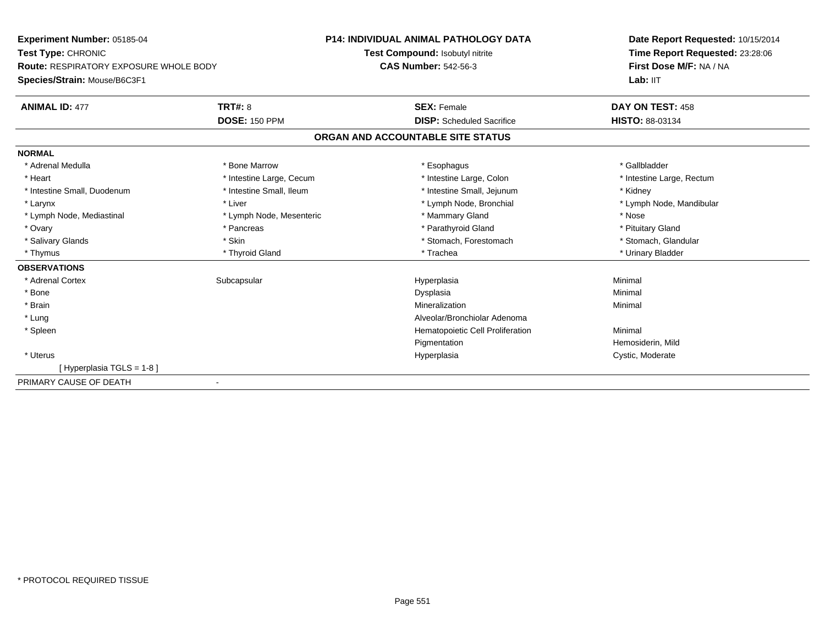| Experiment Number: 05185-04<br>Test Type: CHRONIC<br><b>Route: RESPIRATORY EXPOSURE WHOLE BODY</b> |                          | <b>P14: INDIVIDUAL ANIMAL PATHOLOGY DATA</b> | Date Report Requested: 10/15/2014<br>Time Report Requested: 23:28:06<br>First Dose M/F: NA / NA |
|----------------------------------------------------------------------------------------------------|--------------------------|----------------------------------------------|-------------------------------------------------------------------------------------------------|
|                                                                                                    |                          | Test Compound: Isobutyl nitrite              |                                                                                                 |
|                                                                                                    |                          | <b>CAS Number: 542-56-3</b>                  |                                                                                                 |
| Species/Strain: Mouse/B6C3F1                                                                       |                          |                                              | Lab: IIT                                                                                        |
| <b>ANIMAL ID: 477</b>                                                                              | <b>TRT#: 8</b>           | <b>SEX: Female</b>                           | DAY ON TEST: 458                                                                                |
|                                                                                                    | <b>DOSE: 150 PPM</b>     | <b>DISP:</b> Scheduled Sacrifice             | HISTO: 88-03134                                                                                 |
|                                                                                                    |                          | ORGAN AND ACCOUNTABLE SITE STATUS            |                                                                                                 |
| <b>NORMAL</b>                                                                                      |                          |                                              |                                                                                                 |
| * Adrenal Medulla                                                                                  | * Bone Marrow            | * Esophagus                                  | * Gallbladder                                                                                   |
| * Heart                                                                                            | * Intestine Large, Cecum | * Intestine Large, Colon                     | * Intestine Large, Rectum                                                                       |
| * Intestine Small, Duodenum                                                                        | * Intestine Small, Ileum | * Intestine Small, Jejunum                   | * Kidney                                                                                        |
| * Larynx                                                                                           | * Liver                  | * Lymph Node, Bronchial                      | * Lymph Node, Mandibular                                                                        |
| * Lymph Node, Mediastinal                                                                          | * Lymph Node, Mesenteric | * Mammary Gland                              | * Nose                                                                                          |
| * Ovary                                                                                            | * Pancreas               | * Parathyroid Gland                          | * Pituitary Gland                                                                               |
| * Salivary Glands                                                                                  | * Skin                   | * Stomach, Forestomach                       | * Stomach, Glandular                                                                            |
| * Thymus                                                                                           | * Thyroid Gland          | * Trachea                                    | * Urinary Bladder                                                                               |
| <b>OBSERVATIONS</b>                                                                                |                          |                                              |                                                                                                 |
| * Adrenal Cortex                                                                                   | Subcapsular              | Hyperplasia                                  | Minimal                                                                                         |
| * Bone                                                                                             |                          | Dysplasia                                    | Minimal                                                                                         |
| * Brain                                                                                            |                          | Mineralization                               | Minimal                                                                                         |
| * Lung                                                                                             |                          | Alveolar/Bronchiolar Adenoma                 |                                                                                                 |
| * Spleen                                                                                           |                          | Hematopoietic Cell Proliferation             | Minimal                                                                                         |
|                                                                                                    |                          | Pigmentation                                 | Hemosiderin, Mild                                                                               |
| * Uterus                                                                                           |                          | Hyperplasia                                  | Cystic, Moderate                                                                                |
| [Hyperplasia TGLS = 1-8]                                                                           |                          |                                              |                                                                                                 |
| PRIMARY CAUSE OF DEATH<br>$\blacksquare$                                                           |                          |                                              |                                                                                                 |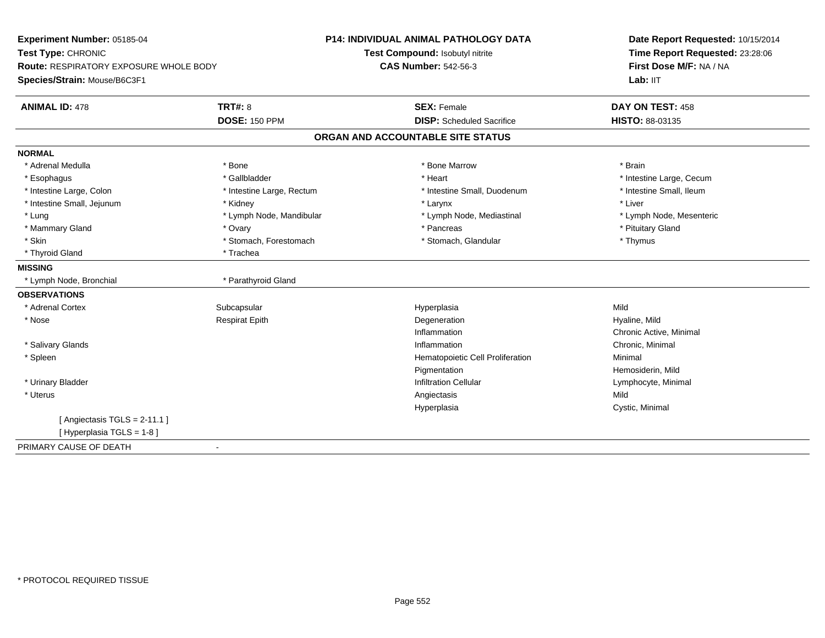| Experiment Number: 05185-04                                                   |                           | P14: INDIVIDUAL ANIMAL PATHOLOGY DATA | Date Report Requested: 10/15/2014<br>Time Report Requested: 23:28:06<br>First Dose M/F: NA / NA<br>Lab: IIT |
|-------------------------------------------------------------------------------|---------------------------|---------------------------------------|-------------------------------------------------------------------------------------------------------------|
| Test Type: CHRONIC                                                            |                           | Test Compound: Isobutyl nitrite       |                                                                                                             |
| <b>Route: RESPIRATORY EXPOSURE WHOLE BODY</b><br>Species/Strain: Mouse/B6C3F1 |                           | <b>CAS Number: 542-56-3</b>           |                                                                                                             |
| <b>ANIMAL ID: 478</b>                                                         | <b>TRT#: 8</b>            | <b>SEX: Female</b>                    | DAY ON TEST: 458                                                                                            |
|                                                                               | <b>DOSE: 150 PPM</b>      | <b>DISP:</b> Scheduled Sacrifice      | HISTO: 88-03135                                                                                             |
|                                                                               |                           | ORGAN AND ACCOUNTABLE SITE STATUS     |                                                                                                             |
| <b>NORMAL</b>                                                                 |                           |                                       |                                                                                                             |
| * Adrenal Medulla                                                             | * Bone                    | * Bone Marrow                         | * Brain                                                                                                     |
| * Esophagus                                                                   | * Gallbladder             | * Heart                               | * Intestine Large, Cecum                                                                                    |
| * Intestine Large, Colon                                                      | * Intestine Large, Rectum | * Intestine Small, Duodenum           | * Intestine Small. Ileum                                                                                    |
| * Intestine Small, Jejunum                                                    | * Kidney                  | * Larynx                              | * Liver                                                                                                     |
| * Lung                                                                        | * Lymph Node, Mandibular  | * Lymph Node, Mediastinal             | * Lymph Node, Mesenteric                                                                                    |
| * Mammary Gland                                                               | * Ovary                   | * Pancreas                            | * Pituitary Gland                                                                                           |
| * Skin                                                                        | * Stomach, Forestomach    | * Stomach, Glandular                  | * Thymus                                                                                                    |
| * Thyroid Gland                                                               | * Trachea                 |                                       |                                                                                                             |
| <b>MISSING</b>                                                                |                           |                                       |                                                                                                             |
| * Lymph Node, Bronchial                                                       | * Parathyroid Gland       |                                       |                                                                                                             |
| <b>OBSERVATIONS</b>                                                           |                           |                                       |                                                                                                             |
| * Adrenal Cortex                                                              | Subcapsular               | Hyperplasia                           | Mild                                                                                                        |
| * Nose                                                                        | <b>Respirat Epith</b>     | Degeneration                          | Hyaline, Mild                                                                                               |
|                                                                               |                           | Inflammation                          | Chronic Active, Minimal                                                                                     |
| * Salivary Glands                                                             |                           | Inflammation                          | Chronic, Minimal                                                                                            |
| * Spleen                                                                      |                           | Hematopoietic Cell Proliferation      | Minimal                                                                                                     |
|                                                                               |                           | Pigmentation                          | Hemosiderin, Mild                                                                                           |
| * Urinary Bladder                                                             |                           | <b>Infiltration Cellular</b>          | Lymphocyte, Minimal                                                                                         |
| * Uterus                                                                      |                           | Angiectasis                           | Mild                                                                                                        |
|                                                                               |                           | Hyperplasia                           | Cystic, Minimal                                                                                             |
| [Angiectasis $TGLS = 2-11.1$ ]                                                |                           |                                       |                                                                                                             |
| [Hyperplasia TGLS = 1-8]                                                      |                           |                                       |                                                                                                             |
| PRIMARY CAUSE OF DEATH                                                        | $\blacksquare$            |                                       |                                                                                                             |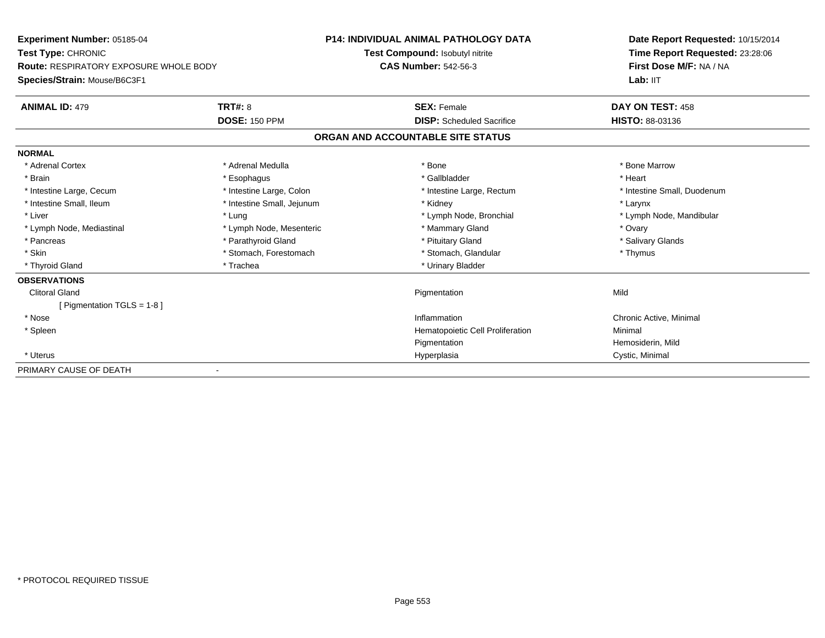| Experiment Number: 05185-04<br>Test Type: CHRONIC<br>Route: RESPIRATORY EXPOSURE WHOLE BODY |                            | <b>P14: INDIVIDUAL ANIMAL PATHOLOGY DATA</b> | Date Report Requested: 10/15/2014<br>Time Report Requested: 23:28:06<br>First Dose M/F: NA / NA |
|---------------------------------------------------------------------------------------------|----------------------------|----------------------------------------------|-------------------------------------------------------------------------------------------------|
|                                                                                             |                            | Test Compound: Isobutyl nitrite              |                                                                                                 |
|                                                                                             |                            | <b>CAS Number: 542-56-3</b>                  |                                                                                                 |
| Species/Strain: Mouse/B6C3F1                                                                |                            |                                              | Lab: IIT                                                                                        |
| <b>ANIMAL ID: 479</b>                                                                       | <b>TRT#: 8</b>             | <b>SEX: Female</b>                           | DAY ON TEST: 458                                                                                |
|                                                                                             | <b>DOSE: 150 PPM</b>       | <b>DISP:</b> Scheduled Sacrifice             | <b>HISTO: 88-03136</b>                                                                          |
|                                                                                             |                            | ORGAN AND ACCOUNTABLE SITE STATUS            |                                                                                                 |
| <b>NORMAL</b>                                                                               |                            |                                              |                                                                                                 |
| * Adrenal Cortex                                                                            | * Adrenal Medulla          | * Bone                                       | * Bone Marrow                                                                                   |
| * Brain                                                                                     | * Esophagus                | * Gallbladder                                | * Heart                                                                                         |
| * Intestine Large, Cecum                                                                    | * Intestine Large, Colon   | * Intestine Large, Rectum                    | * Intestine Small, Duodenum                                                                     |
| * Intestine Small, Ileum                                                                    | * Intestine Small, Jejunum | * Kidney                                     | * Larynx                                                                                        |
| * Liver                                                                                     | * Lung                     | * Lymph Node, Bronchial                      | * Lymph Node, Mandibular                                                                        |
| * Lymph Node, Mediastinal                                                                   | * Lymph Node, Mesenteric   | * Mammary Gland                              | * Ovary                                                                                         |
| * Pancreas                                                                                  | * Parathyroid Gland        | * Pituitary Gland                            | * Salivary Glands                                                                               |
| * Skin                                                                                      | * Stomach, Forestomach     | * Stomach, Glandular                         | * Thymus                                                                                        |
| * Thyroid Gland                                                                             | * Trachea                  | * Urinary Bladder                            |                                                                                                 |
| <b>OBSERVATIONS</b>                                                                         |                            |                                              |                                                                                                 |
| <b>Clitoral Gland</b>                                                                       |                            | Pigmentation                                 | Mild                                                                                            |
| [ Pigmentation TGLS = 1-8 ]                                                                 |                            |                                              |                                                                                                 |
| * Nose                                                                                      |                            | Inflammation                                 | Chronic Active, Minimal                                                                         |
| * Spleen                                                                                    |                            | Hematopoietic Cell Proliferation             | Minimal                                                                                         |
|                                                                                             |                            | Pigmentation                                 | Hemosiderin, Mild                                                                               |
| * Uterus                                                                                    |                            | Hyperplasia                                  | Cystic, Minimal                                                                                 |
| PRIMARY CAUSE OF DEATH                                                                      |                            |                                              |                                                                                                 |